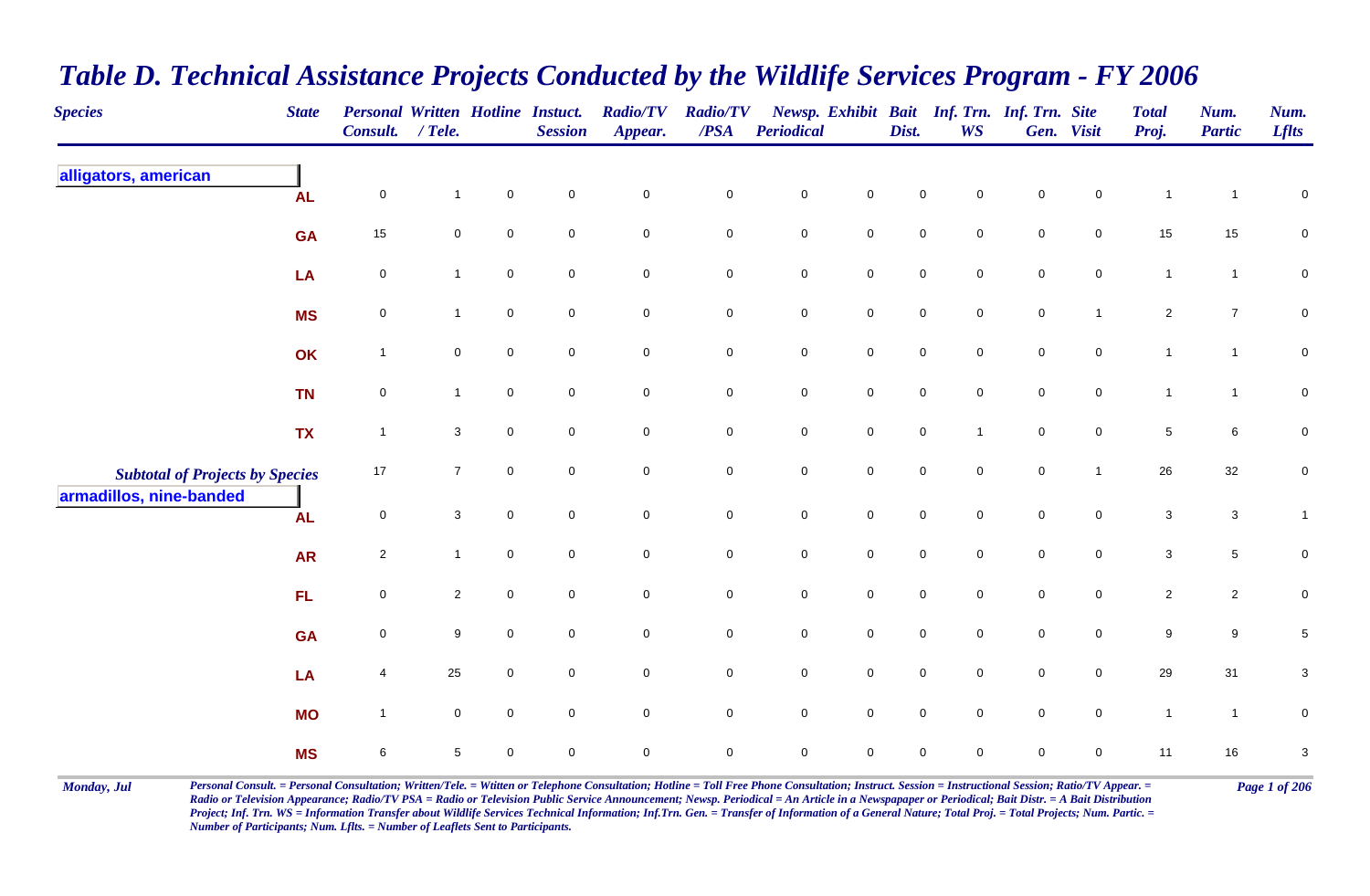| <b>Species</b>                         | <b>State</b> | <b>Personal Written Hotline Instuct.</b><br>Consult. / Tele. |                |             | <b>Session</b>      | <b>Radio/TV</b><br>Appear. | <b>Radio/TV</b><br>$\overline{PSA}$ | <b>Periodical</b>   |                     | Dist.       | Newsp. Exhibit Bait Inf. Trn. Inf. Trn. Site<br><b>WS</b> |             | Gen. Visit          | <b>Total</b><br>Proj.     | Num.<br><b>Partic</b>     | Num.<br><b>Lflts</b>      |
|----------------------------------------|--------------|--------------------------------------------------------------|----------------|-------------|---------------------|----------------------------|-------------------------------------|---------------------|---------------------|-------------|-----------------------------------------------------------|-------------|---------------------|---------------------------|---------------------------|---------------------------|
| alligators, american                   | <b>AL</b>    | $\mathbf 0$                                                  | 1              | $\pmb{0}$   | $\mathbf 0$         | $\pmb{0}$                  | $\pmb{0}$                           | $\pmb{0}$           | $\pmb{0}$           | $\mathbf 0$ | $\mathbf 0$                                               | $\pmb{0}$   | $\mathbf 0$         | $\mathbf{1}$              | 1                         | $\mathbf 0$               |
|                                        | <b>GA</b>    | $15\,$                                                       | $\mathbf 0$    | $\mathsf 0$ | $\mathsf{O}\xspace$ | $\mathsf{O}\xspace$        | $\mathbf 0$                         | $\mathbf 0$         | $\mathbf 0$         | $\mathbf 0$ | $\mathbf 0$                                               | $\mathsf 0$ | $\mathbf 0$         | $15\,$                    | $15\,$                    | $\mathbf 0$               |
|                                        | LA           | $\mathbf 0$                                                  | $\mathbf{1}$   | $\mathbf 0$ | $\mathsf{O}\xspace$ | $\mathsf 0$                | $\mathsf 0$                         | $\mathsf{O}\xspace$ | $\mathbf 0$         | $\mathbf 0$ | $\mathbf 0$                                               | $\pmb{0}$   | $\mathsf{O}\xspace$ | $\mathbf{1}$              | $\mathbf{1}$              | $\mathbf 0$               |
|                                        | <b>MS</b>    | $\mathbf 0$                                                  | 1              | $\mathbf 0$ | $\mathbf 0$         | $\mathsf{O}\xspace$        | $\mathsf 0$                         | $\mathsf{O}\xspace$ | $\mathsf{O}\xspace$ | $\mathbf 0$ | $\mathbf 0$                                               | $\mathbf 0$ | $\mathbf{1}$        | $\overline{2}$            | $\overline{7}$            | $\mathbf 0$               |
|                                        | OK           | $\mathbf{1}$                                                 | 0              | $\mathbf 0$ | $\mathbf 0$         | $\mathbf 0$                | $\pmb{0}$                           | $\pmb{0}$           | $\mathsf{O}\xspace$ | $\mathbf 0$ | $\mathbf 0$                                               | $\mathbf 0$ | 0                   | $\overline{1}$            | $\mathbf{1}$              | $\mathbf 0$               |
|                                        | <b>TN</b>    | $\pmb{0}$                                                    | $\mathbf{1}$   | $\mathsf 0$ | $\overline{0}$      | $\mathbf 0$                | $\mathbf 0$                         | $\mathbf 0$         | $\mathbf 0$         | $\mathbf 0$ | $\mathbf 0$                                               | $\mathsf 0$ | $\mathbf 0$         | $\mathbf{1}$              | $\mathbf{1}$              | 0                         |
|                                        | <b>TX</b>    | $\mathbf{1}$                                                 | $\mathbf{3}$   | $\mathsf 0$ | $\overline{0}$      | $\mathsf 0$                | $\mathsf 0$                         | $\mathbf 0$         | $\mathbf 0$         | $\mathbf 0$ | $\mathbf{1}$                                              | $\mathsf 0$ | $\mathbf 0$         | $\overline{5}$            | $\,6\,$                   | $\mathbf 0$               |
| <b>Subtotal of Projects by Species</b> |              | 17                                                           | $\overline{7}$ | $\mathbf 0$ | $\overline{0}$      | $\mathsf{O}\xspace$        | $\mathbf 0$                         | $\mathbf 0$         | $\mathbf 0$         | $\mathbf 0$ | $\mathbf 0$                                               | $\mathsf 0$ | $\mathbf{1}$        | 26                        | $32\,$                    | 0                         |
| armadillos, nine-banded                | <b>AL</b>    | $\mathbf 0$                                                  | 3              | $\mathbf 0$ | $\mathbf 0$         | $\mathbf 0$                | $\pmb{0}$                           | $\pmb{0}$           | $\mathbf 0$         | $\mathbf 0$ | $\mathbf 0$                                               | $\mathsf 0$ | 0                   | $\ensuremath{\mathsf{3}}$ | $\ensuremath{\mathsf{3}}$ | $\mathbf{1}$              |
|                                        | <b>AR</b>    | $\mathbf 2$                                                  | $\mathbf{1}$   | $\pmb{0}$   | $\mathsf{O}\xspace$ | $\mathsf 0$                | $\mathsf{O}\xspace$                 | $\mathbf 0$         | $\mathbf 0$         | $\mathbf 0$ | $\mathsf{O}\xspace$                                       | $\pmb{0}$   | $\mathbf 0$         | $\mathbf 3$               | $\,$ 5 $\,$               | 0                         |
|                                        | FL           | $\mathbf 0$                                                  | $\overline{c}$ | $\mathbf 0$ | $\mathsf{O}\xspace$ | $\mathsf 0$                | $\mathbf 0$                         | $\pmb{0}$           | $\mathbf 0$         | $\pmb{0}$   | $\mathbf 0$                                               | $\pmb{0}$   | $\mathsf{O}\xspace$ | $\overline{2}$            | $\overline{c}$            | $\pmb{0}$                 |
|                                        | <b>GA</b>    | $\mathbf 0$                                                  | 9              | $\Omega$    | $\mathbf 0$         | $\mathsf{O}\xspace$        | $\pmb{0}$                           | $\pmb{0}$           | $\mathsf{O}\xspace$ | $\mathbf 0$ | $\Omega$                                                  | $\mathbf 0$ | $\mathbf 0$         | $\boldsymbol{9}$          | $\boldsymbol{9}$          | $\sqrt{5}$                |
|                                        | LA           | 4                                                            | 25             | $\mathbf 0$ | $\mathsf{O}\xspace$ | $\mathsf{O}\xspace$        | $\mathsf 0$                         | $\mathbf 0$         | $\mathsf{O}\xspace$ | $\mathbf 0$ | $\mathbf 0$                                               | $\mathbf 0$ | $\mathbf 0$         | 29                        | 31                        | $\ensuremath{\mathsf{3}}$ |
|                                        | <b>MO</b>    | $\mathbf{1}$                                                 | $\mathbf 0$    | $\mathbf 0$ | $\mathbf 0$         | $\mathsf{O}\xspace$        | $\mathsf 0$                         | $\mathsf{O}\xspace$ | $\overline{0}$      | $\mathbf 0$ | $\mathbf 0$                                               | $\mathsf 0$ | $\mathbf 0$         | $\mathbf{1}$              | $\mathbf{1}$              | $\mathbf 0$               |
|                                        | <b>MS</b>    | $\,6$                                                        | 5              | $\mathbf 0$ | $\mathbf 0$         | $\pmb{0}$                  | $\mathsf{O}\xspace$                 | $\mathsf{O}\xspace$ | $\mathsf{O}\xspace$ | $\mathbf 0$ | $\mathbf 0$                                               | $\mathbf 0$ | 0                   | 11                        | 16                        | 3                         |

## *Table D. Technical Assistance Projects Conducted by the Wildlife Services Program - FY 2006*

Monday, Jul Personal Consult. = Personal Consultation; Written/Tele. = Witten or Telephone Consultation; Hotline = Toll Free Phone Consultation; Instruct. Session = Instructional Session; Ratio/TV Appear. = Page 1 of 206 *Radio or Television Appearance; Radio/TV PSA = Radio or Television Public Service Announcement; Newsp. Periodical = An Article in a Newspapaper or Periodical; Bait Distr. = A Bait Distribution Project; Inf. Trn. WS = Information Transfer about Wildlife Services Technical Information; Inf.Trn. Gen. = Transfer of Information of a General Nature; Total Proj. = Total Projects; Num. Partic. = Number of Participants; Num. Lflts. = Number of Leaflets Sent to Participants.*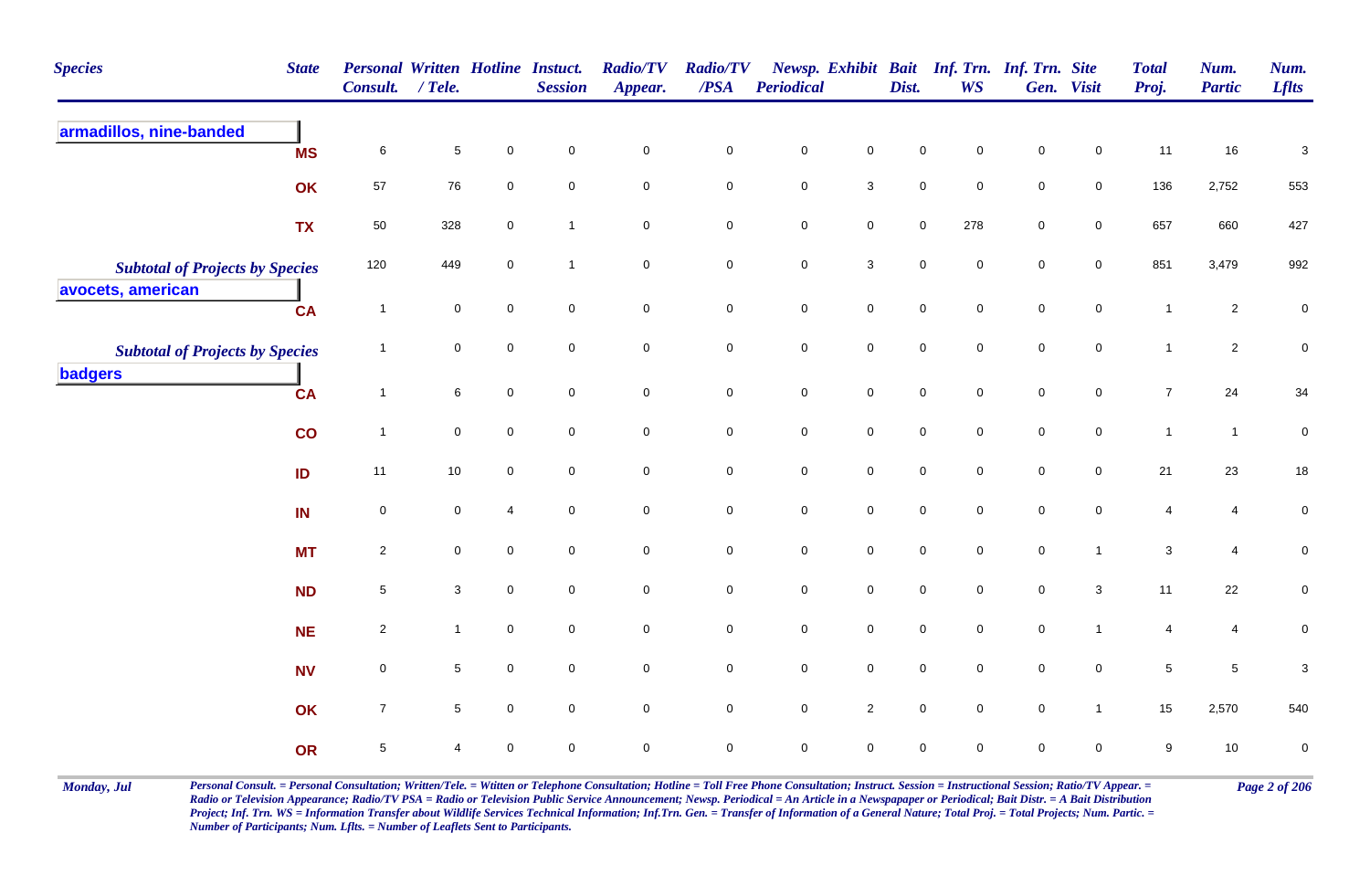| <b>Species</b><br><b>State</b>                              | Personal Written Hotline Instuct.<br><b>Consult.</b> | / Tele.                   |                     | <b>Session</b>      | <b>Radio/TV</b><br>Appear. | <b>Radio/TV</b><br>$\overline{PSA}$ | Periodical          |                     | Dist.               | <b>WS</b>           | Newsp. Exhibit Bait Inf. Trn. Inf. Trn. Site | Gen. Visit          | <b>Total</b><br>Proj. | Num.<br><b>Partic</b> | Num.<br><b>Lflts</b> |
|-------------------------------------------------------------|------------------------------------------------------|---------------------------|---------------------|---------------------|----------------------------|-------------------------------------|---------------------|---------------------|---------------------|---------------------|----------------------------------------------|---------------------|-----------------------|-----------------------|----------------------|
| armadillos, nine-banded<br><b>MS</b>                        | $\,6\,$                                              | $\,$ 5 $\,$               | $\pmb{0}$           | $\mathbf 0$         | $\mathbf 0$                | $\pmb{0}$                           | $\mathbf 0$         | $\mathbf 0$         | 0                   | $\mathbf 0$         | $\mathsf{O}\xspace$                          | $\mathbf 0$         | 11                    | 16                    | $\mathbf{3}$         |
| OK                                                          | 57                                                   | 76                        | $\mathbf 0$         | $\mathsf{O}\xspace$ | $\mathsf{O}\xspace$        | $\mathbf 0$                         | $\mathsf{O}\xspace$ | $\mathbf{3}$        | $\mathsf{O}\xspace$ | $\mathbf 0$         | $\mathsf{O}\xspace$                          | $\mathsf{O}\xspace$ | 136                   | 2,752                 | 553                  |
| <b>TX</b>                                                   | 50                                                   | 328                       | $\mathbf 0$         | $\mathbf{1}$        | $\mathbf 0$                | $\mathsf{O}\xspace$                 | $\mathsf{O}\xspace$ | $\mathsf{O}\xspace$ | $\mathsf{O}\xspace$ | 278                 | $\mathbf 0$                                  | $\mathsf{O}\xspace$ | 657                   | 660                   | 427                  |
| <b>Subtotal of Projects by Species</b><br>avocets, american | 120                                                  | 449                       | $\mathsf 0$         | $\mathbf{1}$        | $\mathsf{O}\xspace$        | $\mathbf 0$                         | $\mathsf{O}\xspace$ | $\mathbf{3}$        | $\mathbf 0$         | $\mathsf{O}\xspace$ | $\mathbf 0$                                  | $\mathsf{O}\xspace$ | 851                   | 3,479                 | 992                  |
| <b>CA</b>                                                   | $\overline{1}$                                       | $\mathbf 0$               | $\mathbf 0$         | $\mathbf 0$         | $\mathsf{O}\xspace$        | $\mathsf 0$                         | $\mathsf{O}\xspace$ | $\mathsf{O}\xspace$ | $\mathbf 0$         | $\mathbf 0$         | $\mathsf{O}\xspace$                          | $\mathsf{O}\xspace$ | $\overline{1}$        | $\overline{2}$        | $\mathbf 0$          |
| <b>Subtotal of Projects by Species</b>                      | $\overline{1}$                                       | $\mathbf 0$               | $\mathbf 0$         | $\mathbf 0$         | $\mathsf{O}\xspace$        | $\pmb{0}$                           | $\mathsf{O}\xspace$ | $\mathsf{O}\xspace$ | $\mathbf 0$         | $\mathbf 0$         | $\mathsf{O}\xspace$                          | $\mathsf{O}\xspace$ | $\mathbf{1}$          | $\overline{2}$        | $\pmb{0}$            |
| badgers<br><b>CA</b>                                        | $\overline{1}$                                       | 6                         | $\mathbf 0$         | $\mathbf 0$         | $\overline{0}$             | $\mathsf 0$                         | $\mathbf 0$         | $\mathsf{O}\xspace$ | $\mathbf 0$         | $\mathbf 0$         | $\mathbf 0$                                  | $\overline{0}$      | $\overline{7}$        | 24                    | 34                   |
| $\mathbf{CO}$                                               | $\overline{1}$                                       | $\mathbf 0$               | $\mathsf{O}\xspace$ | $\mathbf 0$         | $\mathsf{O}\xspace$        | $\mathbf 0$                         | $\mathsf{O}\xspace$ | $\mathsf{O}\xspace$ | $\mathbf 0$         | $\mathbf 0$         | $\mathsf{O}\xspace$                          | $\mathbf 0$         | $\mathbf{1}$          | $\overline{1}$        | $\pmb{0}$            |
| ID                                                          | 11                                                   | $10\,$                    | $\mathbf 0$         | $\mathbf 0$         | $\mathsf{O}\xspace$        | $\mathsf 0$                         | $\mathsf{O}\xspace$ | $\mathbf 0$         | $\mathsf{O}\xspace$ | $\mathbf 0$         | $\mathsf{O}\xspace$                          | $\mathbf 0$         | 21                    | 23                    | 18                   |
| IN                                                          | $\mathbf 0$                                          | $\mathbf 0$               | $\overline{4}$      | $\mathbf 0$         | $\overline{0}$             | $\mathsf 0$                         | $\mathbf 0$         | $\mathsf{O}\xspace$ | $\mathbf 0$         | $\mathbf 0$         | $\mathbf 0$                                  | $\mathbf 0$         | 4                     | 4                     | $\mathbf 0$          |
| <b>MT</b>                                                   | $\overline{c}$                                       | $\mathbf 0$               | $\mathbf 0$         | $\mathbf 0$         | $\mathsf{O}\xspace$        | $\mathbf 0$                         | $\mathbf 0$         | $\mathsf{O}\xspace$ | $\mathbf 0$         | $\mathbf 0$         | $\pmb{0}$                                    | $\mathbf{1}$        | $\mathbf{3}$          | 4                     | $\pmb{0}$            |
| <b>ND</b>                                                   | $\sqrt{5}$                                           | $\ensuremath{\mathsf{3}}$ | $\mathsf 0$         | $\mathbf 0$         | $\mathbf 0$                | $\mathbf 0$                         | $\mathsf{O}\xspace$ | $\mathbf 0$         | $\mathsf{O}\xspace$ | $\mathbf 0$         | $\mathbf 0$                                  | $\mathbf 3$         | 11                    | 22                    | $\pmb{0}$            |
| <b>NE</b>                                                   | $\overline{2}$                                       | $\mathbf{1}$              | $\mathbf 0$         | $\mathbf 0$         | $\mathsf{O}\xspace$        | $\mathsf 0$                         | $\mathsf{O}\xspace$ | $\mathsf{O}\xspace$ | $\mathbf 0$         | $\mathsf{O}\xspace$ | $\mathsf{O}\xspace$                          | $\mathbf{1}$        | 4                     | 4                     | $\pmb{0}$            |
| <b>NV</b>                                                   | $\mathbf 0$                                          | $\sqrt{5}$                | $\mathsf{O}\xspace$ | $\mathbf 0$         | $\mathsf{O}\xspace$        | $\mathsf 0$                         | $\mathsf{O}\xspace$ | $\mathsf 0$         | $\mathbf 0$         | $\mathbf 0$         | $\mathbf 0$                                  | $\mathbf 0$         | 5                     | $\,$ 5 $\,$           | $\mathbf{3}$         |
| OK                                                          | $\boldsymbol{7}$                                     | $\sqrt{5}$                | $\pmb{0}$           | $\pmb{0}$           | $\pmb{0}$                  | $\mathbf 0$                         | $\mathsf{O}\xspace$ | $\overline{2}$      | $\mathbf 0$         | $\mathsf{O}\xspace$ | $\mathbf 0$                                  | $\mathbf{1}$        | 15                    | 2,570                 | 540                  |
| OR                                                          | $\sqrt{5}$                                           | 4                         | $\pmb{0}$           | $\mathbf 0$         | $\mathsf{O}\xspace$        | $\mathbf 0$                         | $\mathbf 0$         | $\mathsf 0$         | $\mathbf 0$         | $\mathbf 0$         | $\mathbf 0$                                  | $\mathbf 0$         | 9                     | $10\,$                | $\pmb{0}$            |

Monday, Jul Personal Consult. = Personal Consultation; Written/Tele. = Witten or Telephone Consultation; Hotline = Toll Free Phone Consultation; Instruct. Session = Instructional Session; Ratio/TV Appear. = Page 2 of 206 *Radio or Television Appearance; Radio/TV PSA = Radio or Television Public Service Announcement; Newsp. Periodical = An Article in a Newspapaper or Periodical; Bait Distr. = A Bait Distribution*  Project; Inf. Trn. WS = Information Transfer about Wildlife Services Technical Information; Inf.Trn. Gen. = Transfer of Information of a General Nature; Total Proj. = Total Projects; Num. Partic. = *Number of Participants; Num. Lflts. = Number of Leaflets Sent to Participants.*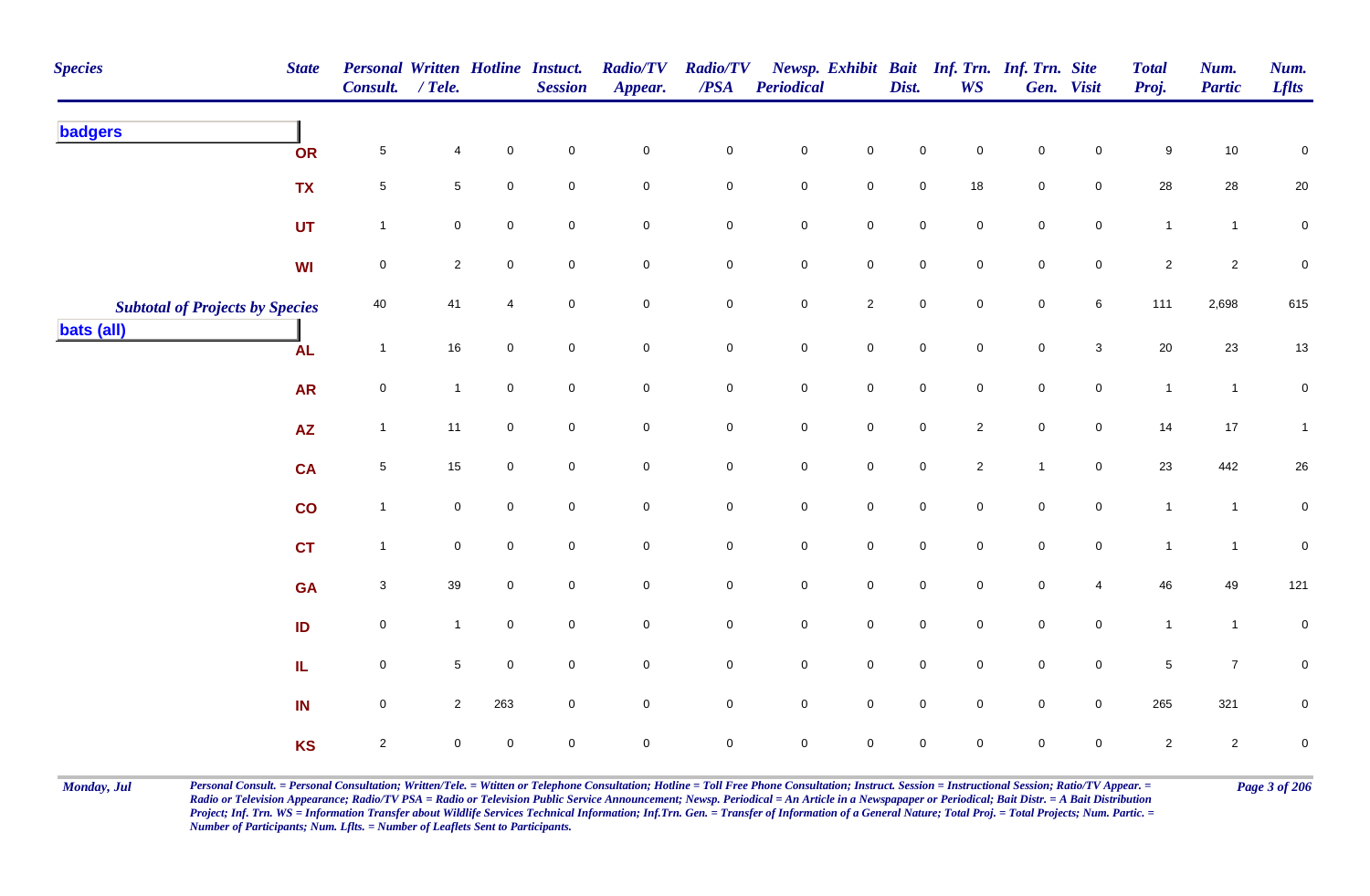| <b>Species</b>                         | <b>State</b>    | Personal Written Hotline Instuct.<br>Consult. / Tele. |                |                | <b>Session</b>      | <b>Radio/TV</b><br>Appear. | <b>Radio/TV</b><br>$\boldsymbol{PSA}$ | <b>Periodical</b>   |                     | Dist.               | <b>WS</b>           | Newsp. Exhibit Bait Inf. Trn. Inf. Trn. Site | Gen. Visit          | <b>Total</b><br>Proj. | Num.<br><b>Partic</b> | Num.<br><b>Lflts</b> |
|----------------------------------------|-----------------|-------------------------------------------------------|----------------|----------------|---------------------|----------------------------|---------------------------------------|---------------------|---------------------|---------------------|---------------------|----------------------------------------------|---------------------|-----------------------|-----------------------|----------------------|
| <b>badgers</b>                         | OR              | $\sqrt{5}$                                            | 4              | $\mathbf 0$    | $\pmb{0}$           | $\pmb{0}$                  | $\mathbf 0$                           | $\mathbf 0$         | $\pmb{0}$           | 0                   | $\mathbf 0$         | 0                                            | 0                   | 9                     | $10$                  | $\mathbf 0$          |
|                                        | <b>TX</b>       | $\,$ 5 $\,$                                           | 5              | $\pmb{0}$      | $\mathbf 0$         | $\mathbf 0$                | $\mathbf 0$                           | $\mathbf 0$         | $\mathbf 0$         | $\mathbf 0$         | $18\,$              | $\mathbf 0$                                  | $\mathbf 0$         | 28                    | 28                    | 20                   |
|                                        | <b>UT</b>       | $\mathbf{1}$                                          | 0              | $\pmb{0}$      | $\mathbf 0$         | $\mathbf 0$                | $\mathbf 0$                           | $\mathbf 0$         | $\mathbf 0$         | $\mathbf 0$         | 0                   | $\mathbf 0$                                  | $\mathbf 0$         | $\mathbf{1}$          | $\mathbf{1}$          | $\mathbf 0$          |
|                                        | WI              | $\mathbf 0$                                           | $\overline{2}$ | $\mathbf 0$    | $\mathbf 0$         | $\mathbf 0$                | $\mathbf 0$                           | $\pmb{0}$           | $\mathbf 0$         | $\mathbf 0$         | $\mathbf 0$         | $\mathbf 0$                                  | $\mathbf 0$         | $\overline{2}$        | $\overline{2}$        | $\pmb{0}$            |
| <b>Subtotal of Projects by Species</b> |                 | 40                                                    | 41             | $\overline{4}$ | $\mathbf 0$         | $\mathbf 0$                | $\pmb{0}$                             | $\mathbf 0$         | $\overline{2}$      | $\mathbf 0$         | $\overline{0}$      | $\mathbf 0$                                  | 6                   | 111                   | 2,698                 | 615                  |
| <b>bats (all)</b>                      | <b>AL</b>       | $\mathbf{1}$                                          | 16             | $\mathbf 0$    | $\mathbf 0$         | $\mathbf 0$                | $\mathbf 0$                           | $\pmb{0}$           | $\mathbf 0$         | $\mathbf 0$         | $\overline{0}$      | $\mathbf 0$                                  | $\mathbf{3}$        | $20\,$                | $23\,$                | 13                   |
|                                        | <b>AR</b>       | $\mathbf 0$                                           | $\mathbf{1}$   | $\mathbf 0$    | $\overline{0}$      | $\mathsf{O}\xspace$        | $\mathsf 0$                           | $\mathbf 0$         | $\mathsf{O}\xspace$ | $\mathsf{O}\xspace$ | $\mathbf 0$         | $\mathbf 0$                                  | $\mathsf{O}\xspace$ | $\mathbf{1}$          | $\mathbf{1}$          | ${\bf 0}$            |
|                                        | $\overline{AZ}$ | $\mathbf{1}$                                          | 11             | $\mathbf 0$    | $\mathbf 0$         | $\mathsf{O}\xspace$        | $\mathsf{O}\xspace$                   | $\mathbf 0$         | $\overline{0}$      | $\mathsf{O}\xspace$ | $\overline{2}$      | $\mathbf 0$                                  | $\mathbf 0$         | 14                    | $17$                  | $\mathbf{1}$         |
|                                        | <b>CA</b>       | $\sqrt{5}$                                            | 15             | $\mathbf 0$    | $\mathsf{O}\xspace$ | $\mathbf 0$                | $\pmb{0}$                             | $\mathbf 0$         | $\mathbf 0$         | $\mathsf{O}\xspace$ | $\overline{2}$      | $\overline{1}$                               | $\mathbf 0$         | 23                    | 442                   | 26                   |
|                                        | $\mathsf{co}$   | $\mathbf{1}$                                          | $\pmb{0}$      | $\mathbf 0$    | $\mathbf 0$         | $\mathbf 0$                | $\pmb{0}$                             | $\pmb{0}$           | $\mathbf 0$         | $\mathbf 0$         | $\mathbf 0$         | $\pmb{0}$                                    | $\mathbf 0$         | $\overline{1}$        | $\mathbf{1}$          | ${\bf 0}$            |
|                                        | <b>CT</b>       | $\mathbf{1}$                                          | 0              | $\mathbf 0$    | $\mathbf 0$         | $\mathbf 0$                | $\mathbf 0$                           | $\mathsf{O}\xspace$ | $\mathbf 0$         | $\mathsf{O}\xspace$ | $\overline{0}$      | $\mathsf{O}\xspace$                          | $\mathbf 0$         | $\overline{1}$        | $\mathbf{1}$          | $\mathbf 0$          |
|                                        | <b>GA</b>       | $\sqrt{3}$                                            | 39             | $\mathbf 0$    | $\overline{0}$      | $\mathbf 0$                | $\mathbf 0$                           | $\mathbf 0$         | $\mathbf 0$         | $\mathsf{O}\xspace$ | $\mathbf 0$         | $\mathbf 0$                                  | $\overline{4}$      | 46                    | 49                    | 121                  |
|                                        | ID              | $\mathsf 0$                                           | $\mathbf{1}$   | $\mathbf 0$    | $\overline{0}$      | $\mathbf 0$                | $\mathbf 0$                           | $\mathsf{O}\xspace$ | $\mathbf 0$         | $\mathsf{O}\xspace$ | $\overline{0}$      | $\mathsf{O}\xspace$                          | $\overline{0}$      | $\mathbf{1}$          | $\mathbf{1}$          | $\pmb{0}$            |
|                                        | IL.             | $\mathbf 0$                                           | 5              | $\mathbf 0$    | $\mathsf{O}\xspace$ | $\mathsf{O}\xspace$        | $\mathsf{O}\xspace$                   | $\mathsf{O}\xspace$ | $\mathsf{O}\xspace$ | $\mathsf{O}\xspace$ | $\mathbf 0$         | $\mathsf{O}\xspace$                          | $\mathbf 0$         | $\overline{5}$        | $\overline{7}$        | $\pmb{0}$            |
|                                        | IN              | $\mathsf 0$                                           | $\overline{2}$ | 263            | $\mathbf 0$         | $\mathsf{O}\xspace$        | $\mathbf 0$                           | $\mathsf{O}\xspace$ | $\mathsf{O}\xspace$ | $\mathbf 0$         | $\mathbf 0$         | $\mathsf{O}\xspace$                          | $\mathbf 0$         | 265                   | 321                   | ${\bf 0}$            |
|                                        | <b>KS</b>       | $\sqrt{2}$                                            | 0              | $\pmb{0}$      | $\mathsf{O}\xspace$ | $\pmb{0}$                  | $\mathsf 0$                           | $\mathbf 0$         | $\mathbf 0$         | $\mathsf{O}\xspace$ | $\mathsf{O}\xspace$ | $\mathbf 0$                                  | $\mathbf 0$         | $\overline{c}$        | $\overline{2}$        | $\pmb{0}$            |

Monday, Jul Personal Consult. = Personal Consultation; Written/Tele. = Witten or Telephone Consultation; Hotline = Toll Free Phone Consultation; Instruct. Session = Instructional Session; Ratio/TV Appear. = Page 3 of 206 *Radio or Television Appearance; Radio/TV PSA = Radio or Television Public Service Announcement; Newsp. Periodical = An Article in a Newspapaper or Periodical; Bait Distr. = A Bait Distribution*  Project; Inf. Trn. WS = Information Transfer about Wildlife Services Technical Information; Inf.Trn. Gen. = Transfer of Information of a General Nature; Total Proj. = Total Projects; Num. Partic. = *Number of Participants; Num. Lflts. = Number of Leaflets Sent to Participants.*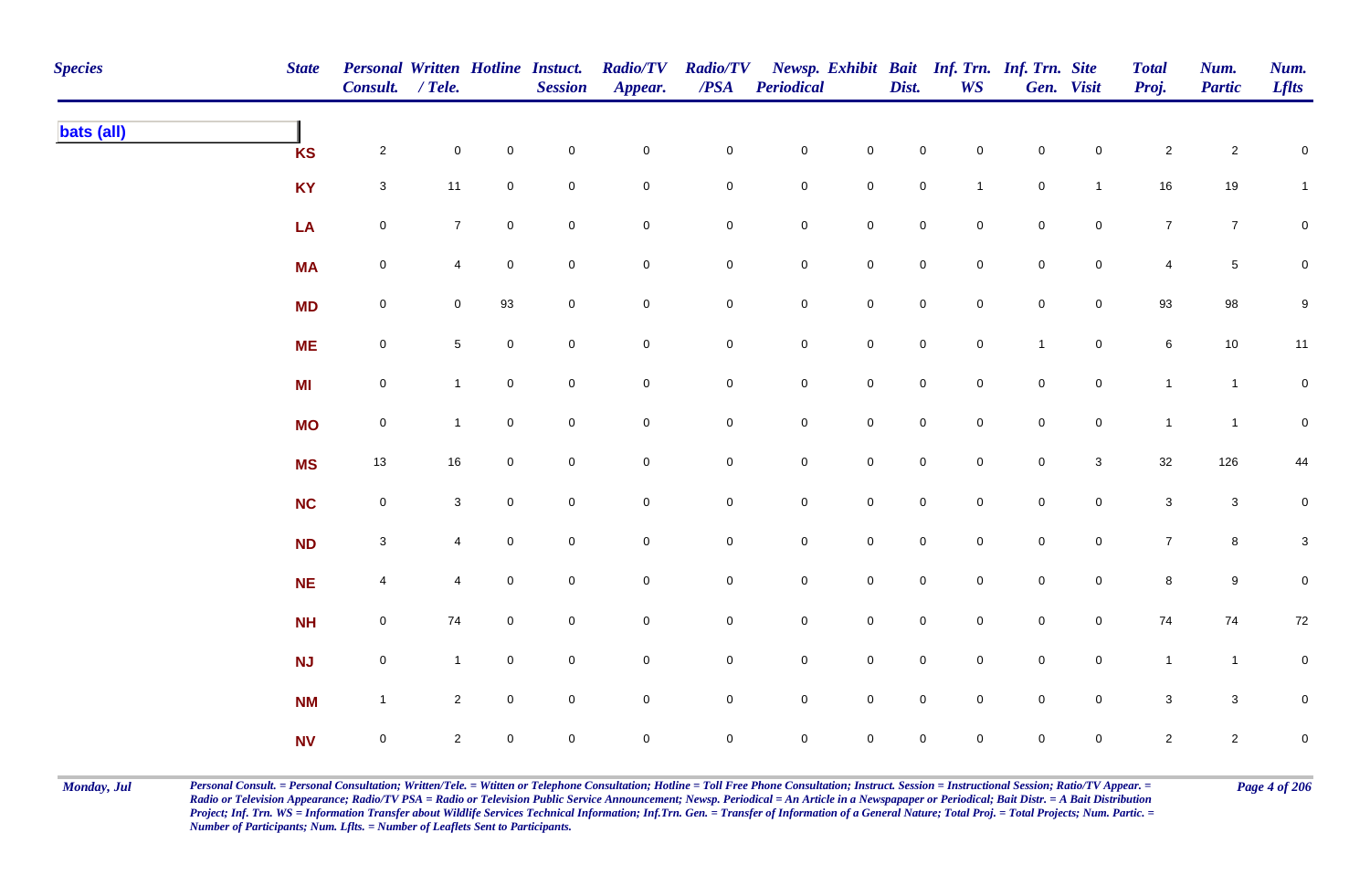| <b>Species</b> | <b>State</b> | <b>Personal Written Hotline Instuct.</b><br>Consult. / Tele. |                     |                     | <b>Session</b>      | <b>Radio/TV</b><br>Appear. | <b>Radio/TV</b><br>$\overline{PSA}$ | <b>Periodical</b>   |                     | Dist.               | <b>WS</b>           | Newsp. Exhibit Bait Inf. Trn. Inf. Trn. Site | Gen. Visit     | <b>Total</b><br>Proj. | Num.<br><b>Partic</b> | Num.<br><b>Lflts</b> |
|----------------|--------------|--------------------------------------------------------------|---------------------|---------------------|---------------------|----------------------------|-------------------------------------|---------------------|---------------------|---------------------|---------------------|----------------------------------------------|----------------|-----------------------|-----------------------|----------------------|
| bats (all)     | <b>KS</b>    | $\overline{a}$                                               | $\mathsf{O}\xspace$ | $\mathbf 0$         | $\mathbf 0$         | $\mathbf 0$                | $\mathsf{O}\xspace$                 | $\mathbf 0$         | $\mathsf{O}\xspace$ | $\mathbf 0$         | $\mathsf{O}\xspace$ | $\mathbf 0$                                  | $\mathbf 0$    | $\sqrt{2}$            | $\overline{2}$        | $\mathbf 0$          |
|                | <b>KY</b>    | $\mathbf{3}$                                                 | 11                  | $\mathbf 0$         | $\pmb{0}$           | $\pmb{0}$                  | $\mathsf{O}\xspace$                 | $\mathbf 0$         | $\mathbf 0$         | $\mathbf 0$         | $\mathbf{1}$        | $\mathbf 0$                                  | $\mathbf{1}$   | $16\,$                | 19                    | $\mathbf{1}$         |
|                | LA           | $\mathbf 0$                                                  | $\overline{7}$      | $\mathbf 0$         | $\pmb{0}$           | $\pmb{0}$                  | $\mathsf{O}\xspace$                 | $\mathbf 0$         | $\mathbf 0$         | $\mathbf 0$         | $\mathbf 0$         | $\mathbf 0$                                  | $\mathbf 0$    | $\overline{7}$        | $\overline{7}$        | $\mathbf 0$          |
|                | <b>MA</b>    | $\mathbf 0$                                                  | 4                   | $\mathbf 0$         | $\pmb{0}$           | 0                          | $\mathsf{O}\xspace$                 | $\mathbf 0$         | $\mathbf 0$         | $\mathsf{O}\xspace$ | $\mathbf 0$         | $\mathbf 0$                                  | $\mathbf 0$    | 4                     | $5\phantom{.0}$       | 0                    |
|                | <b>MD</b>    | $\mathbf 0$                                                  | $\mathbf 0$         | 93                  | $\mathsf{O}\xspace$ | $\mathsf{O}\xspace$        | $\mathbf 0$                         | $\mathbf 0$         | $\mathbf 0$         | $\mathbf 0$         | $\mathbf 0$         | $\mathbf 0$                                  | $\mathbf 0$    | 93                    | 98                    | 9                    |
|                | <b>ME</b>    | $\mathbf 0$                                                  | 5 <sup>5</sup>      | $\mathsf{O}\xspace$ | $\mathbf 0$         | $\overline{0}$             | $\mathbf 0$                         | $\mathbf 0$         | $\mathsf 0$         | $\mathbf 0$         | $\mathsf{O}\xspace$ | $\mathbf{1}$                                 | $\overline{0}$ | $\,6\,$               | $10\,$                | $11$                 |
|                | <b>MI</b>    | $\mathbf 0$                                                  | $\mathbf{1}$        | $\mathbf 0$         | $\mathbf 0$         | $\mathbf 0$                | $\mathsf{O}\xspace$                 | $\mathbf 0$         | $\mathsf{O}\xspace$ | $\mathbf 0$         | $\mathbf 0$         | $\mathbf 0$                                  | $\mathbf 0$    | $\mathbf{1}$          | $\mathbf{1}$          | $\pmb{0}$            |
|                | <b>MO</b>    | $\mathbf 0$                                                  | $\mathbf{1}$        | $\mathbf 0$         | $\pmb{0}$           | 0                          | $\mathsf{O}\xspace$                 | $\mathbf 0$         | $\mathbf 0$         | $\mathsf{O}\xspace$ | $\mathbf 0$         | $\mathbf 0$                                  | $\mathbf 0$    | $\mathbf{1}$          | $\mathbf{1}$          | $\mathbf 0$          |
|                | <b>MS</b>    | $13$                                                         | 16                  | $\mathbf 0$         | $\mathsf{O}\xspace$ | 0                          | $\mathbf 0$                         | $\mathsf{O}\xspace$ | $\mathbf 0$         | $\mathbf 0$         | $\mathbf 0$         | $\overline{0}$                               | 3              | 32                    | 126                   | 44                   |
|                | NC           | $\mathbf 0$                                                  | $\mathbf{3}$        | $\mathsf{O}\xspace$ | $\pmb{0}$           | $\mathsf{O}\xspace$        | $\mathsf{O}\xspace$                 | $\mathbf 0$         | $\pmb{0}$           | $\mathsf{O}\xspace$ | $\mathbf 0$         | $\mathbf 0$                                  | $\overline{0}$ | $\mathbf{3}$          | $\mathbf{3}$          | $\mathbf 0$          |
|                | <b>ND</b>    | $\mathbf{3}$                                                 | 4                   | $\mathsf{O}\xspace$ | $\mathbf 0$         | $\mathbf 0$                | $\mathsf{O}\xspace$                 | $\mathbf 0$         | $\mathbf 0$         | $\mathsf{O}\xspace$ | $\mathsf{O}\xspace$ | $\mathbf 0$                                  | $\mathbf 0$    | $\overline{7}$        | $8\phantom{.}$        | $\mathbf 3$          |
|                | <b>NE</b>    | $\overline{4}$                                               | 4                   | $\mathbf 0$         | $\pmb{0}$           | $\mathbf 0$                | $\mathsf{O}\xspace$                 | $\mathbf 0$         | $\mathbf 0$         | $\mathsf{O}\xspace$ | $\mathbf 0$         | $\mathbf 0$                                  | $\mathbf 0$    | $\bf 8$               | $9\,$                 | $\mathbf 0$          |
|                | <b>NH</b>    | $\mathbf 0$                                                  | 74                  | $\mathbf 0$         | $\pmb{0}$           | $\mathbf 0$                | 0                                   | $\boldsymbol{0}$    | $\mathbf 0$         | $\mathbf 0$         | $\mathbf 0$         | $\mathbf 0$                                  | $\mathsf{O}$   | 74                    | 74                    | 72                   |
|                | <b>NJ</b>    | $\mathsf{O}\xspace$                                          | $\mathbf{1}$        | $\mathbf 0$         | $\mathbf 0$         | $\mathsf{O}\xspace$        | $\mathbf 0$                         | $\mathbf 0$         | $\mathsf{O}\xspace$ | $\mathsf{O}\xspace$ | $\mathbf 0$         | $\mathsf{O}\xspace$                          | $\mathbf 0$    | $\mathbf{1}$          | $\overline{1}$        | $\mathbf 0$          |
|                | <b>NM</b>    | $\mathbf{1}$                                                 | $\overline{2}$      | $\mathsf{O}\xspace$ | $\pmb{0}$           | $\mathsf{O}\xspace$        | $\mathsf{O}\xspace$                 | $\mathbf 0$         | $\mathsf 0$         | $\mathsf 0$         | $\mathbf 0$         | $\mathbf 0$                                  | $\mathbf 0$    | $\mathbf{3}$          | $\mathbf{3}$          | $\pmb{0}$            |
|                | <b>NV</b>    | $\mathbf 0$                                                  | $\overline{2}$      | $\mathbf 0$         | $\mathbf 0$         | $\mathsf{O}\xspace$        | $\mathbf 0$                         | $\mathbf 0$         | $\pmb{0}$           | $\mathsf{O}\xspace$ | $\mathbf 0$         | $\mathsf{O}\xspace$                          | $\mathbf 0$    | $\overline{2}$        | $\overline{2}$        | $\mathbf 0$          |

Monday, Jul Personal Consult. = Personal Consultation; Written/Tele. = Witten or Telephone Consultation; Hotline = Toll Free Phone Consultation; Instruct. Session = Instructional Session; Ratio/TV Appear. = Page 4 of 206 *Radio or Television Appearance; Radio/TV PSA = Radio or Television Public Service Announcement; Newsp. Periodical = An Article in a Newspapaper or Periodical; Bait Distr. = A Bait Distribution*  Project; Inf. Trn. WS = Information Transfer about Wildlife Services Technical Information; Inf.Trn. Gen. = Transfer of Information of a General Nature; Total Proj. = Total Projects; Num. Partic. = *Number of Participants; Num. Lflts. = Number of Leaflets Sent to Participants.*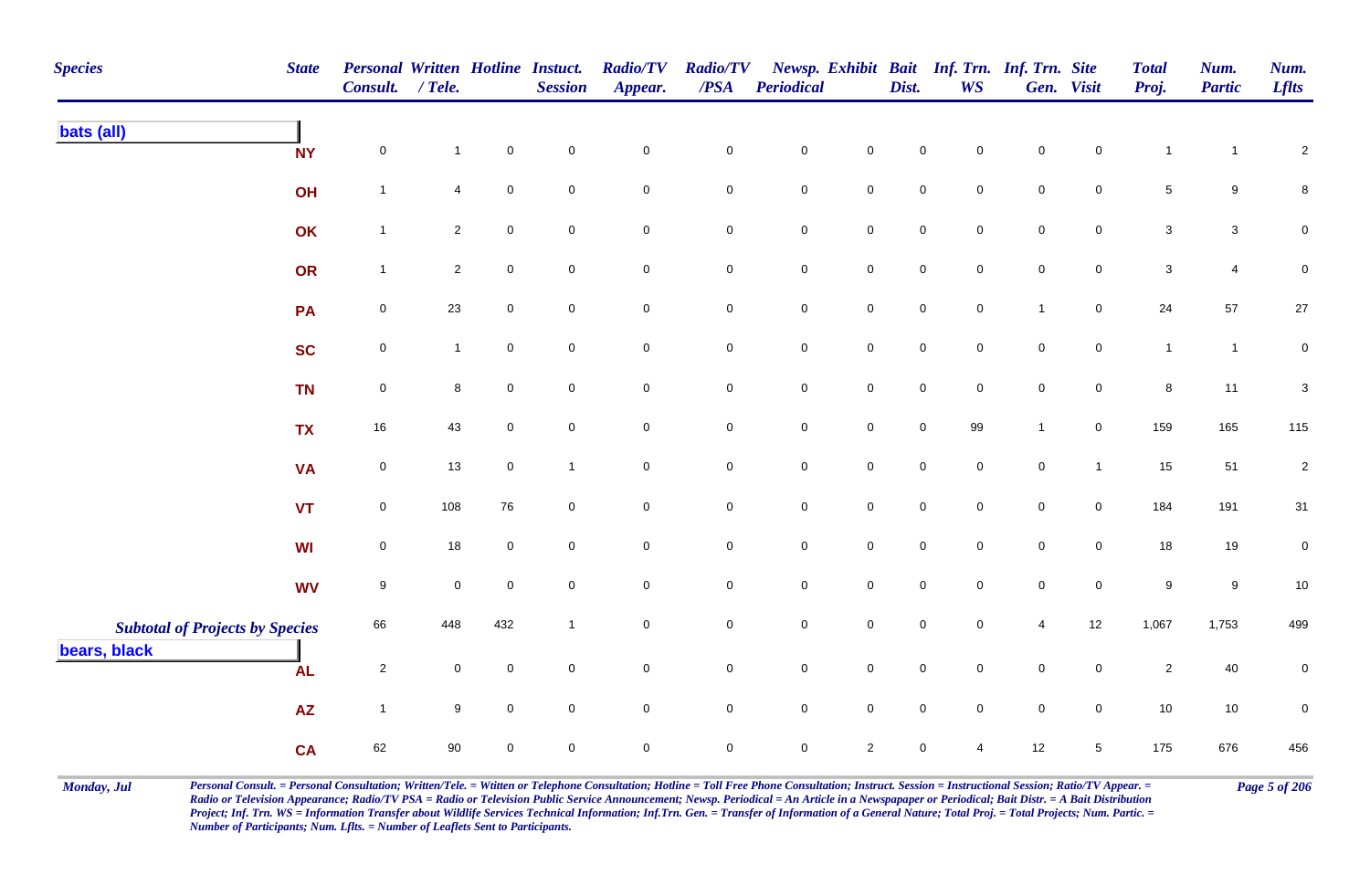| <b>Species</b>                                         | <b>State</b> | <b>Personal Written Hotline Instuct.</b><br>Consult. / Tele. |                |                     | <b>Session</b>      | <b>Radio/TV</b><br>Appear. | <b>Radio/TV</b><br>$\overline{PSA}$ | <b>Periodical</b>   |                     | Dist.       | Newsp. Exhibit Bait Inf. Trn. Inf. Trn. Site<br><b>WS</b> |                | Gen. Visit     | <b>Total</b><br>Proj. | Num.<br><b>Partic</b> | Num.<br><b>Lflts</b>      |
|--------------------------------------------------------|--------------|--------------------------------------------------------------|----------------|---------------------|---------------------|----------------------------|-------------------------------------|---------------------|---------------------|-------------|-----------------------------------------------------------|----------------|----------------|-----------------------|-----------------------|---------------------------|
| bats (all)                                             | <b>NY</b>    | $\mathsf 0$                                                  | $\mathbf{1}$   | $\mathsf{O}\xspace$ | $\mathbf 0$         | $\mathsf{O}\xspace$        | $\pmb{0}$                           | $\pmb{0}$           | $\mathbf 0$         | $\mathbf 0$ | 0                                                         | $\mathbf 0$    | 0              | $\mathbf{1}$          | $\mathbf{1}$          | $\overline{\mathbf{c}}$   |
|                                                        | OH           | $\mathbf{1}$                                                 | 4              | $\pmb{0}$           | $\mathbf 0$         | $\mathsf{O}\xspace$        | $\mathbf 0$                         | $\pmb{0}$           | $\mathbf 0$         | $\pmb{0}$   | $\mathbf 0$                                               | $\mathbf 0$    | 0              | $\sqrt{5}$            | $\boldsymbol{9}$      | 8                         |
|                                                        | OK           | $\mathbf{1}$                                                 | $\overline{a}$ | $\mathsf{O}\xspace$ | $\mathbf 0$         | $\mathbf 0$                | $\mathbf 0$                         | $\mathbf 0$         | $\mathsf{O}$        | $\mathsf 0$ | $\mathbf 0$                                               | $\mathbf 0$    | 0              | $\mathbf{3}$          | $\mathbf{3}$          | 0                         |
|                                                        | OR           | $\mathbf{1}$                                                 | $\overline{2}$ | $\mathsf{O}\xspace$ | $\mathbf 0$         | $\mathbf 0$                | $\mathbf 0$                         | $\mathbf 0$         | $\mathbf 0$         | $\pmb{0}$   | $\mathbf 0$                                               | $\mathbf 0$    | 0              | $\sqrt{3}$            | 4                     | 0                         |
|                                                        | PA           | $\mathsf 0$                                                  | 23             | $\mathbf 0$         | $\mathbf 0$         | $\overline{0}$             | $\overline{0}$                      | $\pmb{0}$           | $\overline{0}$      | $\mathsf 0$ | $\mathbf 0$                                               | $\overline{1}$ | $\mathbf 0$    | 24                    | 57                    | 27                        |
|                                                        | <b>SC</b>    | $\pmb{0}$                                                    | $\overline{1}$ | $\mathbf 0$         | $\mathbf 0$         | $\mathbf 0$                | $\mathsf{O}\xspace$                 | $\mathbf 0$         | $\mathsf 0$         | $\pmb{0}$   | $\mathbf 0$                                               | $\mathbf 0$    | $\mathbf 0$    | $\mathbf{1}$          | $\mathbf{1}$          | $\mathbf 0$               |
|                                                        | <b>TN</b>    | $\mathsf 0$                                                  | 8              | $\mathbf 0$         | $\mathbf 0$         | $\overline{0}$             | $\overline{0}$                      | $\mathbf 0$         | $\mathsf 0$         | $\mathsf 0$ | $\mathbf 0$                                               | $\mathbf 0$    | $\mathbf 0$    | $\bf8$                | 11                    | $\ensuremath{\mathsf{3}}$ |
|                                                        | <b>TX</b>    | 16                                                           | 43             | $\mathsf{O}\xspace$ | $\mathbf 0$         | $\mathbf 0$                | $\mathbf 0$                         | $\mathbf 0$         | $\mathsf 0$         | $\pmb{0}$   | 99                                                        | $\mathbf{1}$   | $\mathbf 0$    | 159                   | 165                   | 115                       |
|                                                        | <b>VA</b>    | $\pmb{0}$                                                    | 13             | $\mathsf{O}\xspace$ | $\overline{1}$      | $\overline{0}$             | $\mathbf 0$                         | $\mathbf 0$         | $\mathsf 0$         | $\pmb{0}$   | $\mathbf 0$                                               | $\pmb{0}$      | $\overline{1}$ | 15                    | 51                    | $\boldsymbol{2}$          |
|                                                        | <b>VT</b>    | $\mathsf 0$                                                  | 108            | 76                  | $\mathbf 0$         | $\mathbf 0$                | $\mathbf 0$                         | $\mathbf 0$         | $\mathsf{O}\xspace$ | $\mathsf 0$ | $\mathbf 0$                                               | $\mathbf 0$    | $\mathbf 0$    | 184                   | 191                   | 31                        |
|                                                        | WI           | $\mathsf 0$                                                  | 18             | $\mathbf 0$         | $\mathbf 0$         | $\mathbf 0$                | $\mathbf 0$                         | $\mathsf{O}\xspace$ | $\mathbf 0$         | $\mathbf 0$ | 0                                                         | $\mathbf 0$    | $\mathbf{0}$   | 18                    | 19                    | 0                         |
|                                                        | <b>WV</b>    | 9                                                            | 0              | $\mathbf 0$         | $\mathbf 0$         | $\mathsf{O}\xspace$        | $\mathsf{O}\xspace$                 | $\mathbf 0$         | $\mathsf{O}\xspace$ | $\mathbf 0$ | $\Omega$                                                  | $\mathbf 0$    | 0              | $\boldsymbol{9}$      | $\boldsymbol{9}$      | $10\,$                    |
| <b>Subtotal of Projects by Species</b><br>bears, black |              | 66                                                           | 448            | 432                 | $\overline{1}$      | $\mathsf{O}\xspace$        | $\mathbf 0$                         | $\pmb{0}$           | $\mathbf 0$         | $\mathsf 0$ | 0                                                         | $\overline{4}$ | $12$           | 1,067                 | 1,753                 | 499                       |
|                                                        | <b>AL</b>    | $\sqrt{2}$                                                   | 0              | $\mathbf 0$         | $\mathbf 0$         | $\overline{0}$             | $\mathbf 0$                         | $\mathsf{O}\xspace$ | $\overline{0}$      | $\mathbf 0$ | $\mathbf 0$                                               | $\mathbf 0$    | $\mathbf 0$    | $\overline{2}$        | 40                    | 0                         |
|                                                        | <b>AZ</b>    | $\mathbf{1}$                                                 | 9              | $\mathbf 0$         | $\mathsf{O}\xspace$ | $\mathsf{O}\xspace$        | $\mathbf 0$                         | $\mathbf 0$         | $\mathbf 0$         | $\pmb{0}$   | $\mathbf 0$                                               | $\pmb{0}$      | $\mathbf 0$    | $10$                  | $10$                  | 0                         |
|                                                        | <b>CA</b>    | 62                                                           | 90             | $\mathbf 0$         | $\mathbf 0$         | $\mathbf 0$                | $\mathbf 0$                         | $\mathbf 0$         | $\overline{2}$      | $\mathbf 0$ | 4                                                         | 12             | 5              | 175                   | 676                   | 456                       |

Monday, Jul Personal Consult. = Personal Consultation; Written/Tele. = Witten or Telephone Consultation; Hotline = Toll Free Phone Consultation; Instruct. Session = Instructional Session; Ratio/TV Appear. = Page 5 of 206 *Radio or Television Appearance; Radio/TV PSA = Radio or Television Public Service Announcement; Newsp. Periodical = An Article in a Newspapaper or Periodical; Bait Distr. = A Bait Distribution*  Project; Inf. Trn. WS = Information Transfer about Wildlife Services Technical Information; Inf.Trn. Gen. = Transfer of Information of a General Nature; Total Proj. = Total Projects; Num. Partic. = *Number of Participants; Num. Lflts. = Number of Leaflets Sent to Participants.*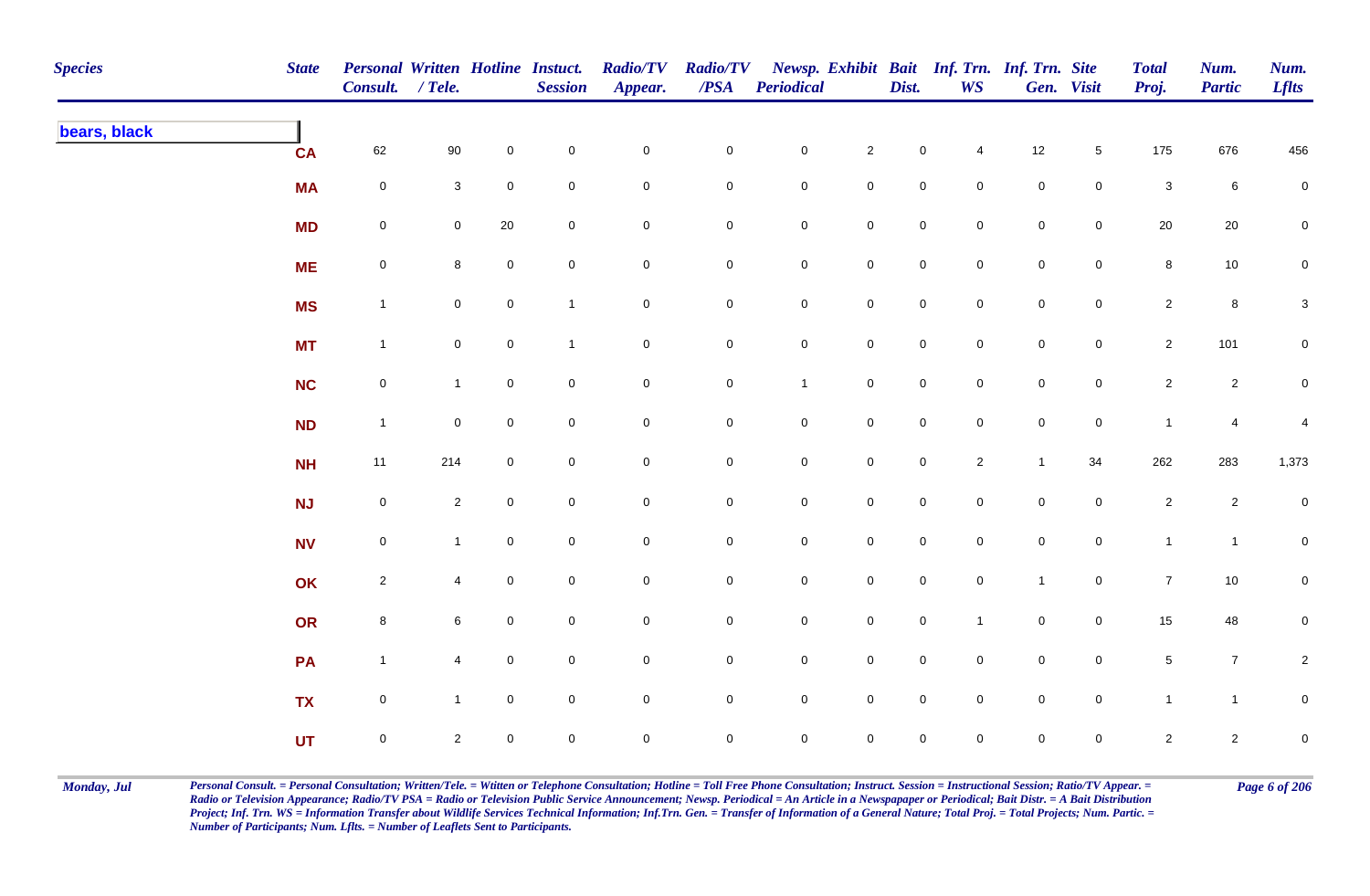| <b>Species</b> | <b>State</b> | <b>Personal Written Hotline Instuct.</b><br>Consult. / Tele. |                     |                     | <b>Session</b>      | <b>Radio/TV</b><br>Appear. | <b>Radio/TV</b><br>$\boldsymbol{PSA}$ | <b>Periodical</b>   |                     | Dist.               | Newsp. Exhibit Bait Inf. Trn. Inf. Trn. Site<br><b>WS</b> |                     | Gen. Visit          | <b>Total</b><br>Proj. | Num.<br><b>Partic</b> | Num.<br><b>Lflts</b> |
|----------------|--------------|--------------------------------------------------------------|---------------------|---------------------|---------------------|----------------------------|---------------------------------------|---------------------|---------------------|---------------------|-----------------------------------------------------------|---------------------|---------------------|-----------------------|-----------------------|----------------------|
| bears, black   | <b>CA</b>    | 62                                                           | $90\,$              | $\mathbf 0$         | $\pmb{0}$           | $\mathbf 0$                | ${\bf 0}$                             | $\mathbf 0$         | $\sqrt{2}$          | $\pmb{0}$           | 4                                                         | 12                  | $\sqrt{5}$          | 175                   | 676                   | 456                  |
|                | <b>MA</b>    | $\mathbf 0$                                                  | $\mathbf{3}$        | $\overline{0}$      | $\mathsf{O}\xspace$ | $\mathbf 0$                | $\mathbf 0$                           | $\mathbf 0$         | $\mathsf{O}\xspace$ | $\mathbf 0$         | $\mathbf 0$                                               | $\mathsf{O}\xspace$ | $\mathbf 0$         | $\mathbf{3}$          | $6\phantom{.}6$       | $\mathbf 0$          |
|                | <b>MD</b>    | $\mathsf{O}\xspace$                                          | $\mathbf 0$         | $20\,$              | $\mathbf 0$         | $\mathsf{O}\xspace$        | $\mathbf 0$                           | $\mathbf 0$         | $\mathbf 0$         | $\mathbf 0$         | $\mathsf{O}\xspace$                                       | $\mathsf{O}\xspace$ | $\overline{0}$      | $20\,$                | $20\,$                | $\mathbf 0$          |
|                | <b>ME</b>    | $\mathbf 0$                                                  | 8                   | $\mathbf 0$         | $\mathbf 0$         | $\mathsf{O}\xspace$        | $\overline{0}$                        | $\mathbf 0$         | $\mathbf 0$         | $\mathsf 0$         | $\mathbf 0$                                               | $\mathbf 0$         | $\overline{0}$      | 8                     | $10$                  | $\overline{0}$       |
|                | <b>MS</b>    | $\mathbf{1}$                                                 | $\mathbf 0$         | $\mathsf{O}\xspace$ | $\mathbf{1}$        | $\mathbf 0$                | $\mathbf 0$                           | $\mathbf 0$         | $\mathbf 0$         | $\mathsf{O}\xspace$ | $\mathbf 0$                                               | $\mathbf 0$         | $\mathsf{O}\xspace$ | $\overline{2}$        | $\bf{8}$              | $\mathbf{3}$         |
|                | <b>MT</b>    | $\mathbf{1}$                                                 | $\mathsf{O}\xspace$ | $\mathsf{O}\xspace$ | $\mathbf{1}$        | $\mathbf 0$                | $\mathbf 0$                           | $\mathbf 0$         | $\mathsf{O}\xspace$ | $\mathsf{O}$        | $\mathsf{O}$                                              | $\mathbf 0$         | $\overline{0}$      | $\overline{2}$        | 101                   | $\overline{0}$       |
|                | <b>NC</b>    | $\mathbf 0$                                                  | $\mathbf{1}$        | $\mathbf 0$         | $\mathbf 0$         | $\pmb{0}$                  | $\mathbf 0$                           | $\mathbf{1}$        | $\mathsf 0$         | $\mathsf 0$         | $\mathbf 0$                                               | $\mathbf 0$         | $\mathbf 0$         | $\overline{2}$        | $\overline{2}$        | ${\bf 0}$            |
|                | <b>ND</b>    | $\mathbf{1}$                                                 | $\mathbf 0$         | $\overline{0}$      | $\pmb{0}$           | $\mathbf 0$                | $\mathbf 0$                           | $\overline{0}$      | $\mathbf 0$         | $\mathsf{O}$        | $\overline{0}$                                            | $\mathsf{O}\xspace$ | $\mathbf 0$         | $\mathbf{1}$          | $\overline{4}$        | 4                    |
|                | <b>NH</b>    | 11                                                           | 214                 | $\mathbf 0$         | $\mathsf{O}\xspace$ | $\mathbf 0$                | $\mathbf 0$                           | $\mathsf{O}\xspace$ | $\mathbf 0$         | $\mathsf{O}\xspace$ | $\overline{c}$                                            | $\overline{1}$      | 34                  | 262                   | 283                   | 1,373                |
|                | NJ           | $\mathbf 0$                                                  | $\overline{2}$      | $\overline{0}$      | $\pmb{0}$           | $\mathbf 0$                | $\overline{0}$                        | $\overline{0}$      | $\mathbf 0$         | $\mathsf{O}$        | $\mathbf 0$                                               | $\mathsf{O}\xspace$ | $\mathbf 0$         | $\overline{a}$        | $\overline{2}$        | $\mathbf 0$          |
|                | <b>NV</b>    | $\mathsf{O}\xspace$                                          | $\mathbf{1}$        | $\mathbf 0$         | $\pmb{0}$           | $\mathbf 0$                | $\overline{0}$                        | $\mathbf 0$         | $\mathbf 0$         | $\mathsf{O}$        | $\mathbf 0$                                               | $\mathbf 0$         | $\mathbf 0$         | $\mathbf{1}$          | $\mathbf{1}$          | $\mathbf 0$          |
|                | OK           | $\overline{2}$                                               | $\overline{4}$      | $\overline{0}$      | $\mathbf 0$         | $\mathbf 0$                | $\overline{0}$                        | $\mathbf 0$         | $\mathbf 0$         | $\mathsf{O}$        | $\mathbf 0$                                               | $\mathbf{1}$        | $\mathbf 0$         | $\overline{7}$        | $10$                  | $\mathbf 0$          |
|                | OR           | $\bf8$                                                       | 6                   | $\overline{0}$      | $\pmb{0}$           | $\mathsf{O}\xspace$        | $\overline{0}$                        | $\mathbf 0$         | $\mathbf 0$         | $\mathsf{O}$        | $\mathbf{1}$                                              | $\mathsf{O}\xspace$ | $\mathbf 0$         | 15                    | 48                    | 0                    |
|                | PA           | $\mathbf{1}$                                                 | $\overline{4}$      | $\mathbf 0$         | $\mathbf 0$         | $\mathsf{O}\xspace$        | $\overline{0}$                        | $\mathbf 0$         | $\mathbf 0$         | $\mathsf 0$         | $\mathbf 0$                                               | $\mathbf 0$         | $\mathbf 0$         | $\sqrt{5}$            | $\overline{7}$        | $\overline{c}$       |
|                | <b>TX</b>    | $\mathsf{O}\xspace$                                          | $\mathbf{1}$        | $\mathbf 0$         | $\mathbf 0$         | $\mathsf{O}\xspace$        | $\overline{0}$                        | $\mathbf 0$         | $\mathsf 0$         | $\mathsf 0$         | $\mathsf{O}\xspace$                                       | $\mathsf{O}\xspace$ | $\overline{0}$      | $\mathbf{1}$          | $\mathbf{1}$          | $\mathbf 0$          |
|                | <b>UT</b>    | $\mathsf{O}\xspace$                                          | $\overline{2}$      | $\mathbf 0$         | $\mathbf 0$         | $\mathbf 0$                | $\mathbf 0$                           | $\mathsf{O}\xspace$ | $\mathsf{O}\xspace$ | $\mathsf{O}\xspace$ | $\mathbf 0$                                               | $\mathsf{O}\xspace$ | $\mathbf 0$         | $\overline{2}$        | $\overline{2}$        | $\mathbf 0$          |

Monday, Jul Personal Consult. = Personal Consultation; Written/Tele. = Witten or Telephone Consultation; Hotline = Toll Free Phone Consultation; Instruct. Session = Instructional Session; Ratio/TV Appear. = Page 6 of 206 *Radio or Television Appearance; Radio/TV PSA = Radio or Television Public Service Announcement; Newsp. Periodical = An Article in a Newspapaper or Periodical; Bait Distr. = A Bait Distribution*  Project; Inf. Trn. WS = Information Transfer about Wildlife Services Technical Information; Inf.Trn. Gen. = Transfer of Information of a General Nature; Total Proj. = Total Projects; Num. Partic. = *Number of Participants; Num. Lflts. = Number of Leaflets Sent to Participants.*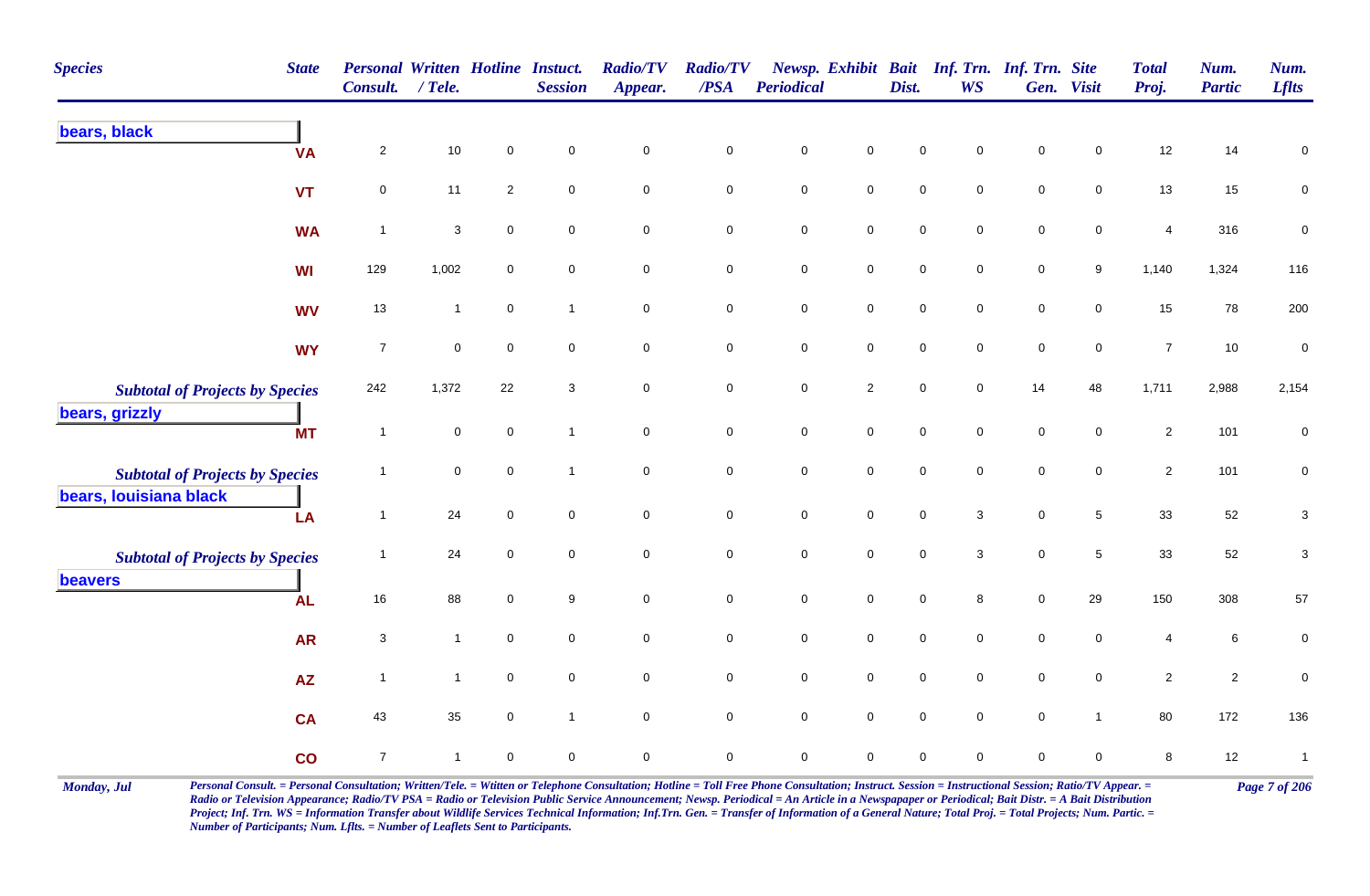| <b>Species</b><br><b>State</b>                           | <b>Consult.</b>  | <b>Personal Written Hotline Instuct.</b><br>$/$ Tele. |                | <b>Session</b>      | <b>Radio/TV</b><br>Appear. | <b>Radio/TV</b><br>/PSA | <b>Periodical</b> |                     | Dist.       | Newsp. Exhibit Bait Inf. Trn. Inf. Trn. Site<br><b>WS</b> |             | Gen. Visit          | <b>Total</b><br>Proj. | Num.<br><b>Partic</b> | Num.<br><b>Lflts</b>      |
|----------------------------------------------------------|------------------|-------------------------------------------------------|----------------|---------------------|----------------------------|-------------------------|-------------------|---------------------|-------------|-----------------------------------------------------------|-------------|---------------------|-----------------------|-----------------------|---------------------------|
| bears, black<br><b>VA</b>                                | $\overline{2}$   | $10\,$                                                | $\mathsf 0$    | $\mathsf{O}\xspace$ | $\mathsf{O}\xspace$        | $\pmb{0}$               | $\pmb{0}$         | $\mathbf 0$         | $\mathsf 0$ | 0                                                         | $\mathbf 0$ | $\pmb{0}$           | 12                    | 14                    | $\mathbf 0$               |
| <b>VT</b>                                                | 0                | 11                                                    | $\overline{2}$ | $\mathbf 0$         | $\mathbf 0$                | $\mathbf 0$             | $\pmb{0}$         | $\mathsf{O}\xspace$ | $\mathsf 0$ | 0                                                         | $\pmb{0}$   | 0                   | 13                    | 15                    | $\mathbf 0$               |
| <b>WA</b>                                                | $\overline{1}$   | $\ensuremath{\mathsf{3}}$                             | $\mathbf 0$    | $\mathbf 0$         | $\mathsf{O}\xspace$        | $\mathbf 0$             | $\pmb{0}$         | $\mathbf 0$         | $\pmb{0}$   | 0                                                         | $\mathbf 0$ | $\mathsf{O}\xspace$ | 4                     | 316                   | $\pmb{0}$                 |
| <b>WI</b>                                                | 129              | 1,002                                                 | $\mathbf 0$    | $\mathsf{O}\xspace$ | $\mathbf 0$                | $\mathbf 0$             | $\pmb{0}$         | $\mathbf 0$         | $\,0\,$     | 0                                                         | $\pmb{0}$   | 9                   | 1,140                 | 1,324                 | 116                       |
| <b>WV</b>                                                | 13               | $\mathbf{1}$                                          | $\mathsf 0$    | $\mathbf{1}$        | $\mathbf 0$                | $\mathbf 0$             | $\mathsf 0$       | $\overline{0}$      | $\mathsf 0$ | 0                                                         | $\mathbf 0$ | 0                   | 15                    | 78                    | 200                       |
| <b>WY</b>                                                | $\overline{7}$   | $\mathsf{O}\xspace$                                   | $\mathbf 0$    | $\mathbf 0$         | $\mathbf 0$                | $\mathbf 0$             | $\mathsf 0$       | $\overline{0}$      | $\mathsf 0$ | 0                                                         | $\mathbf 0$ | $\mathbf 0$         | $\overline{7}$        | $10$                  | $\mathbf 0$               |
| <b>Subtotal of Projects by Species</b><br>bears, grizzly | 242              | 1,372                                                 | 22             | 3                   | $\mathbf 0$                | $\mathbf 0$             | $\pmb{0}$         | $\overline{c}$      | $\,0\,$     | 0                                                         | 14          | 48                  | 1,711                 | 2,988                 | 2,154                     |
| <b>MT</b>                                                | $\overline{1}$   | $\mathbf 0$                                           | $\mathsf 0$    | $\mathbf{1}$        | $\mathbf 0$                | $\mathbf 0$             | $\mathsf 0$       | $\mathbf 0$         | $\mathsf 0$ | $\mathbf 0$                                               | $\mathbf 0$ | 0                   | $\overline{2}$        | 101                   | 0                         |
| <b>Subtotal of Projects by Species</b>                   | $\overline{1}$   | $\mathbf 0$                                           | $\mathbf 0$    | $\overline{1}$      | $\mathsf{O}\xspace$        | $\mathbf 0$             | $\pmb{0}$         | $\mathsf{O}\xspace$ | $\mathbf 0$ | 0                                                         | $\pmb{0}$   | 0                   | $\overline{2}$        | 101                   | 0                         |
| bears, louisiana black<br>LA                             | $\mathbf{1}$     | 24                                                    | $\mathbf 0$    | $\mathbf 0$         | $\mathbf 0$                | $\mathbf 0$             | $\pmb{0}$         | $\mathbf 0$         | $\mathsf 0$ | 3                                                         | $\mathbf 0$ | 5                   | 33                    | 52                    | $\ensuremath{\mathsf{3}}$ |
| <b>Subtotal of Projects by Species</b>                   | $\mathbf{1}$     | 24                                                    | $\mathsf 0$    | $\pmb{0}$           | $\mathbf 0$                | $\mathbf 0$             | $\pmb{0}$         | $\mathbf 0$         | $\mathsf 0$ | $\mathbf{3}$                                              | $\pmb{0}$   | $5\,$               | 33                    | 52                    | 3                         |
| beavers<br><b>AL</b>                                     | 16               | 88                                                    | $\mathsf 0$    | 9                   | $\mathbf 0$                | $\mathbf 0$             | $\mathsf 0$       | $\overline{0}$      | $\mathsf 0$ | 8                                                         | $\mathbf 0$ | 29                  | 150                   | 308                   | 57                        |
| <b>AR</b>                                                | $\sqrt{3}$       | $\mathbf{1}$                                          | $\mathbf 0$    | $\mathsf{O}\xspace$ | $\mathbf 0$                | $\mathbf 0$             | $\pmb{0}$         | $\mathsf{O}\xspace$ | $\pmb{0}$   | $\mathbf 0$                                               | $\pmb{0}$   | $\mathsf{O}\xspace$ | $\overline{4}$        | $\,6\,$               | 0                         |
| <b>AZ</b>                                                | $\mathbf{1}$     | $\mathbf{1}$                                          | $\mathsf 0$    | $\mathsf{O}\xspace$ | $\mathbf 0$                | $\mathbf 0$             | $\pmb{0}$         | $\mathsf{O}\xspace$ | $\mathsf 0$ | $\mathbf 0$                                               | $\mathbf 0$ | 0                   | $\overline{2}$        | $\overline{2}$        | $\pmb{0}$                 |
| <b>CA</b>                                                | 43               | 35                                                    | $\mathbf 0$    | $\mathbf{1}$        | $\mathbf 0$                | $\mathbf 0$             | $\mathbf 0$       | $\mathbf 0$         | $\mathbf 0$ | $\mathbf 0$                                               | $\pmb{0}$   | $\overline{1}$      | 80                    | 172                   | 136                       |
| co                                                       | $\boldsymbol{7}$ | $\mathbf{1}$                                          | $\mathbf 0$    | 0                   | $\mathbf 0$                | $\mathsf 0$             | $\mathsf 0$       | 0                   | $\mathbf 0$ | 0                                                         | $\mathbf 0$ | 0                   | 8                     | 12                    | $\mathbf{1}$              |

Monday, Jul Personal Consult. = Personal Consultation; Written/Tele. = Witten or Telephone Consultation; Hotline = Toll Free Phone Consultation; Instruct. Session = Instructional Session; Ratio/TV Appear. = Page 7 of 206 *Radio or Television Appearance; Radio/TV PSA = Radio or Television Public Service Announcement; Newsp. Periodical = An Article in a Newspapaper or Periodical; Bait Distr. = A Bait Distribution*  Project; Inf. Trn. WS = Information Transfer about Wildlife Services Technical Information; Inf.Trn. Gen. = Transfer of Information of a General Nature; Total Proj. = Total Projects; Num. Partic. = *Number of Participants; Num. Lflts. = Number of Leaflets Sent to Participants.*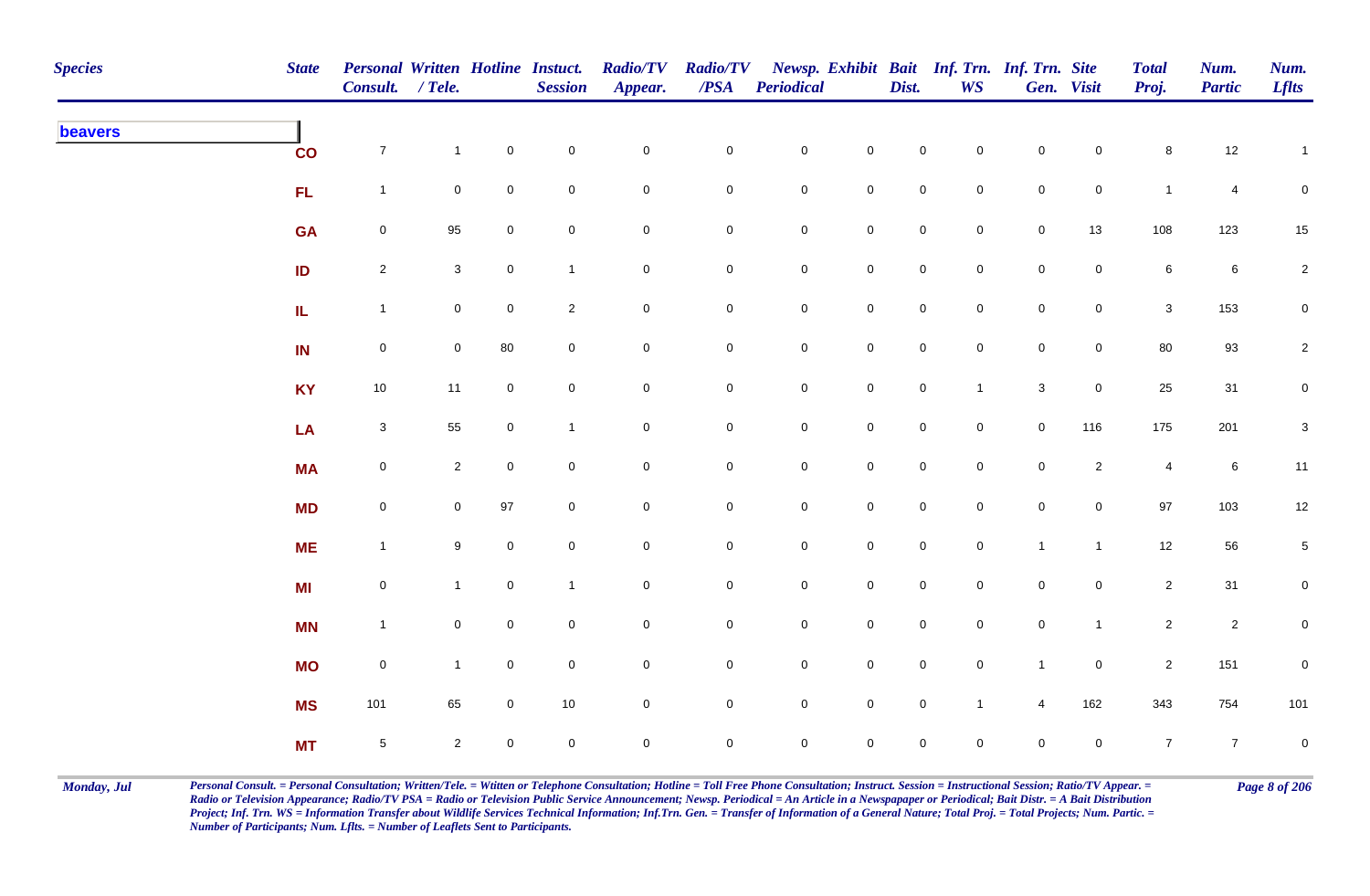| <b>Species</b> | <b>State</b>  | Personal Written Hotline Instuct.<br>Consult. / Tele. |                |                     | <b>Session</b> | <b>Radio/TV</b><br>Appear. | $\overline{PSA}$    | Radio/TV Newsp. Exhibit Bait Inf. Trn. Inf. Trn. Site<br><b>Periodical</b> |                     | Dist.               | WS             |                     | Gen. Visit          | <b>Total</b><br>Proj. | Num.<br><b>Partic</b> | Num.<br><b>Lflts</b> |
|----------------|---------------|-------------------------------------------------------|----------------|---------------------|----------------|----------------------------|---------------------|----------------------------------------------------------------------------|---------------------|---------------------|----------------|---------------------|---------------------|-----------------------|-----------------------|----------------------|
| beavers        | $\mathbf{co}$ | $\overline{7}$                                        | $\mathbf{1}$   | $\mathbf 0$         | $\pmb{0}$      | $\pmb{0}$                  | ${\bf 0}$           | $\mathbf 0$                                                                | $\mathsf 0$         | $\mathbf 0$         | $\mathbf 0$    | $\mathsf{O}\xspace$ | $\mathbf 0$         | $\bf 8$               | $12\,$                | $\mathbf{1}$         |
|                | FL.           | $\mathbf{1}$                                          | $\mathbf 0$    | $\overline{0}$      | $\mathbf 0$    | $\mathbf 0$                | 0                   | $\overline{0}$                                                             | $\mathbf 0$         | $\mathsf{O}$        | $\mathbf 0$    | $\mathbf 0$         | $\mathsf{O}$        | $\mathbf{1}$          | $\overline{4}$        | $\mathbf 0$          |
|                | <b>GA</b>     | $\mathsf{O}\xspace$                                   | 95             | $\mathbf 0$         | $\mathsf 0$    | $\mathbf 0$                | 0                   | $\mathsf{O}\xspace$                                                        | $\mathbf 0$         | $\mathbf 0$         | $\overline{0}$ | $\mathsf{O}\xspace$ | 13                  | 108                   | 123                   | 15                   |
|                | ID            | $\overline{2}$                                        | $\mathbf{3}$   | $\mathbf 0$         | $\mathbf{1}$   | $\pmb{0}$                  | $\mathbf 0$         | $\mathbf 0$                                                                | $\pmb{0}$           | $\mathbf 0$         | $\overline{0}$ | $\mathsf{O}\xspace$ | $\mathsf{O}\xspace$ | $\bf 6$               | $\,6\,$               | $\overline{2}$       |
|                | IL.           | $\overline{1}$                                        | $\mathbf 0$    | $\mathbf 0$         | $\sqrt{2}$     | $\mathsf{O}\xspace$        | $\mathbf 0$         | $\mathbf 0$                                                                | $\mathbf 0$         | $\mathsf 0$         | $\mathbf 0$    | $\mathsf{O}\xspace$ | $\overline{0}$      | $\mathbf{3}$          | 153                   | $\mathbf 0$          |
|                | IN            | $\mathbf 0$                                           | $\overline{0}$ | 80                  | $\pmb{0}$      | $\mathbf 0$                | $\mathsf{O}\xspace$ | $\mathbf 0$                                                                | $\mathsf 0$         | $\mathbf 0$         | $\mathbf 0$    | $\mathbf 0$         | $\mathsf{O}\xspace$ | 80                    | 93                    | $\overline{2}$       |
|                | <b>KY</b>     | 10                                                    | 11             | $\mathbf 0$         | $\mathsf 0$    | $\mathbf 0$                | 0                   | $\mathsf{O}\xspace$                                                        | $\mathbf 0$         | $\mathbf 0$         | $\mathbf{1}$   | $\mathbf{3}$        | $\mathsf{O}\xspace$ | 25                    | 31                    | $\overline{0}$       |
|                | LA            | $\mathbf{3}$                                          | 55             | $\mathbf 0$         | $\overline{1}$ | $\mathbf 0$                | 0                   | $\mathsf{O}\xspace$                                                        | $\mathbf 0$         | $\mathbf 0$         | $\mathbf 0$    | $\mathsf{O}\xspace$ | 116                 | 175                   | 201                   | $\mathbf{3}$         |
|                | <b>MA</b>     | $\mathsf{O}\xspace$                                   | $\overline{2}$ | $\mathsf{O}\xspace$ | $\pmb{0}$      | $\pmb{0}$                  | $\pmb{0}$           | $\mathsf{O}\xspace$                                                        | $\mathbf 0$         | $\mathsf{O}\xspace$ | $\mathbf 0$    | $\mathsf{O}\xspace$ | $\overline{2}$      | $\overline{4}$        | $\,6\,$               | 11                   |
|                | <b>MD</b>     | $\mathsf{O}\xspace$                                   | $\mathbf 0$    | 97                  | $\pmb{0}$      | $\pmb{0}$                  | $\mathbf 0$         | ${\bf 0}$                                                                  | $\mathbf 0$         | $\mathbf 0$         | $\overline{0}$ | $\mathbf 0$         | $\overline{0}$      | 97                    | 103                   | 12                   |
|                | <b>ME</b>     | $\mathbf{1}$                                          | 9              | $\mathbf 0$         | $\pmb{0}$      | $\pmb{0}$                  | $\mathbf 0$         | $\mathbf 0$                                                                | $\mathbf 0$         | $\mathsf 0$         | $\overline{0}$ | $\overline{1}$      | $\overline{1}$      | 12                    | 56                    | $5\phantom{.0}$      |
|                | <b>MI</b>     | $\boldsymbol{0}$                                      | $\mathbf{1}$   | $\mathbf{0}$        | $\mathbf{1}$   | $\mathbf 0$                | 0                   | $\mathbf 0$                                                                | $\mathbf 0$         | $\overline{0}$      | $\mathbf 0$    | $\mathbf 0$         | $\mathsf{O}$        | $\mathbf{2}$          | 31                    | $\overline{0}$       |
|                | <b>MN</b>     | $\mathbf{1}$                                          | $\overline{0}$ | $\mathbf 0$         | $\mathsf 0$    | $\pmb{0}$                  | 0                   | $\mathbf 0$                                                                | $\mathsf 0$         | $\mathbf 0$         | $\mathbf 0$    | $\mathbf 0$         | $\mathbf{1}$        | $\overline{2}$        | $\overline{c}$        | $\mathbf 0$          |
|                | <b>MO</b>     | $\mathbf 0$                                           | $\mathbf{1}$   | $\mathbf 0$         | $\pmb{0}$      | $\pmb{0}$                  | $\mathbf 0$         | $\mathsf 0$                                                                | $\pmb{0}$           | $\mathsf{O}$        | $\mathbf 0$    | $\mathbf{1}$        | $\mathsf{O}$        | $\overline{2}$        | 151                   | $\pmb{0}$            |
|                | <b>MS</b>     | 101                                                   | 65             | $\mathbf 0$         | $10$           | $\pmb{0}$                  | 0                   | $\mathsf{O}\xspace$                                                        | $\mathsf{O}\xspace$ | $\mathbf 0$         | $\mathbf{1}$   | $\overline{4}$      | 162                 | 343                   | 754                   | 101                  |
|                | <b>MT</b>     | $\,$ 5 $\,$                                           | $\overline{2}$ | $\overline{0}$      | $\pmb{0}$      | $\mathbf 0$                | 0                   | $\mathsf{O}\xspace$                                                        | $\mathbf 0$         | $\mathbf 0$         | $\mathbf 0$    | $\mathsf{O}\xspace$ | $\mathbf 0$         | $\overline{7}$        | $\overline{7}$        | $\mathbf 0$          |

Monday, Jul Personal Consult. = Personal Consultation; Written/Tele. = Witten or Telephone Consultation; Hotline = Toll Free Phone Consultation; Instruct. Session = Instructional Session; Ratio/TV Appear. = Page 8 of 206 *Radio or Television Appearance; Radio/TV PSA = Radio or Television Public Service Announcement; Newsp. Periodical = An Article in a Newspapaper or Periodical; Bait Distr. = A Bait Distribution*  Project; Inf. Trn. WS = Information Transfer about Wildlife Services Technical Information; Inf.Trn. Gen. = Transfer of Information of a General Nature; Total Proj. = Total Projects; Num. Partic. = *Number of Participants; Num. Lflts. = Number of Leaflets Sent to Participants.*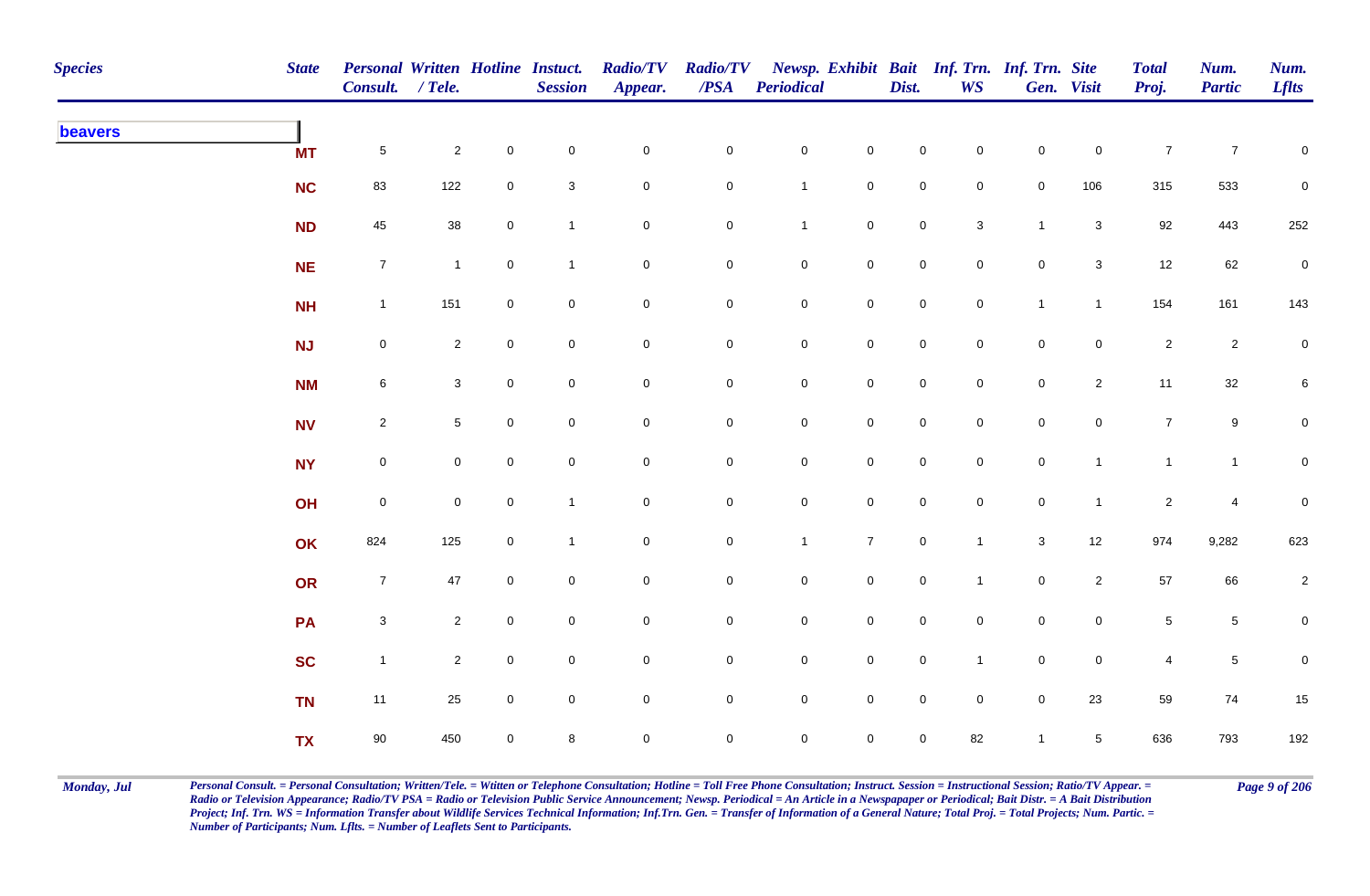| <b>Species</b> | <b>State</b> | <b>Personal Written Hotline Instuct.</b><br>Consult. / Tele. |                 |                | <b>Session</b>            | <b>Radio/TV</b><br>Appear. | $\mathbf{PSA}$ | Radio/TV Newsp. Exhibit Bait Inf. Trn. Inf. Trn. Site<br><b>Periodical</b> |                     | Dist.               | <b>WS</b>                 |                     | Gen. Visit     | <b>Total</b><br>Proj. | Num.<br><b>Partic</b> | Num.<br><b>Lflts</b> |
|----------------|--------------|--------------------------------------------------------------|-----------------|----------------|---------------------------|----------------------------|----------------|----------------------------------------------------------------------------|---------------------|---------------------|---------------------------|---------------------|----------------|-----------------------|-----------------------|----------------------|
| beavers        | <b>MT</b>    | $\overline{5}$                                               | $\overline{2}$  | $\mathbf 0$    | $\pmb{0}$                 | $\mathbf 0$                | $\mathbf 0$    | $\mathbf 0$                                                                | $\mathbf 0$         | $\mathsf 0$         | $\mathbf 0$               | $\mathsf{O}\xspace$ | $\mathbf 0$    | $\overline{7}$        | $\overline{7}$        | ${\bf 0}$            |
|                | <b>NC</b>    | 83                                                           | $122$           | $\mathbf 0$    | $\ensuremath{\mathsf{3}}$ | $\mathbf 0$                | $\overline{0}$ | $\mathbf{1}$                                                               | $\mathsf{O}\xspace$ | $\mathsf{O}\xspace$ | $\mathbf 0$               | $\mathsf{O}\xspace$ | 106            | 315                   | 533                   | $\pmb{0}$            |
|                | <b>ND</b>    | 45                                                           | 38              | $\mathbf 0$    | $\mathbf{1}$              | $\mathbf 0$                | $\mathbf 0$    | $\mathbf{1}$                                                               | $\mathbf 0$         | $\mathsf 0$         | $\ensuremath{\mathsf{3}}$ | $\mathbf{1}$        | $\mathbf{3}$   | 92                    | 443                   | 252                  |
|                | <b>NE</b>    | $\overline{7}$                                               | $\overline{1}$  | $\mathbf 0$    | $\mathbf{1}$              | $\mathbf 0$                | $\overline{0}$ | $\mathbf 0$                                                                | $\mathbf 0$         | $\mathbf 0$         | $\overline{0}$            | $\mathbf 0$         | $\mathbf{3}$   | 12                    | 62                    | $\mathbf 0$          |
|                | <b>NH</b>    | $\mathbf{1}$                                                 | 151             | $\overline{0}$ | $\mathbf 0$               | $\mathbf 0$                | $\overline{0}$ | $\overline{0}$                                                             | $\mathbf 0$         | $\mathsf{O}$        | $\overline{0}$            | $\mathbf{1}$        | $\mathbf{1}$   | 154                   | 161                   | 143                  |
|                | NJ           | $\mathbf 0$                                                  | $\overline{2}$  | $\overline{0}$ | $\mathbf 0$               | $\mathbf 0$                | $\overline{0}$ | $\overline{0}$                                                             | $\mathsf{O}$        | $\mathsf{O}$        | $\overline{0}$            | $\mathbf 0$         | $\mathbf 0$    | $\overline{2}$        | $\overline{2}$        | $\mathbf 0$          |
|                | <b>NM</b>    | $\,6\,$                                                      | $\mathbf{3}$    | $\overline{0}$ | $\mathbf 0$               | $\mathsf{O}\xspace$        | $\overline{0}$ | $\mathbf 0$                                                                | $\mathsf{O}$        | $\mathsf 0$         | $\overline{0}$            | $\mathbf 0$         | $\overline{2}$ | 11                    | 32                    | 6                    |
|                | <b>NV</b>    | $\overline{2}$                                               | $5\phantom{.0}$ | $\mathbf 0$    | $\mathbf 0$               | $\mathsf{O}\xspace$        | $\mathbf 0$    | $\mathbf 0$                                                                | $\mathsf{O}\xspace$ | $\mathbf 0$         | $\mathbf 0$               | $\mathsf{O}\xspace$ | $\overline{0}$ | $\overline{7}$        | $9\,$                 | $\mathbf 0$          |
|                | <b>NY</b>    | $\overline{0}$                                               | $\mathbf 0$     | $\mathbf 0$    | $\mathbf 0$               | $\mathbf 0$                | $\mathbf 0$    | $\mathsf{O}\xspace$                                                        | $\mathsf{O}\xspace$ | $\mathbf 0$         | $\mathbf 0$               | $\mathsf{O}\xspace$ | $\mathbf{1}$   | $\mathbf{1}$          | $\mathbf{1}$          | $\mathbf 0$          |
|                | OH           | $\mathbf 0$                                                  | $\mathbf 0$     | $\mathbf 0$    | $\mathbf{1}$              | $\mathbf 0$                | $\mathbf 0$    | $\mathbf 0$                                                                | $\mathbf 0$         | $\mathbf 0$         | $\mathbf 0$               | $\mathsf{O}\xspace$ | $\mathbf{1}$   | $\overline{c}$        | $\overline{4}$        | ${\bf 0}$            |
|                | OK           | 824                                                          | 125             | $\mathbf 0$    | $\mathbf{1}$              | $\mathbf 0$                | $\mathbf 0$    | $\mathbf{1}$                                                               | $\overline{7}$      | $\mathsf{O}\xspace$ | $\mathbf{1}$              | $\mathbf{3}$        | 12             | 974                   | 9,282                 | 623                  |
|                | OR           | $\overline{7}$                                               | 47              | $\mathbf 0$    | $\pmb{0}$                 | $\mathbf 0$                | $\overline{0}$ | $\mathbf 0$                                                                | $\mathbf 0$         | $\mathsf{O}$        | $\overline{1}$            | $\mathbf 0$         | $\overline{2}$ | 57                    | 66                    | $\overline{2}$       |
|                | PA           | $\mathbf{3}$                                                 | $\overline{2}$  | $\overline{0}$ | $\mathbf 0$               | $\mathbf 0$                | $\overline{0}$ | $\overline{0}$                                                             | $\mathbf 0$         | $\overline{0}$      | $\overline{0}$            | $\mathbf 0$         | $\mathbf 0$    | $\sqrt{5}$            | $5\phantom{.0}$       | 0                    |
|                | <b>SC</b>    | $\mathbf{1}$                                                 | $\overline{2}$  | $\overline{0}$ | $\mathbf 0$               | $\mathsf{O}\xspace$        | $\overline{0}$ | $\mathbf 0$                                                                | $\mathbf 0$         | $\mathsf{O}$        | $\mathbf{1}$              | $\mathsf 0$         | $\mathbf 0$    | $\overline{4}$        | $5\phantom{.0}$       | 0                    |
|                | <b>TN</b>    | 11                                                           | 25              | $\mathbf 0$    | $\mathbf 0$               | $\mathbf 0$                | $\mathbf 0$    | $\mathbf 0$                                                                | $\mathbf 0$         | $\mathsf 0$         | $\overline{0}$            | $\mathsf{O}\xspace$ | 23             | 59                    | 74                    | 15                   |
|                | <b>TX</b>    | $90\,$                                                       | 450             | $\mathbf 0$    | $\bf 8$                   | $\mathbf 0$                | $\mathbf 0$    | $\mathsf{O}\xspace$                                                        | $\mathsf{O}\xspace$ | $\mathsf{O}\xspace$ | 82                        | $\overline{1}$      | $\sqrt{5}$     | 636                   | 793                   | 192                  |

Monday, Jul Personal Consult. = Personal Consultation; Written/Tele. = Witten or Telephone Consultation; Hotline = Toll Free Phone Consultation; Instruct. Session = Instructional Session; Ratio/TV Appear. = Page 9 of 206 *Radio or Television Appearance; Radio/TV PSA = Radio or Television Public Service Announcement; Newsp. Periodical = An Article in a Newspapaper or Periodical; Bait Distr. = A Bait Distribution*  Project; Inf. Trn. WS = Information Transfer about Wildlife Services Technical Information; Inf.Trn. Gen. = Transfer of Information of a General Nature; Total Proj. = Total Projects; Num. Partic. = *Number of Participants; Num. Lflts. = Number of Leaflets Sent to Participants.*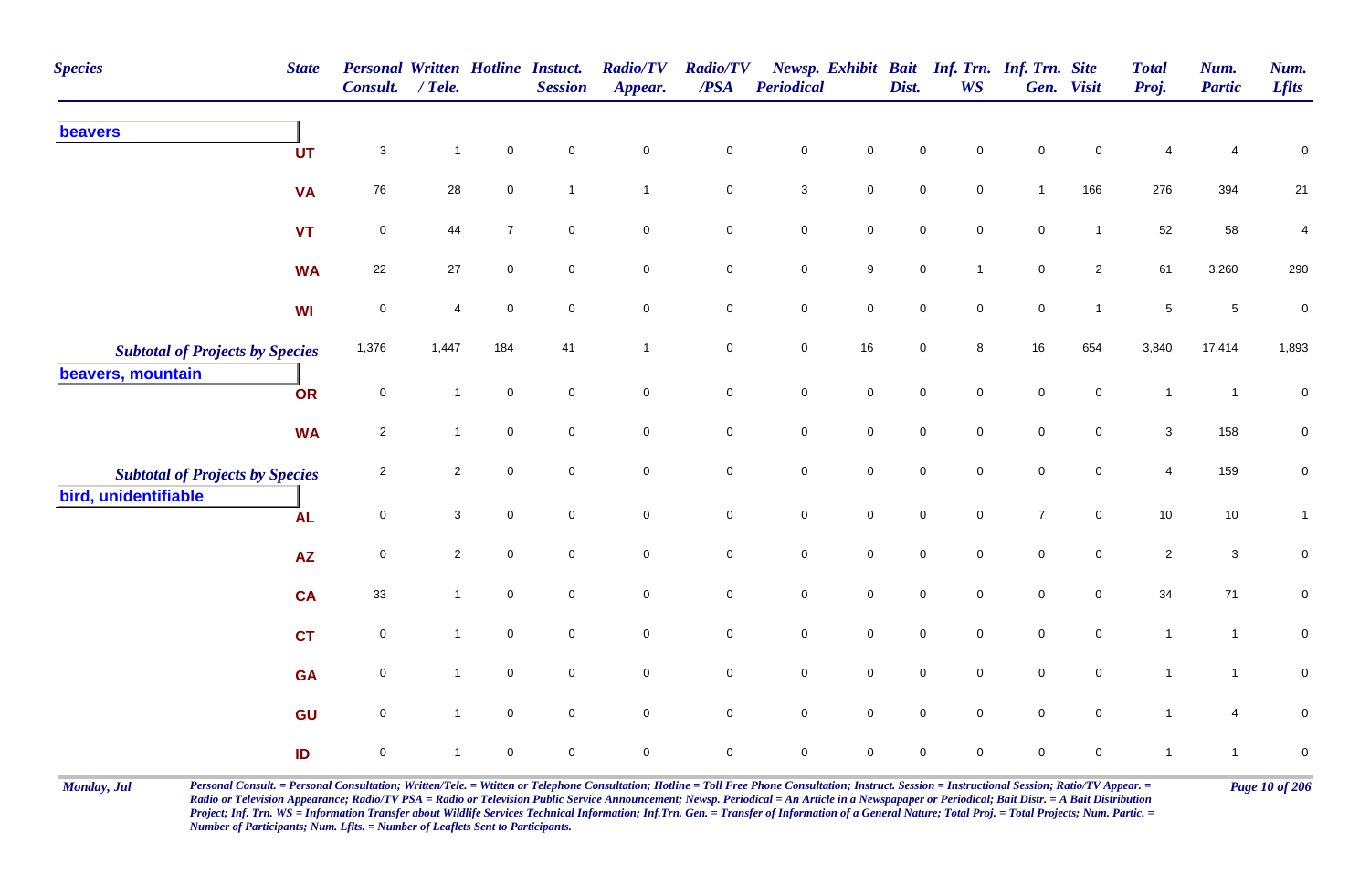| <b>Species</b><br><b>State</b>         | <b>Personal Written Hotline Instact.</b><br>Consult. | $/$ Tele.      |                | <b>Session</b>      | <b>Radio/TV</b><br>Appear. | <b>Radio/TV</b><br>$\boldsymbol{PSA}$ | <b>Periodical</b>   |                     | Dist.               | Newsp. Exhibit Bait Inf. Trn. Inf. Trn. Site<br><b>WS</b> |                  | Gen. Visit          | <b>Total</b><br>Proj. | Num.<br><b>Partic</b> | Num.<br><b>Lflts</b> |
|----------------------------------------|------------------------------------------------------|----------------|----------------|---------------------|----------------------------|---------------------------------------|---------------------|---------------------|---------------------|-----------------------------------------------------------|------------------|---------------------|-----------------------|-----------------------|----------------------|
| beavers<br><b>UT</b>                   | $\mathbf{3}$                                         | $\overline{1}$ | $\mathbf 0$    | $\mathbf 0$         | $\pmb{0}$                  | $\mathsf 0$                           | $\mathbf 0$         | $\mathsf{O}\xspace$ | $\mathbf 0$         | $\mathbf 0$                                               | $\mathbf 0$      | $\mathbf 0$         |                       | 4                     | $\mathbf 0$          |
| <b>VA</b>                              | 76                                                   | 28             | $\mathbf 0$    | $\mathbf{1}$        | $\mathbf{1}$               | $\mathbf 0$                           | $\mathsf 3$         | $\mathsf{O}$        | $\mathsf{O}\xspace$ | $\mathbf 0$                                               | $\mathbf{1}$     | 166                 | 276                   | 394                   | 21                   |
| <b>VT</b>                              | $\pmb{0}$                                            | 44             | $\overline{7}$ | $\mathbf 0$         | $\mathbf 0$                | $\pmb{0}$                             | $\pmb{0}$           | $\pmb{0}$           | $\pmb{0}$           | $\mathbf 0$                                               | $\mathbf 0$      | $\overline{1}$      | 52                    | 58                    | $\overline{4}$       |
| <b>WA</b>                              | 22                                                   | 27             | $\mathbf 0$    | $\mathbf 0$         | $\mathbf 0$                | $\mathbf 0$                           | $\mathbf 0$         | 9                   | $\mathbf 0$         | $\mathbf{1}$                                              | $\pmb{0}$        | $\mathbf{2}$        | 61                    | 3,260                 | 290                  |
| <b>WI</b>                              | $\mathsf 0$                                          | 4              | $\mathbf 0$    | $\mathbf 0$         | $\pmb{0}$                  | $\pmb{0}$                             | $\mathbf 0$         | $\mathbf 0$         | $\mathbf 0$         | $\mathbf 0$                                               | $\mathbf 0$      | $\mathbf{1}$        | $\,$ 5 $\,$           | $\sqrt{5}$            | $\pmb{0}$            |
| <b>Subtotal of Projects by Species</b> | 1,376                                                | 1,447          | 184            | 41                  | $\mathbf{1}$               | $\mathbf 0$                           | $\mathbf 0$         | $16\,$              | $\mathbf 0$         | 8                                                         | 16               | 654                 | 3,840                 | 17,414                | 1,893                |
| beavers, mountain<br><b>OR</b>         | $\mathsf 0$                                          | $\mathbf{1}$   | $\mathsf 0$    | $\mathbf 0$         | $\mathbf 0$                | $\mathbf 0$                           | $\pmb{0}$           | $\mathsf{O}\xspace$ | $\mathsf 0$         | $\mathbf 0$                                               | $\mathbf 0$      | $\mathbf 0$         | $\mathbf{1}$          | $\overline{1}$        | $\pmb{0}$            |
| <b>WA</b>                              | $\mathbf{2}$                                         | $\mathbf{1}$   | $\mathbf 0$    | $\mathbf 0$         | $\mathsf 0$                | $\mathsf 0$                           | $\mathbf 0$         | $\mathsf 0$         | $\mathbf 0$         | $\mathbf 0$                                               | $\mathbf 0$      | $\mathbf 0$         | 3                     | 158                   | $\mathbf 0$          |
| <b>Subtotal of Projects by Species</b> | $\overline{2}$                                       | $\overline{a}$ | $\mathbf 0$    | $\mathbf 0$         | $\pmb{0}$                  | $\mathsf 0$                           | $\mathbf 0$         | $\mathsf{O}\xspace$ | $\mathbf 0$         | $\mathbf 0$                                               | $\mathbf 0$      | $\mathbf 0$         | $\overline{4}$        | 159                   | $\mathbf 0$          |
| bird, unidentifiable<br><b>AL</b>      | $\mathsf 0$                                          | $\mathbf{3}$   | $\mathbf 0$    | $\mathsf{O}\xspace$ | $\mathbf 0$                | $\mathbf 0$                           | $\mathbf 0$         | $\mathbf 0$         | $\mathsf{O}\xspace$ | $\mathsf{O}\xspace$                                       | $\boldsymbol{7}$ | $\mathbf 0$         | $10$                  | 10                    | $\mathbf{1}$         |
| <b>AZ</b>                              | $\mathsf 0$                                          | $\mathbf{2}$   | $\mathsf 0$    | $\mathbf 0$         | $\mathbf 0$                | $\mathbf 0$                           | ${\bf 0}$           | $\mathbf 0$         | $\mathbf 0$         | $\mathbf 0$                                               | $\pmb{0}$        | $\overline{0}$      | $\overline{2}$        | $\mathbf{3}$          | $\mathbf 0$          |
| <b>CA</b>                              | 33                                                   | $\mathbf{1}$   | $\mathbf 0$    | $\mathbf 0$         | $\boldsymbol{0}$           | $\mathbf 0$                           | $\mathbf 0$         | $\mathsf{O}$        | $\mathbf 0$         | $\mathbf 0$                                               | $\mathbf 0$      | $\mathbf 0$         | 34                    | 71                    | $\mathbf 0$          |
| <b>CT</b>                              | $\mathsf 0$                                          | 1              | $\mathsf 0$    | $\mathsf{O}\xspace$ | $\mathbf 0$                | $\mathsf 0$                           | $\mathbf 0$         | $\mathsf 0$         | $\mathsf{O}\xspace$ | $\mathbf 0$                                               | $\mathbf 0$      | $\mathbf 0$         | $\mathbf{1}$          | $\mathbf{1}$          | $\pmb{0}$            |
| <b>GA</b>                              | $\mathbf 0$                                          | $\mathbf{1}$   | $\mathsf 0$    | $\overline{0}$      | $\mathsf{O}\xspace$        | $\mathbf 0$                           | $\mathbf 0$         | $\mathsf 0$         | $\mathsf{O}\xspace$ | $\mathbf 0$                                               | $\mathbf 0$      | $\overline{0}$      | $\mathbf{1}$          | $\mathbf{1}$          | $\mathbf 0$          |
| GU                                     | $\mathsf{O}\xspace$                                  | $\mathbf{1}$   | $\mathbf 0$    | $\mathsf{O}\xspace$ | $\mathbf 0$                | $\pmb{0}$                             | $\mathsf{O}\xspace$ | $\mathsf 0$         | $\mathsf{O}\xspace$ | $\mathbf 0$                                               | $\mathbf 0$      | $\mathsf{O}\xspace$ | $\mathbf{1}$          | 4                     | $\pmb{0}$            |
| ID                                     | $\mathbf 0$                                          |                | $\mathbf 0$    | $\mathbf 0$         | $\mathbf 0$                | $\mathbf 0$                           | $\mathbf 0$         | $\mathbf 0$         | $\mathbf 0$         | $\mathbf{0}$                                              | $\mathbf 0$      | $\mathbf 0$         | $\mathbf{1}$          | $\overline{1}$        | $\pmb{0}$            |

Monday, Jul Personal Consult. = Personal Consultation; Written/Tele. = Witten or Telephone Consultation; Hotline = Toll Free Phone Consultation; Instruct. Session = Instructional Session; Ratio/TV Appear. = Page 10 of 206 *Radio or Television Appearance; Radio/TV PSA = Radio or Television Public Service Announcement; Newsp. Periodical = An Article in a Newspapaper or Periodical; Bait Distr. = A Bait Distribution*  Project; Inf. Trn. WS = Information Transfer about Wildlife Services Technical Information; Inf.Trn. Gen. = Transfer of Information of a General Nature; Total Proj. = Total Projects; Num. Partic. = *Number of Participants; Num. Lflts. = Number of Leaflets Sent to Participants.*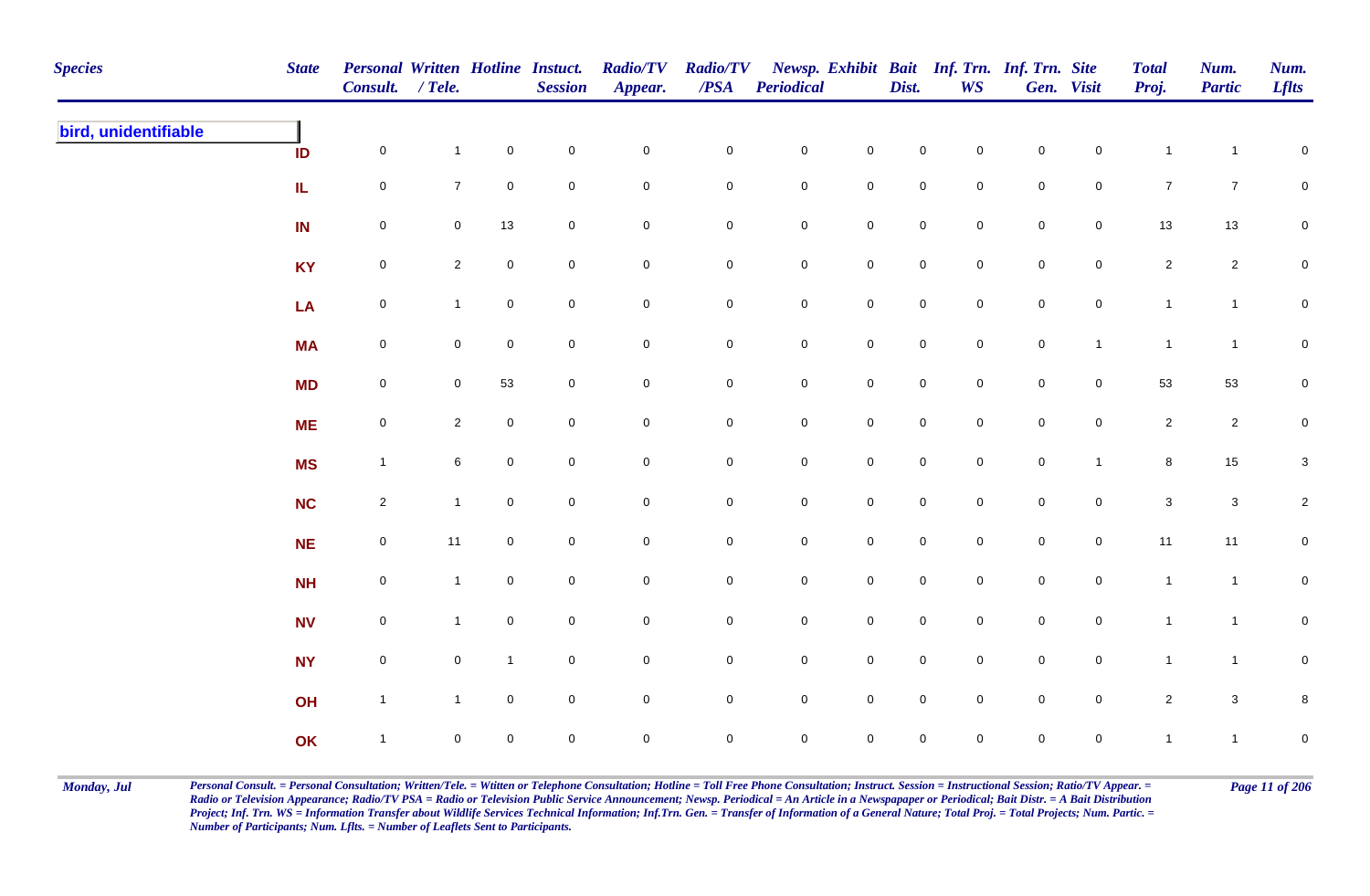| <b>Species</b>       | <b>State</b> | <b>Personal Written Hotline Instuct.</b><br>Consult. / Tele. |                |                | <b>Session</b> | <b>Radio/TV</b><br>Appear. | <b>Radio/TV</b><br>$\overline{PSA}$ | <b>Periodical</b>   |                     | Dist.               | <b>WS</b>           | Newsp. Exhibit Bait Inf. Trn. Inf. Trn. Site | Gen. Visit     | <b>Total</b><br>Proj. | Num.<br><b>Partic</b> | Num.<br><b>Lflts</b> |
|----------------------|--------------|--------------------------------------------------------------|----------------|----------------|----------------|----------------------------|-------------------------------------|---------------------|---------------------|---------------------|---------------------|----------------------------------------------|----------------|-----------------------|-----------------------|----------------------|
| bird, unidentifiable | ID           | $\mathbf 0$                                                  | $\mathbf{1}$   | $\mathbf 0$    | $\pmb{0}$      | $\pmb{0}$                  | $\mathbf 0$                         | $\mathbf 0$         | $\mathbf 0$         | $\mathbf 0$         | $\mathbf 0$         | $\mathbf 0$                                  | $\overline{0}$ | $\mathbf{1}$          | $\overline{1}$        | $\mathbf 0$          |
|                      | IL           | $\mathbf 0$                                                  | $\overline{7}$ | $\mathbf 0$    | $\pmb{0}$      | $\pmb{0}$                  | 0                                   | $\mathbf 0$         | $\mathsf{O}\xspace$ | $\mathsf{O}\xspace$ | $\mathbf 0$         | $\mathbf 0$                                  | $\overline{0}$ | $\overline{7}$        | $\overline{7}$        | $\mathbf 0$          |
|                      | IN           | $\mathbf 0$                                                  | $\mathbf 0$    | $13$           | $\pmb{0}$      | $\pmb{0}$                  | $\mathbf 0$                         | ${\bf 0}$           | $\pmb{0}$           | $\mathbf 0$         | $\mathsf{O}\xspace$ | $\pmb{0}$                                    | $\mathbf 0$    | $13$                  | $13\,$                | $\mathbf 0$          |
|                      | <b>KY</b>    | $\mathbf 0$                                                  | $\overline{2}$ | $\mathbf 0$    | $\mathbf 0$    | $\pmb{0}$                  | 0                                   | $\mathbf 0$         | $\mathsf{O}\xspace$ | $\mathsf{O}\xspace$ | $\mathbf 0$         | $\mathbf 0$                                  | $\mathbf 0$    | $\overline{2}$        | $\overline{2}$        | $\mathbf 0$          |
|                      | LA           | $\mathbf 0$                                                  | $\mathbf{1}$   | $\overline{0}$ | $\mathbf 0$    | $\pmb{0}$                  | $\mathbf 0$                         | $\mathbf 0$         | $\mathbf 0$         | $\overline{0}$      | $\mathbf 0$         | $\mathbf 0$                                  | $\overline{0}$ | $\mathbf{1}$          | $\mathbf{1}$          | $\mathbf 0$          |
|                      | <b>MA</b>    | $\mathsf{O}$                                                 | $\overline{0}$ | $\overline{0}$ | $\mathsf 0$    | $\mathsf{O}\xspace$        | $\mathbf 0$                         | $\overline{0}$      | $\overline{0}$      | $\overline{0}$      | $\mathsf{O}\xspace$ | $\mathsf 0$                                  | $\mathbf{1}$   | $\mathbf{1}$          | $\mathbf{1}$          | $\mathbf 0$          |
|                      | <b>MD</b>    | $\mathbf 0$                                                  | $\mathbf 0$    | 53             | $\pmb{0}$      | $\pmb{0}$                  | $\mathsf{O}\xspace$                 | $\mathsf{O}\xspace$ | $\mathbf 0$         | $\mathsf{O}\xspace$ | $\mathbf 0$         | $\mathbf 0$                                  | $\overline{0}$ | 53                    | 53                    | $\pmb{0}$            |
|                      | <b>ME</b>    | $\mathbf 0$                                                  | $\overline{2}$ | $\mathbf 0$    | $\mathsf 0$    | $\mathbf 0$                | $\mathbf 0$                         | $\mathsf{O}$        | $\mathsf{O}\xspace$ | $\mathsf{O}\xspace$ | $\mathbf 0$         | $\mathbf 0$                                  | $\overline{0}$ | $\overline{2}$        | $\overline{2}$        | $\mathbf 0$          |
|                      | <b>MS</b>    | $\mathbf{1}$                                                 | 6              | $\mathbf 0$    | $\mathbf 0$    | $\mathbf 0$                | $\mathbf 0$                         | $\mathbf 0$         | $\mathsf{O}\xspace$ | $\mathsf{O}\xspace$ | $\mathbf 0$         | $\mathsf{O}\xspace$                          | $\mathbf{1}$   | 8                     | $15\,$                | $\mathbf 3$          |
|                      | <b>NC</b>    | $\overline{2}$                                               | $\mathbf{1}$   | $\overline{0}$ | $\mathsf 0$    | $\pmb{0}$                  | $\mathbf 0$                         | $\mathbf 0$         | $\mathbf 0$         | $\overline{0}$      | $\mathbf 0$         | $\mathbf 0$                                  | $\mathbf 0$    | $\mathbf{3}$          | $\mathbf{3}$          | $\overline{a}$       |
|                      | NE           | $\mathbf 0$                                                  | 11             | $\mathbf 0$    | $\pmb{0}$      | $\pmb{0}$                  | $\mathbf 0$                         | $\mathsf{O}\xspace$ | $\mathbf 0$         | $\mathsf{O}\xspace$ | $\mathbf 0$         | $\pmb{0}$                                    | $\mathbf 0$    | 11                    | 11                    | $\mathbf 0$          |
|                      | <b>NH</b>    | $\mathbf 0$                                                  | $\overline{1}$ | $\mathbf 0$    | $\pmb{0}$      | $\mathbf 0$                | 0                                   | $\mathbf 0$         | $\mathsf{O}\xspace$ | $\mathbf 0$         | $\mathbf 0$         | $\mathsf{O}$                                 | $\mathbf 0$    | $\overline{1}$        | $\mathbf{1}$          | $\mathbf 0$          |
|                      | <b>NV</b>    | $\mathsf{O}$                                                 | $\mathbf{1}$   | $\mathbf 0$    | $\mathsf 0$    | $\pmb{0}$                  | 0                                   | $\mathsf{O}$        | $\mathsf{O}\xspace$ | $\overline{0}$      | $\mathbf 0$         | $\overline{0}$                               | $\overline{0}$ | $\mathbf{1}$          | $\mathbf{1}$          | $\mathsf 0$          |
|                      | <b>NY</b>    | $\mathbf 0$                                                  | $\mathbf 0$    | $\mathbf{1}$   | $\mathbf 0$    | $\pmb{0}$                  | $\mathbf 0$                         | $\mathsf{O}\xspace$ | $\mathsf{O}\xspace$ | $\mathbf 0$         | $\mathbf 0$         | $\mathsf 0$                                  | $\mathbf 0$    | $\mathbf{1}$          | $\mathbf{1}$          | $\mathbf 0$          |
|                      | OH           | $\mathbf{1}$                                                 | $\mathbf{1}$   | $\mathbf 0$    | $\pmb{0}$      | $\pmb{0}$                  | $\mathbf 0$                         | $\mathsf{O}\xspace$ | $\mathsf{O}\xspace$ | $\mathsf{O}\xspace$ | $\mathbf 0$         | $\mathbf 0$                                  | $\mathbf 0$    | $\overline{c}$        | $\mathbf{3}$          | 8                    |
|                      | OK           | $\mathbf{1}$                                                 | $\mathbf 0$    | $\mathbf 0$    | $\mathbf 0$    | $\mathbf 0$                | $\mathbf 0$                         | $\mathbf 0$         | $\mathsf{O}\xspace$ | $\mathsf{O}\xspace$ | $\mathbf 0$         | $\mathsf{O}\xspace$                          | $\mathbf 0$    | $\mathbf{1}$          | $\mathbf{1}$          | $\mathbf 0$          |

Monday, Jul Personal Consult. = Personal Consultation; Written/Tele. = Witten or Telephone Consultation; Hotline = Toll Free Phone Consultation; Instruct. Session = Instructional Session; Ratio/TV Appear. = Page 11 of 206 *Radio or Television Appearance; Radio/TV PSA = Radio or Television Public Service Announcement; Newsp. Periodical = An Article in a Newspapaper or Periodical; Bait Distr. = A Bait Distribution*  Project; Inf. Trn. WS = Information Transfer about Wildlife Services Technical Information; Inf.Trn. Gen. = Transfer of Information of a General Nature; Total Proj. = Total Projects; Num. Partic. = *Number of Participants; Num. Lflts. = Number of Leaflets Sent to Participants.*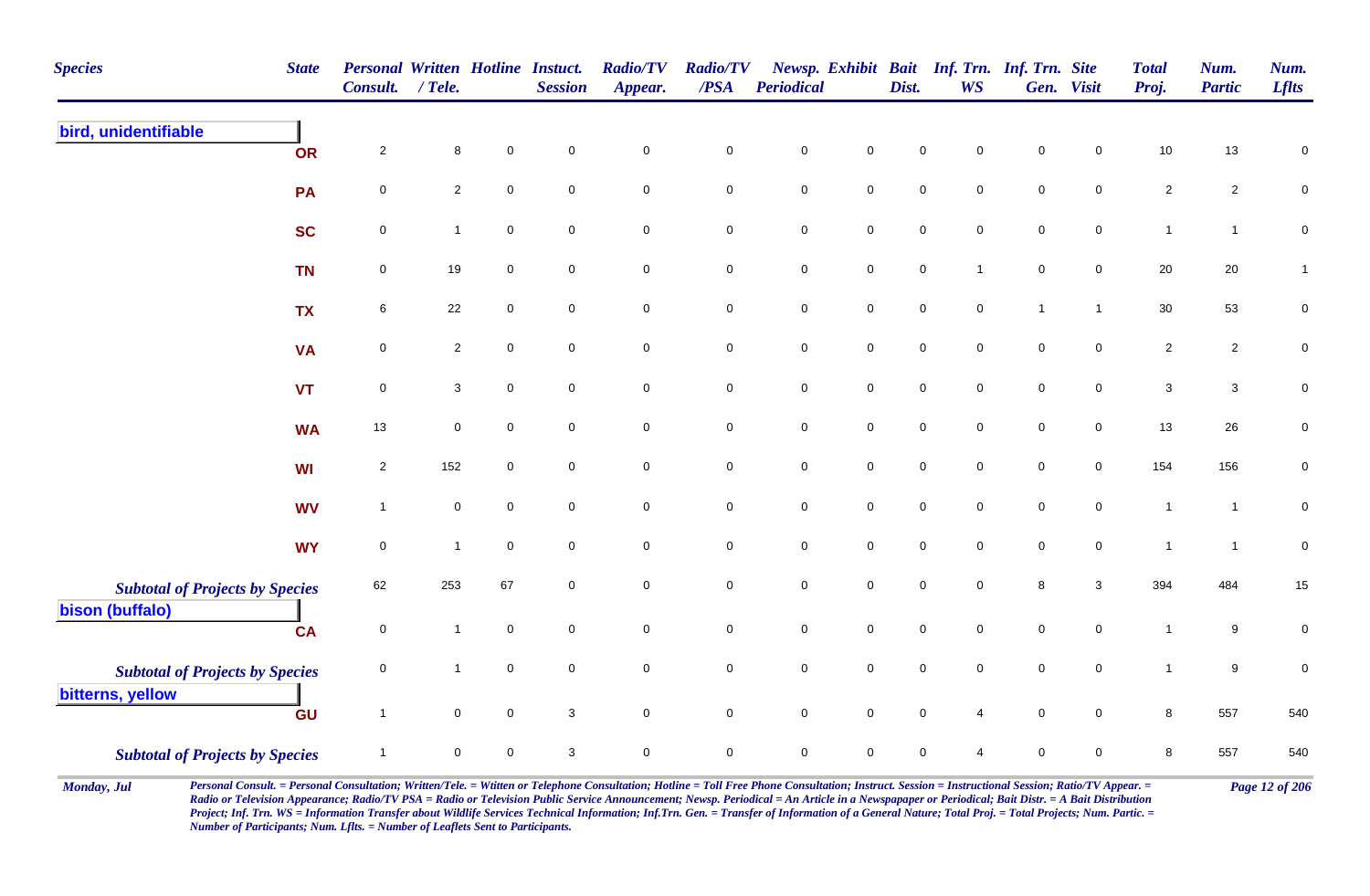| <b>Species</b><br><b>State</b>                            | <b>Personal Written Hotline Instuct.</b><br><b>Consult.</b> | / Tele.        |                     | <b>Session</b>      | <b>Radio/TV</b><br>Appear. | <b>Radio/TV</b><br>/PSA | Periodical  |                     | Dist.       | Newsp. Exhibit Bait Inf. Trn. Inf. Trn. Site<br><b>WS</b> |              | Gen. Visit          | <b>Total</b><br>Proj.     | Num.<br><b>Partic</b> | Num.<br><b>Lflts</b> |
|-----------------------------------------------------------|-------------------------------------------------------------|----------------|---------------------|---------------------|----------------------------|-------------------------|-------------|---------------------|-------------|-----------------------------------------------------------|--------------|---------------------|---------------------------|-----------------------|----------------------|
| bird, unidentifiable<br>OR                                | $\overline{2}$                                              | $\bf8$         | $\pmb{0}$           | $\mathbf 0$         | $\mathbf 0$                | $\pmb{0}$               | $\pmb{0}$   | $\pmb{0}$           | $\mathbf 0$ | $\mathbf 0$                                               | $\mathsf 0$  | $\mathbf 0$         | $10$                      | 13                    | $\pmb{0}$            |
| PA                                                        | $\pmb{0}$                                                   | $\overline{2}$ | $\mathbf 0$         | $\mathbf 0$         | $\mathbf 0$                | $\mathbf 0$             | $\pmb{0}$   | $\mathbf 0$         | $\pmb{0}$   | $\mathbf 0$                                               | $\mathsf 0$  | $\mathbf 0$         | $\overline{c}$            | $\overline{c}$        | $\pmb{0}$            |
| <b>SC</b>                                                 | $\mathbf 0$                                                 | $\mathbf{1}$   | $\mathbf 0$         | $\mathsf{O}\xspace$ | $\mathbf 0$                | $\mathbf 0$             | $\pmb{0}$   | $\mathbf 0$         | $\mathsf 0$ | $\mathbf 0$                                               | $\mathsf 0$  | $\mathbf 0$         | $\mathbf{1}$              | $\mathbf{1}$          | $\pmb{0}$            |
| <b>TN</b>                                                 | 0                                                           | $19$           | $\mathbf 0$         | $\mathbf 0$         | $\mathbf 0$                | $\overline{0}$          | $\pmb{0}$   | $\mathbf 0$         | $\mathsf 0$ | $\overline{1}$                                            | $\mathsf 0$  | $\overline{0}$      | 20                        | 20                    | $\mathbf{1}$         |
| <b>TX</b>                                                 | 6                                                           | 22             | $\mathbf 0$         | $\mathbf 0$         | $\mathbf 0$                | $\mathbf 0$             | $\mathsf 0$ | $\mathbf 0$         | $\mathbf 0$ | $\mathbf 0$                                               | $\mathbf{1}$ | $\mathbf{1}$        | 30                        | 53                    | $\mathbf 0$          |
| <b>VA</b>                                                 | $\mathsf{O}\xspace$                                         | $\overline{2}$ | $\mathsf{O}\xspace$ | $\mathbf 0$         | $\mathsf{O}\xspace$        | $\mathbf 0$             | $\pmb{0}$   | $\mathsf{O}\xspace$ | $\pmb{0}$   | $\mathbf 0$                                               | $\mathbf 0$  | $\mathsf{O}\xspace$ | $\sqrt{2}$                | $\overline{c}$        | $\pmb{0}$            |
| <b>VT</b>                                                 | $\mathbf 0$                                                 | $\mathbf{3}$   | $\mathsf{O}\xspace$ | $\mathsf{O}\xspace$ | $\mathbf 0$                | $\mathbf 0$             | $\pmb{0}$   | $\mathbf 0$         | $\pmb{0}$   | $\mathbf 0$                                               | $\mathsf 0$  | $\mathbf 0$         | $\ensuremath{\mathsf{3}}$ | $\mathbf{3}$          | $\pmb{0}$            |
| <b>WA</b>                                                 | 13                                                          | $\mathbf 0$    | $\mathsf{O}\xspace$ | $\mathsf{O}\xspace$ | $\mathsf{O}\xspace$        | $\mathsf{O}$            | $\pmb{0}$   | $\mathsf 0$         | $\pmb{0}$   | $\mathbf 0$                                               | $\mathsf 0$  | $\mathbf 0$         | 13                        | 26                    | $\pmb{0}$            |
| <b>WI</b>                                                 | $\overline{2}$                                              | 152            | $\mathbf 0$         | $\mathbf 0$         | $\mathbf 0$                | $\mathsf{O}\xspace$     | $\pmb{0}$   | $\mathsf{O}\xspace$ | $\mathbf 0$ | $\mathbf 0$                                               | $\mathbf 0$  | $\overline{0}$      | 154                       | 156                   | $\pmb{0}$            |
| <b>WV</b>                                                 | $\overline{1}$                                              | $\mathsf 0$    | $\mathbf 0$         | $\mathbf 0$         | $\mathbf 0$                | $\mathbf 0$             | $\mathsf 0$ | $\mathsf 0$         | $\mathsf 0$ | $\mathbf 0$                                               | $\mathsf 0$  | $\mathbf 0$         | $\mathbf{1}$              | $\overline{1}$        | $\mathbf 0$          |
| <b>WY</b>                                                 | $\mathbf 0$                                                 | $\mathbf{1}$   | $\overline{0}$      | $\mathbf 0$         | $\mathsf{O}\xspace$        | $\overline{0}$          | $\pmb{0}$   | $\mathsf{O}\xspace$ | $\pmb{0}$   | $\mathbf 0$                                               | $\mathsf 0$  | $\mathbf 0$         | $\mathbf{1}$              | $\overline{1}$        | $\mathbf 0$          |
| <b>Subtotal of Projects by Species</b><br>bison (buffalo) | 62                                                          | 253            | 67                  | $\mathbf 0$         | $\mathsf{O}\xspace$        | $\mathsf{O}\xspace$     | $\pmb{0}$   | $\mathsf{O}\xspace$ | $\mathsf 0$ | $\mathbf 0$                                               | 8            | $\mathbf{3}$        | 394                       | 484                   | $15\,$               |
| <b>CA</b>                                                 | $\pmb{0}$                                                   | $\mathbf{1}$   | $\mathbf 0$         | $\mathbf 0$         | $\mathbf 0$                | $\mathbf 0$             | $\mathbf 0$ | $\mathbf 0$         | $\mathsf 0$ | $\mathbf 0$                                               | $\mathsf 0$  | $\mathbf 0$         | $\mathbf{1}$              | 9                     | $\pmb{0}$            |
| <b>Subtotal of Projects by Species</b>                    | $\pmb{0}$                                                   | $\mathbf{1}$   | $\mathsf{O}\xspace$ | $\mathsf{O}\xspace$ | $\mathsf{O}\xspace$        | $\mathbf 0$             | $\pmb{0}$   | $\mathsf{O}\xspace$ | $\pmb{0}$   | $\mathbf 0$                                               | $\mathsf 0$  | $\pmb{0}$           | $\mathbf{1}$              | 9                     | $\pmb{0}$            |
| bitterns, yellow<br>GU                                    | $\overline{1}$                                              | $\mathbf 0$    | $\mathbf 0$         | 3                   | $\mathbf 0$                | $\overline{0}$          | $\mathsf 0$ | $\mathsf 0$         | $\mathsf 0$ | $\overline{4}$                                            | $\mathsf 0$  | $\overline{0}$      | 8                         | 557                   | 540                  |
| <b>Subtotal of Projects by Species</b>                    | -1                                                          | $\mathbf 0$    | $\mathbf 0$         | 3                   | $\mathbf 0$                | $\mathbf 0$             | $\mathbf 0$ | $\mathbf 0$         | $\mathbf 0$ | $\overline{4}$                                            | $\mathbf 0$  | $\mathbf 0$         | 8                         | 557                   | 540                  |

Monday, Jul Personal Consult. = Personal Consultation; Written/Tele. = Witten or Telephone Consultation; Hotline = Toll Free Phone Consultation; Instruct. Session = Instructional Session; Ratio/TV Appear. = Page 12 of 206 *Radio or Television Appearance; Radio/TV PSA = Radio or Television Public Service Announcement; Newsp. Periodical = An Article in a Newspapaper or Periodical; Bait Distr. = A Bait Distribution*  Project; Inf. Trn. WS = Information Transfer about Wildlife Services Technical Information; Inf.Trn. Gen. = Transfer of Information of a General Nature; Total Proj. = Total Projects; Num. Partic. = *Number of Participants; Num. Lflts. = Number of Leaflets Sent to Participants.*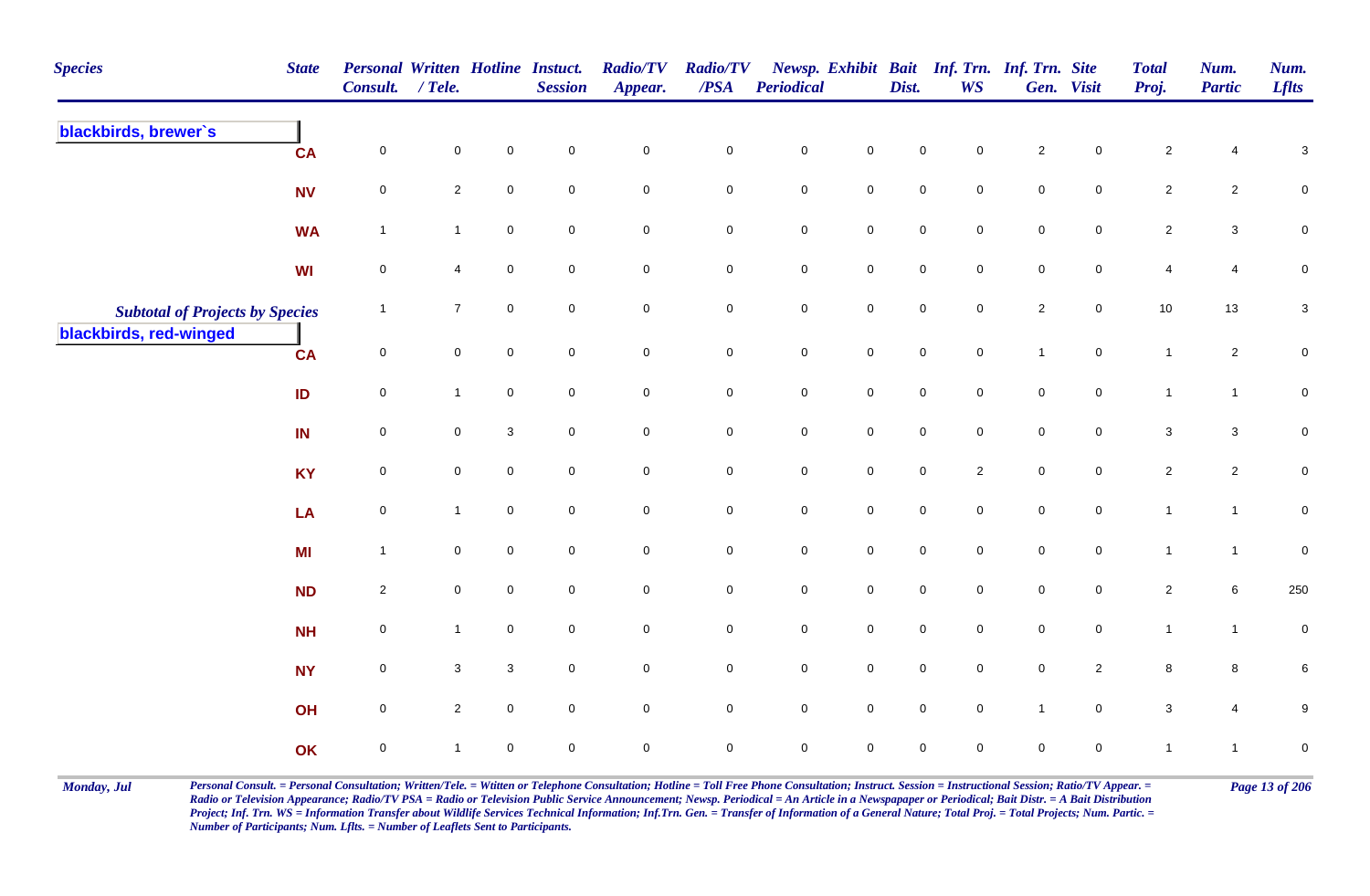| <b>Species</b>                         | <b>State</b> | Personal Written Hotline Instuct.<br>Consult. / Tele. |                |              | <b>Session</b>      | <b>Radio/TV</b><br>Appear. | <b>Radio/TV</b><br>$\overline{PSA}$ | Periodical  |                     | Dist.       | <b>WS</b>      | Newsp. Exhibit Bait Inf. Trn. Inf. Trn. Site | Gen. Visit     | <b>Total</b><br>Proj.     | Num.<br><b>Partic</b> | Num.<br><b>Lflts</b>      |
|----------------------------------------|--------------|-------------------------------------------------------|----------------|--------------|---------------------|----------------------------|-------------------------------------|-------------|---------------------|-------------|----------------|----------------------------------------------|----------------|---------------------------|-----------------------|---------------------------|
| blackbirds, brewer's                   | <b>CA</b>    | $\mathbf 0$                                           | $\pmb{0}$      | $\mathbf 0$  | $\mathbf 0$         | $\mathbf 0$                | $\mathbf 0$                         | $\pmb{0}$   | $\mathbf 0$         | $\mathsf 0$ | 0              | $\sqrt{2}$                                   | 0              | $\sqrt{2}$                | 4                     | 3                         |
|                                        | <b>NV</b>    | $\mathsf{O}\xspace$                                   | $\overline{2}$ | $\mathbf 0$  | $\mathbf 0$         | $\mathbf 0$                | $\mathbf 0$                         | $\pmb{0}$   | $\mathbf 0$         | $\mathsf 0$ | $\mathbf 0$    | $\mathsf 0$                                  | $\mathbf 0$    | $\overline{2}$            | $\overline{2}$        | $\pmb{0}$                 |
|                                        | <b>WA</b>    | $\overline{1}$                                        | $\mathbf{1}$   | $\mathbf 0$  | $\mathsf 0$         | $\mathbf 0$                | $\mathbf 0$                         | $\mathsf 0$ | $\mathbf 0$         | $\mathbf 0$ | $\mathbf 0$    | $\mathbf 0$                                  | $\overline{0}$ | $\overline{2}$            | $\mathbf{3}$          | $\mathbf 0$               |
|                                        | WI           | $\overline{0}$                                        | $\overline{4}$ | $\mathbf 0$  | $\mathbf 0$         | $\mathbf 0$                | $\mathbf 0$                         | $\pmb{0}$   | $\mathbf 0$         | $\mathsf 0$ | $\mathbf 0$    | $\mathsf 0$                                  | $\overline{0}$ | 4                         | 4                     | $\pmb{0}$                 |
| <b>Subtotal of Projects by Species</b> |              | $\overline{1}$                                        | $\overline{7}$ | $\mathbf 0$  | $\mathbf 0$         | $\mathbf 0$                | $\mathbf 0$                         | $\mathbf 0$ | $\mathbf 0$         | $\pmb{0}$   | $\mathbf 0$    | $\sqrt{2}$                                   | $\mathbf 0$    | 10                        | 13                    | $\ensuremath{\mathsf{3}}$ |
| blackbirds, red-winged                 | <b>CA</b>    | $\mathbf 0$                                           | $\mathbf 0$    | $\mathbf 0$  | $\mathbf 0$         | $\mathsf{O}\xspace$        | $\overline{0}$                      | $\pmb{0}$   | $\mathbf 0$         | $\pmb{0}$   | $\mathbf 0$    | $\overline{1}$                               | $\overline{0}$ | $\mathbf{1}$              | $\overline{a}$        | $\mathbf 0$               |
|                                        | ID           | $\overline{0}$                                        | $\mathbf{1}$   | $\mathbf 0$  | $\mathbf 0$         | $\mathbf 0$                | $\overline{0}$                      | $\mathsf 0$ | $\mathbf 0$         | $\mathbf 0$ | $\mathbf 0$    | $\mathsf 0$                                  | $\mathbf 0$    | $\mathbf{1}$              | $\mathbf{1}$          | $\overline{0}$            |
|                                        | IN           | $\overline{0}$                                        | $\mathbf 0$    | $\mathbf{3}$ | $\mathbf 0$         | 0                          | $\mathbf 0$                         | $\mathsf 0$ | $\mathbf 0$         | $\mathbf 0$ | $\mathbf 0$    | $\mathbf 0$                                  | $\mathbf 0$    | $\ensuremath{\mathsf{3}}$ | $\mathbf{3}$          | $\mathsf{O}\xspace$       |
|                                        | <b>KY</b>    | $\mathsf{O}\xspace$                                   | $\mathbf 0$    | $\mathbf 0$  | $\mathbf 0$         | $\mathsf{O}\xspace$        | $\mathsf{O}\xspace$                 | $\pmb{0}$   | $\mathbf 0$         | $\pmb{0}$   | $\overline{2}$ | $\pmb{0}$                                    | $\mathbf 0$    | $\overline{2}$            | $\overline{c}$        | $\pmb{0}$                 |
|                                        | LA           | $\mathbf 0$                                           | $\mathbf{1}$   | $\mathbf 0$  | $\mathbf 0$         | $\mathsf{O}\xspace$        | $\mathbf 0$                         | $\pmb{0}$   | $\mathbf 0$         | $\mathbf 0$ | $\mathbf 0$    | $\pmb{0}$                                    | $\mathbf 0$    | $\mathbf{1}$              | $\mathbf{1}$          | $\mathsf{O}\xspace$       |
|                                        | MI           | $\overline{1}$                                        | $\mathbf 0$    | $\mathbf 0$  | $\mathbf 0$         | $\mathbf 0$                | $\mathbf 0$                         | $\pmb{0}$   | $\mathbf 0$         | $\pmb{0}$   | $\overline{0}$ | $\pmb{0}$                                    | $\mathbf 0$    | $\mathbf{1}$              | $\mathbf{1}$          | $\mathbf 0$               |
|                                        | <b>ND</b>    | $\overline{2}$                                        | $\mathbf 0$    | $\mathbf 0$  | $\mathsf 0$         | $\mathbf 0$                | $\mathbf 0$                         | $\pmb{0}$   | $\mathbf 0$         | $\mathsf 0$ | $\mathbf 0$    | $\pmb{0}$                                    | $\mathbf 0$    | $\overline{2}$            | 6                     | 250                       |
|                                        | <b>NH</b>    | $\mathsf{O}\xspace$                                   | $\mathbf{1}$   | $\mathbf 0$  | $\mathsf 0$         | $\mathsf{O}\xspace$        | $\mathbf 0$                         | $\pmb{0}$   | $\mathbf 0$         | $\pmb{0}$   | $\mathbf 0$    | $\pmb{0}$                                    | $\mathbf 0$    | $\mathbf{1}$              | $\mathbf{1}$          | $\pmb{0}$                 |
|                                        | <b>NY</b>    | $\mathsf{O}\xspace$                                   | $\mathbf{3}$   | $\mathbf 3$  | $\mathsf{O}\xspace$ | $\mathbf 0$                | $\mathbf 0$                         | $\pmb{0}$   | $\mathbf 0$         | $\pmb{0}$   | $\mathbf 0$    | $\pmb{0}$                                    | $\overline{2}$ | $\bf8$                    | 8                     | $\,6\,$                   |
|                                        | OH           | $\mathsf{O}\xspace$                                   | $\overline{2}$ | $\mathbf 0$  | $\mathbf 0$         | $\mathbf 0$                | $\mathbf 0$                         | $\pmb{0}$   | $\mathsf 0$         | $\pmb{0}$   | $\mathbf 0$    | $\mathbf{1}$                                 | $\mathbf 0$    | $\mathbf{3}$              | $\overline{4}$        | $\boldsymbol{9}$          |
|                                        | OK           | $\mathbf 0$                                           | $\mathbf{1}$   | $\mathbf 0$  | $\pmb{0}$           | $\mathsf{O}\xspace$        | $\mathsf{O}\xspace$                 | $\pmb{0}$   | $\mathsf{O}\xspace$ | $\mathbf 0$ | 0              | $\mathbf 0$                                  | $\mathbf 0$    | $\overline{1}$            | $\mathbf{1}$          | $\pmb{0}$                 |

Monday, Jul Personal Consult. = Personal Consultation; Written/Tele. = Witten or Telephone Consultation; Hotline = Toll Free Phone Consultation; Instruct. Session = Instructional Session; Ratio/TV Appear. = Page 13 of 206 *Radio or Television Appearance; Radio/TV PSA = Radio or Television Public Service Announcement; Newsp. Periodical = An Article in a Newspapaper or Periodical; Bait Distr. = A Bait Distribution*  Project; Inf. Trn. WS = Information Transfer about Wildlife Services Technical Information; Inf.Trn. Gen. = Transfer of Information of a General Nature; Total Proj. = Total Projects; Num. Partic. = *Number of Participants; Num. Lflts. = Number of Leaflets Sent to Participants.*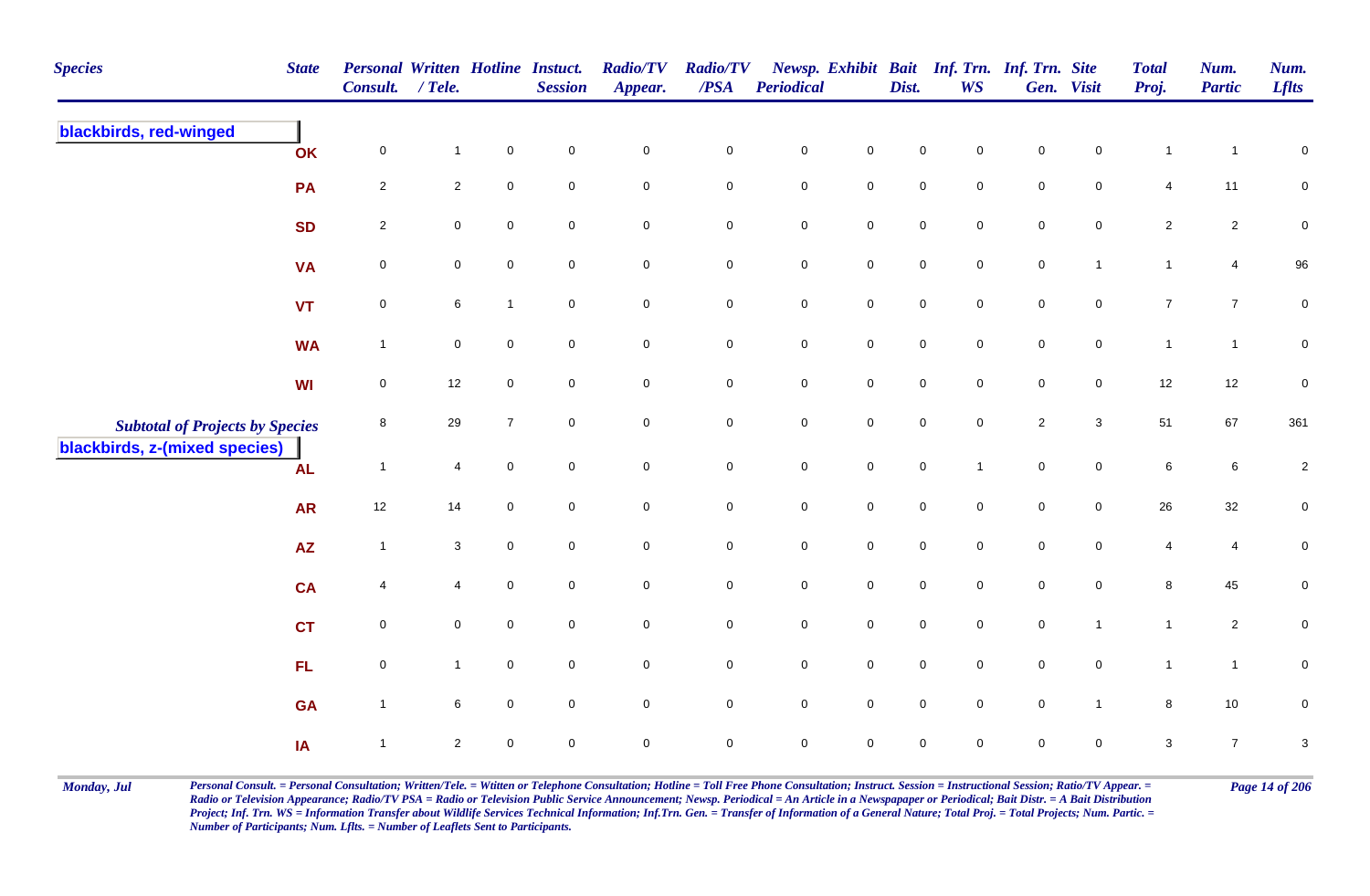| <b>Species</b>                         | <b>State</b>           | Personal Written Hotline Instuct.<br>Consult. | $/$ Tele.      |                     | <b>Session</b>      | <b>Radio/TV</b><br>Appear. | <b>Radio/TV</b><br>/PSA | <b>Periodical</b> |                     | Dist.               | <b>WS</b>           | Newsp. Exhibit Bait Inf. Trn. Inf. Trn. Site | Gen. Visit          | <b>Total</b><br>Proj. | Num.<br><b>Partic</b> | Num.<br><b>Lflts</b>      |
|----------------------------------------|------------------------|-----------------------------------------------|----------------|---------------------|---------------------|----------------------------|-------------------------|-------------------|---------------------|---------------------|---------------------|----------------------------------------------|---------------------|-----------------------|-----------------------|---------------------------|
| blackbirds, red-winged                 | OK                     | $\mathbf 0$                                   | $\mathbf{1}$   | $\mathbf 0$         | $\mathsf{O}\xspace$ | $\mathbf 0$                | $\mathbf 0$             | $\mathbf 0$       | $\mathbf 0$         | $\mathsf{O}\xspace$ | $\mathbf 0$         | $\mathbf 0$                                  | $\mathsf{O}\xspace$ | $\mathbf{1}$          | $\mathbf{1}$          | $\pmb{0}$                 |
|                                        | PA                     | $\overline{2}$                                | $\overline{2}$ | $\mathbf 0$         | $\mathsf{O}\xspace$ | $\mathsf{O}\xspace$        | $\mathbf 0$             | $\pmb{0}$         | $\mathbf 0$         | $\mathbf 0$         | $\mathbf 0$         | $\mathbf 0$                                  | $\mathbf 0$         | 4                     | 11                    | $\pmb{0}$                 |
|                                        | <b>SD</b>              | $\overline{c}$                                | $\mathbf 0$    | $\mathsf{O}\xspace$ | $\mathbf 0$         | $\mathsf{O}\xspace$        | $\mathbf 0$             | $\pmb{0}$         | $\mathbf 0$         | $\mathsf{O}\xspace$ | $\mathbf 0$         | $\mathsf{O}\xspace$                          | $\mathbf 0$         | $\overline{2}$        | $\overline{2}$        | $\pmb{0}$                 |
|                                        | <b>VA</b>              | $\pmb{0}$                                     | $\mathbf 0$    | $\pmb{0}$           | $\mathbf 0$         | $\mathsf{O}\xspace$        | $\mathbf 0$             | $\mathbf 0$       | $\mathbf 0$         | $\mathbf 0$         | $\mathbf 0$         | $\mathsf{O}\xspace$                          | $\mathbf{1}$        | $\mathbf{1}$          | $\overline{4}$        | 96                        |
|                                        | <b>VT</b>              | $\pmb{0}$                                     | 6              | $\mathbf{1}$        | $\mathbf 0$         | $\overline{0}$             | $\mathbf 0$             | $\mathbf 0$       | $\mathsf{O}$        | $\mathbf 0$         | $\mathbf 0$         | $\mathbf 0$                                  | $\overline{0}$      | $\overline{7}$        | $\overline{7}$        | $\pmb{0}$                 |
|                                        | <b>WA</b>              | $\overline{1}$                                | $\mathbf 0$    | $\mathbf 0$         | $\mathbf 0$         | $\mathsf{O}\xspace$        | $\mathbf 0$             | ${\bf 0}$         | $\mathsf{O}\xspace$ | $\mathsf{O}\xspace$ | $\mathbf 0$         | $\pmb{0}$                                    | $\overline{0}$      | $\mathbf{1}$          | $\mathbf{1}$          | $\pmb{0}$                 |
|                                        | <b>WI</b>              | $\pmb{0}$                                     | 12             | $\pmb{0}$           | $\mathbf 0$         | $\mathsf{O}\xspace$        | $\mathbf 0$             | $\mathbf 0$       | $\mathsf{O}$        | $\mathbf 0$         | $\mathbf 0$         | $\mathbf 0$                                  | $\mathbf 0$         | $12$                  | 12                    | $\pmb{0}$                 |
| <b>Subtotal of Projects by Species</b> |                        | 8                                             | 29             | $\overline{7}$      | $\mathbf 0$         | $\mathsf{O}\xspace$        | $\mathbf 0$             | $\mathbf 0$       | $\mathsf 0$         | $\mathsf{O}\xspace$ | $\mathsf{O}\xspace$ | $\overline{2}$                               | $\mathbf{3}$        | 51                    | 67                    | 361                       |
| blackbirds, z-(mixed species)          | <b>AL</b>              | $\overline{1}$                                | $\overline{4}$ | $\pmb{0}$           | $\mathsf{O}\xspace$ | $\mathbf 0$                | $\mathbf 0$             | $\mathbf 0$       | $\mathsf{O}\xspace$ | $\mathsf{O}\xspace$ | $\overline{1}$      | $\mathbf 0$                                  | $\overline{0}$      | $\,6\,$               | $\,6\,$               | $\overline{\mathbf{c}}$   |
|                                        | <b>AR</b>              | $12$                                          | 14             | $\mathbf 0$         | $\mathsf{O}\xspace$ | $\mathsf{O}\xspace$        | $\mathbf 0$             | $\pmb{0}$         | $\mathsf{O}\xspace$ | $\mathsf{O}\xspace$ | $\mathbf 0$         | $\mathbf 0$                                  | $\mathbf 0$         | 26                    | 32                    | $\pmb{0}$                 |
|                                        | $\mathsf{A}\mathsf{Z}$ | $\overline{1}$                                | 3              | $\mathbf 0$         | $\mathbf 0$         | $\overline{0}$             | $\mathbf 0$             | $\mathbf 0$       | $\mathsf{O}$        | $\mathsf{O}\xspace$ | $\mathbf 0$         | $\mathsf{O}\xspace$                          | $\mathbf 0$         | 4                     | 4                     | 0                         |
|                                        | <b>CA</b>              | 4                                             | 4              | $\pmb{0}$           | $\mathsf{O}\xspace$ | $\mathsf{O}\xspace$        | $\mathbf 0$             | $\mathbf 0$       | $\mathsf 0$         | $\mathbf 0$         | $\mathbf 0$         | $\mathbf 0$                                  | $\mathbf 0$         | 8                     | 45                    | $\pmb{0}$                 |
|                                        | <b>CT</b>              | $\mathbf 0$                                   | $\mathbf 0$    | $\mathsf 0$         | $\overline{0}$      | $\overline{0}$             | $\mathbf 0$             | $\mathbf 0$       | $\mathsf{O}$        | $\mathbf 0$         | $\mathbf 0$         | $\mathbf 0$                                  | $\mathbf{1}$        | $\mathbf{1}$          | $\overline{2}$        | $\pmb{0}$                 |
|                                        | FL                     | $\pmb{0}$                                     | $\mathbf{1}$   | $\mathbf 0$         | $\mathbf 0$         | $\mathsf{O}\xspace$        | $\mathbf 0$             | $\mathbf 0$       | $\mathsf 0$         | $\mathbf 0$         | $\mathbf 0$         | $\mathbf 0$                                  | $\mathbf 0$         | $\mathbf{1}$          | $\mathbf{1}$          | $\pmb{0}$                 |
|                                        | <b>GA</b>              | $\overline{1}$                                | 6              | $\mathbf 0$         | $\mathbf 0$         | $\mathsf{O}\xspace$        | $\mathbf 0$             | $\mathbf 0$       | $\mathbf 0$         | 0                   | $\mathbf 0$         | $\mathsf{O}\xspace$                          | $\overline{1}$      | 8                     | $10$                  | $\mathbf 0$               |
|                                        | IA                     | $\overline{1}$                                | $\overline{2}$ | $\mathbf 0$         | $\mathbf 0$         | $\pmb{0}$                  | $\pmb{0}$               | $\mathbf 0$       | $\mathsf 0$         | 0                   | 0                   | 0                                            | $\mathbf 0$         | 3                     | $\overline{7}$        | $\ensuremath{\mathsf{3}}$ |

Monday, Jul Personal Consult. = Personal Consultation; Written/Tele. = Witten or Telephone Consultation; Hotline = Toll Free Phone Consultation; Instruct. Session = Instructional Session; Ratio/TV Appear. = Page 14 of 206 *Radio or Television Appearance; Radio/TV PSA = Radio or Television Public Service Announcement; Newsp. Periodical = An Article in a Newspapaper or Periodical; Bait Distr. = A Bait Distribution*  Project; Inf. Trn. WS = Information Transfer about Wildlife Services Technical Information; Inf.Trn. Gen. = Transfer of Information of a General Nature; Total Proj. = Total Projects; Num. Partic. = *Number of Participants; Num. Lflts. = Number of Leaflets Sent to Participants.*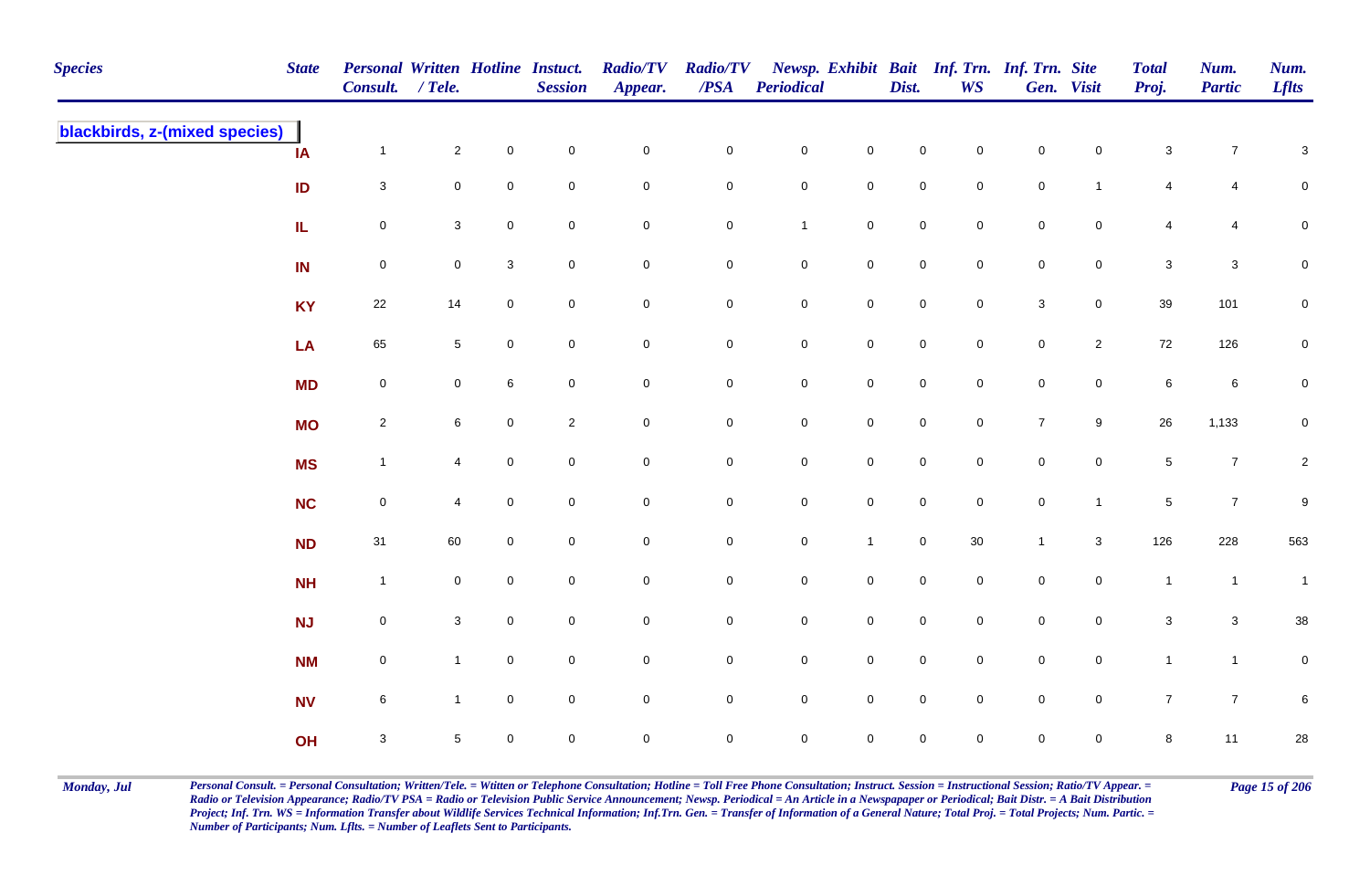| <b>Species</b>                | <b>State</b> | Personal Written Hotline Instuct.<br>Consult. / Tele. |                 |             | <b>Session</b> | <b>Radio/TV</b><br>Appear. | <b>Radio/TV</b><br>$\overline{PSA}$ | <b>Periodical</b>   |                     | Dist.               | <b>WS</b>           | Newsp. Exhibit Bait Inf. Trn. Inf. Trn. Site | Gen. Visit          | <b>Total</b><br>Proj. | Num.<br><b>Partic</b> | Num.<br><b>Lflts</b> |
|-------------------------------|--------------|-------------------------------------------------------|-----------------|-------------|----------------|----------------------------|-------------------------------------|---------------------|---------------------|---------------------|---------------------|----------------------------------------------|---------------------|-----------------------|-----------------------|----------------------|
| blackbirds, z-(mixed species) | IA           | $\mathbf{1}$                                          | $\overline{2}$  | $\mathbf 0$ | $\mathbf 0$    | $\mathbf 0$                | $\mathbf 0$                         | $\mathsf{O}$        | $\mathbf 0$         | $\mathsf{O}\xspace$ | $\mathbf 0$         | $\mathsf{O}\xspace$                          | $\mathbf 0$         | $\sqrt{3}$            | $\overline{7}$        | $\sqrt{3}$           |
|                               | ID           | $\mathbf{3}$                                          | $\overline{0}$  | $\mathbf 0$ | $\mathsf 0$    | $\mathbf 0$                | $\mathbf 0$                         | $\mathbf 0$         | $\mathbf 0$         | $\mathbf 0$         | $\mathbf 0$         | $\mathbf 0$                                  | $\mathbf{1}$        | 4                     | 4                     | $\mathbf 0$          |
|                               | ${\sf IL}$   | $\mathsf{O}\xspace$                                   | $\mathbf{3}$    | $\mathbf 0$ | $\mathbf 0$    | $\mathbf 0$                | $\mathbf 0$                         | $\mathbf{1}$        | $\mathbf 0$         | $\mathsf{O}\xspace$ | $\mathbf 0$         | $\mathsf{O}\xspace$                          | $\mathbf 0$         | 4                     | 4                     | $\mathsf 0$          |
|                               | IN           | $\mathbf 0$                                           | $\overline{0}$  | 3           | $\overline{0}$ | $\mathbf 0$                | $\mathbf 0$                         | $\mathbf 0$         | $\mathbf 0$         | $\mathsf{O}\xspace$ | $\mathbf 0$         | $\mathsf{O}\xspace$                          | $\overline{0}$      | $\mathbf{3}$          | $\mathbf{3}$          | $\mathbf 0$          |
|                               | <b>KY</b>    | 22                                                    | 14              | $\mathbf 0$ | $\mathbf 0$    | $\mathsf{O}\xspace$        | $\mathbf 0$                         | $\mathsf{O}$        | $\mathbf 0$         | $\mathsf{O}\xspace$ | $\mathsf{O}\xspace$ | $\mathbf 3$                                  | $\mathbf 0$         | $39\,$                | 101                   | $\mathbf 0$          |
|                               | LA           | 65                                                    | $5\phantom{.0}$ | $\mathbf 0$ | $\mathbf 0$    | $\mathbf 0$                | $\mathbf 0$                         | $\mathsf{O}$        | $\mathbf 0$         | $\mathbf 0$         | $\mathbf 0$         | $\mathbf 0$                                  | $\overline{2}$      | 72                    | 126                   | $\mathbf 0$          |
|                               | <b>MD</b>    | $\mathbf 0$                                           | $\overline{0}$  | 6           | $\mathbf 0$    | $\mathsf{O}\xspace$        | $\mathbf 0$                         | $\mathsf{O}$        | $\mathbf 0$         | $\mathsf{O}\xspace$ | $\mathbf 0$         | $\mathbf 0$                                  | $\overline{0}$      | $\,6\,$               | $\,6\,$               | $\pmb{0}$            |
|                               | <b>MO</b>    | $\overline{2}$                                        | 6               | $\mathbf 0$ | $\overline{2}$ | $\mathsf{O}\xspace$        | $\mathbf 0$                         | $\mathbf 0$         | $\mathbf 0$         | $\mathsf{O}\xspace$ | $\mathsf{O}\xspace$ | $\boldsymbol{7}$                             | 9                   | 26                    | 1,133                 | $\mathbf 0$          |
|                               | <b>MS</b>    | $\mathbf{1}$                                          |                 | $\mathbf 0$ | $\mathbf 0$    | $\pmb{0}$                  | $\mathbf 0$                         | $\mathbf 0$         | $\mathsf{O}\xspace$ | $\mathsf{O}\xspace$ | $\mathbf 0$         | $\mathbf 0$                                  | $\mathsf{O}\xspace$ | $\sqrt{5}$            | $\overline{7}$        | $\overline{2}$       |
|                               | <b>NC</b>    | $\mathbf 0$                                           | $\overline{4}$  | 0           | $\mathbf 0$    | $\mathbf 0$                | $\mathbf 0$                         | $\mathbf 0$         | $\mathsf{O}\xspace$ | $\mathbf 0$         | $\mathbf 0$         | $\mathbf 0$                                  | $\mathbf{1}$        | $\,$ 5 $\,$           | $\overline{7}$        | $\boldsymbol{9}$     |
|                               | <b>ND</b>    | 31                                                    | 60              | $\mathbf 0$ | $\mathbf 0$    | $\mathbf 0$                | $\mathbf 0$                         | $\mathbf 0$         | $\mathbf{1}$        | $\mathbf 0$         | $30\,$              | $\mathbf{1}$                                 | $\mathbf{3}$        | 126                   | 228                   | 563                  |
|                               | <b>NH</b>    | $\overline{1}$                                        | $\mathbf 0$     | $\mathbf 0$ | $\overline{0}$ | $\mathsf{O}\xspace$        | $\mathbf 0$                         | $\mathbf 0$         | $\mathbf 0$         | $\mathsf{O}\xspace$ | $\mathsf{O}\xspace$ | $\mathbf 0$                                  | $\mathbf 0$         | $\mathbf{1}$          | $\overline{1}$        | $\overline{1}$       |
|                               | <b>NJ</b>    | $\mathbf 0$                                           | $\mathbf{3}$    | $\mathbf 0$ | $\mathbf 0$    | $\pmb{0}$                  | $\mathbf 0$                         | $\mathbf 0$         | $\mathbf 0$         | $\mathbf 0$         | $\mathbf 0$         | $\mathbf 0$                                  | $\mathbf 0$         | $\sqrt{3}$            | $\mathbf{3}$          | 38                   |
|                               | <b>NM</b>    | $\mathbf 0$                                           | $\mathbf{1}$    | $\mathbf 0$ | $\mathbf 0$    | $\mathsf 0$                | 0                                   | $\mathsf{O}\xspace$ | $\mathbf 0$         | $\mathbf 0$         | $\mathbf 0$         | $\pmb{0}$                                    | $\mathbf 0$         | $\mathbf{1}$          | $\overline{1}$        | $\mathbf 0$          |
|                               | <b>NV</b>    | 6                                                     | $\mathbf{1}$    | $\mathbf 0$ | $\mathbf 0$    | $\mathsf{O}\xspace$        | $\mathbf 0$                         | $\mathsf{O}$        | $\mathbf 0$         | $\mathsf{O}\xspace$ | $\mathsf{O}\xspace$ | $\mathsf{O}\xspace$                          | $\mathsf{O}\xspace$ | $\overline{7}$        | $\overline{7}$        | $\,6\,$              |
|                               | OH           | $\mathbf{3}$                                          | 5               | $\mathbf 0$ | $\pmb{0}$      | $\pmb{0}$                  | $\mathbf 0$                         | $\mathbf 0$         | $\mathsf{O}\xspace$ | 0                   | $\mathbf 0$         | $\pmb{0}$                                    | $\mathbf 0$         | $\,8\,$               | 11                    | 28                   |

Monday, Jul Personal Consult. = Personal Consultation; Written/Tele. = Witten or Telephone Consultation; Hotline = Toll Free Phone Consultation; Instruct. Session = Instructional Session; Ratio/TV Appear. = Page 15 of 206 *Radio or Television Appearance; Radio/TV PSA = Radio or Television Public Service Announcement; Newsp. Periodical = An Article in a Newspapaper or Periodical; Bait Distr. = A Bait Distribution*  Project; Inf. Trn. WS = Information Transfer about Wildlife Services Technical Information; Inf.Trn. Gen. = Transfer of Information of a General Nature; Total Proj. = Total Projects; Num. Partic. = *Number of Participants; Num. Lflts. = Number of Leaflets Sent to Participants.*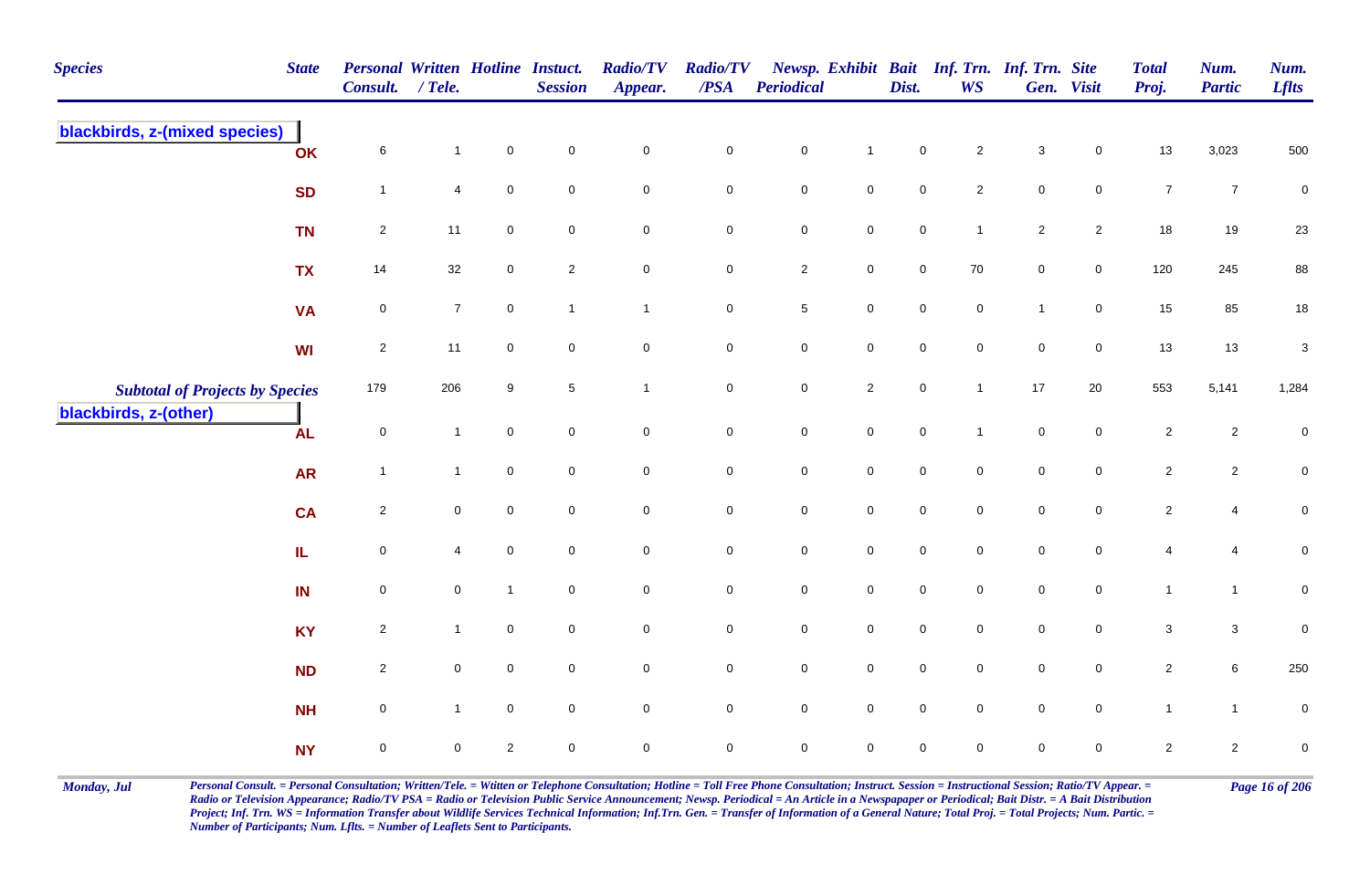| <b>Species</b>                         | <b>State</b> | <b>Personal Written Hotline Instuct.</b><br>Consult. | $/$ Tele.      |                | <b>Session</b>      | <b>Radio/TV</b><br>Appear. | <b>Radio/TV</b><br>$\overline{PSA}$ | Periodical          |                     | Dist.               | Newsp. Exhibit Bait Inf. Trn. Inf. Trn. Site<br><b>WS</b> |                     | Gen. Visit          | <b>Total</b><br>Proj. | Num.<br><b>Partic</b> | Num.<br><b>Lflts</b> |
|----------------------------------------|--------------|------------------------------------------------------|----------------|----------------|---------------------|----------------------------|-------------------------------------|---------------------|---------------------|---------------------|-----------------------------------------------------------|---------------------|---------------------|-----------------------|-----------------------|----------------------|
| blackbirds, z-(mixed species)          | OK           | $\,6\,$                                              | $\mathbf{1}$   | $\pmb{0}$      | $\mathbf 0$         | $\mathbf 0$                | $\pmb{0}$                           | $\pmb{0}$           | $\mathbf{1}$        | $\pmb{0}$           | $\mathbf{2}$                                              | $\mathsf 3$         | $\mathbf 0$         | 13                    | 3,023                 | 500                  |
|                                        | <b>SD</b>    | $\overline{1}$                                       | 4              | $\pmb{0}$      | $\mathsf{O}\xspace$ | $\mathsf{O}\xspace$        | $\mathbf 0$                         | $\mathbf 0$         | $\mathbf 0$         | $\mathsf{O}\xspace$ | $\overline{2}$                                            | $\mathsf{O}\xspace$ | $\mathbf 0$         | $\boldsymbol{7}$      | $\overline{7}$        | $\pmb{0}$            |
|                                        | <b>TN</b>    | $\overline{2}$                                       | 11             | $\mathsf 0$    | $\mathbf 0$         | $\mathbf 0$                | $\mathbf 0$                         | $\mathbf 0$         | $\mathsf{O}$        | $\mathbf 0$         | $\mathbf{1}$                                              | $\overline{2}$      | $\overline{2}$      | 18                    | 19                    | 23                   |
|                                        | <b>TX</b>    | 14                                                   | 32             | $\mathbf 0$    | $\overline{c}$      | $\mathbf 0$                | $\mathbf 0$                         | $\overline{c}$      | $\mathsf{O}$        | $\mathbf 0$         | 70                                                        | $\mathbf 0$         | $\overline{0}$      | 120                   | 245                   | 88                   |
|                                        | <b>VA</b>    | $\pmb{0}$                                            | $\overline{7}$ | $\pmb{0}$      | $\overline{1}$      | $\mathbf{1}$               | $\mathbf 0$                         | $\,$ 5 $\,$         | $\mathsf{O}$        | $\mathbf 0$         | $\mathsf{O}$                                              | $\mathbf{1}$        | $\mathsf{O}$        | 15                    | 85                    | $18\,$               |
|                                        | <b>WI</b>    | $\overline{2}$                                       | 11             | $\mathbf 0$    | $\mathsf{O}\xspace$ | $\mathsf{O}\xspace$        | $\mathsf 0$                         | $\mathbf 0$         | $\mathsf{O}$        | $\mathsf{O}\xspace$ | $\mathsf 0$                                               | $\mathbf 0$         | $\mathsf{O}$        | 13                    | 13                    | $\sqrt{3}$           |
| <b>Subtotal of Projects by Species</b> |              | 179                                                  | 206            | 9              | $\sqrt{5}$          | $\overline{1}$             | $\mathbf 0$                         | $\mathbf 0$         | $\overline{2}$      | $\mathbf 0$         | $\overline{1}$                                            | 17                  | $20\,$              | 553                   | 5,141                 | 1,284                |
| blackbirds, z-(other)                  | <b>AL</b>    | $\pmb{0}$                                            | $\mathbf{1}$   | $\mathbf 0$    | $\mathbf 0$         | $\mathsf{O}\xspace$        | $\mathbf 0$                         | $\mathsf{O}\xspace$ | $\mathsf 0$         | $\mathbf 0$         |                                                           | $\mathsf{O}\xspace$ | $\mathsf{O}\xspace$ | $\sqrt{2}$            | $\overline{2}$        | $\mathbf 0$          |
|                                        | <b>AR</b>    | $\overline{1}$                                       | $\mathbf{1}$   | $\mathsf 0$    | $\mathbf 0$         | $\mathbf 0$                | $\pmb{0}$                           | $\mathbf 0$         | $\mathsf 0$         | $\mathbf 0$         | $\mathbf 0$                                               | $\mathbf 0$         | $\overline{0}$      | $\sqrt{2}$            | $\mathbf{2}$          | $\pmb{0}$            |
|                                        | <b>CA</b>    | $\sqrt{2}$                                           | $\mathbf 0$    | $\mathbf 0$    | $\mathbf 0$         | $\mathsf{O}\xspace$        | $\pmb{0}$                           | $\mathbf 0$         | $\mathsf{O}\xspace$ | $\mathbf 0$         | $\mathbf 0$                                               | $\mathsf{O}\xspace$ | $\mathbf 0$         | $\sqrt{2}$            | 4                     | $\pmb{0}$            |
|                                        | IL.          | $\pmb{0}$                                            | 4              | $\mathbf 0$    | $\mathbf 0$         | $\mathsf{O}\xspace$        | $\mathbf 0$                         | $\pmb{0}$           | $\mathbf 0$         | $\mathbf 0$         | $\mathbf 0$                                               | $\mathbf 0$         | $\mathbf 0$         | 4                     | 4                     | $\pmb{0}$            |
|                                        | IN           | $\pmb{0}$                                            | $\mathbf 0$    | $\overline{1}$ | $\mathbf 0$         | $\mathsf{O}\xspace$        | $\mathbf 0$                         | $\mathbf 0$         | $\mathsf{O}$        | $\mathsf{O}\xspace$ | $\mathbf 0$                                               | $\mathbf 0$         | $\mathbf 0$         | $\mathbf{1}$          | $\mathbf{1}$          | $\pmb{0}$            |
|                                        | <b>KY</b>    | $\sqrt{2}$                                           | $\mathbf{1}$   | $\mathbf 0$    | $\mathbf 0$         | $\mathsf{O}\xspace$        | $\mathbf 0$                         | $\mathbf 0$         | $\mathsf{O}$        | $\mathsf{O}\xspace$ | $\mathbf 0$                                               | $\mathsf{O}\xspace$ | $\mathbf 0$         | 3                     | $\mathbf{3}$          | $\mathbf 0$          |
|                                        | <b>ND</b>    | $\overline{2}$                                       | $\mathbf 0$    | $\mathsf 0$    | $\mathbf 0$         | $\overline{0}$             | $\mathbf 0$                         | $\mathsf{O}\xspace$ | $\mathsf 0$         | $\mathsf{O}\xspace$ | $\mathbf 0$                                               | $\mathsf{O}\xspace$ | $\mathbf 0$         | $\overline{2}$        | 6                     | 250                  |
|                                        | <b>NH</b>    | $\mathsf 0$                                          | $\mathbf{1}$   | $\mathbf 0$    | $\mathbf 0$         | $\mathsf{O}\xspace$        | $\mathbf 0$                         | $\mathsf{O}\xspace$ | $\mathsf 0$         | $\mathbf 0$         | $\mathbf 0$                                               | $\mathbf 0$         | $\mathbf 0$         | $\mathbf{1}$          | $\mathbf{1}$          | $\mathsf 0$          |
|                                        | <b>NY</b>    | $\pmb{0}$                                            | $\mathbf 0$    | $\sqrt{2}$     | $\pmb{0}$           | $\mathbf 0$                | $\mathbf 0$                         | $\mathbf 0$         | $\mathsf{O}\xspace$ | $\pmb{0}$           | $\mathbf 0$                                               | $\pmb{0}$           | $\mathbf 0$         | $\sqrt{2}$            | $\mathbf{2}$          | $\pmb{0}$            |

Monday, Jul Personal Consult. = Personal Consultation; Written/Tele. = Witten or Telephone Consultation; Hotline = Toll Free Phone Consultation; Instruct. Session = Instructional Session; Ratio/TV Appear. = Page 16 of 206 *Radio or Television Appearance; Radio/TV PSA = Radio or Television Public Service Announcement; Newsp. Periodical = An Article in a Newspapaper or Periodical; Bait Distr. = A Bait Distribution*  Project; Inf. Trn. WS = Information Transfer about Wildlife Services Technical Information; Inf.Trn. Gen. = Transfer of Information of a General Nature; Total Proj. = Total Projects; Num. Partic. = *Number of Participants; Num. Lflts. = Number of Leaflets Sent to Participants.*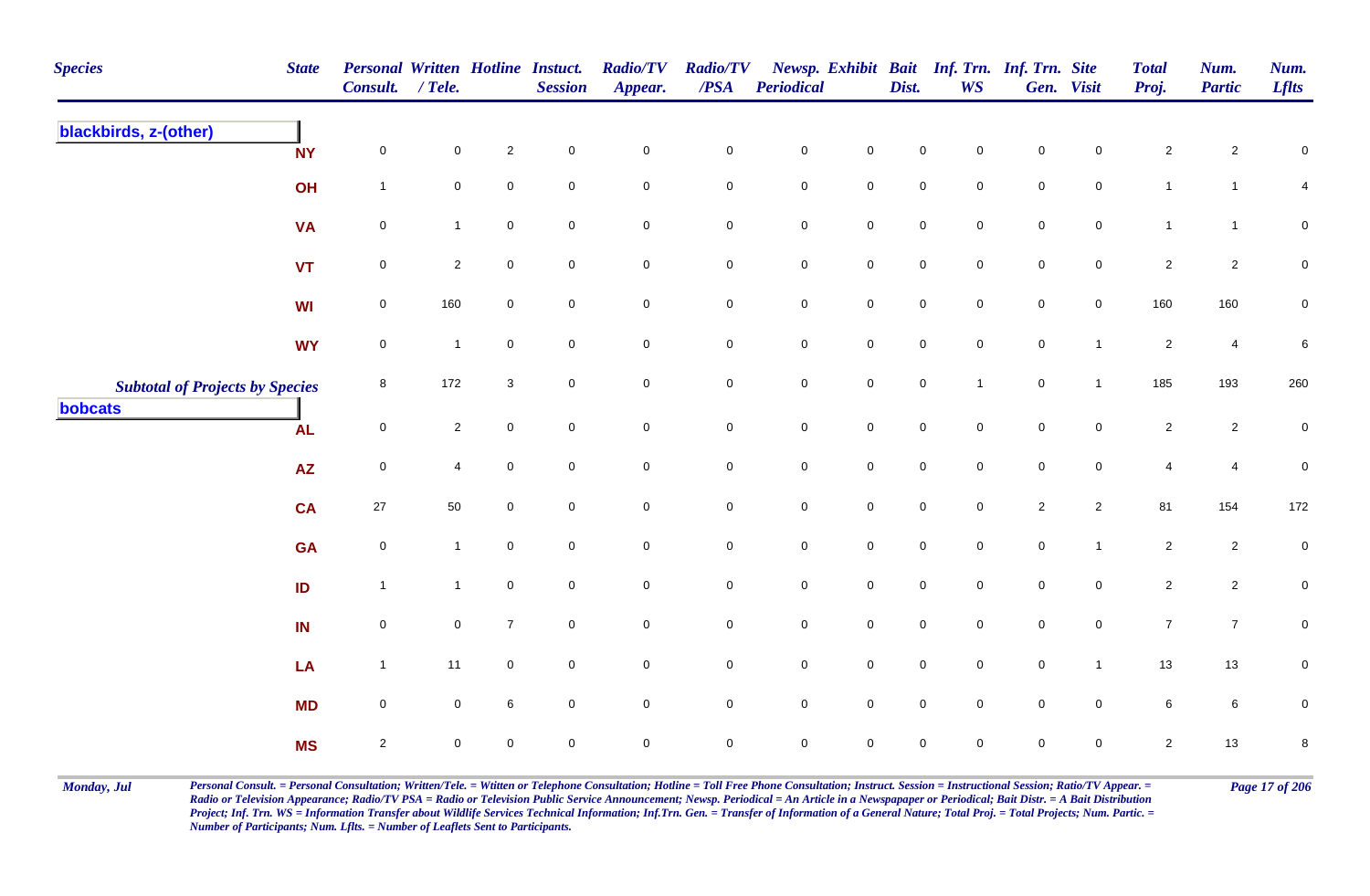| <b>Species</b>                         | <b>State</b>               | <b>Personal Written Hotline Instuct.</b><br>Consult. | $/$ Tele.      |                | <b>Session</b> | <b>Radio/TV</b><br>Appear. | <b>Radio/TV</b><br>/PSA | <b>Periodical</b>   |                     | Dist.               | <b>WS</b>           | Newsp. Exhibit Bait Inf. Trn. Inf. Trn. Site | Gen. Visit     | <b>Total</b><br>Proj. | Num.<br><b>Partic</b> | Num.<br><b>Lflts</b> |
|----------------------------------------|----------------------------|------------------------------------------------------|----------------|----------------|----------------|----------------------------|-------------------------|---------------------|---------------------|---------------------|---------------------|----------------------------------------------|----------------|-----------------------|-----------------------|----------------------|
| blackbirds, z-(other)                  | <b>NY</b>                  | $\mathsf{O}\xspace$                                  | $\mathbf 0$    | $\sqrt{2}$     | $\mathbf 0$    | $\pmb{0}$                  | $\pmb{0}$               | $\pmb{0}$           | $\mathbf 0$         | $\mathbf 0$         | $\mathbf 0$         | $\mathbf 0$                                  | $\Omega$       | $\overline{2}$        | $\overline{2}$        | $\pmb{0}$            |
|                                        | OH                         | $\mathbf{1}$                                         | $\mathbf 0$    | $\mathsf 0$    | $\mathbf 0$    | $\mathsf{O}\xspace$        | $\mathbf 0$             | $\mathbf 0$         | $\mathbf 0$         | $\mathbf 0$         | $\mathsf{O}\xspace$ | $\mathsf{O}\xspace$                          | $\mathbf 0$    | $\mathbf{1}$          | $\mathbf{1}$          | $\overline{4}$       |
|                                        | <b>VA</b>                  | $\pmb{0}$                                            | $\mathbf{1}$   | $\mathsf 0$    | $\mathbf 0$    | $\mathbf 0$                | $\mathbf 0$             | $\mathbf 0$         | $\mathbf 0$         | $\mathbf 0$         | $\mathbf 0$         | $\mathbf 0$                                  | $\mathbf 0$    | $\mathbf{1}$          | $\mathbf{1}$          | ${\bf 0}$            |
|                                        | <b>VT</b>                  | $\pmb{0}$                                            | $\mathbf{2}$   | $\mathbf 0$    | $\mathbf 0$    | $\mathbf 0$                | ${\bf 0}$               | $\mathbf 0$         | $\mathbf 0$         | $\mathbf 0$         | $\mathbf 0$         | ${\bf 0}$                                    | $\overline{0}$ | $\overline{c}$        | $\overline{2}$        | ${\bf 0}$            |
|                                        | WI                         | 0                                                    | 160            | $\mathbf 0$    | $\overline{0}$ | $\mathbf 0$                | 0                       | $\mathbf 0$         | $\overline{0}$      | $\overline{0}$      | $\mathbf 0$         | $\mathbf 0$                                  | $\overline{0}$ | 160                   | 160                   | $\mathbf 0$          |
|                                        | <b>WY</b>                  | $\pmb{0}$                                            | $\mathbf{1}$   | $\mathbf 0$    | $\overline{0}$ | $\mathsf{O}\xspace$        | $\mathbf 0$             | $\mathbf 0$         | $\mathbf 0$         | $\mathsf{O}\xspace$ | $\mathsf{O}\xspace$ | $\mathsf{O}\xspace$                          | $\mathbf{1}$   | $\sqrt{2}$            | $\overline{4}$        | 6                    |
| <b>Subtotal of Projects by Species</b> |                            | 8                                                    | 172            | 3              | $\mathbf 0$    | $\mathsf{O}\xspace$        | $\mathbf 0$             | $\mathbf 0$         | $\mathbf 0$         | $\mathbf 0$         | $\mathbf{1}$        | $\mathbf 0$                                  | $\mathbf{1}$   | 185                   | 193                   | 260                  |
| bobcats                                | <b>AL</b>                  | $\mathsf{O}\xspace$                                  | $\overline{2}$ | $\mathbf 0$    | $\overline{0}$ | $\mathsf{O}\xspace$        | $\mathbf 0$             | $\mathsf{O}\xspace$ | $\mathsf{O}\xspace$ | $\mathbf 0$         | $\mathbf 0$         | $\mathbf 0$                                  | $\mathbf 0$    | $\overline{2}$        | $\overline{2}$        | $\mathbf 0$          |
|                                        | $\boldsymbol{\mathsf{AZ}}$ | $\mathsf{O}\xspace$                                  | $\overline{4}$ | $\mathbf 0$    | $\mathbf 0$    | $\mathbf 0$                | $\mathbf 0$             | $\mathbf 0$         | $\mathsf{O}\xspace$ | $\mathsf{O}\xspace$ | $\mathbf 0$         | $\mathsf{O}\xspace$                          | $\mathbf 0$    | 4                     | $\overline{4}$        | $\pmb{0}$            |
|                                        | <b>CA</b>                  | 27                                                   | 50             | $\pmb{0}$      | $\mathbf 0$    | $\mathsf{O}\xspace$        | $\mathbf 0$             | $\mathbf 0$         | $\mathbf 0$         | $\mathbf 0$         | $\mathsf{O}\xspace$ | $\overline{2}$                               | $\overline{2}$ | 81                    | 154                   | 172                  |
|                                        | <b>GA</b>                  | $\pmb{0}$                                            | $\mathbf{1}$   | $\mathsf 0$    | $\mathbf 0$    | $\mathbf 0$                | $\mathbf 0$             | $\mathbf 0$         | $\mathbf 0$         | $\overline{0}$      | $\overline{0}$      | $\mathbf 0$                                  | $\overline{1}$ | $\overline{2}$        | $\overline{2}$        | $\mathbf 0$          |
|                                        | ID                         | $\mathbf{1}$                                         | $\mathbf{1}$   | $\pmb{0}$      | $\mathbf 0$    | $\mathsf{O}\xspace$        | $\mathbf 0$             | $\mathbf 0$         | $\mathbf 0$         | $\mathsf{O}\xspace$ | $\overline{0}$      | $\mathsf{O}\xspace$                          | $\mathbf 0$    | $\overline{c}$        | $\overline{2}$        | $\pmb{0}$            |
|                                        | IN                         | $\pmb{0}$                                            | $\mathbf 0$    | $\overline{7}$ | $\overline{0}$ | $\mathsf{O}\xspace$        | $\mathbf 0$             | $\mathbf 0$         | $\mathbf 0$         | $\mathsf{O}\xspace$ | $\overline{0}$      | $\mathsf{O}\xspace$                          | $\overline{0}$ | $\overline{7}$        | $\overline{7}$        | $\mathbf 0$          |
|                                        | LA                         | $\mathbf{1}$                                         | 11             | $\mathbf 0$    | $\mathbf 0$    | $\mathsf{O}\xspace$        | $\pmb{0}$               | $\mathbf 0$         | $\mathsf{O}\xspace$ | $\mathbf 0$         | $\mathbf 0$         | $\mathsf{O}\xspace$                          | $\overline{1}$ | $13$                  | $13$                  | $\pmb{0}$            |
|                                        | <b>MD</b>                  | $\pmb{0}$                                            | $\mathbf 0$    | 6              | $\overline{0}$ | $\mathsf{O}\xspace$        | $\mathbf 0$             | $\mathbf 0$         | $\mathbf 0$         | $\mathsf{O}\xspace$ | $\mathbf 0$         | $\mathsf{O}\xspace$                          | $\mathbf 0$    | 6                     | $6\phantom{.}6$       | $\pmb{0}$            |
|                                        | <b>MS</b>                  | $\sqrt{2}$                                           | 0              | $\mathbf 0$    | $\mathbf 0$    | $\mathbf 0$                | $\mathsf{O}\xspace$     | $\mathbf 0$         | $\mathbf 0$         | 0                   | $\mathbf 0$         | 0                                            | $\mathbf 0$    | $\overline{c}$        | 13                    | $\bf 8$              |

Monday, Jul Personal Consult. = Personal Consultation; Written/Tele. = Witten or Telephone Consultation; Hotline = Toll Free Phone Consultation; Instruct. Session = Instructional Session; Ratio/TV Appear. = Page 17 of 206 *Radio or Television Appearance; Radio/TV PSA = Radio or Television Public Service Announcement; Newsp. Periodical = An Article in a Newspapaper or Periodical; Bait Distr. = A Bait Distribution*  Project; Inf. Trn. WS = Information Transfer about Wildlife Services Technical Information; Inf.Trn. Gen. = Transfer of Information of a General Nature; Total Proj. = Total Projects; Num. Partic. = *Number of Participants; Num. Lflts. = Number of Leaflets Sent to Participants.*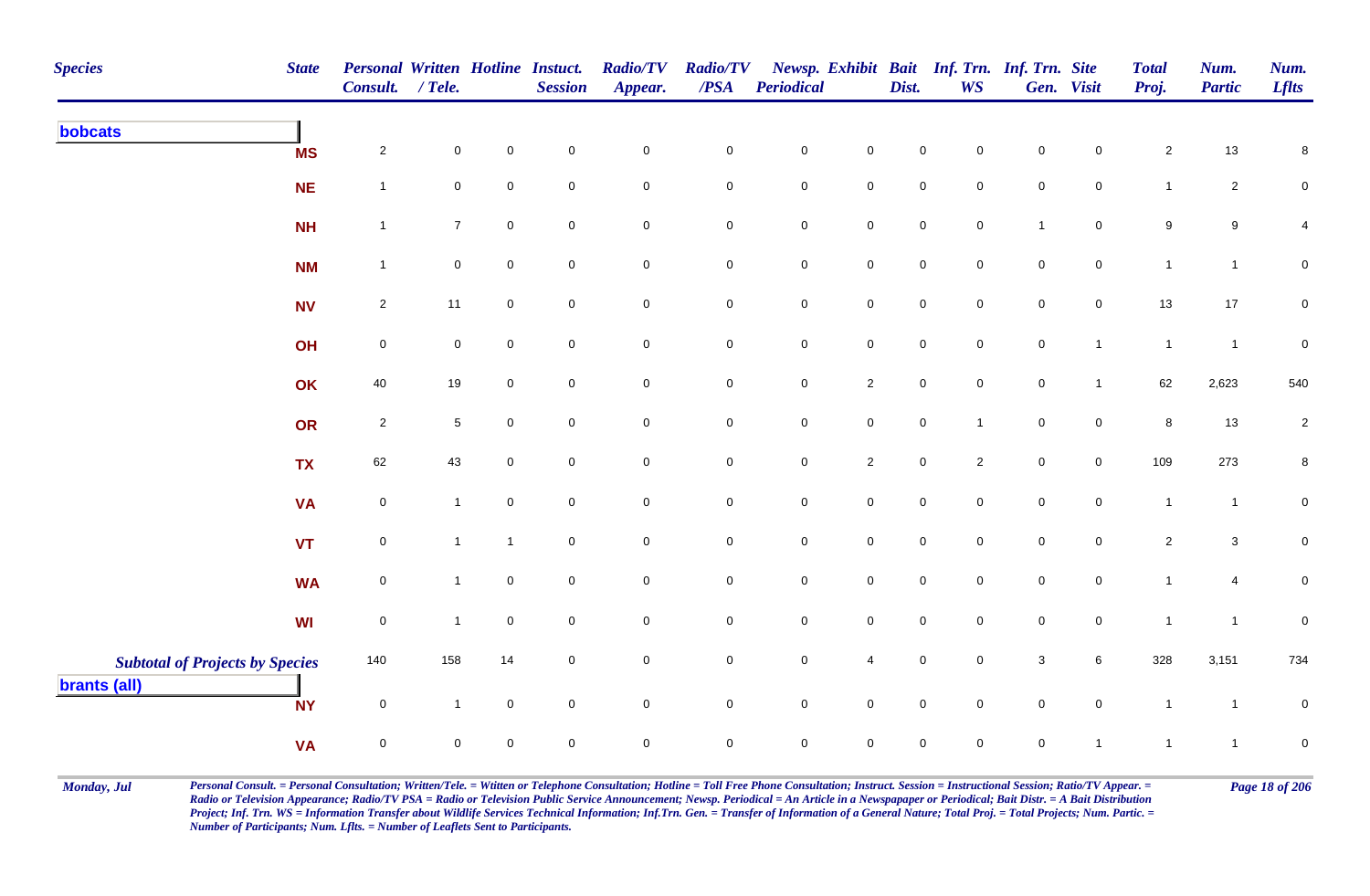| <b>Species</b>                                                | <b>State</b> | Personal Written Hotline Instuct.<br>Consult. / Tele. |                 |                     | <b>Session</b>      | <b>Radio/TV</b><br>Appear. | <b>Radio/TV</b><br>$\overline{PSA}$ | <b>Periodical</b>   |                     | Dist.               | <b>WS</b>      | Newsp. Exhibit Bait Inf. Trn. Inf. Trn. Site | Gen. Visit     | <b>Total</b><br>Proj. | Num.<br><b>Partic</b> | Num.<br><b>Lflts</b> |
|---------------------------------------------------------------|--------------|-------------------------------------------------------|-----------------|---------------------|---------------------|----------------------------|-------------------------------------|---------------------|---------------------|---------------------|----------------|----------------------------------------------|----------------|-----------------------|-----------------------|----------------------|
| bobcats                                                       | <b>MS</b>    | $\overline{\mathbf{c}}$                               | $\mathbf 0$     | $\mathbf 0$         | $\mathbf 0$         | $\mathbf 0$                | 0                                   | ${\bf 0}$           | $\mathbf 0$         | 0                   | $\mathbf 0$    | $\mathbf 0$                                  | $\mathbf 0$    | $\overline{a}$        | $13$                  | 8                    |
|                                                               | <b>NE</b>    | $\mathbf{1}$                                          | $\mathbf 0$     | $\mathbf 0$         | $\mathbf 0$         | $\mathbf 0$                | 0                                   | $\mathbf 0$         | $\mathbf 0$         | $\mathbf 0$         | $\mathbf 0$    | $\mathbf 0$                                  | $\mathbf 0$    | $\mathbf{1}$          | $\overline{2}$        | $\pmb{0}$            |
|                                                               | <b>NH</b>    | $\mathbf{1}$                                          | $\overline{7}$  | $\mathbf 0$         | $\mathsf{O}\xspace$ | $\mathsf{O}\xspace$        | $\mathbf 0$                         | $\mathbf 0$         | $\mathbf 0$         | $\mathsf{O}\xspace$ | $\mathbf 0$    | $\mathbf{1}$                                 | $\mathbf 0$    | 9                     | $\boldsymbol{9}$      | 4                    |
|                                                               | <b>NM</b>    | $\mathbf{1}$                                          | $\mathbf 0$     | $\mathsf{O}\xspace$ | $\mathsf 0$         | $\mathbf 0$                | 0                                   | $\mathsf{O}$        | $\mathbf 0$         | $\mathbf 0$         | $\mathbf 0$    | $\overline{0}$                               | $\overline{0}$ | $\mathbf{1}$          | $\mathbf{1}$          | $\mathbf 0$          |
|                                                               | <b>NV</b>    | $\overline{2}$                                        | 11              | $\mathbf 0$         | $\mathsf{O}\xspace$ | $\mathsf{O}\xspace$        | $\mathbf 0$                         | $\mathsf 0$         | $\mathbf 0$         | $\mathsf{O}\xspace$ | $\mathbf 0$    | $\mathbf 0$                                  | $\mathbf 0$    | 13                    | 17                    | $\mathbf 0$          |
|                                                               | OH           | $\mathbf 0$                                           | $\overline{0}$  | $\mathsf{O}\xspace$ | $\mathbf 0$         | $\mathbf 0$                | $\mathbf 0$                         | $\mathsf{O}$        | $\mathsf{O}\xspace$ | $\mathsf{O}$        | $\overline{0}$ | $\mathsf{O}$                                 | $\mathbf{1}$   | $\overline{1}$        | $\overline{1}$        | $\mathbf 0$          |
|                                                               | OK           | 40                                                    | 19              | $\mathbf 0$         | $\mathsf{O}\xspace$ | $\mathsf{O}\xspace$        | $\mathbf 0$                         | $\mathsf 0$         | $\overline{2}$      | $\mathsf 0$         | $\overline{0}$ | $\mathbf 0$                                  | $\mathbf{1}$   | 62                    | 2,623                 | 540                  |
|                                                               | OR           | $\overline{2}$                                        | $5\phantom{.0}$ | $\mathsf{O}\xspace$ | $\mathbf 0$         | $\mathbf 0$                | 0                                   | $\mathsf{O}$        | $\mathsf{O}\xspace$ | $\mathsf{O}\xspace$ | $\mathbf{1}$   | $\mathbf 0$                                  | $\overline{0}$ | 8                     | $13$                  | $\overline{a}$       |
|                                                               | <b>TX</b>    | 62                                                    | 43              | $\mathbf 0$         | $\mathbf 0$         | $\mathbf 0$                | $\mathbf 0$                         | $\overline{0}$      | $\overline{2}$      | $\mathbf 0$         | $\overline{2}$ | $\mathbf 0$                                  | $\mathbf 0$    | 109                   | 273                   | 8                    |
|                                                               | <b>VA</b>    | $\mathbf 0$                                           | $\overline{1}$  | $\mathsf{O}\xspace$ | $\mathsf{O}\xspace$ | $\mathsf{O}\xspace$        | $\mathbf 0$                         | $\mathsf{O}\xspace$ | $\mathsf{O}\xspace$ | $\mathbf 0$         | $\mathbf 0$    | $\mathbf 0$                                  | $\overline{0}$ | $\mathbf{1}$          | $\mathbf{1}$          | $\mathbf{0}$         |
|                                                               | VT           | $\mathsf{O}\xspace$                                   | $\mathbf{1}$    | $\mathbf{1}$        | $\pmb{0}$           | $\mathsf{O}\xspace$        | $\mathbf 0$                         | $\mathbf 0$         | $\mathsf{O}\xspace$ | $\mathsf{O}\xspace$ | $\mathbf 0$    | $\mathsf{O}\xspace$                          | $\overline{0}$ | $\overline{c}$        | $\mathbf{3}$          | $\pmb{0}$            |
|                                                               | <b>WA</b>    | $\mathbf 0$                                           | $\overline{1}$  | $\mathsf{O}\xspace$ | $\mathbf 0$         | $\mathbf 0$                | $\mathbf 0$                         | $\mathbf 0$         | $\mathbf 0$         | $\mathbf 0$         | $\mathbf 0$    | $\mathbf 0$                                  | $\overline{0}$ | $\mathbf{1}$          | 4                     | $\pmb{0}$            |
|                                                               | WI           | $\mathsf{O}\xspace$                                   | $\overline{1}$  | $\mathbf 0$         | $\mathsf 0$         | $\mathbf 0$                | $\mathbf 0$                         | $\mathbf 0$         | $\mathbf 0$         | $\mathbf 0$         | $\mathbf 0$    | $\mathsf 0$                                  | $\overline{0}$ | $\overline{1}$        | $\overline{1}$        | $\mathsf{O}\xspace$  |
| <b>Subtotal of Projects by Species</b><br><b>brants (all)</b> |              | 140                                                   | 158             | 14                  | $\overline{0}$      | $\mathsf 0$                | 0                                   | $\mathbf 0$         | $\overline{4}$      | $\mathbf 0$         | $\mathbf 0$    | $\mathbf{3}$                                 | 6              | 328                   | 3,151                 | 734                  |
|                                                               | <b>NY</b>    | $\mathbf 0$                                           | $\mathbf{1}$    | $\mathbf 0$         | $\mathsf{O}\xspace$ | $\mathsf{O}\xspace$        | 0                                   | $\mathsf{O}$        | $\mathbf 0$         | $\mathsf{O}\xspace$ | $\mathbf 0$    | $\mathbf 0$                                  | $\overline{0}$ | $\overline{1}$        | $\mathbf{1}$          | $\mathbf 0$          |
|                                                               | <b>VA</b>    | $\mathbf 0$                                           | 0               | $\mathbf 0$         | $\mathbf 0$         | $\mathbf 0$                | $\mathbf 0$                         | $\mathbf 0$         | $\mathbf 0$         | $\mathbf 0$         | $\mathbf 0$    | $\mathbf 0$                                  | $\mathbf{1}$   | $\mathbf{1}$          | $\mathbf{1}$          | $\pmb{0}$            |

Monday, Jul Personal Consult. = Personal Consultation; Written/Tele. = Witten or Telephone Consultation; Hotline = Toll Free Phone Consultation; Instruct. Session = Instructional Session; Ratio/TV Appear. = Page 18 of 206 *Radio or Television Appearance; Radio/TV PSA = Radio or Television Public Service Announcement; Newsp. Periodical = An Article in a Newspapaper or Periodical; Bait Distr. = A Bait Distribution*  Project; Inf. Trn. WS = Information Transfer about Wildlife Services Technical Information; Inf.Trn. Gen. = Transfer of Information of a General Nature; Total Proj. = Total Projects; Num. Partic. = *Number of Participants; Num. Lflts. = Number of Leaflets Sent to Participants.*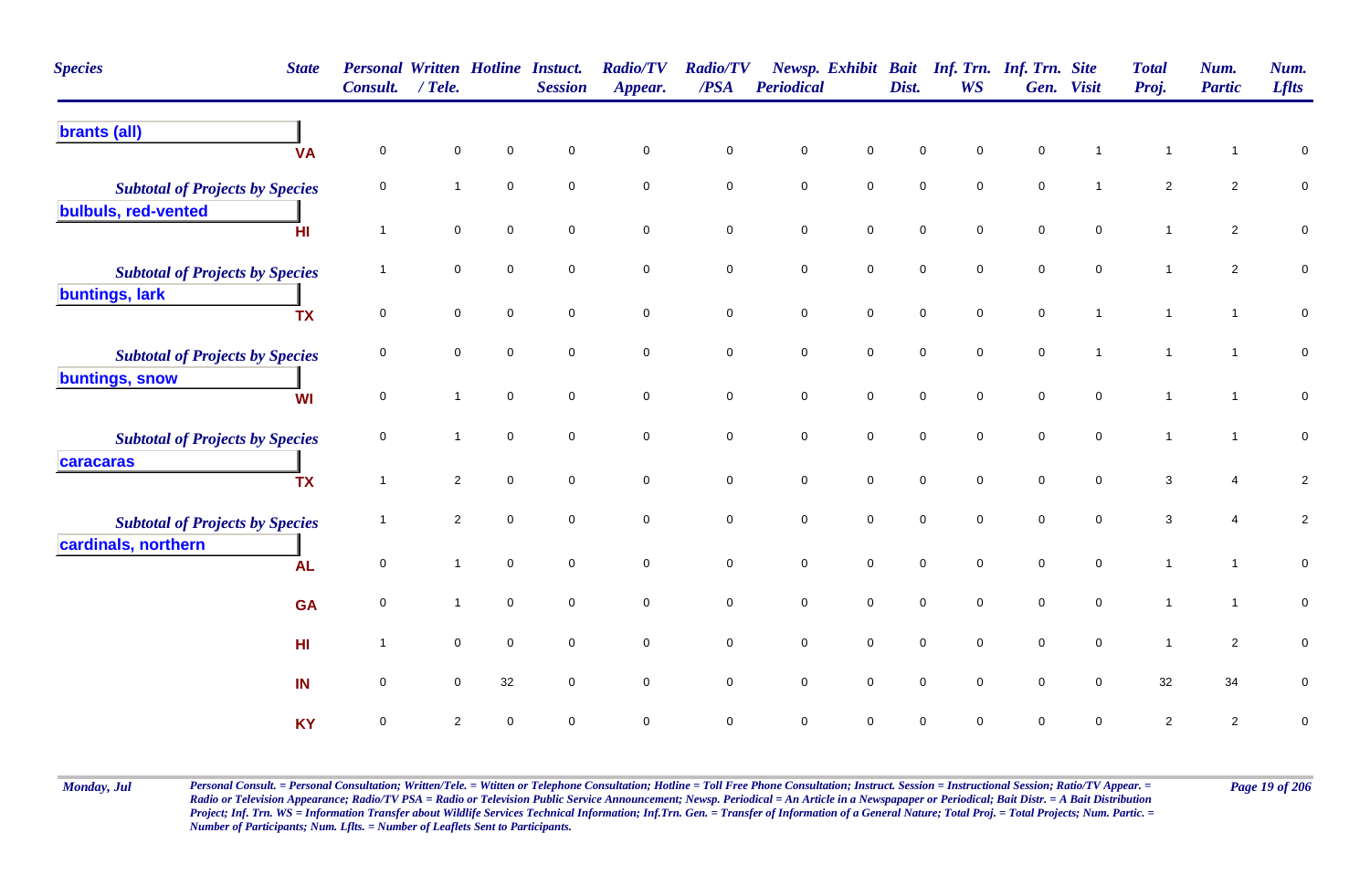| <b>Species</b>                                                | <b>State</b><br>Consult.    | <b>Personal Written Hotline Instuct.</b><br>$/$ Tele. |                     | <b>Session</b> | <b>Radio/TV</b><br>Appear. | <b>Radio/TV</b><br>/PSA | <b>Periodical</b>   |                     | Dist.               | Newsp. Exhibit Bait Inf. Trn. Inf. Trn. Site<br><b>WS</b> |                     | Gen. Visit          | <b>Total</b><br>Proj. | Num.<br><b>Partic</b> | Num.<br><b>Lflts</b> |
|---------------------------------------------------------------|-----------------------------|-------------------------------------------------------|---------------------|----------------|----------------------------|-------------------------|---------------------|---------------------|---------------------|-----------------------------------------------------------|---------------------|---------------------|-----------------------|-----------------------|----------------------|
| <b>brants (all)</b>                                           | $\mathbf 0$<br><b>VA</b>    | $\mathbf 0$                                           | $\Omega$            | $\mathbf 0$    | $\mathbf 0$                | $\pmb{0}$               | $\pmb{0}$           | $\mathbf 0$         | $\mathbf 0$         | $\mathsf 0$                                               | $\mathsf 0$         |                     | $\mathbf{1}$          | $\mathbf{1}$          | $\pmb{0}$            |
| <b>Subtotal of Projects by Species</b>                        | $\mathbf 0$                 | $\mathbf{1}$                                          | $\mathbf 0$         | $\mathbf 0$    | $\mathbf 0$                | $\mathbf 0$             | $\mathsf{O}\xspace$ | $\overline{0}$      | $\mathbf 0$         | $\mathbf 0$                                               | $\mathbf 0$         | $\overline{1}$      | $\overline{2}$        | $\overline{2}$        | $\pmb{0}$            |
| bulbuls, red-vented<br>H <sub>II</sub>                        | $\overline{1}$              | $\mathbf 0$                                           | $\mathbf 0$         | $\mathbf 0$    | $\mathbf 0$                | $\pmb{0}$               | $\mathbf 0$         | $\mathsf{O}\xspace$ | $\mathsf{O}\xspace$ | $\mathsf{O}\xspace$                                       | $\mathbf 0$         | $\mathsf{O}\xspace$ | $\mathbf{1}$          | $\overline{2}$        | $\pmb{0}$            |
| <b>Subtotal of Projects by Species</b>                        | $\mathbf 1$                 | $\mathbf 0$                                           | $\mathbf 0$         | $\mathbf 0$    | $\mathbf 0$                | $\mathbf 0$             | $\pmb{0}$           | $\mathbf 0$         | $\mathsf{O}\xspace$ | $\mathbf 0$                                               | $\mathbf 0$         | $\mathbf 0$         | $\mathbf{1}$          | $\mathbf{2}$          | ${\bf 0}$            |
| buntings, lark                                                | <b>TX</b><br>$\mathbf 0$    | $\mathbf 0$                                           | $\mathbf 0$         | $\mathbf 0$    | $\mathsf{O}\xspace$        | $\mathbf 0$             | $\mathbf 0$         | $\mathsf{O}\xspace$ | $\mathsf{O}\xspace$ | $\mathsf{O}\xspace$                                       | $\mathsf{O}\xspace$ | $\overline{1}$      | $\mathbf{1}$          | $\mathbf{1}$          | $\mathbf 0$          |
| <b>Subtotal of Projects by Species</b>                        | 0                           | $\mathbf 0$                                           | $\mathbf 0$         | $\mathbf 0$    | $\mathbf 0$                | $\mathbf 0$             | $\pmb{0}$           | $\mathbf 0$         | $\mathbf 0$         | $\mathbf 0$                                               | $\mathsf 0$         | $\overline{1}$      | 1                     | $\mathbf{1}$          | $\pmb{0}$            |
| buntings, snow                                                | 0<br><b>WI</b>              | $\mathbf{1}$                                          | $\mathsf{O}\xspace$ | $\mathbf 0$    | $\mathsf{O}\xspace$        | $\mathbf 0$             | $\mathbf 0$         | $\mathsf{O}\xspace$ | $\mathsf{O}\xspace$ | $\mathsf{O}\xspace$                                       | $\mathsf{O}\xspace$ | $\mathsf{O}\xspace$ | $\mathbf{1}$          | $\mathbf{1}$          | $\mathbf 0$          |
| <b>Subtotal of Projects by Species</b><br>caracaras           | $\mathbf 0$                 | $\mathbf{1}$                                          | $\mathbf 0$         | $\Omega$       | $\mathbf 0$                | $\mathbf 0$             | $\mathsf{O}\xspace$ | $\mathsf{O}\xspace$ | $\mathsf 0$         | $\mathbf 0$                                               | $\pmb{0}$           | $\mathbf 0$         | $\mathbf{1}$          | $\mathbf{1}$          | $\mathbf 0$          |
|                                                               | $\overline{1}$<br><b>TX</b> | $\overline{2}$                                        | $\mathbf 0$         | $\mathbf 0$    | $\mathbf 0$                | $\mathbf 0$             | $\mathsf{O}\xspace$ | $\overline{0}$      | $\mathbf 0$         | $\mathbf 0$                                               | $\mathbf 0$         | $\mathbf 0$         | 3                     | 4                     | $\overline{c}$       |
| <b>Subtotal of Projects by Species</b><br>cardinals, northern | $\overline{1}$              | $\overline{2}$                                        | $\pmb{0}$           | $\mathbf 0$    | $\mathbf 0$                | $\mathbf 0$             | $\mathsf{O}\xspace$ | $\mathsf{O}\xspace$ | $\mathsf 0$         | $\mathbf 0$                                               | $\mathsf{O}\xspace$ | $\mathbf 0$         | 3                     | 4                     | $\overline{c}$       |
|                                                               | $\mathbf 0$<br><b>AL</b>    | $\mathbf{1}$                                          | $\mathbf 0$         | $\mathbf 0$    | $\mathbf 0$                | $\mathbf 0$             | $\mathsf{O}\xspace$ | $\overline{0}$      | $\mathsf{O}\xspace$ | $\mathbf 0$                                               | $\pmb{0}$           | $\mathbf 0$         | $\mathbf{1}$          | $\mathbf{1}$          | ${\bf 0}$            |
|                                                               | $\mathbf 0$<br><b>GA</b>    | $\mathbf{1}$                                          | $\mathbf 0$         | $\mathbf 0$    | $\mathbf 0$                | $\mathbf 0$             | $\pmb{0}$           | $\mathbf 0$         | $\mathbf 0$         | $\mathbf 0$                                               | $\mathbf 0$         | $\mathbf 0$         | $\mathbf{1}$          | $\mathbf{1}$          | $\pmb{0}$            |
|                                                               | HI<br>$\overline{1}$        | $\mathbf 0$                                           | $\mathbf 0$         | $\mathbf 0$    | $\mathbf 0$                | $\mathsf 0$             | $\mathbf 0$         | $\mathsf{O}\xspace$ | $\mathsf{O}\xspace$ | $\mathbf 0$                                               | $\pmb{0}$           | $\mathbf 0$         | $\mathbf{1}$          | $\overline{2}$        | $\pmb{0}$            |
| IN                                                            | $\mathbf 0$                 | $\mathbf 0$                                           | 32                  | $\mathbf 0$    | 0                          | $\mathbf 0$             | $\mathsf{O}\xspace$ | $\mathsf{O}\xspace$ | $\mathsf{O}\xspace$ | $\mathbf 0$                                               | $\mathbf 0$         | $\mathbf 0$         | 32                    | 34                    | 0                    |
|                                                               | <b>KY</b><br>$\mathbf 0$    | $\overline{2}$                                        | $\mathbf 0$         | $\mathbf 0$    | 0                          | $\mathsf 0$             | $\mathsf{O}\xspace$ | $\mathbf 0$         | $\mathbf 0$         | $\mathbf 0$                                               | $\mathbf 0$         | $\mathsf 0$         | $\overline{c}$        | $\overline{c}$        | $\mathbf 0$          |

Monday, Jul Personal Consult. = Personal Consultation; Written/Tele. = Witten or Telephone Consultation; Hotline = Toll Free Phone Consultation; Instruct. Session = Instructional Session; Ratio/TV Appear. = Page 19 of 206 *Radio or Television Appearance; Radio/TV PSA = Radio or Television Public Service Announcement; Newsp. Periodical = An Article in a Newspapaper or Periodical; Bait Distr. = A Bait Distribution*  Project; Inf. Trn. WS = Information Transfer about Wildlife Services Technical Information; Inf.Trn. Gen. = Transfer of Information of a General Nature; Total Proj. = Total Projects; Num. Partic. = *Number of Participants; Num. Lflts. = Number of Leaflets Sent to Participants.*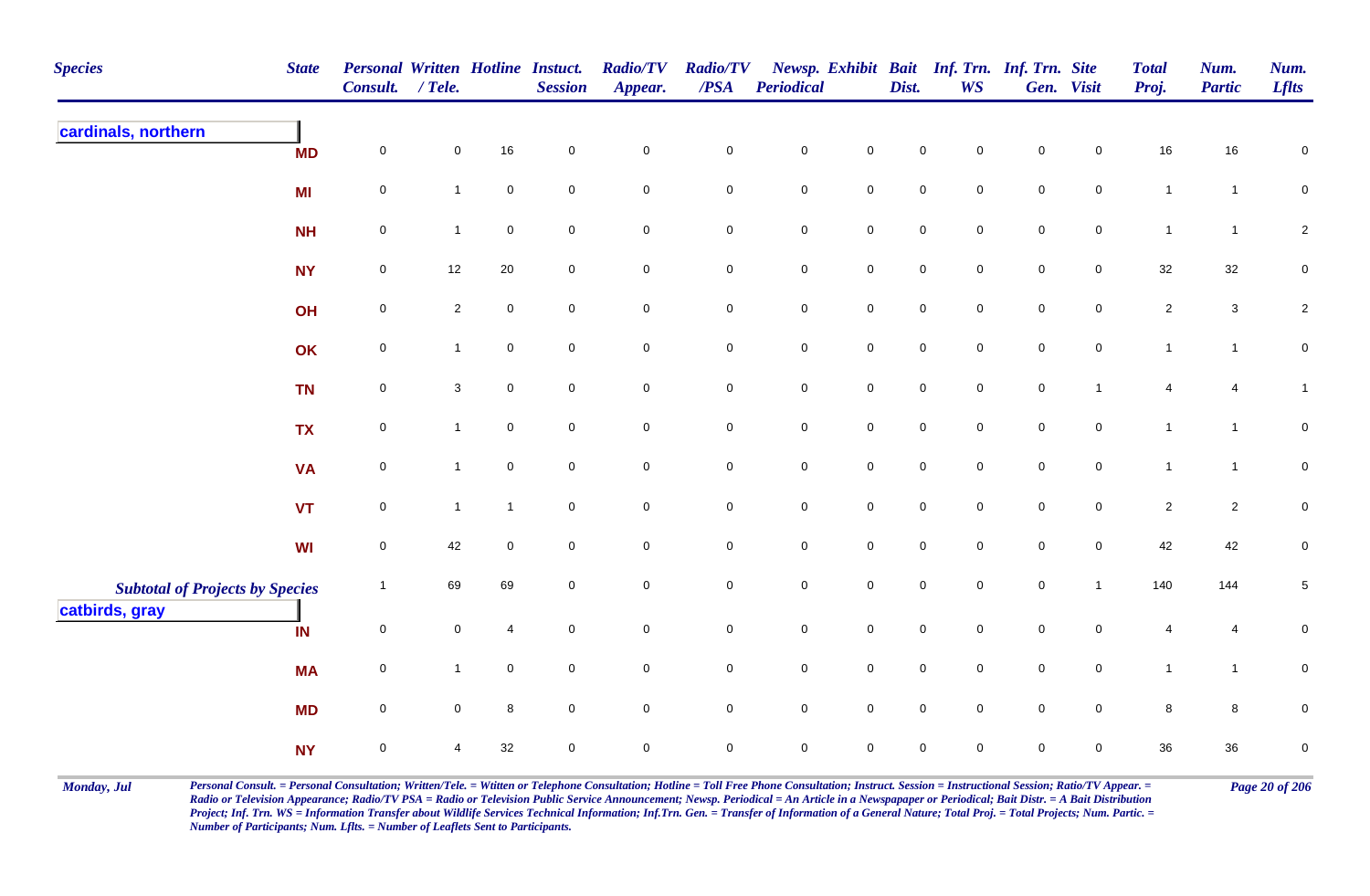| <b>Species</b>                                           | <b>State</b> | Personal Written Hotline Instuct.<br>Consult. | $/$ Tele.      |                | <b>Session</b> | <b>Radio/TV</b><br>Appear. | <b>Radio/TV</b><br>$\overline{PSA}$ | <b>Periodical</b> |                     | Dist.       | <b>WS</b>      | Newsp. Exhibit Bait Inf. Trn. Inf. Trn. Site | Gen. Visit     | <b>Total</b><br>Proj. | Num.<br><b>Partic</b> | Num.<br><b>Lflts</b> |
|----------------------------------------------------------|--------------|-----------------------------------------------|----------------|----------------|----------------|----------------------------|-------------------------------------|-------------------|---------------------|-------------|----------------|----------------------------------------------|----------------|-----------------------|-----------------------|----------------------|
| cardinals, northern                                      | <b>MD</b>    | 0                                             | $\mathbf 0$    | 16             | $\mathbf 0$    | $\mathbf 0$                | $\mathbf 0$                         | $\mathbf 0$       | $\mathbf 0$         | $\mathbf 0$ | 0              | $\pmb{0}$                                    | $\mathbf 0$    | 16                    | 16                    | $\mathbf 0$          |
|                                                          | <b>MI</b>    | $\mathsf{O}\xspace$                           | $\mathbf{1}$   | $\mathbf 0$    | $\mathbf 0$    | $\mathbf 0$                | $\mathbf 0$                         | $\pmb{0}$         | $\mathbf 0$         | $\pmb{0}$   | $\mathbf 0$    | $\mathsf 0$                                  | $\overline{0}$ | $\mathbf{1}$          | $\overline{1}$        | $\mathbf 0$          |
|                                                          | <b>NH</b>    | $\mathsf{O}\xspace$                           | $\mathbf{1}$   | $\mathbf 0$    | $\mathsf 0$    | $\mathbf 0$                | $\mathbf 0$                         | $\pmb{0}$         | $\mathbf 0$         | $\pmb{0}$   | $\mathbf 0$    | $\pmb{0}$                                    | $\mathbf 0$    | $\mathbf{1}$          | $\mathbf{1}$          | $\overline{2}$       |
|                                                          | <b>NY</b>    | $\mathbf 0$                                   | 12             | 20             | $\mathbf 0$    | $\mathbf 0$                | $\mathbf 0$                         | $\pmb{0}$         | $\mathbf 0$         | $\pmb{0}$   | $\mathbf 0$    | $\pmb{0}$                                    | $\mathbf 0$    | $32\,$                | 32                    | $\mathbf 0$          |
|                                                          | OH           | $\overline{0}$                                | $\overline{2}$ | $\mathbf 0$    | $\mathbf 0$    | $\mathsf{O}\xspace$        | $\mathbf 0$                         | $\mathbf 0$       | $\mathbf 0$         | $\pmb{0}$   | $\mathbf 0$    | $\mathsf 0$                                  | $\overline{0}$ | $\overline{2}$        | $\mathbf{3}$          | $\sqrt{2}$           |
|                                                          | OK           | $\mathsf{O}\xspace$                           | $\mathbf{1}$   | $\mathbf 0$    | $\mathbf 0$    | $\mathbf 0$                | $\mathbf 0$                         | $\mathbf 0$       | $\mathsf{O}$        | $\pmb{0}$   | $\overline{0}$ | $\pmb{0}$                                    | $\mathbf 0$    | $\mathbf{1}$          | $\mathbf{1}$          | $\pmb{0}$            |
|                                                          | <b>TN</b>    | $\mathbf 0$                                   | $\mathbf{3}$   | $\mathbf 0$    | $\mathbf 0$    | $\mathbf 0$                | $\mathbf 0$                         | $\pmb{0}$         | $\mathbf 0$         | $\pmb{0}$   | $\mathbf 0$    | $\pmb{0}$                                    | $\mathbf{1}$   | 4                     | 4                     | $\mathbf{1}$         |
|                                                          | <b>TX</b>    | $\mathsf{O}\xspace$                           | $\mathbf{1}$   | $\mathbf 0$    | $\mathbf 0$    | $\mathsf{O}\xspace$        | $\mathbf 0$                         | $\pmb{0}$         | $\mathbf 0$         | $\pmb{0}$   | $\mathbf 0$    | $\pmb{0}$                                    | $\mathbf 0$    | $\mathbf{1}$          | $\mathbf{1}$          | $\mathbf 0$          |
|                                                          | <b>VA</b>    | $\mathsf{O}\xspace$                           | $\mathbf{1}$   | $\mathbf 0$    | $\mathsf 0$    | $\mathbf 0$                | $\mathbf 0$                         | $\pmb{0}$         | $\mathbf 0$         | $\mathsf 0$ | $\mathbf 0$    | $\mathsf 0$                                  | $\mathbf 0$    | $\mathbf{1}$          | $\mathbf{1}$          | $\mathbf 0$          |
|                                                          | <b>VT</b>    | $\mathbf 0$                                   | $\mathbf{1}$   | $\overline{1}$ | $\mathbf 0$    | $\mathsf{O}\xspace$        | $\mathsf{O}\xspace$                 | $\pmb{0}$         | $\mathsf 0$         | $\pmb{0}$   | $\mathbf 0$    | $\pmb{0}$                                    | $\mathbf 0$    | $\sqrt{2}$            | $\overline{c}$        | $\overline{0}$       |
|                                                          | <b>WI</b>    | $\mathbf 0$                                   | 42             | $\mathbf 0$    | $\mathbf 0$    | $\mathbf 0$                | $\mathsf{O}\xspace$                 | $\mathsf 0$       | $\mathbf 0$         | $\mathbf 0$ | 0              | $\mathbf 0$                                  | $\mathbf 0$    | 42                    | 42                    | $\mathbf 0$          |
| <b>Subtotal of Projects by Species</b><br>catbirds, gray |              | $\overline{1}$                                | 69             | 69             | $\mathbf 0$    | $\mathbf 0$                | $\mathbf 0$                         | $\pmb{0}$         | $\mathsf{O}\xspace$ | $\mathsf 0$ | $\mathbf 0$    | $\mathsf 0$                                  | $\mathbf{1}$   | 140                   | 144                   | $\overline{5}$       |
|                                                          | IN           | $\overline{0}$                                | $\mathbf 0$    | $\overline{4}$ | $\mathbf 0$    | $\mathbf 0$                | $\mathbf 0$                         | $\pmb{0}$         | $\mathbf 0$         | $\mathsf 0$ | $\mathbf 0$    | $\mathsf 0$                                  | $\mathbf 0$    | 4                     | 4                     | $\pmb{0}$            |
|                                                          | <b>MA</b>    | $\mathsf{O}\xspace$                           | $\mathbf{1}$   | $\mathbf 0$    | $\mathbf 0$    | $\mathsf{O}\xspace$        | $\mathbf 0$                         | $\pmb{0}$         | $\mathsf 0$         | $\pmb{0}$   | $\mathbf 0$    | $\pmb{0}$                                    | $\mathbf 0$    | $\mathbf{1}$          | $\mathbf{1}$          | $\mathbf 0$          |
|                                                          | <b>MD</b>    | $\overline{0}$                                | $\overline{0}$ | 8              | $\mathbf 0$    | $\mathbf 0$                | $\overline{0}$                      | $\mathbf 0$       | $\overline{0}$      | $\mathsf 0$ | $\mathbf 0$    | $\mathsf 0$                                  | $\overline{0}$ | 8                     | 8                     | $\pmb{0}$            |
|                                                          | <b>NY</b>    | $\mathsf{O}\xspace$                           | 4              | 32             | $\mathbf 0$    | $\mathsf{O}\xspace$        | $\mathsf{O}\xspace$                 | $\mathsf 0$       | $\mathsf 0$         | $\mathsf 0$ | $\mathbf 0$    | $\mathsf 0$                                  | $\mathbf 0$    | 36                    | 36                    | $\pmb{0}$            |

Monday, Jul Personal Consult. = Personal Consultation; Written/Tele. = Witten or Telephone Consultation; Hotline = Toll Free Phone Consultation; Instruct. Session = Instructional Session; Ratio/TV Appear. = Page 20 of 206 *Radio or Television Appearance; Radio/TV PSA = Radio or Television Public Service Announcement; Newsp. Periodical = An Article in a Newspapaper or Periodical; Bait Distr. = A Bait Distribution*  Project; Inf. Trn. WS = Information Transfer about Wildlife Services Technical Information; Inf.Trn. Gen. = Transfer of Information of a General Nature; Total Proj. = Total Projects; Num. Partic. = *Number of Participants; Num. Lflts. = Number of Leaflets Sent to Participants.*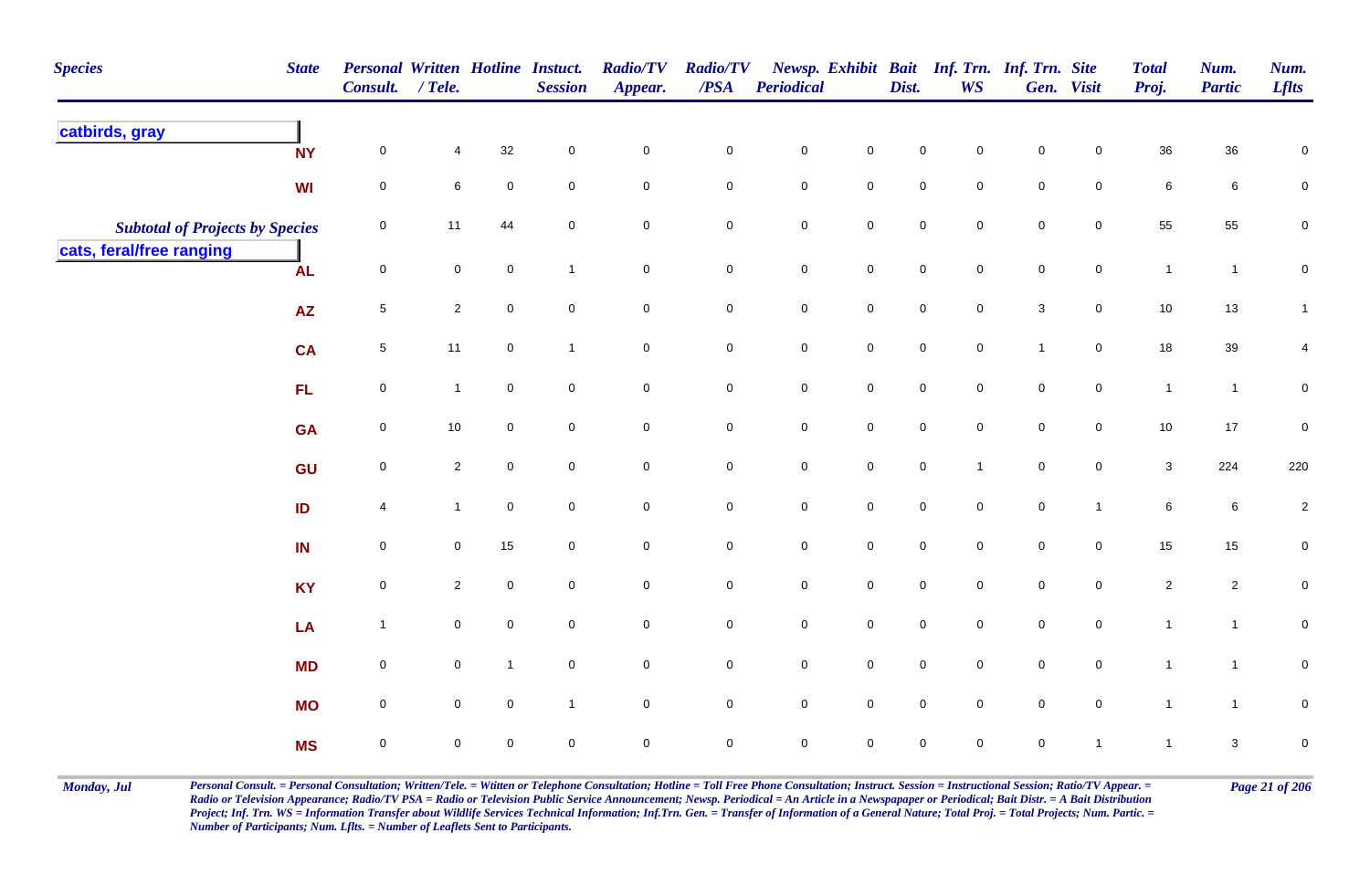| <b>Species</b>                         | <b>State</b> | Personal Written Hotline Instuct.<br>Consult. / Tele. |                |              | <b>Session</b>      | <b>Radio/TV</b><br>Appear. | <b>Radio/TV</b><br>$\boldsymbol{PSA}$ | <b>Periodical</b>   |                     | Dist.               | <b>WS</b>      | Newsp. Exhibit Bait Inf. Trn. Inf. Trn. Site | Gen. Visit          | <b>Total</b><br>Proj. | Num.<br><b>Partic</b> | Num.<br><b>Lflts</b> |
|----------------------------------------|--------------|-------------------------------------------------------|----------------|--------------|---------------------|----------------------------|---------------------------------------|---------------------|---------------------|---------------------|----------------|----------------------------------------------|---------------------|-----------------------|-----------------------|----------------------|
| catbirds, gray                         | <b>NY</b>    | $\mathbf 0$                                           | 4              | 32           | $\mathbf 0$         | $\pmb{0}$                  | $\mathbf 0$                           | ${\bf 0}$           | $\mathbf 0$         | 0                   | $\mathbf 0$    | $\pmb{0}$                                    | $\mathbf 0$         | 36                    | $36\,$                | $\pmb{0}$            |
|                                        | WI           | $\mathbf 0$                                           | 6              | $\pmb{0}$    | $\mathbf 0$         | $\mathbf 0$                | $\pmb{0}$                             | $\mathbf 0$         | $\mathbf 0$         | 0                   | $\mathbf 0$    | $\mathbf 0$                                  | $\mathbf 0$         | 6                     | 6                     | $\mathbf 0$          |
| <b>Subtotal of Projects by Species</b> |              | $\mathbf 0$                                           | 11             | 44           | $\mathbf 0$         | $\pmb{0}$                  | $\pmb{0}$                             | $\pmb{0}$           | $\pmb{0}$           | $\mathbf 0$         | $\mathbf 0$    | $\mathsf{O}\xspace$                          | $\mathbf 0$         | 55                    | 55                    | $\pmb{0}$            |
| cats, feral/free ranging               | <b>AL</b>    | $\mathsf 0$                                           | 0              | $\mathbf 0$  | $\overline{1}$      | $\overline{0}$             | $\mathbf 0$                           | $\mathbf 0$         | $\mathbf 0$         | $\mathsf{O}\xspace$ | $\overline{0}$ | $\mathsf{O}\xspace$                          | $\overline{0}$      | $\overline{1}$        | $\mathbf{1}$          | $\mathbf 0$          |
|                                        | ${\sf AZ}$   | $\sqrt{5}$                                            | $\overline{2}$ | $\mathbf 0$  | $\mathsf{O}\xspace$ | $\mathbf 0$                | $\mathbf 0$                           | $\mathsf{O}\xspace$ | $\mathbf 0$         | $\mathsf{O}\xspace$ | $\overline{0}$ | $\mathbf{3}$                                 | $\overline{0}$      | $10$                  | $13$                  | $\mathbf{1}$         |
|                                        | <b>CA</b>    | $\sqrt{5}$                                            | 11             | $\pmb{0}$    | $\overline{1}$      | $\mathsf{O}$               | $\mathbf 0$                           | $\mathbf 0$         | $\mathbf 0$         | $\mathbf 0$         | $\mathbf 0$    | $\overline{1}$                               | $\mathbf 0$         | $18$                  | $39\,$                | 4                    |
|                                        | <b>FL</b>    | $\mathbf 0$                                           | $\mathbf{1}$   | $\mathbf 0$  | $\overline{0}$      | $\mathbf 0$                | $\mathbf 0$                           | $\mathbf 0$         | $\overline{0}$      | $\mathbf 0$         | $\mathbf 0$    | $\mathbf 0$                                  | $\mathbf 0$         | $\overline{1}$        | $\mathbf{1}$          | $\mathbf 0$          |
|                                        | <b>GA</b>    | $\mathsf 0$                                           | 10             | $\mathbf 0$  | $\mathbf 0$         | $\mathbf 0$                | $\mathsf 0$                           | $\mathbf 0$         | $\mathsf{O}\xspace$ | $\mathbf 0$         | $\mathbf 0$    | $\mathbf 0$                                  | $\mathbf 0$         | $10$                  | $17\,$                | $\pmb{0}$            |
|                                        | GU           | $\mathsf 0$                                           | $\overline{2}$ | $\mathbf 0$  | $\overline{0}$      | $\mathbf 0$                | $\mathbf 0$                           | $\mathbf 0$         | $\mathbf 0$         | $\mathbf 0$         | $\overline{1}$ | $\mathbf 0$                                  | $\mathbf 0$         | 3                     | 224                   | 220                  |
|                                        | ID           | 4                                                     | $\mathbf{1}$   | $\pmb{0}$    | 0                   | $\mathbf 0$                | $\mathbf 0$                           | $\pmb{0}$           | $\mathbf 0$         | $\mathbf 0$         | 0              | $\mathbf 0$                                  | $\mathbf{1}$        | 6                     | $\,$ 6 $\,$           | $\overline{c}$       |
|                                        | IN           | $\mathbf 0$                                           | 0              | 15           | 0                   | $\mathbf 0$                | $\mathbf 0$                           | ${\bf 0}$           | $\mathbf 0$         | $\mathbf 0$         | $\mathbf 0$    | $\mathbf 0$                                  | $\mathbf 0$         | 15                    | 15                    | $\mathbf 0$          |
|                                        | <b>KY</b>    | $\pmb{0}$                                             | $\overline{a}$ | $\mathbf 0$  | $\mathbf 0$         | $\overline{0}$             | $\mathbf 0$                           | $\mathbf 0$         | $\mathbf 0$         | $\overline{0}$      | $\overline{0}$ | $\mathbf 0$                                  | $\overline{0}$      | $\overline{2}$        | $\overline{2}$        | $\mathbf 0$          |
|                                        | LA           | $\mathbf{1}$                                          | $\pmb{0}$      | $\pmb{0}$    | $\mathbf 0$         | $\mathbf 0$                | $\pmb{0}$                             | $\pmb{0}$           | $\mathbf 0$         | $\mathbf 0$         | $\mathbf 0$    | $\mathbf 0$                                  | $\mathbf 0$         | $\mathbf{1}$          | $\mathbf{1}$          | ${\bf 0}$            |
|                                        | <b>MD</b>    | $\pmb{0}$                                             | 0              | $\mathbf{1}$ | $\mathbf 0$         | $\mathbf 0$                | $\pmb{0}$                             | $\mathbf 0$         | $\mathbf 0$         | $\mathbf 0$         | $\mathbf 0$    | $\mathbf 0$                                  | $\mathbf 0$         | $\mathbf{1}$          | $\mathbf{1}$          | $\pmb{0}$            |
|                                        | <b>MO</b>    | $\pmb{0}$                                             | 0              | $\mathbf 0$  | $\overline{1}$      | $\mathsf{O}\xspace$        | $\mathbf 0$                           | $\mathbf 0$         | $\mathbf 0$         | $\mathsf{O}\xspace$ | $\mathbf 0$    | $\mathbf 0$                                  | $\mathsf{O}\xspace$ | $\mathbf{1}$          | $\mathbf{1}$          | ${\bf 0}$            |
|                                        | <b>MS</b>    | $\mathsf 0$                                           | 0              | $\mathbf 0$  | $\mathbf 0$         | $\pmb{0}$                  | $\mathsf 0$                           | $\mathbf 0$         | $\mathbf 0$         | 0                   | $\mathbf 0$    | $\mathbf 0$                                  | $\overline{1}$      | $\mathbf{1}$          | $\mathbf{3}$          | $\pmb{0}$            |

Monday, Jul Personal Consult. = Personal Consultation; Written/Tele. = Witten or Telephone Consultation; Hotline = Toll Free Phone Consultation; Instruct. Session = Instructional Session; Ratio/TV Appear. = Page 21 of 206 *Radio or Television Appearance; Radio/TV PSA = Radio or Television Public Service Announcement; Newsp. Periodical = An Article in a Newspapaper or Periodical; Bait Distr. = A Bait Distribution*  Project; Inf. Trn. WS = Information Transfer about Wildlife Services Technical Information; Inf.Trn. Gen. = Transfer of Information of a General Nature; Total Proj. = Total Projects; Num. Partic. = *Number of Participants; Num. Lflts. = Number of Leaflets Sent to Participants.*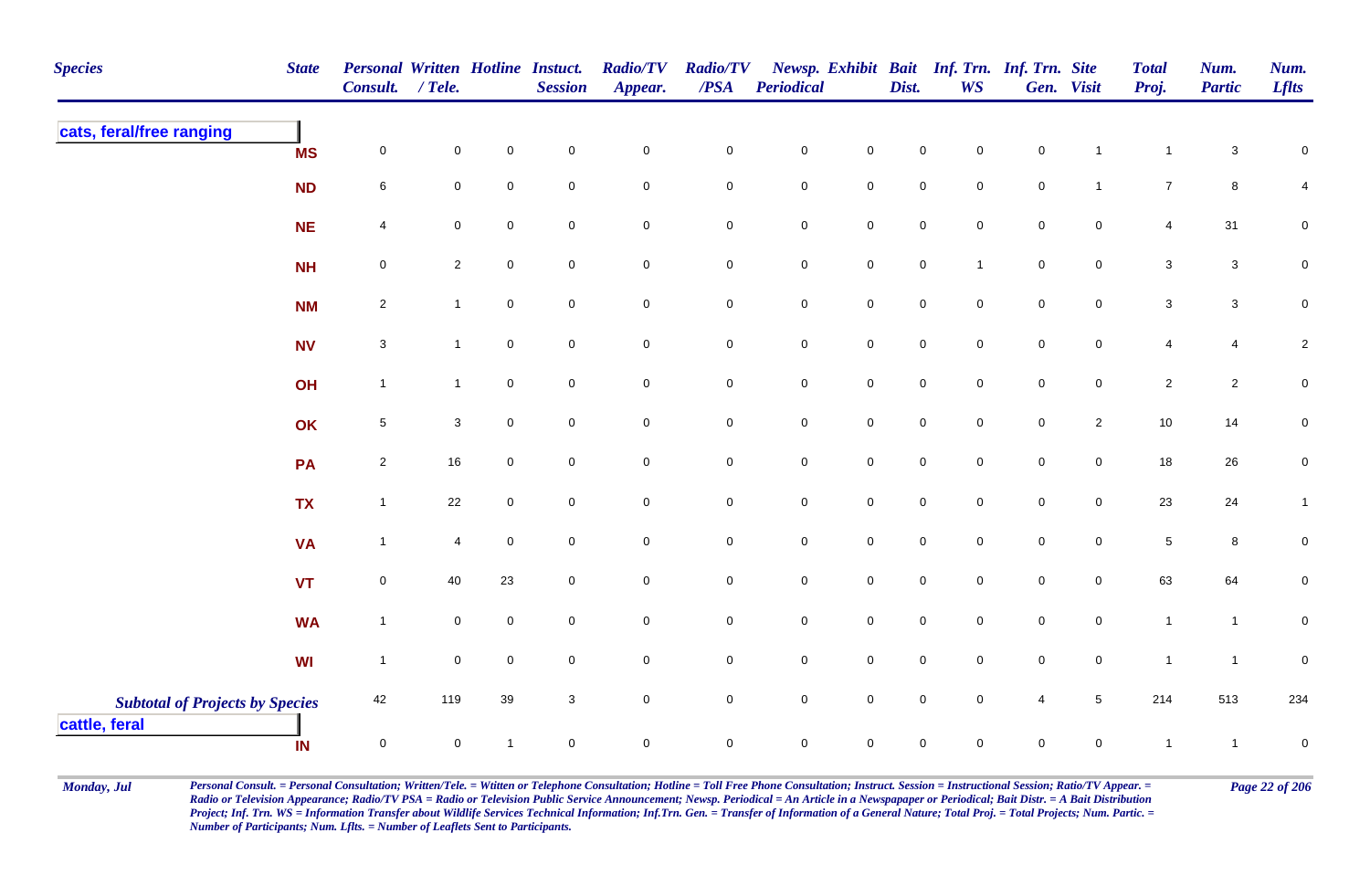| <b>Species</b>                                          | <b>State</b> | Personal Written Hotline Instuct.<br>Consult. / Tele. |                |                     | <b>Session</b>      | <b>Radio/TV</b><br>Appear. | <b>Radio/TV</b><br>$\overline{PSA}$ | <b>Periodical</b>   |                     | Dist.               | <b>WS</b>           | Newsp. Exhibit Bait Inf. Trn. Inf. Trn. Site | Gen. Visit          | <b>Total</b><br>Proj. | Num.<br><b>Partic</b> | Num.<br><b>Lflts</b>    |
|---------------------------------------------------------|--------------|-------------------------------------------------------|----------------|---------------------|---------------------|----------------------------|-------------------------------------|---------------------|---------------------|---------------------|---------------------|----------------------------------------------|---------------------|-----------------------|-----------------------|-------------------------|
| cats, feral/free ranging                                | <b>MS</b>    | $\pmb{0}$                                             | $\mathbf 0$    | $\mathbf 0$         | $\mathbf 0$         | $\mathbf 0$                | 0                                   | $\overline{0}$      | $\mathsf 0$         | $\mathbf 0$         | $\mathsf 0$         | $\mathbf 0$                                  | $\overline{1}$      | $\mathbf{1}$          | $\mathbf{3}$          | 0                       |
|                                                         | <b>ND</b>    | 6                                                     | $\mathbf 0$    | $\mathsf{O}\xspace$ | $\mathbf 0$         | $\mathsf{O}\xspace$        | 0                                   | $\mathbf 0$         | $\mathbf 0$         | $\mathbf 0$         | $\mathbf 0$         | $\mathbf 0$                                  | $\overline{1}$      | $\overline{7}$        | 8                     | 4                       |
|                                                         | <b>NE</b>    | 4                                                     | $\mathbf 0$    | $\mathbf 0$         | $\mathbf 0$         | $\mathbf 0$                | 0                                   | $\mathbf 0$         | $\mathbf 0$         | $\mathbf 0$         | $\mathbf 0$         | $\mathbf 0$                                  | $\mathbf 0$         | 4                     | 31                    | 0                       |
|                                                         | <b>NH</b>    | $\pmb{0}$                                             | $\overline{2}$ | $\mathbf 0$         | $\mathbf 0$         | $\mathbf 0$                | $\pmb{0}$                           | $\mathbf 0$         | $\mathbf 0$         | $\mathbf 0$         | $\mathbf{1}$        | $\mathbf 0$                                  | $\mathsf 0$         | 3                     | $\mathbf{3}$          | $\pmb{0}$               |
|                                                         | <b>NM</b>    | $\overline{2}$                                        | $\mathbf{1}$   | $\mathbf 0$         | $\overline{0}$      | $\mathbf 0$                | $\mathbf 0$                         | $\mathbf 0$         | $\mathbf 0$         | $\mathbf 0$         | $\mathbf 0$         | $\mathbf 0$                                  | $\mathbf 0$         | 3                     | $\mathbf{3}$          | $\mathbf 0$             |
|                                                         | <b>NV</b>    | $\ensuremath{\mathsf{3}}$                             | $\overline{1}$ | $\mathbf 0$         | $\mathsf{O}\xspace$ | $\mathsf{O}\xspace$        | $\pmb{0}$                           | $\mathbf 0$         | $\mathbf 0$         | $\mathsf{O}$        | $\mathsf{O}\xspace$ | $\mathbf 0$                                  | $\mathsf{O}\xspace$ | 4                     | $\overline{4}$        | $\overline{\mathbf{c}}$ |
|                                                         | OH           | $\mathbf{1}$                                          | $\mathbf{1}$   | $\mathbf 0$         | $\mathsf{O}\xspace$ | $\mathsf{O}\xspace$        | $\mathbf 0$                         | $\overline{0}$      | $\mathbf 0$         | $\mathbf 0$         | $\mathbf 0$         | $\mathbf 0$                                  | $\mathbf 0$         | $\overline{2}$        | $\overline{2}$        | $\pmb{0}$               |
|                                                         | OK           | $\,$ 5 $\,$                                           | $\mathbf{3}$   | $\mathbf 0$         | $\mathbf 0$         | $\mathbf 0$                | 0                                   | $\mathbf 0$         | $\mathbf 0$         | $\mathsf{O}\xspace$ | $\mathsf 0$         | $\mathbf 0$                                  | $\sqrt{2}$          | 10                    | 14                    | $\pmb{0}$               |
|                                                         | PA           | $\mathbf 2$                                           | 16             | $\mathbf 0$         | $\pmb{0}$           | $\pmb{0}$                  | $\mathbf 0$                         | $\mathsf{O}\xspace$ | $\pmb{0}$           | $\mathbf 0$         | $\mathbf 0$         | $\mathsf{O}\xspace$                          | $\pmb{0}$           | 18                    | 26                    | $\pmb{0}$               |
|                                                         | <b>TX</b>    | $\mathbf{1}$                                          | 22             | $\mathbf 0$         | $\mathsf{O}\xspace$ | $\mathbf 0$                | $\mathbf 0$                         | $\mathbf 0$         | $\mathbf 0$         | $\mathbf 0$         | $\mathbf 0$         | $\mathbf 0$                                  | $\mathbf 0$         | 23                    | 24                    | $\mathbf{1}$            |
|                                                         | <b>VA</b>    | $\mathbf{1}$                                          | 4              | $\mathbf 0$         | $\pmb{0}$           | $\mathsf{O}\xspace$        | $\pmb{0}$                           | $\mathbf 0$         | $\pmb{0}$           | $\mathsf{O}\xspace$ | $\mathbf 0$         | $\mathsf{O}\xspace$                          | $\pmb{0}$           | 5                     | 8                     | $\pmb{0}$               |
|                                                         | <b>VT</b>    | $\mathbf 0$                                           | 40             | 23                  | $\mathsf{O}\xspace$ | $\mathsf{O}\xspace$        | $\mathbf 0$                         | $\mathbf 0$         | $\mathsf{O}\xspace$ | $\mathsf{O}\xspace$ | $\mathsf 0$         | $\mathsf{O}\xspace$                          | $\mathbf 0$         | 63                    | 64                    | $\pmb{0}$               |
|                                                         | <b>WA</b>    | $\mathbf{1}$                                          | $\mathbf 0$    | $\mathbf 0$         | $\mathbf 0$         | $\mathbf 0$                | 0                                   | $\overline{0}$      | $\mathbf 0$         | $\overline{0}$      | $\mathbf 0$         | $\mathbf 0$                                  | $\mathbf 0$         | $\mathbf{1}$          | $\overline{1}$        | $\pmb{0}$               |
|                                                         | <b>WI</b>    | $\mathbf{1}$                                          | $\mathbf 0$    | $\mathsf{O}\xspace$ | $\mathbf 0$         | $\mathsf 0$                | $\pmb{0}$                           | $\mathbf 0$         | $\mathbf 0$         | $\mathbf 0$         | $\mathsf 0$         | $\mathbf 0$                                  | $\mathbf 0$         | $\overline{1}$        | $\overline{1}$        | $\pmb{0}$               |
| <b>Subtotal of Projects by Species</b><br>cattle, feral |              | 42                                                    | 119            | 39                  | $\mathbf{3}$        | $\mathbf 0$                | $\mathbf 0$                         | $\mathbf 0$         | $\mathsf{O}\xspace$ | $\mathsf 0$         | $\mathsf 0$         | $\overline{4}$                               | $5\phantom{.0}$     | 214                   | 513                   | 234                     |
|                                                         | IN           | $\mathsf{O}\xspace$                                   | 0              | $\mathbf{1}$        | $\mathbf 0$         | $\mathbf 0$                | $\mathbf 0$                         | $\mathbf 0$         | $\mathbf 0$         | $\mathbf 0$         | $\mathbf 0$         | $\mathbf 0$                                  | $\mathbf 0$         | $\overline{1}$        | $\overline{1}$        | $\pmb{0}$               |

Monday, Jul Personal Consult. = Personal Consultation; Written/Tele. = Witten or Telephone Consultation; Hotline = Toll Free Phone Consultation; Instruct. Session = Instructional Session; Ratio/TV Appear. = Page 22 of 206 *Radio or Television Appearance; Radio/TV PSA = Radio or Television Public Service Announcement; Newsp. Periodical = An Article in a Newspapaper or Periodical; Bait Distr. = A Bait Distribution*  Project; Inf. Trn. WS = Information Transfer about Wildlife Services Technical Information; Inf.Trn. Gen. = Transfer of Information of a General Nature; Total Proj. = Total Projects; Num. Partic. = *Number of Participants; Num. Lflts. = Number of Leaflets Sent to Participants.*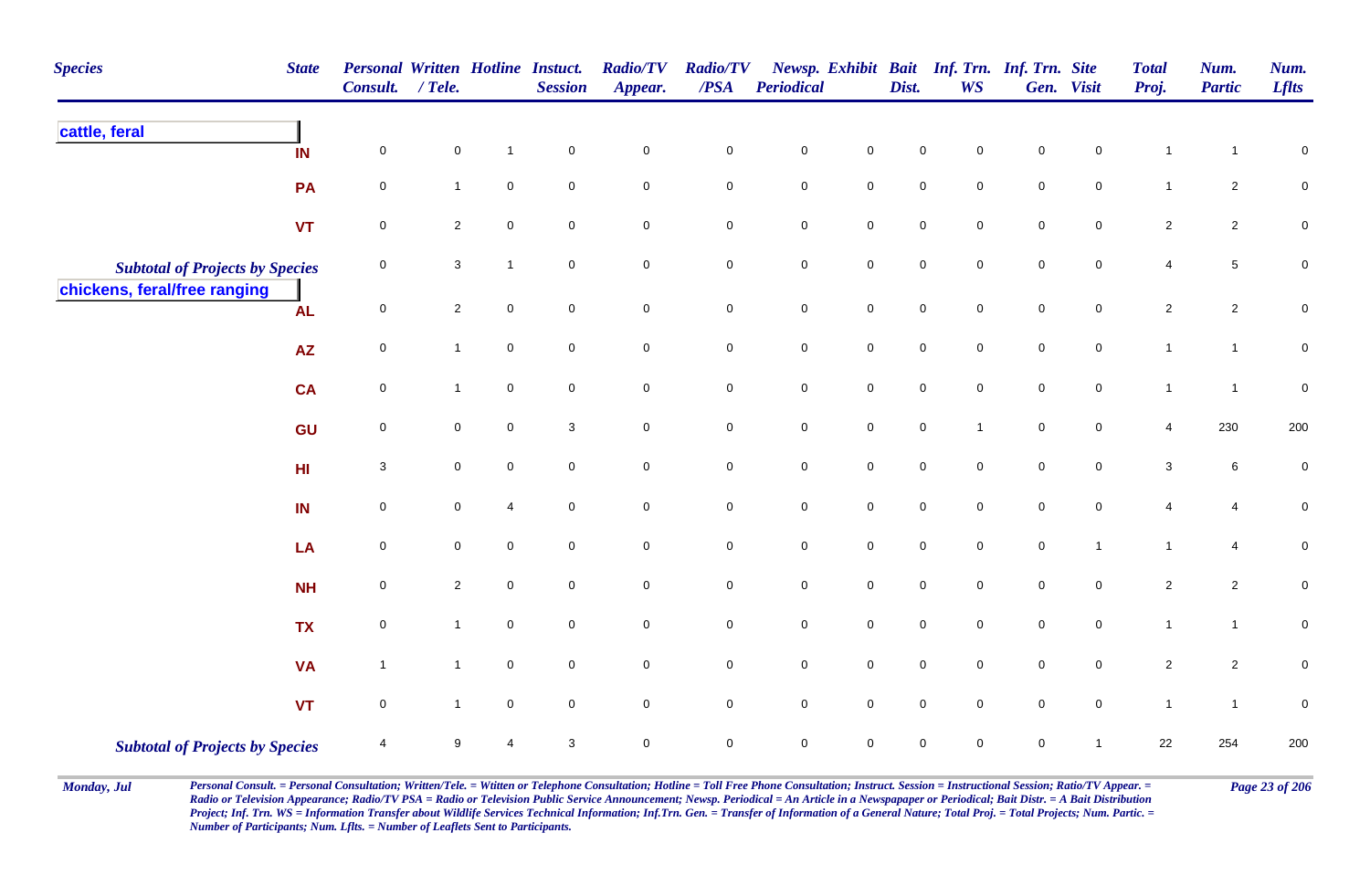| <b>Species</b>                         | <b>State</b>    | <b>Personal Written Hotline Instuct.</b><br>Consult. | $/$ Tele.      |                  | <b>Session</b>      | <b>Radio/TV</b><br>Appear. | <b>Radio/TV</b><br>/PSA | Periodical  |                     | Dist.               | <b>WS</b>           | Newsp. Exhibit Bait Inf. Trn. Inf. Trn. Site | Gen. Visit          | <b>Total</b><br>Proj. | Num.<br><b>Partic</b> | Num.<br><b>Lflts</b> |
|----------------------------------------|-----------------|------------------------------------------------------|----------------|------------------|---------------------|----------------------------|-------------------------|-------------|---------------------|---------------------|---------------------|----------------------------------------------|---------------------|-----------------------|-----------------------|----------------------|
| cattle, feral                          | IN              | 0                                                    | 0              | $\mathbf 1$      | $\mathbf 0$         | $\mathbf 0$                | $\mathbf 0$             | $\mathbf 0$ | $\mathbf 0$         | $\mathbf 0$         | 0                   | $\mathbf 0$                                  | 0                   | $\mathbf{1}$          |                       | $\pmb{0}$            |
|                                        | PA              | 0                                                    | $\mathbf{1}$   | $\mathsf 0$      | 0                   | $\mathbf 0$                | $\mathbf 0$             | $\pmb{0}$   | $\overline{0}$      | $\pmb{0}$           | $\mathbf 0$         | $\pmb{0}$                                    | $\mathbf 0$         | $\overline{1}$        | $\overline{a}$        | $\overline{0}$       |
|                                        | <b>VT</b>       | $\pmb{0}$                                            | $\overline{c}$ | $\mathbf 0$      | $\mathbf 0$         | $\mathsf{O}\xspace$        | $\mathbf 0$             | $\mathbf 0$ | $\mathsf{O}\xspace$ | $\mathbf 0$         | 0                   | $\pmb{0}$                                    | $\mathsf{O}\xspace$ | $\overline{2}$        | $\overline{c}$        | $\mathbf 0$          |
| <b>Subtotal of Projects by Species</b> |                 | 0                                                    | $\mathbf{3}$   | $\overline{1}$   | $\mathbf 0$         | $\mathbf 0$                | ${\bf 0}$               | $\pmb{0}$   | $\mathsf{O}\xspace$ | $\mathsf{O}\xspace$ | $\mathbf 0$         | $\mathsf 0$                                  | $\mathbf 0$         | 4                     | 5                     | $\pmb{0}$            |
| chickens, feral/free ranging           | <b>AL</b>       | $\mathbf 0$                                          | $\mathbf{2}$   | $\boldsymbol{0}$ | $\overline{0}$      | $\mathbf 0$                | $\mathbf 0$             | $\mathbf 0$ | $\mathbf 0$         | $\mathbf 0$         | $\overline{0}$      | $\mathsf 0$                                  | $\mathsf{O}$        | $\overline{2}$        | $\overline{c}$        | $\pmb{0}$            |
|                                        | <b>AZ</b>       | $\pmb{0}$                                            | $\mathbf{1}$   | $\mathbf 0$      | $\mathbf 0$         | $\mathsf{O}\xspace$        | $\mathsf{O}\xspace$     | $\pmb{0}$   | $\mathbf 0$         | $\mathbf 0$         | $\mathsf{O}\xspace$ | $\pmb{0}$                                    | $\mathbf 0$         | $\mathbf{1}$          | $\mathbf{1}$          | $\pmb{0}$            |
|                                        | <b>CA</b>       | $\pmb{0}$                                            | $\mathbf{1}$   | $\mathbf 0$      | $\mathbf 0$         | $\mathsf{O}\xspace$        | $\mathbf 0$             | $\mathbf 0$ | $\mathbf 0$         | $\mathbf 0$         | $\mathbf 0$         | $\pmb{0}$                                    | $\overline{0}$      | $\mathbf{1}$          | $\overline{1}$        | $\pmb{0}$            |
|                                        | GU              | $\mathbf 0$                                          | $\mathbf 0$    | $\pmb{0}$        | 3                   | $\mathsf{O}\xspace$        | $\mathbf 0$             | $\mathbf 0$ | $\mathbf 0$         | $\mathbf 0$         | $\mathbf{1}$        | $\pmb{0}$                                    | $\mathbf 0$         | $\overline{4}$        | 230                   | 200                  |
|                                        | H <sub>II</sub> | $\mathbf{3}$                                         | $\mathbf 0$    | $\mathbf 0$      | $\mathbf 0$         | $\mathsf{O}\xspace$        | $\mathbf 0$             | $\mathbf 0$ | $\mathsf{O}\xspace$ | $\mathbf 0$         | $\mathsf{O}$        | $\pmb{0}$                                    | $\mathsf{O}\xspace$ | $\sqrt{3}$            | 6                     | $\pmb{0}$            |
|                                        | IN              | 0                                                    | $\pmb{0}$      | $\overline{4}$   | $\mathsf{O}\xspace$ | $\mathbf 0$                | $\mathbf 0$             | $\mathbf 0$ | $\mathsf{O}\xspace$ | $\mathbf 0$         | $\mathbf 0$         | $\pmb{0}$                                    | $\mathsf{O}\xspace$ | 4                     | 4                     | $\pmb{0}$            |
|                                        | LA              | $\pmb{0}$                                            | $\mathbf 0$    | $\mathbf 0$      | $\mathbf 0$         | $\mathsf{O}\xspace$        | $\mathbf 0$             | $\mathbf 0$ | $\mathsf{O}\xspace$ | $\mathbf 0$         | $\mathbf 0$         | $\pmb{0}$                                    | $\overline{1}$      | $\mathbf{1}$          | $\overline{4}$        | $\pmb{0}$            |
|                                        | <b>NH</b>       | $\pmb{0}$                                            | $\mathbf{2}$   | $\boldsymbol{0}$ | $\mathbf 0$         | $\mathbf 0$                | $\mathbf 0$             | $\pmb{0}$   | $\overline{0}$      | $\pmb{0}$           | $\mathbf 0$         | $\pmb{0}$                                    | $\mathbf 0$         | $\overline{2}$        | $\overline{2}$        | $\mathbf 0$          |
|                                        | <b>TX</b>       | $\mathbf 0$                                          | $\mathbf{1}$   | $\boldsymbol{0}$ | $\mathbf 0$         | $\mathsf{O}\xspace$        | $\overline{0}$          | $\mathbf 0$ | $\overline{0}$      | $\mathbf 0$         | $\mathbf 0$         | $\mathsf 0$                                  | $\overline{0}$      | $\mathbf{1}$          | $\mathbf{1}$          | $\mathsf 0$          |
|                                        | <b>VA</b>       | $\overline{1}$                                       | $\mathbf{1}$   | $\pmb{0}$        | $\mathbf 0$         | $\mathbf 0$                | $\mathbf 0$             | $\pmb{0}$   | $\mathbf 0$         | $\mathbf 0$         | $\mathbf 0$         | $\pmb{0}$                                    | $\mathbf 0$         | $\overline{c}$        | $\overline{2}$        | $\mathbf 0$          |
|                                        | <b>VT</b>       | $\pmb{0}$                                            | $\mathbf{1}$   | $\pmb{0}$        | $\mathbf 0$         | $\mathsf{O}\xspace$        | $\mathsf{O}\xspace$     | $\mathbf 0$ | $\mathbf 0$         | $\mathbf 0$         | $\mathbf 0$         | $\pmb{0}$                                    | $\mathbf 0$         | $\mathbf{1}$          | $\mathbf{1}$          | $\pmb{0}$            |
| <b>Subtotal of Projects by Species</b> |                 | $\overline{4}$                                       | 9              | $\overline{4}$   | 3                   | $\mathsf{O}\xspace$        | $\mathbf 0$             | $\mathbf 0$ | $\mathsf{O}\xspace$ | $\mathsf{O}\xspace$ | $\mathbf 0$         | $\mathsf 0$                                  | $\mathbf 1$         | 22                    | 254                   | 200                  |

Monday, Jul Personal Consult. = Personal Consultation; Written/Tele. = Witten or Telephone Consultation; Hotline = Toll Free Phone Consultation; Instruct. Session = Instructional Session; Ratio/TV Appear. = Page 23 of 206 *Radio or Television Appearance; Radio/TV PSA = Radio or Television Public Service Announcement; Newsp. Periodical = An Article in a Newspapaper or Periodical; Bait Distr. = A Bait Distribution*  Project; Inf. Trn. WS = Information Transfer about Wildlife Services Technical Information; Inf.Trn. Gen. = Transfer of Information of a General Nature; Total Proj. = Total Projects; Num. Partic. = *Number of Participants; Num. Lflts. = Number of Leaflets Sent to Participants.*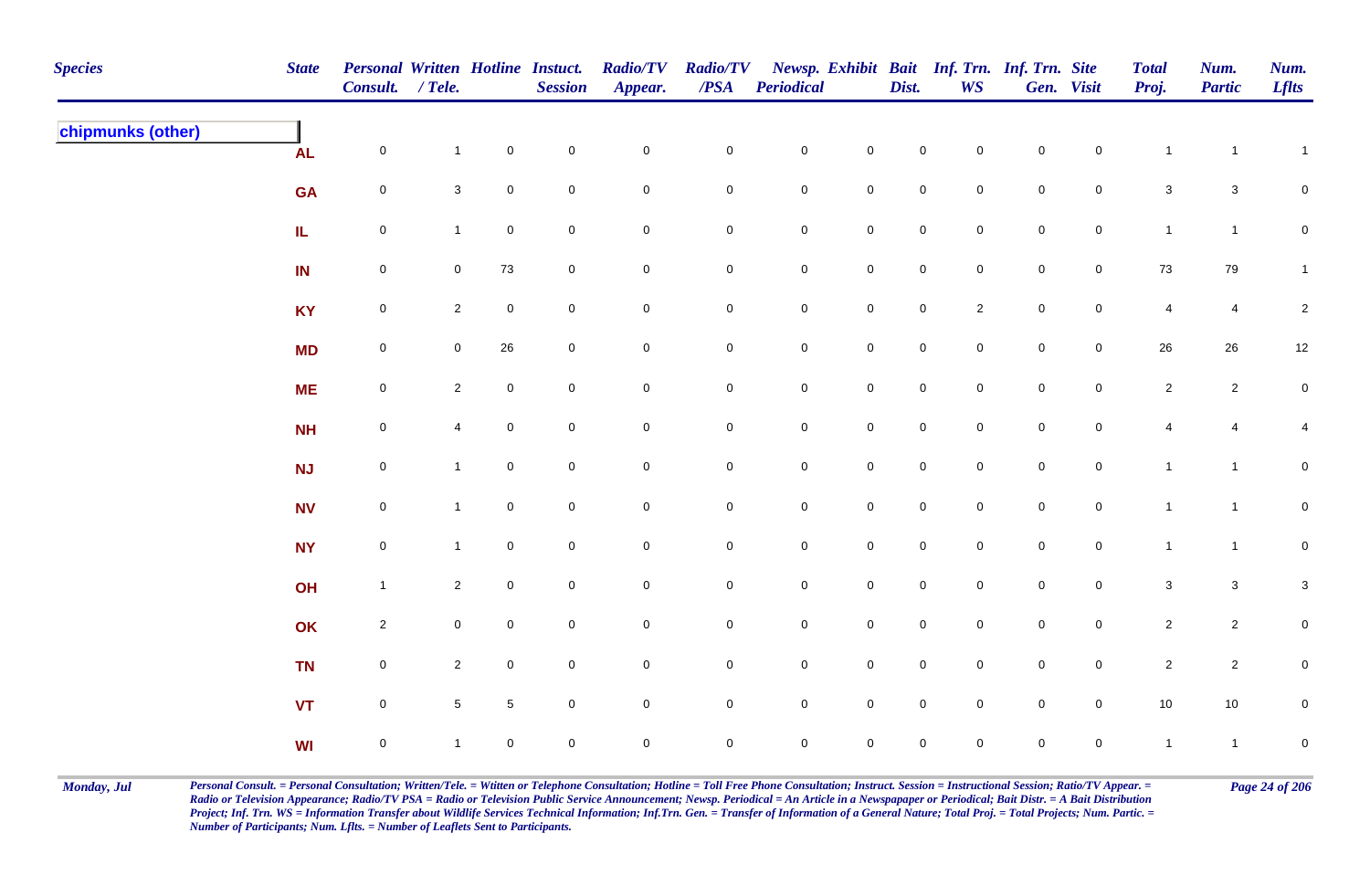| <b>Species</b>    | <b>State</b> | Personal Written Hotline Instuct.<br>Consult. / Tele. |                 |                 | <b>Session</b> | <b>Radio/TV</b><br>Appear. | <b>Radio/TV</b><br>$\overline{PSA}$ | <b>Periodical</b> |                     | Dist.               | <b>WS</b>           | Newsp. Exhibit Bait Inf. Trn. Inf. Trn. Site | Gen. Visit          | <b>Total</b><br>Proj. | Num.<br><b>Partic</b> | Num.<br><b>Lflts</b>    |
|-------------------|--------------|-------------------------------------------------------|-----------------|-----------------|----------------|----------------------------|-------------------------------------|-------------------|---------------------|---------------------|---------------------|----------------------------------------------|---------------------|-----------------------|-----------------------|-------------------------|
| chipmunks (other) | <b>AL</b>    | $\mathsf{O}\xspace$                                   | $\mathbf{1}$    | $\mathbf 0$     | $\pmb{0}$      | $\pmb{0}$                  | $\pmb{0}$                           | $\mathbf 0$       | $\mathbf 0$         | $\mathbf 0$         | $\mathsf{O}\xspace$ | $\mathbf 0$                                  | $\mathsf{O}\xspace$ | $\mathbf{1}$          | $\overline{1}$        | $\mathbf{1}$            |
|                   | <b>GA</b>    | $\mathsf{O}\xspace$                                   | $\mathbf{3}$    | $\mathbf 0$     | $\pmb{0}$      | $\mathbf 0$                | 0                                   | $\mathbf 0$       | $\mathbf 0$         | $\mathsf{O}\xspace$ | $\overline{0}$      | $\mathbf 0$                                  | $\overline{0}$      | $\mathbf{3}$          | $\mathbf{3}$          | $\mathbf 0$             |
|                   | IL.          | $\mathsf{O}\xspace$                                   | $\mathbf{1}$    | $\mathbf 0$     | $\pmb{0}$      | $\pmb{0}$                  | $\pmb{0}$                           | $\mathbf 0$       | $\mathbf 0$         | $\mathsf{O}\xspace$ | $\mathbf 0$         | $\pmb{0}$                                    | $\mathbf 0$         | $\mathbf{1}$          | $\mathbf{1}$          | $\pmb{0}$               |
|                   | IN           | $\mathsf{O}\xspace$                                   | $\mathbf 0$     | 73              | $\mathbf 0$    | $\pmb{0}$                  | $\mathbf 0$                         | $\mathbf 0$       | $\mathbf 0$         | $\mathsf{O}\xspace$ | $\overline{0}$      | $\mathbf 0$                                  | $\overline{0}$      | 73                    | 79                    | $\mathbf{1}$            |
|                   | <b>KY</b>    | $\mathbf 0$                                           | $\overline{2}$  | $\mathbf 0$     | $\pmb{0}$      | $\pmb{0}$                  | $\pmb{0}$                           | $\mathbf 0$       | $\mathbf 0$         | $\mathbf 0$         | $\overline{2}$      | $\pmb{0}$                                    | $\mathbf 0$         | $\overline{4}$        | $\overline{4}$        | $\sqrt{2}$              |
|                   | <b>MD</b>    | $\mathsf{O}\xspace$                                   | $\mathbf 0$     | 26              | $\pmb{0}$      | $\pmb{0}$                  | $\mathbf 0$                         | $\mathbf 0$       | $\mathbf 0$         | $\mathbf 0$         | $\mathbf 0$         | $\mathbf 0$                                  | $\mathbf 0$         | $26\,$                | $26\,$                | 12                      |
|                   | <b>ME</b>    | $\mathsf{O}\xspace$                                   | $\overline{2}$  | $\mathbf 0$     | $\mathbf 0$    | $\pmb{0}$                  | 0                                   | $\mathbf 0$       | $\mathbf 0$         | $\mathbf 0$         | $\mathbf 0$         | $\mathsf{O}\xspace$                          | $\mathsf{O}\xspace$ | $\sqrt{2}$            | $\overline{2}$        | $\pmb{0}$               |
|                   | <b>NH</b>    | $\mathsf{O}\xspace$                                   | 4               | $\mathbf 0$     | $\mathbf 0$    | $\mathbf 0$                | $\pmb{0}$                           | $\mathbf 0$       | $\mathsf 0$         | $\mathbf 0$         | $\mathbf 0$         | $\mathsf 0$                                  | $\mathbf 0$         | $\overline{4}$        | 4                     | $\overline{\mathbf{4}}$ |
|                   | <b>NJ</b>    | $\mathsf{O}\xspace$                                   | $\mathbf{1}$    | $\mathbf 0$     | $\mathsf 0$    | $\pmb{0}$                  | 0                                   | $\mathbf 0$       | $\overline{0}$      | $\mathsf{O}\xspace$ | $\mathsf{O}\xspace$ | $\mathsf{O}\xspace$                          | $\overline{0}$      | $\mathbf{1}$          | $\mathbf{1}$          | $\mathbf 0$             |
|                   | <b>NV</b>    | $\mathsf{O}\xspace$                                   | $\overline{1}$  | $\mathbf 0$     | $\pmb{0}$      | $\pmb{0}$                  | $\mathsf{O}\xspace$                 | $\mathbf 0$       | $\mathbf 0$         | $\mathbf 0$         | $\mathbf 0$         | $\mathbf 0$                                  | $\mathsf{O}\xspace$ | $\mathbf{1}$          | $\mathbf{1}$          | $\mathbf 0$             |
|                   | <b>NY</b>    | $\mathsf{O}\xspace$                                   | $\mathbf{1}$    | $\mathbf 0$     | $\pmb{0}$      | $\pmb{0}$                  | $\pmb{0}$                           | $\mathbf 0$       | $\mathbf 0$         | $\mathsf{O}\xspace$ | $\overline{0}$      | $\mathbf 0$                                  | $\overline{0}$      | $\mathbf{1}$          | $\mathbf{1}$          | $\mathbf 0$             |
|                   | OH           | $\mathbf{1}$                                          | $\overline{2}$  | $\mathbf 0$     | $\pmb{0}$      | $\pmb{0}$                  | $\pmb{0}$                           | $\mathbf 0$       | $\mathbf 0$         | $\mathsf{O}\xspace$ | $\overline{0}$      | $\mathbf 0$                                  | $\mathbf 0$         | $\mathbf{3}$          | $\mathbf 3$           | $\mathbf{3}$            |
|                   | OK           | $\overline{2}$                                        | $\mathbf 0$     | $\overline{0}$  | $\mathbf 0$    | $\mathbf 0$                | $\mathbf 0$                         | $\mathbf 0$       | $\mathsf{O}\xspace$ | $\mathbf 0$         | $\mathbf 0$         | $\mathbf 0$                                  | $\mathbf 0$         | $\overline{2}$        | $\overline{2}$        | $\pmb{0}$               |
|                   | <b>TN</b>    | $\mathbf 0$                                           | $\overline{2}$  | $\mathbf 0$     | $\pmb{0}$      | $\mathbf 0$                | 0                                   | $\mathbf 0$       | $\mathbf 0$         | $\mathsf{O}\xspace$ | $\overline{0}$      | $\mathsf{O}\xspace$                          | $\mathsf{O}\xspace$ | $\overline{2}$        | $\overline{2}$        | $\pmb{0}$               |
|                   | <b>VT</b>    | $\mathbf 0$                                           | $5\phantom{.0}$ | $5\phantom{.0}$ | $\pmb{0}$      | $\mathbf 0$                | 0                                   | $\mathbf 0$       | $\mathsf{O}\xspace$ | $\mathsf{O}\xspace$ | $\overline{0}$      | $\mathsf{O}\xspace$                          | $\overline{0}$      | $10$                  | $10$                  | $\mathbf 0$             |
|                   | <b>WI</b>    | $\mathbf 0$                                           |                 | $\mathbf 0$     | $\mathbf 0$    | $\mathbf 0$                | 0                                   | $\mathbf 0$       | $\mathbf 0$         | 0                   | $\mathbf 0$         | $\mathsf{O}\xspace$                          | $\mathbf 0$         | $\mathbf{1}$          | $\mathbf{1}$          | $\pmb{0}$               |

Monday, Jul Personal Consult. = Personal Consultation; Written/Tele. = Witten or Telephone Consultation; Hotline = Toll Free Phone Consultation; Instruct. Session = Instructional Session; Ratio/TV Appear. = Page 24 of 206 *Radio or Television Appearance; Radio/TV PSA = Radio or Television Public Service Announcement; Newsp. Periodical = An Article in a Newspapaper or Periodical; Bait Distr. = A Bait Distribution*  Project; Inf. Trn. WS = Information Transfer about Wildlife Services Technical Information; Inf.Trn. Gen. = Transfer of Information of a General Nature; Total Proj. = Total Projects; Num. Partic. = *Number of Participants; Num. Lflts. = Number of Leaflets Sent to Participants.*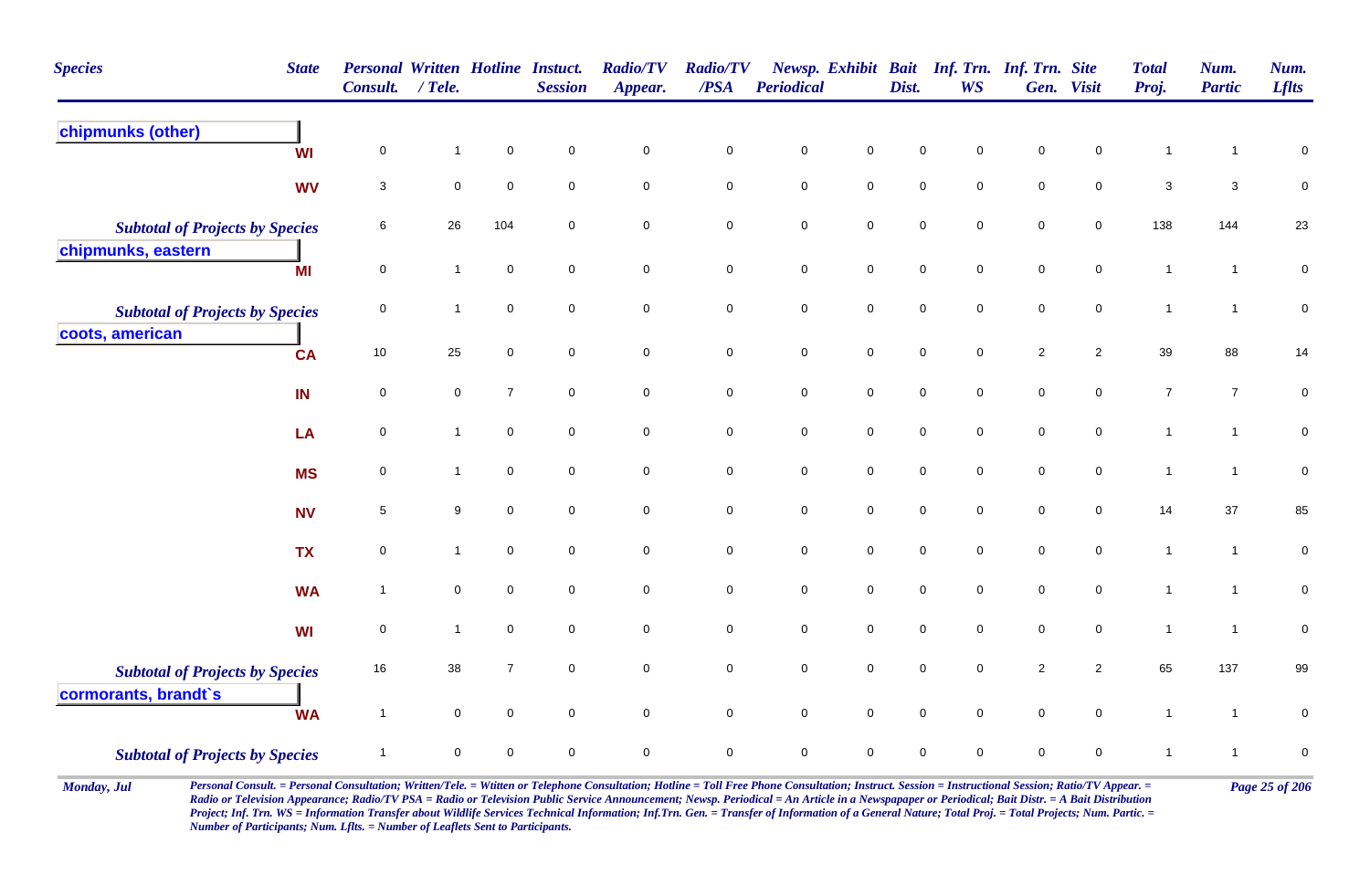| <b>Species</b>                                                 | <b>State</b> | <b>Personal Written Hotline Instuct.</b><br><b>Consult.</b> | $/$ Tele.    |                     | <b>Session</b>      | <b>Radio/TV</b><br>Appear. | <b>Radio/TV</b><br>/PSA | <b>Periodical</b>   |                     | Dist.       | Newsp. Exhibit Bait Inf. Trn. Inf. Trn. Site<br><b>WS</b> |                     | Gen. Visit          | <b>Total</b><br>Proj. | Num.<br><b>Partic</b> | Num.<br><b>Lflts</b> |
|----------------------------------------------------------------|--------------|-------------------------------------------------------------|--------------|---------------------|---------------------|----------------------------|-------------------------|---------------------|---------------------|-------------|-----------------------------------------------------------|---------------------|---------------------|-----------------------|-----------------------|----------------------|
| chipmunks (other)                                              | WI           | $\mathbf 0$                                                 | -1           | $\mathsf{O}\xspace$ | $\mathsf{O}\xspace$ | $\pmb{0}$                  | $\pmb{0}$               | $\pmb{0}$           | $\pmb{0}$           | $\pmb{0}$   | $\mathsf 0$                                               | $\mathbf 0$         | $\pmb{0}$           | 1                     | 1                     | $\pmb{0}$            |
|                                                                | <b>WV</b>    | 3                                                           | $\mathbf 0$  | $\mathbf 0$         | $\mathbf 0$         | $\mathsf{O}\xspace$        | $\pmb{0}$               | $\pmb{0}$           | $\mathsf{O}\xspace$ | $\pmb{0}$   | $\mathsf{O}\xspace$                                       | $\mathsf{O}\xspace$ | $\mathsf{O}\xspace$ | $\mathbf{3}$          | $\mathbf{3}$          | $\mathbf 0$          |
| <b>Subtotal of Projects by Species</b>                         |              | 6                                                           | 26           | 104                 | $\mathbf 0$         | $\pmb{0}$                  | $\pmb{0}$               | $\mathsf{O}\xspace$ | $\mathsf{O}\xspace$ | $\pmb{0}$   | $\mathbf 0$                                               | $\pmb{0}$           | $\mathsf{O}\xspace$ | 138                   | 144                   | 23                   |
| chipmunks, eastern                                             | MI           | $\mathsf{O}\xspace$                                         | $\mathbf{1}$ | $\mathbf 0$         | $\mathbf 0$         | $\overline{0}$             | $\bf{0}$                | $\mathbf 0$         | $\mathbf 0$         | $\mathbf 0$ | $\overline{0}$                                            | $\mathbf 0$         | $\mathbf 0$         | $\mathbf{1}$          | $\mathbf{1}$          | $\mathbf 0$          |
| <b>Subtotal of Projects by Species</b><br>coots, american      |              | 0                                                           | 1            | $\mathsf{O}\xspace$ | $\mathbf 0$         | $\mathsf{O}\xspace$        | $\mathsf{O}\xspace$     | $\mathsf{O}\xspace$ | $\mathsf{O}\xspace$ | $\mathbf 0$ | $\mathsf{O}\xspace$                                       | $\mathsf{O}\xspace$ | $\mathsf{O}\xspace$ | $\mathbf{1}$          | $\mathbf{1}$          | $\mathbf 0$          |
|                                                                | <b>CA</b>    | $10\,$                                                      | 25           | $\mathbf 0$         | $\mathbf 0$         | $\mathsf{O}\xspace$        | $\pmb{0}$               | $\mathbf 0$         | $\mathbf 0$         | $\mathbf 0$ | $\mathbf 0$                                               | $\sqrt{2}$          | $\overline{2}$      | 39                    | 88                    | 14                   |
|                                                                | IN           | $\mathsf 0$                                                 | $\mathbf 0$  | $\overline{7}$      | $\mathbf 0$         | $\mathbf 0$                | $\mathbf 0$             | $\mathbf 0$         | $\mathsf{O}\xspace$ | $\mathbf 0$ | $\mathbf 0$                                               | $\mathsf{O}\xspace$ | $\mathbf 0$         | $\boldsymbol{7}$      | $\overline{7}$        | $\pmb{0}$            |
|                                                                | LA           | 0                                                           | $\mathbf{1}$ | $\mathbf 0$         | $\mathbf 0$         | $\mathbf 0$                | $\mathbf 0$             | $\pmb{0}$           | $\mathsf{O}\xspace$ | $\pmb{0}$   | $\mathsf{O}\xspace$                                       | $\mathsf{O}\xspace$ | $\mathsf{O}\xspace$ | $\mathbf{1}$          | $\mathbf{1}$          | $\mathbf 0$          |
|                                                                | <b>MS</b>    | $\mathsf{O}\xspace$                                         | 1            | $\mathbf 0$         | $\mathbf 0$         | $\mathsf{O}\xspace$        | $\pmb{0}$               | $\mathsf{O}\xspace$ | $\mathsf{O}\xspace$ | $\pmb{0}$   | $\mathsf{O}\xspace$                                       | $\pmb{0}$           | $\mathsf{O}\xspace$ | $\mathbf{1}$          | $\overline{1}$        | $\pmb{0}$            |
|                                                                | <b>NV</b>    | $\,$ 5 $\,$                                                 | 9            | $\mathsf{O}\xspace$ | $\mathsf{O}\xspace$ | $\mathbf 0$                | $\pmb{0}$               | $\mathbf 0$         | $\mathsf{O}\xspace$ | $\mathbf 0$ | $\mathbf 0$                                               | $\mathbf 0$         | $\mathbf 0$         | 14                    | $37\,$                | 85                   |
|                                                                | <b>TX</b>    | $\mathsf{O}\xspace$                                         | $\mathbf{1}$ | $\mathbf 0$         | $\mathbf 0$         | $\mathbf 0$                | $\pmb{0}$               | $\pmb{0}$           | $\mathsf{O}\xspace$ | $\mathbf 0$ | $\mathbf 0$                                               | $\mathbf 0$         | $\mathbf 0$         | $\mathbf{1}$          | $\mathbf{1}$          | $\pmb{0}$            |
|                                                                | <b>WA</b>    | $\overline{1}$                                              | $\mathbf 0$  | $\mathbf 0$         | $\mathbf 0$         | $\mathbf 0$                | $\pmb{0}$               | $\mathbf 0$         | $\overline{0}$      | $\mathbf 0$ | $\mathbf 0$                                               | $\mathbf 0$         | $\mathbf 0$         | $\mathbf{1}$          | $\mathbf{1}$          | $\mathbf 0$          |
|                                                                | WI           | 0                                                           | $\mathbf{1}$ | $\mathbf 0$         | $\mathbf 0$         | $\pmb{0}$                  | $\pmb{0}$               | $\pmb{0}$           | $\mathsf{O}\xspace$ | $\pmb{0}$   | $\mathsf{O}\xspace$                                       | $\mathsf{O}\xspace$ | $\mathbf 0$         | $\mathbf{1}$          | $\overline{1}$        | $\pmb{0}$            |
| <b>Subtotal of Projects by Species</b><br>cormorants, brandt's |              | 16                                                          | 38           | $\overline{7}$      | $\mathsf{O}\xspace$ | $\pmb{0}$                  | $\mathbf 0$             | $\pmb{0}$           | $\mathsf{O}\xspace$ | $\pmb{0}$   | $\mathsf{O}\xspace$                                       | $\sqrt{2}$          | $\overline{2}$      | 65                    | 137                   | 99                   |
|                                                                | <b>WA</b>    | $\overline{1}$                                              | $\mathbf 0$  | $\mathbf 0$         | $\mathbf 0$         | $\mathbf 0$                | $\mathsf{O}\xspace$     | $\mathsf{O}\xspace$ | $\mathsf{O}\xspace$ | $\mathbf 0$ | $\mathbf 0$                                               | $\mathsf{O}\xspace$ | $\mathbf 0$         | $\mathbf{1}$          | $\mathbf{1}$          | $\mathbf 0$          |
| <b>Subtotal of Projects by Species</b>                         |              | $\overline{1}$                                              | $\mathbf 0$  | $\mathbf 0$         | $\mathbf 0$         | $\pmb{0}$                  | $\pmb{0}$               | $\mathsf{O}\xspace$ | $\mathsf{O}\xspace$ | $\mathbf 0$ | $\mathbf 0$                                               | $\mathbf 0$         | $\mathbf 0$         | 1                     | $\mathbf{1}$          | $\mathbf 0$          |

Monday, Jul Personal Consult. = Personal Consultation; Written/Tele. = Witten or Telephone Consultation; Hotline = Toll Free Phone Consultation; Instruct. Session = Instructional Session; Ratio/TV Appear. = Page 25 of 206 *Radio or Television Appearance; Radio/TV PSA = Radio or Television Public Service Announcement; Newsp. Periodical = An Article in a Newspapaper or Periodical; Bait Distr. = A Bait Distribution*  Project; Inf. Trn. WS = Information Transfer about Wildlife Services Technical Information; Inf.Trn. Gen. = Transfer of Information of a General Nature; Total Proj. = Total Projects; Num. Partic. = *Number of Participants; Num. Lflts. = Number of Leaflets Sent to Participants.*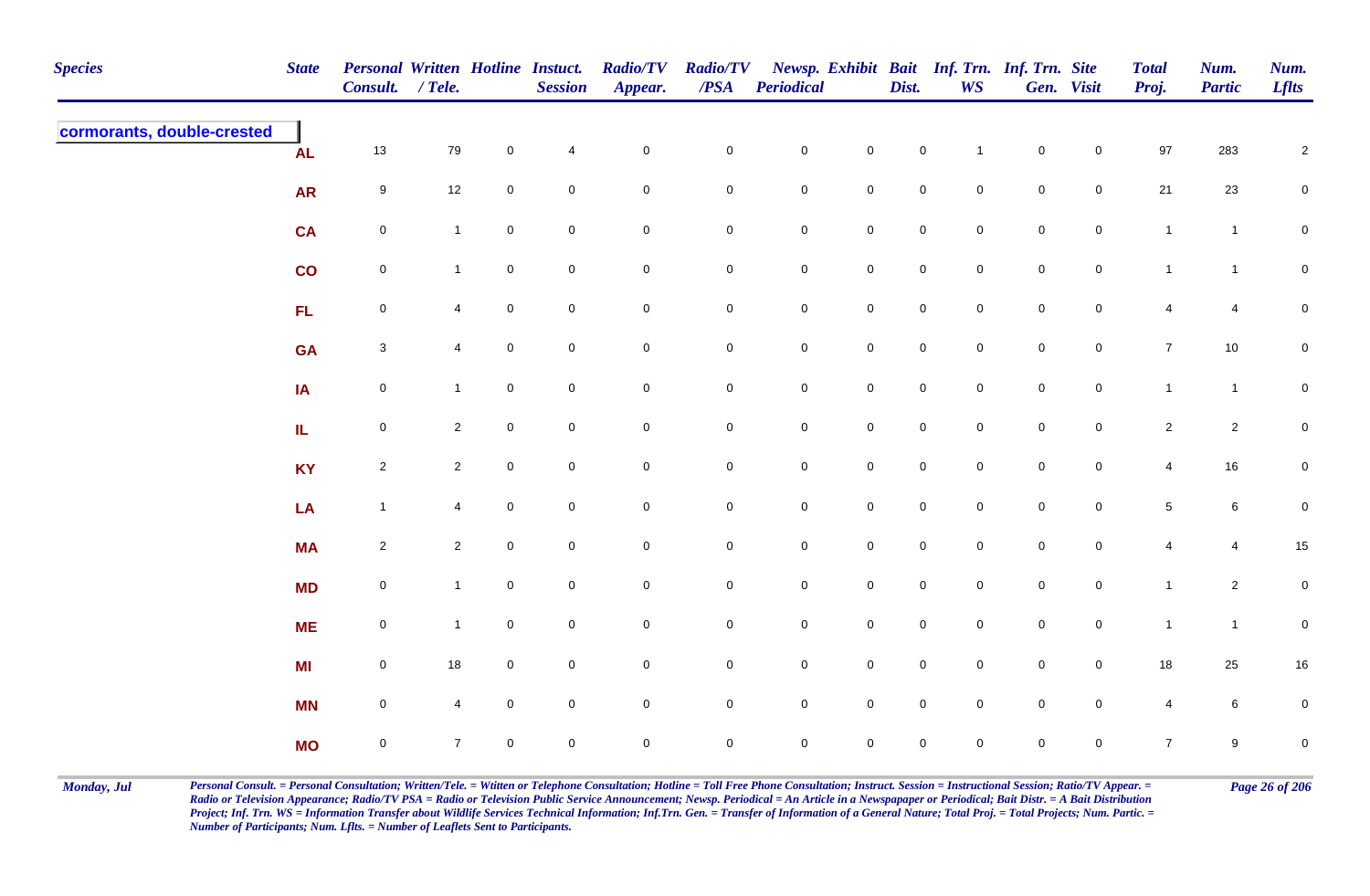| <b>Species</b>             | <b>State</b> | Personal Written Hotline Instuct.<br>Consult. / Tele. |                |             | <b>Session</b>           | <b>Radio/TV</b><br>Appear. | <b>Radio/TV</b><br>$\overline{PSA}$ | <b>Periodical</b> |                     | Dist.               | <b>WS</b>      | Newsp. Exhibit Bait Inf. Trn. Inf. Trn. Site | Gen. Visit     | <b>Total</b><br>Proj. | Num.<br><b>Partic</b> | Num.<br><b>Lflts</b> |
|----------------------------|--------------|-------------------------------------------------------|----------------|-------------|--------------------------|----------------------------|-------------------------------------|-------------------|---------------------|---------------------|----------------|----------------------------------------------|----------------|-----------------------|-----------------------|----------------------|
| cormorants, double-crested | <b>AL</b>    | $13$                                                  | 79             | $\mathbf 0$ | $\overline{\mathcal{L}}$ | $\mathbf 0$                | $\pmb{0}$                           | $\mathbf 0$       | $\mathsf{O}\xspace$ | $\mathbf 0$         | $\overline{1}$ | $\mathbf 0$                                  | $\mathbf 0$    | 97                    | 283                   | $\sqrt{2}$           |
|                            | <b>AR</b>    | 9                                                     | 12             | $\mathbf 0$ | $\mathbf 0$              | $\mathbf 0$                | 0                                   | $\mathbf 0$       | $\mathbf 0$         | $\mathbf 0$         | $\overline{0}$ | $\mathbf 0$                                  | $\mathbf 0$    | 21                    | 23                    | $\mathbf 0$          |
|                            | <b>CA</b>    | $\mathbf 0$                                           | $\mathbf{1}$   | $\mathbf 0$ | $\mathbf 0$              | $\mathbf 0$                | $\pmb{0}$                           | $\mathbf 0$       | $\mathbf 0$         | $\mathsf{O}\xspace$ | $\overline{0}$ | $\mathbf 0$                                  | $\mathsf{O}$   | $\mathbf{1}$          | $\mathbf{1}$          | $\mathbf 0$          |
|                            | co           | $\boldsymbol{0}$                                      | $\mathbf{1}$   | $\mathbf 0$ | $\mathbf 0$              | $\mathbf 0$                | 0                                   | $\mathbf 0$       | $\mathbf 0$         | $\mathbf 0$         | $\overline{0}$ | $\mathbf 0$                                  | $\mathsf{O}$   | $\mathbf{1}$          | $\overline{1}$        | $\mathbf 0$          |
|                            | FL           | $\mathsf{O}\xspace$                                   | $\overline{4}$ | $\mathbf 0$ | $\pmb{0}$                | $\mathsf{O}\xspace$        | $\mathbf 0$                         | $\mathbf 0$       | $\mathbf 0$         | $\mathsf{O}\xspace$ | $\mathbf 0$    | $\mathbf 0$                                  | $\mathbf 0$    | $\overline{4}$        | $\overline{4}$        | $\pmb{0}$            |
|                            | <b>GA</b>    | $\mathbf{3}$                                          | $\overline{4}$ | $\mathbf 0$ | $\pmb{0}$                | $\mathbf 0$                | $\pmb{0}$                           | $\mathbf 0$       | $\mathbf 0$         | $\mathsf{O}\xspace$ | $\overline{0}$ | $\mathbf 0$                                  | $\mathbf 0$    | $\overline{7}$        | $10\,$                | $\overline{0}$       |
|                            | IA           | $\mathsf{O}\xspace$                                   | $\mathbf{1}$   | $\mathbf 0$ | $\mathbf 0$              | $\mathsf{O}\xspace$        | $\mathbf 0$                         | $\mathbf 0$       | $\mathsf{O}\xspace$ | $\mathbf 0$         | $\mathbf 0$    | $\mathsf{O}\xspace$                          | $\mathbf 0$    | $\mathbf{1}$          | $\mathbf{1}$          | $\mathbf 0$          |
|                            | IL           | $\mathsf 0$                                           | $\overline{2}$ | $\mathbf 0$ | $\mathsf 0$              | $\mathbf 0$                | $\mathbf 0$                         | $\overline{0}$    | $\mathbf 0$         | $\mathbf 0$         | $\mathbf 0$    | $\mathbf 0$                                  | $\overline{0}$ | $\overline{2}$        | $\overline{a}$        | $\overline{0}$       |
|                            | <b>KY</b>    | $\overline{2}$                                        | $2^{\circ}$    | $\mathbf 0$ | $\mathbf 0$              | $\mathsf{O}\xspace$        | $\mathbf 0$                         | $\mathbf 0$       | $\mathsf{O}\xspace$ | $\mathsf{O}\xspace$ | $\mathbf 0$    | $\mathsf{O}\xspace$                          | $\mathbf 0$    | $\overline{4}$        | $16\,$                | $\mathbf 0$          |
|                            | LA           | $\mathbf{1}$                                          | 4              | $\mathbf 0$ | $\pmb{0}$                | $\mathbf 0$                | $\pmb{0}$                           | $\mathbf 0$       | $\mathsf{O}\xspace$ | $\mathsf{O}\xspace$ | $\mathbf 0$    | $\mathbf 0$                                  | $\mathbf 0$    | $\,$ 5 $\,$           | $\,6\,$               | $\mathbf 0$          |
|                            | <b>MA</b>    | $\overline{2}$                                        | $\overline{2}$ | $\mathbf 0$ | $\mathbf 0$              | $\mathbf 0$                | $\pmb{0}$                           | $\mathbf 0$       | $\mathbf 0$         | $\mathbf 0$         | $\mathbf 0$    | $\mathbf 0$                                  | $\mathbf 0$    | 4                     | 4                     | 15                   |
|                            | <b>MD</b>    | $\mathbf 0$                                           | $\mathbf{1}$   | $\mathbf 0$ | $\pmb{0}$                | $\mathbf 0$                | $\pmb{0}$                           | $\mathbf 0$       | $\mathbf 0$         | $\mathsf{O}\xspace$ | $\overline{0}$ | $\mathbf 0$                                  | $\mathsf{O}$   | $\mathbf{1}$          | $\overline{a}$        | $\mathbf 0$          |
|                            | <b>ME</b>    | $\mathsf 0$                                           | $\mathbf{1}$   | $\mathbf 0$ | $\mathsf 0$              | $\mathbf 0$                | 0                                   | $\mathbf 0$       | $\mathsf{O}\xspace$ | $\mathsf{O}\xspace$ | $\mathbf 0$    | $\mathbf 0$                                  | $\mathsf{O}$   | $\mathbf{1}$          | $\mathbf{1}$          | $\mathbf 0$          |
|                            | <b>MI</b>    | $\mathsf{O}\xspace$                                   | 18             | $\mathbf 0$ | $\mathbf 0$              | $\mathsf{O}\xspace$        | $\mathbf 0$                         | $\mathbf 0$       | $\mathbf 0$         | $\mathbf 0$         | $\mathbf 0$    | $\mathsf{O}\xspace$                          | $\mathbf 0$    | 18                    | 25                    | 16                   |
|                            | <b>MN</b>    | $\mathsf{O}\xspace$                                   | $\overline{4}$ | $\mathbf 0$ | $\pmb{0}$                | $\mathbf 0$                | $\mathbf 0$                         | $\mathbf 0$       | $\mathbf 0$         | $\mathsf{O}\xspace$ | $\mathbf 0$    | $\mathbf 0$                                  | $\mathbf 0$    | $\overline{4}$        | 6                     | $\mathbf 0$          |
|                            | <b>MO</b>    | $\mathbf 0$                                           | $\overline{7}$ | $\mathbf 0$ | $\pmb{0}$                | $\mathbf 0$                | $\mathbf 0$                         | $\mathbf 0$       | $\mathbf 0$         | 0                   | $\mathbf 0$    | $\mathsf{O}\xspace$                          | $\mathbf 0$    | $\overline{7}$        | 9                     | $\pmb{0}$            |

Monday, Jul Personal Consult. = Personal Consultation; Written/Tele. = Witten or Telephone Consultation; Hotline = Toll Free Phone Consultation; Instruct. Session = Instructional Session; Ratio/TV Appear. = Page 26 of 206 *Radio or Television Appearance; Radio/TV PSA = Radio or Television Public Service Announcement; Newsp. Periodical = An Article in a Newspapaper or Periodical; Bait Distr. = A Bait Distribution*  Project; Inf. Trn. WS = Information Transfer about Wildlife Services Technical Information; Inf.Trn. Gen. = Transfer of Information of a General Nature; Total Proj. = Total Projects; Num. Partic. = *Number of Participants; Num. Lflts. = Number of Leaflets Sent to Participants.*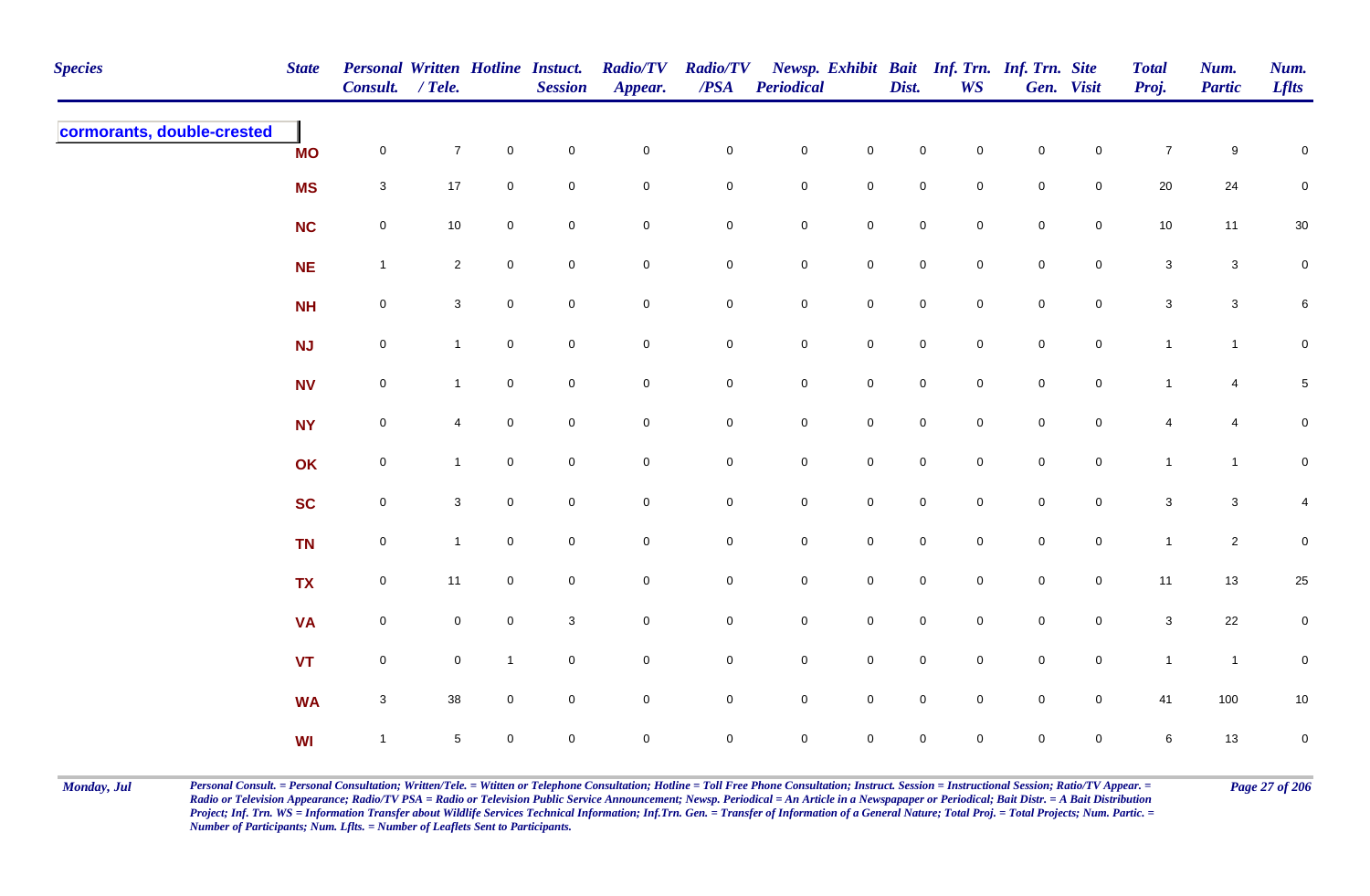| <b>Species</b>             | <b>State</b> | Personal Written Hotline Instuct.<br>Consult. / Tele. |                |                | <b>Session</b> | <b>Radio/TV</b><br>Appear. | <b>Radio/TV</b><br>$\overline{PSA}$ | <b>Periodical</b>   |                     | Dist.               | WS          | Newsp. Exhibit Bait Inf. Trn. Inf. Trn. Site | Gen. Visit     | <b>Total</b><br>Proj.     | Num.<br><b>Partic</b> | Num.<br><b>Lflts</b> |
|----------------------------|--------------|-------------------------------------------------------|----------------|----------------|----------------|----------------------------|-------------------------------------|---------------------|---------------------|---------------------|-------------|----------------------------------------------|----------------|---------------------------|-----------------------|----------------------|
| cormorants, double-crested | <b>MO</b>    | $\mathsf{O}\xspace$                                   | $\overline{7}$ | $\mathbf 0$    | $\pmb{0}$      | $\mathbf 0$                | $\pmb{0}$                           | $\mathbf 0$         | $\mathsf{O}\xspace$ | $\mathbf 0$         | $\mathbf 0$ | $\mathbf 0$                                  | $\mathbf 0$    | $\overline{7}$            | 9                     | $\mathbf 0$          |
|                            | <b>MS</b>    | $\mathbf{3}$                                          | $17$           | $\mathbf 0$    | $\mathsf 0$    | $\mathsf{O}\xspace$        | 0                                   | ${\bf 0}$           | $\mathbf 0$         | $\mathbf 0$         | $\mathbf 0$ | $\mathbf 0$                                  | $\overline{0}$ | 20                        | 24                    | $\mathbf 0$          |
|                            | <b>NC</b>    | $\mathsf{O}\xspace$                                   | $10$           | $\mathbf 0$    | $\mathsf 0$    | $\mathbf 0$                | $\pmb{0}$                           | $\mathbf 0$         | $\mathbf 0$         | $\mathbf 0$         | $\mathsf 0$ | $\mathbf 0$                                  | $\overline{0}$ | $10$                      | 11                    | 30                   |
|                            | NE           | $\mathbf{1}$                                          | $\overline{2}$ | $\mathbf 0$    | $\mathsf 0$    | $\mathbf 0$                | 0                                   | ${\bf 0}$           | $\mathsf{O}\xspace$ | $\mathsf{O}\xspace$ | $\mathbf 0$ | $\mathsf 0$                                  | $\mathbf 0$    | $\mathbf{3}$              | $\mathbf{3}$          | $\mathbf 0$          |
|                            | <b>NH</b>    | $\mathsf{O}\xspace$                                   | $\mathbf{3}$   | $\mathbf 0$    | $\mathbf 0$    | $\mathbf 0$                | $\pmb{0}$                           | ${\bf 0}$           | $\mathbf 0$         | $\mathsf{O}\xspace$ | $\mathsf 0$ | $\mathsf{O}$                                 | $\overline{0}$ | $\mathbf{3}$              | $\mathbf{3}$          | 6                    |
|                            | NJ           | $\boldsymbol{0}$                                      | $\mathbf{1}$   | $\overline{0}$ | $\mathsf 0$    | $\mathbf 0$                | $\mathbf 0$                         | $\overline{0}$      | $\mathsf{O}\xspace$ | $\mathbf 0$         | $\mathbf 0$ | $\mathsf{O}$                                 | $\overline{0}$ | $\mathbf{1}$              | $\overline{1}$        | $\mathbf 0$          |
|                            | <b>NV</b>    | $\mathsf 0$                                           | $\mathbf{1}$   | $\mathbf 0$    | $\mathbf 0$    | $\mathsf{O}\xspace$        | $\mathbf 0$                         | $\mathbf 0$         | $\mathsf{O}\xspace$ | $\mathsf{O}\xspace$ | $\mathbf 0$ | $\mathsf{O}$                                 | $\overline{0}$ | $\mathbf{1}$              | $\overline{4}$        | $\,$ 5 $\,$          |
|                            | <b>NY</b>    | $\mathsf 0$                                           | $\overline{4}$ | $\mathbf 0$    | $\mathsf 0$    | $\mathsf{O}\xspace$        | 0                                   | $\mathsf{O}\xspace$ | $\mathsf{O}\xspace$ | $\mathbf 0$         | $\mathbf 0$ | $\mathbf 0$                                  | $\mathbf 0$    | 4                         | 4                     | $\mathbf 0$          |
|                            | OK           | $\mathsf{O}\xspace$                                   | $\mathbf{1}$   | $\mathbf{0}$   | $\pmb{0}$      | $\mathbf 0$                | $\pmb{0}$                           | $\mathsf{O}\xspace$ | $\mathbf 0$         | $\overline{0}$      | $\mathbf 0$ | $\mathbf 0$                                  | $\mathbf 0$    | $\mathbf{1}$              | $\mathbf{1}$          | $\mathbf 0$          |
|                            | <b>SC</b>    | $\mathsf 0$                                           | $\mathbf{3}$   | $\mathbf 0$    | $\mathsf 0$    | $\mathbf 0$                | 0                                   | $\mathsf{O}\xspace$ | $\mathbf 0$         | $\mathbf 0$         | $\mathbf 0$ | $\mathbf 0$                                  | $\overline{0}$ | $\mathbf{3}$              | $\mathbf{3}$          | 4                    |
|                            | <b>TN</b>    | $\mathbf 0$                                           | $\mathbf{1}$   | $\mathbf 0$    | $\pmb{0}$      | $\mathbf 0$                | $\pmb{0}$                           | $\mathbf 0$         | $\mathbf 0$         | $\mathsf{O}\xspace$ | $\pmb{0}$   | $\mathbf 0$                                  | $\overline{0}$ | $\mathbf{1}$              | $\overline{2}$        | $\pmb{0}$            |
|                            | <b>TX</b>    | $\mathsf{O}\xspace$                                   | 11             | $\mathbf 0$    | $\pmb{0}$      | $\mathbf 0$                | $\pmb{0}$                           | $\mathbf 0$         | $\mathsf{O}\xspace$ | $\mathsf{O}\xspace$ | $\mathbf 0$ | $\mathbf 0$                                  | $\overline{0}$ | 11                        | 13                    | 25                   |
|                            | <b>VA</b>    | $\boldsymbol{0}$                                      | $\mathbf 0$    | $\mathbf 0$    | $\mathbf{3}$   | $\mathbf 0$                | 0                                   | ${\bf 0}$           | $\pmb{0}$           | $\mathbf 0$         | $\mathbf 0$ | $\mathbf 0$                                  | $\mathbf 0$    | $\ensuremath{\mathsf{3}}$ | 22                    | $\mathbf 0$          |
|                            | <b>VT</b>    | $\mathsf 0$                                           | $\overline{0}$ | $\mathbf{1}$   | $\mathsf 0$    | $\mathbf 0$                | $\mathbf 0$                         | $\mathsf 0$         | $\pmb{0}$           | $\mathsf 0$         | $\mathsf 0$ | $\mathsf 0$                                  | $\overline{0}$ | $\mathbf{1}$              | $\overline{1}$        | 0                    |
|                            | <b>WA</b>    | $\mathbf{3}$                                          | 38             | $\mathbf 0$    | $\mathsf 0$    | $\mathbf 0$                | 0                                   | $\mathbf 0$         | $\pmb{0}$           | $\mathsf{O}\xspace$ | $\mathsf 0$ | $\mathbf 0$                                  | $\overline{0}$ | 41                        | 100                   | 10                   |
|                            | <b>WI</b>    | $\overline{1}$                                        | $\sqrt{5}$     | $\mathbf 0$    | $\pmb{0}$      | $\mathbf 0$                | $\mathbf 0$                         | $\mathsf{O}\xspace$ | $\mathbf 0$         | $\mathbf 0$         | $\mathbf 0$ | $\mathbf 0$                                  | $\mathbf 0$    | 6                         | 13                    | $\mathbf 0$          |

Monday, Jul Personal Consult. = Personal Consultation; Written/Tele. = Witten or Telephone Consultation; Hotline = Toll Free Phone Consultation; Instruct. Session = Instructional Session; Ratio/TV Appear. = Page 27 of 206 *Radio or Television Appearance; Radio/TV PSA = Radio or Television Public Service Announcement; Newsp. Periodical = An Article in a Newspapaper or Periodical; Bait Distr. = A Bait Distribution*  Project; Inf. Trn. WS = Information Transfer about Wildlife Services Technical Information; Inf.Trn. Gen. = Transfer of Information of a General Nature; Total Proj. = Total Projects; Num. Partic. = *Number of Participants; Num. Lflts. = Number of Leaflets Sent to Participants.*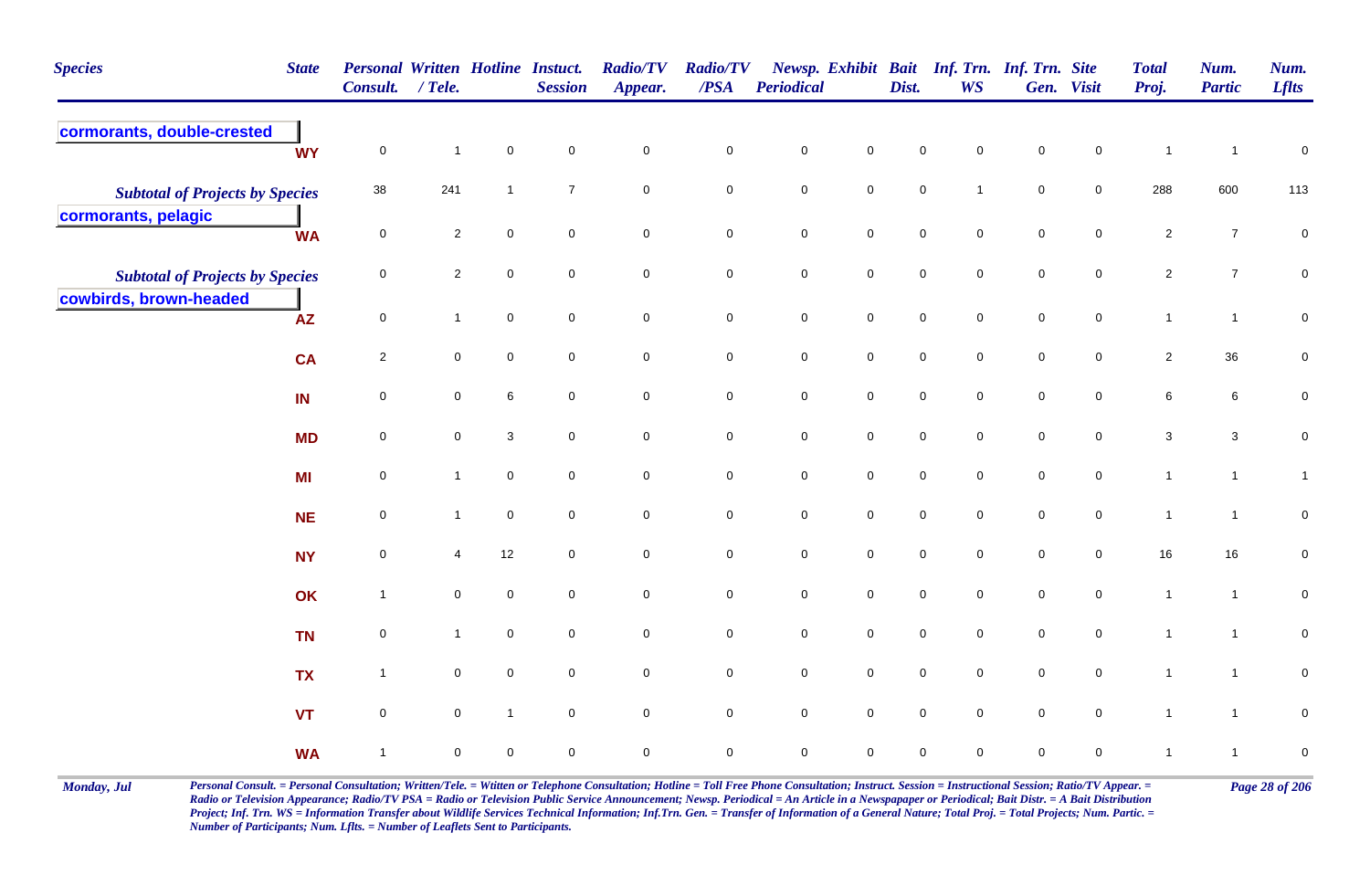| <b>Species</b>                         | <b>State</b> | Personal Written Hotline Instuct.<br>Consult. / Tele. |                |              | <b>Session</b>      | <b>Radio/TV</b><br>Appear. | <b>Radio/TV</b><br>/PSA | Periodical  |                     | Dist.       | Newsp. Exhibit Bait Inf. Trn. Inf. Trn. Site<br><b>WS</b> |             | Gen. Visit          | <b>Total</b><br>Proj. | Num.<br><b>Partic</b> | Num.<br><b>Lflts</b> |
|----------------------------------------|--------------|-------------------------------------------------------|----------------|--------------|---------------------|----------------------------|-------------------------|-------------|---------------------|-------------|-----------------------------------------------------------|-------------|---------------------|-----------------------|-----------------------|----------------------|
| cormorants, double-crested             | <b>WY</b>    | $\mathsf{O}\xspace$                                   | $\mathbf{1}$   | $\mathsf 0$  | $\mathbf 0$         | $\pmb{0}$                  | $\mathbf 0$             | $\pmb{0}$   | $\mathbf 0$         | $\pmb{0}$   | 0                                                         | $\pmb{0}$   | $\mathbf 0$         | $\mathbf{1}$          | $\overline{1}$        | $\pmb{0}$            |
| <b>Subtotal of Projects by Species</b> |              | 38                                                    | 241            | $\mathbf{1}$ | $\overline{7}$      | $\mathbf 0$                | $\pmb{0}$               | $\pmb{0}$   | $\mathbf 0$         | $\pmb{0}$   | $\mathbf{1}$                                              | $\pmb{0}$   | $\mathsf{O}\xspace$ | 288                   | 600                   | 113                  |
| cormorants, pelagic                    | <b>WA</b>    | $\mathbf 0$                                           | $\overline{2}$ | $\mathbf 0$  | $\mathbf 0$         | $\mathbf 0$                | $\mathbf 0$             | $\pmb{0}$   | $\mathbf 0$         | $\pmb{0}$   | 0                                                         | $\pmb{0}$   | $\mathbf 0$         | $\overline{2}$        | $\bf 7$               | $\pmb{0}$            |
| <b>Subtotal of Projects by Species</b> |              | 0                                                     | $\overline{2}$ | $\mathbf 0$  | $\overline{0}$      | $\mathsf{O}\xspace$        | $\mathbf 0$             | $\mathbf 0$ | $\mathbf 0$         | $\mathbf 0$ | 0                                                         | $\mathsf 0$ | $\mathbf 0$         | $\overline{2}$        | $\overline{7}$        | $\mathbf 0$          |
| cowbirds, brown-headed                 | AZ           | $\mathbf 0$                                           | $\mathbf{1}$   | $\mathbf 0$  | $\mathbf 0$         | $\mathbf 0$                | $\overline{0}$          | $\mathbf 0$ | $\mathsf{O}\xspace$ | $\pmb{0}$   | $\mathbf 0$                                               | $\mathbf 0$ | 0                   | $\mathbf{1}$          | $\mathbf{1}$          | $\mathbf 0$          |
|                                        | <b>CA</b>    | $\overline{2}$                                        | $\mathbf 0$    | $\mathbf 0$  | $\mathbf 0$         | $\pmb{0}$                  | $\mathbf 0$             | $\pmb{0}$   | $\mathbf 0$         | $\mathbf 0$ | $\overline{0}$                                            | $\mathbf 0$ | $\pmb{0}$           | $\overline{c}$        | $36\,$                | $\overline{0}$       |
|                                        | IN           | $\mathbf 0$                                           | $\mathbf 0$    | $\,6$        | $\mathsf{O}\xspace$ | $\mathbf 0$                | $\mathsf{O}\xspace$     | $\mathbf 0$ | $\pmb{0}$           | $\pmb{0}$   | $\mathbf 0$                                               | $\pmb{0}$   | $\mathsf{O}\xspace$ | $\,6\,$               | $\bf 6$               | $\mathbf 0$          |
|                                        | <b>MD</b>    | 0                                                     | $\mathbf 0$    | 3            | $\mathbf 0$         | $\mathsf{O}\xspace$        | $\mathbf 0$             | $\mathsf 0$ | $\mathsf{O}\xspace$ | $\pmb{0}$   | $\mathbf 0$                                               | $\mathbf 0$ | 0                   | $\mathbf{3}$          | $\mathbf{3}$          | $\mathbf 0$          |
|                                        | MI           | 0                                                     | $\mathbf{1}$   | $\mathbf 0$  | $\mathbf 0$         | $\pmb{0}$                  | $\mathbf 0$             | ${\bf 0}$   | $\mathbf 0$         | $\pmb{0}$   | $\pmb{0}$                                                 | $\pmb{0}$   | $\mathbf 0$         | $\mathbf{1}$          | $\mathbf{1}$          | $\mathbf{1}$         |
|                                        | <b>NE</b>    | 0                                                     | $\mathbf{1}$   | $\mathbf 0$  | $\mathbf 0$         | $\mathbf 0$                | $\mathbf 0$             | $\pmb{0}$   | $\pmb{0}$           | $\pmb{0}$   | 0                                                         | $\pmb{0}$   | $\mathbf 0$         | $\mathbf{1}$          | $\mathbf{1}$          | $\pmb{0}$            |
|                                        | <b>NY</b>    | 0                                                     | 4              | 12           | $\mathbf 0$         | $\mathbf 0$                | $\mathbf 0$             | $\mathsf 0$ | $\mathbf 0$         | $\mathsf 0$ | 0                                                         | $\mathbf 0$ | $\mathbf 0$         | 16                    | 16                    | $\mathbf 0$          |
|                                        | OK           | $\mathbf{1}$                                          | $\mathbf 0$    | $\mathbf 0$  | $\mathbf 0$         | $\pmb{0}$                  | $\mathbf 0$             | $\mathbf 0$ | $\mathbf 0$         | $\pmb{0}$   | $\mathsf{O}$                                              | $\pmb{0}$   | $\mathbf 0$         | $\mathbf{1}$          | $\mathbf{1}$          | $\mathbf 0$          |
|                                        | <b>TN</b>    | $\mathbf 0$                                           | $\mathbf{1}$   | $\mathbf 0$  | $\mathbf 0$         | $\mathbf 0$                | $\mathsf{O}\xspace$     | $\pmb{0}$   | $\mathbf 0$         | $\pmb{0}$   | $\mathsf{O}$                                              | $\mathbf 0$ | $\pmb{0}$           | $\mathbf{1}$          | $\mathbf{1}$          | $\mathbf 0$          |
|                                        | <b>TX</b>    | $\mathbf{1}$                                          | $\mathbf 0$    | $\mathbf 0$  | $\mathbf 0$         | $\mathbf 0$                | $\overline{0}$          | $\mathbf 0$ | $\mathsf{O}\xspace$ | $\mathbf 0$ | $\mathbf 0$                                               | $\mathbf 0$ | $\mathbf 0$         | $\overline{1}$        | $\mathbf{1}$          | $\mathbf 0$          |
|                                        | <b>VT</b>    | 0                                                     | $\mathbf 0$    | $\mathbf{1}$ | $\mathbf 0$         | $\mathbf 0$                | $\mathbf 0$             | $\pmb{0}$   | $\mathbf 0$         | $\pmb{0}$   | $\mathbf 0$                                               | $\pmb{0}$   | $\mathbf 0$         | $\mathbf{1}$          | $\mathbf{1}$          | $\pmb{0}$            |
|                                        | <b>WA</b>    | $\overline{1}$                                        | $\mathbf 0$    | $\mathbf 0$  | $\mathbf 0$         | $\mathbf 0$                | $\mathbf 0$             | $\pmb{0}$   | $\mathsf 0$         | $\pmb{0}$   | 0                                                         | $\pmb{0}$   | 0                   | $\mathbf{1}$          | $\mathbf{1}$          | $\pmb{0}$            |

Monday, Jul Personal Consult. = Personal Consultation; Written/Tele. = Witten or Telephone Consultation; Hotline = Toll Free Phone Consultation; Instruct. Session = Instructional Session; Ratio/TV Appear. = Page 28 of 206 *Radio or Television Appearance; Radio/TV PSA = Radio or Television Public Service Announcement; Newsp. Periodical = An Article in a Newspapaper or Periodical; Bait Distr. = A Bait Distribution*  Project; Inf. Trn. WS = Information Transfer about Wildlife Services Technical Information; Inf.Trn. Gen. = Transfer of Information of a General Nature; Total Proj. = Total Projects; Num. Partic. = *Number of Participants; Num. Lflts. = Number of Leaflets Sent to Participants.*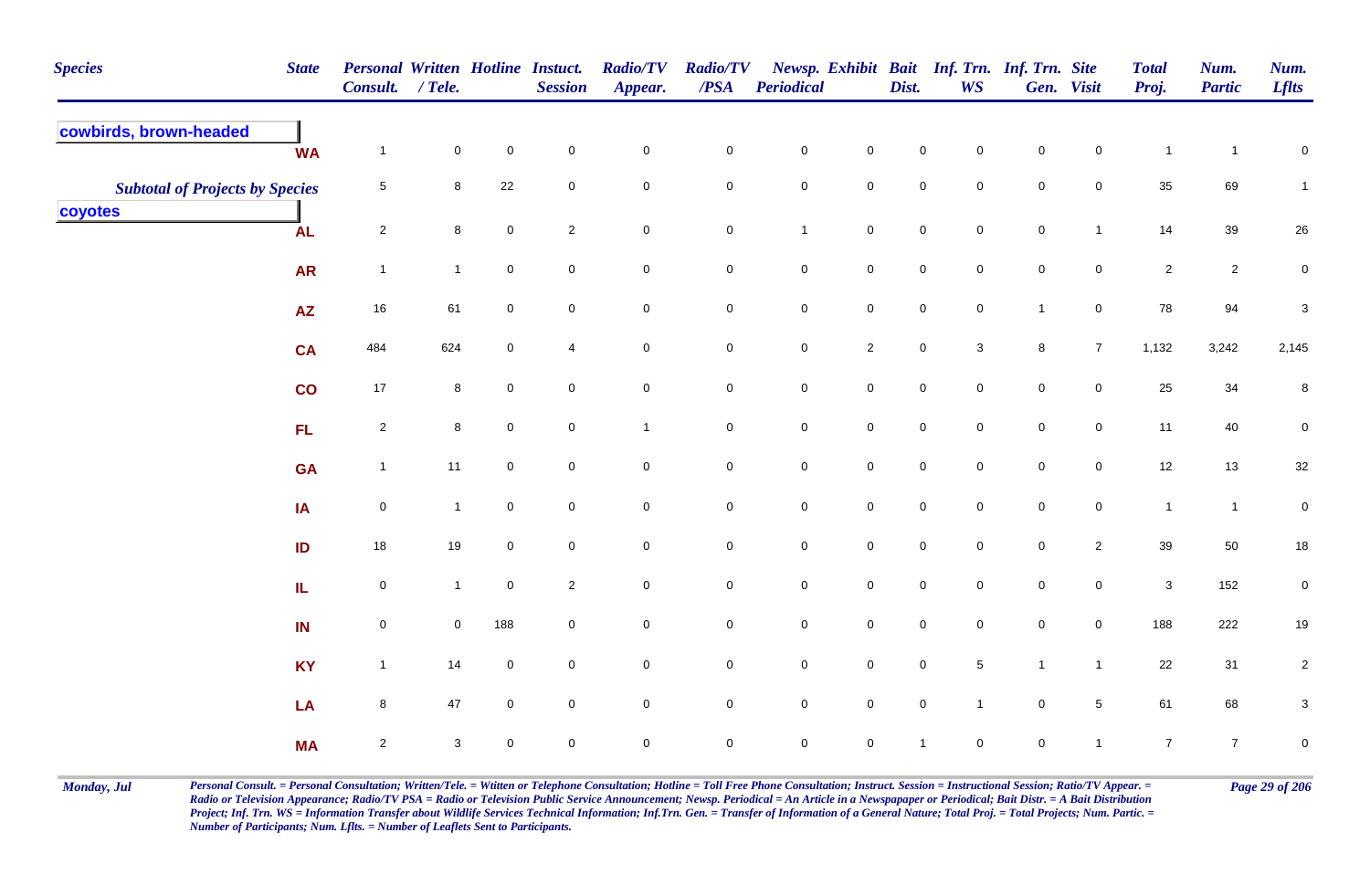| <b>Species</b>                         | <b>State</b> | <b>Personal Written Hotline Instuct.</b><br>Consult. / Tele. |                |                     | <b>Session</b> | <b>Radio/TV</b><br>Appear. | <b>Radio/TV</b><br>/PSA | Periodical       |                     | Dist.          | Newsp. Exhibit Bait Inf. Trn. Inf. Trn. Site<br><b>WS</b> |                | Gen. Visit     | <b>Total</b><br>Proj. | Num.<br><b>Partic</b> | Num.<br><b>Lflts</b>      |
|----------------------------------------|--------------|--------------------------------------------------------------|----------------|---------------------|----------------|----------------------------|-------------------------|------------------|---------------------|----------------|-----------------------------------------------------------|----------------|----------------|-----------------------|-----------------------|---------------------------|
| cowbirds, brown-headed                 | <b>WA</b>    | $\mathbf{1}$                                                 | $\mathbf 0$    | $\mathsf{O}\xspace$ | $\mathbf 0$    | $\mathbf 0$                | $\pmb{0}$               | $\pmb{0}$        | $\pmb{0}$           | $\pmb{0}$      | 0                                                         | $\pmb{0}$      | $\pmb{0}$      | $\mathbf{1}$          | $\mathbf{1}$          | $\pmb{0}$                 |
| <b>Subtotal of Projects by Species</b> |              | 5                                                            | $\bf 8$        | 22                  | $\mathbf 0$    | $\mathbf 0$                | $\mathbf 0$             | $\pmb{0}$        | $\mathbf 0$         | $\pmb{0}$      | 0                                                         | $\pmb{0}$      | $\pmb{0}$      | 35                    | 69                    | $\mathbf{1}$              |
| coyotes                                | <b>AL</b>    | $\overline{a}$                                               | 8              | $\mathbf 0$         | $\overline{2}$ | $\mathbf 0$                | $\mathbf 0$             | $\overline{1}$   | $\mathbf 0$         | $\mathbf 0$    | $\mathbf 0$                                               | $\pmb{0}$      | $\overline{1}$ | 14                    | 39                    | $26\,$                    |
|                                        | <b>AR</b>    | $\mathbf{1}$                                                 | $\mathbf{1}$   | $\mathbf 0$         | $\overline{0}$ | $\mathbf 0$                | $\mathbf 0$             | $\mathbf 0$      | $\mathbf 0$         | $\mathbf 0$    | 0                                                         | $\mathbf 0$    | $\mathbf 0$    | $\overline{2}$        | $\overline{2}$        | $\mathbf 0$               |
|                                        | <b>AZ</b>    | 16                                                           | 61             | $\mathbf 0$         | $\overline{0}$ | $\pmb{0}$                  | $\pmb{0}$               | $\pmb{0}$        | $\mathbf 0$         | $\pmb{0}$      | 0                                                         | $\mathbf{1}$   | $\mathbf 0$    | ${\bf 78}$            | 94                    | 3                         |
|                                        | <b>CA</b>    | 484                                                          | 624            | $\mathbf 0$         | $\overline{4}$ | $\mathbf 0$                | $\mathbf 0$             | $\mathbf 0$      | $\sqrt{2}$          | $\pmb{0}$      | $\mathbf{3}$                                              | $\bf8$         | $\overline{7}$ | 1,132                 | 3,242                 | 2,145                     |
|                                        | co           | 17                                                           | 8              | $\mathbf 0$         | $\mathbf 0$    | $\mathbf 0$                | $\mathbf 0$             | $\mathbf 0$      | $\mathsf{O}\xspace$ | $\pmb{0}$      | $\mathsf{O}$                                              | $\pmb{0}$      | $\mathbf 0$    | 25                    | 34                    | 8                         |
|                                        | FL           | $\overline{2}$                                               | 8              | $\mathbf 0$         | $\mathbf 0$    | $\mathbf{1}$               | $\mathbf 0$             | $\boldsymbol{0}$ | $\mathbf 0$         | $\mathsf 0$    | $\mathsf{O}$                                              | $\mathbf 0$    | 0              | 11                    | 40                    | $\mathbf 0$               |
|                                        | <b>GA</b>    | $\mathbf{1}$                                                 | 11             | $\mathbf 0$         | $\mathbf 0$    | $\pmb{0}$                  | $\mathsf{O}\xspace$     | $\pmb{0}$        | $\mathsf{O}\xspace$ | $\mathbf 0$    | 0                                                         | $\mathbf 0$    | 0              | 12                    | $13$                  | $32\,$                    |
|                                        | IA           | $\mathbf 0$                                                  | $\mathbf{1}$   | $\mathsf{O}\xspace$ | $\mathbf 0$    | $\mathbf 0$                | $\mathbf 0$             | ${\bf 0}$        | $\mathbf 0$         | $\pmb{0}$      | $\mathsf{O}\xspace$                                       | $\pmb{0}$      | $\mathbf 0$    | $\mathbf{1}$          | $\mathbf{1}$          | $\pmb{0}$                 |
|                                        | ID           | 18                                                           | 19             | $\mathbf 0$         | $\overline{0}$ | $\mathbf 0$                | $\mathbf 0$             | $\mathbf 0$      | $\mathbf 0$         | $\mathbf 0$    | 0                                                         | $\mathsf 0$    | $\overline{c}$ | 39                    | 50                    | $18\,$                    |
|                                        | IL.          | $\mathbf 0$                                                  | $\mathbf{1}$   | $\mathbf 0$         | $\overline{2}$ | $\mathbf 0$                | $\mathbf 0$             | $\pmb{0}$        | $\mathbf 0$         | $\pmb{0}$      | 0                                                         | $\pmb{0}$      | $\mathbf 0$    | $\mathbf 3$           | 152                   | $\pmb{0}$                 |
|                                        | IN           | 0                                                            | $\overline{0}$ | 188                 | $\overline{0}$ | $\mathbf 0$                | $\mathbf 0$             | $\pmb{0}$        | $\mathbf 0$         | $\mathbf 0$    | 0                                                         | $\mathbf 0$    | $\mathbf 0$    | 188                   | 222                   | 19                        |
|                                        | <b>KY</b>    | $\mathbf{1}$                                                 | 14             | $\mathbf 0$         | $\overline{0}$ | $\pmb{0}$                  | $\mathsf{O}\xspace$     | $\pmb{0}$        | $\mathsf{O}\xspace$ | $\mathbf 0$    | 5                                                         | $\overline{1}$ | $\mathbf{1}$   | 22                    | 31                    | $\sqrt{2}$                |
|                                        | LA           | 8                                                            | 47             | $\mathbf 0$         | $\overline{0}$ | $\mathbf 0$                | $\mathbf 0$             | $\pmb{0}$        | $\mathsf{O}\xspace$ | $\pmb{0}$      | $\mathbf{1}$                                              | $\mathsf 0$    | $\sqrt{5}$     | 61                    | 68                    | $\ensuremath{\mathsf{3}}$ |
|                                        | <b>MA</b>    | $\overline{2}$                                               | $\sqrt{3}$     | $\mathbf 0$         | $\mathbf 0$    | $\mathsf{O}\xspace$        | $\mathbf 0$             | $\pmb{0}$        | $\mathbf 0$         | $\overline{1}$ | $\mathbf 0$                                               | $\pmb{0}$      | $\overline{1}$ | $\overline{7}$        | $\overline{7}$        | $\pmb{0}$                 |

Monday, Jul Personal Consult. = Personal Consultation; Written/Tele. = Witten or Telephone Consultation; Hotline = Toll Free Phone Consultation; Instruct. Session = Instructional Session; Ratio/TV Appear. = Page 29 of 206 *Radio or Television Appearance; Radio/TV PSA = Radio or Television Public Service Announcement; Newsp. Periodical = An Article in a Newspapaper or Periodical; Bait Distr. = A Bait Distribution*  Project; Inf. Trn. WS = Information Transfer about Wildlife Services Technical Information; Inf.Trn. Gen. = Transfer of Information of a General Nature; Total Proj. = Total Projects; Num. Partic. = *Number of Participants; Num. Lflts. = Number of Leaflets Sent to Participants.*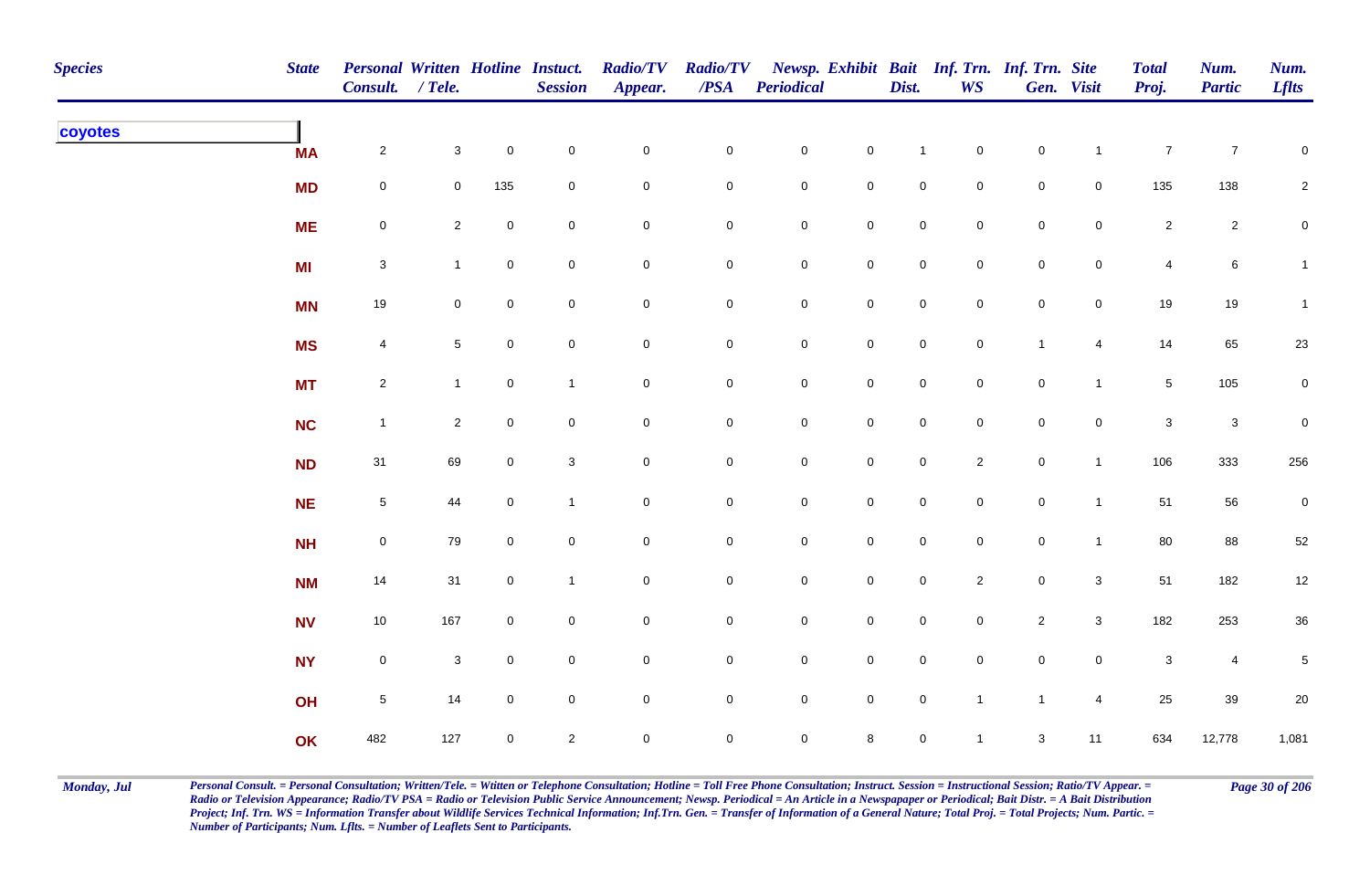| <b>Species</b> | <b>State</b> | <b>Personal Written Hotline Instuct.</b><br>Consult. / Tele. |                           |                | <b>Session</b> | <b>Radio/TV</b><br>Appear. | $\overline{PSA}$ | Radio/TV Newsp. Exhibit Bait Inf. Trn. Inf. Trn. Site<br><b>Periodical</b> |                     | Dist.               | <b>WS</b>      |                     | Gen. Visit          | <b>Total</b><br>Proj. | Num.<br><b>Partic</b> | Num.<br><b>Lflts</b> |
|----------------|--------------|--------------------------------------------------------------|---------------------------|----------------|----------------|----------------------------|------------------|----------------------------------------------------------------------------|---------------------|---------------------|----------------|---------------------|---------------------|-----------------------|-----------------------|----------------------|
| coyotes        | <b>MA</b>    | $\overline{2}$                                               | $\mathbf{3}$              | $\mathbf 0$    | $\pmb{0}$      | $\pmb{0}$                  | 0                | $\mathbf 0$                                                                | $\pmb{0}$           |                     | $\overline{0}$ | $\pmb{0}$           | $\overline{1}$      | $\boldsymbol{7}$      | $\overline{7}$        | $\pmb{0}$            |
|                | <b>MD</b>    | $\mathsf{O}\xspace$                                          | $\mathbf 0$               | 135            | $\mathbf 0$    | $\pmb{0}$                  | 0                | $\mathbf 0$                                                                | $\mathbf 0$         | $\mathsf{O}\xspace$ | $\mathbf 0$    | $\mathsf{O}\xspace$ | $\mathbf 0$         | 135                   | 138                   | $\overline{a}$       |
|                | <b>ME</b>    | $\overline{0}$                                               | $\mathbf{2}$              | $\mathbf 0$    | $\pmb{0}$      | $\pmb{0}$                  | $\pmb{0}$        | $\mathbf 0$                                                                | $\mathbf 0$         | $\mathbf 0$         | $\overline{0}$ | $\mathbf 0$         | $\mathbf 0$         | $\overline{a}$        | $\overline{a}$        | $\mathbf 0$          |
|                | <b>MI</b>    | $\mathbf{3}$                                                 | $\mathbf{1}$              | $\mathbf 0$    | $\pmb{0}$      | $\mathbf 0$                | 0                | $\mathbf 0$                                                                | $\mathbf 0$         | $\overline{0}$      | $\overline{0}$ | $\mathbf 0$         | $\mathbf 0$         | 4                     | 6                     | $\mathbf{1}$         |
|                | <b>MN</b>    | 19                                                           | $\mathbf 0$               | $\overline{0}$ | $\mathsf 0$    | $\mathbf 0$                | $\mathbf 0$      | $\mathbf 0$                                                                | $\mathbf 0$         | $\overline{0}$      | $\overline{0}$ | $\mathsf{O}\xspace$ | $\mathsf{O}$        | 19                    | 19                    | $\mathbf{1}$         |
|                | <b>MS</b>    | $\overline{4}$                                               | $5\phantom{.0}$           | $\overline{0}$ | $\mathbf 0$    | $\mathsf{O}\xspace$        | $\mathbf 0$      | $\mathbf 0$                                                                | $\mathsf{O}\xspace$ | $\mathsf 0$         | $\overline{0}$ | $\overline{1}$      | $\overline{4}$      | 14                    | 65                    | $23\,$               |
|                | <b>MT</b>    | $\overline{2}$                                               | $\mathbf{1}$              | $\mathbf 0$    | $\mathbf{1}$   | $\mathbf 0$                | $\mathbf 0$      | $\mathbf 0$                                                                | $\mathsf{O}\xspace$ | $\mathsf{O}$        | $\mathbf 0$    | $\mathsf{O}\xspace$ | $\mathbf{1}$        | 5 <sub>5</sub>        | 105                   | $\mathbf 0$          |
|                | <b>NC</b>    | $\mathbf{1}$                                                 | $\overline{2}$            | $\mathbf 0$    | $\pmb{0}$      | $\pmb{0}$                  | 0                | $\pmb{0}$                                                                  | $\pmb{0}$           | $\mathsf 0$         | $\overline{0}$ | $\pmb{0}$           | $\mathsf{O}\xspace$ | $\mathbf{3}$          | $\mathbf{3}$          | $\mathbf 0$          |
|                | <b>ND</b>    | 31                                                           | 69                        | $\mathbf 0$    | $\sqrt{3}$     | $\mathbf 0$                | 0                | $\mathsf{O}\xspace$                                                        | $\mathbf 0$         | $\mathbf 0$         | $\overline{2}$ | $\mathbf 0$         | $\mathbf{1}$        | 106                   | 333                   | 256                  |
|                | <b>NE</b>    | $5\phantom{.0}$                                              | 44                        | $\mathbf 0$    | $\mathbf{1}$   | $\pmb{0}$                  | $\pmb{0}$        | $\mathsf{O}\xspace$                                                        | $\mathbf 0$         | $\mathbf 0$         | $\overline{0}$ | $\mathbf 0$         | $\overline{1}$      | 51                    | 56                    | $\mathbf 0$          |
|                | <b>NH</b>    | $\mathsf{O}\xspace$                                          | 79                        | $\overline{0}$ | $\pmb{0}$      | $\pmb{0}$                  | $\pmb{0}$        | $\mathsf{O}\xspace$                                                        | $\pmb{0}$           | $\mathsf{O}\xspace$ | $\overline{0}$ | $\mathsf{O}\xspace$ | $\mathbf{1}$        | 80                    | 88                    | 52                   |
|                | <b>NM</b>    | 14                                                           | 31                        | $\mathbf 0$    | $\mathbf{1}$   | $\mathbf 0$                | ${\bf 0}$        | $\mathbf 0$                                                                | $\pmb{0}$           | $\mathsf{O}\xspace$ | $\overline{2}$ | $\mathbf 0$         | $\mathbf{3}$        | 51                    | 182                   | $12$                 |
|                | <b>NV</b>    | 10                                                           | 167                       | $\mathbf 0$    | $\pmb{0}$      | $\pmb{0}$                  | 0                | $\mathbf 0$                                                                | $\mathbf 0$         | $\mathsf{O}\xspace$ | $\mathbf 0$    | $\overline{2}$      | $\mathbf{3}$        | 182                   | 253                   | $36\,$               |
|                | <b>NY</b>    | $\mathsf{O}\xspace$                                          | $\ensuremath{\mathsf{3}}$ | $\overline{0}$ | $\mathsf 0$    | $\pmb{0}$                  | $\mathbf 0$      | $\mathbf 0$                                                                | $\mathbf 0$         | $\overline{0}$      | $\mathbf 0$    | $\mathsf{O}\xspace$ | $\mathsf{O}$        | $\mathsf 3$           | $\overline{4}$        | 5                    |
|                | OH           | $\overline{5}$                                               | 14                        | $\overline{0}$ | $\pmb{0}$      | $\pmb{0}$                  | $\mathbf 0$      | $\mathsf 0$                                                                | $\pmb{0}$           | $\mathbf 0$         | $\mathbf{1}$   | $\overline{1}$      | $\overline{4}$      | 25                    | 39                    | $20\,$               |
|                | OK           | 482                                                          | 127                       | $\overline{0}$ | $\sqrt{2}$     | $\mathbf 0$                | $\mathsf{O}$     | $\mathsf{O}\xspace$                                                        | $\,8\,$             | $\mathsf{O}\xspace$ | $\mathbf{1}$   | $\mathbf{3}$        | 11                  | 634                   | 12,778                | 1,081                |

Monday, Jul Personal Consult. = Personal Consultation; Written/Tele. = Witten or Telephone Consultation; Hotline = Toll Free Phone Consultation; Instruct. Session = Instructional Session; Ratio/TV Appear. = Page 30 of 206 *Radio or Television Appearance; Radio/TV PSA = Radio or Television Public Service Announcement; Newsp. Periodical = An Article in a Newspapaper or Periodical; Bait Distr. = A Bait Distribution*  Project; Inf. Trn. WS = Information Transfer about Wildlife Services Technical Information; Inf.Trn. Gen. = Transfer of Information of a General Nature; Total Proj. = Total Projects; Num. Partic. = *Number of Participants; Num. Lflts. = Number of Leaflets Sent to Participants.*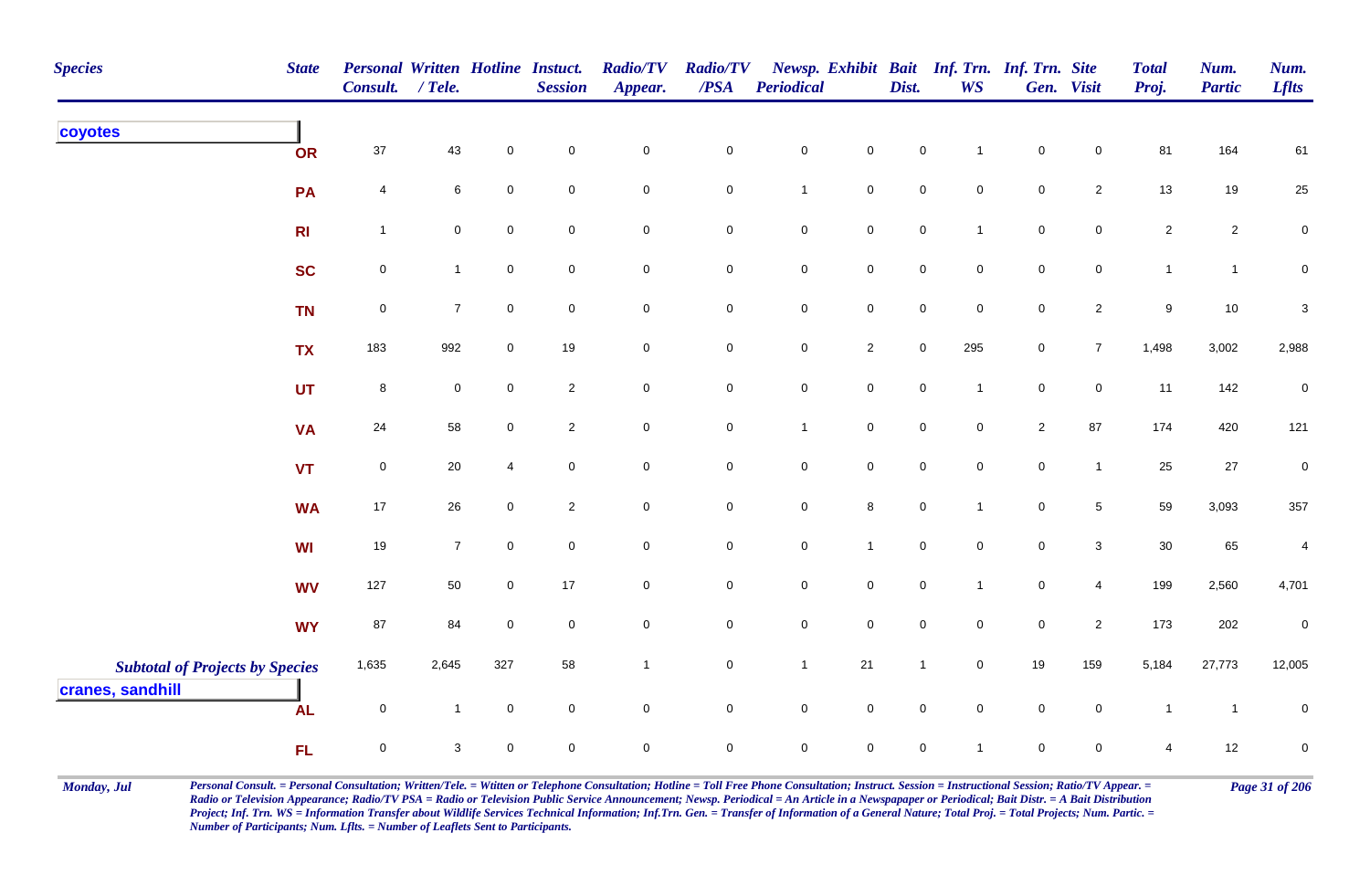| <b>Species</b><br><b>State</b>                             | <b>Personal Written Hotline Instuct.</b><br><b>Consult.</b> | $/$ Tele.      |                | <b>Session</b> | <b>Radio/TV</b><br>Appear. | <b>Radio/TV</b><br>$\boldsymbol{PSA}$ | <b>Periodical</b>   |                | Dist.               | <b>WS</b>           | Newsp. Exhibit Bait Inf. Trn. Inf. Trn. Site | Gen. Visit      | <b>Total</b><br>Proj. | Num.<br><b>Partic</b> | Num.<br><b>Lflts</b>      |
|------------------------------------------------------------|-------------------------------------------------------------|----------------|----------------|----------------|----------------------------|---------------------------------------|---------------------|----------------|---------------------|---------------------|----------------------------------------------|-----------------|-----------------------|-----------------------|---------------------------|
| coyotes<br><b>OR</b>                                       | $37\,$                                                      | 43             | $\pmb{0}$      | $\mathbf 0$    | $\pmb{0}$                  | $\pmb{0}$                             | $\pmb{0}$           | $\pmb{0}$      | $\pmb{0}$           | $\mathbf{1}$        | $\mathbf 0$                                  | $\mathbf 0$     | 81                    | 164                   | 61                        |
| PA                                                         | 4                                                           | 6              | $\mathsf 0$    | $\mathbf 0$    | $\mathbf 0$                | $\mathbf 0$                           | $\mathbf{1}$        | $\mathsf{O}$   | $\pmb{0}$           | $\mathbf 0$         | $\mathbf 0$                                  | $\overline{2}$  | 13                    | 19                    | $25\,$                    |
| R <sub>l</sub>                                             | $\mathbf{1}$                                                | 0              | $\mathbf 0$    | $\mathbf 0$    | $\mathbf 0$                | $\mathbf 0$                           | ${\bf 0}$           | $\mathbf 0$    | $\mathbf 0$         | $\mathbf{1}$        | $\pmb{0}$                                    | $\mathbf 0$     | $\sqrt{2}$            | $\overline{a}$        | $\mathbf 0$               |
| <b>SC</b>                                                  | $\mathbf 0$                                                 | $\mathbf{1}$   | $\mathsf 0$    | $\mathbf 0$    | $\mathbf 0$                | $\mathbf 0$                           | $\mathbf 0$         | $\mathsf 0$    | $\mathbf 0$         | $\overline{0}$      | $\mathbf 0$                                  | $\overline{0}$  | $\mathbf{1}$          | $\mathbf{1}$          | $\mathbf 0$               |
| <b>TN</b>                                                  | $\mathsf 0$                                                 | $\overline{7}$ | $\mathsf 0$    | $\overline{0}$ | $\mathbf 0$                | $\mathsf 0$                           | $\mathsf{O}\xspace$ | $\mathsf{O}$   | $\mathsf{O}\xspace$ | $\mathsf{O}\xspace$ | $\pmb{0}$                                    | $\overline{2}$  | $\boldsymbol{9}$      | 10                    | $\ensuremath{\mathsf{3}}$ |
| <b>TX</b>                                                  | 183                                                         | 992            | $\mathbf 0$    | 19             | $\mathsf{O}\xspace$        | $\mathbf 0$                           | $\mathbf 0$         | $\overline{2}$ | $\mathsf{O}\xspace$ | 295                 | $\mathbf 0$                                  | $\overline{7}$  | 1,498                 | 3,002                 | 2,988                     |
| <b>UT</b>                                                  | 8                                                           | $\overline{0}$ | $\mathbf 0$    | $\overline{2}$ | $\mathbf 0$                | $\mathbf 0$                           | $\mathbf 0$         | $\overline{0}$ | $\mathbf 0$         | $\mathbf{1}$        | $\mathsf 0$                                  | $\mathbf 0$     | 11                    | 142                   | $\pmb{0}$                 |
| <b>VA</b>                                                  | 24                                                          | 58             | $\mathbf 0$    | $\overline{2}$ | $\pmb{0}$                  | $\mathsf 0$                           | $\overline{1}$      | $\mathsf 0$    | $\mathsf 0$         | $\overline{0}$      | $\sqrt{2}$                                   | 87              | 174                   | 420                   | 121                       |
| <b>VT</b>                                                  | $\mathsf{O}\xspace$                                         | 20             | $\overline{4}$ | $\mathbf 0$    | $\mathbf 0$                | $\pmb{0}$                             | $\mathbf 0$         | $\mathsf 0$    | $\mathsf{O}\xspace$ | $\mathbf 0$         | $\mathbf 0$                                  | $\mathbf{1}$    | 25                    | $27\,$                | $\pmb{0}$                 |
| <b>WA</b>                                                  | 17                                                          | 26             | $\mathbf 0$    | $\overline{2}$ | $\mathbf 0$                | $\mathbf 0$                           | $\mathbf 0$         | $\bf8$         | $\mathsf{O}\xspace$ | $\mathbf{1}$        | $\mathbf 0$                                  | $5\overline{)}$ | 59                    | 3,093                 | 357                       |
| <b>WI</b>                                                  | 19                                                          | $\overline{7}$ | $\mathbf 0$    | $\mathbf 0$    | $\mathsf{O}\xspace$        | $\mathbf 0$                           | $\mathsf{O}\xspace$ | $\mathbf{1}$   | $\mathbf 0$         | $\mathbf 0$         | $\mathbf 0$                                  | $\mathbf{3}$    | 30                    | 65                    | $\overline{4}$            |
| <b>WV</b>                                                  | 127                                                         | 50             | $\mathbf 0$    | 17             | $\mathbf 0$                | $\mathbf 0$                           | $\mathbf 0$         | $\mathbf 0$    | $\mathbf 0$         | $\mathbf{1}$        | $\mathsf{O}\xspace$                          | $\overline{4}$  | 199                   | 2,560                 | 4,701                     |
| <b>WY</b>                                                  | 87                                                          | 84             | $\mathbf{0}$   | $\mathbf 0$    | $\mathbf 0$                | $\pmb{0}$                             | $\pmb{0}$           | $\mathsf 0$    | $\mathbf 0$         | $\mathbf{0}$        | $\mathbf 0$                                  | $\overline{2}$  | 173                   | 202                   | $\pmb{0}$                 |
| <b>Subtotal of Projects by Species</b><br>cranes, sandhill | 1,635                                                       | 2,645          | 327            | 58             | $\mathbf{1}$               | $\mathbf 0$                           | $\mathbf{1}$        | 21             | $\mathbf{1}$        | $\mathbf 0$         | 19                                           | 159             | 5,184                 | 27,773                | 12,005                    |
| <b>AL</b>                                                  | $\mathsf 0$                                                 | $\mathbf{1}$   | $\pmb{0}$      | $\mathbf 0$    | $\mathsf{O}\xspace$        | $\mathbf 0$                           | $\mathsf{O}\xspace$ | $\mathsf{O}$   | $\mathsf{O}\xspace$ | $\mathbf 0$         | $\mathbf 0$                                  | $\mathbf 0$     | $\mathbf{1}$          | $\overline{1}$        | $\pmb{0}$                 |
| <b>FL</b>                                                  | $\mathsf 0$                                                 | 3              | $\mathsf 0$    | $\mathbf 0$    | $\pmb{0}$                  | $\mathsf 0$                           | $\mathbf 0$         | $\mathbf 0$    | $\mathbf 0$         | $\mathbf{1}$        | $\mathbf 0$                                  | $\mathbf 0$     | 4                     | 12                    | $\pmb{0}$                 |

Monday, Jul Personal Consult. = Personal Consultation; Written/Tele. = Witten or Telephone Consultation; Hotline = Toll Free Phone Consultation; Instruct. Session = Instructional Session; Ratio/TV Appear. = Page 31 of 206 *Radio or Television Appearance; Radio/TV PSA = Radio or Television Public Service Announcement; Newsp. Periodical = An Article in a Newspapaper or Periodical; Bait Distr. = A Bait Distribution*  Project; Inf. Trn. WS = Information Transfer about Wildlife Services Technical Information; Inf.Trn. Gen. = Transfer of Information of a General Nature; Total Proj. = Total Projects; Num. Partic. = *Number of Participants; Num. Lflts. = Number of Leaflets Sent to Participants.*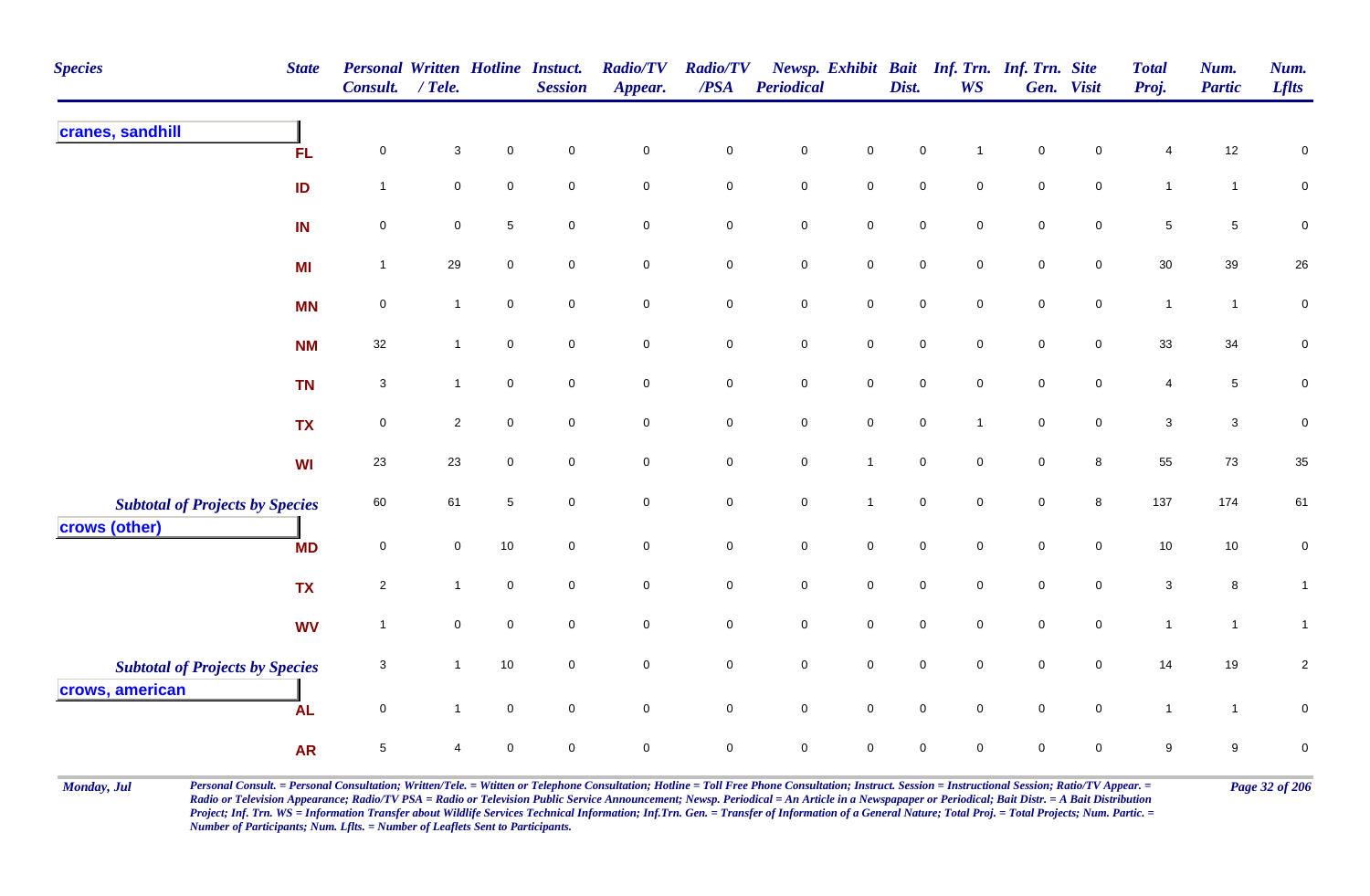| <b>Species</b>                                            | <b>State</b> | <b>Personal Written Hotline Instuct.</b><br>Consult. | $/$ Tele.               |                  | <b>Session</b>      | <b>Radio/TV</b><br>Appear. | <b>Radio/TV</b><br>$\overline{PSA}$ | <b>Periodical</b>   |                     | Dist.               | Newsp. Exhibit Bait Inf. Trn. Inf. Trn. Site<br><b>WS</b> |                     | Gen. Visit          | <b>Total</b><br>Proj.     | Num.<br><b>Partic</b> | Num.<br><b>Lflts</b> |
|-----------------------------------------------------------|--------------|------------------------------------------------------|-------------------------|------------------|---------------------|----------------------------|-------------------------------------|---------------------|---------------------|---------------------|-----------------------------------------------------------|---------------------|---------------------|---------------------------|-----------------------|----------------------|
| cranes, sandhill                                          | <b>FL</b>    | $\mathbf 0$                                          | $\mathbf{3}$            | $\pmb{0}$        | $\pmb{0}$           | $\mathbf 0$                | $\pmb{0}$                           | $\pmb{0}$           | $\pmb{0}$           | $\pmb{0}$           |                                                           | $\mathbf 0$         | $\mathsf 0$         | $\overline{4}$            | 12                    | $\pmb{0}$            |
|                                                           | ID           | $\mathbf{1}$                                         | $\mathbf 0$             | $\pmb{0}$        | $\mathsf{O}\xspace$ | $\mathsf{O}\xspace$        | $\mathbf 0$                         | $\mathbf 0$         | $\mathbf 0$         | $\pmb{0}$           | $\mathbf 0$                                               | $\mathsf{O}\xspace$ | $\mathsf{O}\xspace$ | $\mathbf{1}$              | $\mathbf{1}$          | $\pmb{0}$            |
|                                                           | IN           | $\mathbf 0$                                          | 0                       | $\sqrt{5}$       | $\mathbf 0$         | $\overline{0}$             | $\mathbf 0$                         | $\mathbf 0$         | $\overline{0}$      | $\mathbf 0$         | $\mathbf 0$                                               | $\mathbf 0$         | $\overline{0}$      | $\sqrt{5}$                | 5                     | $\pmb{0}$            |
|                                                           | <b>MI</b>    | $\overline{1}$                                       | 29                      | $\pmb{0}$        | $\mathsf{O}\xspace$ | $\mathbf 0$                | $\mathbf 0$                         | $\mathbf 0$         | $\mathsf{O}\xspace$ | $\mathsf{O}\xspace$ | $\mathsf{O}\xspace$                                       | $\mathsf{O}\xspace$ | $\mathbf 0$         | $30\,$                    | 39                    | $26\,$               |
|                                                           | <b>MN</b>    | $\pmb{0}$                                            | $\mathbf{1}$            | $\pmb{0}$        | $\mathbf 0$         | $\mathsf{O}\xspace$        | $\pmb{0}$                           | $\mathbf 0$         | $\mathsf{O}$        | $\mathbf 0$         | $\mathbf 0$                                               | $\mathbf 0$         | $\mathbf 0$         | $\mathbf{1}$              | $\mathbf{1}$          | $\pmb{0}$            |
|                                                           | <b>NM</b>    | 32                                                   | $\mathbf{1}$            | $\mathsf 0$      | $\mathbf 0$         | $\mathbf 0$                | $\mathbf 0$                         | $\mathbf 0$         | $\mathbf 0$         | $\mathsf{O}\xspace$ | $\mathbf 0$                                               | $\mathbf 0$         | $\overline{0}$      | 33                        | 34                    | $\pmb{0}$            |
|                                                           | <b>TN</b>    | $\mathbf{3}$                                         | $\mathbf{1}$            | $\mathbf 0$      | $\mathbf 0$         | $\mathsf{O}\xspace$        | $\mathbf 0$                         | $\mathbf 0$         | $\mathsf{O}$        | $\mathsf{O}\xspace$ | $\mathsf{O}\xspace$                                       | $\mathbf 0$         | $\mathbf 0$         | 4                         | $5\phantom{.0}$       | $\pmb{0}$            |
|                                                           | <b>TX</b>    | $\pmb{0}$                                            | $\overline{\mathbf{c}}$ | $\mathbf 0$      | $\mathbf 0$         | $\mathbf 0$                | $\mathbf 0$                         | $\mathbf 0$         | $\mathbf 0$         | $\mathbf 0$         | $\mathbf{1}$                                              | $\mathbf 0$         | $\mathbf 0$         | $\ensuremath{\mathsf{3}}$ | $\mathbf{3}$          | $\pmb{0}$            |
|                                                           | <b>WI</b>    | 23                                                   | 23                      | $\mathbf 0$      | $\mathbf 0$         | $\overline{0}$             | $\overline{0}$                      | $\mathbf 0$         | $\mathbf{1}$        | $\mathsf 0$         | $\overline{0}$                                            | $\mathbf 0$         | 8                   | 55                        | 73                    | 35                   |
| <b>Subtotal of Projects by Species</b><br>crows (other)   |              | 60                                                   | 61                      | $\sqrt{5}$       | $\mathbf 0$         | $\mathsf{O}\xspace$        | $\mathbf 0$                         | $\mathbf 0$         | $\mathbf{1}$        | $\mathsf{O}\xspace$ | $\mathbf 0$                                               | $\mathbf 0$         | $\bf{8}$            | 137                       | 174                   | 61                   |
|                                                           | <b>MD</b>    | $\pmb{0}$                                            | $\mathbf 0$             | 10               | $\mathsf{O}\xspace$ | $\mathsf{O}\xspace$        | $\mathbf 0$                         | $\mathsf{O}\xspace$ | $\mathsf{O}\xspace$ | $\mathsf 0$         | $\mathsf{O}\xspace$                                       | $\mathsf{O}\xspace$ | $\mathbf 0$         | $10$                      | 10                    | $\mathbf 0$          |
|                                                           | <b>TX</b>    | $\overline{2}$                                       | $\mathbf{1}$            | $\boldsymbol{0}$ | $\mathbf 0$         | $\mathsf{O}\xspace$        | $\mathbf 0$                         | $\mathbf 0$         | $\mathbf 0$         | $\mathsf{O}\xspace$ | $\mathbf 0$                                               | $\mathsf{O}\xspace$ | $\mathbf 0$         | $\ensuremath{\mathsf{3}}$ | 8                     | $\mathbf{1}$         |
|                                                           | <b>WV</b>    | $\overline{1}$                                       | $\mathbf 0$             | $\pmb{0}$        | $\mathbf 0$         | $\mathsf{O}\xspace$        | $\mathbf 0$                         | $\pmb{0}$           | $\mathbf 0$         | $\mathbf 0$         | $\mathbf 0$                                               | $\mathbf 0$         | $\mathbf 0$         | $\mathbf{1}$              | $\mathbf{1}$          | $\mathbf{1}$         |
| <b>Subtotal of Projects by Species</b><br>crows, american |              | $\sqrt{3}$                                           | $\mathbf{1}$            | $10$             | $\mathsf{O}\xspace$ | $\mathsf{O}\xspace$        | $\pmb{0}$                           | $\mathbf 0$         | $\mathsf{O}$        | $\mathsf{O}\xspace$ | $\mathsf{O}\xspace$                                       | $\mathsf{O}\xspace$ | $\mathbf 0$         | 14                        | 19                    | $\overline{c}$       |
|                                                           | <b>AL</b>    | $\mathsf 0$                                          | $\mathbf{1}$            | $\mathbf 0$      | $\mathbf 0$         | $\overline{0}$             | $\mathbf 0$                         | $\mathbf 0$         | $\mathsf 0$         | $\mathbf 0$         | $\mathbf 0$                                               | $\mathbf 0$         | $\mathsf{O}$        | $\mathbf{1}$              | $\mathbf{1}$          | 0                    |
|                                                           | <b>AR</b>    | $\overline{5}$                                       | 4                       | $\mathbf 0$      | $\mathbf 0$         | $\mathsf{O}\xspace$        | $\pmb{0}$                           | $\pmb{0}$           | $\mathsf{O}\xspace$ | $\pmb{0}$           | $\mathbf 0$                                               | $\mathbf 0$         | $\mathbf 0$         | 9                         | 9                     | $\pmb{0}$            |

Monday, Jul Personal Consult. = Personal Consultation; Written/Tele. = Witten or Telephone Consultation; Hotline = Toll Free Phone Consultation; Instruct. Session = Instructional Session; Ratio/TV Appear. = Page 32 of 206 *Radio or Television Appearance; Radio/TV PSA = Radio or Television Public Service Announcement; Newsp. Periodical = An Article in a Newspapaper or Periodical; Bait Distr. = A Bait Distribution*  Project; Inf. Trn. WS = Information Transfer about Wildlife Services Technical Information; Inf.Trn. Gen. = Transfer of Information of a General Nature; Total Proj. = Total Projects; Num. Partic. = *Number of Participants; Num. Lflts. = Number of Leaflets Sent to Participants.*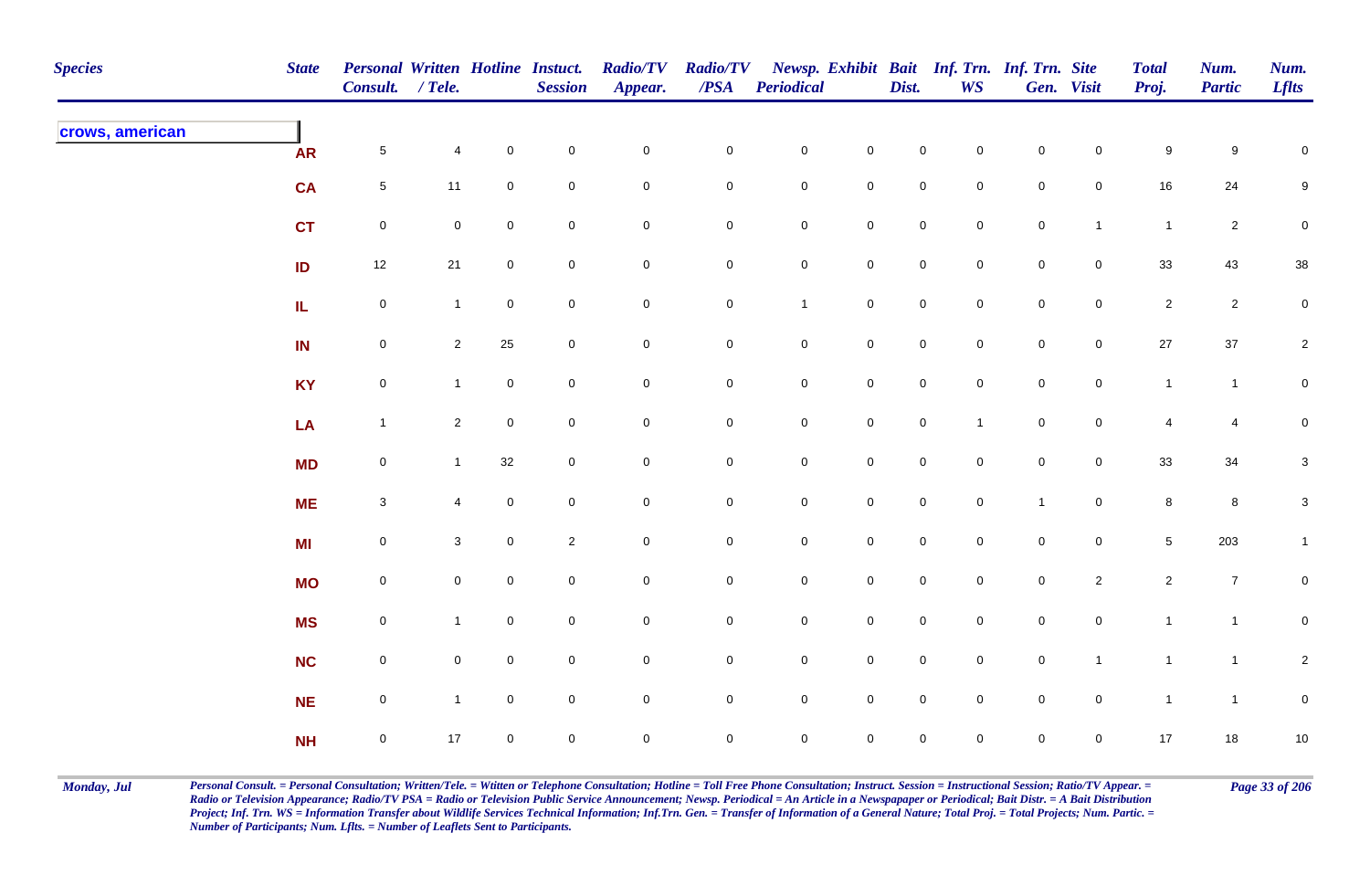| <b>Species</b>  | <b>State</b> | <b>Personal Written Hotline Instuct.</b><br>Consult. / Tele. |                |                     | <b>Session</b>      | <b>Radio/TV</b><br>Appear. | <b>Radio/TV</b><br>$\boldsymbol{PSA}$ | <b>Periodical</b>   |                     | Dist.               | <b>WS</b>           | Newsp. Exhibit Bait Inf. Trn. Inf. Trn. Site | Gen. Visit          | <b>Total</b><br>Proj. | Num.<br><b>Partic</b> | Num.<br><b>Lflts</b> |
|-----------------|--------------|--------------------------------------------------------------|----------------|---------------------|---------------------|----------------------------|---------------------------------------|---------------------|---------------------|---------------------|---------------------|----------------------------------------------|---------------------|-----------------------|-----------------------|----------------------|
| crows, american | <b>AR</b>    | $\sqrt{5}$                                                   | 4              | $\mathbf 0$         | $\pmb{0}$           | $\mathbf 0$                | $\mathsf{O}\xspace$                   | $\mathbf 0$         | $\mathsf{O}\xspace$ | $\mathbf 0$         | $\mathbf 0$         | $\mathbf 0$                                  | $\mathbf 0$         | $\boldsymbol{9}$      | $\boldsymbol{9}$      | $\mathbf 0$          |
|                 | <b>CA</b>    | $5\phantom{.0}$                                              | 11             | $\mathsf{O}\xspace$ | $\pmb{0}$           | $\mathsf{O}\xspace$        | $\mathbf 0$                           | $\mathbf 0$         | $\mathbf 0$         | $\pmb{0}$           | $\mathbf 0$         | $\mathbf 0$                                  | $\mathbf 0$         | $16\,$                | 24                    | $\boldsymbol{9}$     |
|                 | <b>CT</b>    | $\mathbf 0$                                                  | $\mathbf 0$    | $\mathsf{O}\xspace$ | $\mathbf 0$         | $\mathsf{O}\xspace$        | $\mathbf 0$                           | $\mathbf 0$         | $\mathsf{O}\xspace$ | $\mathsf{O}\xspace$ | $\mathsf{O}\xspace$ | $\mathbf 0$                                  | $\mathbf{1}$        | $\overline{1}$        | $\overline{2}$        | $\pmb{0}$            |
|                 | ID           | $12$                                                         | $21$           | $\mathbf 0$         | $\pmb{0}$           | $\pmb{0}$                  | $\mathsf{O}\xspace$                   | $\mathbf 0$         | $\mathbf 0$         | $\mathsf{O}\xspace$ | $\mathbf 0$         | $\mathbf 0$                                  | $\mathbf 0$         | $33\,$                | 43                    | $38\,$               |
|                 | IL.          | $\mathbf 0$                                                  | $\mathbf{1}$   | $\overline{0}$      | $\mathsf{O}\xspace$ | $\mathbf 0$                | $\mathsf{O}\xspace$                   | $\mathbf{1}$        | $\mathbf 0$         | $\mathbf 0$         | $\mathbf 0$         | $\mathsf{O}$                                 | $\overline{0}$      | $\overline{2}$        | $\overline{2}$        | $\mathbf 0$          |
|                 | IN           | $\mathbf 0$                                                  | $2^{\circ}$    | 25                  | $\mathbf 0$         | $\mathsf{O}\xspace$        | $\overline{0}$                        | $\mathbf 0$         | $\mathbf 0$         | $\mathbf 0$         | $\mathsf{O}\xspace$ | $\mathbf 0$                                  | $\mathsf{O}\xspace$ | 27                    | $37\,$                | $\overline{a}$       |
|                 | <b>KY</b>    | $\mathbf 0$                                                  | $\mathbf{1}$   | $\mathsf{O}\xspace$ | $\mathbf 0$         | $\mathsf{O}\xspace$        | $\mathsf{O}\xspace$                   | $\mathbf 0$         | $\mathsf 0$         | $\mathsf{O}\xspace$ | $\mathsf{O}\xspace$ | $\mathbf 0$                                  | $\mathbf 0$         | $\mathbf{1}$          | $\mathbf{1}$          | $\mathbf 0$          |
|                 | LA           | $\mathbf{1}$                                                 | $\overline{2}$ | $\mathbf 0$         | $\mathbf 0$         | $\mathsf{O}\xspace$        | $\mathbf 0$                           | $\mathbf 0$         | $\mathsf{O}\xspace$ | $\mathsf{O}\xspace$ | $\mathbf{1}$        | $\mathbf 0$                                  | $\mathbf 0$         | $\overline{4}$        | $\overline{4}$        | $\mathbf 0$          |
|                 | <b>MD</b>    | $\overline{0}$                                               | $\mathbf{1}$   | 32                  | $\mathbf 0$         | $\mathbf 0$                | $\mathbf 0$                           | $\overline{0}$      | $\mathbf 0$         | $\mathbf 0$         | $\mathbf 0$         | $\mathbf 0$                                  | $\mathbf 0$         | $33\,$                | 34                    | $\mathbf{3}$         |
|                 | <b>ME</b>    | $\mathbf{3}$                                                 | $\overline{4}$ | $\mathsf{O}\xspace$ | $\mathbf 0$         | $\mathbf 0$                | $\mathsf{O}\xspace$                   | $\mathbf 0$         | $\mathbf 0$         | $\mathsf{O}\xspace$ | $\mathbf 0$         | $\overline{1}$                               | $\mathbf 0$         | $\bf 8$               | $\bf8$                | $\mathbf{3}$         |
|                 | <b>MI</b>    | $\mathbf 0$                                                  | $\mathbf{3}$   | $\mathbf 0$         | $\sqrt{2}$          | $\pmb{0}$                  | $\mathbf 0$                           | $\mathbf 0$         | $\mathsf{O}\xspace$ | $\mathsf{O}\xspace$ | $\mathbf 0$         | $\mathbf 0$                                  | $\mathbf 0$         | $5\phantom{.0}$       | 203                   | $\mathbf{1}$         |
|                 | <b>MO</b>    | $\mathbf 0$                                                  | $\overline{0}$ | $\mathbf 0$         | $\pmb{0}$           | $\mathbf 0$                | $\mathsf{O}\xspace$                   | $\mathbf 0$         | $\mathbf 0$         | $\mathbf 0$         | $\overline{0}$      | $\mathsf{O}$                                 | $\overline{2}$      | $\mathbf{2}$          | $\overline{7}$        | $\mathbf 0$          |
|                 | <b>MS</b>    | $\mathbf 0$                                                  | $\mathbf{1}$   | $\mathbf 0$         | $\mathsf{O}\xspace$ | 0                          | $\mathsf{O}\xspace$                   | $\mathbf 0$         | $\mathbf 0$         | $\mathbf 0$         | $\mathbf 0$         | $\overline{0}$                               | $\mathbf 0$         | $\mathbf{1}$          | $\mathbf{1}$          | $\mathbf 0$          |
|                 | <b>NC</b>    | $\mathbf 0$                                                  | $\overline{0}$ | $\mathbf 0$         | $\mathbf 0$         | $\mathsf{O}\xspace$        | $\overline{0}$                        | $\mathbf 0$         | $\mathbf 0$         | $\mathbf 0$         | $\mathbf 0$         | $\mathsf{O}$                                 | $\mathbf{1}$        | $\mathbf{1}$          | $\overline{1}$        | $\overline{2}$       |
|                 | NE           | $\mathbf 0$                                                  | $\mathbf{1}$   | $\mathsf{O}\xspace$ | $\mathbf 0$         | $\mathsf{O}\xspace$        | $\mathsf{O}\xspace$                   | $\mathbf 0$         | $\mathsf 0$         | $\mathsf 0$         | $\mathsf{O}\xspace$ | $\mathbf 0$                                  | $\mathbf 0$         | $\mathbf{1}$          | $\mathbf{1}$          | $\pmb{0}$            |
|                 | <b>NH</b>    | $\mathbf 0$                                                  | 17             | $\mathbf 0$         | $\mathbf 0$         | 0                          | $\mathbf 0$                           | $\mathsf{O}\xspace$ | $\mathbf 0$         | $\mathsf{O}\xspace$ | $\mathbf 0$         | $\mathbf 0$                                  | $\mathbf 0$         | 17                    | 18                    | $10$                 |

Monday, Jul Personal Consult. = Personal Consultation; Written/Tele. = Witten or Telephone Consultation; Hotline = Toll Free Phone Consultation; Instruct. Session = Instructional Session; Ratio/TV Appear. = Page 33 of 206 *Radio or Television Appearance; Radio/TV PSA = Radio or Television Public Service Announcement; Newsp. Periodical = An Article in a Newspapaper or Periodical; Bait Distr. = A Bait Distribution*  Project; Inf. Trn. WS = Information Transfer about Wildlife Services Technical Information; Inf.Trn. Gen. = Transfer of Information of a General Nature; Total Proj. = Total Projects; Num. Partic. = *Number of Participants; Num. Lflts. = Number of Leaflets Sent to Participants.*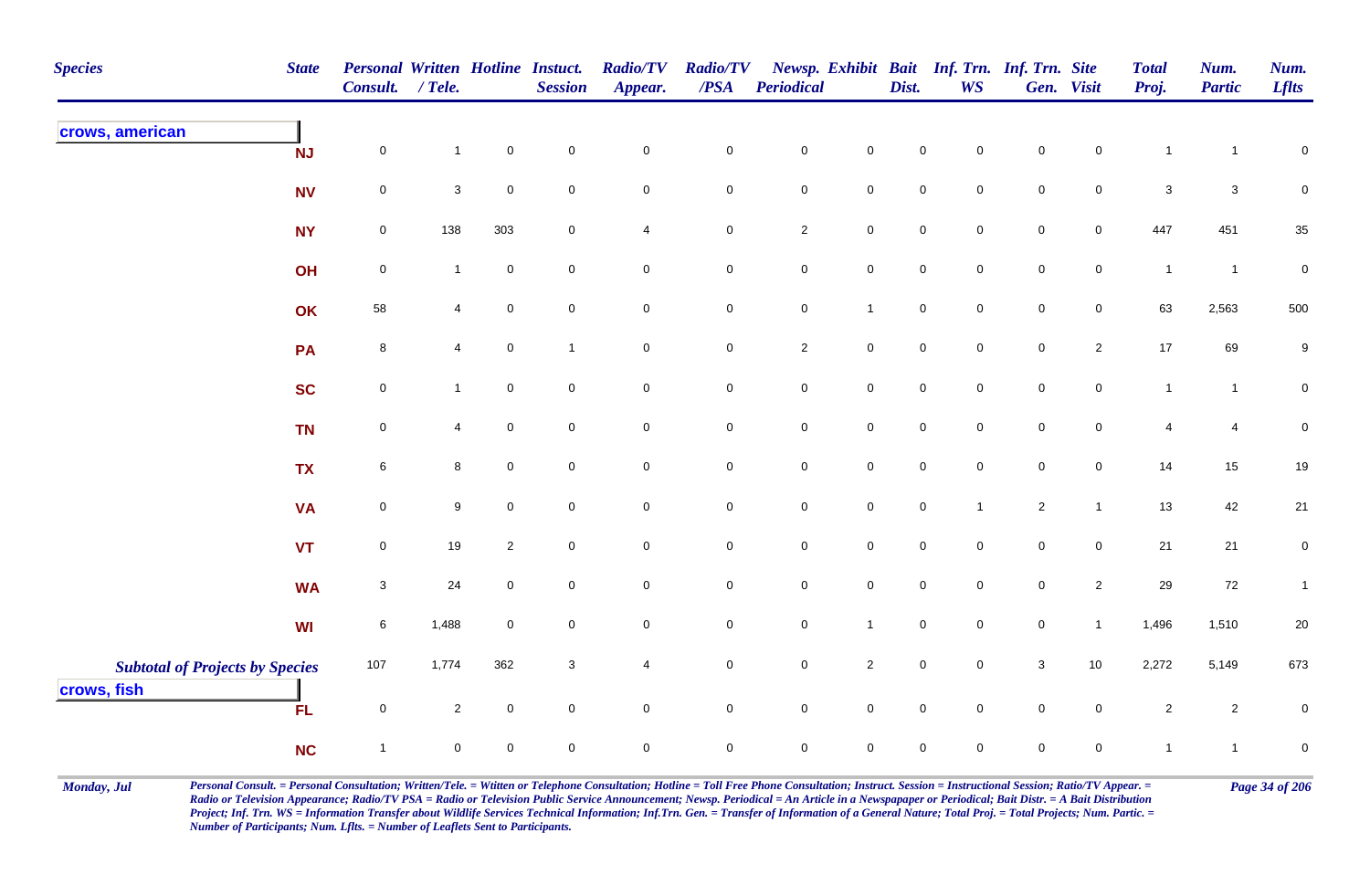| <b>Species</b>                                        | <b>State</b> | Personal Written Hotline Instuct.<br><b>Consult.</b> | $/$ Tele.      |                     | <b>Session</b>      | <b>Radio/TV</b><br>Appear. | <b>Radio/TV</b><br>$\overline{PSA}$ | <b>Periodical</b>   |                     | Dist.               | <b>WS</b>           | Newsp. Exhibit Bait Inf. Trn. Inf. Trn. Site | Gen. Visit          | <b>Total</b><br>Proj. | Num.<br><b>Partic</b> | Num.<br><b>Lflts</b> |
|-------------------------------------------------------|--------------|------------------------------------------------------|----------------|---------------------|---------------------|----------------------------|-------------------------------------|---------------------|---------------------|---------------------|---------------------|----------------------------------------------|---------------------|-----------------------|-----------------------|----------------------|
| crows, american                                       | <b>NJ</b>    | $\pmb{0}$                                            | $\mathbf{1}$   | $\pmb{0}$           | $\mathbf 0$         | $\mathbf 0$                | $\pmb{0}$                           | $\pmb{0}$           | $\mathsf{O}\xspace$ | $\pmb{0}$           | $\mathbf 0$         | $\pmb{0}$                                    | $\mathbf 0$         | $\mathbf{1}$          | $\overline{1}$        | $\pmb{0}$            |
|                                                       | <b>NV</b>    | $\mathbf 0$                                          | 3              | $\mathsf{O}\xspace$ | $\mathsf{O}\xspace$ | $\mathsf{O}\xspace$        | $\mathsf{O}\xspace$                 | $\pmb{0}$           | $\mathbf 0$         | $\mathbf 0$         | $\mathbf 0$         | $\pmb{0}$                                    | $\mathsf 0$         | $\sqrt{3}$            | $\mathbf{3}$          | $\mathbf 0$          |
|                                                       | <b>NY</b>    | $\mathbf 0$                                          | 138            | 303                 | $\mathbf 0$         | 4                          | $\mathbf 0$                         | $\sqrt{2}$          | $\mathbf 0$         | $\mathbf 0$         | $\mathbf 0$         | $\mathsf 0$                                  | $\overline{0}$      | 447                   | 451                   | 35                   |
|                                                       | OH           | $\mathbf 0$                                          | $\mathbf{1}$   | $\boldsymbol{0}$    | $\mathbf 0$         | $\overline{0}$             | $\mathbf 0$                         | $\pmb{0}$           | $\mathbf 0$         | $\mathbf 0$         | $\mathbf 0$         | $\mathsf 0$                                  | $\overline{0}$      | $\mathbf{1}$          | $\overline{1}$        | $\boldsymbol{0}$     |
|                                                       | OK           | 58                                                   | 4              | $\pmb{0}$           | $\mathbf 0$         | $\mathsf{O}\xspace$        | $\mathbf 0$                         | $\mathbf 0$         | $\mathbf{1}$        | $\mathbf 0$         | $\mathsf{O}\xspace$ | $\pmb{0}$                                    | $\mathsf{O}\xspace$ | 63                    | 2,563                 | 500                  |
|                                                       | PA           | 8                                                    | $\overline{4}$ | $\mathbf 0$         | $\mathbf{1}$        | $\mathsf{O}\xspace$        | $\mathbf 0$                         | $\sqrt{2}$          | $\overline{0}$      | $\mathsf{O}\xspace$ | $\mathbf 0$         | $\mathsf 0$                                  | $\overline{2}$      | $17$                  | 69                    | $\boldsymbol{9}$     |
|                                                       | <b>SC</b>    | $\mathbf 0$                                          | $\mathbf{1}$   | $\mathbf 0$         | $\mathbf 0$         | $\mathsf 0$                | $\mathbf 0$                         | $\pmb{0}$           | $\mathsf{O}\xspace$ | $\mathbf 0$         | $\mathbf 0$         | $\pmb{0}$                                    | $\mathsf{O}\xspace$ | $\mathbf{1}$          | $\mathbf{1}$          | $\pmb{0}$            |
|                                                       | <b>TN</b>    | $\mathsf 0$                                          | $\overline{4}$ | $\mathbf 0$         | $\mathbf 0$         | $\mathsf{O}\xspace$        | $\mathbf 0$                         | $\mathbf 0$         | $\overline{0}$      | $\mathbf 0$         | $\mathbf 0$         | $\mathbf 0$                                  | $\mathbf 0$         | $\overline{4}$        | 4                     | $\pmb{0}$            |
|                                                       | <b>TX</b>    | $\,6\,$                                              | 8              | $\pmb{0}$           | $\overline{0}$      | $\mathsf 0$                | $\mathbf 0$                         | $\mathbf 0$         | $\mathbf 0$         | $\mathbf 0$         | $\mathbf 0$         | $\pmb{0}$                                    | $\mathsf 0$         | 14                    | 15                    | $19$                 |
|                                                       | <b>VA</b>    | $\mathbf 0$                                          | 9              | $\mathbf 0$         | $\mathbf 0$         | $\mathbf 0$                | $\mathbf 0$                         | $\mathbf 0$         | $\mathsf{O}\xspace$ | $\mathbf 0$         | $\mathbf{1}$        | $\sqrt{2}$                                   | $\mathbf{1}$        | 13                    | 42                    | 21                   |
|                                                       | <b>VT</b>    | $\mathbf 0$                                          | 19             | $\overline{2}$      | $\overline{0}$      | $\mathsf{O}\xspace$        | $\mathbf 0$                         | $\mathbf 0$         | $\mathsf{O}\xspace$ | $\mathbf 0$         | $\overline{0}$      | $\mathbf 0$                                  | $\mathsf{O}\xspace$ | 21                    | 21                    | $\overline{0}$       |
|                                                       | <b>WA</b>    | $\mathbf{3}$                                         | 24             | $\mathbf 0$         | $\mathbf 0$         | $\mathsf{O}\xspace$        | $\mathbf 0$                         | $\mathsf{O}\xspace$ | $\mathbf 0$         | $\mathbf 0$         | $\mathbf 0$         | $\mathsf 0$                                  | $\overline{2}$      | $29\,$                | 72                    | $\mathbf{1}$         |
|                                                       | WI           | $\,6\,$                                              | 1,488          | $\mathbf 0$         | $\mathsf{O}\xspace$ | $\mathsf{O}\xspace$        | $\mathsf{O}\xspace$                 | $\mathbf 0$         | $\mathbf{1}$        | $\mathbf 0$         | $\mathsf{O}\xspace$ | $\pmb{0}$                                    | $\mathbf{1}$        | 1,496                 | 1,510                 | $20\,$               |
| <b>Subtotal of Projects by Species</b><br>crows, fish |              | 107                                                  | 1,774          | 362                 | $\mathbf{3}$        | $\overline{\mathbf{4}}$    | ${\bf 0}$                           | $\pmb{0}$           | $\overline{2}$      | $\mathbf 0$         | $\mathbf 0$         | $\ensuremath{\mathsf{3}}$                    | 10                  | 2,272                 | 5,149                 | 673                  |
|                                                       | <b>FL</b>    | $\mathbf 0$                                          | $\overline{2}$ | $\pmb{0}$           | $\mathsf{O}\xspace$ | $\mathsf{O}\xspace$        | $\mathbf 0$                         | $\mathbf 0$         | $\overline{0}$      | $\mathbf 0$         | $\mathbf 0$         | $\pmb{0}$                                    | $\mathbf 0$         | $\sqrt{2}$            | $\overline{2}$        | $\pmb{0}$            |
|                                                       | <b>NC</b>    | $\overline{1}$                                       | $\mathbf 0$    | $\mathbf 0$         | $\mathbf 0$         | $\mathbf 0$                | $\mathbf 0$                         | $\mathsf{O}\xspace$ | $\mathbf 0$         | $\mathbf 0$         | $\mathbf 0$         | $\mathbf 0$                                  | $\mathbf 0$         | $\mathbf{1}$          | $\mathbf{1}$          | $\pmb{0}$            |

Monday, Jul Personal Consult. = Personal Consultation; Written/Tele. = Witten or Telephone Consultation; Hotline = Toll Free Phone Consultation; Instruct. Session = Instructional Session; Ratio/TV Appear. = Page 34 of 206 *Radio or Television Appearance; Radio/TV PSA = Radio or Television Public Service Announcement; Newsp. Periodical = An Article in a Newspapaper or Periodical; Bait Distr. = A Bait Distribution*  Project; Inf. Trn. WS = Information Transfer about Wildlife Services Technical Information; Inf.Trn. Gen. = Transfer of Information of a General Nature; Total Proj. = Total Projects; Num. Partic. = *Number of Participants; Num. Lflts. = Number of Leaflets Sent to Participants.*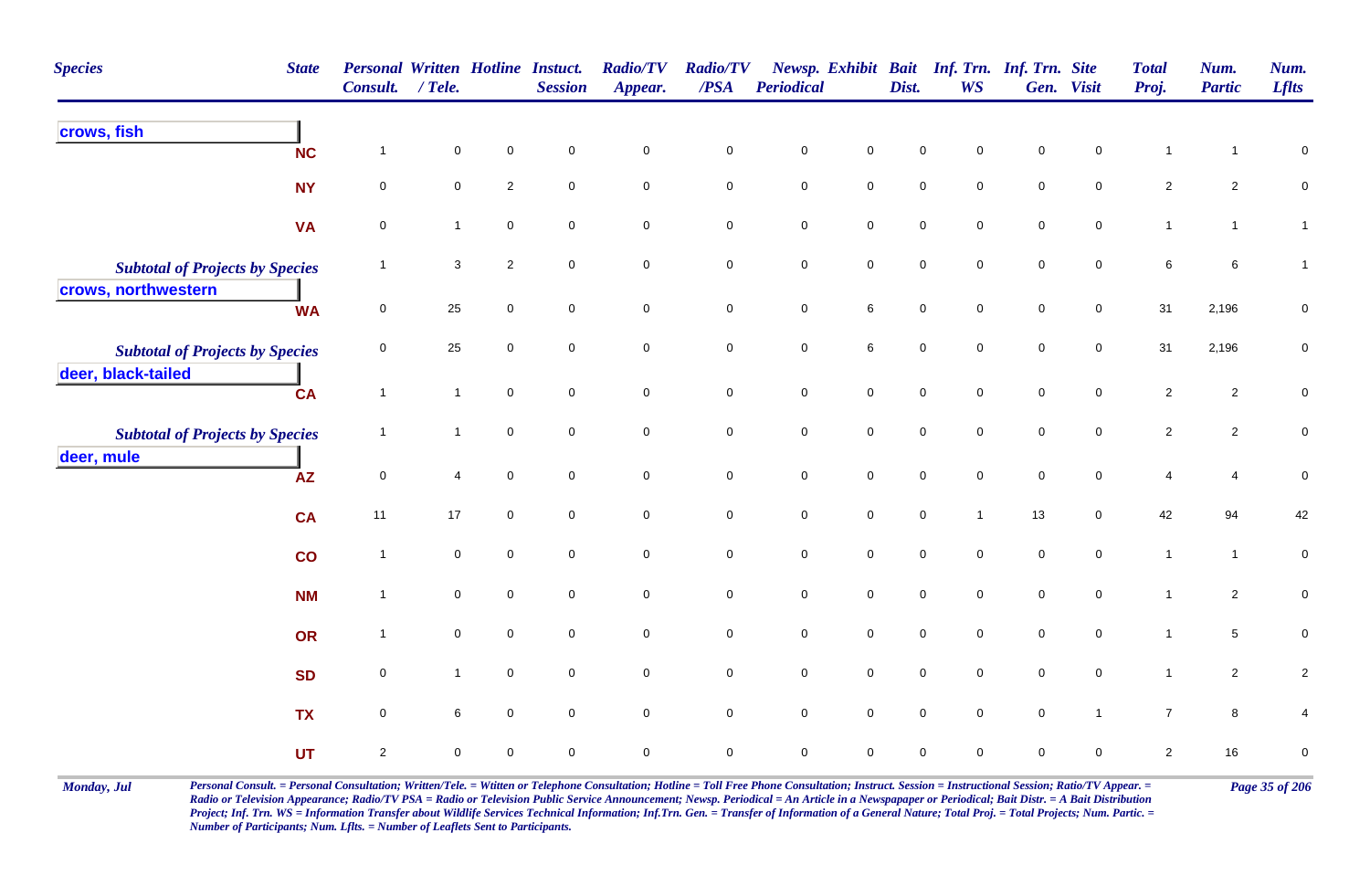| <b>Species</b><br><b>State</b>                                | <b>Personal Written Hotline Instuct.</b><br>Consult. / Tele. |                |             | <b>Session</b>      | <b>Radio/TV</b><br>Appear. | <b>Radio/TV</b><br>$\boldsymbol{PSA}$ | Periodical          |                     | Dist.               | Newsp. Exhibit Bait Inf. Trn. Inf. Trn. Site<br><b>WS</b> |                     | Gen. Visit          | <b>Total</b><br>Proj. | Num.<br><b>Partic</b> | Num.<br><b>Lflts</b> |
|---------------------------------------------------------------|--------------------------------------------------------------|----------------|-------------|---------------------|----------------------------|---------------------------------------|---------------------|---------------------|---------------------|-----------------------------------------------------------|---------------------|---------------------|-----------------------|-----------------------|----------------------|
| crows, fish<br><b>NC</b>                                      | $\overline{1}$                                               | 0              | $\mathbf 0$ | $\mathbf 0$         | $\mathsf 0$                | $\mathbf 0$                           | $\mathbf 0$         | $\pmb{0}$           | 0                   | $\mathbf 0$                                               | $\mathbf 0$         | $\mathbf 0$         | $\mathbf{1}$          | $\mathbf{1}$          | $\mathbf 0$          |
| <b>NY</b>                                                     | $\mathbf 0$                                                  | 0              | $\sqrt{2}$  | $\mathsf{O}\xspace$ | $\pmb{0}$                  | $\pmb{0}$                             | $\mathbf 0$         | $\mathsf{O}\xspace$ | $\mathsf{O}\xspace$ | $\mathbf 0$                                               | $\mathsf{O}\xspace$ | $\mathsf{O}\xspace$ | $\overline{2}$        | $\overline{2}$        | $\mathbf 0$          |
| <b>VA</b>                                                     | $\mathsf 0$                                                  | $\mathbf{1}$   | $\mathbf 0$ | $\mathbf 0$         | $\pmb{0}$                  | $\mathsf 0$                           | $\mathbf 0$         | $\mathbf 0$         | $\mathsf{O}\xspace$ | $\Omega$                                                  | $\mathbf 0$         | $\mathbf 0$         | $\mathbf{1}$          | $\mathbf{1}$          | $\mathbf{1}$         |
| <b>Subtotal of Projects by Species</b><br>crows, northwestern | $\mathbf 1$                                                  | 3              | $\sqrt{2}$  | $\mathbf 0$         | $\mathbf 0$                | $\mathbf 0$                           | $\mathbf 0$         | $\mathbf 0$         | 0                   | $\mathbf 0$                                               | $\mathbf 0$         | $\mathbf 0$         | 6                     | 6                     | $\mathbf{1}$         |
| <b>WA</b>                                                     | $\mathbf 0$                                                  | 25             | $\mathbf 0$ | $\mathbf 0$         | $\mathbf 0$                | $\mathsf 0$                           | $\mathbf 0$         | $\,6\,$             | $\mathbf 0$         | $\mathbf 0$                                               | $\mathbf 0$         | $\mathbf 0$         | 31                    | 2,196                 | 0                    |
| <b>Subtotal of Projects by Species</b><br>deer, black-tailed  | $\mathsf 0$                                                  | 25             | $\mathbf 0$ | $\mathbf 0$         | $\pmb{0}$                  | $\pmb{0}$                             | $\mathbf 0$         | $\,6\,$             | $\mathsf{O}\xspace$ | $\mathbf 0$                                               | $\mathbf 0$         | $\mathbf 0$         | 31                    | 2,196                 | $\pmb{0}$            |
| <b>CA</b>                                                     | $\mathbf{1}$                                                 | $\mathbf{1}$   | $\mathbf 0$ | $\mathsf{O}\xspace$ | $\mathbf 0$                | $\pmb{0}$                             | $\mathsf{O}\xspace$ | $\mathbf 0$         | $\mathbf 0$         | $\mathsf{O}\xspace$                                       | $\mathbf 0$         | $\mathsf{O}\xspace$ | $\overline{2}$        | $\overline{2}$        | $\pmb{0}$            |
| <b>Subtotal of Projects by Species</b><br>deer, mule          | $\mathbf{1}$                                                 | $\mathbf{1}$   | $\pmb{0}$   | $\mathbf 0$         | $\mathbf 0$                | $\pmb{0}$                             | $\pmb{0}$           | $\mathsf{O}\xspace$ | $\mathsf{O}\xspace$ | $\mathbf 0$                                               | $\mathbf 0$         | $\mathbf 0$         | $\overline{2}$        | $\overline{2}$        | ${\bf 0}$            |
| <b>AZ</b>                                                     | $\mathsf 0$                                                  | $\overline{4}$ | $\mathbf 0$ | $\mathsf{O}\xspace$ | $\pmb{0}$                  | $\pmb{0}$                             | $\mathbf 0$         | $\mathsf{O}\xspace$ | $\mathsf{O}\xspace$ | $\mathsf{O}\xspace$                                       | $\mathsf{O}\xspace$ | $\mathsf{O}\xspace$ | 4                     | $\overline{4}$        | $\pmb{0}$            |
| <b>CA</b>                                                     | 11                                                           | 17             | $\mathbf 0$ | $\mathbf 0$         | $\mathbf 0$                | $\pmb{0}$                             | $\mathbf 0$         | $\mathbf 0$         | $\mathbf 0$         | $\mathbf{1}$                                              | 13                  | $\mathbf 0$         | 42                    | 94                    | 42                   |
| co                                                            | $\mathbf{1}$                                                 | 0              | $\mathbf 0$ | $\mathbf 0$         | $\mathbf 0$                | $\pmb{0}$                             | $\pmb{0}$           | $\mathbf 0$         | $\mathsf{O}\xspace$ | $\mathsf{O}\xspace$                                       | $\pmb{0}$           | $\mathbf 0$         | $\mathbf{1}$          | $\mathbf{1}$          | $\pmb{0}$            |
| <b>NM</b>                                                     | $\mathbf{1}$                                                 | 0              | $\mathbf 0$ | $\mathbf 0$         | $\mathbf 0$                | $\mathbf 0$                           | $\mathbf 0$         | $\mathbf 0$         | $\overline{0}$      | $\mathbf 0$                                               | $\overline{0}$      | $\overline{0}$      | $\mathbf{1}$          | $\overline{2}$        | $\pmb{0}$            |
| OR                                                            | $\mathbf{1}$                                                 | 0              | $\mathbf 0$ | $\mathbf 0$         | $\mathbf 0$                | $\pmb{0}$                             | $\mathbf 0$         | $\mathsf{O}\xspace$ | $\mathsf{O}\xspace$ | $\mathbf 0$                                               | $\mathsf{O}\xspace$ | $\mathbf 0$         | $\mathbf{1}$          | $5\phantom{.0}$       | $\pmb{0}$            |
| <b>SD</b>                                                     | $\mathsf 0$                                                  | $\mathbf{1}$   | $\mathbf 0$ | $\mathbf 0$         | $\mathsf{O}\xspace$        | $\mathsf 0$                           | $\mathsf{O}\xspace$ | $\mathsf{O}\xspace$ | $\mathbf 0$         | $\mathbf 0$                                               | $\mathsf{O}\xspace$ | $\mathbf 0$         | $\mathbf{1}$          | $\overline{2}$        | $\overline{a}$       |
| <b>TX</b>                                                     | $\mathsf 0$                                                  | 6              | $\mathbf 0$ | $\mathsf{O}\xspace$ | $\mathbf 0$                | $\mathsf{O}\xspace$                   | $\mathsf{O}\xspace$ | $\mathbf 0$         | $\mathsf{O}\xspace$ | $\mathsf{O}\xspace$                                       | $\mathsf{O}\xspace$ | $\overline{1}$      | $\overline{7}$        | $\bf{8}$              | 4                    |
| <b>UT</b>                                                     | $\sqrt{2}$                                                   | 0              | $\mathbf 0$ | $\mathbf 0$         | $\mathbf 0$                | $\mathbf 0$                           | $\mathbf 0$         | $\mathbf 0$         | 0                   | $\mathbf 0$                                               | 0                   | $\mathbf 0$         | $\overline{2}$        | 16                    | $\pmb{0}$            |

Monday, Jul Personal Consult. = Personal Consultation; Written/Tele. = Witten or Telephone Consultation; Hotline = Toll Free Phone Consultation; Instruct. Session = Instructional Session; Ratio/TV Appear. = Page 35 of 206 *Radio or Television Appearance; Radio/TV PSA = Radio or Television Public Service Announcement; Newsp. Periodical = An Article in a Newspapaper or Periodical; Bait Distr. = A Bait Distribution*  Project; Inf. Trn. WS = Information Transfer about Wildlife Services Technical Information; Inf.Trn. Gen. = Transfer of Information of a General Nature; Total Proj. = Total Projects; Num. Partic. = *Number of Participants; Num. Lflts. = Number of Leaflets Sent to Participants.*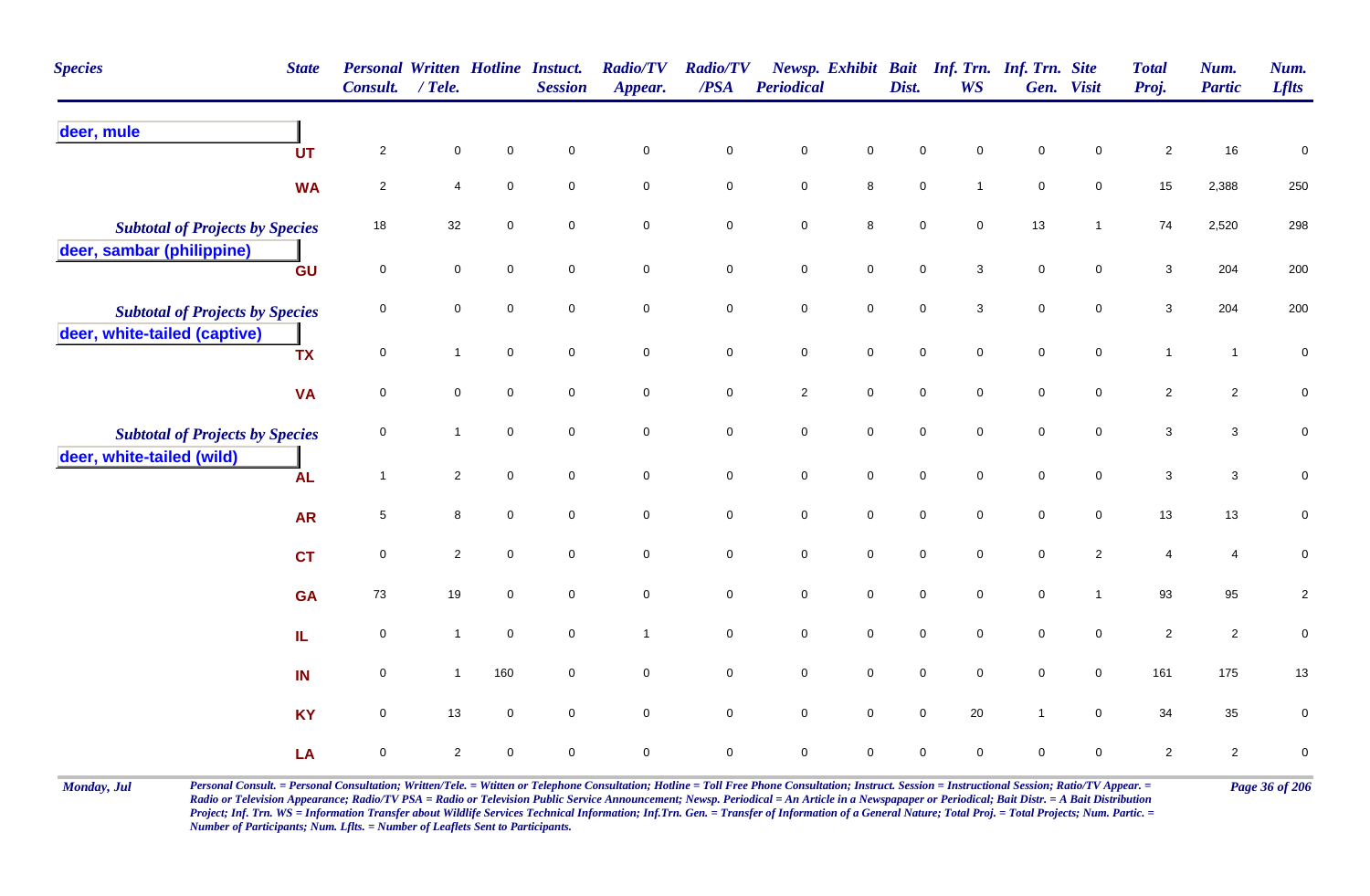| <b>Species</b>                         | <b>State</b> | <b>Personal Written Hotline Instuct.</b><br>Consult. | $/$ Tele.      |             | <b>Session</b>      | <b>Radio/TV</b><br>Appear. | <b>Radio/TV</b><br>$\overline{PSA}$ | <b>Periodical</b>   |                     | Dist.               | <b>WS</b>           | Newsp. Exhibit Bait Inf. Trn. Inf. Trn. Site | Gen. Visit          | <b>Total</b><br>Proj. | Num.<br><b>Partic</b>   | Num.<br><b>Lflts</b> |
|----------------------------------------|--------------|------------------------------------------------------|----------------|-------------|---------------------|----------------------------|-------------------------------------|---------------------|---------------------|---------------------|---------------------|----------------------------------------------|---------------------|-----------------------|-------------------------|----------------------|
| deer, mule                             | <b>UT</b>    | $\overline{2}$                                       | $\mathbf 0$    | $\mathbf 0$ | $\mathsf 0$         | $\mathsf 0$                | $\pmb{0}$                           | $\pmb{0}$           | $\mathsf 0$         | 0                   | $\Omega$            | 0                                            | $\mathbf 0$         | $\overline{2}$        | 16                      | 0                    |
|                                        | <b>WA</b>    | $\overline{2}$                                       | $\overline{4}$ | $\mathbf 0$ | $\mathbf 0$         | $\mathbf 0$                | $\mathsf 0$                         | $\mathbf 0$         | $\bf8$              | $\mathbf 0$         | $\overline{1}$      | $\mathbf 0$                                  | $\mathbf 0$         | 15                    | 2,388                   | $250\,$              |
| <b>Subtotal of Projects by Species</b> |              | 18                                                   | 32             | $\pmb{0}$   | $\mathbf 0$         | $\mathbf 0$                | $\pmb{0}$                           | $\mathsf{O}\xspace$ | $\, 8$              | $\mathsf{O}\xspace$ | $\mathbf 0$         | 13                                           | $\overline{1}$      | 74                    | 2,520                   | 298                  |
| deer, sambar (philippine)              | GU           | $\pmb{0}$                                            | 0              | $\mathbf 0$ | $\mathbf 0$         | $\mathbf 0$                | $\mathbf 0$                         | ${\bf 0}$           | $\mathbf 0$         | 0                   | 3                   | $\mathbf 0$                                  | $\mathbf 0$         | $\mathbf{3}$          | 204                     | 200                  |
| <b>Subtotal of Projects by Species</b> |              | $\pmb{0}$                                            | 0              | $\pmb{0}$   | $\mathsf 0$         | $\mathbf 0$                | $\mathsf 0$                         | $\mathbf 0$         | $\mathbf 0$         | $\mathsf{O}\xspace$ | $\mathbf{3}$        | $\mathbf 0$                                  | $\mathbf 0$         | $\mathbf{3}$          | 204                     | 200                  |
| deer, white-tailed (captive)           | <b>TX</b>    | $\pmb{0}$                                            | $\mathbf{1}$   | $\mathbf 0$ | $\mathbf 0$         | $\mathbf 0$                | $\pmb{0}$                           | $\mathbf 0$         | $\mathsf 0$         | $\mathsf{O}\xspace$ | $\mathsf{O}\xspace$ | $\mathbf 0$                                  | $\mathbf 0$         | $\mathbf{1}$          | $\mathbf{1}$            | $\pmb{0}$            |
|                                        | <b>VA</b>    | $\pmb{0}$                                            | $\mathbf 0$    | $\mathbf 0$ | $\mathbf 0$         | $\mathsf{O}\xspace$        | $\mathbf 0$                         | $\overline{c}$      | $\mathsf{O}\xspace$ | $\mathsf{O}\xspace$ | $\mathbf 0$         | $\mathbf 0$                                  | $\mathbf 0$         | $\overline{2}$        | $\overline{2}$          | $\pmb{0}$            |
| <b>Subtotal of Projects by Species</b> |              | 0                                                    | $\mathbf{1}$   | $\mathbf 0$ | $\mathbf 0$         | $\overline{0}$             | $\mathbf 0$                         | $\mathbf 0$         | $\overline{0}$      | 0                   | $\mathbf 0$         | $\mathbf 0$                                  | $\mathbf 0$         | 3                     | $\mathbf{3}$            | 0                    |
| deer, white-tailed (wild)              | <b>AL</b>    | $\mathbf{1}$                                         | $\overline{2}$ | $\pmb{0}$   | $\mathbf 0$         | $\mathbf 0$                | $\mathsf 0$                         | $\pmb{0}$           | $\mathbf 0$         | $\mathbf 0$         | $\mathbf 0$         | $\mathsf{O}\xspace$                          | $\mathsf{O}\xspace$ | $\mathbf{3}$          | $\mathbf{3}$            | $\pmb{0}$            |
|                                        | <b>AR</b>    | $\sqrt{5}$                                           | 8              | $\pmb{0}$   | $\mathbf 0$         | $\mathsf{O}\xspace$        | $\pmb{0}$                           | $\mathbf 0$         | $\mathsf{O}$        | $\mathsf{O}\xspace$ | $\mathsf{O}\xspace$ | $\mathbf 0$                                  | $\mathsf{O}\xspace$ | 13                    | 13                      | $\pmb{0}$            |
|                                        | <b>CT</b>    | $\pmb{0}$                                            | $\overline{2}$ | $\mathbf 0$ | $\pmb{0}$           | $\mathbf 0$                | $\mathbf 0$                         | $\pmb{0}$           | $\mathbf 0$         | $\mathsf{O}\xspace$ | $\mathbf 0$         | $\mathbf 0$                                  | $\overline{2}$      | $\overline{4}$        | $\overline{\mathbf{4}}$ | 0                    |
|                                        | <b>GA</b>    | 73                                                   | 19             | $\mathbf 0$ | $\mathbf 0$         | $\mathbf 0$                | $\mathbf 0$                         | $\mathbf 0$         | $\mathbf 0$         | $\mathsf{O}\xspace$ | $\mathsf{O}\xspace$ | $\mathsf{O}\xspace$                          | $\overline{1}$      | 93                    | 95                      | $\overline{c}$       |
|                                        | IL.          | $\pmb{0}$                                            | $\mathbf{1}$   | $\mathbf 0$ | $\mathsf 0$         | $\mathbf{1}$               | $\pmb{0}$                           | $\mathbf 0$         | $\mathbf 0$         | $\mathsf{O}\xspace$ | $\mathbf 0$         | $\mathbf 0$                                  | $\mathbf 0$         | $\overline{2}$        | $\overline{2}$          | 0                    |
|                                        | IN           | $\mathbf 0$                                          | $\mathbf{1}$   | 160         | $\mathbf 0$         | $\overline{0}$             | $\mathsf 0$                         | $\mathsf{O}\xspace$ | $\mathbf 0$         | $\mathsf{O}\xspace$ | $\mathbf 0$         | $\mathsf{O}\xspace$                          | $\mathbf 0$         | 161                   | 175                     | $13$                 |
|                                        | <b>KY</b>    | $\mathbf 0$                                          | 13             | $\pmb{0}$   | $\mathsf{O}\xspace$ | $\mathsf{O}\xspace$        | $\mathbf 0$                         | $\mathbf 0$         | $\mathsf 0$         | $\mathsf{O}\xspace$ | $20\,$              | $\mathbf{1}$                                 | $\mathsf{O}\xspace$ | 34                    | 35                      | $\pmb{0}$            |
|                                        | LA           | $\mathbf 0$                                          | $\overline{c}$ | $\mathbf 0$ | 0                   | $\mathbf 0$                | $\mathbf 0$                         | 0                   | $\mathbf 0$         | 0                   | $\mathbf 0$         | 0                                            | $\mathbf 0$         | $\overline{c}$        | $\overline{2}$          | $\pmb{0}$            |

Monday, Jul Personal Consult. = Personal Consultation; Written/Tele. = Witten or Telephone Consultation; Hotline = Toll Free Phone Consultation; Instruct. Session = Instructional Session; Ratio/TV Appear. = Page 36 of 206 *Radio or Television Appearance; Radio/TV PSA = Radio or Television Public Service Announcement; Newsp. Periodical = An Article in a Newspapaper or Periodical; Bait Distr. = A Bait Distribution*  Project; Inf. Trn. WS = Information Transfer about Wildlife Services Technical Information; Inf.Trn. Gen. = Transfer of Information of a General Nature; Total Proj. = Total Projects; Num. Partic. = *Number of Participants; Num. Lflts. = Number of Leaflets Sent to Participants.*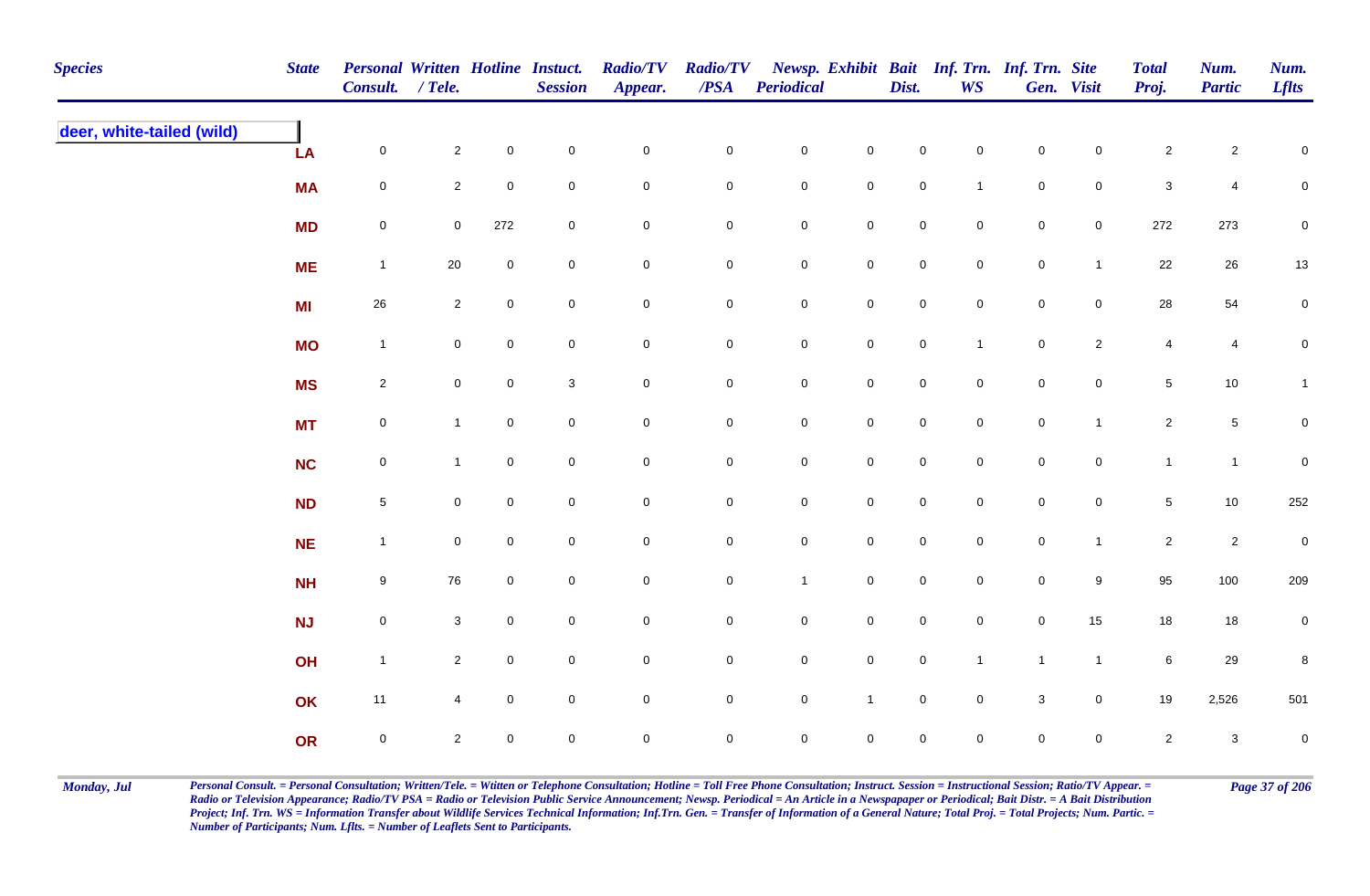| <b>Species</b>            | <b>State</b> | Personal Written Hotline Instuct.<br>Consult. / Tele. |                |              | <b>Session</b> | <b>Radio/TV</b><br>Appear. | <b>Radio/TV</b><br>$\overline{PSA}$ | <b>Periodical</b>   |                     | Dist.               | <b>WS</b>           | Newsp. Exhibit Bait Inf. Trn. Inf. Trn. Site | Gen. Visit          | <b>Total</b><br>Proj. | Num.<br><b>Partic</b> | Num.<br><b>Lflts</b> |
|---------------------------|--------------|-------------------------------------------------------|----------------|--------------|----------------|----------------------------|-------------------------------------|---------------------|---------------------|---------------------|---------------------|----------------------------------------------|---------------------|-----------------------|-----------------------|----------------------|
| deer, white-tailed (wild) | LA           | $\mathsf{O}\xspace$                                   | $\overline{2}$ | $\mathbf 0$  | $\pmb{0}$      | $\mathbf 0$                | $\pmb{0}$                           | $\mathbf 0$         | $\mathsf{O}\xspace$ | $\mathbf 0$         | $\mathbf 0$         | $\mathsf{O}\xspace$                          | $\mathbf 0$         | $\sqrt{2}$            | $\overline{c}$        | $\mathsf 0$          |
|                           | <b>MA</b>    | $\mathbf 0$                                           | $\overline{2}$ | $\mathbf 0$  | $\mathbf 0$    | $\mathbf 0$                | $\pmb{0}$                           | $\mathbf 0$         | $\mathbf 0$         | $\mathbf 0$         | $\mathbf{1}$        | $\mathbf 0$                                  | $\mathbf 0$         | $\sqrt{3}$            | 4                     | $\pmb{0}$            |
|                           | <b>MD</b>    | $\mathsf{O}\xspace$                                   | $\overline{0}$ | 272          | $\mathsf 0$    | $\mathbf 0$                | $\pmb{0}$                           | $\mathbf 0$         | $\mathbf 0$         | $\mathsf{O}\xspace$ | $\overline{0}$      | $\mathbf 0$                                  | $\mathsf{O}\xspace$ | 272                   | 273                   | $\mathbf 0$          |
|                           | <b>ME</b>    | $\mathbf{1}$                                          | $20\,$         | $\mathbf 0$  | $\mathsf 0$    | $\mathbf 0$                | $\mathbf 0$                         | $\mathbf 0$         | $\mathbf 0$         | $\mathsf{O}\xspace$ | $\overline{0}$      | $\mathbf 0$                                  | $\mathbf{1}$        | 22                    | 26                    | $13\,$               |
|                           | <b>MI</b>    | 26                                                    | $\overline{2}$ | $\mathbf 0$  | $\pmb{0}$      | $\mathsf{O}\xspace$        | $\pmb{0}$                           | $\mathbf 0$         | $\mathsf{O}\xspace$ | $\mathsf{O}\xspace$ | $\mathsf{O}\xspace$ | $\mathbf 0$                                  | $\mathsf{O}$        | 28                    | 54                    | $\mathsf{O}\xspace$  |
|                           | <b>MO</b>    | $\mathbf{1}$                                          | $\mathbf 0$    | $\mathbf 0$  | $\mathbf 0$    | $\mathbf 0$                | $\mathbf 0$                         | $\mathbf 0$         | $\mathbf 0$         | $\mathbf 0$         | $\mathbf{1}$        | $\mathbf 0$                                  | $\overline{2}$      | $\overline{4}$        | $\overline{4}$        | $\mathbf 0$          |
|                           | <b>MS</b>    | $\overline{2}$                                        | $\overline{0}$ | $\mathbf 0$  | $\mathbf 3$    | $\mathsf{O}\xspace$        | $\pmb{0}$                           | $\mathbf 0$         | $\mathsf{O}\xspace$ | $\mathsf{O}\xspace$ | $\mathbf 0$         | $\mathbf 0$                                  | $\mathbf 0$         | $\sqrt{5}$            | 10                    | $\mathbf{1}$         |
|                           | <b>MT</b>    | $\mathsf{O}\xspace$                                   | $\mathbf{1}$   | $\mathbf 0$  | $\mathbf 0$    | $\mathsf{O}\xspace$        | $\mathbf 0$                         | $\mathbf 0$         | $\mathbf 0$         | $\mathsf{O}\xspace$ | $\mathbf 0$         | $\mathbf 0$                                  | $\mathbf{1}$        | $\overline{2}$        | $5\,$                 | $\mathbf 0$          |
|                           | <b>NC</b>    | $\mathsf{O}\xspace$                                   | $\mathbf{1}$   | $\mathbf 0$  | $\pmb{0}$      | $\mathsf{O}\xspace$        | $\mathbf 0$                         | $\mathbf 0$         | $\mathsf{O}\xspace$ | $\mathsf{O}\xspace$ | $\mathbf 0$         | $\mathbf 0$                                  | $\mathbf 0$         | $\mathbf{1}$          | $\mathbf{1}$          | $\mathbf 0$          |
|                           | <b>ND</b>    | $5\phantom{.0}$                                       | $\mathbf 0$    | $\mathbf 0$  | $\mathbf 0$    | $\mathbf 0$                | $\pmb{0}$                           | $\mathbf 0$         | $\mathbf 0$         | $\mathbf 0$         | $\mathbf 0$         | $\mathbf 0$                                  | $\mathbf 0$         | $\overline{5}$        | 10                    | 252                  |
|                           | <b>NE</b>    | $\mathbf{1}$                                          | $\mathbf 0$    | $\mathbf 0$  | $\pmb{0}$      | $\mathbf 0$                | $\pmb{0}$                           | $\mathbf 0$         | $\mathsf{O}\xspace$ | $\mathsf{O}\xspace$ | $\mathbf 0$         | $\mathbf 0$                                  | $\mathbf{1}$        | $\overline{2}$        | $\overline{2}$        | $\pmb{0}$            |
|                           | <b>NH</b>    | 9                                                     | 76             | $\mathbf 0$  | $\pmb{0}$      | $\mathsf{O}\xspace$        | $\mathbf 0$                         | $\mathbf{1}$        | $\mathsf{O}\xspace$ | $\mathsf{O}\xspace$ | $\overline{0}$      | $\mathbf 0$                                  | $9\,$               | 95                    | 100                   | 209                  |
|                           | <b>NJ</b>    | $\mathbf 0$                                           | $\mathbf{3}$   | $\mathbf 0$  | $\pmb{0}$      | $\mathbf 0$                | $\pmb{0}$                           | $\mathbf 0$         | $\mathbf 0$         | $\mathbf 0$         | $\mathbf 0$         | $\mathbf 0$                                  | 15                  | 18                    | 18                    | $\mathbf 0$          |
|                           | OH           | $\overline{1}$                                        | $\overline{2}$ | $\mathbf 0$  | $\pmb{0}$      | $\mathbf 0$                | 0                                   | $\overline{0}$      | $\mathsf{O}\xspace$ | $\mathbf 0$         | $\mathbf{1}$        | $\overline{1}$                               | $\mathbf{1}$        | 6                     | 29                    | $\bf8$               |
|                           | OK           | 11                                                    | 4              | $\mathsf{O}$ | $\pmb{0}$      | $\mathsf{O}\xspace$        | $\mathbf 0$                         | $\mathbf 0$         | $\mathbf{1}$        | $\mathsf{O}\xspace$ | $\mathbf 0$         | $\mathbf 3$                                  | $\mathbf 0$         | 19                    | 2,526                 | 501                  |
|                           | OR           | $\mathbf 0$                                           | $\overline{2}$ | $\mathsf{O}$ | $\pmb{0}$      | $\mathsf{O}\xspace$        | $\mathbf 0$                         | $\mathsf{O}\xspace$ | $\mathsf{O}\xspace$ | $\mathbf 0$         | $\mathbf 0$         | $\mathsf{O}\xspace$                          | $\mathbf 0$         | $\overline{2}$        | $\mathbf{3}$          | $\pmb{0}$            |

Monday, Jul Personal Consult. = Personal Consultation; Written/Tele. = Witten or Telephone Consultation; Hotline = Toll Free Phone Consultation; Instruct. Session = Instructional Session; Ratio/TV Appear. = Page 37 of 206 *Radio or Television Appearance; Radio/TV PSA = Radio or Television Public Service Announcement; Newsp. Periodical = An Article in a Newspapaper or Periodical; Bait Distr. = A Bait Distribution*  Project; Inf. Trn. WS = Information Transfer about Wildlife Services Technical Information; Inf.Trn. Gen. = Transfer of Information of a General Nature; Total Proj. = Total Projects; Num. Partic. = *Number of Participants; Num. Lflts. = Number of Leaflets Sent to Participants.*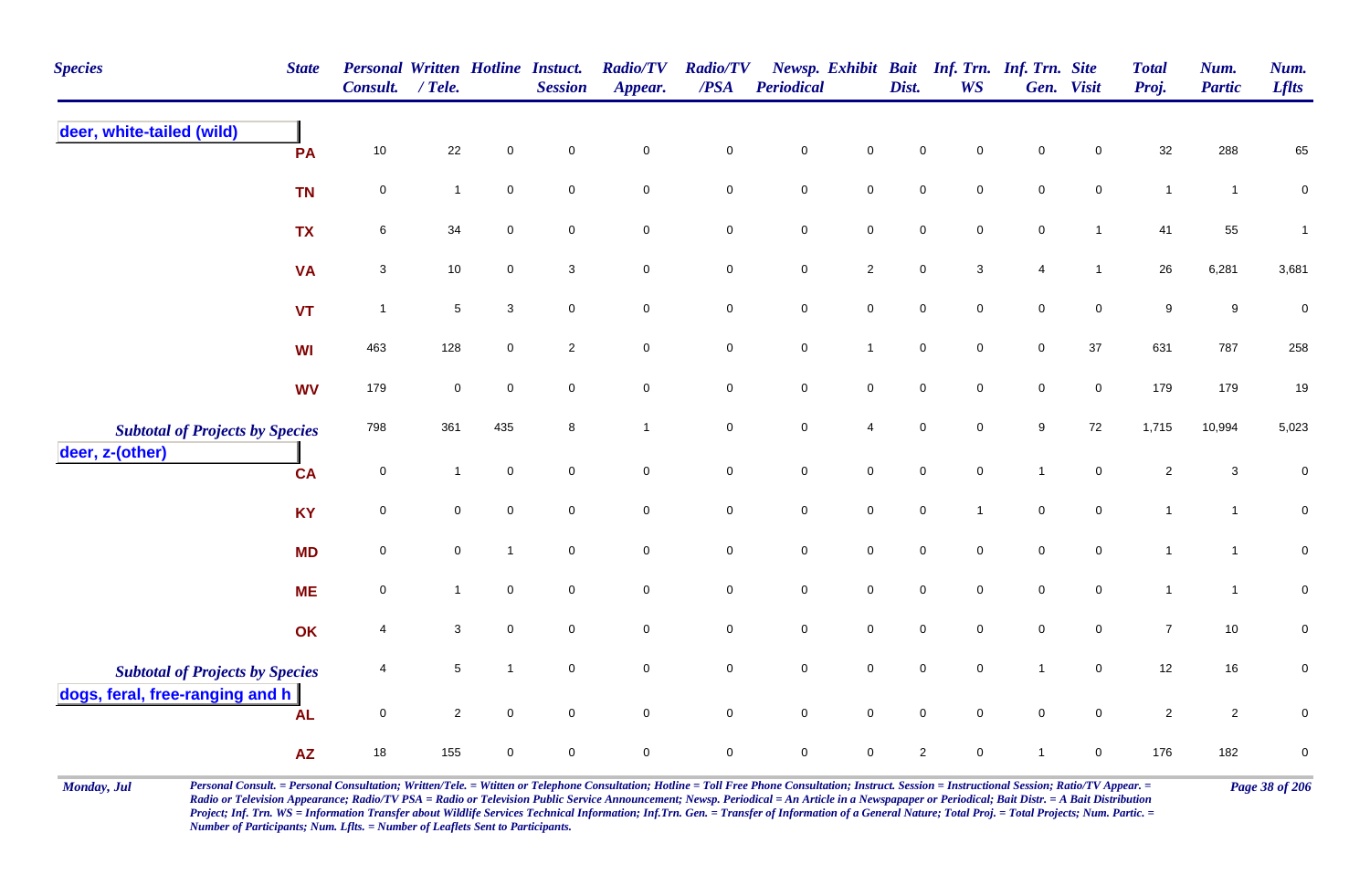| <b>Species</b>                         | <b>State</b> | <b>Personal Written Hotline Instuct.</b><br><b>Consult.</b> | / Tele.      |                | <b>Session</b>      | <b>Radio/TV</b><br>Appear. | <b>Radio/TV</b><br>/PSA | Periodical          |                     | Dist.               | <b>WS</b>           | Newsp. Exhibit Bait Inf. Trn. Inf. Trn. Site | Gen. Visit          | <b>Total</b><br>Proj. | Num.<br><b>Partic</b> | Num.<br><b>Lflts</b> |
|----------------------------------------|--------------|-------------------------------------------------------------|--------------|----------------|---------------------|----------------------------|-------------------------|---------------------|---------------------|---------------------|---------------------|----------------------------------------------|---------------------|-----------------------|-----------------------|----------------------|
| deer, white-tailed (wild)              | PA           | $10$                                                        | $22\,$       | $\mathbf 0$    | $\mathbf 0$         | $\mathbf 0$                | $\pmb{0}$               | $\pmb{0}$           | $\mathbf 0$         | $\mathbf 0$         | 0                   | $\mathbf 0$                                  | $\mathbf 0$         | 32                    | 288                   | 65                   |
|                                        | <b>TN</b>    | 0                                                           | $\mathbf{1}$ | $\mathbf 0$    | $\mathbf 0$         | $\mathbf 0$                | $\mathbf 0$             | $\pmb{0}$           | $\overline{0}$      | $\mathbf 0$         | $\mathbf 0$         | $\mathsf 0$                                  | $\mathbf 0$         | $\mathbf{1}$          | $\overline{1}$        | $\mathbf 0$          |
|                                        | <b>TX</b>    | 6                                                           | 34           | $\mathbf 0$    | $\mathbf 0$         | $\pmb{0}$                  | $\mathbf 0$             | $\pmb{0}$           | $\mathbf 0$         | $\mathbf 0$         | $\mathbf 0$         | $\pmb{0}$                                    | $\mathbf{1}$        | 41                    | 55                    | $\mathbf{1}$         |
|                                        | <b>VA</b>    | 3                                                           | 10           | $\mathbf 0$    | 3                   | $\mathbf 0$                | $\mathbf 0$             | $\mathbf 0$         | $\overline{2}$      | $\mathbf 0$         | 3                   | $\overline{4}$                               | $\mathbf{1}$        | 26                    | 6,281                 | 3,681                |
|                                        | <b>VT</b>    | $\overline{1}$                                              | $\,$ 5 $\,$  | 3              | $\mathbf 0$         | $\mathbf 0$                | $\mathbf 0$             | $\pmb{0}$           | $\mathbf 0$         | $\mathbf 0$         | $\mathbf 0$         | $\mathbf 0$                                  | $\mathbf 0$         | 9                     | 9                     | $\pmb{0}$            |
|                                        | WI           | 463                                                         | 128          | $\mathbf 0$    | $\overline{2}$      | $\mathbf 0$                | $\mathbf 0$             | $\mathbf 0$         | $\overline{1}$      | $\mathbf 0$         | $\mathbf 0$         | $\mathbf 0$                                  | 37                  | 631                   | 787                   | 258                  |
|                                        | <b>WV</b>    | 179                                                         | $\mathbf 0$  | $\mathbf 0$    | $\mathbf 0$         | $\mathsf{O}\xspace$        | $\mathbf 0$             | $\mathbf 0$         | $\mathsf 0$         | $\mathbf 0$         | $\mathsf{O}\xspace$ | $\pmb{0}$                                    | $\mathsf 0$         | 179                   | 179                   | 19                   |
| <b>Subtotal of Projects by Species</b> |              | 798                                                         | 361          | 435            | 8                   | $\mathbf{1}$               | $\mathbf 0$             | $\mathbf 0$         | $\overline{4}$      | $\mathbf 0$         | $\mathbf 0$         | $\boldsymbol{9}$                             | 72                  | 1,715                 | 10,994                | 5,023                |
| deer, z-(other)                        | <b>CA</b>    | $\mathbf 0$                                                 | $\mathbf{1}$ | $\mathbf 0$    | $\mathbf 0$         | $\mathsf{O}\xspace$        | $\pmb{0}$               | $\mathbf 0$         | $\mathbf 0$         | $\mathbf 0$         | $\mathbf 0$         | $\mathbf{1}$                                 | $\mathbf 0$         | $\overline{c}$        | $\mathbf{3}$          | $\pmb{0}$            |
|                                        | <b>KY</b>    | $\mathsf 0$                                                 | $\mathbf 0$  | $\mathbf 0$    | $\mathbf 0$         | $\mathbf 0$                | $\mathbf 0$             | $\mathsf{O}\xspace$ | $\mathbf 0$         | $\mathbf 0$         |                     | $\mathbf 0$                                  | $\mathbf 0$         | $\mathbf{1}$          | $\mathbf{1}$          | $\mathbf 0$          |
|                                        | <b>MD</b>    | 0                                                           | $\mathbf 0$  | $\overline{1}$ | $\mathbf 0$         | $\mathsf{O}\xspace$        | $\pmb{0}$               | $\mathbf 0$         | $\mathbf 0$         | $\mathbf 0$         | $\mathbf 0$         | $\pmb{0}$                                    | $\mathsf{O}\xspace$ | $\overline{1}$        | $\overline{1}$        | $\mathbf 0$          |
|                                        | <b>ME</b>    | $\pmb{0}$                                                   | $\mathbf{1}$ | $\mathsf 0$    | $\mathbf 0$         | $\mathbf 0$                | $\mathbf 0$             | $\pmb{0}$           | $\mathsf{O}\xspace$ | $\mathbf 0$         | $\mathbf 0$         | $\mathsf 0$                                  | $\mathbf 0$         | $\mathbf{1}$          | $\overline{1}$        | $\pmb{0}$            |
|                                        | OK           | 4                                                           | 3            | $\mathbf 0$    | $\mathbf 0$         | $\mathbf 0$                | $\mathbf 0$             | $\pmb{0}$           | $\overline{0}$      | $\mathsf{O}\xspace$ | $\mathbf 0$         | $\mathsf 0$                                  | $\overline{0}$      | $\overline{7}$        | 10                    | $\mathbf 0$          |
| <b>Subtotal of Projects by Species</b> |              | 4                                                           | $\sqrt{5}$   | $\mathbf{1}$   | $\mathsf{O}\xspace$ | $\mathsf{O}\xspace$        | $\mathbf 0$             | $\mathbf 0$         | $\mathbf 0$         | $\mathbf 0$         | $\mathsf{O}\xspace$ | $\mathbf{1}$                                 | $\mathbf 0$         | 12                    | 16                    | $\mathbf 0$          |
| dogs, feral, free-ranging and h        | <b>AL</b>    | $\pmb{0}$                                                   | $\sqrt{2}$   | $\pmb{0}$      | $\mathsf{O}\xspace$ | $\mathsf{O}\xspace$        | $\mathsf{O}\xspace$     | $\mathbf 0$         | $\mathbf 0$         | $\mathbf 0$         | $\mathbf 0$         | $\pmb{0}$                                    | $\mathsf{O}\xspace$ | $\sqrt{2}$            | $\overline{c}$        | $\pmb{0}$            |
|                                        | <b>AZ</b>    | 18                                                          | 155          | $\mathbf 0$    | $\mathbf 0$         | $\pmb{0}$                  | $\mathbf 0$             | $\mathbf 0$         | $\mathbf{0}$        | $\sqrt{2}$          | $\mathbf 0$         | -1                                           | $\mathbf 0$         | 176                   | 182                   | $\pmb{0}$            |

Monday, Jul Personal Consult. = Personal Consultation; Written/Tele. = Witten or Telephone Consultation; Hotline = Toll Free Phone Consultation; Instruct. Session = Instructional Session; Ratio/TV Appear. = Page 38 of 206 *Radio or Television Appearance; Radio/TV PSA = Radio or Television Public Service Announcement; Newsp. Periodical = An Article in a Newspapaper or Periodical; Bait Distr. = A Bait Distribution*  Project; Inf. Trn. WS = Information Transfer about Wildlife Services Technical Information; Inf.Trn. Gen. = Transfer of Information of a General Nature; Total Proj. = Total Projects; Num. Partic. = *Number of Participants; Num. Lflts. = Number of Leaflets Sent to Participants.*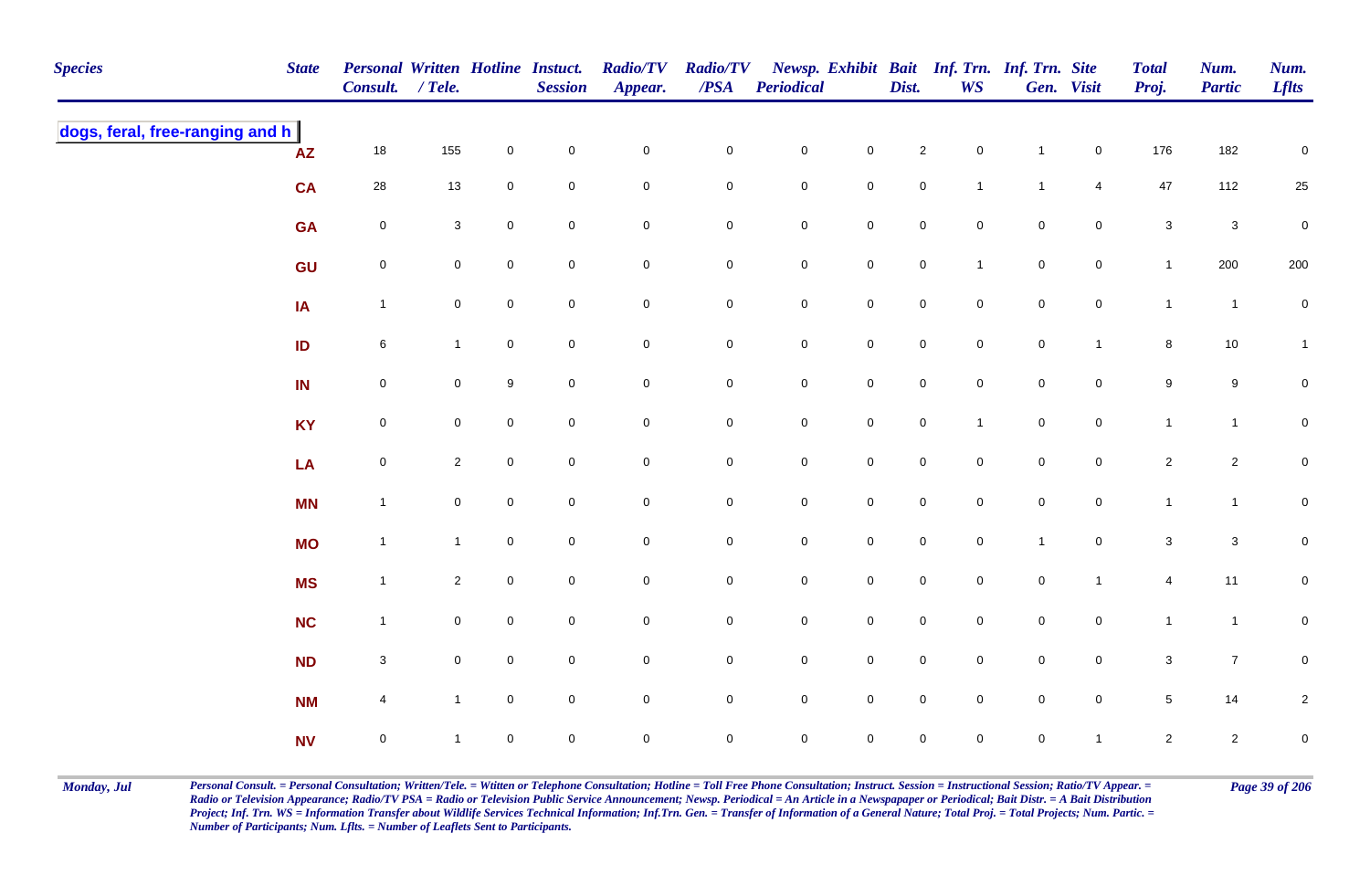| <b>Species</b>                  | <b>State</b>           | Personal Written Hotline Instuct.<br>Consult. / Tele. |                |              | <b>Session</b>   | <b>Radio/TV</b><br>Appear. | <b>Radio/TV</b><br>$\overline{PSA}$ | <b>Periodical</b> |                     | Dist.               | <b>WS</b>           | Newsp. Exhibit Bait Inf. Trn. Inf. Trn. Site | Gen. Visit     | <b>Total</b><br>Proj. | Num.<br><b>Partic</b> | Num.<br><b>Lflts</b> |
|---------------------------------|------------------------|-------------------------------------------------------|----------------|--------------|------------------|----------------------------|-------------------------------------|-------------------|---------------------|---------------------|---------------------|----------------------------------------------|----------------|-----------------------|-----------------------|----------------------|
| dogs, feral, free-ranging and h | $\mathsf{A}\mathsf{Z}$ | 18                                                    | 155            | 0            | $\pmb{0}$        | $\mathsf 0$                | $\mathbf 0$                         | ${\bf 0}$         | $\mathbf 0$         | $\overline{2}$      | $\mathsf{O}\xspace$ | $\mathbf{1}$                                 | $\overline{0}$ | 176                   | 182                   | $\pmb{0}$            |
|                                 | <b>CA</b>              | 28                                                    | 13             | 0            | $\mathbf 0$      | $\mathbf 0$                | $\mathbf 0$                         | $\mathbf 0$       | $\overline{0}$      | $\mathbf 0$         | $\mathbf{1}$        | $\mathbf{1}$                                 | $\overline{4}$ | 47                    | 112                   | 25                   |
|                                 | <b>GA</b>              | $\mathbf 0$                                           | $\mathbf{3}$   | 0            | $\mathbf 0$      | $\mathbf 0$                | $\pmb{0}$                           | ${\bf 0}$         | $\mathbf 0$         | $\mathsf{O}\xspace$ | $\mathbf 0$         | $\mathsf{O}\xspace$                          | $\overline{0}$ | $\mathbf 3$           | $\mathsf 3$           | $\pmb{0}$            |
|                                 | GU                     | $\mathsf{O}\xspace$                                   | $\mathbf 0$    | 0            | $\boldsymbol{0}$ | $\mathbf 0$                | $\mathbf 0$                         | $\mathsf{O}$      | $\mathbf 0$         | $\mathsf{O}\xspace$ | $\mathbf{1}$        | $\mathbf 0$                                  | $\mathbf 0$    | $\mathbf{1}$          | 200                   | 200                  |
|                                 | $\overline{A}$         | $\overline{1}$                                        | $\mathbf 0$    | 0            | $\pmb{0}$        | $\pmb{0}$                  | $\pmb{0}$                           | $\mathsf{O}$      | $\mathbf 0$         | $\mathbf 0$         | $\overline{0}$      | $\mathbf 0$                                  | $\mathsf{O}$   | $\mathbf{1}$          | $\overline{1}$        | $\pmb{0}$            |
|                                 | ID                     | $6\phantom{.}6$                                       | $\mathbf{1}$   | $\mathbf 0$  | $\mathbf 0$      | $\mathbf 0$                | $\mathbf 0$                         | $\mathsf{O}$      | $\mathbf 0$         | $\mathbf 0$         | $\overline{0}$      | $\mathbf 0$                                  | $\mathbf{1}$   | 8                     | 10                    | $\mathbf{1}$         |
|                                 | IN                     | $\mathsf{O}\xspace$                                   | $\mathbf 0$    | 9            | $\pmb{0}$        | $\mathsf{O}\xspace$        | $\mathbf 0$                         | $\mathsf{O}$      | $\mathbf 0$         | $\mathsf{O}\xspace$ | $\mathbf 0$         | $\mathsf{O}\xspace$                          | $\mathbf 0$    | $\boldsymbol{9}$      | 9                     | $\mathbf 0$          |
|                                 | <b>KY</b>              | $\mathsf{O}\xspace$                                   | $\mathbf 0$    | $\mathsf{O}$ | $\mathbf 0$      | $\mathsf{O}\xspace$        | $\mathbf 0$                         | $\mathsf{O}$      | $\mathbf 0$         | $\mathsf{O}\xspace$ | $\mathbf{1}$        | $\mathsf{O}\xspace$                          | $\mathbf 0$    | $\mathbf{1}$          | $\mathbf{1}$          | $\overline{0}$       |
|                                 | LA                     | $\mathsf{O}\xspace$                                   | $\overline{2}$ | $\mathbf{0}$ | $\mathbf 0$      | $\pmb{0}$                  | $\mathbf 0$                         | $\mathbf 0$       | $\mathsf{O}\xspace$ | $\mathbf 0$         | $\Omega$            | $\mathsf{O}\xspace$                          | $\mathbf{0}$   | $\sqrt{2}$            | $\overline{c}$        | $\overline{0}$       |
|                                 | <b>MN</b>              | $\overline{1}$                                        | $\mathbf 0$    | 0            | $\boldsymbol{0}$ | $\mathbf 0$                | $\pmb{0}$                           | $\mathsf{O}$      | $\overline{0}$      | $\mathbf 0$         | $\mathbf 0$         | $\mathbf 0$                                  | $\overline{0}$ | $\mathbf{1}$          | $\overline{1}$        | $\overline{0}$       |
|                                 | <b>MO</b>              | $\mathbf{1}$                                          | $\mathbf{1}$   | $\pmb{0}$    | $\pmb{0}$        | $\mathbf 0$                | $\pmb{0}$                           | $\mathbf 0$       | $\mathbf 0$         | $\mathbf 0$         | $\mathbf 0$         | $\mathbf{1}$                                 | $\mathbf 0$    | $\mathbf 3$           | $\mathsf 3$           | $\mathbf 0$          |
|                                 | <b>MS</b>              | $\mathbf{1}$                                          | $\overline{2}$ | $\mathbf 0$  | $\mathbf 0$      | $\mathbf 0$                | $\pmb{0}$                           | $\mathsf{O}$      | $\mathbf 0$         | $\mathsf{O}\xspace$ | $\mathbf 0$         | $\mathbf 0$                                  | $\mathbf{1}$   | $\overline{4}$        | 11                    | $\mathbf 0$          |
|                                 | <b>NC</b>              | $\mathbf{1}$                                          | $\mathbf 0$    | 0            | $\pmb{0}$        | $\pmb{0}$                  | $\pmb{0}$                           | ${\bf 0}$         | $\mathbf 0$         | $\mathbf 0$         | $\mathbf 0$         | $\mathbf 0$                                  | $\mathbf 0$    | $\mathbf{1}$          | $\overline{1}$        | $\mathbf 0$          |
|                                 | <b>ND</b>              | $\mathbf{3}$                                          | $\mathbf 0$    | 0            | $\mathbf 0$      | $\mathsf 0$                | 0                                   | $\mathsf 0$       | $\mathbf 0$         | $\mathbf 0$         | $\mathbf 0$         | $\pmb{0}$                                    | $\mathbf 0$    | $\sqrt{3}$            | $\overline{7}$        | $\mathbf 0$          |
|                                 | <b>NM</b>              | 4                                                     | $\mathbf{1}$   | 0            | $\mathbf 0$      | $\pmb{0}$                  | $\mathbf 0$                         | $\mathsf{O}$      | $\mathbf 0$         | $\mathsf{O}\xspace$ | $\mathbf 0$         | $\mathsf{O}\xspace$                          | $\mathbf 0$    | $\sqrt{5}$            | 14                    | $\overline{c}$       |
|                                 | <b>NV</b>              | $\mathsf{O}\xspace$                                   |                | $\mathsf{O}$ | $\pmb{0}$        | $\mathbf 0$                | $\mathbf 0$                         | $\mathbf 0$       | $\mathsf{O}\xspace$ | 0                   | $\mathbf 0$         | $\mathsf{O}\xspace$                          | $\mathbf{1}$   | $\overline{2}$        | $\overline{2}$        | $\pmb{0}$            |

Monday, Jul Personal Consult. = Personal Consultation; Written/Tele. = Witten or Telephone Consultation; Hotline = Toll Free Phone Consultation; Instruct. Session = Instructional Session; Ratio/TV Appear. = Page 39 of 206 *Radio or Television Appearance; Radio/TV PSA = Radio or Television Public Service Announcement; Newsp. Periodical = An Article in a Newspapaper or Periodical; Bait Distr. = A Bait Distribution*  Project; Inf. Trn. WS = Information Transfer about Wildlife Services Technical Information; Inf.Trn. Gen. = Transfer of Information of a General Nature; Total Proj. = Total Projects; Num. Partic. = *Number of Participants; Num. Lflts. = Number of Leaflets Sent to Participants.*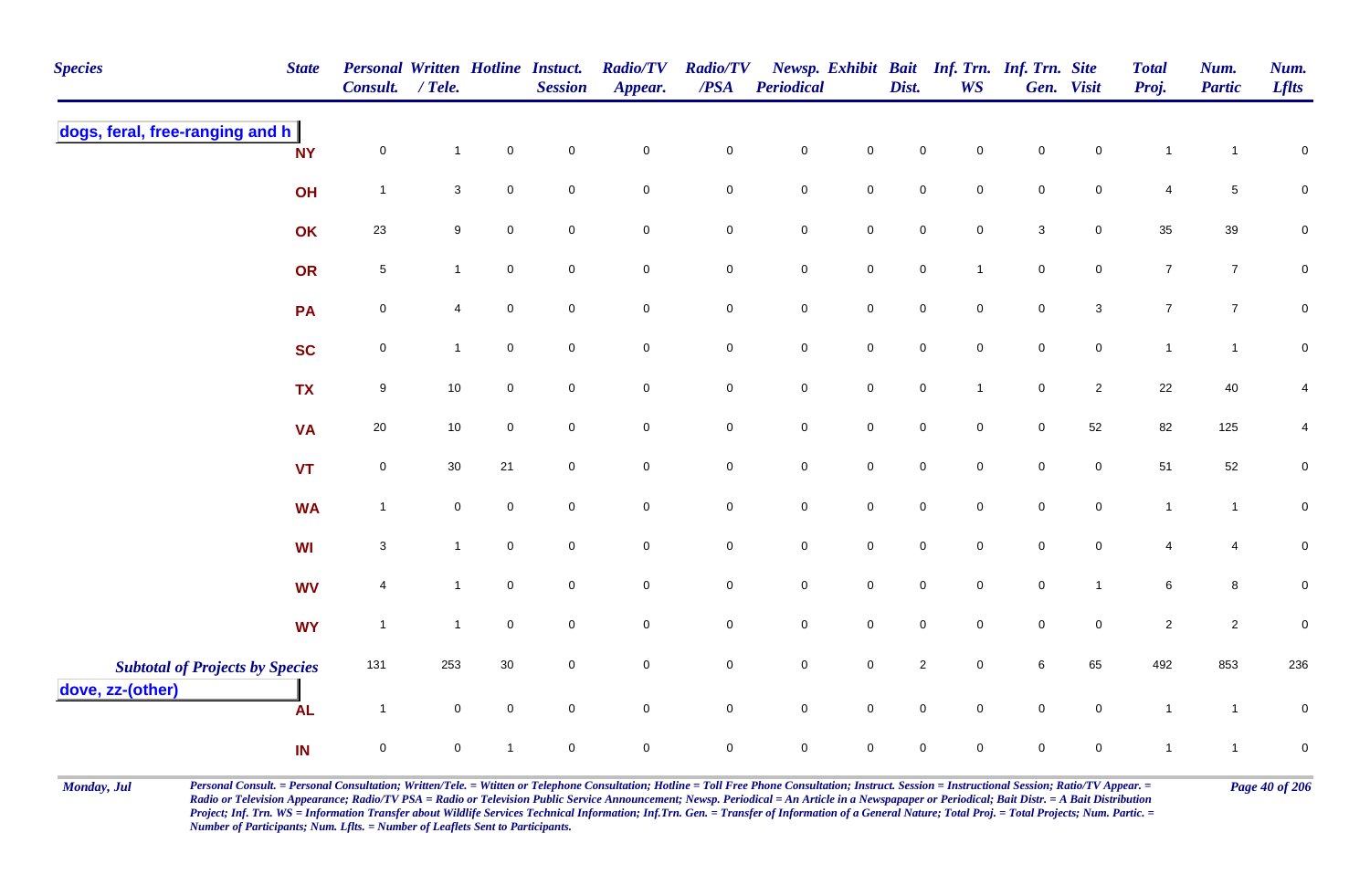| <b>Species</b>                                             | <b>State</b> | <b>Personal Written Hotline Instuct.</b><br><b>Consult.</b> | $/$ Tele.           |                     | <b>Session</b>      | <b>Radio/TV</b><br>Appear. | <b>Radio/TV</b><br>/PSA | <b>Periodical</b>   |                     | Dist.               | <b>WS</b>           | Newsp. Exhibit Bait Inf. Trn. Inf. Trn. Site | Gen. Visit          | <b>Total</b><br>Proj. | Num.<br><b>Partic</b> | Num.<br><b>Lflts</b> |
|------------------------------------------------------------|--------------|-------------------------------------------------------------|---------------------|---------------------|---------------------|----------------------------|-------------------------|---------------------|---------------------|---------------------|---------------------|----------------------------------------------|---------------------|-----------------------|-----------------------|----------------------|
| dogs, feral, free-ranging and h                            | <b>NY</b>    | $\mathbf 0$                                                 | $\mathbf{1}$        | $\pmb{0}$           | $\pmb{0}$           | $\mathbf 0$                | $\pmb{0}$               | $\pmb{0}$           | $\mathbf 0$         | $\pmb{0}$           | $\mathbf 0$         | $\pmb{0}$                                    | $\mathbf 0$         | $\mathbf{1}$          | $\overline{1}$        | $\pmb{0}$            |
|                                                            | OH           | $\overline{1}$                                              | 3                   | $\mathsf{O}\xspace$ | $\mathsf{O}\xspace$ | $\mathbf 0$                | $\mathbf 0$             | $\pmb{0}$           | $\mathsf{O}$        | $\mathbf 0$         | $\mathsf{O}\xspace$ | $\pmb{0}$                                    | $\mathbf 0$         | 4                     | 5                     | $\mathbf 0$          |
|                                                            | OK           | 23                                                          | $\boldsymbol{9}$    | $\mathbf 0$         | $\mathsf{O}\xspace$ | $\mathbf 0$                | $\mathbf 0$             | $\mathbf 0$         | $\mathbf 0$         | $\mathbf 0$         | $\mathbf 0$         | $\sqrt{3}$                                   | $\mathbf 0$         | 35                    | 39                    | $\pmb{0}$            |
|                                                            | OR           | $\sqrt{5}$                                                  | $\mathbf{1}$        | $\mathbf 0$         | $\mathbf 0$         | $\mathbf 0$                | $\bf{0}$                | $\mathbf 0$         | $\mathbf 0$         | $\mathsf{O}\xspace$ | $\mathbf{1}$        | $\mathsf 0$                                  | $\mathbf 0$         | $\overline{7}$        | $\overline{7}$        | $\mathbf 0$          |
|                                                            | <b>PA</b>    | $\mathbf 0$                                                 | $\overline{4}$      | $\mathsf{O}\xspace$ | $\mathbf 0$         | $\mathsf{O}\xspace$        | $\mathbf 0$             | $\mathbf 0$         | $\mathbf 0$         | $\mathbf 0$         | $\mathsf{O}\xspace$ | $\pmb{0}$                                    | $\mathbf 3$         | $\overline{7}$        | $\overline{7}$        | $\pmb{0}$            |
|                                                            | <b>SC</b>    | $\mathbf 0$                                                 | $\mathbf{1}$        | $\mathbf 0$         | $\mathbf 0$         | $\overline{0}$             | $\overline{0}$          | $\mathbf 0$         | $\mathsf 0$         | $\mathsf{O}\xspace$ | $\mathbf 0$         | $\mathsf 0$                                  | $\mathsf{O}$        | $\mathbf{1}$          | $\mathbf{1}$          | $\pmb{0}$            |
|                                                            | <b>TX</b>    | $9\,$                                                       | $10$                | $\mathbf 0$         | $\mathbf 0$         | $\mathbf 0$                | $\mathsf{O}$            | $\mathbf 0$         | $\mathsf 0$         | $\mathbf 0$         | $\mathbf{1}$        | $\pmb{0}$                                    | $\overline{2}$      | 22                    | 40                    | $\overline{4}$       |
|                                                            | <b>VA</b>    | $20\,$                                                      | 10                  | $\mathbf 0$         | $\mathbf 0$         | $\mathbf 0$                | $\mathbf 0$             | $\mathbf 0$         | $\mathbf 0$         | $\mathbf 0$         | $\mathbf 0$         | $\mathbf 0$                                  | 52                  | 82                    | 125                   | 4                    |
|                                                            | <b>VT</b>    | $\mathbf 0$                                                 | $30\,$              | 21                  | $\mathbf 0$         | $\mathbf 0$                | $\mathbf 0$             | $\mathbf 0$         | $\mathsf 0$         | $\mathbf 0$         | $\mathsf{O}\xspace$ | $\pmb{0}$                                    | $\mathbf 0$         | 51                    | 52                    | $\mathbf 0$          |
|                                                            | <b>WA</b>    | $\overline{1}$                                              | $\mathbf 0$         | $\mathbf 0$         | $\mathbf 0$         | $\mathbf 0$                | $\mathbf 0$             | $\mathsf{O}\xspace$ | $\mathbf 0$         | $\mathbf 0$         | $\mathbf 0$         | $\mathbf 0$                                  | $\mathbf 0$         | $\overline{1}$        | $\mathbf{1}$          | $\mathbf 0$          |
|                                                            | <b>WI</b>    | $\mathbf 3$                                                 | $\mathbf{1}$        | $\mathbf 0$         | $\mathbf 0$         | $\pmb{0}$                  | $\mathsf{O}\xspace$     | $\mathbf 0$         | $\mathbf 0$         | $\mathbf 0$         | $\mathbf 0$         | $\mathbf 0$                                  | $\mathbf 0$         | $\overline{4}$        | 4                     | $\mathbf 0$          |
|                                                            | <b>WV</b>    | $\overline{4}$                                              | $\mathbf{1}$        | $\mathbf 0$         | $\mathbf 0$         | $\mathbf 0$                | $\mathbf 0$             | $\pmb{0}$           | $\mathbf 0$         | $\mathbf 0$         | $\mathbf 0$         | $\mathsf 0$                                  | $\mathbf{1}$        | 6                     | 8                     | $\mathbf 0$          |
|                                                            | <b>WY</b>    | $\overline{1}$                                              | $\mathbf{1}$        | $\mathsf{O}\xspace$ | $\mathbf 0$         | $\mathsf{O}\xspace$        | $\mathbf 0$             | $\mathbf 0$         | $\mathsf{O}\xspace$ | $\mathbf 0$         | $\mathbf 0$         | $\pmb{0}$                                    | $\mathsf{O}\xspace$ | $\sqrt{2}$            | $\overline{2}$        | $\pmb{0}$            |
| <b>Subtotal of Projects by Species</b><br>dove, zz-(other) |              | 131                                                         | 253                 | 30                  | $\mathbf 0$         | $\mathbf 0$                | ${\bf 0}$               | $\pmb{0}$           | $\mathbf 0$         | $\sqrt{2}$          | $\mathbf 0$         | $\,6\,$                                      | 65                  | 492                   | 853                   | 236                  |
|                                                            | <b>AL</b>    | $\overline{1}$                                              | $\mathsf{O}\xspace$ | $\pmb{0}$           | $\mathbf 0$         | $\mathbf 0$                | $\mathbf 0$             | $\mathbf 0$         | $\mathbf 0$         | $\mathbf 0$         | $\mathbf 0$         | $\pmb{0}$                                    | $\mathsf 0$         | $\mathbf{1}$          | $\overline{1}$        | $\pmb{0}$            |
|                                                            | IN           | $\mathsf 0$                                                 | $\mathsf{O}\xspace$ | 1                   | $\mathbf 0$         | $\mathbf 0$                | $\mathbf 0$             | $\mathsf{O}\xspace$ | $\mathbf 0$         | $\mathbf 0$         | $\mathbf 0$         | $\mathbf 0$                                  | $\mathbf 0$         | $\mathbf{1}$          | $\overline{1}$        | $\pmb{0}$            |

Monday, Jul Personal Consult. = Personal Consultation; Written/Tele. = Witten or Telephone Consultation; Hotline = Toll Free Phone Consultation; Instruct. Session = Instructional Session; Ratio/TV Appear. = Page 40 of 206 *Radio or Television Appearance; Radio/TV PSA = Radio or Television Public Service Announcement; Newsp. Periodical = An Article in a Newspapaper or Periodical; Bait Distr. = A Bait Distribution*  Project; Inf. Trn. WS = Information Transfer about Wildlife Services Technical Information; Inf.Trn. Gen. = Transfer of Information of a General Nature; Total Proj. = Total Projects; Num. Partic. = *Number of Participants; Num. Lflts. = Number of Leaflets Sent to Participants.*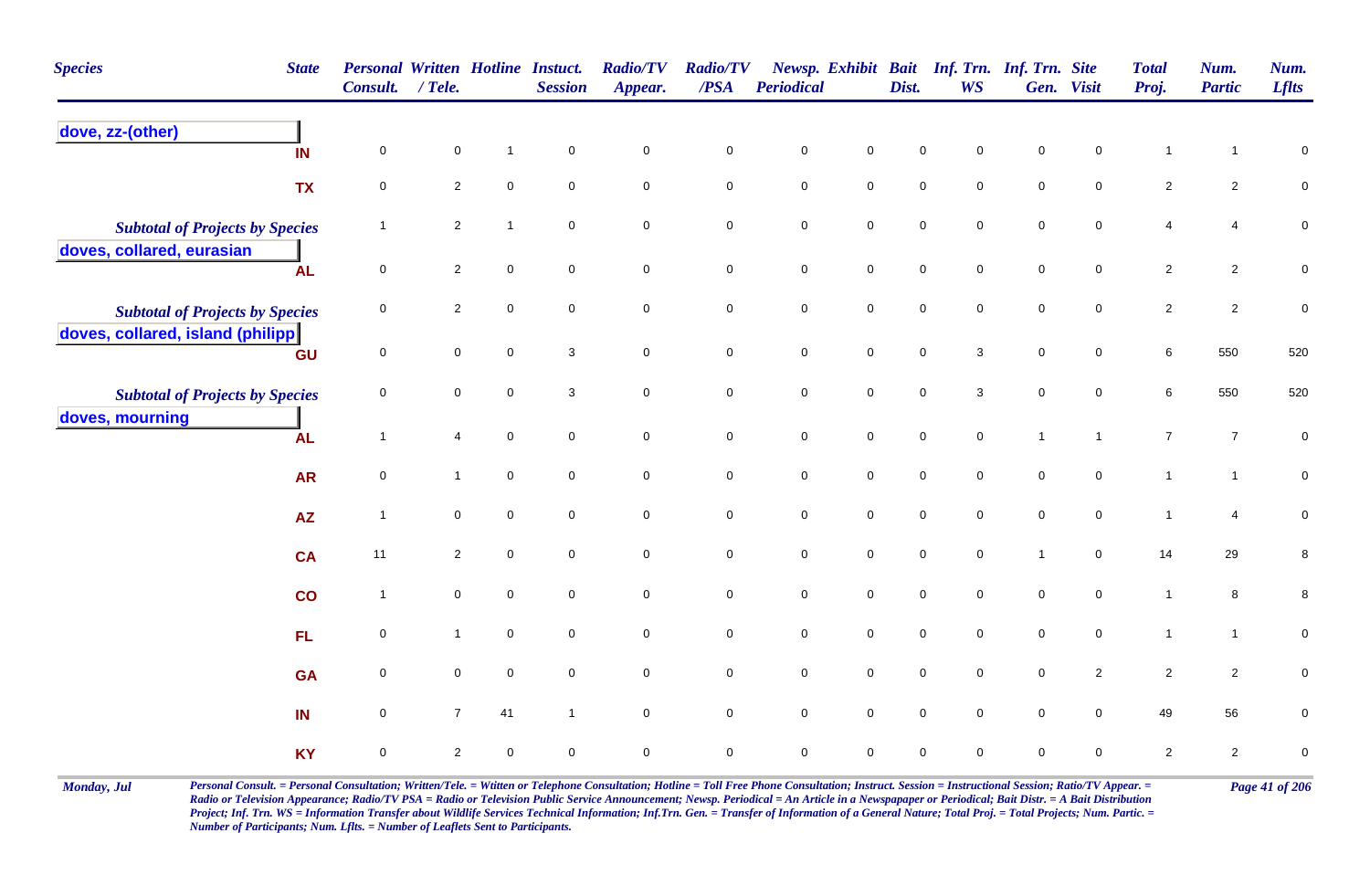| <b>Species</b><br><b>State</b>         | <b>Personal Written Hotline Instuct.</b><br><b>Consult.</b> | $/$ Tele.      |                     | <b>Session</b>            | <b>Radio/TV</b><br>Appear. | <b>Radio/TV</b><br>$\overline{PSA}$ | <b>Periodical</b>   |                     | Dist.               | Newsp. Exhibit Bait Inf. Trn. Inf. Trn. Site<br><b>WS</b> |                     | Gen. Visit          | <b>Total</b><br>Proj. | Num.<br><b>Partic</b> | Num.<br><b>Lflts</b> |
|----------------------------------------|-------------------------------------------------------------|----------------|---------------------|---------------------------|----------------------------|-------------------------------------|---------------------|---------------------|---------------------|-----------------------------------------------------------|---------------------|---------------------|-----------------------|-----------------------|----------------------|
| dove, zz-(other)<br>IN                 | $\mathbf 0$                                                 | $\pmb{0}$      | $\mathbf 1$         | $\mathbf 0$               | $\mathbf 0$                | $\pmb{0}$                           | $\mathbf 0$         | $\mathsf 0$         | $\mathbf 0$         | $\mathbf 0$                                               | $\pmb{0}$           | $\mathsf 0$         | 1                     | 1                     | 0                    |
| <b>TX</b>                              | 0                                                           | $\overline{2}$ | $\mathbf 0$         | $\mathbf 0$               | $\mathbf 0$                | $\mathsf 0$                         | $\mathbf 0$         | $\mathsf{O}\xspace$ | $\mathbf 0$         | $\mathbf 0$                                               | $\mathbf 0$         | $\mathbf 0$         | $\overline{2}$        | $\overline{2}$        | 0                    |
| <b>Subtotal of Projects by Species</b> | $\overline{1}$                                              | $\sqrt{2}$     | 1                   | $\mathbf 0$               | $\pmb{0}$                  | $\pmb{0}$                           | $\pmb{0}$           | $\mathsf{O}\xspace$ | $\pmb{0}$           | $\mathbf 0$                                               | $\pmb{0}$           | $\mathsf{O}\xspace$ | 4                     | $\overline{4}$        | ${\bf 0}$            |
| doves, collared, eurasian<br><b>AL</b> | $\mathbf 0$                                                 | $\overline{2}$ | $\mathbf 0$         | $\mathsf{O}\xspace$       | $\mathbf 0$                | $\mathbf 0$                         | $\pmb{0}$           | $\mathsf{O}\xspace$ | $\mathsf{O}\xspace$ | $\mathbf 0$                                               | $\mathbf 0$         | $\mathbf 0$         | $\overline{2}$        | $\overline{2}$        | $\mathbf 0$          |
| <b>Subtotal of Projects by Species</b> | 0                                                           | $\overline{2}$ | $\mathbf 0$         | $\mathbf 0$               | $\mathbf 0$                | $\pmb{0}$                           | $\mathsf{O}\xspace$ | $\mathsf{O}\xspace$ | $\mathbf 0$         | $\mathbf 0$                                               | $\mathsf{O}\xspace$ | $\mathbf 0$         | $\overline{c}$        | $\overline{2}$        | $\pmb{0}$            |
| doves, collared, island (philipp<br>GU | $\mathbf 0$                                                 | $\mathbf 0$    | $\mathbf 0$         | $\ensuremath{\mathsf{3}}$ | $\mathbf 0$                | $\mathbf 0$                         | $\mathbf 0$         | $\mathbf 0$         | $\mathbf 0$         | $\mathbf{3}$                                              | $\mathbf 0$         | $\mathbf 0$         | 6                     | 550                   | 520                  |
| <b>Subtotal of Projects by Species</b> | 0                                                           | $\mathbf 0$    | $\mathbf 0$         | 3                         | $\overline{0}$             | $\mathbf 0$                         | $\pmb{0}$           | $\mathsf{O}\xspace$ | $\pmb{0}$           | 3                                                         | $\mathsf 0$         | $\overline{0}$      | 6                     | 550                   | 520                  |
| doves, mourning<br><b>AL</b>           | $\overline{1}$                                              | 4              | $\mathbf 0$         | $\mathbf 0$               | $\mathbf 0$                | $\mathbf 0$                         | $\mathbf 0$         | $\mathsf{O}\xspace$ | $\mathbf 0$         | $\mathbf 0$                                               | $\mathbf{1}$        | $\overline{1}$      | $\boldsymbol{7}$      | $\overline{7}$        | ${\bf 0}$            |
| <b>AR</b>                              | $\mathbf 0$                                                 | $\mathbf{1}$   | $\mathbf 0$         | $\mathsf{O}\xspace$       | $\pmb{0}$                  | $\pmb{0}$                           | $\pmb{0}$           | $\mathsf{O}\xspace$ | $\pmb{0}$           | $\mathbf 0$                                               | $\mathsf{O}\xspace$ | $\mathbf 0$         | $\mathbf{1}$          | $\mathbf{1}$          | $\pmb{0}$            |
| <b>AZ</b>                              | $\overline{1}$                                              | $\mathbf 0$    | $\mathbf 0$         | $\mathbf 0$               | $\overline{0}$             | $\mathbf 0$                         | $\mathbf 0$         | $\mathsf{O}\xspace$ | $\mathbf 0$         | $\mathbf 0$                                               | $\mathsf{O}\xspace$ | $\overline{0}$      | $\mathbf{1}$          | $\overline{4}$        | $\pmb{0}$            |
| <b>CA</b>                              | 11                                                          | $\overline{2}$ | $\mathbf 0$         | $\mathsf{O}\xspace$       | $\pmb{0}$                  | $\mathbf 0$                         | $\pmb{0}$           | $\mathbf 0$         | $\mathsf{O}\xspace$ | $\mathsf{O}\xspace$                                       | $\mathbf{1}$        | $\mathbf 0$         | 14                    | 29                    | $\bf 8$              |
| co                                     | $\overline{1}$                                              | $\mathbf 0$    | $\mathbf 0$         | $\mathbf 0$               | $\mathbf 0$                | $\pmb{0}$                           | $\mathsf{O}\xspace$ | $\mathsf{O}\xspace$ | $\mathsf{O}\xspace$ | $\mathbf 0$                                               | $\mathbf 0$         | $\mathbf 0$         | $\mathbf{1}$          | 8                     | 8                    |
| FL                                     | $\mathbf 0$                                                 | 1              | $\mathsf{O}\xspace$ | $\mathbf 0$               | $\mathsf{O}\xspace$        | $\mathbf 0$                         | $\mathbf 0$         | $\mathsf{O}\xspace$ | $\mathsf{O}\xspace$ | $\mathsf{O}\xspace$                                       | $\mathsf{O}\xspace$ | $\mathbf 0$         | $\mathbf{1}$          | $\mathbf{1}$          | $\pmb{0}$            |
| <b>GA</b>                              | $\mathbf 0$                                                 | $\mathbf 0$    | $\mathbf 0$         | $\mathbf 0$               | $\mathbf 0$                | $\mathbf 0$                         | $\pmb{0}$           | $\mathsf{O}\xspace$ | $\mathbf 0$         | $\mathbf 0$                                               | $\mathbf 0$         | $\overline{2}$      | $\overline{2}$        | $\overline{2}$        | 0                    |
| IN                                     | $\mathbf 0$                                                 | $\overline{7}$ | 41                  | $\mathbf{1}$              | $\mathsf{O}\xspace$        | $\pmb{0}$                           | $\mathsf{O}\xspace$ | $\mathsf{O}\xspace$ | $\mathsf{O}\xspace$ | $\mathsf{O}\xspace$                                       | $\mathsf 0$         | $\mathsf{O}\xspace$ | 49                    | 56                    | $\mathbf 0$          |
| <b>KY</b>                              | $\pmb{0}$                                                   | $\sqrt{2}$     | $\mathbf 0$         | $\mathbf 0$               | $\mathbf 0$                | $\pmb{0}$                           | $\mathbf 0$         | $\mathbf 0$         | $\pmb{0}$           | $\mathsf 0$                                               | $\pmb{0}$           | $\mathsf 0$         | $\overline{2}$        | $\overline{a}$        | $\pmb{0}$            |

Monday, Jul Personal Consult. = Personal Consultation; Written/Tele. = Witten or Telephone Consultation; Hotline = Toll Free Phone Consultation; Instruct. Session = Instructional Session; Ratio/TV Appear. = Page 41 of 206 *Radio or Television Appearance; Radio/TV PSA = Radio or Television Public Service Announcement; Newsp. Periodical = An Article in a Newspapaper or Periodical; Bait Distr. = A Bait Distribution*  Project; Inf. Trn. WS = Information Transfer about Wildlife Services Technical Information; Inf.Trn. Gen. = Transfer of Information of a General Nature; Total Proj. = Total Projects; Num. Partic. = *Number of Participants; Num. Lflts. = Number of Leaflets Sent to Participants.*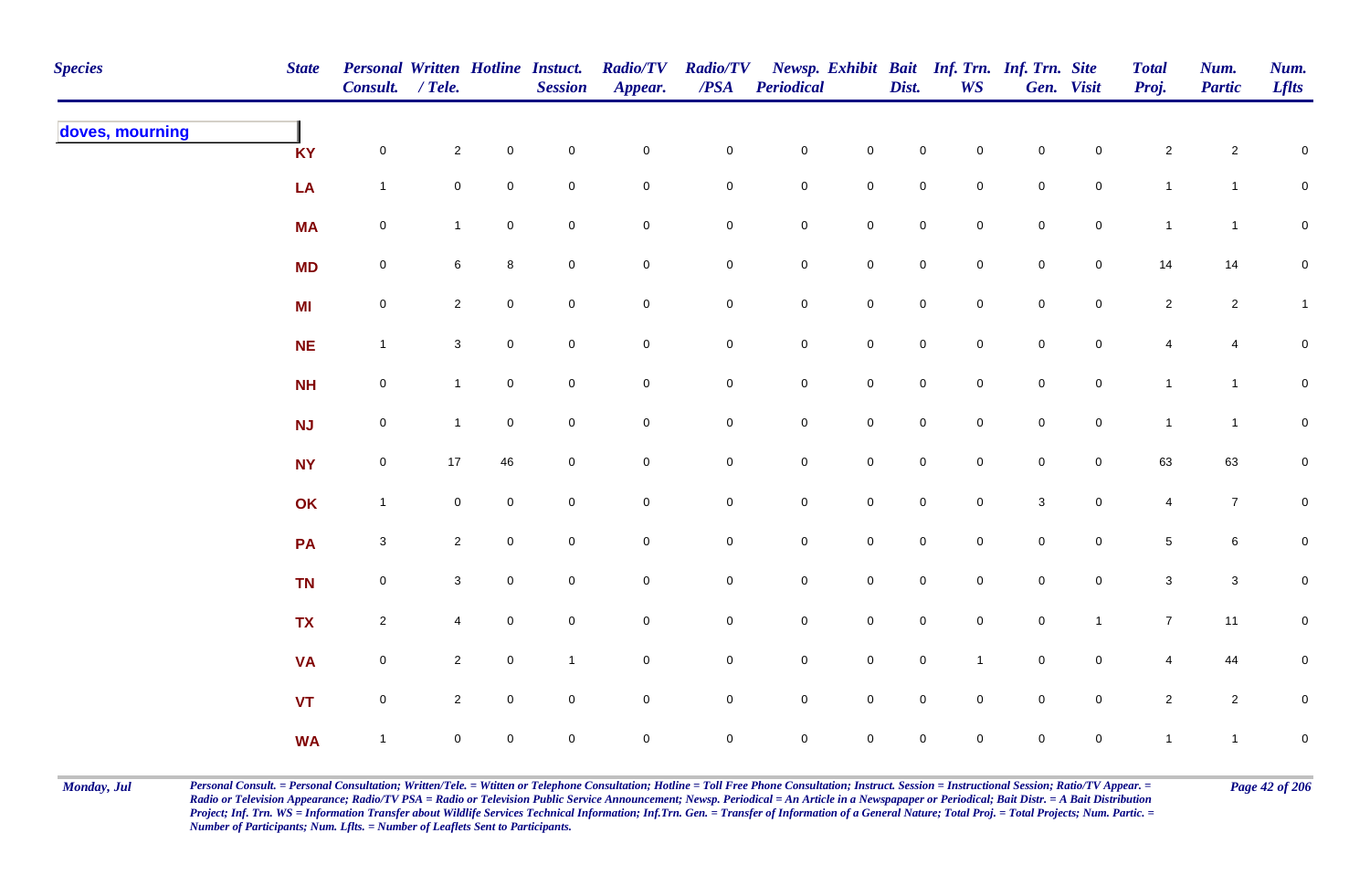| <b>Species</b>  | <b>State</b> | Personal Written Hotline Instuct.<br>Consult. / Tele. |                |                | <b>Session</b> | <b>Radio/TV</b><br>Appear. | <b>Radio/TV</b><br>$\overline{PSA}$ | <b>Periodical</b>   |                     | Dist.               | <b>WS</b>           | Newsp. Exhibit Bait Inf. Trn. Inf. Trn. Site | Gen. Visit     | <b>Total</b><br>Proj. | Num.<br><b>Partic</b> | Num.<br><b>Lflts</b> |
|-----------------|--------------|-------------------------------------------------------|----------------|----------------|----------------|----------------------------|-------------------------------------|---------------------|---------------------|---------------------|---------------------|----------------------------------------------|----------------|-----------------------|-----------------------|----------------------|
| doves, mourning | <b>KY</b>    | $\mathsf{O}\xspace$                                   | $\overline{2}$ | $\mathbf 0$    | $\pmb{0}$      | $\mathbf 0$                | $\pmb{0}$                           | $\mathbf 0$         | $\mathbf 0$         | $\mathbf 0$         | $\overline{0}$      | $\pmb{0}$                                    | $\mathbf 0$    | $\sqrt{2}$            | $\overline{2}$        | $\mathsf 0$          |
|                 | LA           | $\mathbf{1}$                                          | $\mathbf 0$    | $\pmb{0}$      | $\mathbf 0$    | $\mathbf 0$                | $\pmb{0}$                           | $\mathbf 0$         | $\pmb{0}$           | $\mathbf 0$         | $\mathbf 0$         | $\pmb{0}$                                    | $\mathbf 0$    | $\mathbf{1}$          | $\mathbf{1}$          | $\mathbf 0$          |
|                 | <b>MA</b>    | $\pmb{0}$                                             | $\mathbf{1}$   | $\mathbf 0$    | $\pmb{0}$      | $\mathbf 0$                | 0                                   | $\mathbf 0$         | $\mathbf 0$         | $\mathsf{O}\xspace$ | $\mathbf 0$         | $\pmb{0}$                                    | $\mathbf 0$    | $\mathbf{1}$          | $\mathbf{1}$          | $\overline{0}$       |
|                 | <b>MD</b>    | $\mathbf 0$                                           | 6              | 8              | $\mathbf 0$    | $\pmb{0}$                  | 0                                   | $\mathbf 0$         | $\pmb{0}$           | $\mathbf 0$         | $\overline{0}$      | $\mathbf 0$                                  | $\mathbf 0$    | 14                    | 14                    | $\mathbf 0$          |
|                 | MI           | $\mathsf{O}$                                          | $\overline{2}$ | $\overline{0}$ | $\mathsf 0$    | $\mathbf 0$                | 0                                   | $\mathbf 0$         | $\mathbf 0$         | $\mathsf{O}$        | $\overline{0}$      | $\mathbf 0$                                  | $\mathsf{O}$   | $\overline{2}$        | $\overline{c}$        | $\mathbf{1}$         |
|                 | NE           | $\mathbf{1}$                                          | $\mathbf{3}$   | $\mathbf 0$    | $\mathsf 0$    | $\mathsf{O}\xspace$        | $\mathbf 0$                         | $\mathbf 0$         | $\mathsf{O}\xspace$ | $\mathsf{O}$        | $\overline{0}$      | $\mathbf 0$                                  | $\mathsf{O}$   | $\overline{4}$        | $\overline{4}$        | $\pmb{0}$            |
|                 | NH           | $\mathbf 0$                                           | $\mathbf{1}$   | $\mathbf 0$    | $\pmb{0}$      | $\mathsf{O}\xspace$        | $\overline{0}$                      | $\mathbf 0$         | $\mathsf{O}\xspace$ | $\mathbf 0$         | $\overline{0}$      | $\mathbf 0$                                  | $\mathbf 0$    | $\mathbf{1}$          | $\mathbf{1}$          | $\overline{0}$       |
|                 | <b>NJ</b>    | $\mathsf{O}$                                          | $\mathbf{1}$   | $\mathbf 0$    | $\mathbf 0$    | $\mathbf 0$                | 0                                   | $\mathsf{O}\xspace$ | $\mathbf 0$         | $\mathsf{O}\xspace$ | $\mathbf 0$         | $\mathsf{O}\xspace$                          | $\mathbf 0$    | $\mathbf{1}$          | $\mathbf{1}$          | $\mathbf 0$          |
|                 | <b>NY</b>    | $\mathsf 0$                                           | 17             | 46             | $\mathbf 0$    | $\mathbf 0$                | $\mathsf{O}\xspace$                 | $\mathsf{O}\xspace$ | $\mathsf{O}\xspace$ | $\mathbf 0$         | $\Omega$            | $\mathsf{O}\xspace$                          | $\mathbf 0$    | 63                    | 63                    | $\mathbf 0$          |
|                 | OK           | $\mathbf{1}$                                          | $\mathbf 0$    | $\mathbf 0$    | $\mathbf 0$    | $\mathbf 0$                | $\pmb{0}$                           | $\mathbf 0$         | $\mathbf 0$         | $\mathbf 0$         | $\mathsf{O}\xspace$ | $\mathsf 3$                                  | $\mathbf 0$    | $\overline{4}$        | $\overline{7}$        | $\mathsf{O}\xspace$  |
|                 | PA           | $\mathbf 3$                                           | $\overline{2}$ | $\mathbf 0$    | $\pmb{0}$      | $\mathbf 0$                | $\pmb{0}$                           | $\pmb{0}$           | $\mathbf 0$         | $\mathbf 0$         | $\mathbf 0$         | $\pmb{0}$                                    | $\mathbf 0$    | $\,$ 5 $\,$           | 6                     | $\mathbf 0$          |
|                 | <b>TN</b>    | $\mathbf 0$                                           | $\mathbf{3}$   | $\mathsf{O}$   | $\pmb{0}$      | $\mathbf 0$                | 0                                   | $\mathbf 0$         | $\mathbf 0$         | $\mathsf{O}$        | $\overline{0}$      | $\mathbf 0$                                  | $\mathsf{O}$   | $\mathbf{3}$          | $\mathbf{3}$          | $\mathbf 0$          |
|                 | <b>TX</b>    | $\overline{2}$                                        | 4              | $\mathbf 0$    | $\mathbf 0$    | $\mathsf{O}\xspace$        | 0                                   | $\mathsf{O}\xspace$ | $\mathbf 0$         | $\overline{0}$      | $\mathbf 0$         | $\mathbf 0$                                  | $\mathbf{1}$   | $\overline{7}$        | 11                    | $\overline{0}$       |
|                 | <b>VA</b>    | $\mathsf{O}$                                          | $\overline{2}$ | $\overline{0}$ | $\mathbf{1}$   | $\mathsf{O}\xspace$        | $\mathbf 0$                         | $\mathbf 0$         | $\mathsf{O}\xspace$ | $\mathbf 0$         | $\mathbf{1}$        | $\mathbf 0$                                  | $\overline{0}$ | $\overline{4}$        | 44                    | $\mathbf 0$          |
|                 | <b>VT</b>    | $\mathsf{O}\xspace$                                   | $\overline{2}$ | $\mathbf 0$    | $\pmb{0}$      | $\mathsf{O}\xspace$        | 0                                   | $\mathbf 0$         | $\mathsf 0$         | $\mathbf 0$         | $\mathbf 0$         | $\mathsf 0$                                  | $\mathbf 0$    | $\overline{a}$        | $\overline{2}$        | $\mathbf 0$          |
|                 | <b>WA</b>    | $\mathbf{1}$                                          | $\mathbf 0$    | $\mathbf 0$    | $\mathbf 0$    | $\mathbf 0$                | 0                                   | $\mathsf{O}\xspace$ | $\mathsf{O}\xspace$ | $\mathbf 0$         | $\mathbf 0$         | $\mathbf 0$                                  | $\mathbf 0$    | $\mathbf{1}$          | $\mathbf{1}$          | $\overline{0}$       |

Monday, Jul Personal Consult. = Personal Consultation; Written/Tele. = Witten or Telephone Consultation; Hotline = Toll Free Phone Consultation; Instruct. Session = Instructional Session; Ratio/TV Appear. = Page 42 of 206 *Radio or Television Appearance; Radio/TV PSA = Radio or Television Public Service Announcement; Newsp. Periodical = An Article in a Newspapaper or Periodical; Bait Distr. = A Bait Distribution*  Project; Inf. Trn. WS = Information Transfer about Wildlife Services Technical Information; Inf.Trn. Gen. = Transfer of Information of a General Nature; Total Proj. = Total Projects; Num. Partic. = *Number of Participants; Num. Lflts. = Number of Leaflets Sent to Participants.*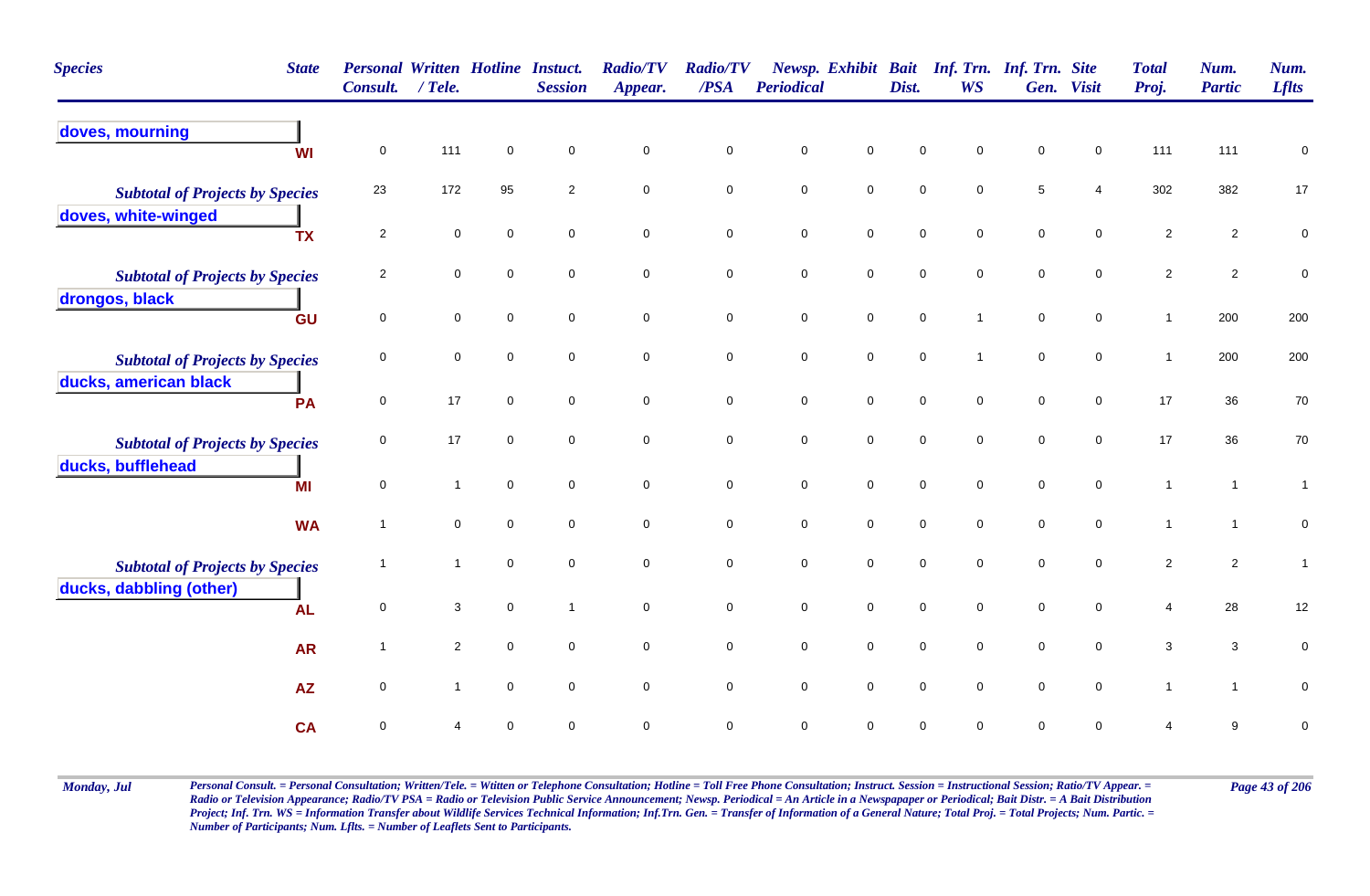| <b>Species</b><br><b>State</b>         | Consult.       | $/$ Tele.      | <b>Personal Written Hotline Instuct.</b> | <b>Session</b>      | <b>Radio/TV</b><br>Appear. | <b>Radio/TV</b><br>/PSA | <b>Periodical</b> |                     | Dist.               | <b>WS</b>      | Newsp. Exhibit Bait Inf. Trn. Inf. Trn. Site | Gen. Visit          | <b>Total</b><br>Proj. | Num.<br><b>Partic</b> | Num.<br><b>Lflts</b> |
|----------------------------------------|----------------|----------------|------------------------------------------|---------------------|----------------------------|-------------------------|-------------------|---------------------|---------------------|----------------|----------------------------------------------|---------------------|-----------------------|-----------------------|----------------------|
| doves, mourning<br><b>WI</b>           | $\mathsf 0$    | 111            | $\mathbf 0$                              | $\mathbf 0$         | $\mathbf 0$                | $\mathbf 0$             | $\pmb{0}$         | $\mathsf 0$         | $\mathbf 0$         | $\mathbf 0$    | $\mathbf 0$                                  | $\mathbf 0$         | 111                   | 111                   | $\mathbf 0$          |
| <b>Subtotal of Projects by Species</b> | 23             | 172            | 95                                       | $\overline{2}$      | $\mathsf 0$                | $\mathbf 0$             | $\mathbf 0$       | $\mathbf 0$         | $\mathbf 0$         | $\mathsf 0$    | $\,$ 5 $\,$                                  | 4                   | 302                   | 382                   | 17                   |
| doves, white-winged<br><b>TX</b>       | $\overline{2}$ | $\mathbf 0$    | $\mathbf 0$                              | $\mathbf 0$         | $\mathbf 0$                | $\mathsf{O}\xspace$     | $\mathbf 0$       | $\mathbf 0$         | $\mathsf{O}\xspace$ | $\mathsf 0$    | $\mathsf{O}\xspace$                          | $\mathsf{O}\xspace$ | $\overline{2}$        | $\overline{c}$        | $\pmb{0}$            |
| <b>Subtotal of Projects by Species</b> | $\overline{c}$ | $\mathbf 0$    | $\mathbf 0$                              | $\mathbf 0$         | $\mathbf 0$                | $\mathsf{O}\xspace$     | $\mathbf 0$       | $\mathsf{O}\xspace$ | $\mathbf 0$         | $\mathbf 0$    | $\mathsf{O}\xspace$                          | $\mathbf 0$         | $\overline{2}$        | $\overline{2}$        | $\pmb{0}$            |
| drongos, black<br>GU                   | $\mathsf 0$    | 0              | $\mathbf 0$                              | $\mathbf 0$         | $\mathsf 0$                | $\mathbf 0$             | $\mathbf 0$       | $\mathbf 0$         | $\pmb{0}$           | $\overline{1}$ | $\mathsf 0$                                  | $\mathbf 0$         | $\mathbf{1}$          | 200                   | 200                  |
| <b>Subtotal of Projects by Species</b> | $\mathbf 0$    | $\mathbf 0$    | $\mathsf 0$                              | $\mathbf 0$         | $\mathbf 0$                | $\mathbf 0$             | $\mathbf 0$       | $\mathsf{O}$        | $\mathbf 0$         | $\mathbf{1}$   | $\mathbf 0$                                  | $\mathbf 0$         | $\mathbf{1}$          | 200                   | 200                  |
| ducks, american black<br>PA            | $\mathbf 0$    | 17             | $\mathbf 0$                              | $\mathbf 0$         | $\mathsf 0$                | $\pmb{0}$               | $\mathbf 0$       | $\mathsf{O}\xspace$ | $\mathbf 0$         | $\mathbf 0$    | $\pmb{0}$                                    | $\mathbf 0$         | 17                    | 36                    | 70                   |
| <b>Subtotal of Projects by Species</b> | $\mathbf 0$    | 17             | $\mathbf 0$                              | $\mathbf 0$         | $\mathsf 0$                | $\pmb{0}$               | $\pmb{0}$         | $\mathbf 0$         | $\pmb{0}$           | $\mathsf 0$    | $\mathsf 0$                                  | $\mathbf 0$         | 17                    | 36                    | $70\,$               |
| ducks, bufflehead<br>MI                | $\mathsf 0$    | $\mathbf{1}$   | $\mathsf 0$                              | $\mathbf 0$         | $\mathbf 0$                | $\mathbf 0$             | $\mathbf 0$       | $\mathsf{O}\xspace$ | $\mathsf{O}\xspace$ | $\mathsf 0$    | $\mathbf 0$                                  | $\mathbf 0$         | $\mathbf{1}$          | $\overline{1}$        | $\mathbf{1}$         |
| <b>WA</b>                              | $\overline{1}$ | $\mathbf 0$    | $\mathbf 0$                              | $\mathbf 0$         | $\mathbf 0$                | $\mathbf 0$             | $\mathbf 0$       | $\mathbf 0$         | $\mathbf 0$         | $\mathbf 0$    | $\mathbf 0$                                  | $\mathbf 0$         | $\mathbf{1}$          | $\overline{1}$        | $\pmb{0}$            |
| <b>Subtotal of Projects by Species</b> | -1             | 1              | $\mathbf 0$                              | $\mathbf 0$         | $\mathbf 0$                | $\mathbf 0$             | 0                 | $\mathsf{O}\xspace$ | $\pmb{0}$           | $\mathbf 0$    | $\mathbf 0$                                  | $\mathbf 0$         | $\overline{2}$        | $\overline{2}$        | $\mathbf{1}$         |
| ducks, dabbling (other)<br><b>AL</b>   | $\mathsf 0$    | 3              | $\mathbf 0$                              | $\overline{1}$      | $\mathbf 0$                | $\mathbf 0$             | $\mathbf 0$       | $\mathbf 0$         | $\mathbf 0$         | $\mathsf 0$    | $\pmb{0}$                                    | $\mathbf 0$         | 4                     | 28                    | 12                   |
| <b>AR</b>                              | $\overline{1}$ | $\overline{2}$ | $\mathbf 0$                              | $\mathbf 0$         | $\mathsf 0$                | $\mathbf 0$             | $\mathbf 0$       | $\mathsf{O}\xspace$ | $\mathbf 0$         | $\mathsf 0$    | $\pmb{0}$                                    | $\mathsf 0$         | 3                     | 3                     | 0                    |
| <b>AZ</b>                              | $\mathsf 0$    | $\mathbf{1}$   | $\mathsf 0$                              | $\mathsf{O}\xspace$ | $\mathbf 0$                | $\mathsf{O}\xspace$     | $\mathbf 0$       | $\overline{0}$      | $\mathbf 0$         | $\mathsf 0$    | $\mathbf 0$                                  | $\mathsf 0$         | $\mathbf{1}$          | $\mathbf{1}$          | $\mathbf 0$          |
| <b>CA</b>                              | $\pmb{0}$      |                | $\mathbf 0$                              | $\mathbf 0$         | $\mathbf 0$                | $\pmb{0}$               | $\pmb{0}$         | $\pmb{0}$           | $\pmb{0}$           | $\mathbf 0$    | $\pmb{0}$                                    | 0                   | 4                     | $\boldsymbol{9}$      | $\pmb{0}$            |

Monday, Jul Personal Consult. = Personal Consultation; Written/Tele. = Witten or Telephone Consultation; Hotline = Toll Free Phone Consultation; Instruct. Session = Instructional Session; Ratio/TV Appear. = Page 43 of 206 *Radio or Television Appearance; Radio/TV PSA = Radio or Television Public Service Announcement; Newsp. Periodical = An Article in a Newspapaper or Periodical; Bait Distr. = A Bait Distribution*  Project; Inf. Trn. WS = Information Transfer about Wildlife Services Technical Information; Inf.Trn. Gen. = Transfer of Information of a General Nature; Total Proj. = Total Projects; Num. Partic. = *Number of Participants; Num. Lflts. = Number of Leaflets Sent to Participants.*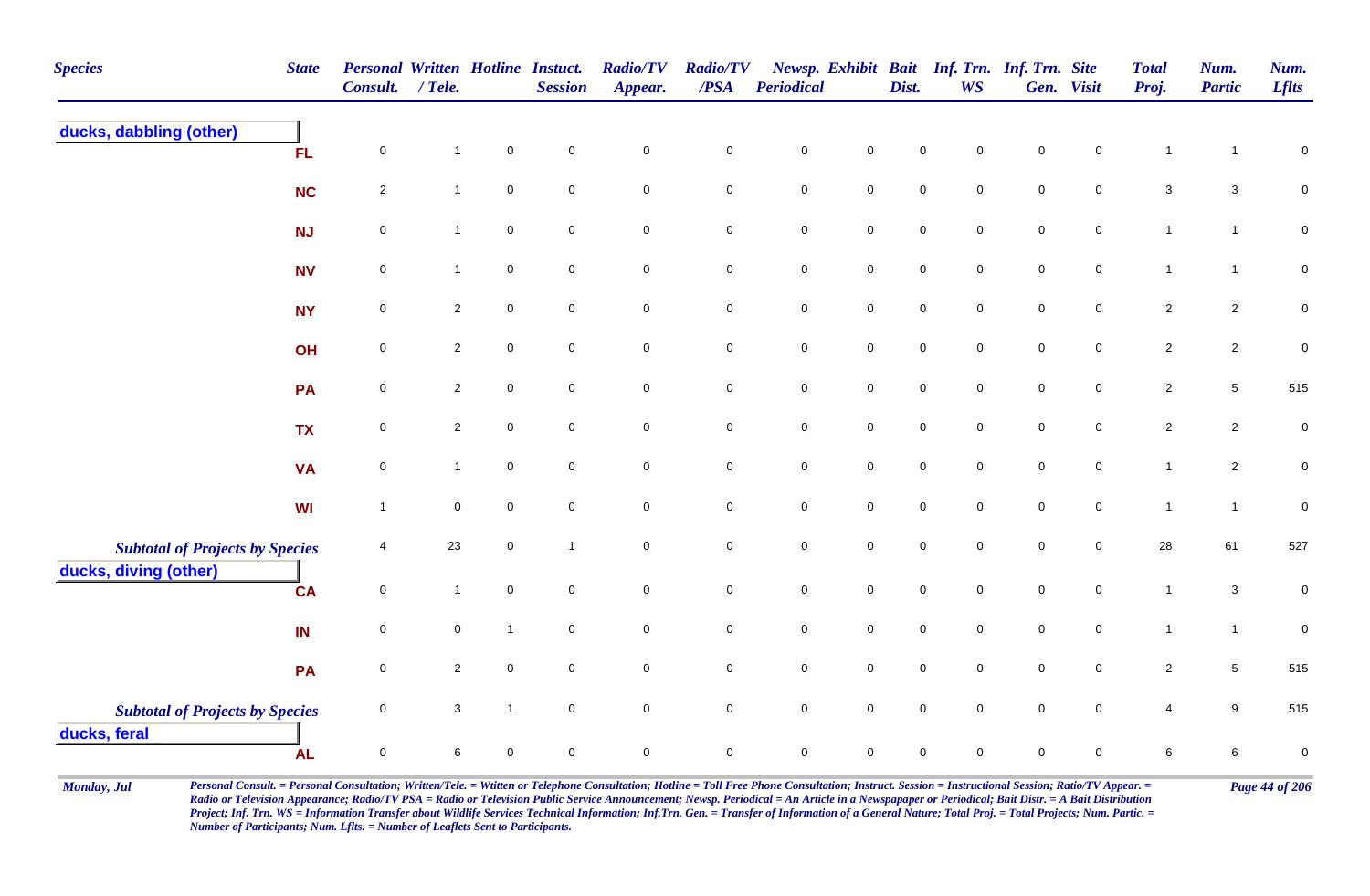| <b>Species</b>                                                  | <b>State</b> | <b>Personal Written Hotline Instuct.</b><br><b>Consult.</b> | / Tele.                 |                     | <b>Session</b> | <b>Radio/TV</b><br>Appear. | <b>Radio/TV</b><br>/PSA | Periodical  |                     | Dist.       | <b>WS</b>   | Newsp. Exhibit Bait Inf. Trn. Inf. Trn. Site | Gen. Visit          | <b>Total</b><br>Proj.     | Num.<br><b>Partic</b> | Num.<br><b>Lflts</b> |
|-----------------------------------------------------------------|--------------|-------------------------------------------------------------|-------------------------|---------------------|----------------|----------------------------|-------------------------|-------------|---------------------|-------------|-------------|----------------------------------------------|---------------------|---------------------------|-----------------------|----------------------|
| ducks, dabbling (other)                                         | FL.          | $\mathbf 0$                                                 | $\mathbf{1}$            | $\pmb{0}$           | $\pmb{0}$      | $\mathbf 0$                | $\pmb{0}$               | $\pmb{0}$   | $\mathsf 0$         | $\mathsf 0$ | $\mathbf 0$ | $\pmb{0}$                                    | $\mathbf 0$         | $\mathbf{1}$              | $\mathbf{1}$          | $\pmb{0}$            |
|                                                                 | <b>NC</b>    | $\overline{2}$                                              | $\mathbf{1}$            | $\mathsf{O}\xspace$ | $\mathsf 0$    | $\mathbf 0$                | $\mathbf 0$             | $\pmb{0}$   | $\mathbf 0$         | $\pmb{0}$   | $\mathbf 0$ | $\pmb{0}$                                    | $\mathbf 0$         | $\ensuremath{\mathsf{3}}$ | $\mathbf{3}$          | $\pmb{0}$            |
|                                                                 | NJ           | $\mathsf{O}\xspace$                                         | $\mathbf{1}$            | $\mathsf{O}\xspace$ | $\mathsf 0$    | $\mathsf{O}\xspace$        | $\mathbf 0$             | $\pmb{0}$   | $\mathbf 0$         | $\pmb{0}$   | $\pmb{0}$   | $\pmb{0}$                                    | $\mathbf 0$         | $\mathbf{1}$              | $\mathbf{1}$          | $\pmb{0}$            |
|                                                                 | <b>NV</b>    | $\mathbf 0$                                                 | $\mathbf{1}$            | $\mathbf 0$         | $\mathbf 0$    | $\mathbf 0$                | $\mathbf 0$             | $\mathbf 0$ | $\mathbf 0$         | $\pmb{0}$   | $\mathbf 0$ | $\pmb{0}$                                    | $\mathbf 0$         | $\mathbf{1}$              | $\mathbf{1}$          | $\mathbf 0$          |
|                                                                 | <b>NY</b>    | $\mathbf 0$                                                 | $\overline{2}$          | $\mathbf 0$         | $\mathbf 0$    | $\mathbf 0$                | $\mathbf 0$             | $\pmb{0}$   | $\overline{0}$      | $\mathsf 0$ | $\mathbf 0$ | $\mathsf 0$                                  | $\mathbf 0$         | $\overline{2}$            | $\overline{a}$        | $\pmb{0}$            |
|                                                                 | OH           | $\mathbf 0$                                                 | $\overline{2}$          | $\mathbf 0$         | $\mathbf 0$    | $\mathbf 0$                | $\mathbf 0$             | $\pmb{0}$   | $\overline{0}$      | $\mathsf 0$ | $\mathbf 0$ | $\mathsf 0$                                  | $\mathbf 0$         | $\overline{c}$            | $\overline{c}$        | $\pmb{0}$            |
|                                                                 | PA           | $\overline{0}$                                              | $\overline{2}$          | $\mathbf 0$         | $\mathbf 0$    | $\mathbf 0$                | $\overline{0}$          | $\mathsf 0$ | $\mathbf 0$         | $\mathbf 0$ | $\mathbf 0$ | $\mathbf 0$                                  | $\overline{0}$      | $\overline{2}$            | $5\phantom{.0}$       | 515                  |
|                                                                 | <b>TX</b>    | $\mathsf{O}\xspace$                                         | $\overline{\mathbf{c}}$ | $\mathbf 0$         | $\mathbf 0$    | $\mathbf 0$                | $\mathbf 0$             | $\pmb{0}$   | $\mathbf 0$         | $\pmb{0}$   | $\mathbf 0$ | $\pmb{0}$                                    | $\mathsf{O}\xspace$ | $\overline{c}$            | $\overline{c}$        | $\pmb{0}$            |
|                                                                 | <b>VA</b>    | $\mathsf{O}\xspace$                                         | $\mathbf{1}$            | $\mathsf{O}\xspace$ | $\mathbf 0$    | $\mathbf 0$                | $\mathsf{O}\xspace$     | $\pmb{0}$   | $\mathsf{O}$        | $\pmb{0}$   | $\mathbf 0$ | $\mathsf 0$                                  | $\mathbf 0$         | $\mathbf{1}$              | $\overline{c}$        | $\pmb{0}$            |
|                                                                 | WI           | $\overline{1}$                                              | $\mathbf 0$             | $\mathbf 0$         | $\mathsf 0$    | $\mathbf 0$                | $\mathbf 0$             | $\pmb{0}$   | $\mathbf 0$         | $\pmb{0}$   | $\mathbf 0$ | $\pmb{0}$                                    | $\mathsf{O}\xspace$ | $\mathbf{1}$              | $\mathbf{1}$          | $\pmb{0}$            |
| <b>Subtotal of Projects by Species</b><br>ducks, diving (other) |              | $\overline{4}$                                              | 23                      | $\mathsf{O}\xspace$ | $\mathbf{1}$   | $\mathbf 0$                | $\mathsf{O}\xspace$     | $\pmb{0}$   | $\mathsf{O}\xspace$ | $\pmb{0}$   | $\pmb{0}$   | $\pmb{0}$                                    | $\mathbf 0$         | 28                        | 61                    | 527                  |
|                                                                 | <b>CA</b>    | $\overline{0}$                                              | $\mathbf{1}$            | $\mathsf{O}\xspace$ | $\mathbf 0$    | $\mathsf{O}\xspace$        | $\mathsf{O}\xspace$     | $\pmb{0}$   | $\mathsf{O}\xspace$ | $\mathsf 0$ | $\mathbf 0$ | $\mathsf 0$                                  | $\mathbf 0$         | $\mathbf{1}$              | $\mathbf{3}$          | $\mathbf 0$          |
|                                                                 | IN           | $\overline{0}$                                              | $\mathbf 0$             | $\mathbf{1}$        | $\mathbf 0$    | $\mathbf 0$                | $\mathbf 0$             | $\pmb{0}$   | $\mathsf{O}\xspace$ | $\mathsf 0$ | $\mathbf 0$ | $\mathsf 0$                                  | $\mathbf 0$         | $\mathbf{1}$              | $\mathbf{1}$          | $\pmb{0}$            |
|                                                                 | PA           | $\mathbf 0$                                                 | $\overline{2}$          | $\pmb{0}$           | $\mathsf 0$    | $\mathsf{O}\xspace$        | $\mathbf 0$             | $\pmb{0}$   | $\mathbf 0$         | $\pmb{0}$   | $\mathbf 0$ | $\pmb{0}$                                    | $\pmb{0}$           | $\overline{c}$            | $\overline{5}$        | 515                  |
| <b>Subtotal of Projects by Species</b><br>ducks, feral          |              | 0                                                           | $\mathbf{3}$            | $\mathbf{1}$        | $\mathbf 0$    | $\mathbf 0$                | $\mathbf 0$             | $\pmb{0}$   | $\mathbf 0$         | $\mathsf 0$ | $\mathbf 0$ | $\pmb{0}$                                    | $\mathbf 0$         | $\overline{4}$            | 9                     | 515                  |
|                                                                 | <b>AL</b>    | $\mathsf 0$                                                 | 6                       | $\Omega$            | $\Omega$       | 0                          | $\pmb{0}$               | $\mathsf 0$ | $\mathbf 0$         | $\mathbf 0$ | $\Omega$    | $\Omega$                                     | 0                   | 6                         | 6                     | $\pmb{0}$            |

Monday, Jul Personal Consult. = Personal Consultation; Written/Tele. = Witten or Telephone Consultation; Hotline = Toll Free Phone Consultation; Instruct. Session = Instructional Session; Ratio/TV Appear. = Page 44 of 206 *Radio or Television Appearance; Radio/TV PSA = Radio or Television Public Service Announcement; Newsp. Periodical = An Article in a Newspapaper or Periodical; Bait Distr. = A Bait Distribution*  Project; Inf. Trn. WS = Information Transfer about Wildlife Services Technical Information; Inf.Trn. Gen. = Transfer of Information of a General Nature; Total Proj. = Total Projects; Num. Partic. = *Number of Participants; Num. Lflts. = Number of Leaflets Sent to Participants.*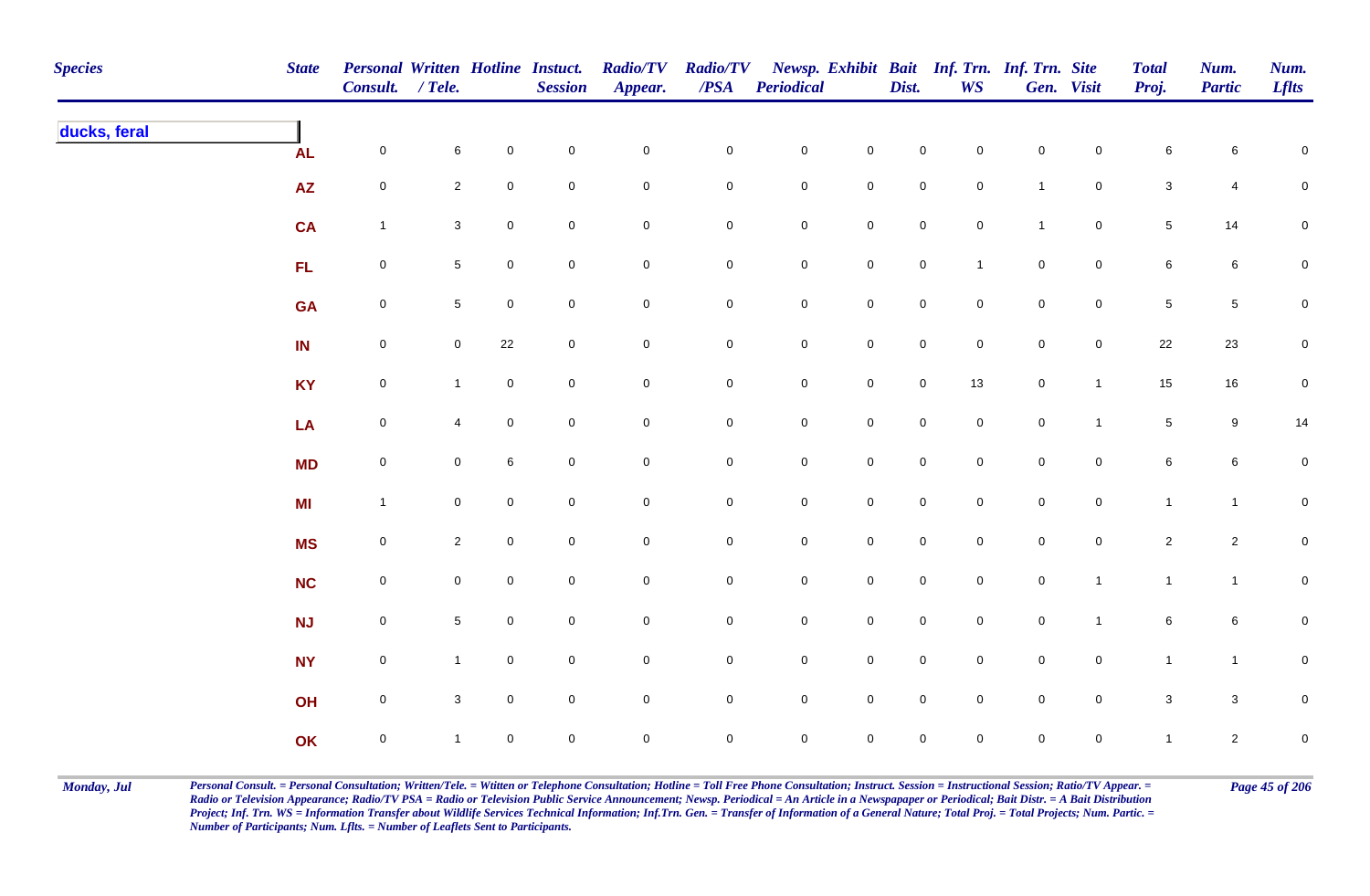| <b>Species</b> | <b>State</b> | Personal Written Hotline Instuct.<br>Consult. / Tele. |                     |                     | <b>Session</b> | <b>Radio/TV</b><br>Appear. | <b>Radio/TV</b><br>$\boldsymbol{PSA}$ | <b>Periodical</b>   |                     | Dist.               | <b>WS</b>           | Newsp. Exhibit Bait Inf. Trn. Inf. Trn. Site | Gen. Visit          | <b>Total</b><br>Proj. | Num.<br><b>Partic</b> | Num.<br><b>Lflts</b> |
|----------------|--------------|-------------------------------------------------------|---------------------|---------------------|----------------|----------------------------|---------------------------------------|---------------------|---------------------|---------------------|---------------------|----------------------------------------------|---------------------|-----------------------|-----------------------|----------------------|
| ducks, feral   | <b>AL</b>    | $\mathsf{O}\xspace$                                   | 6                   | $\mathbf 0$         | $\pmb{0}$      | $\mathbf 0$                | $\mathbf 0$                           | $\mathbf 0$         | $\mathbf 0$         | $\mathsf 0$         | $\mathbf 0$         | $\mathbf 0$                                  | $\mathbf 0$         | 6                     | 6                     | $\mathbf 0$          |
|                | <b>AZ</b>    | $\mathsf{O}\xspace$                                   | $\overline{2}$      | $\mathbf 0$         | $\mathbf 0$    | $\mathbf 0$                | $\mathsf{O}\xspace$                   | $\mathbf 0$         | $\pmb{0}$           | $\pmb{0}$           | $\mathbf 0$         | $\overline{1}$                               | $\mathbf 0$         | $\mathbf{3}$          | 4                     | $\pmb{0}$            |
|                | <b>CA</b>    | $\mathbf{1}$                                          | $\mathbf{3}$        | $\mathbf 0$         | $\pmb{0}$      | $\pmb{0}$                  | $\mathbf 0$                           | $\mathbf 0$         | $\pmb{0}$           | $\pmb{0}$           | $\mathbf 0$         | $\mathbf{1}$                                 | $\pmb{0}$           | $\sqrt{5}$            | 14                    | $\mathbf 0$          |
|                | FL           | $\mathbf 0$                                           | $5\phantom{.0}$     | $\mathbf 0$         | $\pmb{0}$      | $\mathbf 0$                | $\overline{0}$                        | $\mathbf 0$         | $\mathbf 0$         | $\mathsf{O}$        | $\mathbf{1}$        | $\mathbf 0$                                  | $\mathbf 0$         | 6                     | $6\phantom{.0}$       | 0                    |
|                | <b>GA</b>    | $\mathbf 0$                                           | $5\phantom{.0}$     | $\overline{0}$      | $\mathbf 0$    | $\mathbf 0$                | $\mathbf 0$                           | $\mathbf 0$         | $\mathbf 0$         | $\mathsf 0$         | $\overline{0}$      | $\mathbf 0$                                  | $\mathbf 0$         | $\sqrt{5}$            | $5\phantom{.0}$       | 0                    |
|                | IN           | $\mathsf{O}\xspace$                                   | $\overline{0}$      | 22                  | $\mathbf 0$    | $\mathbf 0$                | $\boldsymbol{0}$                      | $\mathbf 0$         | $\mathsf{O}\xspace$ | $\mathsf{O}\xspace$ | $\mathbf 0$         | $\mathbf 0$                                  | $\mathsf{O}\xspace$ | 22                    | 23                    | ${\bf 0}$            |
|                | <b>KY</b>    | $\mathsf{O}\xspace$                                   | $\mathbf{1}$        | $\mathbf 0$         | $\mathbf 0$    | $\mathsf{O}\xspace$        | $\mathsf{O}\xspace$                   | $\mathbf 0$         | $\mathsf 0$         | $\mathsf 0$         | 13                  | $\mathbf 0$                                  | $\mathbf{1}$        | 15                    | $16\,$                | $\mathbf 0$          |
|                | LA           | $\mathsf{O}\xspace$                                   | $\overline{4}$      | $\mathsf{O}\xspace$ | $\mathbf 0$    | $\mathbf 0$                | $\mathbf 0$                           | $\overline{0}$      | $\mathsf{O}\xspace$ | $\mathbf 0$         | $\mathbf 0$         | $\mathsf{O}\xspace$                          | $\mathbf{1}$        | 5                     | $9\,$                 | 14                   |
|                | <b>MD</b>    | $\mathsf{O}\xspace$                                   | $\mathbf 0$         | 6                   | $\mathbf 0$    | $\mathbf 0$                | $\mathbf 0$                           | $\mathsf{O}\xspace$ | $\mathsf{O}\xspace$ | $\mathsf{O}\xspace$ | $\mathbf 0$         | $\mathbf 0$                                  | $\mathbf 0$         | 6                     | $6\phantom{.}$        | ${\bf 0}$            |
|                | <b>MI</b>    | $\mathbf{1}$                                          | $\mathsf{O}\xspace$ | $\mathbf 0$         | $\mathbf 0$    | $\mathbf 0$                | $\mathsf{O}\xspace$                   | $\mathsf{O}\xspace$ | $\mathbf 0$         | $\mathsf{O}$        | $\mathsf{O}\xspace$ | $\mathsf{O}\xspace$                          | $\mathbf 0$         | $\mathbf{1}$          | $\mathbf{1}$          | $\mathbf 0$          |
|                | <b>MS</b>    | $\mathbf 0$                                           | $\overline{2}$      | $\mathbf 0$         | $\pmb{0}$      | $\mathbf 0$                | $\overline{0}$                        | $\mathbf 0$         | $\pmb{0}$           | $\mathsf 0$         | $\mathbf 0$         | $\mathbf 0$                                  | $\mathbf 0$         | $\overline{a}$        | $\overline{2}$        | ${\bf 0}$            |
|                | <b>NC</b>    | $\mathbf 0$                                           | $\mathbf 0$         | $\mathbf 0$         | $\pmb{0}$      | $\mathbf 0$                | $\overline{0}$                        | $\mathbf 0$         | $\mathbf 0$         | $\mathsf{O}$        | $\mathbf 0$         | $\mathbf 0$                                  | $\mathbf{1}$        | $\mathbf{1}$          | $\mathbf{1}$          | ${\bf 0}$            |
|                | <b>NJ</b>    | $\mathbf 0$                                           | $5\phantom{.0}$     | $\overline{0}$      | $\mathbf 0$    | $\mathbf 0$                | $\overline{0}$                        | $\mathbf 0$         | $\mathbf 0$         | $\mathsf{O}$        | $\overline{0}$      | $\mathbf 0$                                  | $\mathbf{1}$        | 6                     | $6\phantom{.}6$       | 0                    |
|                | <b>NY</b>    | $\mathbf 0$                                           | $\mathbf{1}$        | $\mathbf 0$         | $\mathbf 0$    | $\mathsf{O}\xspace$        | $\overline{0}$                        | $\mathbf 0$         | $\mathbf 0$         | $\mathsf 0$         | $\mathbf 0$         | $\mathbf 0$                                  | $\overline{0}$      | $\mathbf{1}$          | $\overline{1}$        | $\mathbf 0$          |
|                | OH           | $\mathbf 0$                                           | $\mathbf{3}$        | $\mathbf 0$         | $\mathbf 0$    | $\mathsf{O}\xspace$        | $\overline{0}$                        | $\mathbf 0$         | $\mathsf 0$         | $\mathsf 0$         | $\mathsf{O}\xspace$ | $\mathsf{O}\xspace$                          | $\overline{0}$      | $\mathbf{3}$          | $\mathbf{3}$          | $\mathbf 0$          |
|                | OK           | $\mathsf{O}\xspace$                                   | $\mathbf{1}$        | $\overline{0}$      | $\mathbf 0$    | $\mathsf{O}\xspace$        | $\mathbf 0$                           | $\mathsf{O}\xspace$ | $\mathsf{O}\xspace$ | $\mathsf{O}\xspace$ | $\mathbf 0$         | $\mathsf{O}\xspace$                          | $\mathsf{O}\xspace$ | $\mathbf{1}$          | $\overline{2}$        | $\mathbf 0$          |

Monday, Jul Personal Consult. = Personal Consultation; Written/Tele. = Witten or Telephone Consultation; Hotline = Toll Free Phone Consultation; Instruct. Session = Instructional Session; Ratio/TV Appear. = Page 45 of 206 *Radio or Television Appearance; Radio/TV PSA = Radio or Television Public Service Announcement; Newsp. Periodical = An Article in a Newspapaper or Periodical; Bait Distr. = A Bait Distribution*  Project; Inf. Trn. WS = Information Transfer about Wildlife Services Technical Information; Inf.Trn. Gen. = Transfer of Information of a General Nature; Total Proj. = Total Projects; Num. Partic. = *Number of Participants; Num. Lflts. = Number of Leaflets Sent to Participants.*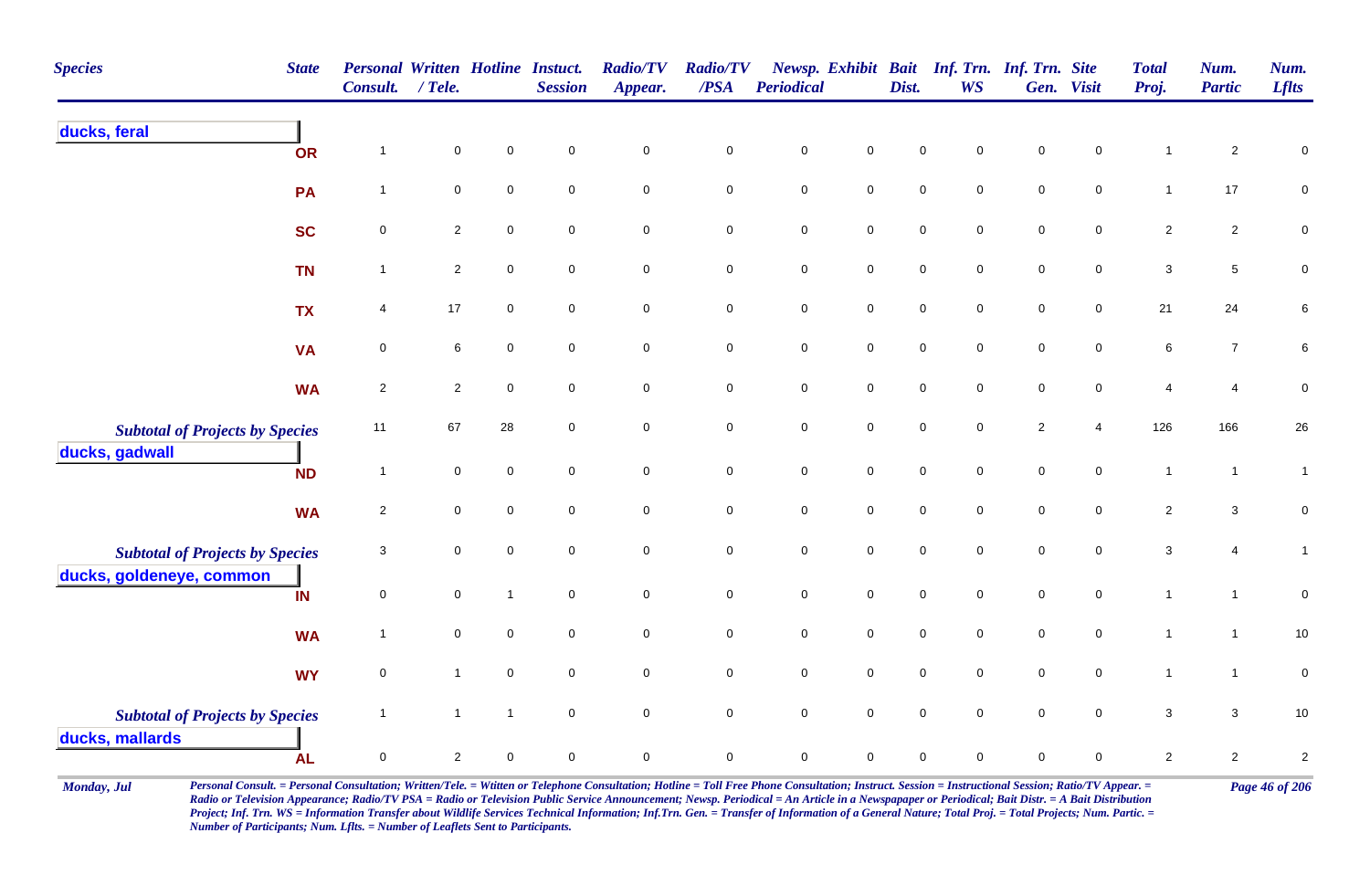| <b>Species</b>                         | <b>State</b> | <b>Personal Written Hotline Instuct.</b><br>Consult. | $/$ Tele.      |                  | <b>Session</b>      | <b>Radio/TV</b><br>Appear. | <b>Radio/TV</b><br>/PSA | Periodical          |                     | Dist.       | <b>WS</b>   | Newsp. Exhibit Bait Inf. Trn. Inf. Trn. Site | Gen. Visit          | <b>Total</b><br>Proj.     | Num.<br><b>Partic</b> | Num.<br><b>Lflts</b>    |
|----------------------------------------|--------------|------------------------------------------------------|----------------|------------------|---------------------|----------------------------|-------------------------|---------------------|---------------------|-------------|-------------|----------------------------------------------|---------------------|---------------------------|-----------------------|-------------------------|
| ducks, feral                           | OR           | $\mathbf 1$                                          | $\mathbf 0$    | $\pmb{0}$        | $\mathbf 0$         | $\mathsf 0$                | $\pmb{0}$               | $\pmb{0}$           | $\pmb{0}$           | $\mathbf 0$ | 0           | $\mathsf 0$                                  | 0                   | -1                        | $\overline{2}$        | $\pmb{0}$               |
|                                        | PA           | $\mathbf{1}$                                         | $\pmb{0}$      | $\pmb{0}$        | $\mathbf 0$         | $\mathbf 0$                | $\pmb{0}$               | $\pmb{0}$           | $\mathbf 0$         | $\pmb{0}$   | 0           | $\mathsf 0$                                  | $\mathsf{O}\xspace$ | $\mathbf{1}$              | 17                    | $\pmb{0}$               |
|                                        | <b>SC</b>    | $\pmb{0}$                                            | $\mathbf{2}$   | $\mathbf 0$      | $\mathbf 0$         | $\mathbf 0$                | $\mathbf 0$             | $\pmb{0}$           | $\mathbf 0$         | $\mathbf 0$ | $\mathbf 0$ | $\mathbf 0$                                  | $\mathbf 0$         | $\overline{2}$            | $\overline{2}$        | $\mathbf 0$             |
|                                        | <b>TN</b>    | $\overline{1}$                                       | $\overline{2}$ | $\mathbf 0$      | $\mathbf 0$         | $\mathbf 0$                | $\mathbf 0$             | $\pmb{0}$           | $\mathbf 0$         | $\mathbf 0$ | $\mathbf 0$ | $\mathbf 0$                                  | 0                   | $\mathsf 3$               | 5                     | 0                       |
|                                        | <b>TX</b>    | 4                                                    | 17             | $\mathbf 0$      | $\mathbf 0$         | $\mathsf{O}\xspace$        | $\mathbf 0$             | $\mathbf 0$         | $\mathsf{O}\xspace$ | $\mathbf 0$ | 0           | $\mathbf 0$                                  | $\mathbf 0$         | 21                        | 24                    | 6                       |
|                                        | <b>VA</b>    | $\mathbf 0$                                          | 6              | $\mathbf 0$      | $\mathbf 0$         | $\mathbf 0$                | $\mathbf 0$             | $\pmb{0}$           | $\mathbf 0$         | $\mathsf 0$ | $\mathbf 0$ | $\mathsf 0$                                  | $\mathbf 0$         | $\,6\,$                   | $\overline{7}$        | 6                       |
|                                        | <b>WA</b>    | $\sqrt{2}$                                           | $\overline{2}$ | $\mathsf 0$      | $\mathbf 0$         | $\mathsf{O}\xspace$        | $\mathbf 0$             | $\pmb{0}$           | $\mathbf 0$         | $\mathsf 0$ | $\mathbf 0$ | $\mathsf 0$                                  | $\mathbf 0$         | $\overline{4}$            | 4                     | $\pmb{0}$               |
| <b>Subtotal of Projects by Species</b> |              | 11                                                   | 67             | 28               | $\mathbf 0$         | $\mathbf 0$                | $\mathbf 0$             | $\pmb{0}$           | $\mathsf{O}$        | $\pmb{0}$   | $\mathbf 0$ | $\sqrt{2}$                                   | $\overline{4}$      | 126                       | 166                   | 26                      |
| ducks, gadwall                         | <b>ND</b>    | $\overline{1}$                                       | $\mathbf 0$    | $\mathbf 0$      | $\mathbf 0$         | $\mathsf{O}\xspace$        | $\mathsf 0$             | $\mathbf 0$         | $\mathsf{O}\xspace$ | $\pmb{0}$   | $\mathbf 0$ | $\pmb{0}$                                    | $\mathbf 0$         | $\mathbf{1}$              | $\mathbf{1}$          | $\mathbf{1}$            |
|                                        | <b>WA</b>    | $\overline{2}$                                       | 0              | $\mathbf 0$      | $\mathbf 0$         | $\mathbf 0$                | $\mathsf 0$             | $\pmb{0}$           | $\mathbf 0$         | $\mathsf 0$ | $\mathbf 0$ | $\mathsf 0$                                  | 0                   | $\overline{2}$            | $\mathbf{3}$          | $\pmb{0}$               |
| <b>Subtotal of Projects by Species</b> |              | 3                                                    | $\mathbf 0$    | $\mathbf 0$      | $\mathbf 0$         | $\mathbf 0$                | $\mathbf 0$             | $\mathbf 0$         | $\mathbf 0$         | $\mathbf 0$ | 0           | $\mathbf 0$                                  | 0                   | $\ensuremath{\mathsf{3}}$ | $\overline{4}$        | $\mathbf{1}$            |
| ducks, goldeneye, common               | IN           | $\pmb{0}$                                            | $\mathbf 0$    | $\overline{1}$   | $\mathsf 0$         | $\mathbf 0$                | $\mathbf 0$             | $\pmb{0}$           | $\mathsf{O}$        | $\mathsf 0$ | $\mathbf 0$ | $\pmb{0}$                                    | $\mathbf 0$         | $\mathbf{1}$              | $\mathbf{1}$          | $\mathbf 0$             |
|                                        | <b>WA</b>    | $\overline{1}$                                       | 0              | $\pmb{0}$        | $\mathbf 0$         | $\mathbf 0$                | $\pmb{0}$               | $\pmb{0}$           | $\mathbf 0$         | $\mathsf 0$ | $\mathbf 0$ | $\mathsf 0$                                  | 0                   | $\mathbf{1}$              | $\mathbf{1}$          | $10$                    |
|                                        | <b>WY</b>    | $\pmb{0}$                                            | $\mathbf{1}$   | $\boldsymbol{0}$ | $\mathsf{O}\xspace$ | $\mathbf 0$                | $\mathbf 0$             | $\pmb{0}$           | $\mathbf 0$         | $\mathsf 0$ | $\mathbf 0$ | $\pmb{0}$                                    | $\mathbf 0$         | $\mathbf{1}$              | $\mathbf{1}$          | $\mathbf 0$             |
| <b>Subtotal of Projects by Species</b> |              | $\mathbf{1}$                                         | $\mathbf{1}$   | $\overline{1}$   | $\mathbf 0$         | $\mathbf 0$                | $\mathbf 0$             | $\mathsf{O}\xspace$ | $\mathbf 0$         | $\mathbf 0$ | $\mathbf 0$ | $\mathbf 0$                                  | $\mathbf 0$         | $\mathbf 3$               | 3                     | 10                      |
| ducks, mallards                        | <b>AL</b>    | $\pmb{0}$                                            | $\overline{c}$ | $\mathbf 0$      | $\mathsf{O}\xspace$ | $\mathbf 0$                | $\mathsf 0$             | $\pmb{0}$           | $\mathbf 0$         | $\mathsf 0$ | 0           | $\mathsf 0$                                  | $\mathbf 0$         | $\overline{2}$            | $\overline{2}$        | $\overline{\mathbf{c}}$ |

Monday, Jul Personal Consult. = Personal Consultation; Written/Tele. = Witten or Telephone Consultation; Hotline = Toll Free Phone Consultation; Instruct. Session = Instructional Session; Ratio/TV Appear. = Page 46 of 206 *Radio or Television Appearance; Radio/TV PSA = Radio or Television Public Service Announcement; Newsp. Periodical = An Article in a Newspapaper or Periodical; Bait Distr. = A Bait Distribution*  Project; Inf. Trn. WS = Information Transfer about Wildlife Services Technical Information; Inf.Trn. Gen. = Transfer of Information of a General Nature; Total Proj. = Total Projects; Num. Partic. = *Number of Participants; Num. Lflts. = Number of Leaflets Sent to Participants.*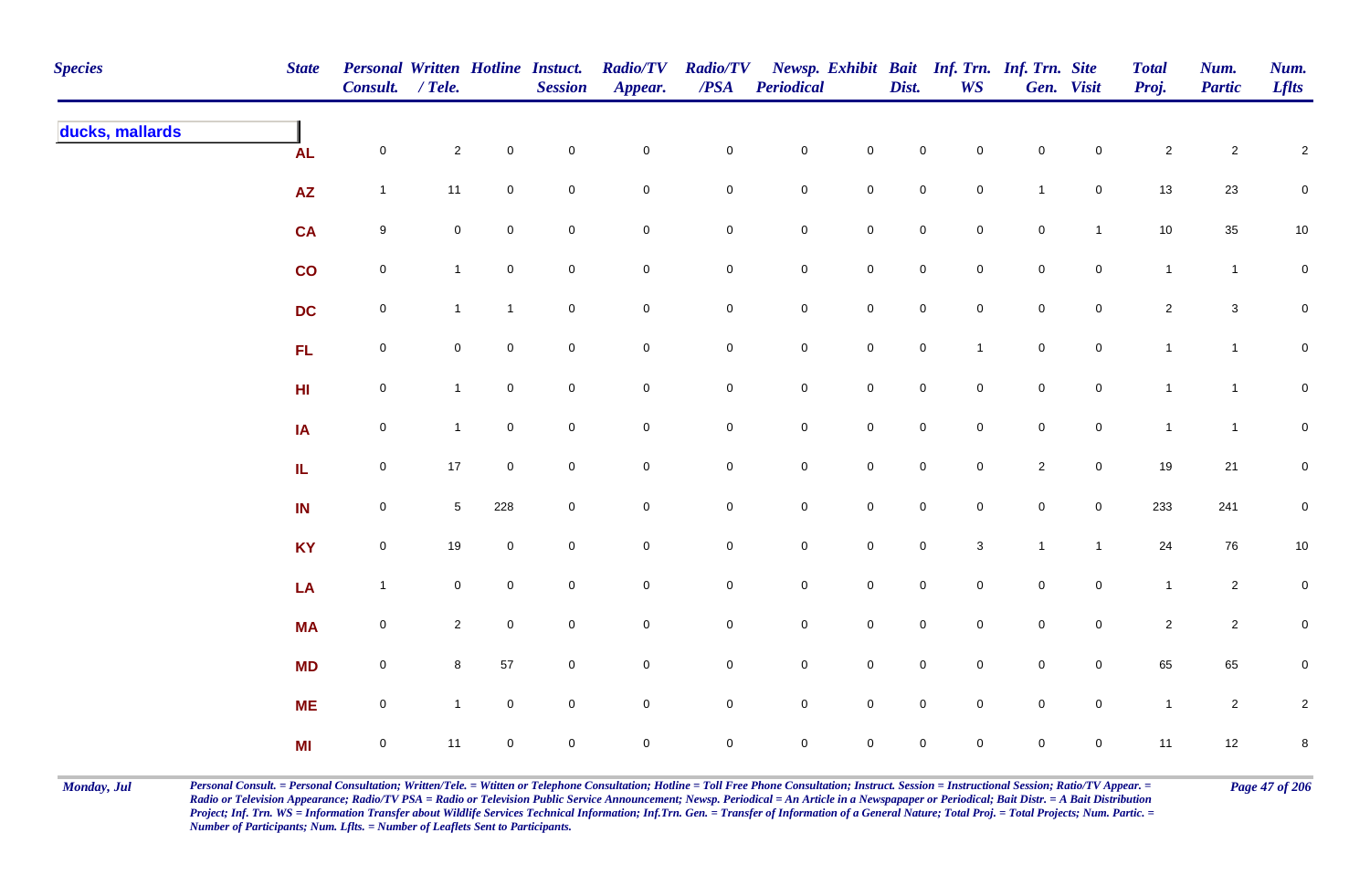| <b>Species</b>  | <b>State</b>    | Personal Written Hotline Instuct.<br>Consult. / Tele. |                |                     | <b>Session</b> | <b>Radio/TV</b><br>Appear. | <b>Radio/TV</b><br>$\overline{PSA}$ | <b>Periodical</b>   |                     | Dist.               | <b>WS</b>      | Newsp. Exhibit Bait Inf. Trn. Inf. Trn. Site | Gen. Visit     | <b>Total</b><br>Proj. | Num.<br><b>Partic</b> | Num.<br><b>Lflts</b> |
|-----------------|-----------------|-------------------------------------------------------|----------------|---------------------|----------------|----------------------------|-------------------------------------|---------------------|---------------------|---------------------|----------------|----------------------------------------------|----------------|-----------------------|-----------------------|----------------------|
| ducks, mallards | <b>AL</b>       | $\mathbf 0$                                           | $\mathbf{2}$   | $\mathbf 0$         | $\pmb{0}$      | $\mathbf 0$                | $\mathbf 0$                         | $\mathbf 0$         | $\pmb{0}$           | $\mathsf{O}\xspace$ | $\mathbf 0$    | $\mathbf 0$                                  | $\mathbf 0$    | $\overline{c}$        | $\overline{c}$        | $\sqrt{2}$           |
|                 | $\overline{AZ}$ | $\mathbf{1}$                                          | 11             | $\mathbf 0$         | $\pmb{0}$      | $\pmb{0}$                  | 0                                   | ${\bf 0}$           | $\mathbf 0$         | $\mathbf 0$         | $\mathbf 0$    | $\overline{1}$                               | $\mathsf{O}$   | 13                    | 23                    | $\mathbf 0$          |
|                 | <b>CA</b>       | $9\,$                                                 | $\mathbf 0$    | $\overline{0}$      | $\pmb{0}$      | $\pmb{0}$                  | $\mathbf 0$                         | $\mathbf 0$         | $\mathbf 0$         | $\mathbf 0$         | $\mathbf 0$    | $\mathbf 0$                                  | $\mathbf{1}$   | 10                    | 35                    | 10                   |
|                 | $\mathsf{co}$   | $\mathsf{O}\xspace$                                   | $\mathbf{1}$   | $\overline{0}$      | $\pmb{0}$      | $\mathsf{O}\xspace$        | $\mathbf 0$                         | $\mathbf 0$         | $\mathbf 0$         | $\mathsf{O}$        | $\overline{0}$ | $\mathsf{O}\xspace$                          | $\mathsf{O}$   | $\mathbf{1}$          | $\mathbf{1}$          | $\mathbf 0$          |
|                 | <b>DC</b>       | $\mathbf 0$                                           | $\mathbf{1}$   | $\mathbf{1}$        | $\pmb{0}$      | $\mathsf 0$                | $\overline{0}$                      | $\mathbf 0$         | $\pmb{0}$           | $\mathsf 0$         | $\overline{0}$ | $\mathbf 0$                                  | $\mathbf 0$    | $\overline{2}$        | $\mathbf{3}$          | $\mathsf{O}\xspace$  |
|                 | FL              | $\mathsf{O}\xspace$                                   | $\mathbf 0$    | $\mathsf{O}\xspace$ | $\pmb{0}$      | $\pmb{0}$                  | $\mathbf 0$                         | $\mathbf 0$         | $\pmb{0}$           | $\mathsf{O}$        | $\mathbf{1}$   | $\mathbf 0$                                  | $\mathbf 0$    | $\mathbf{1}$          | $\mathbf{1}$          | $\overline{0}$       |
|                 | H <sub>II</sub> | $\mathsf{O}\xspace$                                   | $\mathbf{1}$   | $\overline{0}$      | $\pmb{0}$      | $\mathbf 0$                | 0                                   | $\mathsf{O}\xspace$ | $\mathbf 0$         | $\mathbf 0$         | $\mathbf 0$    | $\mathsf{O}\xspace$                          | $\mathbf 0$    | $\mathbf{1}$          | $\mathbf{1}$          | $\mathbf 0$          |
|                 | IA              | $\mathsf 0$                                           | $\mathbf{1}$   | $\mathbf 0$         | $\mathsf 0$    | $\mathbf 0$                | 0                                   | $\mathsf{O}\xspace$ | $\mathsf 0$         | $\mathbf 0$         | $\mathbf 0$    | $\mathbf 0$                                  | $\overline{0}$ | $\mathbf{1}$          | $\mathbf{1}$          | $\mathbf 0$          |
|                 | ${\sf IL}$      | $\mathsf{O}\xspace$                                   | $17$           | $\overline{0}$      | $\mathsf 0$    | $\pmb{0}$                  | 0                                   | $\mathsf{O}\xspace$ | $\mathsf{O}\xspace$ | $\mathsf{O}\xspace$ | $\mathbf 0$    | $\overline{2}$                               | $\mathbf 0$    | 19                    | 21                    | $\mathbf 0$          |
|                 | IN              | $\mathsf{O}\xspace$                                   | $\sqrt{5}$     | 228                 | $\pmb{0}$      | $\pmb{0}$                  | $\mathbf 0$                         | $\mathbf 0$         | $\mathbf 0$         | $\mathbf 0$         | $\mathbf 0$    | $\mathsf{O}\xspace$                          | $\mathbf 0$    | 233                   | 241                   | $\mathbf 0$          |
|                 | <b>KY</b>       | $\boldsymbol{0}$                                      | 19             | $\mathbf 0$         | $\pmb{0}$      | $\mathbf 0$                | $\mathbf 0$                         | ${\bf 0}$           | $\mathbf 0$         | $\mathsf{O}$        | $\mathbf{3}$   | $\overline{1}$                               | $\mathbf{1}$   | 24                    | 76                    | $10\,$               |
|                 | LA              | $\overline{1}$                                        | $\mathbf 0$    | $\overline{0}$      | $\pmb{0}$      | $\pmb{0}$                  | $\mathbf 0$                         | ${\bf 0}$           | $\mathbf 0$         | $\mathsf{O}$        | $\overline{0}$ | $\mathsf{O}\xspace$                          | $\mathsf{O}$   | $\mathbf{1}$          | $\overline{a}$        | $\mathbf 0$          |
|                 | <b>MA</b>       | $\mathsf{O}\xspace$                                   | $\overline{2}$ | $\overline{0}$      | $\pmb{0}$      | $\pmb{0}$                  | $\mathbf 0$                         | $\mathbf 0$         | $\pmb{0}$           | $\mathsf 0$         | $\overline{0}$ | $\mathsf{O}\xspace$                          | $\mathsf{O}$   | $\overline{c}$        | $\overline{a}$        | $\mathbf 0$          |
|                 | <b>MD</b>       | $\mathsf{O}\xspace$                                   | 8              | 57                  | $\pmb{0}$      | $\pmb{0}$                  | $\mathbf 0$                         | $\mathbf 0$         | $\mathsf 0$         | $\mathsf 0$         | $\mathbf 0$    | $\mathsf{O}\xspace$                          | $\mathbf 0$    | 65                    | 65                    | $\pmb{0}$            |
|                 | <b>ME</b>       | $\mathsf{O}\xspace$                                   | $\mathbf{1}$   | $\mathbf 0$         | $\pmb{0}$      | $\pmb{0}$                  | 0                                   | $\mathsf{O}\xspace$ | $\mathbf 0$         | $\mathsf{O}\xspace$ | $\mathbf 0$    | $\mathbf 0$                                  | $\mathbf 0$    | $\mathbf{1}$          | $\mathbf{2}$          | $\overline{2}$       |
|                 | MI              | $\mathbf 0$                                           | 11             | $\overline{0}$      | $\mathsf 0$    | $\mathbf 0$                | 0                                   | $\mathbf 0$         | $\mathbf 0$         | $\mathbf 0$         | $\mathbf 0$    | $\mathsf{O}\xspace$                          | $\mathbf 0$    | 11                    | $12\,$                | 8                    |

Monday, Jul Personal Consult. = Personal Consultation; Written/Tele. = Witten or Telephone Consultation; Hotline = Toll Free Phone Consultation; Instruct. Session = Instructional Session; Ratio/TV Appear. = Page 47 of 206 *Radio or Television Appearance; Radio/TV PSA = Radio or Television Public Service Announcement; Newsp. Periodical = An Article in a Newspapaper or Periodical; Bait Distr. = A Bait Distribution*  Project; Inf. Trn. WS = Information Transfer about Wildlife Services Technical Information; Inf.Trn. Gen. = Transfer of Information of a General Nature; Total Proj. = Total Projects; Num. Partic. = *Number of Participants; Num. Lflts. = Number of Leaflets Sent to Participants.*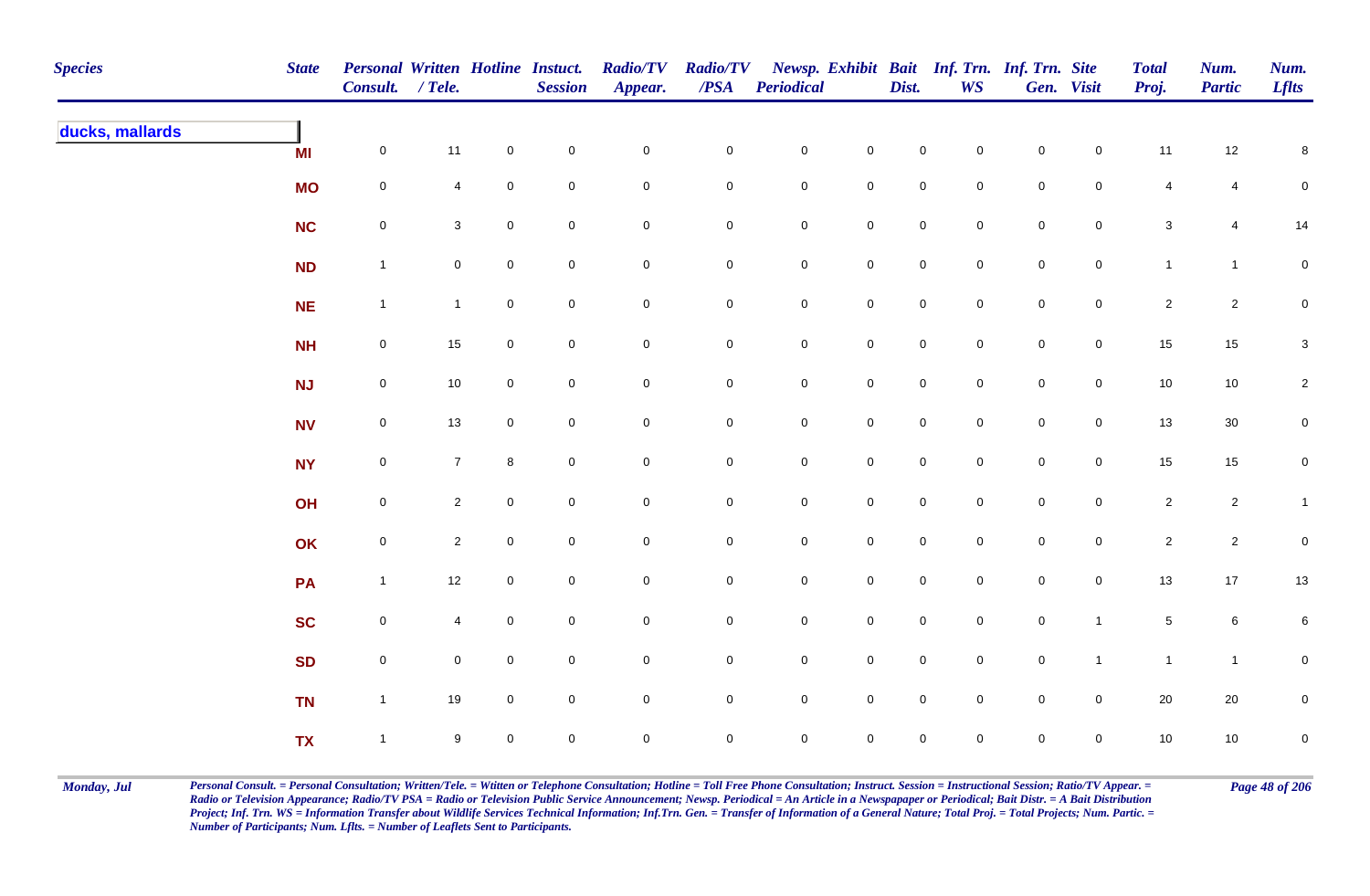| <b>Species</b>  | <b>State</b> | Personal Written Hotline Instuct.<br>Consult. / Tele. |                |                     | <b>Session</b>      | <b>Radio/TV</b><br>Appear. | <b>Radio/TV</b><br>$\overline{PSA}$ | <b>Periodical</b>   |                     | Dist.               | <b>WS</b>           | Newsp. Exhibit Bait Inf. Trn. Inf. Trn. Site | Gen. Visit          | <b>Total</b><br>Proj. | Num.<br><b>Partic</b> | Num.<br><b>Lflts</b>      |
|-----------------|--------------|-------------------------------------------------------|----------------|---------------------|---------------------|----------------------------|-------------------------------------|---------------------|---------------------|---------------------|---------------------|----------------------------------------------|---------------------|-----------------------|-----------------------|---------------------------|
| ducks, mallards | MI           | $\mathbf 0$                                           | 11             | $\mathsf{O}\xspace$ | $\pmb{0}$           | $\mathbf 0$                | $\mathsf{O}\xspace$                 | $\mathbf 0$         | $\mathbf 0$         | $\mathbf 0$         | $\mathsf{O}\xspace$ | $\mathbf 0$                                  | $\mathbf 0$         | 11                    | 12                    | $\bf 8$                   |
|                 | <b>MO</b>    | $\mathbf 0$                                           | 4              | $\mathbf 0$         | $\pmb{0}$           | $\mathsf{O}\xspace$        | $\mathbf 0$                         | $\mathbf 0$         | $\pmb{0}$           | $\mathbf 0$         | $\mathbf 0$         | $\mathbf 0$                                  | $\mathbf 0$         | $\overline{4}$        | $\overline{4}$        | $\pmb{0}$                 |
|                 | <b>NC</b>    | $\mathbf 0$                                           | $\mathbf{3}$   | $\mathbf 0$         | $\pmb{0}$           | $\mathsf{O}\xspace$        | $\mathbf 0$                         | $\mathbf 0$         | $\mathsf{O}\xspace$ | $\mathsf{O}\xspace$ | $\mathbf 0$         | $\mathbf 0$                                  | $\mathbf 0$         | $\mathsf 3$           | 4                     | 14                        |
|                 | <b>ND</b>    | $\mathbf{1}$                                          | $\overline{0}$ | $\mathbf 0$         | $\pmb{0}$           | $\pmb{0}$                  | $\mathsf{O}\xspace$                 | $\mathbf 0$         | $\mathbf 0$         | $\mathsf{O}\xspace$ | $\mathbf 0$         | $\mathbf 0$                                  | $\mathbf 0$         | $\mathbf{1}$          | $\overline{1}$        | $\mathbf 0$               |
|                 | <b>NE</b>    | $\mathbf{1}$                                          | $\mathbf{1}$   | $\overline{0}$      | $\mathsf{O}\xspace$ | $\mathbf 0$                | $\mathsf{O}\xspace$                 | $\mathbf 0$         | $\mathbf 0$         | $\mathbf 0$         | $\mathbf 0$         | $\mathbf 0$                                  | $\overline{0}$      | $\overline{2}$        | $\overline{2}$        | $\mathbf 0$               |
|                 | <b>NH</b>    | $\mathbf 0$                                           | 15             | $\mathbf 0$         | $\mathbf 0$         | $\mathsf{O}\xspace$        | $\overline{0}$                      | $\mathbf 0$         | $\mathbf 0$         | $\mathbf 0$         | $\mathsf{O}\xspace$ | $\mathsf{O}$                                 | $\mathbf 0$         | $15\,$                | 15                    | $\ensuremath{\mathsf{3}}$ |
|                 | <b>NJ</b>    | $\mathbf 0$                                           | $10$           | $\mathbf 0$         | $\mathbf 0$         | $\mathsf{O}\xspace$        | $\mathsf{O}\xspace$                 | $\mathbf 0$         | $\mathsf 0$         | $\mathsf{O}\xspace$ | $\mathsf{O}\xspace$ | $\mathbf 0$                                  | $\overline{0}$      | $10$                  | $10\,$                | $\sqrt{2}$                |
|                 | <b>NV</b>    | $\mathbf 0$                                           | 13             | $\mathbf 0$         | $\mathbf 0$         | $\mathsf{O}\xspace$        | $\mathbf 0$                         | $\mathbf 0$         | $\mathsf{O}\xspace$ | $\mathsf{O}\xspace$ | $\mathbf 0$         | $\mathbf 0$                                  | $\mathsf{O}\xspace$ | 13                    | $30\,$                | $\mathbf 0$               |
|                 | <b>NY</b>    | $\overline{0}$                                        | $\overline{7}$ | 8                   | $\mathbf 0$         | $\mathbf 0$                | $\mathbf 0$                         | $\mathbf 0$         | $\mathbf 0$         | $\mathbf 0$         | $\mathbf 0$         | $\mathsf{O}\xspace$                          | $\mathsf{O}\xspace$ | $15\,$                | $15\,$                | $\mathsf{O}\xspace$       |
|                 | OH           | $\mathsf{O}\xspace$                                   | $\overline{a}$ | $\mathsf{O}\xspace$ | $\mathbf 0$         | $\mathsf{O}\xspace$        | $\mathsf{O}\xspace$                 | $\mathbf 0$         | $\mathbf 0$         | $\mathsf{O}\xspace$ | $\mathsf{O}\xspace$ | $\mathbf 0$                                  | $\mathsf{O}\xspace$ | $\overline{2}$        | $\overline{2}$        | $\mathbf{1}$              |
|                 | OK           | $\mathbf 0$                                           | $\mathbf{2}$   | $\mathbf 0$         | $\pmb{0}$           | $\pmb{0}$                  | $\mathbf 0$                         | $\mathbf 0$         | $\mathsf{O}\xspace$ | $\mathsf{O}\xspace$ | $\mathbf 0$         | $\mathbf 0$                                  | $\mathbf 0$         | $\mathbf{2}$          | $\overline{2}$        | $\pmb{0}$                 |
|                 | PA           | $\mathbf{1}$                                          | 12             | $\mathbf 0$         | $\pmb{0}$           | $\mathbf 0$                | $\mathsf{O}\xspace$                 | $\mathbf 0$         | $\mathbf 0$         | $\mathbf 0$         | $\mathbf 0$         | $\mathbf 0$                                  | $\mathsf{O}$        | 13                    | 17                    | 13                        |
|                 | <b>SC</b>    | $\mathbf 0$                                           | 4              | $\mathbf 0$         | $\pmb{0}$           | 0                          | $\mathsf{O}\xspace$                 | $\mathbf 0$         | $\mathbf 0$         | $\mathbf 0$         | $\mathbf 0$         | $\mathbf 0$                                  | $\mathbf{1}$        | $\sqrt{5}$            | $\,6\,$               | 6                         |
|                 | <b>SD</b>    | $\mathbf 0$                                           | $\overline{0}$ | $\mathbf 0$         | $\mathbf 0$         | $\mathsf{O}\xspace$        | $\overline{0}$                      | $\mathbf 0$         | $\mathbf 0$         | $\mathsf{O}\xspace$ | $\mathbf 0$         | $\mathsf{O}$                                 | $\mathbf{1}$        | $\mathbf{1}$          | $\overline{1}$        | $\mathbf 0$               |
|                 | <b>TN</b>    | $\mathbf{1}$                                          | 19             | $\mathsf{O}\xspace$ | $\mathbf 0$         | $\mathsf{O}\xspace$        | $\mathsf{O}\xspace$                 | $\mathbf 0$         | $\mathsf 0$         | $\mathsf 0$         | $\mathsf{O}\xspace$ | $\mathbf 0$                                  | $\mathbf 0$         | $20\,$                | $20\,$                | $\pmb{0}$                 |
|                 | <b>TX</b>    | $\mathbf{1}$                                          | 9              | $\mathbf 0$         | $\mathbf 0$         | 0                          | $\mathbf 0$                         | $\mathsf{O}\xspace$ | $\mathbf 0$         | $\mathsf{O}\xspace$ | $\mathbf 0$         | $\mathbf 0$                                  | $\mathbf 0$         | $10$                  | 10                    | $\mathbf 0$               |

Monday, Jul Personal Consult. = Personal Consultation; Written/Tele. = Witten or Telephone Consultation; Hotline = Toll Free Phone Consultation; Instruct. Session = Instructional Session; Ratio/TV Appear. = Page 48 of 206 *Radio or Television Appearance; Radio/TV PSA = Radio or Television Public Service Announcement; Newsp. Periodical = An Article in a Newspapaper or Periodical; Bait Distr. = A Bait Distribution*  Project; Inf. Trn. WS = Information Transfer about Wildlife Services Technical Information; Inf.Trn. Gen. = Transfer of Information of a General Nature; Total Proj. = Total Projects; Num. Partic. = *Number of Participants; Num. Lflts. = Number of Leaflets Sent to Participants.*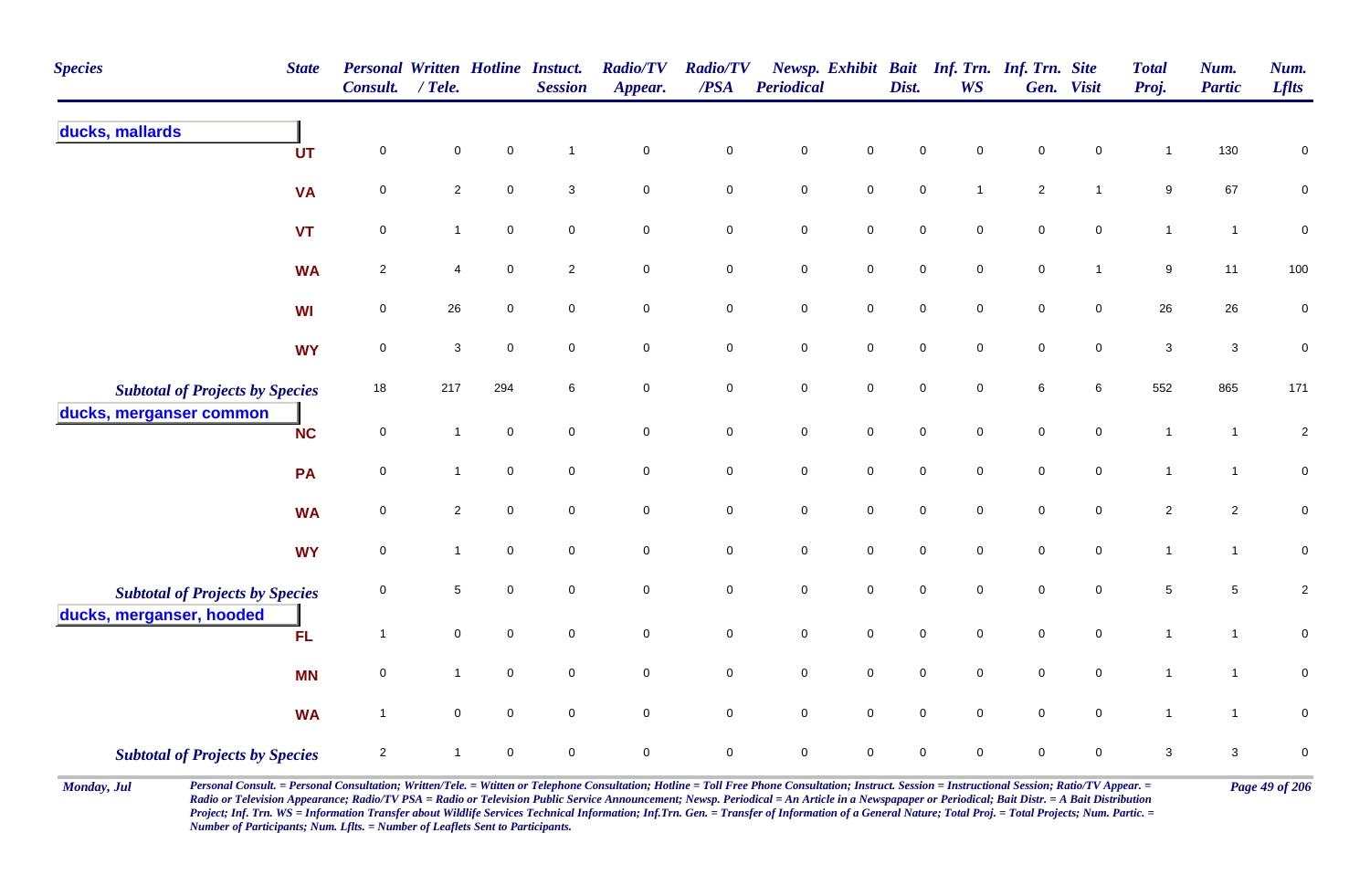| <b>Species</b>                                                     | <b>State</b> | <b>Personal Written Hotline Instuct.</b><br>Consult. | $/$ Tele.      |                     | <b>Session</b>            | <b>Radio/TV</b><br>Appear. | <b>Radio/TV</b><br>/PSA | Periodical          |                | Dist.               | <b>WS</b>           | Newsp. Exhibit Bait Inf. Trn. Inf. Trn. Site | Gen. Visit          | <b>Total</b><br>Proj. | Num.<br><b>Partic</b> | Num.<br><b>Lflts</b> |
|--------------------------------------------------------------------|--------------|------------------------------------------------------|----------------|---------------------|---------------------------|----------------------------|-------------------------|---------------------|----------------|---------------------|---------------------|----------------------------------------------|---------------------|-----------------------|-----------------------|----------------------|
| ducks, mallards                                                    | UT           | $\mathbf 0$                                          | $\mathbf 0$    | $\pmb{0}$           | $\overline{1}$            | $\mathsf{O}\xspace$        | $\pmb{0}$               | $\mathbf 0$         | $\pmb{0}$      | $\mathbf 0$         | 0                   | $\mathbf 0$                                  | $\mathbf 0$         | $\mathbf{1}$          | 130                   | $\mathbf 0$          |
|                                                                    | <b>VA</b>    | $\pmb{0}$                                            | $\overline{c}$ | $\mathsf{O}\xspace$ | $\ensuremath{\mathsf{3}}$ | $\mathbf 0$                | $\mathbf 0$             | $\pmb{0}$           | $\mathbf 0$    | $\pmb{0}$           | $\mathbf{1}$        | $\sqrt{2}$                                   | $\mathbf{1}$        | $\boldsymbol{9}$      | 67                    | $\mathbf 0$          |
|                                                                    | <b>VT</b>    | $\pmb{0}$                                            | $\mathbf{1}$   | $\mathsf 0$         | $\mathsf{O}\xspace$       | $\mathbf 0$                | $\mathbf 0$             | $\mathbf 0$         | $\mathbf 0$    | $\mathbf 0$         | $\mathbf 0$         | $\mathsf 0$                                  | $\mathsf{O}\xspace$ | $\mathbf{1}$          | $\mathbf{1}$          | $\pmb{0}$            |
|                                                                    | <b>WA</b>    | $\sqrt{2}$                                           | 4              | $\mathsf 0$         | $\sqrt{2}$                | $\mathbf 0$                | $\mathbf 0$             | $\pmb{0}$           | $\mathbf 0$    | $\pmb{0}$           | $\mathbf 0$         | $\pmb{0}$                                    | $\mathbf{1}$        | $\boldsymbol{9}$      | 11                    | 100                  |
|                                                                    | <b>WI</b>    | $\mathbf 0$                                          | 26             | $\mathbf 0$         | $\mathbf 0$               | $\mathbf 0$                | $\pmb{0}$               | $\pmb{0}$           | $\mathbf 0$    | $\mathbf 0$         | $\mathbf 0$         | $\mathbf 0$                                  | $\mathbf 0$         | 26                    | 26                    | $\pmb{0}$            |
|                                                                    | <b>WY</b>    | $\mathsf 0$                                          | 3              | $\mathbf 0$         | $\mathbf 0$               | $\mathbf 0$                | $\mathbf 0$             | $\mathbf 0$         | $\overline{0}$ | $\mathbf 0$         | $\mathbf 0$         | $\mathbf 0$                                  | $\mathbf 0$         | 3                     | $\mathbf{3}$          | $\pmb{0}$            |
| <b>Subtotal of Projects by Species</b>                             |              | 18                                                   | 217            | 294                 | 6                         | $\mathbf 0$                | $\mathbf 0$             | $\mathsf{O}\xspace$ | $\overline{0}$ | $\mathsf{O}\xspace$ | $\mathbf 0$         | 6                                            | 6                   | 552                   | 865                   | 171                  |
| ducks, merganser common                                            | <b>NC</b>    | $\mathbf 0$                                          | $\mathbf{1}$   | $\mathsf 0$         | $\mathsf{O}\xspace$       | $\mathbf 0$                | $\mathbf 0$             | $\mathbf 0$         | $\mathbf 0$    | $\mathbf 0$         | $\mathsf{O}\xspace$ | $\pmb{0}$                                    | $\mathsf{O}\xspace$ | $\mathbf{1}$          | $\overline{1}$        | $\sqrt{2}$           |
|                                                                    | PA           | $\pmb{0}$                                            | $\mathbf{1}$   | $\mathsf 0$         | $\mathsf{O}\xspace$       | $\mathbf 0$                | $\mathsf 0$             | $\mathbf 0$         | $\mathbf 0$    | $\mathbf 0$         | $\mathbf 0$         | $\pmb{0}$                                    | $\mathbf 0$         | $\mathbf{1}$          | $\mathbf{1}$          | $\mathbf 0$          |
|                                                                    | <b>WA</b>    | $\mathbf 0$                                          | $\overline{2}$ | $\mathbf 0$         | $\mathbf 0$               | $\mathbf 0$                | $\mathbf 0$             | $\mathsf{O}\xspace$ | $\mathbf 0$    | $\mathbf 0$         | $\mathbf 0$         | $\mathbf 0$                                  | $\mathbf 0$         | $\overline{2}$        | $\mathbf{2}$          | $\mathbf 0$          |
|                                                                    | <b>WY</b>    | $\mathbf 0$                                          | $\mathbf{1}$   | $\mathbf 0$         | $\mathbf 0$               | $\mathbf 0$                | $\mathbf 0$             | $\mathsf{O}\xspace$ | $\mathbf 0$    | $\mathbf 0$         | $\mathbf 0$         | $\mathbf 0$                                  | $\mathbf 0$         | $\mathbf{1}$          | $\mathbf{1}$          | $\overline{0}$       |
| <b>Subtotal of Projects by Species</b><br>ducks, merganser, hooded |              | $\mathbf 0$                                          | $\sqrt{5}$     | $\mathsf{O}\xspace$ | $\mathbf 0$               | $\mathsf{O}\xspace$        | $\mathbf 0$             | $\mathbf 0$         | $\mathbf 0$    | $\mathbf 0$         | $\mathbf 0$         | $\pmb{0}$                                    | $\mathsf{O}\xspace$ | $\sqrt{5}$            | 5                     | $\sqrt{2}$           |
|                                                                    | <b>FL</b>    | $\mathbf{1}$                                         | $\mathbf 0$    | $\mathsf 0$         | $\mathsf{O}\xspace$       | $\mathbf 0$                | $\pmb{0}$               | $\mathbf 0$         | $\overline{0}$ | $\mathsf{O}\xspace$ | $\mathbf 0$         | $\mathsf 0$                                  | $\mathbf 0$         | $\mathbf{1}$          | $\overline{1}$        | $\pmb{0}$            |
|                                                                    | <b>MN</b>    | $\mathbf 0$                                          | $\mathbf{1}$   | $\mathbf 0$         | $\mathbf 0$               | $\mathbf 0$                | $\overline{0}$          | $\mathsf{O}\xspace$ | $\overline{0}$ | $\mathbf 0$         | $\mathbf 0$         | $\mathsf 0$                                  | $\mathbf 0$         | $\mathbf{1}$          | $\overline{1}$        | $\mathsf 0$          |
|                                                                    | <b>WA</b>    | $\mathbf{1}$                                         | $\mathbf 0$    | $\mathbf 0$         | $\mathbf 0$               | $\mathbf 0$                | $\mathbf 0$             | $\mathsf{O}\xspace$ | $\mathbf 0$    | $\mathbf 0$         | $\mathbf 0$         | $\mathbf 0$                                  | $\mathbf 0$         | $\overline{1}$        | $\mathbf{1}$          | $\mathbf 0$          |
| <b>Subtotal of Projects by Species</b>                             |              | $\overline{2}$                                       | 1              | $\mathbf 0$         | $\mathbf 0$               | $\pmb{0}$                  | $\pmb{0}$               | $\mathbf 0$         | $\mathbf 0$    | $\mathbf 0$         | $\mathsf{O}$        | $\mathbf 0$                                  | $\mathbf 0$         | $\sqrt{3}$            | $\mathbf{3}$          | $\boldsymbol{0}$     |

Monday, Jul Personal Consult. = Personal Consultation; Written/Tele. = Witten or Telephone Consultation; Hotline = Toll Free Phone Consultation; Instruct. Session = Instructional Session; Ratio/TV Appear. = Page 49 of 206 *Radio or Television Appearance; Radio/TV PSA = Radio or Television Public Service Announcement; Newsp. Periodical = An Article in a Newspapaper or Periodical; Bait Distr. = A Bait Distribution*  Project; Inf. Trn. WS = Information Transfer about Wildlife Services Technical Information; Inf.Trn. Gen. = Transfer of Information of a General Nature; Total Proj. = Total Projects; Num. Partic. = *Number of Participants; Num. Lflts. = Number of Leaflets Sent to Participants.*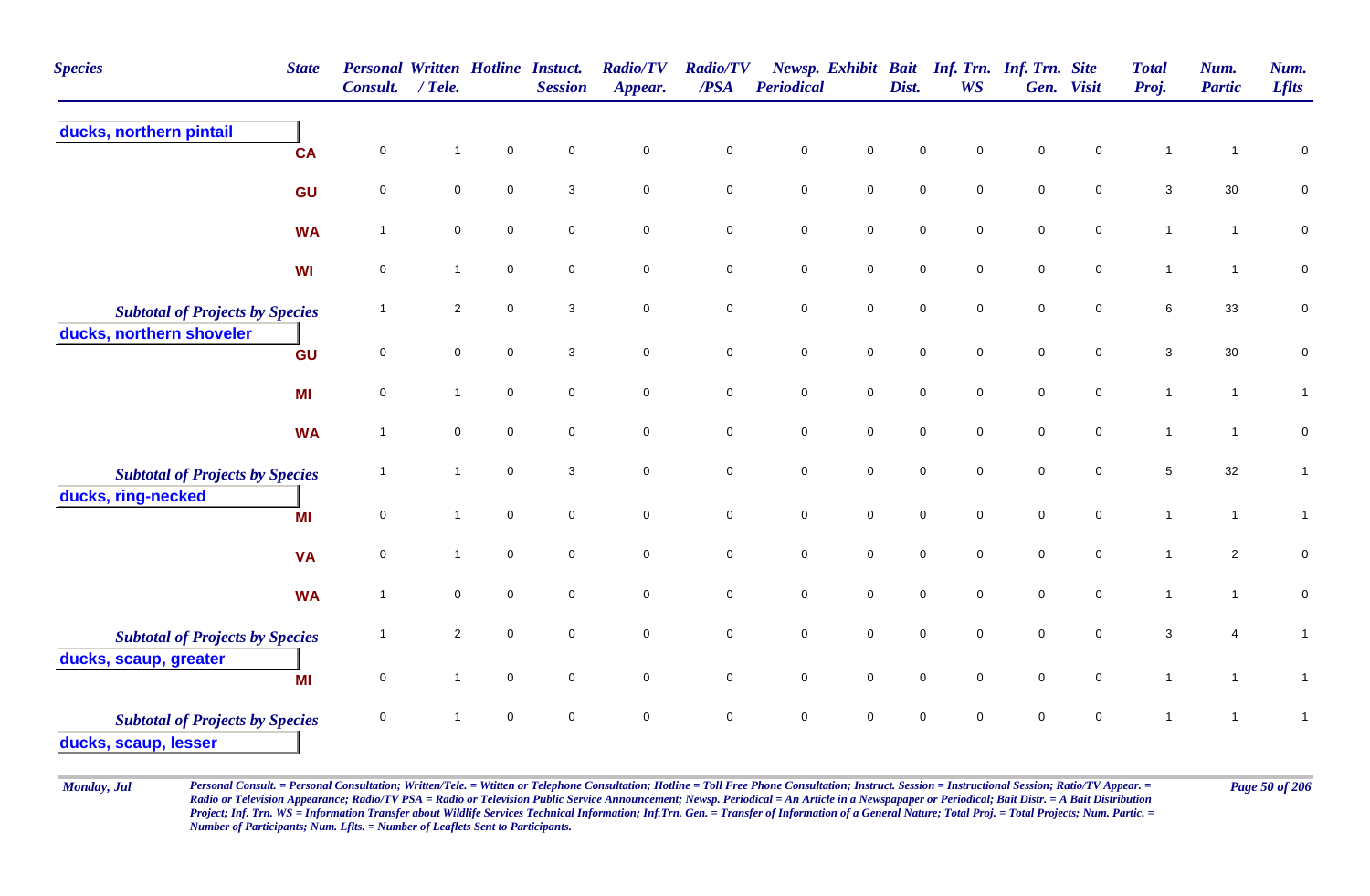| <b>Species</b>                                                 | <b>State</b> | <b>Personal Written Hotline Instuct.</b><br>Consult. | $/$ Tele.      |             | <b>Session</b>      | <b>Radio/TV</b><br>Appear. | <b>Radio/TV</b><br>/PSA | Periodical          |                     | Dist.               | <b>WS</b>    | Newsp. Exhibit Bait Inf. Trn. Inf. Trn. Site | Gen. Visit          | <b>Total</b><br>Proj. | Num.<br><b>Partic</b> | Num.<br><b>Lflts</b> |
|----------------------------------------------------------------|--------------|------------------------------------------------------|----------------|-------------|---------------------|----------------------------|-------------------------|---------------------|---------------------|---------------------|--------------|----------------------------------------------|---------------------|-----------------------|-----------------------|----------------------|
| ducks, northern pintail                                        | <b>CA</b>    | $\pmb{0}$                                            | $\mathbf{1}$   | $\pmb{0}$   | $\pmb{0}$           | $\pmb{0}$                  | $\pmb{0}$               | $\pmb{0}$           | $\mathsf 0$         | $\mathbf 0$         | $\mathbf 0$  | $\mathsf 0$                                  | $\mathbf 0$         | $\mathbf{1}$          | $\mathbf{1}$          | 0                    |
|                                                                | GU           | $\mathbf 0$                                          | $\mathbf 0$    | $\mathsf 0$ | 3                   | $\overline{0}$             | $\mathbf 0$             | $\pmb{0}$           | $\mathbf 0$         | $\mathsf{O}\xspace$ | $\mathbf 0$  | $\mathbf 0$                                  | $\mathbf 0$         | 3                     | 30                    | $\pmb{0}$            |
|                                                                | <b>WA</b>    | $\overline{1}$                                       | $\mathbf 0$    | $\mathbf 0$ | $\mathbf 0$         | $\mathbf 0$                | $\mathbf 0$             | $\mathbf 0$         | $\mathbf 0$         | $\mathbf 0$         | $\mathbf 0$  | $\mathbf 0$                                  | $\mathbf 0$         | $\mathbf{1}$          | $\mathbf{1}$          | $\mathbf 0$          |
|                                                                | <b>WI</b>    | $\pmb{0}$                                            | $\mathbf{1}$   | $\pmb{0}$   | $\mathsf 0$         | $\mathbf 0$                | $\pmb{0}$               | $\mathbf 0$         | $\mathbf 0$         | $\pmb{0}$           | $\pmb{0}$    | $\mathbf 0$                                  | $\mathbf 0$         | $\mathbf{1}$          | $\mathbf{1}$          | $\pmb{0}$            |
| <b>Subtotal of Projects by Species</b>                         |              | $\overline{\mathbf{1}}$                              | $\overline{2}$ | $\mathsf 0$ | 3                   | $\mathsf{O}\xspace$        | $\mathbf 0$             | $\mathbf 0$         | $\mathsf{O}$        | $\mathsf{O}\xspace$ | $\mathbf 0$  | $\mathsf{O}\xspace$                          | $\mathbf 0$         | 6                     | 33                    | $\pmb{0}$            |
| ducks, northern shoveler                                       | GU           | $\mathbf 0$                                          | $\mathbf 0$    | $\mathbf 0$ | 3                   | $\mathsf{O}\xspace$        | $\mathbf 0$             | $\mathsf{O}\xspace$ | $\mathbf 0$         | $\mathbf 0$         | $\mathbf 0$  | $\mathsf{O}\xspace$                          | $\mathbf 0$         | $\mathbf{3}$          | $30\,$                | $\pmb{0}$            |
|                                                                | MI           | 0                                                    | $\mathbf{1}$   | $\pmb{0}$   | $\mathsf{O}\xspace$ | $\mathbf 0$                | $\mathbf 0$             | $\mathbf 0$         | $\mathbf 0$         | $\pmb{0}$           | $\mathbf 0$  | $\mathbf 0$                                  | $\mathsf{O}\xspace$ | $\mathbf{1}$          | $\mathbf{1}$          | $\mathbf{1}$         |
|                                                                | <b>WA</b>    | $\mathbf{1}$                                         | $\mathbf 0$    | $\mathsf 0$ | $\mathbf 0$         | $\overline{0}$             | $\mathbf 0$             | $\mathbf 0$         | $\mathbf 0$         | $\pmb{0}$           | $\mathbf 0$  | $\mathbf 0$                                  | $\mathbf 0$         | $\mathbf{1}$          | $\mathbf{1}$          | $\pmb{0}$            |
| <b>Subtotal of Projects by Species</b>                         |              | -1                                                   | 1              | $\mathsf 0$ | 3                   | $\mathbf 0$                | $\mathbf 0$             | $\mathbf 0$         | $\mathbf 0$         | $\pmb{0}$           | $\mathbf 0$  | $\mathbf 0$                                  | $\mathbf 0$         | 5                     | 32                    | 1                    |
| ducks, ring-necked                                             | MI           | $\pmb{0}$                                            | $\mathbf{1}$   | $\mathsf 0$ | $\mathbf 0$         | $\mathbf 0$                | $\pmb{0}$               | $\mathbf 0$         | $\mathbf 0$         | $\mathsf{O}\xspace$ | $\mathbf 0$  | $\mathsf{O}\xspace$                          | $\mathbf 0$         | $\mathbf{1}$          | $\mathbf{1}$          | $\mathbf{1}$         |
|                                                                | <b>VA</b>    | $\pmb{0}$                                            | $\mathbf{1}$   | $\mathbf 0$ | $\mathsf{O}\xspace$ | $\mathbf 0$                | $\mathbf 0$             | $\mathsf{O}\xspace$ | $\mathsf 0$         | $\mathsf{O}\xspace$ | $\mathbf 0$  | $\mathsf{O}\xspace$                          | $\mathbf 0$         | $\mathbf{1}$          | $\overline{2}$        | $\pmb{0}$            |
|                                                                | <b>WA</b>    | $\overline{1}$                                       | $\mathbf 0$    | $\mathbf 0$ | $\mathbf 0$         | $\mathbf 0$                | $\mathbf 0$             | $\mathbf 0$         | $\mathsf{O}\xspace$ | $\pmb{0}$           | $\mathbf 0$  | $\mathsf 0$                                  | $\mathbf 0$         | $\mathbf{1}$          | $\mathbf{1}$          | $\pmb{0}$            |
| <b>Subtotal of Projects by Species</b>                         |              | $\overline{1}$                                       | $\overline{a}$ | $\mathbf 0$ | $\mathbf 0$         | $\mathsf{O}\xspace$        | $\pmb{0}$               | $\pmb{0}$           | $\mathbf 0$         | $\pmb{0}$           | $\mathbf{0}$ | $\pmb{0}$                                    | $\mathbf 0$         | $\mathbf{3}$          | $\overline{4}$        | $\mathbf{1}$         |
| ducks, scaup, greater                                          | MI           | $\pmb{0}$                                            | $\mathbf{1}$   | $\pmb{0}$   | $\mathbf 0$         | $\mathsf{O}\xspace$        | $\pmb{0}$               | $\mathbf 0$         | $\mathbf 0$         | $\mathsf{O}\xspace$ | $\mathbf 0$  | $\mathbf 0$                                  | $\mathbf 0$         | $\mathbf{1}$          | $\mathbf{1}$          | $\mathbf{1}$         |
| <b>Subtotal of Projects by Species</b><br>ducks, scaup, lesser |              | $\mathbf 0$                                          | $\mathbf{1}$   | $\mathbf 0$ | $\mathbf 0$         | $\mathbf 0$                | $\mathbf 0$             | $\mathbf 0$         | $\pmb{0}$           | $\mathbf 0$         | $\mathbf 0$  | $\mathbf 0$                                  | $\mathbf 0$         |                       | 1                     | $\mathbf{1}$         |

Monday, Jul Personal Consult. = Personal Consultation; Written/Tele. = Witten or Telephone Consultation; Hotline = Toll Free Phone Consultation; Instruct. Session = Instructional Session; Ratio/TV Appear. = Page 50 of 206 *Radio or Television Appearance; Radio/TV PSA = Radio or Television Public Service Announcement; Newsp. Periodical = An Article in a Newspapaper or Periodical; Bait Distr. = A Bait Distribution*  Project; Inf. Trn. WS = Information Transfer about Wildlife Services Technical Information; Inf.Trn. Gen. = Transfer of Information of a General Nature; Total Proj. = Total Projects; Num. Partic. = *Number of Participants; Num. Lflts. = Number of Leaflets Sent to Participants.*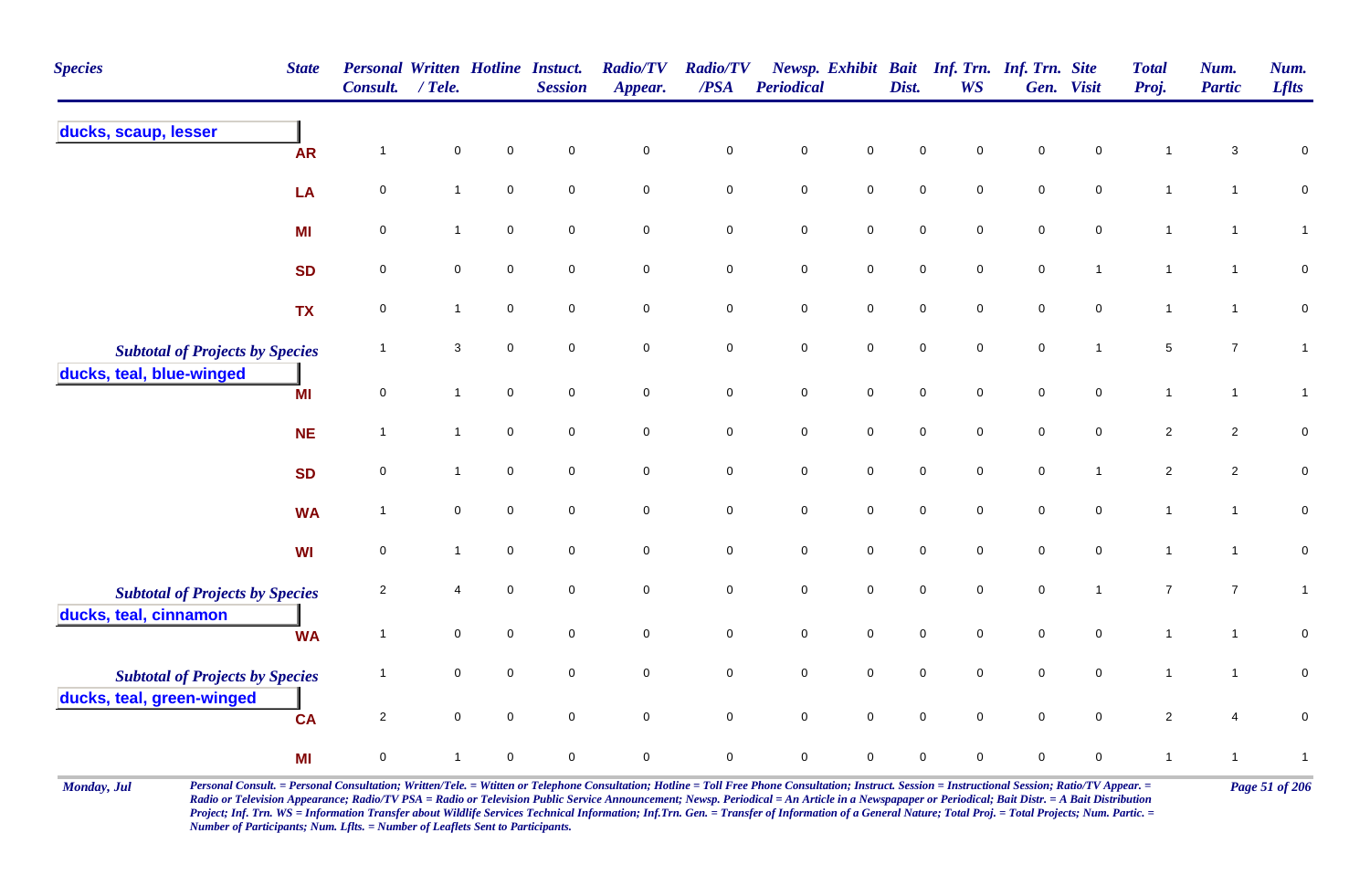| <b>Species</b>                         | <b>State</b> | <b>Personal Written Hotline Instuct.</b><br><b>Consult.</b> | $/$ Tele.    |                     | <b>Session</b> | <b>Radio/TV</b><br>Appear. | <b>Radio/TV</b><br>/PSA | <b>Periodical</b> |                     | Dist.       | Newsp. Exhibit Bait Inf. Trn. Inf. Trn. Site<br><b>WS</b> |                  | Gen. Visit     | <b>Total</b><br>Proj. | Num.<br><b>Partic</b> | Num.<br><b>Lflts</b> |
|----------------------------------------|--------------|-------------------------------------------------------------|--------------|---------------------|----------------|----------------------------|-------------------------|-------------------|---------------------|-------------|-----------------------------------------------------------|------------------|----------------|-----------------------|-----------------------|----------------------|
| ducks, scaup, lesser                   | <b>AR</b>    | -1                                                          | $\mathbf 0$  | $\mathbf 0$         | $\mathbf 0$    | $\mathbf 0$                | $\mathsf 0$             | $\mathbf 0$       | $\mathsf 0$         | $\mathbf 0$ | 0                                                         | $\mathbf 0$      | $\pmb{0}$      | 1                     | 3                     | $\mathbf 0$          |
|                                        | LA           | 0                                                           | $\mathbf{1}$ | $\pmb{0}$           | $\mathbf 0$    | $\pmb{0}$                  | $\mathbf 0$             | $\pmb{0}$         | $\mathbf 0$         | $\pmb{0}$   | 0                                                         | $\pmb{0}$        | $\pmb{0}$      | $\overline{1}$        | $\mathbf{1}$          | $\pmb{0}$            |
|                                        | MI           | $\pmb{0}$                                                   | $\mathbf{1}$ | $\mathbf 0$         | $\mathbf 0$    | $\pmb{0}$                  | ${\bf 0}$               | $\pmb{0}$         | $\mathbf 0$         | $\pmb{0}$   | 0                                                         | $\pmb{0}$        | $\pmb{0}$      | $\overline{1}$        | $\mathbf{1}$          | $\mathbf{1}$         |
|                                        | <b>SD</b>    | 0                                                           | 0            | $\mathbf 0$         | 0              | $\mathbf 0$                | $\mathbf 0$             | $\pmb{0}$         | $\mathbf 0$         | $\mathbf 0$ | 0                                                         | $\boldsymbol{0}$ | $\overline{1}$ | $\mathbf{1}$          | $\mathbf{1}$          | $\mathbf 0$          |
|                                        | <b>TX</b>    | $\mathbf 0$                                                 | $\mathbf{1}$ | $\mathbf 0$         | 0              | $\mathbf 0$                | $\mathbf 0$             | $\pmb{0}$         | $\mathbf 0$         | $\mathbf 0$ | 0                                                         | $\mathbf 0$      | $\mathbf 0$    | $\overline{1}$        | $\mathbf{1}$          | 0                    |
| <b>Subtotal of Projects by Species</b> |              | $\overline{1}$                                              | 3            | $\mathbf 0$         | $\mathbf 0$    | $\pmb{0}$                  | $\mathbf 0$             | $\mathbf 0$       | $\mathsf{O}\xspace$ | $\mathbf 0$ | $\mathsf{O}$                                              | $\pmb{0}$        | $\mathbf{1}$   | $\sqrt{5}$            | $\overline{7}$        | $\overline{1}$       |
| ducks, teal, blue-winged               | <b>MI</b>    | $\mathsf{O}\xspace$                                         | $\mathbf{1}$ | $\mathsf{O}\xspace$ | $\mathbf 0$    | $\mathbf 0$                | $\mathsf{O}\xspace$     | $\pmb{0}$         | $\mathbf 0$         | $\pmb{0}$   | 0                                                         | $\pmb{0}$        | $\pmb{0}$      | $\mathbf{1}$          | $\mathbf{1}$          | $\mathbf{1}$         |
|                                        | <b>NE</b>    | $\overline{1}$                                              | $\mathbf{1}$ | $\mathbf 0$         | $\mathbf 0$    | $\mathbf 0$                | $\mathbf 0$             | $\mathbf 0$       | $\mathsf{O}\xspace$ | $\mathbf 0$ | $\mathsf{O}$                                              | $\mathbf 0$      | $\mathbf 0$    | $\overline{2}$        | $\overline{2}$        | $\mathbf 0$          |
|                                        | <b>SD</b>    | $\mathsf 0$                                                 | $\mathbf{1}$ | $\mathbf 0$         | $\mathbf 0$    | $\mathbf 0$                | $\mathbf 0$             | $\mathbf 0$       | $\mathbf 0$         | $\pmb{0}$   | 0                                                         | $\pmb{0}$        | $\mathbf{1}$   | $\sqrt{2}$            | $\sqrt{2}$            | $\mathbf 0$          |
|                                        | <b>WA</b>    | $\overline{1}$                                              | $\mathbf 0$  | $\mathbf 0$         | $\mathbf 0$    | $\mathbf 0$                | $\mathbf 0$             | $\pmb{0}$         | $\mathbf 0$         | $\mathbf 0$ | $\mathbf 0$                                               | $\mathbf 0$      | $\mathbf 0$    | $\mathbf{1}$          | $\mathbf{1}$          | $\mathbf 0$          |
|                                        | WI           | $\mathsf 0$                                                 | $\mathbf{1}$ | $\pmb{0}$           | $\mathbf 0$    | $\pmb{0}$                  | $\mathbf 0$             | $\pmb{0}$         | $\mathbf 0$         | $\pmb{0}$   | $\mathsf{O}\xspace$                                       | $\pmb{0}$        | $\pmb{0}$      | $\mathbf{1}$          | $\mathbf{1}$          | $\mathbf 0$          |
| <b>Subtotal of Projects by Species</b> |              | $\overline{2}$                                              | 4            | 0                   | 0              | $\mathbf 0$                | ${\bf 0}$               | $\pmb{0}$         | $\mathbf 0$         | $\pmb{0}$   | $\pmb{0}$                                                 | $\pmb{0}$        | $\mathbf{1}$   | $\boldsymbol{7}$      | $\boldsymbol{7}$      | $\mathbf{1}$         |
| ducks, teal, cinnamon                  | <b>WA</b>    | $\overline{1}$                                              | 0            | $\mathsf 0$         | $\mathbf 0$    | $\pmb{0}$                  | $\mathbf 0$             | $\pmb{0}$         | $\mathbf 0$         | $\pmb{0}$   | $\mathbf 0$                                               | $\pmb{0}$        | $\mathbf 0$    | $\mathbf{1}$          | $\mathbf{1}$          | 0                    |
| <b>Subtotal of Projects by Species</b> |              | $\overline{1}$                                              | $\mathbf 0$  | $\mathbf 0$         | $\mathbf 0$    | $\mathbf 0$                | $\mathbf 0$             | $\mathsf 0$       | $\mathsf{O}\xspace$ | $\mathbf 0$ | 0                                                         | $\mathbf 0$      | $\mathbf 0$    | $\overline{1}$        | $\mathbf{1}$          | 0                    |
| ducks, teal, green-winged              | <b>CA</b>    | $\overline{2}$                                              | $\mathbf 0$  | $\mathbf 0$         | $\mathbf 0$    | $\pmb{0}$                  | $\mathbf 0$             | $\pmb{0}$         | $\mathbf 0$         | $\pmb{0}$   | $\overline{0}$                                            | $\pmb{0}$        | $\mathbf 0$    | $\overline{c}$        | $\overline{4}$        | 0                    |
|                                        | МI           | 0                                                           | $\mathbf 1$  | $\mathbf 0$         | $\mathbf 0$    | $\mathsf 0$                | 0                       | $\mathbf 0$       | $\mathsf 0$         | $\mathbf 0$ | 0                                                         | $\mathbf 0$      | 0              | $\mathbf{1}$          | $\mathbf{1}$          | $\mathbf{1}$         |

Monday, Jul Personal Consult. = Personal Consultation; Written/Tele. = Witten or Telephone Consultation; Hotline = Toll Free Phone Consultation; Instruct. Session = Instructional Session; Ratio/TV Appear. = Page 51 of 206 *Radio or Television Appearance; Radio/TV PSA = Radio or Television Public Service Announcement; Newsp. Periodical = An Article in a Newspapaper or Periodical; Bait Distr. = A Bait Distribution*  Project; Inf. Trn. WS = Information Transfer about Wildlife Services Technical Information; Inf.Trn. Gen. = Transfer of Information of a General Nature; Total Proj. = Total Projects; Num. Partic. = *Number of Participants; Num. Lflts. = Number of Leaflets Sent to Participants.*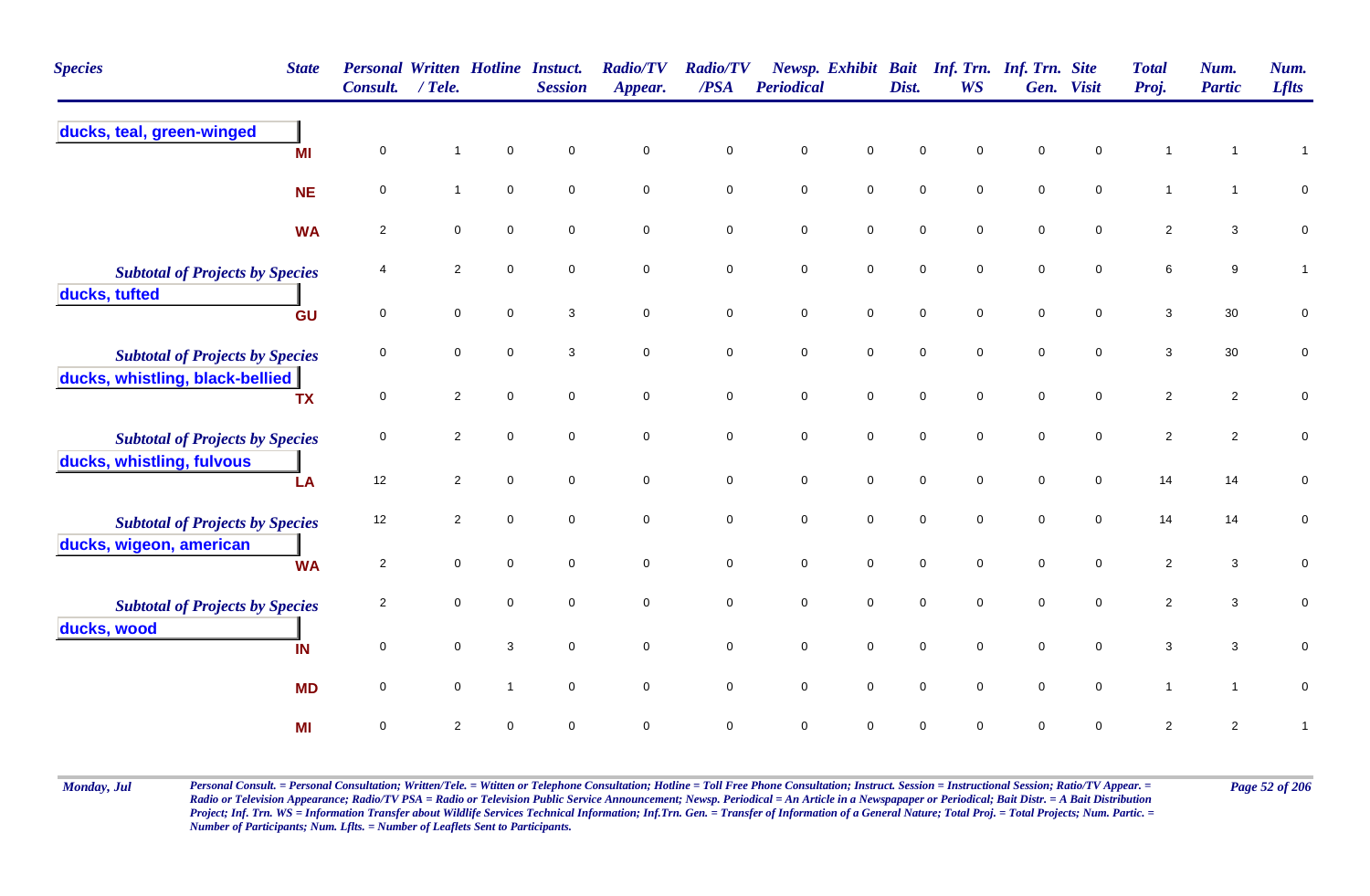| <b>Species</b>                         | <b>State</b> | <b>Personal Written Hotline</b><br><b>Consult.</b> | $/$ Tele.           |                | <b>Instuct.</b><br><b>Session</b> | <b>Radio/TV</b><br>Appear. | <b>Radio/TV</b><br>/PSA | <b>Periodical</b> | Newsp. Exhibit Bait | Dist.       | <b>WS</b>   | Inf. Trn. Inf. Trn. Site<br>Gen. | <b>Visit</b> | <b>Total</b><br>Proj.     | Num.<br><b>Partic</b>   | Num.<br><b>Lflts</b> |
|----------------------------------------|--------------|----------------------------------------------------|---------------------|----------------|-----------------------------------|----------------------------|-------------------------|-------------------|---------------------|-------------|-------------|----------------------------------|--------------|---------------------------|-------------------------|----------------------|
| ducks, teal, green-winged              | MI           | 0                                                  | $\mathbf{1}$        | 0              | $\mathbf 0$                       | 0                          | 0                       | $\mathbf 0$       | 0                   | $\mathbf 0$ | $\mathbf 0$ | $\mathbf 0$                      | 0            | $\overline{1}$            |                         | $\mathbf{1}$         |
|                                        | <b>NE</b>    | 0                                                  | $\mathbf{1}$        | $\mathbf 0$    | $\mathbf 0$                       | $\mathbf 0$                | $\mathbf 0$             | $\mathsf 0$       | $\mathbf 0$         | $\mathbf 0$ | $\mathbf 0$ | $\mathbf 0$                      | $\mathbf 0$  | $\mathbf{1}$              | $\mathbf 1$             | $\mathbf 0$          |
|                                        | <b>WA</b>    | $\mathbf{2}$                                       | $\mathbf 0$         | $\mathbf 0$    | $\mathbf 0$                       | $\mathbf 0$                | $\mathbf 0$             | $\mathbf 0$       | $\mathbf 0$         | $\mathbf 0$ | 0           | $\mathbf 0$                      | $\mathbf 0$  | $\overline{2}$            | $\mathbf{3}$            | $\pmb{0}$            |
| <b>Subtotal of Projects by Species</b> |              | 4                                                  | $\overline{2}$      | 0              | $\mathbf 0$                       | $\mathbf 0$                | $\mathbf 0$             | $\pmb{0}$         | $\mathbf 0$         | $\mathbf 0$ | 0           | $\mathbf 0$                      | $\mathbf 0$  | $\,6$                     | 9                       | $\mathbf{1}$         |
| ducks, tufted                          | GU           | 0                                                  | $\mathbf 0$         | 0              | 3                                 | $\mathbf 0$                | $\mathbf 0$             | $\pmb{0}$         | $\mathbf 0$         | $\mathbf 0$ | 0           | $\mathbf 0$                      | 0            | 3                         | 30                      | $\pmb{0}$            |
| <b>Subtotal of Projects by Species</b> |              | 0                                                  | $\mathbf 0$         | 0              | 3                                 | $\mathbf 0$                | 0                       | $\pmb{0}$         | $\mathbf 0$         | $\pmb{0}$   | 0           | $\mathbf 0$                      | 0            | 3                         | 30                      | 0                    |
| ducks, whistling, black-bellied        | <b>TX</b>    | 0                                                  | $\overline{c}$      | 0              | $\mathbf 0$                       | $\mathbf 0$                | $\mathbf 0$             | $\pmb{0}$         | $\mathbf 0$         | $\mathbf 0$ | $\mathbf 0$ | $\mathbf 0$                      | $\mathbf 0$  | $\overline{c}$            | $\overline{\mathbf{c}}$ | $\pmb{0}$            |
| <b>Subtotal of Projects by Species</b> |              | 0                                                  | $\overline{2}$      | 0              | $\mathsf{O}\xspace$               | $\mathbf 0$                | $\mathbf 0$             | $\mathbf 0$       | $\mathbf 0$         | $\mathbf 0$ | 0           | $\mathbf 0$                      | $\mathbf 0$  | $\overline{2}$            | $\overline{2}$          | $\mathbf 0$          |
| ducks, whistling, fulvous              | LA           | 12                                                 | $\overline{2}$      | 0              | $\mathbf 0$                       | $\mathbf 0$                | $\pmb{0}$               | $\pmb{0}$         | $\mathbf 0$         | $\pmb{0}$   | 0           | $\mathbf 0$                      | $\mathbf 0$  | 14                        | 14                      | $\boldsymbol{0}$     |
| <b>Subtotal of Projects by Species</b> |              | 12                                                 | $\overline{2}$      | 0              | $\mathbf 0$                       | $\mathbf 0$                | $\mathbf 0$             | $\mathbf 0$       | $\mathbf 0$         | $\mathbf 0$ | $\mathbf 0$ | $\mathbf 0$                      | $\mathbf 0$  | 14                        | 14                      | 0                    |
| ducks, wigeon, american                | <b>WA</b>    | $\overline{2}$                                     | $\mathsf{O}\xspace$ | 0              | $\mathbf 0$                       | $\mathbf 0$                | $\mathbf 0$             | $\pmb{0}$         | $\mathsf{O}\xspace$ | $\mathbf 0$ | $\mathbf 0$ | $\mathbf 0$                      | $\mathbf 0$  | $\sqrt{2}$                | $\mathbf{3}$            | $\pmb{0}$            |
| <b>Subtotal of Projects by Species</b> |              | $\overline{c}$                                     | $\mathbf 0$         | $\mathbf 0$    | $\mathbf 0$                       | $\mathbf 0$                | $\pmb{0}$               | $\pmb{0}$         | $\mathsf{O}\xspace$ | $\mathbf 0$ | $\mathbf 0$ | $\mathbf 0$                      | $\mathbf 0$  | $\sqrt{2}$                | $\mathbf{3}$            | $\mathbf 0$          |
| ducks, wood                            | IN           | 0                                                  | $\mathbf 0$         | 3              | $\mathbf 0$                       | $\mathbf 0$                | $\mathbf 0$             | $\mathbf 0$       | $\pmb{0}$           | $\mathbf 0$ | 0           | $\mathbf 0$                      | 0            | $\ensuremath{\mathsf{3}}$ | $\mathbf{3}$            | 0                    |
|                                        | <b>MD</b>    | 0                                                  | $\mathbf 0$         | $\overline{1}$ | $\mathbf 0$                       | $\mathbf 0$                | $\mathbf 0$             | $\mathbf 0$       | $\mathbf 0$         | $\mathbf 0$ | $\mathbf 0$ | $\mathbf 0$                      | $\mathbf 0$  | $\mathbf{1}$              | $\mathbf{1}$            | $\pmb{0}$            |
|                                        | <b>MI</b>    | $\mathbf 0$                                        | 2                   | 0              | $\Omega$                          | $\mathbf 0$                | $\mathbf 0$             | $\mathbf 0$       | $\pmb{0}$           | $\mathbf 0$ | $\mathbf 0$ | $\Omega$                         | $\mathbf 0$  | $\sqrt{2}$                | $\overline{c}$          | $\mathbf{1}$         |

Monday, Jul Personal Consult. = Personal Consultation; Written/Tele. = Witten or Telephone Consultation; Hotline = Toll Free Phone Consultation; Instruct. Session = Instructional Session; Ratio/TV Appear. = Page 52 of 206 *Radio or Television Appearance; Radio/TV PSA = Radio or Television Public Service Announcement; Newsp. Periodical = An Article in a Newspapaper or Periodical; Bait Distr. = A Bait Distribution*  Project; Inf. Trn. WS = Information Transfer about Wildlife Services Technical Information; Inf.Trn. Gen. = Transfer of Information of a General Nature; Total Proj. = Total Projects; Num. Partic. = *Number of Participants; Num. Lflts. = Number of Leaflets Sent to Participants.*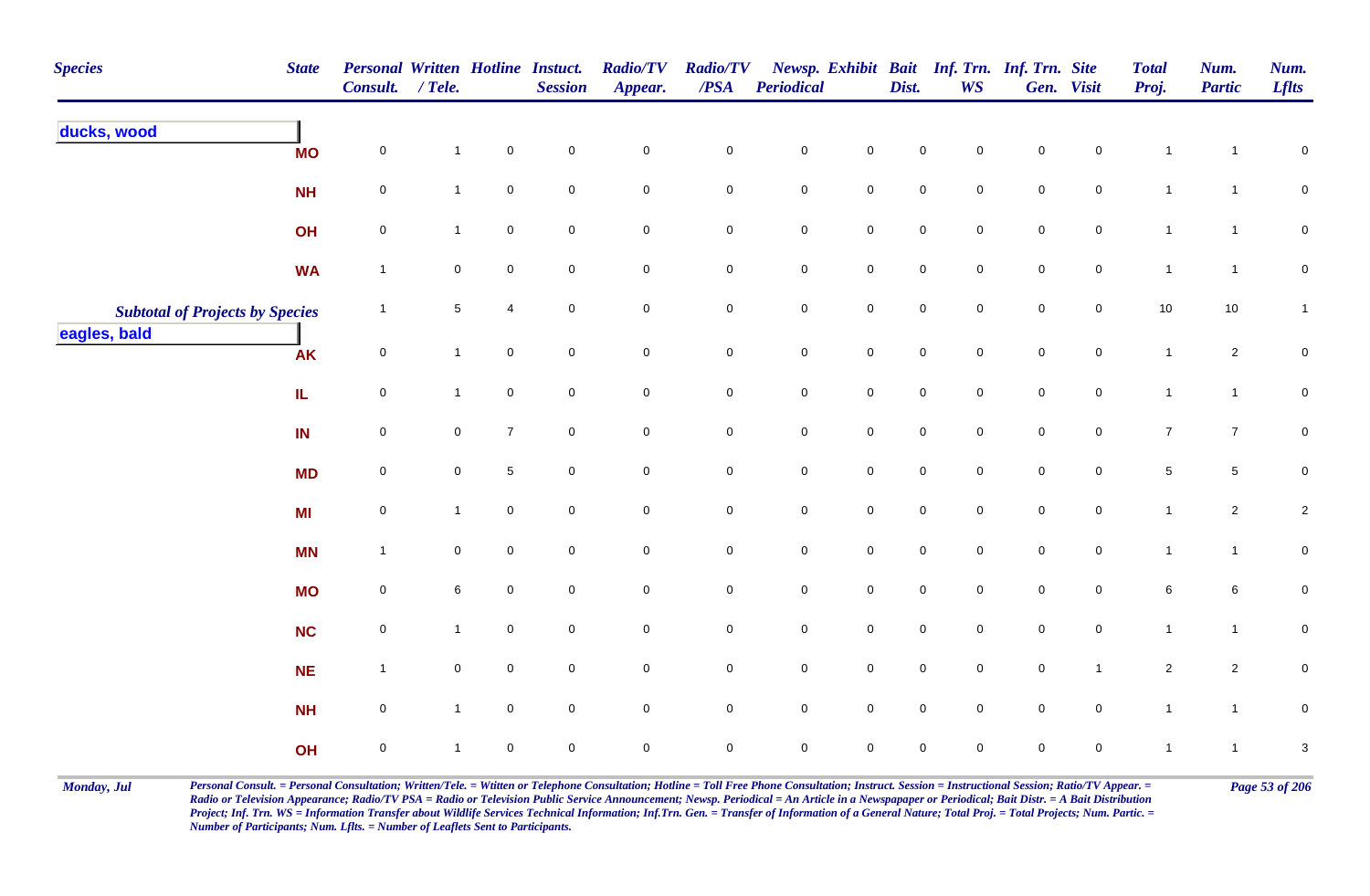| <b>Species</b>                         | <b>State</b> | Personal Written Hotline Instuct.<br>Consult. / Tele. |              |                     | <b>Session</b>      | <b>Radio/TV</b><br>Appear. | <b>Radio/TV</b><br>$\overline{PSA}$ | Periodical  |                     | Dist.               | Newsp. Exhibit Bait Inf. Trn. Inf. Trn. Site<br><b>WS</b> |             | Gen. Visit          | <b>Total</b><br>Proj. | Num.<br><b>Partic</b> | Num.<br><b>Lflts</b> |
|----------------------------------------|--------------|-------------------------------------------------------|--------------|---------------------|---------------------|----------------------------|-------------------------------------|-------------|---------------------|---------------------|-----------------------------------------------------------|-------------|---------------------|-----------------------|-----------------------|----------------------|
| ducks, wood                            | <b>MO</b>    | $\mathbf 0$                                           | $\mathbf{1}$ | $\pmb{0}$           | $\mathbf 0$         | $\mathbf 0$                | $\pmb{0}$                           | $\pmb{0}$   | $\mathsf{O}\xspace$ | $\mathbf 0$         | 0                                                         | $\pmb{0}$   | 0                   | $\mathbf{1}$          | 1                     | $\pmb{0}$            |
|                                        | <b>NH</b>    | $\mathbf 0$                                           | $\mathbf{1}$ | $\mathbf 0$         | $\mathsf{O}\xspace$ | $\mathbf 0$                | $\mathbf 0$                         | $\pmb{0}$   | $\mathbf 0$         | $\mathbf 0$         | $\mathbf 0$                                               | $\pmb{0}$   | $\mathsf{O}\xspace$ | $\mathbf{1}$          | $\mathbf{1}$          | $\overline{0}$       |
|                                        | OH           | $\mathbf 0$                                           | $\mathbf{1}$ | $\mathsf{O}\xspace$ | $\mathsf{O}\xspace$ | $\mathbf 0$                | $\mathbf 0$                         | $\pmb{0}$   | $\mathsf{O}$        | $\mathbf 0$         | $\mathsf{O}\xspace$                                       | $\pmb{0}$   | $\mathsf{O}$        | $\mathbf{1}$          | $\overline{1}$        | $\mathbf 0$          |
|                                        | <b>WA</b>    | $\overline{1}$                                        | $\mathbf 0$  | $\mathbf 0$         | $\mathsf{O}\xspace$ | $\mathbf 0$                | $\mathbf 0$                         | $\pmb{0}$   | $\mathbf 0$         | $\mathsf{O}\xspace$ | $\mathbf 0$                                               | $\mathsf 0$ | $\overline{0}$      | $\mathbf{1}$          | $\mathbf{1}$          | $\mathbf 0$          |
| <b>Subtotal of Projects by Species</b> |              | $\mathbf{1}$                                          | $\sqrt{5}$   | $\overline{4}$      | $\mathbf 0$         | $\mathsf{O}\xspace$        | $\mathbf 0$                         | $\pmb{0}$   | $\mathsf 0$         | $\mathbf 0$         | $\mathsf{O}\xspace$                                       | $\pmb{0}$   | $\mathsf{O}$        | $10$                  | 10                    | $\mathbf{1}$         |
| eagles, bald                           | <b>AK</b>    | $\mathsf 0$                                           | $\mathbf{1}$ | $\mathbf 0$         | $\mathbf 0$         | $\mathbf 0$                | $\overline{0}$                      | $\mathbf 0$ | $\mathsf 0$         | $\mathbf 0$         | $\mathbf 0$                                               | $\pmb{0}$   | $\mathbf 0$         | $\mathbf{1}$          | $\overline{2}$        | $\mathbf 0$          |
|                                        | IL.          | $\mathsf 0$                                           | $\mathbf{1}$ | $\mathsf{O}\xspace$ | $\mathbf 0$         | $\mathsf{O}\xspace$        | $\mathbf 0$                         | $\mathbf 0$ | $\mathbf 0$         | $\mathbf 0$         | $\mathbf 0$                                               | $\mathsf 0$ | $\mathbf 0$         | $\mathbf{1}$          | $\mathbf{1}$          | $\mathbf 0$          |
|                                        | IN           | $\mathsf 0$                                           | $\mathbf 0$  | $\overline{7}$      | $\mathbf 0$         | $\mathbf 0$                | $\mathbf 0$                         | $\pmb{0}$   | $\mathbf 0$         | $\mathbf 0$         | $\mathbf 0$                                               | $\mathsf 0$ | $\mathbf 0$         | $\overline{7}$        | $\overline{7}$        | $\overline{0}$       |
|                                        | <b>MD</b>    | $\mathbf 0$                                           | $\mathbf 0$  | $\,$ 5 $\,$         | $\mathbf 0$         | $\mathsf{O}\xspace$        | $\pmb{0}$                           | $\mathbf 0$ | $\mathbf 0$         | $\mathbf 0$         | $\mathbf 0$                                               | $\pmb{0}$   | $\mathbf 0$         | $\,$ 5 $\,$           | 5                     | $\pmb{0}$            |
|                                        | MI           | $\pmb{0}$                                             | $\mathbf{1}$ | $\mathbf 0$         | $\mathbf 0$         | $\mathbf 0$                | $\mathbf 0$                         | $\pmb{0}$   | $\mathbf 0$         | $\mathbf 0$         | $\mathbf 0$                                               | $\mathsf 0$ | $\mathbf 0$         | $\mathbf{1}$          | $\overline{c}$        | $\sqrt{2}$           |
|                                        | <b>MN</b>    | $\overline{1}$                                        | 0            | $\mathbf 0$         | $\mathbf 0$         | $\mathbf 0$                | $\mathsf{O}$                        | $\mathbf 0$ | $\mathsf{O}$        | $\mathsf{O}\xspace$ | $\mathbf 0$                                               | $\mathsf 0$ | $\overline{0}$      | $\mathbf{1}$          | $\mathbf{1}$          | $\mathbf 0$          |
|                                        | <b>MO</b>    | $\mathbf 0$                                           | 6            | $\mathbf 0$         | $\mathbf 0$         | $\overline{0}$             | $\mathbf 0$                         | $\pmb{0}$   | $\overline{0}$      | $\mathsf{O}\xspace$ | $\mathbf 0$                                               | $\mathsf 0$ | $\mathbf 0$         | $\,6\,$               | 6                     | $\mathbf 0$          |
|                                        | <b>NC</b>    | $\mathbf 0$                                           | $\mathbf{1}$ | $\mathbf 0$         | $\mathsf{O}\xspace$ | $\mathbf 0$                | $\mathsf{O}$                        | $\mathbf 0$ | $\mathsf 0$         | $\mathbf 0$         | $\mathbf 0$                                               | $\mathsf 0$ | $\overline{0}$      | $\mathbf{1}$          | $\mathbf{1}$          | $\mathbf 0$          |
|                                        | <b>NE</b>    | $\overline{1}$                                        | $\mathbf 0$  | $\mathsf{O}\xspace$ | $\mathsf{O}\xspace$ | $\mathbf 0$                | $\overline{0}$                      | $\mathbf 0$ | $\mathsf 0$         | $\mathsf{O}\xspace$ | $\mathbf 0$                                               | $\mathsf 0$ | $\mathbf{1}$        | $\overline{2}$        | $\overline{2}$        | $\mathbf 0$          |
|                                        | <b>NH</b>    | $\mathsf 0$                                           | $\mathbf{1}$ | $\mathbf 0$         | $\mathbf 0$         | $\mathbf 0$                | $\overline{0}$                      | $\pmb{0}$   | $\mathbf 0$         | $\mathsf{O}\xspace$ | $\mathbf 0$                                               | $\mathsf 0$ | $\mathbf 0$         | $\mathbf{1}$          | $\mathbf{1}$          | $\pmb{0}$            |
|                                        | OH           | $\pmb{0}$                                             | $\mathbf{1}$ | $\mathbf 0$         | $\mathbf 0$         | $\mathbf 0$                | $\mathbf 0$                         | $\pmb{0}$   | $\mathbf 0$         | $\mathbf 0$         | $\mathbf 0$                                               | $\mathsf 0$ | $\mathbf 0$         | $\overline{1}$        | $\overline{1}$        | $\sqrt{3}$           |

Monday, Jul Personal Consult. = Personal Consultation; Written/Tele. = Witten or Telephone Consultation; Hotline = Toll Free Phone Consultation; Instruct. Session = Instructional Session; Ratio/TV Appear. = Page 53 of 206 *Radio or Television Appearance; Radio/TV PSA = Radio or Television Public Service Announcement; Newsp. Periodical = An Article in a Newspapaper or Periodical; Bait Distr. = A Bait Distribution*  Project; Inf. Trn. WS = Information Transfer about Wildlife Services Technical Information; Inf.Trn. Gen. = Transfer of Information of a General Nature; Total Proj. = Total Projects; Num. Partic. = *Number of Participants; Num. Lflts. = Number of Leaflets Sent to Participants.*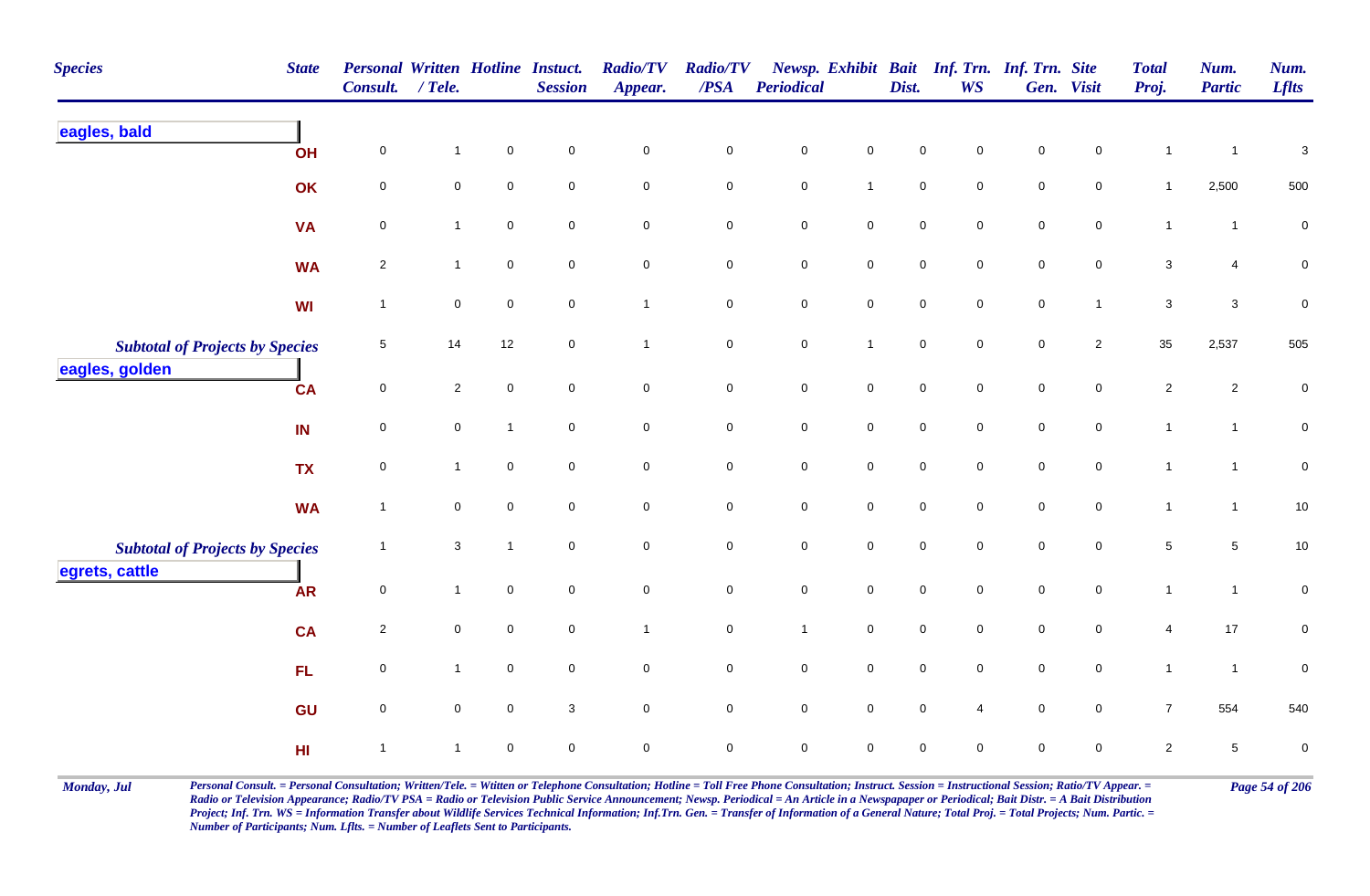| <b>Species</b>                         | <b>State</b> | Personal Written Hotline Instuct.<br>Consult. | $/$ Tele.      |                     | <b>Session</b>   | <b>Radio/TV</b><br>Appear. | <b>Radio/TV</b><br>/PSA | Periodical          |                     | Dist.               | Newsp. Exhibit Bait Inf. Trn. Inf. Trn. Site<br><b>WS</b> |                     | Gen. Visit          | <b>Total</b><br>Proj. | Num.<br><b>Partic</b> | Num.<br><b>Lflts</b>      |
|----------------------------------------|--------------|-----------------------------------------------|----------------|---------------------|------------------|----------------------------|-------------------------|---------------------|---------------------|---------------------|-----------------------------------------------------------|---------------------|---------------------|-----------------------|-----------------------|---------------------------|
| eagles, bald                           | OH           | $\mathbf 0$                                   | 1              | $\mathbf 0$         | $\pmb{0}$        | $\pmb{0}$                  | $\pmb{0}$               | $\pmb{0}$           | $\mathbf 0$         | 0                   | $\mathbf 0$                                               | 0                   | $\mathbf 0$         | $\overline{1}$        | $\mathbf{1}$          | $\ensuremath{\mathsf{3}}$ |
|                                        | OK           | $\mathsf 0$                                   | $\mathbf 0$    | $\mathbf 0$         | $\mathbf 0$      | $\mathbf 0$                | $\mathsf{O}\xspace$     | $\mathbf 0$         | $\mathbf{1}$        | $\mathbf 0$         | $\mathbf 0$                                               | $\mathsf{O}\xspace$ | $\mathbf 0$         | $\mathbf{1}$          | 2,500                 | 500                       |
|                                        | <b>VA</b>    | $\mathbf 0$                                   | $\mathbf{1}$   | $\mathbf 0$         | $\mathbf 0$      | $\mathbf 0$                | $\pmb{0}$               | $\mathbf 0$         | $\mathsf{O}\xspace$ | $\pmb{0}$           | $\mathbf 0$                                               | $\mathbf 0$         | $\mathsf{O}\xspace$ | $\mathbf{1}$          | $\mathbf{1}$          | $\pmb{0}$                 |
|                                        | <b>WA</b>    | $\overline{2}$                                | $\mathbf{1}$   | $\mathbf 0$         | $\pmb{0}$        | $\pmb{0}$                  | $\mathbf 0$             | $\mathbf 0$         | $\mathsf{O}\xspace$ | $\pmb{0}$           | 0                                                         | $\mathbf 0$         | $\mathsf{O}\xspace$ | $\mathbf{3}$          | $\overline{4}$        | $\mathbf 0$               |
|                                        | WI           | $\mathbf{1}$                                  | 0              | $\mathsf{O}\xspace$ | $\boldsymbol{0}$ | $\mathbf{1}$               | $\mathbf 0$             | $\mathbf 0$         | $\mathsf{O}\xspace$ | $\mathbf 0$         | $\mathbf 0$                                               | $\mathbf 0$         | $\overline{1}$      | $\mathbf{3}$          | $\mathbf{3}$          | $\pmb{0}$                 |
| <b>Subtotal of Projects by Species</b> |              | $\sqrt{5}$                                    | 14             | 12                  | $\pmb{0}$        | $\mathbf{1}$               | $\pmb{0}$               | ${\bf 0}$           | $\mathbf{1}$        | $\pmb{0}$           | $\mathbf 0$                                               | $\pmb{0}$           | $\overline{2}$      | 35                    | 2,537                 | 505                       |
| eagles, golden                         | <b>CA</b>    | $\mathsf 0$                                   | $\overline{2}$ | $\mathsf{O}\xspace$ | $\mathbf 0$      | $\mathbf 0$                | ${\bf 0}$               | $\mathbf 0$         | $\mathbf 0$         | $\mathbf 0$         | $\overline{0}$                                            | $\mathsf{O}\xspace$ | $\overline{0}$      | $\sqrt{2}$            | $\overline{2}$        | $\pmb{0}$                 |
|                                        | IN           | $\mathbf 0$                                   | $\mathbf 0$    | $\mathbf{1}$        | $\mathbf 0$      | $\mathbf 0$                | $\mathsf{O}\xspace$     | $\mathsf 0$         | $\mathbf 0$         | $\mathsf 0$         | $\mathsf{O}\xspace$                                       | $\pmb{0}$           | $\mathsf{O}\xspace$ | $\mathbf{1}$          | $\mathbf{1}$          | $\pmb{0}$                 |
|                                        | <b>TX</b>    | $\mathbf 0$                                   | $\mathbf{1}$   | $\mathbf 0$         | $\mathbf 0$      | $\mathbf 0$                | $\mathbf 0$             | $\mathbf 0$         | $\mathsf{O}\xspace$ | $\pmb{0}$           | $\mathbf 0$                                               | $\mathsf{O}\xspace$ | $\mathbf 0$         | $\overline{1}$        | $\mathbf{1}$          | $\pmb{0}$                 |
|                                        | <b>WA</b>    | $\mathbf{1}$                                  | $\mathbf 0$    | $\mathbf 0$         | $\mathbf 0$      | $\mathbf 0$                | $\mathbf 0$             | $\mathbf 0$         | $\overline{0}$      | $\mathbf 0$         | $\mathbf 0$                                               | $\mathsf{O}\xspace$ | $\mathbf 0$         | $\mathbf{1}$          | $\mathbf{1}$          | $10$                      |
| <b>Subtotal of Projects by Species</b> |              | $\mathbf{1}$                                  | 3              | $\mathbf{1}$        | $\mathbf 0$      | $\pmb{0}$                  | $\mathbf 0$             | $\mathbf 0$         | $\mathbf 0$         | $\pmb{0}$           | $\mathbf{0}$                                              | $\mathsf{O}\xspace$ | $\mathbf{0}$        | $\sqrt{5}$            | $\sqrt{5}$            | $10$                      |
| egrets, cattle                         | <b>AR</b>    | $\mathsf 0$                                   | $\mathbf{1}$   | $\mathbf 0$         | $\boldsymbol{0}$ | $\mathbf 0$                | $\mathbf 0$             | $\mathbf 0$         | $\mathbf 0$         | $\mathbf 0$         | $\overline{0}$                                            | $\mathbf 0$         | $\overline{0}$      | $\mathbf{1}$          | $\mathbf{1}$          | $\pmb{0}$                 |
|                                        | <b>CA</b>    | $\overline{2}$                                | $\mathbf 0$    | $\mathbf 0$         | $\mathbf 0$      | $\mathbf{1}$               | $\pmb{0}$               | $\mathbf{1}$        | $\mathsf{O}\xspace$ | $\mathsf{O}\xspace$ | $\mathbf 0$                                               | $\mathbf 0$         | $\mathsf 0$         | $\overline{4}$        | $17\,$                | $\pmb{0}$                 |
|                                        | FL           | $\mathsf 0$                                   | $\mathbf{1}$   | $\mathbf 0$         | $\mathbf 0$      | $\pmb{0}$                  | $\mathbf 0$             | $\mathsf{O}\xspace$ | $\mathsf{O}\xspace$ | $\mathsf 0$         | $\mathsf{O}\xspace$                                       | $\mathbf 0$         | $\mathsf{O}\xspace$ | $\mathbf{1}$          | $\mathbf{1}$          | 0                         |
|                                        | GU           | $\mathbf 0$                                   | $\overline{0}$ | $\mathsf{O}\xspace$ | $\mathbf{3}$     | $\mathbf 0$                | $\mathbf 0$             | $\overline{0}$      | $\mathsf{O}\xspace$ | $\overline{0}$      | 4                                                         | $\overline{0}$      | $\overline{0}$      | $\overline{7}$        | 554                   | 540                       |
|                                        | H1           | $\mathbf{1}$                                  | $\mathbf{1}$   | $\mathbf{0}$        | $\mathbf 0$      | $\pmb{0}$                  | $\mathsf{O}\xspace$     | $\mathbf 0$         | $\mathbf 0$         | $\pmb{0}$           | $\mathbf 0$                                               | $\mathsf{O}\xspace$ | $\mathsf{O}\xspace$ | $\overline{2}$        | $\sqrt{5}$            | $\pmb{0}$                 |

Monday, Jul Personal Consult. = Personal Consultation; Written/Tele. = Witten or Telephone Consultation; Hotline = Toll Free Phone Consultation; Instruct. Session = Instructional Session; Ratio/TV Appear. = Page 54 of 206 *Radio or Television Appearance; Radio/TV PSA = Radio or Television Public Service Announcement; Newsp. Periodical = An Article in a Newspapaper or Periodical; Bait Distr. = A Bait Distribution*  Project; Inf. Trn. WS = Information Transfer about Wildlife Services Technical Information; Inf.Trn. Gen. = Transfer of Information of a General Nature; Total Proj. = Total Projects; Num. Partic. = *Number of Participants; Num. Lflts. = Number of Leaflets Sent to Participants.*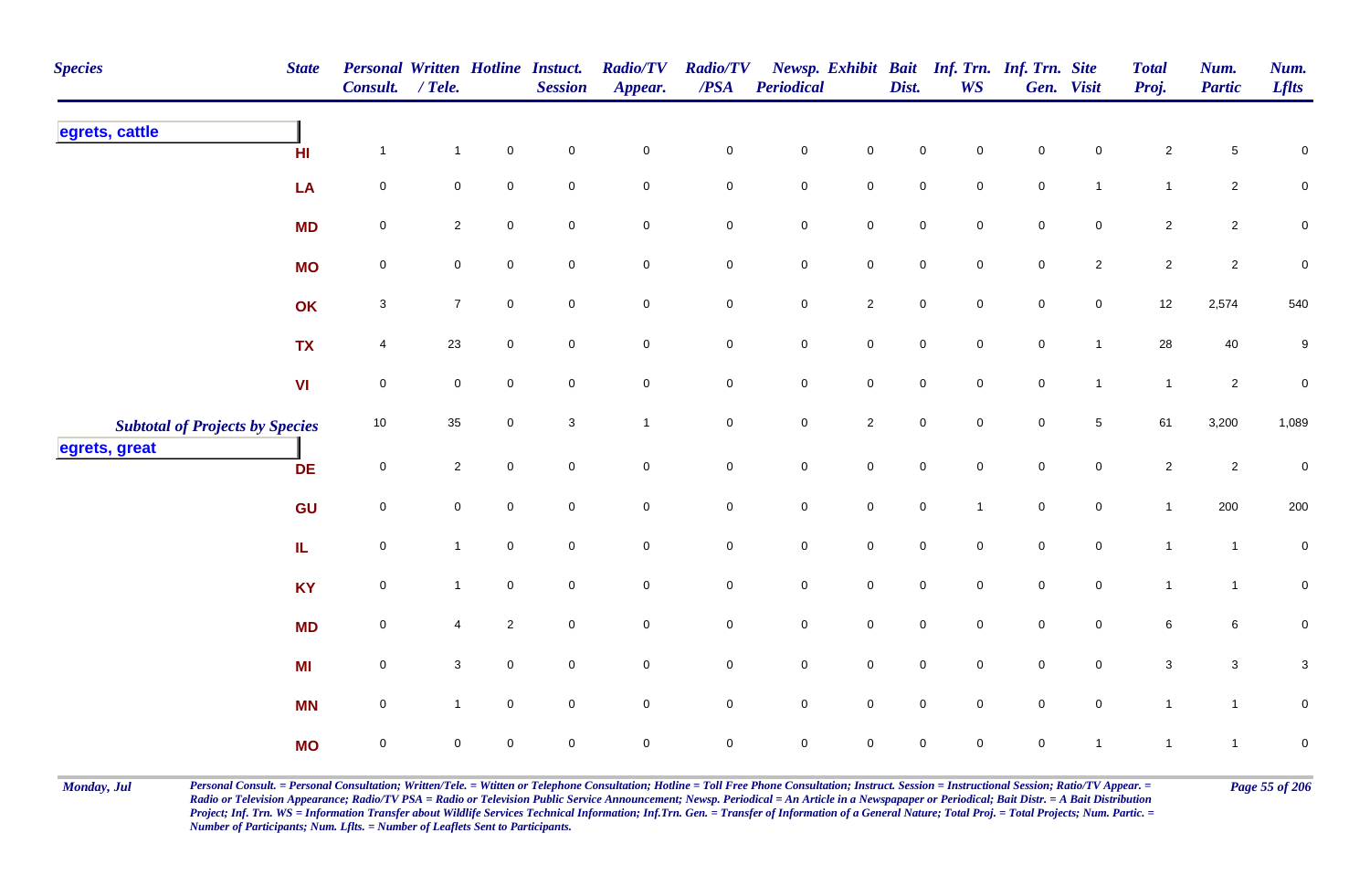| <b>Species</b>                         | <b>State</b> | Personal Written Hotline Instuct.<br>Consult. | $/$ Tele.        |                     | <b>Session</b>      | <b>Radio/TV</b><br>Appear. | <b>Radio/TV</b><br>$\overline{PSA}$ | Periodical          |                     | Dist.               | <b>WS</b>    | Newsp. Exhibit Bait Inf. Trn. Inf. Trn. Site | Gen. Visit     | <b>Total</b><br>Proj. | Num.<br><b>Partic</b> | Num.<br><b>Lflts</b>      |
|----------------------------------------|--------------|-----------------------------------------------|------------------|---------------------|---------------------|----------------------------|-------------------------------------|---------------------|---------------------|---------------------|--------------|----------------------------------------------|----------------|-----------------------|-----------------------|---------------------------|
| egrets, cattle                         | H1           | $\mathbf{1}$                                  | $\overline{1}$   | $\mathbf 0$         | $\pmb{0}$           | $\pmb{0}$                  | $\mathbf 0$                         | $\mathbf 0$         | $\mathsf{O}\xspace$ | $\mathbf 0$         | 0            | $\pmb{0}$                                    | $\Omega$       | $\overline{a}$        | 5                     | $\pmb{0}$                 |
|                                        | LA           | $\mathbf 0$                                   | $\mathbf 0$      | $\mathsf{O}\xspace$ | $\pmb{0}$           | $\pmb{0}$                  | $\mathbf 0$                         | $\mathbf 0$         | $\mathbf 0$         | $\mathbf 0$         | $\mathsf 0$  | $\mathbf 0$                                  | $\mathbf{1}$   | $\mathbf{1}$          | $\overline{2}$        | ${\bf 0}$                 |
|                                        | <b>MD</b>    | $\mathbf 0$                                   | $\overline{2}$   | $\mathbf 0$         | $\mathbf 0$         | $\mathsf 0$                | $\pmb{0}$                           | $\mathbf 0$         | $\mathbf 0$         | $\mathbf 0$         | $\mathbf 0$  | $\mathbf 0$                                  | $\mathbf 0$    | $\overline{a}$        | $\overline{2}$        | $\pmb{0}$                 |
|                                        | <b>MO</b>    | $\pmb{0}$                                     | $\overline{0}$   | $\mathbf 0$         | $\mathbf 0$         | $\pmb{0}$                  | $\pmb{0}$                           | $\mathbf 0$         | $\pmb{0}$           | $\mathbf 0$         | $\mathbf 0$  | $\mathbf 0$                                  | $\overline{2}$ | $\overline{c}$        | $\overline{2}$        | $\pmb{0}$                 |
|                                        | OK           | $\mathsf 3$                                   | $\overline{7}$   | $\mathbf 0$         | $\mathbf 0$         | $\mathsf 0$                | 0                                   | $\mathsf{O}$        | $\overline{2}$      | $\mathbf 0$         | $\mathbf 0$  | $\mathbf 0$                                  | $\overline{0}$ | 12                    | 2,574                 | 540                       |
|                                        | <b>TX</b>    | 4                                             | 23               | $\mathbf 0$         | $\mathsf{O}\xspace$ | $\mathsf{O}\xspace$        | $\mathbf 0$                         | $\mathsf{O}\xspace$ | $\mathsf 0$         | $\mathsf{O}\xspace$ | $\mathbf 0$  | $\mathbf 0$                                  | $\mathbf{1}$   | 28                    | 40                    | $\boldsymbol{9}$          |
|                                        | VI           | $\mathbf 0$                                   | $\boldsymbol{0}$ | $\mathbf 0$         | $\mathbf 0$         | $\pmb{0}$                  | $\pmb{0}$                           | $\mathsf{O}\xspace$ | $\mathbf 0$         | $\mathbf 0$         | $\mathbf 0$  | $\mathbf 0$                                  | $\mathbf{1}$   | $\overline{1}$        | $\overline{2}$        | $\pmb{0}$                 |
| <b>Subtotal of Projects by Species</b> |              | 10                                            | 35               | $\mathbf 0$         | $\mathbf 3$         | $\mathbf{1}$               | $\mathbf 0$                         | $\mathsf{O}\xspace$ | $\overline{2}$      | $\mathsf{O}\xspace$ | $\mathbf 0$  | $\mathbf 0$                                  | $\sqrt{5}$     | 61                    | 3,200                 | 1,089                     |
| egrets, great                          | <b>DE</b>    | $\mathsf{O}\xspace$                           | $\overline{2}$   | $\mathbf 0$         | $\mathbf 0$         | $\mathbf 0$                | $\mathbf 0$                         | $\mathbf 0$         | $\mathsf{O}\xspace$ | $\mathbf 0$         | $\mathbf 0$  | $\mathsf{O}\xspace$                          | $\mathbf 0$    | $\overline{c}$        | $\overline{2}$        | $\pmb{0}$                 |
|                                        | GU           | $\mathsf{O}\xspace$                           | $\mathbf 0$      | $\mathbf 0$         | $\mathsf{O}\xspace$ | $\mathbf 0$                | $\pmb{0}$                           | $\mathbf 0$         | $\mathsf{O}\xspace$ | $\mathbf 0$         | $\mathbf{1}$ | $\mathbf 0$                                  | $\mathbf 0$    | $\mathbf{1}$          | 200                   | 200                       |
|                                        | IL.          | $\pmb{0}$                                     | $\mathbf{1}$     | $\mathsf{O}\xspace$ | $\mathbf 0$         | $\mathbf 0$                | 0                                   | $\mathsf{O}\xspace$ | $\mathbf 0$         | $\mathbf 0$         | $\mathbf 0$  | $\mathbf 0$                                  | $\overline{0}$ | $\overline{1}$        | $\mathbf{1}$          | $\mathbf 0$               |
|                                        | <b>KY</b>    | $\mathbf 0$                                   | $\mathbf{1}$     | $\mathsf{O}\xspace$ | $\mathbf 0$         | $\pmb{0}$                  | $\pmb{0}$                           | $\mathsf{O}$        | $\mathbf 0$         | $\mathbf 0$         | $\mathbf 0$  | $\mathsf{O}\xspace$                          | $\overline{0}$ | $\mathbf{1}$          | $\mathbf{1}$          | ${\bf 0}$                 |
|                                        | <b>MD</b>    | $\mathbf 0$                                   | 4                | $\sqrt{2}$          | $\overline{0}$      | $\mathbf 0$                | 0                                   | $\mathsf{O}$        | $\mathbf 0$         | $\mathsf{O}\xspace$ | $\mathbf 0$  | $\overline{0}$                               | $\overline{0}$ | 6                     | $6\phantom{.}6$       | 0                         |
|                                        | MI           | $\mathsf{O}\xspace$                           | $\mathbf{3}$     | $\mathbf 0$         | $\mathbf 0$         | $\pmb{0}$                  | $\mathbf 0$                         | $\mathbf 0$         | $\mathsf 0$         | $\mathbf 0$         | $\mathbf 0$  | $\mathbf 0$                                  | $\mathbf 0$    | $\mathbf{3}$          | $\mathbf{3}$          | $\ensuremath{\mathsf{3}}$ |
|                                        | <b>MN</b>    | $\mathbf 0$                                   | $\mathbf{1}$     | $\mathbf 0$         | $\mathbf 0$         | $\mathsf{O}\xspace$        | 0                                   | $\mathsf{O}\xspace$ | $\mathbf 0$         | $\mathbf 0$         | $\mathbf 0$  | $\mathbf 0$                                  | $\overline{0}$ | $\mathbf{1}$          | $\mathbf{1}$          | ${\bf 0}$                 |
|                                        | <b>MO</b>    | $\pmb{0}$                                     | 0                | $\mathbf 0$         | $\mathbf 0$         | $\mathbf 0$                | $\mathbf 0$                         | $\mathbf 0$         | $\mathbf 0$         | $\mathbf 0$         | $\mathbf 0$  | $\mathbf 0$                                  | $\mathbf{1}$   | $\overline{1}$        | $\mathbf{1}$          | $\pmb{0}$                 |

Monday, Jul Personal Consult. = Personal Consultation; Written/Tele. = Witten or Telephone Consultation; Hotline = Toll Free Phone Consultation; Instruct. Session = Instructional Session; Ratio/TV Appear. = Page 55 of 206 *Radio or Television Appearance; Radio/TV PSA = Radio or Television Public Service Announcement; Newsp. Periodical = An Article in a Newspapaper or Periodical; Bait Distr. = A Bait Distribution*  Project; Inf. Trn. WS = Information Transfer about Wildlife Services Technical Information; Inf.Trn. Gen. = Transfer of Information of a General Nature; Total Proj. = Total Projects; Num. Partic. = *Number of Participants; Num. Lflts. = Number of Leaflets Sent to Participants.*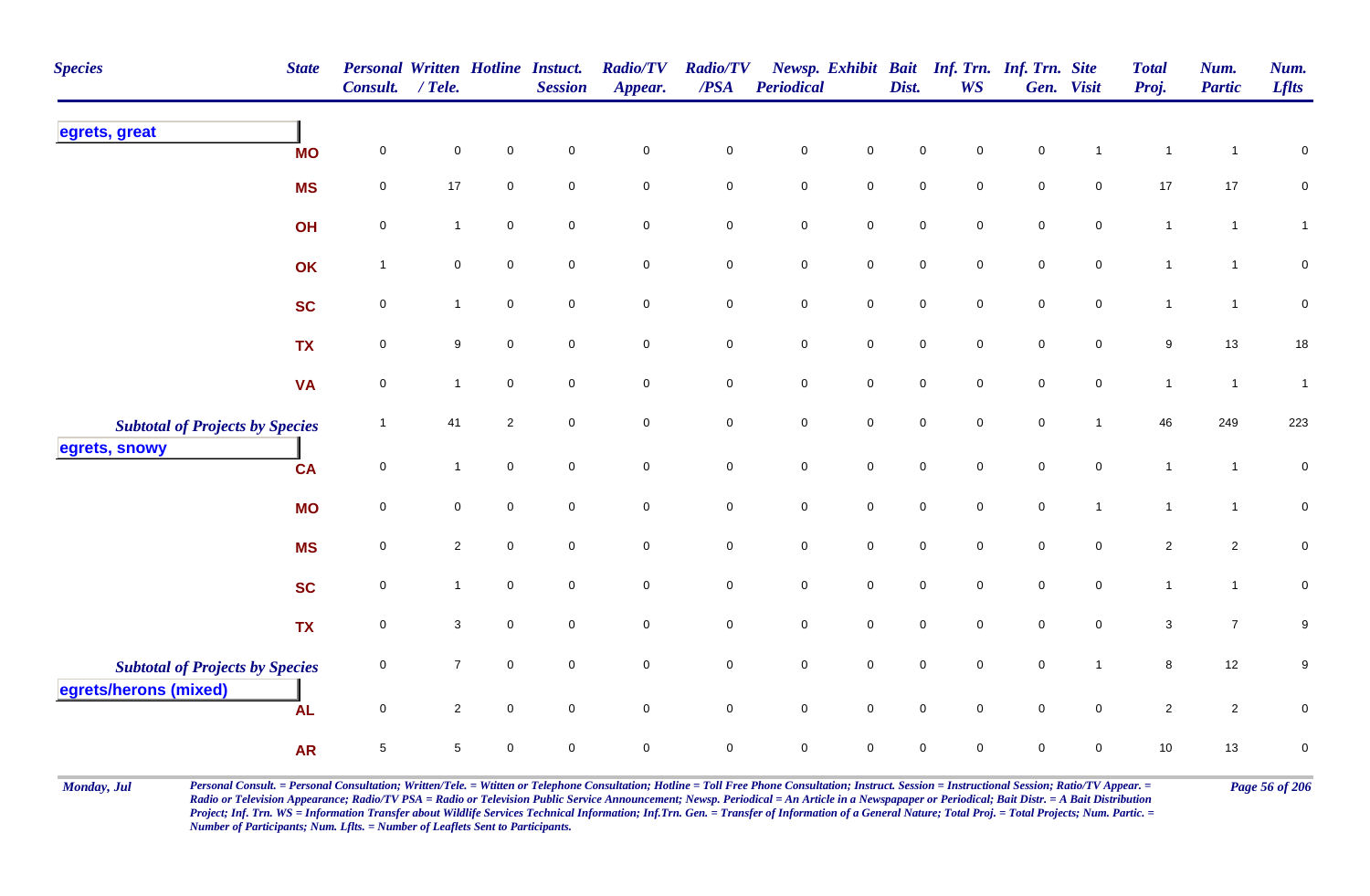| <b>Species</b>                         | <b>State</b> | Personal Written Hotline Instuct.<br>Consult. | $/$ Tele.      |                | <b>Session</b>      | <b>Radio/TV</b><br>Appear. | <b>Radio/TV</b><br>$\overline{PSA}$ | <b>Periodical</b>   |                     | Dist.               | <b>WS</b>           | Newsp. Exhibit Bait Inf. Trn. Inf. Trn. Site | Gen. Visit          | <b>Total</b><br>Proj. | Num.<br><b>Partic</b> | Num.<br><b>Lflts</b> |
|----------------------------------------|--------------|-----------------------------------------------|----------------|----------------|---------------------|----------------------------|-------------------------------------|---------------------|---------------------|---------------------|---------------------|----------------------------------------------|---------------------|-----------------------|-----------------------|----------------------|
| egrets, great                          | <b>MO</b>    | $\mathsf{O}\xspace$                           | 0              | $\mathbf 0$    | $\pmb{0}$           | $\pmb{0}$                  | $\mathbf 0$                         | $\pmb{0}$           | $\mathsf{O}\xspace$ | 0                   | $\mathbf 0$         | $\mathbf 0$                                  |                     | $\mathbf{1}$          | $\mathbf 1$           | $\pmb{0}$            |
|                                        | <b>MS</b>    | $\pmb{0}$                                     | $17$           | $\mathbf 0$    | $\mathbf 0$         | $\mathbf 0$                | $\mathbf 0$                         | $\mathsf{O}\xspace$ | $\mathbf 0$         | $\mathsf{O}\xspace$ | $\mathbf 0$         | $\mathsf{O}\xspace$                          | $\mathsf{O}\xspace$ | 17                    | 17                    | $\mathbf 0$          |
|                                        | OH           | $\mathsf{O}\xspace$                           | $\mathbf{1}$   | $\mathsf 0$    | $\mathbf 0$         | $\mathbf 0$                | $\mathbf 0$                         | ${\bf 0}$           | $\overline{0}$      | 0                   | $\mathbf 0$         | $\mathbf 0$                                  | $\mathbf 0$         | $\mathbf{1}$          | $\mathbf{1}$          | $\mathbf{1}$         |
|                                        | OK           | $\mathbf{1}$                                  | $\pmb{0}$      | $\pmb{0}$      | $\mathbf 0$         | $\mathbf 0$                | $\pmb{0}$                           | $\pmb{0}$           | $\mathbf 0$         | $\mathsf{O}\xspace$ | $\mathbf 0$         | $\mathbf 0$                                  | $\mathbf 0$         | $\mathbf{1}$          | $\mathbf{1}$          | $\pmb{0}$            |
|                                        | <b>SC</b>    | $\mathsf{O}\xspace$                           | $\mathbf{1}$   | $\mathbf 0$    | $\overline{0}$      | $\mathbf 0$                | $\mathbf 0$                         | $\mathbf 0$         | $\mathbf 0$         | $\mathsf{O}\xspace$ | $\mathbf 0$         | $\mathsf{O}\xspace$                          | $\overline{0}$      | $\mathbf{1}$          | $\overline{1}$        | $\mathsf 0$          |
|                                        | <b>TX</b>    | $\pmb{0}$                                     | 9              | $\mathsf 0$    | $\mathbf 0$         | $\mathbf 0$                | $\mathbf 0$                         | ${\bf 0}$           | $\mathbf 0$         | $\mathbf 0$         | $\mathbf 0$         | $\mathbf 0$                                  | $\mathbf 0$         | $\boldsymbol{9}$      | 13                    | $18$                 |
|                                        | <b>VA</b>    | $\pmb{0}$                                     | $\mathbf{1}$   | $\mathsf 0$    | $\mathbf 0$         | $\mathsf 0$                | $\mathbf 0$                         | $\mathbf 0$         | $\overline{0}$      | $\mathbf 0$         | $\mathbf 0$         | $\mathbf 0$                                  | $\mathbf 0$         | $\mathbf{1}$          | $\overline{1}$        | $\mathbf{1}$         |
| <b>Subtotal of Projects by Species</b> |              | $\overline{1}$                                | 41             | $\overline{2}$ | $\mathbf 0$         | $\pmb{0}$                  | $\mathbf 0$                         | $\mathsf{O}\xspace$ | $\mathbf 0$         | $\mathbf 0$         | $\mathbf 0$         | $\mathbf 0$                                  | $\mathbf{1}$        | 46                    | 249                   | 223                  |
| egrets, snowy                          | <b>CA</b>    | $\pmb{0}$                                     | $\mathbf{1}$   | $\pmb{0}$      | $\mathbf 0$         | $\mathsf{O}\xspace$        | $\mathbf 0$                         | $\mathbf 0$         | $\mathbf 0$         | $\pmb{0}$           | $\mathsf{O}\xspace$ | $\pmb{0}$                                    | $\mathsf 0$         | $\mathbf{1}$          | $\overline{1}$        | $\pmb{0}$            |
|                                        | <b>MO</b>    | $\mathsf{O}\xspace$                           | $\mathbf 0$    | $\mathbf 0$    | $\overline{0}$      | $\mathsf{O}\xspace$        | $\mathsf{O}\xspace$                 | $\overline{0}$      | $\mathsf{O}\xspace$ | $\mathbf 0$         | $\mathbf 0$         | $\mathbf 0$                                  | $\overline{1}$      | $\mathbf{1}$          | $\mathbf{1}$          | $\mathbf 0$          |
|                                        | <b>MS</b>    | $\pmb{0}$                                     | $\overline{a}$ | $\mathbf 0$    | $\mathbf 0$         | $\mathbf 0$                | $\pmb{0}$                           | $\mathbf 0$         | $\mathbf 0$         | $\mathbf 0$         | $\mathbf 0$         | $\pmb{0}$                                    | $\mathbf 0$         | $\overline{c}$        | $\overline{c}$        | $\pmb{0}$            |
|                                        | <b>SC</b>    | $\pmb{0}$                                     | 1              | $\mathbf 0$    | $\mathsf{O}\xspace$ | $\mathbf 0$                | $\mathbf 0$                         | $\mathbf 0$         | $\pmb{0}$           | $\mathsf{O}\xspace$ | $\mathbf 0$         | $\mathbf 0$                                  | $\mathbf 0$         | $\mathbf{1}$          | $\mathbf{1}$          | $\pmb{0}$            |
|                                        | <b>TX</b>    | $\mathsf{O}\xspace$                           | 3              | $\mathbf 0$    | $\mathbf 0$         | $\mathbf 0$                | $\mathsf{O}\xspace$                 | $\mathbf 0$         | $\mathsf{O}\xspace$ | $\mathsf{O}\xspace$ | $\mathbf 0$         | $\mathsf{O}\xspace$                          | $\mathbf 0$         | $\mathbf{3}$          | $\overline{7}$        | 9                    |
| <b>Subtotal of Projects by Species</b> |              | $\mathsf{O}\xspace$                           | $\overline{7}$ | $\mathsf 0$    | $\mathbf 0$         | $\mathbf 0$                | $\pmb{0}$                           | $\pmb{0}$           | $\mathbf 0$         | $\mathsf{O}\xspace$ | $\mathsf{O}\xspace$ | $\mathbf 0$                                  | $\overline{1}$      | $\bf8$                | 12                    | $\boldsymbol{9}$     |
| egrets/herons (mixed)                  | <b>AL</b>    | $\pmb{0}$                                     | $\overline{2}$ | $\mathbf 0$    | $\mathbf 0$         | $\mathbf 0$                | $\mathbf 0$                         | $\mathsf{O}\xspace$ | $\mathsf{O}\xspace$ | $\mathsf{O}\xspace$ | $\mathbf 0$         | $\mathbf 0$                                  | $\mathsf{O}\xspace$ | $\overline{2}$        | $\overline{2}$        | $\pmb{0}$            |
|                                        | <b>AR</b>    | $\sqrt{5}$                                    | 5              | $\mathbf 0$    | $\mathbf 0$         | $\mathbf 0$                | $\mathbf 0$                         | $\mathbf 0$         | $\mathbf 0$         | 0                   | $\mathbf 0$         | $\mathsf 0$                                  | $\mathbf 0$         | 10                    | 13                    | $\pmb{0}$            |

Monday, Jul Personal Consult. = Personal Consultation; Written/Tele. = Witten or Telephone Consultation; Hotline = Toll Free Phone Consultation; Instruct. Session = Instructional Session; Ratio/TV Appear. = Page 56 of 206 *Radio or Television Appearance; Radio/TV PSA = Radio or Television Public Service Announcement; Newsp. Periodical = An Article in a Newspapaper or Periodical; Bait Distr. = A Bait Distribution*  Project; Inf. Trn. WS = Information Transfer about Wildlife Services Technical Information; Inf.Trn. Gen. = Transfer of Information of a General Nature; Total Proj. = Total Projects; Num. Partic. = *Number of Participants; Num. Lflts. = Number of Leaflets Sent to Participants.*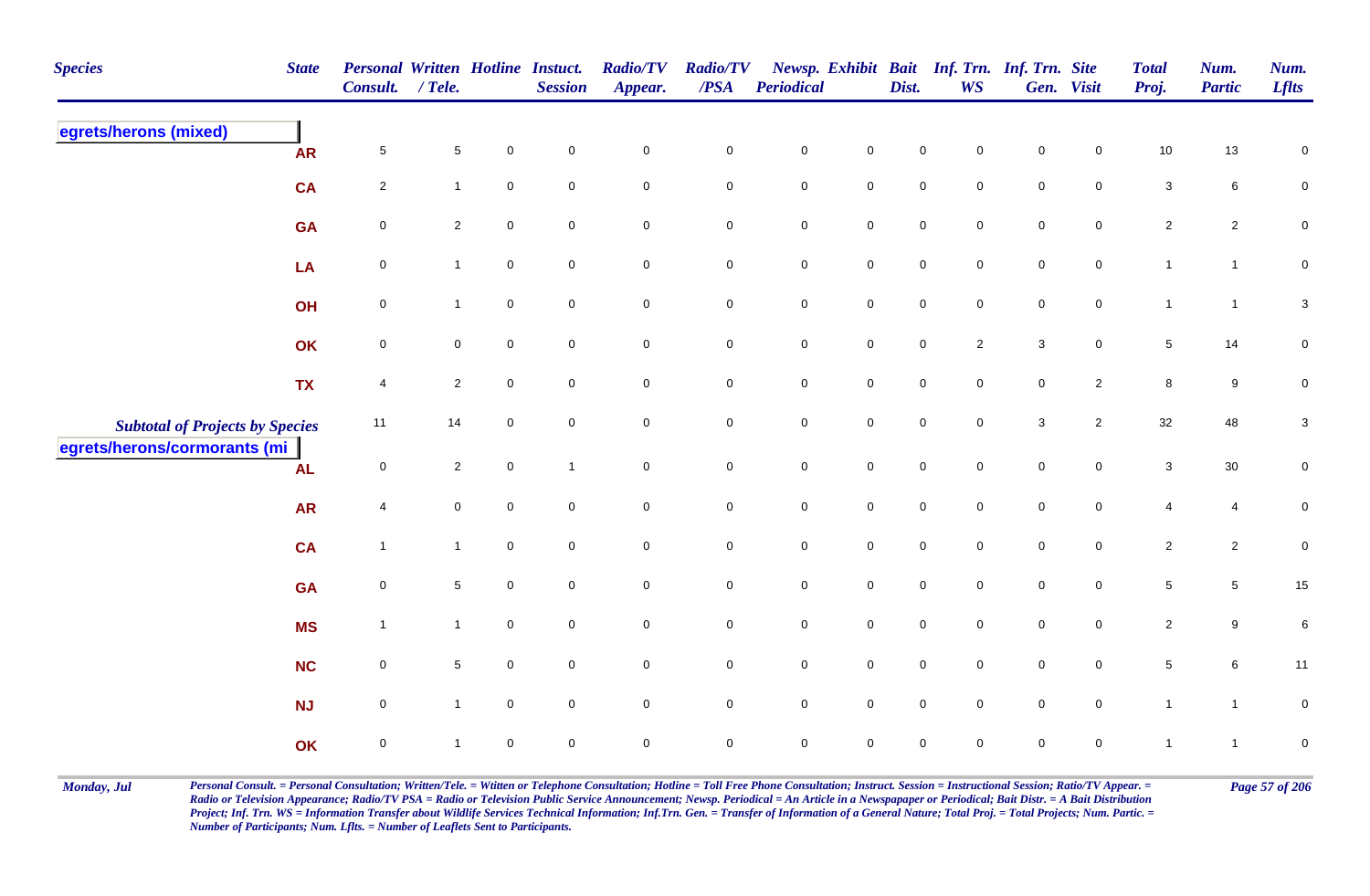| <b>Species</b>                         | <b>State</b> | <b>Personal Written Hotline Instuct.</b><br>Consult. | $/$ Tele.      |                     | <b>Session</b> | <b>Radio/TV</b><br>Appear. | <b>Radio/TV</b><br>$\overline{PSA}$ | <b>Periodical</b>   |                     | Dist.               | <b>WS</b>      | Newsp. Exhibit Bait Inf. Trn. Inf. Trn. Site | Gen. Visit          | <b>Total</b><br>Proj.   | Num.<br><b>Partic</b> | Num.<br><b>Lflts</b>      |
|----------------------------------------|--------------|------------------------------------------------------|----------------|---------------------|----------------|----------------------------|-------------------------------------|---------------------|---------------------|---------------------|----------------|----------------------------------------------|---------------------|-------------------------|-----------------------|---------------------------|
| egrets/herons (mixed)                  | <b>AR</b>    | $\sqrt{5}$                                           | $\sqrt{5}$     | $\mathbf 0$         | $\mathsf 0$    | $\mathbf 0$                | $\pmb{0}$                           | $\mathsf{O}\xspace$ | $\pmb{0}$           | 0                   | $\mathbf 0$    | 0                                            | 0                   | 10                      | $13\,$                | 0                         |
|                                        | <b>CA</b>    | $\overline{2}$                                       | $\mathbf{1}$   | $\mathsf{O}\xspace$ | $\mathbf 0$    | $\mathbf 0$                | $\mathbf 0$                         | $\mathbf 0$         | ${\bf 0}$           | 0                   | $\mathbf 0$    | $\mathbf 0$                                  | $\mathbf 0$         | $\mathbf{3}$            | $6\phantom{.0}$       | ${\bf 0}$                 |
|                                        | <b>GA</b>    | $\mathbf 0$                                          | $\mathbf{2}$   | $\mathsf{O}\xspace$ | $\mathbf 0$    | $\mathbf 0$                | $\mathbf 0$                         | $\pmb{0}$           | $\mathbf 0$         | $\mathsf{O}\xspace$ | $\mathbf 0$    | $\mathbf 0$                                  | $\mathbf 0$         | $\overline{2}$          | $\overline{2}$        | $\pmb{0}$                 |
|                                        | LA           | $\mathbf 0$                                          | $\mathbf{1}$   | $\mathbf 0$         | $\mathbf 0$    | $\overline{0}$             | $\mathbf 0$                         | $\mathbf 0$         | $\mathsf{O}$        | $\mathsf{O}\xspace$ | $\mathbf 0$    | $\mathsf{O}\xspace$                          | $\mathbf 0$         | $\mathbf{1}$            | $\mathbf{1}$          | $\mathbf 0$               |
|                                        | OH           | $\mathbf 0$                                          | $\mathbf{1}$   | $\pmb{0}$           | $\mathbf 0$    | $\mathsf{O}\xspace$        | $\mathbf 0$                         | $\pmb{0}$           | $\mathbf 0$         | $\mathbf 0$         | $\mathbf 0$    | $\mathbf 0$                                  | $\mathsf{O}\xspace$ | $\mathbf{1}$            | $\mathbf{1}$          | $\ensuremath{\mathsf{3}}$ |
|                                        | OK           | $\pmb{0}$                                            | $\mathbf 0$    | $\mathsf 0$         | $\mathbf 0$    | $\mathbf 0$                | $\mathbf 0$                         | $\mathbf 0$         | $\mathsf{O}$        | $\mathbf 0$         | $\overline{2}$ | $\mathbf{3}$                                 | $\overline{0}$      | $5\phantom{.0}$         | 14                    | $\mathbf 0$               |
|                                        | <b>TX</b>    | 4                                                    | $\mathbf{2}$   | $\mathbf 0$         | $\mathbf 0$    | $\mathsf{O}\xspace$        | $\mathbf 0$                         | $\mathbf 0$         | $\mathsf 0$         | $\mathsf{O}\xspace$ | $\mathbf 0$    | $\mathbf 0$                                  | $\overline{2}$      | 8                       | 9                     | $\pmb{0}$                 |
| <b>Subtotal of Projects by Species</b> |              | 11                                                   | 14             | $\mathbf 0$         | $\mathbf 0$    | $\mathsf{O}\xspace$        | $\mathbf 0$                         | $\mathbf 0$         | $\mathsf{O}$        | $\mathsf{O}\xspace$ | $\mathbf 0$    | $\mathbf{3}$                                 | $\overline{2}$      | 32                      | 48                    | $\mathbf{3}$              |
| egrets/herons/cormorants (mi           | <b>AL</b>    | $\mathbf 0$                                          | $\overline{2}$ | $\pmb{0}$           | $\overline{1}$ | $\mathsf{O}\xspace$        | $\pmb{0}$                           | $\mathbf 0$         | $\mathsf{O}$        | $\mathbf 0$         | $\mathbf 0$    | $\mathbf 0$                                  | $\mathbf 0$         | $\mathbf{3}$            | $30\,$                | $\pmb{0}$                 |
|                                        | <b>AR</b>    | 4                                                    | 0              | $\mathsf{O}\xspace$ | $\mathbf 0$    | $\mathsf{O}\xspace$        | $\mathbf 0$                         | $\pmb{0}$           | $\mathsf{O}\xspace$ | $\mathbf 0$         | $\mathbf 0$    | $\mathbf 0$                                  | $\mathbf 0$         | $\overline{4}$          | 4                     | $\pmb{0}$                 |
|                                        | <b>CA</b>    | $\overline{1}$                                       | $\mathbf{1}$   | $\mathbf 0$         | $\mathbf 0$    | $\mathsf{O}\xspace$        | $\pmb{0}$                           | $\mathbf 0$         | $\mathbf 0$         | $\mathbf 0$         | $\mathbf 0$    | $\mathbf 0$                                  | $\mathbf 0$         | $\overline{\mathbf{c}}$ | $\overline{2}$        | $\pmb{0}$                 |
|                                        | <b>GA</b>    | $\pmb{0}$                                            | 5              | $\pmb{0}$           | $\mathbf 0$    | $\mathbf 0$                | $\mathbf 0$                         | ${\bf 0}$           | $\mathsf{O}\xspace$ | $\pmb{0}$           | $\mathbf 0$    | $\mathbf 0$                                  | $\mathbf 0$         | $\sqrt{5}$              | $\overline{5}$        | 15                        |
|                                        | <b>MS</b>    | $\overline{1}$                                       | $\mathbf{1}$   | $\mathbf 0$         | $\mathbf 0$    | $\mathbf 0$                | $\pmb{0}$                           | $\mathbf 0$         | $\mathbf 0$         | $\mathsf{O}\xspace$ | $\mathbf 0$    | $\mathbf 0$                                  | $\mathbf 0$         | $\overline{2}$          | $\boldsymbol{9}$      | $\,6\,$                   |
|                                        | NC           | $\pmb{0}$                                            | 5              | $\mathbf 0$         | $\mathbf 0$    | $\mathsf{O}\xspace$        | $\mathbf 0$                         | $\mathbf 0$         | $\mathsf 0$         | $\mathsf{O}\xspace$ | $\mathbf 0$    | $\mathsf{O}\xspace$                          | $\mathsf{O}\xspace$ | $\sqrt{5}$              | $\,6\,$               | 11                        |
|                                        | <b>NJ</b>    | $\mathbf 0$                                          | $\mathbf{1}$   | $\mathbf 0$         | $\mathbf 0$    | $\mathbf 0$                | $\mathbf 0$                         | $\mathsf{O}\xspace$ | $\mathsf{O}\xspace$ | $\mathbf 0$         | $\mathbf 0$    | $\mathsf{O}\xspace$                          | $\mathbf 0$         | $\mathbf{1}$            | $\mathbf{1}$          | $\pmb{0}$                 |
|                                        | OK           | $\mathbf 0$                                          | -1             | $\pmb{0}$           | 0              | $\pmb{0}$                  | $\mathbf 0$                         | $\mathsf{O}\xspace$ | $\pmb{0}$           | $\mathsf{O}\xspace$ | 0              | $\mathsf{O}\xspace$                          | $\mathbf 0$         | $\mathbf{1}$            | $\mathbf{1}$          | $\pmb{0}$                 |

Monday, Jul Personal Consult. = Personal Consultation; Written/Tele. = Witten or Telephone Consultation; Hotline = Toll Free Phone Consultation; Instruct. Session = Instructional Session; Ratio/TV Appear. = Page 57 of 206 *Radio or Television Appearance; Radio/TV PSA = Radio or Television Public Service Announcement; Newsp. Periodical = An Article in a Newspapaper or Periodical; Bait Distr. = A Bait Distribution*  Project; Inf. Trn. WS = Information Transfer about Wildlife Services Technical Information; Inf.Trn. Gen. = Transfer of Information of a General Nature; Total Proj. = Total Projects; Num. Partic. = *Number of Participants; Num. Lflts. = Number of Leaflets Sent to Participants.*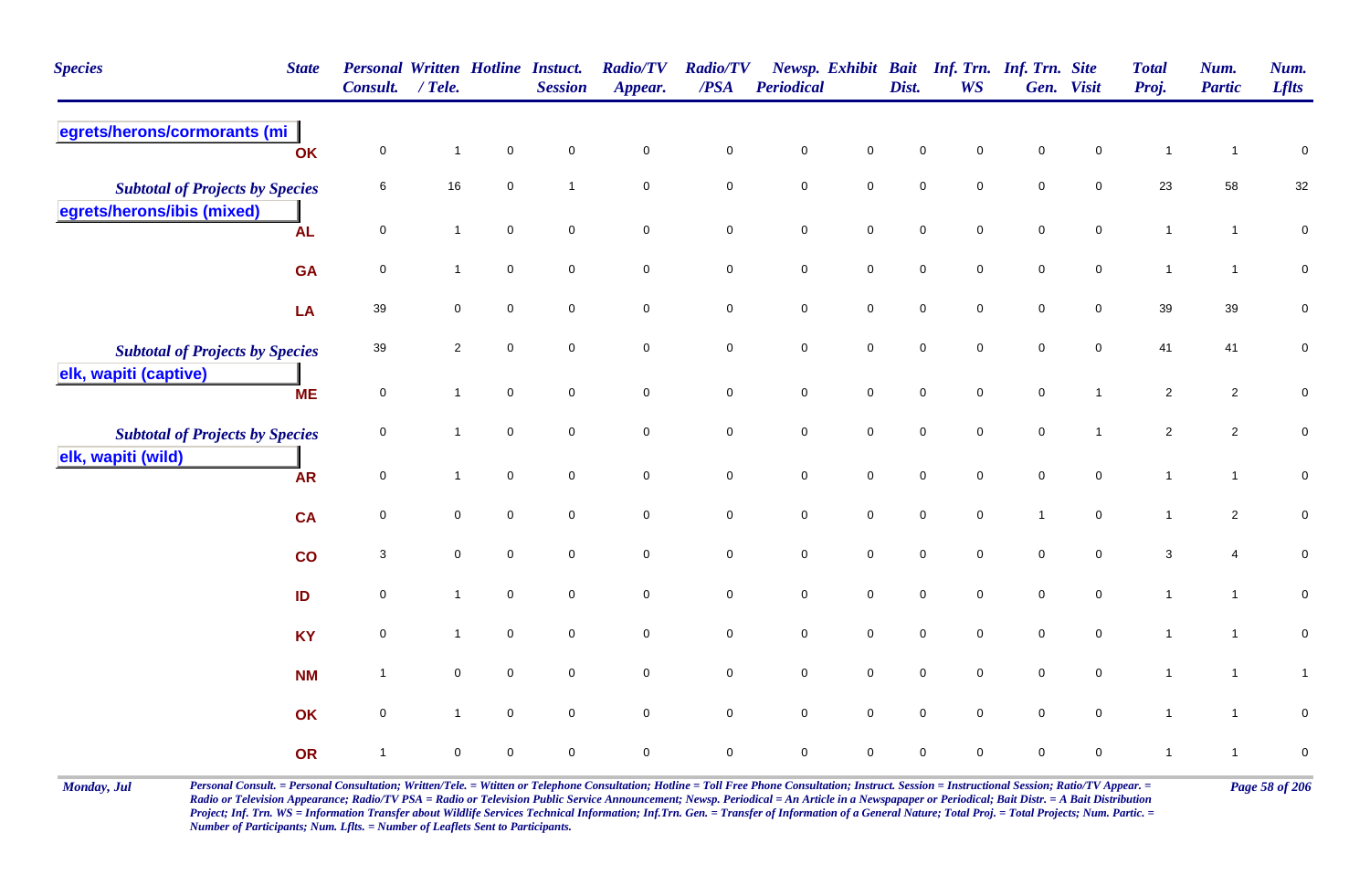| <b>Species</b><br><b>State</b>                                       | Consult.                | <b>Personal Written Hotline Instuct.</b><br>$/$ Tele. |                     | <b>Session</b>      | <b>Radio/TV</b><br>Appear. | <b>Radio/TV</b><br>$\overline{PSA}$ | Periodical          |                     | Dist.               | Newsp. Exhibit Bait Inf. Trn. Inf. Trn. Site<br><b>WS</b> |                     | Gen. Visit          | <b>Total</b><br>Proj. | Num.<br><b>Partic</b> | Num.<br><b>Lflts</b> |
|----------------------------------------------------------------------|-------------------------|-------------------------------------------------------|---------------------|---------------------|----------------------------|-------------------------------------|---------------------|---------------------|---------------------|-----------------------------------------------------------|---------------------|---------------------|-----------------------|-----------------------|----------------------|
| egrets/herons/cormorants (mi                                         | $\mathbf 0$<br>OK       | $\mathbf{1}$                                          | $\mathbf 0$         | $\pmb{0}$           | $\mathsf{O}\xspace$        | $\pmb{0}$                           | $\pmb{0}$           | $\mathsf 0$         | $\mathbf 0$         | $\mathbf 0$                                               | $\pmb{0}$           | $\mathbf 0$         | $\mathbf{1}$          | $\mathbf{1}$          | $\pmb{0}$            |
| <b>Subtotal of Projects by Species</b><br>egrets/herons/ibis (mixed) | 6                       | $16\,$                                                | $\mathsf{O}\xspace$ | $\overline{1}$      | $\mathbf 0$                | $\mathsf{O}\xspace$                 | $\mathbf 0$         | $\mathsf{O}\xspace$ | $\mathbf 0$         | $\mathbf 0$                                               | $\mathsf{O}\xspace$ | $\mathsf{O}\xspace$ | 23                    | 58                    | 32                   |
| <b>AL</b>                                                            | $\mathbf 0$             | $\mathbf{1}$                                          | $\mathbf 0$         | $\mathsf{O}\xspace$ | $\mathbf 0$                | $\mathbf 0$                         | $\mathbf 0$         | $\mathbf 0$         | $\mathbf 0$         | $\overline{0}$                                            | $\mathsf{O}\xspace$ | $\mathbf 0$         | $\mathbf{1}$          | $\overline{1}$        | $\pmb{0}$            |
| <b>GA</b>                                                            | $\mathbf 0$             | $\mathbf{1}$                                          | $\mathbf 0$         | $\mathbf 0$         | $\mathbf 0$                | $\mathbf 0$                         | $\pmb{0}$           | $\mathbf 0$         | $\mathbf 0$         | $\overline{0}$                                            | $\pmb{0}$           | $\mathbf 0$         | $\mathbf{1}$          | $\mathbf{1}$          | $\pmb{0}$            |
| LA                                                                   | 39                      | $\mathbf 0$                                           | $\mathbf 0$         | $\mathbf 0$         | 0                          | $\mathbf 0$                         | $\mathbf 0$         | $\overline{0}$      | $\mathbf 0$         | $\mathbf 0$                                               | $\mathbf 0$         | $\mathbf 0$         | 39                    | 39                    | $\mathbf 0$          |
| <b>Subtotal of Projects by Species</b><br>elk, wapiti (captive)      | 39                      | $\sqrt{2}$                                            | $\mathbf 0$         | $\overline{0}$      | $\mathsf{O}\xspace$        | $\mathsf{O}\xspace$                 | $\mathbf 0$         | $\mathbf 0$         | $\mathbf 0$         | $\overline{0}$                                            | $\mathsf{O}\xspace$ | $\mathbf 0$         | 41                    | 41                    | $\pmb{0}$            |
| <b>ME</b>                                                            | $\mathbf 0$             | $\mathbf{1}$                                          | $\mathbf 0$         | $\mathbf 0$         | $\mathbf 0$                | $\overline{0}$                      | $\pmb{0}$           | $\mathsf 0$         | $\mathsf{O}\xspace$ | $\overline{0}$                                            | $\mathbf 0$         | $\mathbf{1}$        | $\overline{2}$        | $\overline{2}$        | $\mathbf 0$          |
| <b>Subtotal of Projects by Species</b>                               | $\mathbf 0$             | $\mathbf{1}$                                          | $\mathsf{O}\xspace$ | $\mathbf 0$         | $\mathsf{O}\xspace$        | $\pmb{0}$                           | $\mathbf 0$         | $\mathbf 0$         | $\mathbf 0$         | $\mathbf 0$                                               | $\mathsf{O}\xspace$ | $\overline{1}$      | $\overline{2}$        | $\overline{2}$        | $\pmb{0}$            |
| elk, wapiti (wild)<br><b>AR</b>                                      | $\mathbf 0$             | $\mathbf{1}$                                          | $\mathsf{O}\xspace$ | $\mathbf 0$         | $\pmb{0}$                  | $\mathbf 0$                         | $\pmb{0}$           | $\mathbf 0$         | $\mathbf 0$         | $\mathbf 0$                                               | $\mathsf{O}\xspace$ | $\mathsf{O}\xspace$ | $\mathbf{1}$          | $\mathbf{1}$          | $\pmb{0}$            |
| <b>CA</b>                                                            | $\mathbf 0$             | $\pmb{0}$                                             | $\mathsf{O}\xspace$ | $\mathbf 0$         | $\mathsf{O}\xspace$        | $\mathbf 0$                         | $\mathbf 0$         | $\mathbf 0$         | $\mathbf 0$         | $\overline{0}$                                            | $\mathbf{1}$        | $\mathbf 0$         | $\mathbf{1}$          | $\overline{2}$        | $\pmb{0}$            |
| co                                                                   | 3                       | $\mathbf 0$                                           | $\mathbf 0$         | $\mathbf 0$         | $\mathbf 0$                | $\mathbf 0$                         | $\pmb{0}$           | $\mathbf 0$         | $\mathsf{O}\xspace$ | $\overline{0}$                                            | $\mathbf 0$         | $\mathbf 0$         | 3                     | 4                     | 0                    |
| ID                                                                   | $\mathbf 0$             | $\mathbf{1}$                                          | $\mathbf 0$         | $\mathbf 0$         | 0                          | $\mathbf 0$                         | $\pmb{0}$           | $\mathbf 0$         | $\mathbf 0$         | $\overline{0}$                                            | $\mathsf 0$         | $\mathbf 0$         | $\mathbf{1}$          | $\mathbf{1}$          | $\pmb{0}$            |
| <b>KY</b>                                                            | $\overline{0}$          | $\mathbf{1}$                                          | $\overline{0}$      | $\overline{0}$      | $\mathbf 0$                | $\mathbf 0$                         | $\pmb{0}$           | $\mathbf 0$         | $\mathbf 0$         | $\overline{0}$                                            | $\mathsf{O}\xspace$ | $\mathbf 0$         | $\mathbf{1}$          | $\mathbf{1}$          | $\mathbf 0$          |
| <b>NM</b>                                                            | $\overline{\mathbf{1}}$ | $\mathbf 0$                                           | $\mathbf 0$         | $\mathbf 0$         | 0                          | $\overline{0}$                      | $\mathsf{O}\xspace$ | $\mathsf 0$         | $\mathsf{O}\xspace$ | $\overline{0}$                                            | $\mathbf 0$         | $\overline{0}$      | $\mathbf{1}$          | $\mathbf{1}$          | $\mathbf{1}$         |
|                                                                      | $\mathbf 0$<br>OK       | $\mathbf{1}$                                          | $\mathbf 0$         | $\mathbf 0$         | $\mathsf{O}\xspace$        | $\mathsf{O}\xspace$                 | $\mathbf 0$         | $\mathbf 0$         | $\mathbf 0$         | $\mathbf 0$                                               | $\mathsf 0$         | $\mathbf 0$         | $\mathbf{1}$          | $\overline{1}$        | $\pmb{0}$            |
| OR                                                                   | $\overline{1}$          | $\mathbf 0$                                           | 0                   | $\mathbf 0$         | $\mathbf 0$                | $\mathbf 0$                         | $\mathbf 0$         | $\mathbf 0$         | $\mathbf 0$         | $\mathbf 0$                                               | $\mathbf 0$         | $\mathbf 0$         | $\mathbf{1}$          | $\mathbf{1}$          | $\pmb{0}$            |

Monday, Jul Personal Consult. = Personal Consultation; Written/Tele. = Witten or Telephone Consultation; Hotline = Toll Free Phone Consultation; Instruct. Session = Instructional Session; Ratio/TV Appear. = Page 58 of 206 *Radio or Television Appearance; Radio/TV PSA = Radio or Television Public Service Announcement; Newsp. Periodical = An Article in a Newspapaper or Periodical; Bait Distr. = A Bait Distribution*  Project; Inf. Trn. WS = Information Transfer about Wildlife Services Technical Information; Inf.Trn. Gen. = Transfer of Information of a General Nature; Total Proj. = Total Projects; Num. Partic. = *Number of Participants; Num. Lflts. = Number of Leaflets Sent to Participants.*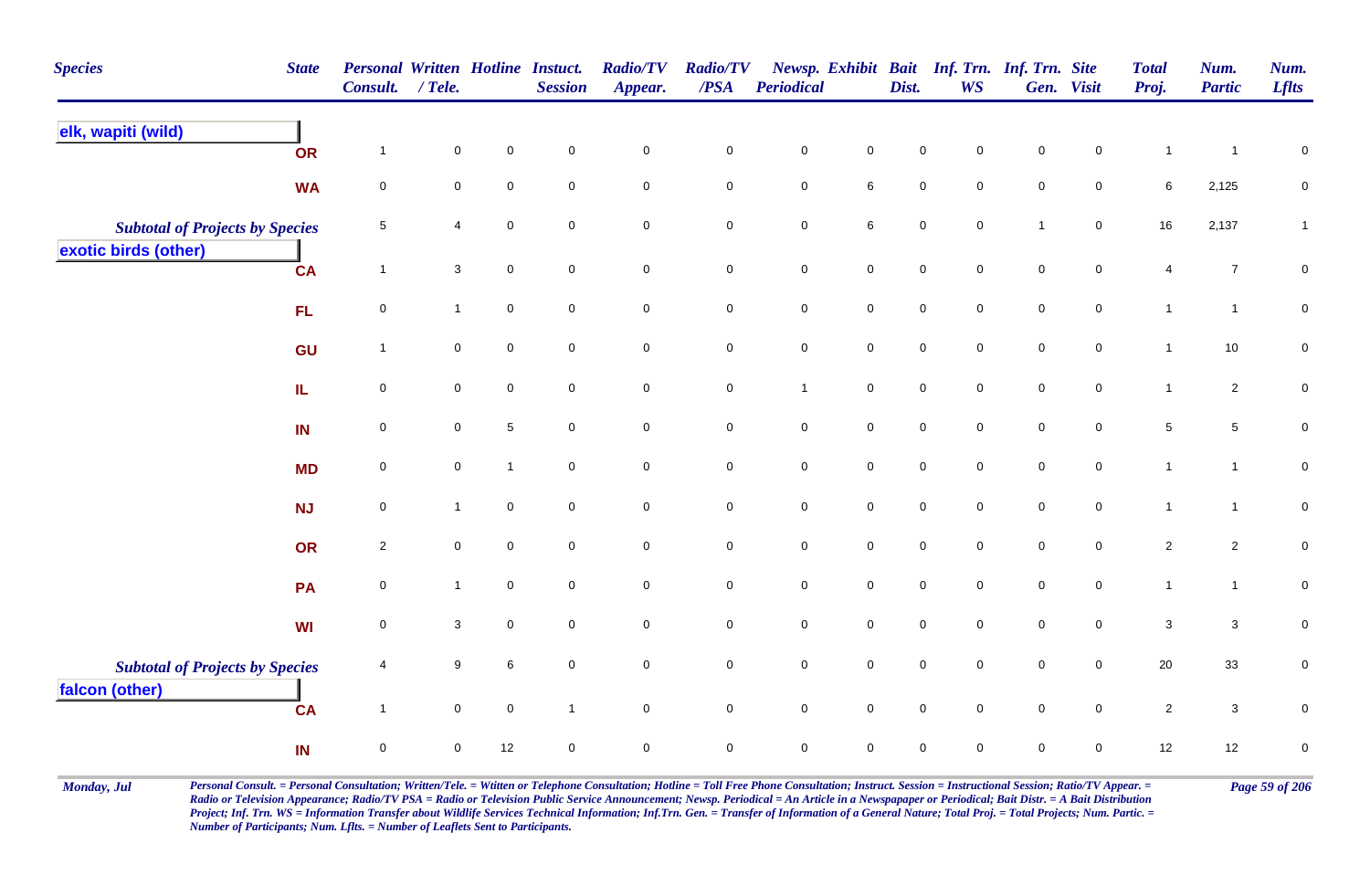| <b>Species</b>                                           | <b>State</b> | <b>Personal Written Hotline Instuct.</b><br><b>Consult.</b> | / Tele.             |              | <b>Session</b>      | <b>Radio/TV</b><br>Appear. | <b>Radio/TV</b><br>$\overline{PSA}$ | <b>Periodical</b>   |                | Dist.               | Newsp. Exhibit Bait Inf. Trn. Inf. Trn. Site<br><b>WS</b> |                     | Gen. Visit          | <b>Total</b><br>Proj. | Num.<br><b>Partic</b> | Num.<br><b>Lflts</b> |
|----------------------------------------------------------|--------------|-------------------------------------------------------------|---------------------|--------------|---------------------|----------------------------|-------------------------------------|---------------------|----------------|---------------------|-----------------------------------------------------------|---------------------|---------------------|-----------------------|-----------------------|----------------------|
| elk, wapiti (wild)                                       | <b>OR</b>    | $\overline{1}$                                              | $\mathbf 0$         | $\pmb{0}$    | $\mathbf 0$         | $\mathbf 0$                | $\pmb{0}$                           | $\pmb{0}$           | $\mathbf 0$    | $\pmb{0}$           | $\mathbf 0$                                               | $\mathbf 0$         | $\mathbf 0$         | $\mathbf{1}$          | $\mathbf{1}$          | $\pmb{0}$            |
|                                                          | <b>WA</b>    | $\mathbf 0$                                                 | $\mathbf 0$         | $\mathbf 0$  | $\mathbf 0$         | $\overline{0}$             | $\mathbf 0$                         | $\mathsf{O}\xspace$ | $6\phantom{.}$ | $\mathsf{O}\xspace$ | $\mathbf 0$                                               | $\mathsf{O}\xspace$ | $\mathbf 0$         | 6                     | 2,125                 | $\mathbf 0$          |
| <b>Subtotal of Projects by Species</b>                   |              | $\overline{5}$                                              | $\overline{4}$      | $\mathbf 0$  | $\mathbf 0$         | $\mathsf{O}\xspace$        | $\mathsf 0$                         | $\mathbf 0$         | $\,$ 6 $\,$    | $\pmb{0}$           | $\mathsf{O}\xspace$                                       | $\overline{1}$      | $\mathbf 0$         | 16                    | 2,137                 | 1                    |
| exotic birds (other)                                     | <b>CA</b>    | $\overline{1}$                                              | 3                   | $\mathbf 0$  | $\mathbf 0$         | $\overline{0}$             | $\mathbf 0$                         | $\mathbf 0$         | $\mathsf{O}$   | $\mathbf 0$         | $\mathbf 0$                                               | $\mathbf 0$         | $\mathbf 0$         | 4                     | $\overline{7}$        | 0                    |
|                                                          | FL           | $\mathbf 0$                                                 | $\mathbf{1}$        | $\mathbf 0$  | $\mathbf 0$         | $\mathsf{O}\xspace$        | $\mathsf 0$                         | $\mathsf{O}\xspace$ | $\mathsf 0$    | $\mathsf{O}\xspace$ | $\mathbf 0$                                               | $\mathsf{O}\xspace$ | $\overline{0}$      | $\mathbf{1}$          | $\mathbf{1}$          | $\pmb{0}$            |
|                                                          | GU           | $\overline{1}$                                              | $\mathsf{O}\xspace$ | $\pmb{0}$    | $\mathbf 0$         | $\mathsf{O}\xspace$        | $\mathbf 0$                         | $\mathbf 0$         | $\mathsf 0$    | $\mathbf 0$         | $\mathbf 0$                                               | $\mathbf 0$         | $\mathsf{O}\xspace$ | $\mathbf{1}$          | 10                    | $\pmb{0}$            |
|                                                          | IL.          | $\pmb{0}$                                                   | $\mathsf{O}\xspace$ | $\pmb{0}$    | $\mathsf{O}\xspace$ | $\mathsf{O}\xspace$        | $\pmb{0}$                           | $\overline{1}$      | $\mathsf 0$    | $\mathsf 0$         | $\mathsf{O}\xspace$                                       | $\mathsf 0$         | $\mathsf{O}\xspace$ | $\mathbf{1}$          | $\overline{2}$        | $\pmb{0}$            |
|                                                          | IN           | $\mathsf 0$                                                 | $\mathbf 0$         | $\sqrt{5}$   | $\mathbf 0$         | $\mathsf{O}\xspace$        | $\mathbf 0$                         | $\mathsf{O}\xspace$ | $\mathsf{O}$   | $\mathsf{O}\xspace$ | $\mathsf{O}\xspace$                                       | $\mathsf{O}\xspace$ | $\overline{0}$      | 5                     | $\sqrt{5}$            | $\pmb{0}$            |
|                                                          | <b>MD</b>    | $\mathsf 0$                                                 | $\mathbf 0$         | $\mathbf{1}$ | $\mathbf 0$         | $\mathsf{O}\xspace$        | $\mathbf 0$                         | $\mathbf 0$         | $\mathsf{O}$   | $\mathsf{O}\xspace$ | $\mathbf 0$                                               | $\mathsf{O}\xspace$ | $\mathbf 0$         | $\mathbf{1}$          | $\mathbf{1}$          | $\mathbf 0$          |
|                                                          | NJ           | $\mathbf 0$                                                 | $\mathbf{1}$        | $\mathsf 0$  | $\mathbf 0$         | $\mathbf 0$                | $\mathbf 0$                         | $\mathbf 0$         | $\mathbf 0$    | $\mathsf{O}\xspace$ | $\mathbf 0$                                               | $\mathbf 0$         | $\mathbf 0$         | $\mathbf{1}$          | $\mathbf{1}$          | ${\bf 0}$            |
|                                                          | OR           | $\sqrt{2}$                                                  | $\mathsf{O}\xspace$ | $\mathbf 0$  | $\mathbf 0$         | $\mathsf{O}\xspace$        | $\mathbf 0$                         | $\pmb{0}$           | $\mathsf 0$    | $\mathbf 0$         | $\mathbf 0$                                               | $\mathbf 0$         | $\mathbf 0$         | $\overline{2}$        | $\overline{a}$        | $\mathsf{O}\xspace$  |
|                                                          | PA           | $\mathbf 0$                                                 | $\mathbf{1}$        | $\mathsf 0$  | $\mathbf 0$         | $\mathbf 0$                | $\mathsf 0$                         | $\mathbf 0$         | $\mathsf{O}$   | $\mathbf 0$         | $\mathbf 0$                                               | $\mathbf 0$         | $\mathbf 0$         | $\mathbf{1}$          | $\mathbf{1}$          | ${\bf 0}$            |
|                                                          | <b>WI</b>    | $\mathbf 0$                                                 | $\mathbf 3$         | $\mathsf 0$  | $\mathbf 0$         | $\mathsf{O}\xspace$        | $\mathsf 0$                         | $\mathbf 0$         | $\mathsf{O}$   | $\mathbf 0$         | $\mathbf 0$                                               | $\mathbf 0$         | $\mathbf 0$         | $\mathbf{3}$          | $\mathbf{3}$          | $\pmb{0}$            |
| <b>Subtotal of Projects by Species</b><br>falcon (other) |              | $\overline{4}$                                              | 9                   | 6            | $\mathbf 0$         | $\mathsf{O}\xspace$        | $\pmb{0}$                           | $\pmb{0}$           | $\mathbf 0$    | $\mathsf{O}\xspace$ | $\mathbf 0$                                               | $\mathbf 0$         | $\mathsf{O}\xspace$ | 20                    | 33                    | $\pmb{0}$            |
|                                                          | <b>CA</b>    | $\mathbf{1}$                                                | $\mathbf 0$         | $\mathbf 0$  | $\mathbf{1}$        | $\overline{0}$             | $\overline{0}$                      | $\overline{0}$      | $\mathsf 0$    | $\mathsf{O}\xspace$ | $\mathbf 0$                                               | $\mathbf 0$         | $\overline{0}$      | $\overline{2}$        | $\mathbf{3}$          | $\mathbf 0$          |
|                                                          | IN           | $\pmb{0}$                                                   | $\mathbf 0$         | 12           | $\mathbf 0$         | $\mathsf{O}\xspace$        | $\mathsf{O}\xspace$                 | $\mathsf{O}\xspace$ | $\mathsf 0$    | $\pmb{0}$           | $\mathbf 0$                                               | $\mathsf{O}\xspace$ | $\mathbf 0$         | 12                    | 12                    | $\pmb{0}$            |

Monday, Jul Personal Consult. = Personal Consultation; Written/Tele. = Witten or Telephone Consultation; Hotline = Toll Free Phone Consultation; Instruct. Session = Instructional Session; Ratio/TV Appear. = Page 59 of 206 *Radio or Television Appearance; Radio/TV PSA = Radio or Television Public Service Announcement; Newsp. Periodical = An Article in a Newspapaper or Periodical; Bait Distr. = A Bait Distribution*  Project; Inf. Trn. WS = Information Transfer about Wildlife Services Technical Information; Inf.Trn. Gen. = Transfer of Information of a General Nature; Total Proj. = Total Projects; Num. Partic. = *Number of Participants; Num. Lflts. = Number of Leaflets Sent to Participants.*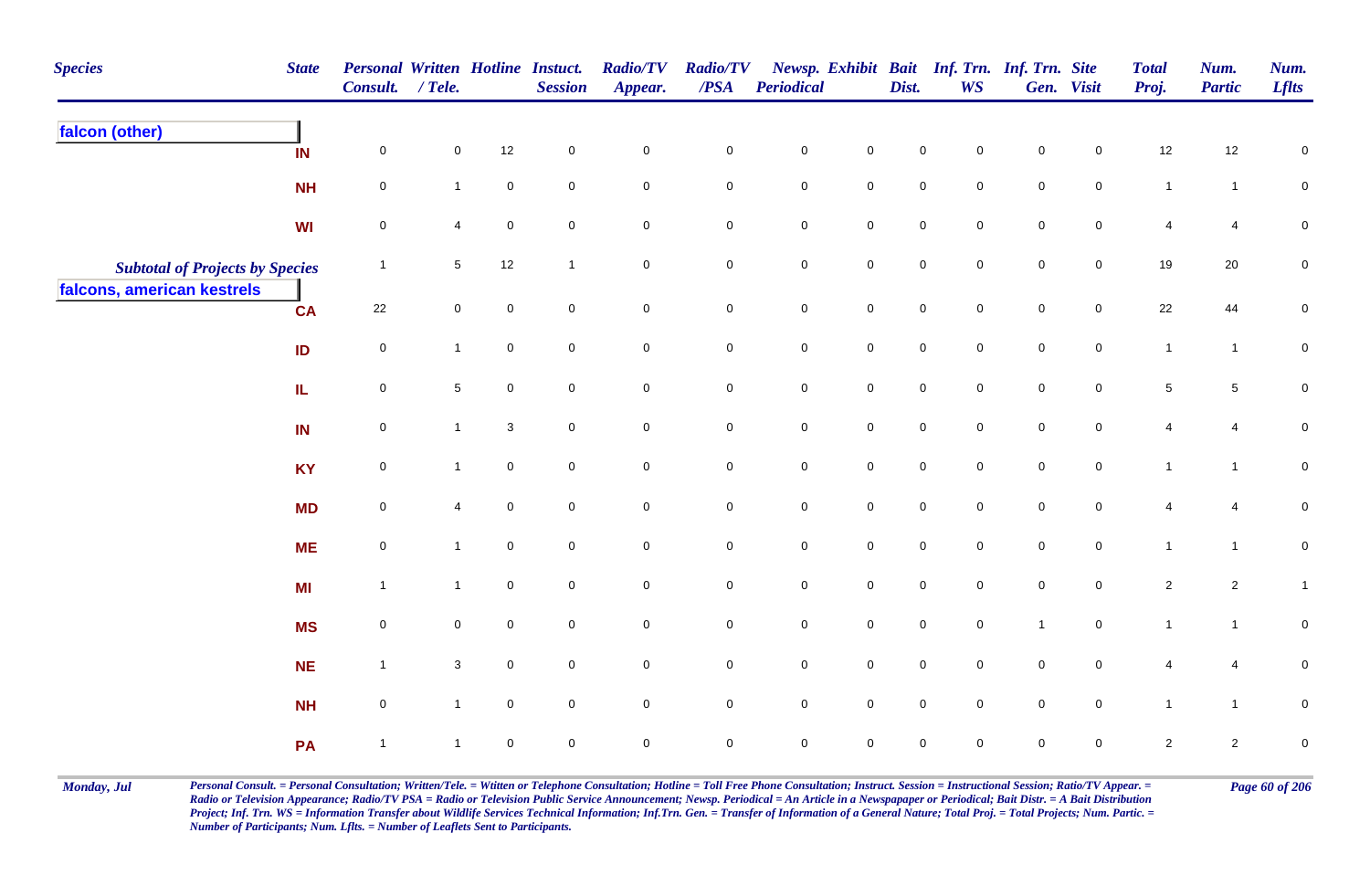| <b>Species</b>                         | <b>State</b> | Personal Written Hotline Instuct.<br>Consult. | $/$ Tele.      |                           | <b>Session</b>      | <b>Radio/TV</b><br>Appear. | <b>Radio/TV</b><br>$\boldsymbol{PSA}$ | <b>Periodical</b>   |                     | Dist.               | <b>WS</b>           | Newsp. Exhibit Bait Inf. Trn. Inf. Trn. Site | Gen. Visit          | <b>Total</b><br>Proj. | Num.<br><b>Partic</b> | Num.<br><b>Lflts</b> |
|----------------------------------------|--------------|-----------------------------------------------|----------------|---------------------------|---------------------|----------------------------|---------------------------------------|---------------------|---------------------|---------------------|---------------------|----------------------------------------------|---------------------|-----------------------|-----------------------|----------------------|
| falcon (other)                         | IN           | $\mathbf 0$                                   | 0              | 12                        | $\mathbf 0$         | $\mathbf 0$                | $\pmb{0}$                             | $\mathbf 0$         | $\mathbf 0$         | 0                   | 0                   | 0                                            | $\mathbf 0$         | 12                    | 12                    | $\mathbf 0$          |
|                                        | <b>NH</b>    | $\mathbf 0$                                   | $\mathbf{1}$   | $\mathbf 0$               | $\mathbf 0$         | $\mathsf{O}\xspace$        | $\mathbf 0$                           | $\mathbf 0$         | $\mathbf 0$         | 0                   | $\mathbf 0$         | $\mathbf 0$                                  | $\mathbf 0$         | $\mathbf{1}$          | $\mathbf{1}$          | $\mathbf 0$          |
|                                        | WI           | $\pmb{0}$                                     | 4              | $\pmb{0}$                 | $\mathbf 0$         | $\mathbf 0$                | $\pmb{0}$                             | $\pmb{0}$           | $\mathsf{O}\xspace$ | $\mathsf{O}\xspace$ | $\mathbf 0$         | $\pmb{0}$                                    | $\pmb{0}$           | 4                     | $\overline{4}$        | $\pmb{0}$            |
| <b>Subtotal of Projects by Species</b> |              | $\overline{1}$                                | 5              | 12                        | $\overline{1}$      | $\mathbf 0$                | $\mathbf 0$                           | $\pmb{0}$           | $\mathsf{O}\xspace$ | $\pmb{0}$           | $\mathsf{O}\xspace$ | $\pmb{0}$                                    | $\mathsf{O}\xspace$ | 19                    | $20\,$                | ${\bf 0}$            |
| falcons, american kestrels             | <b>CA</b>    | 22                                            | $\mathbf 0$    | $\mathsf{O}\xspace$       | $\mathbf 0$         | $\mathsf{O}\xspace$        | $\mathbf 0$                           | $\mathbf 0$         | $\mathsf{O}\xspace$ | $\mathbf 0$         | $\mathbf 0$         | $\mathbf 0$                                  | $\mathbf 0$         | 22                    | 44                    | $\pmb{0}$            |
|                                        | ID           | $\mathbf 0$                                   | $\mathbf{1}$   | $\mathsf{O}\xspace$       | $\mathsf{O}\xspace$ | $\mathsf{O}\xspace$        | $\mathbf 0$                           | $\pmb{0}$           | $\mathsf{O}\xspace$ | $\pmb{0}$           | $\mathsf{O}\xspace$ | $\pmb{0}$                                    | $\mathsf{O}\xspace$ | $\mathbf{1}$          | $\mathbf{1}$          | ${\bf 0}$            |
|                                        | IL.          | $\mathbf 0$                                   | $\overline{5}$ | $\mathbf 0$               | $\mathbf 0$         | $\mathsf{O}\xspace$        | $\mathbf 0$                           | $\pmb{0}$           | $\mathbf 0$         | $\mathsf{O}\xspace$ | $\mathbf 0$         | $\mathsf{O}\xspace$                          | $\mathbf 0$         | $\overline{5}$        | $\overline{5}$        | ${\bf 0}$            |
|                                        | IN           | $\mathbf 0$                                   | $\mathbf{1}$   | $\ensuremath{\mathsf{3}}$ | $\mathsf{O}\xspace$ | $\mathsf{O}\xspace$        | $\mathbf 0$                           | $\mathbf 0$         | $\pmb{0}$           | $\mathsf{O}\xspace$ | $\mathbf 0$         | $\mathsf{O}\xspace$                          | $\mathsf{O}\xspace$ | 4                     | $\overline{4}$        | $\pmb{0}$            |
|                                        | <b>KY</b>    | $\pmb{0}$                                     | $\mathbf{1}$   | $\pmb{0}$                 | $\mathbf 0$         | $\mathbf 0$                | $\mathbf 0$                           | ${\bf 0}$           | $\mathbf 0$         | $\mathbf 0$         | $\mathbf 0$         | $\mathbf 0$                                  | $\mathbf 0$         | $\mathbf{1}$          | $\mathbf{1}$          | $\pmb{0}$            |
|                                        | <b>MD</b>    | $\mathbf 0$                                   | 4              | $\mathsf{O}\xspace$       | $\mathbf 0$         | $\mathsf{O}\xspace$        | $\mathbf 0$                           | $\pmb{0}$           | $\mathbf 0$         | $\mathbf 0$         | $\mathbf 0$         | $\mathbf 0$                                  | $\mathbf 0$         | 4                     | 4                     | $\pmb{0}$            |
|                                        | <b>ME</b>    | $\pmb{0}$                                     | $\mathbf{1}$   | $\overline{0}$            | $\mathbf 0$         | $\mathbf 0$                | $\mathbf 0$                           | $\mathbf 0$         | $\mathbf 0$         | $\mathbf 0$         | $\overline{0}$      | $\mathbf 0$                                  | $\overline{0}$      | $\mathbf{1}$          | $\mathbf{1}$          | $\pmb{0}$            |
|                                        | <b>MI</b>    | $\overline{1}$                                | $\mathbf{1}$   | $\mathbf 0$               | $\mathbf 0$         | $\mathsf{O}\xspace$        | $\mathbf 0$                           | $\mathbf 0$         | $\mathsf{O}$        | $\mathsf{O}\xspace$ | $\mathbf 0$         | $\mathbf 0$                                  | $\overline{0}$      | $\overline{2}$        | $\overline{2}$        | $\mathbf{1}$         |
|                                        | <b>MS</b>    | $\mathbf 0$                                   | $\mathbf 0$    | $\mathbf 0$               | $\mathsf{O}\xspace$ | $\mathsf{O}\xspace$        | $\mathbf 0$                           | $\mathsf{O}\xspace$ | $\mathsf{O}$        | $\mathsf{O}\xspace$ | $\mathbf 0$         | $\mathbf{1}$                                 | $\overline{0}$      | $\mathbf{1}$          | $\mathbf{1}$          | $\pmb{0}$            |
|                                        | <b>NE</b>    | $\overline{1}$                                | $\mathbf{3}$   | $\mathbf 0$               | $\mathsf{O}\xspace$ | $\mathsf{O}\xspace$        | $\mathsf{O}\xspace$                   | $\mathbf 0$         | $\mathsf 0$         | $\mathsf{O}\xspace$ | $\mathbf 0$         | $\mathsf{O}\xspace$                          | $\mathsf{O}\xspace$ | 4                     | $\overline{4}$        | $\pmb{0}$            |
|                                        | <b>NH</b>    | $\pmb{0}$                                     | $\mathbf{1}$   | $\mathbf 0$               | $\mathbf 0$         | $\mathbf 0$                | $\mathbf 0$                           | $\mathbf 0$         | $\mathbf 0$         | $\mathbf 0$         | $\mathbf 0$         | $\mathbf 0$                                  | $\mathbf 0$         | $\mathbf{1}$          | $\mathbf{1}$          | $\pmb{0}$            |
|                                        | PA           | $\overline{1}$                                | $\overline{1}$ | $\pmb{0}$                 | $\pmb{0}$           | $\mathbf 0$                | $\mathsf 0$                           | $\mathbf 0$         | $\pmb{0}$           | $\mathsf{O}\xspace$ | $\mathbf 0$         | $\mathsf{O}\xspace$                          | $\mathbf 0$         | $\overline{c}$        | $\overline{c}$        | $\pmb{0}$            |

Monday, Jul Personal Consult. = Personal Consultation; Written/Tele. = Witten or Telephone Consultation; Hotline = Toll Free Phone Consultation; Instruct. Session = Instructional Session; Ratio/TV Appear. = Page 60 of 206 *Radio or Television Appearance; Radio/TV PSA = Radio or Television Public Service Announcement; Newsp. Periodical = An Article in a Newspapaper or Periodical; Bait Distr. = A Bait Distribution*  Project; Inf. Trn. WS = Information Transfer about Wildlife Services Technical Information; Inf.Trn. Gen. = Transfer of Information of a General Nature; Total Proj. = Total Projects; Num. Partic. = *Number of Participants; Num. Lflts. = Number of Leaflets Sent to Participants.*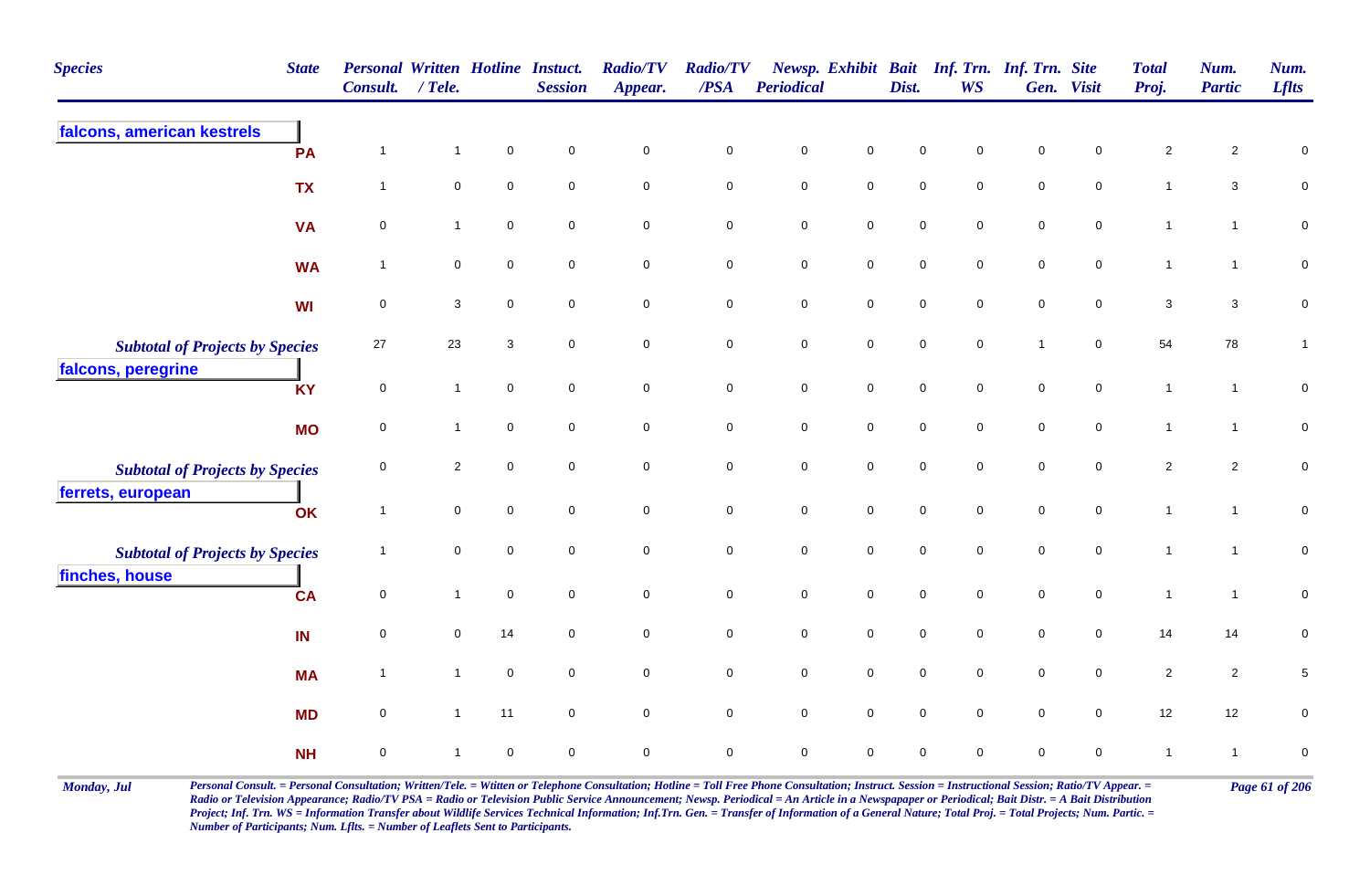| <b>Species</b>                         | <b>State</b> | <b>Personal Written Hotline Instuct.</b><br><b>Consult.</b> | / Tele.        |                     | <b>Session</b>      | <b>Radio/TV</b><br>Appear. | <b>Radio/TV</b><br>/PSA | Periodical  |                     | Dist.       | Newsp. Exhibit Bait Inf. Trn. Inf. Trn. Site<br><b>WS</b> |                | Gen. Visit     | <b>Total</b><br>Proj.     | Num.<br><b>Partic</b> | Num.<br><b>Lflts</b> |
|----------------------------------------|--------------|-------------------------------------------------------------|----------------|---------------------|---------------------|----------------------------|-------------------------|-------------|---------------------|-------------|-----------------------------------------------------------|----------------|----------------|---------------------------|-----------------------|----------------------|
| falcons, american kestrels             | PA           | $\overline{1}$                                              | $\mathbf{1}$   | $\pmb{0}$           | $\mathsf{O}\xspace$ | $\pmb{0}$                  | $\pmb{0}$               | $\mathsf 0$ | $\pmb{0}$           | $\mathbf 0$ | 0                                                         | $\mathsf 0$    | 0              | $\sqrt{2}$                | $\overline{2}$        | $\pmb{0}$            |
|                                        | <b>TX</b>    | $\overline{1}$                                              | $\mathsf 0$    | $\mathsf{O}\xspace$ | $\mathsf{O}\xspace$ | $\mathsf{O}\xspace$        | $\mathsf{O}\xspace$     | $\pmb{0}$   | $\mathsf{O}\xspace$ | $\mathbf 0$ | $\mathbf 0$                                               | $\pmb{0}$      | $\pmb{0}$      | $\mathbf{1}$              | $\mathbf{3}$          | $\overline{0}$       |
|                                        | <b>VA</b>    | 0                                                           | $\mathbf{1}$   | $\mathbf 0$         | $\mathbf 0$         | $\mathbf 0$                | $\mathbf 0$             | $\mathbf 0$ | $\mathbf 0$         | $\mathbf 0$ | $\mathbf 0$                                               | $\mathbf 0$    | $\mathbf 0$    | $\overline{1}$            | $\mathbf{1}$          | $\overline{0}$       |
|                                        | <b>WA</b>    | $\overline{1}$                                              | $\mathsf 0$    | $\mathbf 0$         | $\mathbf 0$         | $\mathsf{O}\xspace$        | $\mathbf 0$             | $\mathsf 0$ | $\mathbf 0$         | $\mathbf 0$ | $\mathbf 0$                                               | $\mathbf 0$    | $\mathbf 0$    | $\mathbf{1}$              | $\mathbf{1}$          | $\mathbf 0$          |
|                                        | <b>WI</b>    | $\pmb{0}$                                                   | $\mathbf{3}$   | $\mathbf 0$         | $\mathsf{O}\xspace$ | $\mathbf 0$                | $\mathbf 0$             | $\pmb{0}$   | $\mathbf 0$         | $\mathsf 0$ | $\mathbf 0$                                               | $\mathsf 0$    | $\mathbf 0$    | $\ensuremath{\mathsf{3}}$ | $\mathbf{3}$          | $\pmb{0}$            |
| <b>Subtotal of Projects by Species</b> |              | 27                                                          | 23             | 3                   | $\mathbf 0$         | $\mathbf 0$                | $\mathbf 0$             | $\pmb{0}$   | $\mathbf 0$         | $\mathsf 0$ | $\mathbf 0$                                               | $\overline{1}$ | $\mathbf 0$    | 54                        | 78                    | $\mathbf{1}$         |
| falcons, peregrine                     | <b>KY</b>    | $\mathbf 0$                                                 | $\mathbf{1}$   | $\mathsf{O}\xspace$ | $\mathsf{O}\xspace$ | $\mathbf 0$                | $\mathbf 0$             | $\pmb{0}$   | $\mathsf 0$         | $\pmb{0}$   | $\mathbf 0$                                               | $\mathsf 0$    | $\mathbf 0$    | $\mathbf{1}$              | $\mathbf{1}$          | $\pmb{0}$            |
|                                        | <b>MO</b>    | $\pmb{0}$                                                   | $\mathbf{1}$   | $\mathsf{O}\xspace$ | $\mathsf{O}\xspace$ | $\mathbf 0$                | $\mathbf 0$             | $\pmb{0}$   | $\mathsf 0$         | $\pmb{0}$   | $\mathbf 0$                                               | $\mathsf 0$    | $\mathbf 0$    | $\mathbf{1}$              | $\mathbf{1}$          | $\pmb{0}$            |
| <b>Subtotal of Projects by Species</b> |              | $\mathbf 0$                                                 | $\overline{2}$ | $\overline{0}$      | $\mathbf 0$         | $\mathbf 0$                | $\mathbf 0$             | $\mathsf 0$ | $\mathsf{O}\xspace$ | $\mathbf 0$ | $\mathbf 0$                                               | $\mathbf 0$    | $\mathbf 0$    | $\sqrt{2}$                | $\mathbf{2}$          | $\pmb{0}$            |
| ferrets, european                      | OK           | $\overline{1}$                                              | $\mathbf 0$    | $\mathsf{O}\xspace$ | $\mathbf 0$         | $\mathbf 0$                | $\mathbf 0$             | $\mathsf 0$ | $\mathsf{O}\xspace$ | $\pmb{0}$   | $\mathbf 0$                                               | $\pmb{0}$      | $\mathbf 0$    | $\mathbf{1}$              | $\mathbf{1}$          | $\mathbf 0$          |
| <b>Subtotal of Projects by Species</b> |              | $\overline{\mathbf{1}}$                                     | $\mathsf 0$    | $\mathbf 0$         | $\mathbf 0$         | $\mathbf 0$                | $\mathbf 0$             | $\mathsf 0$ | $\mathbf 0$         | $\mathbf 0$ | $\mathbf 0$                                               | $\mathbf 0$    | $\mathbf 0$    | $\overline{1}$            | $\mathbf{1}$          | $\mathsf{O}\xspace$  |
| finches, house                         | <b>CA</b>    | $\mathsf 0$                                                 | $\mathbf{1}$   | $\mathsf 0$         | $\mathbf 0$         | $\mathbf 0$                | $\mathbf 0$             | $\pmb{0}$   | $\mathbf 0$         | $\mathsf 0$ | $\mathbf 0$                                               | $\mathsf 0$    | $\mathbf 0$    | $\mathbf{1}$              | $\overline{1}$        | $\pmb{0}$            |
|                                        | IN           | $\mathsf 0$                                                 | $\mathbf 0$    | 14                  | $\mathbf 0$         | $\mathbf 0$                | $\mathbf 0$             | $\mathsf 0$ | $\overline{0}$      | $\mathbf 0$ | $\mathbf 0$                                               | $\mathbf 0$    | $\mathbf 0$    | 14                        | 14                    | $\mathbf 0$          |
|                                        | <b>MA</b>    | $\overline{1}$                                              | $\mathbf{1}$   | $\mathsf{O}\xspace$ | $\mathbf 0$         | $\mathsf{O}\xspace$        | $\mathsf{O}\xspace$     | $\pmb{0}$   | $\mathsf{O}\xspace$ | $\pmb{0}$   | $\mathbf 0$                                               | $\pmb{0}$      | $\pmb{0}$      | $\sqrt{2}$                | $\overline{c}$        | $\,$ 5 $\,$          |
|                                        | <b>MD</b>    | $\mathsf 0$                                                 | $\mathbf{1}$   | 11                  | $\mathbf 0$         | $\mathsf{O}\xspace$        | $\mathbf 0$             | $\mathsf 0$ | $\mathbf 0$         | $\mathsf 0$ | $\mathbf 0$                                               | $\mathsf 0$    | $\overline{0}$ | 12                        | 12                    | $\pmb{0}$            |
|                                        | <b>NH</b>    | $\mathsf 0$                                                 | $\mathbf{1}$   | $\mathbf 0$         | $\mathbf 0$         | $\mathbf 0$                | $\mathbf 0$             | $\mathbf 0$ | $\mathbf 0$         | $\mathbf 0$ | $\Omega$                                                  | $\mathbf 0$    | $\mathbf 0$    | $\mathbf{1}$              | $\mathbf{1}$          | $\pmb{0}$            |

Monday, Jul Personal Consult. = Personal Consultation; Written/Tele. = Witten or Telephone Consultation; Hotline = Toll Free Phone Consultation; Instruct. Session = Instructional Session; Ratio/TV Appear. = Page 61 of 206 *Radio or Television Appearance; Radio/TV PSA = Radio or Television Public Service Announcement; Newsp. Periodical = An Article in a Newspapaper or Periodical; Bait Distr. = A Bait Distribution*  Project; Inf. Trn. WS = Information Transfer about Wildlife Services Technical Information; Inf.Trn. Gen. = Transfer of Information of a General Nature; Total Proj. = Total Projects; Num. Partic. = *Number of Participants; Num. Lflts. = Number of Leaflets Sent to Participants.*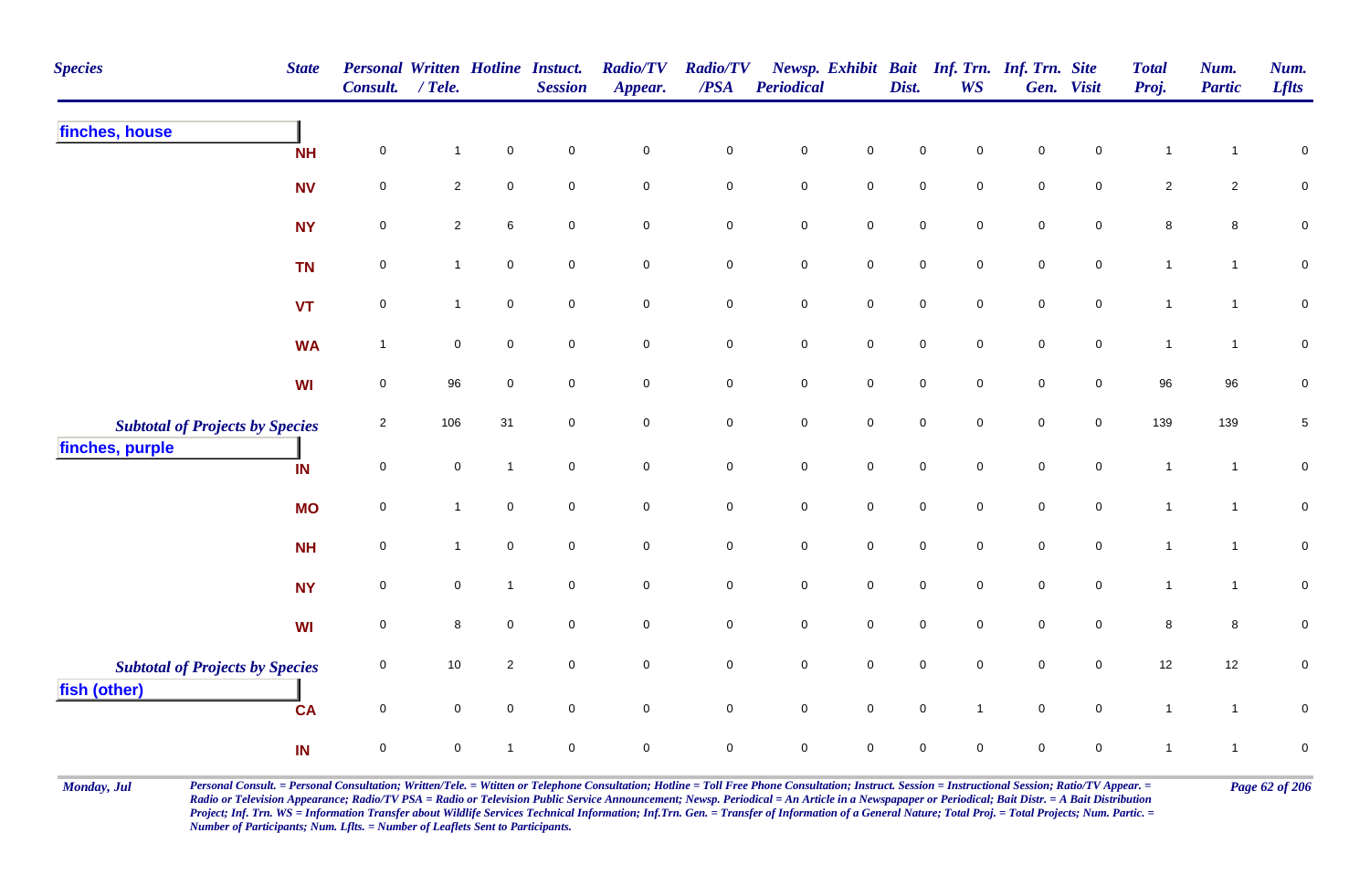| <b>Species</b>                         | <b>State</b> | <b>Personal Written Hotline Instuct.</b><br><b>Consult.</b> | $/$ Tele.      |                | <b>Session</b>      | <b>Radio/TV</b><br>Appear. | <b>Radio/TV</b><br>$\overline{PSA}$ | <b>Periodical</b>   |                     | Dist.               | <b>WS</b>           | Newsp. Exhibit Bait Inf. Trn. Inf. Trn. Site | Gen. Visit          | <b>Total</b><br>Proj. | Num.<br><b>Partic</b> | Num.<br><b>Lflts</b> |
|----------------------------------------|--------------|-------------------------------------------------------------|----------------|----------------|---------------------|----------------------------|-------------------------------------|---------------------|---------------------|---------------------|---------------------|----------------------------------------------|---------------------|-----------------------|-----------------------|----------------------|
| finches, house                         | <b>NH</b>    | $\pmb{0}$                                                   | 1              | $\pmb{0}$      | $\mathbf 0$         | $\pmb{0}$                  | $\pmb{0}$                           | $\mathsf{O}\xspace$ | $\pmb{0}$           | $\mathbf 0$         | $\mathbf 0$         | $\pmb{0}$                                    | $\mathbf 0$         | 1                     |                       | $\pmb{0}$            |
|                                        | <b>NV</b>    | $\mathsf{O}\xspace$                                         | $\overline{2}$ | $\mathbf 0$    | $\overline{0}$      | $\mathbf 0$                | $\mathsf 0$                         | $\mathbf 0$         | $\overline{0}$      | $\mathbf 0$         | $\mathbf 0$         | $\mathbf 0$                                  | $\mathbf 0$         | $\overline{2}$        | $\overline{c}$        | $\pmb{0}$            |
|                                        | <b>NY</b>    | $\mathsf{O}\xspace$                                         | $\overline{2}$ | $\,6\,$        | $\mathsf{O}\xspace$ | $\mathsf 0$                | $\pmb{0}$                           | $\mathsf{O}\xspace$ | $\mathsf{O}\xspace$ | $\mathsf{O}\xspace$ | $\mathbf 0$         | $\pmb{0}$                                    | $\mathsf{O}\xspace$ | $\bf 8$               | $\bf8$                | $\pmb{0}$            |
|                                        | <b>TN</b>    | $\pmb{0}$                                                   | $\mathbf{1}$   | $\mathsf 0$    | $\mathsf{O}\xspace$ | $\mathsf{O}\xspace$        | $\pmb{0}$                           | $\mathbf 0$         | $\mathsf{O}$        | $\mathbf 0$         | $\mathsf{O}\xspace$ | $\mathbf 0$                                  | $\mathbf 0$         | $\mathbf{1}$          | $\mathbf{1}$          | $\mathbf 0$          |
|                                        | <b>VT</b>    | $\pmb{0}$                                                   | $\mathbf{1}$   | $\pmb{0}$      | $\mathbf 0$         | $\mathbf 0$                | $\pmb{0}$                           | ${\bf 0}$           | $\mathbf 0$         | $\mathbf 0$         | $\mathbf 0$         | $\mathbf 0$                                  | $\mathbf 0$         | $\mathbf{1}$          | $\mathbf{1}$          | $\pmb{0}$            |
|                                        | <b>WA</b>    | $\mathbf{1}$                                                | 0              | $\mathbf 0$    | $\mathbf 0$         | $\mathsf{O}\xspace$        | $\pmb{0}$                           | $\pmb{0}$           | $\mathsf{O}$        | $\mathsf{O}\xspace$ | $\mathbf 0$         | $\mathsf{O}\xspace$                          | $\mathbf 0$         | $\mathbf{1}$          | $\overline{1}$        | $\pmb{0}$            |
|                                        | WI           | 0                                                           | 96             | $\mathbf 0$    | $\mathbf 0$         | $\mathbf 0$                | $\mathbf 0$                         | $\mathbf 0$         | $\mathsf{O}\xspace$ | $\mathbf 0$         | $\mathbf 0$         | $\mathbf 0$                                  | $\mathsf 0$         | 96                    | 96                    | $\pmb{0}$            |
| <b>Subtotal of Projects by Species</b> |              | $\sqrt{2}$                                                  | 106            | 31             | $\overline{0}$      | $\mathsf{O}\xspace$        | $\pmb{0}$                           | $\mathbf 0$         | $\mathsf{O}\xspace$ | $\mathsf{O}\xspace$ | $\mathsf{O}\xspace$ | $\mathsf{O}\xspace$                          | $\mathsf 0$         | 139                   | 139                   | $\,$ 5 $\,$          |
| finches, purple                        | IN           | $\pmb{0}$                                                   | $\mathbf 0$    | $\mathbf{1}$   | $\overline{0}$      | $\mathbf 0$                | $\mathsf 0$                         | $\mathsf{O}\xspace$ | $\mathsf 0$         | $\mathsf{O}\xspace$ | $\mathbf 0$         | $\mathbf 0$                                  | $\mathsf{O}$        | $\mathbf{1}$          | $\overline{1}$        | $\pmb{0}$            |
|                                        | <b>MO</b>    | $\mathsf{O}\xspace$                                         | $\mathbf{1}$   | $\mathbf 0$    | $\overline{0}$      | $\mathbf 0$                | $\mathsf 0$                         | $\pmb{0}$           | $\mathsf 0$         | $\mathbf 0$         | $\mathbf 0$         | $\mathsf 0$                                  | $\mathsf 0$         | $\mathbf{1}$          | $\overline{1}$        | $\mathbf 0$          |
|                                        | <b>NH</b>    | $\pmb{0}$                                                   | $\mathbf{1}$   | $\pmb{0}$      | $\mathsf{O}\xspace$ | $\mathsf{O}\xspace$        | $\pmb{0}$                           | $\mathbf 0$         | $\mathsf 0$         | $\mathsf{O}\xspace$ | $\mathsf{O}\xspace$ | $\mathbf 0$                                  | $\mathsf{O}\xspace$ | $\mathbf{1}$          | $\overline{1}$        | $\mathbf 0$          |
|                                        | <b>NY</b>    | $\mathsf{O}\xspace$                                         | 0              | $\mathbf{1}$   | $\mathsf 0$         | $\mathsf{O}\xspace$        | $\pmb{0}$                           | $\mathsf{O}\xspace$ | $\mathbf 0$         | $\mathsf{O}\xspace$ | $\mathbf 0$         | $\mathsf{O}\xspace$                          | $\mathsf{O}\xspace$ | $\mathbf{1}$          | $\mathbf{1}$          | $\mathbf 0$          |
|                                        | <b>WI</b>    | $\pmb{0}$                                                   | 8              | $\mathbf 0$    | $\mathbf 0$         | $\pmb{0}$                  | $\mathsf 0$                         | $\mathbf 0$         | $\mathbf 0$         | 0                   | $\mathbf 0$         | $\mathbf 0$                                  | $\mathbf 0$         | $\bf 8$               | 8                     | $\pmb{0}$            |
| <b>Subtotal of Projects by Species</b> |              | 0                                                           | 10             | $\overline{c}$ | $\mathbf 0$         | $\mathsf{O}\xspace$        | $\pmb{0}$                           | $\mathsf{O}\xspace$ | $\mathsf{O}\xspace$ | $\mathbf 0$         | $\mathbf 0$         | $\mathbf 0$                                  | $\mathbf 0$         | 12                    | 12                    | $\mathbf 0$          |
| fish (other)                           | <b>CA</b>    | $\pmb{0}$                                                   | 0              | $\mathbf 0$    | $\mathsf{O}\xspace$ | $\mathsf{O}$               | $\mathbf 0$                         | $\mathbf 0$         | $\mathsf{O}\xspace$ | $\mathbf 0$         | $\overline{1}$      | $\mathbf 0$                                  | $\mathsf{O}$        | $\mathbf{1}$          | $\mathbf{1}$          | $\pmb{0}$            |
|                                        | IN           | $\mathsf{O}\xspace$                                         | 0              | $\mathbf 1$    | $\pmb{0}$           | $\pmb{0}$                  | $\pmb{0}$                           | $\mathbf 0$         | $\mathbf 0$         | 0                   | $\mathbf 0$         | $\mathbf 0$                                  | $\mathbf 0$         | 1                     |                       | $\pmb{0}$            |

Monday, Jul Personal Consult. = Personal Consultation; Written/Tele. = Witten or Telephone Consultation; Hotline = Toll Free Phone Consultation; Instruct. Session = Instructional Session; Ratio/TV Appear. = Page 62 of 206 *Radio or Television Appearance; Radio/TV PSA = Radio or Television Public Service Announcement; Newsp. Periodical = An Article in a Newspapaper or Periodical; Bait Distr. = A Bait Distribution*  Project; Inf. Trn. WS = Information Transfer about Wildlife Services Technical Information; Inf.Trn. Gen. = Transfer of Information of a General Nature; Total Proj. = Total Projects; Num. Partic. = *Number of Participants; Num. Lflts. = Number of Leaflets Sent to Participants.*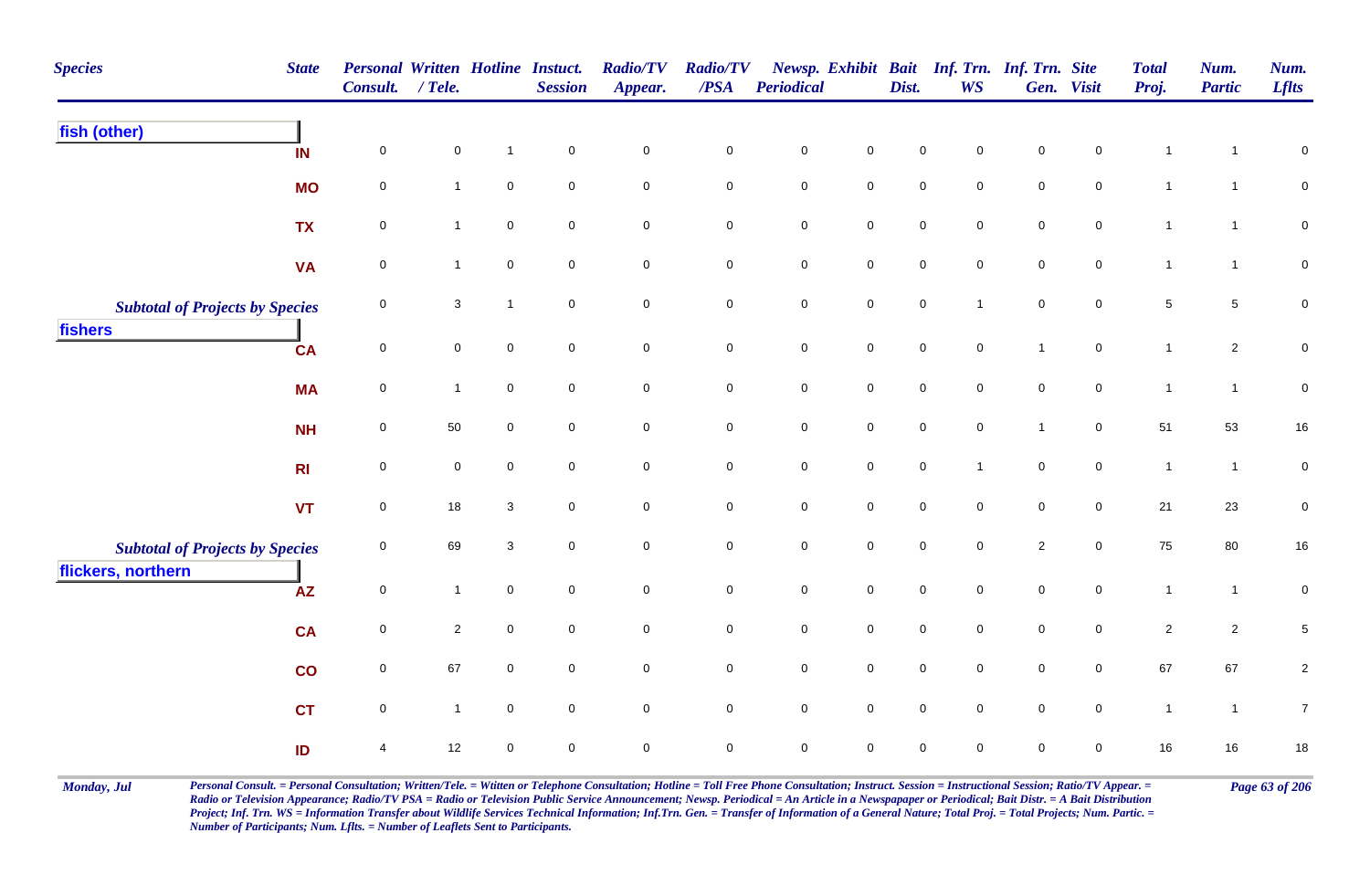| <b>Species</b>                                               | <b>State</b>            | Personal Written Hotline Instuct.<br>Consult. | $/$ Tele.    |              | <b>Session</b>      | <b>Radio/TV</b><br>Appear. | <b>Radio/TV</b><br>$\overline{PSA}$ | <b>Periodical</b>   |                     | Dist.               | Newsp. Exhibit Bait Inf. Trn. Inf. Trn. Site<br><b>WS</b> |                     | Gen. Visit          | <b>Total</b><br>Proj. | Num.<br><b>Partic</b> | Num.<br><b>Lflts</b> |
|--------------------------------------------------------------|-------------------------|-----------------------------------------------|--------------|--------------|---------------------|----------------------------|-------------------------------------|---------------------|---------------------|---------------------|-----------------------------------------------------------|---------------------|---------------------|-----------------------|-----------------------|----------------------|
| fish (other)                                                 | IN                      | $\pmb{0}$                                     | $\mathbf 0$  | $\mathbf{1}$ | $\mathbf 0$         | $\mathbf 0$                | $\pmb{0}$                           | $\pmb{0}$           | $\mathbf 0$         | $\pmb{0}$           | $\mathbf 0$                                               | $\mathbf 0$         | $\mathsf 0$         | $\mathbf{1}$          | -1                    | $\pmb{0}$            |
|                                                              | <b>MO</b>               | $\mathsf{O}\xspace$                           | 1            | $\mathbf 0$  | $\mathbf 0$         | $\mathbf 0$                | $\mathbf 0$                         | $\mathsf{O}\xspace$ | $\mathsf{O}\xspace$ | $\mathsf{O}\xspace$ | $\mathbf 0$                                               | $\mathsf{O}\xspace$ | $\mathbf 0$         | $\mathbf{1}$          | $\mathbf{1}$          | $\mathbf 0$          |
|                                                              | <b>TX</b>               | $\mathsf{O}\xspace$                           | $\mathbf{1}$ | $\mathsf 0$  | $\mathbf 0$         | $\mathbf 0$                | $\mathbf 0$                         | ${\bf 0}$           | $\mathbf 0$         | 0                   | $\mathbf 0$                                               | ${\bf 0}$           | $\mathbf 0$         | $\mathbf{1}$          | $\mathbf{1}$          | $\mathbf 0$          |
|                                                              | <b>VA</b>               | $\pmb{0}$                                     | $\mathbf{1}$ | $\pmb{0}$    | $\mathbf 0$         | $\mathbf 0$                | $\pmb{0}$                           | $\pmb{0}$           | $\mathbf 0$         | $\mathbf 0$         | $\mathbf 0$                                               | $\mathbf 0$         | $\mathbf 0$         | $\mathbf{1}$          | $\mathbf{1}$          | $\pmb{0}$            |
| <b>Subtotal of Projects by Species</b>                       |                         | $\pmb{0}$                                     | $\mathbf{3}$ | $\mathbf{1}$ | $\mathbf 0$         | $\mathbf 0$                | $\pmb{0}$                           | $\pmb{0}$           | $\mathbf 0$         | $\pmb{0}$           | $\overline{1}$                                            | $\pmb{0}$           | $\mathsf{O}\xspace$ | $\sqrt{5}$            | $5\phantom{.0}$       | $\pmb{0}$            |
| fishers                                                      | CA                      | $\pmb{0}$                                     | $\mathbf 0$  | $\pmb{0}$    | $\mathbf 0$         | $\mathsf{O}\xspace$        | $\mathbf 0$                         | $\mathbf 0$         | $\mathbf 0$         | $\mathbf 0$         | $\mathsf{O}\xspace$                                       | $\overline{1}$      | $\mathbf 0$         | $\mathbf{1}$          | $\overline{2}$        | $\pmb{0}$            |
|                                                              | <b>MA</b>               | $\pmb{0}$                                     | $\mathbf{1}$ | $\pmb{0}$    | $\mathbf 0$         | $\mathsf{O}\xspace$        | $\mathbf 0$                         | $\mathbf 0$         | $\mathbf 0$         | $\pmb{0}$           | $\mathsf{O}\xspace$                                       | $\pmb{0}$           | $\mathbf 0$         | $\mathbf{1}$          | $\mathbf{1}$          | $\pmb{0}$            |
|                                                              | <b>NH</b>               | $\mathsf{O}\xspace$                           | 50           | $\mathsf 0$  | $\overline{0}$      | $\mathsf{O}\xspace$        | $\mathbf 0$                         | $\mathsf{O}\xspace$ | $\mathbf 0$         | $\mathsf{O}\xspace$ | $\mathbf 0$                                               | $\overline{1}$      | $\overline{0}$      | 51                    | 53                    | $16\,$               |
|                                                              | R <sub>l</sub>          | $\mathsf{O}\xspace$                           | $\mathbf 0$  | $\mathbf 0$  | $\mathbf 0$         | $\mathbf 0$                | $\mathbf 0$                         | $\mathbf 0$         | $\mathsf{O}\xspace$ | $\mathsf{O}\xspace$ | $\overline{1}$                                            | $\mathbf 0$         | $\overline{0}$      | $\mathbf{1}$          | $\mathbf{1}$          | $\pmb{0}$            |
|                                                              | <b>VT</b>               | $\pmb{0}$                                     | 18           | 3            | $\mathbf 0$         | $\mathbf 0$                | $\pmb{0}$                           | $\mathbf 0$         | $\mathbf 0$         | $\mathsf{O}\xspace$ | $\mathsf{O}\xspace$                                       | $\mathbf 0$         | $\mathsf{O}\xspace$ | 21                    | 23                    | $\pmb{0}$            |
| <b>Subtotal of Projects by Species</b><br>flickers, northern |                         | $\mathsf{O}\xspace$                           | 69           | $\sqrt{3}$   | $\mathsf{O}\xspace$ | $\mathbf 0$                | $\mathbf 0$                         | $\mathbf 0$         | $\mathbf 0$         | $\mathsf{O}\xspace$ | $\mathbf 0$                                               | $\overline{2}$      | $\mathbf 0$         | 75                    | 80                    | $16\,$               |
|                                                              | <b>AZ</b>               | $\pmb{0}$                                     | $\mathbf{1}$ | $\mathsf 0$  | $\mathbf 0$         | $\mathsf{O}\xspace$        | ${\bf 0}$                           | $\mathbf 0$         | $\mathbf 0$         | $\mathbf 0$         | $\mathbf 0$                                               | $\pmb{0}$           | $\mathbf 0$         | $\mathbf{1}$          | $\mathbf{1}$          | $\pmb{0}$            |
|                                                              | <b>CA</b>               | $\pmb{0}$                                     | $\mathbf{2}$ | $\mathsf 0$  | $\mathbf 0$         | $\pmb{0}$                  | $\pmb{0}$                           | $\mathsf{O}\xspace$ | $\mathbf 0$         | $\mathsf{O}\xspace$ | $\mathbf 0$                                               | $\mathsf{O}\xspace$ | $\mathbf 0$         | $\overline{c}$        | $\overline{2}$        | $\,$ 5 $\,$          |
|                                                              | $\overline{\mathbf{c}}$ | $\mathsf{O}\xspace$                           | 67           | $\mathbf 0$  | $\overline{0}$      | $\mathbf 0$                | $\mathsf{O}\xspace$                 | $\mathsf{O}\xspace$ | $\mathbf 0$         | $\mathsf{O}\xspace$ | $\mathbf 0$                                               | $\mathsf{O}\xspace$ | $\mathsf{O}\xspace$ | 67                    | 67                    | $\sqrt{2}$           |
|                                                              | <b>CT</b>               | $\mathsf{O}\xspace$                           | $\mathbf{1}$ | $\mathsf 0$  | $\overline{0}$      | $\mathbf 0$                | $\mathbf 0$                         | $\overline{0}$      | $\mathbf 0$         | $\mathsf{O}\xspace$ | $\mathbf 0$                                               | $\mathsf{O}\xspace$ | $\overline{0}$      | $\mathbf{1}$          | $\mathbf{1}$          | $\overline{7}$       |
|                                                              | ID                      | 4                                             | 12           | $\pmb{0}$    | $\mathsf 0$         | $\mathbf 0$                | $\pmb{0}$                           | $\pmb{0}$           | $\mathbf 0$         | $\mathsf{O}\xspace$ | $\mathsf{O}\xspace$                                       | $\mathbf 0$         | $\mathbf 0$         | 16                    | 16                    | $18\,$               |

Monday, Jul Personal Consult. = Personal Consultation; Written/Tele. = Witten or Telephone Consultation; Hotline = Toll Free Phone Consultation; Instruct. Session = Instructional Session; Ratio/TV Appear. = Page 63 of 206 *Radio or Television Appearance; Radio/TV PSA = Radio or Television Public Service Announcement; Newsp. Periodical = An Article in a Newspapaper or Periodical; Bait Distr. = A Bait Distribution*  Project; Inf. Trn. WS = Information Transfer about Wildlife Services Technical Information; Inf.Trn. Gen. = Transfer of Information of a General Nature; Total Proj. = Total Projects; Num. Partic. = *Number of Participants; Num. Lflts. = Number of Leaflets Sent to Participants.*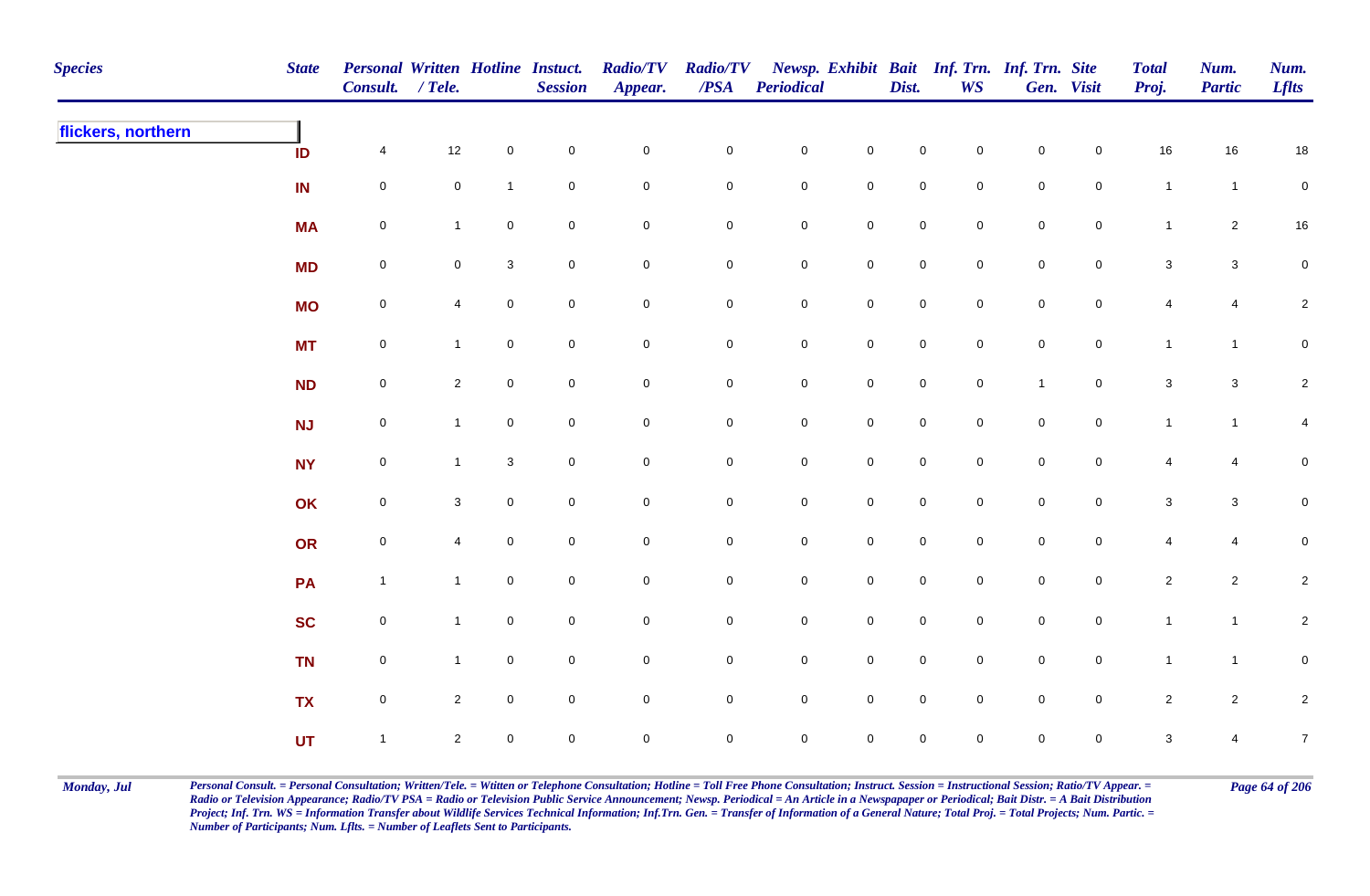| <b>Species</b>     | <b>State</b> | Personal Written Hotline Instuct.<br>Consult. / Tele. |                |                | <b>Session</b> | <b>Radio/TV</b><br>Appear. | <b>Radio/TV</b><br>$\boldsymbol{PSA}$ | <b>Periodical</b>   |                     | Dist.               | <b>WS</b>           | Newsp. Exhibit Bait Inf. Trn. Inf. Trn. Site | Gen. Visit     | <b>Total</b><br>Proj. | Num.<br><b>Partic</b> | Num.<br><b>Lflts</b> |
|--------------------|--------------|-------------------------------------------------------|----------------|----------------|----------------|----------------------------|---------------------------------------|---------------------|---------------------|---------------------|---------------------|----------------------------------------------|----------------|-----------------------|-----------------------|----------------------|
| flickers, northern | ID           | $\overline{4}$                                        | 12             | $\mathbf 0$    | $\pmb{0}$      | $\mathbf 0$                | $\mathbf 0$                           | $\mathbf 0$         | $\mathbf 0$         | $\mathbf 0$         | $\mathsf{O}\xspace$ | $\mathbf 0$                                  | $\mathbf 0$    | $16\,$                | 16                    | 18                   |
|                    | IN           | $\mathbf 0$                                           | $\mathbf 0$    | $\mathbf{1}$   | $\mathbf 0$    | $\pmb{0}$                  | 0                                     | $\mathbf 0$         | ${\bf 0}$           | ${\bf 0}$           | $\mathbf 0$         | $\mathbf 0$                                  | $\overline{0}$ | $\overline{1}$        | $\overline{1}$        | $\mathbf 0$          |
|                    | <b>MA</b>    | $\mathbf 0$                                           | $\mathbf 1$    | $\mathbf 0$    | $\pmb{0}$      | $\pmb{0}$                  | $\mathbf 0$                           | $\mathbf 0$         | $\mathsf{O}\xspace$ | $\mathbf 0$         | $\mathbf 0$         | ${\bf 0}$                                    | $\mathbf 0$    | $\mathbf{1}$          | $\overline{2}$        | $16\,$               |
|                    | <b>MD</b>    | $\mathbf 0$                                           | $\mathbf 0$    | $\mathbf{3}$   | $\mathsf 0$    | $\mathbf 0$                | 0                                     | $\mathbf 0$         | $\mathbf 0$         | $\mathsf{O}\xspace$ | $\mathbf 0$         | $\mathbf 0$                                  | $\overline{0}$ | 3                     | $\mathbf{3}$          | $\mathbf 0$          |
|                    | <b>MO</b>    | $\mathsf{O}$                                          | 4              | $\overline{0}$ | $\mathsf 0$    | $\pmb{0}$                  | $\mathbf 0$                           | $\mathsf{O}$        | $\mathbf 0$         | $\overline{0}$      | $\mathbf 0$         | $\mathsf 0$                                  | $\overline{0}$ | $\overline{4}$        | $\overline{4}$        | $\overline{2}$       |
|                    | <b>MT</b>    | ${\bf 0}$                                             | $\mathbf{1}$   | $\mathbf 0$    | $\mathbf 0$    | $\mathsf{O}\xspace$        | $\mathbf 0$                           | $\mathbf 0$         | $\mathbf 0$         | $\mathbf 0$         | $\mathsf{O}\xspace$ | $\mathbf 0$                                  | $\overline{0}$ | $\mathbf{1}$          | $\mathbf{1}$          | $\mathbf 0$          |
|                    | <b>ND</b>    | $\mathbf 0$                                           | $\overline{2}$ | $\mathbf 0$    | $\pmb{0}$      | $\mathbf 0$                | $\mathsf{O}\xspace$                   | $\mathsf{O}\xspace$ | $\overline{0}$      | $\mathbf 0$         | $\mathbf 0$         | $\mathbf{1}$                                 | $\mathbf 0$    | $\mathbf 3$           | $\mathbf{3}$          | $\sqrt{2}$           |
|                    | <b>NJ</b>    | $\mathbf 0$                                           | $\mathbf{1}$   | $\mathbf 0$    | $\mathsf 0$    | $\mathbf 0$                | 0                                     | $\mathbf 0$         | $\mathsf{O}\xspace$ | $\mathbf 0$         | $\mathsf{O}\xspace$ | $\mathbf 0$                                  | $\overline{0}$ | $\mathbf{1}$          | $\mathbf{1}$          | 4                    |
|                    | <b>NY</b>    | $\mathsf{O}$                                          | -1             | $\mathbf{3}$   | $\mathsf 0$    | $\mathbf 0$                | $\mathbf 0$                           | $\mathbf 0$         | $\mathbf 0$         | $\overline{0}$      | $\mathbf 0$         | $\mathbf 0$                                  | $\mathbf 0$    | 4                     | $\overline{4}$        | $\mathbf 0$          |
|                    | OK           | $\mathbf 0$                                           | 3              | $\overline{0}$ | $\mathsf 0$    | $\mathbf 0$                | $\mathbf 0$                           | $\mathsf{O}$        | $\mathbf 0$         | $\mathsf{O}\xspace$ | $\mathbf 0$         | $\mathbf 0$                                  | $\overline{0}$ | $\mathbf{3}$          | $\mathbf{3}$          | $\mathbf 0$          |
|                    | OR           | $\mathbf 0$                                           | 4              | $\mathbf 0$    | $\pmb{0}$      | $\mathbf 0$                | $\mathbf 0$                           | $\mathbf 0$         | $\mathsf{O}\xspace$ | $\mathbf 0$         | $\mathbf 0$         | $\mathbf 0$                                  | $\overline{0}$ | $\overline{4}$        | $\overline{4}$        | $\mathbf 0$          |
|                    | PA           | $\mathbf{1}$                                          | $\overline{1}$ | $\mathbf 0$    | $\pmb{0}$      | $\pmb{0}$                  | $\mathbf 0$                           | $\mathbf 0$         | $\mathbf 0$         | $\mathbf 0$         | $\mathbf 0$         | $\mathbf 0$                                  | $\mathbf 0$    | $\overline{c}$        | $\overline{2}$        | $\overline{2}$       |
|                    | <b>SC</b>    | $\mathsf{O}$                                          | $\overline{1}$ | $\mathbf{0}$   | $\pmb{0}$      | $\pmb{0}$                  | 0                                     | $\mathbf 0$         | $\mathbf 0$         | $\overline{0}$      | $\mathbf 0$         | $\mathbf 0$                                  | $\mathbf 0$    | $\mathbf{1}$          | $\mathbf{1}$          | $\overline{c}$       |
|                    | <b>TN</b>    | $\mathsf{O}$                                          | $\mathbf{1}$   | $\overline{0}$ | $\pmb{0}$      | $\pmb{0}$                  | 0                                     | $\mathsf{O}$        | $\mathsf{O}\xspace$ | $\mathbf 0$         | $\mathbf 0$         | $\mathsf{O}$                                 | $\overline{0}$ | $\mathbf{1}$          | $\mathbf{1}$          | $\mathbf 0$          |
|                    | <b>TX</b>    | $\mathsf{O}\xspace$                                   | $\overline{2}$ | $\mathbf 0$    | $\mathsf 0$    | $\pmb{0}$                  | $\mathbf 0$                           | $\mathsf 0$         | $\mathsf{O}\xspace$ | $\mathsf{O}\xspace$ | $\mathbf 0$         | $\mathbf 0$                                  | $\overline{0}$ | $\overline{2}$        | $\overline{2}$        | $\sqrt{2}$           |
|                    | UT           | $\mathbf{1}$                                          | $\overline{2}$ | $\mathbf 0$    | $\mathsf 0$    | $\mathbf 0$                | $\mathbf 0$                           | $\mathbf 0$         | $\mathsf{O}\xspace$ | $\mathsf{O}\xspace$ | $\mathbf 0$         | $\mathbf 0$                                  | $\overline{0}$ | $\mathbf{3}$          | 4                     | $\overline{7}$       |

Monday, Jul Personal Consult. = Personal Consultation; Written/Tele. = Witten or Telephone Consultation; Hotline = Toll Free Phone Consultation; Instruct. Session = Instructional Session; Ratio/TV Appear. = Page 64 of 206 *Radio or Television Appearance; Radio/TV PSA = Radio or Television Public Service Announcement; Newsp. Periodical = An Article in a Newspapaper or Periodical; Bait Distr. = A Bait Distribution*  Project; Inf. Trn. WS = Information Transfer about Wildlife Services Technical Information; Inf.Trn. Gen. = Transfer of Information of a General Nature; Total Proj. = Total Projects; Num. Partic. = *Number of Participants; Num. Lflts. = Number of Leaflets Sent to Participants.*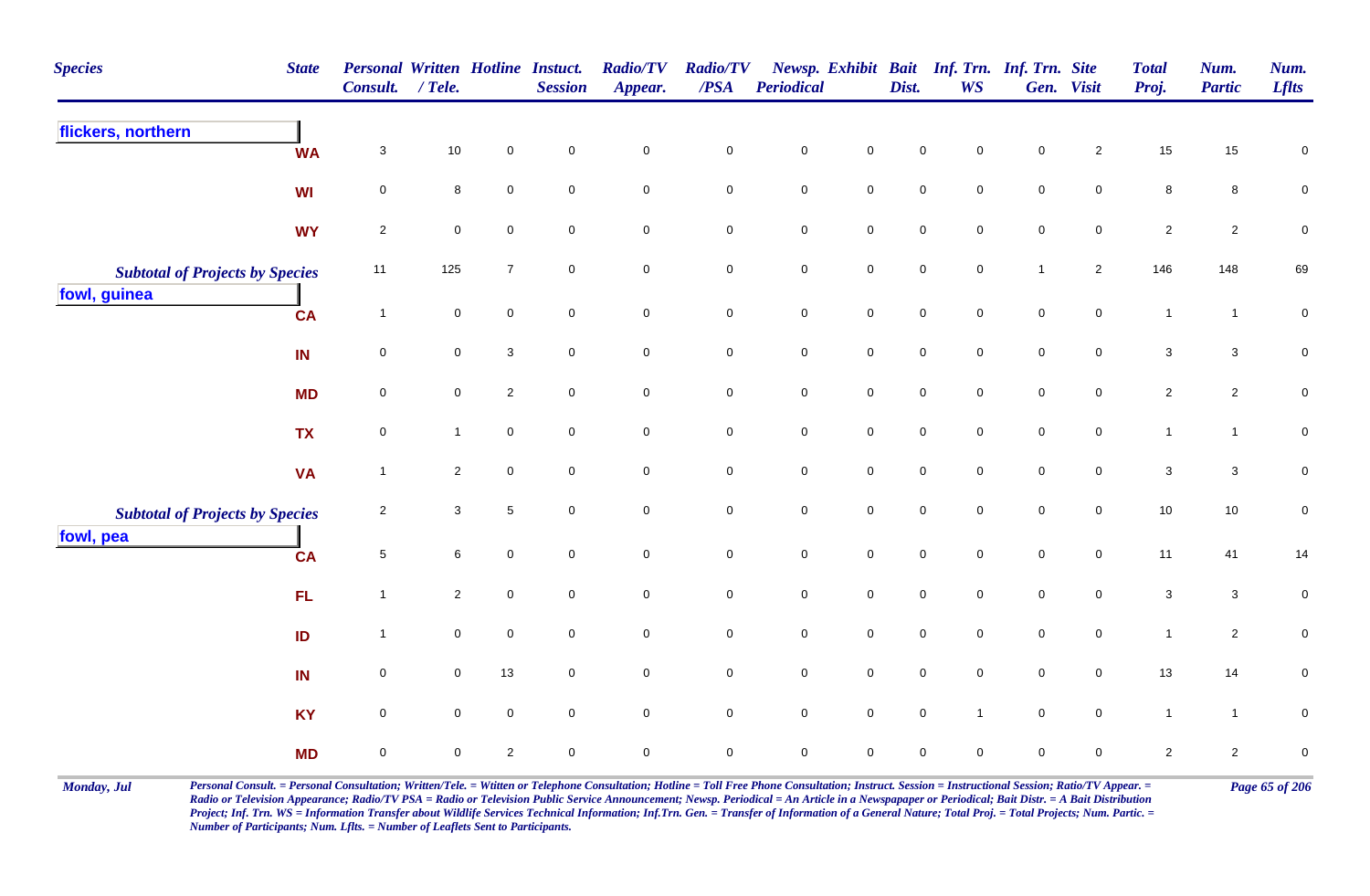| <b>Species</b>                                      | <b>State</b> | Personal Written Hotline Instuct.<br>Consult. | $/$ Tele.           |                | <b>Session</b>      | <b>Radio/TV</b><br>Appear. | <b>Radio/TV</b><br>/PSA | Periodical          |                     | Dist.               | Newsp. Exhibit Bait Inf. Trn. Inf. Trn. Site<br>WS |                     | Gen. Visit     | <b>Total</b><br>Proj. | Num.<br><b>Partic</b> | Num.<br><b>Lflts</b> |
|-----------------------------------------------------|--------------|-----------------------------------------------|---------------------|----------------|---------------------|----------------------------|-------------------------|---------------------|---------------------|---------------------|----------------------------------------------------|---------------------|----------------|-----------------------|-----------------------|----------------------|
| flickers, northern                                  | <b>WA</b>    | $\mathbf{3}$                                  | 10                  | $\mathbf 0$    | $\mathbf 0$         | $\mathbf 0$                | $\pmb{0}$               | $\pmb{0}$           | $\mathbf 0$         | $\mathbf 0$         | $\mathbf 0$                                        | $\mathbf 0$         | $\overline{2}$ | 15                    | 15                    | $\pmb{0}$            |
|                                                     | <b>WI</b>    | $\mathbf 0$                                   | 8                   | $\pmb{0}$      | $\mathbf 0$         | $\mathsf{O}\xspace$        | $\pmb{0}$               | $\pmb{0}$           | $\mathsf{O}\xspace$ | $\mathsf{O}\xspace$ | $\mathbf 0$                                        | $\mathbf 0$         | $\mathbf 0$    | $\bf 8$               | 8                     | $\pmb{0}$            |
|                                                     | <b>WY</b>    | $\overline{2}$                                | $\mathbf 0$         | $\mathbf 0$    | $\mathbf 0$         | $\overline{0}$             | $\mathbf 0$             | $\mathbf 0$         | $\mathsf{O}$        | $\pmb{0}$           | $\mathbf 0$                                        | $\mathbf 0$         | $\overline{0}$ | $\overline{2}$        | $\overline{2}$        | $\pmb{0}$            |
| <b>Subtotal of Projects by Species</b>              |              | 11                                            | 125                 | $\overline{7}$ | $\mathbf 0$         | $\mathsf{O}\xspace$        | $\pmb{0}$               | $\mathbf 0$         | $\mathbf 0$         | $\mathsf{O}\xspace$ | $\mathbf 0$                                        | $\mathbf{1}$        | $\overline{2}$ | 146                   | 148                   | 69                   |
| fowl, guinea                                        | <b>CA</b>    | $\overline{1}$                                | $\mathsf{O}\xspace$ | $\mathbf 0$    | $\mathsf{O}\xspace$ | $\mathsf{O}\xspace$        | $\mathbf 0$             | $\mathbf 0$         | $\mathsf 0$         | $\mathsf 0$         | $\mathsf 0$                                        | $\mathbf 0$         | $\mathsf{O}$   | $\mathbf{1}$          | $\mathbf{1}$          | $\pmb{0}$            |
|                                                     | IN           | $\pmb{0}$                                     | $\pmb{0}$           | $\mathbf 3$    | $\mathbf 0$         | $\mathbf 0$                | $\mathbf 0$             | $\mathbf 0$         | $\mathsf 0$         | $\mathsf{O}\xspace$ | $\mathbf 0$                                        | $\mathbf 0$         | $\mathbf 0$    | $\mathbf{3}$          | $\mathbf{3}$          | $\pmb{0}$            |
|                                                     | <b>MD</b>    | $\mathbf 0$                                   | $\mathbf 0$         | $\overline{2}$ | $\mathbf 0$         | $\mathsf{O}\xspace$        | $\mathbf 0$             | $\pmb{0}$           | $\mathsf{O}\xspace$ | $\pmb{0}$           | $\mathbf 0$                                        | $\pmb{0}$           | $\mathbf 0$    | $\overline{2}$        | $\overline{2}$        | $\pmb{0}$            |
|                                                     | <b>TX</b>    | $\pmb{0}$                                     | $\mathbf{1}$        | $\pmb{0}$      | $\mathsf{O}\xspace$ | $\mathsf{O}\xspace$        | $\mathsf{O}\xspace$     | $\mathbf 0$         | $\mathsf{O}$        | $\mathsf{O}\xspace$ | $\mathsf{O}\xspace$                                | $\mathbf 0$         | $\mathbf 0$    | $\mathbf{1}$          | $\mathbf{1}$          | $\pmb{0}$            |
|                                                     | <b>VA</b>    | $\overline{1}$                                | $\overline{2}$      | $\mathbf 0$    | $\mathbf 0$         | $\mathbf 0$                | $\mathbf 0$             | $\mathbf 0$         | $\mathbf 0$         | $\mathbf 0$         | $\mathbf 0$                                        | $\mathbf 0$         | $\mathbf 0$    | 3                     | $\mathbf{3}$          | $\pmb{0}$            |
| <b>Subtotal of Projects by Species</b><br>fowl, pea |              | $\sqrt{2}$                                    | $\mathbf{3}$        | $\sqrt{5}$     | $\mathbf 0$         | $\mathsf{O}\xspace$        | $\mathbf 0$             | $\pmb{0}$           | $\mathbf 0$         | $\pmb{0}$           | $\mathbf 0$                                        | $\pmb{0}$           | $\mathbf 0$    | $10$                  | 10                    | $\pmb{0}$            |
|                                                     | <b>CA</b>    | $\sqrt{5}$                                    | 6                   | $\pmb{0}$      | $\mathbf 0$         | $\mathsf{O}\xspace$        | $\mathbf 0$             | $\pmb{0}$           | $\mathbf 0$         | $\mathbf 0$         | $\mathbf 0$                                        | $\mathbf 0$         | $\mathsf{O}$   | 11                    | 41                    | 14                   |
|                                                     | FL           | $\overline{1}$                                | $\overline{2}$      | $\mathbf 0$    | $\mathbf 0$         | $\mathsf{O}\xspace$        | $\mathbf 0$             | $\mathsf{O}\xspace$ | $\mathbf 0$         | $\mathbf 0$         | $\mathbf 0$                                        | $\mathsf{O}\xspace$ | $\mathbf 0$    | $\sqrt{3}$            | 3                     | $\pmb{0}$            |
|                                                     | ID           | $\overline{1}$                                | $\mathbf 0$         | $\mathbf 0$    | $\mathsf{O}\xspace$ | $\mathsf{O}\xspace$        | $\mathbf 0$             | $\mathbf 0$         | $\mathsf{O}$        | $\mathsf{O}\xspace$ | $\mathsf{O}\xspace$                                | $\mathsf{O}\xspace$ | $\mathsf{O}$   | $\mathbf{1}$          | $\overline{2}$        | $\pmb{0}$            |
|                                                     | IN           | $\mathbf 0$                                   | $\mathbf 0$         | 13             | $\mathbf 0$         | $\mathsf{O}\xspace$        | $\mathbf 0$             | $\mathbf 0$         | $\mathsf{O}$        | $\mathbf 0$         | $\mathbf 0$                                        | $\mathbf 0$         | $\mathsf{O}$   | 13                    | 14                    | $\pmb{0}$            |
|                                                     | <b>KY</b>    | $\mathbf 0$                                   | $\mathbf 0$         | $\mathbf 0$    | $\mathbf 0$         | $\mathsf{O}\xspace$        | $\mathbf 0$             | $\mathsf 0$         | $\mathsf 0$         | $\mathsf 0$         | $\overline{1}$                                     | $\mathsf 0$         | $\mathbf 0$    | $\mathbf{1}$          | $\mathbf{1}$          | $\pmb{0}$            |
|                                                     | <b>MD</b>    | $\pmb{0}$                                     | $\mathbf 0$         | $\sqrt{2}$     | $\pmb{0}$           | $\mathsf{O}\xspace$        | $\mathsf{O}\xspace$     | $\mathbf 0$         | $\mathsf{O}\xspace$ | $\pmb{0}$           | $\mathsf 0$                                        | $\pmb{0}$           | $\mathbf 0$    | $\sqrt{2}$            | $\mathbf{2}$          | $\pmb{0}$            |

Monday, Jul Personal Consult. = Personal Consultation; Written/Tele. = Witten or Telephone Consultation; Hotline = Toll Free Phone Consultation; Instruct. Session = Instructional Session; Ratio/TV Appear. = Page 65 of 206 *Radio or Television Appearance; Radio/TV PSA = Radio or Television Public Service Announcement; Newsp. Periodical = An Article in a Newspapaper or Periodical; Bait Distr. = A Bait Distribution*  Project; Inf. Trn. WS = Information Transfer about Wildlife Services Technical Information; Inf.Trn. Gen. = Transfer of Information of a General Nature; Total Proj. = Total Projects; Num. Partic. = *Number of Participants; Num. Lflts. = Number of Leaflets Sent to Participants.*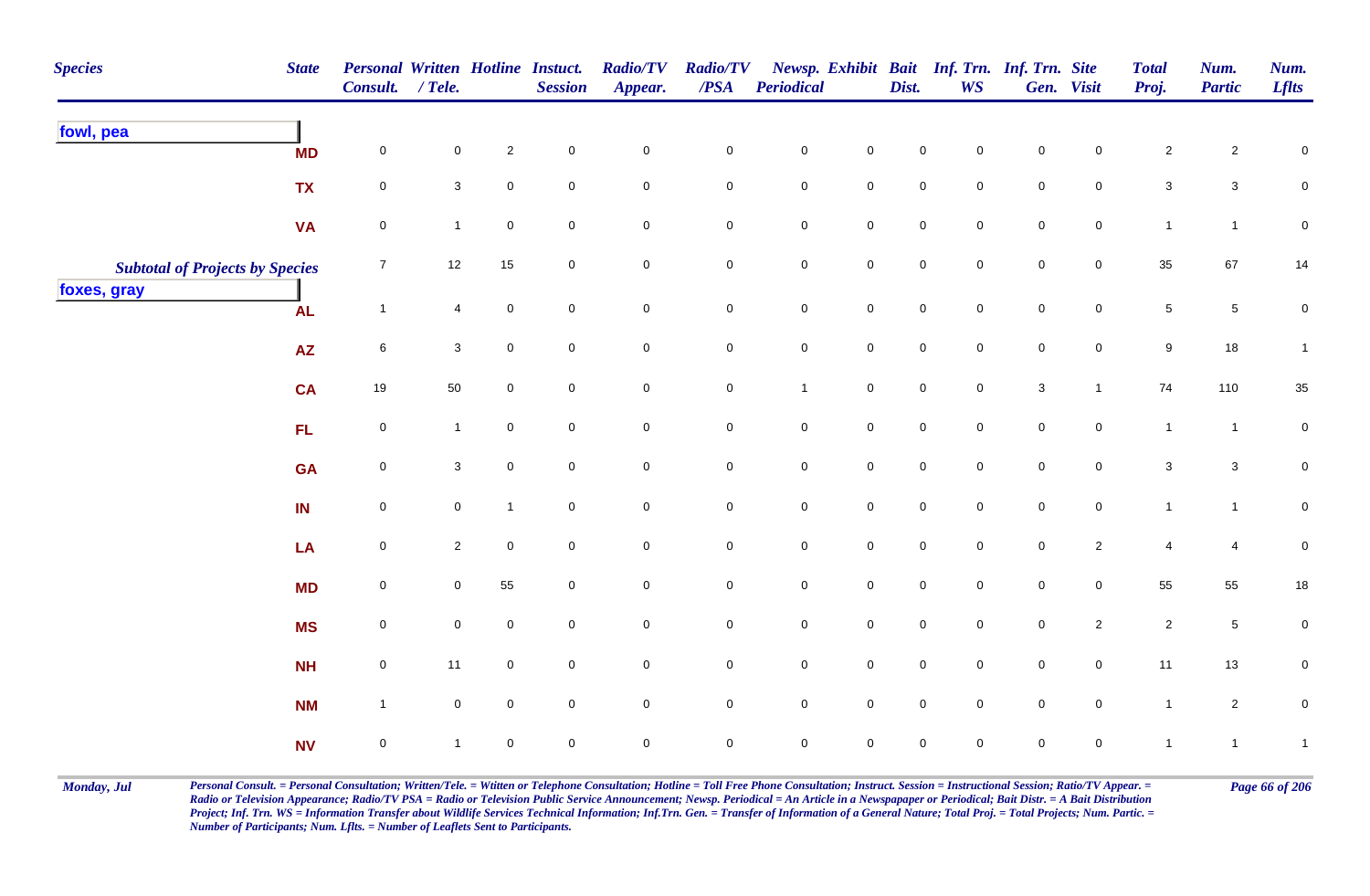| <b>Species</b>                         | <b>State</b> | Personal Written Hotline Instuct.<br>Consult. / Tele. |                |                     | <b>Session</b>      | <b>Radio/TV</b><br>Appear. | <b>Radio/TV</b><br>$\overline{PSA}$ | <b>Periodical</b>   |                     | Dist.               | <b>WS</b>           | Newsp. Exhibit Bait Inf. Trn. Inf. Trn. Site | Gen. Visit          | <b>Total</b><br>Proj. | Num.<br><b>Partic</b> | Num.<br><b>Lflts</b> |
|----------------------------------------|--------------|-------------------------------------------------------|----------------|---------------------|---------------------|----------------------------|-------------------------------------|---------------------|---------------------|---------------------|---------------------|----------------------------------------------|---------------------|-----------------------|-----------------------|----------------------|
| fowl, pea                              | <b>MD</b>    | 0                                                     | 0              | $\sqrt{2}$          | $\mathbf 0$         | $\pmb{0}$                  | $\pmb{0}$                           | $\mathbf 0$         | $\mathbf 0$         | $\mathbf 0$         | $\mathbf 0$         | $\pmb{0}$                                    | 0                   | $\overline{c}$        | $\overline{c}$        | $\boldsymbol{0}$     |
|                                        | <b>TX</b>    | $\pmb{0}$                                             | 3 <sup>1</sup> | $\mathbf 0$         | $\mathbf 0$         | $\mathbf 0$                | $\mathbf 0$                         | $\mathbf 0$         | $\mathsf{O}\xspace$ | $\mathsf 0$         | $\mathbf 0$         | $\mathbf 0$                                  | $\mathbf 0$         | $\mathbf{3}$          | $\mathbf{3}$          | $\overline{0}$       |
|                                        |              |                                                       |                |                     |                     |                            |                                     |                     |                     |                     |                     |                                              |                     |                       |                       |                      |
|                                        | <b>VA</b>    | $\pmb{0}$                                             | $\mathbf{1}$   | $\mathbf 0$         | $\mathbf 0$         | $\mathbf 0$                | $\mathbf 0$                         | $\pmb{0}$           | $\mathbf 0$         | $\pmb{0}$           | $\mathsf{O}\xspace$ | $\pmb{0}$                                    | $\mathbf 0$         | $\mathbf{1}$          | $\mathbf{1}$          | $\pmb{0}$            |
| <b>Subtotal of Projects by Species</b> |              | $\boldsymbol{7}$                                      | 12             | 15                  | $\mathbf 0$         | $\mathbf 0$                | $\mathbf 0$                         | $\pmb{0}$           | $\mathbf 0$         | $\pmb{0}$           | $\mathsf{O}\xspace$ | $\pmb{0}$                                    | $\mathsf{O}\xspace$ | $35\,$                | 67                    | $14$                 |
| foxes, gray                            | <b>AL</b>    | $\mathbf{1}$                                          | $\overline{4}$ | $\mathsf 0$         | $\mathbf 0$         | $\mathsf{O}$               | $\mathbf 0$                         | $\mathbf 0$         | $\mathsf 0$         | $\mathsf{O}\xspace$ | $\mathbf 0$         | $\mathbf 0$                                  | $\mathbf 0$         | $5\phantom{.0}$       | $\overline{5}$        | $\pmb{0}$            |
|                                        | AZ           | $\,6$                                                 | $\mathbf{3}$   | $\mathsf{O}\xspace$ | $\mathsf{O}\xspace$ | $\mathsf 0$                | $\mathbf 0$                         | $\pmb{0}$           | $\mathbf 0$         | $\pmb{0}$           | $\mathsf{O}\xspace$ | $\mathbf 0$                                  | $\mathsf{O}\xspace$ | $9\,$                 | $18$                  | $\mathbf{1}$         |
|                                        | <b>CA</b>    | 19                                                    | 50             | $\mathbf 0$         | $\mathbf 0$         | $\mathbf 0$                | $\mathbf 0$                         | $\mathbf{1}$        | $\mathbf 0$         | $\mathsf{O}\xspace$ | $\mathbf 0$         | $\ensuremath{\mathsf{3}}$                    | $\mathbf{1}$        | 74                    | 110                   | $35\,$               |
|                                        | FL           | $\pmb{0}$                                             | $\mathbf{1}$   | $\mathbf{0}$        | $\mathsf{O}\xspace$ | $\mathsf 0$                | $\mathsf{O}\xspace$                 | $\pmb{0}$           | $\mathsf{O}\xspace$ | $\mathsf{O}\xspace$ | $\mathbf{0}$        | $\mathbf 0$                                  | $\mathbf 0$         | $\mathbf{1}$          | $\mathbf{1}$          | $\mathbf 0$          |
|                                        | <b>GA</b>    | $\pmb{0}$                                             | $\mathbf{3}$   | $\mathbf 0$         | $\mathbf 0$         | $\mathsf{O}\xspace$        | $\mathbf 0$                         | $\pmb{0}$           | $\mathsf{O}\xspace$ | $\pmb{0}$           | $\mathbf 0$         | $\pmb{0}$                                    | $\mathbf 0$         | $\mathbf{3}$          | $\mathbf{3}$          | $\pmb{0}$            |
|                                        | IN           | $\pmb{0}$                                             | 0              | $\mathbf{1}$        | $\mathbf 0$         | $\mathbf 0$                | $\mathbf 0$                         | $\pmb{0}$           | $\mathbf 0$         | $\mathsf{O}\xspace$ | $\overline{0}$      | $\mathbf 0$                                  | $\mathsf{O}\xspace$ | $\mathbf{1}$          | $\mathbf{1}$          | $\mathbf 0$          |
|                                        | LA           | $\pmb{0}$                                             | $\overline{2}$ | $\mathbf 0$         | $\overline{0}$      | $\mathbf 0$                | $\mathbf 0$                         | $\mathbf 0$         | ${\bf 0}$           | $\mathsf{O}\xspace$ | $\overline{0}$      | $\mathbf 0$                                  | $\mathbf{2}$        | 4                     | 4                     | $\pmb{0}$            |
|                                        | <b>MD</b>    | $\mathsf{O}\xspace$                                   | $\overline{0}$ | 55                  | $\overline{0}$      | $\mathsf 0$                | $\overline{0}$                      | $\mathbf 0$         | $\mathbf 0$         | $\mathsf{O}\xspace$ | $\overline{0}$      | $\mathbf 0$                                  | $\overline{0}$      | 55                    | 55                    | $18$                 |
|                                        | <b>MS</b>    | $\pmb{0}$                                             | $\mathbf 0$    | $\mathbf 0$         | $\mathsf{O}\xspace$ | $\mathbf 0$                | $\mathbf 0$                         | $\mathbf 0$         | $\mathbf 0$         | $\mathsf{O}\xspace$ | $\mathsf{O}\xspace$ | $\mathbf 0$                                  | $\overline{2}$      | $\overline{2}$        | $5\,$                 | $\pmb{0}$            |
|                                        | <b>NH</b>    | $\pmb{0}$                                             | 11             | $\mathbf 0$         | $\mathsf{O}\xspace$ | $\mathbf 0$                | $\mathbf 0$                         | $\mathsf{O}\xspace$ | $\mathsf{O}\xspace$ | $\mathsf{O}\xspace$ | $\mathbf 0$         | $\mathbf 0$                                  | $\mathbf 0$         | 11                    | 13                    | $\mathbf 0$          |
|                                        | <b>NM</b>    | $\mathbf{1}$                                          | $\mathbf 0$    | $\Omega$            | $\mathbf 0$         | $\mathbf 0$                | $\mathbf 0$                         | $\mathbf 0$         | $\mathsf{O}\xspace$ | $\mathsf{O}\xspace$ | $\mathbf{0}$        | $\mathbf 0$                                  | $\mathsf{O}\xspace$ | $\mathbf{1}$          | $\overline{c}$        | $\mathbf 0$          |
|                                        | <b>NV</b>    | $\pmb{0}$                                             | 1              | $\pmb{0}$           | $\mathsf{O}\xspace$ | $\mathbf 0$                | $\pmb{0}$                           | $\pmb{0}$           | $\pmb{0}$           | $\mathsf{O}\xspace$ | $\mathbf 0$         | $\mathbf 0$                                  | $\pmb{0}$           | $\mathbf{1}$          | $\mathbf{1}$          | $\mathbf{1}$         |

Monday, Jul Personal Consult. = Personal Consultation; Written/Tele. = Witten or Telephone Consultation; Hotline = Toll Free Phone Consultation; Instruct. Session = Instructional Session; Ratio/TV Appear. = Page 66 of 206 *Radio or Television Appearance; Radio/TV PSA = Radio or Television Public Service Announcement; Newsp. Periodical = An Article in a Newspapaper or Periodical; Bait Distr. = A Bait Distribution*  Project; Inf. Trn. WS = Information Transfer about Wildlife Services Technical Information; Inf.Trn. Gen. = Transfer of Information of a General Nature; Total Proj. = Total Projects; Num. Partic. = *Number of Participants; Num. Lflts. = Number of Leaflets Sent to Participants.*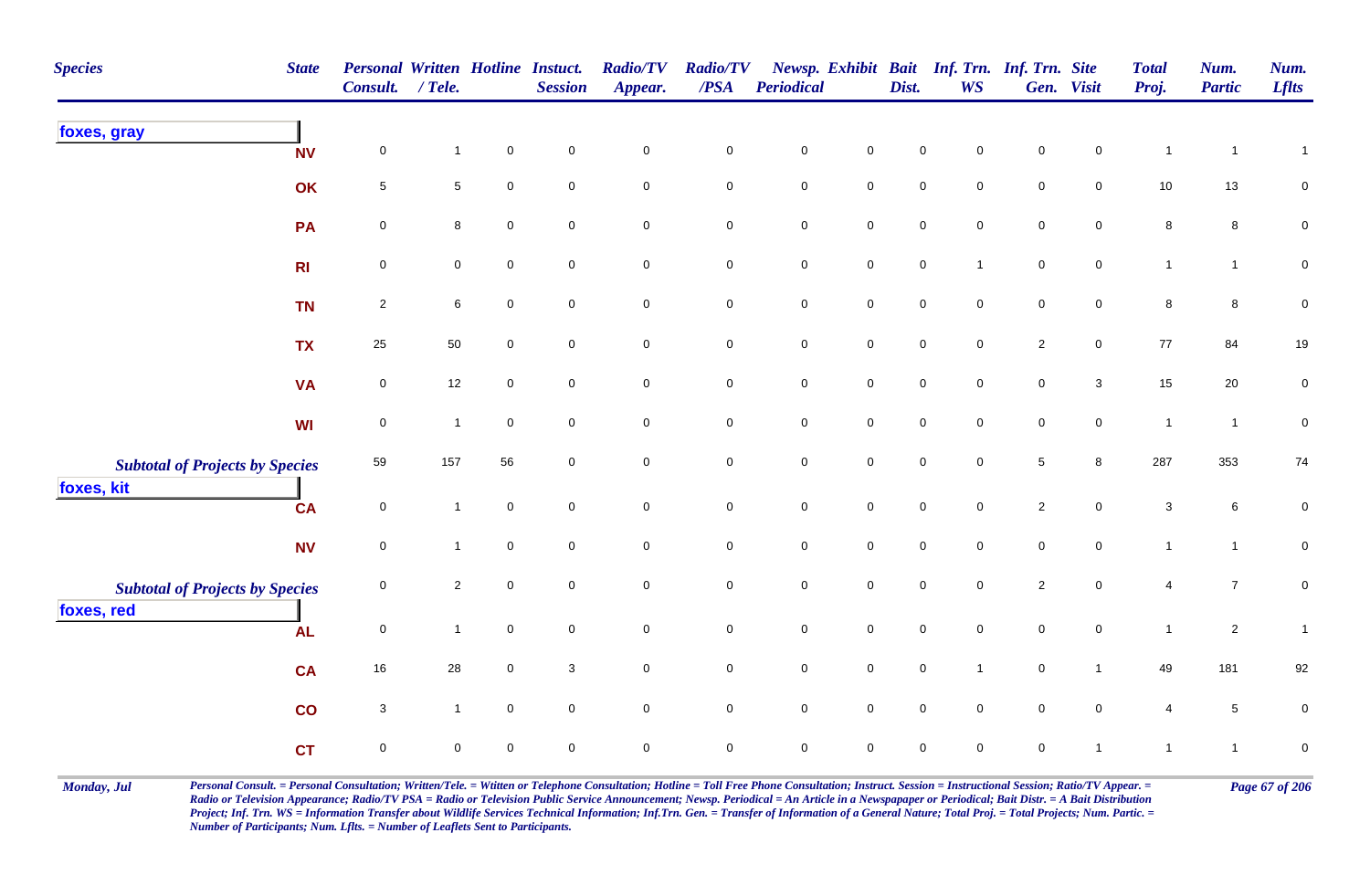| <b>Species</b><br><b>State</b>         | Consult. / Tele.    | <b>Personal Written Hotline Instuct.</b> |             | <b>Session</b>      | <b>Radio/TV</b><br>Appear. | <b>Radio/TV</b><br>$\overline{PSA}$ | Periodical          |                     | Dist.               | <b>WS</b>           | Newsp. Exhibit Bait Inf. Trn. Inf. Trn. Site | Gen. Visit          | <b>Total</b><br>Proj.     | Num.<br><b>Partic</b> | Num.<br><b>Lflts</b> |
|----------------------------------------|---------------------|------------------------------------------|-------------|---------------------|----------------------------|-------------------------------------|---------------------|---------------------|---------------------|---------------------|----------------------------------------------|---------------------|---------------------------|-----------------------|----------------------|
| foxes, gray<br><b>NV</b>               | $\mathsf{O}\xspace$ | $\mathbf{1}$                             | $\pmb{0}$   | $\pmb{0}$           | $\pmb{0}$                  | $\pmb{0}$                           | $\pmb{0}$           | $\pmb{0}$           | 0                   | $\mathbf 0$         | $\pmb{0}$                                    | $\mathsf 0$         | $\mathbf{1}$              | -1                    | $\mathbf{1}$         |
| OK                                     | $\sqrt{5}$          | 5                                        | $\mathbf 0$ | $\mathbf 0$         | $\mathsf{O}\xspace$        | $\mathsf 0$                         | $\mathbf 0$         | $\mathsf{O}\xspace$ | $\mathbf 0$         | $\mathbf 0$         | $\mathsf{O}\xspace$                          | $\mathbf 0$         | 10                        | 13                    | $\mathbf 0$          |
| PA                                     | $\mathsf{O}\xspace$ | 8                                        | $\mathbf 0$ | $\mathsf{O}\xspace$ | $\mathsf{O}\xspace$        | $\pmb{0}$                           | $\mathbf 0$         | $\mathsf{O}$        | $\mathsf{O}\xspace$ | $\mathbf 0$         | $\mathbf 0$                                  | $\mathbf 0$         | $\bf 8$                   | $\bf8$                | $\pmb{0}$            |
| R <sub>l</sub>                         | 0                   | 0                                        | $\mathbf 0$ | $\mathbf 0$         | $\pmb{0}$                  | $\mathbf 0$                         | $\pmb{0}$           | $\mathbf 0$         | $\mathsf{O}\xspace$ | $\overline{1}$      | $\mathbf 0$                                  | $\mathbf 0$         | $\mathbf{1}$              | $\mathbf{1}$          | $\pmb{0}$            |
| <b>TN</b>                              | $\sqrt{2}$          | 6                                        | $\mathbf 0$ | $\mathbf 0$         | $\mathbf 0$                | $\pmb{0}$                           | $\pmb{0}$           | $\mathbf 0$         | $\mathsf{O}\xspace$ | $\mathbf 0$         | $\mathbf 0$                                  | $\overline{0}$      | 8                         | 8                     | 0                    |
| <b>TX</b>                              | 25                  | 50                                       | $\mathbf 0$ | $\overline{0}$      | $\mathbf 0$                | $\pmb{0}$                           | ${\bf 0}$           | $\mathbf 0$         | $\mathbf 0$         | $\mathsf{O}\xspace$ | $\overline{2}$                               | $\mathsf{O}$        | $77$                      | 84                    | 19                   |
| <b>VA</b>                              | $\pmb{0}$           | 12                                       | $\mathbf 0$ | $\overline{0}$      | $\mathbf 0$                | $\pmb{0}$                           | $\mathbf 0$         | $\mathbf 0$         | $\mathsf{O}\xspace$ | $\mathbf 0$         | $\mathbf 0$                                  | $\mathbf{3}$        | 15                        | 20                    | $\pmb{0}$            |
| WI                                     | $\pmb{0}$           | $\mathbf{1}$                             | $\mathbf 0$ | $\overline{0}$      | $\mathbf 0$                | $\mathbf 0$                         | $\mathbf 0$         | $\mathsf{O}$        | $\mathsf{O}\xspace$ | $\mathbf 0$         | $\mathsf{O}\xspace$                          | $\mathsf{O}$        | $\mathbf{1}$              | $\mathbf{1}$          | $\pmb{0}$            |
| <b>Subtotal of Projects by Species</b> | 59                  | 157                                      | 56          | $\mathbf 0$         | $\mathbf 0$                | $\mathbf 0$                         | $\mathsf{O}\xspace$ | $\mathsf 0$         | $\mathsf{O}\xspace$ | $\mathsf{O}\xspace$ | $\sqrt{5}$                                   | $\boldsymbol{8}$    | 287                       | 353                   | 74                   |
| foxes, kit<br><b>CA</b>                | $\mathsf{O}\xspace$ | $\mathbf{1}$                             | $\mathbf 0$ | $\mathbf 0$         | $\mathsf{O}\xspace$        | $\mathbf 0$                         | $\mathbf 0$         | $\mathbf 0$         | $\mathbf 0$         | $\mathbf 0$         | $\sqrt{2}$                                   | $\mathbf 0$         | $\ensuremath{\mathsf{3}}$ | 6                     | 0                    |
| <b>NV</b>                              | $\mathsf{O}\xspace$ | 1                                        | $\mathbf 0$ | $\mathbf 0$         | $\mathsf{O}\xspace$        | $\pmb{0}$                           | $\mathbf 0$         | $\mathsf{O}\xspace$ | $\overline{0}$      | $\mathbf 0$         | $\mathsf{O}\xspace$                          | $\mathsf{O}\xspace$ | $\mathbf{1}$              | $\mathbf{1}$          | $\pmb{0}$            |
| <b>Subtotal of Projects by Species</b> | $\mathbf 0$         | $\overline{c}$                           | $\mathbf 0$ | $\mathbf 0$         | $\mathbf 0$                | $\pmb{0}$                           | $\mathbf 0$         | $\mathbf 0$         | $\mathsf{O}\xspace$ | $\mathbf 0$         | $\sqrt{2}$                                   | $\mathsf{O}\xspace$ | 4                         | $\overline{7}$        | $\pmb{0}$            |
| foxes, red<br><b>AL</b>                | $\pmb{0}$           | $\mathbf{1}$                             | $\mathbf 0$ | $\overline{0}$      | $\mathbf 0$                | $\mathsf 0$                         | $\mathbf 0$         | $\mathsf{O}$        | $\mathsf{O}\xspace$ | $\mathbf 0$         | $\overline{0}$                               | $\mathsf{O}$        | $\mathbf{1}$              | $\overline{2}$        | $\mathbf{1}$         |
| <b>CA</b>                              | $16\,$              | 28                                       | $\pmb{0}$   | $\mathbf{3}$        | $\mathbf 0$                | $\pmb{0}$                           | $\mathbf 0$         | $\mathsf 0$         | $\mathbf 0$         | $\overline{1}$      | $\mathsf{O}\xspace$                          | $\mathbf{1}$        | 49                        | 181                   | 92                   |
| co                                     | $\sqrt{3}$          | $\mathbf{1}$                             | $\mathbf 0$ | $\overline{0}$      | $\overline{0}$             | $\mathbf 0$                         | $\overline{0}$      | $\mathsf 0$         | $\mathbf 0$         | $\mathbf 0$         | $\mathbf 0$                                  | $\overline{0}$      | 4                         | $\sqrt{5}$            | $\pmb{0}$            |
| <b>CT</b>                              | $\mathsf{O}\xspace$ | $\mathbf{0}$                             | $\mathbf 0$ | $\mathsf{O}\xspace$ | $\pmb{0}$                  | $\mathsf 0$                         | $\mathbf 0$         | $\mathsf{O}\xspace$ | $\mathsf{O}\xspace$ | $\mathbf 0$         | $\mathbf 0$                                  | $\overline{1}$      | $\mathbf{1}$              | $\mathbf{1}$          | $\pmb{0}$            |

Monday, Jul Personal Consult. = Personal Consultation; Written/Tele. = Witten or Telephone Consultation; Hotline = Toll Free Phone Consultation; Instruct. Session = Instructional Session; Ratio/TV Appear. = Page 67 of 206 *Radio or Television Appearance; Radio/TV PSA = Radio or Television Public Service Announcement; Newsp. Periodical = An Article in a Newspapaper or Periodical; Bait Distr. = A Bait Distribution*  Project; Inf. Trn. WS = Information Transfer about Wildlife Services Technical Information; Inf.Trn. Gen. = Transfer of Information of a General Nature; Total Proj. = Total Projects; Num. Partic. = *Number of Participants; Num. Lflts. = Number of Leaflets Sent to Participants.*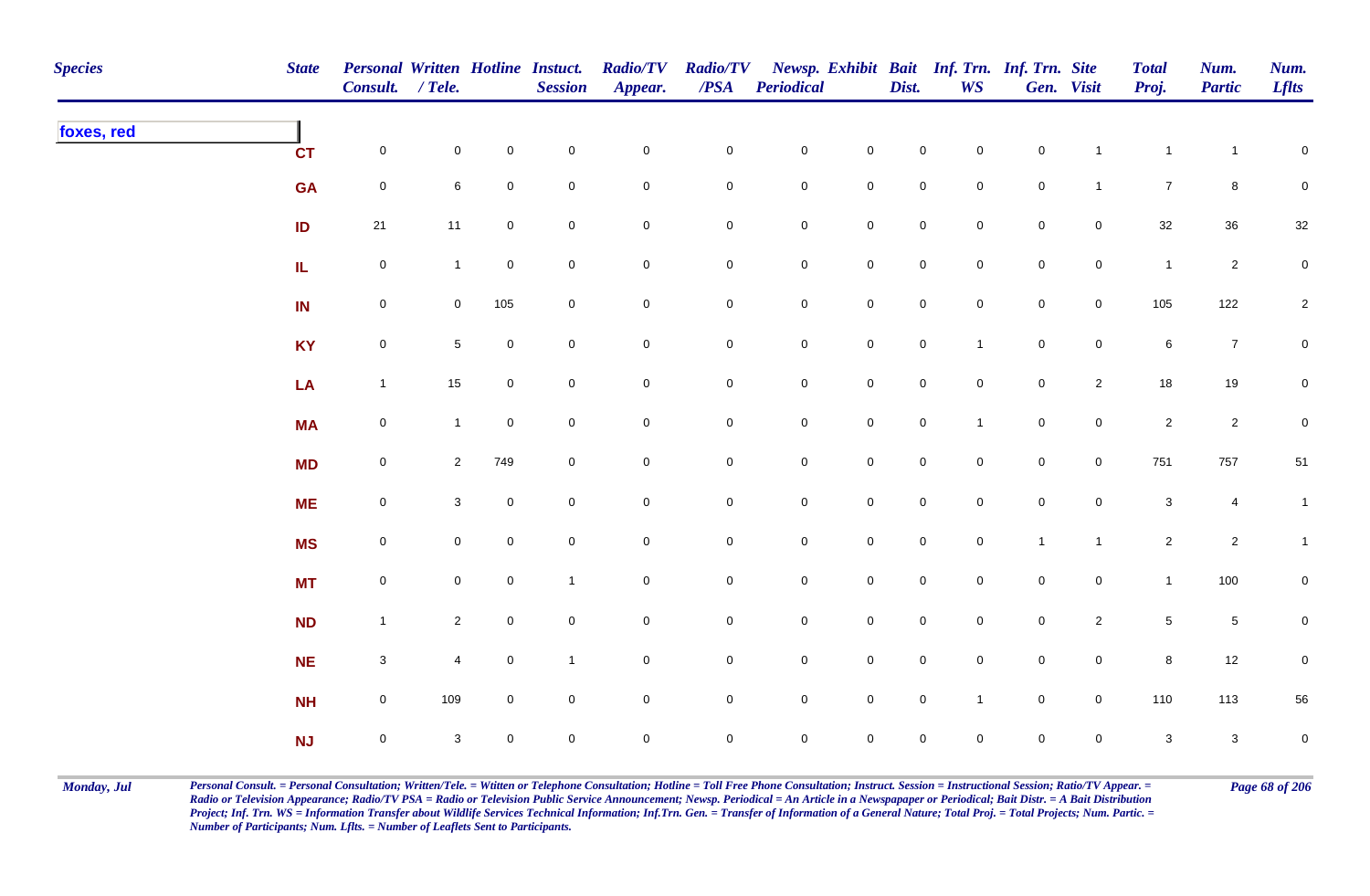| <b>Species</b> | <b>State</b>      | Personal Written Hotline Instuct.<br>Consult. / Tele. |                 |                     | <b>Session</b> | <b>Radio/TV</b><br>Appear. | <b>Radio/TV</b><br>$\overline{PSA}$ | <b>Periodical</b>   |                     | Dist.          | <b>WS</b>      | Newsp. Exhibit Bait Inf. Trn. Inf. Trn. Site | Gen. Visit     | <b>Total</b><br>Proj.     | Num.<br><b>Partic</b> | Num.<br><b>Lflts</b> |
|----------------|-------------------|-------------------------------------------------------|-----------------|---------------------|----------------|----------------------------|-------------------------------------|---------------------|---------------------|----------------|----------------|----------------------------------------------|----------------|---------------------------|-----------------------|----------------------|
| foxes, red     | <b>CT</b>         | $\mathsf{O}$                                          | $\mathbf 0$     | $\mathbf 0$         | $\mathbf 0$    | $\mathbf 0$                | $\pmb{0}$                           | $\mathbf 0$         | $\mathbf 0$         | $\mathbf 0$    | $\overline{0}$ | $\mathbf 0$                                  | $\overline{1}$ | $\mathbf{1}$              | $\overline{1}$        | $\overline{0}$       |
|                | <b>GA</b>         | $\mathbf 0$                                           | 6               | $\mathbf 0$         | $\mathbf 0$    | $\pmb{0}$                  | 0                                   | $\mathbf 0$         | $\mathbf 0$         | $\mathbf 0$    | $\mathbf 0$    | $\mathbf 0$                                  | $\mathbf{1}$   | $\overline{7}$            | 8                     | $\pmb{0}$            |
|                | ID                | 21                                                    | 11              | $\mathbf 0$         | $\mathbf 0$    | $\mathbf 0$                | $\pmb{0}$                           | $\mathbf 0$         | $\mathbf 0$         | $\mathbf 0$    | $\overline{0}$ | $\pmb{0}$                                    | $\mathbf 0$    | $32\,$                    | $36\,$                | $32\,$               |
|                | ${\bf I} {\bf L}$ | $\mathsf{O}$                                          | $\mathbf{1}$    | $\mathbf 0$         | $\mathbf 0$    | $\mathsf{O}\xspace$        | $\pmb{0}$                           | $\mathbf 0$         | $\mathbf 0$         | $\overline{0}$ | $\mathbf 0$    | $\mathbf 0$                                  | $\mathbf 0$    | $\mathbf{1}$              | $\overline{c}$        | $\mathbf 0$          |
|                | IN                | $\mathsf 0$                                           | $\mathbf 0$     | 105                 | $\mathbf 0$    | $\mathbf 0$                | 0                                   | $\mathbf 0$         | $\mathbf 0$         | $\mathbf 0$    | $\overline{0}$ | $\mathbf 0$                                  | $\overline{0}$ | 105                       | 122                   | $\overline{2}$       |
|                | <b>KY</b>         | $\mathbf 0$                                           | $5\phantom{.0}$ | $\mathsf{O}\xspace$ | $\mathbf 0$    | $\mathsf{O}\xspace$        | $\mathbf 0$                         | $\mathbf 0$         | $\mathsf{O}\xspace$ | $\mathbf 0$    | $\mathbf{1}$   | $\mathbf 0$                                  | $\mathbf 0$    | $\,6$                     | $\overline{7}$        | $\mathbf 0$          |
|                | LA                | $\mathbf{1}$                                          | 15              | $\mathbf 0$         | $\pmb{0}$      | $\mathsf{O}\xspace$        | $\mathsf{O}\xspace$                 | $\mathbf 0$         | $\mathsf{O}\xspace$ | $\mathbf 0$    | $\overline{0}$ | $\mathbf 0$                                  | $\overline{2}$ | $18\,$                    | 19                    | $\mathbf 0$          |
|                | <b>MA</b>         | $\mathsf{O}\xspace$                                   | $\mathbf{1}$    | $\mathbf 0$         | $\mathbf 0$    | $\mathsf{O}\xspace$        | 0                                   | $\mathbf 0$         | $\mathbf 0$         | $\mathbf 0$    | $\mathbf{1}$   | $\mathbf 0$                                  | $\mathbf 0$    | $\overline{2}$            | $\overline{c}$        | $\mathbf 0$          |
|                | <b>MD</b>         | $\mathsf{O}$                                          | $\overline{2}$  | 749                 | $\mathbf 0$    | $\mathsf{O}\xspace$        | 0                                   | $\mathbf 0$         | $\mathbf 0$         | $\mathbf 0$    | $\mathbf 0$    | $\mathbf 0$                                  | $\overline{0}$ | 751                       | 757                   | 51                   |
|                | <b>ME</b>         | $\mathsf{O}$                                          | 3               | $\mathbf 0$         | $\mathbf 0$    | $\mathsf{O}\xspace$        | $\pmb{0}$                           | $\mathbf 0$         | $\mathsf{O}\xspace$ | $\overline{0}$ | $\mathbf 0$    | $\mathsf{O}\xspace$                          | $\mathbf 0$    | $\ensuremath{\mathsf{3}}$ | $\overline{4}$        | $\mathbf{1}$         |
|                | <b>MS</b>         | $\mathsf{O}$                                          | $\mathbf 0$     | $\overline{0}$      | $\pmb{0}$      | $\mathsf{O}\xspace$        | $\pmb{0}$                           | $\mathbf 0$         | $\mathsf{O}\xspace$ | $\mathbf 0$    | $\overline{0}$ | $\mathbf{1}$                                 | $\mathbf{1}$   | $\overline{2}$            | $\overline{2}$        | $\mathbf{1}$         |
|                | <b>MT</b>         | $\mathbf 0$                                           | $\mathbf 0$     | $\mathbf 0$         | $\mathbf{1}$   | $\mathbf 0$                | $\pmb{0}$                           | $\mathbf 0$         | $\mathbf 0$         | $\mathbf 0$    | $\mathbf 0$    | $\mathbf 0$                                  | $\mathsf{O}$   | $\mathbf{1}$              | 100                   | $\overline{0}$       |
|                | <b>ND</b>         | $\mathbf{1}$                                          | $\overline{2}$  | $\mathbf 0$         | $\pmb{0}$      | $\mathsf{O}\xspace$        | 0                                   | $\overline{0}$      | $\mathbf 0$         | $\mathsf{O}$   | $\overline{0}$ | $\mathbf 0$                                  | $\overline{2}$ | $\sqrt{5}$                | $\sqrt{5}$            | $\mathbf 0$          |
|                | <b>NE</b>         | $\mathbf{3}$                                          | $\overline{4}$  | $\overline{0}$      | $\mathbf{1}$   | $\mathbf 0$                | 0                                   | $\mathbf 0$         | $\mathsf{O}\xspace$ | $\mathbf 0$    | $\overline{0}$ | $\mathbf 0$                                  | $\mathsf{O}$   | $\bf 8$                   | 12                    | $\mathbf 0$          |
|                | <b>NH</b>         | $\mathsf{O}$                                          | 109             | $\mathbf 0$         | $\mathbf 0$    | $\mathbf 0$                | 0                                   | $\mathbf 0$         | $\mathsf{O}\xspace$ | $\mathbf 0$    | $\mathbf{1}$   | $\mathbf 0$                                  | $\overline{0}$ | 110                       | 113                   | 56                   |
|                | <b>NJ</b>         | $\mathsf{O}\xspace$                                   | 3               | $\mathbf 0$         | $\mathbf 0$    | $\mathbf 0$                | 0                                   | $\mathsf{O}\xspace$ | $\mathsf{O}\xspace$ | $\mathbf 0$    | $\mathbf 0$    | $\mathsf{O}\xspace$                          | $\mathbf 0$    | $\mathbf{3}$              | $\mathbf{3}$          | $\mathbf 0$          |

Monday, Jul Personal Consult. = Personal Consultation; Written/Tele. = Witten or Telephone Consultation; Hotline = Toll Free Phone Consultation; Instruct. Session = Instructional Session; Ratio/TV Appear. = Page 68 of 206 *Radio or Television Appearance; Radio/TV PSA = Radio or Television Public Service Announcement; Newsp. Periodical = An Article in a Newspapaper or Periodical; Bait Distr. = A Bait Distribution*  Project; Inf. Trn. WS = Information Transfer about Wildlife Services Technical Information; Inf.Trn. Gen. = Transfer of Information of a General Nature; Total Proj. = Total Projects; Num. Partic. = *Number of Participants; Num. Lflts. = Number of Leaflets Sent to Participants.*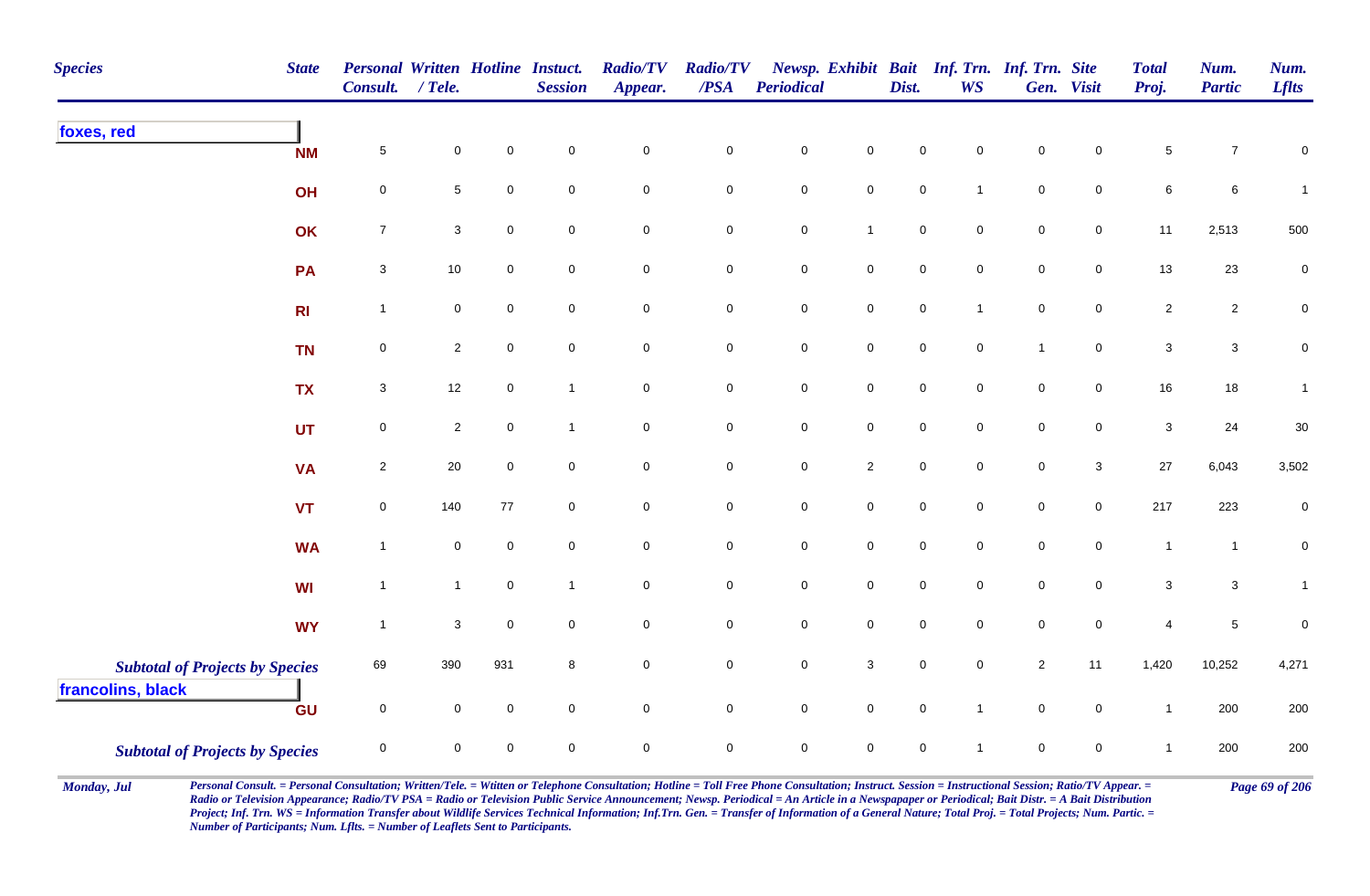| <b>Species</b><br><b>State</b>                              | <b>Personal Written Hotline Instuct.</b><br><b>Consult.</b> | $/$ Tele.           |                     | <b>Session</b> | <b>Radio/TV</b><br>Appear. | <b>Radio/TV</b><br>/PSA | Periodical          |                     | Dist.       | Newsp. Exhibit Bait Inf. Trn. Inf. Trn. Site<br><b>WS</b> |                | Gen. Visit          | <b>Total</b><br>Proj. | Num.<br><b>Partic</b>     | Num.<br><b>Lflts</b> |
|-------------------------------------------------------------|-------------------------------------------------------------|---------------------|---------------------|----------------|----------------------------|-------------------------|---------------------|---------------------|-------------|-----------------------------------------------------------|----------------|---------------------|-----------------------|---------------------------|----------------------|
| foxes, red<br><b>NM</b>                                     | $\sqrt{5}$                                                  | 0                   | $\mathbf 0$         | $\mathbf 0$    | $\mathbf 0$                | $\mathbf 0$             | $\pmb{0}$           | $\mathbf 0$         | $\mathbf 0$ | $\mathbf 0$                                               | $\mathbf 0$    | 0                   | $\sqrt{5}$            | $\overline{7}$            | 0                    |
| OH                                                          | $\mathbf 0$                                                 | 5                   | $\mathbf 0$         | $\mathbf 0$    | $\mathsf{O}\xspace$        | $\mathbf 0$             | $\mathbf 0$         | $\mathbf 0$         | $\pmb{0}$   | $\mathbf{1}$                                              | $\pmb{0}$      | $\mathsf{O}\xspace$ | $\,6\,$               | $\,6\,$                   | $\overline{1}$       |
| OK                                                          | $\boldsymbol{7}$                                            | $\mathbf{3}$        | $\pmb{0}$           | $\mathbf 0$    | $\mathsf{O}\xspace$        | $\mathbf 0$             | $\pmb{0}$           | $\mathbf{1}$        | $\pmb{0}$   | $\mathbf 0$                                               | $\pmb{0}$      | $\mathbf 0$         | 11                    | 2,513                     | 500                  |
| PA                                                          | $\sqrt{3}$                                                  | 10                  | $\mathbf 0$         | $\mathsf 0$    | $\mathbf 0$                | $\mathbf 0$             | $\pmb{0}$           | $\mathbf 0$         | $\mathsf 0$ | 0                                                         | $\mathbf 0$    | 0                   | $13$                  | 23                        | 0                    |
| R <sub>l</sub>                                              | $\mathbf{1}$                                                | 0                   | $\mathbf 0$         | $\mathbf 0$    | $\overline{0}$             | $\mathbf 0$             | $\mathsf{O}\xspace$ | $\overline{0}$      | $\mathsf 0$ | 1                                                         | $\mathbf 0$    | 0                   | $\overline{2}$        | $\sqrt{2}$                | $\mathbf 0$          |
| <b>TN</b>                                                   | $\pmb{0}$                                                   | $\overline{2}$      | $\mathsf{O}\xspace$ | $\mathbf 0$    | $\mathsf{O}\xspace$        | $\mathbf 0$             | $\pmb{0}$           | $\overline{0}$      | $\mathsf 0$ | $\mathbf 0$                                               | $\overline{1}$ | 0                   | $\sqrt{3}$            | $\ensuremath{\mathsf{3}}$ | 0                    |
| <b>TX</b>                                                   | $\sqrt{3}$                                                  | 12                  | $\mathbf 0$         | $\overline{1}$ | $\mathbf 0$                | $\mathbf 0$             | $\mathbf 0$         | $\mathsf 0$         | $\pmb{0}$   | $\mathbf 0$                                               | $\pmb{0}$      | $\mathbf 0$         | 16                    | $18\,$                    | $\mathbf{1}$         |
| <b>UT</b>                                                   | $\mathbf 0$                                                 | $\mathbf{2}$        | $\mathbf 0$         | $\mathbf{1}$   | $\mathbf 0$                | $\mathbf 0$             | $\mathbf 0$         | $\mathsf 0$         | $\pmb{0}$   | $\mathbf 0$                                               | $\pmb{0}$      | $\mathbf 0$         | $\mathbf{3}$          | 24                        | 30                   |
| <b>VA</b>                                                   | $\sqrt{2}$                                                  | 20                  | $\mathbf 0$         | $\mathbf 0$    | $\mathsf{O}\xspace$        | $\mathbf 0$             | $\mathbf 0$         | $\overline{2}$      | $\pmb{0}$   | $\mathbf 0$                                               | $\mathbf 0$    | $\mathbf{3}$        | $27\,$                | 6,043                     | 3,502                |
| <b>VT</b>                                                   | $\mathsf 0$                                                 | 140                 | 77                  | $\overline{0}$ | $\overline{0}$             | $\overline{0}$          | $\pmb{0}$           | $\mathsf{O}\xspace$ | $\mathsf 0$ | $\mathbf 0$                                               | $\mathbf 0$    | 0                   | 217                   | 223                       | 0                    |
| <b>WA</b>                                                   | $\overline{1}$                                              | $\mathsf{O}\xspace$ | $\mathbf 0$         | $\mathbf 0$    | $\mathsf{O}\xspace$        | $\pmb{0}$               | $\mathbf 0$         | $\mathsf{O}\xspace$ | $\pmb{0}$   | $\mathbf 0$                                               | $\mathbf 0$    | $\mathsf{O}\xspace$ | $\mathbf{1}$          | $\mathbf{1}$              | $\mathbf 0$          |
| WI                                                          | $\mathbf{1}$                                                | $\mathbf{1}$        | $\mathbf 0$         | $\overline{1}$ | $\mathsf{O}\xspace$        | $\mathsf 0$             | $\pmb{0}$           | $\mathbf 0$         | $\mathsf 0$ | 0                                                         | $\mathbf 0$    | $\mathsf{O}$        | 3                     | $\ensuremath{\mathsf{3}}$ | $\mathbf{1}$         |
| <b>WY</b>                                                   | $\mathbf{1}$                                                | $\mathbf{3}$        | $\mathbf 0$         | $\mathbf 0$    | $\mathsf{O}\xspace$        | $\pmb{0}$               | $\mathbf 0$         | $\mathbf 0$         | $\mathbf 0$ | 0                                                         | $\mathbf 0$    | $\mathsf{O}\xspace$ | $\overline{4}$        | $\,$ 5 $\,$               | $\boldsymbol{0}$     |
| <b>Subtotal of Projects by Species</b><br>francolins, black | 69                                                          | 390                 | 931                 | 8              | $\mathbf 0$                | $\mathbf 0$             | $\pmb{0}$           | $\mathbf{3}$        | $\pmb{0}$   | $\mathbf 0$                                               | $\overline{c}$ | 11                  | 1,420                 | 10,252                    | 4,271                |
| GU                                                          | $\mathbf 0$                                                 | 0                   | $\mathbf 0$         | $\mathbf 0$    | $\mathsf{O}\xspace$        | $\mathsf{O}\xspace$     | $\mathbf 0$         | $\mathbf 0$         | $\pmb{0}$   | $\mathbf{1}$                                              | $\pmb{0}$      | $\mathbf 0$         | $\mathbf{1}$          | 200                       | 200                  |
| <b>Subtotal of Projects by Species</b>                      | $\mathsf 0$                                                 | 0                   | $\pmb{0}$           | $\mathsf 0$    | $\mathbf 0$                | $\pmb{0}$               | $\pmb{0}$           | $\mathbf 0$         | $\mathsf 0$ | 1                                                         | $\mathbf 0$    | 0                   | $\mathbf{1}$          | 200                       | 200                  |

Monday, Jul Personal Consult. = Personal Consultation; Written/Tele. = Witten or Telephone Consultation; Hotline = Toll Free Phone Consultation; Instruct. Session = Instructional Session; Ratio/TV Appear. = Page 69 of 206 *Radio or Television Appearance; Radio/TV PSA = Radio or Television Public Service Announcement; Newsp. Periodical = An Article in a Newspapaper or Periodical; Bait Distr. = A Bait Distribution*  Project; Inf. Trn. WS = Information Transfer about Wildlife Services Technical Information; Inf.Trn. Gen. = Transfer of Information of a General Nature; Total Proj. = Total Projects; Num. Partic. = *Number of Participants; Num. Lflts. = Number of Leaflets Sent to Participants.*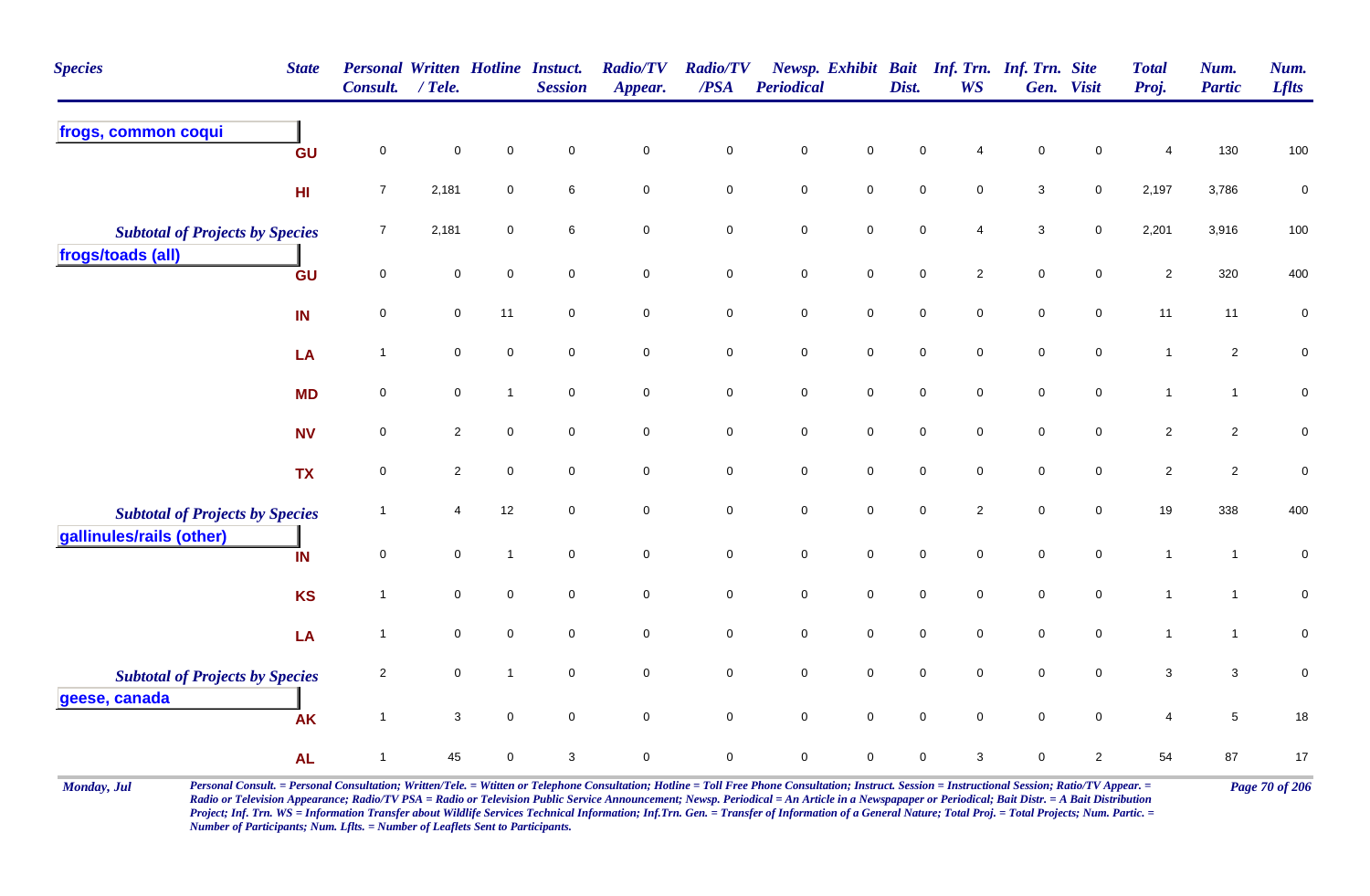| <b>Species</b>                         | <b>State</b>    | <b>Personal Written Hotline Instuct.</b><br>Consult. | $/$ Tele.           |                | <b>Session</b> | <b>Radio/TV</b><br>Appear. | <b>Radio/TV</b><br>$\triangle PSA$ | <b>Periodical</b> |                     | Dist.       | <b>WS</b>      | Newsp. Exhibit Bait Inf. Trn. Inf. Trn. Site | Gen. Visit          | <b>Total</b><br>Proj. | Num.<br><b>Partic</b> | Num.<br><b>Lflts</b> |
|----------------------------------------|-----------------|------------------------------------------------------|---------------------|----------------|----------------|----------------------------|------------------------------------|-------------------|---------------------|-------------|----------------|----------------------------------------------|---------------------|-----------------------|-----------------------|----------------------|
| frogs, common coqui                    | GU              | $\mathsf 0$                                          | $\mathsf 0$         | $\mathbf 0$    | $\mathbf 0$    | 0                          | $\pmb{0}$                          | $\mathsf 0$       | $\mathbf 0$         | $\mathbf 0$ |                | $\mathbf 0$                                  | 0                   | $\overline{4}$        | 130                   | 100                  |
|                                        | H <sub>II</sub> | $\overline{7}$                                       | 2,181               | $\mathbf 0$    | 6              | $\pmb{0}$                  | $\mathbf 0$                        | $\pmb{0}$         | $\mathbf 0$         | $\mathsf 0$ | $\mathbf 0$    | $\sqrt{3}$                                   | $\mathbf 0$         | 2,197                 | 3,786                 | $\pmb{0}$            |
| <b>Subtotal of Projects by Species</b> |                 | $\overline{7}$                                       | 2,181               | $\mathbf 0$    | 6              | $\pmb{0}$                  | $\mathbf 0$                        | $\pmb{0}$         | $\pmb{0}$           | $\mathbf 0$ | 4              | $\sqrt{3}$                                   | $\mathbf 0$         | 2,201                 | 3,916                 | 100                  |
| frogs/toads (all)                      | GU              | $\overline{0}$                                       | $\mathbf 0$         | $\mathbf 0$    | $\mathbf 0$    | $\mathbf 0$                | $\mathbf 0$                        | $\pmb{0}$         | $\mathbf 0$         | $\pmb{0}$   | $\overline{c}$ | $\pmb{0}$                                    | $\mathbf 0$         | $\sqrt{2}$            | 320                   | 400                  |
|                                        | IN              | $\mathsf 0$                                          | $\overline{0}$      | 11             | $\mathbf 0$    | $\mathbf 0$                | $\overline{0}$                     | $\mathsf 0$       | $\overline{0}$      | $\mathsf 0$ | $\mathbf 0$    | $\mathbf 0$                                  | $\overline{0}$      | 11                    | 11                    | $\pmb{0}$            |
|                                        | LA              | $\overline{1}$                                       | $\mathsf{O}\xspace$ | $\mathsf 0$    | $\mathsf 0$    | $\mathbf 0$                | $\mathsf{O}\xspace$                | $\pmb{0}$         | $\mathbf 0$         | $\pmb{0}$   | $\mathbf 0$    | $\pmb{0}$                                    | $\pmb{0}$           | $\mathbf{1}$          | $\overline{c}$        | $\pmb{0}$            |
|                                        | <b>MD</b>       | $\mathbf 0$                                          | $\pmb{0}$           | $\mathbf 1$    | $\mathbf 0$    | $\mathbf 0$                | $\mathsf{O}\xspace$                | $\pmb{0}$         | $\mathsf{O}\xspace$ | $\mathbf 0$ | $\mathbf 0$    | $\pmb{0}$                                    | $\mathbf 0$         | $\mathbf{1}$          | $\mathbf{1}$          | $\mathbf 0$          |
|                                        | <b>NV</b>       | $\mathbf 0$                                          | $\overline{2}$      | $\mathbf 0$    | $\mathbf 0$    | $\mathbf 0$                | $\mathbf 0$                        | $\mathsf 0$       | $\mathbf 0$         | $\mathsf 0$ | $\mathbf 0$    | $\mathsf 0$                                  | $\mathbf 0$         | $\overline{2}$        | $\overline{a}$        | $\mathbf 0$          |
|                                        | <b>TX</b>       | $\mathsf{O}\xspace$                                  | $\overline{2}$      | $\mathbf 0$    | $\mathbf 0$    | 0                          | $\mathbf 0$                        | $\mathsf 0$       | $\mathsf{O}\xspace$ | $\mathsf 0$ | 0              | $\pmb{0}$                                    | 0                   | $\sqrt{2}$            | $\overline{c}$        | $\pmb{0}$            |
| <b>Subtotal of Projects by Species</b> |                 | -1                                                   | 4                   | 12             | $\mathbf 0$    | 0                          | $\overline{0}$                     | $\mathsf 0$       | $\mathbf 0$         | $\mathbf 0$ | $\overline{c}$ | $\mathbf 0$                                  | $\mathbf 0$         | 19                    | 338                   | 400                  |
| gallinules/rails (other)               | IN              | $\mathbf 0$                                          | $\mathbf 0$         | $\overline{1}$ | $\mathbf 0$    | $\mathbf 0$                | $\mathbf 0$                        | $\pmb{0}$         | $\mathbf 0$         | $\pmb{0}$   | $\mathbf 0$    | $\pmb{0}$                                    | $\mathsf{O}\xspace$ | $\mathbf{1}$          | $\overline{1}$        | $\pmb{0}$            |
|                                        | <b>KS</b>       | $\overline{1}$                                       | 0                   | $\mathbf 0$    | $\mathbf 0$    | $\mathsf{O}\xspace$        | $\mathbf 0$                        | $\pmb{0}$         | $\mathsf{O}\xspace$ | $\pmb{0}$   | 0              | $\pmb{0}$                                    | $\mathbf 0$         | $\mathbf{1}$          | $\mathbf 1$           | $\pmb{0}$            |
|                                        | LA              | $\overline{1}$                                       | $\mathsf 0$         | $\mathsf 0$    | $\mathsf 0$    | $\mathbf 0$                | $\mathbf 0$                        | $\pmb{0}$         | $\mathbf 0$         | $\mathsf 0$ | $\mathbf 0$    | $\pmb{0}$                                    | $\mathbf 0$         | $\mathbf{1}$          | $\mathbf{1}$          | $\pmb{0}$            |
| <b>Subtotal of Projects by Species</b> |                 | $\overline{2}$                                       | $\mathbf 0$         | $\mathbf 1$    | $\mathbf 0$    | 0                          | $\mathsf{O}\xspace$                | $\mathsf 0$       | $\mathsf{O}\xspace$ | $\mathsf 0$ | $\mathbf 0$    | $\mathsf 0$                                  | $\mathbf 0$         | $\sqrt{3}$            | $\mathbf{3}$          | $\pmb{0}$            |
| geese, canada                          | <b>AK</b>       | $\overline{1}$                                       | $\mathbf{3}$        | $\mathbf 0$    | $\mathbf 0$    | $\mathbf 0$                | $\mathbf 0$                        | $\pmb{0}$         | $\mathbf 0$         | $\mathbf 0$ | $\mathbf 0$    | $\pmb{0}$                                    | $\mathbf 0$         | $\overline{4}$        | $5\phantom{.0}$       | 18                   |
|                                        | <b>AL</b>       | $\overline{1}$                                       | 45                  | $\mathbf 0$    | 3              | $\mathsf{O}\xspace$        | $\mathbf 0$                        | $\pmb{0}$         | 0                   | $\mathbf 0$ | 3              | $\mathbf 0$                                  | $\overline{2}$      | 54                    | 87                    | $17\,$               |

Monday, Jul Personal Consult. = Personal Consultation; Written/Tele. = Witten or Telephone Consultation; Hotline = Toll Free Phone Consultation; Instruct. Session = Instructional Session; Ratio/TV Appear. = Page 70 of 206 *Radio or Television Appearance; Radio/TV PSA = Radio or Television Public Service Announcement; Newsp. Periodical = An Article in a Newspapaper or Periodical; Bait Distr. = A Bait Distribution*  Project; Inf. Trn. WS = Information Transfer about Wildlife Services Technical Information; Inf.Trn. Gen. = Transfer of Information of a General Nature; Total Proj. = Total Projects; Num. Partic. = *Number of Participants; Num. Lflts. = Number of Leaflets Sent to Participants.*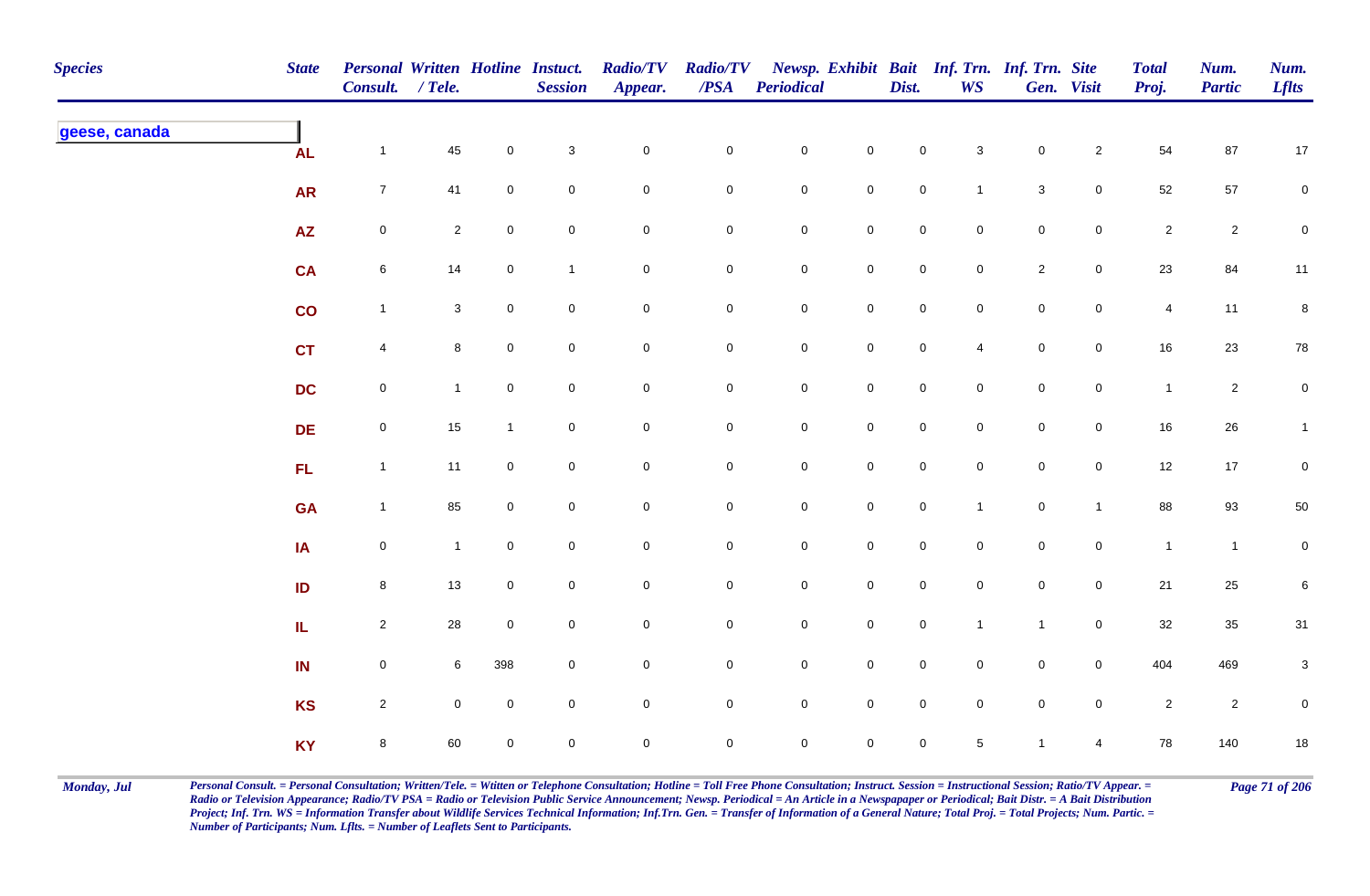| <b>Species</b> | <b>State</b>            | <b>Personal Written Hotline Instuct.</b><br>Consult. / Tele. |                |                     | <b>Session</b> | <b>Radio/TV</b><br>Appear. | <b>Radio/TV</b><br>$\overline{PSA}$ | <b>Periodical</b>   |                     | Dist.               | Newsp. Exhibit Bait Inf. Trn. Inf. Trn. Site<br><b>WS</b> |              | Gen. Visit          | <b>Total</b><br>Proj. | Num.<br><b>Partic</b> | Num.<br><b>Lflts</b> |
|----------------|-------------------------|--------------------------------------------------------------|----------------|---------------------|----------------|----------------------------|-------------------------------------|---------------------|---------------------|---------------------|-----------------------------------------------------------|--------------|---------------------|-----------------------|-----------------------|----------------------|
| geese, canada  | <b>AL</b>               | $\mathbf{1}$                                                 | 45             | $\mathsf{O}\xspace$ | $\mathbf{3}$   | $\pmb{0}$                  | $\pmb{0}$                           | ${\bf 0}$           | $\mathsf{O}\xspace$ | $\mathbf 0$         | $\mathbf{3}$                                              | $\pmb{0}$    | $\mathbf{2}$        | 54                    | $87\,$                | 17                   |
|                | <b>AR</b>               | $\overline{7}$                                               | 41             | $\mathbf 0$         | $\mathbf 0$    | $\mathbf 0$                | 0                                   | $\mathbf 0$         | $\mathbf 0$         | $\mathbf 0$         | $\mathbf{1}$                                              | $\mathbf{3}$ | $\mathbf 0$         | 52                    | 57                    | $\mathbf 0$          |
|                | <b>AZ</b>               | $\mathbf 0$                                                  | $\overline{2}$ | $\mathbf 0$         | $\mathbf 0$    | $\mathbf 0$                | 0                                   | $\mathsf{O}$        | $\mathbf 0$         | $\mathbf 0$         | $\overline{0}$                                            | $\mathbf 0$  | $\overline{0}$      | $\overline{2}$        | $\sqrt{2}$            | $\mathbf 0$          |
|                | <b>CA</b>               | $\,6\,$                                                      | 14             | $\mathbf 0$         | $\mathbf{1}$   | $\mathsf{O}\xspace$        | $\pmb{0}$                           | $\mathbf 0$         | $\mathbf 0$         | $\pmb{0}$           | $\mathbf 0$                                               | $\sqrt{2}$   | $\mathsf{O}\xspace$ | 23                    | 84                    | 11                   |
|                | $\overline{\mathbf{c}}$ | $\mathbf{1}$                                                 | $\mathbf{3}$   | $\overline{0}$      | $\pmb{0}$      | $\mathbf 0$                | $\mathbf 0$                         | $\mathsf{O}\xspace$ | $\mathbf 0$         | $\mathbf 0$         | $\mathbf 0$                                               | $\mathbf 0$  | $\mathsf{O}\xspace$ | $\overline{4}$        | 11                    | 8                    |
|                | <b>CT</b>               | $\overline{4}$                                               | 8              | $\mathbf 0$         | $\mathbf 0$    | $\mathbf 0$                | $\pmb{0}$                           | $\mathsf{O}\xspace$ | $\mathbf 0$         | $\mathbf 0$         | $\overline{4}$                                            | $\mathbf 0$  | $\mathsf{O}\xspace$ | $16\,$                | 23                    | ${\bf 78}$           |
|                | <b>DC</b>               | $\mathbf 0$                                                  | 1              | $\mathbf 0$         | $\mathbf 0$    | $\mathbf 0$                | $\mathbf 0$                         | $\mathsf{O}$        | $\mathbf 0$         | $\mathbf 0$         | $\overline{0}$                                            | $\mathbf 0$  | $\mathbf 0$         | $\mathbf{1}$          | $\overline{a}$        | $\overline{0}$       |
|                | DE                      | $\mathsf 0$                                                  | 15             |                     | $\mathbf 0$    | $\mathbf 0$                | $\mathbf 0$                         | $\mathsf{O}\xspace$ | $\mathbf 0$         | $\mathbf 0$         | $\mathbf 0$                                               | $\mathbf 0$  | $\mathbf 0$         | 16                    | $26\,$                | $\mathbf{1}$         |
|                | FL                      | $\mathbf{1}$                                                 | 11             | $\mathsf{O}\xspace$ | $\mathbf 0$    | $\mathbf 0$                | $\pmb{0}$                           | $\mathbf 0$         | $\mathbf 0$         | $\mathbf 0$         | $\mathbf 0$                                               | $\mathbf 0$  | $\mathsf{O}\xspace$ | 12                    | $17$                  | $\overline{0}$       |
|                | <b>GA</b>               | $\mathbf{1}$                                                 | 85             | $\overline{0}$      | $\pmb{0}$      | $\mathbf 0$                | $\pmb{0}$                           | $\mathbf 0$         | $\mathbf 0$         | $\mathbf 0$         | $\mathbf{1}$                                              | $\pmb{0}$    | $\mathbf{1}$        | 88                    | 93                    | 50                   |
|                | IA                      | $\mathsf{O}$                                                 | $\overline{1}$ | $\overline{0}$      | $\mathsf 0$    | $\overline{0}$             | $\pmb{0}$                           | $\mathsf{O}\xspace$ | $\mathbf 0$         | $\mathsf{O}\xspace$ | $\mathbf 0$                                               | $\mathbf 0$  | $\mathsf{O}\xspace$ | $\mathbf{1}$          | $\mathbf{1}$          | $\mathbf 0$          |
|                | ID                      | 8                                                            | 13             | $\mathbf 0$         | $\pmb{0}$      | $\mathbf 0$                | $\mathbf 0$                         | $\mathsf{O}$        | $\mathbf 0$         | $\mathbf 0$         | $\overline{0}$                                            | $\mathbf 0$  | $\mathbf 0$         | 21                    | 25                    | 6                    |
|                | ${\bf I} {\bf L}$       | $\overline{2}$                                               | 28             | $\mathbf 0$         | $\mathsf 0$    | $\mathsf{O}\xspace$        | $\mathbf 0$                         | $\mathsf{O}\xspace$ | $\mathbf 0$         | $\mathbf 0$         | $\mathbf{1}$                                              | $\mathbf{1}$ | $\mathsf{O}\xspace$ | 32                    | 35                    | 31                   |
|                | IN                      | $\mathbf 0$                                                  | 6              | 398                 | $\pmb{0}$      | $\pmb{0}$                  | $\pmb{0}$                           | $\mathsf 0$         | $\mathbf 0$         | $\mathbf 0$         | $\mathbf 0$                                               | $\mathbf 0$  | $\mathsf{O}\xspace$ | 404                   | 469                   | $\mathbf{3}$         |
|                | <b>KS</b>               | $\overline{2}$                                               | $\mathbf 0$    | $\mathbf 0$         | $\mathbf 0$    | $\mathbf 0$                | $\mathbf 0$                         | $\mathsf{O}\xspace$ | $\mathsf{O}\xspace$ | $\mathsf{O}\xspace$ | $\mathbf 0$                                               | $\mathbf 0$  | $\mathsf{O}\xspace$ | $\overline{2}$        | $\overline{c}$        | 0                    |
|                | <b>KY</b>               | $\bf8$                                                       | 60             | $\mathbf 0$         | $\mathbf 0$    | $\mathbf 0$                | $\mathbf 0$                         | $\mathsf{O}\xspace$ | $\mathbf 0$         | $\mathsf{O}\xspace$ | 5 <sup>5</sup>                                            | $\mathbf{1}$ | 4                   | 78                    | 140                   | $18\,$               |

Monday, Jul Personal Consult. = Personal Consultation; Written/Tele. = Witten or Telephone Consultation; Hotline = Toll Free Phone Consultation; Instruct. Session = Instructional Session; Ratio/TV Appear. = Page 71 of 206 *Radio or Television Appearance; Radio/TV PSA = Radio or Television Public Service Announcement; Newsp. Periodical = An Article in a Newspapaper or Periodical; Bait Distr. = A Bait Distribution*  Project; Inf. Trn. WS = Information Transfer about Wildlife Services Technical Information; Inf.Trn. Gen. = Transfer of Information of a General Nature; Total Proj. = Total Projects; Num. Partic. = *Number of Participants; Num. Lflts. = Number of Leaflets Sent to Participants.*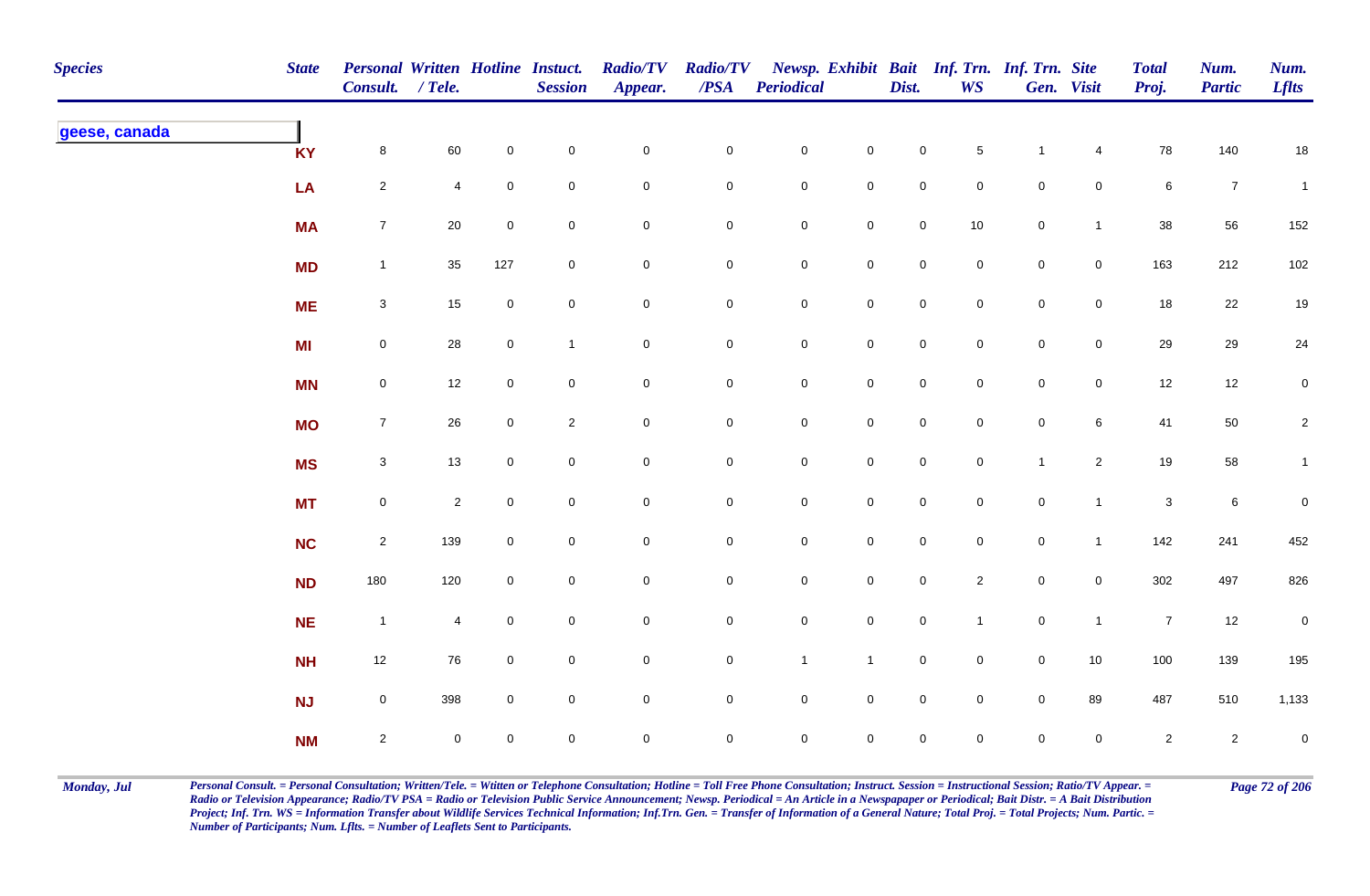| <b>Species</b> | <b>State</b> | Personal Written Hotline Instuct.<br>Consult. / Tele. |                     |                     | <b>Session</b> | <b>Radio/TV</b><br>Appear. | <b>Radio/TV</b><br>$\overline{PSA}$ | <b>Periodical</b>   |                     | Dist.               | <b>WS</b>           | Newsp. Exhibit Bait Inf. Trn. Inf. Trn. Site | Gen. Visit          | <b>Total</b><br>Proj. | Num.<br><b>Partic</b> | Num.<br><b>Lflts</b> |
|----------------|--------------|-------------------------------------------------------|---------------------|---------------------|----------------|----------------------------|-------------------------------------|---------------------|---------------------|---------------------|---------------------|----------------------------------------------|---------------------|-----------------------|-----------------------|----------------------|
| geese, canada  | <b>KY</b>    | $\bf{8}$                                              | 60                  | $\mathbf 0$         | $\pmb{0}$      | $\mathsf{O}\xspace$        | $\mathbf 0$                         | $\mathbf 0$         | $\mathsf{O}\xspace$ | $\mathbf 0$         | $\,$ 5 $\,$         | $\overline{1}$                               | $\overline{4}$      | 78                    | 140                   | $18\,$               |
|                | LA           | $\overline{a}$                                        | $\overline{4}$      | $\mathbf 0$         | $\mathsf 0$    | $\pmb{0}$                  | $\pmb{0}$                           | $\mathbf 0$         | $\mathbf 0$         | $\mathbf 0$         | $\mathbf 0$         | $\mathbf 0$                                  | $\mathbf 0$         | $\,6\,$               | $\overline{7}$        | $\mathbf{1}$         |
|                | <b>MA</b>    | $\overline{7}$                                        | 20                  | $\mathbf 0$         | $\mathsf 0$    | $\pmb{0}$                  | 0                                   | $\mathbf 0$         | $\mathbf 0$         | $\mathsf{O}\xspace$ | 10                  | $\mathsf{O}\xspace$                          | $\mathbf{1}$        | 38                    | 56                    | 152                  |
|                | <b>MD</b>    | $\mathbf{1}$                                          | 35                  | 127                 | $\mathsf 0$    | $\pmb{0}$                  | 0                                   | $\pmb{0}$           | $\mathsf{O}\xspace$ | $\mathsf{O}\xspace$ | $\overline{0}$      | $\mathsf{O}\xspace$                          | $\mathsf 0$         | 163                   | 212                   | $102\,$              |
|                | <b>ME</b>    | $\mathbf{3}$                                          | 15                  | $\mathsf{O}\xspace$ | $\pmb{0}$      | $\pmb{0}$                  | $\mathbf 0$                         | $\mathbf 0$         | $\mathbf 0$         | $\mathsf 0$         | $\mathbf 0$         | $\mathsf{O}\xspace$                          | $\mathsf{O}\xspace$ | 18                    | 22                    | $19$                 |
|                | <b>MI</b>    | $\mathsf{O}\xspace$                                   | 28                  | $\mathbf 0$         | $\mathbf{1}$   | $\mathsf{O}\xspace$        | $\mathbf 0$                         | $\mathbf 0$         | $\mathbf 0$         | $\mathsf{O}\xspace$ | $\overline{0}$      | $\mathsf{O}\xspace$                          | $\overline{0}$      | 29                    | 29                    | 24                   |
|                | <b>MN</b>    | $\mathsf{O}\xspace$                                   | 12                  | $\mathbf 0$         | $\pmb{0}$      | $\mathsf{O}\xspace$        | $\mathbf 0$                         | $\mathbf 0$         | $\mathsf 0$         | $\mathsf 0$         | $\overline{0}$      | $\mathsf{O}\xspace$                          | $\mathsf 0$         | 12                    | 12                    | $\overline{0}$       |
|                | <b>MO</b>    | $\overline{7}$                                        | 26                  | $\overline{0}$      | $\sqrt{2}$     | $\pmb{0}$                  | 0                                   | $\mathsf{O}\xspace$ | $\mathsf 0$         | $\mathsf{O}\xspace$ | $\mathbf 0$         | $\mathbf 0$                                  | $6\phantom{.}$      | 41                    | 50                    | $\overline{2}$       |
|                | <b>MS</b>    | $\mathbf{3}$                                          | 13                  | $\overline{0}$      | $\pmb{0}$      | $\pmb{0}$                  | 0                                   | $\mathsf{O}\xspace$ | $\pmb{0}$           | $\mathbf{0}$        | $\mathbf 0$         | $\overline{1}$                               | $\overline{2}$      | 19                    | 58                    | $\mathbf{1}$         |
|                | <b>MT</b>    | $\boldsymbol{0}$                                      | $\mathbf{2}$        | $\mathbf 0$         | $\pmb{0}$      | $\mathbf 0$                | 0                                   | $\mathsf{O}\xspace$ | $\mathbf 0$         | $\overline{0}$      | $\overline{0}$      | $\mathbf 0$                                  | $\mathbf{1}$        | $\mathbf{3}$          | $\,6\,$               | $\mathbf 0$          |
|                | <b>NC</b>    | $\overline{2}$                                        | 139                 | $\mathbf 0$         | $\pmb{0}$      | $\pmb{0}$                  | $\pmb{0}$                           | $\mathsf{O}\xspace$ | $\pmb{0}$           | $\mathsf{O}\xspace$ | $\mathbf 0$         | $\mathsf{O}\xspace$                          | $\mathbf{1}$        | 142                   | 241                   | 452                  |
|                | <b>ND</b>    | 180                                                   | 120                 | $\mathbf 0$         | $\pmb{0}$      | $\mathbf 0$                | $\mathbf 0$                         | $\mathbf 0$         | $\mathbf 0$         | $\mathbf 0$         | $\overline{2}$      | $\mathsf{O}\xspace$                          | $\mathbf 0$         | 302                   | 497                   | 826                  |
|                | <b>NE</b>    | $\overline{1}$                                        | $\overline{4}$      | $\mathbf 0$         | $\pmb{0}$      | $\mathbf 0$                | 0                                   | $\mathbf 0$         | $\mathbf 0$         | $\mathbf 0$         | $\mathbf{1}$        | $\mathbf 0$                                  | $\overline{1}$      | $\overline{7}$        | 12                    | ${\bf 0}$            |
|                | <b>NH</b>    | 12                                                    | 76                  | $\overline{0}$      | $\mathsf 0$    | $\pmb{0}$                  | $\mathbf 0$                         | $\mathbf{1}$        | $\mathbf{1}$        | $\mathsf 0$         | $\mathsf{O}\xspace$ | $\mathsf{O}\xspace$                          | $10\,$              | 100                   | 139                   | 195                  |
|                | NJ           | $\mathsf{O}\xspace$                                   | 398                 | $\mathbf 0$         | $\pmb{0}$      | $\pmb{0}$                  | 0                                   | $\mathbf 0$         | $\mathsf 0$         | $\mathbf 0$         | $\overline{0}$      | $\mathsf{O}\xspace$                          | 89                  | 487                   | 510                   | 1,133                |
|                | <b>NM</b>    | $\overline{2}$                                        | $\mathsf{O}\xspace$ | $\overline{0}$      | $\pmb{0}$      | $\mathbf 0$                | $\mathbf 0$                         | $\mathsf{O}\xspace$ | $\mathbf 0$         | $\mathsf{O}\xspace$ | $\mathbf 0$         | $\mathsf{O}\xspace$                          | $\mathbf 0$         | $\overline{2}$        | $\overline{2}$        | $\mathbf 0$          |

Monday, Jul Personal Consult. = Personal Consultation; Written/Tele. = Witten or Telephone Consultation; Hotline = Toll Free Phone Consultation; Instruct. Session = Instructional Session; Ratio/TV Appear. = Page 72 of 206 *Radio or Television Appearance; Radio/TV PSA = Radio or Television Public Service Announcement; Newsp. Periodical = An Article in a Newspapaper or Periodical; Bait Distr. = A Bait Distribution*  Project; Inf. Trn. WS = Information Transfer about Wildlife Services Technical Information; Inf.Trn. Gen. = Transfer of Information of a General Nature; Total Proj. = Total Projects; Num. Partic. = *Number of Participants; Num. Lflts. = Number of Leaflets Sent to Participants.*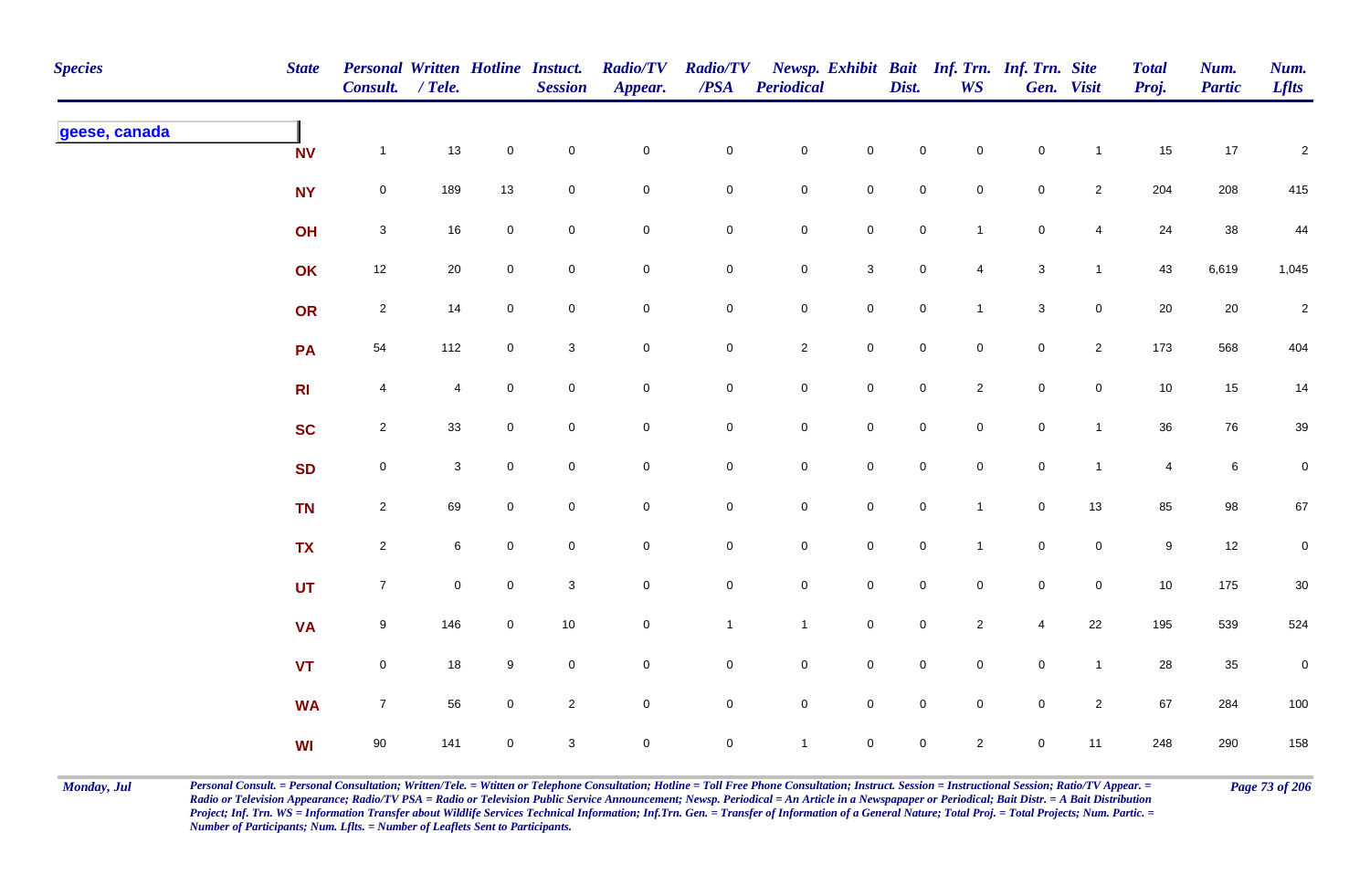| <b>Species</b> | <b>State</b>   | Personal Written Hotline Instuct.<br>Consult. / Tele. |              |                | <b>Session</b>            | <b>Radio/TV</b><br>Appear. | <b>Radio/TV</b><br>$\overline{PSA}$ | <b>Periodical</b> |                     | Dist.               | Newsp. Exhibit Bait Inf. Trn. Inf. Trn. Site<br><b>WS</b> |                           | Gen. Visit     | <b>Total</b><br>Proj. | Num.<br><b>Partic</b> | Num.<br><b>Lflts</b> |
|----------------|----------------|-------------------------------------------------------|--------------|----------------|---------------------------|----------------------------|-------------------------------------|-------------------|---------------------|---------------------|-----------------------------------------------------------|---------------------------|----------------|-----------------------|-----------------------|----------------------|
| geese, canada  | <b>NV</b>      | $\mathbf{1}$                                          | 13           | $\mathbf 0$    | $\pmb{0}$                 | $\pmb{0}$                  | $\pmb{0}$                           | $\mathbf 0$       | $\mathbf 0$         | $\mathbf 0$         | $\mathbf 0$                                               | $\pmb{0}$                 | $\overline{1}$ | 15                    | $17$                  | $\sqrt{2}$           |
|                | <b>NY</b>      | $\mathbf 0$                                           | 189          | 13             | $\mathbf 0$               | $\mathbf 0$                | 0                                   | $\mathbf 0$       | $\mathbf 0$         | $\mathbf 0$         | $\overline{0}$                                            | $\mathbf 0$               | $\overline{2}$ | 204                   | 208                   | 415                  |
|                | OH             | $\mathbf{3}$                                          | 16           | $\mathbf 0$    | $\mathsf 0$               | $\mathbf 0$                | 0                                   | $\mathbf 0$       | $\mathbf 0$         | $\overline{0}$      | $\overline{1}$                                            | $\mathbf 0$               | $\overline{4}$ | 24                    | 38                    | 44                   |
|                | OK             | 12                                                    | $20\,$       | $\overline{0}$ | $\mathsf{O}\xspace$       | $\pmb{0}$                  | $\pmb{0}$                           | $\mathbf 0$       | $\mathbf{3}$        | $\mathbf 0$         | $\overline{4}$                                            | $\ensuremath{\mathsf{3}}$ | $\mathbf{1}$   | 43                    | 6,619                 | 1,045                |
|                | OR             | $\overline{2}$                                        | 14           | $\overline{0}$ | $\pmb{0}$                 | $\mathbf 0$                | $\pmb{0}$                           | $\mathbf 0$       | $\mathbf 0$         | $\mathsf{O}\xspace$ | $\overline{1}$                                            | $\mathbf 3$               | $\mathbf 0$    | 20                    | 20                    | $\sqrt{2}$           |
|                | PA             | 54                                                    | 112          | $\mathbf 0$    | $\ensuremath{\mathsf{3}}$ | $\pmb{0}$                  | $\overline{0}$                      | $\overline{2}$    | $\mathbf 0$         | $\mathsf{O}\xspace$ | $\mathbf 0$                                               | $\mathsf 0$               | $\overline{2}$ | 173                   | 568                   | 404                  |
|                | R <sub>l</sub> | $\overline{4}$                                        | 4            | $\mathbf 0$    | $\mathsf 0$               | $\mathbf 0$                | 0                                   | $\mathbf 0$       | $\mathbf 0$         | $\mathbf 0$         | $\overline{2}$                                            | $\mathbf 0$               | $\mathbf 0$    | 10                    | 15                    | 14                   |
|                | <b>SC</b>      | $\overline{2}$                                        | 33           | $\mathbf 0$    | $\mathbf 0$               | $\mathbf 0$                | 0                                   | $\mathbf 0$       | $\mathbf 0$         | $\mathbf 0$         | $\mathbf 0$                                               | $\mathsf{O}\xspace$       | $\mathbf{1}$   | 36                    | 76                    | 39                   |
|                | <b>SD</b>      | $\mathsf{O}\xspace$                                   | $\mathbf{3}$ | $\mathbf 0$    | $\pmb{0}$                 | $\pmb{0}$                  | $\mathsf{O}\xspace$                 | $\mathbf 0$       | $\mathbf 0$         | $\mathsf{O}\xspace$ | $\mathsf{O}\xspace$                                       | $\mathbf 0$               | $\overline{1}$ | $\overline{4}$        | $\bf 6$               | $\mathsf{O}\xspace$  |
|                | <b>TN</b>      | $\overline{2}$                                        | 69           | $\overline{0}$ | $\pmb{0}$                 | $\mathbf 0$                | $\pmb{0}$                           | $\mathbf 0$       | $\mathbf 0$         | $\mathsf{O}\xspace$ | $\mathbf{1}$                                              | $\mathbf 0$               | $13$           | 85                    | 98                    | 67                   |
|                | <b>TX</b>      | $\overline{2}$                                        | 6            | $\mathbf 0$    | $\mathsf 0$               | $\mathbf 0$                | 0                                   | $\mathbf 0$       | $\mathbf 0$         | $\mathsf{O}\xspace$ | $\overline{1}$                                            | $\mathbf 0$               | $\mathbf 0$    | $9\,$                 | 12                    | $\pmb{0}$            |
|                | <b>UT</b>      | $\overline{7}$                                        | $\mathbf 0$  | $\mathbf 0$    | $\sqrt{3}$                | $\mathbf 0$                | 0                                   | $\overline{0}$    | $\mathbf 0$         | $\overline{0}$      | $\overline{0}$                                            | $\mathbf 0$               | $\overline{0}$ | $10$                  | 175                   | $30\,$               |
|                | <b>VA</b>      | $9\,$                                                 | 146          | $\overline{0}$ | 10                        | $\mathbf 0$                | $\mathbf{1}$                        | $\mathbf{1}$      | $\mathsf{O}\xspace$ | $\mathsf{O}\xspace$ | $\overline{2}$                                            | $\overline{4}$            | 22             | 195                   | 539                   | 524                  |
|                | <b>VT</b>      | $\mathsf{O}\xspace$                                   | 18           | $9\,$          | $\pmb{0}$                 | $\pmb{0}$                  | $\pmb{0}$                           | $\mathbf 0$       | $\mathsf{O}\xspace$ | $\mathbf 0$         | $\mathsf{O}\xspace$                                       | $\pmb{0}$                 | $\mathbf{1}$   | 28                    | $35\,$                | $\pmb{0}$            |
|                | <b>WA</b>      | $\overline{7}$                                        | 56           | $\overline{0}$ | $\sqrt{2}$                | $\pmb{0}$                  | 0                                   | $\mathbf 0$       | $\mathsf{O}\xspace$ | $\mathsf{O}\xspace$ | $\mathbf 0$                                               | $\mathsf{O}\xspace$       | $\overline{2}$ | 67                    | 284                   | 100                  |
|                | <b>WI</b>      | 90                                                    | 141          | $\mathbf 0$    | $\sqrt{3}$                | $\mathbf 0$                | 0                                   | $\mathbf{1}$      | $\mathsf{O}\xspace$ | $\mathsf{O}\xspace$ | $\overline{2}$                                            | $\pmb{0}$                 | 11             | 248                   | 290                   | 158                  |

Monday, Jul Personal Consult. = Personal Consultation; Written/Tele. = Witten or Telephone Consultation; Hotline = Toll Free Phone Consultation; Instruct. Session = Instructional Session; Ratio/TV Appear. = Page 73 of 206 *Radio or Television Appearance; Radio/TV PSA = Radio or Television Public Service Announcement; Newsp. Periodical = An Article in a Newspapaper or Periodical; Bait Distr. = A Bait Distribution*  Project; Inf. Trn. WS = Information Transfer about Wildlife Services Technical Information; Inf.Trn. Gen. = Transfer of Information of a General Nature; Total Proj. = Total Projects; Num. Partic. = *Number of Participants; Num. Lflts. = Number of Leaflets Sent to Participants.*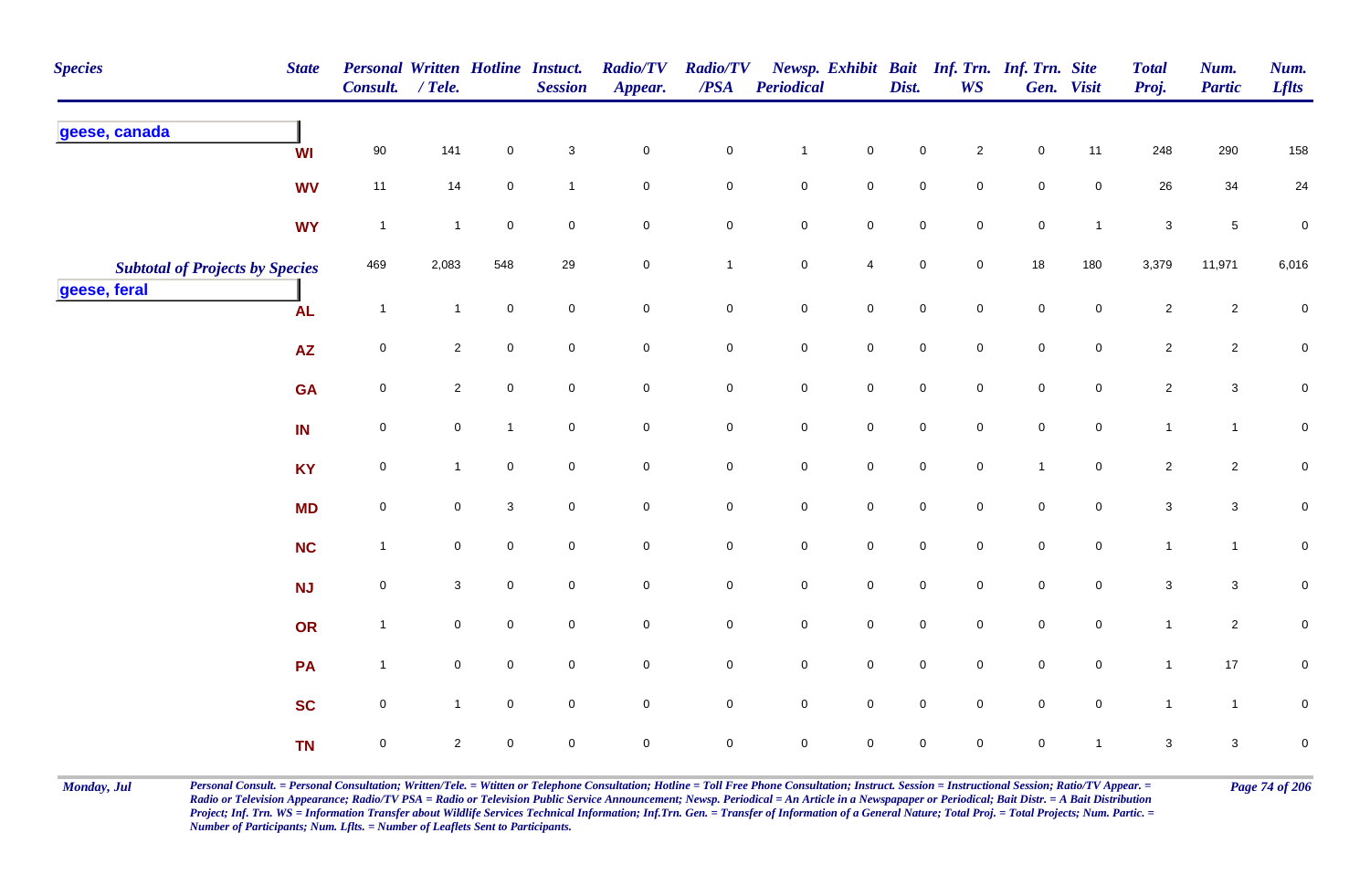| <b>Species</b>                         | <b>State</b>    | Personal Written Hotline Instuct.<br>Consult. / Tele. |                |                     | <b>Session</b>            | <b>Radio/TV</b><br>Appear. | <b>Radio/TV</b><br>$\boldsymbol{PSA}$ | <b>Periodical</b>   |                     | Dist.               | <b>WS</b>           | Newsp. Exhibit Bait Inf. Trn. Inf. Trn. Site | Gen. Visit          | <b>Total</b><br>Proj.     | Num.<br><b>Partic</b> | Num.<br><b>Lflts</b> |
|----------------------------------------|-----------------|-------------------------------------------------------|----------------|---------------------|---------------------------|----------------------------|---------------------------------------|---------------------|---------------------|---------------------|---------------------|----------------------------------------------|---------------------|---------------------------|-----------------------|----------------------|
| geese, canada                          | <b>WI</b>       | 90                                                    | 141            | $\mathsf 0$         | $\ensuremath{\mathsf{3}}$ | $\mathbf 0$                | $\pmb{0}$                             | $\mathbf{1}$        | $\mathbf 0$         | $\mathbf 0$         | $\overline{a}$      | $\pmb{0}$                                    | 11                  | 248                       | 290                   | 158                  |
|                                        | <b>WV</b>       | 11                                                    | 14             | $\mathbf 0$         | $\mathbf{1}$              | $\mathbf 0$                | $\mathbf 0$                           | $\pmb{0}$           | $\mathsf{O}$        | $\pmb{0}$           | $\mathbf 0$         | $\pmb{0}$                                    | $\mathsf{O}$        | 26                        | 34                    | 24                   |
|                                        | <b>WY</b>       | $\overline{1}$                                        | $\mathbf{1}$   | $\mathbf 0$         | $\mathbf 0$               | $\mathbf 0$                | $\mathbf 0$                           | $\pmb{0}$           | $\mathbf 0$         | $\pmb{0}$           | $\mathbf 0$         | $\pmb{0}$                                    | $\mathbf{1}$        | $\mathbf{3}$              | $\sqrt{5}$            | $\pmb{0}$            |
| <b>Subtotal of Projects by Species</b> |                 | 469                                                   | 2,083          | 548                 | 29                        | $\mathbf 0$                | $\mathbf{1}$                          | ${\bf 0}$           | $\overline{4}$      | $\pmb{0}$           | $\mathbf 0$         | 18                                           | 180                 | 3,379                     | 11,971                | 6,016                |
| geese, feral                           | <b>AL</b>       | $\overline{1}$                                        | $\mathbf{1}$   | $\pmb{0}$           | $\mathbf 0$               | $\mathsf{O}\xspace$        | $\mathsf{O}\xspace$                   | $\pmb{0}$           | $\mathsf 0$         | $\mathbf 0$         | $\mathsf{O}\xspace$ | $\pmb{0}$                                    | $\mathsf 0$         | $\overline{2}$            | $\sqrt{2}$            | $\pmb{0}$            |
|                                        | $\overline{AZ}$ | $\mathbf 0$                                           | $\overline{2}$ | $\mathsf{O}\xspace$ | $\mathbf 0$               | $\mathsf{O}$               | $\mathsf{O}$                          | $\pmb{0}$           | $\mathsf{O}$        | $\mathbf 0$         | $\mathsf{O}\xspace$ | $\pmb{0}$                                    | $\mathbf 0$         | $\overline{2}$            | $\overline{c}$        | $\overline{0}$       |
|                                        | <b>GA</b>       | $\mathbf 0$                                           | $\overline{2}$ | $\mathbf 0$         | $\mathbf 0$               | $\mathbf 0$                | $\mathbf 0$                           | $\mathbf 0$         | $\mathbf 0$         | $\mathbf 0$         | $\mathbf 0$         | $\pmb{0}$                                    | $\mathbf 0$         | $\overline{2}$            | $\mathbf{3}$          | $\overline{0}$       |
|                                        | IN              | $\mathbf 0$                                           | $\mathbf 0$    | $\mathbf{1}$        | $\mathbf 0$               | $\mathsf{O}\xspace$        | $\mathbf 0$                           | $\mathbf 0$         | $\mathbf 0$         | $\mathbf 0$         | $\mathbf 0$         | $\pmb{0}$                                    | $\mathsf{O}\xspace$ | $\mathbf{1}$              | $\mathbf{1}$          | $\mathbf 0$          |
|                                        | <b>KY</b>       | $\mathbf 0$                                           | $\mathbf{1}$   | $\mathsf{O}\xspace$ | $\mathsf{O}\xspace$       | $\mathbf 0$                | $\mathbf 0$                           | $\mathbf 0$         | $\mathbf 0$         | $\mathbf 0$         | $\mathsf{O}\xspace$ | $\mathbf{1}$                                 | $\mathbf 0$         | $\overline{2}$            | $\overline{c}$        | $\pmb{0}$            |
|                                        | <b>MD</b>       | $\pmb{0}$                                             | $\mathbf 0$    | $\mathbf 3$         | $\mathbf 0$               | $\mathbf 0$                | $\mathbf 0$                           | $\pmb{0}$           | $\mathbf 0$         | $\mathbf 0$         | $\mathbf 0$         | $\mathbf 0$                                  | $\mathbf 0$         | $\sqrt{3}$                | $\mathbf{3}$          | $\pmb{0}$            |
|                                        | <b>NC</b>       | $\overline{1}$                                        | $\mathbf 0$    | $\mathsf{O}\xspace$ | $\mathbf 0$               | $\mathbf 0$                | $\mathbf 0$                           | $\mathbf 0$         | $\mathbf 0$         | $\mathbf 0$         | $\mathsf{O}\xspace$ | $\pmb{0}$                                    | $\mathbf 0$         | $\mathbf{1}$              | $\mathbf{1}$          | $\pmb{0}$            |
|                                        | <b>NJ</b>       | $\mathsf 0$                                           | 3              | $\mathbf 0$         | $\mathbf 0$               | $\mathbf 0$                | $\overline{0}$                        | $\mathsf{O}\xspace$ | $\mathbf 0$         | $\mathsf{O}\xspace$ | $\mathbf 0$         | $\mathsf 0$                                  | $\overline{0}$      | $\mathbf{3}$              | $\mathbf{3}$          | $\mathbf 0$          |
|                                        | OR              | $\mathbf{1}$                                          | $\mathbf 0$    | $\mathsf{O}\xspace$ | $\mathbf 0$               | $\mathbf 0$                | $\mathbf 0$                           | $\mathbf 0$         | $\mathsf 0$         | $\mathbf 0$         | $\mathsf{O}\xspace$ | $\pmb{0}$                                    | $\mathbf 0$         | $\mathbf{1}$              | $\overline{2}$        | $\pmb{0}$            |
|                                        | PA              | $\mathbf{1}$                                          | $\mathbf 0$    | $\mathsf{O}\xspace$ | $\mathbf 0$               | $\mathbf 0$                | $\mathbf 0$                           | $\mathbf 0$         | $\mathbf 0$         | $\mathbf 0$         | $\mathbf 0$         | $\pmb{0}$                                    | $\mathbf 0$         | $\mathbf{1}$              | $17$                  | $\mathbf 0$          |
|                                        | <b>SC</b>       | $\mathbf 0$                                           | $\mathbf{1}$   | $\mathbf 0$         | $\mathbf 0$               | $\mathsf{O}\xspace$        | $\mathbf 0$                           | $\mathbf 0$         | $\mathsf{O}\xspace$ | $\mathbf 0$         | $\overline{0}$      | $\mathbf 0$                                  | $\mathsf{O}\xspace$ | $\mathbf{1}$              | $\mathbf{1}$          | $\mathsf{O}\xspace$  |
|                                        | <b>TN</b>       | $\mathbf 0$                                           | $\sqrt{2}$     | $\pmb{0}$           | $\mathbf 0$               | $\pmb{0}$                  | $\pmb{0}$                             | $\mathbf 0$         | $\pmb{0}$           | $\mathbf 0$         | $\mathbf 0$         | $\pmb{0}$                                    |                     | $\ensuremath{\mathsf{3}}$ | $\mathbf{3}$          | $\pmb{0}$            |

Monday, Jul Personal Consult. = Personal Consultation; Written/Tele. = Witten or Telephone Consultation; Hotline = Toll Free Phone Consultation; Instruct. Session = Instructional Session; Ratio/TV Appear. = Page 74 of 206 *Radio or Television Appearance; Radio/TV PSA = Radio or Television Public Service Announcement; Newsp. Periodical = An Article in a Newspapaper or Periodical; Bait Distr. = A Bait Distribution*  Project; Inf. Trn. WS = Information Transfer about Wildlife Services Technical Information; Inf.Trn. Gen. = Transfer of Information of a General Nature; Total Proj. = Total Projects; Num. Partic. = *Number of Participants; Num. Lflts. = Number of Leaflets Sent to Participants.*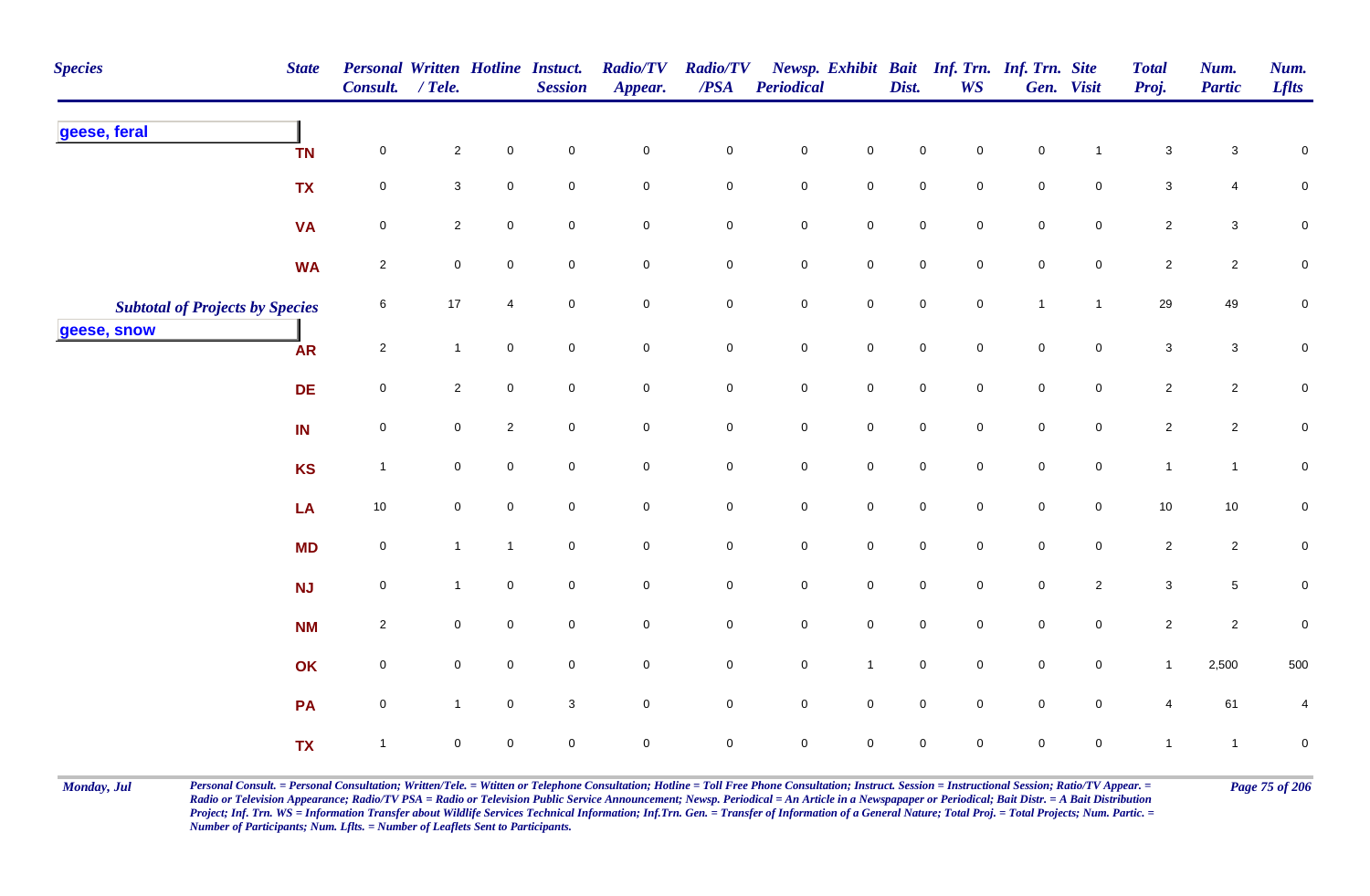| <b>Species</b>                         | <b>State</b> | Personal Written Hotline Instuct.<br>Consult. / Tele. |                     |                     | <b>Session</b>      | <b>Radio/TV</b><br>Appear. | <b>Radio/TV</b><br>$\boldsymbol{PSA}$ | <b>Periodical</b>   |              | Dist.               | <b>WS</b>   | Newsp. Exhibit Bait Inf. Trn. Inf. Trn. Site | Gen. Visit          | <b>Total</b><br>Proj. | Num.<br><b>Partic</b> | Num.<br><b>Lflts</b> |
|----------------------------------------|--------------|-------------------------------------------------------|---------------------|---------------------|---------------------|----------------------------|---------------------------------------|---------------------|--------------|---------------------|-------------|----------------------------------------------|---------------------|-----------------------|-----------------------|----------------------|
| geese, feral                           | <b>TN</b>    | 0                                                     | $\overline{a}$      | $\pmb{0}$           | $\mathbf 0$         | $\mathbf 0$                | $\mathbf 0$                           | $\pmb{0}$           | $\mathsf 0$  | $\mathbf 0$         | $\mathbf 0$ | $\pmb{0}$                                    |                     | $\sqrt{3}$            | 3                     | $\mathbf 0$          |
|                                        | <b>TX</b>    | $\mathbf 0$                                           | $\mathbf{3}$        | $\mathbf 0$         | $\mathbf 0$         | $\mathbf 0$                | $\mathsf{O}$                          | $\mathbf 0$         | $\mathsf{O}$ | $\pmb{0}$           | $\mathbf 0$ | $\pmb{0}$                                    | $\mathbf 0$         | $\mathbf{3}$          | 4                     | $\mathbf 0$          |
|                                        | <b>VA</b>    | 0                                                     | $\overline{2}$      | $\mathbf 0$         | 0                   | $\mathbf 0$                | $\mathbf 0$                           | $\pmb{0}$           | $\mathbf 0$  | $\pmb{0}$           | 0           | $\pmb{0}$                                    | $\mathbf 0$         | $\overline{2}$        | $\mathbf{3}$          | $\mathbf 0$          |
|                                        | <b>WA</b>    | $\overline{2}$                                        | 0                   | $\mathbf 0$         | $\mathbf 0$         | $\mathbf 0$                | $\mathbf 0$                           | ${\bf 0}$           | $\mathsf{O}$ | $\pmb{0}$           | $\mathbf 0$ | $\mathsf 0$                                  | $\overline{0}$      | $\overline{2}$        | $\overline{c}$        | $\mathbf 0$          |
| <b>Subtotal of Projects by Species</b> |              | 6                                                     | 17                  | $\overline{4}$      | $\mathbf 0$         | $\mathbf 0$                | $\mathbf 0$                           | $\pmb{0}$           | $\mathbf 0$  | $\mathsf{O}\xspace$ | $\mathbf 0$ | $\mathbf{1}$                                 | $\mathbf{1}$        | 29                    | 49                    | $\pmb{0}$            |
| geese, snow                            | <b>AR</b>    | $\sqrt{2}$                                            | $\mathbf{1}$        | $\mathbf 0$         | $\mathbf 0$         | $\mathsf{O}$               | $\mathsf{O}$                          | $\pmb{0}$           | $\mathsf{O}$ | $\mathbf 0$         | $\mathbf 0$ | $\pmb{0}$                                    | $\mathbf 0$         | $\mathbf{3}$          | $\mathbf{3}$          | $\overline{0}$       |
|                                        | <b>DE</b>    | $\mathsf 0$                                           | $\overline{c}$      | $\mathbf 0$         | $\mathbf 0$         | $\overline{0}$             | $\mathbf 0$                           | $\mathbf 0$         | $\mathbf 0$  | $\mathsf{O}\xspace$ | $\mathbf 0$ | $\mathsf 0$                                  | $\mathbf 0$         | $\overline{2}$        | $\overline{c}$        | $\mathbf 0$          |
|                                        | IN           | $\mathbf 0$                                           | $\mathbf 0$         | $\overline{2}$      | $\mathbf 0$         | $\mathbf 0$                | $\mathbf 0$                           | $\mathbf 0$         | $\mathbf 0$  | $\mathbf 0$         | $\mathbf 0$ | $\pmb{0}$                                    | $\mathbf 0$         | $\sqrt{2}$            | $\overline{c}$        | $\mathbf 0$          |
|                                        | <b>KS</b>    | $\overline{1}$                                        | $\mathbf 0$         | $\mathsf{O}\xspace$ | $\mathbf 0$         | $\mathbf 0$                | $\mathbf 0$                           | $\mathbf 0$         | $\mathbf 0$  | $\mathbf 0$         | $\mathbf 0$ | $\pmb{0}$                                    | $\mathsf 0$         | $\mathbf{1}$          | $\mathbf{1}$          | $\pmb{0}$            |
|                                        | LA           | $10\,$                                                | $\mathbf 0$         | $\mathsf{O}\xspace$ | $\mathbf 0$         | $\mathbf 0$                | $\mathbf 0$                           | $\pmb{0}$           | $\mathbf 0$  | $\mathbf 0$         | $\mathbf 0$ | $\mathbf 0$                                  | $\mathbf 0$         | $10$                  | 10                    | $\mathbf 0$          |
|                                        | <b>MD</b>    | $\mathbf 0$                                           | $\mathbf{1}$        | $\mathbf{1}$        | $\mathbf 0$         | $\mathsf{O}$               | $\bf{0}$                              | $\mathbf 0$         | $\mathbf 0$  | $\mathbf 0$         | $\mathbf 0$ | $\pmb{0}$                                    | $\mathsf{O}\xspace$ | $\overline{2}$        | $\overline{c}$        | $\mathbf 0$          |
|                                        | <b>NJ</b>    | $\mathbf 0$                                           | $\mathbf{1}$        | $\mathbf 0$         | $\mathbf 0$         | $\overline{0}$             | $\overline{0}$                        | $\mathsf{O}\xspace$ | $\mathbf 0$  | $\mathsf{O}\xspace$ | $\mathbf 0$ | $\mathsf 0$                                  | $\overline{2}$      | $\mathbf{3}$          | 5                     | $\mathbf 0$          |
|                                        | <b>NM</b>    | $\overline{2}$                                        | $\mathbf 0$         | $\mathsf{O}\xspace$ | $\mathsf{O}\xspace$ | $\mathbf 0$                | $\mathbf 0$                           | $\mathbf 0$         | $\mathsf 0$  | $\mathbf 0$         | $\mathbf 0$ | $\mathsf 0$                                  | $\overline{0}$      | $\overline{2}$        | $\overline{2}$        | $\pmb{0}$            |
|                                        | OK           | $\mathsf 0$                                           | $\mathbf 0$         | $\mathbf 0$         | $\mathbf 0$         | $\mathbf 0$                | $\overline{0}$                        | $\mathbf 0$         | $\mathbf{1}$ | $\mathbf 0$         | $\mathbf 0$ | $\pmb{0}$                                    | $\mathbf 0$         | $\mathbf{1}$          | 2,500                 | 500                  |
|                                        | PA           | $\mathsf 0$                                           | $\mathbf{1}$        | $\mathbf 0$         | 3                   | $\mathbf 0$                | $\mathbf 0$                           | $\mathbf 0$         | $\mathbf 0$  | $\mathbf 0$         | $\mathbf 0$ | $\mathbf 0$                                  | $\mathbf 0$         | $\overline{4}$        | 61                    | 4                    |
|                                        | <b>TX</b>    | $\mathbf{1}$                                          | $\mathsf{O}\xspace$ | $\pmb{0}$           | $\mathbf 0$         | $\pmb{0}$                  | $\pmb{0}$                             | $\mathbf 0$         | $\mathbf 0$  | $\mathsf{O}\xspace$ | $\mathbf 0$ | $\mathsf 0$                                  | $\pmb{0}$           | $\mathbf{1}$          | $\mathbf{1}$          | $\pmb{0}$            |

Monday, Jul Personal Consult. = Personal Consultation; Written/Tele. = Witten or Telephone Consultation; Hotline = Toll Free Phone Consultation; Instruct. Session = Instructional Session; Ratio/TV Appear. = Page 75 of 206 *Radio or Television Appearance; Radio/TV PSA = Radio or Television Public Service Announcement; Newsp. Periodical = An Article in a Newspapaper or Periodical; Bait Distr. = A Bait Distribution*  Project; Inf. Trn. WS = Information Transfer about Wildlife Services Technical Information; Inf.Trn. Gen. = Transfer of Information of a General Nature; Total Proj. = Total Projects; Num. Partic. = *Number of Participants; Num. Lflts. = Number of Leaflets Sent to Participants.*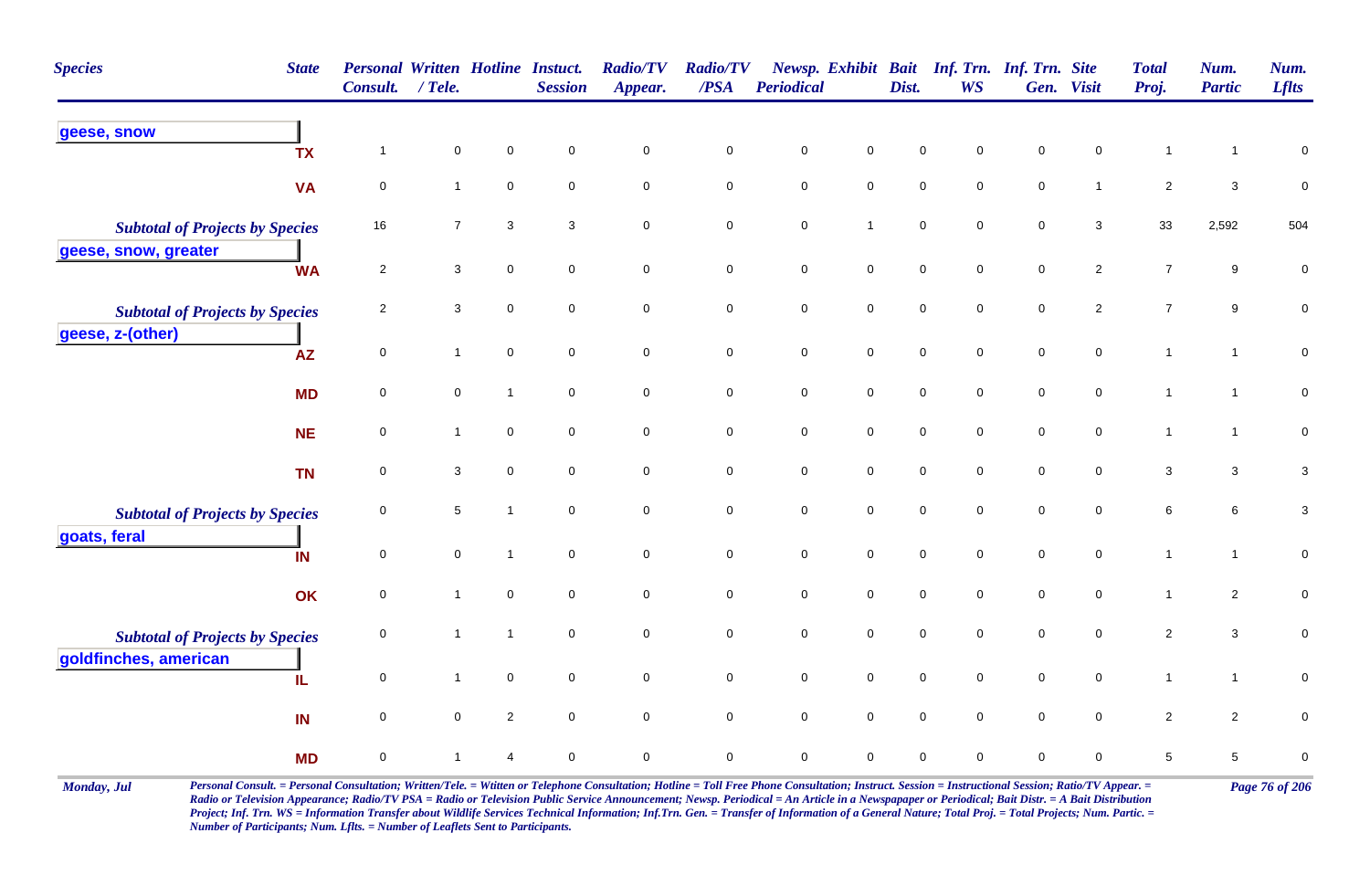| <b>Species</b>                                                  | <b>State</b> | <b>Personal Written Hotline Instuct.</b><br><b>Consult.</b> | $/$ Tele.                 |                | <b>Session</b>      | <b>Radio/TV</b><br>Appear. | <b>Radio/TV</b><br>$\triangle PSA$ | <b>Periodical</b> |                     | Dist.       | Newsp. Exhibit Bait Inf. Trn. Inf. Trn. Site<br><b>WS</b> |             | Gen. Visit     | <b>Total</b><br>Proj. | Num.<br><b>Partic</b> | Num.<br><b>Lflts</b> |
|-----------------------------------------------------------------|--------------|-------------------------------------------------------------|---------------------------|----------------|---------------------|----------------------------|------------------------------------|-------------------|---------------------|-------------|-----------------------------------------------------------|-------------|----------------|-----------------------|-----------------------|----------------------|
| geese, snow                                                     | <b>TX</b>    | $\overline{1}$                                              | $\pmb{0}$                 | $\mathbf 0$    | $\pmb{0}$           | $\pmb{0}$                  | $\pmb{0}$                          | $\mathsf 0$       | 0                   | $\mathsf 0$ | 0                                                         | $\mathsf 0$ | 0              | $\overline{1}$        | $\overline{1}$        | $\pmb{0}$            |
|                                                                 | <b>VA</b>    | $\mathbf 0$                                                 | $\mathbf{1}$              | $\mathbf 0$    | $\mathbf 0$         | $\pmb{0}$                  | $\mathbf 0$                        | $\pmb{0}$         | $\mathsf{O}\xspace$ | $\pmb{0}$   | 0                                                         | $\pmb{0}$   | $\mathbf{1}$   | $\sqrt{2}$            | $\mathbf{3}$          | $\pmb{0}$            |
| <b>Subtotal of Projects by Species</b>                          |              | 16                                                          | $\overline{7}$            | 3              | 3                   | $\pmb{0}$                  | $\mathbf 0$                        | $\mathsf 0$       | $\mathbf{1}$        | $\mathsf 0$ | $\mathbf 0$                                               | $\mathsf 0$ | 3              | 33                    | 2,592                 | 504                  |
| geese, snow, greater                                            | <b>WA</b>    | $\overline{2}$                                              | $\mathbf{3}$              | $\mathbf 0$    | $\mathbf 0$         | $\pmb{0}$                  | $\mathbf 0$                        | $\pmb{0}$         | $\mathbf 0$         | $\pmb{0}$   | 0                                                         | $\pmb{0}$   | $\overline{c}$ | $\boldsymbol{7}$      | 9                     | $\pmb{0}$            |
| <b>Subtotal of Projects by Species</b>                          |              | $\overline{2}$                                              | $\ensuremath{\mathsf{3}}$ | $\mathbf 0$    | $\mathsf 0$         | $\mathbf 0$                | $\mathbf 0$                        | $\pmb{0}$         | $\mathbf 0$         | $\mathsf 0$ | $\mathbf 0$                                               | $\mathsf 0$ | $\overline{2}$ | $\overline{7}$        | 9                     | $\pmb{0}$            |
| geese, z-(other)                                                | <b>AZ</b>    | $\mathsf{O}\xspace$                                         | $\mathbf{1}$              | $\mathbf 0$    | $\mathsf{O}\xspace$ | $\mathsf{O}\xspace$        | $\mathbf 0$                        | $\pmb{0}$         | $\mathsf{O}\xspace$ | $\pmb{0}$   | $\mathbf 0$                                               | $\pmb{0}$   | $\mathbf 0$    | $\overline{1}$        | $\mathbf{1}$          | $\pmb{0}$            |
|                                                                 | <b>MD</b>    | $\mathbf 0$                                                 | $\mathbf 0$               | $\mathbf{1}$   | $\mathbf 0$         | $\mathbf 0$                | $\mathbf 0$                        | $\pmb{0}$         | $\mathbf 0$         | $\pmb{0}$   | $\mathbf 0$                                               | $\pmb{0}$   | $\mathbf 0$    | $\mathbf{1}$          | $\mathbf{1}$          | $\pmb{0}$            |
|                                                                 | <b>NE</b>    | 0                                                           | $\mathbf{1}$              | $\mathbf 0$    | $\mathbf 0$         | $\mathbf 0$                | $\mathbf 0$                        | $\pmb{0}$         | $\mathbf 0$         | $\pmb{0}$   | 0                                                         | $\pmb{0}$   | 0              | $\mathbf{1}$          | $\mathbf{1}$          | $\mathbf 0$          |
|                                                                 | <b>TN</b>    | $\mathbf 0$                                                 | 3                         | $\mathbf 0$    | $\mathbf 0$         | $\mathbf 0$                | $\mathbf 0$                        | $\mathbf 0$       | $\mathsf{O}\xspace$ | $\mathbf 0$ | $\mathbf 0$                                               | $\mathbf 0$ | 0              | 3                     | 3                     | $\mathbf{3}$         |
| <b>Subtotal of Projects by Species</b><br>goats, feral          |              | 0                                                           | 5                         | $\overline{1}$ | $\mathbf 0$         | $\pmb{0}$                  | $\mathbf 0$                        | $\pmb{0}$         | $\mathsf{O}\xspace$ | $\pmb{0}$   | 0                                                         | $\mathbf 0$ | 0              | $\,6\,$               | 6                     | $\mathbf{3}$         |
|                                                                 | IN           | $\mathbf 0$                                                 | $\mathsf{O}\xspace$       | $\mathbf{1}$   | $\mathbf 0$         | $\mathbf 0$                | $\mathbf 0$                        | $\mathsf 0$       | $\mathbf 0$         | $\mathbf 0$ | $\mathbf 0$                                               | $\mathsf 0$ | $\mathbf 0$    | $\mathbf{1}$          | $\mathbf{1}$          | $\pmb{0}$            |
|                                                                 | OK           | 0                                                           | $\mathbf{1}$              | $\mathbf 0$    | $\mathbf 0$         | $\mathbf 0$                | 0                                  | $\mathbf 0$       | $\mathbf 0$         | $\mathsf 0$ | $\mathbf 0$                                               | $\mathbf 0$ | $\mathbf 0$    | $\mathbf{1}$          | $\overline{a}$        | $\pmb{0}$            |
| <b>Subtotal of Projects by Species</b><br>goldfinches, american |              | $\mathbf 0$                                                 | $\mathbf{1}$              | $\mathbf{1}$   | $\mathsf{O}\xspace$ | $\mathsf{O}\xspace$        | $\mathbf 0$                        | $\mathsf 0$       | $\mathsf{O}\xspace$ | $\mathsf 0$ | $\mathbf 0$                                               | $\mathsf 0$ | $\mathbf 0$    | $\sqrt{2}$            | $\mathbf{3}$          | $\pmb{0}$            |
|                                                                 | IL           | $\mathbf 0$                                                 | $\mathbf{1}$              | $\overline{0}$ | $\mathbf 0$         | $\mathbf 0$                | $\overline{0}$                     | $\mathsf 0$       | $\mathbf 0$         | $\mathsf 0$ | 0                                                         | $\mathsf 0$ | $\mathbf 0$    | $\mathbf{1}$          | $\mathbf{1}$          | $\pmb{0}$            |
|                                                                 | IN           | $\mathbf 0$                                                 | $\mathbf 0$               | $\overline{2}$ | $\mathbf 0$         | $\pmb{0}$                  | $\mathsf{O}\xspace$                | $\pmb{0}$         | $\mathbf 0$         | $\mathbf 0$ | 0                                                         | $\mathbf 0$ | 0              | $\overline{2}$        | $\overline{c}$        | $\pmb{0}$            |
|                                                                 | <b>MD</b>    | $\pmb{0}$                                                   | $\mathbf{1}$              | $\overline{4}$ | $\mathbf 0$         | $\pmb{0}$                  | $\mathbf 0$                        | $\mathsf 0$       | 0                   | $\mathsf 0$ | 0                                                         | $\mathsf 0$ | 0              | $\,$ 5 $\,$           | $5\phantom{.0}$       | $\pmb{0}$            |

Monday, Jul Personal Consult. = Personal Consultation; Written/Tele. = Witten or Telephone Consultation; Hotline = Toll Free Phone Consultation; Instruct. Session = Instructional Session; Ratio/TV Appear. = Page 76 of 206 *Radio or Television Appearance; Radio/TV PSA = Radio or Television Public Service Announcement; Newsp. Periodical = An Article in a Newspapaper or Periodical; Bait Distr. = A Bait Distribution*  Project; Inf. Trn. WS = Information Transfer about Wildlife Services Technical Information; Inf.Trn. Gen. = Transfer of Information of a General Nature; Total Proj. = Total Projects; Num. Partic. = *Number of Participants; Num. Lflts. = Number of Leaflets Sent to Participants.*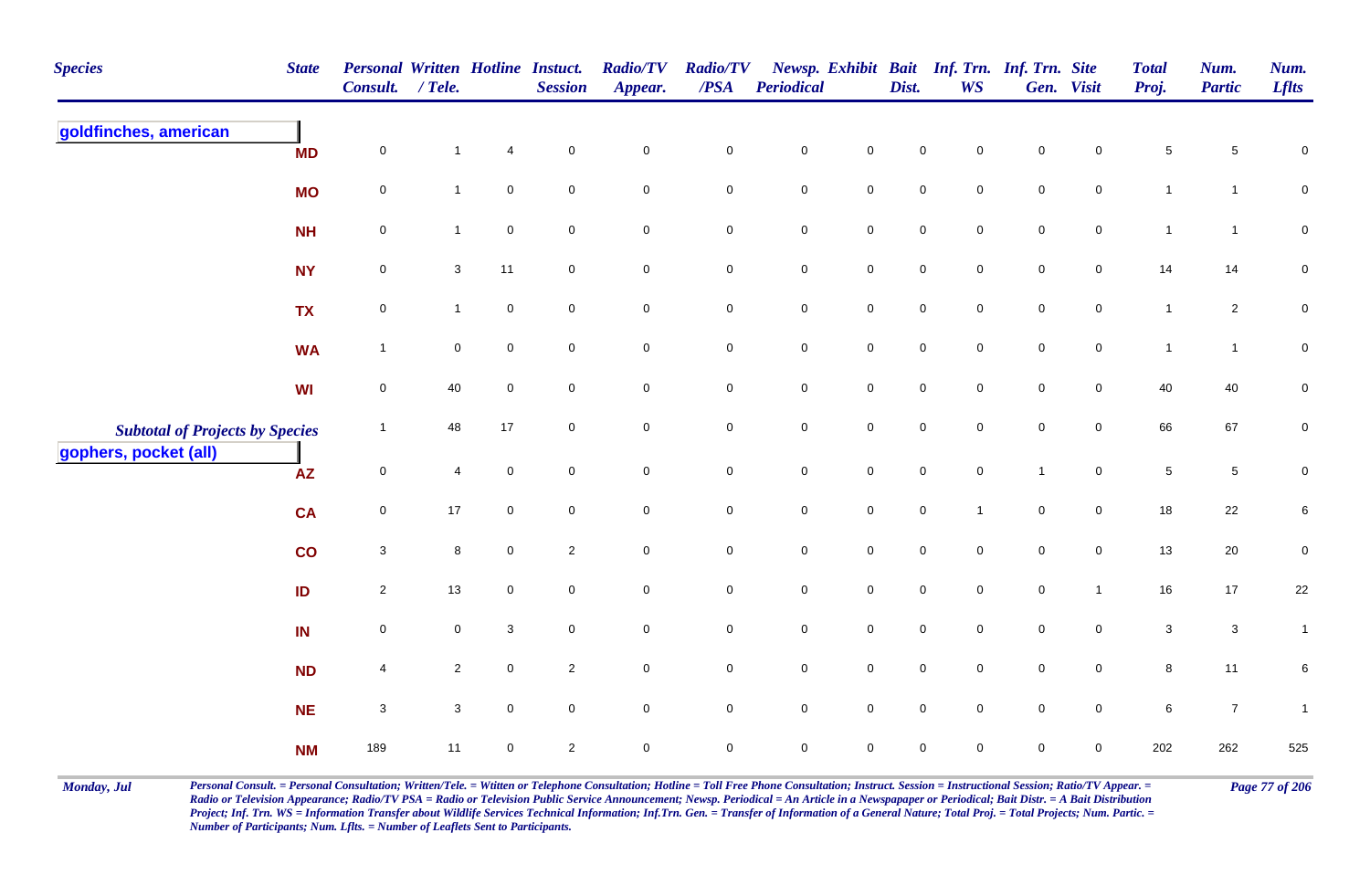| <b>Species</b>                         | <b>State</b> | Personal Written Hotline Instuct.<br><b>Consult.</b> | $/$ Tele.      |                  | <b>Session</b> | <b>Radio/TV</b><br>Appear. | <b>Radio/TV</b><br>$\overline{PSA}$ | Periodical          |                     | Dist.               | <b>WS</b>           | Newsp. Exhibit Bait Inf. Trn. Inf. Trn. Site | Gen. Visit          | <b>Total</b><br>Proj. | Num.<br><b>Partic</b> | Num.<br><b>Lflts</b> |
|----------------------------------------|--------------|------------------------------------------------------|----------------|------------------|----------------|----------------------------|-------------------------------------|---------------------|---------------------|---------------------|---------------------|----------------------------------------------|---------------------|-----------------------|-----------------------|----------------------|
| goldfinches, american                  | <b>MD</b>    | $\pmb{0}$                                            | $\mathbf{1}$   | $\overline{4}$   | $\mathbf 0$    | $\mathsf{O}\xspace$        | $\pmb{0}$                           | $\mathbf 0$         | $\mathbf 0$         | $\pmb{0}$           | 0                   | $\mathsf 0$                                  | 0                   | $\,$ 5 $\,$           | 5                     | $\pmb{0}$            |
|                                        | <b>MO</b>    | $\mathbf 0$                                          | $\mathbf{1}$   | $\mathbf 0$      | $\mathbf 0$    | $\mathbf 0$                | $\mathbf 0$                         | $\pmb{0}$           | $\mathbf 0$         | $\mathsf{O}\xspace$ | $\mathbf 0$         | $\mathsf 0$                                  | $\mathbf 0$         | $\mathbf{1}$          | $\mathbf{1}$          | $\mathbf 0$          |
|                                        | <b>NH</b>    | $\mathbf 0$                                          | $\mathbf{1}$   | $\boldsymbol{0}$ | $\mathbf 0$    | $\mathbf 0$                | $\mathbf 0$                         | $\pmb{0}$           | $\mathbf 0$         | $\mathsf{O}\xspace$ | $\mathbf 0$         | $\mathsf 0$                                  | $\overline{0}$      | $\mathbf{1}$          | $\overline{1}$        | $\mathbf 0$          |
|                                        | <b>NY</b>    | $\mathbf 0$                                          | 3              | 11               | $\mathbf 0$    | $\mathbf 0$                | $\mathbf 0$                         | $\pmb{0}$           | $\mathbf 0$         | $\mathsf{O}\xspace$ | $\mathbf 0$         | $\mathsf 0$                                  | $\overline{0}$      | 14                    | 14                    | $\pmb{0}$            |
|                                        | <b>TX</b>    | $\mathbf 0$                                          | $\mathbf{1}$   | $\pmb{0}$        | $\mathbf 0$    | $\mathsf{O}\xspace$        | $\mathbf 0$                         | $\mathbf 0$         | $\mathsf{O}\xspace$ | $\mathbf 0$         | $\mathbf 0$         | $\pmb{0}$                                    | $\mathsf{O}\xspace$ | $\mathbf{1}$          | $\overline{c}$        | $\pmb{0}$            |
|                                        | <b>WA</b>    | $\overline{1}$                                       | $\mathbf 0$    | $\overline{0}$   | $\mathbf 0$    | $\overline{0}$             | $\mathbf 0$                         | $\mathbf 0$         | $\mathbf 0$         | $\mathbf 0$         | $\mathbf 0$         | $\mathsf 0$                                  | $\mathsf{O}$        | $\mathbf{1}$          | $\mathbf{1}$          | $\mathbf 0$          |
|                                        | <b>WI</b>    | $\mathbf 0$                                          | 40             | $\mathsf 0$      | $\mathbf 0$    | $\mathsf{O}\xspace$        | $\overline{0}$                      | $\mathbf 0$         | $\overline{0}$      | $\mathbf 0$         | $\mathbf 0$         | $\pmb{0}$                                    | $\overline{0}$      | 40                    | 40                    | $\pmb{0}$            |
| <b>Subtotal of Projects by Species</b> |              | $\mathbf{1}$                                         | 48             | 17               | $\mathbf 0$    | $\mathsf{O}\xspace$        | $\mathbf 0$                         | $\mathbf 0$         | $\mathsf{O}\xspace$ | $\mathbf 0$         | $\mathsf{O}\xspace$ | $\pmb{0}$                                    | $\mathbf 0$         | 66                    | 67                    | $\pmb{0}$            |
| gophers, pocket (all)                  | <b>AZ</b>    | $\pmb{0}$                                            | $\overline{4}$ | $\mathsf 0$      | $\mathbf 0$    | $\mathsf{O}\xspace$        | $\mathbf 0$                         | $\pmb{0}$           | $\mathbf 0$         | $\mathbf 0$         | $\mathbf 0$         | $\mathbf{1}$                                 | $\mathbf 0$         | $\sqrt{5}$            | 5                     | $\pmb{0}$            |
|                                        | <b>CA</b>    | $\pmb{0}$                                            | $17$           | $\pmb{0}$        | $\mathbf 0$    | $\mathbf 0$                | $\pmb{0}$                           | $\pmb{0}$           | $\mathsf{O}\xspace$ | $\mathbf 0$         | $\overline{1}$      | $\pmb{0}$                                    | $\mathsf{O}\xspace$ | 18                    | 22                    | $\,6$                |
|                                        | co           | $\mathbf{3}$                                         | 8              | $\mathsf 0$      | $\overline{c}$ | $\overline{0}$             | $\mathbf 0$                         | $\pmb{0}$           | $\mathbf 0$         | $\mathsf{O}\xspace$ | $\mathbf 0$         | $\mathsf 0$                                  | $\overline{0}$      | 13                    | 20                    | $\pmb{0}$            |
|                                        | ID           | $\overline{2}$                                       | 13             | $\mathbf 0$      | $\mathbf 0$    | $\overline{0}$             | ${\bf 0}$                           | $\pmb{0}$           | $\mathbf 0$         | $\mathsf{O}\xspace$ | $\mathbf 0$         | $\mathsf 0$                                  | $\mathbf{1}$        | 16                    | 17                    | 22                   |
|                                        | IN           | $\pmb{0}$                                            | 0              | 3                | $\mathbf 0$    | $\mathbf 0$                | $\mathbf 0$                         | $\pmb{0}$           | $\mathbf 0$         | $\mathsf{O}\xspace$ | $\mathbf 0$         | $\mathsf 0$                                  | $\mathbf 0$         | $\mathbf{3}$          | $\mathbf{3}$          | $\mathbf{1}$         |
|                                        | <b>ND</b>    | $\overline{4}$                                       | $\overline{2}$ | $\mathbf 0$      | $\overline{2}$ | $\mathsf{O}\xspace$        | $\mathsf{O}\xspace$                 | $\mathbf 0$         | $\mathsf{O}\xspace$ | $\mathbf 0$         | $\mathbf 0$         | $\pmb{0}$                                    | $\mathsf{O}\xspace$ | $\bf8$                | 11                    | 6                    |
|                                        | <b>NE</b>    | 3                                                    | 3              | $\boldsymbol{0}$ | $\mathbf 0$    | $\mathsf{O}\xspace$        | $\overline{0}$                      | $\mathsf{O}\xspace$ | $\overline{0}$      | $\mathsf{O}\xspace$ | $\mathbf 0$         | $\mathsf 0$                                  | $\overline{0}$      | 6                     | $\overline{7}$        | $\mathbf{1}$         |
|                                        | <b>NM</b>    | 189                                                  | 11             | $\pmb{0}$        | $\overline{2}$ | $\mathsf{O}\xspace$        | $\mathsf{O}\xspace$                 | $\mathsf{O}\xspace$ | $\mathsf{O}\xspace$ | $\mathsf{O}\xspace$ | 0                   | $\mathsf 0$                                  | $\mathbf 0$         | 202                   | 262                   | 525                  |

Monday, Jul Personal Consult. = Personal Consultation; Written/Tele. = Witten or Telephone Consultation; Hotline = Toll Free Phone Consultation; Instruct. Session = Instructional Session; Ratio/TV Appear. = Page 77 of 206 *Radio or Television Appearance; Radio/TV PSA = Radio or Television Public Service Announcement; Newsp. Periodical = An Article in a Newspapaper or Periodical; Bait Distr. = A Bait Distribution*  Project; Inf. Trn. WS = Information Transfer about Wildlife Services Technical Information; Inf.Trn. Gen. = Transfer of Information of a General Nature; Total Proj. = Total Projects; Num. Partic. = *Number of Participants; Num. Lflts. = Number of Leaflets Sent to Participants.*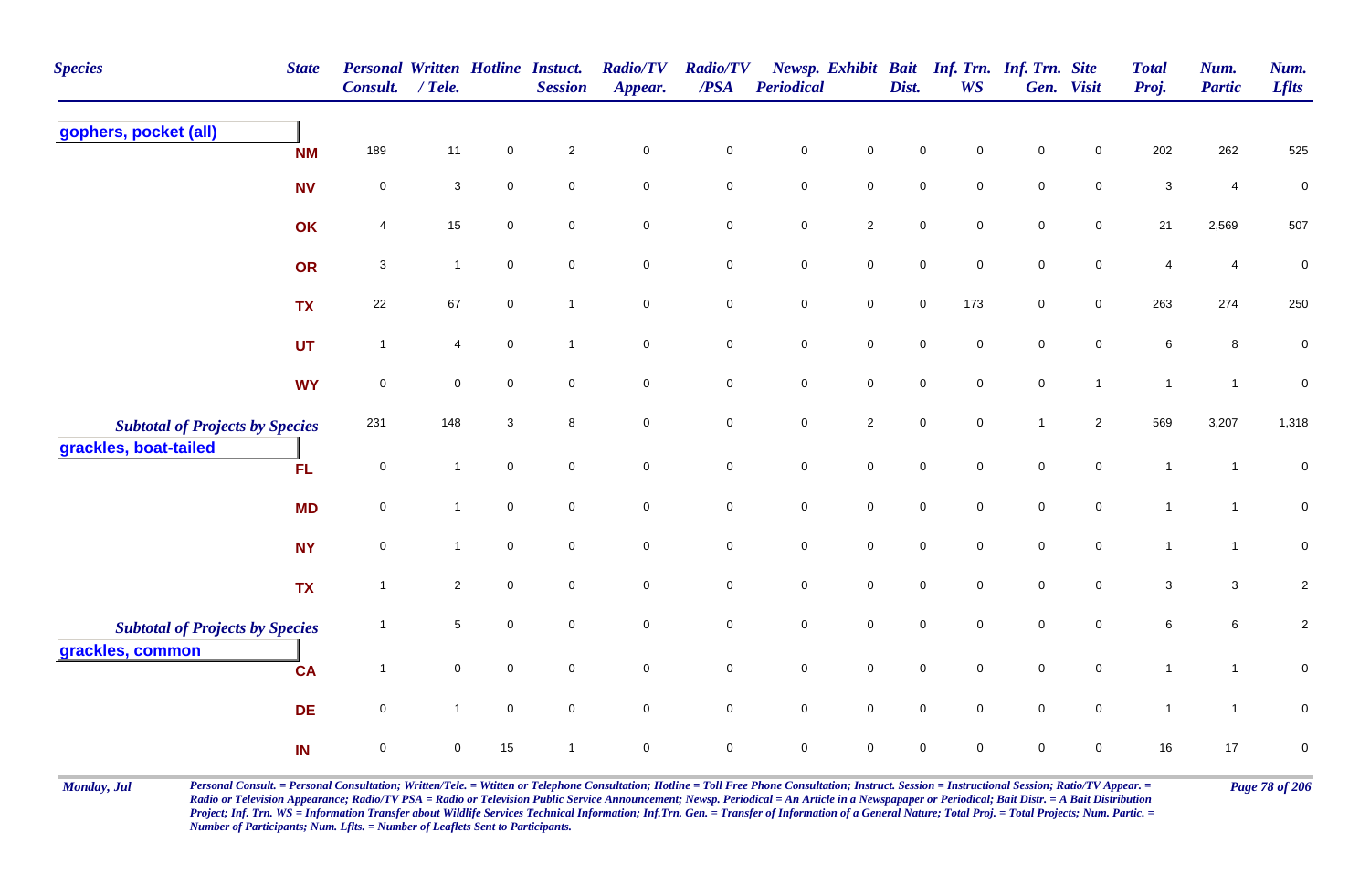| <b>Species</b>                         | <b>State</b> | <b>Personal Written Hotline Instuct.</b><br><b>Consult.</b> | $/$ Tele.                 |                     | <b>Session</b>      | <b>Radio/TV</b><br>Appear. | <b>Radio/TV</b><br>$\overline{PSA}$ | Periodical  |                     | Dist.       | Newsp. Exhibit Bait Inf. Trn. Inf. Trn. Site<br><b>WS</b> |                | Gen. Visit          | <b>Total</b><br>Proj. | Num.<br><b>Partic</b>   | Num.<br><b>Lflts</b> |
|----------------------------------------|--------------|-------------------------------------------------------------|---------------------------|---------------------|---------------------|----------------------------|-------------------------------------|-------------|---------------------|-------------|-----------------------------------------------------------|----------------|---------------------|-----------------------|-------------------------|----------------------|
| gophers, pocket (all)                  | <b>NM</b>    | 189                                                         | 11                        | $\mathsf{O}\xspace$ | $\sqrt{2}$          | $\pmb{0}$                  | $\pmb{0}$                           | $\pmb{0}$   | $\mathbf 0$         | $\mathbf 0$ | 0                                                         | $\mathbf 0$    | $\mathbf 0$         | 202                   | 262                     | 525                  |
|                                        | <b>NV</b>    | $\mathbf 0$                                                 | $\ensuremath{\mathsf{3}}$ | $\mathsf{O}\xspace$ | $\mathbf 0$         | $\mathsf{O}\xspace$        | $\mathsf{O}\xspace$                 | $\pmb{0}$   | $\mathsf{O}\xspace$ | $\mathbf 0$ | $\mathbf 0$                                               | $\pmb{0}$      | $\mathbf 0$         | $\mathbf{3}$          | $\overline{\mathbf{4}}$ | $\pmb{0}$            |
|                                        | OK           | $\overline{4}$                                              | $15\,$                    | $\mathbf 0$         | $\mathbf 0$         | $\mathbf 0$                | $\overline{0}$                      | $\mathsf 0$ | $\overline{2}$      | $\mathsf 0$ | $\mathbf 0$                                               | $\mathsf 0$    | $\mathbf 0$         | 21                    | 2,569                   | 507                  |
|                                        | OR           | $\sqrt{3}$                                                  | $\mathbf{1}$              | $\mathbf 0$         | $\mathsf{O}\xspace$ | $\mathbf 0$                | $\pmb{0}$                           | $\pmb{0}$   | $\mathbf 0$         | $\pmb{0}$   | $\mathbf 0$                                               | $\pmb{0}$      | $\pmb{0}$           | 4                     | $\overline{\mathbf{4}}$ | $\pmb{0}$            |
|                                        | <b>TX</b>    | 22                                                          | 67                        | $\overline{0}$      | $\overline{1}$      | $\mathbf 0$                | $\mathbf 0$                         | $\pmb{0}$   | $\mathsf 0$         | $\mathbf 0$ | 173                                                       | $\mathsf 0$    | $\overline{0}$      | 263                   | 274                     | 250                  |
|                                        | <b>UT</b>    | $\overline{1}$                                              | $\overline{4}$            | $\mathbf 0$         | $\mathbf{1}$        | $\mathbf 0$                | $\mathbf 0$                         | $\pmb{0}$   | $\mathsf{O}\xspace$ | $\mathsf 0$ | $\mathbf 0$                                               | $\mathsf 0$    | $\mathbf 0$         | $\,6\,$               | 8                       | $\boldsymbol{0}$     |
|                                        | <b>WY</b>    | $\mathbf 0$                                                 | $\mathbf 0$               | $\mathbf 0$         | $\mathbf 0$         | $\mathbf 0$                | $\mathbf 0$                         | $\pmb{0}$   | $\mathbf 0$         | $\mathsf 0$ | $\mathbf 0$                                               | $\mathsf 0$    | $\mathbf{1}$        | $\overline{1}$        | $\overline{1}$          | $\boldsymbol{0}$     |
| <b>Subtotal of Projects by Species</b> |              | 231                                                         | 148                       | 3                   | 8                   | $\mathbf 0$                | $\mathbf 0$                         | $\pmb{0}$   | $\sqrt{2}$          | $\pmb{0}$   | $\mathbf 0$                                               | $\overline{1}$ | $\overline{2}$      | 569                   | 3,207                   | 1,318                |
| grackles, boat-tailed                  | <b>FL</b>    | $\mathsf{O}\xspace$                                         | $\mathbf{1}$              | $\mathsf{O}\xspace$ | $\mathbf 0$         | $\mathbf 0$                | $\mathbf 0$                         | $\pmb{0}$   | $\mathsf{O}\xspace$ | $\pmb{0}$   | $\pmb{0}$                                                 | $\pmb{0}$      | $\mathbf 0$         | $\mathbf{1}$          | $\overline{1}$          | $\pmb{0}$            |
|                                        | <b>MD</b>    | $\mathsf 0$                                                 | $\mathbf{1}$              | $\mathbf 0$         | $\mathbf 0$         | $\mathbf 0$                | $\mathbf 0$                         | $\mathsf 0$ | $\mathbf 0$         | $\mathbf 0$ | $\mathbf 0$                                               | $\mathsf 0$    | $\mathbf 0$         | $\mathbf{1}$          | $\overline{1}$          | $\mathbf 0$          |
|                                        | <b>NY</b>    | $\mathbf 0$                                                 | $\mathbf{1}$              | $\mathbf 0$         | $\mathbf 0$         | $\mathbf 0$                | $\mathbf 0$                         | $\pmb{0}$   | $\mathbf 0$         | $\mathbf 0$ | $\Omega$                                                  | $\mathbf 0$    | $\mathbf 0$         | $\mathbf{1}$          | $\mathbf{1}$            | $\mathbf 0$          |
|                                        | <b>TX</b>    | $\overline{1}$                                              | $\overline{2}$            | $\mathsf{O}\xspace$ | $\mathbf 0$         | $\mathsf{O}\xspace$        | $\mathbf 0$                         | $\pmb{0}$   | $\mathbf 0$         | $\pmb{0}$   | $\mathbf 0$                                               | $\mathbf 0$    | $\mathbf 0$         | $\sqrt{3}$            | $\mathbf{3}$            | $\overline{c}$       |
| <b>Subtotal of Projects by Species</b> |              | $\overline{1}$                                              | $5\phantom{.0}$           | $\mathbf 0$         | $\mathbf 0$         | $\mathsf{O}\xspace$        | $\mathsf{O}\xspace$                 | $\pmb{0}$   | $\mathsf{O}\xspace$ | $\mathbf 0$ | $\mathbf 0$                                               | $\mathbf 0$    | $\mathbf 0$         | $\,6\,$               | 6                       | $\overline{2}$       |
| grackles, common                       | <b>CA</b>    | $\overline{1}$                                              | $\mathbf 0$               | $\mathbf 0$         | $\mathbf 0$         | $\mathbf 0$                | $\mathbf 0$                         | $\mathsf 0$ | $\mathbf 0$         | $\mathbf 0$ | $\mathbf 0$                                               | $\mathsf 0$    | $\mathbf 0$         | $\mathbf{1}$          | $\mathbf{1}$            | $\mathsf 0$          |
|                                        | <b>DE</b>    | $\mathsf{O}\xspace$                                         | $\mathbf{1}$              | $\mathsf{O}\xspace$ | $\mathbf 0$         | $\mathsf{O}\xspace$        | $\mathbf 0$                         | $\pmb{0}$   | $\mathbf 0$         | $\mathbf 0$ | $\mathbf 0$                                               | $\pmb{0}$      | $\mathsf{O}\xspace$ | $\mathbf{1}$          | $\mathbf{1}$            | $\pmb{0}$            |
|                                        | IN           | $\mathbf 0$                                                 | $\mathsf 0$               | 15                  | $\overline{1}$      | $\mathbf 0$                | $\mathbf 0$                         | $\mathsf 0$ | $\mathbf 0$         | $\mathbf 0$ | $\mathbf 0$                                               | $\mathbf 0$    | 0                   | 16                    | 17                      | $\pmb{0}$            |

Monday, Jul Personal Consult. = Personal Consultation; Written/Tele. = Witten or Telephone Consultation; Hotline = Toll Free Phone Consultation; Instruct. Session = Instructional Session; Ratio/TV Appear. = Page 78 of 206 *Radio or Television Appearance; Radio/TV PSA = Radio or Television Public Service Announcement; Newsp. Periodical = An Article in a Newspapaper or Periodical; Bait Distr. = A Bait Distribution*  Project; Inf. Trn. WS = Information Transfer about Wildlife Services Technical Information; Inf.Trn. Gen. = Transfer of Information of a General Nature; Total Proj. = Total Projects; Num. Partic. = *Number of Participants; Num. Lflts. = Number of Leaflets Sent to Participants.*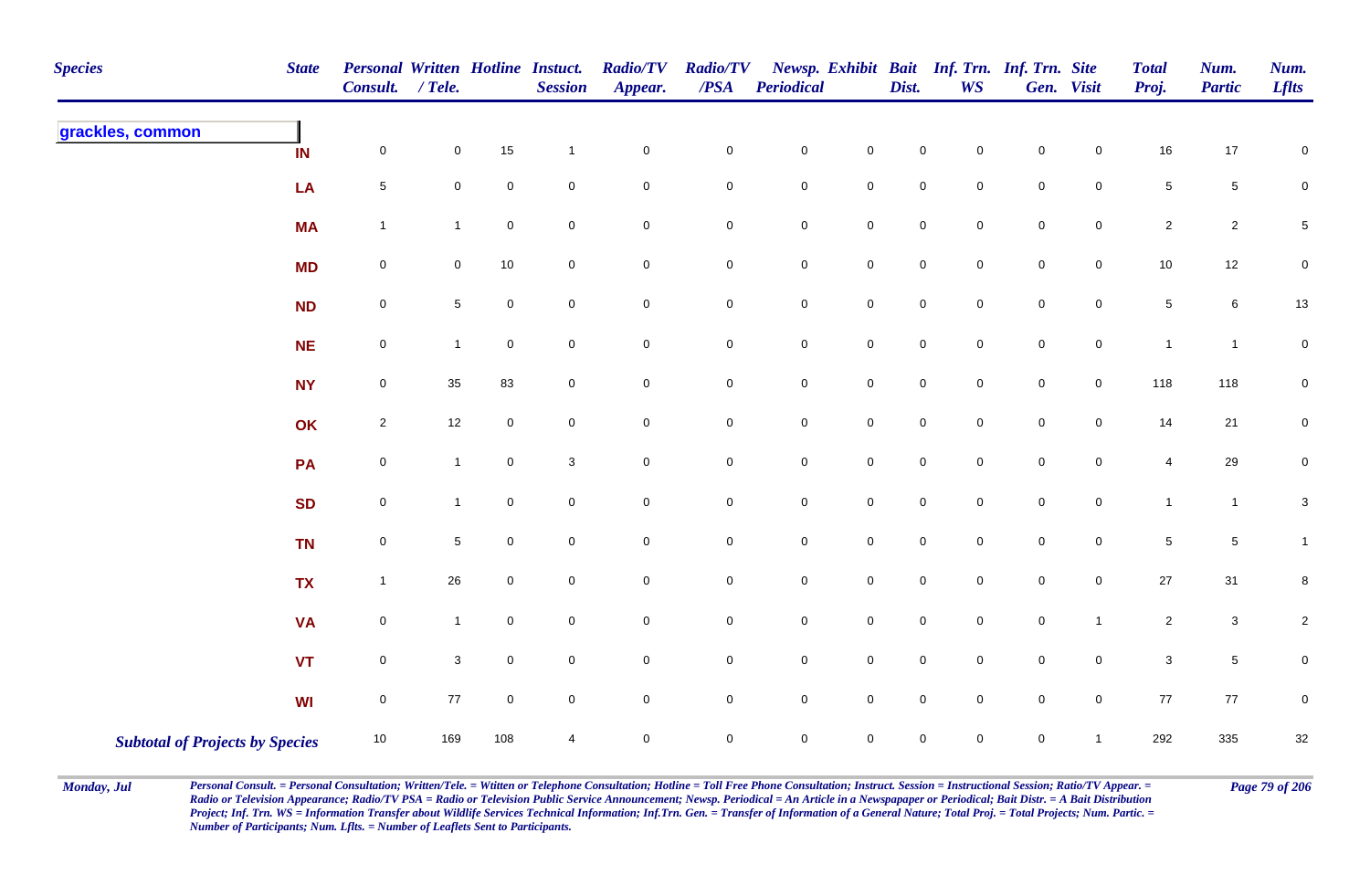| <b>Species</b>                         | <b>State</b> | Personal Written Hotline Instuct.<br><b>Consult.</b> | $/$ Tele.      |                     | <b>Session</b>      | <b>Radio/TV</b><br>Appear. | <b>Radio/TV</b><br>$\overline{PSA}$ | Periodical          |                     | Dist.               | <b>WS</b>           | Newsp. Exhibit Bait Inf. Trn. Inf. Trn. Site | Gen. Visit          | <b>Total</b><br>Proj. | Num.<br><b>Partic</b> | Num.<br><b>Lflts</b>      |
|----------------------------------------|--------------|------------------------------------------------------|----------------|---------------------|---------------------|----------------------------|-------------------------------------|---------------------|---------------------|---------------------|---------------------|----------------------------------------------|---------------------|-----------------------|-----------------------|---------------------------|
| grackles, common                       | IN           | $\pmb{0}$                                            | 0              | 15                  | $\overline{1}$      | $\mathbf 0$                | $\mathbf 0$                         | $\mathbf 0$         | $\mathbf 0$         | $\mathbf 0$         | $\mathbf 0$         | $\pmb{0}$                                    | 0                   | $16\,$                | 17                    | $\mathbf 0$               |
|                                        | LA           | $\,$ 5 $\,$                                          | 0              | $\mathsf 0$         | $\mathbf 0$         | $\mathbf 0$                | $\mathbf 0$                         | $\mathbf 0$         | $\mathbf 0$         | $\mathbf 0$         | $\mathbf 0$         | $\pmb{0}$                                    | $\mathbf 0$         | $\,$ 5 $\,$           | $\sqrt{5}$            | $\mathbf 0$               |
|                                        | <b>MA</b>    | $\mathbf{1}$                                         | $\mathbf{1}$   | $\mathsf{O}\xspace$ | $\overline{0}$      | $\mathbf 0$                | $\mathbf 0$                         | $\pmb{0}$           | $\pmb{0}$           | $\mathsf 0$         | $\mathsf{O}\xspace$ | $\mathbf 0$                                  | $\mathsf{O}\xspace$ | $\sqrt{2}$            | $\overline{c}$        | $\mathbf 5$               |
|                                        | <b>MD</b>    | $\mathsf{O}\xspace$                                  | 0              | $10$                | $\mathbf 0$         | $\mathbf 0$                | $\mathbf 0$                         | $\mathbf 0$         | $\mathbf 0$         | $\mathbf 0$         | $\overline{0}$      | $\mathsf{O}\xspace$                          | $\overline{0}$      | $10$                  | 12                    | $\mathbf 0$               |
|                                        | <b>ND</b>    | $\pmb{0}$                                            | 5              | $\mathbf 0$         | $\mathbf 0$         | $\mathbf 0$                | $\mathbf 0$                         | $\mathsf{O}\xspace$ | $\mathbf 0$         | $\mathsf{O}\xspace$ | $\mathbf 0$         | $\mathbf 0$                                  | $\overline{0}$      | $\sqrt{5}$            | 6                     | $13\,$                    |
|                                        | <b>NE</b>    | $\pmb{0}$                                            | $\overline{1}$ | $\mathbf 0$         | $\overline{0}$      | $\mathsf{O}$               | $\overline{0}$                      | $\mathbf 0$         | $\mathbf 0$         | $\mathbf 0$         | $\overline{0}$      | $\pmb{0}$                                    | $\overline{0}$      | $\mathbf{1}$          | $\mathbf{1}$          | $\pmb{0}$                 |
|                                        | <b>NY</b>    | $\mathsf{O}\xspace$                                  | $35\,$         | 83                  | $\overline{0}$      | $\mathsf 0$                | $\mathsf{O}\xspace$                 | $\pmb{0}$           | $\mathbf 0$         | $\mathsf 0$         | $\mathsf{O}\xspace$ | $\mathbf 0$                                  | $\overline{0}$      | 118                   | 118                   | $\pmb{0}$                 |
|                                        | OK           | $\overline{2}$                                       | 12             | $\mathbf 0$         | $\overline{0}$      | $\mathbf 0$                | $\mathbf 0$                         | $\mathbf 0$         | $\mathsf{O}\xspace$ | $\mathbf 0$         | $\overline{0}$      | $\pmb{0}$                                    | $\overline{0}$      | 14                    | 21                    | $\overline{0}$            |
|                                        | PA           | $\pmb{0}$                                            | $\mathbf{1}$   | $\mathbf 0$         | 3                   | $\mathbf 0$                | $\mathbf 0$                         | $\mathsf{O}\xspace$ | $\mathsf{O}\xspace$ | $\mathsf{O}\xspace$ | $\mathbf 0$         | $\mathbf 0$                                  | $\mathbf 0$         | $\overline{4}$        | 29                    | $\mathbf 0$               |
|                                        | <b>SD</b>    | $\pmb{0}$                                            | $\mathbf{1}$   | $\mathbf 0$         | $\mathbf 0$         | $\mathbf 0$                | $\mathbf 0$                         | $\mathbf 0$         | $\mathsf{O}\xspace$ | $\mathsf 0$         | $\overline{0}$      | $\mathbf 0$                                  | $\mathbf 0$         | $\mathbf{1}$          | $\mathbf{1}$          | $\ensuremath{\mathsf{3}}$ |
|                                        | <b>TN</b>    | $\pmb{0}$                                            | 5              | $\pmb{0}$           | $\mathsf{O}\xspace$ | $\mathsf{O}\xspace$        | $\mathsf{O}\xspace$                 | $\pmb{0}$           | $\mathbf 0$         | $\mathsf{O}\xspace$ | $\mathsf{O}\xspace$ | $\mathbf 0$                                  | $\mathsf{O}\xspace$ | $\sqrt{5}$            | $\sqrt{5}$            | $\mathbf{1}$              |
|                                        | <b>TX</b>    | $\mathbf{1}$                                         | 26             | $\mathbf 0$         | $\mathbf 0$         | $\mathbf 0$                | $\mathbf 0$                         | $\mathbf 0$         | $\mathbf 0$         | $\mathsf 0$         | $\overline{0}$      | $\mathsf{O}\xspace$                          | $\overline{0}$      | $27\,$                | 31                    | $\bf8$                    |
|                                        | <b>VA</b>    | $\mathsf{O}\xspace$                                  | $\mathbf{1}$   | $\mathbf 0$         | $\mathbf 0$         | $\mathbf 0$                | $\mathbf 0$                         | $\mathbf 0$         | ${\bf 0}$           | $\mathsf{O}\xspace$ | $\mathsf{O}\xspace$ | $\mathbf 0$                                  | $\mathbf{1}$        | $\overline{2}$        | $\mathbf{3}$          | $\overline{2}$            |
|                                        | <b>VT</b>    | $\pmb{0}$                                            | 3              | $\mathbf 0$         | $\overline{0}$      | $\overline{0}$             | $\mathbf 0$                         | $\mathbf 0$         | $\mathbf 0$         | $\mathbf 0$         | $\overline{0}$      | $\mathsf{O}\xspace$                          | $\overline{0}$      | $\mathbf{3}$          | $\sqrt{5}$            | $\mathbf 0$               |
|                                        | <b>WI</b>    | $\mathsf{O}\xspace$                                  | 77             | $\mathbf 0$         | $\overline{0}$      | $\mathbf 0$                | $\mathbf 0$                         | $\mathsf{O}\xspace$ | $\mathbf 0$         | $\mathsf 0$         | $\mathbf 0$         | $\mathbf 0$                                  | $\overline{0}$      | 77                    | 77                    | $\mathsf 0$               |
| <b>Subtotal of Projects by Species</b> |              | 10                                                   | 169            | 108                 | 4                   | $\pmb{0}$                  | $\mathbf 0$                         | $\mathbf 0$         | $\mathsf{O}\xspace$ | $\mathbf 0$         | $\mathbf 0$         | $\mathsf{O}\xspace$                          | $\mathbf{1}$        | 292                   | 335                   | $32\,$                    |

Monday, Jul Personal Consult. = Personal Consultation; Written/Tele. = Witten or Telephone Consultation; Hotline = Toll Free Phone Consultation; Instruct. Session = Instructional Session; Ratio/TV Appear. = Page 79 of 206 *Radio or Television Appearance; Radio/TV PSA = Radio or Television Public Service Announcement; Newsp. Periodical = An Article in a Newspapaper or Periodical; Bait Distr. = A Bait Distribution*  Project; Inf. Trn. WS = Information Transfer about Wildlife Services Technical Information; Inf.Trn. Gen. = Transfer of Information of a General Nature; Total Proj. = Total Projects; Num. Partic. = *Number of Participants; Num. Lflts. = Number of Leaflets Sent to Participants.*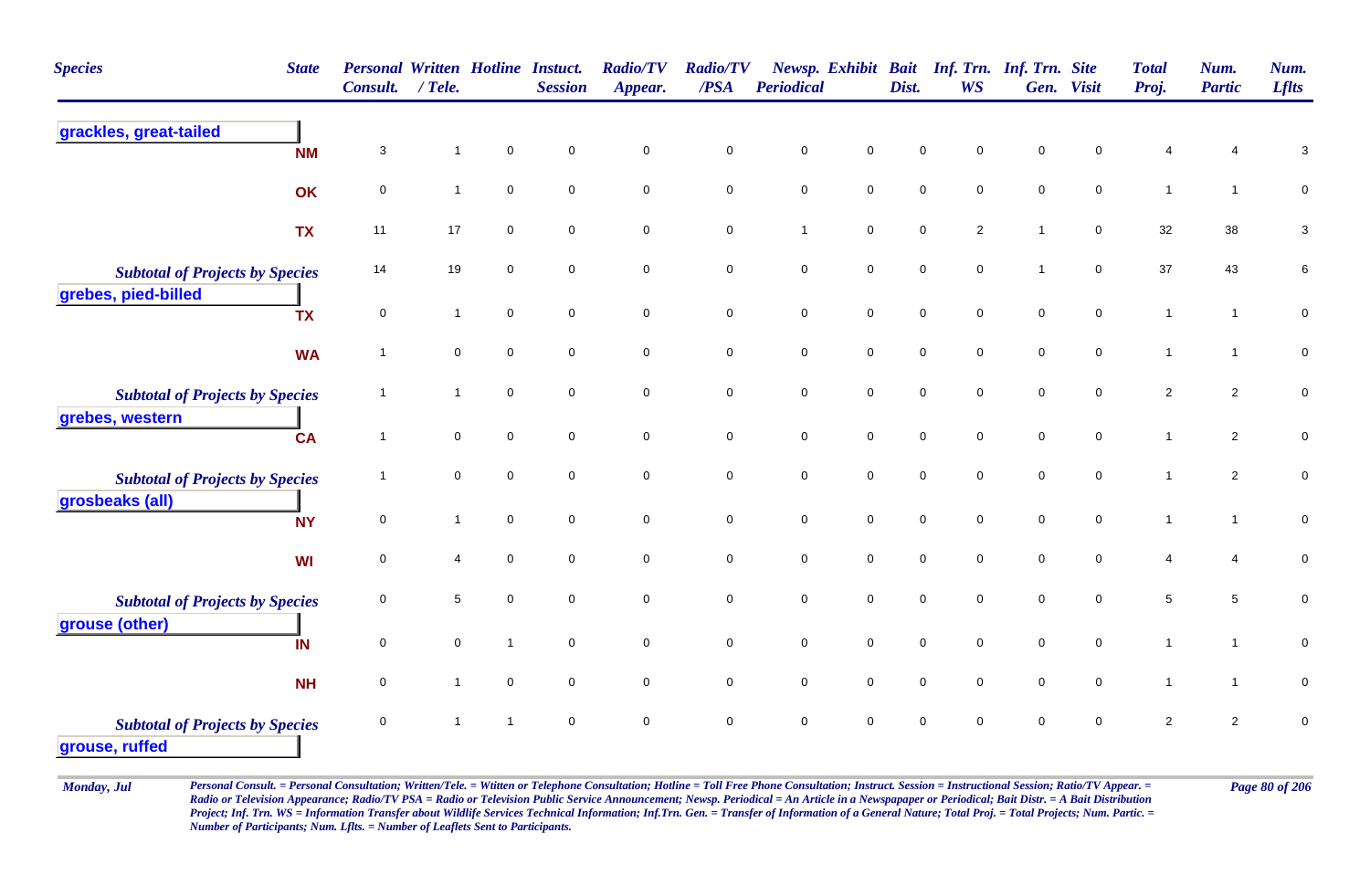| <b>Species</b>                                           | <b>State</b> | <b>Personal Written Hotline Instuct.</b><br>Consult. | $/$ Tele.    |                     | <b>Session</b>      | <b>Radio/TV</b><br>Appear. | <b>Radio/TV</b><br>/PSA | <b>Periodical</b> |                     | Dist.               | Newsp. Exhibit Bait Inf. Trn. Inf. Trn. Site<br><b>WS</b> |                     | Gen. Visit          | <b>Total</b><br>Proj. | Num.<br><b>Partic</b> | Num.<br><b>Lflts</b>      |
|----------------------------------------------------------|--------------|------------------------------------------------------|--------------|---------------------|---------------------|----------------------------|-------------------------|-------------------|---------------------|---------------------|-----------------------------------------------------------|---------------------|---------------------|-----------------------|-----------------------|---------------------------|
| grackles, great-tailed                                   | <b>NM</b>    | 3                                                    | $\mathbf{1}$ | $\pmb{0}$           | $\mathsf{O}\xspace$ | $\pmb{0}$                  | $\pmb{0}$               | $\pmb{0}$         | $\mathsf{O}\xspace$ | $\mathbf 0$         | $\mathsf 0$                                               | $\pmb{0}$           | $\mathsf 0$         | 4                     |                       | $\ensuremath{\mathsf{3}}$ |
|                                                          | OK           | $\pmb{0}$                                            | $\mathbf{1}$ | $\mathbf 0$         | $\mathsf{O}\xspace$ | $\mathbf 0$                | $\mathbf 0$             | $\pmb{0}$         | $\mathsf{O}\xspace$ | $\pmb{0}$           | $\pmb{0}$                                                 | $\pmb{0}$           | $\mathsf{O}\xspace$ | $\mathbf{1}$          | $\mathbf{1}$          | $\pmb{0}$                 |
|                                                          | <b>TX</b>    | 11                                                   | 17           | $\mathsf 0$         | $\mathsf{O}\xspace$ | $\mathbf 0$                | $\pmb{0}$               | $\mathbf{1}$      | $\mathbf 0$         | $\mathsf{O}\xspace$ | $\overline{2}$                                            | $\overline{1}$      | $\mathbf 0$         | 32                    | 38                    | 3                         |
| <b>Subtotal of Projects by Species</b>                   |              | 14                                                   | 19           | $\mathbf 0$         | $\mathbf 0$         | $\mathbf 0$                | $\pmb{0}$               | $\mathbf 0$       | $\mathbf 0$         | $\mathbf 0$         | $\mathbf 0$                                               | $\mathbf{1}$        | $\mathbf 0$         | $37\,$                | 43                    | 6                         |
| grebes, pied-billed                                      | <b>TX</b>    | $\mathsf 0$                                          | $\mathbf{1}$ | $\overline{0}$      | $\mathsf{O}\xspace$ | $\mathbf 0$                | $\mathbf 0$             | $\mathbf 0$       | $\mathbf 0$         | $\mathsf{O}\xspace$ | $\mathbf 0$                                               | $\mathsf{O}\xspace$ | $\mathsf{O}\xspace$ | $\mathbf{1}$          | $\mathbf{1}$          | $\pmb{0}$                 |
|                                                          | <b>WA</b>    | $\overline{1}$                                       | $\mathbf 0$  | $\mathbf 0$         | $\mathbf 0$         | $\mathbf 0$                | $\mathsf{O}\xspace$     | $\mathbf 0$       | $\mathsf{O}\xspace$ | $\mathsf 0$         | $\mathsf 0$                                               | $\mathsf 0$         | $\mathbf 0$         | $\mathbf{1}$          | $\mathbf{1}$          | ${\bf 0}$                 |
| <b>Subtotal of Projects by Species</b>                   |              | $\overline{1}$                                       | $\mathbf{1}$ | $\mathbf 0$         | $\mathbf 0$         | $\mathsf{O}\xspace$        | $\mathbf 0$             | $\pmb{0}$         | $\mathbf 0$         | $\pmb{0}$           | $\mathbf 0$                                               | $\mathsf{O}\xspace$ | $\mathbf 0$         | $\overline{2}$        | $\overline{2}$        | $\mathbf 0$               |
| grebes, western                                          | <b>CA</b>    | $\overline{1}$                                       | $\mathbf 0$  | $\mathbf 0$         | $\mathbf 0$         | $\mathbf 0$                | $\pmb{0}$               | $\mathbf 0$       | $\mathbf 0$         | $\mathsf{O}\xspace$ | $\mathbf 0$                                               | $\mathsf{O}\xspace$ | $\mathbf 0$         | $\mathbf{1}$          | $\overline{2}$        | $\pmb{0}$                 |
| <b>Subtotal of Projects by Species</b>                   |              | $\mathbf 1$                                          | $\mathbf 0$  | $\mathbf 0$         | $\mathbf 0$         | $\mathbf 0$                | $\mathbf 0$             | $\mathbf 0$       | $\mathbf 0$         | $\pmb{0}$           | $\mathsf 0$                                               | $\mathsf 0$         | $\mathbf 0$         | $\mathbf{1}$          | $\overline{2}$        | $\pmb{0}$                 |
| grosbeaks (all)                                          | <b>NY</b>    | $\mathbf 0$                                          | $\mathbf{1}$ | $\mathsf{O}\xspace$ | $\mathbf 0$         | $\mathbf 0$                | $\mathbf 0$             | $\mathbf 0$       | $\mathsf{O}$        | $\mathsf{O}\xspace$ | $\mathsf{O}\xspace$                                       | $\mathsf{O}\xspace$ | $\mathsf{O}\xspace$ | $\mathbf{1}$          | $\mathbf{1}$          | $\pmb{0}$                 |
|                                                          | <b>WI</b>    | $\mathsf 0$                                          | 4            | $\mathbf 0$         | $\mathsf{O}\xspace$ | $\mathsf{O}\xspace$        | $\mathsf{O}\xspace$     | $\mathbf 0$       | $\mathsf{O}\xspace$ | $\pmb{0}$           | $\mathbf 0$                                               | $\mathbf 0$         | $\mathbf 0$         | 4                     | $\overline{4}$        | $\pmb{0}$                 |
| <b>Subtotal of Projects by Species</b>                   |              | $\mathbf 0$                                          | 5            | $\mathbf 0$         | $\mathbf 0$         | $\mathbf 0$                | $\mathbf 0$             | $\mathbf 0$       | $\mathbf 0$         | $\mathbf{0}$        | $\mathbf 0$                                               | $\mathbf 0$         | $\mathbf 0$         | $\sqrt{5}$            | 5                     | $\pmb{0}$                 |
| grouse (other)                                           | IN           | $\mathsf 0$                                          | 0            | $\mathbf{1}$        | $\mathsf{O}\xspace$ | $\mathbf 0$                | $\mathsf{O}\xspace$     | $\pmb{0}$         | $\mathbf 0$         | $\pmb{0}$           | $\mathbf 0$                                               | $\mathsf 0$         | $\mathbf 0$         | $\mathbf{1}$          | $\mathbf{1}$          | $\pmb{0}$                 |
|                                                          | <b>NH</b>    | $\mathbf 0$                                          | $\mathbf{1}$ | $\mathsf 0$         | $\mathsf{O}\xspace$ | $\mathbf 0$                | $\mathbf 0$             | $\mathbf 0$       | $\mathsf{O}$        | $\mathbf 0$         | $\mathbf 0$                                               | $\mathbf 0$         | $\mathbf 0$         | $\mathbf{1}$          | $\mathbf{1}$          | $\mathbf 0$               |
| <b>Subtotal of Projects by Species</b><br>grouse, ruffed |              | $\mathsf 0$                                          | $\mathbf 1$  | $\mathbf{1}$        | $\mathbf 0$         | $\pmb{0}$                  | $\pmb{0}$               | $\mathbf 0$       | $\pmb{0}$           | $\mathbf 0$         | $\mathbf 0$                                               | $\mathbf 0$         | $\mathsf 0$         | $\overline{c}$        | $\overline{c}$        | 0                         |

Monday, Jul Personal Consult. = Personal Consultation; Written/Tele. = Witten or Telephone Consultation; Hotline = Toll Free Phone Consultation; Instruct. Session = Instructional Session; Ratio/TV Appear. = Page 80 of 206 *Radio or Television Appearance; Radio/TV PSA = Radio or Television Public Service Announcement; Newsp. Periodical = An Article in a Newspapaper or Periodical; Bait Distr. = A Bait Distribution*  Project; Inf. Trn. WS = Information Transfer about Wildlife Services Technical Information; Inf.Trn. Gen. = Transfer of Information of a General Nature; Total Proj. = Total Projects; Num. Partic. = *Number of Participants; Num. Lflts. = Number of Leaflets Sent to Participants.*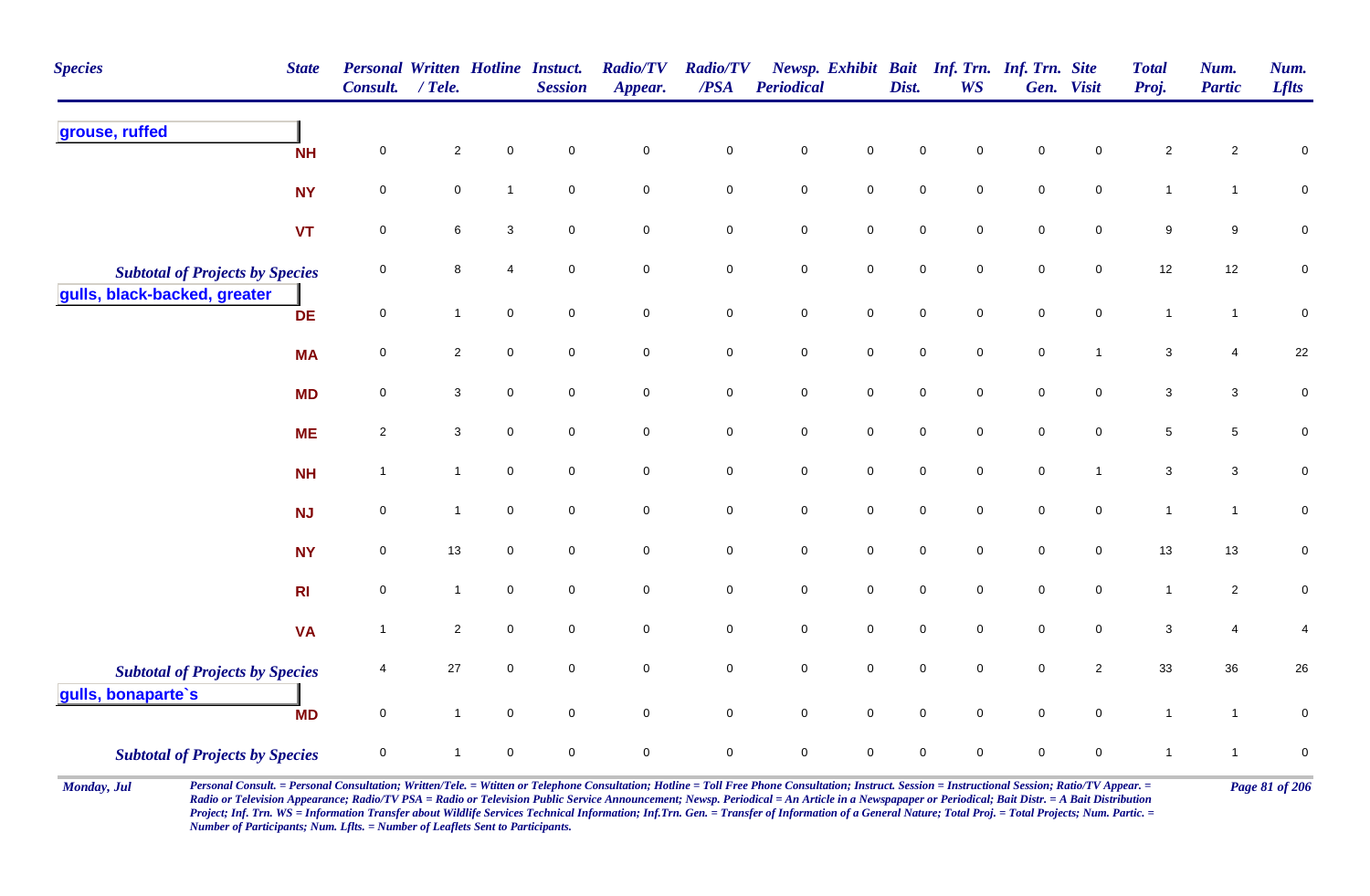| <b>Species</b>                                               | <b>State</b>   | <b>Personal Written Hotline Instuct.</b><br>Consult. | $/$ Tele.      |                     | <b>Session</b>      | <b>Radio/TV</b><br>Appear. | <b>Radio/TV</b><br>/PSA | <b>Periodical</b> |                     | Dist.       | Newsp. Exhibit Bait Inf. Trn. Inf. Trn. Site<br><b>WS</b> |             | Gen. Visit     | <b>Total</b><br>Proj.     | Num.<br><b>Partic</b> | Num.<br><b>Lflts</b> |
|--------------------------------------------------------------|----------------|------------------------------------------------------|----------------|---------------------|---------------------|----------------------------|-------------------------|-------------------|---------------------|-------------|-----------------------------------------------------------|-------------|----------------|---------------------------|-----------------------|----------------------|
| grouse, ruffed                                               | <b>NH</b>      | $\mathsf 0$                                          | $\overline{2}$ | $\pmb{0}$           | $\mathbf 0$         | $\mathsf{O}\xspace$        | $\pmb{0}$               | $\pmb{0}$         | $\pmb{0}$           | $\mathsf 0$ | $\mathbf 0$                                               | $\mathsf 0$ | $\pmb{0}$      | $\sqrt{2}$                | $\overline{2}$        | $\pmb{0}$            |
|                                                              | <b>NY</b>      | $\pmb{0}$                                            | $\mathbf 0$    | $\overline{1}$      | $\mathbf 0$         | $\pmb{0}$                  | $\pmb{0}$               | $\pmb{0}$         | $\mathbf 0$         | $\pmb{0}$   | $\mathbf 0$                                               | $\mathsf 0$ | $\pmb{0}$      | $\mathbf{1}$              | $\mathbf{1}$          | $\pmb{0}$            |
|                                                              | <b>VT</b>      | $\pmb{0}$                                            | 6              | $\mathbf{3}$        | $\mathbf 0$         | $\mathbf 0$                | $\mathbf 0$             | $\pmb{0}$         | $\mathbf 0$         | $\pmb{0}$   | $\mathbf 0$                                               | $\pmb{0}$   | $\mathbf 0$    | $\boldsymbol{9}$          | 9                     | $\pmb{0}$            |
| <b>Subtotal of Projects by Species</b>                       |                | $\mathbf 0$                                          | 8              | $\overline{4}$      | $\mathbf 0$         | $\mathbf 0$                | $\mathbf 0$             | $\pmb{0}$         | $\mathbf 0$         | $\mathsf 0$ | 0                                                         | $\mathbf 0$ | $\overline{0}$ | 12                        | 12                    | $\mathbf 0$          |
| gulls, black-backed, greater                                 | <b>DE</b>      | $\mathsf{O}\xspace$                                  | $\mathbf{1}$   | $\mathsf{O}\xspace$ | $\mathsf{O}\xspace$ | $\mathbf 0$                | $\mathsf{O}$            | $\pmb{0}$         | $\mathsf{O}$        | $\pmb{0}$   | $\mathbf 0$                                               | $\mathsf 0$ | $\mathbf 0$    | $\mathbf{1}$              | $\mathbf{1}$          | $\pmb{0}$            |
|                                                              | <b>MA</b>      | $\pmb{0}$                                            | $\overline{2}$ | $\mathbf 0$         | $\mathbf 0$         | $\mathbf 0$                | $\mathbf 0$             | $\pmb{0}$         | $\mathsf{O}$        | $\pmb{0}$   | $\mathbf 0$                                               | $\pmb{0}$   | $\mathbf{1}$   | $\mathbf 3$               | 4                     | $22\,$               |
|                                                              | <b>MD</b>      | $\mathsf 0$                                          | $\mathbf{3}$   | $\overline{0}$      | $\mathbf 0$         | $\mathsf{O}\xspace$        | $\mathbf 0$             | $\pmb{0}$         | $\mathsf{O}\xspace$ | $\mathbf 0$ | $\mathbf 0$                                               | $\mathbf 0$ | $\mathbf 0$    | $\mathbf{3}$              | $\mathbf{3}$          | $\pmb{0}$            |
|                                                              | <b>ME</b>      | $\sqrt{2}$                                           | 3              | $\mathsf{O}\xspace$ | $\mathbf 0$         | $\mathsf{O}\xspace$        | $\mathbf 0$             | $\pmb{0}$         | $\mathbf 0$         | $\pmb{0}$   | $\mathbf 0$                                               | $\pmb{0}$   | $\pmb{0}$      | $\,$ 5 $\,$               | 5                     | $\mathbf 0$          |
|                                                              | <b>NH</b>      | $\overline{1}$                                       | $\mathbf{1}$   | $\mathbf 0$         | $\mathbf 0$         | $\mathsf{O}\xspace$        | $\mathsf{O}\xspace$     | $\pmb{0}$         | $\mathsf{O}\xspace$ | $\pmb{0}$   | $\mathbf 0$                                               | $\pmb{0}$   | $\mathbf{1}$   | $\mathbf{3}$              | $\mathbf{3}$          | $\mathbf 0$          |
|                                                              | <b>NJ</b>      | $\pmb{0}$                                            | $\mathbf{1}$   | $\overline{0}$      | $\mathbf 0$         | $\mathbf 0$                | $\mathbf 0$             | $\pmb{0}$         | $\mathbf 0$         | $\mathbf 0$ | $\mathbf 0$                                               | $\mathsf 0$ | $\mathbf 0$    | $\mathbf{1}$              | $\mathbf{1}$          | $\mathsf{O}\xspace$  |
|                                                              | <b>NY</b>      | $\mathbf 0$                                          | $13$           | $\mathbf 0$         | $\mathbf 0$         | $\mathbf 0$                | $\mathbf 0$             | $\pmb{0}$         | $\mathbf 0$         | $\mathbf 0$ | $\mathbf 0$                                               | $\mathbf 0$ | $\mathbf 0$    | 13                        | 13                    | $\overline{0}$       |
|                                                              | R <sub>l</sub> | $\mathbf 0$                                          | $\mathbf{1}$   | $\overline{0}$      | $\mathbf 0$         | $\mathbf 0$                | $\mathbf 0$             | $\mathsf 0$       | $\mathbf 0$         | $\mathsf 0$ | $\mathbf 0$                                               | $\mathsf 0$ | $\overline{0}$ | $\mathbf{1}$              | $\overline{2}$        | $\mathbf 0$          |
|                                                              | <b>VA</b>      | $\overline{1}$                                       | $\overline{2}$ | $\mathbf 0$         | $\mathbf 0$         | $\mathbf 0$                | $\pmb{0}$               | $\pmb{0}$         | $\mathsf{O}\xspace$ | $\pmb{0}$   | $\mathbf 0$                                               | $\pmb{0}$   | $\pmb{0}$      | $\ensuremath{\mathsf{3}}$ | 4                     | $\overline{4}$       |
| <b>Subtotal of Projects by Species</b><br>gulls, bonaparte's |                | $\overline{4}$                                       | 27             | $\mathbf 0$         | $\mathsf{O}\xspace$ | $\mathbf 0$                | $\mathbf 0$             | $\pmb{0}$         | $\mathsf{O}\xspace$ | $\pmb{0}$   | $\mathbf 0$                                               | $\mathsf 0$ | $\overline{2}$ | 33                        | 36                    | $26\,$               |
|                                                              | <b>MD</b>      | $\mathsf{O}\xspace$                                  | $\mathbf{1}$   | $\mathbf 0$         | $\mathbf 0$         | $\mathbf 0$                | $\mathbf 0$             | $\pmb{0}$         | $\mathbf 0$         | $\mathbf 0$ | $\mathbf 0$                                               | $\mathbf 0$ | $\overline{0}$ | $\overline{1}$            | $\mathbf{1}$          | $\pmb{0}$            |
| <b>Subtotal of Projects by Species</b>                       |                | $\mathbf 0$                                          | $\mathbf{1}$   | $\mathbf 0$         | $\mathbf 0$         | $\mathsf{O}\xspace$        | $\mathsf{O}\xspace$     | $\pmb{0}$         | $\mathbf 0$         | $\mathbf 0$ | $\mathbf 0$                                               | $\mathbf 0$ | 0              | $\mathbf{1}$              | $\overline{1}$        | $\pmb{0}$            |

Monday, Jul Personal Consult. = Personal Consultation; Written/Tele. = Witten or Telephone Consultation; Hotline = Toll Free Phone Consultation; Instruct. Session = Instructional Session; Ratio/TV Appear. = Page 81 of 206 *Radio or Television Appearance; Radio/TV PSA = Radio or Television Public Service Announcement; Newsp. Periodical = An Article in a Newspapaper or Periodical; Bait Distr. = A Bait Distribution*  Project; Inf. Trn. WS = Information Transfer about Wildlife Services Technical Information; Inf.Trn. Gen. = Transfer of Information of a General Nature; Total Proj. = Total Projects; Num. Partic. = *Number of Participants; Num. Lflts. = Number of Leaflets Sent to Participants.*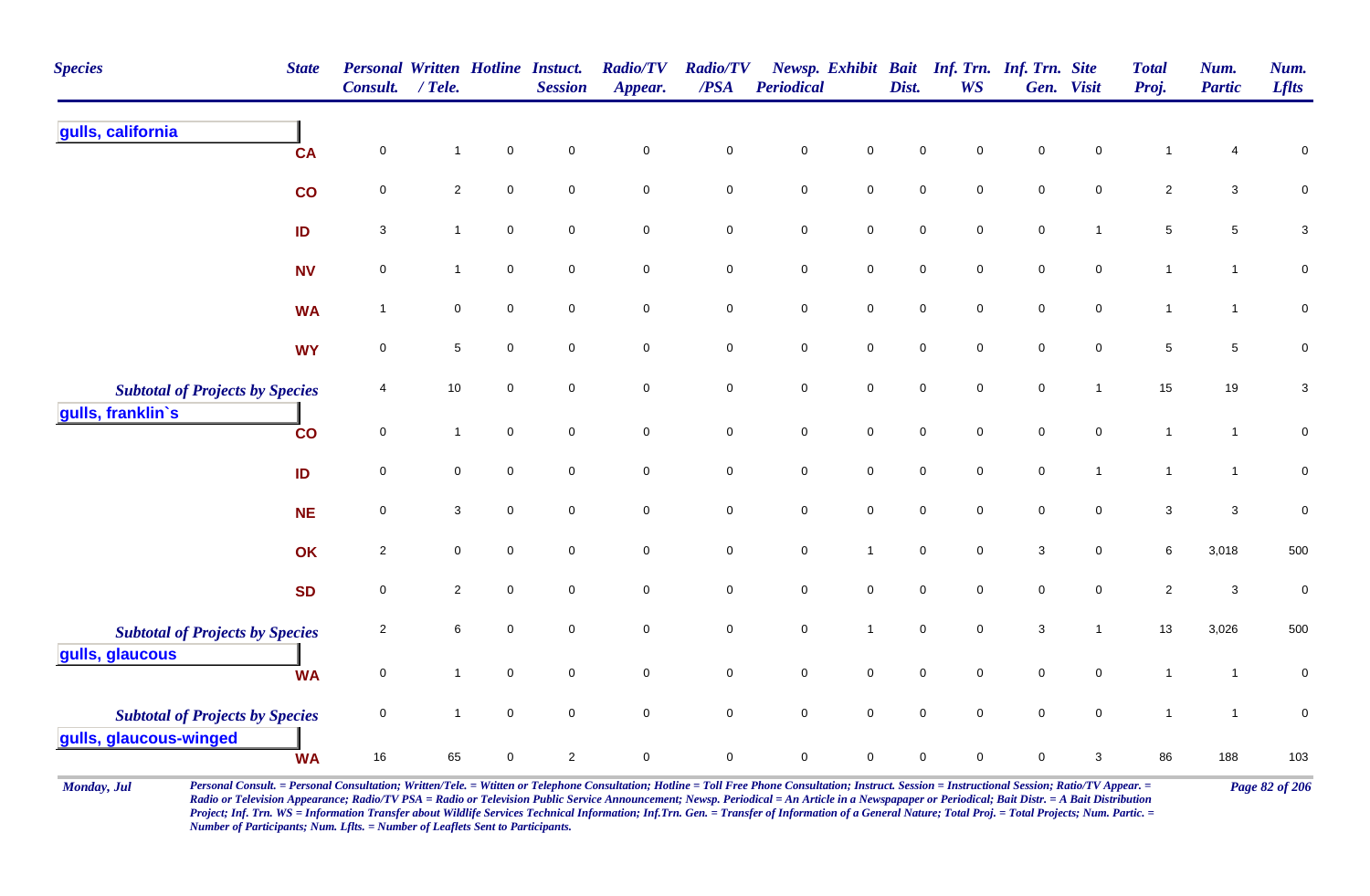| <b>Species</b>                         | <b>State</b> | <b>Personal Written Hotline Instuct.</b><br><b>Consult.</b> | $/$ Tele.      |             | <b>Session</b>      | <b>Radio/TV</b><br>Appear. | <b>Radio/TV</b><br>/PSA | <b>Periodical</b> |                     | Dist.       | Newsp. Exhibit Bait Inf. Trn. Inf. Trn. Site<br><b>WS</b> |              | Gen. Visit          | <b>Total</b><br>Proj. | Num.<br><b>Partic</b>     | Num.<br><b>Lflts</b> |
|----------------------------------------|--------------|-------------------------------------------------------------|----------------|-------------|---------------------|----------------------------|-------------------------|-------------------|---------------------|-------------|-----------------------------------------------------------|--------------|---------------------|-----------------------|---------------------------|----------------------|
| gulls, california                      | <b>CA</b>    | 0                                                           | 1              | $\mathsf 0$ | $\mathsf{O}\xspace$ | $\mathbf 0$                | $\pmb{0}$               | $\mathbf 0$       | $\mathbf 0$         | $\mathbf 0$ | 0                                                         | $\pmb{0}$    | 0                   | 1                     | 4                         | 0                    |
|                                        | co           | $\pmb{0}$                                                   | $\overline{a}$ | $\pmb{0}$   | $\mathbf 0$         | $\mathbf 0$                | $\pmb{0}$               | $\pmb{0}$         | $\mathbf 0$         | $\pmb{0}$   | 0                                                         | $\pmb{0}$    | $\pmb{0}$           | $\overline{2}$        | $\ensuremath{\mathsf{3}}$ | $\mathbf 0$          |
|                                        | ID           | $\sqrt{3}$                                                  | $\mathbf{1}$   | $\mathbf 0$ | $\mathbf 0$         | $\pmb{0}$                  | $\mathbf 0$             | $\pmb{0}$         | $\mathbf 0$         | $\pmb{0}$   | 0                                                         | $\pmb{0}$    | $\overline{1}$      | $\sqrt{5}$            | $\,$ 5 $\,$               | $\mathbf{3}$         |
|                                        | <b>NV</b>    | $\pmb{0}$                                                   | $\mathbf{1}$   | $\mathsf 0$ | $\mathbf 0$         | $\mathbf 0$                | $\mathbf 0$             | $\pmb{0}$         | ${\bf 0}$           | $\,0\,$     | 0                                                         | $\pmb{0}$    | $\pmb{0}$           | $\mathbf{1}$          | $\mathbf{1}$              | $\mathbf 0$          |
|                                        | <b>WA</b>    | $\mathbf{1}$                                                | $\mathbf 0$    | $\mathsf 0$ | $\mathbf 0$         | $\mathbf 0$                | $\mathbf 0$             | $\pmb{0}$         | $\mathbf 0$         | $\mathsf 0$ | 0                                                         | $\pmb{0}$    | $\pmb{0}$           | $\mathbf{1}$          | $\mathbf{1}$              | $\mathbf 0$          |
|                                        | <b>WY</b>    | $\mathbf 0$                                                 | $\,$ 5 $\,$    | $\mathsf 0$ | $\mathbf 0$         | $\mathbf 0$                | $\mathbf 0$             | $\pmb{0}$         | $\mathbf 0$         | $\mathsf 0$ | 0                                                         | $\mathbf 0$  | $\pmb{0}$           | $\sqrt{5}$            | $\,$ 5 $\,$               | 0                    |
| <b>Subtotal of Projects by Species</b> |              | 4                                                           | $10\,$         | $\mathsf 0$ | $\mathbf 0$         | $\mathbf 0$                | $\mathbf 0$             | $\pmb{0}$         | $\mathsf{O}\xspace$ | $\mathsf 0$ | 0                                                         | $\pmb{0}$    | $\mathbf{1}$        | 15                    | 19                        | 3                    |
| gulls, franklin's                      | co           | $\mathbf 0$                                                 | $\mathbf{1}$   | $\mathbf 0$ | $\mathbf 0$         | $\mathsf{O}\xspace$        | $\mathbf 0$             | $\pmb{0}$         | $\pmb{0}$           | $\pmb{0}$   | 0                                                         | $\pmb{0}$    | $\mathsf{O}\xspace$ | $\mathbf{1}$          | $\mathbf{1}$              | $\mathsf{O}\xspace$  |
|                                        | ID           | $\mathbf 0$                                                 | $\mathbf 0$    | $\mathbf 0$ | $\mathbf 0$         | $\mathsf{O}\xspace$        | $\mathbf 0$             | $\pmb{0}$         | $\mathsf{O}\xspace$ | $\pmb{0}$   | $\mathsf{O}$                                              | $\pmb{0}$    | $\overline{1}$      | $\mathbf{1}$          | $\mathbf{1}$              | $\mathbf 0$          |
|                                        | <b>NE</b>    | $\pmb{0}$                                                   | 3              | $\mathsf 0$ | $\mathbf 0$         | $\mathbf 0$                | $\mathbf 0$             | $\mathsf 0$       | 0                   | $\mathbf 0$ | 0                                                         | $\pmb{0}$    | 0                   | $\sqrt{3}$            | $\ensuremath{\mathsf{3}}$ | $\pmb{0}$            |
|                                        | OK           | $\sqrt{2}$                                                  | $\mathbf 0$    | $\mathsf 0$ | $\mathbf 0$         | $\mathbf 0$                | $\mathbf 0$             | $\mathsf 0$       | $\mathbf{1}$        | $\mathbf 0$ | 0                                                         | $\sqrt{3}$   | 0                   | 6                     | 3,018                     | 500                  |
|                                        | <b>SD</b>    | $\mathbf 0$                                                 | $\sqrt{2}$     | $\mathbf 0$ | $\mathbf 0$         | 0                          | $\mathsf{O}\xspace$     | $\mathsf 0$       | 0                   | $\mathsf 0$ | 0                                                         | $\pmb{0}$    | $\pmb{0}$           | $\sqrt{2}$            | $\ensuremath{\mathsf{3}}$ | $\pmb{0}$            |
| <b>Subtotal of Projects by Species</b> |              | $\overline{2}$                                              | $\,6\,$        | $\mathsf 0$ | $\mathbf 0$         | $\mathbf 0$                | $\mathbf 0$             | $\pmb{0}$         | $\mathbf{1}$        | $\mathsf 0$ | 0                                                         | $\mathbf{3}$ | $\overline{1}$      | 13                    | 3,026                     | 500                  |
| gulls, glaucous                        | <b>WA</b>    | $\mathbf 0$                                                 | $\mathbf{1}$   | $\pmb{0}$   | $\mathbf 0$         | $\mathsf{O}\xspace$        | $\mathbf 0$             | $\pmb{0}$         | $\mathbf 0$         | $\mathbf 0$ | 0                                                         | $\mathbf 0$  | 0                   | $\mathbf{1}$          | $\mathbf{1}$              | 0                    |
| <b>Subtotal of Projects by Species</b> |              | $\mathbf 0$                                                 | $\mathbf{1}$   | $\mathbf 0$ | $\mathsf{O}\xspace$ | $\mathsf{O}\xspace$        | $\mathsf{O}\xspace$     | $\pmb{0}$         | $\mathsf{O}\xspace$ | $\pmb{0}$   | $\mathbf 0$                                               | $\pmb{0}$    | $\mathsf{O}\xspace$ | $\mathbf{1}$          | $\mathbf{1}$              | $\pmb{0}$            |
| gulls, glaucous-winged                 | <b>WA</b>    | $16$                                                        | 65             | $\mathsf 0$ | $\sqrt{2}$          | $\mathbf 0$                | $\mathbf 0$             | $\pmb{0}$         | 0                   | $\mathsf 0$ | 0                                                         | $\pmb{0}$    | $\mathbf{3}$        | 86                    | 188                       | 103                  |

Monday, Jul Personal Consult. = Personal Consultation; Written/Tele. = Witten or Telephone Consultation; Hotline = Toll Free Phone Consultation; Instruct. Session = Instructional Session; Ratio/TV Appear. = Page 82 of 206 *Radio or Television Appearance; Radio/TV PSA = Radio or Television Public Service Announcement; Newsp. Periodical = An Article in a Newspapaper or Periodical; Bait Distr. = A Bait Distribution*  Project; Inf. Trn. WS = Information Transfer about Wildlife Services Technical Information; Inf.Trn. Gen. = Transfer of Information of a General Nature; Total Proj. = Total Projects; Num. Partic. = *Number of Participants; Num. Lflts. = Number of Leaflets Sent to Participants.*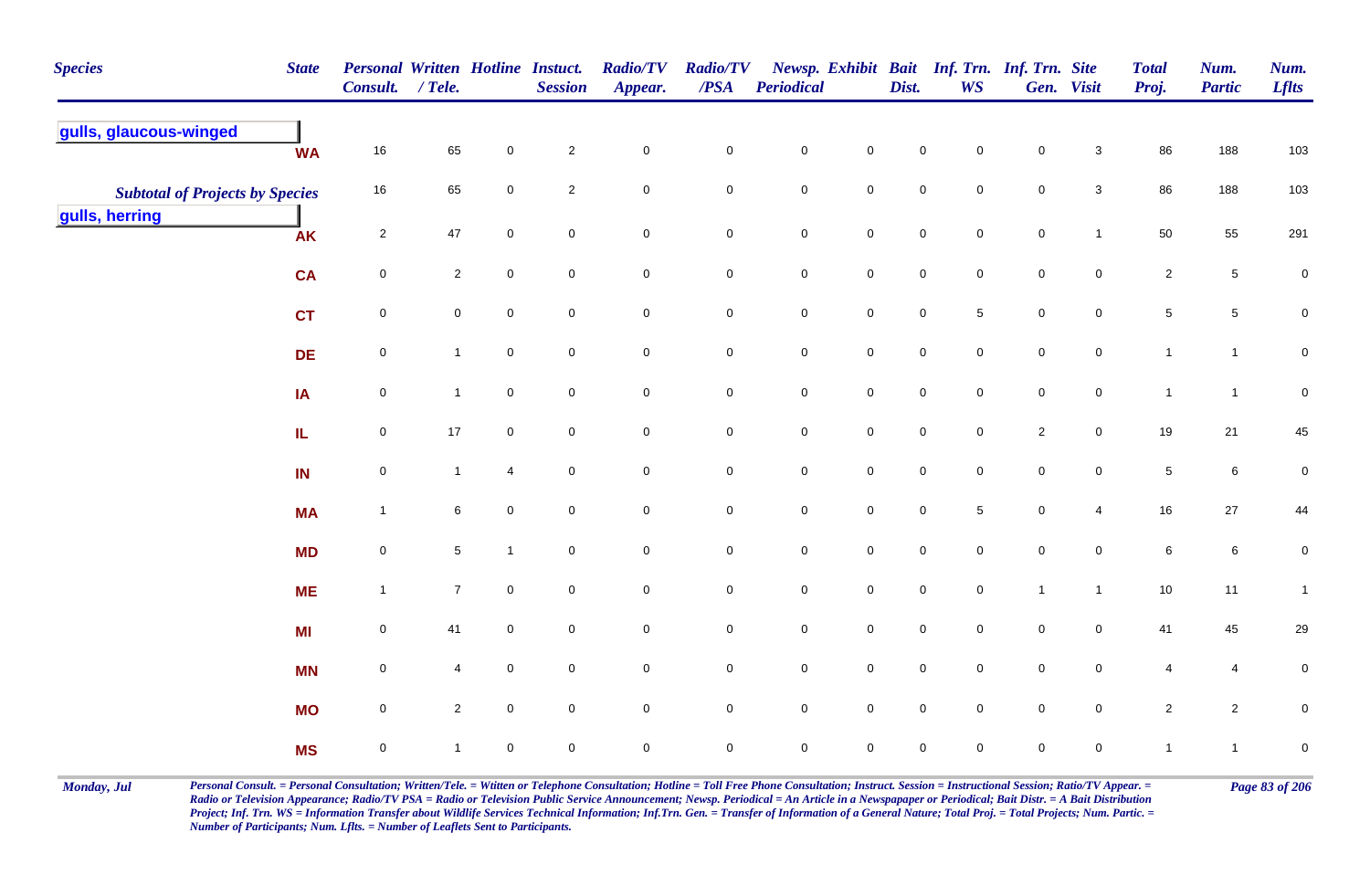| <b>Species</b>                         | <b>State</b> | Personal Written Hotline Instuct.<br>Consult. / Tele. |                     |                     | <b>Session</b>      | <b>Radio/TV</b><br>Appear. | <b>Radio/TV</b><br>/PSA | Periodical  |                     | Dist.       | Newsp. Exhibit Bait Inf. Trn. Inf. Trn. Site<br><b>WS</b> |                | Gen. Visit          | <b>Total</b><br>Proj. | Num.<br><b>Partic</b> | Num.<br><b>Lflts</b> |
|----------------------------------------|--------------|-------------------------------------------------------|---------------------|---------------------|---------------------|----------------------------|-------------------------|-------------|---------------------|-------------|-----------------------------------------------------------|----------------|---------------------|-----------------------|-----------------------|----------------------|
| gulls, glaucous-winged                 | <b>WA</b>    | 16                                                    | 65                  | $\mathbf 0$         | $\mathbf{2}$        | $\mathbf 0$                | $\mathbf 0$             | $\pmb{0}$   | $\mathbf 0$         | $\pmb{0}$   | 0                                                         | $\pmb{0}$      | $\mathbf{3}$        | 86                    | 188                   | 103                  |
| <b>Subtotal of Projects by Species</b> |              | $16\,$                                                | 65                  | $\mathbf 0$         | $\mathbf{2}$        | $\mathbf 0$                | $\mathbf 0$             | $\mathbf 0$ | $\mathbf 0$         | $\mathbf 0$ | $\mathbf 0$                                               | $\mathbf 0$    | $\mathbf{3}$        | 86                    | 188                   | 103                  |
| gulls, herring                         | <b>AK</b>    | $\overline{2}$                                        | 47                  | $\mathbf 0$         | $\mathbf 0$         | $\mathbf 0$                | $\mathsf{O}$            | $\pmb{0}$   | $\mathbf 0$         | $\pmb{0}$   | $\mathbf 0$                                               | $\pmb{0}$      | $\mathbf{1}$        | 50                    | 55                    | 291                  |
|                                        | <b>CA</b>    | $\mathbf 0$                                           | $\overline{2}$      | $\mathbf 0$         | $\mathbf 0$         | $\mathbf 0$                | $\mathbf 0$             | $\pmb{0}$   | $\mathbf 0$         | $\pmb{0}$   | $\pmb{0}$                                                 | $\pmb{0}$      | $\mathbf 0$         | $\overline{2}$        | $\,$ 5 $\,$           | $\pmb{0}$            |
|                                        | <b>CT</b>    | $\mathbf 0$                                           | $\mathsf{O}\xspace$ | $\mathsf{O}\xspace$ | $\mathsf{O}\xspace$ | $\mathsf{O}\xspace$        | $\mathbf 0$             | $\pmb{0}$   | $\pmb{0}$           | $\pmb{0}$   | $5\phantom{.0}$                                           | $\pmb{0}$      | $\pmb{0}$           | $\overline{5}$        | $\sqrt{5}$            | $\mathbf 0$          |
|                                        | <b>DE</b>    | $\mathbf 0$                                           | $\mathbf{1}$        | $\mathsf{O}\xspace$ | $\mathbf 0$         | $\mathsf{O}\xspace$        | $\mathbf 0$             | $\pmb{0}$   | $\mathbf 0$         | $\mathbf 0$ | $\pmb{0}$                                                 | $\pmb{0}$      | $\pmb{0}$           | $\mathbf{1}$          | $\mathbf{1}$          | $\mathbf 0$          |
|                                        | IA           | $\mathbf 0$                                           | $\mathbf{1}$        | $\mathbf 0$         | $\mathbf 0$         | $\mathbf 0$                | $\mathbf 0$             | $\pmb{0}$   | $\mathbf 0$         | $\pmb{0}$   | $\mathbf 0$                                               | $\,0\,$        | $\mathbf 0$         | $\overline{1}$        | $\mathbf{1}$          | $\mathbf 0$          |
|                                        | IL.          | $\mathbf 0$                                           | $17\,$              | $\mathsf{O}\xspace$ | $\mathsf{O}\xspace$ | $\pmb{0}$                  | $\mathbf 0$             | $\pmb{0}$   | $\mathsf{O}\xspace$ | $\pmb{0}$   | $\pmb{0}$                                                 | $\sqrt{2}$     | $\pmb{0}$           | 19                    | $21$                  | 45                   |
|                                        | IN           | $\mathbf 0$                                           | $\mathbf{1}$        | $\overline{4}$      | $\mathsf{O}\xspace$ | $\pmb{0}$                  | $\mathbf 0$             | $\pmb{0}$   | $\pmb{0}$           | $\pmb{0}$   | $\pmb{0}$                                                 | $\,0\,$        | $\pmb{0}$           | $\sqrt{5}$            | $\,6\,$               | $\pmb{0}$            |
|                                        | <b>MA</b>    | $\overline{1}$                                        | $\,6\,$             | $\mathbf 0$         | $\mathbf 0$         | $\mathbf 0$                | $\mathbf 0$             | $\pmb{0}$   | $\mathbf 0$         | $\pmb{0}$   | $\sqrt{5}$                                                | $\pmb{0}$      | 4                   | 16                    | $27\,$                | 44                   |
|                                        | <b>MD</b>    | $\mathbf 0$                                           | $\sqrt{5}$          | $\mathbf{1}$        | $\mathbf 0$         | $\mathbf 0$                | $\mathbf 0$             | $\pmb{0}$   | $\mathbf 0$         | $\pmb{0}$   | $\mathbf 0$                                               | $\pmb{0}$      | $\mathbf 0$         | $\,6\,$               | $\,6\,$               | 0                    |
|                                        | <b>ME</b>    | $\overline{1}$                                        | $\overline{7}$      | $\mathsf{O}\xspace$ | $\mathbf 0$         | $\mathsf{O}\xspace$        | $\mathbf 0$             | $\pmb{0}$   | $\mathbf 0$         | $\pmb{0}$   | $\mathsf{O}\xspace$                                       | $\overline{1}$ | $\mathbf{1}$        | 10                    | 11                    | $\mathbf{1}$         |
|                                        | MI           | $\mathbf 0$                                           | 41                  | $\mathsf{O}\xspace$ | $\mathbf 0$         | $\pmb{0}$                  | $\mathbf 0$             | $\mathbf 0$ | $\mathbf 0$         | $\mathbf 0$ | $\mathbf 0$                                               | $\mathbf 0$    | $\mathsf{O}\xspace$ | 41                    | 45                    | 29                   |
|                                        | <b>MN</b>    | $\mathbf 0$                                           | 4                   | $\mathsf{O}\xspace$ | $\mathsf{O}\xspace$ | $\pmb{0}$                  | $\mathbf 0$             | $\pmb{0}$   | $\mathsf 0$         | $\pmb{0}$   | $\pmb{0}$                                                 | $\mathbf 0$    | $\pmb{0}$           | $\overline{4}$        | 4                     | 0                    |
|                                        | <b>MO</b>    | $\mathbf 0$                                           | $\overline{2}$      | $\mathsf{O}\xspace$ | $\mathbf 0$         | $\mathbf 0$                | $\mathsf{O}$            | $\pmb{0}$   | $\mathsf 0$         | $\mathbf 0$ | $\pmb{0}$                                                 | $\,0\,$        | $\pmb{0}$           | $\overline{2}$        | $\overline{c}$        | 0                    |
|                                        | <b>MS</b>    | $\mathbf 0$                                           | $\mathbf{1}$        | $\mathbf 0$         | $\mathbf 0$         | $\mathbf 0$                | $\mathbf 0$             | $\pmb{0}$   | $\mathbf 0$         | $\pmb{0}$   | $\mathbf 0$                                               | $\pmb{0}$      | $\mathbf 0$         | $\overline{1}$        | $\mathbf{1}$          | 0                    |

Monday, Jul Personal Consult. = Personal Consultation; Written/Tele. = Witten or Telephone Consultation; Hotline = Toll Free Phone Consultation; Instruct. Session = Instructional Session; Ratio/TV Appear. = Page 83 of 206 *Radio or Television Appearance; Radio/TV PSA = Radio or Television Public Service Announcement; Newsp. Periodical = An Article in a Newspapaper or Periodical; Bait Distr. = A Bait Distribution*  Project; Inf. Trn. WS = Information Transfer about Wildlife Services Technical Information; Inf.Trn. Gen. = Transfer of Information of a General Nature; Total Proj. = Total Projects; Num. Partic. = *Number of Participants; Num. Lflts. = Number of Leaflets Sent to Participants.*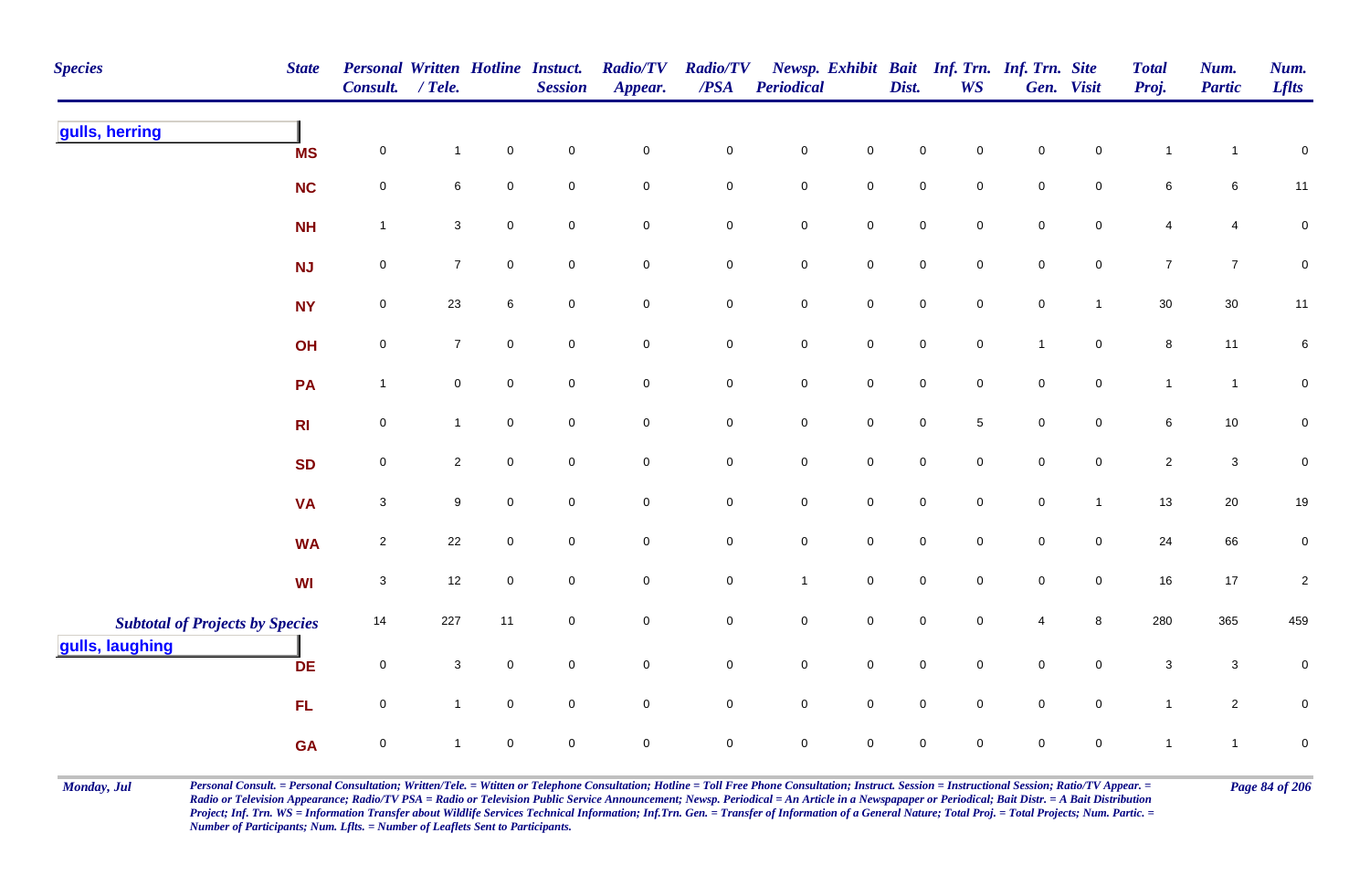| <b>Species</b>                         | <b>State</b>   | Personal Written Hotline Instuct.<br>Consult. | $/$ Tele.      |                     | <b>Session</b>      | <b>Radio/TV</b><br>Appear. | <b>Radio/TV</b><br>/PSA | <b>Periodical</b>   |                     | Dist.               | <b>WS</b>           | Newsp. Exhibit Bait Inf. Trn. Inf. Trn. Site | Gen. Visit          | <b>Total</b><br>Proj.     | Num.<br><b>Partic</b> | Num.<br><b>Lflts</b> |
|----------------------------------------|----------------|-----------------------------------------------|----------------|---------------------|---------------------|----------------------------|-------------------------|---------------------|---------------------|---------------------|---------------------|----------------------------------------------|---------------------|---------------------------|-----------------------|----------------------|
| gulls, herring                         | <b>MS</b>      | $\pmb{0}$                                     | $\mathbf{1}$   | $\pmb{0}$           | $\mathsf{O}\xspace$ | $\pmb{0}$                  | $\mathbf 0$             | $\pmb{0}$           | $\pmb{0}$           | $\pmb{0}$           | $\mathbf 0$         | $\mathbf 0$                                  | $\mathbf 0$         | $\mathbf{1}$              | $\overline{1}$        | $\pmb{0}$            |
|                                        | <b>NC</b>      | $\pmb{0}$                                     | 6              | $\mathbf 0$         | $\mathbf 0$         | $\mathbf 0$                | $\mathsf{O}\xspace$     | $\mathbf 0$         | $\mathsf{O}\xspace$ | $\mathsf 0$         | $\mathsf{O}\xspace$ | $\mathbf 0$                                  | $\mathbf 0$         | $\,6\,$                   | 6                     | 11                   |
|                                        | <b>NH</b>      | $\mathbf{1}$                                  | $\mathbf{3}$   | $\pmb{0}$           | $\mathbf 0$         | $\mathbf 0$                | $\mathbf 0$             | $\pmb{0}$           | $\mathbf 0$         | $\pmb{0}$           | $\mathsf{O}\xspace$ | $\mathbf 0$                                  | $\mathbf 0$         | $\overline{\mathbf{4}}$   | 4                     | $\pmb{0}$            |
|                                        | NJ             | $\pmb{0}$                                     | $\overline{7}$ | $\mathbf 0$         | $\overline{0}$      | $\mathbf 0$                | $\mathbf 0$             | $\mathbf 0$         | $\mathbf 0$         | $\mathsf{O}\xspace$ | $\overline{0}$      | $\mathsf{O}\xspace$                          | $\overline{0}$      | $\overline{7}$            | $\overline{7}$        | $\mathbf 0$          |
|                                        | <b>NY</b>      | $\pmb{0}$                                     | 23             | 6                   | $\overline{0}$      | $\mathsf{O}\xspace$        | $\mathbf 0$             | $\mathbf 0$         | $\mathsf{O}\xspace$ | $\mathbf 0$         | $\overline{0}$      | $\pmb{0}$                                    | $\mathbf{1}$        | $30\,$                    | 30                    | 11                   |
|                                        | OH             | $\pmb{0}$                                     | $\overline{7}$ | $\mathbf 0$         | $\mathbf 0$         | $\mathsf{O}\xspace$        | $\mathbf 0$             | $\mathbf 0$         | $\mathsf 0$         | $\pmb{0}$           | $\mathbf 0$         | $\mathbf{1}$                                 | $\overline{0}$      | $\, 8$                    | 11                    | 6                    |
|                                        | <b>PA</b>      | $\mathbf{1}$                                  | $\mathbf 0$    | $\pmb{0}$           | $\mathsf{O}\xspace$ | $\mathsf 0$                | $\mathsf{O}\xspace$     | $\mathbf 0$         | $\mathsf 0$         | $\mathsf 0$         | $\mathsf{O}\xspace$ | $\mathbf 0$                                  | $\mathbf 0$         | $\mathbf{1}$              | $\overline{1}$        | $\pmb{0}$            |
|                                        | R <sub>l</sub> | $\pmb{0}$                                     | $\mathbf{1}$   | $\mathbf 0$         | $\mathsf{O}\xspace$ | $\mathsf 0$                | $\mathsf{O}\xspace$     | $\mathsf{O}\xspace$ | $\mathbf 0$         | $\mathsf 0$         | $\sqrt{5}$          | $\mathbf 0$                                  | $\overline{0}$      | $\,6\,$                   | 10                    | $\mathbf 0$          |
|                                        | <b>SD</b>      | $\mathsf{O}\xspace$                           | $\mathbf{2}$   | $\mathbf 0$         | $\overline{0}$      | $\overline{0}$             | $\mathbf 0$             | $\mathbf 0$         | $\mathsf{O}\xspace$ | $\mathsf 0$         | $\overline{0}$      | $\mathsf{O}\xspace$                          | $\mathbf 0$         | $\overline{2}$            | $\mathbf{3}$          | $\mathbf 0$          |
|                                        | <b>VA</b>      | $\sqrt{3}$                                    | 9              | $\mathbf 0$         | $\mathbf 0$         | $\mathsf 0$                | $\mathbf 0$             | $\mathbf 0$         | $\mathsf{O}\xspace$ | $\mathbf 0$         | $\mathbf 0$         | $\pmb{0}$                                    | $\overline{1}$      | 13                        | $20\,$                | $19$                 |
|                                        | <b>WA</b>      | $\sqrt{2}$                                    | 22             | $\mathsf{O}\xspace$ | $\mathsf{O}\xspace$ | $\mathsf{O}\xspace$        | $\mathbf 0$             | $\mathbf 0$         | $\mathsf{O}\xspace$ | $\mathsf{O}\xspace$ | $\mathsf{O}\xspace$ | $\mathbf 0$                                  | $\mathsf{O}\xspace$ | 24                        | 66                    | $\overline{0}$       |
|                                        | WI             | $\ensuremath{\mathsf{3}}$                     | 12             | $\pmb{0}$           | $\mathsf{O}\xspace$ | $\pmb{0}$                  | $\mathsf{O}\xspace$     | $\mathbf{1}$        | $\mathbf 0$         | $\mathsf{O}\xspace$ | $\mathsf{O}\xspace$ | $\mathbf 0$                                  | $\mathsf{O}\xspace$ | $16\,$                    | $17$                  | $\sqrt{2}$           |
| <b>Subtotal of Projects by Species</b> |                | 14                                            | 227            | 11                  | $\overline{0}$      | $\mathbf 0$                | $\mathbf 0$             | $\mathbf 0$         | $\mathsf{O}\xspace$ | $\mathsf{O}\xspace$ | $\overline{0}$      | 4                                            | 8                   | 280                       | 365                   | 459                  |
| gulls, laughing                        | <b>DE</b>      | $\pmb{0}$                                     | $\mathbf{3}$   | $\mathbf 0$         | $\mathsf{O}\xspace$ | $\mathsf{O}\xspace$        | $\mathbf 0$             | $\mathbf 0$         | $\mathsf 0$         | $\pmb{0}$           | $\mathsf{O}\xspace$ | $\mathbf 0$                                  | $\mathbf 0$         | $\ensuremath{\mathsf{3}}$ | $\mathsf 3$           | $\pmb{0}$            |
|                                        | <b>FL</b>      | $\pmb{0}$                                     | $\mathbf{1}$   | $\mathbf 0$         | $\overline{0}$      | $\mathsf 0$                | $\mathbf 0$             | $\mathbf 0$         | $\mathsf{O}\xspace$ | $\mathsf{O}\xspace$ | $\mathbf 0$         | $\mathbf 0$                                  | $\overline{0}$      | $\mathbf{1}$              | $\overline{a}$        | $\pmb{0}$            |
|                                        | <b>GA</b>      | $\pmb{0}$                                     | 1              | $\mathbf 0$         | $\mathbf 0$         | $\mathsf{O}\xspace$        | $\mathbf 0$             | $\mathsf{O}\xspace$ | $\mathbf 0$         | $\mathsf{O}\xspace$ | $\mathbf 0$         | $\mathbf 0$                                  | $\mathbf 0$         | $\mathbf{1}$              | $\overline{1}$        | $\pmb{0}$            |

Monday, Jul Personal Consult. = Personal Consultation; Written/Tele. = Witten or Telephone Consultation; Hotline = Toll Free Phone Consultation; Instruct. Session = Instructional Session; Ratio/TV Appear. = Page 84 of 206 *Radio or Television Appearance; Radio/TV PSA = Radio or Television Public Service Announcement; Newsp. Periodical = An Article in a Newspapaper or Periodical; Bait Distr. = A Bait Distribution*  Project; Inf. Trn. WS = Information Transfer about Wildlife Services Technical Information; Inf.Trn. Gen. = Transfer of Information of a General Nature; Total Proj. = Total Projects; Num. Partic. = *Number of Participants; Num. Lflts. = Number of Leaflets Sent to Participants.*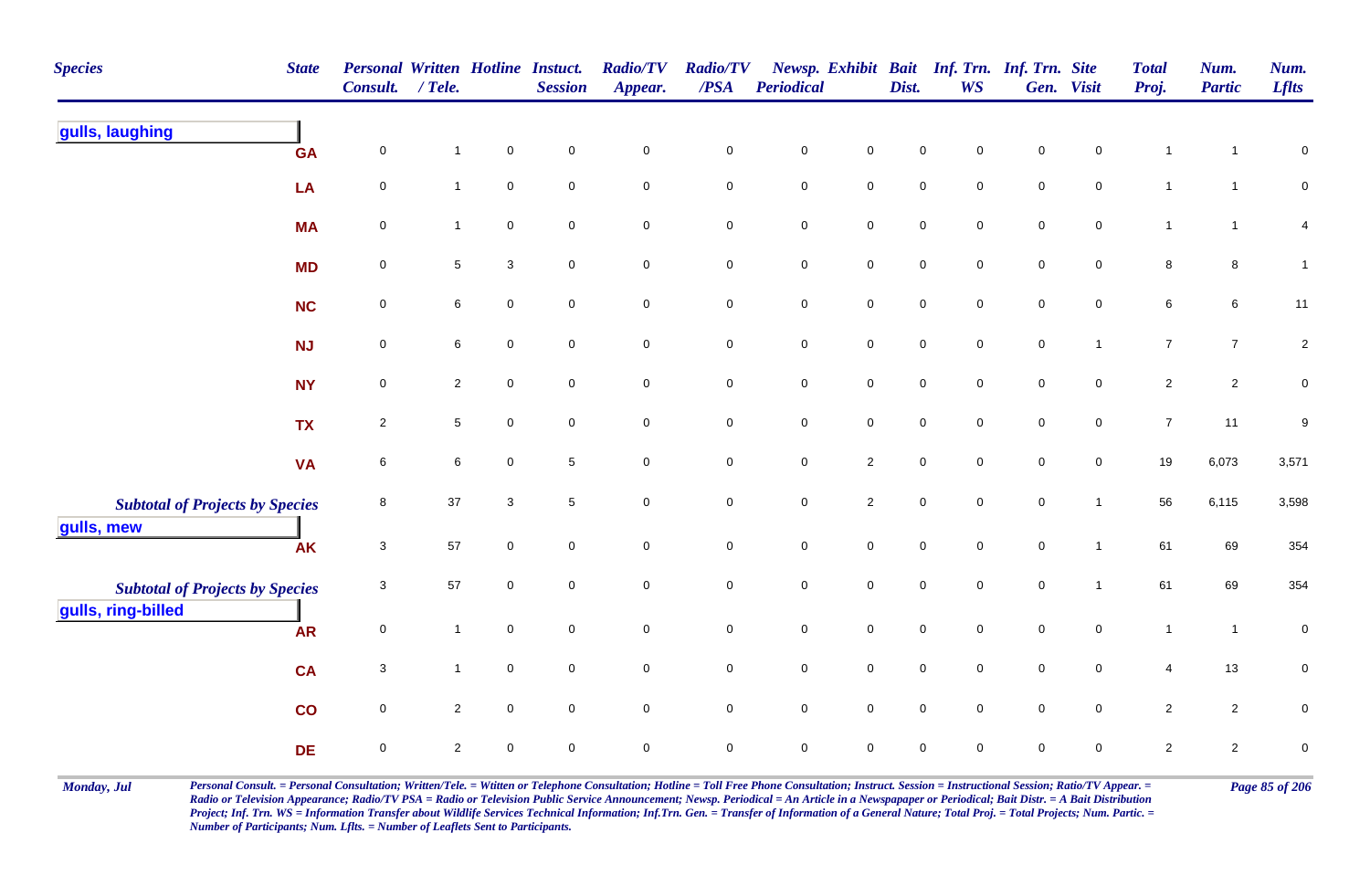| <b>Species</b>                         | <b>State</b> | <b>Personal Written Hotline Instuct.</b><br>Consult. | / Tele.        |              | <b>Session</b>      | <b>Radio/TV</b><br>Appear. | <b>Radio/TV</b><br>/PSA | <b>Periodical</b>   |                     | Dist.               | <b>WS</b>           | Newsp. Exhibit Bait Inf. Trn. Inf. Trn. Site | Gen. Visit          | <b>Total</b><br>Proj. | Num.<br><b>Partic</b> | Num.<br><b>Lflts</b>    |
|----------------------------------------|--------------|------------------------------------------------------|----------------|--------------|---------------------|----------------------------|-------------------------|---------------------|---------------------|---------------------|---------------------|----------------------------------------------|---------------------|-----------------------|-----------------------|-------------------------|
| gulls, laughing                        | <b>GA</b>    | $\pmb{0}$                                            | $\mathbf{1}$   | $\pmb{0}$    | $\mathbf 0$         | $\mathbf 0$                | $\pmb{0}$               | $\pmb{0}$           | $\mathbf 0$         | $\mathbf 0$         | 0                   | $\pmb{0}$                                    | $\mathbf 0$         | $\mathbf{1}$          | 1                     | $\pmb{0}$               |
|                                        | LA           | $\pmb{0}$                                            | $\mathbf{1}$   | $\pmb{0}$    | $\mathbf 0$         | $\mathbf 0$                | $\pmb{0}$               | $\pmb{0}$           | $\mathsf{O}\xspace$ | $\pmb{0}$           | $\mathsf{O}$        | $\pmb{0}$                                    | $\pmb{0}$           | $\mathbf{1}$          | $\mathbf{1}$          | $\overline{0}$          |
|                                        | <b>MA</b>    | $\pmb{0}$                                            | $\mathbf{1}$   | $\pmb{0}$    | $\mathbf 0$         | $\mathbf 0$                | $\pmb{0}$               | $\mathbf 0$         | $\mathsf{O}\xspace$ | $\mathbf 0$         | $\mathbf 0$         | $\pmb{0}$                                    | $\mathbf 0$         | $\mathbf{1}$          | $\mathbf{1}$          | $\overline{\mathbf{4}}$ |
|                                        | <b>MD</b>    | 0                                                    | 5              | 3            | $\mathbf 0$         | $\mathbf 0$                | $\pmb{0}$               | $\pmb{0}$           | $\mathbf 0$         | $\mathbf 0$         | 0                   | $\mathsf 0$                                  | $\mathbf 0$         | 8                     | 8                     | $\mathbf{1}$            |
|                                        | <b>NC</b>    | $\mathbf 0$                                          | 6              | $\mathbf 0$  | $\mathbf 0$         | $\mathbf 0$                | 0                       | $\pmb{0}$           | $\mathbf 0$         | $\mathbf 0$         | $\mathbf 0$         | $\mathsf 0$                                  | $\mathbf 0$         | $\,6\,$               | 6                     | 11                      |
|                                        | <b>NJ</b>    | $\mathbf 0$                                          | 6              | $\mathsf 0$  | $\mathbf 0$         | $\mathbf 0$                | $\pmb{0}$               | $\mathbf 0$         | $\mathsf{O}\xspace$ | $\mathbf 0$         | $\mathbf 0$         | $\pmb{0}$                                    | $\mathbf{1}$        | $\overline{7}$        | $\overline{7}$        | $\sqrt{2}$              |
|                                        | <b>NY</b>    | $\pmb{0}$                                            | $\overline{2}$ | $\mathbf 0$  | $\mathbf 0$         | $\mathsf{O}\xspace$        | $\pmb{0}$               | $\mathbf 0$         | $\mathsf{O}\xspace$ | $\mathbf 0$         | $\mathbf 0$         | $\pmb{0}$                                    | $\mathbf 0$         | $\sqrt{2}$            | $\overline{c}$        | $\pmb{0}$               |
|                                        | <b>TX</b>    | $\overline{2}$                                       | 5              | $\mathsf 0$  | $\mathbf 0$         | $\overline{0}$             | $\mathbf 0$             | $\mathbf 0$         | $\overline{0}$      | $\mathbf 0$         | $\mathbf 0$         | $\pmb{0}$                                    | $\mathsf{O}$        | $\overline{7}$        | 11                    | 9                       |
|                                        | <b>VA</b>    | $\,6\,$                                              | $\,6\,$        | $\pmb{0}$    | $\sqrt{5}$          | $\mathbf 0$                | $\mathbf 0$             | $\mathbf 0$         | $\overline{2}$      | $\mathbf 0$         | $\mathbf 0$         | $\pmb{0}$                                    | $\mathsf{O}\xspace$ | 19                    | 6,073                 | 3,571                   |
| <b>Subtotal of Projects by Species</b> |              | 8                                                    | $37\,$         | $\mathbf{3}$ | 5                   | $\mathsf{O}\xspace$        | $\mathsf{O}\xspace$     | $\mathbf 0$         | $\overline{2}$      | $\mathbf 0$         | $\mathbf 0$         | $\pmb{0}$                                    | $\mathbf{1}$        | 56                    | 6,115                 | 3,598                   |
| gulls, mew                             | <b>AK</b>    | $\mathbf{3}$                                         | 57             | $\pmb{0}$    | $\mathbf 0$         | $\mathsf{O}\xspace$        | $\pmb{0}$               | $\mathbf 0$         | $\pmb{0}$           | $\mathbf 0$         | $\mathsf{O}\xspace$ | $\pmb{0}$                                    | $\mathbf{1}$        | 61                    | 69                    | 354                     |
| <b>Subtotal of Projects by Species</b> |              | $\sqrt{3}$                                           | 57             | $\pmb{0}$    | $\mathsf{O}\xspace$ | $\mathbf 0$                | $\mathbf 0$             | $\mathbf 0$         | $\mathsf{O}\xspace$ | $\mathbf 0$         | $\mathsf{O}\xspace$ | $\pmb{0}$                                    | $\mathbf{1}$        | 61                    | 69                    | 354                     |
| gulls, ring-billed                     | <b>AR</b>    | $\pmb{0}$                                            | $\mathbf{1}$   | $\mathsf 0$  | $\mathbf 0$         | $\mathsf{O}\xspace$        | $\pmb{0}$               | $\mathbf 0$         | $\mathsf{O}\xspace$ | $\mathbf 0$         | $\mathbf 0$         | $\mathsf 0$                                  | $\mathbf 0$         | $\mathbf{1}$          | $\overline{1}$        | $\pmb{0}$               |
|                                        | <b>CA</b>    | 3                                                    | $\mathbf{1}$   | $\mathsf 0$  | $\mathbf 0$         | $\overline{0}$             | $\mathbf 0$             | $\pmb{0}$           | $\mathsf{O}\xspace$ | $\mathbf 0$         | $\mathbf 0$         | $\mathsf 0$                                  | $\mathbf 0$         | 4                     | 13                    | $\mathbf 0$             |
|                                        | co           | $\mathbf 0$                                          | $\overline{2}$ | $\mathbf 0$  | $\mathbf 0$         | $\mathsf{O}\xspace$        | $\mathsf 0$             | $\mathbf 0$         | $\overline{0}$      | $\mathbf 0$         | $\mathbf 0$         | $\pmb{0}$                                    | $\mathbf 0$         | $\overline{2}$        | $\overline{2}$        | $\mathsf 0$             |
|                                        | <b>DE</b>    | $\pmb{0}$                                            | $\overline{2}$ | $\pmb{0}$    | $\pmb{0}$           | $\mathbf 0$                | $\mathsf{O}\xspace$     | $\mathsf{O}\xspace$ | $\mathsf{O}\xspace$ | $\mathsf{O}\xspace$ | 0                   | $\mathsf 0$                                  | $\mathbf 0$         | $\sqrt{2}$            | $\overline{c}$        | $\pmb{0}$               |

Monday, Jul Personal Consult. = Personal Consultation; Written/Tele. = Witten or Telephone Consultation; Hotline = Toll Free Phone Consultation; Instruct. Session = Instructional Session; Ratio/TV Appear. = Page 85 of 206 *Radio or Television Appearance; Radio/TV PSA = Radio or Television Public Service Announcement; Newsp. Periodical = An Article in a Newspapaper or Periodical; Bait Distr. = A Bait Distribution*  Project; Inf. Trn. WS = Information Transfer about Wildlife Services Technical Information; Inf.Trn. Gen. = Transfer of Information of a General Nature; Total Proj. = Total Projects; Num. Partic. = *Number of Participants; Num. Lflts. = Number of Leaflets Sent to Participants.*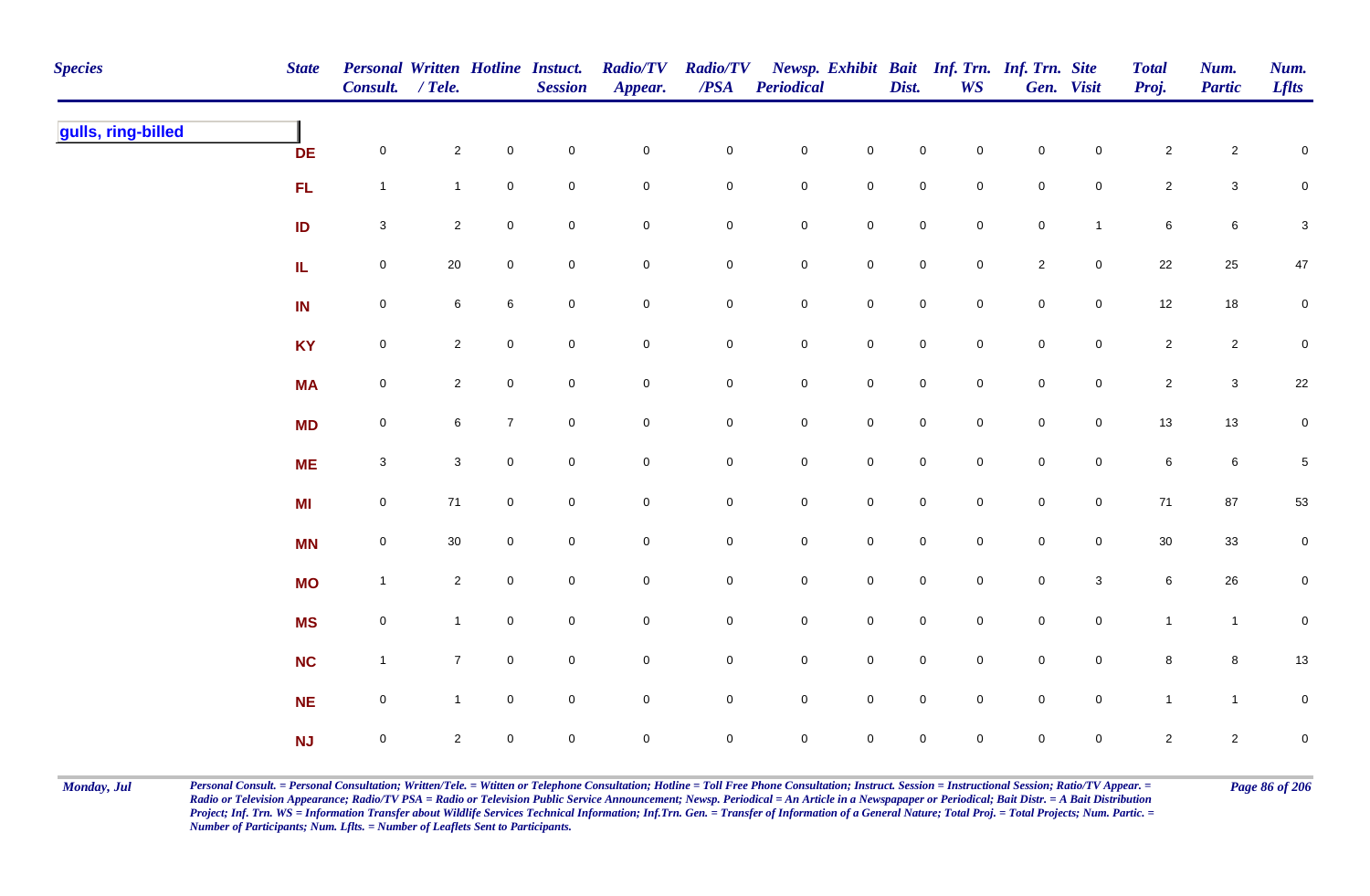| <b>Species</b>     | <b>State</b> | Personal Written Hotline Instuct.<br>Consult. / Tele. |                |                     | <b>Session</b> | <b>Radio/TV</b><br>Appear. | <b>Radio/TV</b><br>$\boldsymbol{PSA}$ | <b>Periodical</b>   |                     | Dist.               | <b>WS</b>      | Newsp. Exhibit Bait Inf. Trn. Inf. Trn. Site | Gen. Visit          | <b>Total</b><br>Proj. | Num.<br><b>Partic</b> | Num.<br><b>Lflts</b>      |
|--------------------|--------------|-------------------------------------------------------|----------------|---------------------|----------------|----------------------------|---------------------------------------|---------------------|---------------------|---------------------|----------------|----------------------------------------------|---------------------|-----------------------|-----------------------|---------------------------|
| gulls, ring-billed | <b>DE</b>    | $\mathbf 0$                                           | $\overline{2}$ | $\mathbf 0$         | $\pmb{0}$      | $\mathbf 0$                | $\mathbf 0$                           | $\mathbf 0$         | $\mathsf 0$         | $\mathbf 0$         | $\overline{0}$ | $\mathbf 0$                                  | $\mathbf 0$         | $\mathbf{2}$          | $\overline{c}$        | $\mathsf 0$               |
|                    | FL           | $\mathbf{1}$                                          | $\mathbf{1}$   | $\mathsf{O}\xspace$ | $\pmb{0}$      | $\pmb{0}$                  | $\pmb{0}$                             | $\pmb{0}$           | $\mathbf 0$         | $\mathbf 0$         | $\mathbf 0$    | $\mathbf 0$                                  | $\mathbf 0$         | $\mathbf{2}$          | $\mathbf{3}$          | $\mathbf 0$               |
|                    | ID           | $\mathbf{3}$                                          | $\mathbf{2}$   | $\mathsf{O}\xspace$ | $\pmb{0}$      | $\pmb{0}$                  | 0                                     | $\pmb{0}$           | $\pmb{0}$           | $\mathbf 0$         | $\mathbf 0$    | $\pmb{0}$                                    | $\mathbf{1}$        | $\bf 6$               | $\,6\,$               | $\ensuremath{\mathsf{3}}$ |
|                    | IL.          | $\boldsymbol{0}$                                      | $20\,$         | $\mathbf 0$         | $\pmb{0}$      | $\pmb{0}$                  | 0                                     | $\mathbf 0$         | $\mathbf 0$         | $\mathbf 0$         | $\overline{0}$ | $\overline{2}$                               | $\mathbf 0$         | $22\,$                | 25                    | 47                        |
|                    | IN           | $\mathsf{O}\xspace$                                   | 6              | 6                   | $\mathsf 0$    | $\pmb{0}$                  | $\mathbf 0$                           | $\mathbf 0$         | $\mathsf{O}\xspace$ | $\mathsf 0$         | $\overline{0}$ | $\mathsf{O}\xspace$                          | $\mathsf{O}\xspace$ | 12                    | 18                    | $\overline{0}$            |
|                    | <b>KY</b>    | $\mathsf{O}\xspace$                                   | $\overline{2}$ | $\mathsf{O}\xspace$ | $\mathsf 0$    | $\mathsf{O}\xspace$        | $\mathbf 0$                           | ${\bf 0}$           | $\mathbf 0$         | $\mathsf{O}\xspace$ | $\overline{0}$ | $\mathsf{O}\xspace$                          | $\mathsf{O}\xspace$ | $\overline{2}$        | $\mathbf{2}$          | $\mathbf 0$               |
|                    | <b>MA</b>    | $\mathsf{O}\xspace$                                   | $\overline{2}$ | $\mathbf 0$         | $\pmb{0}$      | $\mathsf{O}\xspace$        | $\mathsf{O}\xspace$                   | $\mathbf 0$         | $\mathsf 0$         | $\mathsf{O}\xspace$ | $\overline{0}$ | $\mathsf{O}\xspace$                          | $\mathbf 0$         | $\overline{2}$        | $\mathbf{3}$          | 22                        |
|                    | <b>MD</b>    | $\mathsf{O}\xspace$                                   | 6              | $\overline{7}$      | $\mathsf 0$    | $\pmb{0}$                  | 0                                     | $\mathsf{O}\xspace$ | $\mathsf{O}\xspace$ | $\mathbf 0$         | $\mathbf 0$    | $\mathsf{O}\xspace$                          | $\mathbf 0$         | 13                    | $13$                  | $\overline{0}$            |
|                    | <b>ME</b>    | $\mathbf{3}$                                          | $\mathbf{3}$   | $\mathbf 0$         | $\mathbf 0$    | $\mathbf 0$                | $\mathsf{O}\xspace$                   | $\mathsf{O}\xspace$ | $\mathbf 0$         | $\overline{0}$      | $\Omega$       | $\mathsf{O}\xspace$                          | $\mathbf 0$         | $\,6\,$               | $\bf 6$               | $\overline{5}$            |
|                    | <b>MI</b>    | $\mathsf{O}\xspace$                                   | $71$           | $\mathsf{O}\xspace$ | $\pmb{0}$      | $\pmb{0}$                  | $\mathbf 0$                           | $\mathbf 0$         | $\mathbf 0$         | $\mathbf 0$         | $\mathbf 0$    | $\mathsf{O}\xspace$                          | $\mathsf{O}\xspace$ | 71                    | 87                    | $53\,$                    |
|                    | <b>MN</b>    | $\mathbf 0$                                           | $30\,$         | $\mathbf 0$         | $\pmb{0}$      | $\pmb{0}$                  | $\pmb{0}$                             | $\pmb{0}$           | $\pmb{0}$           | $\mathbf 0$         | $\mathbf 0$    | ${\bf 0}$                                    | $\mathsf{O}\xspace$ | 30                    | $33\,$                | $\mathbf 0$               |
|                    | <b>MO</b>    | $\overline{1}$                                        | $\overline{2}$ | $\overline{0}$      | $\pmb{0}$      | $\mathbf 0$                | 0                                     | $\mathbf 0$         | $\mathbf 0$         | $\mathsf{O}$        | $\mathbf 0$    | $\mathbf 0$                                  | $\mathbf{3}$        | 6                     | 26                    | $\mathbf 0$               |
|                    | <b>MS</b>    | $\mathsf{O}\xspace$                                   | $\mathbf{1}$   | $\overline{0}$      | $\mathsf 0$    | $\mathbf 0$                | 0                                     | $\mathbf 0$         | $\mathbf 0$         | $\overline{0}$      | $\overline{0}$ | $\mathsf{O}\xspace$                          | $\mathsf{O}$        | $\mathbf{1}$          | $\mathbf{1}$          | $\mathbf 0$               |
|                    | <b>NC</b>    | $\overline{1}$                                        | $\overline{7}$ | $\overline{0}$      | $\mathsf 0$    | $\pmb{0}$                  | $\mathbf 0$                           | $\mathbf 0$         | $\mathbf 0$         | $\mathsf 0$         | $\overline{0}$ | $\mathsf{O}\xspace$                          | $\mathsf{O}$        | 8                     | 8                     | $13\,$                    |
|                    | NE           | $\mathsf{O}\xspace$                                   | $\mathbf{1}$   | $\overline{0}$      | $\pmb{0}$      | $\pmb{0}$                  | $\mathbf 0$                           | $\mathbf 0$         | $\mathsf 0$         | $\mathsf 0$         | $\mathbf 0$    | $\mathbf 0$                                  | $\mathbf 0$         | $\mathbf{1}$          | $\mathbf{1}$          | $\mathbf 0$               |
|                    | NJ           | $\mathbf 0$                                           | $\overline{2}$ | $\mathbf 0$         | $\mathsf 0$    | $\mathbf 0$                | 0                                     | $\mathsf{O}\xspace$ | $\pmb{0}$           | $\mathbf 0$         | $\mathbf 0$    | $\mathbf 0$                                  | $\mathbf 0$         | $\overline{2}$        | $\overline{2}$        | $\mathbf 0$               |

Monday, Jul Personal Consult. = Personal Consultation; Written/Tele. = Witten or Telephone Consultation; Hotline = Toll Free Phone Consultation; Instruct. Session = Instructional Session; Ratio/TV Appear. = Page 86 of 206 *Radio or Television Appearance; Radio/TV PSA = Radio or Television Public Service Announcement; Newsp. Periodical = An Article in a Newspapaper or Periodical; Bait Distr. = A Bait Distribution*  Project; Inf. Trn. WS = Information Transfer about Wildlife Services Technical Information; Inf.Trn. Gen. = Transfer of Information of a General Nature; Total Proj. = Total Projects; Num. Partic. = *Number of Participants; Num. Lflts. = Number of Leaflets Sent to Participants.*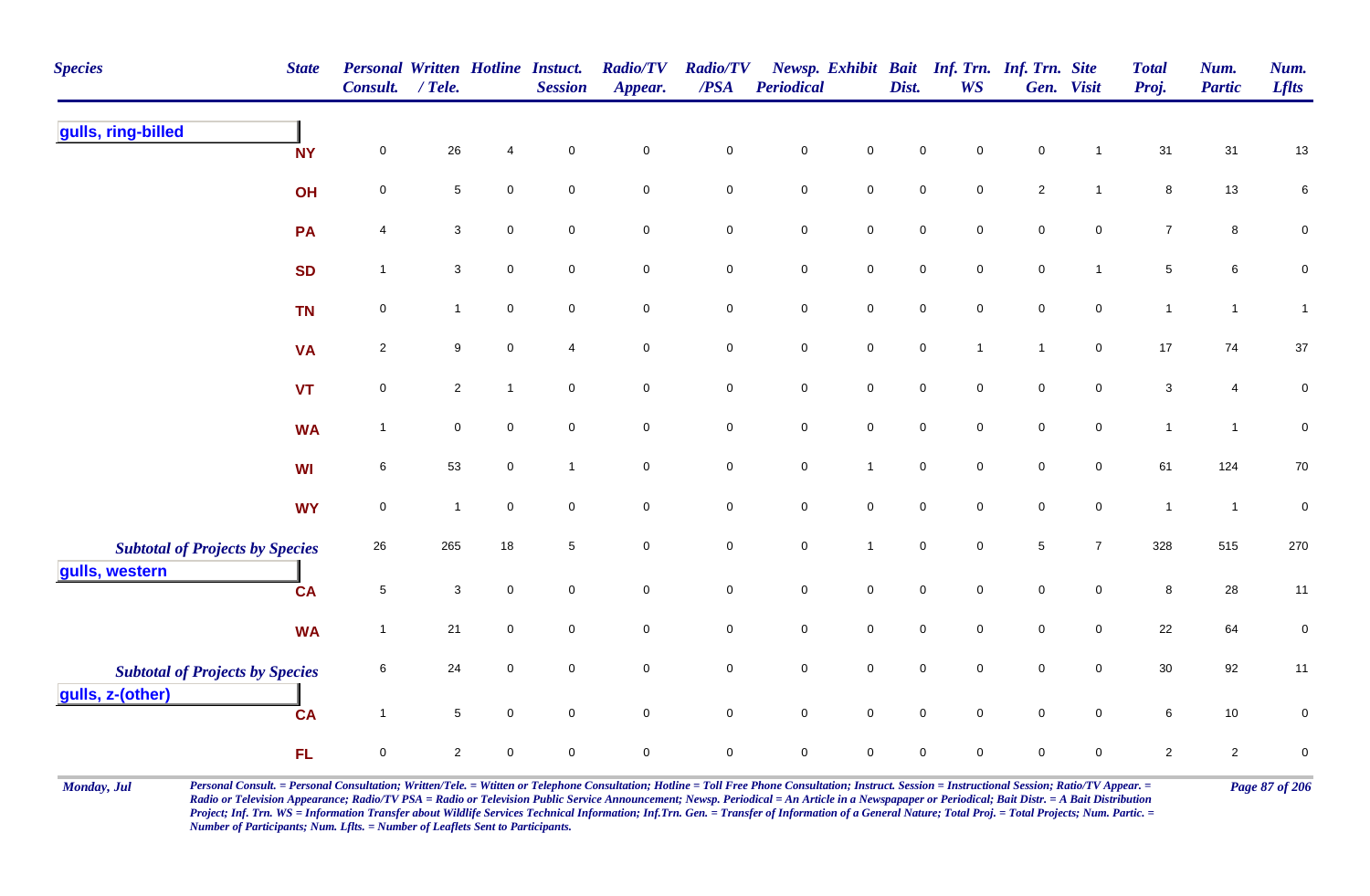| <b>Species</b>                                             | <b>State</b> | Personal Written Hotline Instuct.<br>Consult. | $/$ Tele.      |                | <b>Session</b>      | <b>Radio/TV</b><br>Appear. | <b>Radio/TV</b><br>$\overline{PSA}$ | Periodical          |                     | Dist.               | Newsp. Exhibit Bait Inf. Trn. Inf. Trn. Site<br><b>WS</b> |                | Gen. Visit          | <b>Total</b><br>Proj. | Num.<br><b>Partic</b> | Num.<br><b>Lflts</b> |
|------------------------------------------------------------|--------------|-----------------------------------------------|----------------|----------------|---------------------|----------------------------|-------------------------------------|---------------------|---------------------|---------------------|-----------------------------------------------------------|----------------|---------------------|-----------------------|-----------------------|----------------------|
| gulls, ring-billed                                         | <b>NY</b>    | $\mathbf 0$                                   | 26             | $\overline{4}$ | $\pmb{0}$           | $\mathbf 0$                | $\pmb{0}$                           | $\mathbf 0$         | $\mathsf{O}\xspace$ | $\mathbf 0$         | 0                                                         | $\pmb{0}$      | $\overline{1}$      | 31                    | 31                    | $13$                 |
|                                                            | OH           | $\mathbf 0$                                   | 5              | $\mathsf 0$    | $\mathbf 0$         | $\overline{0}$             | ${\bf 0}$                           | $\pmb{0}$           | $\overline{0}$      | $\mathsf{O}\xspace$ | $\mathbf 0$                                               | $\overline{2}$ | $\mathbf{1}$        | 8                     | 13                    | $\,6\,$              |
|                                                            | <b>PA</b>    | 4                                             | 3              | $\mathbf 0$    | $\mathbf 0$         | $\mathbf 0$                | ${\bf 0}$                           | $\mathbf 0$         | $\mathbf 0$         | $\mathsf{O}\xspace$ | 0                                                         | $\mathsf 0$    | $\mathbf 0$         | $\overline{7}$        | 8                     | $\pmb{0}$            |
|                                                            | <b>SD</b>    | $\overline{1}$                                | $\mathbf{3}$   | $\mathsf 0$    | $\mathbf 0$         | $\mathsf{O}\xspace$        | $\mathbf 0$                         | $\mathbf 0$         | $\mathbf 0$         | $\mathbf 0$         | $\mathbf 0$                                               | $\pmb{0}$      | $\mathbf{1}$        | $\sqrt{5}$            | 6                     | $\pmb{0}$            |
|                                                            | <b>TN</b>    | $\pmb{0}$                                     | $\mathbf{1}$   | $\mathbf 0$    | $\mathbf 0$         | $\mathbf 0$                | $\pmb{0}$                           | $\pmb{0}$           | $\mathsf{O}\xspace$ | $\mathbf 0$         | $\mathbf 0$                                               | $\mathbf 0$    | $\mathbf 0$         | $\mathbf{1}$          | $\mathbf{1}$          | $\mathbf{1}$         |
|                                                            | <b>VA</b>    | $\overline{2}$                                | 9              | $\mathbf 0$    | 4                   | $\overline{0}$             | $\mathbf 0$                         | $\mathsf{O}\xspace$ | $\overline{0}$      | $\mathbf 0$         | $\overline{1}$                                            | $\mathbf{1}$   | $\mathbf 0$         | $17$                  | 74                    | $37\,$               |
|                                                            | <b>VT</b>    | $\mathbf 0$                                   | $\mathbf{2}$   | $\mathbf{1}$   | $\mathbf 0$         | $\mathsf{O}\xspace$        | $\mathbf 0$                         | $\pmb{0}$           | $\mathbf 0$         | $\mathbf 0$         | $\mathsf{O}\xspace$                                       | $\pmb{0}$      | $\mathsf 0$         | $\mathbf{3}$          | 4                     | $\pmb{0}$            |
|                                                            | <b>WA</b>    | $\overline{1}$                                | $\pmb{0}$      | $\pmb{0}$      | $\mathsf{O}\xspace$ | $\mathsf{O}\xspace$        | $\mathbf 0$                         | $\mathbf 0$         | $\mathbf 0$         | $\mathbf 0$         | $\mathsf{O}\xspace$                                       | $\pmb{0}$      | $\mathsf{O}\xspace$ | $\mathbf{1}$          | $\overline{1}$        | $\pmb{0}$            |
|                                                            | <b>WI</b>    | 6                                             | 53             | $\mathbf 0$    | $\mathbf{1}$        | $\overline{0}$             | $\mathbf 0$                         | $\mathbf 0$         | $\mathbf{1}$        | $\mathbf 0$         | $\mathbf 0$                                               | $\mathsf 0$    | $\overline{0}$      | 61                    | 124                   | $70\,$               |
|                                                            | <b>WY</b>    | $\mathbf 0$                                   | $\mathbf{1}$   | $\pmb{0}$      | $\mathbf 0$         | $\mathbf 0$                | $\mathbf 0$                         | $\mathbf 0$         | $\mathsf{O}\xspace$ | $\pmb{0}$           | $\mathsf{O}\xspace$                                       | $\pmb{0}$      | $\mathsf 0$         | $\mathbf{1}$          | $\overline{1}$        | $\pmb{0}$            |
| <b>Subtotal of Projects by Species</b><br>gulls, western   |              | 26                                            | 265            | 18             | 5                   | $\mathsf{O}\xspace$        | $\mathbf 0$                         | $\mathbf 0$         | $\mathbf{1}$        | $\mathbf 0$         | $\mathsf{O}\xspace$                                       | $\sqrt{5}$     | $\overline{7}$      | 328                   | 515                   | 270                  |
|                                                            | <b>CA</b>    | $\overline{5}$                                | $\mathbf{3}$   | $\pmb{0}$      | $\mathbf 0$         | $\mathsf{O}\xspace$        | $\mathbf 0$                         | $\mathbf 0$         | $\mathsf{O}\xspace$ | $\mathbf 0$         | $\mathsf{O}\xspace$                                       | $\pmb{0}$      | $\mathsf{O}\xspace$ | $\,8\,$               | 28                    | 11                   |
|                                                            | <b>WA</b>    | $\overline{1}$                                | 21             | $\mathbf 0$    | $\mathbf 0$         | $\mathsf{O}\xspace$        | $\mathbf 0$                         | $\mathbf 0$         | $\mathsf{O}\xspace$ | $\mathbf 0$         | $\mathbf 0$                                               | $\pmb{0}$      | $\mathbf 0$         | 22                    | 64                    | $\pmb{0}$            |
| <b>Subtotal of Projects by Species</b><br>gulls, z-(other) |              | 6                                             | 24             | $\mathbf 0$    | $\mathbf 0$         | $\mathbf 0$                | $\mathbf 0$                         | $\pmb{0}$           | $\overline{0}$      | $\mathsf{O}\xspace$ | $\mathbf 0$                                               | $\mathsf 0$    | $\overline{0}$      | 30                    | 92                    | 11                   |
|                                                            | <b>CA</b>    | $\overline{1}$                                | $\sqrt{5}$     | $\mathbf 0$    | $\mathsf{O}\xspace$ | $\mathsf{O}\xspace$        | $\mathsf{O}\xspace$                 | $\mathbf 0$         | $\mathsf{O}\xspace$ | $\mathbf 0$         | $\mathsf{O}\xspace$                                       | $\pmb{0}$      | $\mathbf 0$         | $\,6\,$               | 10                    | $\pmb{0}$            |
|                                                            | <b>FL</b>    | $\mathbf 0$                                   | $\overline{2}$ | $\mathbf 0$    | $\mathbf 0$         | $\mathbf 0$                | $\mathbf 0$                         | $\mathbf 0$         | $\mathbf 0$         | $\mathbf 0$         | $\mathbf 0$                                               | $\mathbf 0$    | $\mathbf 0$         | $\overline{2}$        | $\overline{2}$        | $\pmb{0}$            |

Monday, Jul Personal Consult. = Personal Consultation; Written/Tele. = Witten or Telephone Consultation; Hotline = Toll Free Phone Consultation; Instruct. Session = Instructional Session; Ratio/TV Appear. = Page 87 of 206 *Radio or Television Appearance; Radio/TV PSA = Radio or Television Public Service Announcement; Newsp. Periodical = An Article in a Newspapaper or Periodical; Bait Distr. = A Bait Distribution*  Project; Inf. Trn. WS = Information Transfer about Wildlife Services Technical Information; Inf.Trn. Gen. = Transfer of Information of a General Nature; Total Proj. = Total Projects; Num. Partic. = *Number of Participants; Num. Lflts. = Number of Leaflets Sent to Participants.*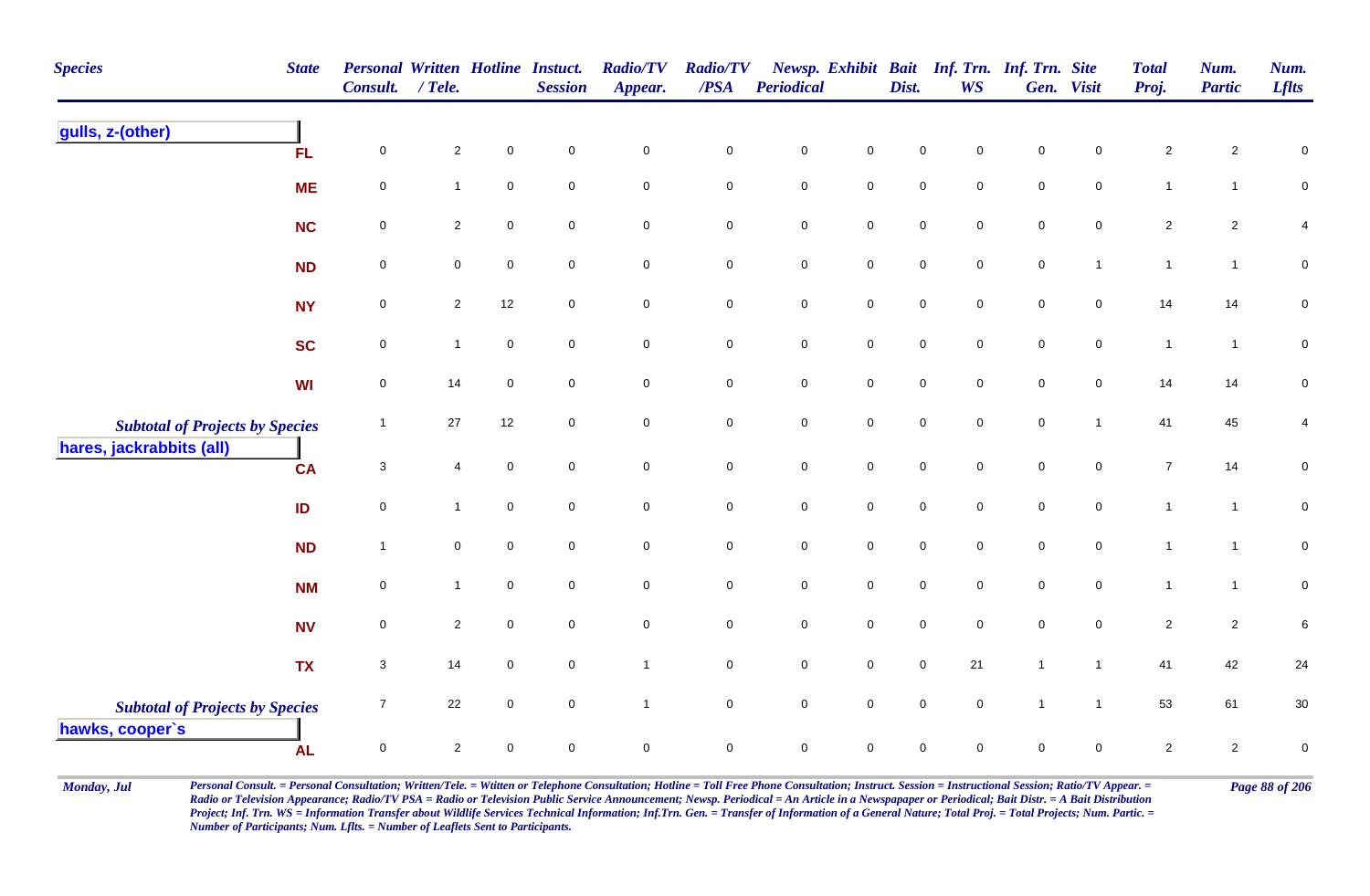| <b>Species</b>                         | <b>State</b> | <b>Personal Written Hotline Instuct.</b><br><b>Consult.</b> | $/$ Tele.      |                     | <b>Session</b>   | <b>Radio/TV</b><br>Appear. | <b>Radio/TV</b><br>$\overline{PSA}$ | <b>Periodical</b>   |                     | Dist.               | Newsp. Exhibit Bait Inf. Trn. Inf. Trn. Site<br><b>WS</b> |                     | Gen. Visit          | <b>Total</b><br>Proj. | Num.<br><b>Partic</b> | Num.<br><b>Lflts</b> |
|----------------------------------------|--------------|-------------------------------------------------------------|----------------|---------------------|------------------|----------------------------|-------------------------------------|---------------------|---------------------|---------------------|-----------------------------------------------------------|---------------------|---------------------|-----------------------|-----------------------|----------------------|
| gulls, z-(other)                       | FL           | $\mathsf 0$                                                 | $\overline{2}$ | $\mathsf{O}\xspace$ | $\mathbf 0$      | $\pmb{0}$                  | $\pmb{0}$                           | $\pmb{0}$           | $\mathbf 0$         | $\mathbf 0$         | $\mathbf 0$                                               | $\mathsf{O}\xspace$ | $\mathbf 0$         | $\overline{2}$        | $\mathbf{2}$          | 0                    |
|                                        | <b>ME</b>    | $\mathbf 0$                                                 | 1              | $\mathbf 0$         | $\mathbf 0$      | $\pmb{0}$                  | $\mathbf 0$                         | $\mathsf{O}\xspace$ | $\mathsf{O}\xspace$ | $\pmb{0}$           | $\mathbf 0$                                               | $\mathbf 0$         | $\mathbf 0$         | $\mathbf{1}$          | $\mathbf{1}$          | $\mathbf 0$          |
|                                        | <b>NC</b>    | $\pmb{0}$                                                   | $\mathbf{2}$   | $\mathbf 0$         | $\mathbf 0$      | $\mathbf 0$                | $\pmb{0}$                           | $\mathbf 0$         | $\mathsf{O}\xspace$ | 0                   | $\mathbf 0$                                               | $\mathbf 0$         | $\mathbf 0$         | $\overline{2}$        | $\overline{c}$        | 4                    |
|                                        | ND           | $\mathbf 0$                                                 | $\overline{0}$ | $\mathbf 0$         | $\boldsymbol{0}$ | $\mathbf 0$                | $\mathbf 0$                         | $\mathbf 0$         | $\overline{0}$      | $\mathbf 0$         | $\mathbf 0$                                               | $\overline{0}$      | $\mathbf{1}$        | $\mathbf{1}$          | $\mathbf{1}$          | $\pmb{0}$            |
|                                        | <b>NY</b>    | $\pmb{0}$                                                   | $\overline{2}$ | 12                  | $\mathbf 0$      | $\mathbf 0$                | $\pmb{0}$                           | $\mathbf 0$         | $\mathsf{O}\xspace$ | $\pmb{0}$           | $\mathbf 0$                                               | $\mathbf 0$         | $\mathsf{O}\xspace$ | 14                    | 14                    | $\pmb{0}$            |
|                                        | <b>SC</b>    | $\mathbf 0$                                                 | $\mathbf{1}$   | $\pmb{0}$           | $\mathbf 0$      | $\mathbf 0$                | $\mathbf 0$                         | $\mathbf 0$         | $\mathbf 0$         | $\mathsf{O}\xspace$ | $\mathbf 0$                                               | $\mathbf 0$         | $\mathbf 0$         | $\overline{1}$        | $\mathbf{1}$          | $\pmb{0}$            |
|                                        | <b>WI</b>    | $\mathbf 0$                                                 | 14             | $\mathbf 0$         | $\overline{0}$   | $\mathsf{O}\xspace$        | 0                                   | $\mathsf{O}$        | $\mathbf 0$         | $\overline{0}$      | $\mathbf 0$                                               | $\overline{0}$      | $\overline{0}$      | 14                    | 14                    | 0                    |
| <b>Subtotal of Projects by Species</b> |              | $\mathbf{1}$                                                | 27             | 12                  | $\boldsymbol{0}$ | $\mathbf 0$                | $\pmb{0}$                           | $\mathbf 0$         | $\mathsf{O}\xspace$ | $\pmb{0}$           | $\mathsf{O}\xspace$                                       | $\mathsf{O}\xspace$ | $\mathbf{1}$        | 41                    | 45                    | 4                    |
| hares, jackrabbits (all)               | <b>CA</b>    | 3                                                           | $\overline{4}$ | $\mathsf{O}\xspace$ | $\overline{0}$   | $\mathbf 0$                | $\mathbf 0$                         | $\mathsf{O}\xspace$ | $\mathbf 0$         | $\mathbf 0$         | $\overline{0}$                                            | $\mathsf{O}\xspace$ | $\mathsf{O}\xspace$ | $\overline{7}$        | 14                    | $\pmb{0}$            |
|                                        | ID           | $\mathbf 0$                                                 | $\mathbf{1}$   | $\mathsf{O}\xspace$ | $\mathbf 0$      | $\mathbf 0$                | $\mathbf 0$                         | $\mathsf{O}\xspace$ | $\mathbf 0$         | $\mathsf{O}\xspace$ | $\mathsf{O}\xspace$                                       | $\pmb{0}$           | $\mathsf{O}\xspace$ | $\mathbf{1}$          | $\mathbf{1}$          | $\pmb{0}$            |
|                                        | <b>ND</b>    | $\mathbf{1}$                                                | $\mathbf 0$    | $\mathsf{O}\xspace$ | $\mathbf 0$      | $\mathbf 0$                | $\mathsf{O}\xspace$                 | $\mathbf 0$         | $\mathsf{O}\xspace$ | $\pmb{0}$           | $\mathbf 0$                                               | $\mathbf 0$         | $\mathsf 0$         | $\overline{1}$        | $\mathbf{1}$          | ${\bf 0}$            |
|                                        | <b>NM</b>    | $\mathbf 0$                                                 | $\mathbf{1}$   | $\mathbf 0$         | $\mathbf 0$      | $\mathbf 0$                | $\mathbf 0$                         | $\mathbf 0$         | $\mathbf 0$         | $\mathbf 0$         | $\mathbf 0$                                               | $\mathbf 0$         | $\mathbf 0$         | $\mathbf{1}$          | $\mathbf{1}$          | $\pmb{0}$            |
|                                        | <b>NV</b>    | $\mathsf 0$                                                 | $\overline{2}$ | $\pmb{0}$           | $\mathbf 0$      | $\pmb{0}$                  | $\mathbf 0$                         | $\mathsf{O}\xspace$ | $\mathbf 0$         | $\mathbf 0$         | $\mathbf 0$                                               | $\mathbf 0$         | $\mathbf{0}$        | $\overline{2}$        | $\overline{2}$        | 6                    |
|                                        | <b>TX</b>    | $\mathsf 3$                                                 | 14             | $\mathbf 0$         | $\boldsymbol{0}$ | $\mathbf{1}$               | $\mathbf 0$                         | $\mathbf 0$         | $\mathbf 0$         | $\mathbf 0$         | 21                                                        | $\mathbf{1}$        | $\mathbf{1}$        | 41                    | 42                    | 24                   |
| <b>Subtotal of Projects by Species</b> |              | $\overline{7}$                                              | 22             | $\mathbf 0$         | $\mathbf 0$      | $\mathbf{1}$               | $\mathbf 0$                         | ${\bf 0}$           | $\mathbf 0$         | $\pmb{0}$           | $\mathsf{O}\xspace$                                       | $\mathbf{1}$        | $\overline{1}$      | 53                    | 61                    | $30\,$               |
| hawks, cooper's                        | <b>AL</b>    | $\mathsf 0$                                                 | $\overline{2}$ | 0                   | $\mathbf 0$      | $\pmb{0}$                  | $\mathbf 0$                         | $\mathbf 0$         | $\mathsf 0$         | $\mathbf 0$         | $\mathbf 0$                                               | $\mathbf 0$         | $\mathbf 0$         | $\overline{2}$        | $\overline{2}$        | $\mathbf 0$          |

Monday, Jul Personal Consult. = Personal Consultation; Written/Tele. = Witten or Telephone Consultation; Hotline = Toll Free Phone Consultation; Instruct. Session = Instructional Session; Ratio/TV Appear. = Page 88 of 206 *Radio or Television Appearance; Radio/TV PSA = Radio or Television Public Service Announcement; Newsp. Periodical = An Article in a Newspapaper or Periodical; Bait Distr. = A Bait Distribution*  Project; Inf. Trn. WS = Information Transfer about Wildlife Services Technical Information; Inf.Trn. Gen. = Transfer of Information of a General Nature; Total Proj. = Total Projects; Num. Partic. = *Number of Participants; Num. Lflts. = Number of Leaflets Sent to Participants.*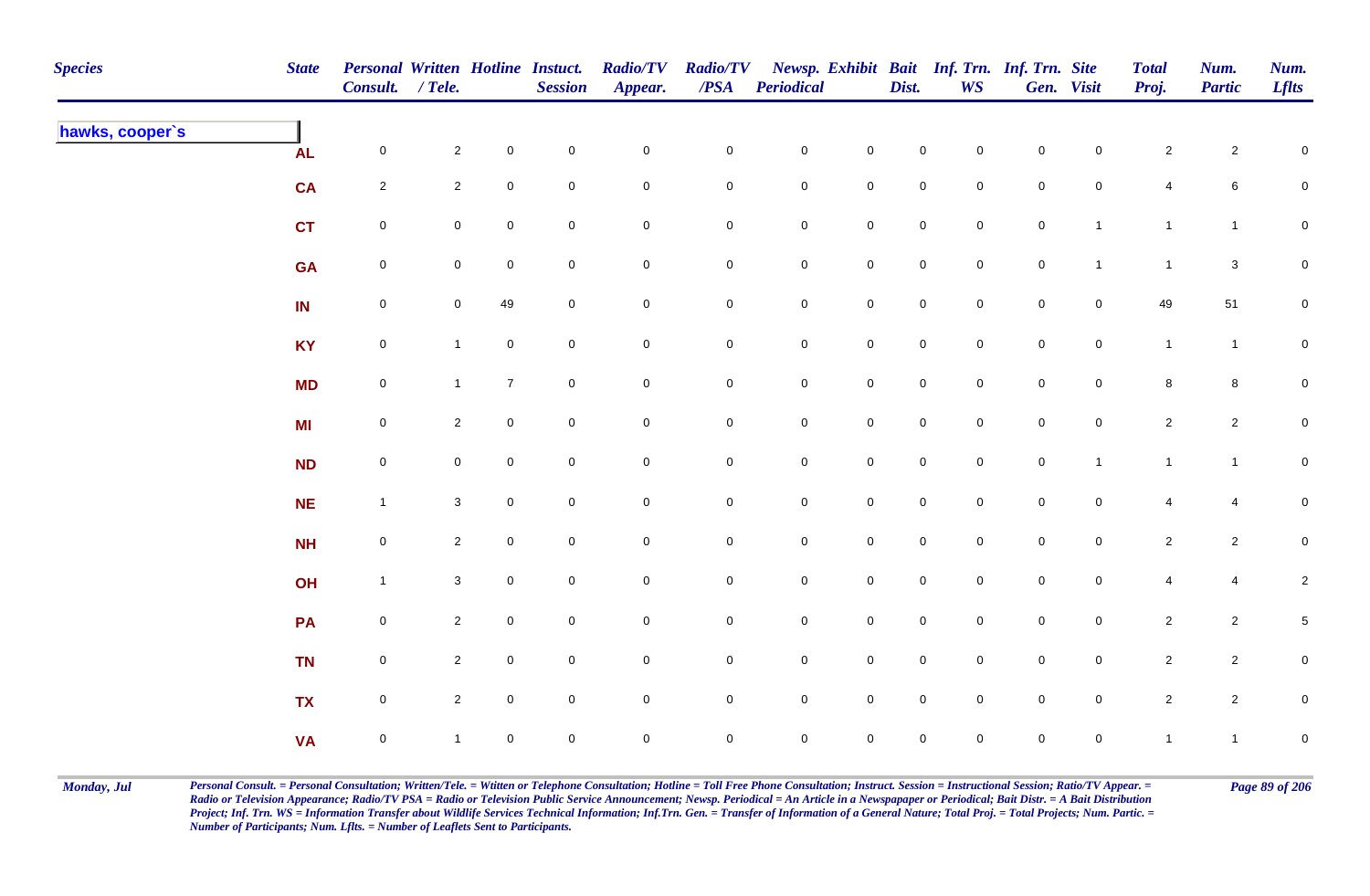| <b>Species</b>  | <b>State</b> | Personal Written Hotline Instuct.<br>Consult. / Tele. |                     |                     | <b>Session</b> | <b>Radio/TV</b><br>Appear. | <b>Radio/TV</b><br>$\boldsymbol{PSA}$ | <b>Periodical</b>   |                     | Dist.               | WS             | Newsp. Exhibit Bait Inf. Trn. Inf. Trn. Site | Gen. Visit          | <b>Total</b><br>Proj.   | Num.<br><b>Partic</b> | Num.<br><b>Lflts</b> |
|-----------------|--------------|-------------------------------------------------------|---------------------|---------------------|----------------|----------------------------|---------------------------------------|---------------------|---------------------|---------------------|----------------|----------------------------------------------|---------------------|-------------------------|-----------------------|----------------------|
| hawks, cooper's | <b>AL</b>    | $\mathsf{O}\xspace$                                   | $\mathbf{2}$        | $\mathbf 0$         | $\pmb{0}$      | $\mathbf 0$                | $\mathbf 0$                           | $\mathbf 0$         | $\mathsf 0$         | $\mathbf 0$         | $\overline{0}$ | $\mathbf 0$                                  | $\mathbf 0$         | $\mathbf{2}$            | $\overline{2}$        | $\mathsf 0$          |
|                 | <b>CA</b>    | $\overline{2}$                                        | $\overline{2}$      | $\mathsf{O}\xspace$ | $\pmb{0}$      | $\pmb{0}$                  | $\pmb{0}$                             | $\pmb{0}$           | $\mathbf 0$         | $\mathbf 0$         | $\mathbf 0$    | $\mathbf 0$                                  | $\mathbf 0$         | 4                       | 6                     | $\mathbf 0$          |
|                 | <b>CT</b>    | $\mathbf 0$                                           | $\mathsf{O}\xspace$ | $\mathsf{O}\xspace$ | $\pmb{0}$      | $\pmb{0}$                  | 0                                     | $\pmb{0}$           | $\pmb{0}$           | $\pmb{0}$           | $\mathbf 0$    | $\pmb{0}$                                    | $\overline{1}$      | $\mathbf{1}$            | $\mathbf{1}$          | $\mathbf 0$          |
|                 | <b>GA</b>    | $\boldsymbol{0}$                                      | $\mathbf 0$         | $\mathbf 0$         | $\mathsf 0$    | $\mathbf 0$                | 0                                     | $\mathbf 0$         | $\mathbf 0$         | $\overline{0}$      | $\overline{0}$ | $\mathsf{O}\xspace$                          | $\mathbf{1}$        | $\mathbf{1}$            | $\mathbf{3}$          | $\mathbf 0$          |
|                 | IN           | $\mathsf{O}\xspace$                                   | $\overline{0}$      | 49                  | $\mathsf 0$    | $\pmb{0}$                  | $\mathbf 0$                           | $\mathbf 0$         | $\mathsf{O}\xspace$ | $\mathsf 0$         | $\overline{0}$ | $\mathsf{O}\xspace$                          | $\overline{0}$      | 49                      | 51                    | $\mathbf 0$          |
|                 | <b>KY</b>    | $\mathsf{O}\xspace$                                   | $\mathbf{1}$        | $\mathbf 0$         | $\mathsf 0$    | $\mathsf{O}\xspace$        | $\mathbf 0$                           | $\mathbf 0$         | $\mathbf 0$         | $\mathsf{O}$        | $\overline{0}$ | $\mathsf{O}\xspace$                          | $\mathsf{O}$        | $\mathbf{1}$            | $\mathbf{1}$          | $\mathbf 0$          |
|                 | <b>MD</b>    | $\mathsf{O}\xspace$                                   | $\mathbf{1}$        | $\overline{7}$      | $\pmb{0}$      | $\mathsf{O}\xspace$        | $\mathsf{O}\xspace$                   | $\mathbf 0$         | $\mathsf 0$         | $\mathsf{O}\xspace$ | $\overline{0}$ | $\mathsf{O}\xspace$                          | $\mathbf 0$         | $\bf8$                  | 8                     | $\mathbf{0}$         |
|                 | <b>MI</b>    | $\mathsf{O}\xspace$                                   | $\overline{2}$      | $\mathsf{O}\xspace$ | $\mathsf 0$    | $\pmb{0}$                  | 0                                     | $\mathsf{O}\xspace$ | $\mathsf{O}\xspace$ | $\mathbf 0$         | $\mathbf 0$    | $\mathsf{O}\xspace$                          | $\mathbf 0$         | $\overline{2}$          | $\overline{2}$        | $\mathbf 0$          |
|                 | <b>ND</b>    | $\mathsf{O}\xspace$                                   | $\mathbf 0$         | $\mathbf 0$         | $\mathbf 0$    | $\mathbf 0$                | $\mathbf 0$                           | $\mathsf{O}\xspace$ | $\mathbf 0$         | $\overline{0}$      | $\mathbf 0$    | $\mathsf{O}\xspace$                          | $\overline{1}$      | $\mathbf{1}$            | $\mathbf{1}$          | $\mathbf 0$          |
|                 | NE           | $\overline{1}$                                        | $\mathbf{3}$        | $\mathsf{O}\xspace$ | $\pmb{0}$      | $\pmb{0}$                  | $\mathbf 0$                           | $\mathbf 0$         | $\mathbf 0$         | $\mathsf{O}\xspace$ | $\mathbf 0$    | $\mathbf 0$                                  | $\mathsf{O}\xspace$ | $\overline{\mathbf{4}}$ | 4                     | $\mathbf 0$          |
|                 | <b>NH</b>    | $\pmb{0}$                                             | $\overline{2}$      | $\mathbf 0$         | $\pmb{0}$      | $\pmb{0}$                  | $\pmb{0}$                             | $\pmb{0}$           | $\pmb{0}$           | $\mathbf 0$         | $\overline{0}$ | $\mathbf 0$                                  | $\mathbf 0$         | $\mathbf{2}$            | $\overline{c}$        | $\overline{0}$       |
|                 | OH           | $\mathbf{1}$                                          | $\mathbf{3}$        | $\overline{0}$      | $\pmb{0}$      | $\mathbf 0$                | 0                                     | $\mathbf 0$         | $\mathbf 0$         | $\mathsf{O}$        | $\mathbf 0$    | $\mathbf 0$                                  | $\mathbf 0$         | 4                       | 4                     | $\overline{2}$       |
|                 | PA           | $\mathsf{O}\xspace$                                   | $\overline{2}$      | $\overline{0}$      | $\mathsf 0$    | $\mathbf 0$                | 0                                     | $\mathbf 0$         | $\mathbf 0$         | $\overline{0}$      | $\mathbf 0$    | $\mathsf{O}\xspace$                          | $\mathsf{O}$        | $\overline{c}$          | $\overline{a}$        | $\overline{5}$       |
|                 | <b>TN</b>    | $\mathsf{O}\xspace$                                   | $\overline{2}$      | $\overline{0}$      | $\mathsf 0$    | $\pmb{0}$                  | $\mathbf 0$                           | $\mathbf 0$         | $\mathbf 0$         | $\mathsf 0$         | $\overline{0}$ | $\mathsf{O}\xspace$                          | $\mathsf{O}$        | $\overline{2}$          | $\overline{2}$        | $\mathbf 0$          |
|                 | <b>TX</b>    | $\mathsf 0$                                           | $\overline{2}$      | $\overline{0}$      | $\pmb{0}$      | $\mathbf 0$                | $\mathbf 0$                           | $\mathbf 0$         | $\mathsf 0$         | $\mathbf 0$         | $\mathbf 0$    | $\mathbf 0$                                  | $\mathbf 0$         | $\overline{2}$          | $\overline{2}$        | $\mathbf 0$          |
|                 | <b>VA</b>    | $\pmb{0}$                                             | $\mathbf{1}$        | $\mathbf 0$         | $\mathsf 0$    | $\mathbf 0$                | 0                                     | $\mathsf{O}\xspace$ | $\mathsf 0$         | $\mathbf 0$         | $\mathbf 0$    | $\mathbf 0$                                  | $\mathbf 0$         | $\mathbf{1}$            | $\mathbf{1}$          | $\mathbf 0$          |

Monday, Jul Personal Consult. = Personal Consultation; Written/Tele. = Witten or Telephone Consultation; Hotline = Toll Free Phone Consultation; Instruct. Session = Instructional Session; Ratio/TV Appear. = Page 89 of 206 *Radio or Television Appearance; Radio/TV PSA = Radio or Television Public Service Announcement; Newsp. Periodical = An Article in a Newspapaper or Periodical; Bait Distr. = A Bait Distribution*  Project; Inf. Trn. WS = Information Transfer about Wildlife Services Technical Information; Inf.Trn. Gen. = Transfer of Information of a General Nature; Total Proj. = Total Projects; Num. Partic. = *Number of Participants; Num. Lflts. = Number of Leaflets Sent to Participants.*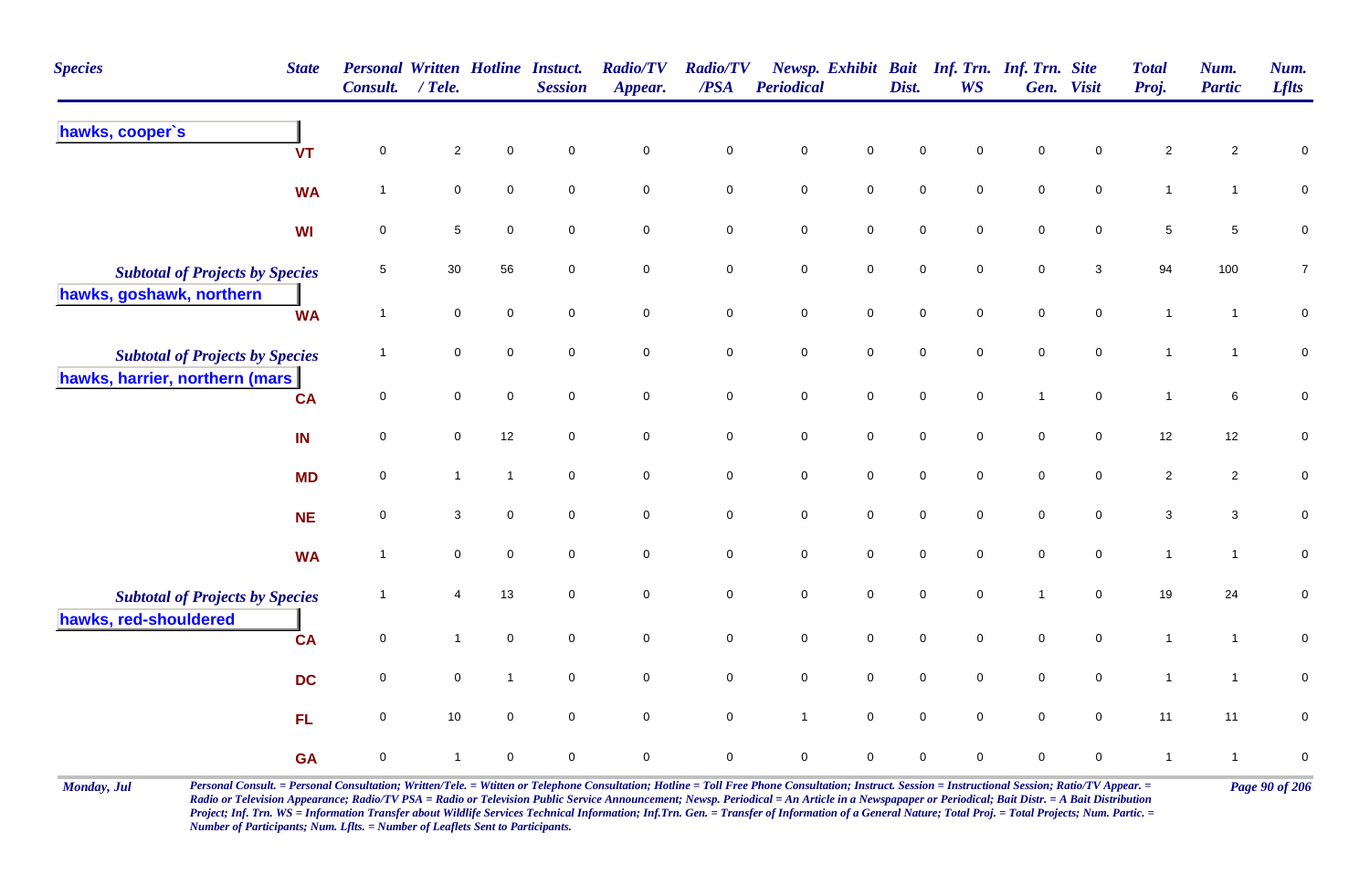| <b>Species</b>                                                     | <b>State</b> | <b>Personal Written Hotline Instuct.</b><br><b>Consult.</b> | $/$ Tele.      |                | <b>Session</b> | <b>Radio/TV</b><br>Appear. | <b>Radio/TV</b><br>$\triangle PSA$ | Periodical   |                     | Dist.       | Newsp. Exhibit Bait Inf. Trn. Inf. Trn. Site<br><b>WS</b> |                | Gen. Visit          | <b>Total</b><br>Proj. | Num.<br><b>Partic</b> | Num.<br><b>Lflts</b> |
|--------------------------------------------------------------------|--------------|-------------------------------------------------------------|----------------|----------------|----------------|----------------------------|------------------------------------|--------------|---------------------|-------------|-----------------------------------------------------------|----------------|---------------------|-----------------------|-----------------------|----------------------|
| hawks, cooper's                                                    | <b>VT</b>    | $\mathbf 0$                                                 | $\overline{2}$ | $\mathbf 0$    | $\mathbf 0$    | $\mathbf 0$                | $\mathsf{O}\xspace$                | $\mathsf 0$  | 0                   | $\mathbf 0$ | 0                                                         | $\mathbf 0$    | 0                   | $\overline{2}$        | $\overline{2}$        | $\mathbf 0$          |
|                                                                    | <b>WA</b>    | $\mathbf 1$                                                 | $\mathbf 0$    | $\mathbf 0$    | $\mathbf 0$    | $\mathbf 0$                | $\mathbf 0$                        | $\,0\,$      | $\mathbf 0$         | $\pmb{0}$   | 0                                                         | $\pmb{0}$      | $\pmb{0}$           | $\mathbf{1}$          | $\mathbf{1}$          | $\pmb{0}$            |
|                                                                    | WI           | $\pmb{0}$                                                   | $\sqrt{5}$     | $\mathbf 0$    | $\mathbf 0$    | $\pmb{0}$                  | $\mathbf 0$                        | $\,0\,$      | $\mathbf 0$         | $\pmb{0}$   | $\mathbf 0$                                               | $\pmb{0}$      | $\pmb{0}$           | $\,$ 5 $\,$           | $\sqrt{5}$            | $\pmb{0}$            |
| <b>Subtotal of Projects by Species</b><br>hawks, goshawk, northern |              | 5                                                           | 30             | 56             | $\mathbf 0$    | $\mathbf 0$                | 0                                  | $\mathbf 0$  | $\mathbf 0$         | $\mathbf 0$ | 0                                                         | $\mathbf 0$    | $\mathbf{3}$        | 94                    | 100                   | $\overline{7}$       |
|                                                                    | <b>WA</b>    | $\overline{1}$                                              | $\mathbf 0$    | $\mathbf 0$    | $\mathbf 0$    | $\mathbf 0$                | $\overline{0}$                     | $\mathsf 0$  | $\mathsf{O}\xspace$ | $\mathbf 0$ | $\mathbf 0$                                               | $\mathbf 0$    | $\mathbf 0$         | $\overline{1}$        | $\mathbf{1}$          | $\mathsf{O}\xspace$  |
| <b>Subtotal of Projects by Species</b>                             |              | $\overline{1}$                                              | $\mathbf 0$    | $\pmb{0}$      | $\overline{0}$ | $\mathbf 0$                | $\mathsf{O}\xspace$                | $\pmb{0}$    | $\mathbf 0$         | $\pmb{0}$   | $\mathbf 0$                                               | $\pmb{0}$      | $\mathsf{O}\xspace$ | $\mathbf{1}$          | $\mathbf{1}$          | $\pmb{0}$            |
| hawks, harrier, northern (mars                                     | <b>CA</b>    | 0                                                           | $\mathbf 0$    | $\mathbf 0$    | $\mathbf 0$    | $\mathbf 0$                | $\mathbf 0$                        | $\mathsf 0$  | $\mathbf 0$         | $\mathbf 0$ | $\mathbf 0$                                               | $\overline{1}$ | $\mathbf 0$         | $\overline{1}$        | 6                     | $\mathbf 0$          |
|                                                                    | IN           | $\mathsf 0$                                                 | $\mathbf 0$    | 12             | $\mathbf 0$    | $\mathbf 0$                | $\mathbf 0$                        | $\,0\,$      | $\mathsf{O}\xspace$ | $\pmb{0}$   | 0                                                         | $\pmb{0}$      | $\pmb{0}$           | 12                    | 12                    | $\pmb{0}$            |
|                                                                    | <b>MD</b>    | 0                                                           | $\mathbf{1}$   | $\mathbf{1}$   | $\mathbf 0$    | $\mathbf 0$                | $\mathbf 0$                        | $\,0\,$      | $\mathsf{O}\xspace$ | $\pmb{0}$   | $\mathsf{O}$                                              | $\pmb{0}$      | 0                   | $\sqrt{2}$            | $\overline{c}$        | $\mathbf 0$          |
|                                                                    | <b>NE</b>    | $\mathbf 0$                                                 | $\mathbf 3$    | $\mathbf 0$    | $\mathbf 0$    | $\mathbf 0$                | $\mathsf{O}\xspace$                | $\pmb{0}$    | $\mathbf 0$         | $\pmb{0}$   | $\mathbf 0$                                               | $\pmb{0}$      | $\mathsf{O}\xspace$ | $\mathbf 3$           | $\mathbf{3}$          | $\mathbf 0$          |
|                                                                    | <b>WA</b>    | $\overline{1}$                                              | $\mathbf 0$    | $\mathbf 0$    | $\mathbf 0$    | $\mathbf 0$                | ${\bf 0}$                          | $\pmb{0}$    | ${\bf 0}$           | $\pmb{0}$   | $\mathsf{O}$                                              | $\pmb{0}$      | $\pmb{0}$           | $\mathbf{1}$          | $\mathbf{1}$          | $\pmb{0}$            |
| <b>Subtotal of Projects by Species</b><br>hawks, red-shouldered    |              |                                                             | 4              | 13             | $\mathbf 0$    | $\mathsf{O}\xspace$        | $\mathbf 0$                        | $\mathbf 0$  | $\mathsf{O}\xspace$ | $\pmb{0}$   | $\mathbf 0$                                               | $\overline{1}$ | $\mathbf 0$         | 19                    | 24                    | $\mathbf 0$          |
|                                                                    | <b>CA</b>    | $\mathsf 0$                                                 | $\mathbf{1}$   | $\mathbf 0$    | $\mathbf 0$    | $\mathbf 0$                | $\overline{0}$                     | $\mathsf 0$  | $\mathsf{O}\xspace$ | $\mathbf 0$ | $\mathbf 0$                                               | $\mathbf 0$    | 0                   | $\overline{1}$        | $\mathbf{1}$          | $\pmb{0}$            |
|                                                                    | <b>DC</b>    | $\mathsf 0$                                                 | $\mathsf 0$    | $\overline{1}$ | $\mathbf 0$    | $\pmb{0}$                  | $\mathsf{O}\xspace$                | $\pmb{0}$    | $\mathbf 0$         | $\pmb{0}$   | $\mathbf 0$                                               | $\pmb{0}$      | $\mathsf{O}\xspace$ | $\mathbf{1}$          | $\mathbf{1}$          | $\pmb{0}$            |
|                                                                    | FL.          | 0                                                           | 10             | $\mathbf 0$    | $\mathbf 0$    | $\mathbf 0$                | $\mathbf 0$                        | $\mathbf{1}$ | $\mathbf 0$         | $\mathbf 0$ | 0                                                         | $\mathbf 0$    | $\pmb{0}$           | 11                    | 11                    | ${\bf 0}$            |
|                                                                    | <b>GA</b>    | $\pmb{0}$                                                   | $\mathbf{1}$   | $\mathbf 0$    | $\mathbf 0$    | 0                          | 0                                  | $\mathbf 0$  | 0                   | $\mathbf 0$ | 0                                                         | $\mathbf 0$    | 0                   | $\overline{1}$        | $\mathbf{1}$          | $\mathbf 0$          |

Monday, Jul Personal Consult. = Personal Consultation; Written/Tele. = Witten or Telephone Consultation; Hotline = Toll Free Phone Consultation; Instruct. Session = Instructional Session; Ratio/TV Appear. = Page 90 of 206 *Radio or Television Appearance; Radio/TV PSA = Radio or Television Public Service Announcement; Newsp. Periodical = An Article in a Newspapaper or Periodical; Bait Distr. = A Bait Distribution*  Project; Inf. Trn. WS = Information Transfer about Wildlife Services Technical Information; Inf.Trn. Gen. = Transfer of Information of a General Nature; Total Proj. = Total Projects; Num. Partic. = *Number of Participants; Num. Lflts. = Number of Leaflets Sent to Participants.*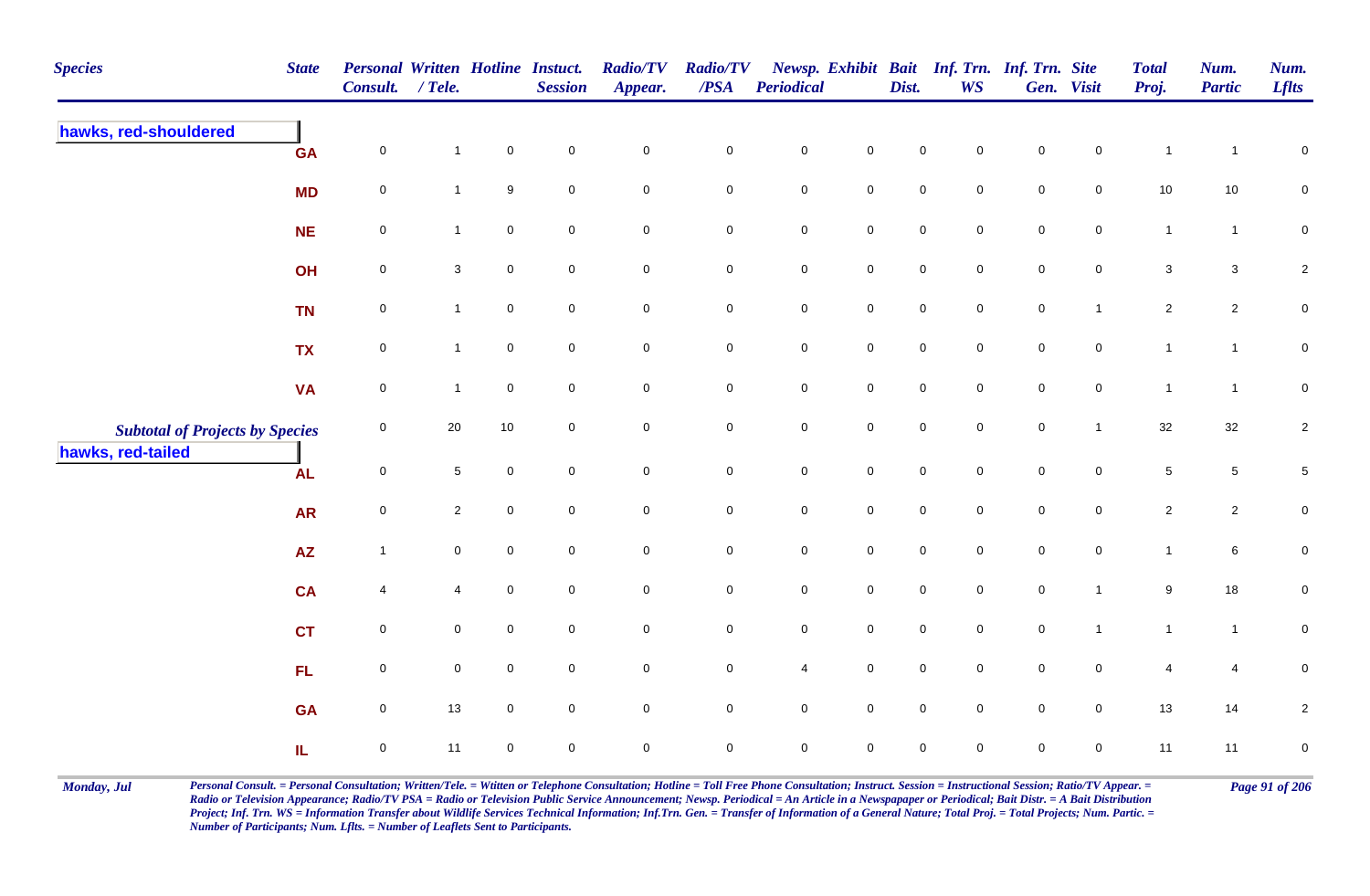| <b>Species</b>                         | <b>State</b> | Personal Written Hotline Instuct.<br>Consult. / Tele. |                 |                     | <b>Session</b>      | <b>Radio/TV</b><br>Appear. | <b>Radio/TV</b><br>$\overline{PSA}$ | Periodical          |                     | Dist.               | Newsp. Exhibit Bait Inf. Trn. Inf. Trn. Site<br><b>WS</b> |                     | Gen. Visit          | <b>Total</b><br>Proj.     | Num.<br><b>Partic</b> | Num.<br><b>Lflts</b>    |
|----------------------------------------|--------------|-------------------------------------------------------|-----------------|---------------------|---------------------|----------------------------|-------------------------------------|---------------------|---------------------|---------------------|-----------------------------------------------------------|---------------------|---------------------|---------------------------|-----------------------|-------------------------|
| hawks, red-shouldered                  | <b>GA</b>    | $\mathsf 0$                                           | $\mathbf{1}$    | $\pmb{0}$           | $\mathbf 0$         | $\pmb{0}$                  | $\pmb{0}$                           | $\pmb{0}$           | $\mathbf 0$         | $\pmb{0}$           | $\mathsf 0$                                               | $\mathsf{O}\xspace$ | $\mathbf 0$         | $\mathbf{1}$              | $\overline{1}$        | $\pmb{0}$               |
|                                        | <b>MD</b>    | $\mathsf 0$                                           | $\mathbf{1}$    | 9                   | $\mathbf 0$         | $\mathbf 0$                | $\mathbf 0$                         | $\mathbf 0$         | $\mathsf{O}\xspace$ | $\mathbf 0$         | $\mathbf 0$                                               | $\mathbf 0$         | $\overline{0}$      | 10                        | 10                    | 0                       |
|                                        | <b>NE</b>    | $\mathsf 0$                                           | $\mathbf{1}$    | $\mathsf{O}\xspace$ | $\mathbf 0$         | $\mathbf 0$                | $\mathbf 0$                         | $\mathbf 0$         | $\mathsf{O}$        | $\mathbf 0$         | $\mathbf 0$                                               | $\mathbf 0$         | $\overline{0}$      | $\mathbf{1}$              | $\mathbf{1}$          | 0                       |
|                                        | OH           | $\pmb{0}$                                             | $\mathbf{3}$    | $\mathbf 0$         | $\mathbf 0$         | $\mathbf 0$                | $\mathbf 0$                         | ${\bf 0}$           | $\mathbf 0$         | $\mathsf{O}\xspace$ | $\mathbf 0$                                               | $\mathsf{O}\xspace$ | $\mathbf 0$         | $\ensuremath{\mathsf{3}}$ | $\mathbf{3}$          | $\overline{\mathbf{c}}$ |
|                                        | <b>TN</b>    | $\mathsf 0$                                           | $\mathbf{1}$    | $\mathbf 0$         | $\mathsf{O}\xspace$ | $\mathsf{O}\xspace$        | $\mathsf{O}\xspace$                 | $\mathsf{O}\xspace$ | $\mathsf 0$         | $\mathsf 0$         | $\mathsf{O}\xspace$                                       | $\mathsf{O}\xspace$ | $\mathbf{1}$        | $\overline{2}$            | $\overline{2}$        | $\pmb{0}$               |
|                                        | <b>TX</b>    | $\mathsf 0$                                           | $\mathbf{1}$    | $\mathsf 0$         | $\mathbf 0$         | $\mathsf{O}\xspace$        | $\mathbf 0$                         | $\mathbf 0$         | $\mathsf{O}$        | $\mathbf 0$         | $\overline{0}$                                            | $\mathbf 0$         | $\mathsf{O}$        | $\mathbf{1}$              | $\mathbf{1}$          | $\pmb{0}$               |
|                                        | <b>VA</b>    | $\mathsf 0$                                           | $\mathbf{1}$    | $\mathsf{O}\xspace$ | $\mathbf 0$         | $\mathsf{O}\xspace$        | $\mathbf 0$                         | $\mathbf 0$         | $\mathsf{O}\xspace$ | $\mathsf{O}\xspace$ | $\overline{0}$                                            | $\mathsf{O}\xspace$ | $\mathbf 0$         | $\mathbf{1}$              | $\overline{1}$        | $\pmb{0}$               |
| <b>Subtotal of Projects by Species</b> |              | $\mathsf 0$                                           | 20              | $10$                | $\mathsf{O}\xspace$ | $\mathsf{O}\xspace$        | $\mathsf{O}\xspace$                 | $\pmb{0}$           | $\mathsf 0$         | $\mathsf 0$         | $\mathsf{O}\xspace$                                       | $\mathsf{O}\xspace$ | $\mathbf{1}$        | $32\,$                    | 32                    | $\sqrt{2}$              |
| hawks, red-tailed                      | <b>AL</b>    | $\mathsf 0$                                           | $5\phantom{.0}$ | $\mathbf 0$         | $\mathsf{O}\xspace$ | $\mathsf{O}\xspace$        | $\mathbf 0$                         | $\pmb{0}$           | $\mathsf{O}$        | $\mathsf{O}\xspace$ | $\mathsf{O}\xspace$                                       | $\mathbf 0$         | $\mathbf 0$         | $\,$ 5 $\,$               | $\sqrt{5}$            | $\,$ 5 $\,$             |
|                                        | <b>AR</b>    | $\mathsf 0$                                           | $\overline{2}$  | $\pmb{0}$           | $\mathbf 0$         | $\pmb{0}$                  | $\mathbf 0$                         | $\pmb{0}$           | $\mathsf{O}\xspace$ | $\mathsf{O}\xspace$ | $\mathbf 0$                                               | $\mathsf{O}\xspace$ | $\mathbf 0$         | $\overline{2}$            | $\overline{2}$        | $\pmb{0}$               |
|                                        | <b>AZ</b>    | $\mathbf{1}$                                          | $\mathbf 0$     | $\mathbf 0$         | $\mathbf 0$         | $\mathsf{O}\xspace$        | $\mathbf 0$                         | $\mathbf 0$         | $\mathbf 0$         | $\mathsf{O}\xspace$ | $\mathbf 0$                                               | $\mathsf{O}\xspace$ | $\mathbf 0$         | $\mathbf{1}$              | 6                     | $\pmb{0}$               |
|                                        | <b>CA</b>    | 4                                                     | 4               | $\mathbf 0$         | $\mathbf 0$         | $\mathbf 0$                | $\mathbf 0$                         | ${\bf 0}$           | $\mathbf 0$         | $\mathsf{O}\xspace$ | $\overline{0}$                                            | $\pmb{0}$           | $\overline{1}$      | 9                         | 18                    | 0                       |
|                                        | <b>CT</b>    | $\mathsf 0$                                           | 0               | $\pmb{0}$           | $\mathbf 0$         | $\mathsf{O}\xspace$        | $\mathbf 0$                         | $\mathbf 0$         | $\mathsf{O}$        | $\mathsf{O}\xspace$ | $\mathbf 0$                                               | $\mathbf 0$         | $\mathbf{1}$        | $\mathbf{1}$              | $\overline{1}$        | $\pmb{0}$               |
|                                        | FL           | $\mathbf 0$                                           | $\mathbf 0$     | $\mathbf 0$         | $\mathsf{O}\xspace$ | $\mathsf{O}\xspace$        | $\mathsf{O}\xspace$                 | $\overline{4}$      | $\mathsf 0$         | $\mathsf 0$         | $\mathbf 0$                                               | $\mathsf 0$         | $\mathsf{O}\xspace$ | 4                         | $\overline{4}$        | 0                       |
|                                        | <b>GA</b>    | $\mathsf 0$                                           | 13              | $\mathbf 0$         | $\mathbf 0$         | $\mathbf 0$                | $\mathbf 0$                         | $\mathbf 0$         | $\mathsf 0$         | $\mathsf{O}\xspace$ | $\mathbf 0$                                               | $\mathbf 0$         | $\overline{0}$      | 13                        | 14                    | $\overline{2}$          |
|                                        | IL.          | $\mathbf 0$                                           | 11              | $\pmb{0}$           | $\mathbf 0$         | $\mathsf{O}\xspace$        | $\mathsf 0$                         | $\mathbf 0$         | $\mathsf 0$         | $\pmb{0}$           | $\mathbf 0$                                               | $\mathbf 0$         | $\mathbf 0$         | 11                        | 11                    | $\pmb{0}$               |

Monday, Jul Personal Consult. = Personal Consultation; Written/Tele. = Witten or Telephone Consultation; Hotline = Toll Free Phone Consultation; Instruct. Session = Instructional Session; Ratio/TV Appear. = Page 91 of 206 *Radio or Television Appearance; Radio/TV PSA = Radio or Television Public Service Announcement; Newsp. Periodical = An Article in a Newspapaper or Periodical; Bait Distr. = A Bait Distribution*  Project; Inf. Trn. WS = Information Transfer about Wildlife Services Technical Information; Inf.Trn. Gen. = Transfer of Information of a General Nature; Total Proj. = Total Projects; Num. Partic. = *Number of Participants; Num. Lflts. = Number of Leaflets Sent to Participants.*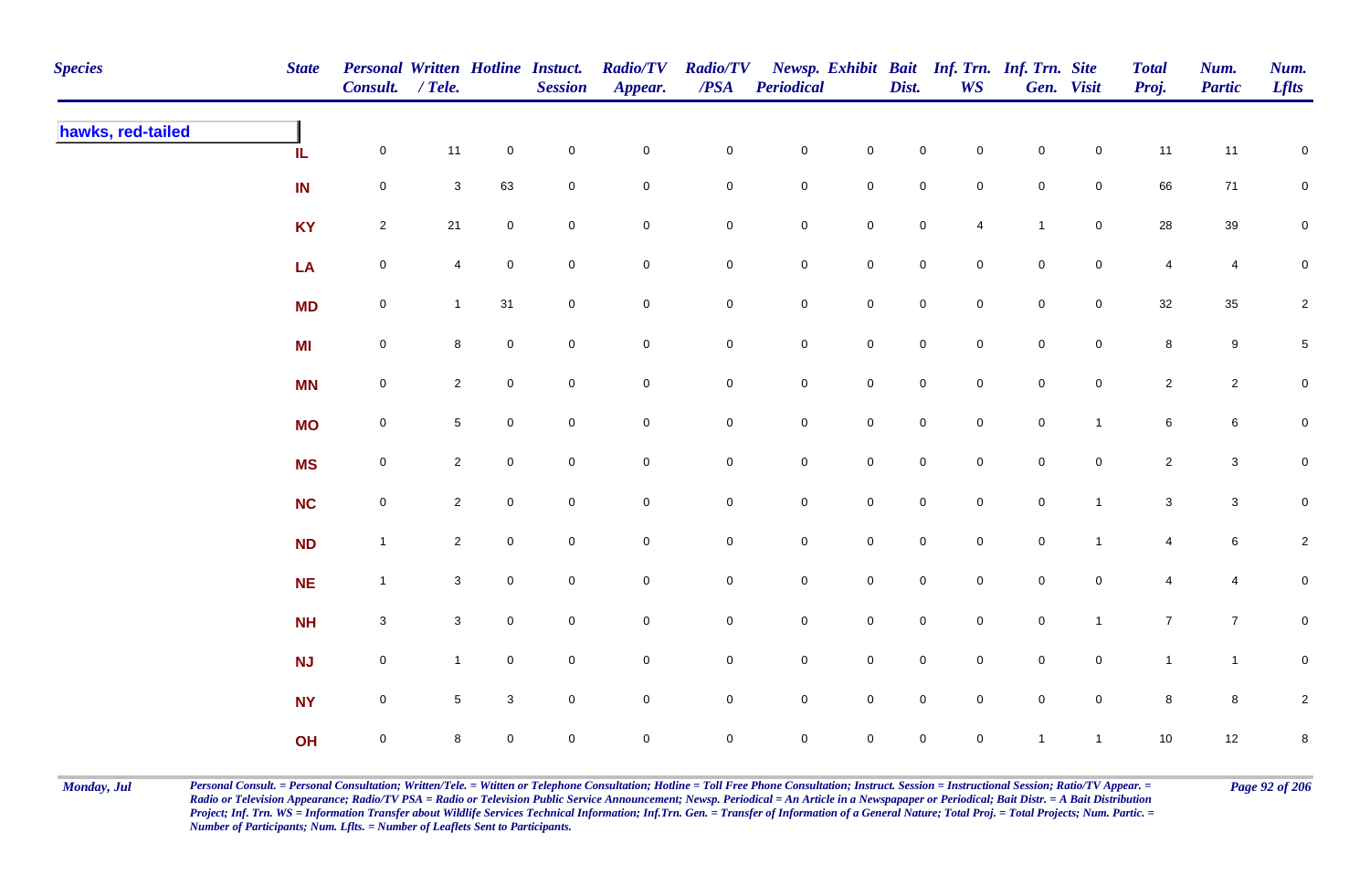| <b>Species</b>    | <b>State</b> | Personal Written Hotline Instuct.<br>Consult. / Tele. |                 |                     | <b>Session</b>      | <b>Radio/TV</b><br>Appear. | <b>Radio/TV</b><br>$\overline{PSA}$ | Periodical          |                     | Dist.               | <b>WS</b>           | Newsp. Exhibit Bait Inf. Trn. Inf. Trn. Site | Gen. Visit          | <b>Total</b><br>Proj. | Num.<br><b>Partic</b> | Num.<br><b>Lflts</b> |
|-------------------|--------------|-------------------------------------------------------|-----------------|---------------------|---------------------|----------------------------|-------------------------------------|---------------------|---------------------|---------------------|---------------------|----------------------------------------------|---------------------|-----------------------|-----------------------|----------------------|
| hawks, red-tailed | IL           | $\mathbf 0$                                           | 11              | $\mathsf{O}\xspace$ | $\mathbf 0$         | $\mathsf{O}\xspace$        | $\mathbf 0$                         | $\mathbf 0$         | $\pmb{0}$           | $\pmb{0}$           | $\mathbf 0$         | $\mathsf{O}\xspace$                          | $\mathsf{O}\xspace$ | 11                    | 11                    | ${\bf 0}$            |
|                   | IN           | $\mathsf{O}\xspace$                                   | $\mathbf{3}$    | 63                  | $\pmb{0}$           | $\pmb{0}$                  | $\mathbf 0$                         | $\mathbf 0$         | $\mathbf 0$         | $\mathbf 0$         | $\mathbf 0$         | $\mathbf 0$                                  | $\mathbf 0$         | 66                    | 71                    | $\mathbf 0$          |
|                   | <b>KY</b>    | $\overline{2}$                                        | 21              | $\mathbf 0$         | $\pmb{0}$           | $\mathsf{O}\xspace$        | $\mathsf{O}\xspace$                 | $\mathbf 0$         | $\pmb{0}$           | $\pmb{0}$           | $\overline{4}$      | $\overline{1}$                               | $\mathsf{O}\xspace$ | ${\bf 28}$            | $39\,$                | $\mathbf 0$          |
|                   | LA           | $\mathsf{O}\xspace$                                   | 4               | $\mathsf{O}\xspace$ | $\mathbf 0$         | $\mathsf{O}\xspace$        | $\overline{0}$                      | $\mathbf 0$         | $\mathbf 0$         | $\mathsf 0$         | $\mathsf{O}\xspace$ | $\mathbf 0$                                  | $\mathsf{O}\xspace$ | 4                     | 4                     | 0                    |
|                   | <b>MD</b>    | $\mathsf{O}\xspace$                                   | $\mathbf{1}$    | 31                  | $\mathbf 0$         | $\mathsf{O}\xspace$        | $\mathbf 0$                         | $\mathbf 0$         | $\mathsf{O}\xspace$ | $\mathsf 0$         | $\mathbf 0$         | $\mathsf{O}\xspace$                          | $\mathbf 0$         | 32                    | $35\,$                | $\overline{c}$       |
|                   | <b>MI</b>    | $\mathsf{O}\xspace$                                   | 8               | $\mathsf{O}\xspace$ | $\mathbf 0$         | $\overline{0}$             | $\mathbf 0$                         | $\mathbf 0$         | $\mathsf 0$         | $\mathsf 0$         | $\mathbf 0$         | $\mathbf 0$                                  | $\overline{0}$      | 8                     | $9\,$                 | $\sqrt{5}$           |
|                   | <b>MN</b>    | $\mathbf 0$                                           | $\overline{2}$  | $\mathsf{O}\xspace$ | $\mathbf 0$         | $\mathsf{O}\xspace$        | $\mathsf{O}\xspace$                 | $\mathbf 0$         | $\mathsf{O}\xspace$ | $\mathsf 0$         | $\mathbf 0$         | $\mathbf 0$                                  | $\mathbf 0$         | $\overline{2}$        | $\overline{2}$        | $\pmb{0}$            |
|                   | <b>MO</b>    | $\mathsf 0$                                           | $5\phantom{.0}$ | $\overline{0}$      | $\pmb{0}$           | 0                          | $\mathbf 0$                         | $\mathbf 0$         | $\mathsf{O}\xspace$ | $\mathsf{O}\xspace$ | $\mathbf 0$         | $\mathsf{O}\xspace$                          | $\mathbf{1}$        | 6                     | $6\phantom{.0}$       | $\overline{0}$       |
|                   | <b>MS</b>    | $\mathsf{O}\xspace$                                   | $\overline{2}$  | $\mathbf 0$         | $\mathsf{O}\xspace$ | $\mathbf 0$                | $\overline{0}$                      | $\mathsf{O}\xspace$ | $\pmb{0}$           | $\mathsf{O}\xspace$ | $\mathbf 0$         | $\mathsf{O}\xspace$                          | $\mathbf 0$         | $\overline{c}$        | $\mathbf{3}$          | $\overline{0}$       |
|                   | <b>NC</b>    | $\mathsf{O}\xspace$                                   | $\mathbf{2}$    | $\overline{0}$      | $\pmb{0}$           | $\mathsf{O}\xspace$        | $\mathbf 0$                         | $\mathbf 0$         | $\mathsf{O}\xspace$ | $\mathsf 0$         | $\mathsf{O}\xspace$ | $\mathbf 0$                                  | $\mathbf{1}$        | $\mathbf{3}$          | $\mathbf{3}$          | $\mathbf 0$          |
|                   | <b>ND</b>    | $\mathbf{1}$                                          | $\mathbf{2}$    | $\mathsf{O}\xspace$ | $\pmb{0}$           | $\mathsf{O}\xspace$        | $\mathsf{O}\xspace$                 | $\mathbf 0$         | $\pmb{0}$           | $\mathsf{O}\xspace$ | $\mathbf 0$         | $\mathbf 0$                                  | $\overline{1}$      | 4                     | $\,$ 6 $\,$           | $\overline{c}$       |
|                   | <b>NE</b>    | $\mathbf{1}$                                          | $\mathbf{3}$    | $\mathbf 0$         | $\pmb{0}$           | $\mathsf{O}\xspace$        | $\mathbf 0$                         | $\mathbf 0$         | $\mathbf 0$         | $\mathsf 0$         | $\mathbf 0$         | $\mathsf{O}\xspace$                          | $\mathbf 0$         | 4                     | 4                     | $\mathbf 0$          |
|                   | <b>NH</b>    | $\mathbf{3}$                                          | $\mathbf{3}$    | $\overline{0}$      | $\mathbf 0$         | 0                          | $\mathbf 0$                         | $\mathbf 0$         | $\mathbf 0$         | $\mathsf{O}\xspace$ | $\mathbf 0$         | $\mathsf{O}\xspace$                          | $\mathbf{1}$        | $\overline{7}$        | $\overline{7}$        | $\mathbf 0$          |
|                   | <b>NJ</b>    | $\mathbf 0$                                           | $\mathbf{1}$    | $\mathbf 0$         | $\mathbf 0$         | $\mathsf{O}\xspace$        | $\mathsf{O}\xspace$                 | $\mathbf 0$         | $\pmb{0}$           | $\mathsf 0$         | $\mathsf{O}\xspace$ | $\mathbf 0$                                  | $\mathbf 0$         | $\mathbf{1}$          | $\mathbf{1}$          | ${\bf 0}$            |
|                   | <b>NY</b>    | $\mathsf{O}\xspace$                                   | $\sqrt{5}$      | $\mathbf{3}$        | $\mathbf 0$         | $\mathsf{O}\xspace$        | $\mathsf{O}\xspace$                 | $\mathbf 0$         | $\pmb{0}$           | $\mathsf 0$         | $\mathsf{O}\xspace$ | $\mathsf{O}\xspace$                          | $\mathbf 0$         | $\bf8$                | $\bf8$                | $\overline{c}$       |
|                   | OH           | $\mathbf 0$                                           | 8               | $\mathbf 0$         | $\mathbf 0$         | $\mathbf 0$                | $\overline{0}$                      | $\mathsf{O}\xspace$ | $\mathsf{O}\xspace$ | $\mathsf{O}\xspace$ | $\pmb{0}$           | $\overline{1}$                               | $\mathbf{1}$        | 10                    | 12                    | $\bf 8$              |

Monday, Jul Personal Consult. = Personal Consultation; Written/Tele. = Witten or Telephone Consultation; Hotline = Toll Free Phone Consultation; Instruct. Session = Instructional Session; Ratio/TV Appear. = Page 92 of 206 *Radio or Television Appearance; Radio/TV PSA = Radio or Television Public Service Announcement; Newsp. Periodical = An Article in a Newspapaper or Periodical; Bait Distr. = A Bait Distribution*  Project; Inf. Trn. WS = Information Transfer about Wildlife Services Technical Information; Inf.Trn. Gen. = Transfer of Information of a General Nature; Total Proj. = Total Projects; Num. Partic. = *Number of Participants; Num. Lflts. = Number of Leaflets Sent to Participants.*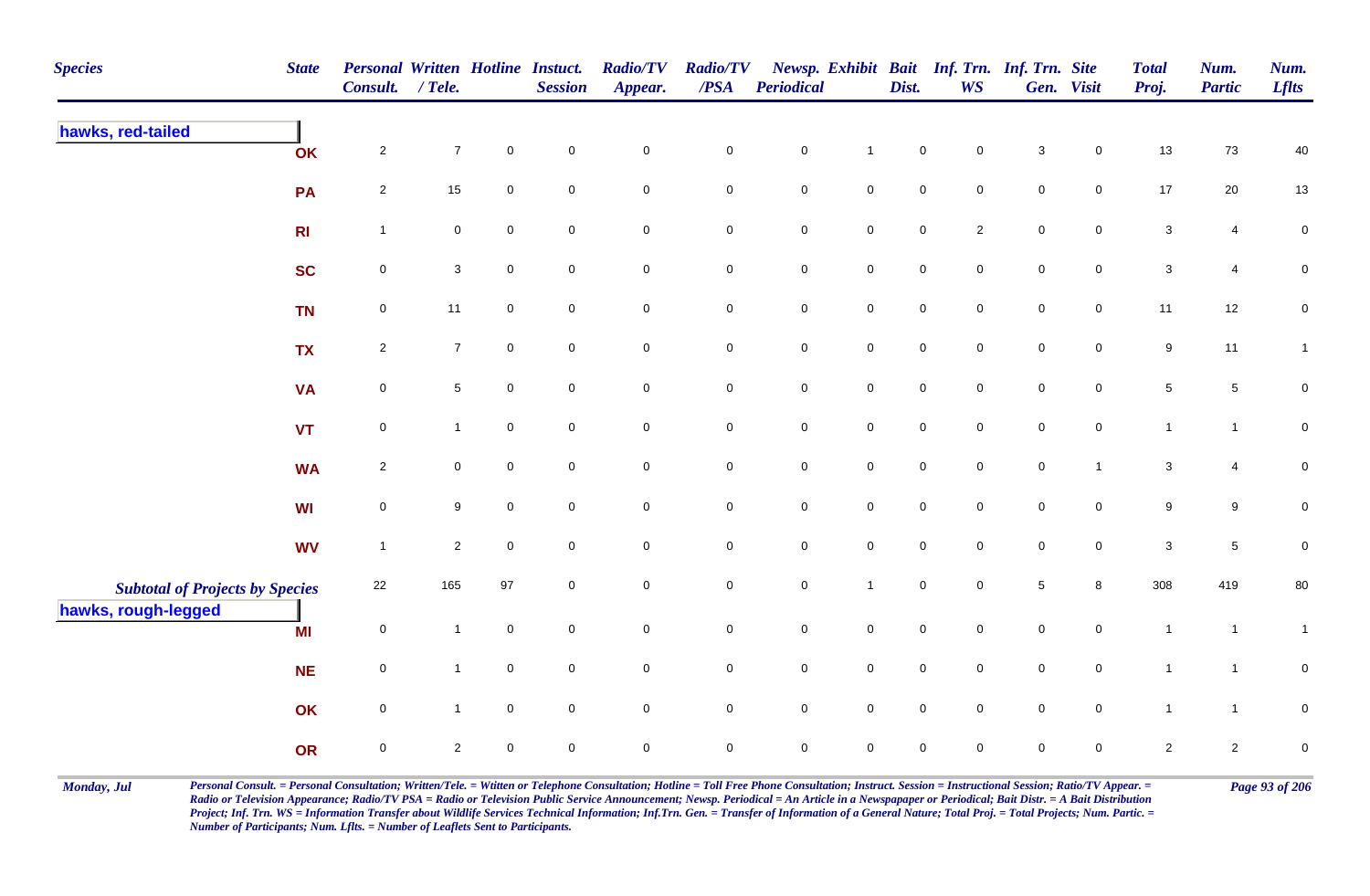| <b>Species</b>                                                | <b>State</b>   | <b>Personal Written Hotline Instuct.</b><br>Consult. | $/$ Tele.      |                     | <b>Session</b>      | <b>Radio/TV</b><br>Appear. | <b>Radio/TV</b><br>/PSA | Periodical  |                     | Dist.       | <b>WS</b>           | Newsp. Exhibit Bait Inf. Trn. Inf. Trn. Site | Gen. Visit     | <b>Total</b><br>Proj.     | Num.<br><b>Partic</b> | Num.<br><b>Lflts</b> |
|---------------------------------------------------------------|----------------|------------------------------------------------------|----------------|---------------------|---------------------|----------------------------|-------------------------|-------------|---------------------|-------------|---------------------|----------------------------------------------|----------------|---------------------------|-----------------------|----------------------|
| hawks, red-tailed                                             | OK             | $\overline{2}$                                       | $\overline{7}$ | $\mathsf{O}\xspace$ | $\mathbf 0$         | $\mathbf 0$                | $\mathbf 0$             | $\pmb{0}$   | $\mathbf{1}$        | $\mathbf 0$ | $\mathbf 0$         | 3                                            | $\mathbf 0$    | 13                        | 73                    | 40                   |
|                                                               | PA             | $\overline{2}$                                       | 15             | $\mathbf 0$         | $\mathbf 0$         | $\mathbf 0$                | $\mathbf 0$             | $\pmb{0}$   | $\mathbf 0$         | $\pmb{0}$   | $\mathbf 0$         | $\mathsf 0$                                  | $\overline{0}$ | 17                        | 20                    | $13$                 |
|                                                               | R <sub>l</sub> | $\overline{1}$                                       | $\mathbf 0$    | $\overline{0}$      | $\mathbf 0$         | $\mathbf 0$                | $\mathbf 0$             | $\pmb{0}$   | $\mathsf{O}\xspace$ | $\pmb{0}$   | $\overline{2}$      | $\pmb{0}$                                    | $\mathbf 0$    | $\mathbf{3}$              | 4                     | $\pmb{0}$            |
|                                                               | <b>SC</b>      | $\mathbf 0$                                          | 3              | $\mathbf 0$         | $\mathbf 0$         | $\mathbf 0$                | $\mathbf 0$             | $\pmb{0}$   | $\mathbf 0$         | $\pmb{0}$   | $\mathbf 0$         | $\pmb{0}$                                    | $\mathbf 0$    | 3                         | 4                     | $\mathbf 0$          |
|                                                               | <b>TN</b>      | $\mathsf{O}$                                         | 11             | $\overline{0}$      | $\mathbf 0$         | $\mathbf 0$                | $\mathbf 0$             | $\pmb{0}$   | $\mathsf 0$         | $\pmb{0}$   | $\overline{0}$      | $\mathsf 0$                                  | $\overline{0}$ | 11                        | 12                    | $\mathbf 0$          |
|                                                               | <b>TX</b>      | $\overline{2}$                                       | $\overline{7}$ | $\mathbf 0$         | $\mathbf 0$         | $\mathsf{O}\xspace$        | $\mathsf{O}$            | $\pmb{0}$   | $\mathsf{O}$        | $\pmb{0}$   | $\mathbf 0$         | $\pmb{0}$                                    | $\mathbf 0$    | $9\,$                     | 11                    | $\mathbf{1}$         |
|                                                               | <b>VA</b>      | $\mathsf{O}\xspace$                                  | $\sqrt{5}$     | $\mathsf{O}\xspace$ | $\mathsf{O}\xspace$ | $\pmb{0}$                  | $\mathbf 0$             | $\pmb{0}$   | $\mathsf 0$         | $\pmb{0}$   | $\mathsf{O}\xspace$ | $\pmb{0}$                                    | $\mathbf 0$    | $\sqrt{5}$                | 5                     | $\pmb{0}$            |
|                                                               | <b>VT</b>      | $\mathbf 0$                                          | $\mathbf{1}$   | $\mathsf{O}\xspace$ | $\mathbf 0$         | $\mathsf{O}\xspace$        | $\mathbf 0$             | $\pmb{0}$   | $\mathbf 0$         | $\pmb{0}$   | $\mathbf 0$         | $\pmb{0}$                                    | $\mathbf 0$    | $\mathbf{1}$              | $\mathbf{1}$          | $\mathbf 0$          |
|                                                               | <b>WA</b>      | $\overline{2}$                                       | $\mathbf 0$    | $\mathsf{O}\xspace$ | $\mathsf{O}\xspace$ | $\mathsf{O}\xspace$        | $\mathbf 0$             | $\pmb{0}$   | $\mathsf{O}\xspace$ | $\pmb{0}$   | $\mathbf 0$         | $\pmb{0}$                                    | $\mathbf{1}$   | $\ensuremath{\mathsf{3}}$ | 4                     | $\mathbf 0$          |
|                                                               | <b>WI</b>      | $\mathsf{O}\xspace$                                  | 9              | $\mathsf{O}\xspace$ | $\mathbf 0$         | $\mathsf{O}\xspace$        | $\mathbf 0$             | $\pmb{0}$   | $\pmb{0}$           | $\pmb{0}$   | $\mathbf 0$         | $\pmb{0}$                                    | $\mathbf 0$    | 9                         | 9                     | $\mathbf 0$          |
|                                                               | <b>WV</b>      | $\overline{1}$                                       | $\overline{2}$ | $\mathsf{O}\xspace$ | $\mathbf 0$         | $\mathsf{O}\xspace$        | $\mathbf 0$             | $\mathsf 0$ | $\mathbf 0$         | $\mathbf 0$ | $\mathbf 0$         | $\mathbf 0$                                  | $\mathbf 0$    | $\ensuremath{\mathsf{3}}$ | 5                     | $\pmb{0}$            |
| <b>Subtotal of Projects by Species</b><br>hawks, rough-legged |                | 22                                                   | 165            | 97                  | $\mathbf 0$         | $\mathbf 0$                | $\mathbf 0$             | $\pmb{0}$   | $\mathbf{1}$        | $\pmb{0}$   | $\pmb{0}$           | $\,$ 5 $\,$                                  | 8              | 308                       | 419                   | $80\,$               |
|                                                               | MI             | $\mathbf 0$                                          | $\mathbf{1}$   | $\mathbf 0$         | $\mathbf 0$         | $\mathbf 0$                | $\mathbf 0$             | $\pmb{0}$   | $\mathbf 0$         | $\pmb{0}$   | $\mathbf 0$         | $\pmb{0}$                                    | $\mathbf 0$    | $\mathbf{1}$              | $\overline{1}$        | $\mathbf{1}$         |
|                                                               | <b>NE</b>      | $\mathbf 0$                                          | $\mathbf{1}$   | $\mathsf{O}\xspace$ | $\mathsf{O}\xspace$ | $\mathsf{O}\xspace$        | $\mathbf 0$             | $\pmb{0}$   | $\mathsf 0$         | $\pmb{0}$   | $\mathbf 0$         | $\pmb{0}$                                    | $\mathbf 0$    | $\mathbf{1}$              | $\mathbf{1}$          | $\mathbf 0$          |
|                                                               | OK             | $\mathbf 0$                                          | $\mathbf{1}$   | $\mathsf{O}\xspace$ | $\mathbf 0$         | $\overline{0}$             | $\overline{0}$          | $\mathsf 0$ | $\mathsf 0$         | $\mathsf 0$ | $\mathbf 0$         | $\mathsf 0$                                  | $\overline{0}$ | $\mathbf{1}$              | $\mathbf{1}$          | $\mathbf 0$          |
|                                                               | <b>OR</b>      | $\mathbf 0$                                          | $\overline{2}$ | $\mathbf 0$         | $\mathsf{O}\xspace$ | $\mathsf{O}\xspace$        | $\mathsf{O}\xspace$     | $\pmb{0}$   | $\mathsf{O}\xspace$ | $\mathsf 0$ | $\mathbf 0$         | $\mathsf 0$                                  | $\mathbf 0$    | $\overline{2}$            | $\overline{c}$        | $\pmb{0}$            |

Monday, Jul Personal Consult. = Personal Consultation; Written/Tele. = Witten or Telephone Consultation; Hotline = Toll Free Phone Consultation; Instruct. Session = Instructional Session; Ratio/TV Appear. = Page 93 of 206 *Radio or Television Appearance; Radio/TV PSA = Radio or Television Public Service Announcement; Newsp. Periodical = An Article in a Newspapaper or Periodical; Bait Distr. = A Bait Distribution*  Project; Inf. Trn. WS = Information Transfer about Wildlife Services Technical Information; Inf.Trn. Gen. = Transfer of Information of a General Nature; Total Proj. = Total Projects; Num. Partic. = *Number of Participants; Num. Lflts. = Number of Leaflets Sent to Participants.*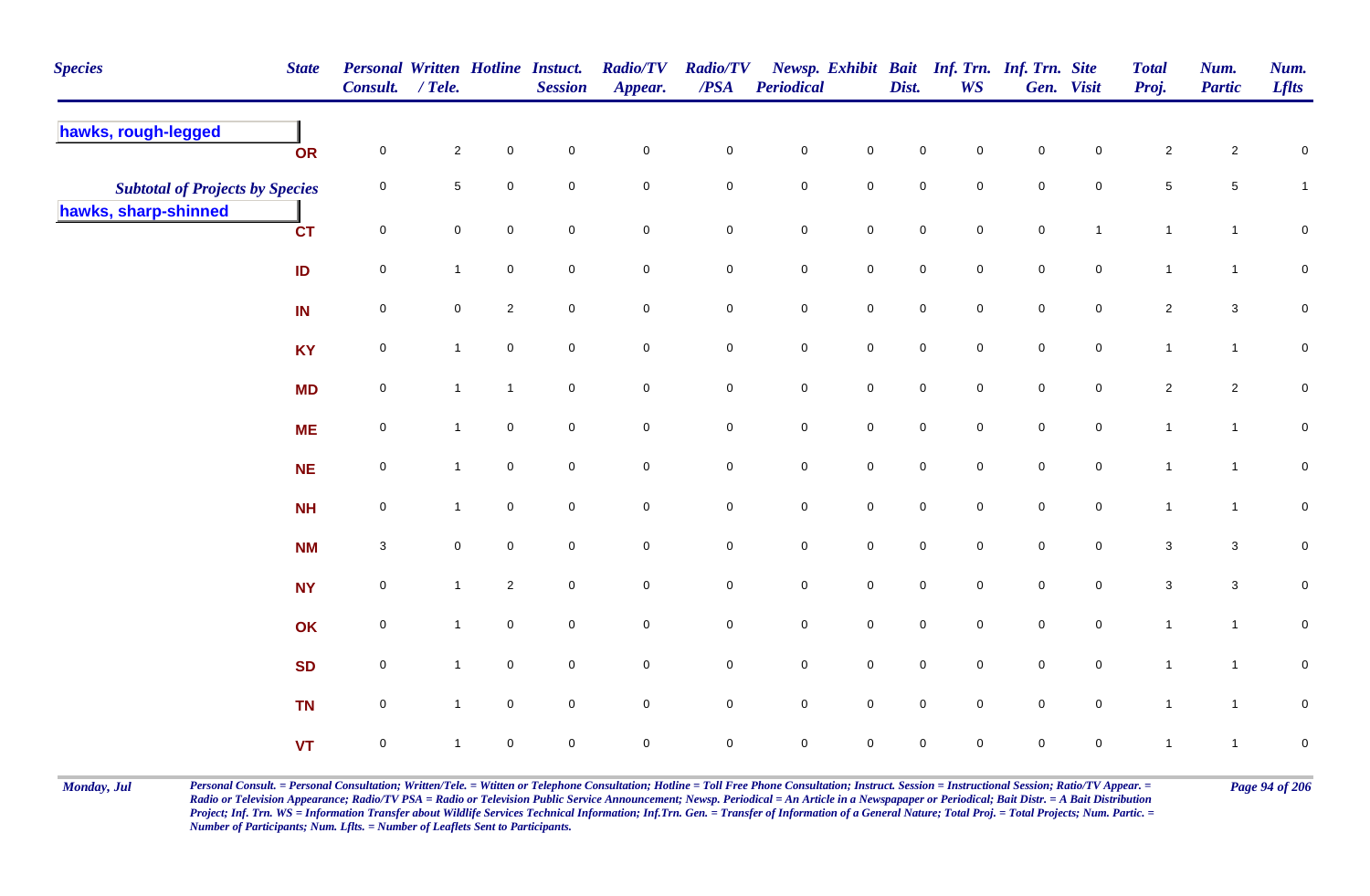| <b>Species</b>                         | <b>State</b> | Personal Written Hotline Instuct.<br>Consult. / Tele. |                     |                     | <b>Session</b>      | <b>Radio/TV</b><br>Appear. | <b>Radio/TV</b><br>/PSA | <b>Periodical</b> |                     | Dist.       | Newsp. Exhibit Bait Inf. Trn. Inf. Trn. Site<br><b>WS</b> |             | Gen. Visit          | <b>Total</b><br>Proj. | Num.<br><b>Partic</b> | Num.<br><b>Lflts</b> |
|----------------------------------------|--------------|-------------------------------------------------------|---------------------|---------------------|---------------------|----------------------------|-------------------------|-------------------|---------------------|-------------|-----------------------------------------------------------|-------------|---------------------|-----------------------|-----------------------|----------------------|
| hawks, rough-legged                    | OR           | $\mathbf 0$                                           | $\overline{2}$      | $\mathbf 0$         | $\mathsf 0$         | $\mathbf 0$                | $\mathbf 0$             | $\pmb{0}$         | $\pmb{0}$           | $\mathsf 0$ | 0                                                         | $\mathsf 0$ | $\mathbf 0$         | $\overline{2}$        | $\overline{a}$        | $\pmb{0}$            |
| <b>Subtotal of Projects by Species</b> |              | 0                                                     | $\sqrt{5}$          | $\overline{0}$      | $\mathbf 0$         | $\mathbf 0$                | $\overline{0}$          | $\mathbf 0$       | $\mathbf 0$         | $\mathsf 0$ | $\mathbf 0$                                               | $\mathsf 0$ | 0                   | $\,$ 5 $\,$           | $5\phantom{.0}$       | $\mathbf{1}$         |
| hawks, sharp-shinned                   | <b>CT</b>    | $\mathbf 0$                                           | $\pmb{0}$           | $\mathbf 0$         | $\mathsf 0$         | $\mathbf 0$                | $\mathbf 0$             | $\pmb{0}$         | $\mathbf 0$         | $\pmb{0}$   | $\mathbf 0$                                               | $\pmb{0}$   | $\mathbf{1}$        | $\mathbf{1}$          | $\mathbf{1}$          | $\pmb{0}$            |
|                                        | ID           | $\mathbf 0$                                           | $\mathbf{1}$        | $\mathbf 0$         | $\mathbf 0$         | $\mathbf 0$                | $\overline{0}$          | $\mathbf 0$       | $\mathbf 0$         | $\mathbf 0$ | 0                                                         | $\mathbf 0$ | $\mathbf 0$         | $\mathbf{1}$          | $\mathbf{1}$          | $\mathbf 0$          |
|                                        | IN           | 0                                                     | $\mathsf{O}\xspace$ | $\overline{2}$      | $\overline{0}$      | $\mathbf 0$                | $\mathbf 0$             | $\pmb{0}$         | $\mathsf{O}\xspace$ | $\pmb{0}$   | $\mathbf 0$                                               | $\mathsf 0$ | $\mathbf 0$         | $\overline{2}$        | $\mathbf{3}$          | $\pmb{0}$            |
|                                        | <b>KY</b>    | $\mathbf 0$                                           | $\mathbf{1}$        | $\mathsf{O}\xspace$ | $\overline{0}$      | $\mathsf{O}\xspace$        | $\mathbf 0$             | $\mathbf 0$       | $\mathbf 0$         | $\pmb{0}$   | $\mathbf 0$                                               | $\pmb{0}$   | $\mathsf{O}\xspace$ | $\mathbf{1}$          | $\mathbf{1}$          | $\overline{0}$       |
|                                        | <b>MD</b>    | $\mathbf 0$                                           | $\mathbf{1}$        | $\mathbf{1}$        | $\mathbf 0$         | $\mathbf 0$                | $\overline{0}$          | $\pmb{0}$         | $\mathbf 0$         | $\mathbf 0$ | $\mathbf 0$                                               | $\mathbf 0$ | $\mathbf 0$         | $\overline{2}$        | $\overline{c}$        | $\overline{0}$       |
|                                        | <b>ME</b>    | $\mathbf 0$                                           | $\mathbf{1}$        | $\mathbf 0$         | $\mathbf 0$         | $\mathbf 0$                | $\mathbf 0$             | $\pmb{0}$         | $\mathbf 0$         | $\mathsf 0$ | 0                                                         | $\mathsf 0$ | $\mathbf 0$         | $\mathbf{1}$          | $\mathbf{1}$          | $\mathbf 0$          |
|                                        | <b>NE</b>    | $\overline{0}$                                        | $\mathbf{1}$        | $\mathbf 0$         | $\mathbf 0$         | $\mathbf 0$                | $\pmb{0}$               | $\pmb{0}$         | $\mathbf 0$         | $\pmb{0}$   | $\mathbf 0$                                               | $\mathsf 0$ | $\mathbf 0$         | $\mathbf{1}$          | $\mathbf{1}$          | $\mathbf 0$          |
|                                        | <b>NH</b>    | 0                                                     | $\mathbf{1}$        | $\mathbf 0$         | $\mathbf 0$         | $\mathbf 0$                | $\mathbf 0$             | $\pmb{0}$         | $\mathbf 0$         | $\pmb{0}$   | $\mathbf 0$                                               | $\pmb{0}$   | $\mathbf 0$         | $\mathbf{1}$          | $\mathbf{1}$          | $\mathbf 0$          |
|                                        | <b>NM</b>    | 3                                                     | $\mathbf 0$         | $\overline{0}$      | $\mathbf 0$         | $\mathsf{O}\xspace$        | $\overline{0}$          | $\pmb{0}$         | $\mathsf{O}\xspace$ | $\mathsf 0$ | $\mathbf 0$                                               | $\mathsf 0$ | $\mathbf 0$         | $\mathbf{3}$          | $\mathbf{3}$          | $\pmb{0}$            |
|                                        | <b>NY</b>    | $\mathbf 0$                                           | $\mathbf{1}$        | $\overline{2}$      | $\mathsf{O}\xspace$ | $\mathbf 0$                | $\mathbf 0$             | $\mathbf 0$       | $\mathsf{O}\xspace$ | $\mathbf 0$ | $\mathbf 0$                                               | $\pmb{0}$   | $\mathbf 0$         | $\sqrt{3}$            | $\mathbf{3}$          | $\pmb{0}$            |
|                                        | OK           | $\mathbf 0$                                           | $\mathbf{1}$        | $\overline{0}$      | $\overline{0}$      | $\mathbf 0$                | $\overline{0}$          | $\mathbf 0$       | $\overline{0}$      | $\mathsf 0$ | $\mathbf 0$                                               | $\mathsf 0$ | $\mathbf 0$         | $\mathbf{1}$          | $\mathbf{1}$          | $\pmb{0}$            |
|                                        | <b>SD</b>    | $\mathbf 0$                                           | $\mathbf{1}$        | $\mathbf 0$         | $\mathbf 0$         | $\mathsf{O}\xspace$        | $\overline{0}$          | $\pmb{0}$         | $\mathsf{O}\xspace$ | $\pmb{0}$   | $\mathbf 0$                                               | $\pmb{0}$   | $\mathbf 0$         | $\mathbf{1}$          | $\mathbf{1}$          | $\overline{0}$       |
|                                        | <b>TN</b>    | $\mathbf 0$                                           | $\mathbf{1}$        | $\mathbf 0$         | $\mathbf 0$         | $\mathsf{O}\xspace$        | $\mathbf 0$             | $\mathbf 0$       | $\mathsf{O}\xspace$ | $\mathbf 0$ | $\mathbf 0$                                               | $\mathbf 0$ | $\mathbf 0$         | $\overline{1}$        | $\mathbf{1}$          | $\mathsf{O}\xspace$  |
|                                        | <b>VT</b>    | $\mathbf 0$                                           | $\mathbf{1}$        | $\mathsf 0$         | $\mathsf{O}\xspace$ | $\pmb{0}$                  | $\mathbf 0$             | $\mathsf 0$       | $\mathbf 0$         | $\mathsf 0$ | 0                                                         | $\pmb{0}$   | $\pmb{0}$           | $\mathbf{1}$          | $\mathbf{1}$          | $\pmb{0}$            |

Monday, Jul Personal Consult. = Personal Consultation; Written/Tele. = Witten or Telephone Consultation; Hotline = Toll Free Phone Consultation; Instruct. Session = Instructional Session; Ratio/TV Appear. = Page 94 of 206 *Radio or Television Appearance; Radio/TV PSA = Radio or Television Public Service Announcement; Newsp. Periodical = An Article in a Newspapaper or Periodical; Bait Distr. = A Bait Distribution*  Project; Inf. Trn. WS = Information Transfer about Wildlife Services Technical Information; Inf.Trn. Gen. = Transfer of Information of a General Nature; Total Proj. = Total Projects; Num. Partic. = *Number of Participants; Num. Lflts. = Number of Leaflets Sent to Participants.*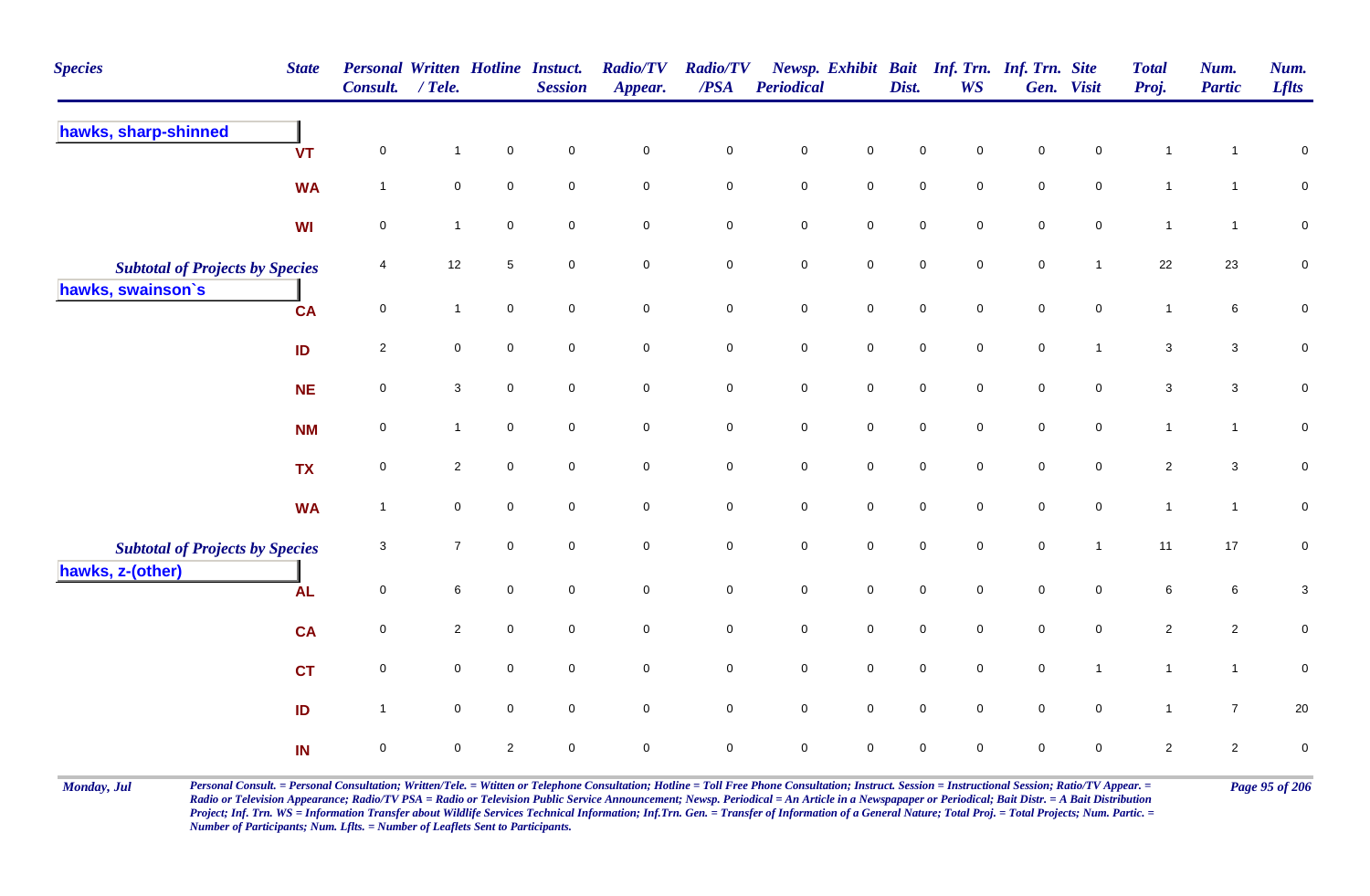| <b>Species</b>                         | <b>State</b> | <b>Personal Written Hotline Instuct.</b><br>Consult. | $/$ Tele.           |                | <b>Session</b>      | <b>Radio/TV</b><br>Appear. | <b>Radio/TV</b><br>/PSA | <b>Periodical</b>   |                     | Dist.               | <b>WS</b>           | Newsp. Exhibit Bait Inf. Trn. Inf. Trn. Site | Gen. Visit          | <b>Total</b><br>Proj. | Num.<br><b>Partic</b> | Num.<br><b>Lflts</b>      |
|----------------------------------------|--------------|------------------------------------------------------|---------------------|----------------|---------------------|----------------------------|-------------------------|---------------------|---------------------|---------------------|---------------------|----------------------------------------------|---------------------|-----------------------|-----------------------|---------------------------|
| hawks, sharp-shinned                   | <b>VT</b>    | $\pmb{0}$                                            | $\mathbf{1}$        | $\pmb{0}$      | $\mathbf 0$         | $\mathbf 0$                | $\pmb{0}$               | $\pmb{0}$           | $\mathbf 0$         | $\pmb{0}$           | $\mathbf 0$         | $\mathbf 0$                                  | $\mathsf{O}\xspace$ | $\overline{1}$        | $\mathbf{1}$          | $\pmb{0}$                 |
|                                        | <b>WA</b>    | $\mathbf{1}$                                         | $\mathbf 0$         | $\mathbf 0$    | $\mathbf 0$         | $\mathsf{O}\xspace$        | $\mathsf{O}\xspace$     | $\mathsf{O}\xspace$ | $\mathsf 0$         | $\mathsf{O}\xspace$ | $\mathbf 0$         | $\mathsf{O}\xspace$                          | $\mathbf 0$         | $\mathbf{1}$          | $\mathbf{1}$          | $\mathbf 0$               |
|                                        | <b>WI</b>    | $\mathsf 0$                                          | $\mathbf{1}$        | $\mathbf 0$    | $\mathbf 0$         | $\mathsf{O}\xspace$        | $\mathsf{O}\xspace$     | $\pmb{0}$           | $\mathbf 0$         | $\mathbf 0$         | $\mathbf 0$         | $\mathbf 0$                                  | $\mathbf 0$         | $\mathbf{1}$          | $\mathbf{1}$          | ${\bf 0}$                 |
| <b>Subtotal of Projects by Species</b> |              | 4                                                    | 12                  | $\sqrt{5}$     | $\mathbf 0$         | $\mathbf 0$                | $\mathbf 0$             | $\pmb{0}$           | $\mathsf{O}\xspace$ | $\mathsf{O}\xspace$ | $\mathbf 0$         | $\mathbf 0$                                  | $\overline{1}$      | 22                    | 23                    | $\pmb{0}$                 |
| hawks, swainson's                      | <b>CA</b>    | $\mathbf 0$                                          | $\mathbf{1}$        | $\mathbf 0$    | $\mathbf 0$         | $\mathsf{O}\xspace$        | $\mathbf 0$             | $\mathsf{O}\xspace$ | $\mathsf 0$         | $\mathsf{O}\xspace$ | $\mathbf 0$         | $\mathsf{O}\xspace$                          | $\mathsf{O}\xspace$ | $\mathbf{1}$          | 6                     | $\pmb{0}$                 |
|                                        | ID           | $\overline{2}$                                       | $\mathsf{O}\xspace$ | $\pmb{0}$      | $\mathbf 0$         | $\mathbf 0$                | $\mathbf 0$             | $\mathbf 0$         | $\mathsf{O}\xspace$ | $\mathbf 0$         | $\mathsf{O}\xspace$ | $\mathbf 0$                                  | $\mathbf{1}$        | $\mathbf{3}$          | $\mathbf{3}$          | $\pmb{0}$                 |
|                                        | <b>NE</b>    | $\pmb{0}$                                            | $\mathbf{3}$        | $\pmb{0}$      | $\mathbf 0$         | $\mathsf{O}\xspace$        | $\pmb{0}$               | $\mathbf 0$         | $\mathsf 0$         | $\mathsf 0$         | $\mathbf 0$         | $\mathsf 0$                                  | $\mathsf{O}\xspace$ | $\mathbf{3}$          | $\mathbf{3}$          | $\pmb{0}$                 |
|                                        | <b>NM</b>    | $\mathsf 0$                                          | $\mathbf{1}$        | $\mathbf 0$    | $\mathbf 0$         | $\mathsf{O}\xspace$        | $\mathbf 0$             | $\mathsf{O}\xspace$ | $\mathsf{O}$        | $\mathsf{O}\xspace$ | $\mathbf 0$         | $\mathsf{O}\xspace$                          | $\mathsf{O}\xspace$ | $\mathbf{1}$          | $\mathbf{1}$          | $\pmb{0}$                 |
|                                        | <b>TX</b>    | $\mathsf 0$                                          | $\overline{2}$      | $\mathsf 0$    | $\mathbf 0$         | $\mathsf{O}\xspace$        | $\mathbf 0$             | $\mathbf 0$         | $\mathsf{O}$        | $\mathsf{O}\xspace$ | $\mathbf 0$         | $\mathsf{O}\xspace$                          | $\mathbf 0$         | $\overline{2}$        | $\mathbf{3}$          | $\mathbf 0$               |
|                                        | <b>WA</b>    | $\overline{1}$                                       | $\mathbf 0$         | $\mathsf 0$    | $\mathbf 0$         | $\mathsf{O}\xspace$        | $\mathbf 0$             | $\mathbf 0$         | $\mathbf 0$         | $\mathsf{O}\xspace$ | $\mathbf 0$         | $\mathbf 0$                                  | $\mathsf{O}\xspace$ | $\mathbf{1}$          | $\mathbf{1}$          | ${\bf 0}$                 |
| <b>Subtotal of Projects by Species</b> |              | $\mathbf{3}$                                         | $\overline{7}$      | $\pmb{0}$      | $\mathsf{O}\xspace$ | $\mathbf 0$                | $\mathbf 0$             | $\mathsf 0$         | $\mathsf 0$         | $\mathsf 0$         | $\mathbf 0$         | $\mathsf 0$                                  | $\mathbf{1}$        | 11                    | $17\,$                | $\pmb{0}$                 |
| hawks, z-(other)                       | <b>AL</b>    | $\mathbf 0$                                          | 6                   | $\mathsf 0$    | $\mathbf 0$         | $\mathsf{O}\xspace$        | $\mathbf 0$             | $\mathbf 0$         | $\mathbf 0$         | $\mathbf 0$         | $\mathbf 0$         | $\mathbf 0$                                  | $\mathbf 0$         | 6                     | $6\phantom{.}6$       | $\ensuremath{\mathsf{3}}$ |
|                                        | <b>CA</b>    | $\pmb{0}$                                            | $\overline{2}$      | $\pmb{0}$      | $\mathbf 0$         | $\mathsf{O}\xspace$        | $\mathbf 0$             | $\mathbf 0$         | $\mathsf{O}$        | $\mathsf{O}\xspace$ | $\mathbf 0$         | $\mathsf{O}\xspace$                          | $\mathbf 0$         | $\overline{2}$        | $\overline{2}$        | $\pmb{0}$                 |
|                                        | <b>CT</b>    | $\mathsf 0$                                          | $\mathbf 0$         | $\mathbf 0$    | $\mathbf 0$         | $\mathsf{O}\xspace$        | $\mathbf 0$             | $\mathsf{O}\xspace$ | $\mathsf 0$         | $\mathsf{O}\xspace$ | $\mathbf 0$         | $\mathsf{O}\xspace$                          | $\mathbf{1}$        | $\mathbf{1}$          | $\mathbf{1}$          | $\mathbf 0$               |
|                                        | ID           | $\overline{1}$                                       | $\mathbf 0$         | $\overline{0}$ | $\mathbf 0$         | $\mathsf{O}\xspace$        | $\mathsf 0$             | $\mathbf 0$         | $\mathsf 0$         | $\mathsf{O}\xspace$ | $\mathbf 0$         | $\mathsf{O}\xspace$                          | $\overline{0}$      | $\mathbf{1}$          | $\overline{7}$        | $20\,$                    |
|                                        | IN           | $\pmb{0}$                                            | $\mathbf 0$         | $\overline{2}$ | $\mathbf 0$         | $\mathbf 0$                | $\mathsf{O}\xspace$     | $\mathbf 0$         | $\mathsf 0$         | $\pmb{0}$           | $\mathbf 0$         | $\pmb{0}$                                    | $\mathbf 0$         | $\overline{2}$        | $\overline{2}$        | $\pmb{0}$                 |

Monday, Jul Personal Consult. = Personal Consultation; Written/Tele. = Witten or Telephone Consultation; Hotline = Toll Free Phone Consultation; Instruct. Session = Instructional Session; Ratio/TV Appear. = Page 95 of 206 *Radio or Television Appearance; Radio/TV PSA = Radio or Television Public Service Announcement; Newsp. Periodical = An Article in a Newspapaper or Periodical; Bait Distr. = A Bait Distribution*  Project; Inf. Trn. WS = Information Transfer about Wildlife Services Technical Information; Inf.Trn. Gen. = Transfer of Information of a General Nature; Total Proj. = Total Projects; Num. Partic. = *Number of Participants; Num. Lflts. = Number of Leaflets Sent to Participants.*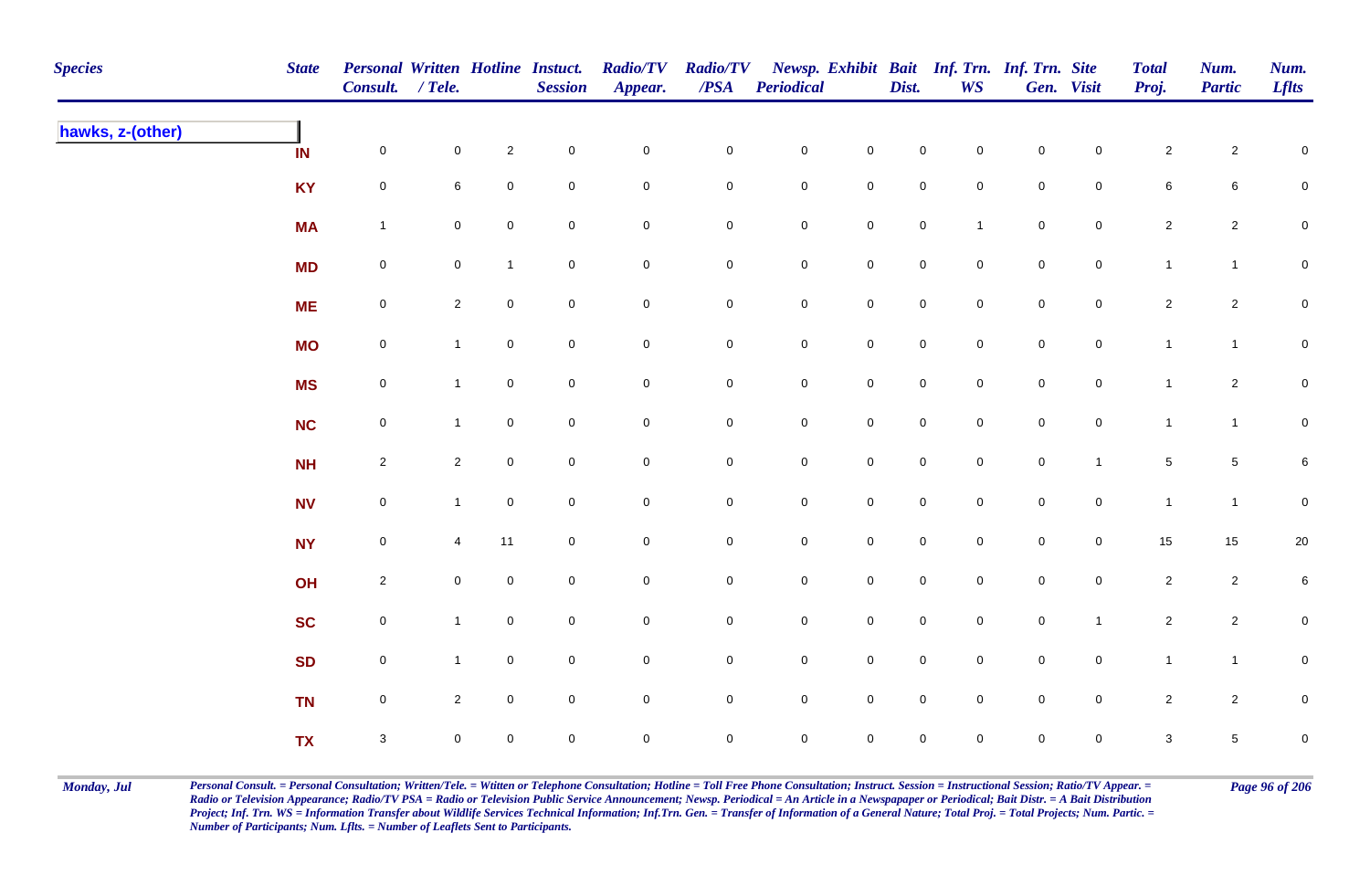| <b>Species</b>   | <b>State</b> | Personal Written Hotline Instuct.<br>Consult. / Tele. |                |                     | <b>Session</b> | <b>Radio/TV</b><br>Appear. | <b>Radio/TV</b><br>$\overline{PSA}$ | <b>Periodical</b>   |                     | Dist.               | WS                  | Newsp. Exhibit Bait Inf. Trn. Inf. Trn. Site | Gen. Visit     | <b>Total</b><br>Proj. | Num.<br><b>Partic</b> | Num.<br><b>Lflts</b> |
|------------------|--------------|-------------------------------------------------------|----------------|---------------------|----------------|----------------------------|-------------------------------------|---------------------|---------------------|---------------------|---------------------|----------------------------------------------|----------------|-----------------------|-----------------------|----------------------|
| hawks, z-(other) | IN           | $\mathsf{O}$                                          | $\mathbf 0$    | $\overline{2}$      | $\pmb{0}$      | $\mathbf 0$                | $\pmb{0}$                           | $\mathbf 0$         | $\mathbf 0$         | $\mathbf 0$         | $\overline{0}$      | $\pmb{0}$                                    | $\mathbf 0$    | $\sqrt{2}$            | $\overline{2}$        | $\mathbf 0$          |
|                  | <b>KY</b>    | $\mathbf 0$                                           | 6              | $\pmb{0}$           | $\mathbf 0$    | $\mathbf 0$                | $\pmb{0}$                           | $\mathbf 0$         | $\pmb{0}$           | $\pmb{0}$           | $\mathbf 0$         | $\pmb{0}$                                    | $\mathbf 0$    | $\,6\,$               | 6                     | $\pmb{0}$            |
|                  | <b>MA</b>    | $\mathbf{1}$                                          | $\mathbf 0$    | $\mathbf 0$         | $\pmb{0}$      | $\mathbf 0$                | $\mathsf{O}\xspace$                 | $\mathbf 0$         | $\mathbf 0$         | $\mathsf{O}\xspace$ | $\mathbf{1}$        | $\pmb{0}$                                    | $\mathbf 0$    | $\mathbf{2}$          | $\overline{c}$        | $\mathbf 0$          |
|                  | <b>MD</b>    | $\mathbf 0$                                           | $\mathbf 0$    | $\mathbf{1}$        | $\mathsf 0$    | $\pmb{0}$                  | 0                                   | $\mathbf 0$         | $\pmb{0}$           | $\mathbf 0$         | $\overline{0}$      | $\mathbf 0$                                  | $\mathbf 0$    | $\mathbf{1}$          | $\mathbf{1}$          | $\mathbf 0$          |
|                  | <b>ME</b>    | $\mathbf 0$                                           | $\overline{2}$ | $\overline{0}$      | $\mathsf 0$    | $\mathbf 0$                | $\pmb{0}$                           | $\mathbf 0$         | $\mathbf 0$         | $\mathsf{O}$        | $\overline{0}$      | $\mathbf 0$                                  | $\mathsf{O}$   | $\overline{2}$        | $\overline{2}$        | $\mathbf 0$          |
|                  | <b>MO</b>    | $\mathbf 0$                                           | $\mathbf{1}$   | $\mathbf 0$         | $\mathsf 0$    | $\mathsf{O}\xspace$        | $\mathbf 0$                         | $\mathbf 0$         | $\mathsf{O}\xspace$ | $\mathsf{O}$        | $\overline{0}$      | $\mathbf 0$                                  | $\mathbf 0$    | $\mathbf{1}$          | $\mathbf{1}$          | $\pmb{0}$            |
|                  | <b>MS</b>    | $\mathbf 0$                                           | $\mathbf{1}$   | $\mathbf 0$         | $\pmb{0}$      | $\mathsf{O}\xspace$        | $\overline{0}$                      | $\mathbf 0$         | $\mathsf{O}\xspace$ | $\mathbf 0$         | $\overline{0}$      | $\mathbf 0$                                  | $\mathbf 0$    | $\mathbf{1}$          | $\overline{2}$        | $\overline{0}$       |
|                  | <b>NC</b>    | $\mathsf{O}$                                          | $\mathbf 1$    | $\mathbf 0$         | $\mathbf 0$    | $\mathbf 0$                | 0                                   | $\mathsf{O}\xspace$ | $\mathbf 0$         | $\mathsf{O}\xspace$ | $\mathbf 0$         | $\mathsf{O}\xspace$                          | $\mathbf 0$    | $\mathbf{1}$          | $\mathbf{1}$          | $\overline{0}$       |
|                  | NH           | $\overline{2}$                                        | $\overline{2}$ | $\mathbf 0$         | $\mathbf 0$    | $\mathbf 0$                | $\mathsf{O}\xspace$                 | $\mathbf 0$         | $\mathsf{O}\xspace$ | $\mathbf 0$         | $\Omega$            | $\mathsf{O}\xspace$                          | $\overline{1}$ | $\sqrt{5}$            | 5                     | $6\phantom{.0}$      |
|                  | <b>NV</b>    | $\mathbf 0$                                           | $\mathbf{1}$   | $\mathbf 0$         | $\pmb{0}$      | $\mathbf 0$                | $\mathsf{O}\xspace$                 | $\mathbf 0$         | $\mathbf 0$         | $\mathbf 0$         | $\mathsf{O}\xspace$ | $\mathbf 0$                                  | $\mathsf{O}$   | $\mathbf{1}$          | $\mathbf{1}$          | $\mathbf 0$          |
|                  | <b>NY</b>    | $\mathbf 0$                                           | 4              | 11                  | $\pmb{0}$      | $\pmb{0}$                  | $\pmb{0}$                           | $\pmb{0}$           | $\mathbf 0$         | $\mathbf 0$         | $\mathbf 0$         | $\pmb{0}$                                    | $\mathbf 0$    | 15                    | $15\,$                | $20\,$               |
|                  | OH           | $\overline{2}$                                        | $\mathbf 0$    | $\mathbf 0$         | $\pmb{0}$      | $\mathbf 0$                | 0                                   | $\mathbf 0$         | $\mathbf 0$         | $\mathsf{O}$        | $\overline{0}$      | $\mathbf 0$                                  | $\mathsf{O}$   | $\overline{2}$        | $\mathbf{2}$          | 6                    |
|                  | <b>SC</b>    | $\mathbf 0$                                           | $\mathbf{1}$   | $\overline{0}$      | $\mathbf 0$    | $\mathsf{O}\xspace$        | 0                                   | $\mathsf{O}\xspace$ | $\mathbf 0$         | $\mathsf 0$         | $\mathbf 0$         | $\mathbf 0$                                  | $\mathbf{1}$   | $\sqrt{2}$            | $\overline{a}$        | $\mathbf 0$          |
|                  | <b>SD</b>    | $\mathsf{O}$                                          | $\mathbf{1}$   | $\overline{0}$      | $\mathsf 0$    | $\mathsf{O}\xspace$        | $\mathbf 0$                         | $\mathbf 0$         | $\mathsf{O}\xspace$ | $\mathbf 0$         | $\overline{0}$      | $\mathbf 0$                                  | $\mathsf{O}$   | $\mathbf{1}$          | $\mathbf{1}$          | $\mathbf 0$          |
|                  | <b>TN</b>    | $\mathsf{O}\xspace$                                   | $\overline{2}$ | $\mathsf{O}\xspace$ | $\pmb{0}$      | $\mathbf 0$                | 0                                   | $\mathbf 0$         | $\mathsf{O}\xspace$ | $\mathsf 0$         | $\mathbf 0$         | $\mathsf{O}\xspace$                          | $\mathbf 0$    | $\overline{2}$        | $\overline{2}$        | $\mathbf 0$          |
|                  | <b>TX</b>    | $\mathbf{3}$                                          | $\mathbf 0$    | $\mathbf 0$         | $\mathbf 0$    | $\mathbf 0$                | 0                                   | $\mathsf{O}\xspace$ | $\mathsf{O}\xspace$ | $\pmb{0}$           | $\mathbf 0$         | $\mathsf{O}\xspace$                          | $\mathbf 0$    | $\mathbf{3}$          | 5                     | $\mathbf 0$          |

Monday, Jul Personal Consult. = Personal Consultation; Written/Tele. = Witten or Telephone Consultation; Hotline = Toll Free Phone Consultation; Instruct. Session = Instructional Session; Ratio/TV Appear. = Page 96 of 206 *Radio or Television Appearance; Radio/TV PSA = Radio or Television Public Service Announcement; Newsp. Periodical = An Article in a Newspapaper or Periodical; Bait Distr. = A Bait Distribution*  Project; Inf. Trn. WS = Information Transfer about Wildlife Services Technical Information; Inf.Trn. Gen. = Transfer of Information of a General Nature; Total Proj. = Total Projects; Num. Partic. = *Number of Participants; Num. Lflts. = Number of Leaflets Sent to Participants.*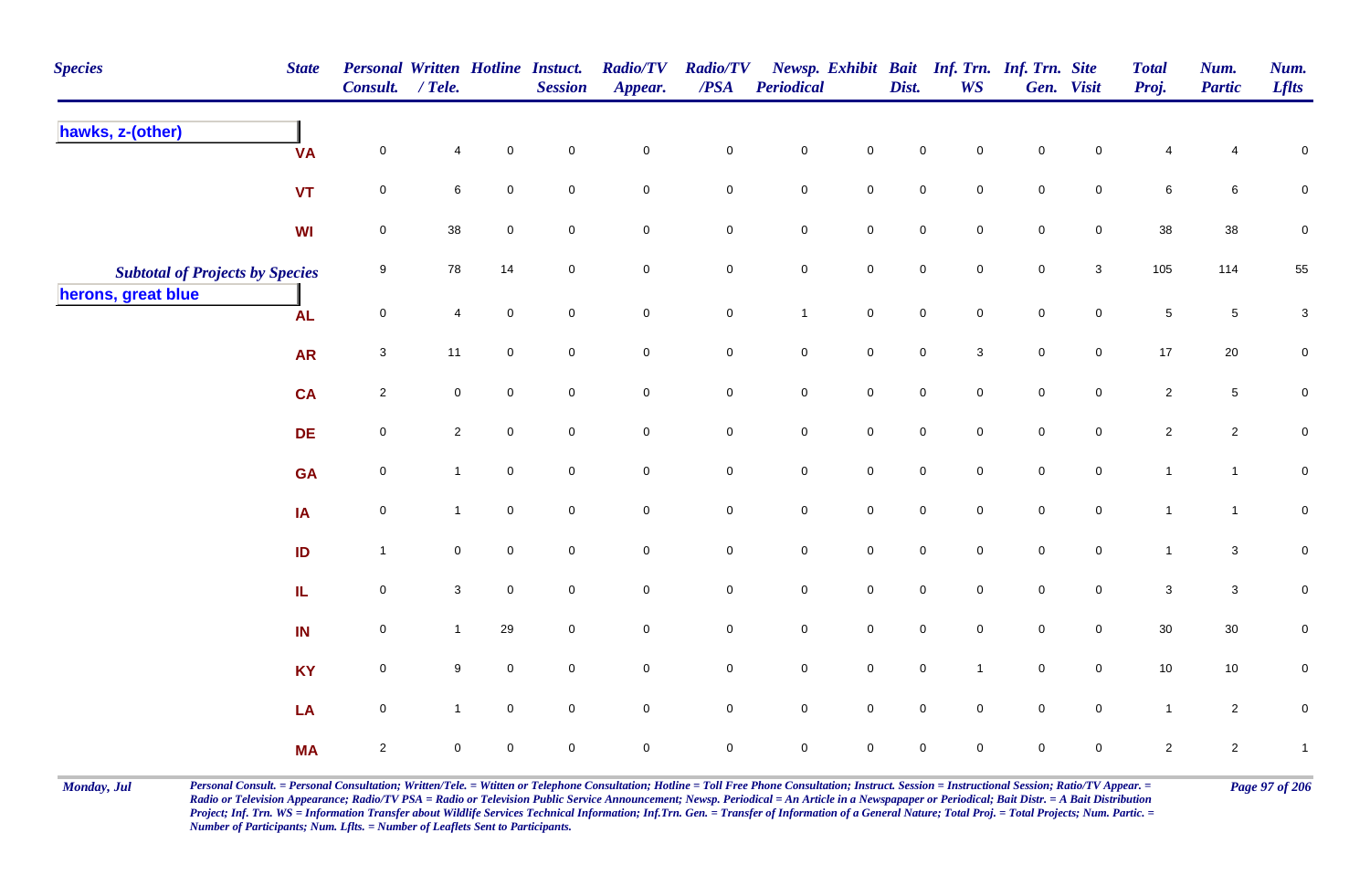| <b>Species</b>                         | <b>State</b> | Personal Written Hotline Instuct.<br>Consult. / Tele. |                |                     | <b>Session</b> | <b>Radio/TV</b><br>Appear. | <b>Radio/TV</b><br>$\overline{PSA}$ | Periodical   |                     | Dist.       | Newsp. Exhibit Bait Inf. Trn. Inf. Trn. Site<br><b>WS</b> |             | Gen. Visit          | <b>Total</b><br>Proj. | Num.<br><b>Partic</b> | Num.<br><b>Lflts</b>      |
|----------------------------------------|--------------|-------------------------------------------------------|----------------|---------------------|----------------|----------------------------|-------------------------------------|--------------|---------------------|-------------|-----------------------------------------------------------|-------------|---------------------|-----------------------|-----------------------|---------------------------|
| hawks, z-(other)                       | <b>VA</b>    | $\mathbf 0$                                           | $\overline{4}$ | $\mathbf 0$         | $\mathbf 0$    | $\pmb{0}$                  | $\mathbf 0$                         | $\pmb{0}$    | $\mathsf{O}\xspace$ | $\pmb{0}$   | 0                                                         | $\pmb{0}$   | $\pmb{0}$           | $\overline{4}$        | 4                     | $\overline{0}$            |
|                                        | <b>VT</b>    | $\mathbf 0$                                           | 6              | $\mathsf{O}\xspace$ | $\overline{0}$ | $\mathbf 0$                | $\mathsf{O}$                        | $\pmb{0}$    | $\mathsf{O}\xspace$ | $\pmb{0}$   | $\mathsf{O}\xspace$                                       | $\pmb{0}$   | $\mathbf 0$         | $\,6\,$               | $\,6\,$               | $\pmb{0}$                 |
|                                        | WI           | $\mathbf 0$                                           | $38\,$         | $\mathbf 0$         | $\mathbf 0$    | $\mathbf 0$                | $\mathbf 0$                         | $\pmb{0}$    | $\mathbf 0$         | $\pmb{0}$   | 0                                                         | $\pmb{0}$   | $\mathbf 0$         | 38                    | 38                    | $\pmb{0}$                 |
| <b>Subtotal of Projects by Species</b> |              | 9                                                     | 78             | 14                  | $\mathbf 0$    | $\mathsf{O}\xspace$        | $\mathbf 0$                         | $\pmb{0}$    | $\mathsf{O}\xspace$ | $\pmb{0}$   | 0                                                         | $\pmb{0}$   | $\mathbf{3}$        | 105                   | 114                   | 55                        |
| herons, great blue                     | <b>AL</b>    | $\mathbf 0$                                           | $\overline{4}$ | $\mathsf{O}\xspace$ | $\overline{0}$ | $\mathsf{O}\xspace$        | $\mathsf 0$                         | $\mathbf{1}$ | $\mathsf{O}\xspace$ | $\mathbf 0$ | $\mathbf 0$                                               | $\mathbf 0$ | $\mathsf{O}\xspace$ | $5\phantom{.0}$       | $\sqrt{5}$            | $\ensuremath{\mathsf{3}}$ |
|                                        | <b>AR</b>    | $\mathbf{3}$                                          | 11             | $\mathbf 0$         | $\mathbf 0$    | $\mathsf{O}\xspace$        | $\overline{0}$                      | $\mathbf 0$  | $\mathsf{O}\xspace$ | $\mathbf 0$ | $\mathbf{3}$                                              | $\mathbf 0$ | 0                   | 17                    | $20\,$                | $\mathbf 0$               |
|                                        | CA           | $\overline{2}$                                        | $\mathbf 0$    | $\mathbf 0$         | $\mathbf 0$    | $\mathbf 0$                | $\mathbf 0$                         | $\mathsf 0$  | $\mathbf 0$         | $\mathbf 0$ | $\mathbf 0$                                               | $\mathbf 0$ | 0                   | $\overline{2}$        | $\sqrt{5}$            | $\mathbf 0$               |
|                                        | <b>DE</b>    | $\mathbf 0$                                           | $\overline{2}$ | $\mathbf 0$         | $\mathbf 0$    | $\mathbf 0$                | $\mathbf 0$                         | $\mathbf 0$  | $\mathsf{O}$        | $\mathbf 0$ | $\mathbf{0}$                                              | $\pmb{0}$   | $\mathsf{O}\xspace$ | $\overline{2}$        | $\overline{2}$        | $\mathbf 0$               |
|                                        | <b>GA</b>    | 0                                                     | $\mathbf{1}$   | $\mathbf 0$         | $\mathbf 0$    | $\pmb{0}$                  | $\mathbf 0$                         | $\mathbf 0$  | $\mathsf{O}\xspace$ | $\mathbf 0$ | 0                                                         | $\pmb{0}$   | 0                   | $\mathbf{1}$          | $\mathbf{1}$          | $\pmb{0}$                 |
|                                        | IA           | $\mathbf 0$                                           | $\mathbf{1}$   | $\mathbf 0$         | $\mathbf 0$    | $\mathbf 0$                | $\mathsf{O}$                        | $\mathbf 0$  | $\mathsf{O}\xspace$ | $\mathbf 0$ | 0                                                         | $\pmb{0}$   | $\mathbf 0$         | $\mathbf{1}$          | $\mathbf{1}$          | ${\bf 0}$                 |
|                                        | ID           | $\overline{1}$                                        | $\mathbf 0$    | $\mathbf 0$         | $\mathbf 0$    | $\mathbf 0$                | $\mathbf 0$                         | $\pmb{0}$    | $\mathsf{O}\xspace$ | $\pmb{0}$   | 0                                                         | $\mathbf 0$ | $\mathbf 0$         | $\mathbf{1}$          | $\mathbf 3$           | $\pmb{0}$                 |
|                                        | IL.          | $\mathbf 0$                                           | $\mathbf{3}$   | $\overline{0}$      | $\mathbf 0$    | $\mathbf 0$                | $\mathsf{O}$                        | $\mathbf 0$  | $\mathsf{O}\xspace$ | $\mathsf 0$ | $\mathbf 0$                                               | $\mathsf 0$ | $\mathbf 0$         | $\mathbf{3}$          | $\mathbf 3$           | 0                         |
|                                        | IN           | $\overline{0}$                                        | $\mathbf{1}$   | 29                  | $\mathbf 0$    | $\mathbf 0$                | $\overline{0}$                      | $\mathsf 0$  | $\mathsf{O}\xspace$ | $\mathbf 0$ | $\mathsf{O}$                                              | $\mathsf 0$ | $\mathbf 0$         | 30                    | 30                    | 0                         |
|                                        | <b>KY</b>    | $\overline{0}$                                        | 9              | $\overline{0}$      | $\mathbf 0$    | $\mathsf{O}\xspace$        | $\overline{0}$                      | $\mathsf 0$  | $\mathsf{O}\xspace$ | $\mathbf 0$ | $\overline{1}$                                            | $\mathsf 0$ | $\mathbf 0$         | 10                    | 10                    | $\pmb{0}$                 |
|                                        | LA           | $\mathbf 0$                                           | $\mathbf{1}$   | $\mathbf 0$         | $\mathbf 0$    | $\mathsf 0$                | $\overline{0}$                      | $\mathbf 0$  | $\mathsf{O}\xspace$ | $\mathbf 0$ | $\mathbf 0$                                               | $\mathbf 0$ | $\mathbf 0$         | $\mathbf{1}$          | $\overline{2}$        | $\pmb{0}$                 |
|                                        | <b>MA</b>    | $\mathbf{2}$                                          | $\mathbf 0$    | $\mathbf 0$         | $\mathbf 0$    | $\pmb{0}$                  | $\mathbf 0$                         | $\mathsf 0$  | $\pmb{0}$           | $\pmb{0}$   | 0                                                         | $\pmb{0}$   | 0                   | $\overline{2}$        | $\overline{a}$        | $\mathbf{1}$              |

Monday, Jul Personal Consult. = Personal Consultation; Written/Tele. = Witten or Telephone Consultation; Hotline = Toll Free Phone Consultation; Instruct. Session = Instructional Session; Ratio/TV Appear. = Page 97 of 206 *Radio or Television Appearance; Radio/TV PSA = Radio or Television Public Service Announcement; Newsp. Periodical = An Article in a Newspapaper or Periodical; Bait Distr. = A Bait Distribution*  Project; Inf. Trn. WS = Information Transfer about Wildlife Services Technical Information; Inf.Trn. Gen. = Transfer of Information of a General Nature; Total Proj. = Total Projects; Num. Partic. = *Number of Participants; Num. Lflts. = Number of Leaflets Sent to Participants.*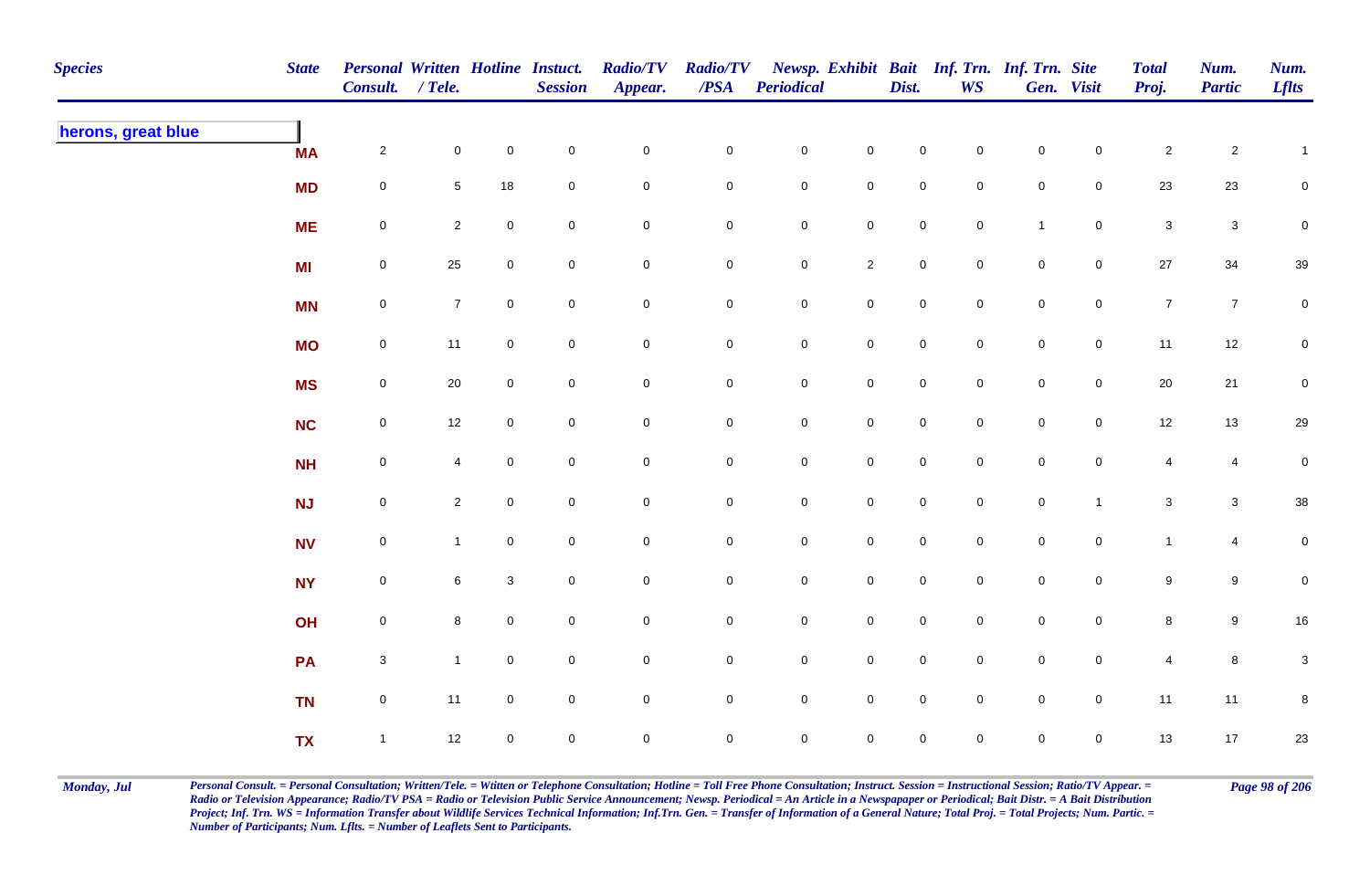| <b>Species</b>     | <b>State</b> | Personal Written Hotline Instuct.<br>Consult. / Tele. |                |                     | <b>Session</b> | <b>Radio/TV</b><br>Appear. | <b>Radio/TV</b><br>$\boldsymbol{PSA}$ | <b>Periodical</b>   |                     | Dist.               | <b>WS</b>      | Newsp. Exhibit Bait Inf. Trn. Inf. Trn. Site | Gen. Visit     | <b>Total</b><br>Proj. | Num.<br><b>Partic</b> | Num.<br><b>Lflts</b> |
|--------------------|--------------|-------------------------------------------------------|----------------|---------------------|----------------|----------------------------|---------------------------------------|---------------------|---------------------|---------------------|----------------|----------------------------------------------|----------------|-----------------------|-----------------------|----------------------|
| herons, great blue | <b>MA</b>    | $\overline{2}$                                        | $\mathbf 0$    | $\mathbf 0$         | $\pmb{0}$      | $\mathbf 0$                | $\mathbf 0$                           | $\mathbf 0$         | $\mathsf 0$         | $\mathbf 0$         | $\overline{0}$ | $\mathbf 0$                                  | $\mathbf 0$    | $\overline{a}$        | $\overline{c}$        | $\mathbf{1}$         |
|                    | <b>MD</b>    | $\mathbf 0$                                           | $\sqrt{5}$     | 18                  | $\pmb{0}$      | $\pmb{0}$                  | $\pmb{0}$                             | $\pmb{0}$           | $\mathbf 0$         | $\mathbf 0$         | $\mathbf 0$    | $\pmb{0}$                                    | $\mathbf 0$    | 23                    | 23                    | $\mathsf{O}\xspace$  |
|                    | <b>ME</b>    | $\mathbf 0$                                           | $\mathbf{2}$   | $\mathsf{O}\xspace$ | $\pmb{0}$      | $\pmb{0}$                  | 0                                     | $\pmb{0}$           | $\pmb{0}$           | $\pmb{0}$           | $\mathbf 0$    | $\overline{1}$                               | $\mathbf 0$    | $\mathsf 3$           | $\mathbf{3}$          | $\pmb{0}$            |
|                    | <b>MI</b>    | $\boldsymbol{0}$                                      | 25             | $\mathbf 0$         | $\pmb{0}$      | $\pmb{0}$                  | 0                                     | $\pmb{0}$           | $\overline{2}$      | $\mathbf 0$         | $\overline{0}$ | $\mathbf 0$                                  | $\mathsf{O}$   | $27\,$                | 34                    | $39\,$               |
|                    | <b>MN</b>    | $\mathsf{O}\xspace$                                   | $\overline{7}$ | $\overline{0}$      | $\mathsf 0$    | $\pmb{0}$                  | $\mathbf 0$                           | $\mathbf 0$         | $\mathsf{O}\xspace$ | $\mathsf 0$         | $\overline{0}$ | $\mathsf{O}\xspace$                          | $\mathsf{O}$   | $\overline{7}$        | $\overline{7}$        | $\mathbf 0$          |
|                    | <b>MO</b>    | $\mathsf{O}\xspace$                                   | 11             | $\mathbf 0$         | $\mathsf 0$    | $\mathsf{O}\xspace$        | $\mathbf 0$                           | $\mathbf 0$         | $\mathbf 0$         | $\mathsf{O}$        | $\overline{0}$ | $\mathsf{O}\xspace$                          | $\mathsf{O}$   | 11                    | $12$                  | $\mathbf 0$          |
|                    | <b>MS</b>    | $\mathsf{O}\xspace$                                   | 20             | $\mathbf 0$         | $\pmb{0}$      | $\mathsf{O}\xspace$        | $\mathsf{O}\xspace$                   | $\mathsf 0$         | $\mathsf 0$         | $\mathsf{O}\xspace$ | $\overline{0}$ | $\mathsf{O}\xspace$                          | $\mathsf 0$    | 20                    | 21                    | $\mathsf{O}\xspace$  |
|                    | <b>NC</b>    | $\mathsf{O}\xspace$                                   | 12             | $\mathbf 0$         | $\mathsf 0$    | $\pmb{0}$                  | 0                                     | $\mathsf{O}\xspace$ | $\mathsf{O}\xspace$ | $\mathsf{O}\xspace$ | $\mathbf 0$    | $\mathsf{O}\xspace$                          | $\mathbf 0$    | 12                    | 13                    | 29                   |
|                    | <b>NH</b>    | $\mathsf{O}\xspace$                                   | $\overline{4}$ | $\mathbf 0$         | $\mathbf 0$    | $\mathbf 0$                | $\mathsf{O}\xspace$                   | $\mathsf{O}\xspace$ | $\mathbf 0$         | $\overline{0}$      | $\Omega$       | $\mathsf{O}\xspace$                          | $\mathbf{0}$   | $\overline{4}$        | $\overline{4}$        | $\mathbf 0$          |
|                    | NJ           | $\mathsf{O}\xspace$                                   | $\overline{2}$ | $\mathsf{O}\xspace$ | $\pmb{0}$      | $\pmb{0}$                  | $\mathbf 0$                           | $\mathbf 0$         | $\mathbf 0$         | $\mathbf 0$         | $\mathbf 0$    | $\mathsf{O}\xspace$                          | $\overline{1}$ | $\mathbf{3}$          | $\mathbf{3}$          | $38\,$               |
|                    | <b>NV</b>    | $\mathbf 0$                                           | $\mathbf{1}$   | $\mathbf 0$         | $\pmb{0}$      | $\pmb{0}$                  | $\pmb{0}$                             | $\pmb{0}$           | $\pmb{0}$           | $\mathbf 0$         | $\mathbf 0$    | ${\bf 0}$                                    | $\mathbf 0$    | $\mathbf{1}$          | 4                     | $\overline{0}$       |
|                    | <b>NY</b>    | $\boldsymbol{0}$                                      | 6              | $\mathbf{3}$        | $\pmb{0}$      | $\mathbf 0$                | 0                                     | $\mathbf 0$         | $\mathbf 0$         | $\overline{0}$      | $\overline{0}$ | $\mathbf 0$                                  | $\mathsf{O}$   | 9                     | 9                     | $\mathbf 0$          |
|                    | OH           | $\mathsf{O}\xspace$                                   | 8              | $\overline{0}$      | $\mathsf 0$    | $\mathbf 0$                | 0                                     | $\mathbf 0$         | $\mathbf 0$         | $\overline{0}$      | $\overline{0}$ | $\mathsf{O}\xspace$                          | $\mathsf{O}$   | 8                     | 9                     | 16                   |
|                    | PA           | $\mathbf{3}$                                          | $\mathbf{1}$   | $\overline{0}$      | $\mathsf 0$    | $\pmb{0}$                  | $\mathbf 0$                           | $\mathbf 0$         | $\mathbf 0$         | $\mathsf 0$         | $\overline{0}$ | $\mathsf{O}\xspace$                          | $\mathsf{O}$   | $\overline{4}$        | 8                     | $\mathbf{3}$         |
|                    | <b>TN</b>    | $\mathsf 0$                                           | 11             | $\mathbf 0$         | $\pmb{0}$      | $\pmb{0}$                  | $\mathbf 0$                           | $\mathsf 0$         | $\mathsf 0$         | $\mathsf{O}\xspace$ | $\mathbf 0$    | $\mathsf{O}\xspace$                          | $\mathsf 0$    | 11                    | 11                    | $\bf 8$              |
|                    | <b>TX</b>    | $\mathbf{1}$                                          | 12             | $\overline{0}$      | $\mathsf 0$    | $\mathbf 0$                | 0                                     | $\mathsf{O}\xspace$ | $\pmb{0}$           | $\mathbf 0$         | $\mathbf 0$    | $\mathbf 0$                                  | $\overline{0}$ | 13                    | 17                    | 23                   |

Monday, Jul Personal Consult. = Personal Consultation; Written/Tele. = Witten or Telephone Consultation; Hotline = Toll Free Phone Consultation; Instruct. Session = Instructional Session; Ratio/TV Appear. = Page 98 of 206 *Radio or Television Appearance; Radio/TV PSA = Radio or Television Public Service Announcement; Newsp. Periodical = An Article in a Newspapaper or Periodical; Bait Distr. = A Bait Distribution*  Project; Inf. Trn. WS = Information Transfer about Wildlife Services Technical Information; Inf.Trn. Gen. = Transfer of Information of a General Nature; Total Proj. = Total Projects; Num. Partic. = *Number of Participants; Num. Lflts. = Number of Leaflets Sent to Participants.*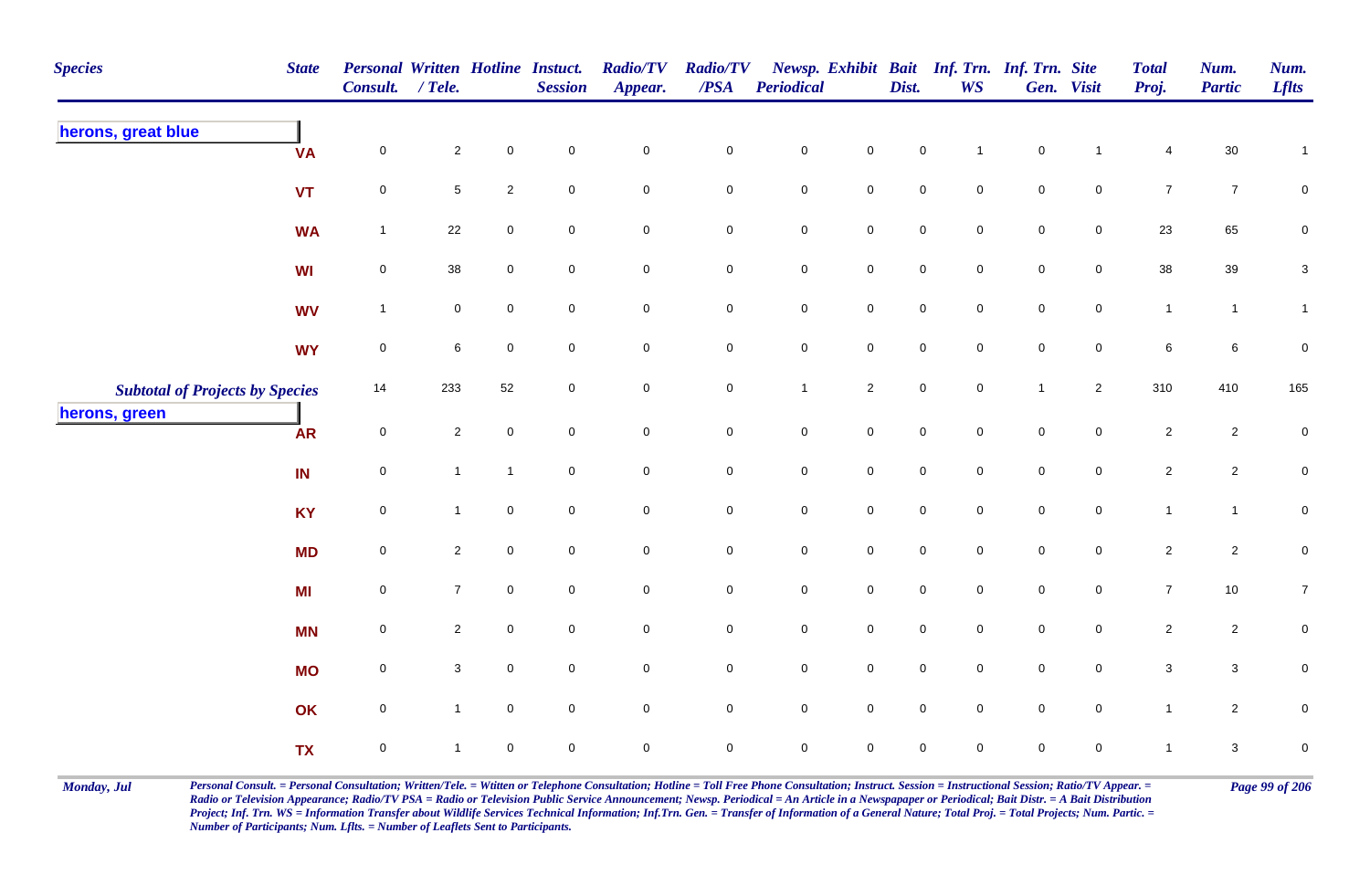| <b>Species</b>                         | <b>State</b> | Personal Written Hotline Instuct.<br>Consult. / Tele. |                |                     | <b>Session</b>      | <b>Radio/TV</b><br>Appear. | <b>Radio/TV</b><br>$\overline{PSA}$ | Periodical          |                     | Dist.               | Newsp. Exhibit Bait Inf. Trn. Inf. Trn. Site<br><b>WS</b> |                     | Gen. Visit          | <b>Total</b><br>Proj. | Num.<br><b>Partic</b> | Num.<br><b>Lflts</b> |
|----------------------------------------|--------------|-------------------------------------------------------|----------------|---------------------|---------------------|----------------------------|-------------------------------------|---------------------|---------------------|---------------------|-----------------------------------------------------------|---------------------|---------------------|-----------------------|-----------------------|----------------------|
| herons, great blue                     | <b>VA</b>    | $\mathbf 0$                                           | $\overline{c}$ | $\mathbf 0$         | $\overline{0}$      | $\pmb{0}$                  | $\pmb{0}$                           | ${\bf 0}$           | $\mathbf 0$         | 0                   | $\overline{1}$                                            | $\pmb{0}$           | $\overline{1}$      | 4                     | $30\,$                | $\mathbf{1}$         |
|                                        | <b>VT</b>    | $\pmb{0}$                                             | 5              | $\sqrt{2}$          | $\mathsf{O}\xspace$ | $\mathbf 0$                | $\pmb{0}$                           | $\mathbf 0$         | $\mathbf 0$         | $\mathbf 0$         | $\mathbf 0$                                               | $\mathbf 0$         | $\mathsf{O}\xspace$ | $\bf 7$               | $\overline{7}$        | $\pmb{0}$            |
|                                        | <b>WA</b>    | $\mathbf{1}$                                          | 22             | $\mathsf{O}\xspace$ | $\mathbf 0$         | $\mathsf{O}$               | $\pmb{0}$                           | $\mathbf 0$         | $\mathbf 0$         | $\mathbf 0$         | $\mathbf 0$                                               | $\mathbf 0$         | $\overline{0}$      | 23                    | 65                    | ${\bf 0}$            |
|                                        | WI           | $\mathbf 0$                                           | 38             | $\mathbf 0$         | $\mathbf 0$         | $\mathbf 0$                | $\mathbf 0$                         | $\mathbf 0$         | $\mathbf 0$         | $\mathsf{O}\xspace$ | $\mathbf 0$                                               | $\mathsf{O}\xspace$ | $\overline{0}$      | 38                    | 39                    | $\mathsf 3$          |
|                                        | <b>WV</b>    | $\mathbf{1}$                                          | $\overline{0}$ | $\mathbf 0$         | $\overline{0}$      | $\mathbf 0$                | $\mathbf 0$                         | $\mathsf{O}\xspace$ | $\mathbf 0$         | $\mathsf{O}\xspace$ | $\mathbf 0$                                               | $\mathsf{O}\xspace$ | $\overline{0}$      | $\mathbf{1}$          | $\mathbf{1}$          | $\mathbf{1}$         |
|                                        | <b>WY</b>    | $\mathbf 0$                                           | 6              | $\mathbf 0$         | $\overline{0}$      | $\overline{0}$             | $\mathbf 0$                         | $\mathbf 0$         | $\mathbf 0$         | $\overline{0}$      | $\overline{0}$                                            | $\mathbf 0$         | $\overline{0}$      | 6                     | $6\phantom{.}6$       | $\pmb{0}$            |
| <b>Subtotal of Projects by Species</b> |              | 14                                                    | 233            | 52                  | $\mathbf 0$         | $\mathbf 0$                | $\mathbf 0$                         | $\mathbf{1}$        | $\overline{2}$      | $\mathbf 0$         | $\mathbf 0$                                               | $\mathbf{1}$        | $\overline{2}$      | 310                   | 410                   | 165                  |
| herons, green                          | <b>AR</b>    | $\mathbf 0$                                           | $\overline{2}$ | $\mathbf 0$         | $\mathbf 0$         | $\mathsf{O}\xspace$        | $\mathsf 0$                         | $\mathsf{O}\xspace$ | $\overline{0}$      | $\mathbf 0$         | $\Omega$                                                  | $\mathsf{O}\xspace$ | $\mathbf 0$         | $\overline{2}$        | $\overline{2}$        | $\mathbf 0$          |
|                                        | IN           | $\mathsf 0$                                           | $\mathbf{1}$   | $\mathbf{1}$        | $\overline{0}$      | $\mathbf 0$                | $\mathbf 0$                         | ${\bf 0}$           | $\overline{0}$      | $\mathbf 0$         | $\mathbf 0$                                               | $\mathbf 0$         | $\mathbf 0$         | $\overline{c}$        | $\overline{2}$        | $\overline{0}$       |
|                                        | <b>KY</b>    | $\pmb{0}$                                             | $\mathbf{1}$   | $\pmb{0}$           | $\mathbf 0$         | $\mathbf 0$                | $\pmb{0}$                           | $\pmb{0}$           | $\mathbf 0$         | $\mathsf{O}\xspace$ | $\mathbf 0$                                               | $\mathbf 0$         | $\mathsf{O}\xspace$ | $\mathbf{1}$          | $\mathbf{1}$          | $\pmb{0}$            |
|                                        | <b>MD</b>    | $\pmb{0}$                                             | $\overline{2}$ | $\mathbf 0$         | $\mathbf 0$         | $\mathbf 0$                | $\mathbf 0$                         | $\pmb{0}$           | $\mathbf 0$         | $\mathsf{O}\xspace$ | $\mathsf{O}\xspace$                                       | $\mathbf 0$         | $\mathbf 0$         | $\overline{2}$        | $\overline{2}$        | $\pmb{0}$            |
|                                        | MI           | $\mathbf 0$                                           | 7 <sup>7</sup> | $\mathbf 0$         | $\mathsf{O}\xspace$ | $\mathsf{O}$               | $\mathbf 0$                         | $\mathsf{O}\xspace$ | $\mathbf 0$         | $\mathsf{O}\xspace$ | $\mathsf{O}\xspace$                                       | $\mathsf{O}\xspace$ | $\mathbf 0$         | $\overline{7}$        | 10                    | $\overline{7}$       |
|                                        | <b>MN</b>    | $\pmb{0}$                                             | $\overline{2}$ | $\mathbf 0$         | $\overline{0}$      | $\overline{0}$             | $\mathbf 0$                         | $\mathbf 0$         | $\mathbf 0$         | $\mathbf 0$         | $\mathbf 0$                                               | $\mathbf 0$         | $\overline{0}$      | $\overline{2}$        | $\overline{2}$        | $\mathbf 0$          |
|                                        | <b>MO</b>    | $\mathbf 0$                                           | 3              | $\mathbf 0$         | $\overline{0}$      | $\mathsf 0$                | $\mathbf 0$                         | $\mathsf{O}\xspace$ | $\mathbf 0$         | $\mathsf{O}\xspace$ | $\mathbf 0$                                               | $\mathsf{O}\xspace$ | $\overline{0}$      | $\mathbf{3}$          | $\mathbf{3}$          | $\mathbf 0$          |
|                                        | OK           | $\mathbf 0$                                           | $\mathbf{1}$   | $\mathbf{0}$        | $\mathbf 0$         | $\mathbf 0$                | $\mathbf 0$                         | $\mathsf{O}\xspace$ | $\mathbf 0$         | $\mathbf 0$         | $\mathbf 0$                                               | $\mathbf 0$         | $\mathbf 0$         | $\mathbf{1}$          | $\overline{2}$        | $\pmb{0}$            |
|                                        | <b>TX</b>    | $\mathsf 0$                                           | $\mathbf 1$    | $\pmb{0}$           | $\mathbf 0$         | $\pmb{0}$                  | $\mathsf 0$                         | $\mathsf{O}\xspace$ | $\mathsf{O}\xspace$ | $\mathbf 0$         | $\mathbf 0$                                               | 0                   | $\mathbf 0$         | $\mathbf{1}$          | $\mathbf{3}$          | $\pmb{0}$            |

Monday, Jul Personal Consult. = Personal Consultation; Written/Tele. = Witten or Telephone Consultation; Hotline = Toll Free Phone Consultation; Instruct. Session = Instructional Session; Ratio/TV Appear. = Page 99 of 206 *Radio or Television Appearance; Radio/TV PSA = Radio or Television Public Service Announcement; Newsp. Periodical = An Article in a Newspapaper or Periodical; Bait Distr. = A Bait Distribution*  Project; Inf. Trn. WS = Information Transfer about Wildlife Services Technical Information; Inf.Trn. Gen. = Transfer of Information of a General Nature; Total Proj. = Total Projects; Num. Partic. = *Number of Participants; Num. Lflts. = Number of Leaflets Sent to Participants.*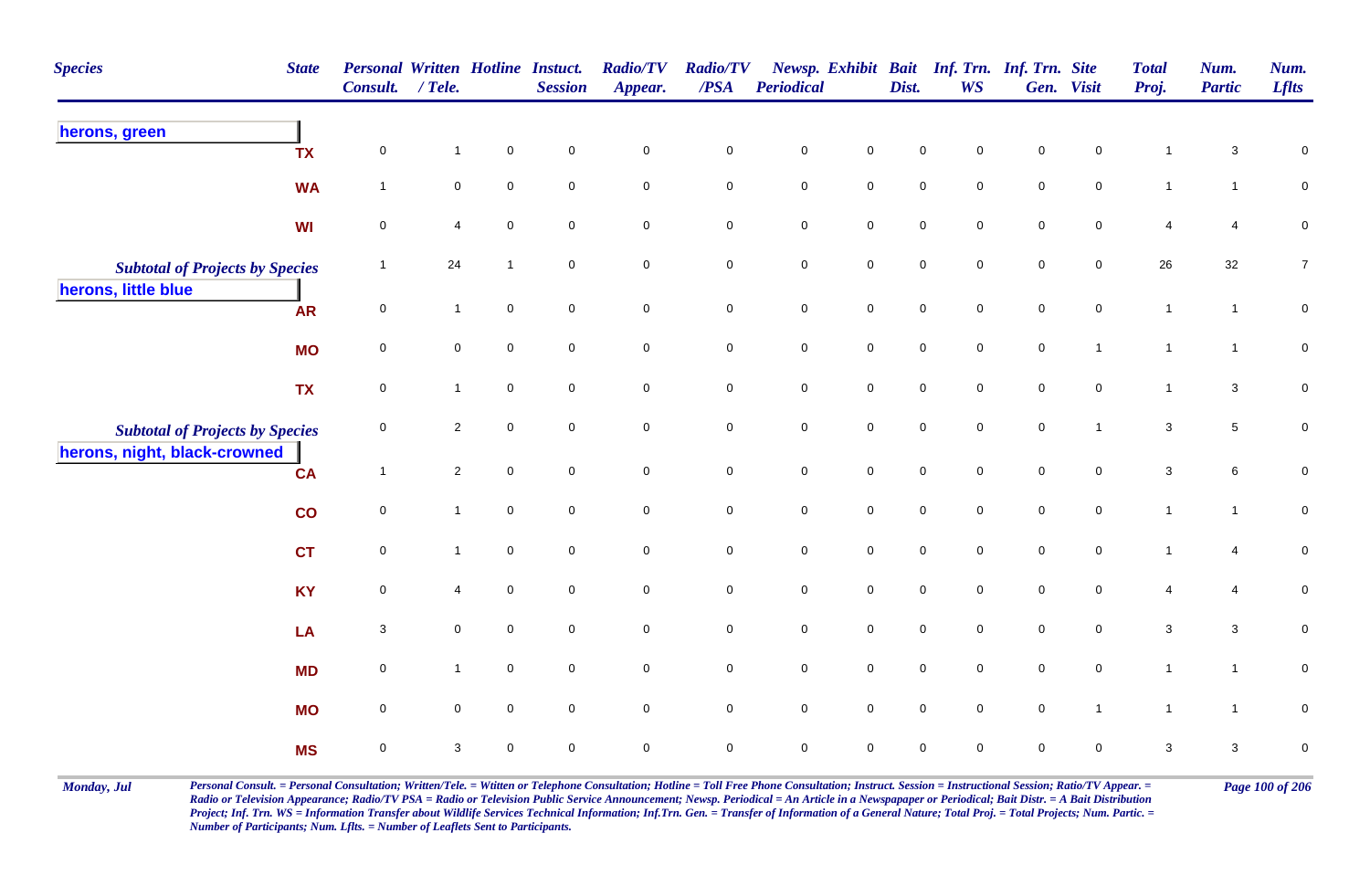| <b>Species</b>                                                         | <b>State</b> | Personal Written Hotline Instuct.<br>Consult. / Tele. |                |             | <b>Session</b>      | <b>Radio/TV</b><br>Appear. | <b>Radio/TV</b><br>$\boldsymbol{PSA}$ | Periodical          |                     | Dist.               | <b>WS</b>   | Newsp. Exhibit Bait Inf. Trn. Inf. Trn. Site | Gen. Visit          | <b>Total</b><br>Proj. | Num.<br><b>Partic</b> | Num.<br><b>Lflts</b> |
|------------------------------------------------------------------------|--------------|-------------------------------------------------------|----------------|-------------|---------------------|----------------------------|---------------------------------------|---------------------|---------------------|---------------------|-------------|----------------------------------------------|---------------------|-----------------------|-----------------------|----------------------|
| herons, green                                                          | <b>TX</b>    | $\mathbf 0$                                           | $\mathbf{1}$   | $\mathbf 0$ | $\mathbf 0$         | $\pmb{0}$                  | $\mathsf{O}\xspace$                   | $\mathbf 0$         | $\mathbf 0$         | 0                   | $\Omega$    | $\mathbf 0$                                  | $\mathbf 0$         |                       | 3                     | $\mathbf 0$          |
|                                                                        | <b>WA</b>    | $\overline{1}$                                        | 0              | $\mathbf 0$ | $\mathsf{O}\xspace$ | $\mathbf 0$                | $\mathbf 0$                           | $\mathbf 0$         | $\mathsf{O}\xspace$ | $\pmb{0}$           | $\mathbf 0$ | $\mathsf{O}\xspace$                          | $\mathbf 0$         | $\mathbf{1}$          | $\mathbf{1}$          | 0                    |
|                                                                        | WI           | $\mathbf 0$                                           | 4              | $\mathbf 0$ | $\mathbf 0$         | $\mathsf 0$                | 0                                     | $\mathbf 0$         | $\overline{0}$      | $\mathbf 0$         | $\mathbf 0$ | $\mathbf 0$                                  | $\mathbf 0$         | 4                     | 4                     | 0                    |
| <b>Subtotal of Projects by Species</b>                                 |              | $\mathbf{1}$                                          | 24             | $\mathbf 1$ | $\mathbf 0$         | $\pmb{0}$                  | $\pmb{0}$                             | $\mathbf 0$         | $\mathsf{O}\xspace$ | $\mathbf 0$         | $\mathbf 0$ | $\mathbf 0$                                  | $\mathbf 0$         | 26                    | 32                    | $\overline{7}$       |
| herons, little blue                                                    | <b>AR</b>    | $\mathsf 0$                                           | $\mathbf{1}$   | $\mathbf 0$ | $\overline{0}$      | $\mathsf 0$                | 0                                     | $\mathsf{O}$        | $\overline{0}$      | $\overline{0}$      | $\mathbf 0$ | $\overline{0}$                               | $\mathbf 0$         | $\mathbf{1}$          | $\mathbf{1}$          | 0                    |
|                                                                        | <b>MO</b>    | $\mathsf 0$                                           | 0              | $\mathbf 0$ | $\overline{0}$      | $\mathsf{O}\xspace$        | $\mathbf 0$                           | $\mathbf 0$         | $\mathsf{O}\xspace$ | $\mathbf 0$         | $\mathbf 0$ | $\mathbf 0$                                  | $\mathbf{1}$        | $\mathbf{1}$          | $\overline{1}$        | $\pmb{0}$            |
|                                                                        | <b>TX</b>    | $\mathsf 0$                                           | $\mathbf{1}$   | $\mathbf 0$ | $\overline{0}$      | $\mathsf{O}\xspace$        | $\pmb{0}$                             | $\mathbf 0$         | $\mathbf 0$         | $\mathsf{O}\xspace$ | $\mathbf 0$ | $\mathbf 0$                                  | $\mathbf 0$         | $\mathbf{1}$          | $\mathbf{3}$          | $\mathbf 0$          |
| <b>Subtotal of Projects by Species</b><br>herons, night, black-crowned |              | $\mathsf 0$                                           | $\overline{c}$ | $\mathbf 0$ | $\mathbf 0$         | $\mathsf{O}\xspace$        | $\mathbf 0$                           | $\mathbf 0$         | $\mathbf 0$         | $\pmb{0}$           | $\mathbf 0$ | $\mathbf 0$                                  | $\mathbf{1}$        | $\mathbf{3}$          | $5\phantom{.0}$       | $\pmb{0}$            |
|                                                                        | <b>CA</b>    | $\mathbf{1}$                                          | $\overline{2}$ | $\mathbf 0$ | $\overline{0}$      | $\pmb{0}$                  | $\mathbf 0$                           | $\mathsf{O}\xspace$ | $\mathsf{O}\xspace$ | $\mathbf 0$         | $\mathbf 0$ | $\pmb{0}$                                    | $\mathbf 0$         | $\mathbf{3}$          | 6                     | $\pmb{0}$            |
|                                                                        | co           | $\pmb{0}$                                             | $\mathbf{1}$   | $\mathbf 0$ | $\mathbf 0$         | $\pmb{0}$                  | $\mathbf 0$                           | $\mathbf 0$         | $\mathsf{O}\xspace$ | $\mathsf{O}\xspace$ | $\mathbf 0$ | $\mathbf 0$                                  | $\mathsf{O}\xspace$ | $\overline{1}$        | $\mathbf{1}$          | $\pmb{0}$            |
|                                                                        | <b>CT</b>    | $\pmb{0}$                                             | $\mathbf{1}$   | $\pmb{0}$   | $\mathbf 0$         | $\mathsf{O}\xspace$        | $\mathbf 0$                           | $\mathbf 0$         | $\mathsf{O}\xspace$ | $\pmb{0}$           | $\mathbf 0$ | $\mathbf 0$                                  | $\mathsf{O}\xspace$ | $\overline{1}$        | 4                     | $\pmb{0}$            |
|                                                                        | <b>KY</b>    | $\pmb{0}$                                             | 4              | $\mathsf 0$ | $\mathbf 0$         | $\mathsf{O}\xspace$        | $\mathbf 0$                           | $\mathbf 0$         | $\mathsf{O}\xspace$ | $\mathbf 0$         | $\mathbf 0$ | $\mathbf 0$                                  | $\mathbf 0$         | 4                     | 4                     | $\pmb{0}$            |
|                                                                        | LA           | 3                                                     | 0              | $\mathbf 0$ | $\mathbf 0$         | $\mathsf 0$                | $\mathbf 0$                           | $\mathbf 0$         | $\mathbf 0$         | $\mathbf 0$         | $\mathbf 0$ | $\mathbf 0$                                  | $\mathbf 0$         | 3                     | $\mathbf{3}$          | 0                    |
|                                                                        | <b>MD</b>    | $\mathsf 0$                                           | $\mathbf{1}$   | $\mathbf 0$ | $\mathbf 0$         | $\mathbf 0$                | $\mathsf{O}\xspace$                   | $\mathbf 0$         | $\mathsf{O}\xspace$ | $\mathbf 0$         | $\mathbf 0$ | $\mathsf{O}\xspace$                          | $\mathbf 0$         | $\mathbf{1}$          | $\mathbf{1}$          | $\mathbf 0$          |
|                                                                        | <b>MO</b>    | $\mathsf 0$                                           | $\mathbf 0$    | $\mathbf 0$ | $\overline{0}$      | $\mathbf 0$                | $\mathbf 0$                           | $\overline{0}$      | $\overline{0}$      | $\mathbf 0$         | $\mathbf 0$ | $\overline{0}$                               | $\mathbf{1}$        | $\overline{1}$        | $\overline{1}$        | $\mathbf 0$          |
|                                                                        | <b>MS</b>    | $\mathsf 0$                                           | 3              | $\mathbf 0$ | $\mathbf 0$         | $\pmb{0}$                  | $\mathsf{O}\xspace$                   | $\mathbf 0$         | $\mathbf 0$         | $\mathbf 0$         | $\mathbf 0$ | $\mathbf 0$                                  | $\pmb{0}$           | 3                     | $\mathbf{3}$          | $\pmb{0}$            |

Monday, Jul Personal Consult. = Personal Consultation; Written/Tele. = Witten or Telephone Consultation; Hotline = Toll Free Phone Consultation; Instruct. Session = Instructional Session; Ratio/TV Appear. = Page 100 of 206 *Radio or Television Appearance; Radio/TV PSA = Radio or Television Public Service Announcement; Newsp. Periodical = An Article in a Newspapaper or Periodical; Bait Distr. = A Bait Distribution*  Project; Inf. Trn. WS = Information Transfer about Wildlife Services Technical Information; Inf.Trn. Gen. = Transfer of Information of a General Nature; Total Proj. = Total Projects; Num. Partic. = *Number of Participants; Num. Lflts. = Number of Leaflets Sent to Participants.*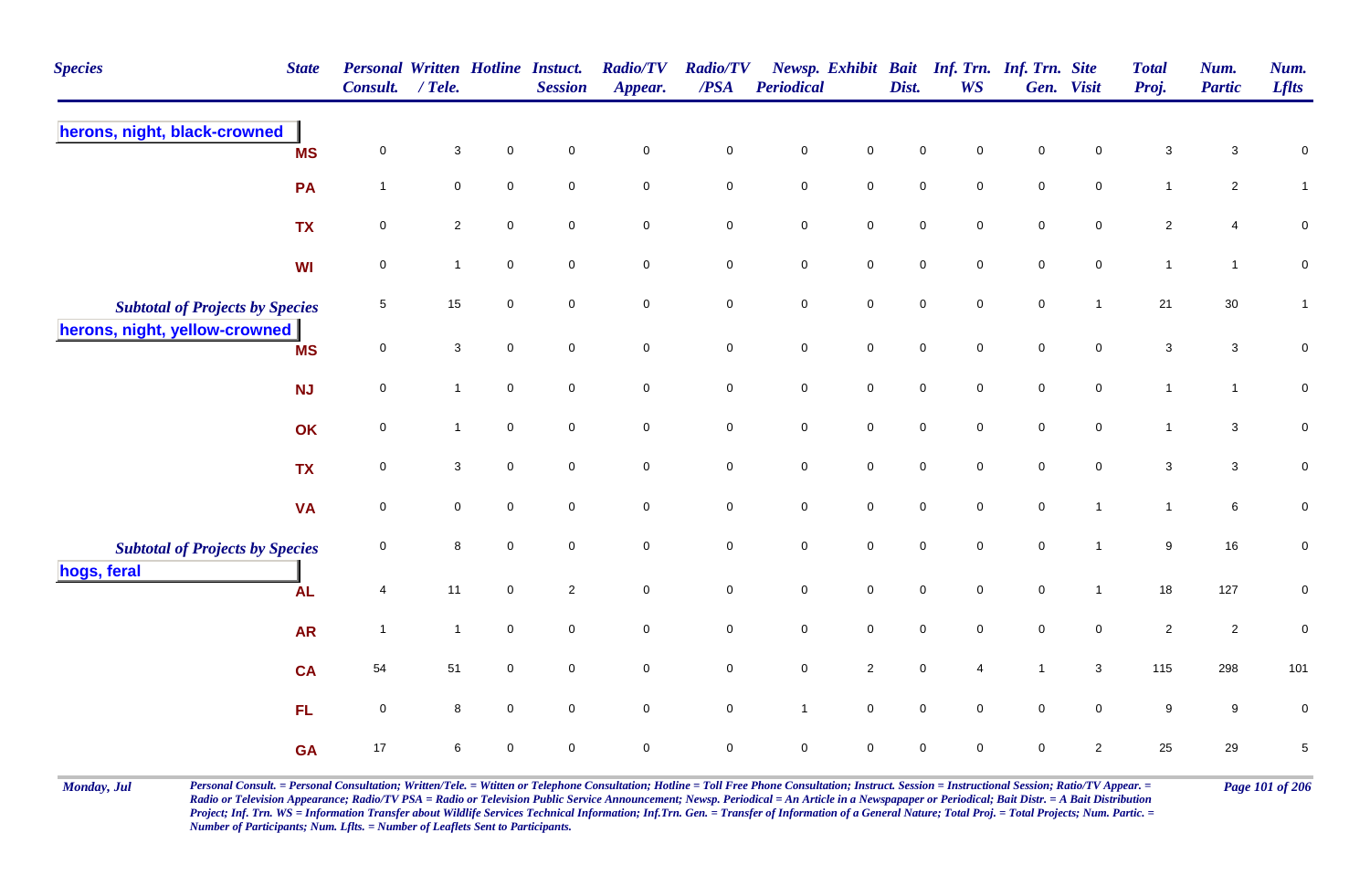| <b>Species</b>                         | <b>State</b> | <b>Personal Written Hotline Instuct.</b><br><b>Consult.</b> | / Tele.             |                     | <b>Session</b>      | <b>Radio/TV</b><br>Appear. | <b>Radio/TV</b><br>$\overline{PSA}$ | <b>Periodical</b> |                     | Dist.       | Newsp. Exhibit Bait Inf. Trn. Inf. Trn. Site<br><b>WS</b> |              | Gen. Visit     | <b>Total</b><br>Proj.     | Num.<br><b>Partic</b> | Num.<br><b>Lflts</b> |
|----------------------------------------|--------------|-------------------------------------------------------------|---------------------|---------------------|---------------------|----------------------------|-------------------------------------|-------------------|---------------------|-------------|-----------------------------------------------------------|--------------|----------------|---------------------------|-----------------------|----------------------|
| herons, night, black-crowned           | <b>MS</b>    | 0                                                           | 3                   | $\Omega$            | $\mathbf 0$         | 0                          | $\pmb{0}$                           | $\mathsf 0$       | 0                   | $\mathbf 0$ | 0                                                         | $\mathbf 0$  | 0              | $\sqrt{3}$                | 3                     | $\pmb{0}$            |
|                                        | <b>PA</b>    | $\overline{1}$                                              | $\mathsf{O}\xspace$ | $\mathbf 0$         | $\mathbf 0$         | $\mathsf{O}\xspace$        | $\mathsf{O}\xspace$                 | $\pmb{0}$         | $\mathsf 0$         | $\mathbf 0$ | $\mathbf 0$                                               | $\pmb{0}$    | $\mathbf 0$    | $\mathbf{1}$              | $\overline{c}$        | $\mathbf{1}$         |
|                                        | <b>TX</b>    | $\overline{0}$                                              | $\overline{2}$      | $\mathbf 0$         | $\mathbf 0$         | $\mathbf 0$                | $\overline{0}$                      | $\mathsf 0$       | $\mathbf 0$         | $\mathsf 0$ | $\mathbf 0$                                               | $\mathsf 0$  | $\mathbf 0$    | $\overline{2}$            | $\overline{4}$        | $\mathbf 0$          |
|                                        | <b>WI</b>    | $\mathbf 0$                                                 | $\mathbf{1}$        | $\mathsf{O}\xspace$ | $\pmb{0}$           | $\mathsf{O}\xspace$        | $\mathbf 0$                         | $\pmb{0}$         | $\mathsf 0$         | $\pmb{0}$   | $\mathbf 0$                                               | $\pmb{0}$    | $\pmb{0}$      | $\mathbf{1}$              | $\mathbf{1}$          | $\pmb{0}$            |
| <b>Subtotal of Projects by Species</b> |              | 5                                                           | 15                  | $\mathbf 0$         | $\mathbf 0$         | 0                          | $\mathbf 0$                         | $\pmb{0}$         | $\mathsf{O}\xspace$ | $\mathsf 0$ | $\mathbf 0$                                               | $\mathsf 0$  | $\mathbf{1}$   | 21                        | 30                    | $\mathbf{1}$         |
| herons, night, yellow-crowned          | <b>MS</b>    | $\overline{0}$                                              | 3                   | $\mathbf 0$         | $\mathbf 0$         | $\mathbf 0$                | $\overline{0}$                      | $\mathsf 0$       | $\mathbf 0$         | $\mathsf 0$ | $\mathbf 0$                                               | $\mathsf 0$  | $\overline{0}$ | $\mathbf{3}$              | $\mathbf{3}$          | $\pmb{0}$            |
|                                        | <b>NJ</b>    | $\mathbf 0$                                                 | $\mathbf{1}$        | $\mathsf{O}\xspace$ | $\mathsf{O}\xspace$ | $\mathbf 0$                | $\mathsf{O}\xspace$                 | $\pmb{0}$         | $\mathsf 0$         | $\pmb{0}$   | $\mathbf 0$                                               | $\pmb{0}$    | $\mathbf 0$    | $\mathbf{1}$              | $\mathbf{1}$          | $\pmb{0}$            |
|                                        | OK           | $\mathbf 0$                                                 | $\mathbf{1}$        | $\overline{0}$      | $\mathbf 0$         | $\mathbf 0$                | $\mathbf 0$                         | $\pmb{0}$         | $\mathbf 0$         | $\mathsf 0$ | $\mathbf 0$                                               | $\mathsf 0$  | $\overline{0}$ | $\mathbf{1}$              | $\mathbf{3}$          | $\pmb{0}$            |
|                                        | <b>TX</b>    | $\mathsf{O}\xspace$                                         | $\mathbf{3}$        | $\mathsf{O}\xspace$ | $\pmb{0}$           | $\mathbf 0$                | $\mathsf{O}\xspace$                 | $\pmb{0}$         | $\mathsf{O}\xspace$ | $\pmb{0}$   | $\mathbf 0$                                               | $\pmb{0}$    | $\mathbf 0$    | $\ensuremath{\mathsf{3}}$ | $\mathbf{3}$          | $\mathbf 0$          |
|                                        | <b>VA</b>    | $\mathsf{O}\xspace$                                         | $\mathbf 0$         | $\mathbf 0$         | $\mathbf 0$         | $\mathbf 0$                | $\overline{0}$                      | $\mathsf 0$       | $\mathbf 0$         | $\mathbf 0$ | $\mathbf 0$                                               | $\mathsf 0$  | $\mathbf{1}$   | $\mathbf{1}$              | 6                     | $\mathbf 0$          |
| <b>Subtotal of Projects by Species</b> |              | 0                                                           | 8                   | $\mathbf 0$         | $\mathbf 0$         | $\mathbf 0$                | $\mathbf 0$                         | $\pmb{0}$         | $\mathbf 0$         | $\mathbf 0$ | $\mathbf 0$                                               | $\mathbf 0$  | $\mathbf{1}$   | $\boldsymbol{9}$          | 16                    | $\mathbf 0$          |
| hogs, feral                            | <b>AL</b>    | $\overline{4}$                                              | 11                  | $\mathsf{O}\xspace$ | $\sqrt{2}$          | $\mathbf 0$                | $\mathbf 0$                         | $\pmb{0}$         | $\mathsf{O}\xspace$ | $\mathbf 0$ | $\mathbf 0$                                               | $\mathbf 0$  | $\mathbf{1}$   | 18                        | 127                   | $\pmb{0}$            |
|                                        | <b>AR</b>    | $\overline{1}$                                              | $\mathbf{1}$        | $\mathsf{O}\xspace$ | $\mathsf 0$         | $\mathbf 0$                | $\mathsf{O}\xspace$                 | $\pmb{0}$         | $\mathbf 0$         | $\pmb{0}$   | $\mathbf 0$                                               | $\pmb{0}$    | $\mathbf 0$    | $\overline{2}$            | $\overline{2}$        | $\mathbf 0$          |
|                                        | <b>CA</b>    | 54                                                          | 51                  | $\mathbf 0$         | $\mathbf 0$         | $\mathbf 0$                | $\overline{0}$                      | $\mathsf 0$       | $\overline{2}$      | $\mathsf 0$ | $\overline{4}$                                            | $\mathbf{1}$ | $\mathbf{3}$   | 115                       | 298                   | 101                  |
|                                        | FL.          | $\mathsf{O}\xspace$                                         | 8                   | $\mathbf 0$         | $\mathbf 0$         | $\mathsf{O}\xspace$        | $\mathsf{O}\xspace$                 | $\mathbf{1}$      | $\mathbf 0$         | $\pmb{0}$   | $\mathbf 0$                                               | $\pmb{0}$    | $\mathbf 0$    | $\boldsymbol{9}$          | $9\,$                 | $\pmb{0}$            |
|                                        | <b>GA</b>    | 17                                                          | 6                   | $\mathbf 0$         | $\mathbf 0$         | $\mathbf 0$                | $\overline{0}$                      | $\mathsf 0$       | $\mathbf 0$         | $\mathbf 0$ | $\mathbf 0$                                               | $\mathbf 0$  | $\overline{2}$ | 25                        | 29                    | $\,$ 5 $\,$          |

Monday, Jul Personal Consult. = Personal Consultation; Written/Tele. = Witten or Telephone Consultation; Hotline = Toll Free Phone Consultation; Instruct. Session = Instructional Session; Ratio/TV Appear. = Page 101 of 206 *Radio or Television Appearance; Radio/TV PSA = Radio or Television Public Service Announcement; Newsp. Periodical = An Article in a Newspapaper or Periodical; Bait Distr. = A Bait Distribution*  Project; Inf. Trn. WS = Information Transfer about Wildlife Services Technical Information; Inf.Trn. Gen. = Transfer of Information of a General Nature; Total Proj. = Total Projects; Num. Partic. = *Number of Participants; Num. Lflts. = Number of Leaflets Sent to Participants.*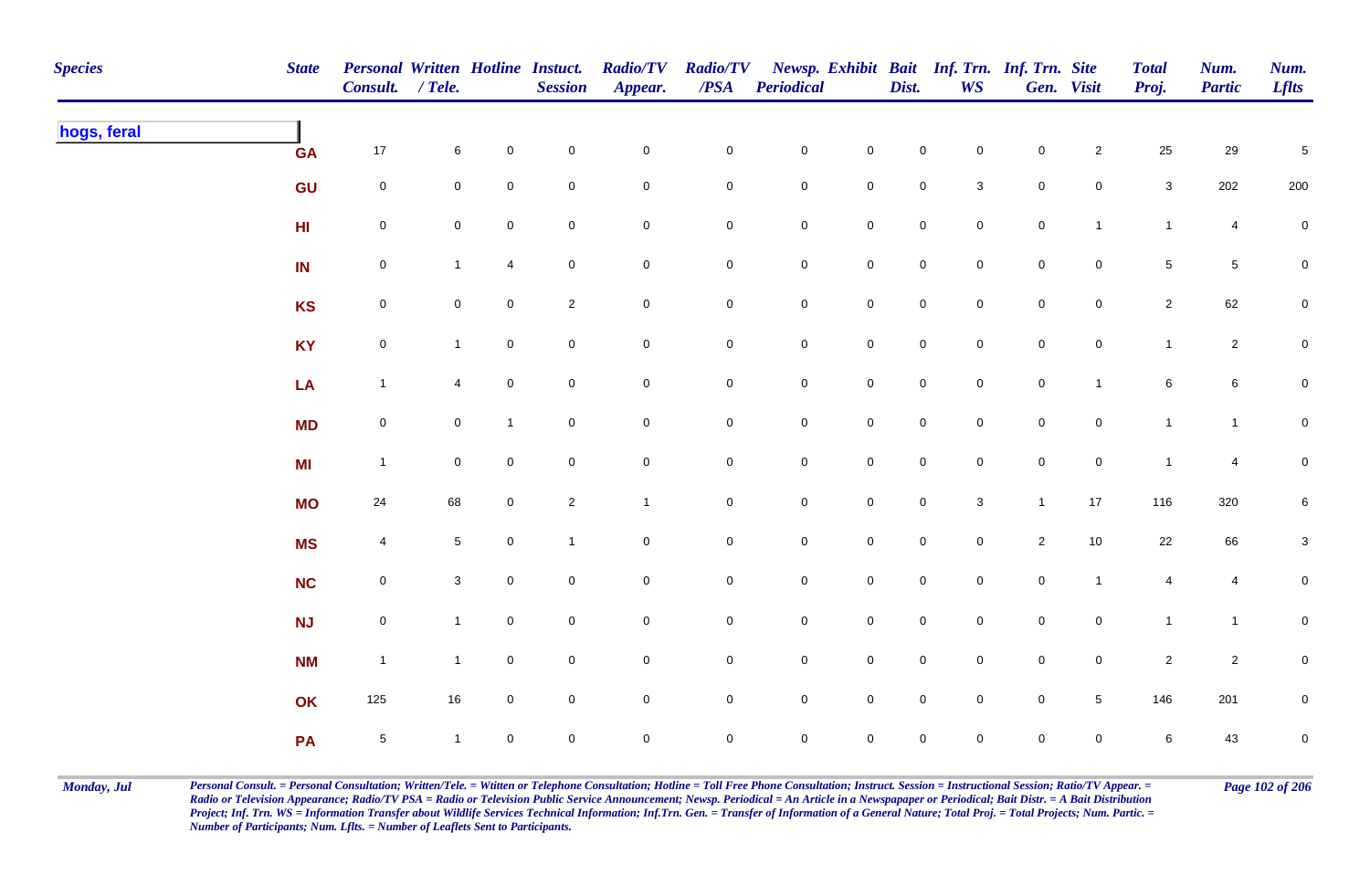| <b>Species</b> | <b>State</b>    | <b>Personal Written Hotline Instuct.</b><br>Consult. / Tele. |                     |                | <b>Session</b> | <b>Radio/TV</b><br>Appear. | <b>Radio/TV</b><br>$\boldsymbol{PSA}$ | <b>Periodical</b>   |                     | Dist.               | <b>WS</b>      | Newsp. Exhibit Bait Inf. Trn. Inf. Trn. Site | Gen. Visit          | <b>Total</b><br>Proj. | Num.<br><b>Partic</b> | Num.<br><b>Lflts</b> |
|----------------|-----------------|--------------------------------------------------------------|---------------------|----------------|----------------|----------------------------|---------------------------------------|---------------------|---------------------|---------------------|----------------|----------------------------------------------|---------------------|-----------------------|-----------------------|----------------------|
| hogs, feral    | <b>GA</b>       | 17                                                           | 6                   | $\mathbf 0$    | $\mathbf 0$    | $\mathbf 0$                | $\mathbf 0$                           | $\mathbf 0$         | $\mathbf 0$         | $\mathsf 0$         | $\mathbf 0$    | $\mathbf 0$                                  | $\mathbf{2}$        | 25                    | 29                    | $\,$ 5 $\,$          |
|                | GU              | $\mathsf{O}\xspace$                                          | $\mathbf 0$         | $\mathbf 0$    | $\mathbf 0$    | $\mathbf 0$                | $\mathsf{O}\xspace$                   | $\mathbf 0$         | $\mathbf 0$         | $\pmb{0}$           | $\mathbf{3}$   | $\mathbf 0$                                  | $\mathbf 0$         | $\mathbf{3}$          | 202                   | 200                  |
|                | H <sub>II</sub> | $\mathbf 0$                                                  | $\mathsf{O}\xspace$ | $\mathbf 0$    | $\pmb{0}$      | $\mathbf 0$                | $\mathbf 0$                           | $\mathbf 0$         | $\pmb{0}$           | $\mathbf 0$         | $\mathbf 0$    | $\mathbf 0$                                  | $\mathbf{1}$        | $\mathbf{1}$          | 4                     | $\mathbf 0$          |
|                | IN              | $\mathbf 0$                                                  | $\mathbf{1}$        | 4              | $\pmb{0}$      | $\mathbf 0$                | $\overline{0}$                        | $\boldsymbol{0}$    | $\mathbf 0$         | $\mathsf{O}\xspace$ | $\overline{0}$ | $\mathsf{O}\xspace$                          | $\mathbf 0$         | $\sqrt{5}$            | $5\phantom{.0}$       | 0                    |
|                | <b>KS</b>       | $\mathsf{O}\xspace$                                          | $\mathbf 0$         | $\overline{0}$ | $\sqrt{2}$     | $\mathbf 0$                | $\mathbf 0$                           | $\mathbf 0$         | $\mathbf 0$         | $\mathsf 0$         | $\overline{0}$ | $\mathbf 0$                                  | $\mathbf 0$         | $\overline{2}$        | 62                    | $\mathbf 0$          |
|                | <b>KY</b>       | $\mathsf{O}\xspace$                                          | $\mathbf{1}$        | $\mathsf 0$    | $\pmb{0}$      | $\overline{0}$             | $\mathbf 0$                           | $\mathbf 0$         | $\mathsf{O}\xspace$ | $\mathsf{O}\xspace$ | $\mathbf 0$    | $\mathbf 0$                                  | $\mathsf{O}\xspace$ | $\mathbf{1}$          | $\overline{2}$        | ${\bf 0}$            |
|                | LA              | $\mathbf{1}$                                                 | 4                   | $\mathbf 0$    | $\mathbf 0$    | $\mathsf{O}\xspace$        | $\mathbf 0$                           | $\mathbf 0$         | $\mathsf 0$         | $\mathsf 0$         | $\mathbf 0$    | $\mathsf{O}\xspace$                          | $\mathbf{1}$        | $\,6\,$               | $\,$ 6 $\,$           | $\overline{0}$       |
|                | <b>MD</b>       | $\mathsf{O}\xspace$                                          | $\mathbf 0$         | $\mathbf{1}$   | $\mathbf 0$    | $\mathbf 0$                | $\mathbf 0$                           | $\overline{0}$      | $\mathsf{O}\xspace$ | $\mathbf 0$         | $\mathbf 0$    | $\mathsf{O}\xspace$                          | $\mathsf{O}\xspace$ | $\mathbf{1}$          | $\mathbf{1}$          | $\overline{0}$       |
|                | MI              | $\mathbf{1}$                                                 | $\mathbf 0$         | $\mathbf{0}$   | $\mathbf 0$    | $\mathbf 0$                | $\mathbf 0$                           | $\mathsf{O}\xspace$ | $\mathbf 0$         | $\mathbf 0$         | $\mathbf 0$    | $\mathsf{O}\xspace$                          | $\mathbf 0$         | $\mathbf{1}$          | $\overline{4}$        | ${\bf 0}$            |
|                | <b>MO</b>       | 24                                                           | 68                  | $\mathbf 0$    | $\sqrt{2}$     | $\mathbf{1}$               | $\mathbf 0$                           | $\mathsf{O}\xspace$ | $\mathbf 0$         | $\mathsf{O}\xspace$ | $\mathbf 3$    | $\mathbf{1}$                                 | 17                  | 116                   | 320                   | $\,6\,$              |
|                | <b>MS</b>       | $\overline{4}$                                               | $5\phantom{.0}$     | $\mathbf 0$    | $\mathbf{1}$   | $\mathbf 0$                | $\boldsymbol{0}$                      | $\mathbf 0$         | $\pmb{0}$           | $\mathbf 0$         | $\mathbf 0$    | $\overline{2}$                               | $10\,$              | $22\,$                | 66                    | $\mathbf{3}$         |
|                | <b>NC</b>       | $\mathbf 0$                                                  | $\mathbf{3}$        | $\mathbf 0$    | $\pmb{0}$      | $\mathbf 0$                | $\overline{0}$                        | $\boldsymbol{0}$    | $\mathbf 0$         | $\mathsf{O}\xspace$ | $\overline{0}$ | $\mathbf 0$                                  | $\mathbf{1}$        | 4                     | 4                     | 0                    |
|                | <b>NJ</b>       | $\mathbf 0$                                                  | $\mathbf{1}$        | $\overline{0}$ | $\mathbf 0$    | $\mathbf 0$                | $\overline{0}$                        | $\mathbf 0$         | $\mathbf 0$         | $\mathsf{O}\xspace$ | $\overline{0}$ | $\mathbf 0$                                  | $\mathbf 0$         | $\mathbf{1}$          | $\mathbf{1}$          | 0                    |
|                | <b>NM</b>       | $\mathbf{1}$                                                 | $\mathbf{1}$        | $\mathbf 0$    | $\mathbf 0$    | $\mathsf{O}\xspace$        | $\mathbf 0$                           | $\mathbf 0$         | $\mathbf 0$         | $\mathsf 0$         | $\mathbf 0$    | $\mathbf 0$                                  | $\mathbf 0$         | $\overline{2}$        | $\overline{2}$        | $\mathbf 0$          |
|                | OK              | 125                                                          | 16                  | $\mathbf 0$    | $\mathbf 0$    | $\mathsf{O}\xspace$        | $\overline{0}$                        | $\mathbf 0$         | $\mathsf 0$         | $\mathsf 0$         | $\mathbf 0$    | $\mathsf{O}\xspace$                          | $5\phantom{.0}$     | 146                   | 201                   | $\mathbf 0$          |
|                | PA              | $\sqrt{5}$                                                   | $\overline{1}$      | $\overline{0}$ | $\mathbf 0$    | $\mathsf{O}\xspace$        | $\mathbf 0$                           | $\mathsf{O}\xspace$ | $\mathbf 0$         | $\mathsf{O}\xspace$ | $\mathbf 0$    | $\mathsf{O}\xspace$                          | $\mathbf 0$         | 6                     | 43                    | $\mathbf 0$          |

Monday, Jul Personal Consult. = Personal Consultation; Written/Tele. = Witten or Telephone Consultation; Hotline = Toll Free Phone Consultation; Instruct. Session = Instructional Session; Ratio/TV Appear. = Page 102 of 206 *Radio or Television Appearance; Radio/TV PSA = Radio or Television Public Service Announcement; Newsp. Periodical = An Article in a Newspapaper or Periodical; Bait Distr. = A Bait Distribution*  Project; Inf. Trn. WS = Information Transfer about Wildlife Services Technical Information; Inf.Trn. Gen. = Transfer of Information of a General Nature; Total Proj. = Total Projects; Num. Partic. = *Number of Participants; Num. Lflts. = Number of Leaflets Sent to Participants.*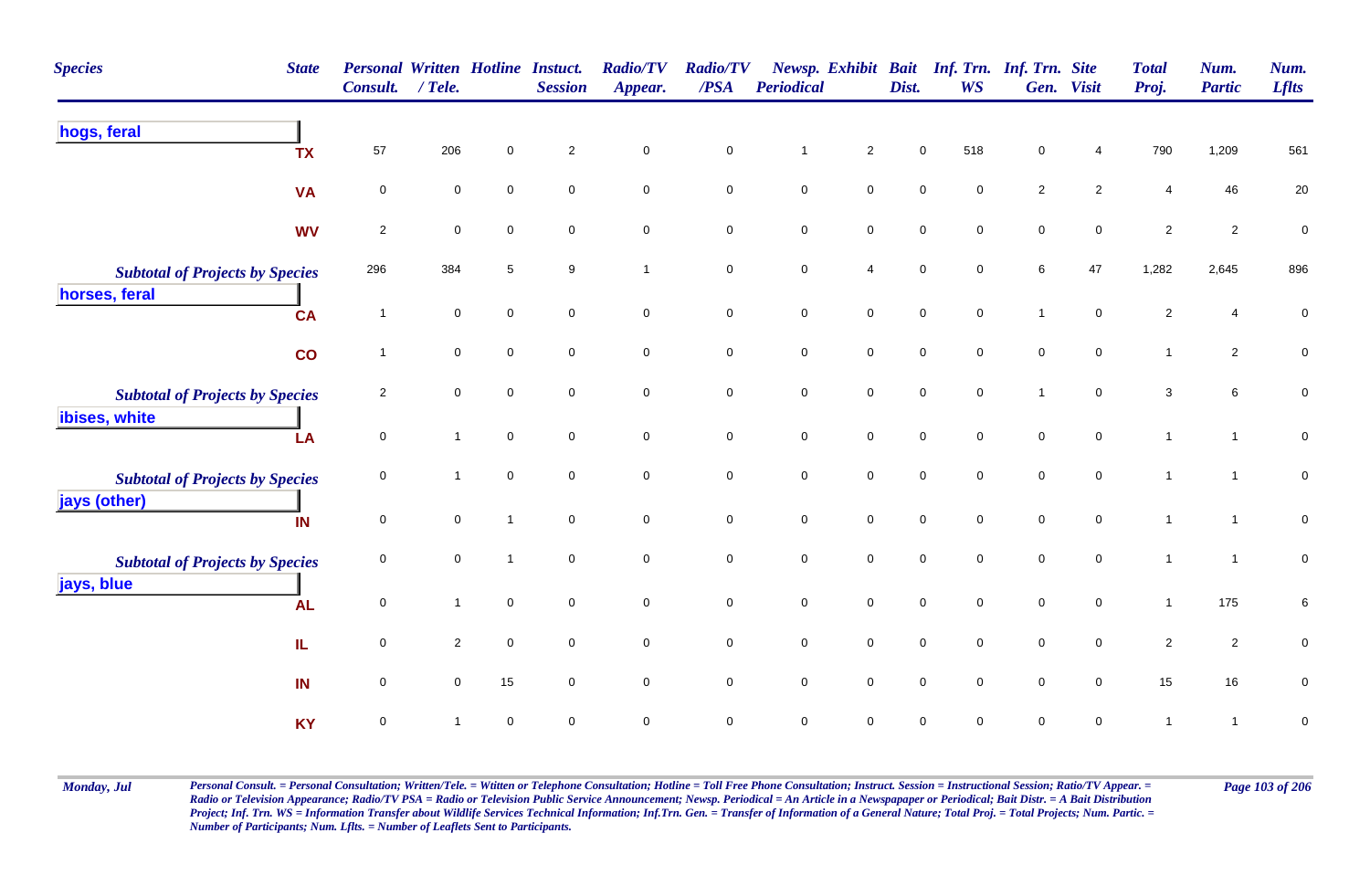| <b>Species</b><br><b>State</b>         | <b>Personal Written Hotline Instact.</b><br><b>Consult.</b> | $/$ Tele.      |              | <b>Session</b>      | <b>Radio/TV</b><br>Appear. | <b>Radio/TV</b><br>/PSA | <b>Periodical</b>   |                     | Dist.               | Newsp. Exhibit Bait Inf. Trn. Inf. Trn. Site<br><b>WS</b> |                     | Gen. Visit          | <b>Total</b><br>Proj.   | Num.<br><b>Partic</b> | Num.<br><b>Lflts</b> |
|----------------------------------------|-------------------------------------------------------------|----------------|--------------|---------------------|----------------------------|-------------------------|---------------------|---------------------|---------------------|-----------------------------------------------------------|---------------------|---------------------|-------------------------|-----------------------|----------------------|
| hogs, feral<br><b>TX</b>               | 57                                                          | 206            | $\mathbf 0$  | $\overline{2}$      | $\pmb{0}$                  | $\pmb{0}$               | $\mathbf{1}$        | $\overline{2}$      | 0                   | 518                                                       | 0                   | 4                   | 790                     | 1,209                 | 561                  |
| <b>VA</b>                              | $\mathsf 0$                                                 | 0              | $\Omega$     | $\mathbf 0$         | $\mathsf 0$                | $\mathbf 0$             | $\mathbf 0$         | $\mathbf 0$         | $\mathbf 0$         | $\mathbf 0$                                               | $\overline{2}$      | $\overline{2}$      | 4                       | 46                    | 20                   |
| <b>WV</b>                              | $\sqrt{2}$                                                  | $\pmb{0}$      | $\pmb{0}$    | $\mathbf 0$         | $\pmb{0}$                  | $\pmb{0}$               | $\mathbf 0$         | $\mathbf 0$         | $\mathbf 0$         | $\mathbf 0$                                               | $\mathbf 0$         | $\mathbf 0$         | $\overline{\mathbf{c}}$ | $\overline{2}$        | $\pmb{0}$            |
| <b>Subtotal of Projects by Species</b> | 296                                                         | 384            | 5            | 9                   | $\overline{1}$             | $\mathsf 0$             | $\mathbf 0$         | $\overline{4}$      | 0                   | $\mathbf 0$                                               | 6                   | 47                  | 1,282                   | 2,645                 | 896                  |
| horses, feral<br><b>CA</b>             | $\overline{1}$                                              | 0              | $\mathbf 0$  | $\mathbf 0$         | $\mathsf 0$                | $\mathsf 0$             | $\mathbf 0$         | $\mathbf 0$         | $\mathsf{O}$        | $\mathbf 0$                                               | $\overline{1}$      | $\mathbf 0$         | $\overline{c}$          | 4                     | 0                    |
| co                                     | $\mathbf{1}$                                                | 0              | $\mathbf 0$  | $\mathbf 0$         | $\mathbf 0$                | $\mathbf 0$             | $\mathbf 0$         | $\overline{0}$      | $\mathbf 0$         | $\mathbf 0$                                               | $\mathbf 0$         | $\mathbf 0$         | $\mathbf{1}$            | $\overline{2}$        | $\mathbf 0$          |
| <b>Subtotal of Projects by Species</b> | $\overline{c}$                                              | 0              | $\mathbf 0$  | $\mathbf 0$         | $\pmb{0}$                  | $\mathsf 0$             | $\mathsf{O}\xspace$ | $\mathsf{O}\xspace$ | $\mathsf{O}\xspace$ | $\mathbf 0$                                               | $\overline{1}$      | $\mathbf 0$         | $\mathbf{3}$            | $\,6\,$               | $\pmb{0}$            |
| ibises, white<br>LA                    | $\mathbf 0$                                                 | $\mathbf{1}$   | $\mathbf 0$  | $\mathbf 0$         | $\mathsf{O}\xspace$        | $\mathsf 0$             | $\mathbf 0$         | $\mathsf{O}\xspace$ | $\mathbf 0$         | $\mathbf 0$                                               | $\mathsf{O}\xspace$ | $\mathbf 0$         | $\mathbf{1}$            | $\mathbf{1}$          | $\mathbf 0$          |
| <b>Subtotal of Projects by Species</b> | $\mathbf 0$                                                 | 1              | $\mathbf 0$  | $\mathbf 0$         | $\pmb{0}$                  | $\pmb{0}$               | $\mathbf 0$         | $\mathbf 0$         | 0                   | $\mathbf 0$                                               | $\mathbf 0$         | $\mathbf 0$         | $\mathbf 1$             | $\mathbf{1}$          | $\pmb{0}$            |
| jays (other)<br>IN                     | $\mathbf 0$                                                 | 0              | $\mathbf{1}$ | $\overline{0}$      | $\mathsf 0$                | $\mathsf 0$             | $\mathbf 0$         | $\mathsf{O}\xspace$ | $\mathbf 0$         | $\mathbf 0$                                               | $\mathbf 0$         | $\mathbf 0$         | $\overline{1}$          | $\mathbf{1}$          | $\pmb{0}$            |
| <b>Subtotal of Projects by Species</b> | $\mathbf 0$                                                 | 0              | $\mathbf{1}$ | $\mathbf 0$         | $\mathbf 0$                | $\mathbf 0$             | $\mathbf 0$         | $\mathbf 0$         | 0                   | $\mathbf 0$                                               | $\pmb{0}$           | $\mathbf 0$         | $\overline{1}$          | $\mathbf{1}$          | $\mathbf 0$          |
| jays, blue<br><b>AL</b>                | $\mathbf 0$                                                 | $\mathbf{1}$   | $\mathbf 0$  | $\mathsf{O}\xspace$ | $\pmb{0}$                  | $\mathsf 0$             | $\mathbf 0$         | $\mathbf 0$         | $\mathbf 0$         | $\mathbf 0$                                               | $\mathsf{O}\xspace$ | $\mathsf{O}\xspace$ | $\mathbf{1}$            | 175                   | 6                    |
| IL.                                    | $\mathbf 0$                                                 | $\overline{2}$ | $\mathbf 0$  | $\mathbf 0$         | $\mathsf 0$                | $\mathbf 0$             | $\mathbf 0$         | $\overline{0}$      | $\mathbf 0$         | $\mathbf 0$                                               | $\mathbf 0$         | $\mathbf 0$         | $\overline{2}$          | $\overline{2}$        | 0                    |
| IN                                     | $\mathsf 0$                                                 | 0              | 15           | $\mathbf 0$         | $\pmb{0}$                  | $\mathsf 0$             | $\mathbf 0$         | $\mathsf{O}\xspace$ | $\mathbf 0$         | $\mathbf 0$                                               | $\mathbf 0$         | $\mathbf 0$         | 15                      | 16                    | 0                    |
| <b>KY</b>                              | $\mathsf 0$                                                 |                | $\mathbf 0$  | 0                   | $\mathsf 0$                | $\mathsf 0$             | 0                   | $\mathbf 0$         | 0                   | $\mathbf 0$                                               | 0                   | $\mathbf 0$         | $\mathbf 1$             | $\mathbf{1}$          | $\pmb{0}$            |

Monday, Jul Personal Consult. = Personal Consultation; Written/Tele. = Witten or Telephone Consultation; Hotline = Toll Free Phone Consultation; Instruct. Session = Instructional Session; Ratio/TV Appear. = Page 103 of 206 *Radio or Television Appearance; Radio/TV PSA = Radio or Television Public Service Announcement; Newsp. Periodical = An Article in a Newspapaper or Periodical; Bait Distr. = A Bait Distribution*  Project; Inf. Trn. WS = Information Transfer about Wildlife Services Technical Information; Inf.Trn. Gen. = Transfer of Information of a General Nature; Total Proj. = Total Projects; Num. Partic. = *Number of Participants; Num. Lflts. = Number of Leaflets Sent to Participants.*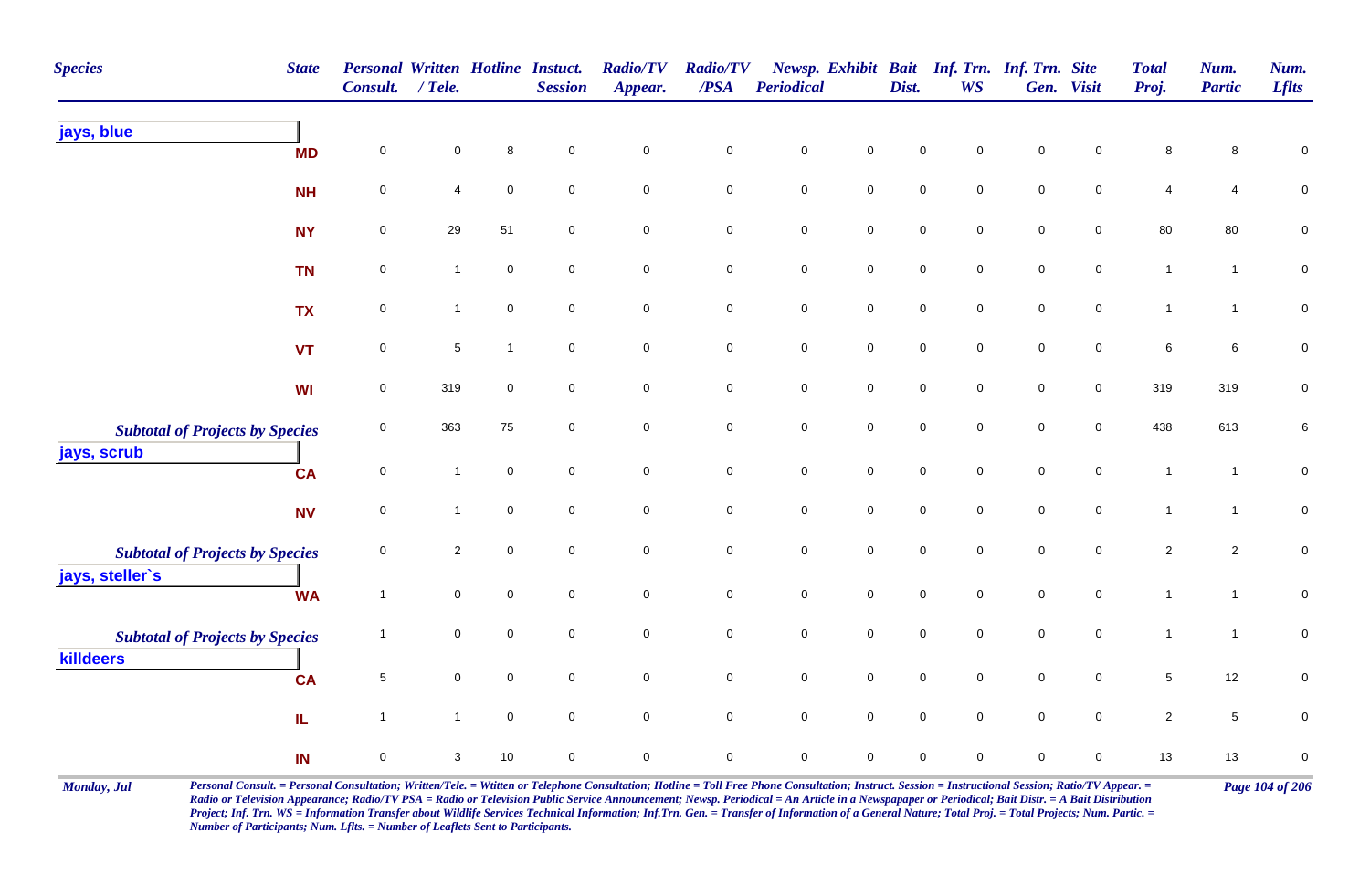| <b>Species</b>                         | <b>State</b> | <b>Personal Written Hotline Instuct.</b><br>Consult. | $/$ Tele.    |              | <b>Session</b>      | <b>Radio/TV</b><br>Appear. | <b>Radio/TV</b><br>$\overline{PSA}$ | <b>Periodical</b>   |                     | Dist.               | Newsp. Exhibit Bait Inf. Trn. Inf. Trn. Site<br><b>WS</b> |                     | Gen. Visit          | <b>Total</b><br>Proj. | Num.<br><b>Partic</b> | Num.<br><b>Lflts</b> |
|----------------------------------------|--------------|------------------------------------------------------|--------------|--------------|---------------------|----------------------------|-------------------------------------|---------------------|---------------------|---------------------|-----------------------------------------------------------|---------------------|---------------------|-----------------------|-----------------------|----------------------|
| jays, blue                             | <b>MD</b>    | $\mathsf{O}\xspace$                                  | 0            | 8            | $\mathbf 0$         | $\pmb{0}$                  | $\pmb{0}$                           | $\pmb{0}$           | $\pmb{0}$           | $\mathbf 0$         | $\pmb{0}$                                                 | $\pmb{0}$           | $\pmb{0}$           | 8                     | 8                     | $\mathbf 0$          |
|                                        | <b>NH</b>    | 0                                                    | 4            | $\mathbf 0$  | $\mathbf 0$         | $\mathbf 0$                | $\mathbf 0$                         | $\mathbf 0$         | $\mathsf{O}\xspace$ | $\mathsf{O}\xspace$ | $\mathbf 0$                                               | $\mathbf 0$         | $\mathbf 0$         | 4                     | 4                     | $\pmb{0}$            |
|                                        | <b>NY</b>    | $\mathsf{O}\xspace$                                  | 29           | 51           | $\mathbf 0$         | $\mathbf 0$                | $\pmb{0}$                           | $\mathbf 0$         | $\mathbf 0$         | $\mathbf 0$         | $\mathsf{O}\xspace$                                       | $\mathsf{O}\xspace$ | $\mathbf 0$         | 80                    | 80                    | $\pmb{0}$            |
|                                        | <b>TN</b>    | $\pmb{0}$                                            | $\mathbf{1}$ | $\pmb{0}$    | $\mathbf 0$         | $\mathbf 0$                | $\mathbf 0$                         | $\pmb{0}$           | $\mathbf 0$         | $\mathsf 0$         | $\overline{0}$                                            | $\mathbf 0$         | $\mathsf{O}\xspace$ | $\mathbf{1}$          | $\mathbf{1}$          | $\mathbf 0$          |
|                                        | <b>TX</b>    | $\pmb{0}$                                            | $\mathbf{1}$ | $\mathbf 0$  | $\mathbf 0$         | $\mathbf 0$                | $\pmb{0}$                           | $\mathbf 0$         | $\mathsf{O}\xspace$ | $\mathsf 0$         | $\overline{0}$                                            | $\mathbf 0$         | $\mathsf{O}\xspace$ | $\mathbf{1}$          | $\overline{1}$        | $\pmb{0}$            |
|                                        | <b>VT</b>    | 0                                                    | 5            | $\mathbf{1}$ | $\mathbf 0$         | $\mathbf 0$                | $\mathbf 0$                         | $\mathbf 0$         | $\overline{0}$      | $\mathbf 0$         | $\mathbf 0$                                               | $\mathsf{O}\xspace$ | $\mathbf 0$         | 6                     | 6                     | $\mathbf 0$          |
|                                        | WI           | $\mathsf{O}\xspace$                                  | 319          | $\mathbf 0$  | $\mathbf 0$         | $\mathbf 0$                | $\mathbf 0$                         | $\mathbf 0$         | $\mathsf{O}\xspace$ | $\mathsf{O}\xspace$ | $\mathbf 0$                                               | $\mathsf{O}\xspace$ | $\overline{0}$      | 319                   | 319                   | $\pmb{0}$            |
| <b>Subtotal of Projects by Species</b> |              | $\mathsf{O}\xspace$                                  | 363          | 75           | $\overline{0}$      | $\mathbf 0$                | $\mathbf 0$                         | $\mathbf 0$         | $\mathbf 0$         | $\mathsf 0$         | $\overline{0}$                                            | $\mathbf 0$         | $\mathbf 0$         | 438                   | 613                   | $\,6\,$              |
| jays, scrub                            | <b>CA</b>    | $\mathsf{O}\xspace$                                  | $\mathbf{1}$ | $\mathbf 0$  | $\mathbf 0$         | $\mathbf 0$                | $\mathbf 0$                         | $\mathsf{O}\xspace$ | $\mathsf{O}\xspace$ | $\mathsf{O}\xspace$ | $\mathbf 0$                                               | $\mathbf 0$         | $\overline{0}$      | $\mathbf{1}$          | $\overline{1}$        | $\mathbf 0$          |
|                                        | <b>NV</b>    | 0                                                    | 1            | $\mathbf 0$  | $\mathbf 0$         | $\mathbf 0$                | $\mathbf 0$                         | $\mathsf{O}\xspace$ | $\mathsf{O}\xspace$ | $\mathsf{O}\xspace$ | $\mathbf 0$                                               | $\mathbf 0$         | 0                   | $\mathbf{1}$          | $\mathbf{1}$          | $\overline{0}$       |
| <b>Subtotal of Projects by Species</b> |              | $\mathbf 0$                                          | $\mathbf{2}$ | $\mathbf 0$  | $\mathbf 0$         | $\mathsf{O}\xspace$        | $\mathsf{O}\xspace$                 | $\pmb{0}$           | $\mathsf{O}\xspace$ | $\mathsf{O}\xspace$ | $\mathbf 0$                                               | $\mathbf 0$         | $\mathsf{O}\xspace$ | $\sqrt{2}$            | $\overline{2}$        | $\overline{0}$       |
| jays, steller's                        | <b>WA</b>    | $\mathbf{1}$                                         | 0            | $\mathbf 0$  | $\mathbf 0$         | $\overline{0}$             | $\mathbf 0$                         | $\mathbf 0$         | $\mathbf 0$         | $\mathbf 0$         | $\overline{0}$                                            | $\pmb{0}$           | $\overline{0}$      | $\mathbf{1}$          | $\mathbf{1}$          | $\mathbf 0$          |
| <b>Subtotal of Projects by Species</b> |              | 1                                                    | 0            | $\mathbf 0$  | $\mathsf{O}\xspace$ | $\mathsf{O}\xspace$        | $\mathbf 0$                         | $\mathbf 0$         | $\mathsf{O}\xspace$ | $\mathsf 0$         | $\mathsf{O}\xspace$                                       | $\mathbf 0$         | $\mathbf 0$         | $\mathbf{1}$          | -1                    | $\pmb{0}$            |
| killdeers                              | <b>CA</b>    | $\,$ 5 $\,$                                          | 0            | $\mathbf 0$  | $\mathbf 0$         | $\mathsf{O}\xspace$        | $\mathbf 0$                         | $\mathbf 0$         | $\mathsf{O}\xspace$ | $\mathsf 0$         | $\mathbf 0$                                               | $\mathsf{O}\xspace$ | $\mathbf 0$         | $5\phantom{.0}$       | 12                    | $\mathbf 0$          |
|                                        | IL           | $\mathbf{1}$                                         | $\mathbf{1}$ | $\pmb{0}$    | $\mathbf 0$         | $\mathbf 0$                | $\mathbf 0$                         | $\mathsf{O}\xspace$ | $\mathsf{O}\xspace$ | $\mathsf{O}\xspace$ | $\mathbf{0}$                                              | $\mathbf 0$         | $\mathsf{O}\xspace$ | $\overline{2}$        | 5                     | $\pmb{0}$            |
|                                        | IN           | $\pmb{0}$                                            | 3            | 10           | $\mathsf{O}\xspace$ | $\mathsf 0$                | $\pmb{0}$                           | $\pmb{0}$           | $\mathsf 0$         | $\pmb{0}$           | $\mathsf{O}\xspace$                                       | $\mathsf{O}\xspace$ | 0                   | 13                    | 13                    | $\pmb{0}$            |

Monday, Jul Personal Consult. = Personal Consultation; Written/Tele. = Witten or Telephone Consultation; Hotline = Toll Free Phone Consultation; Instruct. Session = Instructional Session; Ratio/TV Appear. = Page 104 of 206 *Radio or Television Appearance; Radio/TV PSA = Radio or Television Public Service Announcement; Newsp. Periodical = An Article in a Newspapaper or Periodical; Bait Distr. = A Bait Distribution*  Project; Inf. Trn. WS = Information Transfer about Wildlife Services Technical Information; Inf.Trn. Gen. = Transfer of Information of a General Nature; Total Proj. = Total Projects; Num. Partic. = *Number of Participants; Num. Lflts. = Number of Leaflets Sent to Participants.*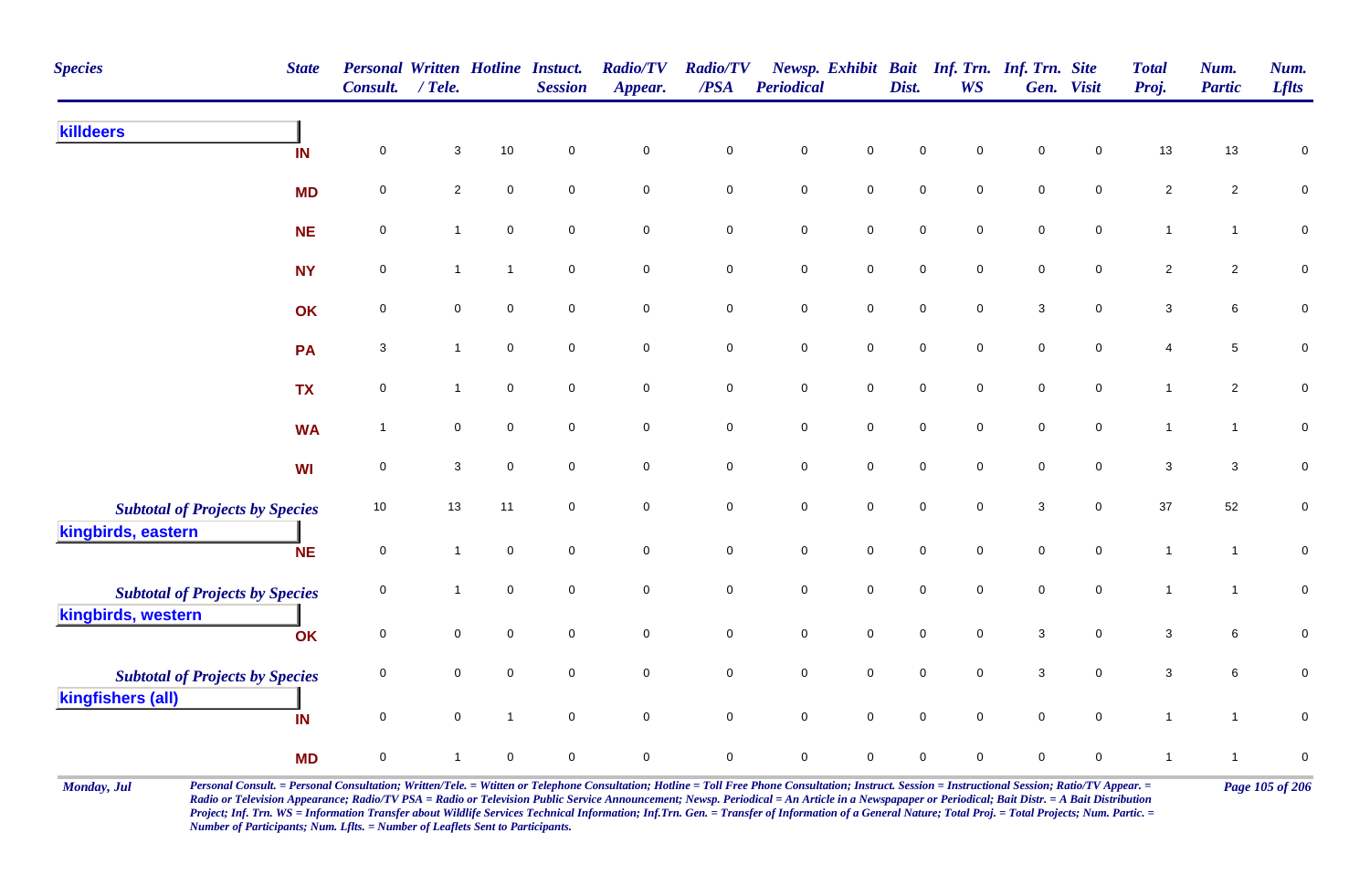| <b>Species</b><br><b>State</b>                               | <b>Personal Written Hotline Instuct.</b><br>Consult. | $/$ Tele.      |                | <b>Session</b>      | <b>Radio/TV</b><br>Appear. | <b>Radio/TV</b><br>/PSA | <b>Periodical</b> |                     | Dist.               | Newsp. Exhibit Bait Inf. Trn. Inf. Trn. Site<br><b>WS</b> |                           | Gen. Visit  | <b>Total</b><br>Proj.     | Num.<br><b>Partic</b> | Num.<br><b>Lflts</b> |
|--------------------------------------------------------------|------------------------------------------------------|----------------|----------------|---------------------|----------------------------|-------------------------|-------------------|---------------------|---------------------|-----------------------------------------------------------|---------------------------|-------------|---------------------------|-----------------------|----------------------|
| killdeers<br>IN                                              | $\mathbf 0$                                          | 3              | 10             | $\mathbf 0$         | $\mathsf 0$                | $\pmb{0}$               | $\mathbf 0$       | $\mathbf 0$         | $\mathbf 0$         | $\mathbf 0$                                               | $\mathsf{O}\xspace$       | 0           | $13$                      | 13                    | $\mathbf 0$          |
| <b>MD</b>                                                    | 0                                                    | $\overline{a}$ | $\mathbf 0$    | $\mathbf 0$         | $\mathbf 0$                | $\mathbf 0$             | $\mathbf 0$       | $\pmb{0}$           | $\mathsf 0$         | $\mathbf 0$                                               | $\mathbf 0$               | 0           | $\sqrt{2}$                | $\overline{c}$        | $\pmb{0}$            |
| <b>NE</b>                                                    | $\pmb{0}$                                            | 1              | $\pmb{0}$      | $\mathbf 0$         | $\mathbf 0$                | $\mathbf 0$             | $\pmb{0}$         | $\mathbf 0$         | $\mathsf 0$         | $\mathsf 0$                                               | $\pmb{0}$                 | $\mathbf 0$ | $\mathbf{1}$              | $\mathbf{1}$          | $\pmb{0}$            |
| <b>NY</b>                                                    | 0                                                    | $\mathbf{1}$   | $\mathbf{1}$   | $\mathbf 0$         | $\mathbf 0$                | $\pmb{0}$               | $\mathbf 0$       | $\mathbf 0$         | $\mathbf 0$         | $\mathbf 0$                                               | $\mathbf 0$               | 0           | $\overline{2}$            | $\overline{2}$        | $\mathbf 0$          |
| OK                                                           | 0                                                    | 0              | $\mathbf 0$    | $\mathbf 0$         | $\mathbf 0$                | $\mathbf 0$             | $\mathbf 0$       | $\mathbf 0$         | $\mathbf 0$         | $\mathsf 0$                                               | $\ensuremath{\mathsf{3}}$ | 0           | 3                         | 6                     | $\pmb{0}$            |
| PA                                                           | 3                                                    | $\mathbf{1}$   | $\mathbf 0$    | $\mathbf 0$         | $\mathbf 0$                | $\mathbf 0$             | $\mathbf 0$       | $\mathsf{O}\xspace$ | $\mathsf{O}\xspace$ | $\mathbf 0$                                               | $\mathbf 0$               | $\mathbf 0$ | 4                         | 5                     | $\pmb{0}$            |
| <b>TX</b>                                                    | $\pmb{0}$                                            | $\mathbf{1}$   | $\mathsf 0$    | $\mathbf 0$         | $\mathbf 0$                | $\mathbf 0$             | $\mathbf 0$       | $\mathbf 0$         | $\mathsf 0$         | $\overline{0}$                                            | $\mathbf 0$               | $\mathbf 0$ | $\mathbf{1}$              | $\overline{c}$        | $\pmb{0}$            |
| <b>WA</b>                                                    | $\mathbf{1}$                                         | 0              | $\pmb{0}$      | $\mathbf 0$         | $\mathbf 0$                | $\mathbf 0$             | $\mathbf 0$       | $\mathbf 0$         | $\mathsf 0$         | $\overline{0}$                                            | $\mathbf 0$               | $\mathbf 0$ | $\mathbf{1}$              | $\mathbf{1}$          | $\pmb{0}$            |
| WI                                                           | $\mathsf{O}\xspace$                                  | $\mathbf{3}$   | $\mathbf 0$    | $\mathbf 0$         | $\mathbf 0$                | $\mathbf 0$             | $\mathbf 0$       | $\mathsf{O}\xspace$ | $\mathbf 0$         | $\mathbf 0$                                               | $\mathsf{O}\xspace$       | $\mathbf 0$ | $\sqrt{3}$                | $\mathbf{3}$          | $\pmb{0}$            |
| <b>Subtotal of Projects by Species</b><br>kingbirds, eastern | 10                                                   | 13             | 11             | 0                   | $\mathbf 0$                | $\mathbf 0$             | $\mathbf 0$       | $\mathsf{O}\xspace$ | $\mathbf 0$         | $\mathsf 0$                                               | $\ensuremath{\mathsf{3}}$ | $\mathbf 0$ | $37\,$                    | 52                    | $\mathbf 0$          |
| <b>NE</b>                                                    | $\mathsf{O}\xspace$                                  | $\mathbf{1}$   | $\mathbf 0$    | $\mathbf 0$         | $\mathsf{O}\xspace$        | $\mathsf 0$             | $\pmb{0}$         | $\mathsf{O}\xspace$ | $\mathsf{O}\xspace$ | $\mathbf 0$                                               | $\mathbf 0$               | $\mathbf 0$ | $\mathbf{1}$              | $\mathbf{1}$          | $\mathsf{O}\xspace$  |
| <b>Subtotal of Projects by Species</b><br>kingbirds, western | 0                                                    | 1              | $\pmb{0}$      | $\mathbf 0$         | $\mathbf 0$                | $\pmb{0}$               | $\mathbf 0$       | $\pmb{0}$           | $\mathbf 0$         | $\mathbf 0$                                               | $\pmb{0}$                 | $\mathbf 0$ | $\mathbf{1}$              | $\mathbf{1}$          | $\pmb{0}$            |
| OK                                                           | $\pmb{0}$                                            | 0              | $\mathbf 0$    | $\mathsf{O}\xspace$ | $\mathsf{O}\xspace$        | 0                       | $\mathbf 0$       | $\mathsf{O}\xspace$ | $\mathsf 0$         | $\mathbf 0$                                               | $\ensuremath{\mathsf{3}}$ | $\mathbf 0$ | $\ensuremath{\mathsf{3}}$ | 6                     | $\pmb{0}$            |
| <b>Subtotal of Projects by Species</b>                       | 0                                                    | 0              | $\mathbf 0$    | $\mathbf 0$         | $\mathbf 0$                | $\mathbf 0$             | $\mathbf 0$       | $\mathsf{O}\xspace$ | $\mathbf 0$         | $\overline{0}$                                            | $\ensuremath{\mathsf{3}}$ | $\mathbf 0$ | 3                         | 6                     | $\mathbf 0$          |
| kingfishers (all)<br>IN                                      | $\mathsf{O}\xspace$                                  | $\mathbf 0$    | $\overline{1}$ | $\mathbf 0$         | $\mathbf 0$                | $\mathbf 0$             | $\mathbf 0$       | $\mathbf 0$         | $\mathsf 0$         | $\mathbf 0$                                               | $\mathbf 0$               | $\mathbf 0$ | $\mathbf{1}$              | $\overline{1}$        | $\mathbf 0$          |
| <b>MD</b>                                                    | 0                                                    | 1              | $\mathbf 0$    | 0                   | $\mathsf 0$                | 0                       | 0                 | $\mathbf 0$         | $\mathbf 0$         | $\mathbf 0$                                               | $\mathbf 0$               | 0           | $\mathbf 1$               | $\mathbf 1$           | $\pmb{0}$            |

Monday, Jul Personal Consult. = Personal Consultation; Written/Tele. = Witten or Telephone Consultation; Hotline = Toll Free Phone Consultation; Instruct. Session = Instructional Session; Ratio/TV Appear. = Page 105 of 206 *Radio or Television Appearance; Radio/TV PSA = Radio or Television Public Service Announcement; Newsp. Periodical = An Article in a Newspapaper or Periodical; Bait Distr. = A Bait Distribution*  Project; Inf. Trn. WS = Information Transfer about Wildlife Services Technical Information; Inf.Trn. Gen. = Transfer of Information of a General Nature; Total Proj. = Total Projects; Num. Partic. = *Number of Participants; Num. Lflts. = Number of Leaflets Sent to Participants.*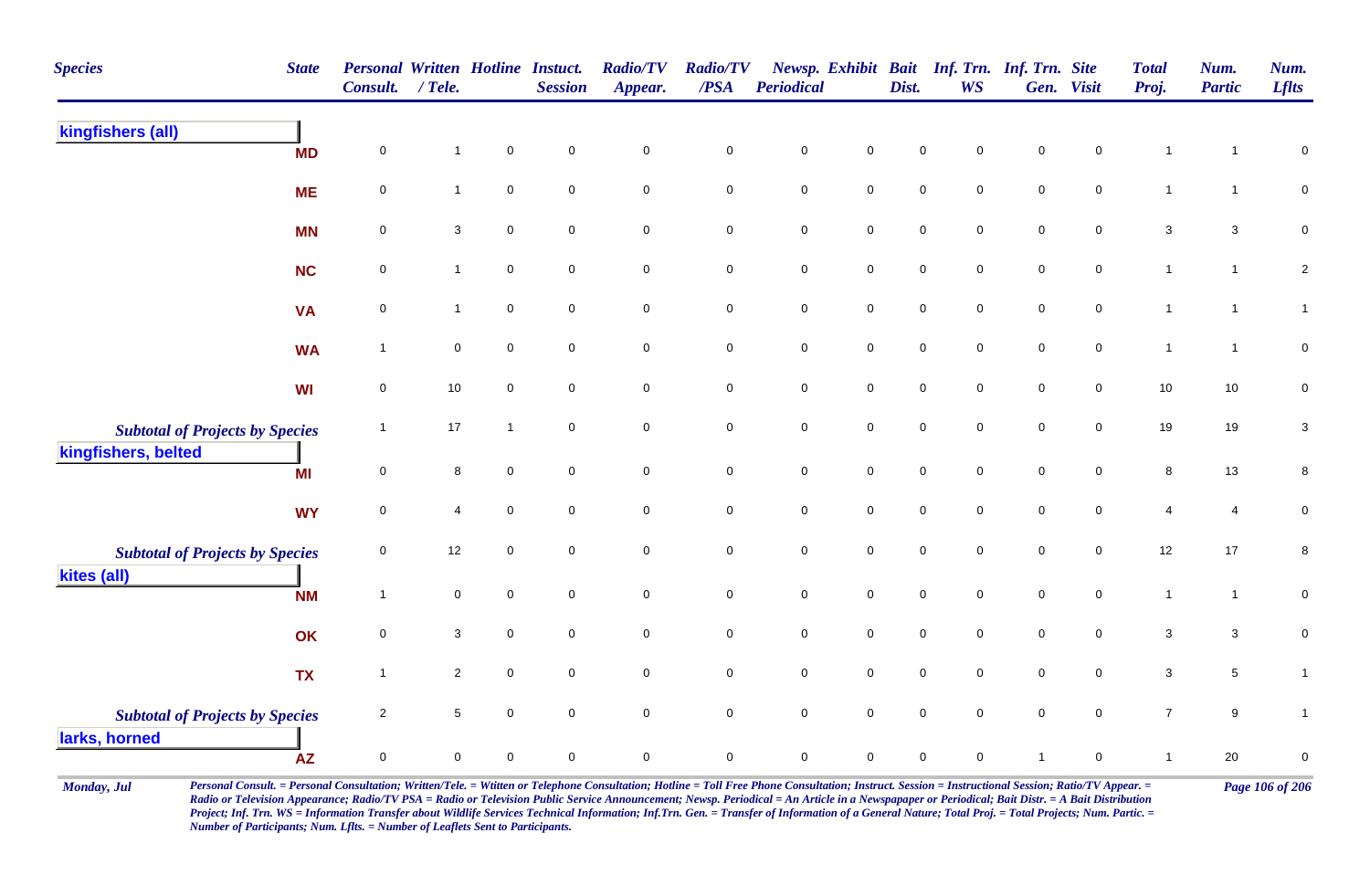| <b>Species</b>                                                | <b>State</b> | <b>Personal Written Hotline Instuct.</b><br>Consult. | $/$ Tele.      |                | <b>Session</b>      | <b>Radio/TV</b><br>Appear. | <b>Radio/TV</b><br>/PSA | Periodical  |                     | Dist.               | <b>WS</b>   | Newsp. Exhibit Bait Inf. Trn. Inf. Trn. Site | Gen. Visit          | <b>Total</b><br>Proj.     | Num.<br><b>Partic</b> | Num.<br><b>Lflts</b> |
|---------------------------------------------------------------|--------------|------------------------------------------------------|----------------|----------------|---------------------|----------------------------|-------------------------|-------------|---------------------|---------------------|-------------|----------------------------------------------|---------------------|---------------------------|-----------------------|----------------------|
| kingfishers (all)                                             | <b>MD</b>    | $\mathbf 0$                                          | 1              | $\pmb{0}$      | $\mathsf{O}\xspace$ | $\mathsf{O}\xspace$        | $\pmb{0}$               | $\mathbf 0$ | $\mathsf{O}\xspace$ | $\mathbf 0$         | 0           | $\pmb{0}$                                    | $\mathbf 0$         | -1                        | 1                     | $\pmb{0}$            |
|                                                               | <b>ME</b>    | $\pmb{0}$                                            | $\mathbf{1}$   | $\pmb{0}$      | $\mathbf 0$         | $\mathbf 0$                | $\pmb{0}$               | $\pmb{0}$   | $\mathsf{O}\xspace$ | $\mathbf 0$         | $\pmb{0}$   | $\pmb{0}$                                    | $\mathbf 0$         | $\mathbf{1}$              | $\mathbf{1}$          | $\pmb{0}$            |
|                                                               | <b>MN</b>    | $\pmb{0}$                                            | $\mathbf{3}$   | $\mathbf 0$    | $\mathbf 0$         | $\mathbf 0$                | $\mathbf 0$             | $\pmb{0}$   | $\mathbf 0$         | $\mathbf 0$         | $\mathbf 0$ | $\pmb{0}$                                    | $\mathbf 0$         | $\ensuremath{\mathsf{3}}$ | $\mathbf{3}$          | $\pmb{0}$            |
|                                                               | <b>NC</b>    | $\mathbf 0$                                          | $\mathbf{1}$   | $\mathbf 0$    | $\mathbf 0$         | $\mathbf 0$                | 0                       | $\pmb{0}$   | $\mathbf 0$         | $\mathsf{O}\xspace$ | $\mathbf 0$ | $\mathsf 0$                                  | $\mathbf 0$         | $\mathbf{1}$              | $\mathbf{1}$          | $\sqrt{2}$           |
|                                                               | <b>VA</b>    | 0                                                    | $\mathbf{1}$   | $\mathbf 0$    | $\mathbf 0$         | $\mathsf{O}\xspace$        | $\mathbf 0$             | $\mathbf 0$ | $\mathsf{O}\xspace$ | $\mathbf 0$         | $\mathbf 0$ | $\pmb{0}$                                    | $\mathbf 0$         | $\mathbf{1}$              | $\mathbf 1$           | $\mathbf{1}$         |
|                                                               | <b>WA</b>    | $\overline{1}$                                       | $\mathbf 0$    | $\mathsf 0$    | $\mathbf 0$         | $\mathbf 0$                | $\pmb{0}$               | $\pmb{0}$   | $\mathsf{O}\xspace$ | $\mathsf{O}\xspace$ | $\mathbf 0$ | $\mathsf 0$                                  | $\mathbf 0$         | $\mathbf{1}$              | $\mathbf 1$           | $\pmb{0}$            |
|                                                               | <b>WI</b>    | $\mathbf 0$                                          | 10             | $\mathsf 0$    | $\mathbf 0$         | $\mathsf{O}\xspace$        | $\mathbf 0$             | $\mathbf 0$ | $\mathsf{O}\xspace$ | $\mathbf 0$         | $\mathbf 0$ | $\pmb{0}$                                    | $\overline{0}$      | $10$                      | 10                    | $\pmb{0}$            |
| <b>Subtotal of Projects by Species</b><br>kingfishers, belted |              | $\overline{1}$                                       | 17             | $\overline{1}$ | $\mathbf 0$         | $\mathbf 0$                | $\mathbf 0$             | $\mathbf 0$ | $\mathbf 0$         | $\pmb{0}$           | $\mathbf 0$ | $\pmb{0}$                                    | $\mathsf{O}$        | 19                        | 19                    | $\sqrt{3}$           |
|                                                               | MI           | $\pmb{0}$                                            | 8              | $\mathbf 0$    | $\mathbf 0$         | $\mathsf{O}\xspace$        | $\mathbf 0$             | $\mathbf 0$ | $\mathsf{O}\xspace$ | $\mathbf 0$         | $\mathbf 0$ | $\pmb{0}$                                    | $\mathsf{O}\xspace$ | $\bf 8$                   | 13                    | 8                    |
|                                                               | <b>WY</b>    | $\mathbf 0$                                          | $\overline{4}$ | $\mathbf 0$    | $\mathbf 0$         | $\overline{0}$             | $\mathsf{O}\xspace$     | $\pmb{0}$   | $\overline{0}$      | $\mathsf{O}\xspace$ | $\mathbf 0$ | $\mathsf 0$                                  | $\mathbf 0$         | 4                         | 4                     | $\mathbf 0$          |
| <b>Subtotal of Projects by Species</b>                        |              | $\mathbf 0$                                          | 12             | $\mathbf 0$    | $\mathbf 0$         | $\mathbf 0$                | $\mathbf 0$             | $\mathbf 0$ | $\mathbf 0$         | $\mathbf 0$         | $\mathbf 0$ | $\mathbf 0$                                  | $\mathsf{O}\xspace$ | 12                        | $17$                  | $\bf 8$              |
| kites (all)                                                   | <b>NM</b>    | $\overline{1}$                                       | $\pmb{0}$      | $\mathsf 0$    | $\mathbf 0$         | $\mathbf 0$                | $\mathbf 0$             | $\pmb{0}$   | $\mathbf 0$         | $\mathbf 0$         | $\mathbf 0$ | $\pmb{0}$                                    | $\mathsf{O}$        | $\mathbf{1}$              | $\mathbf{1}$          | $\pmb{0}$            |
|                                                               | OK           | $\mathbf 0$                                          | 3              | $\mathsf 0$    | $\mathbf 0$         | $\mathbf 0$                | $\mathbf 0$             | $\mathbf 0$ | $\mathsf{O}\xspace$ | $\mathbf 0$         | $\mathbf 0$ | $\pmb{0}$                                    | $\mathbf 0$         | 3                         | 3                     | $\pmb{0}$            |
|                                                               | <b>TX</b>    | $\overline{1}$                                       | $\overline{2}$ | $\mathsf 0$    | $\mathbf 0$         | $\mathbf 0$                | $\pmb{0}$               | $\pmb{0}$   | $\mathbf 0$         | $\mathbf 0$         | $\mathbf 0$ | $\pmb{0}$                                    | $\mathbf 0$         | $\ensuremath{\mathsf{3}}$ | 5                     | $\mathbf{1}$         |
| <b>Subtotal of Projects by Species</b><br>larks, horned       |              | 2                                                    | 5              | $\mathbf 0$    | $\mathbf 0$         | $\mathbf 0$                | $\mathbf 0$             | $\mathbf 0$ | $\mathsf{O}\xspace$ | $\mathbf 0$         | $\mathbf 0$ | $\mathbf 0$                                  | $\mathbf 0$         | $\overline{7}$            | 9                     | $\mathbf{1}$         |
|                                                               | <b>AZ</b>    | $\pmb{0}$                                            | $\mathbf 0$    | $\mathbf 0$    | $\mathbf 0$         | $\mathbf 0$                | $\mathbf 0$             | $\pmb{0}$   | $\mathbf 0$         | $\mathbf 0$         | 0           | $\overline{1}$                               | $\mathbf 0$         | $\mathbf{1}$              | 20                    | $\pmb{0}$            |

Monday, Jul Personal Consult. = Personal Consultation; Written/Tele. = Witten or Telephone Consultation; Hotline = Toll Free Phone Consultation; Instruct. Session = Instructional Session; Ratio/TV Appear. = Page 106 of 206 *Radio or Television Appearance; Radio/TV PSA = Radio or Television Public Service Announcement; Newsp. Periodical = An Article in a Newspapaper or Periodical; Bait Distr. = A Bait Distribution*  Project; Inf. Trn. WS = Information Transfer about Wildlife Services Technical Information; Inf.Trn. Gen. = Transfer of Information of a General Nature; Total Proj. = Total Projects; Num. Partic. = *Number of Participants; Num. Lflts. = Number of Leaflets Sent to Participants.*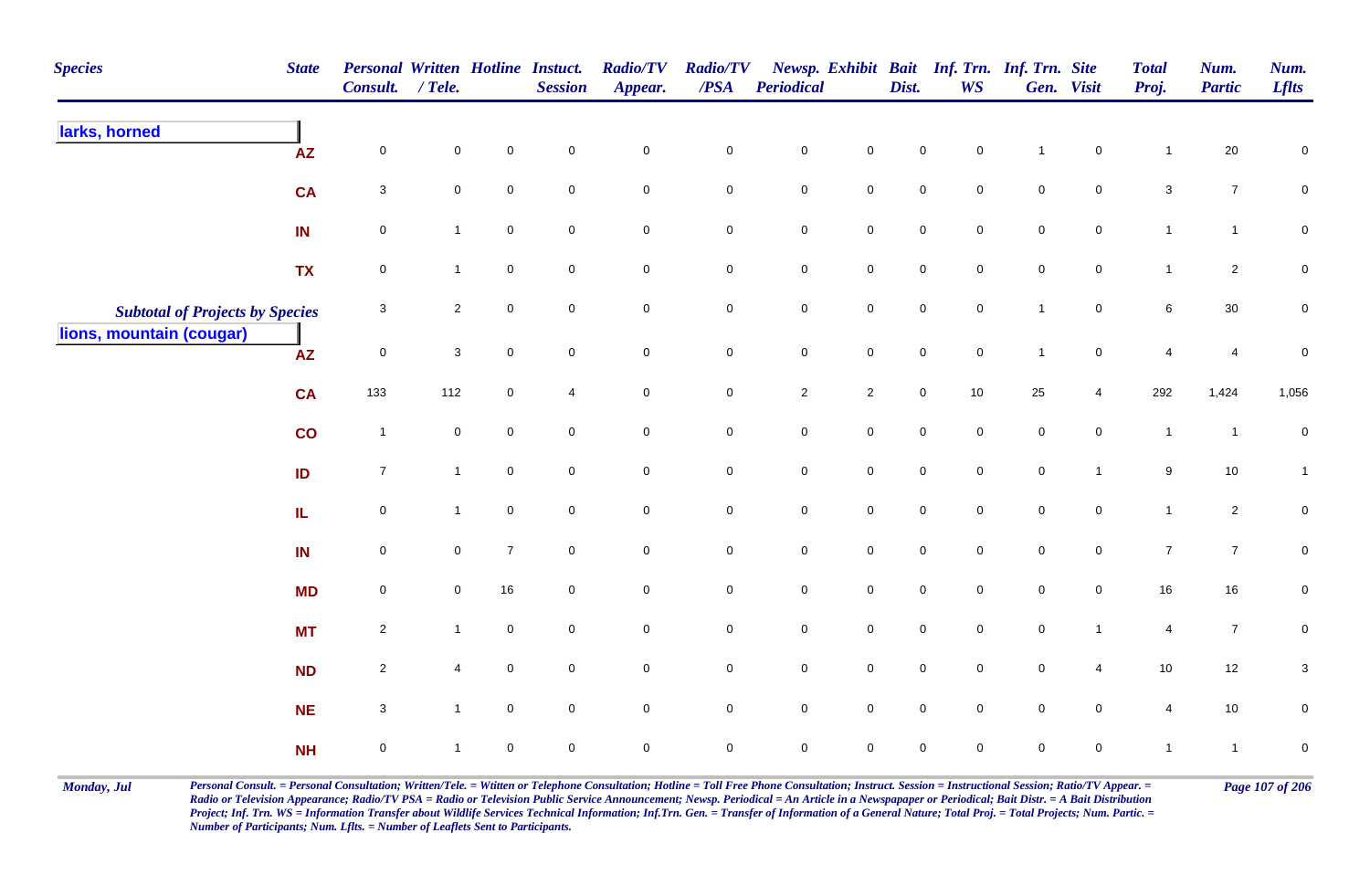| <b>Species</b>                         | <b>State</b> | Personal Written Hotline Instuct.<br>Consult. / Tele. |                     |                     | <b>Session</b>      | <b>Radio/TV</b><br>Appear. | <b>Radio/TV</b><br>$\overline{PSA}$ | <b>Periodical</b> |                     | Dist.       | <b>WS</b>           | Newsp. Exhibit Bait Inf. Trn. Inf. Trn. Site | Gen. Visit     | <b>Total</b><br>Proj. | Num.<br><b>Partic</b> | Num.<br><b>Lflts</b> |
|----------------------------------------|--------------|-------------------------------------------------------|---------------------|---------------------|---------------------|----------------------------|-------------------------------------|-------------------|---------------------|-------------|---------------------|----------------------------------------------|----------------|-----------------------|-----------------------|----------------------|
| larks, horned                          | ${\sf AZ}$   | $\mathbf 0$                                           | $\pmb{0}$           | $\pmb{0}$           | $\mathbf 0$         | $\mathbf 0$                | $\pmb{0}$                           | $\pmb{0}$         | $\mathsf{O}\xspace$ | $\mathsf 0$ | $\pmb{0}$           | -1                                           | $\mathbf 0$    | $\mathbf{1}$          | 20                    | $\pmb{0}$            |
|                                        | <b>CA</b>    | $\mathbf{3}$                                          | $\mathsf{O}\xspace$ | $\mathsf{O}\xspace$ | $\mathbf 0$         | $\mathbf 0$                | $\mathbf 0$                         | $\pmb{0}$         | $\mathsf{O}$        | $\pmb{0}$   | $\mathsf{O}\xspace$ | $\pmb{0}$                                    | $\mathbf 0$    | $\mathbf{3}$          | $\boldsymbol{7}$      | $\mathsf{O}\xspace$  |
|                                        | IN           | $\mathbf 0$                                           | $\mathbf{1}$        | $\mathsf{O}\xspace$ | $\mathbf 0$         | $\mathbf 0$                | $\mathbf 0$                         | $\pmb{0}$         | $\mathsf{O}$        | $\pmb{0}$   | $\overline{0}$      | $\pmb{0}$                                    | $\mathbf 0$    | $\mathbf{1}$          | $\mathbf{1}$          | $\mathbf 0$          |
|                                        | <b>TX</b>    | $\mathbf 0$                                           | $\mathbf{1}$        | $\mathbf 0$         | $\mathsf{O}\xspace$ | $\mathbf 0$                | $\mathbf 0$                         | $\pmb{0}$         | $\mathbf 0$         | $\mathsf 0$ | $\mathbf 0$         | $\pmb{0}$                                    | $\mathbf 0$    | $\mathbf{1}$          | $\overline{c}$        | $\mathbf 0$          |
| <b>Subtotal of Projects by Species</b> |              | $\sqrt{3}$                                            | $\overline{2}$      | $\mathsf{O}\xspace$ | $\mathsf{O}\xspace$ | $\mathsf{O}\xspace$        | $\mathbf 0$                         | $\pmb{0}$         | $\mathsf{O}$        | $\pmb{0}$   | $\mathsf{O}\xspace$ | $\mathbf{1}$                                 | $\mathbf 0$    | $\,6\,$               | 30                    | $\pmb{0}$            |
| lions, mountain (cougar)               | <b>AZ</b>    | $\mathsf{O}\xspace$                                   | $\mathbf{3}$        | $\mathsf{O}\xspace$ | $\mathbf 0$         | $\mathsf{O}\xspace$        | $\mathbf 0$                         | $\mathbf 0$       | $\mathsf 0$         | $\pmb{0}$   | $\mathbf 0$         | $\mathbf{1}$                                 | $\mathbf 0$    | $\overline{4}$        | $\overline{4}$        | $\pmb{0}$            |
|                                        | CA           | 133                                                   | 112                 | $\overline{0}$      | $\overline{4}$      | $\mathbf 0$                | $\overline{0}$                      | $\overline{2}$    | $\overline{2}$      | $\pmb{0}$   | 10                  | $25\,$                                       | $\overline{4}$ | 292                   | 1,424                 | 1,056                |
|                                        | co           | $\overline{1}$                                        | $\pmb{0}$           | $\mathbf 0$         | $\mathbf 0$         | $\mathsf{O}\xspace$        | $\mathbf 0$                         | $\pmb{0}$         | $\mathbf 0$         | $\mathbf 0$ | $\mathbf 0$         | $\mathsf 0$                                  | $\mathbf 0$    | $\overline{1}$        | $\overline{1}$        | $\pmb{0}$            |
|                                        | ID           | $\overline{7}$                                        | $\mathbf{1}$        | $\mathsf{O}\xspace$ | $\mathsf{O}\xspace$ | $\mathsf{O}\xspace$        | $\mathbf 0$                         | $\pmb{0}$         | $\mathsf{O}\xspace$ | $\mathsf 0$ | $\mathbf 0$         | $\mathsf 0$                                  | $\mathbf{1}$   | $\boldsymbol{9}$      | 10                    | $\mathbf{1}$         |
|                                        | IL           | $\mathbf 0$                                           | $\mathbf{1}$        | $\mathbf 0$         | $\mathbf 0$         | $\mathbf 0$                | $\mathsf{O}$                        | $\pmb{0}$         | $\mathsf{O}$        | $\mathsf 0$ | $\mathbf 0$         | $\mathsf 0$                                  | $\overline{0}$ | $\mathbf{1}$          | $\overline{c}$        | $\mathbf 0$          |
|                                        | IN           | $\mathbf 0$                                           | $\mathbf 0$         | $\overline{7}$      | $\mathbf 0$         | $\mathbf 0$                | $\mathbf 0$                         | $\pmb{0}$         | $\mathbf 0$         | $\mathsf 0$ | $\overline{0}$      | $\mathsf 0$                                  | $\mathbf 0$    | $\overline{7}$        | $\overline{7}$        | $\mathbf 0$          |
|                                        | <b>MD</b>    | $\mathbf 0$                                           | $\mathbf 0$         | 16                  | $\mathbf 0$         | $\mathbf 0$                | $\mathbf 0$                         | $\pmb{0}$         | $\overline{0}$      | $\mathsf 0$ | $\mathbf 0$         | $\mathsf 0$                                  | $\overline{0}$ | 16                    | 16                    | $\mathbf 0$          |
|                                        | <b>MT</b>    | $\overline{2}$                                        | $\mathbf{1}$        | $\mathsf{O}\xspace$ | $\mathbf 0$         | $\overline{0}$             | $\overline{0}$                      | $\mathsf 0$       | $\mathsf 0$         | $\mathsf 0$ | $\mathbf 0$         | $\mathsf 0$                                  | $\mathbf{1}$   | $\overline{4}$        | $\overline{7}$        | $\mathbf 0$          |
|                                        | <b>ND</b>    | $\overline{2}$                                        | 4                   | $\mathsf{O}\xspace$ | $\mathbf 0$         | $\mathbf 0$                | $\mathbf 0$                         | $\pmb{0}$         | $\mathsf 0$         | $\mathsf 0$ | $\mathbf 0$         | $\mathsf 0$                                  | 4              | 10                    | 12                    | $\sqrt{3}$           |
|                                        | <b>NE</b>    | $\mathbf{3}$                                          | $\mathbf{1}$        | $\overline{0}$      | $\mathbf 0$         | $\pmb{0}$                  | $\mathsf 0$                         | $\pmb{0}$         | $\mathsf 0$         | $\mathsf 0$ | $\mathbf 0$         | $\mathsf 0$                                  | $\overline{0}$ | 4                     | 10                    | $\mathbf 0$          |
|                                        | <b>NH</b>    | $\mathbf 0$                                           | $\overline{1}$      | $\mathbf 0$         | $\mathbf 0$         | $\mathbf 0$                | $\overline{0}$                      | $\mathsf 0$       | $\mathbf 0$         | $\mathsf 0$ | $\mathbf 0$         | $\mathsf 0$                                  | $\mathbf 0$    | $\overline{1}$        | $\mathbf{1}$          | $\mathbf 0$          |

Monday, Jul Personal Consult. = Personal Consultation; Written/Tele. = Witten or Telephone Consultation; Hotline = Toll Free Phone Consultation; Instruct. Session = Instructional Session; Ratio/TV Appear. = Page 107 of 206 *Radio or Television Appearance; Radio/TV PSA = Radio or Television Public Service Announcement; Newsp. Periodical = An Article in a Newspapaper or Periodical; Bait Distr. = A Bait Distribution*  Project; Inf. Trn. WS = Information Transfer about Wildlife Services Technical Information; Inf.Trn. Gen. = Transfer of Information of a General Nature; Total Proj. = Total Projects; Num. Partic. = *Number of Participants; Num. Lflts. = Number of Leaflets Sent to Participants.*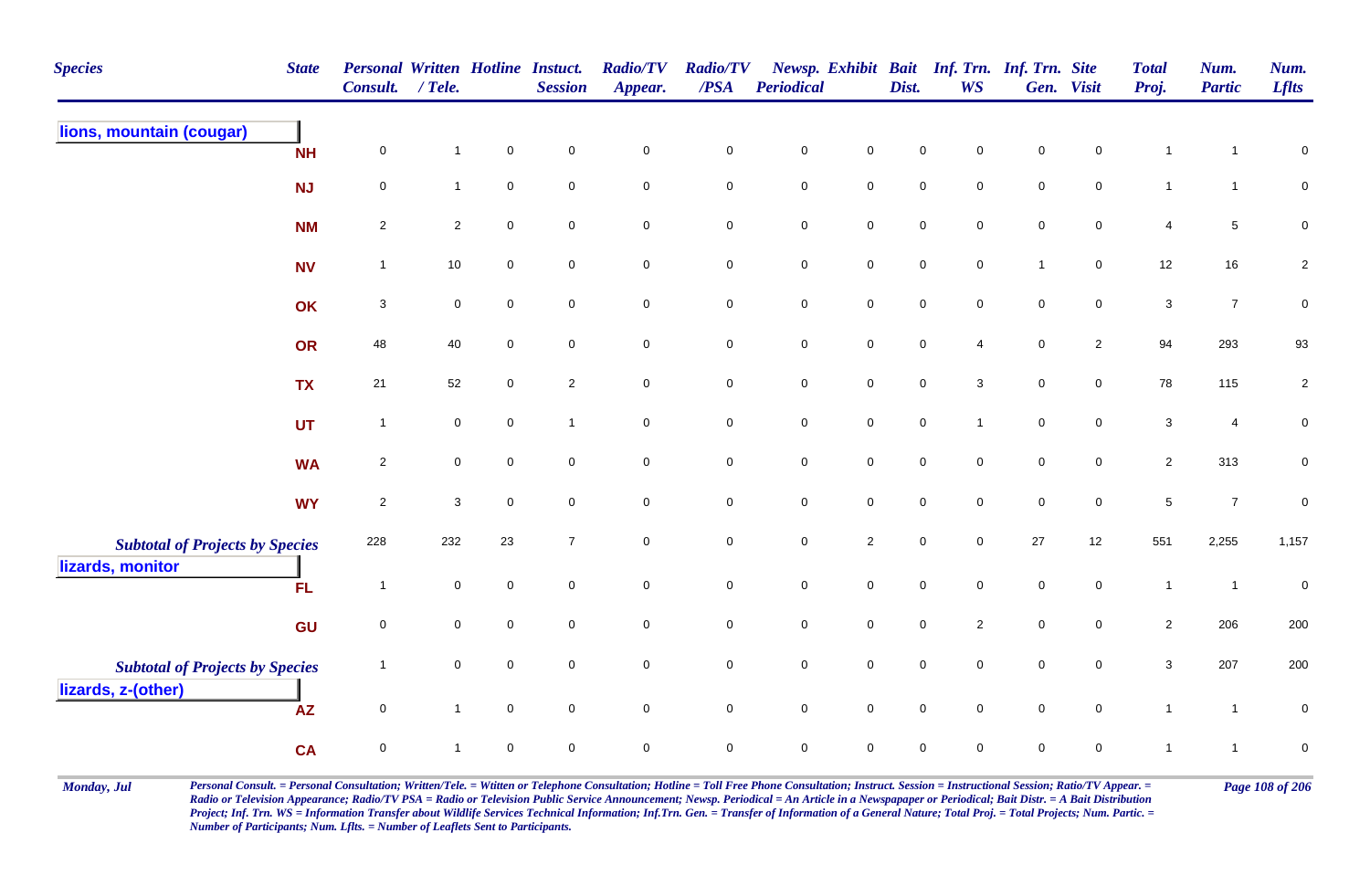| <b>Species</b>                         | <b>State</b> | <b>Personal Written Hotline Instuct.</b><br>Consult. | $/$ Tele.                 |                     | <b>Session</b>      | <b>Radio/TV</b><br>Appear. | <b>Radio/TV</b><br>$\overline{PSA}$ | Periodical  |                | Dist.               | <b>WS</b>           | Newsp. Exhibit Bait Inf. Trn. Inf. Trn. Site | Gen. Visit          | <b>Total</b><br>Proj. | Num.<br><b>Partic</b> | Num.<br><b>Lflts</b> |
|----------------------------------------|--------------|------------------------------------------------------|---------------------------|---------------------|---------------------|----------------------------|-------------------------------------|-------------|----------------|---------------------|---------------------|----------------------------------------------|---------------------|-----------------------|-----------------------|----------------------|
| lions, mountain (cougar)               | <b>NH</b>    | 0                                                    | $\mathbf{1}$              | $\mathsf 0$         | $\mathbf 0$         | $\mathbf 0$                | $\pmb{0}$                           | $\pmb{0}$   | $\mathbf 0$    | $\mathbf 0$         | 0                   | $\mathsf 0$                                  | $\mathbf 0$         | $\mathbf{1}$          | 1                     | $\mathbf 0$          |
|                                        | <b>NJ</b>    | $\mathsf 0$                                          | $\mathbf{1}$              | $\mathsf{O}\xspace$ | $\mathbf 0$         | $\mathsf{O}\xspace$        | $\mathbf 0$                         | $\mathbf 0$ | $\mathbf 0$    | $\mathbf 0$         | $\mathbf 0$         | $\pmb{0}$                                    | $\pmb{0}$           | $\mathbf{1}$          | $\mathbf{1}$          | $\overline{0}$       |
|                                        | <b>NM</b>    | $\overline{2}$                                       | $\sqrt{2}$                | $\mathsf{O}\xspace$ | $\mathbf 0$         | $\pmb{0}$                  | $\mathbf 0$                         | $\pmb{0}$   | $\mathbf 0$    | $\mathbf 0$         | $\mathbf 0$         | $\pmb{0}$                                    | $\mathbf 0$         | 4                     | 5                     | $\mathbf 0$          |
|                                        | <b>NV</b>    | $\overline{1}$                                       | 10                        | $\mathbf 0$         | $\mathbf 0$         | $\mathbf 0$                | $\mathbf 0$                         | $\mathbf 0$ | $\mathbf 0$    | $\mathbf 0$         | $\mathbf 0$         | $\mathbf{1}$                                 | $\mathbf 0$         | 12                    | 16                    | $\sqrt{2}$           |
|                                        | OK           | 3                                                    | $\mathsf{O}\xspace$       | $\mathbf 0$         | $\mathsf{O}\xspace$ | $\mathbf 0$                | $\mathbf 0$                         | $\pmb{0}$   | $\overline{0}$ | $\mathsf{O}\xspace$ | $\mathbf 0$         | $\mathsf 0$                                  | $\mathbf 0$         | 3                     | $\overline{7}$        | $\pmb{0}$            |
|                                        | OR           | 48                                                   | 40                        | $\mathbf 0$         | $\mathbf 0$         | $\mathbf 0$                | $\mathbf 0$                         | $\mathbf 0$ | $\mathbf 0$    | $\mathsf{O}\xspace$ | 4                   | $\mathsf 0$                                  | $\mathbf{2}$        | 94                    | 293                   | 93                   |
|                                        | <b>TX</b>    | 21                                                   | 52                        | $\mathbf 0$         | $\overline{2}$      | $\mathsf{O}\xspace$        | $\bf{0}$                            | $\mathbf 0$ | $\mathsf{O}$   | $\mathbf 0$         | $\mathbf{3}$        | $\pmb{0}$                                    | $\mathsf 0$         | 78                    | 115                   | $\overline{2}$       |
|                                        | <b>UT</b>    | $\overline{1}$                                       | $\mathbf 0$               | $\mathbf 0$         | $\mathbf{1}$        | $\mathsf{O}\xspace$        | $\mathbf 0$                         | $\mathbf 0$ | $\mathbf 0$    | $\mathbf 0$         | $\mathbf{1}$        | $\pmb{0}$                                    | $\mathsf{O}\xspace$ | $\mathbf{3}$          | 4                     | $\boldsymbol{0}$     |
|                                        | <b>WA</b>    | $\sqrt{2}$                                           | $\mathbf 0$               | $\mathsf{O}\xspace$ | $\mathbf 0$         | $\mathsf{O}\xspace$        | $\mathbf 0$                         | $\mathbf 0$ | $\mathbf 0$    | $\mathbf 0$         | $\mathsf{O}\xspace$ | $\pmb{0}$                                    | $\mathsf 0$         | $\overline{2}$        | 313                   | $\pmb{0}$            |
|                                        | <b>WY</b>    | $\overline{2}$                                       | $\ensuremath{\mathsf{3}}$ | $\mathsf{O}\xspace$ | $\mathbf 0$         | $\mathbf 0$                | $\mathbf 0$                         | $\mathbf 0$ | $\mathsf 0$    | $\mathbf 0$         | $\mathsf{O}\xspace$ | $\pmb{0}$                                    | $\mathbf 0$         | $\sqrt{5}$            | $\overline{7}$        | $\boldsymbol{0}$     |
| <b>Subtotal of Projects by Species</b> |              | 228                                                  | 232                       | 23                  | $\boldsymbol{7}$    | $\mathbf 0$                | $\mathbf 0$                         | $\mathbf 0$ | $\overline{2}$ | $\mathbf 0$         | $\mathsf{O}\xspace$ | $27\,$                                       | 12                  | 551                   | 2,255                 | 1,157                |
| lizards, monitor                       | <b>FL</b>    | $\overline{1}$                                       | $\mathbf 0$               | $\mathbf 0$         | $\mathbf 0$         | $\mathbf 0$                | $\mathsf 0$                         | $\mathbf 0$ | $\mathbf 0$    | $\mathbf 0$         | $\mathbf 0$         | $\mathbf 0$                                  | $\mathbf 0$         | $\mathbf{1}$          | $\overline{1}$        | $\pmb{0}$            |
|                                        | GU           | $\mathbf 0$                                          | $\mathbf 0$               | $\mathbf 0$         | $\mathbf 0$         | $\mathsf{O}\xspace$        | $\mathsf{O}\xspace$                 | $\mathbf 0$ | $\mathbf 0$    | $\mathbf 0$         | $\overline{2}$      | $\pmb{0}$                                    | $\mathbf 0$         | $\overline{2}$        | 206                   | 200                  |
| <b>Subtotal of Projects by Species</b> |              | $\overline{1}$                                       | $\mathbf 0$               | $\mathsf{O}\xspace$ | $\mathbf 0$         | $\mathsf{O}\xspace$        | $\mathbf 0$                         | $\mathbf 0$ | $\mathbf 0$    | $\mathbf 0$         | $\mathsf{O}$        | $\mathbf 0$                                  | $\mathsf{O}\xspace$ | $\sqrt{3}$            | 207                   | 200                  |
| lizards, z-(other)                     | <b>AZ</b>    | $\mathbf 0$                                          | $\mathbf{1}$              | $\mathsf{O}\xspace$ | $\mathbf 0$         | $\mathbf 0$                | $\mathbf 0$                         | $\pmb{0}$   | $\mathbf 0$    | $\pmb{0}$           | $\mathbf 0$         | $\pmb{0}$                                    | $\mathsf{O}$        | $\mathbf{1}$          | $\overline{1}$        | $\pmb{0}$            |
|                                        | <b>CA</b>    | $\pmb{0}$                                            | $\mathbf{1}$              | $\mathbf 0$         | $\mathbf 0$         | $\mathbf 0$                | $\pmb{0}$                           | $\mathbf 0$ | $\mathbf 0$    | $\mathbf 0$         | $\mathbf 0$         | $\mathbf 0$                                  | $\mathbf 0$         | $\mathbf{1}$          | 1                     | $\pmb{0}$            |

Monday, Jul Personal Consult. = Personal Consultation; Written/Tele. = Witten or Telephone Consultation; Hotline = Toll Free Phone Consultation; Instruct. Session = Instructional Session; Ratio/TV Appear. = Page 108 of 206 *Radio or Television Appearance; Radio/TV PSA = Radio or Television Public Service Announcement; Newsp. Periodical = An Article in a Newspapaper or Periodical; Bait Distr. = A Bait Distribution*  Project; Inf. Trn. WS = Information Transfer about Wildlife Services Technical Information; Inf.Trn. Gen. = Transfer of Information of a General Nature; Total Proj. = Total Projects; Num. Partic. = *Number of Participants; Num. Lflts. = Number of Leaflets Sent to Participants.*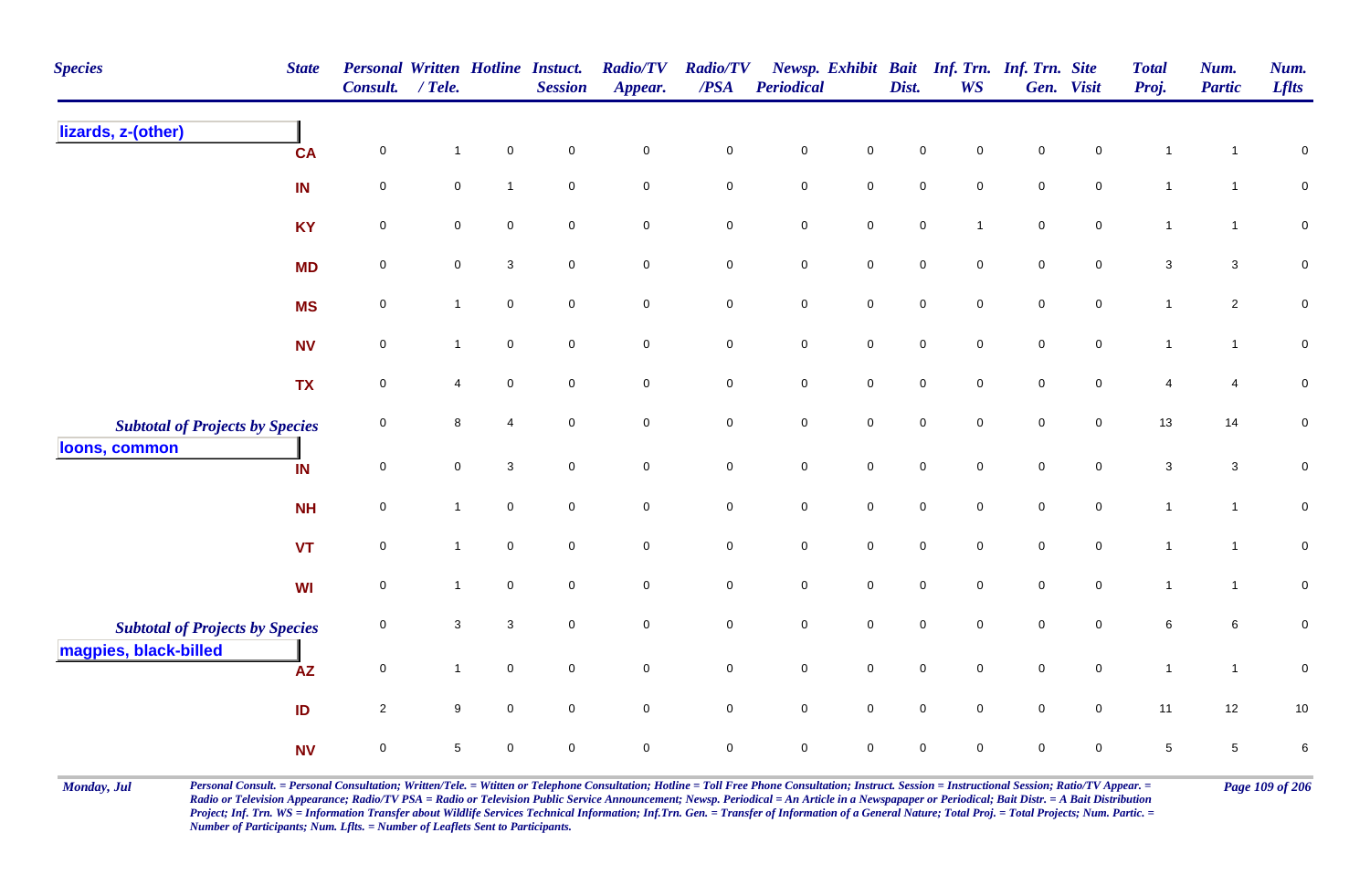| <b>Species</b>                         | <b>State</b> | <b>Personal Written Hotline Instuct.</b><br><b>Consult.</b> | / Tele.             |                | <b>Session</b>      | <b>Radio/TV</b><br>Appear. | <b>Radio/TV</b><br>/PSA | Periodical  |                     | Dist.               | Newsp. Exhibit Bait Inf. Trn. Inf. Trn. Site<br><b>WS</b> |             | Gen. Visit          | <b>Total</b><br>Proj. | Num.<br><b>Partic</b> | Num.<br><b>Lflts</b> |
|----------------------------------------|--------------|-------------------------------------------------------------|---------------------|----------------|---------------------|----------------------------|-------------------------|-------------|---------------------|---------------------|-----------------------------------------------------------|-------------|---------------------|-----------------------|-----------------------|----------------------|
| lizards, z-(other)                     | <b>CA</b>    | $\pmb{0}$                                                   | $\mathbf{1}$        | $\pmb{0}$      | $\mathsf{O}\xspace$ | $\pmb{0}$                  | $\pmb{0}$               | $\mathbf 0$ | $\pmb{0}$           | $\mathbf 0$         | $\Omega$                                                  | $\mathsf 0$ | $\mathbf 0$         | $\mathbf{1}$          |                       | $\pmb{0}$            |
|                                        | IN           | $\mathsf 0$                                                 | $\mathsf{O}\xspace$ | $\mathbf{1}$   | $\mathsf{O}\xspace$ | $\mathsf{O}\xspace$        | $\mathbf 0$             | $\mathbf 0$ | $\mathsf{O}\xspace$ | $\mathsf{O}\xspace$ | $\mathbf 0$                                               | $\mathsf 0$ | $\mathbf 0$         | $\mathbf{1}$          | $\mathbf{1}$          | $\overline{0}$       |
|                                        | <b>KY</b>    | $\mathsf 0$                                                 | $\mathbf 0$         | $\mathbf 0$    | $\mathbf 0$         | $\mathbf 0$                | $\mathbf 0$             | $\pmb{0}$   | $\mathsf{O}\xspace$ | $\mathsf{O}\xspace$ | 1                                                         | $\mathsf 0$ | $\mathbf 0$         | $\mathbf{1}$          | $\mathbf{1}$          | $\mathbf 0$          |
|                                        | <b>MD</b>    | $\pmb{0}$                                                   | $\mathsf{O}\xspace$ | $\sqrt{3}$     | $\mathbf 0$         | $\mathsf{O}\xspace$        | $\mathbf 0$             | $\mathbf 0$ | $\mathsf{O}\xspace$ | $\mathbf 0$         | $\mathbf 0$                                               | $\pmb{0}$   | $\mathsf{O}\xspace$ | $\mathbf{3}$          | $\mathbf{3}$          | $\pmb{0}$            |
|                                        | <b>MS</b>    | $\pmb{0}$                                                   | $\mathbf{1}$        | $\mathbf 0$    | $\mathbf 0$         | $\mathbf 0$                | $\mathbf 0$             | $\pmb{0}$   | $\mathbf 0$         | $\pmb{0}$           | $\mathbf 0$                                               | $\pmb{0}$   | $\mathbf 0$         | $\mathbf{1}$          | $\overline{2}$        | $\pmb{0}$            |
|                                        | <b>NV</b>    | $\mathbf 0$                                                 | $\mathbf{1}$        | $\mathbf 0$    | $\mathsf{O}\xspace$ | $\mathbf 0$                | $\mathbf 0$             | $\pmb{0}$   | $\mathbf 0$         | $\mathsf{O}\xspace$ | $\mathbf 0$                                               | $\mathsf 0$ | $\mathbf 0$         | $\overline{1}$        | $\mathbf{1}$          | $\mathbf 0$          |
|                                        | <b>TX</b>    | $\mathbf 0$                                                 | 4                   | $\mathbf 0$    | $\mathsf{O}\xspace$ | $\mathbf 0$                | $\mathbf 0$             | $\mathbf 0$ | $\mathsf{O}\xspace$ | $\mathbf 0$         | $\mathsf{O}\xspace$                                       | $\pmb{0}$   | $\mathbf 0$         | $\overline{4}$        | 4                     | $\mathsf 0$          |
| <b>Subtotal of Projects by Species</b> |              | $\mathbf 0$                                                 | 8                   | $\overline{4}$ | $\mathbf 0$         | $\mathbf 0$                | $\mathbf 0$             | $\pmb{0}$   | $\mathbf 0$         | $\mathbf 0$         | $\mathbf 0$                                               | $\mathbf 0$ | $\mathbf 0$         | 13                    | 14                    | $\pmb{0}$            |
| loons, common                          | IN           | $\mathbf 0$                                                 | $\mathbf 0$         | $\mathbf 3$    | $\mathsf{O}\xspace$ | $\mathbf 0$                | $\mathsf{O}\xspace$     | $\mathbf 0$ | $\mathbf 0$         | $\mathbf 0$         | $\mathsf{O}\xspace$                                       | $\pmb{0}$   | $\mathbf 0$         | $\mathbf{3}$          | $\mathbf{3}$          | $\pmb{0}$            |
|                                        | <b>NH</b>    | $\mathsf 0$                                                 | $\mathbf{1}$        | $\mathbf 0$    | $\mathbf 0$         | $\mathbf 0$                | $\overline{0}$          | $\pmb{0}$   | $\mathsf 0$         | $\mathbf 0$         | $\mathbf 0$                                               | $\mathsf 0$ | $\mathbf 0$         | $\mathbf{1}$          | $\mathbf{1}$          | $\overline{0}$       |
|                                        | <b>VT</b>    | $\mathbf 0$                                                 | $\mathbf{1}$        | $\mathbf 0$    | $\mathbf 0$         | $\mathsf{O}\xspace$        | $\pmb{0}$               | $\mathbf 0$ | $\mathsf 0$         | $\mathbf 0$         | $\mathbf 0$                                               | $\pmb{0}$   | $\pmb{0}$           | $\mathbf{1}$          | $\overline{1}$        | $\mathsf{O}\xspace$  |
|                                        | <b>WI</b>    | $\mathbf 0$                                                 | $\mathbf{1}$        | $\mathbf 0$    | $\mathbf 0$         | $\mathsf{O}\xspace$        | $\mathsf 0$             | $\pmb{0}$   | $\mathbf 0$         | $\mathsf{O}\xspace$ | $\mathbf 0$                                               | $\mathsf 0$ | $\mathbf 0$         | $\mathbf{1}$          | $\mathbf{1}$          | $\mathsf{O}\xspace$  |
| <b>Subtotal of Projects by Species</b> |              | $\mathbf 0$                                                 | 3                   | $\mathbf{3}$   | $\mathbf 0$         | $\mathbf 0$                | $\mathbf 0$             | $\mathbf 0$ | $\mathbf 0$         | $\mathbf 0$         | $\mathbf 0$                                               | $\mathbf 0$ | $\mathbf 0$         | $\,6\,$               | 6                     | $\mathbf 0$          |
| magpies, black-billed                  | <b>AZ</b>    | $\mathbf 0$                                                 | $\mathbf{1}$        | $\mathbf 0$    | $\mathbf 0$         | $\mathbf 0$                | $\mathbf 0$             | $\pmb{0}$   | $\mathbf 0$         | $\mathbf 0$         | $\mathsf{O}\xspace$                                       | $\pmb{0}$   | $\mathsf{O}$        | $\mathbf{1}$          | $\overline{1}$        | $\pmb{0}$            |
|                                        | ID           | $\overline{2}$                                              | 9                   | $\mathbf 0$    | $\mathbf 0$         | $\overline{0}$             | $\overline{0}$          | $\mathbf 0$ | $\overline{0}$      | $\mathbf 0$         | $\mathbf 0$                                               | $\mathsf 0$ | $\overline{0}$      | 11                    | 12                    | $10$                 |
|                                        | <b>NV</b>    | $\mathbf 0$                                                 | $\sqrt{5}$          | $\mathbf 0$    | $\mathbf 0$         | $\pmb{0}$                  | $\mathsf 0$             | $\mathbf 0$ | $\mathbf 0$         | $\mathbf 0$         | $\Omega$                                                  | $\mathbf 0$ | 0                   | $\,$ 5 $\,$           | 5                     | 6                    |

Monday, Jul Personal Consult. = Personal Consultation; Written/Tele. = Witten or Telephone Consultation; Hotline = Toll Free Phone Consultation; Instruct. Session = Instructional Session; Ratio/TV Appear. = Page 109 of 206 *Radio or Television Appearance; Radio/TV PSA = Radio or Television Public Service Announcement; Newsp. Periodical = An Article in a Newspapaper or Periodical; Bait Distr. = A Bait Distribution*  Project; Inf. Trn. WS = Information Transfer about Wildlife Services Technical Information; Inf.Trn. Gen. = Transfer of Information of a General Nature; Total Proj. = Total Projects; Num. Partic. = *Number of Participants; Num. Lflts. = Number of Leaflets Sent to Participants.*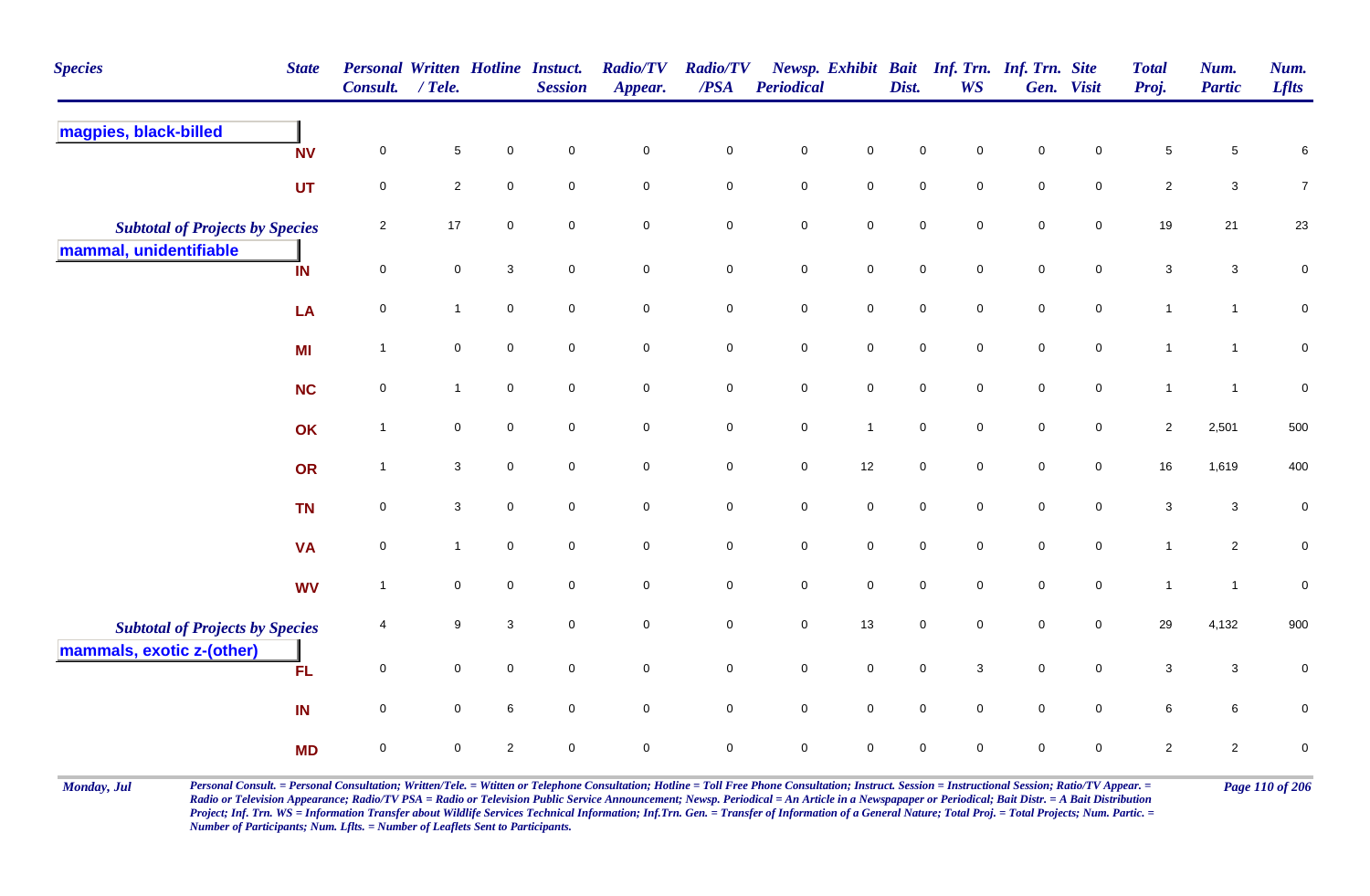| <b>Species</b>                         | <b>State</b> | <b>Personal Written Hotline Instuct.</b><br><b>Consult.</b> | $/$ Tele.           |                     | <b>Session</b>      | <b>Radio/TV</b><br>Appear. | <b>Radio/TV</b><br>/PSA | Periodical  |                     | Dist.       | Newsp. Exhibit Bait Inf. Trn. Inf. Trn. Site<br><b>WS</b> |             | Gen. Visit          | <b>Total</b><br>Proj.     | Num.<br><b>Partic</b> | Num.<br><b>Lflts</b> |
|----------------------------------------|--------------|-------------------------------------------------------------|---------------------|---------------------|---------------------|----------------------------|-------------------------|-------------|---------------------|-------------|-----------------------------------------------------------|-------------|---------------------|---------------------------|-----------------------|----------------------|
| magpies, black-billed                  | <b>NV</b>    | 0                                                           | $\sqrt{5}$          | 0                   | $\mathbf 0$         | $\pmb{0}$                  | $\pmb{0}$               | $\pmb{0}$   | 0                   | $\mathbf 0$ | 0                                                         | $\mathbf 0$ | 0                   | $\,$ 5 $\,$               | 5                     | 6                    |
|                                        | UT           | $\mathbf 0$                                                 | $\overline{2}$      | $\mathbf 0$         | $\mathbf 0$         | $\pmb{0}$                  | $\mathbf 0$             | $\pmb{0}$   | $\mathbf 0$         | $\mathbf 0$ | 0                                                         | $\mathbf 0$ | $\mathbf 0$         | $\mathbf 2$               | $\mathbf{3}$          | $\boldsymbol{7}$     |
| <b>Subtotal of Projects by Species</b> |              | $\overline{2}$                                              | $17$                | $\mathbf 0$         | $\mathbf 0$         | $\mathbf 0$                | $\mathbf 0$             | $\mathbf 0$ | $\mathbf 0$         | $\pmb{0}$   | 0                                                         | $\pmb{0}$   | $\mathsf{O}\xspace$ | 19                        | 21                    | 23                   |
| mammal, unidentifiable                 | IN           | $\mathbf 0$                                                 | $\pmb{0}$           | $\mathbf{3}$        | $\mathbf 0$         | $\pmb{0}$                  | $\mathbf 0$             | $\pmb{0}$   | $\mathsf{O}\xspace$ | $\pmb{0}$   | 0                                                         | $\pmb{0}$   | $\mathbf 0$         | $\ensuremath{\mathsf{3}}$ | $\mathbf{3}$          | $\pmb{0}$            |
|                                        | LA           | $\mathbf 0$                                                 | $\mathbf{1}$        | $\mathbf 0$         | $\mathbf 0$         | $\mathbf 0$                | $\mathbf 0$             | $\mathsf 0$ | $\mathbf 0$         | $\mathbf 0$ | $\mathbf 0$                                               | $\mathbf 0$ | $\mathbf 0$         | $\mathbf{1}$              | $\mathbf{1}$          | $\pmb{0}$            |
|                                        | <b>MI</b>    | $\overline{1}$                                              | $\mathsf{O}\xspace$ | $\mathsf{O}\xspace$ | $\mathbf 0$         | $\pmb{0}$                  | $\mathbf 0$             | $\mathbf 0$ | $\mathsf{O}\xspace$ | $\pmb{0}$   | 0                                                         | $\pmb{0}$   | $\mathsf{O}\xspace$ | $\mathbf{1}$              | $\mathbf{1}$          | $\mathbf 0$          |
|                                        | <b>NC</b>    | $\mathbf 0$                                                 | $\mathbf{1}$        | $\mathbf 0$         | $\mathbf 0$         | $\mathsf{O}\xspace$        | $\overline{0}$          | $\mathsf 0$ | $\mathsf{O}\xspace$ | $\mathbf 0$ | $\mathbf 0$                                               | $\mathbf 0$ | $\mathbf 0$         | $\mathbf{1}$              | $\overline{1}$        | $\pmb{0}$            |
|                                        | OK           | $\overline{1}$                                              | $\mathbf 0$         | $\mathsf{O}\xspace$ | $\mathbf 0$         | $\pmb{0}$                  | $\mathbf 0$             | $\pmb{0}$   | $\overline{1}$      | $\pmb{0}$   | 0                                                         | $\pmb{0}$   | $\mathsf{O}\xspace$ | $\overline{2}$            | 2,501                 | 500                  |
|                                        | OR           | $\overline{\mathbf{1}}$                                     | $\mathbf{3}$        | $\mathbf 0$         | $\mathbf 0$         | $\pmb{0}$                  | $\mathbf 0$             | $\mathbf 0$ | 12                  | $\pmb{0}$   | $\mathbf 0$                                               | $\mathbf 0$ | $\mathbf 0$         | $16\,$                    | 1,619                 | 400                  |
|                                        | <b>TN</b>    | $\mathbf 0$                                                 | $\mathbf{3}$        | $\mathbf 0$         | $\mathsf{O}\xspace$ | $\pmb{0}$                  | $\mathbf 0$             | $\pmb{0}$   | $\mathbf 0$         | $\pmb{0}$   | $\mathsf{O}$                                              | $\pmb{0}$   | $\mathbf 0$         | $\mathbf{3}$              | $\mathbf{3}$          | $\pmb{0}$            |
|                                        | <b>VA</b>    | 0                                                           | $\mathbf{1}$        | $\mathbf 0$         | $\mathbf 0$         | $\mathbf 0$                | $\mathbf 0$             | $\mathbf 0$ | 0                   | $\mathbf 0$ | $\mathbf 0$                                               | $\mathbf 0$ | 0                   | $\mathbf{1}$              | $\overline{2}$        | $\pmb{0}$            |
|                                        | <b>WV</b>    | $\overline{\mathbf{1}}$                                     | $\mathbf 0$         | $\mathsf{O}\xspace$ | $\mathbf 0$         | $\pmb{0}$                  | $\mathbf 0$             | $\mathbf 0$ | $\mathsf{O}\xspace$ | $\pmb{0}$   | 0                                                         | $\pmb{0}$   | $\mathbf 0$         | $\mathbf{1}$              | $\mathbf{1}$          | $\pmb{0}$            |
| <b>Subtotal of Projects by Species</b> |              | $\overline{4}$                                              | 9                   | 3                   | $\mathbf 0$         | $\mathbf 0$                | $\mathbf 0$             | $\mathsf 0$ | 13                  | $\mathbf 0$ | 0                                                         | $\mathbf 0$ | $\mathbf 0$         | 29                        | 4,132                 | 900                  |
| mammals, exotic z-(other)              | <b>FL</b>    | 0                                                           | $\mathbf 0$         | $\mathbf 0$         | $\mathbf 0$         | $\mathbf 0$                | $\mathbf 0$             | $\mathbf 0$ | $\mathbf 0$         | $\mathbf 0$ | 3                                                         | $\mathbf 0$ | $\mathbf 0$         | 3                         | $\mathbf{3}$          | $\boldsymbol{0}$     |
|                                        | IN           | $\mathbf 0$                                                 | $\mathbf 0$         | 6                   | $\mathbf 0$         | $\pmb{0}$                  | $\mathbf 0$             | $\mathbf 0$ | $\mathsf{O}\xspace$ | $\pmb{0}$   | $\mathbf 0$                                               | $\pmb{0}$   | $\mathbf 0$         | $\,6\,$                   | 6                     | $\pmb{0}$            |
|                                        | <b>MD</b>    | $\mathbf 0$                                                 | $\mathsf 0$         | $\mathbf{2}$        | $\mathbf 0$         | $\mathbf 0$                | $\mathbf 0$             | $\mathbf 0$ | 0                   | $\mathbf 0$ | 0                                                         | $\mathbf 0$ | 0                   | $\overline{2}$            | $\overline{2}$        | $\mathbf 0$          |

Monday, Jul Personal Consult. = Personal Consultation; Written/Tele. = Witten or Telephone Consultation; Hotline = Toll Free Phone Consultation; Instruct. Session = Instructional Session; Ratio/TV Appear. = Page 110 of 206 *Radio or Television Appearance; Radio/TV PSA = Radio or Television Public Service Announcement; Newsp. Periodical = An Article in a Newspapaper or Periodical; Bait Distr. = A Bait Distribution*  Project; Inf. Trn. WS = Information Transfer about Wildlife Services Technical Information; Inf.Trn. Gen. = Transfer of Information of a General Nature; Total Proj. = Total Projects; Num. Partic. = *Number of Participants; Num. Lflts. = Number of Leaflets Sent to Participants.*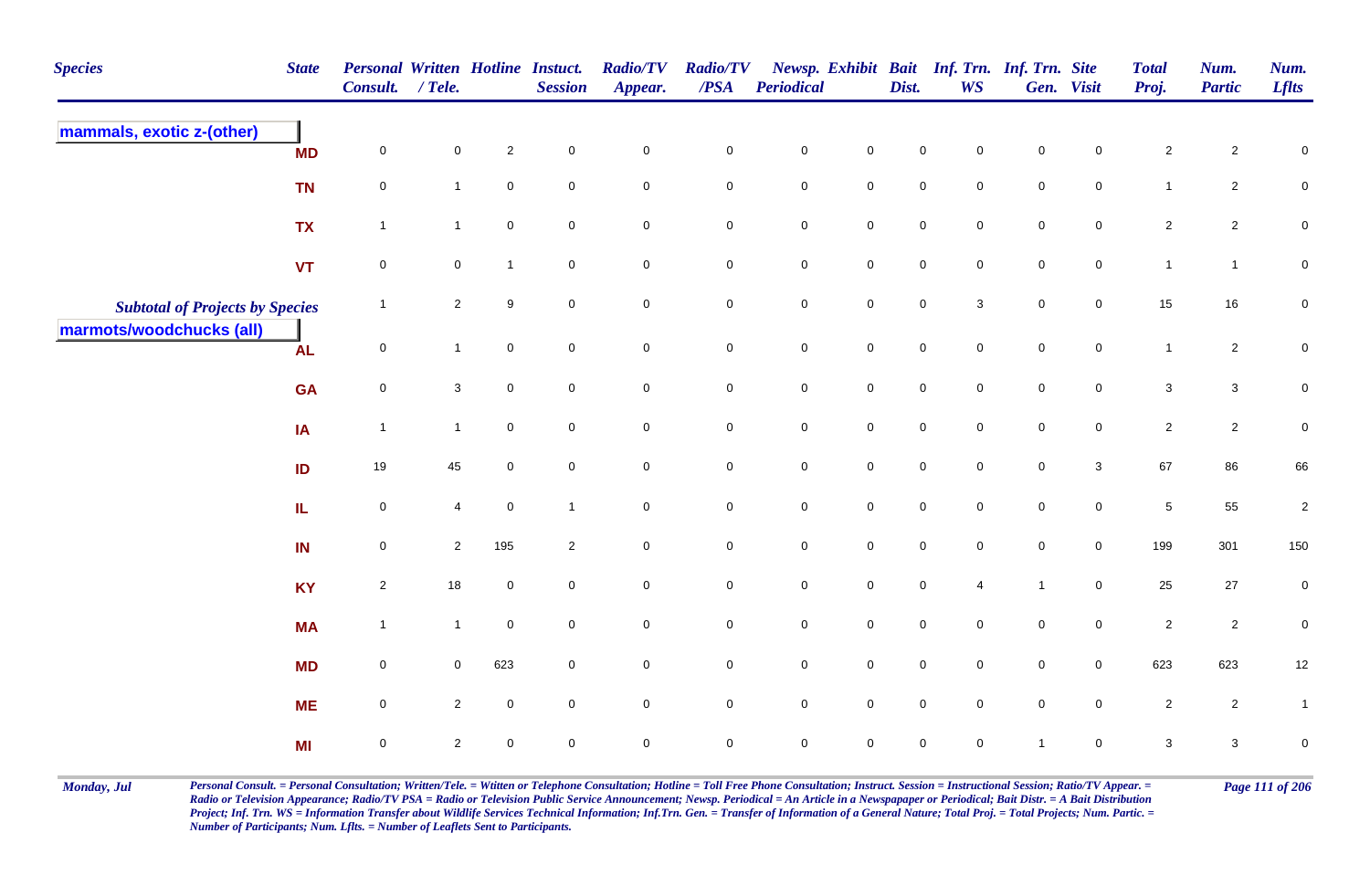| <b>Species</b>                         | <b>State</b> | <b>Personal Written Hotline Instuct.</b><br><b>Consult.</b> | / Tele.        |                     | <b>Session</b>      | <b>Radio/TV</b><br>Appear. | <b>Radio/TV</b><br>$\overline{PSA}$ | Periodical  |                     | Dist.       | <b>WS</b>           | Newsp. Exhibit Bait Inf. Trn. Inf. Trn. Site | Gen. Visit          | <b>Total</b><br>Proj.     | Num.<br><b>Partic</b>   | Num.<br><b>Lflts</b> |
|----------------------------------------|--------------|-------------------------------------------------------------|----------------|---------------------|---------------------|----------------------------|-------------------------------------|-------------|---------------------|-------------|---------------------|----------------------------------------------|---------------------|---------------------------|-------------------------|----------------------|
| mammals, exotic z-(other)              | <b>MD</b>    | $\mathbf 0$                                                 | $\mathbf 0$    | $\overline{2}$      | $\mathsf{O}\xspace$ | $\pmb{0}$                  | $\mathbf 0$                         | $\mathbf 0$ | $\mathsf{O}\xspace$ | $\mathbf 0$ | $\mathbf 0$         | $\mathbf 0$                                  | 0                   | $\sqrt{2}$                | $\overline{c}$          | $\pmb{0}$            |
|                                        | <b>TN</b>    | $\overline{0}$                                              | $\mathbf{1}$   | $\mathbf 0$         | $\mathbf 0$         | $\pmb{0}$                  | $\mathbf 0$                         | $\mathbf 0$ | $\mathbf 0$         | $\mathbf 0$ | 0                   | $\mathbf 0$                                  | $\mathbf 0$         | $\mathbf{1}$              | $\overline{2}$          | $\mathbf 0$          |
|                                        | <b>TX</b>    | $\overline{1}$                                              | $\mathbf{1}$   | $\mathbf 0$         | $\mathbf 0$         | $\pmb{0}$                  | $\mathbf 0$                         | $\pmb{0}$   | $\mathsf{O}\xspace$ | $\pmb{0}$   | $\mathbf 0$         | $\mathbf 0$                                  | $\mathbf 0$         | $\overline{2}$            | $\overline{2}$          | $\mathbf 0$          |
|                                        | <b>VT</b>    | $\mathsf{O}\xspace$                                         | $\mathsf{O}$   | $\overline{1}$      | $\mathbf 0$         | $\mathsf{O}\xspace$        | $\mathbf 0$                         | $\pmb{0}$   | $\mathbf 0$         | $\pmb{0}$   | $\mathbf 0$         | $\mathbf 0$                                  | $\mathsf{O}\xspace$ | $\mathbf{1}$              | $\mathbf{1}$            | $\pmb{0}$            |
| <b>Subtotal of Projects by Species</b> |              | $\overline{\mathbf{1}}$                                     | $\overline{2}$ | 9                   | $\mathbf 0$         | $\mathbf 0$                | $\mathbf 0$                         | $\mathbf 0$ | $\mathbf 0$         | $\mathsf 0$ | 3                   | $\mathbf 0$                                  | $\overline{0}$      | 15                        | 16                      | $\pmb{0}$            |
| marmots/woodchucks (all)               | <b>AL</b>    | 0                                                           | $\mathbf{1}$   | $\mathsf{O}\xspace$ | $\mathsf{O}\xspace$ | $\mathbf 0$                | $\mathsf{O}\xspace$                 | $\pmb{0}$   | $\mathsf{O}\xspace$ | $\pmb{0}$   | $\mathsf{O}\xspace$ | $\pmb{0}$                                    | $\mathsf{O}\xspace$ | $\mathbf{1}$              | $\overline{c}$          | $\overline{0}$       |
|                                        | <b>GA</b>    | 0                                                           | 3              | $\mathbf 0$         | $\mathbf 0$         | $\mathbf 0$                | $\mathbf 0$                         | $\mathbf 0$ | $\mathbf 0$         | $\mathbf 0$ | $\mathbf 0$         | $\mathbf 0$                                  | $\mathbf 0$         | 3                         | $\mathbf{3}$            | $\overline{0}$       |
|                                        | IA           | $\overline{1}$                                              | $\mathbf{1}$   | $\mathsf{O}\xspace$ | $\mathbf 0$         | $\pmb{0}$                  | $\mathsf{O}\xspace$                 | $\mathbf 0$ | $\mathsf{O}\xspace$ | $\mathsf 0$ | $\mathsf{O}$        | $\mathbf 0$                                  | $\mathbf 0$         | $\overline{2}$            | $\overline{\mathbf{c}}$ | $\pmb{0}$            |
|                                        | ID           | 19                                                          | $45\,$         | $\mathbf 0$         | $\mathbf 0$         | $\mathbf 0$                | $\mathbf 0$                         | $\pmb{0}$   | $\mathbf 0$         | $\pmb{0}$   | $\pmb{0}$           | $\pmb{0}$                                    | $\mathbf{3}$        | 67                        | 86                      | 66                   |
|                                        | IL.          | $\mathbf 0$                                                 | 4              | $\mathbf 0$         | $\overline{1}$      | $\mathbf 0$                | $\mathsf{O}$                        | ${\bf 0}$   | $\pmb{0}$           | $\mathbf 0$ | $\mathbf 0$         | $\pmb{0}$                                    | $\mathsf{O}\xspace$ | $\overline{5}$            | 55                      | $\sqrt{2}$           |
|                                        | IN           | 0                                                           | $\overline{2}$ | 195                 | $\overline{2}$      | $\mathbf 0$                | $\mathbf 0$                         | $\mathbf 0$ | $\mathsf{O}\xspace$ | $\mathsf 0$ | $\mathbf 0$         | $\mathbf 0$                                  | $\overline{0}$      | 199                       | 301                     | 150                  |
|                                        | <b>KY</b>    | $\mathbf{2}$                                                | $18\,$         | $\mathbf 0$         | $\mathbf 0$         | $\pmb{0}$                  | $\mathsf 0$                         | $\mathbf 0$ | $\mathsf{O}\xspace$ | $\mathbf 0$ | $\overline{4}$      | $\mathbf{1}$                                 | $\mathsf{O}\xspace$ | 25                        | $27\,$                  | $\pmb{0}$            |
|                                        | <b>MA</b>    | $\overline{1}$                                              | $\mathbf{1}$   | $\mathsf{O}\xspace$ | $\mathsf{O}\xspace$ | $\mathsf{O}\xspace$        | $\mathsf 0$                         | $\mathbf 0$ | $\mathsf{O}\xspace$ | $\pmb{0}$   | $\mathbf 0$         | $\pmb{0}$                                    | $\mathsf{O}\xspace$ | $\overline{2}$            | $\sqrt{2}$              | $\pmb{0}$            |
|                                        | <b>MD</b>    | 0                                                           | $\mathbf 0$    | 623                 | $\mathbf 0$         | $\pmb{0}$                  | $\mathbf 0$                         | $\mathbf 0$ | $\mathsf{O}\xspace$ | $\mathbf 0$ | $\overline{0}$      | $\mathbf 0$                                  | $\mathbf 0$         | 623                       | 623                     | 12                   |
|                                        | <b>ME</b>    | $\mathbf 0$                                                 | $\overline{2}$ | $\mathbf 0$         | $\mathbf 0$         | $\mathbf 0$                | $\mathbf 0$                         | $\mathbf 0$ | $\mathsf{O}\xspace$ | $\mathbf 0$ | $\mathbf 0$         | $\mathbf 0$                                  | $\mathbf 0$         | $\overline{2}$            | $\overline{2}$          | $\mathbf{1}$         |
|                                        | MI           | $\mathbf 0$                                                 | $\sqrt{2}$     | $\mathsf{O}\xspace$ | $\mathbf 0$         | $\pmb{0}$                  | $\mathsf 0$                         | $\mathbf 0$ | $\mathsf{O}\xspace$ | $\mathbf 0$ | 0                   | $\mathbf{1}$                                 | $\mathbf 0$         | $\ensuremath{\mathsf{3}}$ | $\mathbf{3}$            | $\pmb{0}$            |

Monday, Jul Personal Consult. = Personal Consultation; Written/Tele. = Witten or Telephone Consultation; Hotline = Toll Free Phone Consultation; Instruct. Session = Instructional Session; Ratio/TV Appear. = Page 111 of 206 *Radio or Television Appearance; Radio/TV PSA = Radio or Television Public Service Announcement; Newsp. Periodical = An Article in a Newspapaper or Periodical; Bait Distr. = A Bait Distribution*  Project; Inf. Trn. WS = Information Transfer about Wildlife Services Technical Information; Inf.Trn. Gen. = Transfer of Information of a General Nature; Total Proj. = Total Projects; Num. Partic. = *Number of Participants; Num. Lflts. = Number of Leaflets Sent to Participants.*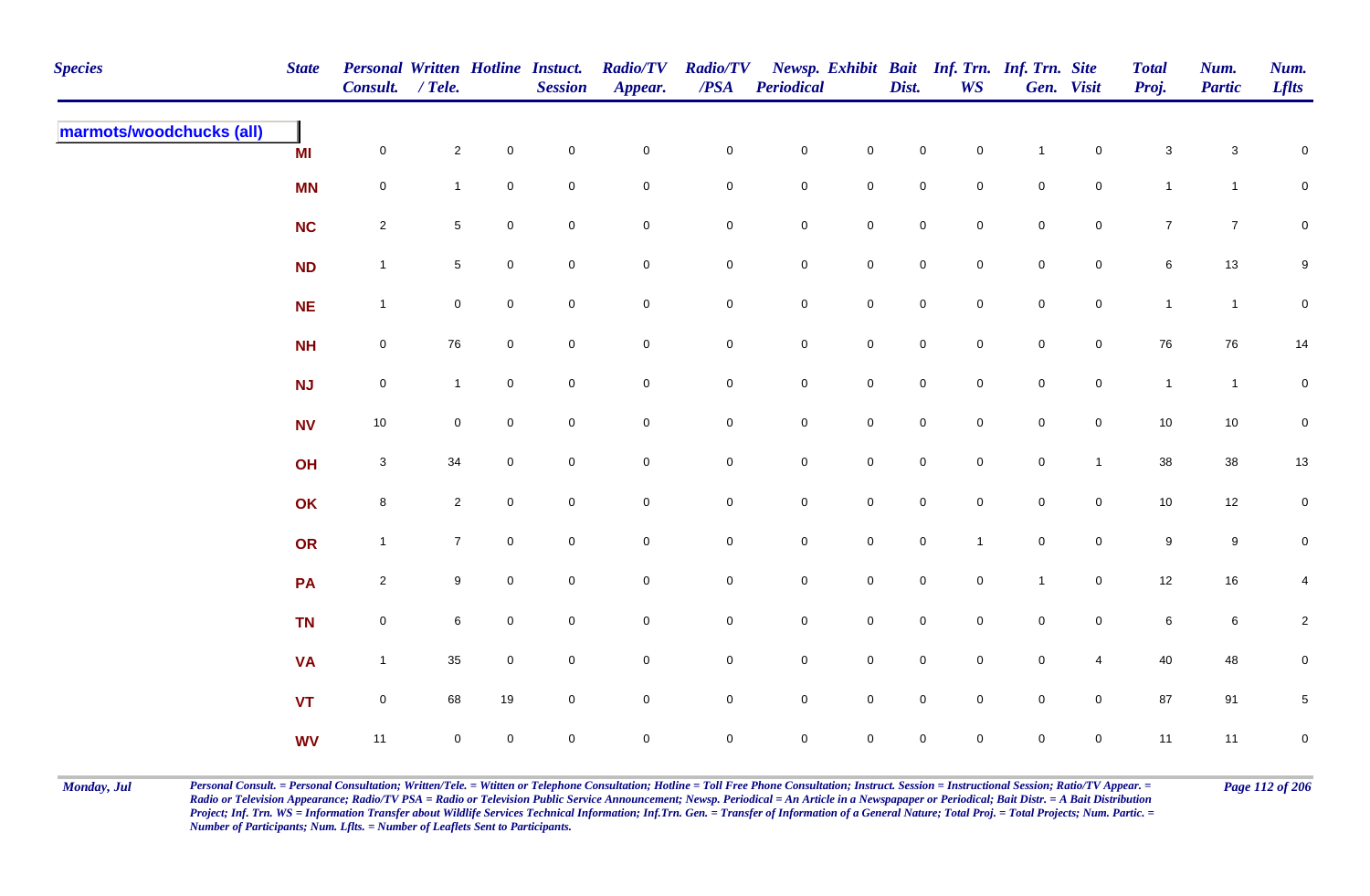| <b>Species</b>           | <b>State</b> | Personal Written Hotline Instuct.<br>Consult. / Tele. |                 |              | <b>Session</b> | <b>Radio/TV</b><br>Appear. | <b>Radio/TV</b><br>$\overline{PSA}$ | <b>Periodical</b>   |                     | Dist.               | <b>WS</b>           | Newsp. Exhibit Bait Inf. Trn. Inf. Trn. Site | Gen. Visit          | <b>Total</b><br>Proj. | Num.<br><b>Partic</b> | Num.<br><b>Lflts</b>    |
|--------------------------|--------------|-------------------------------------------------------|-----------------|--------------|----------------|----------------------------|-------------------------------------|---------------------|---------------------|---------------------|---------------------|----------------------------------------------|---------------------|-----------------------|-----------------------|-------------------------|
| marmots/woodchucks (all) | <b>MI</b>    | $\mathbf 0$                                           | $\overline{2}$  | $\mathbf 0$  | $\pmb{0}$      | $\mathbf 0$                | $\pmb{0}$                           | $\mathbf 0$         | $\mathsf{O}\xspace$ | $\mathsf{O}\xspace$ | $\overline{0}$      | $\overline{1}$                               | $\mathbf 0$         | $\sqrt{3}$            | $\mathbf{3}$          | $\mathsf 0$             |
|                          | <b>MN</b>    | $\mathbf 0$                                           | $\mathbf{1}$    | 0            | $\mathbf 0$    | $\mathbf 0$                | $\pmb{0}$                           | $\mathbf 0$         | $\mathbf 0$         | $\mathbf 0$         | $\mathbf 0$         | $\mathbf 0$                                  | $\mathbf 0$         | $\mathbf{1}$          | $\overline{1}$        | $\mathbf 0$             |
|                          | <b>NC</b>    | $\overline{2}$                                        | $5\phantom{.0}$ | $\mathbf 0$  | $\mathbf 0$    | $\mathbf 0$                | $\pmb{0}$                           | $\mathbf 0$         | $\mathbf 0$         | $\mathsf{O}\xspace$ | $\mathbf 0$         | $\mathbf 0$                                  | $\mathbf 0$         | $\overline{7}$        | $\overline{7}$        | $\mathbf 0$             |
|                          | <b>ND</b>    | $\overline{1}$                                        | $5\phantom{.0}$ | $\mathbf 0$  | $\mathsf 0$    | $\mathbf 0$                | $\mathbf 0$                         | $\mathbf 0$         | $\mathbf 0$         | $\mathsf{O}\xspace$ | $\mathbf 0$         | $\mathsf{O}\xspace$                          | $\overline{0}$      | 6                     | $13$                  | $9\,$                   |
|                          | <b>NE</b>    | $\overline{1}$                                        | $\mathbf 0$     | $\mathbf 0$  | $\pmb{0}$      | $\mathsf{O}\xspace$        | $\pmb{0}$                           | $\mathbf 0$         | $\mathbf 0$         | $\mathsf{O}\xspace$ | $\mathsf{O}\xspace$ | $\mathbf 0$                                  | $\mathsf{O}\xspace$ | $\mathbf{1}$          | $\mathbf{1}$          | $\mathbf 0$             |
|                          | <b>NH</b>    | $\boldsymbol{0}$                                      | 76              | $\mathbf 0$  | $\mathbf 0$    | $\mathbf 0$                | $\mathbf 0$                         | $\boldsymbol{0}$    | $\mathbf 0$         | $\mathbf 0$         | $\overline{0}$      | $\mathbf 0$                                  | $\overline{0}$      | 76                    | 76                    | 14                      |
|                          | <b>NJ</b>    | $\mathsf{O}\xspace$                                   | $\mathbf{1}$    | $\mathbf 0$  | $\mathbf 0$    | $\mathsf{O}\xspace$        | $\pmb{0}$                           | $\mathbf 0$         | $\mathsf{O}\xspace$ | $\mathsf{O}\xspace$ | $\mathbf 0$         | $\mathbf 0$                                  | $\mathbf 0$         | $\mathbf{1}$          | $\overline{1}$        | $\mathbf 0$             |
|                          | <b>NV</b>    | $10$                                                  | $\mathbf 0$     | $\mathbf 0$  | $\mathbf 0$    | $\mathbf 0$                | $\mathbf 0$                         | $\mathbf 0$         | $\overline{0}$      | $\mathsf{O}\xspace$ | $\mathbf 0$         | $\mathsf{O}\xspace$                          | $\mathbf 0$         | $10$                  | 10                    | $\overline{0}$          |
|                          | OH           | $\mathbf{3}$                                          | 34              | $\mathbf 0$  | $\mathbf 0$    | $\mathbf 0$                | $\mathbf 0$                         | $\mathbf 0$         | $\mathsf{O}\xspace$ | $\mathbf 0$         | $\mathbf 0$         | $\mathbf 0$                                  | $\mathbf{1}$        | 38                    | $38\,$                | $13\,$                  |
|                          | OK           | 8                                                     | $\overline{2}$  | $\mathbf 0$  | $\mathbf 0$    | $\mathbf 0$                | $\pmb{0}$                           | $\mathbf 0$         | $\mathbf 0$         | $\mathbf 0$         | $\mathbf 0$         | $\mathbf 0$                                  | $\overline{0}$      | $10\,$                | 12                    | $\overline{0}$          |
|                          | OR           | $\mathbf{1}$                                          | $\overline{7}$  | $\mathbf 0$  | $\mathbf 0$    | $\mathbf 0$                | $\pmb{0}$                           | $\mathbf 0$         | $\mathbf 0$         | $\mathbf 0$         | $\overline{1}$      | $\mathbf 0$                                  | $\mathbf 0$         | $\boldsymbol{9}$      | 9                     | $\pmb{0}$               |
|                          | PA           | $\overline{2}$                                        | 9               | $\mathbf 0$  | $\pmb{0}$      | $\mathbf 0$                | $\pmb{0}$                           | $\mathbf 0$         | $\mathsf{O}\xspace$ | $\mathsf{O}\xspace$ | $\mathbf 0$         | $\overline{1}$                               | $\overline{0}$      | 12                    | 16                    | 4                       |
|                          | <b>TN</b>    | $\mathsf{O}\xspace$                                   | 6               | $\mathbf 0$  | $\pmb{0}$      | $\mathbf 0$                | $\pmb{0}$                           | $\mathbf 0$         | $\mathbf 0$         | $\mathbf 0$         | $\mathbf 0$         | $\mathbf 0$                                  | $\mathbf 0$         | $\,6\,$               | 6                     | $\overline{\mathbf{c}}$ |
|                          | <b>VA</b>    | $\overline{1}$                                        | 35              | $\mathbf 0$  | $\mathbf 0$    | $\mathbf 0$                | 0                                   | $\mathbf 0$         | $\mathsf{O}\xspace$ | $\mathbf 0$         | $\mathbf 0$         | $\mathbf 0$                                  | $\overline{4}$      | 40                    | 48                    | $\mathbf 0$             |
|                          | <b>VT</b>    | $\mathsf{O}\xspace$                                   | 68              | 19           | $\mathbf 0$    | $\mathsf{O}\xspace$        | $\mathbf 0$                         | $\mathbf 0$         | $\mathsf{O}\xspace$ | $\mathsf{O}\xspace$ | $\mathbf 0$         | $\mathsf{O}\xspace$                          | $\mathbf 0$         | 87                    | 91                    | $\,$ 5 $\,$             |
|                          | <b>WV</b>    | 11                                                    | $\mathbf 0$     | $\mathsf{O}$ | $\pmb{0}$      | $\mathbf 0$                | $\mathbf 0$                         | $\mathsf{O}\xspace$ | $\mathsf{O}\xspace$ | $\mathbf 0$         | $\mathbf 0$         | $\mathsf{O}\xspace$                          | $\mathbf 0$         | 11                    | 11                    | $\overline{0}$          |

Monday, Jul Personal Consult. = Personal Consultation; Written/Tele. = Witten or Telephone Consultation; Hotline = Toll Free Phone Consultation; Instruct. Session = Instructional Session; Ratio/TV Appear. = Page 112 of 206 *Radio or Television Appearance; Radio/TV PSA = Radio or Television Public Service Announcement; Newsp. Periodical = An Article in a Newspapaper or Periodical; Bait Distr. = A Bait Distribution*  Project; Inf. Trn. WS = Information Transfer about Wildlife Services Technical Information; Inf.Trn. Gen. = Transfer of Information of a General Nature; Total Proj. = Total Projects; Num. Partic. = *Number of Participants; Num. Lflts. = Number of Leaflets Sent to Participants.*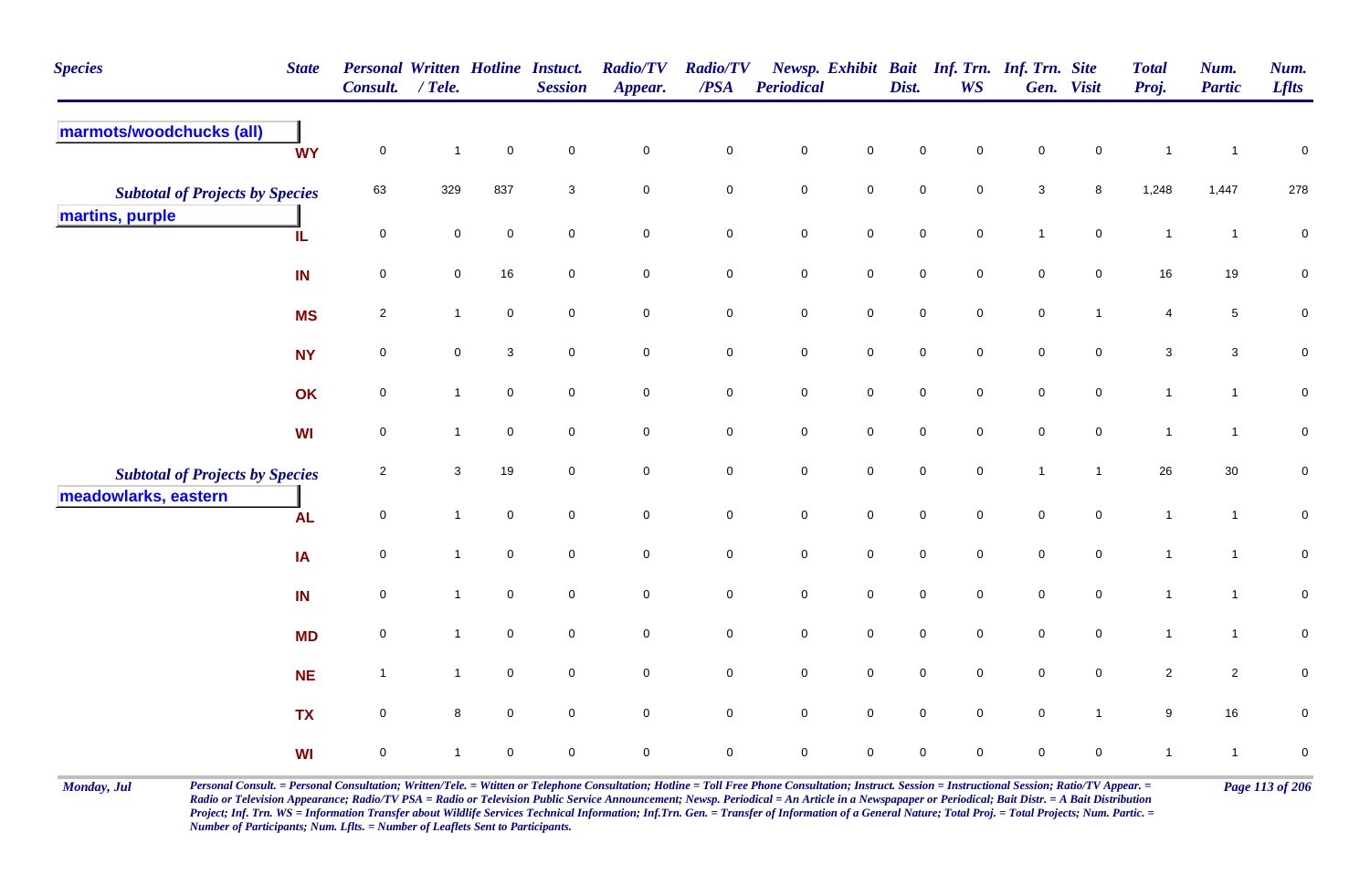| <b>Species</b>                         | <b>State</b> | Personal Written Hotline Instuct.<br><b>Consult.</b> | $/$ Tele.           |                | <b>Session</b> | <b>Radio/TV</b><br>Appear. | <b>Radio/TV</b><br>/PSA | <b>Periodical</b>   |                     | Dist.               | Newsp. Exhibit Bait Inf. Trn. Inf. Trn. Site<br><b>WS</b> |                           | Gen. Visit          | <b>Total</b><br>Proj. | Num.<br><b>Partic</b> | Num.<br><b>Lflts</b> |
|----------------------------------------|--------------|------------------------------------------------------|---------------------|----------------|----------------|----------------------------|-------------------------|---------------------|---------------------|---------------------|-----------------------------------------------------------|---------------------------|---------------------|-----------------------|-----------------------|----------------------|
| marmots/woodchucks (all)               | <b>WY</b>    | $\mathbf 0$                                          | $\mathbf{1}$        | $\mathbf 0$    | $\mathbf 0$    | $\mathbf 0$                | $\pmb{0}$               | $\mathbf 0$         | $\mathbf 0$         | $\mathbf 0$         | $\mathbf 0$                                               | $\mathbf 0$               | $\mathsf{O}\xspace$ | $\overline{1}$        | $\overline{1}$        | $\mathsf 0$          |
| <b>Subtotal of Projects by Species</b> |              | 63                                                   | 329                 | 837            | 3              | $\mathbf 0$                | $\mathbf 0$             | $\mathbf 0$         | $\mathsf{O}\xspace$ | $\mathbf 0$         | $\mathbf 0$                                               | $\ensuremath{\mathsf{3}}$ | 8                   | 1,248                 | 1,447                 | 278                  |
| martins, purple                        | IL           | $\overline{0}$                                       | 0                   | $\overline{0}$ | $\mathbf 0$    | $\mathbf 0$                | $\mathbf 0$             | $\mathsf{O}\xspace$ | $\overline{0}$      | $\mathsf{O}\xspace$ | $\mathbf 0$                                               | $\mathbf{1}$              | $\overline{0}$      | $\mathbf{1}$          | $\overline{1}$        | $\pmb{0}$            |
|                                        | IN           | $\mathsf{O}\xspace$                                  | $\mathbf 0$         | 16             | $\mathbf 0$    | $\mathbf 0$                | $\mathsf{O}$            | $\mathbf 0$         | $\mathsf{O}\xspace$ | $\mathbf 0$         | $\overline{0}$                                            | $\pmb{0}$                 | $\mathbf 0$         | 16                    | 19                    | $\pmb{0}$            |
|                                        | <b>MS</b>    | $\overline{2}$                                       | $\mathbf{1}$        | $\mathbf 0$    | $\mathbf 0$    | $\mathsf{O}\xspace$        | ${\bf 0}$               | $\mathbf 0$         | $\mathsf{O}\xspace$ | $\mathbf 0$         | $\overline{0}$                                            | $\mathbf 0$               | $\mathbf{1}$        | 4                     | $\overline{5}$        | $\pmb{0}$            |
|                                        | <b>NY</b>    | $\mathbf 0$                                          | $\mathsf{O}\xspace$ | $\sqrt{3}$     | $\pmb{0}$      | $\mathsf{O}\xspace$        | $\mathsf{O}$            | $\mathbf 0$         | $\mathsf 0$         | $\mathbf 0$         | $\mathsf{O}\xspace$                                       | $\mathbf 0$               | $\mathsf{O}\xspace$ | $\mathbf{3}$          | $\mathbf{3}$          | $\pmb{0}$            |
|                                        | OK           | $\mathsf{O}\xspace$                                  | $\mathbf{1}$        | $\mathbf 0$    | $\mathsf 0$    | $\mathbf 0$                | $\mathbf 0$             | $\pmb{0}$           | $\mathbf 0$         | $\mathbf 0$         | $\overline{0}$                                            | $\mathbf 0$               | $\mathbf 0$         | $\mathbf{1}$          | $\mathbf{1}$          | $\mathbf 0$          |
|                                        | WI           | $\mathbf 0$                                          | $\mathbf{1}$        | $\mathbf 0$    | $\mathbf 0$    | $\mathbf 0$                | $\mathbf 0$             | $\mathsf{O}\xspace$ | $\overline{0}$      | $\mathbf 0$         | $\mathbf 0$                                               | $\mathsf{O}\xspace$       | $\overline{0}$      | $\mathbf{1}$          | $\mathbf{1}$          | $\mathbf 0$          |
| <b>Subtotal of Projects by Species</b> |              | $\overline{2}$                                       | 3                   | 19             | $\mathbf 0$    | $\mathsf{O}\xspace$        | $\mathbf 0$             | $\mathbf 0$         | $\mathsf{O}\xspace$ | $\mathbf 0$         | $\mathbf 0$                                               | $\mathbf{1}$              | $\mathbf{1}$        | 26                    | 30                    | $\pmb{0}$            |
| meadowlarks, eastern                   | <b>AL</b>    | $\mathsf{O}\xspace$                                  | $\mathbf{1}$        | $\mathbf 0$    | $\pmb{0}$      | $\mathsf{O}\xspace$        | $\mathbf 0$             | $\mathbf 0$         | $\mathsf{O}\xspace$ | $\mathbf 0$         | $\mathsf{O}\xspace$                                       | $\mathbf 0$               | $\mathsf{O}\xspace$ | $\mathbf{1}$          | $\mathbf{1}$          | $\mathbf 0$          |
|                                        | IA           | $\mathbf 0$                                          | $\mathbf{1}$        | $\mathbf 0$    | $\mathsf 0$    | $\mathbf 0$                | $\mathsf{O}$            | $\pmb{0}$           | $\mathbf 0$         | $\pmb{0}$           | $\mathbf 0$                                               | $\pmb{0}$                 | $\mathbf 0$         | $\mathbf{1}$          | $\mathbf{1}$          | $\mathbf 0$          |
|                                        | IN           | $\mathbf 0$                                          | $\mathbf{1}$        | $\mathbf 0$    | $\mathbf 0$    | $\mathbf 0$                | $\mathbf 0$             | $\pmb{0}$           | $\overline{0}$      | $\mathbf 0$         | $\overline{0}$                                            | $\mathbf 0$               | $\mathbf 0$         | $\mathbf{1}$          | $\mathbf{1}$          | $\pmb{0}$            |
|                                        | <b>MD</b>    | $\mathbf 0$                                          | $\mathbf{1}$        | $\overline{0}$ | $\mathsf 0$    | $\mathsf{O}\xspace$        | $\mathbf 0$             | $\mathbf 0$         | $\mathsf{O}\xspace$ | $\mathbf 0$         | $\overline{0}$                                            | $\mathbf 0$               | $\overline{0}$      | $\mathbf{1}$          | $\mathbf{1}$          | $\pmb{0}$            |
|                                        | <b>NE</b>    | $\overline{1}$                                       | $\mathbf{1}$        | $\mathbf 0$    | $\mathbf 0$    | $\mathbf 0$                | $\overline{0}$          | $\mathbf 0$         | $\mathsf{O}\xspace$ | $\mathbf 0$         | $\overline{0}$                                            | $\mathbf 0$               | $\overline{0}$      | $\overline{2}$        | $\overline{2}$        | 0                    |
|                                        | <b>TX</b>    | $\mathsf 0$                                          | 8                   | $\mathbf 0$    | $\mathbf 0$    | $\mathsf{O}\xspace$        | $\mathsf{O}\xspace$     | $\mathbf 0$         | $\mathsf{O}\xspace$ | $\mathbf 0$         | $\mathsf{O}\xspace$                                       | $\mathbf 0$               | $\mathbf{1}$        | $\boldsymbol{9}$      | 16                    | $\pmb{0}$            |
|                                        | WI           | $\mathbf 0$                                          | $\mathbf 1$         | $\mathbf 0$    | $\mathbf 0$    | $\mathbf 0$                | $\mathbf 0$             | $\mathbf 0$         | $\mathbf 0$         | $\mathbf 0$         | $\mathbf 0$                                               | $\mathbf 0$               | $\mathbf 0$         | $\mathbf{1}$          | $\mathbf{1}$          | $\pmb{0}$            |

Monday, Jul Personal Consult. = Personal Consultation; Written/Tele. = Witten or Telephone Consultation; Hotline = Toll Free Phone Consultation; Instruct. Session = Instructional Session; Ratio/TV Appear. = Page 113 of 206 *Radio or Television Appearance; Radio/TV PSA = Radio or Television Public Service Announcement; Newsp. Periodical = An Article in a Newspapaper or Periodical; Bait Distr. = A Bait Distribution*  Project; Inf. Trn. WS = Information Transfer about Wildlife Services Technical Information; Inf.Trn. Gen. = Transfer of Information of a General Nature; Total Proj. = Total Projects; Num. Partic. = *Number of Participants; Num. Lflts. = Number of Leaflets Sent to Participants.*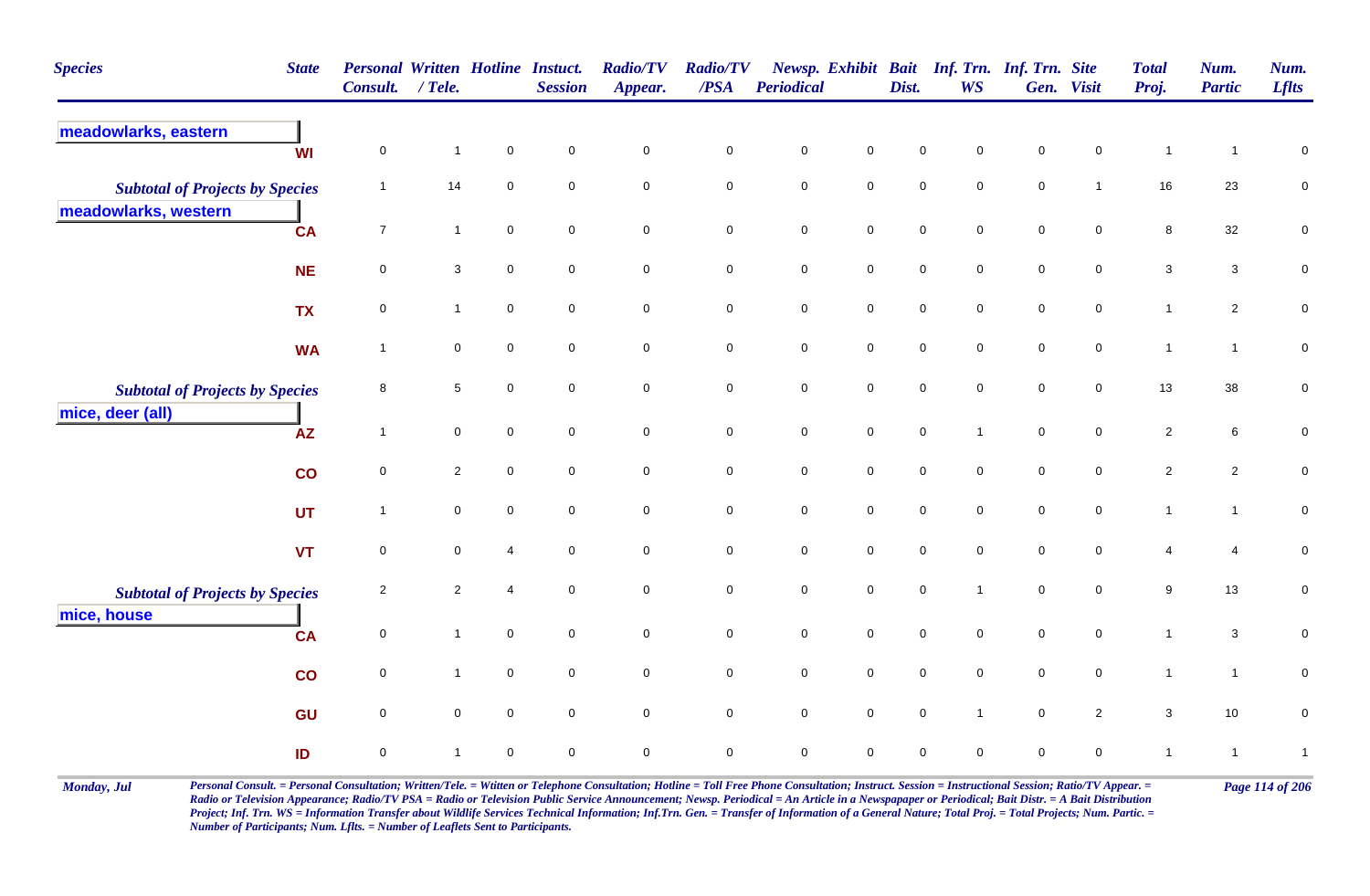| <b>Species</b>                                                 | <b>State</b> | <b>Personal Written Hotline Instuct.</b><br>Consult. | $/$ Tele.           |                     | <b>Session</b>      | <b>Radio/TV</b><br>Appear. | <b>Radio/TV</b><br>$\triangle PSA$ | <b>Periodical</b>   |                     | Dist.               | Newsp. Exhibit Bait Inf. Trn. Inf. Trn. Site<br><b>WS</b> |                     | Gen. Visit          | <b>Total</b><br>Proj. | Num.<br><b>Partic</b> | Num.<br><b>Lflts</b> |
|----------------------------------------------------------------|--------------|------------------------------------------------------|---------------------|---------------------|---------------------|----------------------------|------------------------------------|---------------------|---------------------|---------------------|-----------------------------------------------------------|---------------------|---------------------|-----------------------|-----------------------|----------------------|
| meadowlarks, eastern                                           | <b>WI</b>    | $\mathbf 0$                                          | $\mathbf{1}$        | $\mathbf 0$         | $\overline{0}$      | $\mathbf 0$                | $\mathbf 0$                        | $\pmb{0}$           | $\mathbf 0$         | $\mathsf{O}\xspace$ | $\pmb{0}$                                                 | $\pmb{0}$           | $\mathbf 0$         | $\mathbf{1}$          | $\mathbf{1}$          | $\pmb{0}$            |
| <b>Subtotal of Projects by Species</b><br>meadowlarks, western |              | $\overline{\mathbf{1}}$                              | 14                  | $\mathbf 0$         | $\overline{0}$      | $\mathbf 0$                | $\mathbf 0$                        | $\pmb{0}$           | $\mathbf 0$         | $\mathsf{O}\xspace$ | $\overline{0}$                                            | $\mathbf 0$         | $\mathbf{1}$        | 16                    | 23                    | ${\bf 0}$            |
|                                                                | <b>CA</b>    | $\overline{7}$                                       | $\mathbf{1}$        | $\mathsf{O}\xspace$ | $\mathsf{O}\xspace$ | $\mathsf{O}\xspace$        | $\mathsf{O}\xspace$                | $\mathbf 0$         | $\mathbf 0$         | $\mathbf 0$         | $\mathbf 0$                                               | $\mathsf{O}\xspace$ | $\mathsf{O}\xspace$ | $\bf8$                | 32                    | $\pmb{0}$            |
|                                                                | <b>NE</b>    | 0                                                    | $\mathbf{3}$        | $\mathbf 0$         | $\mathbf 0$         | $\mathbf 0$                | $\mathbf 0$                        | $\pmb{0}$           | $\mathbf 0$         | $\pmb{0}$           | $\mathbf 0$                                               | $\mathbf 0$         | $\mathbf 0$         | $\mathbf{3}$          | $\mathbf{3}$          | ${\bf 0}$            |
|                                                                | <b>TX</b>    | 0                                                    | $\overline{1}$      | $\mathbf 0$         | $\mathbf 0$         | $\mathbf 0$                | $\mathbf 0$                        | $\pmb{0}$           | $\overline{0}$      | $\mathbf 0$         | $\overline{0}$                                            | $\mathbf 0$         | $\mathbf 0$         | $\mathbf{1}$          | $\mathbf{2}$          | $\mathbf 0$          |
|                                                                | <b>WA</b>    | $\overline{1}$                                       | $\mathbf 0$         | $\mathsf{O}\xspace$ | $\overline{0}$      | $\mathsf{O}\xspace$        | $\mathsf{O}\xspace$                | $\mathbf 0$         | $\mathbf 0$         | $\mathbf 0$         | $\mathsf{O}\xspace$                                       | $\mathsf{O}\xspace$ | $\mathsf{O}$        | $\mathbf{1}$          | $\mathbf{1}$          | $\pmb{0}$            |
| <b>Subtotal of Projects by Species</b>                         |              | 8                                                    | $\sqrt{5}$          | $\mathbf 0$         | $\mathbf 0$         | $\mathsf{O}\xspace$        | $\mathsf{O}\xspace$                | $\mathsf{O}\xspace$ | $\mathsf 0$         | $\mathbf 0$         | $\overline{0}$                                            | $\mathsf{O}\xspace$ | $\mathsf 0$         | 13                    | $38\,$                | $\pmb{0}$            |
| mice, deer (all)                                               | <b>AZ</b>    | $\overline{\mathbf{1}}$                              | $\mathbf 0$         | $\mathsf{O}\xspace$ | $\overline{0}$      | $\mathsf{O}\xspace$        | $\mathbf 0$                        | $\mathbf 0$         | $\mathsf{O}$        | $\mathbf 0$         | $\mathbf{1}$                                              | $\mathbf 0$         | $\mathbf 0$         | $\overline{2}$        | 6                     | $\mathbf 0$          |
|                                                                | co           | $\mathbf 0$                                          | $\overline{2}$      | $\mathbf 0$         | $\mathbf 0$         | $\mathbf 0$                | $\mathsf 0$                        | $\mathsf{O}\xspace$ | $\mathbf 0$         | $\mathbf 0$         | $\mathbf 0$                                               | $\mathbf 0$         | $\mathbf 0$         | $\overline{2}$        | $\overline{2}$        | $\mathbf 0$          |
|                                                                | <b>UT</b>    | $\overline{1}$                                       | $\mathbf 0$         | $\mathbf 0$         | $\mathbf{0}$        | $\mathsf{O}\xspace$        | $\mathsf{O}\xspace$                | $\mathbf 0$         | $\mathsf{O}\xspace$ | $\mathbf 0$         | $\mathsf{O}\xspace$                                       | $\mathsf{O}\xspace$ | $\mathsf{O}\xspace$ | $\mathbf{1}$          | $\mathbf{1}$          | $\mathsf{O}\xspace$  |
|                                                                | <b>VT</b>    | 0                                                    | $\pmb{0}$           | $\overline{4}$      | $\mathbf 0$         | $\pmb{0}$                  | $\mathbf 0$                        | $\pmb{0}$           | $\mathbf 0$         | $\mathbf 0$         | $\mathbf 0$                                               | $\pmb{0}$           | $\mathbf 0$         | $\overline{4}$        | $\overline{4}$        | $\pmb{0}$            |
| <b>Subtotal of Projects by Species</b>                         |              | $\overline{2}$                                       | $\overline{2}$      | $\overline{4}$      | $\mathbf 0$         | 0                          | $\mathbf 0$                        | $\pmb{0}$           | $\mathbf 0$         | $\mathbf 0$         | $\mathbf{1}$                                              | $\mathsf{O}\xspace$ | $\overline{0}$      | 9                     | 13                    | $\pmb{0}$            |
| mice, house                                                    | <b>CA</b>    | $\mathsf{O}\xspace$                                  | $\mathbf{1}$        | $\mathbf 0$         | $\mathbf 0$         | $\mathbf 0$                | $\mathbf 0$                        | $\pmb{0}$           | $\mathbf 0$         | $\mathbf 0$         | $\mathbf 0$                                               | $\mathbf 0$         | $\mathsf{O}$        | $\mathbf{1}$          | $\mathbf{3}$          | $\mathbf 0$          |
|                                                                | co           | $\mathbf 0$                                          | $\mathbf{1}$        | $\mathbf 0$         | $\mathbf 0$         | 0                          | $\mathsf{O}\xspace$                | $\pmb{0}$           | $\mathsf 0$         | $\pmb{0}$           | $\overline{0}$                                            | $\mathbf 0$         | $\mathbf 0$         | $\mathbf{1}$          | $\overline{1}$        | 0                    |
|                                                                | GU           | $\mathbf 0$                                          | $\mathsf{O}\xspace$ | $\mathsf{O}\xspace$ | $\overline{0}$      | $\mathsf{O}\xspace$        | $\mathsf{O}\xspace$                | $\mathbf 0$         | $\mathsf 0$         | $\mathbf 0$         | $\mathbf{1}$                                              | $\mathsf{O}\xspace$ | $\overline{2}$      | $\mathbf{3}$          | 10                    | $\mathbf 0$          |
|                                                                | ID           | $\mathbf 0$                                          | $\mathbf{1}$        | $\mathbf 0$         | $\mathbf 0$         | $\mathsf{O}$               | $\mathbf 0$                        | $\mathbf 0$         | $\mathbf 0$         | $\mathbf 0$         | $\mathbf 0$                                               | $\mathbf 0$         | $\mathbf 0$         | $\mathbf{1}$          | $\overline{1}$        | $\mathbf{1}$         |

Monday, Jul Personal Consult. = Personal Consultation; Written/Tele. = Witten or Telephone Consultation; Hotline = Toll Free Phone Consultation; Instruct. Session = Instructional Session; Ratio/TV Appear. = Page 114 of 206 *Radio or Television Appearance; Radio/TV PSA = Radio or Television Public Service Announcement; Newsp. Periodical = An Article in a Newspapaper or Periodical; Bait Distr. = A Bait Distribution*  Project; Inf. Trn. WS = Information Transfer about Wildlife Services Technical Information; Inf.Trn. Gen. = Transfer of Information of a General Nature; Total Proj. = Total Projects; Num. Partic. = *Number of Participants; Num. Lflts. = Number of Leaflets Sent to Participants.*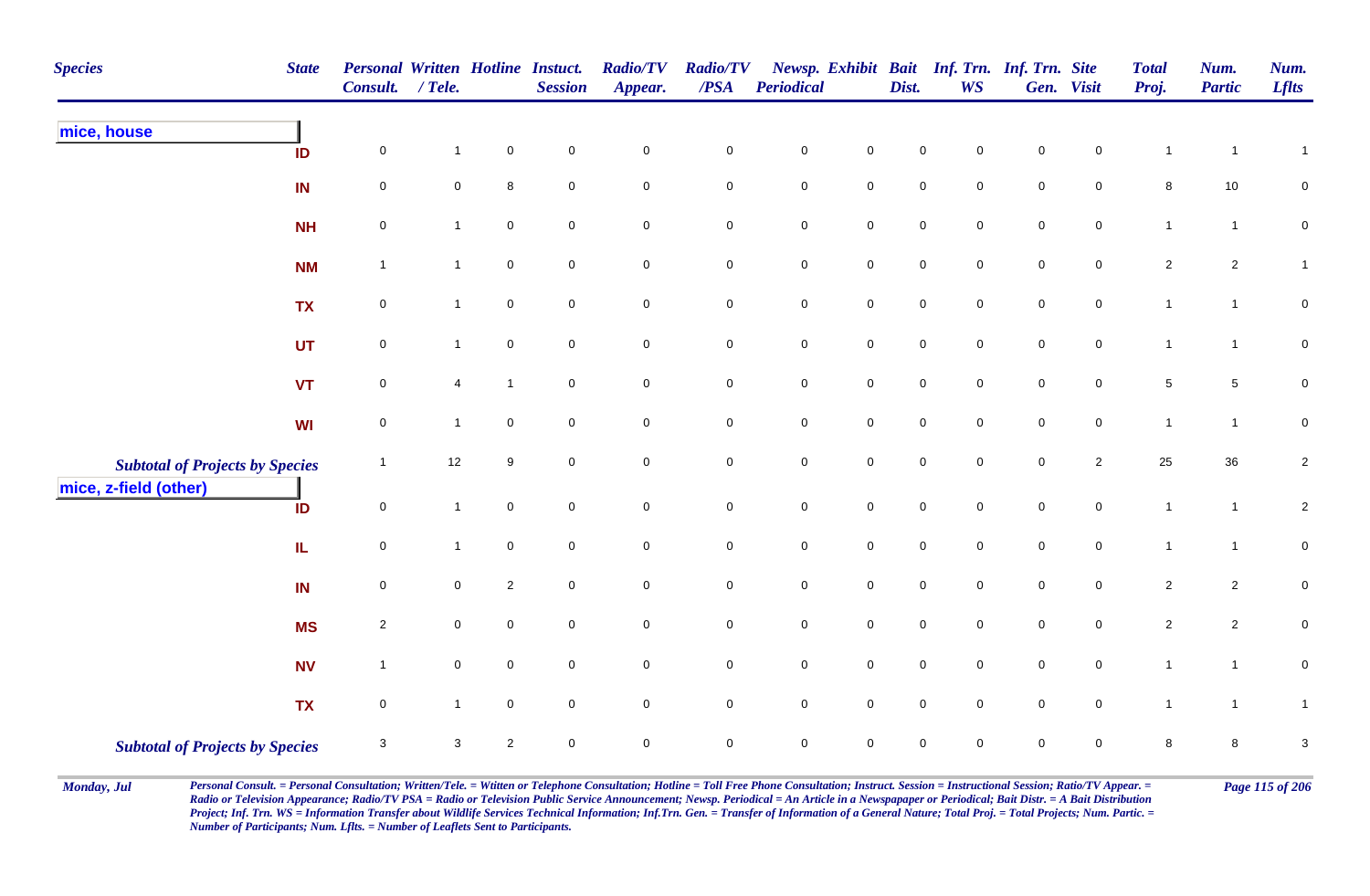| <b>Species</b> |                                                                 | <b>State</b> | Personal Written Hotline Instuct.<br>Consult. | $/$ Tele.      |                     | <b>Session</b>      | <b>Radio/TV</b><br>Appear. | <b>Radio/TV</b><br>$\overline{PSA}$ | <b>Periodical</b> |                     | Dist.               | <b>WS</b>   | Newsp. Exhibit Bait Inf. Trn. Inf. Trn. Site | Gen. Visit     | <b>Total</b><br>Proj. | Num.<br><b>Partic</b> | Num.<br><b>Lflts</b>      |
|----------------|-----------------------------------------------------------------|--------------|-----------------------------------------------|----------------|---------------------|---------------------|----------------------------|-------------------------------------|-------------------|---------------------|---------------------|-------------|----------------------------------------------|----------------|-----------------------|-----------------------|---------------------------|
| mice, house    |                                                                 | ID           | $\mathbf 0$                                   | $\mathbf{1}$   | $\pmb{0}$           | $\pmb{0}$           | $\pmb{0}$                  | $\pmb{0}$                           | ${\bf 0}$         | $\mathbf 0$         | $\pmb{0}$           | $\mathbf 0$ | $\pmb{0}$                                    | $\mathbf 0$    | $\mathbf 1$           | $\mathbf 1$           | $\mathbf{1}$              |
|                |                                                                 | IN           | 0                                             | $\mathbf 0$    | $\bf 8$             | $\overline{0}$      | $\mathbf 0$                | 0                                   | $\mathsf{O}$      | $\mathbf 0$         | $\mathbf 0$         | $\mathbf 0$ | $\mathbf 0$                                  | $\mathbf 0$    | 8                     | 10                    | 0                         |
|                |                                                                 | <b>NH</b>    | $\pmb{0}$                                     | $\mathbf{1}$   | $\mathsf{O}\xspace$ | $\mathbf 0$         | $\pmb{0}$                  | 0                                   | ${\bf 0}$         | $\pmb{0}$           | $\mathbf 0$         | 0           | $\pmb{0}$                                    | $\overline{0}$ | $\mathbf{1}$          | $\mathbf{1}$          | $\pmb{0}$                 |
|                |                                                                 | <b>NM</b>    | $\mathbf{1}$                                  | $\mathbf 1$    | $\mathbf 0$         | $\pmb{0}$           | $\mathbf 0$                | $\pmb{0}$                           | $\mathbf 0$       | $\mathbf 0$         | $\mathsf{O}\xspace$ | $\mathbf 0$ | $\mathbf 0$                                  | $\mathbf 0$    | $\overline{c}$        | $\overline{2}$        | $\mathbf{1}$              |
|                |                                                                 | <b>TX</b>    | $\mathbf 0$                                   | $\mathbf{1}$   | $\mathbf 0$         | $\pmb{0}$           | $\pmb{0}$                  | $\pmb{0}$                           | $\mathbf 0$       | $\mathbf 0$         | $\mathsf{O}\xspace$ | $\mathsf 0$ | $\mathbf 0$                                  | $\mathbf 0$    | $\mathbf{1}$          | $\mathbf{1}$          | $\pmb{0}$                 |
|                |                                                                 | <b>UT</b>    | $\mathbf 0$                                   | $\mathbf{1}$   | $\mathbf 0$         | $\mathbf 0$         | $\pmb{0}$                  | $\pmb{0}$                           | $\mathbf 0$       | $\mathbf 0$         | $\mathbf 0$         | $\mathbf 0$ | $\mathbf 0$                                  | $\mathbf 0$    | $\mathbf{1}$          | $\mathbf{1}$          | $\mathbf 0$               |
|                |                                                                 | <b>VT</b>    | $\mathbf 0$                                   | $\overline{4}$ | $\mathbf{1}$        | $\mathsf{O}\xspace$ | $\mathsf{O}\xspace$        | $\mathbf 0$                         | $\mathsf{O}$      | $\mathbf 0$         | $\mathsf{O}\xspace$ | $\mathbf 0$ | $\mathbf 0$                                  | $\overline{0}$ | $5\phantom{.0}$       | $\sqrt{5}$            | 0                         |
|                |                                                                 | WI           | $\mathsf{O}\xspace$                           | $\overline{1}$ | $\mathbf 0$         | $\pmb{0}$           | $\mathsf{O}\xspace$        | $\mathbf 0$                         | $\mathsf{O}$      | $\mathsf{O}\xspace$ | $\mathsf{O}\xspace$ | $\mathbf 0$ | $\mathsf{O}\xspace$                          | $\mathbf 0$    | $\mathbf{1}$          | $\mathbf{1}$          | $\pmb{0}$                 |
|                | <b>Subtotal of Projects by Species</b><br>mice, z-field (other) |              | $\mathbf{1}$                                  | 12             | 9                   | $\overline{0}$      | $\mathsf{O}\xspace$        | $\mathbf 0$                         | $\mathbf 0$       | $\mathbf 0$         | $\mathsf{O}\xspace$ | $\mathbf 0$ | $\mathbf 0$                                  | $\overline{2}$ | 25                    | 36                    | $\overline{a}$            |
|                |                                                                 | ID           | $\mathsf 0$                                   | $\mathbf{1}$   | $\mathbf 0$         | $\mathsf{O}\xspace$ | $\mathbf 0$                | $\pmb{0}$                           | $\mathbf 0$       | $\mathbf 0$         | $\mathbf 0$         | $\mathbf 0$ | $\mathbf 0$                                  | $\mathbf 0$    | $\mathbf{1}$          | $\mathbf{1}$          | $\overline{c}$            |
|                |                                                                 | IL           | $\mathbf 0$                                   | $\overline{1}$ | $\mathsf{O}\xspace$ | $\pmb{0}$           | $\pmb{0}$                  | $\mathbf 0$                         | $\mathbf 0$       | $\mathbf 0$         | $\mathbf 0$         | $\mathsf 0$ | $\mathsf{O}\xspace$                          | $\mathbf 0$    | $\mathbf{1}$          | $\mathbf{1}$          | $\pmb{0}$                 |
|                |                                                                 | IN           | $\mathbf 0$                                   | $\mathbf 0$    | $\sqrt{2}$          | $\mathsf{O}\xspace$ | $\mathbf 0$                | $\mathbf 0$                         | $\mathbf 0$       | $\mathbf 0$         | $\mathbf 0$         | $\mathbf 0$ | $\pmb{0}$                                    | $\overline{0}$ | $\overline{c}$        | $\overline{2}$        | $\pmb{0}$                 |
|                |                                                                 | <b>MS</b>    | $\sqrt{2}$                                    | $\mathbf 0$    | $\mathbf 0$         | $\mathsf 0$         | $\mathsf 0$                | 0                                   | $\mathbf 0$       | $\overline{0}$      | $\mathbf 0$         | $\mathbf 0$ | $\overline{0}$                               | $\mathbf 0$    | $\overline{a}$        | $\overline{2}$        | $\mathbf 0$               |
|                |                                                                 | <b>NV</b>    | $\mathbf{1}$                                  | $\mathbf 0$    | $\mathbf 0$         | $\mathsf 0$         | $\mathsf 0$                | 0                                   | $\mathbf 0$       | $\mathbf 0$         | $\mathbf 0$         | $\mathbf 0$ | $\mathbf 0$                                  | $\overline{0}$ | $\mathbf{1}$          | $\mathbf{1}$          | $\mathbf 0$               |
|                |                                                                 | <b>TX</b>    | $\mathsf{O}\xspace$                           | $\mathbf{1}$   | $\mathbf 0$         | $\mathsf{O}\xspace$ | $\mathsf{O}\xspace$        | 0                                   | $\mathsf{O}$      | $\mathsf{O}\xspace$ | $\mathbf 0$         | $\mathbf 0$ | $\mathbf 0$                                  | $\mathbf 0$    | $\mathbf{1}$          | $\mathbf{1}$          | 1                         |
|                | <b>Subtotal of Projects by Species</b>                          |              | $\mathsf 3$                                   | $\mathbf{3}$   | $\sqrt{2}$          | $\mathbf 0$         | $\mathbf 0$                | $\mathbf 0$                         | $\mathbf 0$       | $\mathsf 0$         | $\pmb{0}$           | $\mathbf 0$ | $\pmb{0}$                                    | $\mathbf 0$    | 8                     | $\bf{8}$              | $\ensuremath{\mathsf{3}}$ |

Monday, Jul Personal Consult. = Personal Consultation; Written/Tele. = Witten or Telephone Consultation; Hotline = Toll Free Phone Consultation; Instruct. Session = Instructional Session; Ratio/TV Appear. = Page 115 of 206 *Radio or Television Appearance; Radio/TV PSA = Radio or Television Public Service Announcement; Newsp. Periodical = An Article in a Newspapaper or Periodical; Bait Distr. = A Bait Distribution*  Project; Inf. Trn. WS = Information Transfer about Wildlife Services Technical Information; Inf.Trn. Gen. = Transfer of Information of a General Nature; Total Proj. = Total Projects; Num. Partic. = *Number of Participants; Num. Lflts. = Number of Leaflets Sent to Participants.*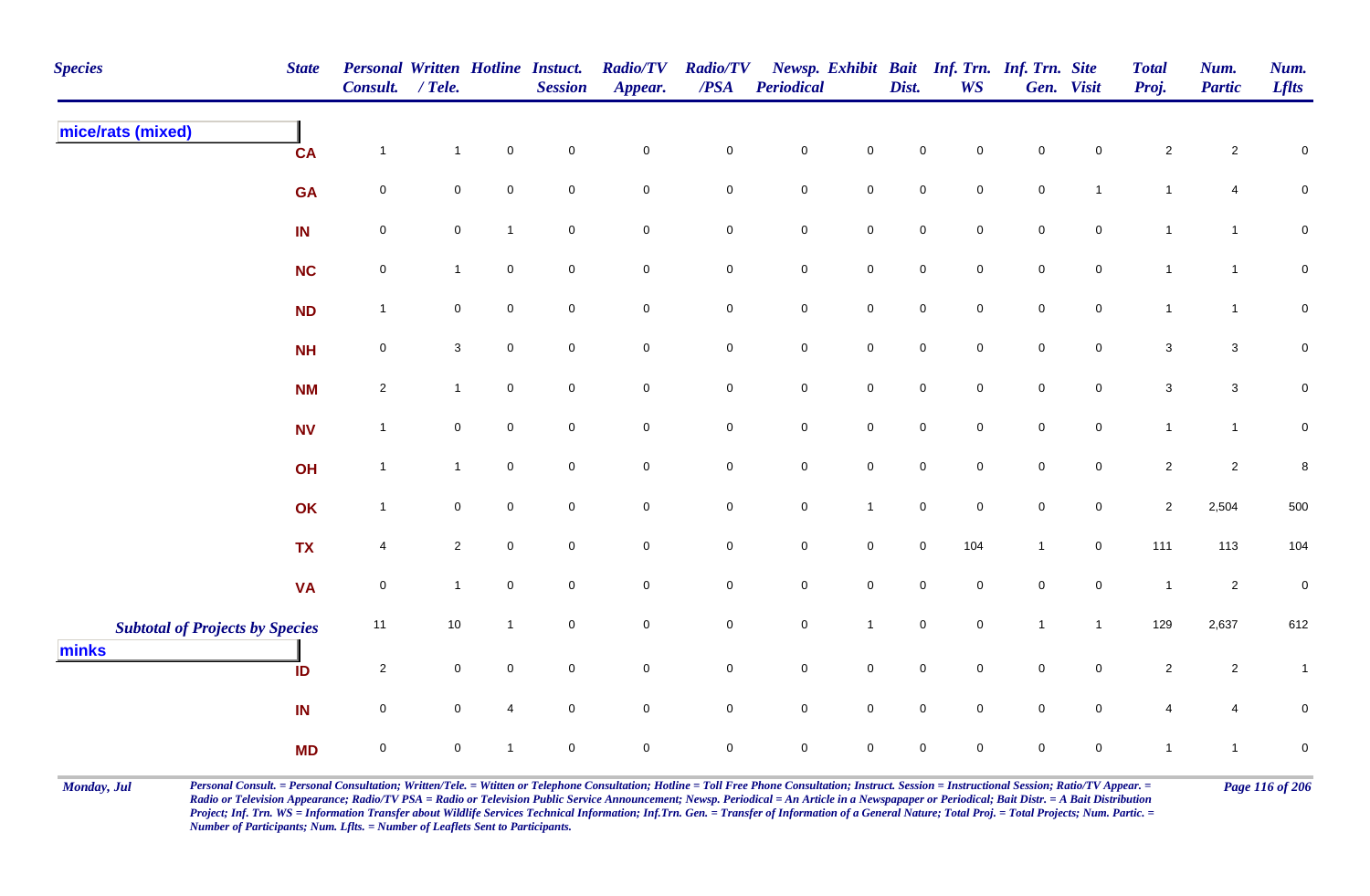| <b>Species</b>                                  | <b>State</b> | Personal Written Hotline Instuct.<br>Consult. | $/$ Tele.      |                     | <b>Session</b>      | <b>Radio/TV</b><br>Appear. | <b>Radio/TV</b><br>/PSA | Periodical  |                     | Dist.       | <b>WS</b>           | Newsp. Exhibit Bait Inf. Trn. Inf. Trn. Site | Gen. Visit          | <b>Total</b><br>Proj. | Num.<br><b>Partic</b>   | Num.<br><b>Lflts</b> |
|-------------------------------------------------|--------------|-----------------------------------------------|----------------|---------------------|---------------------|----------------------------|-------------------------|-------------|---------------------|-------------|---------------------|----------------------------------------------|---------------------|-----------------------|-------------------------|----------------------|
| mice/rats (mixed)                               | <b>CA</b>    | $\overline{1}$                                | $\mathbf{1}$   | $\pmb{0}$           | $\mathbf 0$         | $\pmb{0}$                  | $\pmb{0}$               | $\pmb{0}$   | $\mathbf 0$         | $\pmb{0}$   | $\mathbf 0$         | $\mathbf 0$                                  | $\mathbf 0$         | $\overline{2}$        | $\overline{\mathbf{c}}$ | $\pmb{0}$            |
|                                                 | <b>GA</b>    | $\mathbf 0$                                   | $\mathbf 0$    | $\mathbf 0$         | $\mathsf{O}\xspace$ | $\mathbf 0$                | $\mathbf 0$             | $\pmb{0}$   | $\mathsf{O}$        | $\pmb{0}$   | $\mathsf{O}\xspace$ | $\pmb{0}$                                    | $\mathbf{1}$        | $\mathbf{1}$          | $\overline{4}$          | $\mathsf{O}\xspace$  |
|                                                 | IN           | $\pmb{0}$                                     | ${\bf 0}$      | $\overline{1}$      | $\mathbf 0$         | $\mathbf 0$                | $\mathbf 0$             | $\pmb{0}$   | $\mathbf 0$         | $\pmb{0}$   | $\mathbf 0$         | $\,0\,$                                      | $\mathbf 0$         | $\mathbf{1}$          | $\mathbf{1}$            | ${\bf 0}$            |
|                                                 | <b>NC</b>    | $\mathbf 0$                                   | $\mathbf{1}$   | $\overline{0}$      | $\mathbf 0$         | $\mathbf 0$                | $\mathbf 0$             | $\pmb{0}$   | $\mathbf 0$         | $\mathsf 0$ | $\mathbf 0$         | $\mathsf 0$                                  | $\mathbf 0$         | $\overline{1}$        | $\mathbf{1}$            | $\pmb{0}$            |
|                                                 | <b>ND</b>    | $\overline{1}$                                | $\mathbf 0$    | $\mathsf{O}\xspace$ | $\mathbf 0$         | $\mathsf{O}\xspace$        | $\mathbf 0$             | $\pmb{0}$   | $\mathbf 0$         | $\mathbf 0$ | $\mathbf 0$         | $\mathsf 0$                                  | $\mathbf 0$         | $\mathbf{1}$          | $\mathbf{1}$            | $\mathbf 0$          |
|                                                 | <b>NH</b>    | $\mathbf 0$                                   | $\mathbf{3}$   | $\overline{0}$      | $\mathbf 0$         | $\mathbf 0$                | $\mathbf 0$             | $\pmb{0}$   | $\overline{0}$      | $\pmb{0}$   | $\mathbf 0$         | $\mathbf 0$                                  | $\mathbf 0$         | $\mathbf{3}$          | $\mathbf{3}$            | $\mathbf 0$          |
|                                                 | <b>NM</b>    | $\overline{2}$                                | $\mathbf{1}$   | $\mathsf{O}\xspace$ | $\mathbf 0$         | $\mathsf{O}\xspace$        | $\mathbf 0$             | $\pmb{0}$   | $\mathsf{O}$        | $\pmb{0}$   | $\mathbf 0$         | $\pmb{0}$                                    | $\mathbf 0$         | $\mathbf{3}$          | $\mathsf 3$             | $\pmb{0}$            |
|                                                 | <b>NV</b>    | $\overline{1}$                                | $\mathbf 0$    | $\overline{0}$      | $\mathbf 0$         | $\mathsf{O}\xspace$        | $\mathsf{O}$            | $\pmb{0}$   | $\mathbf 0$         | $\mathsf 0$ | $\mathbf 0$         | $\mathsf 0$                                  | $\mathbf 0$         | $\mathbf{1}$          | $\mathbf{1}$            | $\pmb{0}$            |
|                                                 | OH           | $\overline{1}$                                | $\mathbf{1}$   | $\mathsf{O}\xspace$ | $\mathbf 0$         | $\pmb{0}$                  | $\mathbf 0$             | $\pmb{0}$   | $\mathsf{O}\xspace$ | $\pmb{0}$   | $\mathbf 0$         | $\pmb{0}$                                    | $\mathsf{O}\xspace$ | $\overline{2}$        | $\mathbf 2$             | 8                    |
|                                                 | OK           | $\overline{1}$                                | $\mathbf 0$    | $\mathsf 0$         | $\mathbf 0$         | $\mathbf 0$                | $\overline{0}$          | $\mathsf 0$ | $\mathbf{1}$        | $\mathsf 0$ | $\mathbf 0$         | $\mathsf 0$                                  | 0                   | $\overline{2}$        | 2,504                   | 500                  |
|                                                 | <b>TX</b>    | $\overline{4}$                                | $\overline{c}$ | $\mathsf{O}\xspace$ | $\mathsf{O}\xspace$ | $\mathbf 0$                | $\mathbf 0$             | $\pmb{0}$   | $\mathbf 0$         | $\pmb{0}$   | 104                 | $\mathbf{1}$                                 | $\mathbf 0$         | 111                   | 113                     | 104                  |
|                                                 | <b>VA</b>    | $\mathbf 0$                                   | $\mathbf{1}$   | $\mathbf 0$         | $\mathbf 0$         | $\mathsf{O}\xspace$        | $\mathbf 0$             | $\pmb{0}$   | $\mathbf 0$         | $\mathbf 0$ | 0                   | $\mathbf 0$                                  | $\mathbf 0$         | $\overline{1}$        | $\overline{c}$          | $\pmb{0}$            |
| <b>Subtotal of Projects by Species</b><br>minks |              | 11                                            | $10\,$         | $\overline{1}$      | $\mathsf{O}\xspace$ | $\mathbf 0$                | $\mathbf 0$             | $\pmb{0}$   | $\mathbf{1}$        | $\pmb{0}$   | $\mathsf{O}\xspace$ | $\mathbf{1}$                                 | $\mathbf{1}$        | 129                   | 2,637                   | 612                  |
|                                                 | ID           | $\overline{2}$                                | $\mathbf 0$    | $\mathbf 0$         | $\mathbf 0$         | $\mathbf 0$                | $\mathbf 0$             | $\pmb{0}$   | $\overline{0}$      | $\mathsf 0$ | $\mathbf 0$         | $\mathsf 0$                                  | $\mathbf 0$         | $\overline{2}$        | $\overline{2}$          | $\mathbf{1}$         |
|                                                 | IN           | $\mathbf 0$                                   | $\mathbf 0$    | $\overline{4}$      | $\mathbf 0$         | $\mathsf{O}\xspace$        | $\mathsf{O}$            | $\pmb{0}$   | $\mathsf{O}$        | $\mathbf 0$ | $\mathbf 0$         | $\pmb{0}$                                    | $\mathbf 0$         | $\overline{4}$        | 4                       | $\pmb{0}$            |
|                                                 | <b>MD</b>    | $\mathbf 0$                                   | $\mathbf 0$    | $\mathbf{1}$        | $\mathbf 0$         | $\mathbf 0$                | $\overline{0}$          | $\mathsf 0$ | $\mathbf 0$         | $\mathbf 0$ | 0                   | $\mathbf 0$                                  | 0                   | $\mathbf{1}$          | $\mathbf{1}$            | $\mathbf 0$          |

Monday, Jul Personal Consult. = Personal Consultation; Written/Tele. = Witten or Telephone Consultation; Hotline = Toll Free Phone Consultation; Instruct. Session = Instructional Session; Ratio/TV Appear. = Page 116 of 206 *Radio or Television Appearance; Radio/TV PSA = Radio or Television Public Service Announcement; Newsp. Periodical = An Article in a Newspapaper or Periodical; Bait Distr. = A Bait Distribution*  Project; Inf. Trn. WS = Information Transfer about Wildlife Services Technical Information; Inf.Trn. Gen. = Transfer of Information of a General Nature; Total Proj. = Total Projects; Num. Partic. = *Number of Participants; Num. Lflts. = Number of Leaflets Sent to Participants.*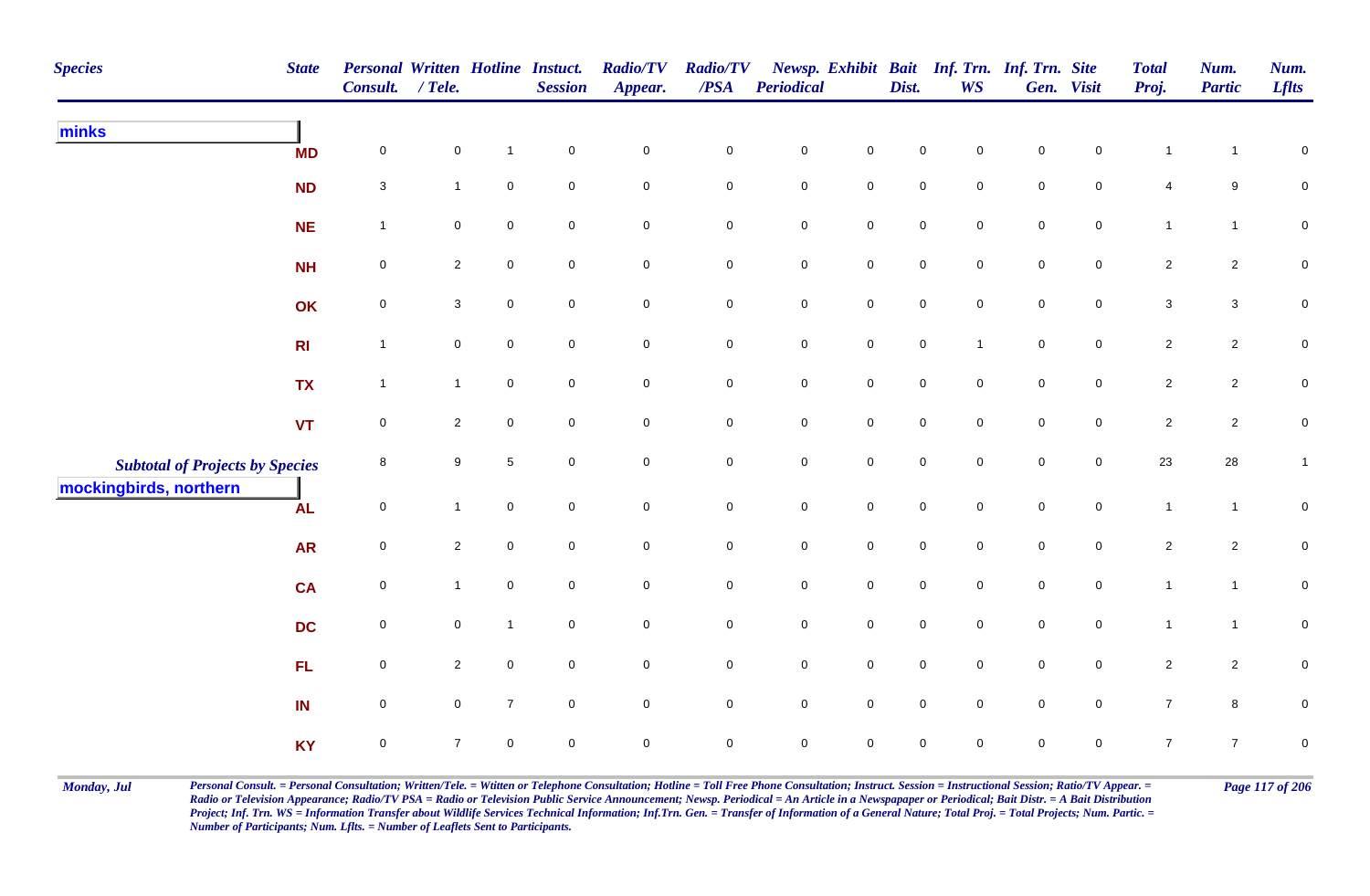| <b>Species</b>                         | <b>State</b>   | Personal Written Hotline Instuct.<br>Consult. | $/$ Tele.      |                     | <b>Session</b> | <b>Radio/TV</b><br>Appear. | <b>Radio/TV</b><br>/PSA | Periodical          |                     | Dist.               | <b>WS</b>           | Newsp. Exhibit Bait Inf. Trn. Inf. Trn. Site | Gen. Visit          | <b>Total</b><br>Proj. | Num.<br><b>Partic</b> | Num.<br><b>Lflts</b> |
|----------------------------------------|----------------|-----------------------------------------------|----------------|---------------------|----------------|----------------------------|-------------------------|---------------------|---------------------|---------------------|---------------------|----------------------------------------------|---------------------|-----------------------|-----------------------|----------------------|
| minks                                  | <b>MD</b>      | $\mathsf{O}\xspace$                           | $\mathbf 0$    | $\mathbf{1}$        | $\pmb{0}$      | $\mathbf 0$                | $\pmb{0}$               | $\pmb{0}$           | $\pmb{0}$           | $\mathsf{O}\xspace$ | $\mathsf{O}\xspace$ | $\pmb{0}$                                    | $\mathsf 0$         |                       |                       | $\pmb{0}$            |
|                                        | ND             | $\mathbf{3}$                                  | $\mathbf{1}$   | $\pmb{0}$           | $\pmb{0}$      | $\mathbf 0$                | $\pmb{0}$               | $\mathbf 0$         | $\mathbf 0$         | $\mathbf 0$         | $\mathsf{O}\xspace$ | $\overline{0}$                               | $\mathbf 0$         | 4                     | $9\,$                 | ${\bf 0}$            |
|                                        | <b>NE</b>      | $\mathbf{1}$                                  | $\mathbf 0$    | 0                   | $\pmb{0}$      | $\pmb{0}$                  | 0                       | $\mathbf 0$         | $\mathbf 0$         | $\mathbf 0$         | $\mathbf 0$         | $\mathbf 0$                                  | $\mathbf 0$         | $\mathbf{1}$          | $\mathbf{1}$          | ${\bf 0}$            |
|                                        | <b>NH</b>      | $\mathbf 0$                                   | $\overline{2}$ | $\mathbf 0$         | $\pmb{0}$      | $\mathbf 0$                | 0                       | $\mathbf 0$         | $\mathsf{O}\xspace$ | $\mathsf{O}\xspace$ | $\mathbf 0$         | $\mathbf 0$                                  | $\pmb{0}$           | $\overline{2}$        | $\overline{2}$        | ${\bf 0}$            |
|                                        | OK             | $\mathbf 0$                                   | 3              | 0                   | $\mathbf 0$    | $\mathsf{O}\xspace$        | 0                       | $\mathbf 0$         | $\mathbf 0$         | $\mathbf 0$         | $\mathbf 0$         | $\overline{0}$                               | $\mathbf 0$         | $\mathbf{3}$          | $\mathbf{3}$          | $\mathbf 0$          |
|                                        | R <sub>l</sub> | $\mathbf{1}$                                  | $\overline{0}$ | $\mathbf 0$         | $\mathbf 0$    | $\mathsf{O}\xspace$        | 0                       | $\mathsf{O}\xspace$ | $\mathsf{O}\xspace$ | $\mathbf 0$         | $\overline{1}$      | $\mathbf 0$                                  | $\mathbf 0$         | $\overline{2}$        | $\overline{2}$        | $\mathbf 0$          |
|                                        | <b>TX</b>      | $\mathbf{1}$                                  | $\overline{1}$ | $\mathbf 0$         | $\pmb{0}$      | $\mathbf 0$                | 0                       | $\mathbf 0$         | $\mathsf{O}\xspace$ | $\mathsf{O}\xspace$ | $\mathbf 0$         | $\mathbf 0$                                  | $\mathbf 0$         | $\overline{2}$        | $\overline{2}$        | ${\bf 0}$            |
|                                        | <b>VT</b>      | $\mathsf{O}\xspace$                           | $\overline{2}$ | $\mathsf{O}$        | $\mathbf 0$    | $\mathsf{O}\xspace$        | 0                       | $\mathsf 0$         | $\mathsf{O}\xspace$ | $\mathsf{O}\xspace$ | $\mathbf 0$         | $\mathbf 0$                                  | $\mathsf{O}\xspace$ | $\overline{a}$        | $\overline{2}$        | ${\bf 0}$            |
| <b>Subtotal of Projects by Species</b> |                | 8                                             | 9              | $\sqrt{5}$          | $\pmb{0}$      | $\mathbf 0$                | 0                       | $\mathbf 0$         | $\mathsf{O}\xspace$ | $\mathsf{O}\xspace$ | $\mathbf 0$         | $\mathbf 0$                                  | $\mathbf 0$         | 23                    | 28                    | 1                    |
| mockingbirds, northern                 | <b>AL</b>      | $\mathsf{O}\xspace$                           | $\mathbf{1}$   | $\mathsf{O}\xspace$ | $\pmb{0}$      | $\mathbf 0$                | $\pmb{0}$               | $\mathbf 0$         | $\mathbf 0$         | $\mathsf{O}\xspace$ | $\mathsf{O}\xspace$ | $\mathbf 0$                                  | $\mathsf{O}\xspace$ | $\mathbf{1}$          | $\mathbf{1}$          | $\pmb{0}$            |
|                                        | <b>AR</b>      | $\mathsf{O}\xspace$                           | $\overline{2}$ | $\mathbf 0$         | $\mathbf 0$    | $\mathbf 0$                | 0                       | $\mathbf 0$         | $\mathbf 0$         | $\mathbf 0$         | $\mathbf 0$         | $\mathbf 0$                                  | $\mathbf 0$         | $\overline{c}$        | $\overline{2}$        | 0                    |
|                                        | <b>CA</b>      | $\mathsf{O}\xspace$                           | $\mathbf{1}$   | 0                   | $\pmb{0}$      | $\mathbf 0$                | 0                       | $\mathbf 0$         | $\mathbf 0$         | $\mathsf{O}\xspace$ | $\mathsf{O}\xspace$ | $\mathbf 0$                                  | $\mathsf 0$         | $\mathbf{1}$          | $\mathbf{1}$          | $\pmb{0}$            |
|                                        | <b>DC</b>      | $\mathsf 0$                                   | $\mathbf 0$    | $\mathbf{1}$        | $\mathbf 0$    | $\mathbf 0$                | $\mathbf 0$             | $\mathsf{O}$        | $\mathsf{O}\xspace$ | $\mathbf 0$         | $\mathbf 0$         | $\mathbf 0$                                  | $\mathbf 0$         | $\mathbf{1}$          | $\mathbf{1}$          | 0                    |
|                                        | FL             | $\mathsf{O}\xspace$                           | $\overline{2}$ | $\mathbf 0$         | $\pmb{0}$      | $\mathbf 0$                | $\mathbf 0$             | $\mathsf{O}\xspace$ | $\mathbf 0$         | $\mathbf 0$         | $\mathbf 0$         | $\mathbf 0$                                  | $\mathbf 0$         | $\overline{c}$        | $\overline{2}$        | $\pmb{0}$            |
|                                        | IN             | $\mathbf 0$                                   | $\mathbf 0$    | $\overline{7}$      | $\mathbf 0$    | $\mathbf 0$                | 0                       | $\mathbf 0$         | $\mathbf 0$         | $\mathsf{O}\xspace$ | $\mathsf{O}\xspace$ | $\overline{0}$                               | $\mathsf 0$         | $\overline{7}$        | $\bf{8}$              | $\mathbf 0$          |
|                                        | <b>KY</b>      | $\mathbf 0$                                   | $\overline{7}$ | 0                   | $\mathbf 0$    | $\mathbf 0$                | 0                       | $\mathbf 0$         | 0                   | 0                   | 0                   | $\mathbf 0$                                  | $\mathbf 0$         | $\overline{7}$        | $\overline{7}$        | $\pmb{0}$            |

Monday, Jul Personal Consult. = Personal Consultation; Written/Tele. = Witten or Telephone Consultation; Hotline = Toll Free Phone Consultation; Instruct. Session = Instructional Session; Ratio/TV Appear. = Page 117 of 206 *Radio or Television Appearance; Radio/TV PSA = Radio or Television Public Service Announcement; Newsp. Periodical = An Article in a Newspapaper or Periodical; Bait Distr. = A Bait Distribution*  Project; Inf. Trn. WS = Information Transfer about Wildlife Services Technical Information; Inf.Trn. Gen. = Transfer of Information of a General Nature; Total Proj. = Total Projects; Num. Partic. = *Number of Participants; Num. Lflts. = Number of Leaflets Sent to Participants.*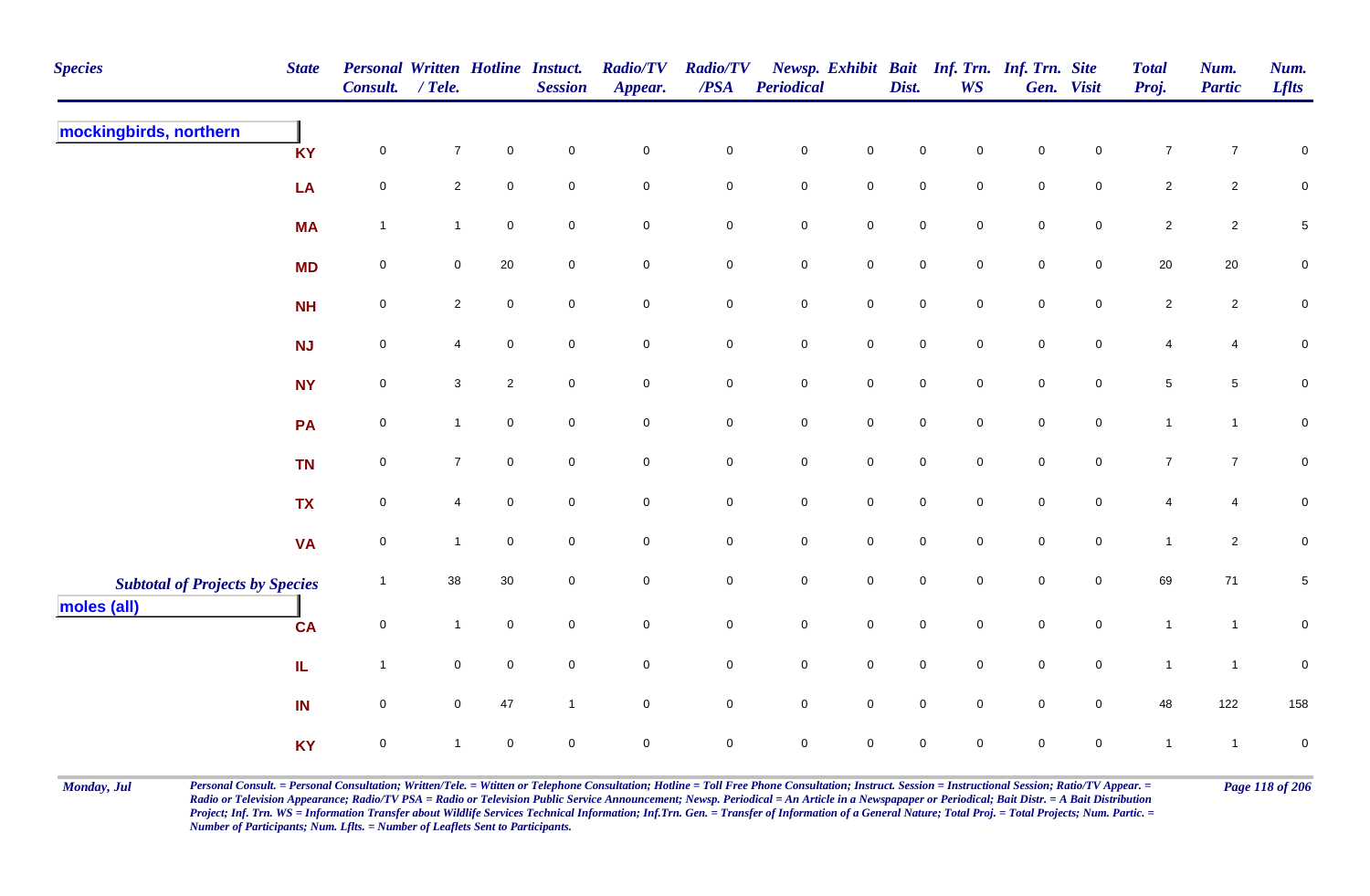| <b>Species</b>                         | <b>State</b>      | Personal Written Hotline Instuct.<br>Consult. | $/$ Tele.      |                     | <b>Session</b>      | <b>Radio/TV</b><br>Appear. | <b>Radio/TV</b><br>/PSA | <b>Periodical</b>   |                     | Dist.               | <b>WS</b>           | Newsp. Exhibit Bait Inf. Trn. Inf. Trn. Site | Gen. Visit          | <b>Total</b><br>Proj. | Num.<br><b>Partic</b> | Num.<br><b>Lflts</b> |
|----------------------------------------|-------------------|-----------------------------------------------|----------------|---------------------|---------------------|----------------------------|-------------------------|---------------------|---------------------|---------------------|---------------------|----------------------------------------------|---------------------|-----------------------|-----------------------|----------------------|
| mockingbirds, northern                 | <b>KY</b>         | $\mathsf{O}\xspace$                           | $\overline{7}$ | $\pmb{0}$           | $\mathbf 0$         | $\mathbf 0$                | $\pmb{0}$               | $\pmb{0}$           | $\mathbf 0$         | $\pmb{0}$           | $\mathsf 0$         | $\pmb{0}$                                    | $\mathbf 0$         | $\boldsymbol{7}$      | $\overline{7}$        | $\pmb{0}$            |
|                                        | LA                | $\mathbf 0$                                   | $\mathbf{2}$   | $\pmb{0}$           | $\mathbf 0$         | $\mathbf 0$                | $\mathbf 0$             | $\mathbf 0$         | $\mathbf 0$         | $\mathsf{O}\xspace$ | $\mathbf 0$         | $\mathbf 0$                                  | $\mathsf{O}\xspace$ | $\overline{2}$        | $\overline{2}$        | $\pmb{0}$            |
|                                        | <b>MA</b>         | $\overline{1}$                                | $\mathbf{1}$   | $\mathsf{O}\xspace$ | $\pmb{0}$           | $\mathbf 0$                | $\mathbf 0$             | $\pmb{0}$           | $\mathbf 0$         | $\mathbf 0$         | $\mathbf 0$         | $\mathbf 0$                                  | $\mathsf{O}$        | $\overline{2}$        | $\overline{2}$        | $\,$ 5 $\,$          |
|                                        | <b>MD</b>         | $\mathbf 0$                                   | $\mathbf 0$    | $20\,$              | $\mathsf{O}\xspace$ | $\overline{0}$             | $\mathbf 0$             | $\mathbf 0$         | $\mathsf{O}$        | $\mathbf 0$         | $\overline{0}$      | $\mathbf 0$                                  | $\overline{0}$      | 20                    | 20                    | $\mathbf 0$          |
|                                        | <b>NH</b>         | $\mathbf 0$                                   | $\overline{2}$ | $\mathsf 0$         | $\mathbf 0$         | $\mathbf 0$                | 0                       | $\mathbf 0$         | $\mathsf{O}$        | $\mathbf 0$         | $\mathbf 0$         | $\mathbf 0$                                  | $\mathsf{O}$        | $\overline{2}$        | $\overline{2}$        | $\mathbf 0$          |
|                                        | <b>NJ</b>         | $\mathbf 0$                                   | $\overline{4}$ | $\mathbf 0$         | $\mathsf{O}\xspace$ | $\mathsf{O}$               | $\overline{0}$          | $\mathbf 0$         | $\mathsf 0$         | $\pmb{0}$           | $\mathsf{O}$        | $\mathbf 0$                                  | $\mathsf{O}$        | 4                     | $\overline{4}$        | ${\bf 0}$            |
|                                        | <b>NY</b>         | $\mathbf 0$                                   | $\mathbf{3}$   | $\overline{2}$      | $\mathsf{O}\xspace$ | $\mathbf 0$                | $\mathbf 0$             | $\mathbf 0$         | $\mathsf{O}\xspace$ | $\mathsf{O}\xspace$ | $\mathbf 0$         | $\mathbf 0$                                  | $\mathsf{O}\xspace$ | $\sqrt{5}$            | $5\phantom{.0}$       | $\pmb{0}$            |
|                                        | <b>PA</b>         | $\mathbf 0$                                   | $\mathbf{1}$   | $\mathsf{O}\xspace$ | $\mathbf 0$         | $\mathbf 0$                | $\mathsf{O}\xspace$     | $\mathsf{O}\xspace$ | $\mathsf 0$         | $\mathsf{O}\xspace$ | $\mathbf 0$         | $\mathsf{O}\xspace$                          | $\mathbf 0$         | $\mathbf{1}$          | $\mathbf{1}$          | $\pmb{0}$            |
|                                        | <b>TN</b>         | $\mathbf 0$                                   | $\overline{7}$ | $\overline{0}$      | $\mathsf{O}\xspace$ | $\overline{0}$             | $\mathbf 0$             | $\mathbf 0$         | $\mathsf{O}\xspace$ | $\mathsf{O}\xspace$ | $\mathbf 0$         | $\mathbf 0$                                  | $\overline{0}$      | $\overline{7}$        | $\overline{7}$        | $\mathbf 0$          |
|                                        | <b>TX</b>         | 0                                             | 4              | $\mathbf 0$         | $\mathbf 0$         | $\overline{0}$             | $\mathbf 0$             | $\mathbf 0$         | $\overline{0}$      | $\mathbf 0$         | $\mathbf 0$         | $\mathbf 0$                                  | $\mathbf 0$         | 4                     | $\overline{4}$        | $\pmb{0}$            |
|                                        | <b>VA</b>         | $\mathsf{O}\xspace$                           | $\mathbf{1}$   | $\mathsf{O}\xspace$ | $\mathbf 0$         | $\mathsf 0$                | $\mathbf 0$             | $\pmb{0}$           | $\mathsf{O}\xspace$ | $\pmb{0}$           | $\mathsf{O}\xspace$ | $\mathsf{O}\xspace$                          | $\mathbf 0$         | $\mathbf{1}$          | $\sqrt{2}$            | $\pmb{0}$            |
| <b>Subtotal of Projects by Species</b> |                   | $\overline{1}$                                | 38             | 30                  | $\mathbf 0$         | ${\bf 0}$                  | $\pmb{0}$               | $\pmb{0}$           | $\mathbf 0$         | $\mathsf{O}\xspace$ | $\mathsf{O}\xspace$ | $\mathsf{O}\xspace$                          | $\mathbf 0$         | 69                    | 71                    | $\,$ 5 $\,$          |
| moles (all)                            | <b>CA</b>         | $\mathbf 0$                                   | $\mathbf{1}$   | $\mathbf 0$         | $\mathbf 0$         | $\mathbf 0$                | $\mathbf 0$             | $\mathbf 0$         | $\mathsf{O}\xspace$ | $\mathsf{O}\xspace$ | $\mathbf 0$         | $\mathbf 0$                                  | $\mathsf{O}\xspace$ | $\mathbf{1}$          | $\mathbf{1}$          | $\pmb{0}$            |
|                                        | ${\bf I} {\bf L}$ | $\overline{1}$                                | $\mathbf 0$    | $\pmb{0}$           | $\pmb{0}$           | $\mathbf 0$                | $\mathbf 0$             | $\mathbf 0$         | $\mathsf 0$         | $\mathbf 0$         | $\mathbf 0$         | $\mathbf 0$                                  | $\mathsf{O}\xspace$ | $\mathbf{1}$          | $\mathbf{1}$          | $\pmb{0}$            |
|                                        | IN                | $\mathbf 0$                                   | $\mathbf 0$    | 47                  | $\mathbf{1}$        | $\mathbf 0$                | $\mathsf{O}\xspace$     | $\mathsf{O}\xspace$ | $\mathsf 0$         | $\mathsf{O}\xspace$ | $\overline{0}$      | $\mathsf{O}\xspace$                          | $\overline{0}$      | 48                    | 122                   | 158                  |
|                                        | <b>KY</b>         | $\mathbf 0$                                   | $\mathbf{1}$   | $\mathsf 0$         | $\mathbf 0$         | $\mathsf{O}\xspace$        | $\mathbf 0$             | $\mathbf 0$         | $\mathsf{O}\xspace$ | $\mathbf 0$         | $\mathbf 0$         | $\mathbf 0$                                  | $\overline{0}$      | $\mathbf{1}$          | $\overline{1}$        | $\mathbf 0$          |

Monday, Jul Personal Consult. = Personal Consultation; Written/Tele. = Witten or Telephone Consultation; Hotline = Toll Free Phone Consultation; Instruct. Session = Instructional Session; Ratio/TV Appear. = Page 118 of 206 *Radio or Television Appearance; Radio/TV PSA = Radio or Television Public Service Announcement; Newsp. Periodical = An Article in a Newspapaper or Periodical; Bait Distr. = A Bait Distribution*  Project; Inf. Trn. WS = Information Transfer about Wildlife Services Technical Information; Inf.Trn. Gen. = Transfer of Information of a General Nature; Total Proj. = Total Projects; Num. Partic. = *Number of Participants; Num. Lflts. = Number of Leaflets Sent to Participants.*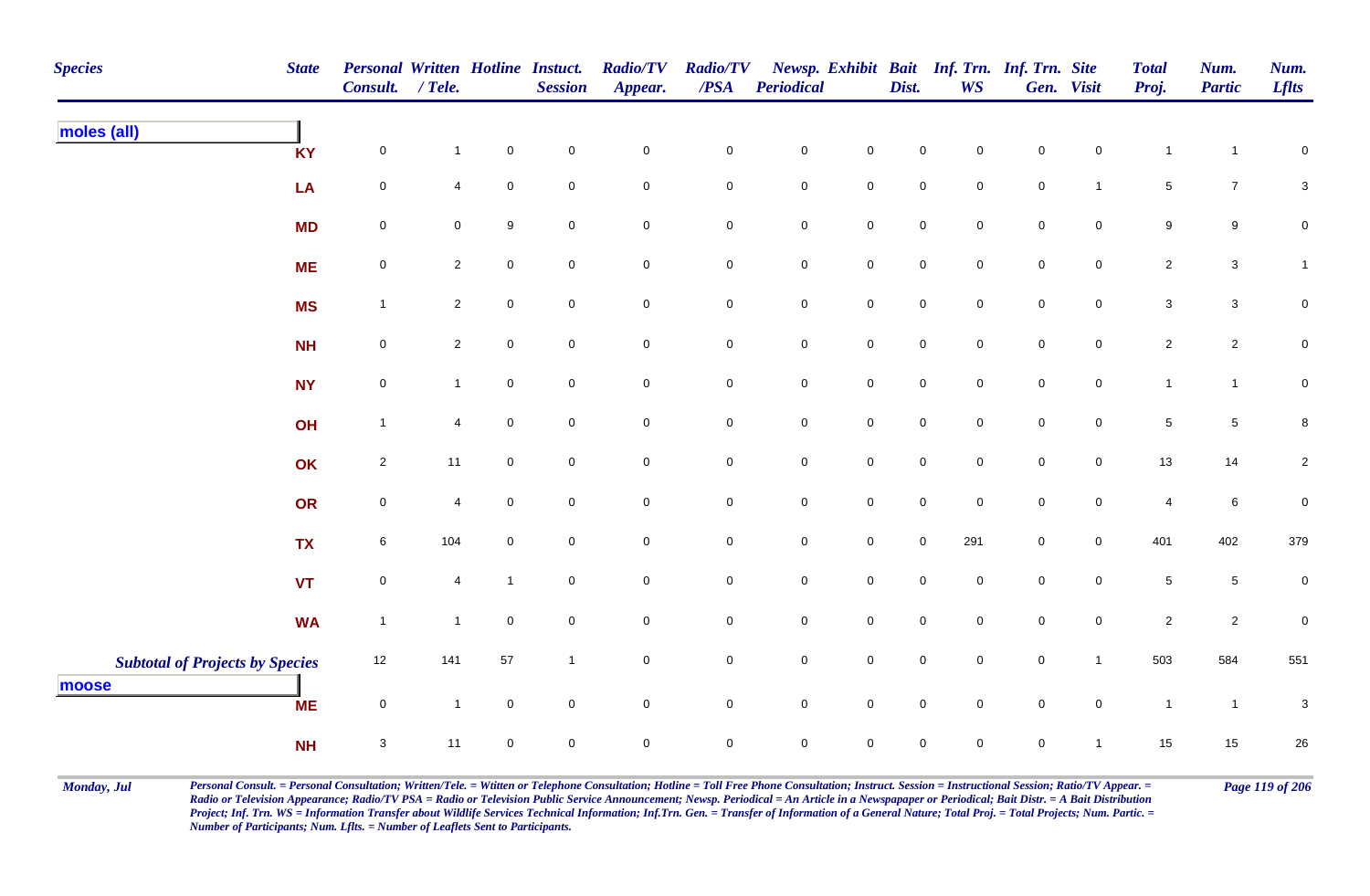| <b>Species</b>                         | <b>State</b> | Personal Written Hotline Instuct.<br>Consult. | $/$ Tele.      |                     | <b>Session</b>      | <b>Radio/TV</b><br>Appear. | <b>Radio/TV</b><br>$\overline{PSA}$ | <b>Periodical</b>   |                     | Dist.               | <b>WS</b>           | Newsp. Exhibit Bait Inf. Trn. Inf. Trn. Site | Gen. Visit          | <b>Total</b><br>Proj.     | Num.<br><b>Partic</b> | Num.<br><b>Lflts</b>      |
|----------------------------------------|--------------|-----------------------------------------------|----------------|---------------------|---------------------|----------------------------|-------------------------------------|---------------------|---------------------|---------------------|---------------------|----------------------------------------------|---------------------|---------------------------|-----------------------|---------------------------|
| moles (all)                            | <b>KY</b>    | $\pmb{0}$                                     | $\mathbf{1}$   | $\mathsf 0$         | $\mathbf 0$         | ${\bf 0}$                  | $\pmb{0}$                           | $\pmb{0}$           | $\pmb{0}$           | $\pmb{0}$           | $\mathbf 0$         | $\mathbf 0$                                  | $\mathbf 0$         | $\mathbf{1}$              | $\mathbf 1$           | $\mathbf 0$               |
|                                        | LA           | 0                                             | 4              | $\mathsf 0$         | $\mathbf 0$         | $\mathbf 0$                | $\pmb{0}$                           | ${\bf 0}$           | $\mathbf 0$         | $\mathbf 0$         | $\mathbf 0$         | $\mathbf 0$                                  | $\overline{1}$      | $\,$ 5 $\,$               | $\overline{7}$        | $\ensuremath{\mathsf{3}}$ |
|                                        | <b>MD</b>    | $\pmb{0}$                                     | 0              | $\boldsymbol{9}$    | $\mathbf 0$         | $\mathbf 0$                | $\pmb{0}$                           | $\pmb{0}$           | $\mathbf 0$         | $\mathbf 0$         | $\mathbf 0$         | $\mathbf 0$                                  | $\mathbf 0$         | $\boldsymbol{9}$          | $\boldsymbol{9}$      | $\pmb{0}$                 |
|                                        | <b>ME</b>    | $\pmb{0}$                                     | $\overline{2}$ | $\mathbf 0$         | $\overline{0}$      | $\overline{0}$             | $\mathbf 0$                         | $\mathbf 0$         | $\mathbf 0$         | $\mathsf{O}\xspace$ | $\mathbf 0$         | $\mathbf 0$                                  | $\mathsf{O}$        | $\overline{c}$            | $\mathbf{3}$          | $\mathbf{1}$              |
|                                        | <b>MS</b>    | $\mathbf{1}$                                  | $\overline{2}$ | $\pmb{0}$           | $\mathsf{O}\xspace$ | $\mathbf 0$                | $\mathbf 0$                         | $\mathsf{O}\xspace$ | $\mathsf{O}\xspace$ | $\mathsf{O}\xspace$ | $\overline{0}$      | $\mathbf 0$                                  | $\mathsf{O}\xspace$ | $\ensuremath{\mathsf{3}}$ | $\mathbf{3}$          | $\pmb{0}$                 |
|                                        | <b>NH</b>    | $\mathsf{O}\xspace$                           | $\overline{2}$ | $\mathsf 0$         | $\overline{0}$      | $\mathsf 0$                | $\mathbf 0$                         | $\mathbf 0$         | $\mathsf{O}\xspace$ | $\mathbf 0$         | $\mathbf 0$         | $\mathbf 0$                                  | $\mathsf{O}$        | $\overline{2}$            | $\overline{2}$        | $\mathbf 0$               |
|                                        | <b>NY</b>    | $\pmb{0}$                                     | $\mathbf{1}$   | $\mathbf 0$         | $\mathbf 0$         | $\mathbf 0$                | $\mathbf 0$                         | $\mathbf 0$         | $\mathbf 0$         | $\pmb{0}$           | $\mathbf 0$         | $\mathbf 0$                                  | $\mathsf{O}$        | $\mathbf{1}$              | $\mathbf{1}$          | $\pmb{0}$                 |
|                                        | OH           | $\mathbf{1}$                                  | $\overline{4}$ | $\mathbf 0$         | $\overline{0}$      | $\mathsf 0$                | $\mathbf 0$                         | $\mathbf 0$         | $\mathsf 0$         | $\mathsf{O}\xspace$ | $\overline{0}$      | $\mathsf{O}\xspace$                          | $\mathbf 0$         | $\,$ 5 $\,$               | $5\overline{)}$       | 8                         |
|                                        | OK           | $\overline{2}$                                | 11             | $\mathbf 0$         | $\overline{0}$      | $\mathsf{O}\xspace$        | $\mathsf 0$                         | $\mathbf 0$         | $\mathbf 0$         | 0                   | $\mathbf 0$         | $\mathbf 0$                                  | $\overline{0}$      | 13                        | 14                    | $\overline{\mathbf{c}}$   |
|                                        | OR           | $\pmb{0}$                                     | 4              | $\mathbf 0$         | $\mathbf 0$         | $\mathbf 0$                | $\mathbf 0$                         | $\mathbf 0$         | $\mathbf 0$         | $\mathbf 0$         | $\mathbf 0$         | $\mathbf 0$                                  | $\mathbf 0$         | $\overline{4}$            | $\bf 6$               | $\pmb{0}$                 |
|                                        | <b>TX</b>    | 6                                             | 104            | $\mathbf 0$         | $\overline{0}$      | $\mathbf 0$                | $\pmb{0}$                           | $\mathbf 0$         | $\mathsf{O}\xspace$ | $\mathsf{O}\xspace$ | 291                 | $\mathbf 0$                                  | $\overline{0}$      | 401                       | 402                   | 379                       |
|                                        | <b>VT</b>    | $\pmb{0}$                                     | 4              | $\mathbf{1}$        | $\mathsf{O}\xspace$ | $\mathsf{O}\xspace$        | $\pmb{0}$                           | $\pmb{0}$           | $\mathbf 0$         | $\mathbf 0$         | $\mathsf{O}\xspace$ | $\mathbf 0$                                  | $\mathsf{O}\xspace$ | $\,$ 5 $\,$               | $5\phantom{.0}$       | $\pmb{0}$                 |
|                                        | <b>WA</b>    | $\overline{1}$                                | $\mathbf{1}$   | $\mathsf 0$         | $\overline{0}$      | $\mathsf{O}$               | $\mathbf 0$                         | $\mathbf 0$         | $\mathsf{O}\xspace$ | $\mathbf 0$         | $\overline{0}$      | $\mathbf 0$                                  | $\mathsf{O}$        | $\overline{c}$            | $\overline{2}$        | $\mathbf 0$               |
| <b>Subtotal of Projects by Species</b> |              | 12                                            | 141            | 57                  | $\overline{1}$      | $\mathbf 0$                | $\pmb{0}$                           | $\mathbf 0$         | $\mathsf 0$         | $\mathbf 0$         | $\mathbf 0$         | $\mathbf 0$                                  | $\mathbf{1}$        | 503                       | 584                   | 551                       |
| moose                                  | <b>ME</b>    | $\pmb{0}$                                     | $\mathbf{1}$   | $\mathsf{O}\xspace$ | $\mathsf{O}\xspace$ | $\mathsf 0$                | $\mathbf 0$                         | $\pmb{0}$           | $\mathsf 0$         | $\pmb{0}$           | $\overline{0}$      | $\pmb{0}$                                    | $\mathsf 0$         | $\mathbf{1}$              | $\overline{1}$        | $\sqrt{3}$                |
|                                        | <b>NH</b>    | $\ensuremath{\mathsf{3}}$                     | 11             | $\mathbf 0$         | $\mathbf 0$         | $\pmb{0}$                  | $\mathsf 0$                         | 0                   | $\pmb{0}$           | 0                   | $\mathbf 0$         | $\mathbf 0$                                  | $\overline{1}$      | 15                        | 15                    | $26\,$                    |

Monday, Jul Personal Consult. = Personal Consultation; Written/Tele. = Witten or Telephone Consultation; Hotline = Toll Free Phone Consultation; Instruct. Session = Instructional Session; Ratio/TV Appear. = Page 119 of 206 *Radio or Television Appearance; Radio/TV PSA = Radio or Television Public Service Announcement; Newsp. Periodical = An Article in a Newspapaper or Periodical; Bait Distr. = A Bait Distribution*  Project; Inf. Trn. WS = Information Transfer about Wildlife Services Technical Information; Inf.Trn. Gen. = Transfer of Information of a General Nature; Total Proj. = Total Projects; Num. Partic. = *Number of Participants; Num. Lflts. = Number of Leaflets Sent to Participants.*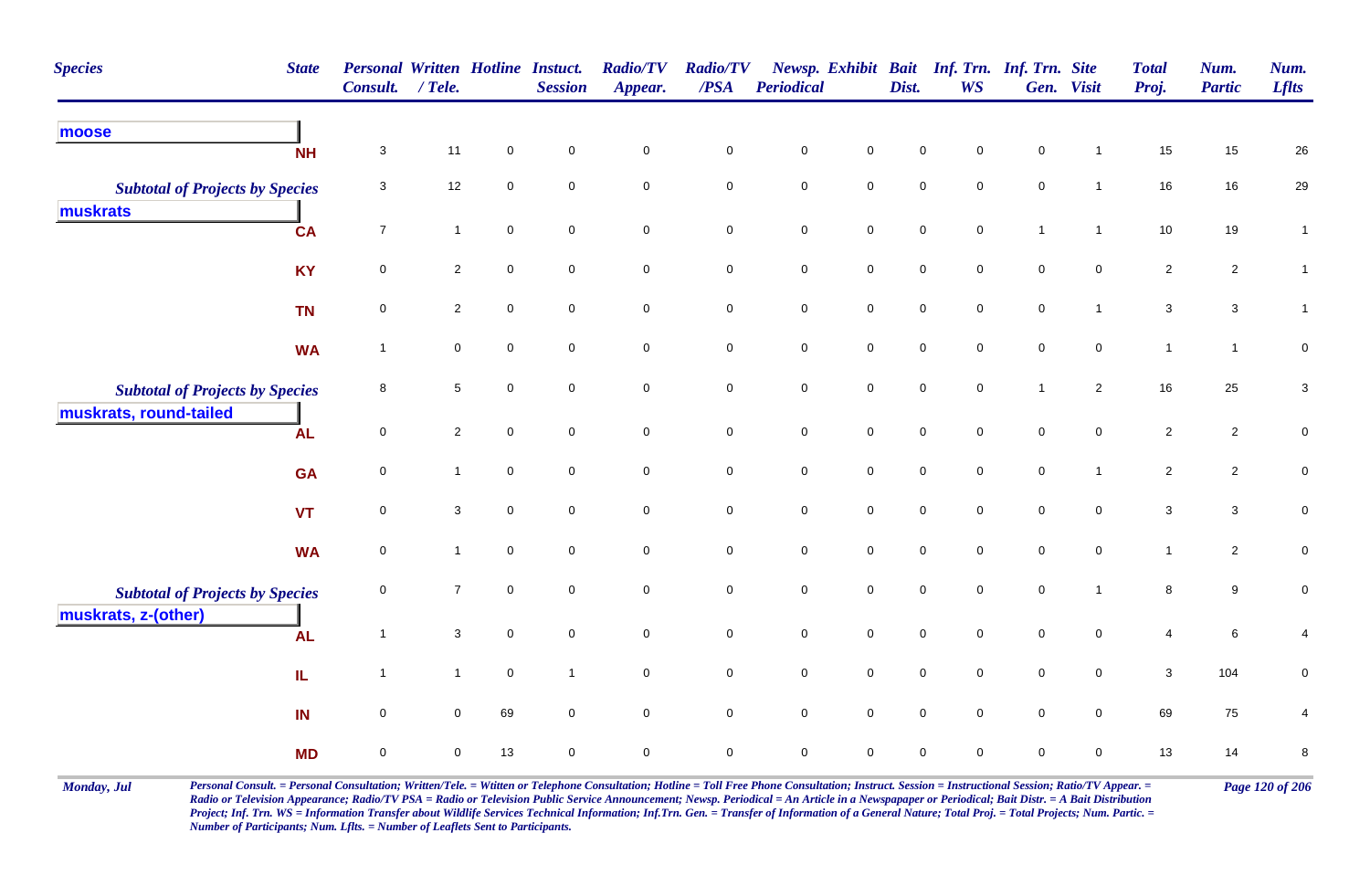| <b>Species</b>                                     | <b>State</b> | Personal Written Hotline Instuct.<br><b>Consult.</b> | $/$ Tele.      |                     | <b>Session</b> | <b>Radio/TV</b><br>Appear. | <b>Radio/TV</b><br>$\overline{PSA}$ | Periodical          |                     | Dist.               | <b>WS</b>           | Newsp. Exhibit Bait Inf. Trn. Inf. Trn. Site | Gen. Visit          | <b>Total</b><br>Proj. | Num.<br><b>Partic</b> | Num.<br><b>Lflts</b>      |
|----------------------------------------------------|--------------|------------------------------------------------------|----------------|---------------------|----------------|----------------------------|-------------------------------------|---------------------|---------------------|---------------------|---------------------|----------------------------------------------|---------------------|-----------------------|-----------------------|---------------------------|
| moose                                              | <b>NH</b>    | $\mathbf{3}$                                         | 11             | $\mathbf 0$         | $\mathbf 0$    | $\mathbf 0$                | $\mathbf 0$                         | $\mathbf 0$         | $\mathsf{O}\xspace$ | $\mathbf 0$         | $\mathbf 0$         | $\pmb{0}$                                    |                     | 15                    | 15                    | 26                        |
| <b>Subtotal of Projects by Species</b><br>muskrats |              | 3                                                    | 12             | $\mathbf 0$         | $\mathsf 0$    | $\mathsf{O}\xspace$        | $\mathbf 0$                         | $\mathbf 0$         | $\mathsf{O}\xspace$ | $\mathsf 0$         | $\mathsf{O}\xspace$ | $\mathsf{O}\xspace$                          | $\overline{1}$      | 16                    | 16                    | 29                        |
|                                                    | <b>CA</b>    | $\overline{7}$                                       | $\mathbf{1}$   | $\mathsf{O}\xspace$ | $\pmb{0}$      | $\mathbf 0$                | $\mathbf 0$                         | $\mathbf 0$         | $\mathsf{O}\xspace$ | $\mathsf 0$         | $\mathbf 0$         | $\mathbf{1}$                                 | $\overline{1}$      | $10$                  | 19                    | $\mathbf{1}$              |
|                                                    | <b>KY</b>    | $\mathbf 0$                                          | $\overline{2}$ | $\mathbf 0$         | $\mathbf 0$    | $\mathbf 0$                | $\mathbf 0$                         | $\pmb{0}$           | $\mathbf 0$         | $\pmb{0}$           | $\mathbf 0$         | $\pmb{0}$                                    | $\mathbf 0$         | $\sqrt{2}$            | $\mathbf{2}$          | $\mathbf{1}$              |
|                                                    | <b>TN</b>    | $\mathbf 0$                                          | $\overline{c}$ | $\mathsf 0$         | $\mathsf 0$    | $\mathbf 0$                | $\mathbf 0$                         | $\mathbf 0$         | $\mathsf{O}\xspace$ | $\mathsf 0$         | $\mathsf{O}\xspace$ | $\mathsf{O}\xspace$                          | $\mathbf{1}$        | $\mathbf{3}$          | $\mathbf{3}$          | $\mathbf{1}$              |
|                                                    | <b>WA</b>    | $\overline{1}$                                       | 0              | $\mathbf 0$         | $\mathbf 0$    | $\mathbf 0$                | $\mathbf 0$                         | $\pmb{0}$           | $\mathbf 0$         | $\mathbf 0$         | $\mathbf 0$         | $\mathbf 0$                                  | $\mathbf 0$         | $\mathbf{1}$          | $\mathbf{1}$          | $\mathbf 0$               |
| <b>Subtotal of Projects by Species</b>             |              | 8                                                    | $\sqrt{5}$     | $\mathsf{O}\xspace$ | $\mathbf 0$    | $\mathsf{O}\xspace$        | $\mathbf 0$                         | $\mathbf 0$         | $\mathbf 0$         | $\mathsf 0$         | $\mathsf{O}\xspace$ | $\mathbf{1}$                                 | $\overline{2}$      | 16                    | 25                    | $\ensuremath{\mathsf{3}}$ |
| muskrats, round-tailed                             | <b>AL</b>    | 0                                                    | $\overline{2}$ | $\mathsf{O}\xspace$ | $\mathbf 0$    | $\mathsf{O}\xspace$        | $\mathbf 0$                         | $\mathbf 0$         | $\mathbf 0$         | $\mathsf 0$         | $\mathsf{O}\xspace$ | $\mathsf{O}\xspace$                          | $\mathbf 0$         | $\overline{2}$        | $\overline{2}$        | 0                         |
|                                                    | <b>GA</b>    | 0                                                    | $\mathbf{1}$   | $\mathbf 0$         | $\mathbf 0$    | $\mathbf 0$                | $\mathbf 0$                         | $\pmb{0}$           | $\mathbf 0$         | $\mathbf 0$         | $\mathbf 0$         | $\mathbf 0$                                  | $\mathbf{1}$        | $\sqrt{2}$            | $\mathbf{2}$          | ${\bf 0}$                 |
|                                                    | <b>VT</b>    | $\mathbf 0$                                          | $\sqrt{3}$     | $\mathbf 0$         | $\mathbf 0$    | $\mathsf{O}\xspace$        | $\mathsf{O}\xspace$                 | $\mathbf 0$         | $\mathsf{O}\xspace$ | $\mathsf{O}\xspace$ | $\mathbf 0$         | $\pmb{0}$                                    | $\mathsf{O}\xspace$ | $\mathbf{3}$          | $\mathbf{3}$          | $\pmb{0}$                 |
|                                                    | <b>WA</b>    | $\mathbf 0$                                          | $\mathbf{1}$   | $\mathbf 0$         | $\mathbf 0$    | $\mathbf 0$                | $\mathbf 0$                         | $\pmb{0}$           | $\mathsf{O}\xspace$ | $\mathbf 0$         | $\mathbf 0$         | $\pmb{0}$                                    | $\mathbf 0$         | $\mathbf{1}$          | $\overline{c}$        | ${\bf 0}$                 |
| <b>Subtotal of Projects by Species</b>             |              | 0                                                    | $\overline{7}$ | $\mathbf 0$         | $\mathbf 0$    | $\mathbf 0$                | $\pmb{0}$                           | $\mathbf 0$         | $\mathsf{O}\xspace$ | $\mathsf{O}\xspace$ | $\mathsf{O}\xspace$ | $\pmb{0}$                                    | $\overline{1}$      | $\bf8$                | $9\,$                 | $\pmb{0}$                 |
| muskrats, z-(other)                                | <b>AL</b>    | $\overline{1}$                                       | 3              | $\mathbf 0$         | $\mathbf 0$    | $\mathbf 0$                | $\mathbf 0$                         | $\pmb{0}$           | $\overline{0}$      | $\mathbf 0$         | $\mathbf 0$         | $\mathbf 0$                                  | $\overline{0}$      | 4                     | 6                     | 4                         |
|                                                    | IL           | $\overline{1}$                                       | $\mathbf{1}$   | $\mathbf 0$         | $\overline{1}$ | $\mathbf 0$                | $\mathbf 0$                         | $\mathbf 0$         | $\mathbf 0$         | $\mathsf{O}\xspace$ | $\mathbf 0$         | $\mathbf 0$                                  | $\mathbf 0$         | $\mathbf{3}$          | 104                   | 0                         |
|                                                    | IN           | $\mathbf 0$                                          | $\mathbf 0$    | 69                  | $\mathbf 0$    | $\mathbf 0$                | $\mathbf 0$                         | $\mathsf{O}\xspace$ | $\mathsf{O}\xspace$ | $\mathbf 0$         | $\mathbf 0$         | $\pmb{0}$                                    | $\overline{0}$      | 69                    | ${\bf 75}$            | 4                         |
|                                                    | <b>MD</b>    | $\mathbf 0$                                          | $\pmb{0}$      | 13                  | $\mathsf 0$    | 0                          | $\pmb{0}$                           | $\mathsf{O}\xspace$ | $\mathbf 0$         | $\mathbf 0$         | $\mathsf 0$         | $\pmb{0}$                                    | $\mathbf 0$         | 13                    | 14                    | $\bf 8$                   |

Monday, Jul Personal Consult. = Personal Consultation; Written/Tele. = Witten or Telephone Consultation; Hotline = Toll Free Phone Consultation; Instruct. Session = Instructional Session; Ratio/TV Appear. = Page 120 of 206 *Radio or Television Appearance; Radio/TV PSA = Radio or Television Public Service Announcement; Newsp. Periodical = An Article in a Newspapaper or Periodical; Bait Distr. = A Bait Distribution*  Project; Inf. Trn. WS = Information Transfer about Wildlife Services Technical Information; Inf.Trn. Gen. = Transfer of Information of a General Nature; Total Proj. = Total Projects; Num. Partic. = *Number of Participants; Num. Lflts. = Number of Leaflets Sent to Participants.*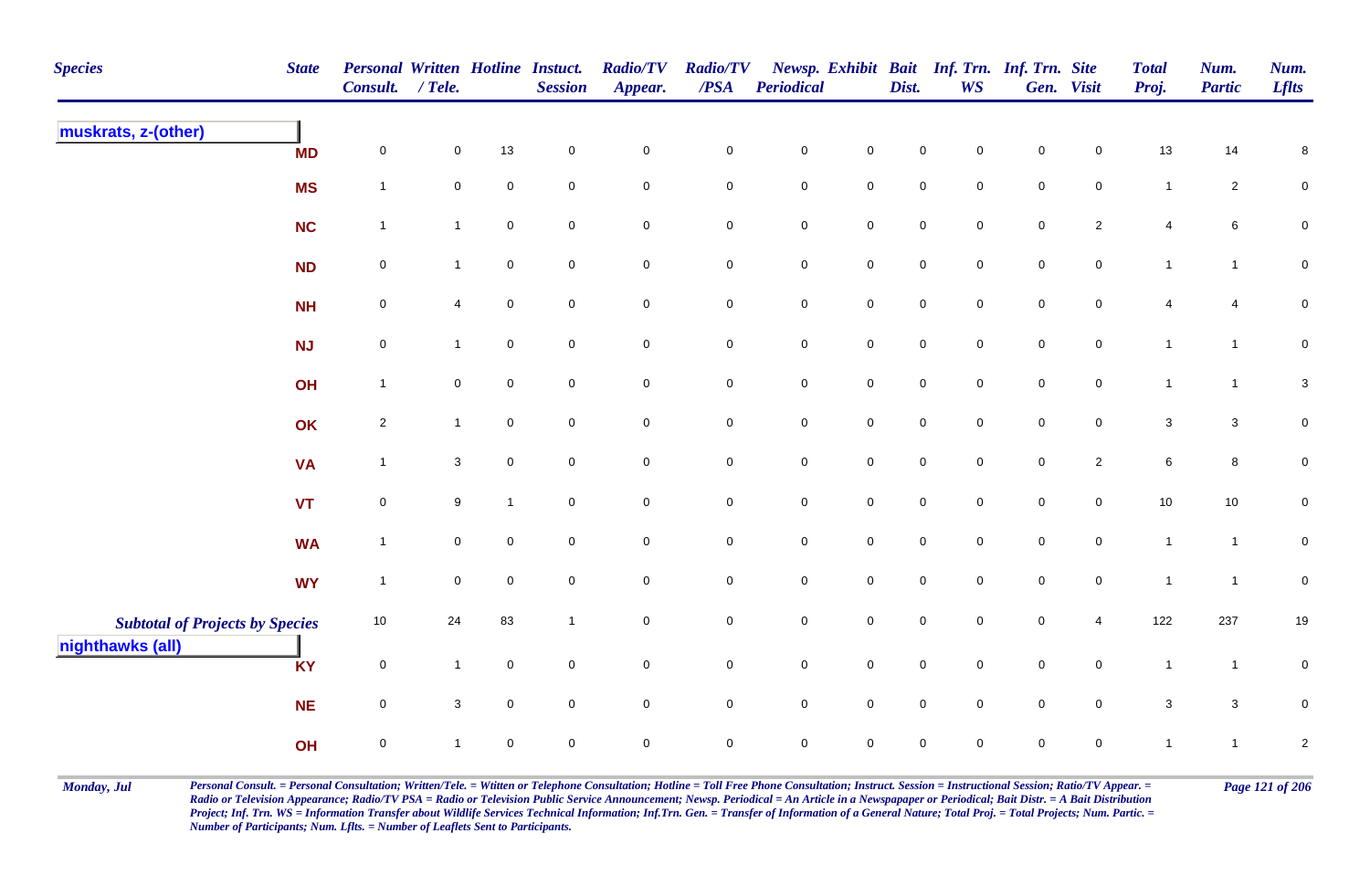| <b>Species</b>                         | <b>State</b> | Personal Written Hotline Instuct.<br>Consult. | $/$ Tele.    |              | <b>Session</b>      | <b>Radio/TV</b><br>Appear. | <b>Radio/TV</b><br>/PSA | <b>Periodical</b>   |                     | Dist.               | <b>WS</b>           | Newsp. Exhibit Bait Inf. Trn. Inf. Trn. Site | Gen. Visit          | <b>Total</b><br>Proj. | Num.<br>Partic  | Num.<br><b>Lflts</b>      |
|----------------------------------------|--------------|-----------------------------------------------|--------------|--------------|---------------------|----------------------------|-------------------------|---------------------|---------------------|---------------------|---------------------|----------------------------------------------|---------------------|-----------------------|-----------------|---------------------------|
| muskrats, z-(other)                    | <b>MD</b>    | $\pmb{0}$                                     | $\pmb{0}$    | 13           | $\mathsf{O}\xspace$ | $\mathsf{O}\xspace$        | $\pmb{0}$               | $\pmb{0}$           | $\mathbf 0$         | $\mathbf 0$         | $\pmb{0}$           | $\mathbf 0$                                  | $\mathbf 0$         | 13                    | 14              | $\bf 8$                   |
|                                        | <b>MS</b>    | $\overline{1}$                                | $\mathbf 0$  | $\mathbf 0$  | $\mathsf{O}\xspace$ | $\mathsf{O}\xspace$        | $\mathbf 0$             | $\mathbf 0$         | $\mathsf{O}\xspace$ | $\mathbf 0$         | $\mathsf{O}\xspace$ | $\mathbf 0$                                  | $\mathbf 0$         | $\mathbf{1}$          | $\overline{2}$  | $\pmb{0}$                 |
|                                        | NC           | $\overline{1}$                                | $\mathbf{1}$ | $\pmb{0}$    | $\mathbf 0$         | $\mathsf{O}\xspace$        | $\pmb{0}$               | $\pmb{0}$           | $\mathsf{O}\xspace$ | $\mathbf 0$         | $\mathbf 0$         | $\mathbf 0$                                  | $\mathbf{2}$        | 4                     | $6\phantom{.}6$ | $\pmb{0}$                 |
|                                        | <b>ND</b>    | $\mathbf 0$                                   | $\mathbf{1}$ | $\pmb{0}$    | $\mathbf 0$         | $\mathsf{O}\xspace$        | $\mathbf 0$             | ${\bf 0}$           | $\mathbf 0$         | $\mathbf 0$         | $\mathbf 0$         | $\mathbf 0$                                  | $\mathbf 0$         | $\mathbf{1}$          | $\mathbf{1}$    | ${\bf 0}$                 |
|                                        | <b>NH</b>    | $\pmb{0}$                                     | 4            | $\mathbf 0$  | $\mathbf 0$         | $\mathbf 0$                | $\mathbf 0$             | $\mathbf 0$         | $\mathbf 0$         | $\mathbf 0$         | $\mathbf 0$         | $\mathbf 0$                                  | $\mathbf 0$         | 4                     | 4               | $\mathbf 0$               |
|                                        | <b>NJ</b>    | $\mathbf 0$                                   | $\mathbf{1}$ | $\mathbf 0$  | $\mathsf{O}\xspace$ | $\mathsf{O}\xspace$        | $\mathbf 0$             | $\mathbf 0$         | $\mathsf{O}\xspace$ | $\pmb{0}$           | $\mathsf{O}\xspace$ | $\pmb{0}$                                    | $\mathbf 0$         | $\mathbf{1}$          | $\mathbf{1}$    | $\mathbf 0$               |
|                                        | OH           | $\overline{1}$                                | $\pmb{0}$    | $\pmb{0}$    | $\mathsf{O}\xspace$ | $\mathsf{O}\xspace$        | $\mathbf 0$             | $\mathsf{O}\xspace$ | $\mathbf 0$         | $\mathbf 0$         | $\mathbf 0$         | $\mathbf 0$                                  | $\mathbf 0$         | $\mathbf{1}$          | $\mathbf{1}$    | $\ensuremath{\mathsf{3}}$ |
|                                        | OK           | $\overline{2}$                                | $\mathbf{1}$ | $\mathsf 0$  | $\mathbf 0$         | $\mathsf{O}\xspace$        | $\mathbf 0$             | $\mathbf 0$         | $\mathsf 0$         | $\mathsf{O}\xspace$ | $\mathbf 0$         | $\mathsf{O}\xspace$                          | $\mathbf 0$         | 3                     | $\mathbf{3}$    | $\pmb{0}$                 |
|                                        | <b>VA</b>    | $\overline{1}$                                | $\mathbf{3}$ | $\mathbf 0$  | $\mathbf 0$         | $\mathsf{O}\xspace$        | $\mathbf 0$             | $\mathbf 0$         | $\mathsf 0$         | $\mathsf{O}\xspace$ | $\mathbf 0$         | $\mathbf 0$                                  | $\overline{2}$      | 6                     | $\bf{8}$        | ${\bf 0}$                 |
|                                        | <b>VT</b>    | $\pmb{0}$                                     | 9            | $\mathbf{1}$ | $\mathsf{O}\xspace$ | $\mathbf 0$                | $\pmb{0}$               | $\mathbf 0$         | $\pmb{0}$           | $\mathsf{O}\xspace$ | $\mathbf 0$         | $\mathsf{O}\xspace$                          | $\overline{0}$      | $10\,$                | $10$            | $\mathbf 0$               |
|                                        | <b>WA</b>    | $\overline{1}$                                | $\mathbf 0$  | $\pmb{0}$    | $\mathsf{O}\xspace$ | $\mathsf{O}\xspace$        | $\mathsf{O}\xspace$     | $\mathbf 0$         | $\mathbf 0$         | $\mathsf{O}\xspace$ | $\mathbf 0$         | $\mathsf{O}\xspace$                          | $\mathsf{O}\xspace$ | $\mathbf{1}$          | $\mathbf{1}$    | $\pmb{0}$                 |
|                                        | <b>WY</b>    | $\overline{1}$                                | $\mathbf 0$  | $\mathbf 0$  | $\mathbf 0$         | $\mathsf{O}\xspace$        | $\mathbf 0$             | $\mathbf 0$         | $\mathsf{O}\xspace$ | $\mathsf{O}\xspace$ | $\mathsf{O}\xspace$ | $\mathsf{O}\xspace$                          | $\overline{0}$      | $\mathbf{1}$          | $\mathbf{1}$    | $\pmb{0}$                 |
| <b>Subtotal of Projects by Species</b> |              | $10$                                          | 24           | 83           | $\overline{1}$      | $\mathsf{O}\xspace$        | $\pmb{0}$               | $\pmb{0}$           | $\mathsf{O}\xspace$ | $\mathbf 0$         | $\mathbf 0$         | $\pmb{0}$                                    | 4                   | 122                   | 237             | 19                        |
| nighthawks (all)                       | <b>KY</b>    | $\pmb{0}$                                     | $\mathbf{1}$ | $\mathbf 0$  | $\mathbf 0$         | $\mathsf{O}\xspace$        | $\mathbf 0$             | $\pmb{0}$           | $\mathsf{O}\xspace$ | $\mathsf{O}\xspace$ | $\overline{0}$      | $\mathsf{O}\xspace$                          | $\mathbf 0$         | $\mathbf{1}$          | $\mathbf{1}$    | $\pmb{0}$                 |
|                                        | <b>NE</b>    | $\pmb{0}$                                     | $\mathbf{3}$ | $\mathbf 0$  | $\mathsf{O}\xspace$ | $\mathsf{O}\xspace$        | $\mathsf{O}\xspace$     | $\mathsf{O}\xspace$ | $\mathsf 0$         | $\mathsf{O}\xspace$ | $\mathbf 0$         | $\mathsf{O}\xspace$                          | $\mathsf{O}\xspace$ | $\mathbf{3}$          | $\mathbf{3}$    | $\pmb{0}$                 |
|                                        | OH           | $\pmb{0}$                                     | $\mathbf{1}$ | $\mathbf 0$  | $\mathbf 0$         | $\mathbf 0$                | $\mathbf 0$             | $\mathsf{O}\xspace$ | $\mathsf{O}\xspace$ | 0                   | $\mathbf 0$         | 0                                            | $\mathbf 0$         | $\mathbf{1}$          | $\mathbf{1}$    | $\boldsymbol{2}$          |

Monday, Jul Personal Consult. = Personal Consultation; Written/Tele. = Witten or Telephone Consultation; Hotline = Toll Free Phone Consultation; Instruct. Session = Instructional Session; Ratio/TV Appear. = Page 121 of 206 *Radio or Television Appearance; Radio/TV PSA = Radio or Television Public Service Announcement; Newsp. Periodical = An Article in a Newspapaper or Periodical; Bait Distr. = A Bait Distribution*  Project; Inf. Trn. WS = Information Transfer about Wildlife Services Technical Information; Inf.Trn. Gen. = Transfer of Information of a General Nature; Total Proj. = Total Projects; Num. Partic. = *Number of Participants; Num. Lflts. = Number of Leaflets Sent to Participants.*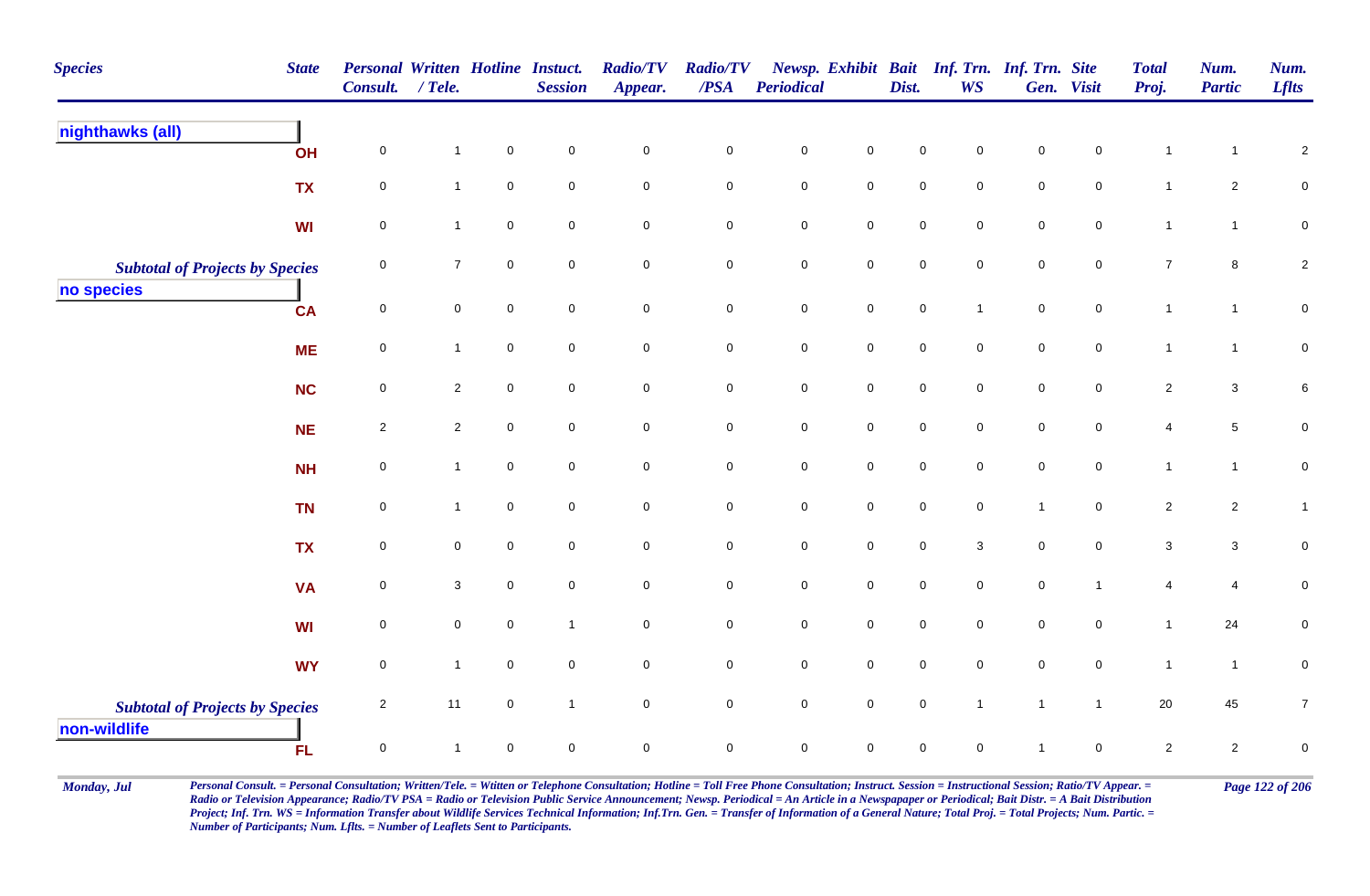| <b>Species</b>                                         | <b>State</b> | <b>Personal Written Hotline Instuct.</b><br>Consult. | $/$ Tele.        |             | <b>Session</b>      | <b>Radio/TV</b><br>Appear. | <b>Radio/TV</b><br>$\overline{PSA}$ | Periodical          |                     | Dist.               | <b>WS</b>           | Newsp. Exhibit Bait Inf. Trn. Inf. Trn. Site | Gen. Visit          | <b>Total</b><br>Proj. | Num.<br><b>Partic</b> | Num.<br><b>Lflts</b> |
|--------------------------------------------------------|--------------|------------------------------------------------------|------------------|-------------|---------------------|----------------------------|-------------------------------------|---------------------|---------------------|---------------------|---------------------|----------------------------------------------|---------------------|-----------------------|-----------------------|----------------------|
| nighthawks (all)                                       | OH           | $\pmb{0}$                                            | $\mathbf 1$      | $\pmb{0}$   | $\pmb{0}$           | $\pmb{0}$                  | $\pmb{0}$                           | $\pmb{0}$           | $\pmb{0}$           | 0                   | $\mathbf 0$         | $\mathbf 0$                                  | $\mathsf{O}\xspace$ |                       | $\mathbf{1}$          | $\overline{c}$       |
|                                                        | <b>TX</b>    | $\mathsf 0$                                          | $\mathbf{1}$     | $\mathbf 0$ | $\mathbf 0$         | $\mathsf{O}\xspace$        | $\mathsf{O}\xspace$                 | $\mathsf{O}\xspace$ | $\mathsf 0$         | $\mathbf 0$         | $\mathbf 0$         | $\mathsf{O}\xspace$                          | $\mathbf 0$         | $\mathbf{1}$          | $\overline{c}$        | $\pmb{0}$            |
|                                                        | <b>WI</b>    | $\mathbf 0$                                          | $\mathbf{1}$     | $\mathbf 0$ | $\mathsf{O}\xspace$ | $\mathsf{O}\xspace$        | $\mathbf 0$                         | $\mathbf 0$         | $\mathsf{O}\xspace$ | $\mathbf 0$         | $\mathsf{O}\xspace$ | $\mathbf 0$                                  | $\mathbf 0$         | $\mathbf{1}$          | $\mathbf{1}$          | ${\bf 0}$            |
| <b>Subtotal of Projects by Species</b>                 |              | 0                                                    | $\boldsymbol{7}$ | $\pmb{0}$   | $\mathbf 0$         | $\mathbf 0$                | $\pmb{0}$                           | $\pmb{0}$           | $\mathbf 0$         | $\mathsf{O}\xspace$ | $\mathbf 0$         | $\mathbf 0$                                  | $\mathsf{O}\xspace$ | $\boldsymbol{7}$      | $\bf{8}$              | $\sqrt{2}$           |
| no species                                             | <b>CA</b>    | $\mathbf 0$                                          | $\pmb{0}$        | $\mathbf 0$ | $\mathsf{O}\xspace$ | $\mathsf{O}\xspace$        | $\mathsf{O}\xspace$                 | $\mathsf{O}\xspace$ | $\mathsf 0$         | $\mathsf{O}\xspace$ | $\mathbf{1}$        | $\mathsf{O}\xspace$                          | $\overline{0}$      | $\mathbf{1}$          | $\mathbf{1}$          | $\mathbf 0$          |
|                                                        | <b>ME</b>    | $\mathbf 0$                                          | $\mathbf{1}$     | $\mathbf 0$ | $\overline{0}$      | $\mathsf{O}\xspace$        | $\mathbf 0$                         | $\mathbf 0$         | $\mathsf{O}\xspace$ | $\mathsf{O}\xspace$ | $\overline{0}$      | $\mathbf 0$                                  | $\mathbf 0$         | $\mathbf{1}$          | $\mathbf{1}$          | $\mathbf 0$          |
|                                                        | <b>NC</b>    | $\mathbf 0$                                          | $\overline{c}$   | $\mathbf 0$ | $\overline{0}$      | $\mathsf{O}\xspace$        | $\mathbf 0$                         | $\mathbf 0$         | $\mathsf{O}\xspace$ | $\mathsf{O}\xspace$ | $\mathbf 0$         | $\mathsf{O}\xspace$                          | $\overline{0}$      | $\overline{c}$        | $\mathbf{3}$          | $\,6$                |
|                                                        | <b>NE</b>    | $\sqrt{2}$                                           | $\overline{2}$   | $\mathbf 0$ | $\mathsf{O}\xspace$ | $\mathsf{O}\xspace$        | $\mathsf{O}\xspace$                 | $\pmb{0}$           | $\mathsf 0$         | $\mathbf 0$         | $\mathsf{O}\xspace$ | $\mathbf 0$                                  | $\mathsf{O}\xspace$ | $\overline{4}$        | $\sqrt{5}$            | $\pmb{0}$            |
|                                                        | <b>NH</b>    | $\pmb{0}$                                            | $\mathbf{1}$     | $\mathbf 0$ | $\mathsf{O}\xspace$ | $\mathsf{O}\xspace$        | $\mathsf{O}\xspace$                 | $\mathbf 0$         | $\mathsf 0$         | $\mathsf{O}\xspace$ | $\mathbf 0$         | $\mathbf 0$                                  | $\mathsf{O}\xspace$ | $\mathbf{1}$          | $\mathbf{1}$          | $\pmb{0}$            |
|                                                        | <b>TN</b>    | 0                                                    | $\mathbf{1}$     | $\mathbf 0$ | $\mathbf 0$         | $\mathbf 0$                | $\mathsf 0$                         | $\mathbf 0$         | $\mathbf 0$         | $\mathbf 0$         | $\mathbf 0$         | $\overline{1}$                               | $\mathbf 0$         | $\overline{2}$        | $\mathbf{2}$          | $\mathbf{1}$         |
|                                                        | <b>TX</b>    | $\mathbf 0$                                          | $\mathbf 0$      | $\mathbf 0$ | $\mathsf{O}\xspace$ | $\mathbf 0$                | $\mathsf{O}\xspace$                 | $\mathbf 0$         | $\mathbf 0$         | $\mathsf{O}\xspace$ | 3                   | $\mathsf{O}\xspace$                          | $\mathsf{O}\xspace$ | $\mathbf{3}$          | $\mathbf{3}$          | $\pmb{0}$            |
|                                                        | <b>VA</b>    | $\mathbf 0$                                          | $\mathbf{3}$     | $\mathbf 0$ | $\mathsf{O}\xspace$ | $\mathsf{O}\xspace$        | $\mathbf 0$                         | $\mathbf 0$         | $\mathbf 0$         | $\mathsf{O}\xspace$ | $\mathsf{O}\xspace$ | $\mathbf 0$                                  | $\overline{1}$      | 4                     | $\overline{4}$        | $\pmb{0}$            |
|                                                        | <b>WI</b>    | 0                                                    | $\pmb{0}$        | $\mathbf 0$ | $\overline{1}$      | $\mathsf{O}\xspace$        | $\pmb{0}$                           | $\mathbf 0$         | $\mathsf{O}\xspace$ | $\mathbf 0$         | $\mathbf 0$         | $\mathbf 0$                                  | $\mathbf 0$         | $\mathbf{1}$          | 24                    | $\pmb{0}$            |
|                                                        | <b>WY</b>    | $\pmb{0}$                                            | $\mathbf{1}$     | $\mathbf 0$ | $\mathbf 0$         | $\mathsf{O}\xspace$        | $\mathbf 0$                         | $\pmb{0}$           | $\mathbf 0$         | $\mathsf{O}\xspace$ | $\mathbf 0$         | $\mathsf{O}\xspace$                          | $\overline{0}$      | $\mathbf{1}$          | $\mathbf{1}$          | $\pmb{0}$            |
| <b>Subtotal of Projects by Species</b><br>non-wildlife |              | $\sqrt{2}$                                           | 11               | $\mathbf 0$ | $\overline{1}$      | $\mathsf{O}\xspace$        | $\mathbf 0$                         | $\mathsf{O}\xspace$ | $\mathsf{O}\xspace$ | $\mathbf 0$         | $\mathbf{1}$        | $\mathbf{1}$                                 | $\mathbf{1}$        | 20                    | 45                    | $\boldsymbol{7}$     |
|                                                        | <b>FL</b>    | $\pmb{0}$                                            | $\mathbf{1}$     | $\pmb{0}$   | $\mathsf 0$         | $\mathbf 0$                | $\mathsf 0$                         | $\mathbf 0$         | $\pmb{0}$           | $\mathsf{O}\xspace$ | $\mathbf 0$         | $\overline{1}$                               | $\mathbf 0$         | $\overline{2}$        | $\overline{2}$        | $\pmb{0}$            |

Monday, Jul Personal Consult. = Personal Consultation; Written/Tele. = Witten or Telephone Consultation; Hotline = Toll Free Phone Consultation; Instruct. Session = Instructional Session; Ratio/TV Appear. = Page 122 of 206 *Radio or Television Appearance; Radio/TV PSA = Radio or Television Public Service Announcement; Newsp. Periodical = An Article in a Newspapaper or Periodical; Bait Distr. = A Bait Distribution*  Project; Inf. Trn. WS = Information Transfer about Wildlife Services Technical Information; Inf.Trn. Gen. = Transfer of Information of a General Nature; Total Proj. = Total Projects; Num. Partic. = *Number of Participants; Num. Lflts. = Number of Leaflets Sent to Participants.*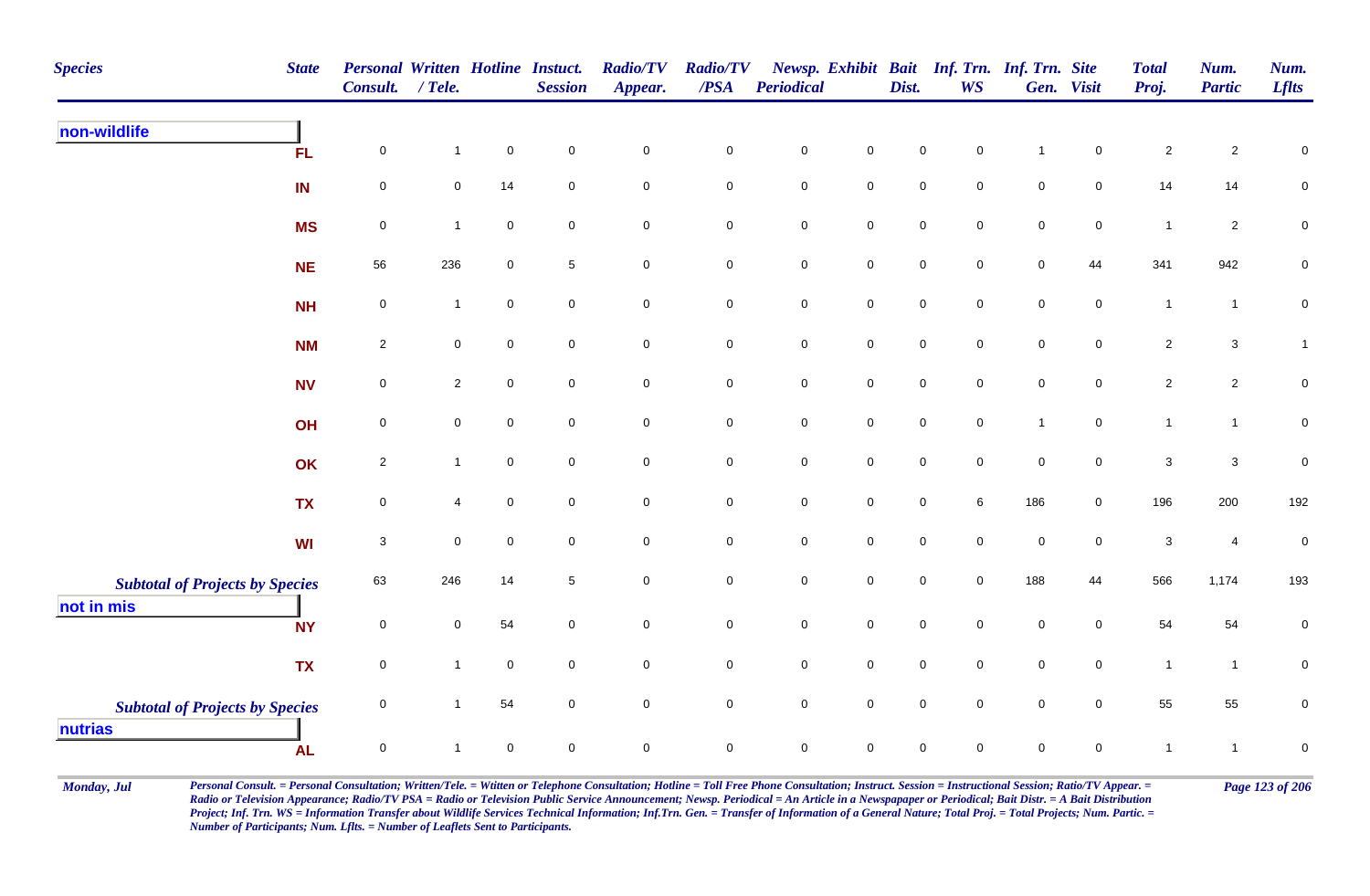| <b>Species</b>                                       | <b>State</b> | <b>Personal Written Hotline Instuct.</b><br>Consult. | $/$ Tele.      |             | <b>Session</b>      | <b>Radio/TV</b><br>Appear. | <b>Radio/TV</b><br>/PSA | <b>Periodical</b>   |                     | Dist.               | <b>WS</b>           | Newsp. Exhibit Bait Inf. Trn. Inf. Trn. Site | Gen. Visit          | <b>Total</b><br>Proj.     | Num.<br><b>Partic</b> | Num.<br><b>Lflts</b> |
|------------------------------------------------------|--------------|------------------------------------------------------|----------------|-------------|---------------------|----------------------------|-------------------------|---------------------|---------------------|---------------------|---------------------|----------------------------------------------|---------------------|---------------------------|-----------------------|----------------------|
| non-wildlife                                         | <b>FL</b>    | $\mathbf 0$                                          | $\mathbf{1}$   | $\mathbf 0$ | $\overline{0}$      | $\mathbf 0$                | $\pmb{0}$               | $\mathbf 0$         | $\mathbf 0$         | 0                   | $\mathbf 0$         | $\overline{1}$                               | $\mathbf 0$         | $\overline{c}$            | $\overline{2}$        | $\mathbf 0$          |
|                                                      | IN           | $\mathsf 0$                                          | 0              | 14          | $\overline{0}$      | $\mathbf 0$                | $\pmb{0}$               | $\mathbf 0$         | $\mathbf 0$         | $\mathsf{O}\xspace$ | $\mathbf 0$         | $\mathbf 0$                                  | $\mathbf 0$         | 14                        | 14                    | ${\bf 0}$            |
|                                                      | <b>MS</b>    | $\mathbf 0$                                          | $\overline{1}$ | $\mathbf 0$ | $\mathbf 0$         | $\mathbf 0$                | $\pmb{0}$               | ${\bf 0}$           | $\mathbf 0$         | $\pmb{0}$           | $\mathbf 0$         | $\mathbf 0$                                  | $\mathbf 0$         | $\mathbf{1}$              | $\overline{2}$        | ${\bf 0}$            |
|                                                      | <b>NE</b>    | 56                                                   | 236            | $\mathbf 0$ | $5\phantom{.0}$     | $\overline{0}$             | $\mathsf 0$             | $\mathbf 0$         | $\overline{0}$      | $\mathbf 0$         | $\mathbf 0$         | $\mathbf 0$                                  | 44                  | 341                       | 942                   | ${\bf 0}$            |
|                                                      | <b>NH</b>    | $\mathbf 0$                                          | $\mathbf{1}$   | $\mathbf 0$ | $\mathbf 0$         | $\mathbf 0$                | $\mathbf 0$             | $\mathbf 0$         | $\mathsf{O}\xspace$ | $\mathbf 0$         | $\mathbf 0$         | $\mathbf 0$                                  | $\mathbf 0$         | $\mathbf{1}$              | $\mathbf{1}$          | $\pmb{0}$            |
|                                                      | <b>NM</b>    | $\sqrt{2}$                                           | 0              | $\mathbf 0$ | $\mathbf 0$         | $\mathsf{O}\xspace$        | $\pmb{0}$               | $\pmb{0}$           | $\mathbf 0$         | $\mathsf{O}\xspace$ | $\mathsf{O}\xspace$ | $\mathsf{O}\xspace$                          | $\mathsf{O}\xspace$ | $\overline{2}$            | $\mathbf{3}$          | $\mathbf{1}$         |
|                                                      | <b>NV</b>    | $\pmb{0}$                                            | $\overline{2}$ | $\pmb{0}$   | $\mathbf 0$         | $\mathbf 0$                | $\mathbf 0$             | $\mathbf 0$         | $\mathbf 0$         | $\mathsf{O}\xspace$ | $\overline{0}$      | $\mathbf 0$                                  | $\mathbf 0$         | $\overline{2}$            | $\overline{2}$        | $\pmb{0}$            |
|                                                      | OH           | $\mathsf 0$                                          | 0              | $\mathbf 0$ | $\overline{0}$      | $\mathsf{O}\xspace$        | $\pmb{0}$               | $\mathsf{O}\xspace$ | $\mathbf 0$         | $\mathsf{O}\xspace$ | $\overline{0}$      | $\overline{1}$                               | $\overline{0}$      | $\mathbf{1}$              | $\mathbf{1}$          | $\pmb{0}$            |
|                                                      | OK           | $\sqrt{2}$                                           | $\mathbf{1}$   | $\mathbf 0$ | $\mathbf 0$         | $\mathbf 0$                | $\pmb{0}$               | $\mathbf 0$         | $\mathbf 0$         | $\mathsf{O}\xspace$ | $\overline{0}$      | $\mathsf{O}\xspace$                          | $\overline{0}$      | $\mathbf{3}$              | $\mathbf{3}$          | $\pmb{0}$            |
|                                                      | <b>TX</b>    | $\mathsf 0$                                          | 4              | $\mathbf 0$ | $\overline{0}$      | $\mathbf 0$                | $\mathbf 0$             | $\mathsf{O}\xspace$ | $\mathbf 0$         | $\mathsf{O}\xspace$ | 6                   | 186                                          | $\overline{0}$      | 196                       | 200                   | 192                  |
|                                                      | <b>WI</b>    | $\sqrt{3}$                                           | $\pmb{0}$      | $\pmb{0}$   | $\mathbf 0$         | $\mathbf 0$                | $\mathbf 0$             | $\mathbf 0$         | $\mathbf 0$         | $\mathbf 0$         | $\mathbf 0$         | $\mathsf{O}\xspace$                          | $\mathbf 0$         | $\ensuremath{\mathsf{3}}$ | $\overline{4}$        | $\pmb{0}$            |
| <b>Subtotal of Projects by Species</b><br>not in mis |              | 63                                                   | 246            | 14          | $\overline{5}$      | $\mathbf 0$                | $\pmb{0}$               | $\mathsf{O}\xspace$ | $\mathbf 0$         | $\mathbf 0$         | $\mathbf 0$         | 188                                          | 44                  | 566                       | 1,174                 | 193                  |
|                                                      | <b>NY</b>    | $\mathbf 0$                                          | $\mathsf{O}$   | 54          | $\mathsf{O}\xspace$ | $\mathsf{O}\xspace$        | $\mathsf 0$             | $\mathsf{O}\xspace$ | $\mathsf{O}\xspace$ | $\mathbf 0$         | $\mathbf 0$         | $\mathsf{O}\xspace$                          | $\mathbf 0$         | 54                        | 54                    | $\pmb{0}$            |
|                                                      | <b>TX</b>    | $\mathsf 0$                                          | $\overline{1}$ | $\mathbf 0$ | $\mathsf{O}\xspace$ | $\mathsf{O}\xspace$        | $\pmb{0}$               | $\mathbf 0$         | $\mathbf 0$         | $\mathbf 0$         | $\mathbf{0}$        | $\mathsf{O}\xspace$                          | $\mathsf{O}\xspace$ | $\mathbf{1}$              | $\mathbf{1}$          | ${\bf 0}$            |
| <b>Subtotal of Projects by Species</b>               |              | $\mathbf 0$                                          | $\overline{1}$ | 54          | $\mathbf 0$         | $\mathbf 0$                | $\pmb{0}$               | $\mathbf 0$         | $\mathsf{O}\xspace$ | $\mathbf 0$         | $\mathbf 0$         | $\mathbf 0$                                  | $\mathbf 0$         | 55                        | 55                    | $\pmb{0}$            |
| nutrias                                              | <b>AL</b>    | $\mathbf 0$                                          |                | $\mathbf 0$ | $\mathbf 0$         | $\mathbf 0$                | $\mathbf 0$             | $\mathbf 0$         | $\mathbf 0$         | 0                   | $\mathbf 0$         | 0                                            | $\mathbf 0$         | $\mathbf 1$               | $\mathbf{1}$          | $\mathbf 0$          |

Monday, Jul Personal Consult. = Personal Consultation; Written/Tele. = Witten or Telephone Consultation; Hotline = Toll Free Phone Consultation; Instruct. Session = Instructional Session; Ratio/TV Appear. = Page 123 of 206 *Radio or Television Appearance; Radio/TV PSA = Radio or Television Public Service Announcement; Newsp. Periodical = An Article in a Newspapaper or Periodical; Bait Distr. = A Bait Distribution*  Project; Inf. Trn. WS = Information Transfer about Wildlife Services Technical Information; Inf.Trn. Gen. = Transfer of Information of a General Nature; Total Proj. = Total Projects; Num. Partic. = *Number of Participants; Num. Lflts. = Number of Leaflets Sent to Participants.*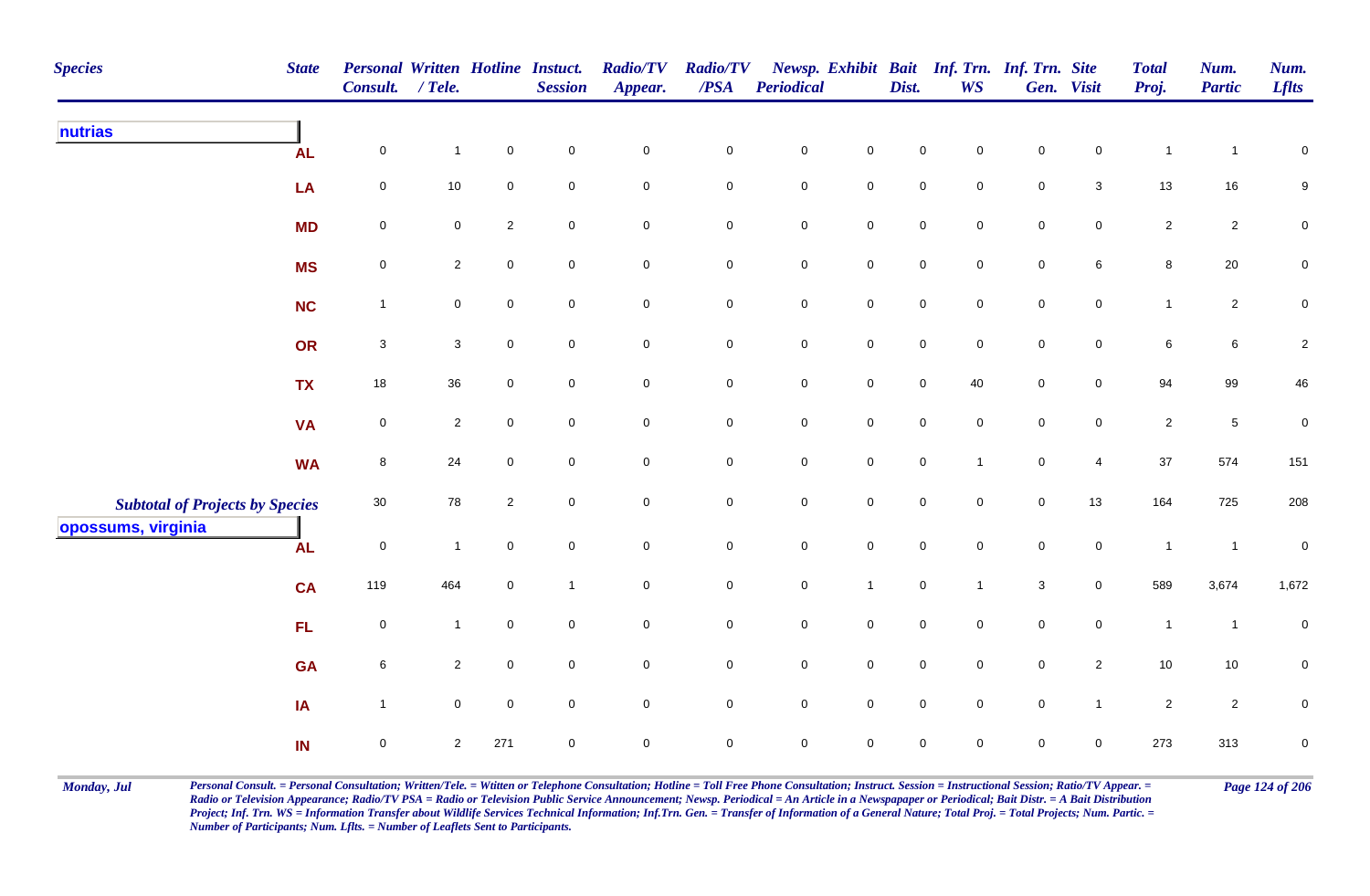| <b>Species</b>                                               | <b>State</b> | <b>Personal Written Hotline Instuct.</b><br>Consult. | $/$ Tele.      |                | <b>Session</b>   | <b>Radio/TV</b><br>Appear. | <b>Radio/TV</b><br>$\overline{PSA}$ | <b>Periodical</b>   |                     | Dist.               | <b>WS</b>      | Newsp. Exhibit Bait Inf. Trn. Inf. Trn. Site | Gen. Visit     | <b>Total</b><br>Proj. | Num.<br><b>Partic</b> | Num.<br><b>Lflts</b> |
|--------------------------------------------------------------|--------------|------------------------------------------------------|----------------|----------------|------------------|----------------------------|-------------------------------------|---------------------|---------------------|---------------------|----------------|----------------------------------------------|----------------|-----------------------|-----------------------|----------------------|
| nutrias                                                      | <b>AL</b>    | $\mathbf 0$                                          | $\mathbf{1}$   | $\mathbf 0$    | $\mathbf 0$      | $\pmb{0}$                  | 0                                   | $\mathbf 0$         | $\mathbf 0$         | 0                   | $\mathbf 0$    | $\mathbf 0$                                  | $\mathbf 0$    | -1                    | $\mathbf 1$           | $\pmb{0}$            |
|                                                              | LA           | 0                                                    | $10$           | 0              | $\mathsf 0$      | $\mathsf 0$                | 0                                   | $\overline{0}$      | $\mathbf 0$         | $\mathbf 0$         | $\mathbf 0$    | $\mathbf 0$                                  | $\mathbf{3}$   | 13                    | $16\,$                | 9                    |
|                                                              | <b>MD</b>    | $\mathbf 0$                                          | $\overline{0}$ | $\overline{c}$ | $\mathsf 0$      | $\mathsf 0$                | $\mathbf 0$                         | $\mathsf{O}\xspace$ | $\mathbf 0$         | $\mathbf 0$         | $\mathsf 0$    | $\mathbf 0$                                  | $\mathbf 0$    | $\overline{2}$        | $\overline{2}$        | $\pmb{0}$            |
|                                                              | <b>MS</b>    | $\mathbf 0$                                          | $\overline{2}$ | 0              | $\mathbf 0$      | $\mathbf 0$                | 0                                   | $\mathbf 0$         | $\mathbf 0$         | $\mathbf 0$         | $\mathbf 0$    | $\mathbf 0$                                  | 6              | 8                     | $20\,$                | $\mathbf 0$          |
|                                                              | <b>NC</b>    | $\overline{1}$                                       | $\mathbf 0$    | $\mathbf 0$    | $\boldsymbol{0}$ | $\mathsf 0$                | 0                                   | $\mathbf 0$         | $\mathsf 0$         | $\mathbf 0$         | $\mathbf 0$    | $\mathbf 0$                                  | $\mathbf 0$    | $\mathbf{1}$          | $\overline{2}$        | $\mathbf 0$          |
|                                                              | OR           | $\mathbf{3}$                                         | $\mathbf{3}$   | 0              | $\mathbf 0$      | $\mathsf 0$                | 0                                   | $\mathbf 0$         | $\pmb{0}$           | $\mathbf 0$         | $\mathbf 0$    | $\mathbf 0$                                  | $\mathbf 0$    | 6                     | $6\phantom{.0}$       | $\sqrt{2}$           |
|                                                              | <b>TX</b>    | 18                                                   | 36             | $\mathbf 0$    | $\mathbf 0$      | $\pmb{0}$                  | $\mathbf 0$                         | $\mathbf 0$         | $\mathbf 0$         | $\mathbf 0$         | 40             | $\mathsf 0$                                  | $\overline{0}$ | 94                    | 99                    | 46                   |
|                                                              | <b>VA</b>    | $\pmb{0}$                                            | $\overline{2}$ | $\mathbf 0$    | $\pmb{0}$        | $\mathsf 0$                | $\mathbf 0$                         | $\mathbf 0$         | $\mathsf 0$         | $\mathsf 0$         | $\mathsf 0$    | $\mathsf 0$                                  | $\overline{0}$ | $\overline{2}$        | $\,$ 5 $\,$           | $\pmb{0}$            |
|                                                              | <b>WA</b>    | 8                                                    | 24             | $\mathbf 0$    | $\mathbf 0$      | $\mathbf 0$                | $\mathbf 0$                         | $\mathsf{O}\xspace$ | $\mathsf{O}\xspace$ | $\mathsf{O}\xspace$ | $\overline{1}$ | $\mathbf 0$                                  | $\overline{4}$ | 37                    | 574                   | 151                  |
| <b>Subtotal of Projects by Species</b><br>opossums, virginia |              | 30                                                   | 78             | $\overline{2}$ | $\mathsf 0$      | $\mathbf 0$                | $\mathbf 0$                         | $\mathbf 0$         | $\mathsf 0$         | $\mathbf 0$         | $\mathbf 0$    | $\mathbf 0$                                  | 13             | 164                   | 725                   | 208                  |
|                                                              | <b>AL</b>    | $\boldsymbol{0}$                                     | $\mathbf{1}$   | 0              | $\mathbf 0$      | $\mathbf 0$                | 0                                   | $\boldsymbol{0}$    | $\pmb{0}$           | $\mathbf 0$         | $\mathbf 0$    | $\mathsf{O}$                                 | $\mathsf{O}$   | $\overline{1}$        | $\overline{1}$        | $\mathbf 0$          |
|                                                              | <b>CA</b>    | 119                                                  | 464            | $\mathbf 0$    | $\overline{1}$   | $\mathsf 0$                | 0                                   | $\mathbf 0$         | $\mathbf{1}$        | $\overline{0}$      | $\overline{1}$ | $\mathbf{3}$                                 | $\overline{0}$ | 589                   | 3,674                 | 1,672                |
|                                                              | FL           | $\mathbf 0$                                          | $\mathbf{1}$   | $\mathbf 0$    | $\mathbf 0$      | $\pmb{0}$                  | 0                                   | $\mathbf 0$         | $\mathsf 0$         | $\mathbf 0$         | $\mathbf 0$    | $\mathsf 0$                                  | $\overline{0}$ | $\overline{1}$        | $\mathbf{1}$          | $\pmb{0}$            |
|                                                              | <b>GA</b>    | 6                                                    | $\overline{2}$ | $\mathbf 0$    | $\mathbf 0$      | $\pmb{0}$                  | $\mathbf 0$                         | $\mathbf 0$         | $\mathsf{O}\xspace$ | $\mathbf 0$         | $\mathbf 0$    | $\mathbf 0$                                  | $\overline{2}$ | 10                    | $10$                  | $\pmb{0}$            |
|                                                              | IA           | $\overline{1}$                                       | $\mathbf 0$    | $\mathbf 0$    | $\boldsymbol{0}$ | $\mathbf 0$                | $\mathbf 0$                         | $\mathsf{O}\xspace$ | $\mathbf 0$         | $\mathbf 0$         | $\mathbf 0$    | $\mathsf 0$                                  | $\mathbf{1}$   | $\overline{2}$        | $\overline{2}$        | 0                    |
|                                                              | IN           | 0                                                    | $\overline{2}$ | 271            | $\mathsf 0$      | $\mathbf 0$                | $\mathbf 0$                         | $\mathbf 0$         | $\mathbf 0$         | $\mathbf 0$         | $\mathbf 0$    | $\mathbf 0$                                  | $\mathbf 0$    | 273                   | 313                   | $\mathbf 0$          |

Monday, Jul Personal Consult. = Personal Consultation; Written/Tele. = Witten or Telephone Consultation; Hotline = Toll Free Phone Consultation; Instruct. Session = Instructional Session; Ratio/TV Appear. = Page 124 of 206 *Radio or Television Appearance; Radio/TV PSA = Radio or Television Public Service Announcement; Newsp. Periodical = An Article in a Newspapaper or Periodical; Bait Distr. = A Bait Distribution*  Project; Inf. Trn. WS = Information Transfer about Wildlife Services Technical Information; Inf.Trn. Gen. = Transfer of Information of a General Nature; Total Proj. = Total Projects; Num. Partic. = *Number of Participants; Num. Lflts. = Number of Leaflets Sent to Participants.*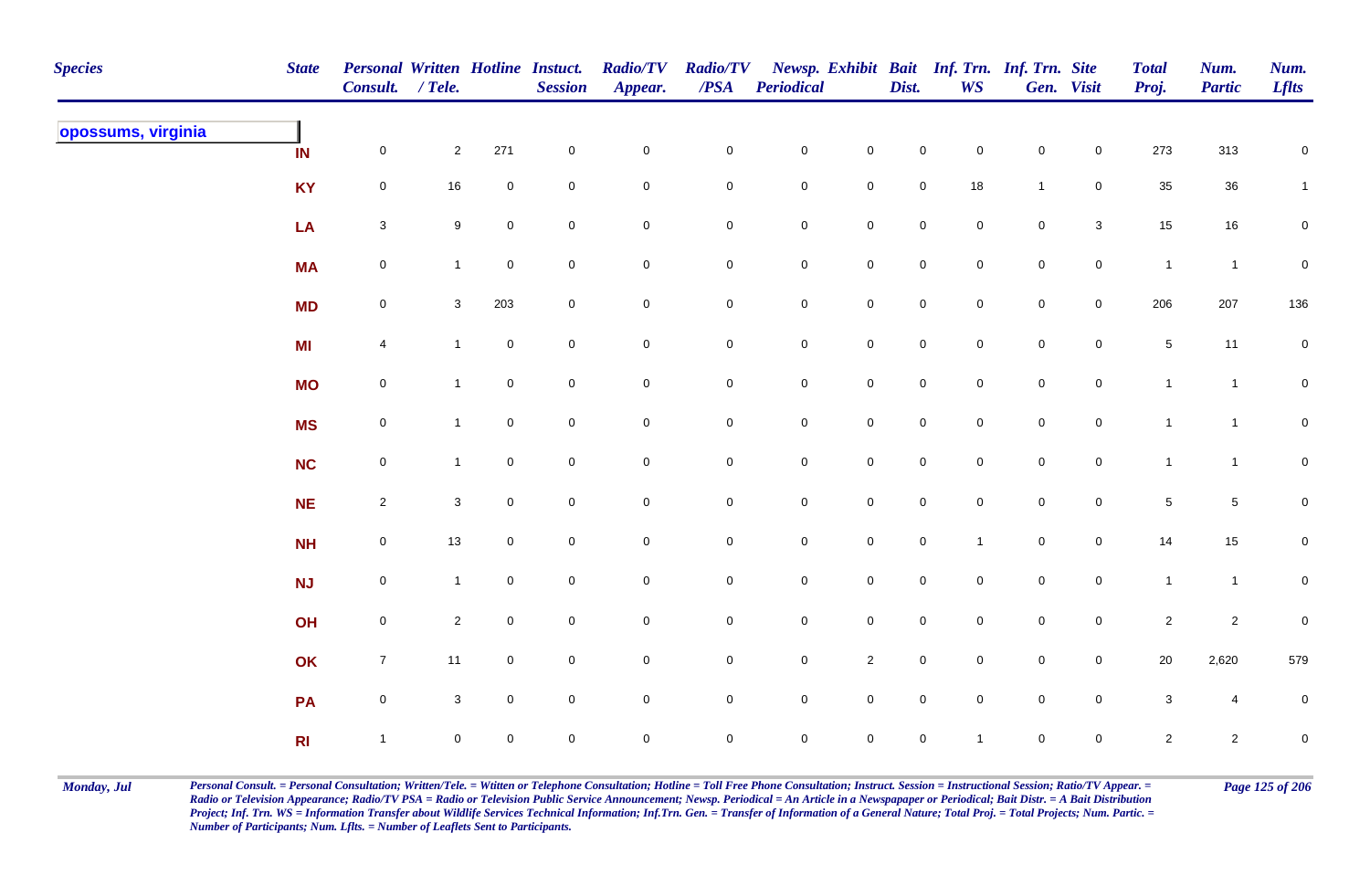| <b>Species</b>     | <b>State</b>   | <b>Personal Written Hotline Instuct.</b><br>Consult. / Tele. |                |                | <b>Session</b> | <b>Radio/TV</b><br>Appear. | <b>Radio/TV</b><br>$\overline{PSA}$ | <b>Periodical</b>   |                     | Dist.               | <b>WS</b>           | Newsp. Exhibit Bait Inf. Trn. Inf. Trn. Site | Gen. Visit          | <b>Total</b><br>Proj. | Num.<br><b>Partic</b> | Num.<br><b>Lflts</b> |
|--------------------|----------------|--------------------------------------------------------------|----------------|----------------|----------------|----------------------------|-------------------------------------|---------------------|---------------------|---------------------|---------------------|----------------------------------------------|---------------------|-----------------------|-----------------------|----------------------|
| opossums, virginia | IN             | $\mathsf{O}\xspace$                                          | $\overline{2}$ | 271            | $\pmb{0}$      | $\mathsf{O}\xspace$        | $\mathbf 0$                         | $\mathbf 0$         | $\mathsf{O}\xspace$ | $\pmb{0}$           | $\mathbf 0$         | $\mathsf{O}\xspace$                          | $\mathbf 0$         | 273                   | 313                   | $\mathbf 0$          |
|                    | <b>KY</b>      | $\mathbf 0$                                                  | 16             | $\mathbf 0$    | $\pmb{0}$      | $\mathbf 0$                | $\mathbf 0$                         | $\mathbf 0$         | $\mathbf 0$         | $\mathbf 0$         | 18                  | $\mathbf{1}$                                 | $\mathbf 0$         | 35                    | $36\,$                | 1                    |
|                    | LA             | $\mathbf{3}$                                                 | 9              | $\mathbf 0$    | $\mathbf 0$    | $\mathbf 0$                | $\mathbf 0$                         | $\mathbf 0$         | $\mathbf 0$         | $\mathbf 0$         | $\mathbf 0$         | $\mathsf{O}\xspace$                          | $\mathbf{3}$        | 15                    | $16\,$                | $\mathbf 0$          |
|                    | <b>MA</b>      | $\mathsf{O}\xspace$                                          | $\overline{1}$ | $\mathbf 0$    | $\mathbf 0$    | $\mathsf{O}\xspace$        | $\mathbf 0$                         | $\mathbf 0$         | $\mathsf{O}\xspace$ | $\mathbf 0$         | $\mathbf 0$         | $\mathsf{O}\xspace$                          | $\overline{0}$      | $\mathbf{1}$          | $\overline{1}$        | $\pmb{0}$            |
|                    | <b>MD</b>      | $\mathsf{O}\xspace$                                          | $\mathbf{3}$   | 203            | $\mathbf 0$    | $\mathsf{O}\xspace$        | $\mathbf 0$                         | $\mathbf 0$         | $\mathbf 0$         | $\mathsf{O}\xspace$ | $\mathbf 0$         | $\mathbf 0$                                  | $\mathsf{O}\xspace$ | 206                   | 207                   | 136                  |
|                    | MI             | $\overline{4}$                                               | $\overline{1}$ | $\mathsf{O}$   | $\mathbf 0$    | $\mathbf 0$                | $\mathbf 0$                         | $\mathbf 0$         | $\mathsf{O}\xspace$ | $\mathsf{O}\xspace$ | $\overline{0}$      | $\mathbf 0$                                  | $\mathbf 0$         | $5\,$                 | 11                    | $\mathbf 0$          |
|                    | <b>MO</b>      | $\mathsf{O}\xspace$                                          | $\mathbf{1}$   | $\mathbf 0$    | $\mathbf 0$    | $\mathsf{O}\xspace$        | $\mathbf 0$                         | $\mathbf 0$         | $\mathsf{O}\xspace$ | $\mathsf 0$         | $\overline{0}$      | $\mathsf{O}\xspace$                          | $\mathsf{O}\xspace$ | $\mathbf{1}$          | $\overline{1}$        | $\overline{0}$       |
|                    | <b>MS</b>      | $\mathsf{O}\xspace$                                          | $\mathbf{1}$   | $\mathbf 0$    | $\mathbf 0$    | $\mathsf{O}\xspace$        | $\mathbf 0$                         | $\mathbf 0$         | $\mathsf{O}\xspace$ | $\mathbf 0$         | $\mathbf 0$         | $\mathsf{O}\xspace$                          | $\overline{0}$      | $\mathbf{1}$          | $\mathbf{1}$          | $\mathbf 0$          |
|                    | <b>NC</b>      | $\mathsf{O}\xspace$                                          | $\mathbf{1}$   | $\mathbf 0$    | $\mathbf 0$    | $\mathsf{O}\xspace$        | $\mathbf 0$                         | $\mathsf{O}\xspace$ | $\mathsf{O}\xspace$ | $\mathsf{O}\xspace$ | $\mathbf 0$         | $\mathsf{O}\xspace$                          | $\mathbf 0$         | $\mathbf{1}$          | $\overline{1}$        | $\mathbf 0$          |
|                    | <b>NE</b>      | $\overline{2}$                                               | $\mathbf{3}$   | $\mathbf 0$    | $\pmb{0}$      | $\mathbf 0$                | $\mathbf 0$                         | $\mathsf{O}\xspace$ | $\mathbf 0$         | $\mathbf 0$         | $\mathbf 0$         | $\mathsf{O}\xspace$                          | $\mathbf 0$         | 5                     | $\overline{5}$        | $\mathbf 0$          |
|                    | <b>NH</b>      | $\mathbf 0$                                                  | $13$           | $\mathbf 0$    | $\mathbf 0$    | $\mathbf 0$                | $\mathbf 0$                         | $\mathbf 0$         | $\mathbf 0$         | $\mathsf{O}\xspace$ | $\mathbf{1}$        | $\mathsf{O}\xspace$                          | $\mathsf{O}\xspace$ | 14                    | 15                    | $\overline{0}$       |
|                    | <b>NJ</b>      | $\mathsf{O}\xspace$                                          | $\overline{1}$ | $\mathbf 0$    | $\mathbf 0$    | $\mathbf 0$                | $\mathbf 0$                         | $\mathbf 0$         | $\mathbf 0$         | $\mathsf 0$         | $\mathbf 0$         | $\mathbf 0$                                  | $\mathsf{O}\xspace$ | $\mathbf{1}$          | $\overline{1}$        | ${\bf 0}$            |
|                    | OH             | $\mathsf{O}\xspace$                                          | $\overline{2}$ | $\mathbf 0$    | $\pmb{0}$      | $\mathbf 0$                | $\overline{0}$                      | $\mathbf 0$         | $\mathbf 0$         | $\mathsf{O}\xspace$ | $\mathbf 0$         | $\mathbf 0$                                  | $\mathbf 0$         | $\mathbf{2}$          | $\overline{2}$        | $\pmb{0}$            |
|                    | OK             | $\overline{7}$                                               | 11             | $\overline{0}$ | $\mathbf 0$    | $\mathbf 0$                | $\mathbf 0$                         | $\mathbf 0$         | $\overline{2}$      | $\mathsf 0$         | $\mathbf 0$         | $\mathsf{O}\xspace$                          | $\mathbf 0$         | $20\,$                | 2,620                 | 579                  |
|                    | PA             | $\mathsf{O}\xspace$                                          | $\mathbf{3}$   | $\mathbf 0$    | $\mathbf 0$    | $\mathsf{O}\xspace$        | $\mathbf 0$                         | $\mathbf 0$         | $\pmb{0}$           | $\mathsf 0$         | $\mathsf{O}\xspace$ | $\mathsf{O}\xspace$                          | $\mathsf{O}\xspace$ | $\mathbf{3}$          | $\overline{4}$        | $\pmb{0}$            |
|                    | R <sub>l</sub> | $\mathbf{1}$                                                 | $\mathbf 0$    | $\mathbf 0$    | $\mathbf 0$    | $\mathbf 0$                | $\mathbf 0$                         | $\mathsf{O}\xspace$ | $\mathsf{O}\xspace$ | $\mathbf 0$         | $\mathbf{1}$        | $\mathsf{O}\xspace$                          | $\mathsf{O}\xspace$ | $\overline{2}$        | $\overline{2}$        | $\mathbf 0$          |

Monday, Jul Personal Consult. = Personal Consultation; Written/Tele. = Witten or Telephone Consultation; Hotline = Toll Free Phone Consultation; Instruct. Session = Instructional Session; Ratio/TV Appear. = Page 125 of 206 *Radio or Television Appearance; Radio/TV PSA = Radio or Television Public Service Announcement; Newsp. Periodical = An Article in a Newspapaper or Periodical; Bait Distr. = A Bait Distribution*  Project; Inf. Trn. WS = Information Transfer about Wildlife Services Technical Information; Inf.Trn. Gen. = Transfer of Information of a General Nature; Total Proj. = Total Projects; Num. Partic. = *Number of Participants; Num. Lflts. = Number of Leaflets Sent to Participants.*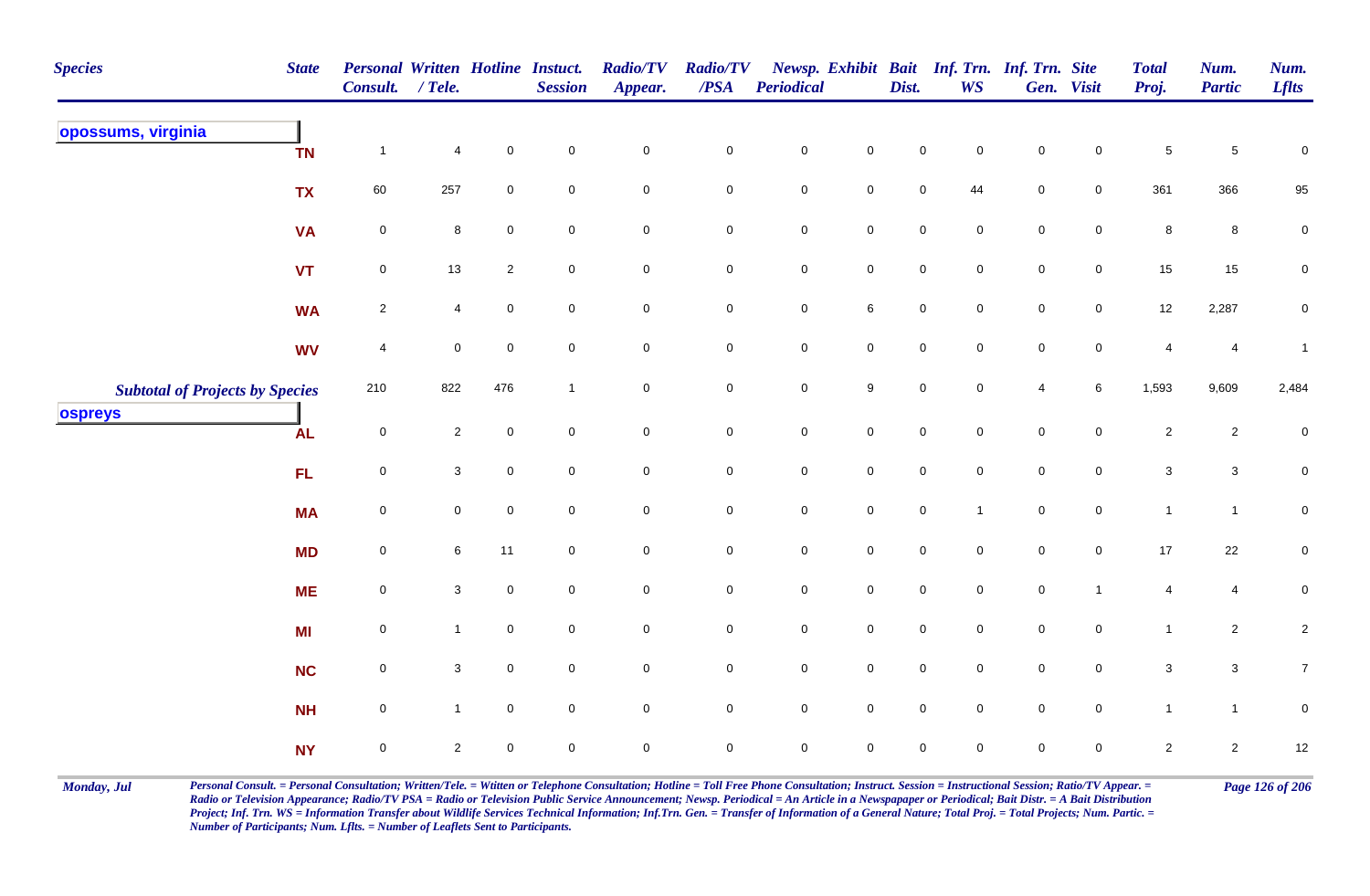| <b>Species</b><br><b>State</b>         | Personal Written Hotline Instuct.<br>Consult. / Tele. |                |                | <b>Session</b>      | <b>Radio/TV</b><br>Appear. | <b>Radio/TV</b><br>$\boldsymbol{PSA}$ | <b>Periodical</b>   |                     | Dist.               | <b>WS</b>           | Newsp. Exhibit Bait Inf. Trn. Inf. Trn. Site | Gen. Visit          | <b>Total</b><br>Proj.     | Num.<br><b>Partic</b> | Num.<br><b>Lflts</b> |
|----------------------------------------|-------------------------------------------------------|----------------|----------------|---------------------|----------------------------|---------------------------------------|---------------------|---------------------|---------------------|---------------------|----------------------------------------------|---------------------|---------------------------|-----------------------|----------------------|
| opossums, virginia<br><b>TN</b>        | $\mathbf{1}$                                          | 4              | $\mathbf 0$    | $\mathbf 0$         | $\pmb{0}$                  | $\pmb{0}$                             | $\pmb{0}$           | $\pmb{0}$           | 0                   | $\mathbf 0$         | $\mathbf 0$                                  | $\mathsf 0$         | $\,$ 5 $\,$               | $\sqrt{5}$            | $\pmb{0}$            |
| <b>TX</b>                              | 60                                                    | 257            | $\mathbf 0$    | $\mathbf 0$         | $\mathbf 0$                | $\mathbf 0$                           | $\mathbf 0$         | $\mathsf 0$         | $\mathbf 0$         | 44                  | $\mathbf 0$                                  | $\overline{0}$      | 361                       | 366                   | 95                   |
| <b>VA</b>                              | $\pmb{0}$                                             | 8              | $\mathbf 0$    | $\overline{0}$      | $\overline{0}$             | $\mathbf 0$                           | $\mathbf 0$         | $\mathsf{O}\xspace$ | $\mathbf 0$         | $\mathbf 0$         | $\mathbf 0$                                  | $\overline{0}$      | $\bf 8$                   | 8                     | 0                    |
| <b>VT</b>                              | $\pmb{0}$                                             | 13             | $\overline{c}$ | $\mathbf 0$         | $\mathbf 0$                | $\pmb{0}$                             | ${\bf 0}$           | $\mathbf 0$         | $\mathbf 0$         | $\mathbf 0$         | $\mathbf 0$                                  | $\mathsf{O}$        | 15                        | 15                    | $\pmb{0}$            |
| <b>WA</b>                              | $\sqrt{2}$                                            | 4              | $\mathbf 0$    | $\overline{0}$      | $\mathbf 0$                | $\mathsf{O}\xspace$                   | $\mathsf{O}\xspace$ | $\,6\,$             | $\mathsf{O}\xspace$ | $\mathsf{O}\xspace$ | $\mathbf 0$                                  | $\mathsf{O}\xspace$ | 12                        | 2,287                 | $\mathbf 0$          |
| <b>WV</b>                              | 4                                                     | $\mathbf 0$    | $\mathbf 0$    | $\overline{0}$      | $\overline{0}$             | $\mathbf 0$                           | $\mathbf 0$         | $\mathsf{O}\xspace$ | $\mathbf 0$         | $\mathbf 0$         | $\mathbf 0$                                  | $\mathsf{O}$        | 4                         | 4                     | $\mathbf{1}$         |
| <b>Subtotal of Projects by Species</b> | 210                                                   | 822            | 476            | $\overline{1}$      | $\mathbf 0$                | $\mathsf 0$                           | $\mathbf 0$         | $9\,$               | $\mathsf{O}\xspace$ | $\mathbf 0$         | $\overline{4}$                               | 6                   | 1,593                     | 9,609                 | 2,484                |
| ospreys<br><b>AL</b>                   | $\mathbf 0$                                           | $\overline{2}$ | $\Omega$       | $\mathbf 0$         | $\mathbf 0$                | $\mathbf 0$                           | $\mathsf{O}\xspace$ | $\mathsf 0$         | $\mathbf 0$         | $\mathbf 0$         | $\mathsf{O}\xspace$                          | $\mathsf{O}\xspace$ | $\sqrt{2}$                | $\overline{2}$        | 0                    |
| FL.                                    | $\pmb{0}$                                             | $\mathbf{3}$   | $\mathsf 0$    | $\overline{0}$      | $\mathbf 0$                | $\mathbf 0$                           | $\pmb{0}$           | $\mathbf 0$         | 0                   | $\mathbf 0$         | $\mathbf 0$                                  | $\mathbf 0$         | $\ensuremath{\mathsf{3}}$ | $\mathbf{3}$          | $\mathbf 0$          |
| <b>MA</b>                              | $\mathsf{O}\xspace$                                   | 0              | $\mathbf 0$    | $\mathbf 0$         | $\mathbf 0$                | $\pmb{0}$                             | $\pmb{0}$           | $\mathsf{O}\xspace$ | $\mathsf{O}\xspace$ | $\mathbf{1}$        | $\mathbf 0$                                  | $\mathbf 0$         | $\mathbf{1}$              | $\mathbf{1}$          | $\pmb{0}$            |
| <b>MD</b>                              | $\mathsf{O}\xspace$                                   | 6              | 11             | $\overline{0}$      | $\overline{0}$             | $\mathbf 0$                           | $\mathbf 0$         | $\mathbf 0$         | $\mathsf{O}\xspace$ | $\mathbf 0$         | $\mathbf 0$                                  | $\mathsf 0$         | 17                        | 22                    | $\pmb{0}$            |
| <b>ME</b>                              | $\mathsf{O}\xspace$                                   | 3 <sup>1</sup> | $\mathbf 0$    | $\overline{0}$      | $\overline{0}$             | $\mathbf 0$                           | $\mathbf 0$         | $\mathbf 0$         | $\mathbf 0$         | $\mathbf 0$         | $\mathbf 0$                                  | $\overline{1}$      | 4                         | 4                     | $\mathbf 0$          |
| <b>MI</b>                              | $\pmb{0}$                                             | $\mathbf{1}$   | $\mathsf 0$    | $\overline{0}$      | $\overline{0}$             | $\mathsf 0$                           | $\mathbf 0$         | $\mathsf{O}\xspace$ | $\mathbf 0$         | $\mathbf 0$         | $\overline{0}$                               | $\mathsf{O}$        | $\mathbf{1}$              | $\overline{2}$        | $\overline{c}$       |
| <b>NC</b>                              | $\pmb{0}$                                             | $\mathbf{3}$   | $\mathbf 0$    | $\mathsf{O}\xspace$ | $\mathbf 0$                | $\mathsf{O}\xspace$                   | $\mathbf 0$         | $\mathsf 0$         | $\mathbf 0$         | $\mathbf 0$         | $\mathsf 0$                                  | $\mathbf 0$         | $\sqrt{3}$                | $\mathbf{3}$          | $\overline{7}$       |
| <b>NH</b>                              | $\mathsf{O}\xspace$                                   | $\mathbf{1}$   | $\mathbf 0$    | $\overline{0}$      | $\overline{0}$             | $\mathbf 0$                           | $\overline{0}$      | $\mathsf 0$         | $\mathbf 0$         | $\mathbf 0$         | $\mathbf 0$                                  | $\overline{0}$      | $\mathbf{1}$              | $\overline{1}$        | 0                    |
| <b>NY</b>                              | $\mathsf{O}\xspace$                                   | $\overline{2}$ | $\mathbf 0$    | $\mathsf{O}\xspace$ | $\pmb{0}$                  | $\mathsf 0$                           | $\mathbf 0$         | $\mathbf 0$         | $\mathsf{O}\xspace$ | $\mathbf 0$         | $\mathbf 0$                                  | $\mathbf 0$         | $\overline{2}$            | $\overline{2}$        | 12                   |

Monday, Jul Personal Consult. = Personal Consultation; Written/Tele. = Witten or Telephone Consultation; Hotline = Toll Free Phone Consultation; Instruct. Session = Instructional Session; Ratio/TV Appear. = Page 126 of 206 *Radio or Television Appearance; Radio/TV PSA = Radio or Television Public Service Announcement; Newsp. Periodical = An Article in a Newspapaper or Periodical; Bait Distr. = A Bait Distribution*  Project; Inf. Trn. WS = Information Transfer about Wildlife Services Technical Information; Inf.Trn. Gen. = Transfer of Information of a General Nature; Total Proj. = Total Projects; Num. Partic. = *Number of Participants; Num. Lflts. = Number of Leaflets Sent to Participants.*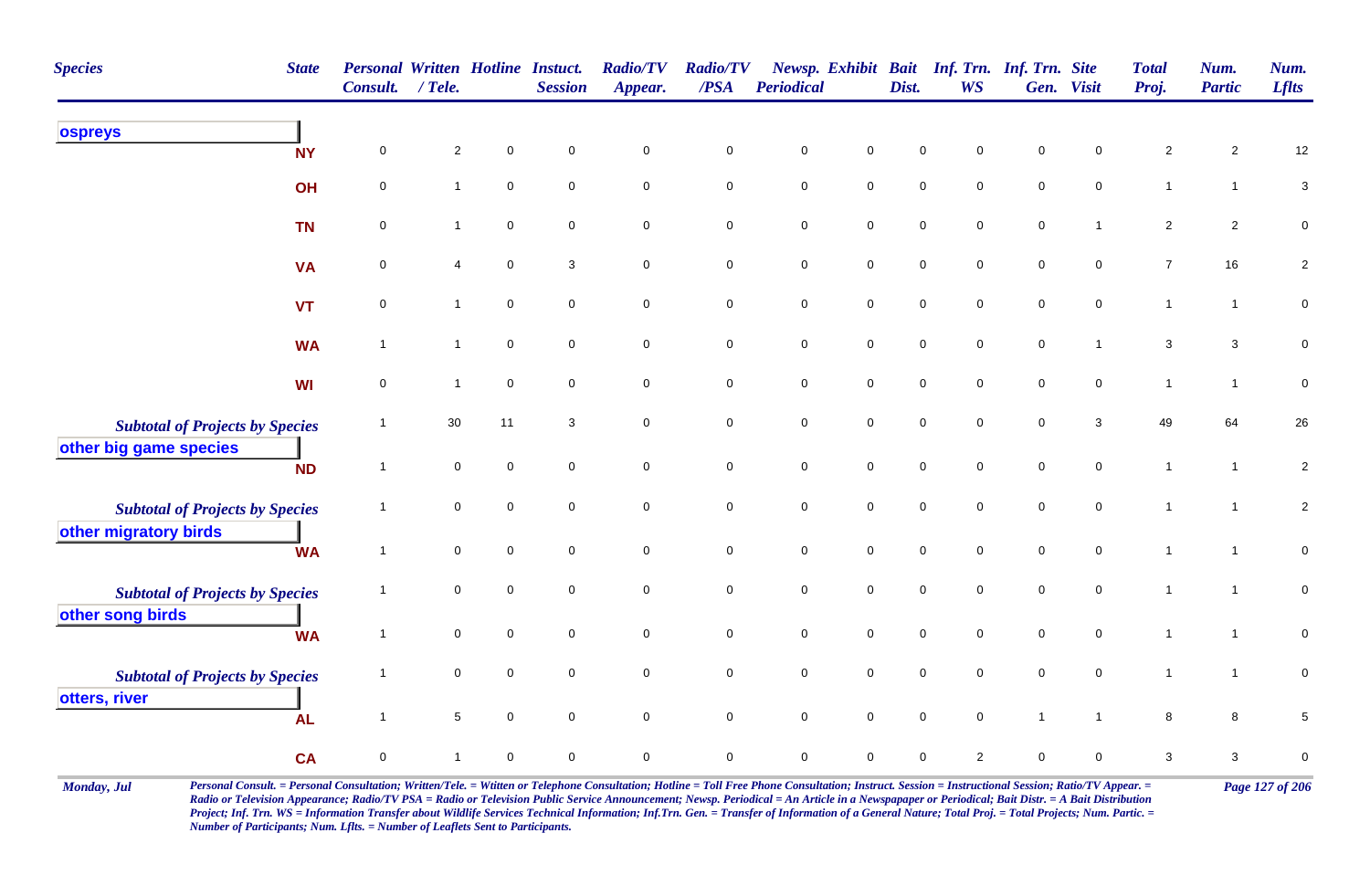| <b>Species</b><br><b>State</b>                                   | Consult.       | <b>Personal Written Hotline Instuct.</b><br>$/$ Tele. |             | <b>Session</b>      | <b>Radio/TV</b><br>Appear. | <b>Radio/TV</b><br>/PSA | <b>Periodical</b>   |                     | Dist.       | <b>WS</b>           | Newsp. Exhibit Bait Inf. Trn. Inf. Trn. Site | Gen. Visit          | <b>Total</b><br>Proj.     | Num.<br><b>Partic</b> | Num.<br><b>Lflts</b> |
|------------------------------------------------------------------|----------------|-------------------------------------------------------|-------------|---------------------|----------------------------|-------------------------|---------------------|---------------------|-------------|---------------------|----------------------------------------------|---------------------|---------------------------|-----------------------|----------------------|
| ospreys<br><b>NY</b>                                             | 0              | $\overline{c}$                                        | $\mathbf 0$ | $\mathbf 0$         | $\mathsf{O}\xspace$        | $\pmb{0}$               | $\mathsf{O}\xspace$ | $\mathbf 0$         | $\mathbf 0$ | 0                   | $\mathsf 0$                                  | 0                   | $\overline{c}$            | $\mathbf{2}$          | 12                   |
| OH                                                               | 0              | $\mathbf{1}$                                          | $\mathbf 0$ | $\mathbf 0$         | $\mathbf 0$                | $\mathsf{O}\xspace$     | $\mathsf{O}\xspace$ | $\mathsf{O}\xspace$ | $\mathbf 0$ | $\mathbf 0$         | $\mathsf 0$                                  | $\mathbf 0$         | $\mathbf{1}$              | $\mathbf{1}$          | $\mathbf{3}$         |
| <b>TN</b>                                                        | 0              | 1                                                     | $\mathsf 0$ | $\mathbf 0$         | $\mathsf{O}\xspace$        | $\pmb{0}$               | $\pmb{0}$           | $\mathsf{O}\xspace$ | $\mathbf 0$ | 0                   | $\pmb{0}$                                    | $\mathbf 1$         | $\sqrt{2}$                | $\overline{c}$        | $\mathsf{O}\xspace$  |
| <b>VA</b>                                                        | 0              | 4                                                     | $\pmb{0}$   | 3                   | $\mathbf 0$                | $\pmb{0}$               | $\pmb{0}$           | $\mathsf{O}\xspace$ | $\mathbf 0$ | 0                   | $\pmb{0}$                                    | $\mathbf 0$         | $\overline{7}$            | 16                    | $\overline{2}$       |
| <b>VT</b>                                                        | $\pmb{0}$      | $\mathbf{1}$                                          | $\mathsf 0$ | 0                   | $\mathbf 0$                | $\mathbf 0$             | $\pmb{0}$           | $\overline{0}$      | $\mathbf 0$ | 0                   | $\mathsf 0$                                  | $\mathbf 0$         | $\mathbf{1}$              | $\mathbf{1}$          | $\pmb{0}$            |
| <b>WA</b>                                                        | $\overline{1}$ | $\mathbf{1}$                                          | $\mathsf 0$ | $\mathbf 0$         | $\mathbf 0$                | $\pmb{0}$               | $\mathbf 0$         | $\mathsf{O}\xspace$ | $\mathbf 0$ | $\mathbf 0$         | $\pmb{0}$                                    | $\mathbf{1}$        | $\ensuremath{\mathsf{3}}$ | $\mathbf{3}$          | $\pmb{0}$            |
| <b>WI</b>                                                        | 0              | $\mathbf{1}$                                          | $\mathsf 0$ | $\mathbf 0$         | $\overline{0}$             | $\mathbf 0$             | $\pmb{0}$           | $\mathbf 0$         | $\mathbf 0$ | $\mathbf 0$         | $\mathsf 0$                                  | $\mathbf 0$         | $\mathbf{1}$              | $\overline{1}$        | $\mathbf 0$          |
| <b>Subtotal of Projects by Species</b><br>other big game species | $\overline{1}$ | 30                                                    | 11          | 3                   | $\overline{0}$             | $\pmb{0}$               | $\pmb{0}$           | $\mathbf 0$         | $\mathbf 0$ | $\mathbf 0$         | $\mathsf 0$                                  | 3                   | 49                        | 64                    | $26\,$               |
| <b>ND</b>                                                        | $\overline{1}$ | $\mathbf 0$                                           | $\mathsf 0$ | $\mathbf 0$         | $\overline{0}$             | $\pmb{0}$               | $\pmb{0}$           | $\mathsf{O}\xspace$ | $\mathbf 0$ | $\mathbf 0$         | $\mathsf 0$                                  | $\mathbf 0$         | $\mathbf{1}$              | $\overline{1}$        | $\sqrt{2}$           |
| <b>Subtotal of Projects by Species</b><br>other migratory birds  | $\overline{1}$ | 0                                                     | $\mathsf 0$ | $\mathbf 0$         | $\mathsf{O}\xspace$        | $\mathbf 0$             | $\pmb{0}$           | $\overline{0}$      | $\mathbf 0$ | $\mathbf 0$         | $\pmb{0}$                                    | $\mathbf 0$         | $\mathbf{1}$              | $\overline{1}$        | $\overline{2}$       |
| <b>WA</b>                                                        | $\overline{1}$ | $\mathbf 0$                                           | $\mathbf 0$ | $\mathsf{O}\xspace$ | $\mathsf{O}\xspace$        | $\mathbf 0$             | $\mathbf 0$         | $\mathsf{O}\xspace$ | $\mathbf 0$ | $\mathsf{O}\xspace$ | $\pmb{0}$                                    | $\mathsf{O}\xspace$ | $\mathbf{1}$              | $\overline{1}$        | $\mathsf{O}\xspace$  |
| <b>Subtotal of Projects by Species</b>                           | $\overline{1}$ | 0                                                     | $\pmb{0}$   | $\mathbf 0$         | $\mathbf 0$                | $\pmb{0}$               | $\pmb{0}$           | $\mathbf 0$         | $\mathbf 0$ | $\pmb{0}$           | $\pmb{0}$                                    | $\mathbf 0$         | $\mathbf{1}$              | $\overline{1}$        | $\pmb{0}$            |
| other song birds<br><b>WA</b>                                    | $\overline{1}$ | $\mathbf 0$                                           | $\mathbf 0$ | $\mathbf 0$         | $\mathsf{O}\xspace$        | $\pmb{0}$               | $\mathbf 0$         | $\mathsf{O}\xspace$ | $\mathbf 0$ | $\mathbf 0$         | $\mathsf 0$                                  | $\mathbf 0$         | $\mathbf{1}$              | $\overline{1}$        | $\pmb{0}$            |
| <b>Subtotal of Projects by Species</b>                           | $\overline{1}$ | $\mathbf 0$                                           | $\mathsf 0$ | $\mathbf 0$         | $\mathbf 0$                | $\mathbf 0$             | $\mathbf 0$         | $\overline{0}$      | $\mathbf 0$ | $\mathbf 0$         | $\mathsf 0$                                  | $\mathbf 0$         | $\mathbf{1}$              | $\mathbf{1}$          | $\mathbf 0$          |
| otters, river<br><b>AL</b>                                       | $\overline{1}$ | 5                                                     | $\mathbf 0$ | $\mathbf 0$         | $\mathbf 0$                | $\mathsf{O}\xspace$     | $\mathbf 0$         | $\mathbf 0$         | $\mathbf 0$ | $\mathbf 0$         | $\mathbf{1}$                                 | $\overline{1}$      | 8                         | 8                     | $\mathbf 5$          |
| <b>CA</b>                                                        | $\pmb{0}$      | 1                                                     | $\mathbf 0$ | $\mathbf 0$         | $\mathbf 0$                | $\mathbf 0$             | $\mathbf 0$         | 0                   | $\mathbf 0$ | $\overline{2}$      | $\mathbf 0$                                  | 0                   | 3                         | 3                     | $\pmb{0}$            |

Monday, Jul Personal Consult. = Personal Consultation; Written/Tele. = Witten or Telephone Consultation; Hotline = Toll Free Phone Consultation; Instruct. Session = Instructional Session; Ratio/TV Appear. = Page 127 of 206 *Radio or Television Appearance; Radio/TV PSA = Radio or Television Public Service Announcement; Newsp. Periodical = An Article in a Newspapaper or Periodical; Bait Distr. = A Bait Distribution*  Project; Inf. Trn. WS = Information Transfer about Wildlife Services Technical Information; Inf.Trn. Gen. = Transfer of Information of a General Nature; Total Proj. = Total Projects; Num. Partic. = *Number of Participants; Num. Lflts. = Number of Leaflets Sent to Participants.*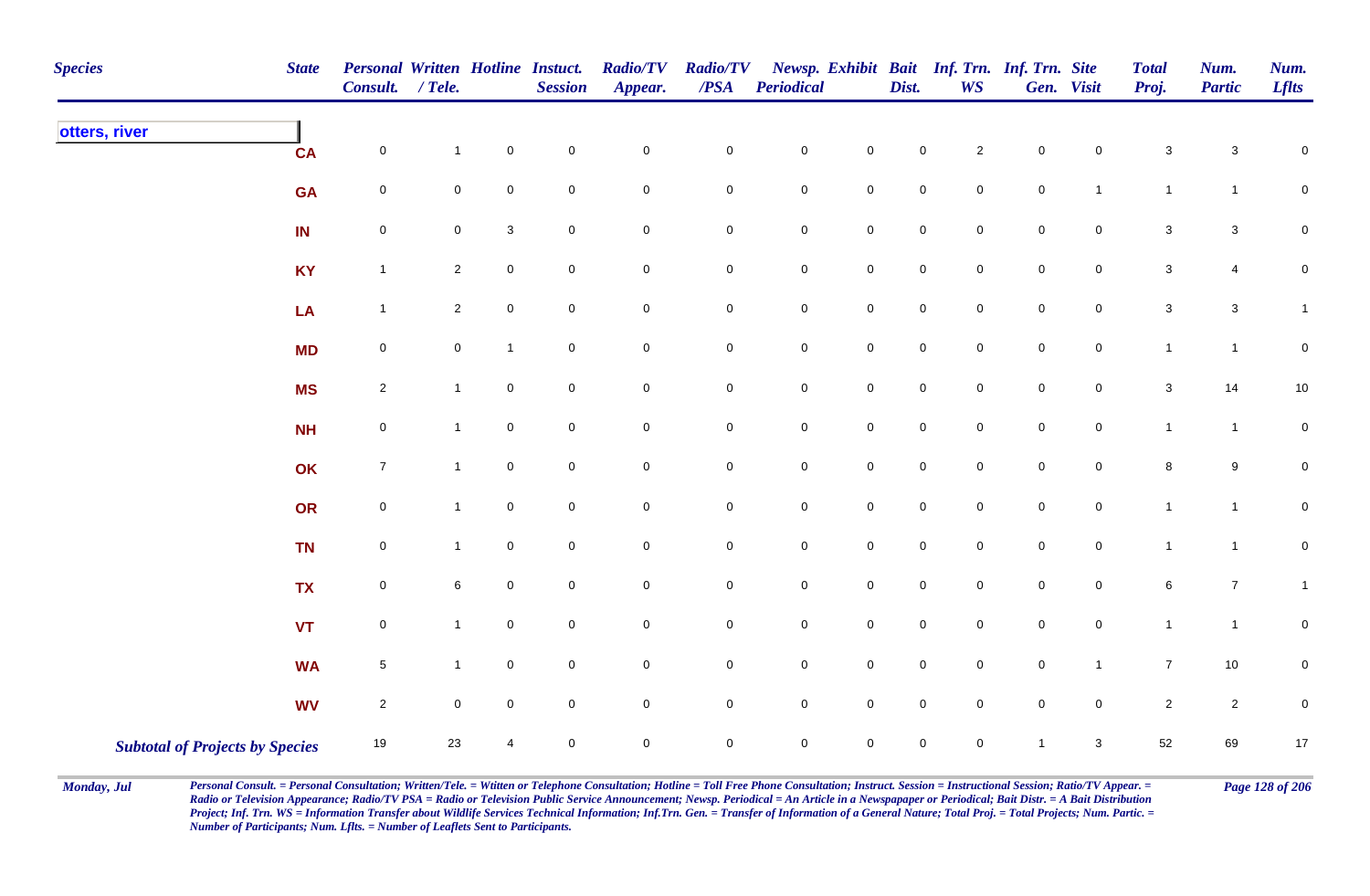| <b>Species</b> | <b>State</b>                           | <b>Personal Written Hotline Instuct.</b><br><b>Consult.</b> | $/$ Tele.      |              | <b>Session</b>      | <b>Radio/TV</b><br>Appear. | <b>Radio/TV</b><br>$\overline{PSA}$ | Periodical  |                     | Dist.       | <b>WS</b>           | Newsp. Exhibit Bait Inf. Trn. Inf. Trn. Site | Gen. Visit          | <b>Total</b><br>Proj.     | Num.<br><b>Partic</b>     | Num.<br><b>Lflts</b> |
|----------------|----------------------------------------|-------------------------------------------------------------|----------------|--------------|---------------------|----------------------------|-------------------------------------|-------------|---------------------|-------------|---------------------|----------------------------------------------|---------------------|---------------------------|---------------------------|----------------------|
| otters, river  | <b>CA</b>                              | $\pmb{0}$                                                   | $\mathbf{1}$   | $\pmb{0}$    | $\mathsf{O}\xspace$ | $\mathsf{O}\xspace$        | $\mathsf{O}\xspace$                 | $\mathbf 0$ | $\mathsf{O}\xspace$ | $\mathsf 0$ | $\overline{c}$      | $\mathbf 0$                                  | 0                   | 3                         | $\ensuremath{\mathsf{3}}$ | 0                    |
|                | <b>GA</b>                              | $\pmb{0}$                                                   | 0              | $\mathbf 0$  | $\mathbf 0$         | $\mathbf 0$                | $\mathbf 0$                         | $\mathbf 0$ | $\mathsf{O}$        | $\pmb{0}$   | $\overline{0}$      | $\pmb{0}$                                    | $\mathbf{1}$        | $\mathbf{1}$              | $\mathbf{1}$              | $\mathbf 0$          |
|                | IN                                     | 0                                                           | 0              | $\mathbf{3}$ | $\mathbf 0$         | $\mathsf{O}\xspace$        | 0                                   | $\mathbf 0$ | $\mathbf 0$         | $\mathbf 0$ | $\mathbf 0$         | $\mathbf 0$                                  | $\mathbf 0$         | $\mathbf 3$               | $\ensuremath{\mathsf{3}}$ | $\mathbf 0$          |
|                | <b>KY</b>                              | $\mathbf{1}$                                                | $\overline{a}$ | $\mathbf 0$  | $\mathbf 0$         | $\mathbf 0$                | $\mathbf 0$                         | $\pmb{0}$   | $\mathsf{O}\xspace$ | $\pmb{0}$   | $\mathbf 0$         | $\pmb{0}$                                    | $\mathbf 0$         | $\ensuremath{\mathsf{3}}$ | 4                         | $\mathbf 0$          |
|                | LA                                     | $\mathbf{1}$                                                | $\overline{2}$ | $\mathbf 0$  | $\overline{0}$      | $\mathsf{O}\xspace$        | $\mathsf{O}\xspace$                 | $\pmb{0}$   | $\mathsf{O}\xspace$ | $\pmb{0}$   | $\overline{0}$      | $\pmb{0}$                                    | $\mathsf{O}\xspace$ | $\mathbf{3}$              | $\mathsf 3$               | $\mathbf{1}$         |
|                | <b>MD</b>                              | $\pmb{0}$                                                   | $\overline{0}$ | $\mathbf{1}$ | $\mathbf 0$         | $\mathbf 0$                | $\mathbf 0$                         | $\mathbf 0$ | $\mathsf{O}\xspace$ | $\pmb{0}$   | $\mathbf 0$         | $\pmb{0}$                                    | $\mathsf{O}\xspace$ | $\mathbf{1}$              | $\mathbf{1}$              | $\mathbf 0$          |
|                | <b>MS</b>                              | $\sqrt{2}$                                                  | $\mathbf{1}$   | $\mathbf 0$  | $\mathsf{O}\xspace$ | $\mathsf{O}\xspace$        | $\mathsf{O}\xspace$                 | $\mathbf 0$ | $\mathsf{O}\xspace$ | $\pmb{0}$   | $\mathsf{O}\xspace$ | $\pmb{0}$                                    | $\mathsf{O}\xspace$ | $\mathbf 3$               | 14                        | 10                   |
|                | <b>NH</b>                              | $\mathsf{O}\xspace$                                         | $\mathbf{1}$   | $\mathbf 0$  | $\mathbf 0$         | $\mathsf{O}\xspace$        | $\mathsf{O}\xspace$                 | $\mathbf 0$ | $\mathsf{O}\xspace$ | $\mathbf 0$ | $\mathbf 0$         | $\mathbf 0$                                  | 0                   | $\mathbf{1}$              | $\mathbf{1}$              | $\mathbf 0$          |
|                | OK                                     | $\boldsymbol{7}$                                            | $\mathbf{1}$   | $\mathsf 0$  | $\overline{0}$      | $\mathsf{O}\xspace$        | $\mathbf 0$                         | $\pmb{0}$   | $\overline{0}$      | $\mathsf 0$ | $\mathbf 0$         | $\mathsf 0$                                  | 0                   | $\bf 8$                   | $\boldsymbol{9}$          | $\mathbf 0$          |
|                | OR                                     | $\pmb{0}$                                                   | $\mathbf{1}$   | $\mathbf 0$  | $\mathbf 0$         | $\mathbf 0$                | $\pmb{0}$                           | $\mathbf 0$ | $\mathbf 0$         | $\pmb{0}$   | $\mathbf 0$         | $\pmb{0}$                                    | $\mathsf{O}\xspace$ | $\mathbf{1}$              | $\mathbf{1}$              | $\mathbf 0$          |
|                | <b>TN</b>                              | $\pmb{0}$                                                   | $\mathbf{1}$   | $\pmb{0}$    | $\mathsf{O}\xspace$ | $\mathbf 0$                | $\mathbf 0$                         | $\pmb{0}$   | $\mathbf 0$         | $\pmb{0}$   | $\mathbf 0$         | $\pmb{0}$                                    | $\mathbf 0$         | $\mathbf{1}$              | $\mathbf{1}$              | $\mathbf 0$          |
|                | <b>TX</b>                              | $\pmb{0}$                                                   | 6              | $\mathbf 0$  | $\overline{0}$      | $\mathsf{O}\xspace$        | $\mathbf 0$                         | $\mathbf 0$ | $\mathbf 0$         | $\mathsf 0$ | $\mathbf 0$         | $\mathsf 0$                                  | $\mathbf 0$         | $\,6\,$                   | $\overline{7}$            | $\mathbf{1}$         |
|                | <b>VT</b>                              | $\pmb{0}$                                                   | $\mathbf{1}$   | $\mathsf 0$  | $\overline{0}$      | $\mathbf 0$                | $\overline{0}$                      | $\mathbf 0$ | $\mathsf{O}$        | $\mathsf 0$ | $\mathbf 0$         | $\mathsf 0$                                  | $\mathbf 0$         | $\mathbf{1}$              | $\mathbf{1}$              | 0                    |
|                | <b>WA</b>                              | $\,$ 5 $\,$                                                 | $\mathbf{1}$   | $\mathbf 0$  | $\mathsf{O}\xspace$ | $\mathsf{O}\xspace$        | $\mathsf{O}\xspace$                 | $\mathbf 0$ | $\mathsf 0$         | $\pmb{0}$   | $\mathbf 0$         | $\pmb{0}$                                    | $\mathbf{1}$        | $\overline{7}$            | $10\,$                    | $\mathbf 0$          |
|                | <b>WV</b>                              | $\sqrt{2}$                                                  | $\mathbf 0$    | $\mathbf 0$  | $\overline{0}$      | $\mathsf{O}\xspace$        | $\mathsf{O}\xspace$                 | $\mathbf 0$ | $\mathsf 0$         | $\pmb{0}$   | $\mathbf 0$         | $\pmb{0}$                                    | $\mathsf{O}\xspace$ | $\overline{2}$            | $\sqrt{2}$                | $\pmb{0}$            |
|                | <b>Subtotal of Projects by Species</b> | 19                                                          | 23             | 4            | $\mathbf 0$         | $\mathsf{O}\xspace$        | $\mathsf{O}\xspace$                 | $\mathbf 0$ | $\mathsf{O}\xspace$ | $\mathsf 0$ | $\mathbf 0$         | $\mathbf{1}$                                 | $\mathbf{3}$        | 52                        | 69                        | $17$                 |

Monday, Jul Personal Consult. = Personal Consultation; Written/Tele. = Witten or Telephone Consultation; Hotline = Toll Free Phone Consultation; Instruct. Session = Instructional Session; Ratio/TV Appear. = Page 128 of 206 *Radio or Television Appearance; Radio/TV PSA = Radio or Television Public Service Announcement; Newsp. Periodical = An Article in a Newspapaper or Periodical; Bait Distr. = A Bait Distribution*  Project; Inf. Trn. WS = Information Transfer about Wildlife Services Technical Information; Inf.Trn. Gen. = Transfer of Information of a General Nature; Total Proj. = Total Projects; Num. Partic. = *Number of Participants; Num. Lflts. = Number of Leaflets Sent to Participants.*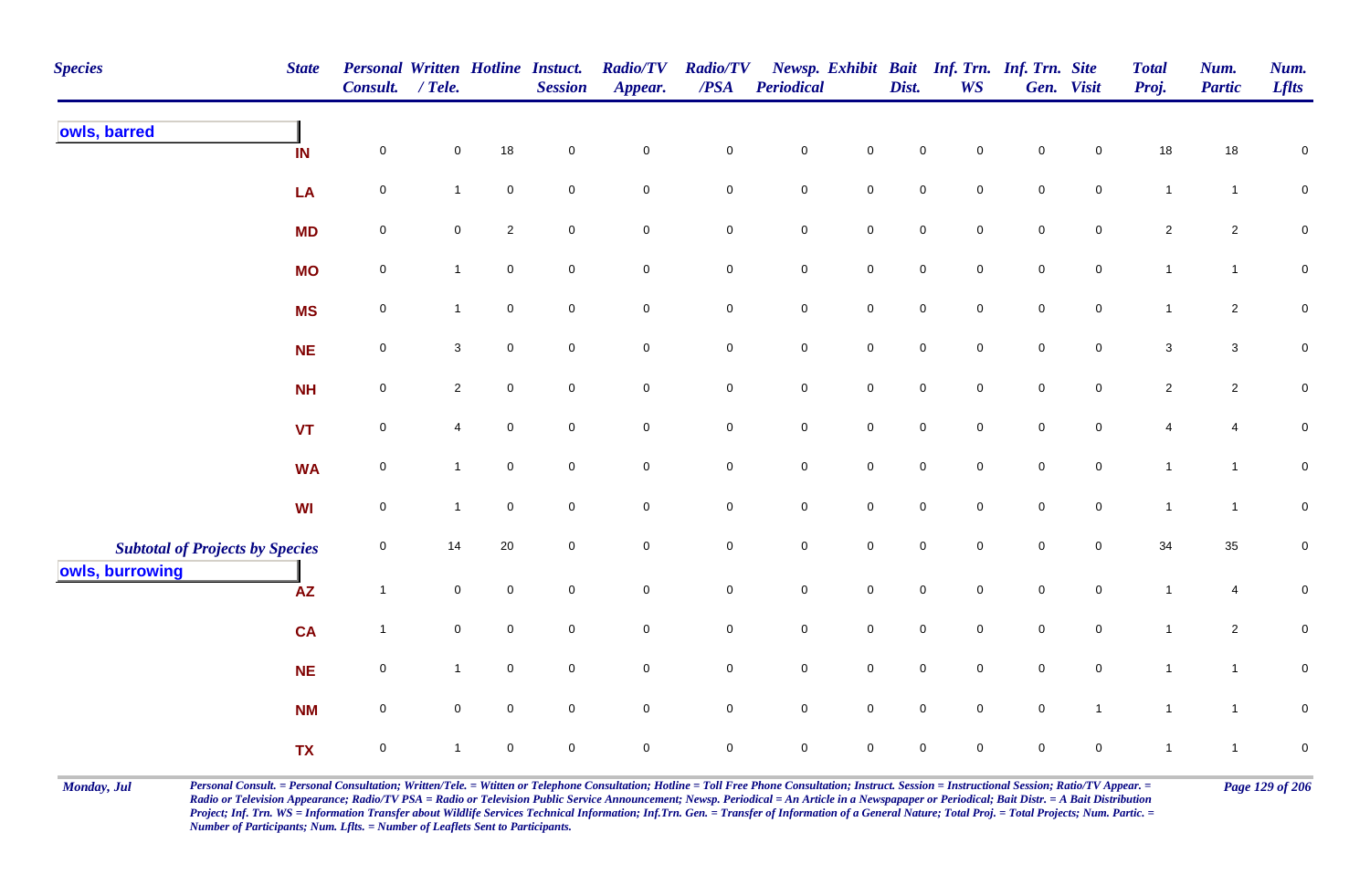| <b>Species</b>                                            | <b>State</b> | <b>Personal Written Hotline Instuct.</b><br>Consult. | $/$ Tele.      |                     | <b>Session</b>   | <b>Radio/TV</b><br>Appear. | <b>Radio/TV</b><br>/PSA | Periodical          |                     | Dist.               | Newsp. Exhibit Bait Inf. Trn. Inf. Trn. Site<br><b>WS</b> |                     | Gen. Visit          | <b>Total</b><br>Proj. | Num.<br><b>Partic</b> | Num.<br><b>Lflts</b> |
|-----------------------------------------------------------|--------------|------------------------------------------------------|----------------|---------------------|------------------|----------------------------|-------------------------|---------------------|---------------------|---------------------|-----------------------------------------------------------|---------------------|---------------------|-----------------------|-----------------------|----------------------|
| owls, barred                                              | IN           | $\mathbf 0$                                          | 0              | 18                  | $\pmb{0}$        | $\mathbf 0$                | $\mathbf 0$             | $\mathbf 0$         | $\mathsf{O}\xspace$ | 0                   | $\mathbf 0$                                               | $\mathbf 0$         | $\mathbf 0$         | 18                    | 18                    | $\mathbf 0$          |
|                                                           | LA           | $\mathbf 0$                                          | $\mathbf{1}$   | $\pmb{0}$           | $\overline{0}$   | $\mathbf 0$                | $\mathbf 0$             | $\mathbf 0$         | $\mathbf 0$         | $\mathbf 0$         | $\overline{0}$                                            | $\mathbf 0$         | $\overline{0}$      | $\overline{1}$        | $\mathbf{1}$          | ${\bf 0}$            |
|                                                           | <b>MD</b>    | $\pmb{0}$                                            | $\mathbf 0$    | $\overline{c}$      | $\mathbf 0$      | $\pmb{0}$                  | $\mathbf 0$             | $\mathbf 0$         | $\mathsf{O}\xspace$ | $\mathbf 0$         | $\mathbf 0$                                               | $\mathsf{O}\xspace$ | $\mathbf 0$         | $\sqrt{2}$            | $\overline{2}$        | $\mathbf 0$          |
|                                                           | <b>MO</b>    | $\mathbf 0$                                          | $\mathbf{1}$   | $\mathbf 0$         | $\mathbf 0$      | $\mathbf 0$                | $\mathbf 0$             | $\mathsf{O}\xspace$ | $\mathsf{O}\xspace$ | $\mathbf 0$         | $\mathbf 0$                                               | $\mathsf{O}\xspace$ | $\mathbf 0$         | $\mathbf{1}$          | $\mathbf{1}$          | $\pmb{0}$            |
|                                                           | <b>MS</b>    | $\pmb{0}$                                            | $\mathbf{1}$   | $\mathbf 0$         | $\overline{0}$   | $\mathbf 0$                | $\mathbf 0$             | $\mathsf{O}\xspace$ | $\mathbf 0$         | $\mathbf 0$         | $\overline{0}$                                            | $\mathsf{O}\xspace$ | $\overline{0}$      | $\mathbf{1}$          | $\overline{2}$        | ${\bf 0}$            |
|                                                           | <b>NE</b>    | $\mathbf 0$                                          | $\mathbf{3}$   | $\mathbf 0$         | $\mathbf 0$      | $\mathbf 0$                | $\mathbf 0$             | $\mathsf{O}\xspace$ | $\mathbf 0$         | $\mathbf 0$         | $\overline{0}$                                            | $\mathsf{O}\xspace$ | $\mathsf{O}\xspace$ | $\mathbf{3}$          | $\mathbf{3}$          | ${\bf 0}$            |
|                                                           | <b>NH</b>    | $\mathbf 0$                                          | $\overline{2}$ | $\mathbf 0$         | $\mathbf 0$      | $\pmb{0}$                  | $\mathbf 0$             | $\mathsf 0$         | $\mathbf 0$         | $\mathsf{O}\xspace$ | $\mathsf{O}\xspace$                                       | $\pmb{0}$           | $\mathsf{O}\xspace$ | $\overline{2}$        | $\overline{2}$        | $\pmb{0}$            |
|                                                           | <b>VT</b>    | $\mathbf 0$                                          | $\overline{4}$ | $\mathsf{O}\xspace$ | $\mathbf 0$      | $\mathsf{O}\xspace$        | $\mathbf 0$             | $\mathsf{O}$        | $\mathbf 0$         | $\mathbf 0$         | $\mathbf 0$                                               | $\mathsf{O}\xspace$ | $\overline{0}$      | $\overline{4}$        | $\overline{4}$        | ${\bf 0}$            |
|                                                           | <b>WA</b>    | $\mathbf 0$                                          | $\mathbf{1}$   | $\mathbf 0$         | $\mathbf 0$      | $\mathbf 0$                | $\pmb{0}$               | $\mathbf 0$         | $\mathsf{O}\xspace$ | $\pmb{0}$           | $\mathbf 0$                                               | $\mathbf 0$         | $\mathsf{O}\xspace$ | $\mathbf{1}$          | $\mathbf{1}$          | ${\bf 0}$            |
|                                                           | WI           | $\mathbf 0$                                          | $\mathbf{1}$   | $\mathbf 0$         | $\mathbf 0$      | $\pmb{0}$                  | $\mathbf 0$             | $\mathbf 0$         | $\mathsf{O}\xspace$ | $\mathbf 0$         | $\mathbf 0$                                               | $\mathbf 0$         | $\mathbf 0$         | $\mathbf{1}$          | $\mathbf{1}$          | $\mathbf 0$          |
| <b>Subtotal of Projects by Species</b><br>owls, burrowing |              | $\mathbf 0$                                          | 14             | 20                  | $\mathbf 0$      | $\mathbf 0$                | $\mathsf{O}\xspace$     | $\mathbf 0$         | $\mathsf{O}\xspace$ | $\mathbf 0$         | $\mathbf 0$                                               | $\mathsf{O}\xspace$ | $\mathbf 0$         | 34                    | 35                    | ${\bf 0}$            |
|                                                           | <b>AZ</b>    | $\mathbf{1}$                                         | $\overline{0}$ | $\mathsf{O}\xspace$ | $\boldsymbol{0}$ | $\mathsf{O}\xspace$        | $\mathbf 0$             | $\mathsf{O}$        | $\mathsf{O}\xspace$ | $\mathbf 0$         | $\overline{0}$                                            | $\mathbf 0$         | $\overline{0}$      | $\mathbf{1}$          | $\overline{4}$        | 0                    |
|                                                           | <b>CA</b>    | $\mathbf{1}$                                         | $\mathbf 0$    | $\mathsf{O}\xspace$ | $\mathbf 0$      | $\mathbf 0$                | $\mathbf 0$             | $\mathbf 0$         | $\mathbf 0$         | $\overline{0}$      | $\mathbf 0$                                               | $\mathbf 0$         | $\mathbf 0$         | $\mathbf{1}$          | $\overline{2}$        | ${\bf 0}$            |
|                                                           | <b>NE</b>    | $\mathbf 0$                                          | $\mathbf{1}$   | $\mathbf 0$         | $\mathbf 0$      | $\mathbf 0$                | $\mathbf 0$             | $\mathsf{O}$        | $\mathsf{O}\xspace$ | $\mathsf 0$         | $\mathbf 0$                                               | $\mathsf{O}\xspace$ | $\mathsf{O}\xspace$ | $\mathbf{1}$          | $\mathbf{1}$          | $\pmb{0}$            |
|                                                           | <b>NM</b>    | $\mathbf 0$                                          | $\overline{0}$ | $\mathsf{O}\xspace$ | $\overline{0}$   | $\mathsf 0$                | $\mathbf 0$             | $\overline{0}$      | $\overline{0}$      | $\overline{0}$      | $\overline{0}$                                            | $\mathsf{O}\xspace$ | $\mathbf{1}$        | $\overline{1}$        | $\mathbf{1}$          | $\mathbf 0$          |
|                                                           | <b>TX</b>    | $\mathbf 0$                                          | $\mathbf{1}$   | $\mathbf 0$         | $\boldsymbol{0}$ | $\pmb{0}$                  | $\pmb{0}$               | $\mathbf 0$         | $\mathsf{O}\xspace$ | $\pmb{0}$           | $\mathbf 0$                                               | $\mathsf{O}\xspace$ | $\mathsf{O}\xspace$ | $\mathbf{1}$          | $\mathbf{1}$          | $\pmb{0}$            |

Monday, Jul Personal Consult. = Personal Consultation; Written/Tele. = Witten or Telephone Consultation; Hotline = Toll Free Phone Consultation; Instruct. Session = Instructional Session; Ratio/TV Appear. = Page 129 of 206 *Radio or Television Appearance; Radio/TV PSA = Radio or Television Public Service Announcement; Newsp. Periodical = An Article in a Newspapaper or Periodical; Bait Distr. = A Bait Distribution*  Project; Inf. Trn. WS = Information Transfer about Wildlife Services Technical Information; Inf.Trn. Gen. = Transfer of Information of a General Nature; Total Proj. = Total Projects; Num. Partic. = *Number of Participants; Num. Lflts. = Number of Leaflets Sent to Participants.*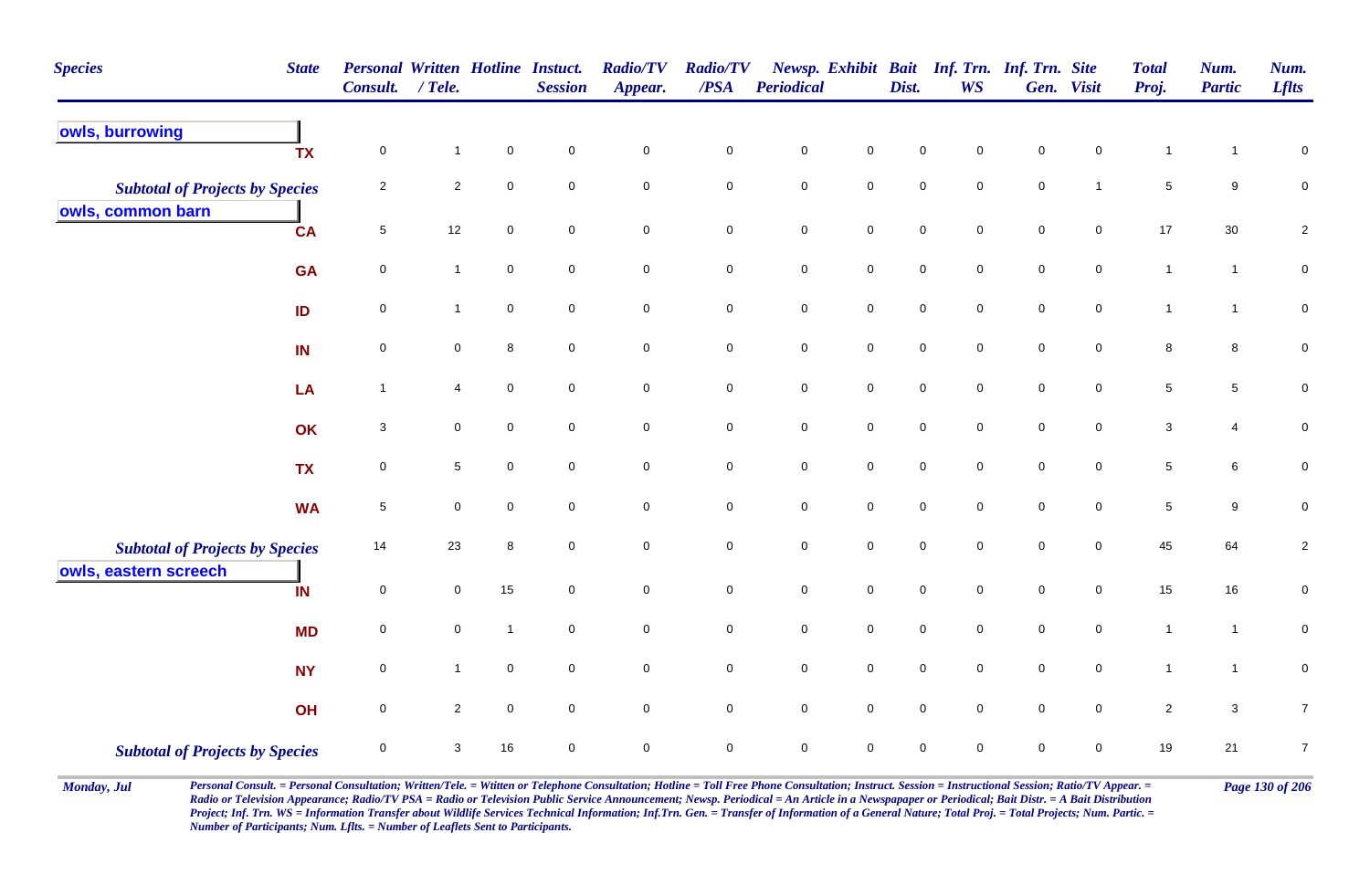| <b>Species</b>                                                  | <b>State</b> | Personal Written Hotline Instuct.<br><b>Consult.</b> | / Tele.        |                | <b>Session</b>      | <b>Radio/TV</b><br>Appear. | <b>Radio/TV</b><br>$\overline{PSA}$ | <b>Periodical</b> |                     | Dist.       | <b>WS</b>   | Newsp. Exhibit Bait Inf. Trn. Inf. Trn. Site | Gen. Visit          | <b>Total</b><br>Proj. | Num.<br><b>Partic</b> | Num.<br><b>Lflts</b> |
|-----------------------------------------------------------------|--------------|------------------------------------------------------|----------------|----------------|---------------------|----------------------------|-------------------------------------|-------------------|---------------------|-------------|-------------|----------------------------------------------|---------------------|-----------------------|-----------------------|----------------------|
| owls, burrowing                                                 | <b>TX</b>    | $\pmb{0}$                                            | $\mathbf{1}$   | $\mathbf 0$    | $\mathbf 0$         | $\mathsf{O}\xspace$        | $\pmb{0}$                           | $\mathsf 0$       | $\mathsf{O}\xspace$ | $\mathbf 0$ | 0           | $\mathsf 0$                                  | 0                   | $\mathbf{1}$          | -1                    | $\pmb{0}$            |
| <b>Subtotal of Projects by Species</b><br>owls, common barn     |              | $\overline{2}$                                       | $\sqrt{2}$     | $\mathbf 0$    | $\mathbf 0$         | $\pmb{0}$                  | $\mathbf 0$                         | $\pmb{0}$         | $\mathsf{O}\xspace$ | $\mathbf 0$ | $\mathbf 0$ | $\mathbf 0$                                  | $\mathbf{1}$        | $\,$ 5 $\,$           | 9                     | $\mathbf 0$          |
|                                                                 | <b>CA</b>    | $5\phantom{.0}$                                      | 12             | $\mathbf 0$    | $\mathbf 0$         | 0                          | $\mathbf 0$                         | $\pmb{0}$         | $\mathsf{O}\xspace$ | $\mathbf 0$ | $\mathbf 0$ | $\mathbf 0$                                  | $\mathbf 0$         | 17                    | 30                    | $\overline{c}$       |
|                                                                 | <b>GA</b>    | $\mathbf 0$                                          | $\mathbf{1}$   | $\mathsf 0$    | $\mathsf 0$         | $\mathsf{O}\xspace$        | $\mathbf 0$                         | $\pmb{0}$         | $\mathbf 0$         | $\mathsf 0$ | $\mathbf 0$ | $\mathsf 0$                                  | $\pmb{0}$           | $\mathbf{1}$          | $\mathbf{1}$          | $\pmb{0}$            |
|                                                                 | ID           | 0                                                    | $\mathbf{1}$   | $\mathbf 0$    | $\mathbf 0$         | 0                          | $\mathbf 0$                         | $\mathbf 0$       | $\mathbf 0$         | $\mathsf 0$ | $\mathbf 0$ | $\mathsf 0$                                  | 0                   | $\overline{1}$        | $\mathbf{1}$          | $\mathbf 0$          |
|                                                                 | IN           | $\overline{0}$                                       | $\mathbf 0$    | 8              | $\mathbf 0$         | 0                          | $\overline{0}$                      | $\mathsf 0$       | $\mathbf 0$         | $\mathbf 0$ | $\mathbf 0$ | $\mathbf 0$                                  | $\mathbf 0$         | 8                     | 8                     | $\pmb{0}$            |
|                                                                 | LA           | $\overline{1}$                                       | 4              | $\pmb{0}$      | $\mathsf 0$         | $\mathbf 0$                | $\mathsf{O}\xspace$                 | $\pmb{0}$         | $\mathbf 0$         | $\pmb{0}$   | $\mathbf 0$ | $\pmb{0}$                                    | $\mathsf{O}\xspace$ | $\,$ 5 $\,$           | $\overline{5}$        | $\pmb{0}$            |
|                                                                 | OK           | 3                                                    | $\mathbf 0$    | $\mathsf 0$    | $\mathbf 0$         | $\mathbf 0$                | $\mathbf 0$                         | $\pmb{0}$         | $\overline{0}$      | $\mathsf 0$ | 0           | $\mathsf 0$                                  | $\mathbf 0$         | $\mathbf{3}$          | $\overline{4}$        | $\pmb{0}$            |
|                                                                 | <b>TX</b>    | $\overline{0}$                                       | $\sqrt{5}$     | $\mathbf 0$    | $\mathbf 0$         | $\mathsf{O}\xspace$        | $\mathsf{O}\xspace$                 | $\pmb{0}$         | $\mathsf{O}\xspace$ | $\mathbf 0$ | $\mathbf 0$ | $\mathbf 0$                                  | $\mathbf 0$         | $\sqrt{5}$            | 6                     | $\pmb{0}$            |
|                                                                 | <b>WA</b>    | $\,$ 5 $\,$                                          | $\mathbf 0$    | $\mathbf 0$    | $\mathbf 0$         | $\mathsf{O}\xspace$        | $\mathbf 0$                         | $\pmb{0}$         | $\mathsf{O}\xspace$ | $\mathsf 0$ | $\mathbf 0$ | $\mathsf 0$                                  | $\mathbf 0$         | $\,$ 5 $\,$           | 9                     | $\pmb{0}$            |
| <b>Subtotal of Projects by Species</b><br>owls, eastern screech |              | 14                                                   | 23             | 8              | $\mathbf 0$         | $\mathbf 0$                | $\mathbf 0$                         | $\mathsf 0$       | $\mathbf 0$         | $\mathbf 0$ | $\mathbf 0$ | $\mathsf 0$                                  | 0                   | 45                    | 64                    | $\sqrt{2}$           |
|                                                                 | IN           | $\mathbf 0$                                          | 0              | 15             | $\mathsf{O}\xspace$ | $\mathsf{O}\xspace$        | $\mathsf{O}\xspace$                 | $\pmb{0}$         | $\mathsf{O}\xspace$ | $\pmb{0}$   | $\pmb{0}$   | $\pmb{0}$                                    | $\mathbf 0$         | 15                    | 16                    | $\pmb{0}$            |
|                                                                 | <b>MD</b>    | $\mathbf 0$                                          | 0              | $\overline{1}$ | $\mathsf 0$         | $\mathbf 0$                | $\mathbf 0$                         | $\pmb{0}$         | $\mathbf 0$         | $\mathsf 0$ | $\mathbf 0$ | $\mathsf 0$                                  | $\mathbf 0$         | $\mathbf{1}$          | $\mathbf{1}$          | $\mathbf 0$          |
|                                                                 | <b>NY</b>    | 0                                                    | $\mathbf{1}$   | $\mathbf 0$    | $\mathbf 0$         | $\mathbf 0$                | $\mathbf 0$                         | $\pmb{0}$         | $\mathbf 0$         | $\mathsf 0$ | $\mathbf 0$ | $\mathsf 0$                                  | $\mathbf 0$         | $\overline{1}$        | $\mathbf{1}$          | $\pmb{0}$            |
|                                                                 | OH           | $\mathsf{O}\xspace$                                  | $\overline{2}$ | $\mathbf 0$    | $\mathbf 0$         | $\mathsf{O}\xspace$        | $\mathsf{O}\xspace$                 | $\pmb{0}$         | $\mathsf 0$         | $\mathbf 0$ | $\mathbf 0$ | $\mathbf 0$                                  | $\mathbf 0$         | $\overline{2}$        | $\mathbf{3}$          | $\boldsymbol{7}$     |
| <b>Subtotal of Projects by Species</b>                          |              | $\mathbf 0$                                          | 3              | 16             | $\mathbf 0$         | 0                          | $\overline{0}$                      | $\mathsf 0$       | $\mathbf 0$         | $\mathbf 0$ | 0           | $\mathbf 0$                                  | $\mathbf 0$         | 19                    | 21                    | $\overline{7}$       |

Monday, Jul Personal Consult. = Personal Consultation; Written/Tele. = Witten or Telephone Consultation; Hotline = Toll Free Phone Consultation; Instruct. Session = Instructional Session; Ratio/TV Appear. = Page 130 of 206 *Radio or Television Appearance; Radio/TV PSA = Radio or Television Public Service Announcement; Newsp. Periodical = An Article in a Newspapaper or Periodical; Bait Distr. = A Bait Distribution*  Project; Inf. Trn. WS = Information Transfer about Wildlife Services Technical Information; Inf.Trn. Gen. = Transfer of Information of a General Nature; Total Proj. = Total Projects; Num. Partic. = *Number of Participants; Num. Lflts. = Number of Leaflets Sent to Participants.*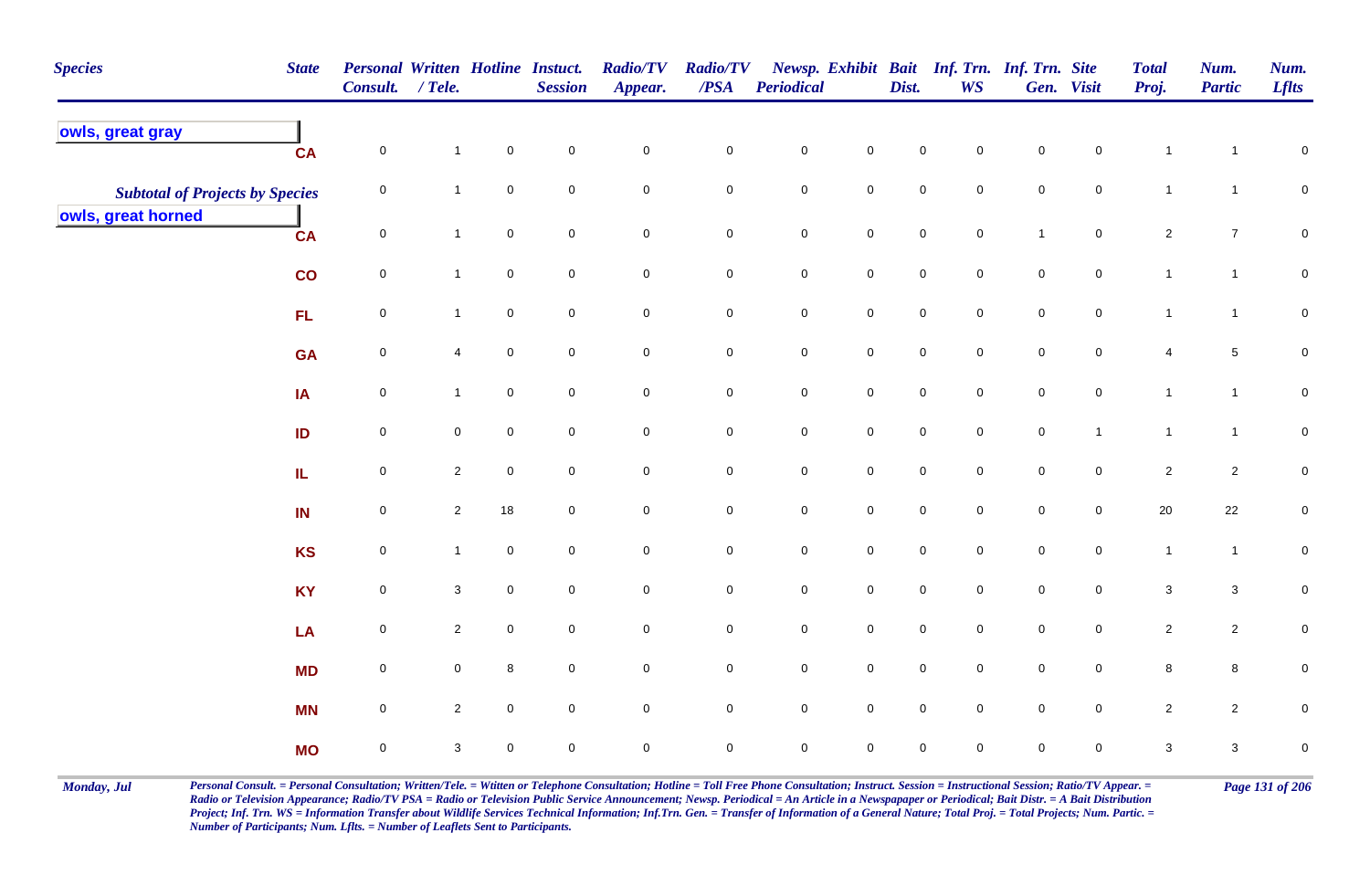| <b>Species</b>                         | <b>State</b> | Personal Written Hotline Instuct.<br>Consult. / Tele. |                |                     | <b>Session</b>      | <b>Radio/TV</b><br>Appear. | <b>Radio/TV</b><br>$\overline{PSA}$ | Periodical  |                     | Dist.       | Newsp. Exhibit Bait Inf. Trn. Inf. Trn. Site<br><b>WS</b> |              | Gen. Visit          | <b>Total</b><br>Proj.   | Num.<br><b>Partic</b> | Num.<br><b>Lflts</b> |
|----------------------------------------|--------------|-------------------------------------------------------|----------------|---------------------|---------------------|----------------------------|-------------------------------------|-------------|---------------------|-------------|-----------------------------------------------------------|--------------|---------------------|-------------------------|-----------------------|----------------------|
| owls, great gray                       | CA           | 0                                                     | $\mathbf{1}$   | $\mathbf 0$         | $\mathsf 0$         | $\mathbf 0$                | $\mathbf 0$                         | $\pmb{0}$   | $\mathbf 0$         | $\mathsf 0$ | 0                                                         | $\mathsf 0$  | $\mathbf 0$         | $\mathbf{1}$            | $\mathbf 1$           | $\mathbf 0$          |
| <b>Subtotal of Projects by Species</b> |              | 0                                                     | $\mathbf{1}$   | $\mathbf 0$         | $\mathbf 0$         | $\mathbf 0$                | $\mathbf 0$                         | $\pmb{0}$   | $\mathbf 0$         | $\mathsf 0$ | $\mathbf 0$                                               | $\mathsf 0$  | $\overline{0}$      | $\mathbf{1}$            | $\mathbf{1}$          | $\mathsf{O}\xspace$  |
| owls, great horned                     | <b>CA</b>    | $\mathsf{O}\xspace$                                   | $\mathbf{1}$   | $\mathsf{O}$        | $\mathbf 0$         | $\mathbf 0$                | $\mathbf 0$                         | $\pmb{0}$   | $\mathsf{O}$        | $\mathbf 0$ | $\mathbf 0$                                               | $\mathbf{1}$ | $\mathbf 0$         | $\overline{2}$          | $\boldsymbol{7}$      | $\mathbf 0$          |
|                                        | co           | $\mathbf 0$                                           | $\mathbf{1}$   | $\mathbf 0$         | $\mathbf 0$         | $\mathbf 0$                | $\mathbf 0$                         | $\pmb{0}$   | $\mathbf 0$         | $\pmb{0}$   | $\overline{0}$                                            | $\pmb{0}$    | $\mathbf 0$         | $\mathbf{1}$            | $\mathbf{1}$          | $\pmb{0}$            |
|                                        | <b>FL</b>    | $\mathbf 0$                                           | $\mathbf{1}$   | $\mathbf 0$         | $\mathsf{O}\xspace$ | $\pmb{0}$                  | $\mathbf 0$                         | $\pmb{0}$   | $\mathsf{O}\xspace$ | $\pmb{0}$   | $\mathbf 0$                                               | $\pmb{0}$    | $\mathbf 0$         | $\mathbf{1}$            | $\mathbf{1}$          | $\mathsf{O}\xspace$  |
|                                        | <b>GA</b>    | $\mathsf{O}\xspace$                                   | 4              | $\mathsf{O}\xspace$ | $\mathbf 0$         | $\mathsf{O}\xspace$        | $\mathbf 0$                         | $\pmb{0}$   | $\mathbf 0$         | $\pmb{0}$   | $\mathbf 0$                                               | $\pmb{0}$    | $\mathbf 0$         | $\overline{\mathbf{4}}$ | $\overline{5}$        | $\mathsf{O}\xspace$  |
|                                        | IA           | $\overline{0}$                                        | $\mathbf{1}$   | $\mathsf{O}\xspace$ | $\mathbf 0$         | $\mathbf 0$                | $\mathsf{O}\xspace$                 | $\pmb{0}$   | $\mathsf{O}\xspace$ | $\pmb{0}$   | $\mathbf 0$                                               | $\pmb{0}$    | $\mathbf 0$         | $\mathbf{1}$            | $\mathbf{1}$          | $\mathbf 0$          |
|                                        | ID           | $\overline{0}$                                        | $\mathbf 0$    | $\mathbf 0$         | $\mathbf 0$         | $\mathsf{O}\xspace$        | $\mathbf 0$                         | $\pmb{0}$   | $\mathsf{O}\xspace$ | $\mathsf 0$ | $\mathbf 0$                                               | $\pmb{0}$    | $\mathbf{1}$        | $\mathbf{1}$            | $\mathbf{1}$          | $\mathbf 0$          |
|                                        | ${\sf IL}$   | $\mathsf{O}\xspace$                                   | $\overline{2}$ | $\mathbf 0$         | $\mathbf 0$         | $\mathsf{O}\xspace$        | $\mathsf{O}\xspace$                 | $\pmb{0}$   | $\mathbf 0$         | $\pmb{0}$   | $\mathbf 0$                                               | $\pmb{0}$    | $\mathbf 0$         | $\overline{2}$          | $\overline{c}$        | $\pmb{0}$            |
|                                        | IN           | $\mathsf{O}\xspace$                                   | $\overline{2}$ | 18                  | $\mathbf 0$         | $\mathbf 0$                | $\mathbf 0$                         | $\pmb{0}$   | $\mathbf 0$         | $\pmb{0}$   | $\mathbf 0$                                               | $\pmb{0}$    | $\mathbf 0$         | $20\,$                  | 22                    | $\pmb{0}$            |
|                                        | <b>KS</b>    | $\mathsf{O}\xspace$                                   | $\mathbf{1}$   | $\mathbf 0$         | $\mathbf 0$         | $\mathbf 0$                | $\mathbf 0$                         | $\pmb{0}$   | $\mathbf 0$         | $\pmb{0}$   | $\mathbf 0$                                               | $\pmb{0}$    | $\mathbf 0$         | $\mathbf{1}$            | $\overline{1}$        | $\mathbf 0$          |
|                                        | <b>KY</b>    | $\mathsf{O}\xspace$                                   | $\mathbf{3}$   | $\overline{0}$      | $\mathsf 0$         | $\mathbf 0$                | $\mathbf 0$                         | $\pmb{0}$   | $\mathbf 0$         | $\pmb{0}$   | $\overline{0}$                                            | $\pmb{0}$    | $\overline{0}$      | $\mathbf{3}$            | $\mathbf{3}$          | $\mathbf 0$          |
|                                        | LA           | $\mathsf{O}\xspace$                                   | $\overline{2}$ | $\mathbf 0$         | $\mathbf 0$         | $\mathsf{O}\xspace$        | $\mathbf 0$                         | $\pmb{0}$   | $\mathbf 0$         | $\pmb{0}$   | $\mathbf 0$                                               | $\pmb{0}$    | $\mathbf 0$         | $\overline{2}$          | $\overline{c}$        | $\mathbf 0$          |
|                                        | <b>MD</b>    | $\mathsf{O}\xspace$                                   | $\mathbf 0$    | $\,8\,$             | $\mathsf{O}\xspace$ | $\mathsf{O}\xspace$        | $\mathbf 0$                         | $\mathbf 0$ | $\mathbf 0$         | $\pmb{0}$   | $\mathbf 0$                                               | $\pmb{0}$    | $\mathsf{O}\xspace$ | $\bf8$                  | 8                     | $\pmb{0}$            |
|                                        | <b>MN</b>    | $\mathbf 0$                                           | $\overline{2}$ | $\mathbf 0$         | $\mathbf 0$         | $\mathbf 0$                | $\mathsf{O}\xspace$                 | $\pmb{0}$   | $\mathsf 0$         | $\pmb{0}$   | $\mathbf 0$                                               | $\pmb{0}$    | $\mathbf 0$         | $\overline{2}$          | $\mathbf{2}$          | $\pmb{0}$            |
|                                        | <b>MO</b>    | $\mathbf 0$                                           | 3              | $\mathbf 0$         | $\mathbf 0$         | 0                          | $\overline{0}$                      | $\mathsf 0$ | $\mathbf 0$         | $\mathbf 0$ | $\mathbf 0$                                               | $\mathbf 0$  | $\mathbf 0$         | 3                       | $\mathbf{3}$          | $\pmb{0}$            |

Monday, Jul Personal Consult. = Personal Consultation; Written/Tele. = Witten or Telephone Consultation; Hotline = Toll Free Phone Consultation; Instruct. Session = Instructional Session; Ratio/TV Appear. = Page 131 of 206 *Radio or Television Appearance; Radio/TV PSA = Radio or Television Public Service Announcement; Newsp. Periodical = An Article in a Newspapaper or Periodical; Bait Distr. = A Bait Distribution*  Project; Inf. Trn. WS = Information Transfer about Wildlife Services Technical Information; Inf.Trn. Gen. = Transfer of Information of a General Nature; Total Proj. = Total Projects; Num. Partic. = *Number of Participants; Num. Lflts. = Number of Leaflets Sent to Participants.*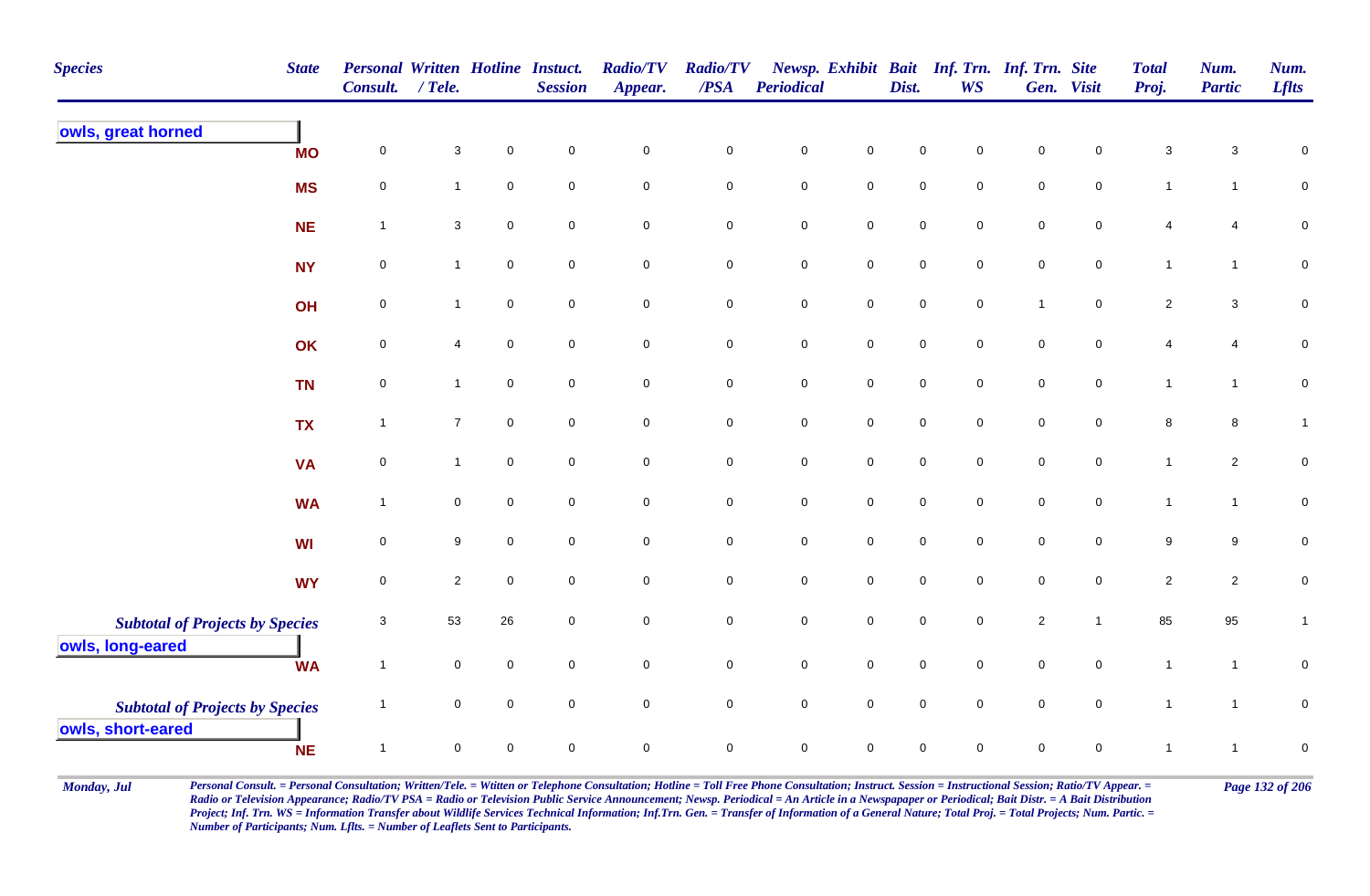| <b>Species</b>                                              | <b>State</b> | <b>Personal Written Hotline Instuct.</b><br><b>Consult.</b> | $/$ Tele.      |             | <b>Session</b>      | <b>Radio/TV</b><br>Appear. | <b>Radio/TV</b><br>/PSA | <b>Periodical</b>   |                     | Dist.               | <b>WS</b>           | Newsp. Exhibit Bait Inf. Trn. Inf. Trn. Site | Gen. Visit          | <b>Total</b><br>Proj. | Num.<br><b>Partic</b> | Num.<br><b>Lflts</b> |
|-------------------------------------------------------------|--------------|-------------------------------------------------------------|----------------|-------------|---------------------|----------------------------|-------------------------|---------------------|---------------------|---------------------|---------------------|----------------------------------------------|---------------------|-----------------------|-----------------------|----------------------|
| owls, great horned                                          | <b>MO</b>    | $\mathbf 0$                                                 | $\mathbf{3}$   | $\mathbf 0$ | $\pmb{0}$           | $\pmb{0}$                  | $\pmb{0}$               | $\pmb{0}$           | $\pmb{0}$           | 0                   | $\Omega$            | $\pmb{0}$                                    | $\mathbf 0$         | $\mathbf 3$           | 3                     | $\pmb{0}$            |
|                                                             | <b>MS</b>    | $\mathsf 0$                                                 | 1              | $\mathbf 0$ | $\mathbf 0$         | $\mathsf{O}\xspace$        | $\pmb{0}$               | $\mathbf 0$         | $\mathbf 0$         | $\mathsf{O}\xspace$ | $\mathbf 0$         | $\mathsf{O}\xspace$                          | $\mathsf{O}\xspace$ | $\mathbf{1}$          | $\mathbf{1}$          | ${\bf 0}$            |
|                                                             | <b>NE</b>    | $\mathbf{1}$                                                | $\mathbf{3}$   | $\pmb{0}$   | $\mathbf 0$         | $\mathsf{O}\xspace$        | $\pmb{0}$               | $\mathbf 0$         | $\mathsf{O}\xspace$ | 0                   | $\mathsf{O}\xspace$ | $\mathsf{O}\xspace$                          | $\mathsf{O}\xspace$ | 4                     | 4                     | $\mathbf 0$          |
|                                                             | <b>NY</b>    | $\mathsf 0$                                                 | $\mathbf{1}$   | $\pmb{0}$   | $\mathbf 0$         | $\pmb{0}$                  | $\pmb{0}$               | $\pmb{0}$           | $\mathbf 0$         | $\mathsf{O}\xspace$ | $\mathsf{O}\xspace$ | $\mathbf 0$                                  | $\mathbf 0$         | $\mathbf{1}$          | $\mathbf{1}$          | $\pmb{0}$            |
|                                                             | OH           | $\pmb{0}$                                                   | $\mathbf{1}$   | $\pmb{0}$   | $\mathbf 0$         | $\mathbf 0$                | $\pmb{0}$               | ${\bf 0}$           | $\mathbf 0$         | $\mathbf 0$         | $\mathbf 0$         | $\overline{1}$                               | $\mathbf 0$         | $\overline{2}$        | $\mathbf{3}$          | $\pmb{0}$            |
|                                                             | OK           | $\pmb{0}$                                                   | 4              | $\mathbf 0$ | $\mathbf 0$         | $\mathbf 0$                | $\pmb{0}$               | $\pmb{0}$           | $\mathbf 0$         | $\mathsf{O}\xspace$ | $\mathsf{O}\xspace$ | $\mathsf{O}\xspace$                          | $\mathbf 0$         | 4                     | 4                     | $\pmb{0}$            |
|                                                             | <b>TN</b>    | $\mathbf 0$                                                 | $\mathbf{1}$   | $\mathbf 0$ | $\mathbf 0$         | $\mathbf 0$                | $\pmb{0}$               | $\mathbf 0$         | $\mathbf 0$         | $\mathbf 0$         | $\mathbf 0$         | ${\bf 0}$                                    | $\mathbf 0$         | $\mathbf{1}$          | $\mathbf{1}$          | $\pmb{0}$            |
|                                                             | <b>TX</b>    | $\mathbf{1}$                                                | $\overline{7}$ | $\mathbf 0$ | $\mathbf 0$         | $\mathbf 0$                | $\pmb{0}$               | $\mathbf 0$         | $\mathbf 0$         | $\mathbf 0$         | $\mathbf 0$         | $\mathbf 0$                                  | $\mathbf 0$         | 8                     | 8                     | $\mathbf{1}$         |
|                                                             | <b>VA</b>    | $\pmb{0}$                                                   | $\mathbf{1}$   | $\mathbf 0$ | $\mathbf 0$         | $\mathbf 0$                | $\pmb{0}$               | $\mathbf 0$         | $\mathbf 0$         | $\mathbf 0$         | $\mathbf 0$         | $\mathbf 0$                                  | $\mathbf 0$         | $\mathbf{1}$          | $\overline{2}$        | $\pmb{0}$            |
|                                                             | <b>WA</b>    | $\mathbf{1}$                                                | 0              | $\mathbf 0$ | $\overline{0}$      | $\mathsf{O}\xspace$        | $\mathsf 0$             | $\mathbf 0$         | $\mathbf 0$         | $\mathsf{O}\xspace$ | $\mathbf 0$         | $\mathsf{O}\xspace$                          | $\overline{0}$      | $\mathbf{1}$          | $\mathbf{1}$          | $\pmb{0}$            |
|                                                             | <b>WI</b>    | $\mathsf 0$                                                 | 9              | $\mathbf 0$ | $\overline{0}$      | $\overline{0}$             | $\mathbf 0$             | $\mathbf 0$         | $\mathbf 0$         | $\mathbf 0$         | $\overline{0}$      | $\mathbf 0$                                  | $\mathbf 0$         | 9                     | 9                     | $\pmb{0}$            |
|                                                             | <b>WY</b>    | $\mathsf 0$                                                 | $\overline{2}$ | $\mathbf 0$ | $\overline{0}$      | $\mathsf{O}\xspace$        | $\pmb{0}$               | $\mathsf{O}\xspace$ | $\mathbf 0$         | $\mathsf{O}\xspace$ | $\mathbf 0$         | $\mathsf{O}\xspace$                          | $\mathbf 0$         | $\overline{2}$        | $\overline{2}$        | $\pmb{0}$            |
| <b>Subtotal of Projects by Species</b><br>owls, long-eared  |              | 3                                                           | 53             | 26          | $\mathbf 0$         | $\overline{0}$             | $\mathsf 0$             | $\mathbf 0$         | $\mathsf{O}\xspace$ | $\mathbf 0$         | $\mathbf 0$         | $\overline{2}$                               | $\overline{1}$      | 85                    | 95                    | $\mathbf{1}$         |
|                                                             | <b>WA</b>    | $\mathbf{1}$                                                | 0              | $\mathbf 0$ | $\mathsf{O}\xspace$ | $\mathsf{O}\xspace$        | $\pmb{0}$               | $\mathbf 0$         | $\mathsf{O}\xspace$ | $\mathbf 0$         | $\mathbf 0$         | $\mathsf{O}\xspace$                          | $\mathsf{O}\xspace$ | $\mathbf{1}$          | $\mathbf{1}$          | $\pmb{0}$            |
| <b>Subtotal of Projects by Species</b><br>owls, short-eared |              | $\mathbf{1}$                                                | $\pmb{0}$      | $\pmb{0}$   | $\mathbf 0$         | $\mathbf 0$                | $\pmb{0}$               | $\mathbf 0$         | $\mathbf 0$         | $\mathbf 0$         | $\mathbf 0$         | $\mathbf 0$                                  | $\mathbf 0$         | $\mathbf{1}$          | $\mathbf{1}$          | ${\bf 0}$            |
|                                                             | <b>NE</b>    | $\mathbf{1}$                                                | 0              | $\Omega$    | $\mathbf 0$         | $\mathbf 0$                | $\mathbf 0$             | $\mathbf 0$         | $\mathbf 0$         | 0                   | $\mathbf 0$         | 0                                            | $\mathbf 0$         |                       | 1                     | $\mathbf 0$          |

Monday, Jul Personal Consult. = Personal Consultation; Written/Tele. = Witten or Telephone Consultation; Hotline = Toll Free Phone Consultation; Instruct. Session = Instructional Session; Ratio/TV Appear. = Page 132 of 206 *Radio or Television Appearance; Radio/TV PSA = Radio or Television Public Service Announcement; Newsp. Periodical = An Article in a Newspapaper or Periodical; Bait Distr. = A Bait Distribution*  Project; Inf. Trn. WS = Information Transfer about Wildlife Services Technical Information; Inf.Trn. Gen. = Transfer of Information of a General Nature; Total Proj. = Total Projects; Num. Partic. = *Number of Participants; Num. Lflts. = Number of Leaflets Sent to Participants.*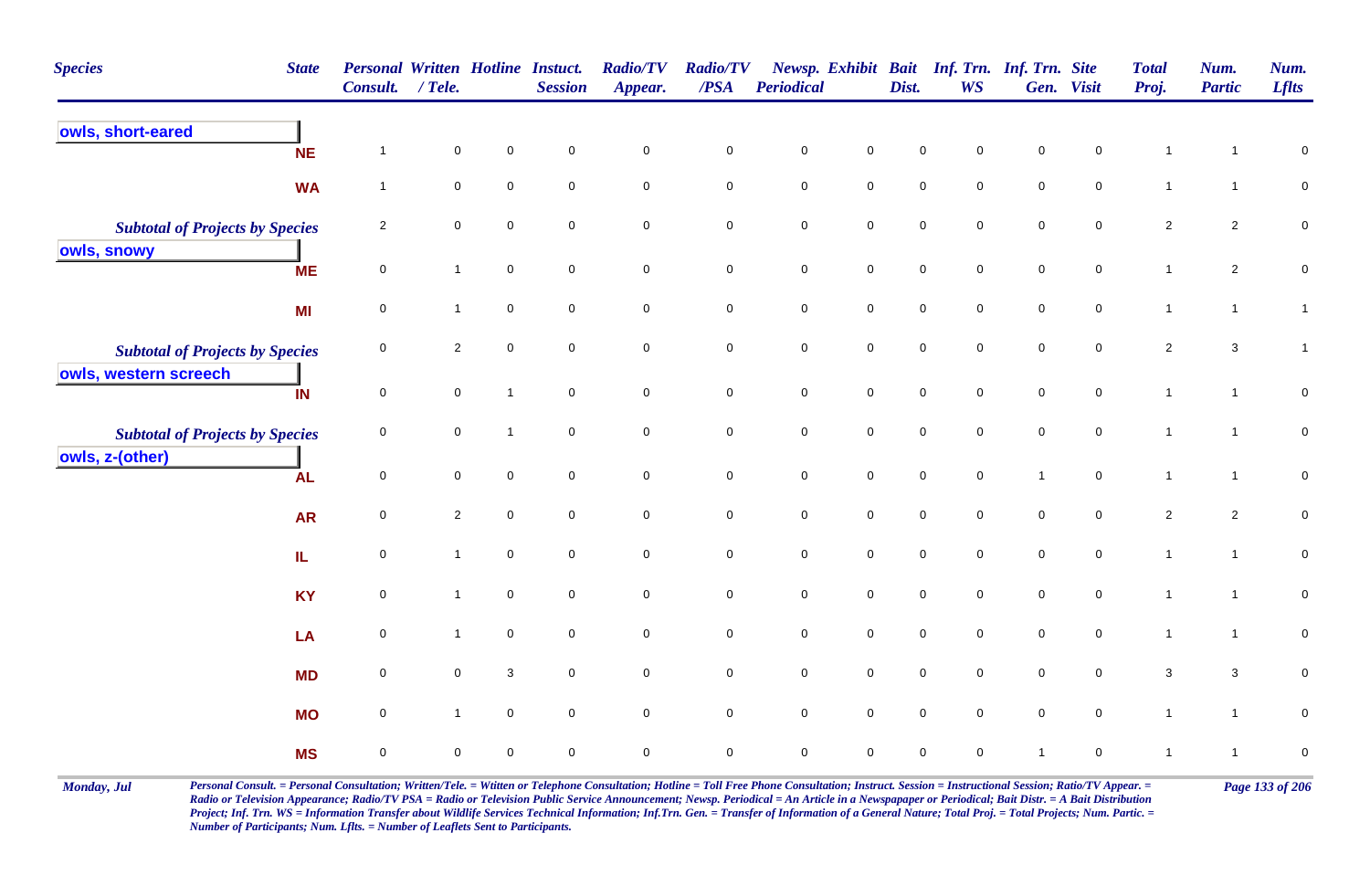| <b>Species</b>                         | <b>State</b> | Personal Written Hotline Instuct.<br>Consult. | $/$ Tele.      |              | <b>Session</b>      | <b>Radio/TV</b><br>Appear. | <b>Radio/TV</b><br>$\triangle PSA$ | <b>Periodical</b>   |                     | Dist.               | Newsp. Exhibit Bait Inf. Trn. Inf. Trn. Site<br><b>WS</b> |                     | Gen. Visit          | <b>Total</b><br>Proj. | Num.<br><b>Partic</b> | Num.<br><b>Lflts</b> |
|----------------------------------------|--------------|-----------------------------------------------|----------------|--------------|---------------------|----------------------------|------------------------------------|---------------------|---------------------|---------------------|-----------------------------------------------------------|---------------------|---------------------|-----------------------|-----------------------|----------------------|
| owls, short-eared                      | <b>NE</b>    | $\overline{1}$                                | $\mathbf 0$    | $\mathbf 0$  | $\mathbf 0$         | $\mathbf 0$                | $\pmb{0}$                          | $\mathbf 0$         | $\mathsf 0$         | $\mathbf 0$         | $\mathbf 0$                                               | $\mathsf 0$         | $\mathbf 0$         |                       | 1                     | 0                    |
|                                        | <b>WA</b>    | $\mathbf{1}$                                  | $\mathbf 0$    | $\mathbf 0$  | $\mathbf 0$         | $\mathsf{O}\xspace$        | $\mathbf 0$                        | $\mathsf{O}\xspace$ | $\mathbf 0$         | $\mathbf 0$         | $\mathbf 0$                                               | $\mathsf{O}\xspace$ | $\mathbf 0$         | $\mathbf{1}$          | $\mathbf{1}$          | $\pmb{0}$            |
| <b>Subtotal of Projects by Species</b> |              | $\overline{2}$                                | $\mathbf 0$    | $\mathbf 0$  | $\pmb{0}$           | $\mathsf{O}\xspace$        | $\mathbf 0$                        | $\mathsf{O}\xspace$ | $\pmb{0}$           | $\pmb{0}$           | $\mathbf 0$                                               | $\pmb{0}$           | $\mathsf{O}\xspace$ | $\overline{2}$        | $\overline{2}$        | $\pmb{0}$            |
| owls, snowy                            | <b>ME</b>    | $\mathbf 0$                                   | $\mathbf{1}$   | $\mathsf 0$  | $\mathbf 0$         | $\mathbf 0$                | $\mathbf 0$                        | $\mathbf 0$         | $\mathsf 0$         | $\mathbf 0$         | $\mathbf 0$                                               | $\mathbf 0$         | $\mathbf 0$         | $\mathbf{1}$          | $\overline{2}$        | $\pmb{0}$            |
|                                        | MI           | $\pmb{0}$                                     | $\mathbf{1}$   | $\mathsf 0$  | $\mathsf 0$         | $\mathbf 0$                | $\pmb{0}$                          | $\mathbf 0$         | ${\bf 0}$           | $\mathsf{O}\xspace$ | $\mathbf 0$                                               | $\mathbf 0$         | $\mathbf 0$         | $\mathbf{1}$          | $\mathbf{1}$          | $\mathbf{1}$         |
| <b>Subtotal of Projects by Species</b> |              | 0                                             | $\overline{2}$ | $\mathbf 0$  | $\mathbf 0$         | $\overline{0}$             | $\mathsf 0$                        | $\mathbf 0$         | $\mathsf{O}$        | $\mathbf 0$         | $\mathbf 0$                                               | $\mathbf 0$         | $\mathbf 0$         | $\overline{2}$        | $\mathbf{3}$          | $\mathbf{1}$         |
| owls, western screech                  | IN           | $\mathbf 0$                                   | $\pmb{0}$      | $\mathbf{1}$ | $\mathbf 0$         | $\mathsf{O}\xspace$        | $\mathbf 0$                        | $\pmb{0}$           | $\mathsf{O}\xspace$ | $\mathbf 0$         | $\mathbf 0$                                               | $\pmb{0}$           | $\mathsf{O}\xspace$ | $\mathbf{1}$          | $\mathbf{1}$          | $\pmb{0}$            |
| <b>Subtotal of Projects by Species</b> |              | $\pmb{0}$                                     | $\mathbf 0$    | $\mathbf{1}$ | $\mathbf 0$         | $\overline{0}$             | $\mathsf{O}\xspace$                | $\mathbf 0$         | $\mathsf 0$         | $\mathbf 0$         | $\mathsf{O}\xspace$                                       | $\mathbf 0$         | $\mathbf 0$         | $\mathbf{1}$          | $\mathbf{1}$          | ${\bf 0}$            |
| owls, z-(other)                        | <b>AL</b>    | $\mathbf 0$                                   | $\mathbf 0$    | $\mathbf 0$  | $\mathbf 0$         | $\mathbf 0$                | $\mathsf{O}\xspace$                | $\mathbf 0$         | $\mathbf 0$         | $\mathsf{O}\xspace$ | $\mathbf 0$                                               | $\overline{1}$      | $\mathsf{O}\xspace$ | $\mathbf{1}$          | $\mathbf{1}$          | ${\bf 0}$            |
|                                        | <b>AR</b>    | $\pmb{0}$                                     | $\overline{2}$ | $\pmb{0}$    | $\pmb{0}$           | $\mathsf{O}\xspace$        | $\mathbf 0$                        | $\pmb{0}$           | $\mathbf 0$         | $\pmb{0}$           | $\mathsf{O}\xspace$                                       | $\mathbf 0$         | $\mathbf 0$         | $\overline{2}$        | $\overline{2}$        | $\pmb{0}$            |
|                                        | IL.          | $\pmb{0}$                                     | $\mathbf{1}$   | $\pmb{0}$    | $\mathbf 0$         | $\mathbf 0$                | $\pmb{0}$                          | $\pmb{0}$           | $\mathbf 0$         | $\mathbf 0$         | $\mathbf 0$                                               | $\pmb{0}$           | ${\bf 0}$           | $\mathbf{1}$          | $\mathbf{1}$          | $\pmb{0}$            |
|                                        | <b>KY</b>    | $\pmb{0}$                                     | $\mathbf{1}$   | $\pmb{0}$    | $\mathbf 0$         | $\mathsf{O}\xspace$        | $\mathbf 0$                        | $\mathbf 0$         | $\mathsf{O}\xspace$ | $\mathsf{O}\xspace$ | $\mathsf{O}\xspace$                                       | $\mathsf{O}\xspace$ | $\mathsf{O}\xspace$ | $\mathbf{1}$          | $\mathbf{1}$          | $\mathbf 0$          |
|                                        | LA           | $\pmb{0}$                                     | $\mathbf{1}$   | $\mathsf 0$  | $\mathsf 0$         | $\mathsf{O}\xspace$        | $\pmb{0}$                          | $\mathbf 0$         | $\mathbf 0$         | $\mathsf{O}\xspace$ | $\mathsf{O}\xspace$                                       | $\mathbf 0$         | $\mathbf 0$         | $\mathbf{1}$          | $\mathbf{1}$          | $\mathbf 0$          |
|                                        | <b>MD</b>    | $\mathsf 0$                                   | $\mathbf 0$    | 3            | $\mathbf 0$         | $\mathsf{O}\xspace$        | $\mathsf{O}\xspace$                | $\mathbf 0$         | $\mathbf 0$         | $\mathsf{O}\xspace$ | $\mathbf 0$                                               | $\mathsf{O}\xspace$ | $\mathbf 0$         | $\mathbf{3}$          | $\mathbf{3}$          | 0                    |
|                                        | <b>MO</b>    | $\pmb{0}$                                     | $\mathbf{1}$   | $\mathbf 0$  | $\mathsf{O}\xspace$ | $\mathsf{O}\xspace$        | $\mathbf 0$                        | $\mathbf 0$         | $\mathsf{O}\xspace$ | $\mathsf{O}\xspace$ | $\mathsf{O}\xspace$                                       | $\mathsf{O}\xspace$ | $\mathbf 0$         | $\mathbf{1}$          | $\mathbf{1}$          | $\pmb{0}$            |
|                                        | <b>MS</b>    | $\mathbf 0$                                   | $\mathbf 0$    | $\mathbf 0$  | $\mathbf 0$         | $\mathbf 0$                | $\mathbf 0$                        | $\mathbf 0$         | $\mathsf{O}\xspace$ | $\mathbf 0$         | $\mathbf 0$                                               | $\overline{1}$      | $\mathbf 0$         | $\mathbf{1}$          | $\mathbf{1}$          | $\pmb{0}$            |

Monday, Jul Personal Consult. = Personal Consultation; Written/Tele. = Witten or Telephone Consultation; Hotline = Toll Free Phone Consultation; Instruct. Session = Instructional Session; Ratio/TV Appear. = Page 133 of 206 *Radio or Television Appearance; Radio/TV PSA = Radio or Television Public Service Announcement; Newsp. Periodical = An Article in a Newspapaper or Periodical; Bait Distr. = A Bait Distribution*  Project; Inf. Trn. WS = Information Transfer about Wildlife Services Technical Information; Inf.Trn. Gen. = Transfer of Information of a General Nature; Total Proj. = Total Projects; Num. Partic. = *Number of Participants; Num. Lflts. = Number of Leaflets Sent to Participants.*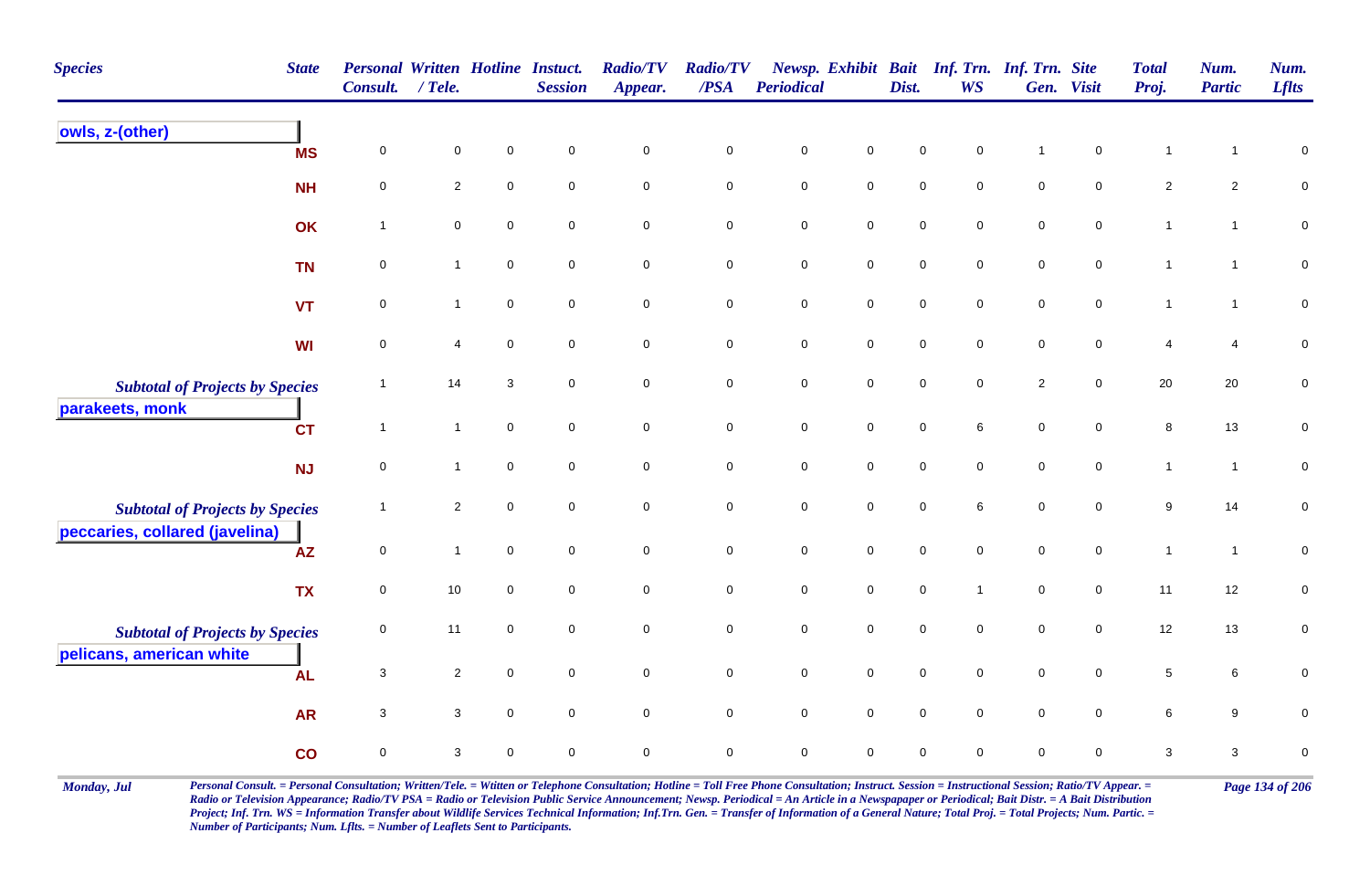| <b>Species</b>                                                           | <b>State</b> | <b>Personal Written Hotline Instuct.</b><br>Consult. | $/$ Tele.      |                     | <b>Session</b>      | <b>Radio/TV</b><br>Appear. | <b>Radio/TV</b><br>/PSA | <b>Periodical</b>   |                     | Dist.               | Newsp. Exhibit Bait Inf. Trn. Inf. Trn. Site<br>WS |                     | Gen. Visit          | <b>Total</b><br>Proj. | Num.<br><b>Partic</b> | Num.<br><b>Lflts</b> |
|--------------------------------------------------------------------------|--------------|------------------------------------------------------|----------------|---------------------|---------------------|----------------------------|-------------------------|---------------------|---------------------|---------------------|----------------------------------------------------|---------------------|---------------------|-----------------------|-----------------------|----------------------|
| owls, z-(other)                                                          | <b>MS</b>    | $\mathbf 0$                                          | $\mathbf 0$    | $\mathbf 0$         | $\mathbf 0$         | $\pmb{0}$                  | $\pmb{0}$               | $\pmb{0}$           | $\mathbf 0$         | $\mathbf 0$         | $\mathsf 0$                                        | $\overline{1}$      | $\mathbf 0$         | $\mathbf{1}$          | $\mathbf{1}$          | $\pmb{0}$            |
|                                                                          | <b>NH</b>    | $\mathbf 0$                                          | $\overline{a}$ | $\mathbf 0$         | $\mathsf{O}\xspace$ | $\mathsf{O}\xspace$        | $\mathbf 0$             | $\mathbf 0$         | $\pmb{0}$           | $\mathbf 0$         | $\mathbf 0$                                        | $\mathsf{O}\xspace$ | $\mathsf{O}\xspace$ | $\sqrt{2}$            | $\overline{2}$        | $\pmb{0}$            |
|                                                                          | OK           | $\mathbf{1}$                                         | $\mathbf 0$    | $\pmb{0}$           | $\mathsf{O}\xspace$ | $\mathsf{O}\xspace$        | $\pmb{0}$               | $\pmb{0}$           | $\mathbf 0$         | $\pmb{0}$           | $\mathbf 0$                                        | $\pmb{0}$           | $\mathsf{O}\xspace$ | $\mathbf{1}$          | $\mathbf{1}$          | $\mathbf 0$          |
|                                                                          | <b>TN</b>    | $\mathbf 0$                                          | $\mathbf{1}$   | $\mathsf{O}\xspace$ | $\mathbf 0$         | $\mathbf 0$                | $\mathbf 0$             | $\mathbf 0$         | $\mathsf{O}\xspace$ | $\mathbf 0$         | $\mathsf 0$                                        | $\mathbf 0$         | $\mathbf 0$         | $\mathbf{1}$          | $\mathbf{1}$          | $\mathbf 0$          |
|                                                                          | <b>VT</b>    | $\mathbf 0$                                          | $\mathbf{1}$   | $\mathbf 0$         | $\mathbf 0$         | $\mathbf 0$                | $\pmb{0}$               | ${\bf 0}$           | $\pmb{0}$           | $\mathbf 0$         | $\mathbf 0$                                        | $\mathbf 0$         | $\mathbf 0$         | $\mathbf{1}$          | $\mathbf{1}$          | $\pmb{0}$            |
|                                                                          | WI           | $\mathsf 0$                                          | 4              | $\mathbf 0$         | $\mathbf 0$         | $\mathbf 0$                | $\pmb{0}$               | $\mathbf 0$         | $\mathbf 0$         | $\pmb{0}$           | $\mathsf 0$                                        | $\mathbf 0$         | $\mathbf 0$         | $\overline{4}$        | 4                     | $\pmb{0}$            |
| <b>Subtotal of Projects by Species</b><br>parakeets, monk                |              | $\mathbf{1}$                                         | 14             | 3                   | $\mathbf 0$         | $\mathbf 0$                | $\mathbf 0$             | $\pmb{0}$           | $\mathbf 0$         | $\mathsf{O}\xspace$ | $\mathbf 0$                                        | $\sqrt{2}$          | $\mathbf 0$         | $20\,$                | 20                    | $\pmb{0}$            |
|                                                                          | <b>CT</b>    | $\mathbf{1}$                                         | $\mathbf{1}$   | $\mathbf 0$         | $\mathbf 0$         | $\mathsf{O}\xspace$        | $\mathbf 0$             | ${\bf 0}$           | $\mathbf 0$         | $\mathbf 0$         | 6                                                  | $\mathbf 0$         | $\mathbf 0$         | $\bf 8$               | 13                    | $\pmb{0}$            |
|                                                                          | NJ           | $\mathbf 0$                                          | $\mathbf{1}$   | $\mathbf 0$         | $\mathbf 0$         | $\mathsf{O}\xspace$        | $\mathsf 0$             | $\mathbf 0$         | $\mathsf{O}\xspace$ | $\mathsf{O}\xspace$ | $\mathbf 0$                                        | $\mathsf{O}\xspace$ | $\mathbf 0$         | $\mathbf{1}$          | $\mathbf{1}$          | $\pmb{0}$            |
| <b>Subtotal of Projects by Species</b><br>peccaries, collared (javelina) |              | $\mathbf{1}$                                         | $\overline{2}$ | $\pmb{0}$           | $\mathsf{O}\xspace$ | $\mathsf{O}\xspace$        | $\pmb{0}$               | $\mathsf{O}\xspace$ | $\mathsf 0$         | $\mathsf{O}\xspace$ | $\,6\,$                                            | $\mathsf{O}\xspace$ | $\mathsf{O}\xspace$ | $\boldsymbol{9}$      | 14                    | $\pmb{0}$            |
|                                                                          | AZ           | $\mathbf 0$                                          | $\mathbf{1}$   | $\mathbf 0$         | $\mathbf 0$         | $\mathsf{O}\xspace$        | $\mathbf 0$             | $\pmb{0}$           | $\mathbf 0$         | $\mathbf 0$         | $\mathbf 0$                                        | $\mathsf{O}\xspace$ | $\mathbf 0$         | $\mathbf{1}$          | $\mathbf{1}$          | ${\bf 0}$            |
|                                                                          | <b>TX</b>    | $\mathbf 0$                                          | 10             | $\mathbf 0$         | $\mathbf 0$         | $\mathbf 0$                | $\mathbf 0$             | $\mathbf 0$         | $\overline{0}$      | $\mathbf 0$         | $\overline{1}$                                     | $\mathbf 0$         | $\overline{0}$      | 11                    | 12                    | $\pmb{0}$            |
| <b>Subtotal of Projects by Species</b>                                   |              | 0                                                    | 11             | $\mathbf 0$         | 0                   | $\pmb{0}$                  | $\pmb{0}$               | $\mathbf 0$         | $\pmb{0}$           | $\pmb{0}$           | $\pmb{0}$                                          | $\mathbf 0$         | $\mathsf{O}\xspace$ | 12                    | 13                    | $\pmb{0}$            |
| pelicans, american white                                                 | <b>AL</b>    | $\sqrt{3}$                                           | $\overline{a}$ | $\mathbf 0$         | $\mathsf{O}\xspace$ | $\mathbf 0$                | $\pmb{0}$               | $\mathbf 0$         | $\mathsf{O}$        | $\mathbf 0$         | $\mathbf 0$                                        | $\mathbf 0$         | $\mathbf 0$         | $\,$ 5 $\,$           | 6                     | $\pmb{0}$            |
|                                                                          | <b>AR</b>    | 3                                                    | 3              | $\mathbf 0$         | $\mathbf 0$         | $\mathsf{O}\xspace$        | $\mathbf 0$             | $\mathsf{O}\xspace$ | $\mathsf 0$         | $\mathbf 0$         | $\mathbf 0$                                        | $\mathbf 0$         | $\mathbf 0$         | 6                     | 9                     | 0                    |
|                                                                          | co           | $\mathbf 0$                                          | $\mathbf{3}$   | $\mathbf 0$         | 0                   | $\pmb{0}$                  | $\mathbf 0$             | $\mathsf 0$         | $\mathsf{O}\xspace$ | $\mathbf 0$         | $\mathbf 0$                                        | $\mathbf 0$         | $\mathsf{O}\xspace$ | 3                     | $\mathbf{3}$          | 0                    |

Monday, Jul Personal Consult. = Personal Consultation; Written/Tele. = Witten or Telephone Consultation; Hotline = Toll Free Phone Consultation; Instruct. Session = Instructional Session; Ratio/TV Appear. = Page 134 of 206 *Radio or Television Appearance; Radio/TV PSA = Radio or Television Public Service Announcement; Newsp. Periodical = An Article in a Newspapaper or Periodical; Bait Distr. = A Bait Distribution*  Project; Inf. Trn. WS = Information Transfer about Wildlife Services Technical Information; Inf.Trn. Gen. = Transfer of Information of a General Nature; Total Proj. = Total Projects; Num. Partic. = *Number of Participants; Num. Lflts. = Number of Leaflets Sent to Participants.*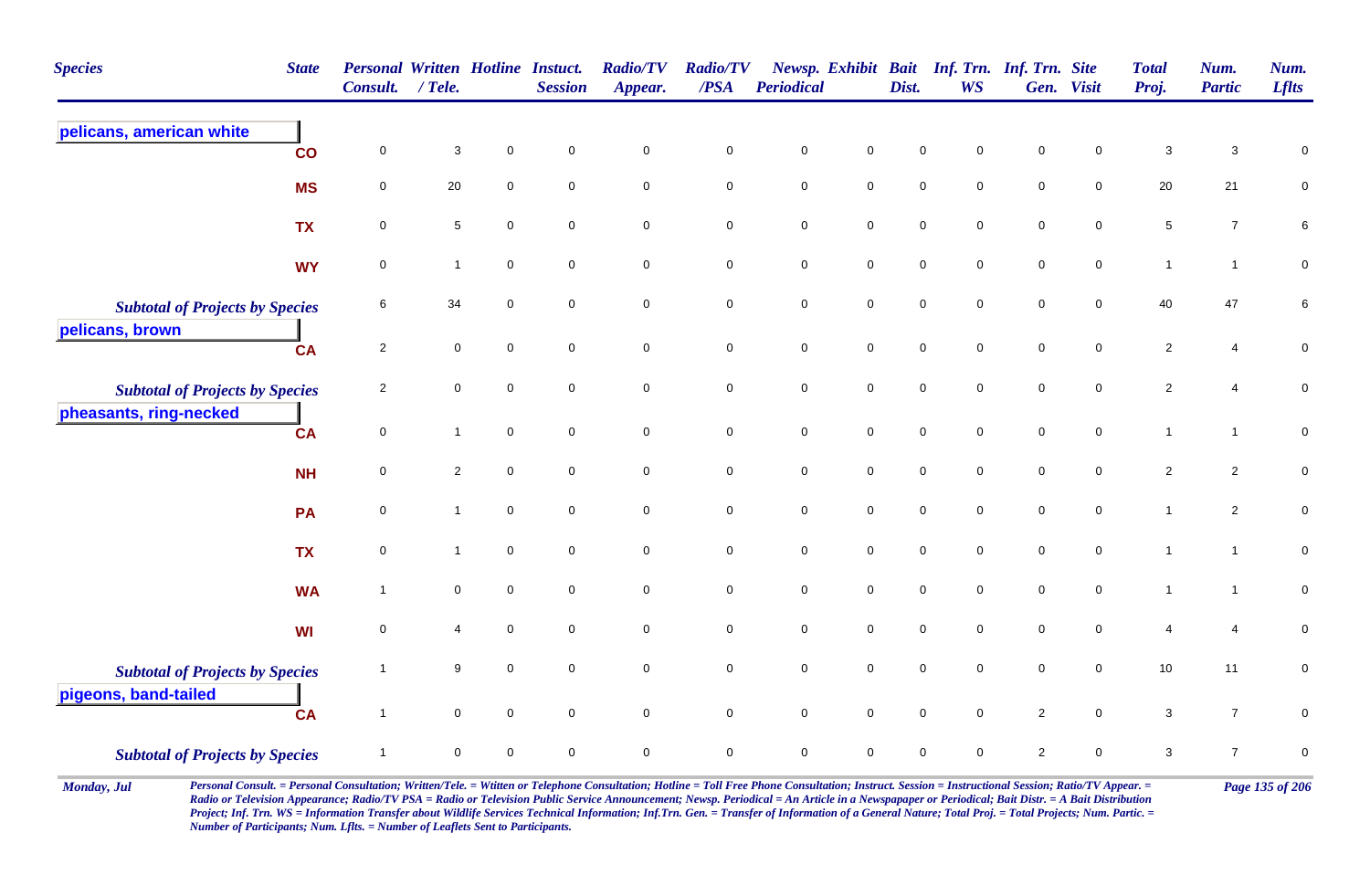| <b>Species</b>                         | <b>State</b> | <b>Personal Written Hotline Instuct.</b><br>Consult. | / Tele.             |                | <b>Session</b>      | <b>Radio/TV</b><br>Appear. | <b>Radio/TV</b><br>$\overline{PSA}$ | <b>Periodical</b> |                     | Dist.       | Newsp. Exhibit Bait Inf. Trn. Inf. Trn. Site<br><b>WS</b> |                     | Gen. Visit          | <b>Total</b><br>Proj. | Num.<br><b>Partic</b>     | Num.<br><b>Lflts</b> |
|----------------------------------------|--------------|------------------------------------------------------|---------------------|----------------|---------------------|----------------------------|-------------------------------------|-------------------|---------------------|-------------|-----------------------------------------------------------|---------------------|---------------------|-----------------------|---------------------------|----------------------|
| pelicans, american white               | co           | $\pmb{0}$                                            | $\sqrt{3}$          | $\overline{0}$ | $\mathbf 0$         | $\mathbf 0$                | $\mathbf 0$                         | $\mathbf 0$       | $\pmb{0}$           | $\mathbf 0$ | $\mathbf 0$                                               | $\mathbf 0$         | $\mathbf 0$         | $\mathbf{3}$          | $\ensuremath{\mathsf{3}}$ | 0                    |
|                                        | <b>MS</b>    | $\mathsf 0$                                          | 20                  | $\mathbf 0$    | $\mathbf 0$         | $\mathbf 0$                | $\pmb{0}$                           | $\mathbf 0$       | $\overline{0}$      | $\mathbf 0$ | $\mathbf 0$                                               | $\mathbf 0$         | $\mathbf 0$         | 20                    | $21$                      | 0                    |
|                                        | <b>TX</b>    | $\mathbf 0$                                          | 5                   | $\mathbf 0$    | $\mathbf 0$         | $\mathbf 0$                | $\mathbf 0$                         | 0                 | $\mathbf 0$         | $\mathbf 0$ | $\mathbf 0$                                               | $\mathbf 0$         | $\mathbf 0$         | $\sqrt{5}$            | $\overline{7}$            | 6                    |
|                                        | <b>WY</b>    | $\mathsf 0$                                          | $\mathbf{1}$        | $\mathbf 0$    | $\mathbf 0$         | $\mathsf{O}\xspace$        | $\mathbf 0$                         | $\pmb{0}$         | $\mathbf 0$         | $\pmb{0}$   | $\mathsf 0$                                               | $\pmb{0}$           | $\mathsf{O}\xspace$ | $\mathbf{1}$          | $\mathbf{1}$              | $\pmb{0}$            |
| <b>Subtotal of Projects by Species</b> |              | 6                                                    | 34                  | $\mathbf 0$    | $\mathsf{O}\xspace$ | $\mathbf 0$                | $\pmb{0}$                           | $\pmb{0}$         | $\mathbf 0$         | $\mathbf 0$ | $\mathsf 0$                                               | $\mathbf 0$         | $\mathbf 0$         | 40                    | 47                        | 6                    |
| pelicans, brown                        | <b>CA</b>    | $\overline{2}$                                       | $\mathbf 0$         | $\mathbf 0$    | $\mathbf 0$         | $\overline{0}$             | $\mathbf 0$                         | $\mathbf 0$       | $\overline{0}$      | $\mathbf 0$ | $\mathbf 0$                                               | $\mathbf 0$         | $\mathbf 0$         | $\overline{c}$        | 4                         | 0                    |
| <b>Subtotal of Projects by Species</b> |              | $\overline{2}$                                       | $\mathbf 0$         | $\mathsf 0$    | $\mathbf 0$         | $\mathsf 0$                | $\mathsf{O}\xspace$                 | $\mathbf 0$       | $\mathsf{O}\xspace$ | $\mathbf 0$ | $\mathbf 0$                                               | $\mathsf 0$         | $\mathbf 0$         | $\overline{c}$        | $\overline{4}$            | $\pmb{0}$            |
| pheasants, ring-necked                 | <b>CA</b>    | $\pmb{0}$                                            | $\mathbf{1}$        | $\mathsf 0$    | $\mathsf{O}\xspace$ | $\mathbf 0$                | $\pmb{0}$                           | $\mathbf 0$       | $\mathsf{O}\xspace$ | $\mathbf 0$ | $\mathbf 0$                                               | $\mathbf 0$         | $\mathbf 0$         | $\mathbf{1}$          | $\mathbf{1}$              | ${\bf 0}$            |
|                                        | <b>NH</b>    | $\mathbf 0$                                          | $\overline{2}$      | $\mathbf 0$    | $\mathsf{O}\xspace$ | $\mathsf{O}\xspace$        | $\mathsf{O}\xspace$                 | $\pmb{0}$         | $\mathbf 0$         | $\mathbf 0$ | $\mathsf 0$                                               | $\mathsf{O}\xspace$ | $\mathsf 0$         | $\overline{c}$        | $\overline{2}$            | $\pmb{0}$            |
|                                        | PA           | $\mathbf 0$                                          | $\mathbf{1}$        | $\mathbf 0$    | $\mathbf 0$         | $\mathbf 0$                | $\mathbf 0$                         | $\mathbf 0$       | $\mathbf 0$         | $\mathbf 0$ | $\mathbf 0$                                               | $\mathbf 0$         | $\mathbf 0$         | $\mathbf{1}$          | $\overline{a}$            | $\pmb{0}$            |
|                                        | <b>TX</b>    | $\mathbf 0$                                          | $\mathbf{1}$        | $\mathsf 0$    | $\mathbf 0$         | $\mathbf 0$                | $\mathsf{O}\xspace$                 | $\mathbf 0$       | $\mathbf 0$         | $\mathbf 0$ | $\mathbf 0$                                               | $\mathbf 0$         | $\mathbf 0$         | $\mathbf{1}$          | $\mathbf{1}$              | ${\bf 0}$            |
|                                        | <b>WA</b>    | $\overline{1}$                                       | $\mathsf{O}\xspace$ | $\mathbf 0$    | $\mathbf 0$         | $\mathsf{O}\xspace$        | $\mathbf 0$                         | $\pmb{0}$         | $\mathbf 0$         | $\mathbf 0$ | $\pmb{0}$                                                 | $\mathsf{O}\xspace$ | $\mathsf{O}\xspace$ | $\mathbf{1}$          | $\mathbf{1}$              | $\pmb{0}$            |
|                                        | <b>WI</b>    | $\pmb{0}$                                            | 4                   | $\mathbf 0$    | $\mathsf{O}\xspace$ | $\mathbf 0$                | $\pmb{0}$                           | $\pmb{0}$         | $\pmb{0}$           | $\mathbf 0$ | $\mathsf 0$                                               | $\pmb{0}$           | $\mathbf 0$         | 4                     | $\overline{4}$            | $\pmb{0}$            |
| <b>Subtotal of Projects by Species</b> |              | -1                                                   | 9                   | $\mathbf 0$    | $\mathsf{O}\xspace$ | $\mathbf 0$                | $\pmb{0}$                           | $\mathbf 0$       | $\mathbf 0$         | $\pmb{0}$   | $\mathsf 0$                                               | $\mathsf{O}\xspace$ | $\mathbf 0$         | 10                    | 11                        | $\pmb{0}$            |
| pigeons, band-tailed                   | <b>CA</b>    | $\overline{1}$                                       | $\mathbf 0$         | $\mathbf 0$    | $\mathbf 0$         | $\mathbf 0$                | $\mathsf{O}\xspace$                 | $\mathbf 0$       | $\mathbf 0$         | $\mathbf 0$ | $\mathbf 0$                                               | $\overline{2}$      | $\mathbf 0$         | $\mathbf{3}$          | $\overline{7}$            | 0                    |
| <b>Subtotal of Projects by Species</b> |              | $\mathbf{1}$                                         | $\mathbf 0$         | $\mathbf 0$    | $\mathbf 0$         | $\mathbf 0$                | $\mathbf 0$                         | $\pmb{0}$         | $\mathsf{O}\xspace$ | $\mathbf 0$ | $\mathbf 0$                                               | $\sqrt{2}$          | $\mathbf 0$         | 3                     | $\overline{7}$            | $\mathbf 0$          |

Monday, Jul Personal Consult. = Personal Consultation; Written/Tele. = Witten or Telephone Consultation; Hotline = Toll Free Phone Consultation; Instruct. Session = Instructional Session; Ratio/TV Appear. = Page 135 of 206 *Radio or Television Appearance; Radio/TV PSA = Radio or Television Public Service Announcement; Newsp. Periodical = An Article in a Newspapaper or Periodical; Bait Distr. = A Bait Distribution*  Project; Inf. Trn. WS = Information Transfer about Wildlife Services Technical Information; Inf.Trn. Gen. = Transfer of Information of a General Nature; Total Proj. = Total Projects; Num. Partic. = *Number of Participants; Num. Lflts. = Number of Leaflets Sent to Participants.*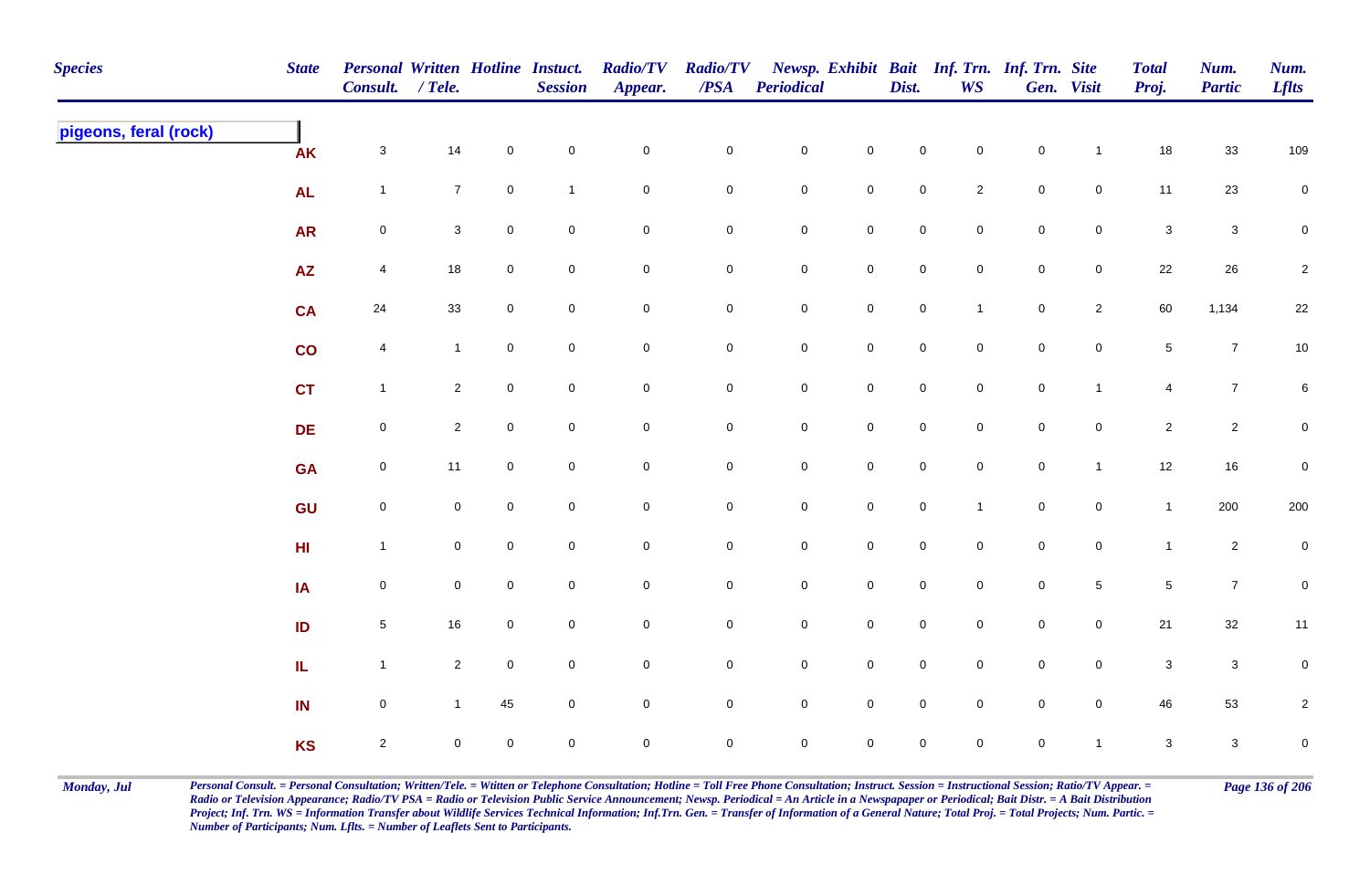| <b>Species</b>        | <b>State</b>    | Personal Written Hotline Instuct.<br>Consult. / Tele. |                |                     | <b>Session</b> | <b>Radio/TV</b><br>Appear. | <b>Radio/TV</b><br>$\overline{PSA}$ | <b>Periodical</b>   |                     | Dist.               | WS             | Newsp. Exhibit Bait Inf. Trn. Inf. Trn. Site | Gen. Visit          | <b>Total</b><br>Proj. | Num.<br><b>Partic</b> | Num.<br><b>Lflts</b> |
|-----------------------|-----------------|-------------------------------------------------------|----------------|---------------------|----------------|----------------------------|-------------------------------------|---------------------|---------------------|---------------------|----------------|----------------------------------------------|---------------------|-----------------------|-----------------------|----------------------|
| pigeons, feral (rock) | <b>AK</b>       | $\mathbf{3}$                                          | 14             | $\mathbf 0$         | $\pmb{0}$      | $\pmb{0}$                  | $\pmb{0}$                           | $\mathbf 0$         | $\mathbf 0$         | $\mathbf 0$         | $\mathbf 0$    | $\mathbf 0$                                  | $\mathbf{1}$        | 18                    | 33                    | 109                  |
|                       | <b>AL</b>       | $\mathbf{1}$                                          | $\overline{7}$ | $\mathsf{O}\xspace$ | $\mathbf{1}$   | $\mathbf 0$                | $\pmb{0}$                           | $\mathbf 0$         | $\mathbf 0$         | $\mathbf 0$         | $\overline{2}$ | $\mathbf 0$                                  | $\mathsf{O}\xspace$ | 11                    | 23                    | $\overline{0}$       |
|                       | <b>AR</b>       | $\mathsf{O}$                                          | 3              | $\mathbf 0$         | $\pmb{0}$      | $\pmb{0}$                  | 0                                   | $\boldsymbol{0}$    | $\mathbf 0$         | $\overline{0}$      | $\mathbf 0$    | $\mathbf 0$                                  | $\mathsf{O}$        | $\mathbf 3$           | $\mathbf{3}$          | $\mathbf 0$          |
|                       | $\overline{AZ}$ | $\overline{4}$                                        | $18$           | $\mathbf 0$         | $\mathsf 0$    | $\mathsf{O}\xspace$        | $\mathbf 0$                         | $\mathbf 0$         | $\mathsf{O}\xspace$ | $\mathbf 0$         | $\overline{0}$ | $\mathbf 0$                                  | $\overline{0}$      | 22                    | 26                    | $\sqrt{2}$           |
|                       | <b>CA</b>       | $24\,$                                                | 33             | $\overline{0}$      | $\mathbf 0$    | $\pmb{0}$                  | $\pmb{0}$                           | $\mathbf 0$         | $\pmb{0}$           | $\mathsf{O}\xspace$ | $\mathbf{1}$   | $\mathbf 0$                                  | $\overline{2}$      | 60                    | 1,134                 | $22\,$               |
|                       | $\mathsf{co}$   | $\overline{4}$                                        | $\mathbf{1}$   | $\mathbf 0$         | $\mathbf 0$    | $\mathsf{O}\xspace$        | $\overline{0}$                      | $\mathbf 0$         | $\mathsf{O}\xspace$ | $\mathbf 0$         | $\overline{0}$ | $\pmb{0}$                                    | $\mathbf 0$         | $\sqrt{5}$            | $\overline{7}$        | 10                   |
|                       | <b>CT</b>       | $\mathbf{1}$                                          | $\overline{2}$ | $\mathbf 0$         | $\mathbf 0$    | $\mathsf{O}\xspace$        | 0                                   | $\mathbf 0$         | $\mathsf 0$         | $\mathbf 0$         | $\mathbf 0$    | $\pmb{0}$                                    | $\mathbf{1}$        | 4                     | $\overline{7}$        | $6\phantom{.0}$      |
|                       | DE              | $\mathsf{O}\xspace$                                   | $\overline{2}$ | $\mathbf 0$         | $\mathbf 0$    | $\mathbf 0$                | 0                                   | $\mathsf{O}\xspace$ | $\mathbf 0$         | $\mathbf 0$         | $\mathbf 0$    | $\mathsf 0$                                  | $\mathbf 0$         | $\overline{2}$        | $\overline{2}$        | $\overline{0}$       |
|                       | <b>GA</b>       | $\mathsf{O}$                                          | 11             | $\overline{0}$      | $\mathbf 0$    | $\pmb{0}$                  | $\pmb{0}$                           | $\mathbf 0$         | $\mathbf 0$         | $\mathbf 0$         | $\mathbf 0$    | $\mathbf 0$                                  | $\mathbf{1}$        | $12$                  | 16                    | $\pmb{0}$            |
|                       | GU              | $\mathsf{O}\xspace$                                   | $\mathbf 0$    | $\mathbf 0$         | $\mathbf 0$    | $\mathbf 0$                | $\pmb{0}$                           | $\mathbf 0$         | $\mathsf{O}\xspace$ | $\mathbf 0$         | $\mathbf{1}$   | $\pmb{0}$                                    | $\mathbf 0$         | $\mathbf{1}$          | 200                   | 200                  |
|                       | H <sub>II</sub> | $\mathbf{1}$                                          | $\mathbf 0$    | $\mathbf 0$         | $\pmb{0}$      | $\mathbf 0$                | 0                                   | $\mathbf 0$         | $\mathbf 0$         | $\mathbf 0$         | $\mathbf 0$    | $\mathbf 0$                                  | $\overline{0}$      | $\mathbf{1}$          | $\overline{a}$        | $\mathbf 0$          |
|                       | IA              | $\mathsf{O}\xspace$                                   | $\mathbf 0$    | $\mathbf 0$         | $\mathbf 0$    | $\mathbf 0$                | 0                                   | $\mathsf{O}\xspace$ | $\mathbf 0$         | $\overline{0}$      | $\mathbf 0$    | $\mathbf 0$                                  | $\sqrt{5}$          | $\sqrt{5}$            | $\overline{7}$        | $\pmb{0}$            |
|                       | ID              | $\sqrt{5}$                                            | $16\,$         | $\mathbf 0$         | $\mathsf 0$    | $\pmb{0}$                  | 0                                   | $\mathbf 0$         | $\mathsf{O}\xspace$ | $\mathsf{O}\xspace$ | $\overline{0}$ | $\mathbf 0$                                  | $\overline{0}$      | $21$                  | $32\,$                | 11                   |
|                       | IL.             | $\mathbf{1}$                                          | $\overline{2}$ | $\mathbf 0$         | $\pmb{0}$      | $\pmb{0}$                  | 0                                   | $\mathbf 0$         | $\mathsf{O}\xspace$ | $\mathbf 0$         | $\mathbf 0$    | $\pmb{0}$                                    | $\mathbf 0$         | $\mathbf{3}$          | $\mathsf 3$           | $\pmb{0}$            |
|                       | IN              | $\mathbf 0$                                           |                | 45                  | $\mathbf 0$    | $\pmb{0}$                  | 0                                   | $\mathbf 0$         | $\mathsf 0$         | $\mathsf 0$         | $\mathbf 0$    | $\pmb{0}$                                    | $\mathsf 0$         | 46                    | 53                    | $\overline{2}$       |
|                       | <b>KS</b>       | $\overline{2}$                                        | $\Omega$       | $\mathbf 0$         | $\mathbf 0$    | $\mathbf 0$                | 0                                   | $\mathsf{O}\xspace$ | $\mathbf 0$         | $\mathbf 0$         | $\mathbf 0$    | $\mathsf 0$                                  | $\mathbf{1}$        | $\mathbf{3}$          | $\mathbf{3}$          | $\mathbf 0$          |

Monday, Jul Personal Consult. = Personal Consultation; Written/Tele. = Witten or Telephone Consultation; Hotline = Toll Free Phone Consultation; Instruct. Session = Instructional Session; Ratio/TV Appear. = Page 136 of 206 *Radio or Television Appearance; Radio/TV PSA = Radio or Television Public Service Announcement; Newsp. Periodical = An Article in a Newspapaper or Periodical; Bait Distr. = A Bait Distribution*  Project; Inf. Trn. WS = Information Transfer about Wildlife Services Technical Information; Inf.Trn. Gen. = Transfer of Information of a General Nature; Total Proj. = Total Projects; Num. Partic. = *Number of Participants; Num. Lflts. = Number of Leaflets Sent to Participants.*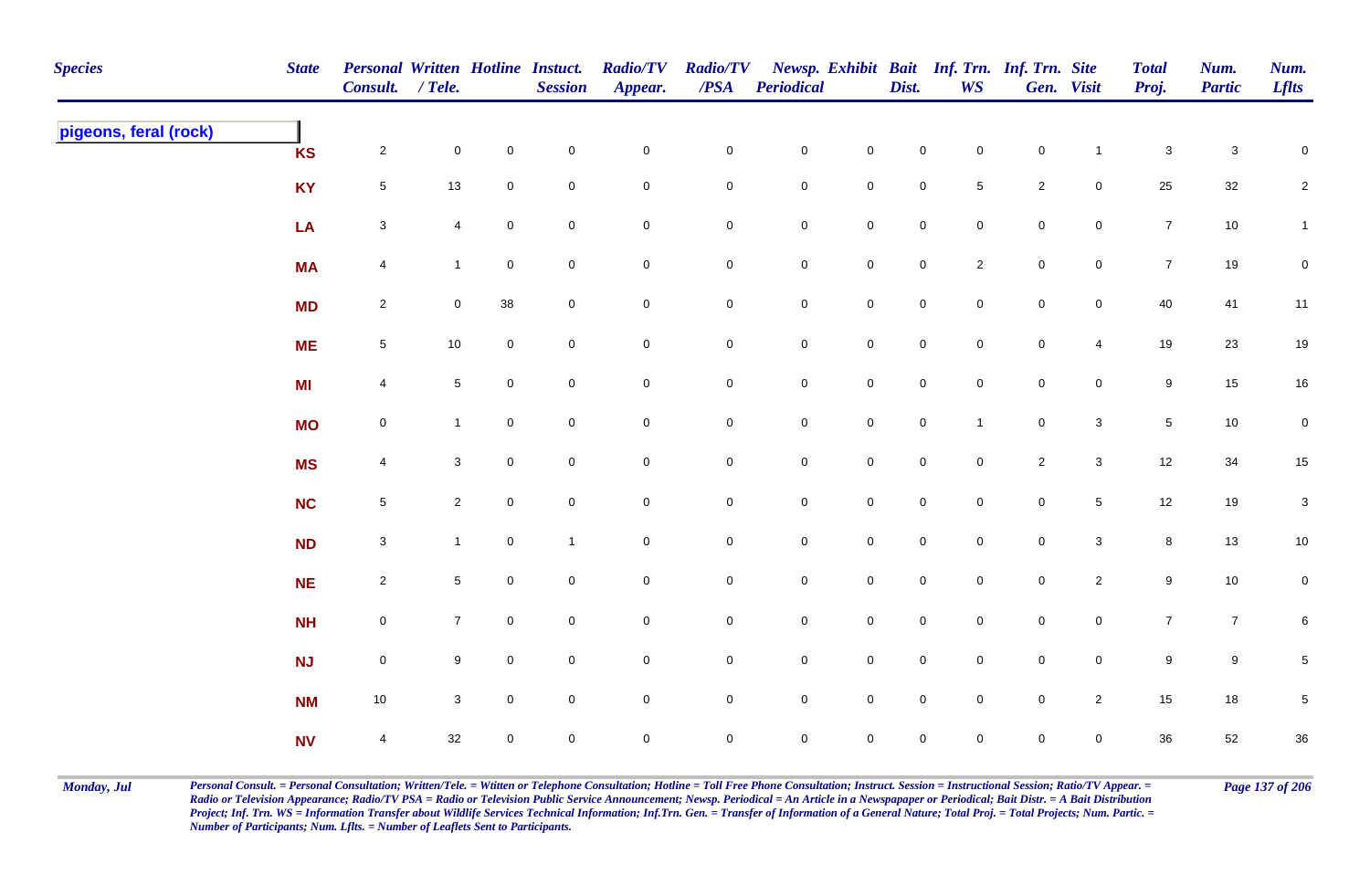| <b>Species</b>        | <b>State</b> | Personal Written Hotline Instuct.<br>Consult. / Tele. |                 |             | <b>Session</b> | <b>Radio/TV</b><br>Appear. | <b>Radio/TV</b><br>$\boldsymbol{PSA}$ | <b>Periodical</b>   |                     | Dist.               | <b>WS</b>           | Newsp. Exhibit Bait Inf. Trn. Inf. Trn. Site | Gen. Visit      | <b>Total</b><br>Proj. | Num.<br><b>Partic</b> | Num.<br><b>Lflts</b>      |
|-----------------------|--------------|-------------------------------------------------------|-----------------|-------------|----------------|----------------------------|---------------------------------------|---------------------|---------------------|---------------------|---------------------|----------------------------------------------|-----------------|-----------------------|-----------------------|---------------------------|
| pigeons, feral (rock) | <b>KS</b>    | $\overline{2}$                                        | $\mathsf 0$     | $\mathbf 0$ | $\pmb{0}$      | $\mathsf{O}\xspace$        | $\mathbf 0$                           | $\mathbf 0$         | $\mathbf 0$         | $\mathbf 0$         | $\mathsf{O}\xspace$ | $\mathbf 0$                                  | $\mathbf{1}$    | $\mathbf 3$           | $\mathbf{3}$          | $\mathbf 0$               |
|                       | <b>KY</b>    | $5\phantom{.0}$                                       | $13$            | $\mathbf 0$ | $\mathbf 0$    | $\pmb{0}$                  | 0                                     | $\mathsf{O}\xspace$ | ${\bf 0}$           | $\mathbf 0$         | $\,$ 5 $\,$         | $\overline{2}$                               | $\overline{0}$  | $25\,$                | $32\,$                | $\overline{a}$            |
|                       | LA           | $\mathbf{3}$                                          | 4               | $\mathbf 0$ | $\pmb{0}$      | $\pmb{0}$                  | $\mathbf 0$                           | $\mathbf 0$         | $\mathsf{O}\xspace$ | $\mathbf 0$         | $\mathbf 0$         | $\mathbf 0$                                  | $\overline{0}$  | $\overline{7}$        | 10                    | $\mathbf{1}$              |
|                       | <b>MA</b>    | $\overline{4}$                                        | $\mathbf{1}$    | $\mathbf 0$ | $\mathsf 0$    | $\mathbf 0$                | 0                                     | $\mathbf 0$         | $\mathbf 0$         | $\mathsf{O}\xspace$ | $\overline{2}$      | $\mathbf 0$                                  | $\overline{0}$  | $\overline{7}$        | 19                    | $\mathbf 0$               |
|                       | <b>MD</b>    | $\overline{2}$                                        | $\mathbf 0$     | 38          | $\mathsf 0$    | $\pmb{0}$                  | $\mathbf 0$                           | $\mathsf{O}$        | $\overline{0}$      | $\overline{0}$      | $\mathbf 0$         | $\mathsf 0$                                  | $\overline{0}$  | 40                    | 41                    | 11                        |
|                       | <b>ME</b>    | $\sqrt{5}$                                            | $10$            | $\mathbf 0$ | $\mathbf 0$    | $\mathsf{O}\xspace$        | $\mathbf 0$                           | $\mathbf 0$         | $\mathbf 0$         | $\overline{0}$      | $\mathsf{O}\xspace$ | $\mathsf 0$                                  | $\overline{4}$  | 19                    | $23\,$                | 19                        |
|                       | <b>MI</b>    | $\overline{4}$                                        | $\sqrt{5}$      | $\mathbf 0$ | $\pmb{0}$      | $\mathsf{O}\xspace$        | $\mathsf{O}\xspace$                   | $\mathsf{O}\xspace$ | $\mathsf{O}\xspace$ | $\mathsf{O}\xspace$ | $\mathsf{O}\xspace$ | $\mathsf 0$                                  | $\overline{0}$  | $\boldsymbol{9}$      | 15                    | $16\,$                    |
|                       | <b>MO</b>    | $\mathbf 0$                                           | $\mathbf{1}$    | $\mathbf 0$ | $\mathsf 0$    | $\mathbf 0$                | 0                                     | $\mathbf 0$         | $\mathsf{O}\xspace$ | $\mathsf{O}\xspace$ | $\mathbf{1}$        | $\mathsf{O}$                                 | $\mathbf{3}$    | $\sqrt{5}$            | $10\,$                | $\pmb{0}$                 |
|                       | <b>MS</b>    | $\overline{4}$                                        | 3               | $\mathbf 0$ | $\mathsf 0$    | $\mathbf 0$                | $\mathbf 0$                           | $\mathbf 0$         | $\mathbf 0$         | $\overline{0}$      | $\mathbf 0$         | $\overline{2}$                               | $\mathbf{3}$    | 12                    | 34                    | $15\,$                    |
|                       | NC           | $5\phantom{.0}$                                       | $\overline{2}$  | $\mathbf 0$ | $\mathsf 0$    | $\pmb{0}$                  | $\mathbf 0$                           | $\mathsf{O}\xspace$ | $\mathbf 0$         | $\mathsf{O}\xspace$ | $\mathbf 0$         | $\mathbf 0$                                  | $5\phantom{.0}$ | $12\,$                | 19                    | $\ensuremath{\mathsf{3}}$ |
|                       | <b>ND</b>    | $\mathbf{3}$                                          | $\mathbf{1}$    | $\mathbf 0$ | $\mathbf{1}$   | $\mathsf{O}\xspace$        | $\mathbf 0$                           | $\mathsf{O}\xspace$ | $\mathsf{O}\xspace$ | $\mathsf{O}\xspace$ | $\mathbf 0$         | $\mathsf{O}\xspace$                          | $\mathbf{3}$    | $\bf{8}$              | 13                    | 10                        |
|                       | NE           | $\overline{2}$                                        | $5\phantom{.0}$ | $\mathbf 0$ | $\pmb{0}$      | $\pmb{0}$                  | $\mathbf 0$                           | $\mathbf 0$         | $\mathbf 0$         | $\mathbf 0$         | $\mathbf 0$         | $\mathbf 0$                                  | $\overline{2}$  | $\boldsymbol{9}$      | $10\,$                | $\mathbf 0$               |
|                       | <b>NH</b>    | $\mathbf 0$                                           | $\overline{7}$  | $\mathbf 0$ | $\pmb{0}$      | $\mathbf 0$                | 0                                     | $\mathbf 0$         | $\mathbf 0$         | $\mathbf 0$         | $\mathbf 0$         | $\mathsf{O}$                                 | $\mathbf 0$     | $\overline{7}$        | $\overline{7}$        | 6                         |
|                       | <b>NJ</b>    | $\mathsf{O}$                                          | 9               | $\mathbf 0$ | $\mathsf 0$    | $\pmb{0}$                  | $\mathbf 0$                           | $\mathsf{O}\xspace$ | $\mathsf{O}\xspace$ | $\mathbf 0$         | $\mathbf 0$         | $\mathsf{O}\xspace$                          | $\overline{0}$  | 9                     | 9                     | $\sqrt{5}$                |
|                       | <b>NM</b>    | 10                                                    | $\mathbf{3}$    | $\mathbf 0$ | $\mathsf 0$    | $\pmb{0}$                  | $\mathbf 0$                           | $\mathsf 0$         | $\mathsf{O}\xspace$ | $\overline{0}$      | $\mathbf 0$         | $\mathsf 0$                                  | $\overline{2}$  | 15                    | $18\,$                | $\,$ 5 $\,$               |
|                       | <b>NV</b>    | $\overline{4}$                                        | 32              | $\mathbf 0$ | $\mathsf 0$    | $\mathbf 0$                | $\mathbf 0$                           | $\mathsf{O}\xspace$ | $\mathsf{O}\xspace$ | $\mathsf{O}\xspace$ | $\mathbf 0$         | $\mathbf 0$                                  | $\mathbf 0$     | 36                    | 52                    | $36\,$                    |

Monday, Jul Personal Consult. = Personal Consultation; Written/Tele. = Witten or Telephone Consultation; Hotline = Toll Free Phone Consultation; Instruct. Session = Instructional Session; Ratio/TV Appear. = Page 137 of 206 *Radio or Television Appearance; Radio/TV PSA = Radio or Television Public Service Announcement; Newsp. Periodical = An Article in a Newspapaper or Periodical; Bait Distr. = A Bait Distribution*  Project; Inf. Trn. WS = Information Transfer about Wildlife Services Technical Information; Inf.Trn. Gen. = Transfer of Information of a General Nature; Total Proj. = Total Projects; Num. Partic. = *Number of Participants; Num. Lflts. = Number of Leaflets Sent to Participants.*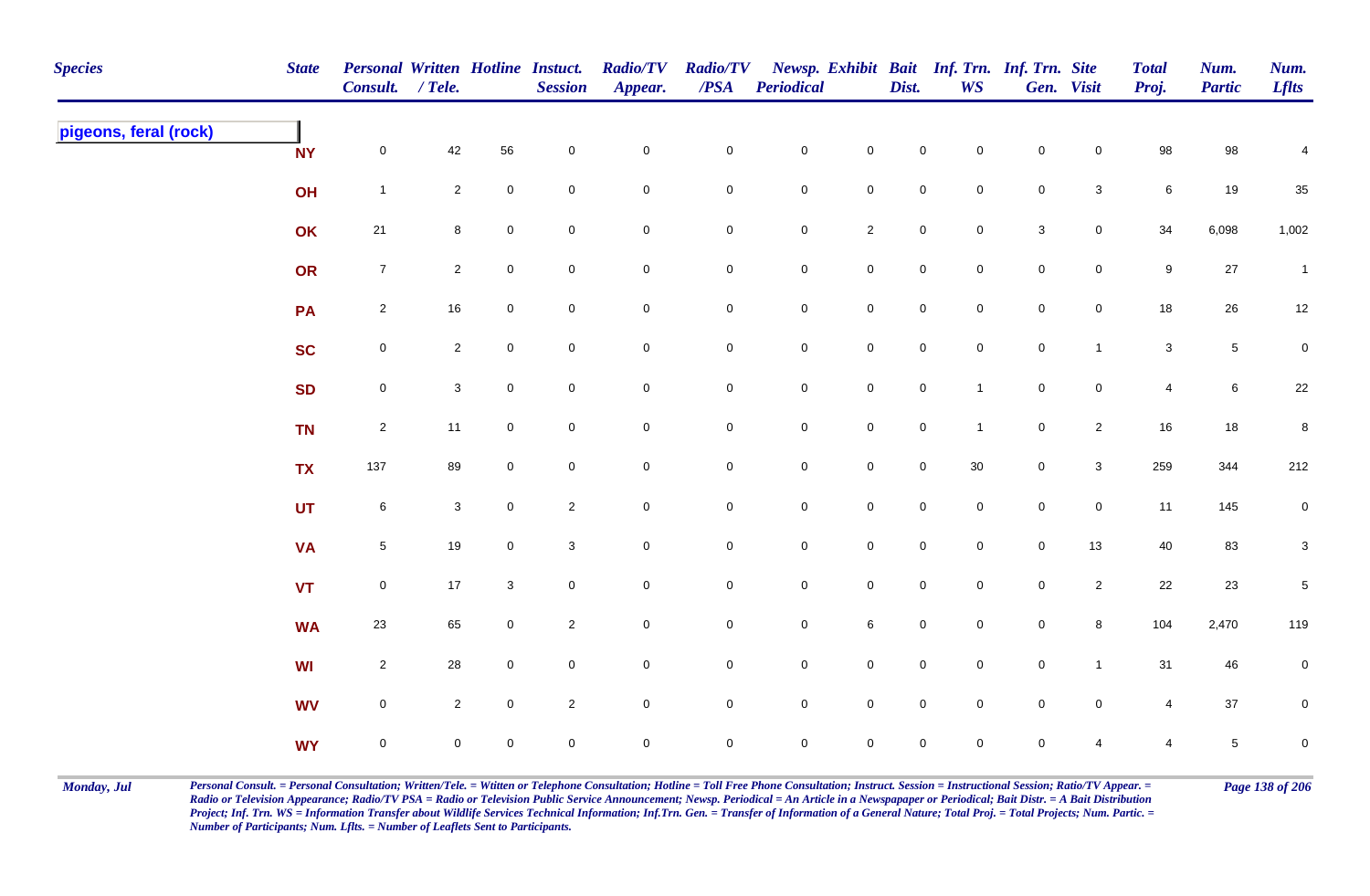| <b>Species</b>        | <b>State</b> | Personal Written Hotline Instuct.<br>Consult. / Tele. |                |                     | <b>Session</b>            | <b>Radio/TV</b><br>Appear. | <b>Radio/TV</b><br>$\overline{PSA}$ | <b>Periodical</b>   |                     | Dist.               | Newsp. Exhibit Bait Inf. Trn. Inf. Trn. Site<br><b>WS</b> |                           | Gen. Visit          | <b>Total</b><br>Proj. | Num.<br><b>Partic</b> | Num.<br><b>Lflts</b> |
|-----------------------|--------------|-------------------------------------------------------|----------------|---------------------|---------------------------|----------------------------|-------------------------------------|---------------------|---------------------|---------------------|-----------------------------------------------------------|---------------------------|---------------------|-----------------------|-----------------------|----------------------|
| pigeons, feral (rock) | <b>NY</b>    | $\mathsf{O}\xspace$                                   | 42             | 56                  | $\mathbf 0$               | $\pmb{0}$                  | $\pmb{0}$                           | $\mathbf 0$         | $\mathsf{O}\xspace$ | $\mathbf 0$         | $\mathbf 0$                                               | $\pmb{0}$                 | $\mathbf 0$         | 98                    | 98                    | $\overline{4}$       |
|                       | OH           | $\mathbf{1}$                                          | $\overline{2}$ | 0                   | ${\bf 0}$                 | $\mathbf 0$                | ${\bf 0}$                           | $\mathbf 0$         | $\mathsf{O}\xspace$ | $\mathsf{O}\xspace$ | $\overline{0}$                                            | $\pmb{0}$                 | $\mathbf{3}$        | $6\phantom{.}6$       | 19                    | $35\,$               |
|                       | OK           | 21                                                    | 8              | $\mathbf 0$         | $\boldsymbol{0}$          | $\mathsf 0$                | $\mathbf 0$                         | $\mathbf 0$         | $\overline{2}$      | $\overline{0}$      | $\mathbf 0$                                               | $\ensuremath{\mathsf{3}}$ | $\overline{0}$      | 34                    | 6,098                 | 1,002                |
|                       | OR           | $\overline{7}$                                        | $\overline{2}$ | $\pmb{0}$           | $\mathbf 0$               | $\mathbf 0$                | ${\bf 0}$                           | $\mathbf 0$         | $\mathsf{O}\xspace$ | $\mathbf 0$         | $\mathbf 0$                                               | $\mathbf 0$               | $\mathbf 0$         | $\boldsymbol{9}$      | $27\,$                | $\mathbf{1}$         |
|                       | PA           | $\overline{2}$                                        | $16\,$         | 0                   | $\pmb{0}$                 | $\mathsf{O}\xspace$        | $\mathbf 0$                         | $\mathsf{O}\xspace$ | $\mathsf{O}\xspace$ | $\mathsf{O}\xspace$ | $\mathsf{O}\xspace$                                       | $\mathbf 0$               | $\mathsf{O}$        | 18                    | 26                    | 12                   |
|                       | <b>SC</b>    | $\mathbf 0$                                           | $\overline{2}$ | $\mathsf{O}\xspace$ | $\mathbf 0$               | $\mathsf 0$                | $\mathbf 0$                         | $\pmb{0}$           | $\mathsf{O}\xspace$ | $\mathsf 0$         | $\mathsf{O}\xspace$                                       | $\mathbf 0$               | $\mathbf{1}$        | $\mathbf{3}$          | $\sqrt{5}$            | $\overline{0}$       |
|                       | <b>SD</b>    | $\mathsf{O}\xspace$                                   | 3 <sup>1</sup> | $\mathsf{O}$        | $\mathbf 0$               | $\mathbf 0$                | $\mathbf 0$                         | $\mathsf{O}\xspace$ | $\mathsf{O}\xspace$ | $\mathsf{O}\xspace$ | $\mathbf{1}$                                              | $\mathbf 0$               | $\mathsf{O}\xspace$ | $\overline{4}$        | $\,6$                 | 22                   |
|                       | <b>TN</b>    | $\overline{2}$                                        | 11             | 0                   | $\mathbf 0$               | $\pmb{0}$                  | $\mathbf 0$                         | $\mathsf{O}\xspace$ | $\mathsf{O}\xspace$ | $\mathsf{O}\xspace$ | $\mathbf{1}$                                              | $\mathbf 0$               | $\overline{2}$      | $16\,$                | $18$                  | $\bf 8$              |
|                       | <b>TX</b>    | 137                                                   | 89             | $\mathsf{O}$        | $\overline{0}$            | $\mathbf 0$                | $\mathbf 0$                         | $\mathsf{O}\xspace$ | $\mathsf{O}\xspace$ | $\mathbf 0$         | 30                                                        | $\mathbf 0$               | $\mathbf{3}$        | 259                   | 344                   | 212                  |
|                       | <b>UT</b>    | 6                                                     | $\mathbf{3}$   | $\mathbf 0$         | $\overline{2}$            | $\mathbf 0$                | 0                                   | $\mathbf 0$         | $\mathbf 0$         | $\mathbf 0$         | $\mathbf 0$                                               | $\pmb{0}$                 | $\mathsf{O}\xspace$ | 11                    | 145                   | $\overline{0}$       |
|                       | <b>VA</b>    | $\overline{5}$                                        | $19$           | $\mathsf{O}$        | $\ensuremath{\mathsf{3}}$ | $\mathsf{O}\xspace$        | ${\bf 0}$                           | $\pmb{0}$           | $\mathbf 0$         | $\mathsf{O}\xspace$ | $\overline{0}$                                            | $\pmb{0}$                 | 13                  | 40                    | 83                    | $\mathbf{3}$         |
|                       | <b>VT</b>    | $\mathsf 0$                                           | 17             | 3                   | $\mathbf 0$               | $\mathbf 0$                | $\mathbf 0$                         | $\mathbf 0$         | $\mathbf 0$         | $\overline{0}$      | $\mathbf 0$                                               | $\pmb{0}$                 | $\overline{2}$      | 22                    | 23                    | $\,$ 5 $\,$          |
|                       | <b>WA</b>    | 23                                                    | 65             | 0                   | $\overline{2}$            | $\mathsf{O}\xspace$        | $\mathbf 0$                         | $\mathsf{O}\xspace$ | $\,6\,$             | $\mathsf{O}\xspace$ | $\mathsf{O}\xspace$                                       | $\mathbf 0$               | $\bf{8}$            | 104                   | 2,470                 | 119                  |
|                       | <b>WI</b>    | $\overline{2}$                                        | 28             | 0                   | $\mathbf 0$               | $\mathsf{O}\xspace$        | $\mathbf 0$                         | $\mathsf{O}\xspace$ | $\mathsf 0$         | $\mathsf{O}\xspace$ | $\mathsf{O}\xspace$                                       | $\mathbf 0$               | $\mathbf{1}$        | 31                    | 46                    | $\overline{0}$       |
|                       | <b>WV</b>    | $\mathsf{O}\xspace$                                   | $\overline{2}$ | $\mathbf 0$         | $\overline{2}$            | $\mathsf{O}\xspace$        | $\mathbf 0$                         | $\mathsf{O}\xspace$ | $\mathsf 0$         | $\mathsf{O}\xspace$ | $\mathbf 0$                                               | $\mathbf 0$               | $\mathsf{O}\xspace$ | $\overline{4}$        | $37\,$                | $\mathbf 0$          |
|                       | <b>WY</b>    | $\mathbf 0$                                           | 0              | $\mathsf{O}$        | $\mathsf 0$               | $\mathbf 0$                | $\mathbf 0$                         | $\mathbf 0$         | $\mathbf 0$         | $\mathbf 0$         | $\mathbf 0$                                               | $\mathsf{O}\xspace$       | 4                   | $\overline{4}$        | $\,$ 5 $\,$           | $\mathbf 0$          |

Monday, Jul Personal Consult. = Personal Consultation; Written/Tele. = Witten or Telephone Consultation; Hotline = Toll Free Phone Consultation; Instruct. Session = Instructional Session; Ratio/TV Appear. = Page 138 of 206 *Radio or Television Appearance; Radio/TV PSA = Radio or Television Public Service Announcement; Newsp. Periodical = An Article in a Newspapaper or Periodical; Bait Distr. = A Bait Distribution*  Project; Inf. Trn. WS = Information Transfer about Wildlife Services Technical Information; Inf.Trn. Gen. = Transfer of Information of a General Nature; Total Proj. = Total Projects; Num. Partic. = *Number of Participants; Num. Lflts. = Number of Leaflets Sent to Participants.*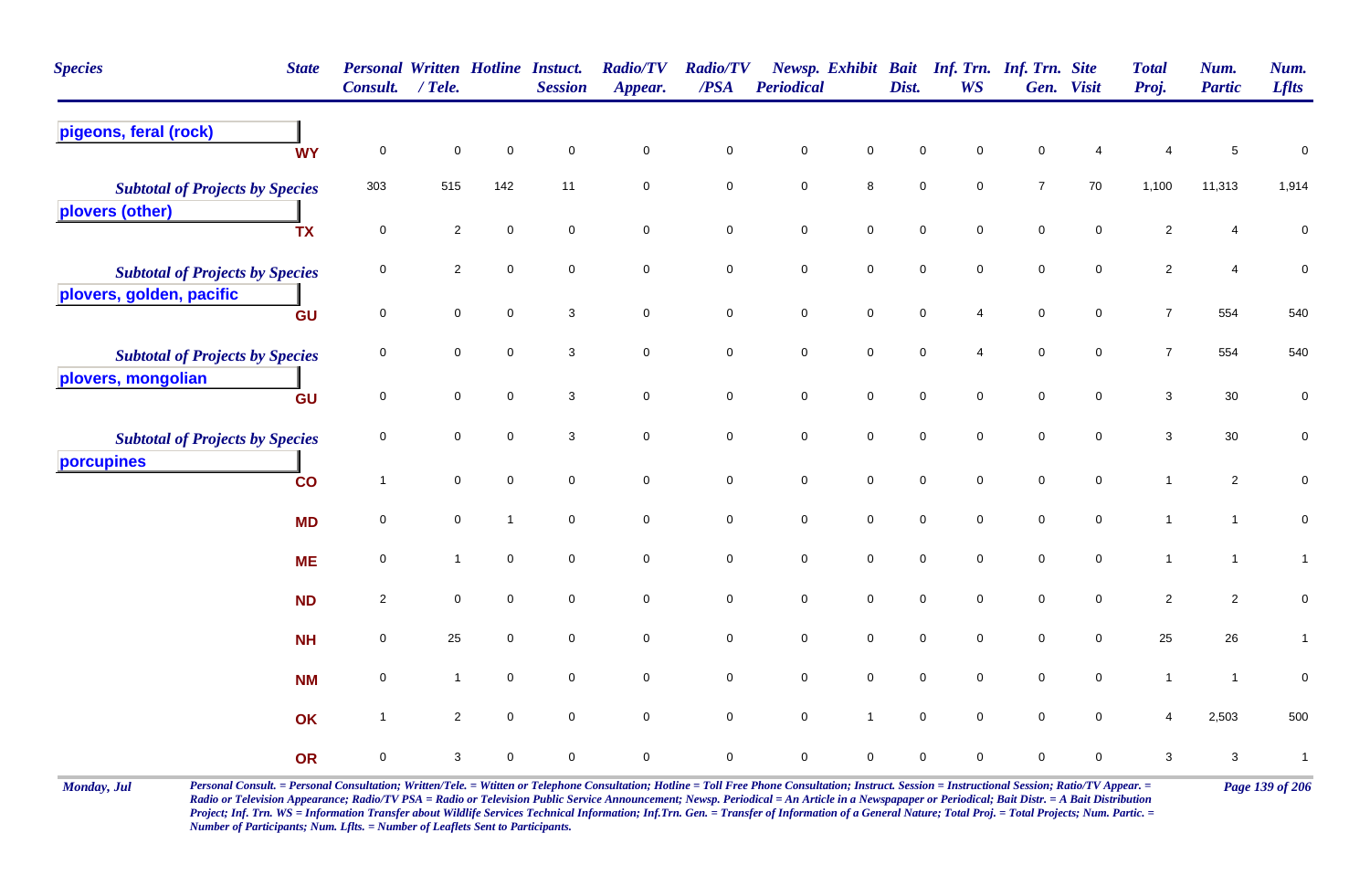| <b>Species</b><br><b>State</b>                                     | <b>Personal Written Hotline Instuct.</b><br>Consult. / Tele. |                |              | <b>Session</b> | <b>Radio/TV</b><br>Appear. | <b>Radio/TV</b><br>/PSA | Periodical  |                     | Dist.       | WS          | Newsp. Exhibit Bait Inf. Trn. Inf. Trn. Site | Gen. Visit       | <b>Total</b><br>Proj. | Num.<br><b>Partic</b> | Num.<br><b>Lflts</b> |
|--------------------------------------------------------------------|--------------------------------------------------------------|----------------|--------------|----------------|----------------------------|-------------------------|-------------|---------------------|-------------|-------------|----------------------------------------------|------------------|-----------------------|-----------------------|----------------------|
| pigeons, feral (rock)<br><b>WY</b>                                 | $\mathbf 0$                                                  | $\pmb{0}$      | $\mathbf 0$  | $\mathbf 0$    | $\mathsf{O}\xspace$        | $\mathbf 0$             | $\mathbf 0$ | 0                   | $\mathbf 0$ | $\Omega$    | $\mathbf 0$                                  |                  | 4                     | $\,$ 5 $\,$           | $\pmb{0}$            |
| <b>Subtotal of Projects by Species</b><br>plovers (other)          | 303                                                          | 515            | 142          | 11             | $\mathsf{O}\xspace$        | $\mathbf 0$             | $\mathbf 0$ | 8                   | $\mathbf 0$ | $\mathbf 0$ | $\overline{7}$                               | 70               | 1,100                 | 11,313                | 1,914                |
| <b>TX</b>                                                          | $\pmb{0}$                                                    | $\overline{2}$ | $\pmb{0}$    | $\mathbf 0$    | $\pmb{0}$                  | $\mathbf 0$             | $\pmb{0}$   | $\pmb{0}$           | $\mathsf 0$ | $\mathbf 0$ | $\pmb{0}$                                    | $\mathbf 0$      | $\sqrt{2}$            | 4                     | $\pmb{0}$            |
| <b>Subtotal of Projects by Species</b><br>plovers, golden, pacific | 0                                                            | $\overline{2}$ | $\mathbf 0$  | $\mathbf 0$    | $\mathbf 0$                | 0                       | $\pmb{0}$   | 0                   | $\mathbf 0$ | $\mathbf 0$ | $\mathbf 0$                                  | $\mathbf 0$      | $\overline{2}$        | $\overline{4}$        | $\pmb{0}$            |
| GU                                                                 | $\pmb{0}$                                                    | $\mathbf 0$    | $\mathbf 0$  | $\mathbf{3}$   | $\pmb{0}$                  | $\mathbf 0$             | $\mathbf 0$ | $\mathbf 0$         | $\pmb{0}$   | 4           | $\pmb{0}$                                    | $\boldsymbol{0}$ | $\overline{7}$        | 554                   | 540                  |
| <b>Subtotal of Projects by Species</b><br>plovers, mongolian       | 0                                                            | $\mathbf 0$    | $\mathbf 0$  | 3              | $\mathbf 0$                | $\mathbf 0$             | $\mathbf 0$ | $\mathbf 0$         | $\mathsf 0$ | 4           | $\mathsf 0$                                  | $\mathbf 0$      | $\overline{7}$        | 554                   | 540                  |
| GU                                                                 | $\mathbf 0$                                                  | $\mathbf 0$    | $\mathbf 0$  | 3              | $\mathbf 0$                | $\mathbf 0$             | $\pmb{0}$   | $\mathbf 0$         | $\mathbf 0$ | $\mathbf 0$ | $\mathbf 0$                                  | $\mathbf 0$      | $\sqrt{3}$            | $30\,$                | $\pmb{0}$            |
| <b>Subtotal of Projects by Species</b>                             | $\mathbf 0$                                                  | $\mathbf 0$    | $\mathbf 0$  | 3              | $\mathsf{O}\xspace$        | $\pmb{0}$               | $\mathbf 0$ | 0                   | $\mathbf 0$ | $\mathbf 0$ | $\mathsf 0$                                  | $\mathbf 0$      | $\sqrt{3}$            | $30\,$                | $\mathbf 0$          |
| porcupines<br>$\overline{c}$                                       | $\mathbf{1}$                                                 | $\mathbf 0$    | $\mathbf 0$  | $\mathbf 0$    | $\mathbf 0$                | $\mathbf 0$             | $\mathbf 0$ | ${\bf 0}$           | $\mathsf 0$ | $\mathbf 0$ | $\mathsf 0$                                  | $\mathbf 0$      | $\mathbf{1}$          | $\mathbf{2}$          | $\pmb{0}$            |
| <b>MD</b>                                                          | 0                                                            | 0              | $\mathbf{1}$ | $\mathbf 0$    | $\mathbf 0$                | $\mathbf 0$             | $\mathbf 0$ | $\mathbf 0$         | $\mathbf 0$ | $\mathbf 0$ | $\mathbf 0$                                  | 0                | $\mathbf{1}$          | $\mathbf{1}$          | $\pmb{0}$            |
| <b>ME</b>                                                          | $\mathbf 0$                                                  | $\overline{1}$ | $\mathbf 0$  | $\mathsf 0$    | $\mathbf 0$                | $\mathbf 0$             | $\mathbf 0$ | $\mathsf{O}\xspace$ | $\mathsf 0$ | $\mathbf 0$ | $\mathsf 0$                                  | $\mathbf 0$      | $\mathbf{1}$          | $\mathbf{1}$          | $\mathbf{1}$         |
| <b>ND</b>                                                          | $\overline{2}$                                               | $\mathbf 0$    | $\mathbf 0$  | $\mathbf 0$    | $\mathsf{O}\xspace$        | $\mathbf 0$             | $\mathbf 0$ | $\mathbf 0$         | $\mathsf 0$ | $\mathbf 0$ | $\mathsf 0$                                  | $\mathbf 0$      | $\sqrt{2}$            | $\overline{2}$        | $\pmb{0}$            |
| <b>NH</b>                                                          | $\mathbf 0$                                                  | 25             | $\mathbf 0$  | $\mathbf 0$    | $\mathbf 0$                | $\mathsf{O}\xspace$     | $\pmb{0}$   | $\mathsf{O}\xspace$ | $\pmb{0}$   | $\mathbf 0$ | $\pmb{0}$                                    | $\mathbf 0$      | 25                    | 26                    | $\mathbf{1}$         |
| <b>NM</b>                                                          | 0                                                            | $\mathbf{1}$   | $\mathbf 0$  | $\mathbf 0$    | $\pmb{0}$                  | $\mathbf 0$             | $\pmb{0}$   | $\mathbf 0$         | $\mathsf 0$ | $\mathbf 0$ | $\pmb{0}$                                    | $\mathbf 0$      | $\mathbf{1}$          | $\mathbf{1}$          | $\pmb{0}$            |
| OK                                                                 | $\mathbf{1}$                                                 | $\overline{2}$ | $\mathbf 0$  | $\mathbf 0$    | $\mathbf 0$                | $\mathbf 0$             | $\pmb{0}$   | $\overline{1}$      | $\mathbf 0$ | $\mathbf 0$ | $\mathsf 0$                                  | 0                | 4                     | 2,503                 | 500                  |
| OR                                                                 | $\mathbf 0$                                                  | 3              | $\mathbf 0$  | $\mathsf 0$    | $\mathbf 0$                | $\mathbf 0$             | $\pmb{0}$   | 0                   | $\mathbf 0$ | 0           | $\pmb{0}$                                    | 0                | $\sqrt{3}$            | $\mathbf{3}$          | $\mathbf{1}$         |

Monday, Jul Personal Consult. = Personal Consultation; Written/Tele. = Witten or Telephone Consultation; Hotline = Toll Free Phone Consultation; Instruct. Session = Instructional Session; Ratio/TV Appear. = Page 139 of 206 *Radio or Television Appearance; Radio/TV PSA = Radio or Television Public Service Announcement; Newsp. Periodical = An Article in a Newspapaper or Periodical; Bait Distr. = A Bait Distribution*  Project; Inf. Trn. WS = Information Transfer about Wildlife Services Technical Information; Inf.Trn. Gen. = Transfer of Information of a General Nature; Total Proj. = Total Projects; Num. Partic. = *Number of Participants; Num. Lflts. = Number of Leaflets Sent to Participants.*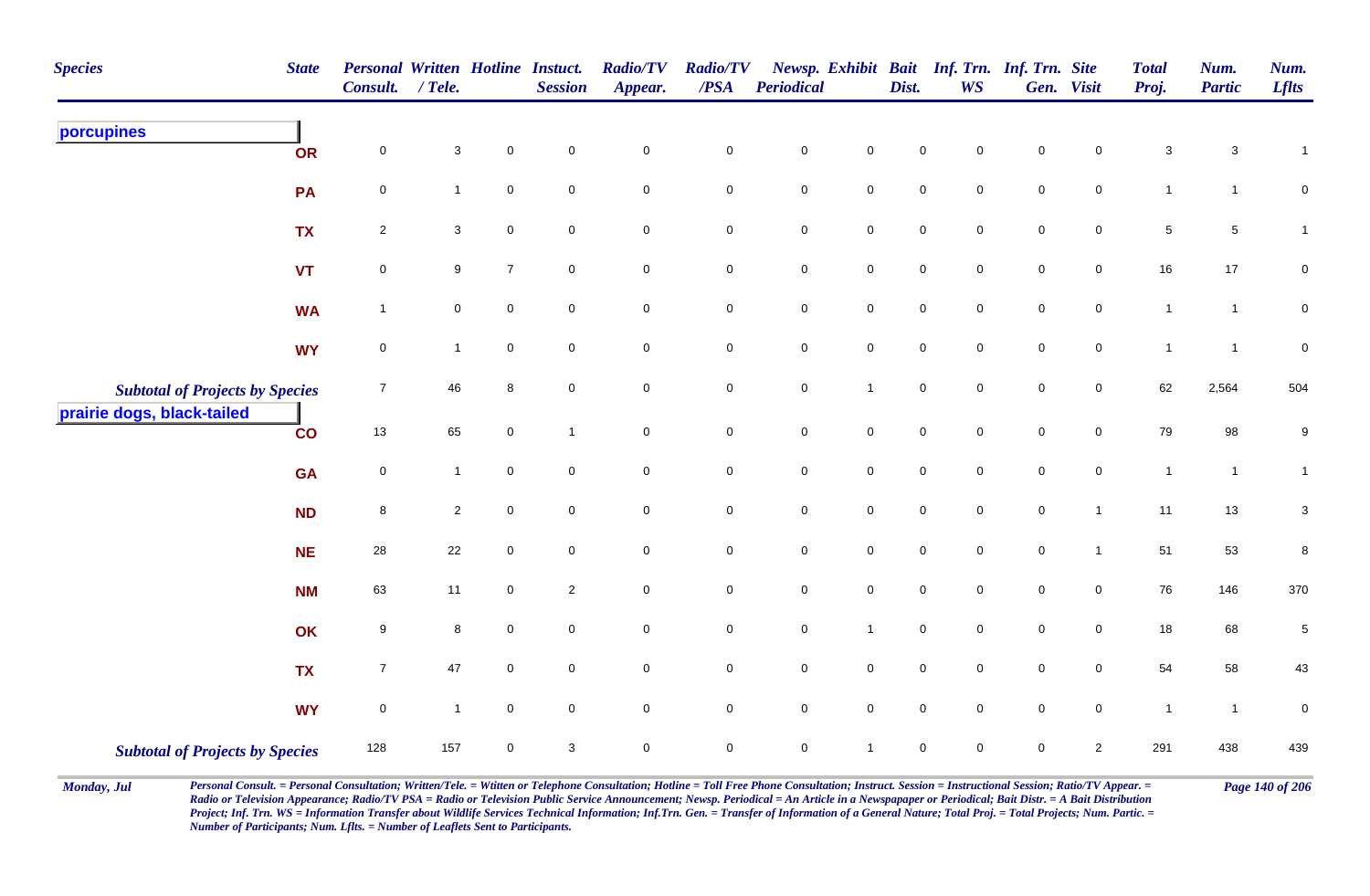| <b>Species</b>                         | <b>State</b> | Personal Written Hotline Instuct.<br>Consult. / Tele. |              |                | <b>Session</b>      | <b>Radio/TV</b><br>Appear. | <b>Radio/TV</b><br>$\boldsymbol{PSA}$ | Periodical          |                     | Dist.       | Newsp. Exhibit Bait Inf. Trn. Inf. Trn. Site<br><b>WS</b> |             | Gen. Visit          | <b>Total</b><br>Proj. | Num.<br><b>Partic</b>     | Num.<br><b>Lflts</b> |
|----------------------------------------|--------------|-------------------------------------------------------|--------------|----------------|---------------------|----------------------------|---------------------------------------|---------------------|---------------------|-------------|-----------------------------------------------------------|-------------|---------------------|-----------------------|---------------------------|----------------------|
| porcupines                             | OR           | $\mathsf{O}\xspace$                                   | $\mathbf{3}$ | $\mathbf 0$    | $\mathsf{O}\xspace$ | $\pmb{0}$                  | $\pmb{0}$                             | $\mathbf 0$         | $\pmb{0}$           | $\mathbf 0$ | 0                                                         | $\mathsf 0$ | 0                   | $\mathbf{3}$          | $\ensuremath{\mathsf{3}}$ | $\mathbf{1}$         |
|                                        | PA           | $\pmb{0}$                                             | $\mathbf{1}$ | $\pmb{0}$      | $\mathbf 0$         | $\mathbf 0$                | $\mathbf 0$                           | $\pmb{0}$           | $\overline{0}$      | $\mathsf 0$ | 0                                                         | $\mathsf 0$ | 0                   | $\mathbf{1}$          | $\mathbf{1}$              | 0                    |
|                                        | <b>TX</b>    | $\sqrt{2}$                                            | $\mathbf{3}$ | $\mathbf 0$    | $\mathbf 0$         | $\mathbf 0$                | ${\bf 0}$                             | $\pmb{0}$           | ${\bf 0}$           | $\pmb{0}$   | $\mathbf 0$                                               | $\mathbf 0$ | $\pmb{0}$           | $\,$ 5 $\,$           | $\,$ 5 $\,$               | 1                    |
|                                        | <b>VT</b>    | $\pmb{0}$                                             | 9            | $\overline{7}$ | $\mathbf 0$         | $\mathsf{O}\xspace$        | $\mathbf 0$                           | $\mathbf 0$         | $\mathbf 0$         | $\pmb{0}$   | $\mathbf 0$                                               | $\mathsf 0$ | $\mathbf 0$         | $16\,$                | $17$                      | 0                    |
|                                        | <b>WA</b>    | $\mathbf{1}$                                          | 0            | $\mathbf 0$    | $\mathbf 0$         | $\overline{0}$             | $\mathsf{O}\xspace$                   | $\mathsf{O}\xspace$ | $\overline{0}$      | $\mathsf 0$ | $\mathbf 0$                                               | $\mathsf 0$ | $\mathbf 0$         | $\mathbf{1}$          | $\mathbf{1}$              | 0                    |
|                                        | <b>WY</b>    | $\pmb{0}$                                             | $\mathbf{1}$ | $\mathbf 0$    | $\mathbf 0$         | $\mathsf{O}\xspace$        | $\mathbf 0$                           | $\mathbf 0$         | $\mathsf{O}\xspace$ | $\pmb{0}$   | $\mathbf 0$                                               | $\pmb{0}$   | $\mathbf 0$         | $\overline{1}$        | $\mathbf{1}$              | $\pmb{0}$            |
| <b>Subtotal of Projects by Species</b> |              | $\boldsymbol{7}$                                      | 46           | $\bf 8$        | $\mathsf{O}\xspace$ | $\mathsf{O}\xspace$        | $\mathsf{O}\xspace$                   | $\pmb{0}$           | $\mathbf{1}$        | $\pmb{0}$   | $\mathsf{O}\xspace$                                       | $\pmb{0}$   | $\mathsf{O}\xspace$ | 62                    | 2,564                     | 504                  |
| prairie dogs, black-tailed             | $_{\rm CO}$  | 13                                                    | 65           | $\mathbf 0$    | $\overline{1}$      | $\mathsf{O}\xspace$        | $\mathbf 0$                           | $\mathbf 0$         | $\mathbf 0$         | $\mathsf 0$ | $\mathbf 0$                                               | $\pmb{0}$   | $\mathbf 0$         | 79                    | $98\,$                    | 9                    |
|                                        | <b>GA</b>    | $\pmb{0}$                                             | $\mathbf{1}$ | $\mathbf 0$    | $\mathbf 0$         | $\mathsf{O}\xspace$        | $\mathbf 0$                           | $\mathbf 0$         | $\mathbf 0$         | $\mathbf 0$ | 0                                                         | $\mathbf 0$ | 0                   | $\overline{1}$        | $\mathbf{1}$              | $\mathbf{1}$         |
|                                        | <b>ND</b>    | 8                                                     | $\mathbf{2}$ | $\mathbf 0$    | $\mathbf 0$         | $\mathsf{O}\xspace$        | $\mathsf{O}\xspace$                   | $\mathbf 0$         | $\mathbf 0$         | $\mathbf 0$ | $\mathbf 0$                                               | $\mathbf 0$ | $\mathbf{1}$        | 11                    | $13$                      | $\mathbf 3$          |
|                                        | <b>NE</b>    | $28\,$                                                | 22           | $\pmb{0}$      | $\mathbf 0$         | $\mathsf{O}\xspace$        | $\pmb{0}$                             | $\pmb{0}$           | $\mathbf 0$         | $\pmb{0}$   | $\mathbf 0$                                               | $\mathsf 0$ | $\mathbf{1}$        | 51                    | 53                        | 8                    |
|                                        | <b>NM</b>    | 63                                                    | 11           | $\mathbf 0$    | $\overline{c}$      | $\mathsf{O}\xspace$        | $\mathbf 0$                           | $\mathbf 0$         | $\mathbf 0$         | $\mathsf 0$ | 0                                                         | $\mathbf 0$ | $\mathbf 0$         | 76                    | 146                       | 370                  |
|                                        | OK           | 9                                                     | 8            | $\Omega$       | $\mathbf 0$         | $\overline{0}$             | $\mathbf 0$                           | $\pmb{0}$           | $\overline{1}$      | $\mathsf 0$ | $\mathbf 0$                                               | $\mathbf 0$ | $\mathbf 0$         | $18$                  | 68                        | $\,$ 5 $\,$          |
|                                        | <b>TX</b>    | $\boldsymbol{7}$                                      | 47           | $\pmb{0}$      | $\mathbf 0$         | $\mathbf 0$                | $\pmb{0}$                             | $\pmb{0}$           | $\mathbf 0$         | $\mathsf 0$ | $\mathbf 0$                                               | $\mathsf 0$ | $\mathbf 0$         | 54                    | 58                        | 43                   |
|                                        | <b>WY</b>    | $\pmb{0}$                                             | $\mathbf{1}$ | $\mathbf 0$    | $\mathbf 0$         | $\mathsf{O}\xspace$        | $\mathbf 0$                           | $\mathsf{O}\xspace$ | $\mathbf 0$         | $\mathsf 0$ | $\mathbf 0$                                               | $\mathsf 0$ | 0                   | $\overline{1}$        | $\mathbf{1}$              | 0                    |
| <b>Subtotal of Projects by Species</b> |              | 128                                                   | 157          | $\mathbf 0$    | 3                   | $\mathbf 0$                | $\mathbf 0$                           | $\mathbf 0$         | $\mathbf{1}$        | $\mathbf 0$ | $\mathbf 0$                                               | $\mathbf 0$ | $\overline{2}$      | 291                   | 438                       | 439                  |

Monday, Jul Personal Consult. = Personal Consultation; Written/Tele. = Witten or Telephone Consultation; Hotline = Toll Free Phone Consultation; Instruct. Session = Instructional Session; Ratio/TV Appear. = Page 140 of 206 *Radio or Television Appearance; Radio/TV PSA = Radio or Television Public Service Announcement; Newsp. Periodical = An Article in a Newspapaper or Periodical; Bait Distr. = A Bait Distribution*  Project; Inf. Trn. WS = Information Transfer about Wildlife Services Technical Information; Inf.Trn. Gen. = Transfer of Information of a General Nature; Total Proj. = Total Projects; Num. Partic. = *Number of Participants; Num. Lflts. = Number of Leaflets Sent to Participants.*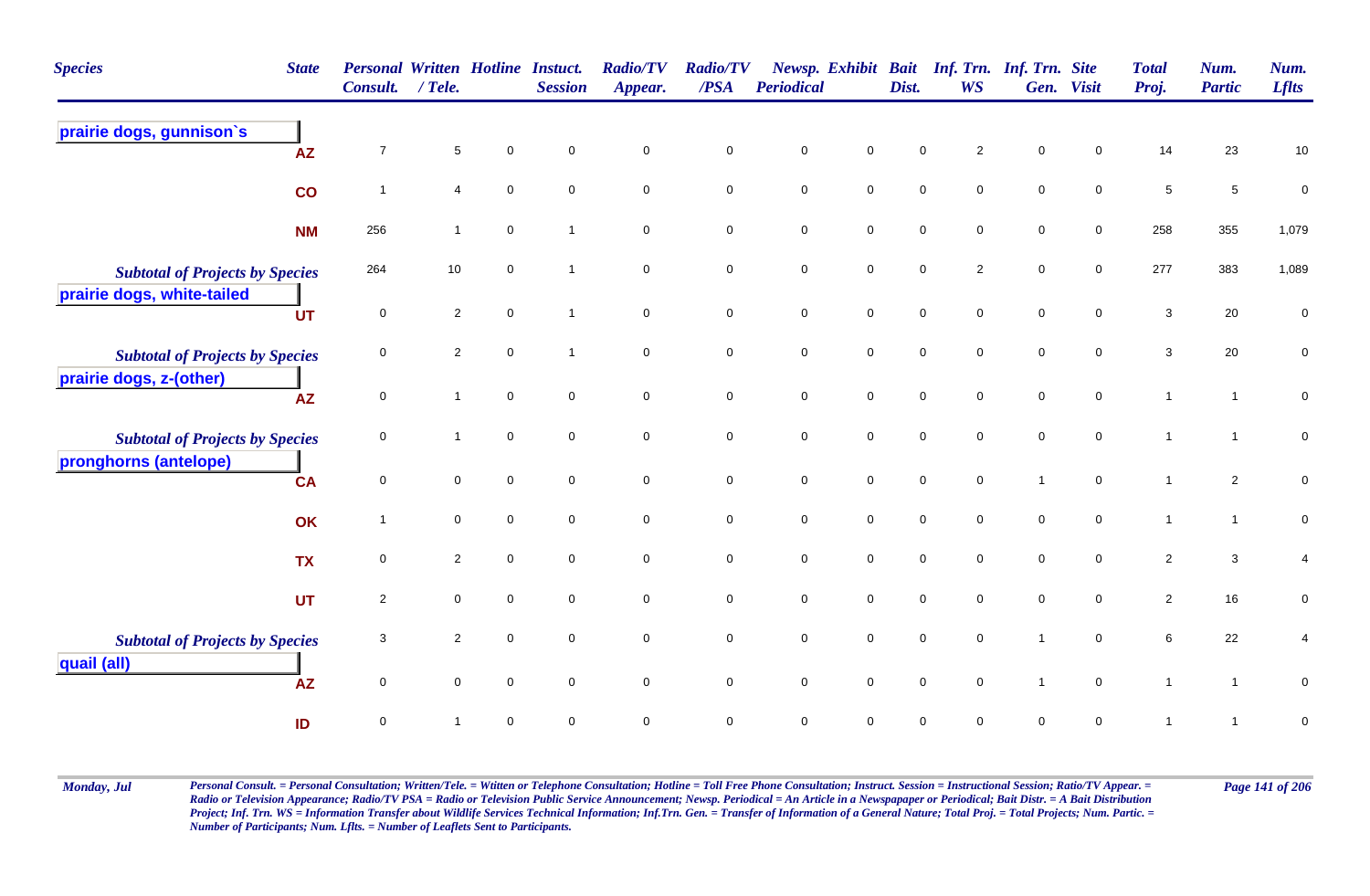| <b>Species</b>                         | <b>State</b> | <b>Personal Written Hotline Instuct.</b><br><b>Consult.</b> | / Tele.          |             | <b>Session</b> | <b>Radio/TV</b><br>Appear. | <b>Radio/TV</b><br>/PSA | Periodical          |                     | Dist.       | Newsp. Exhibit Bait Inf. Trn. Inf. Trn. Site<br>WS | Gen.           | <b>Visit</b>        | <b>Total</b><br>Proj.     | Num.<br><b>Partic</b> | Num.<br><b>Lflts</b>    |
|----------------------------------------|--------------|-------------------------------------------------------------|------------------|-------------|----------------|----------------------------|-------------------------|---------------------|---------------------|-------------|----------------------------------------------------|----------------|---------------------|---------------------------|-----------------------|-------------------------|
| prairie dogs, gunnison's               | <b>AZ</b>    | $\overline{7}$                                              | $\,$ 5 $\,$      | $\mathbf 0$ | $\mathbf 0$    | $\mathsf{O}\xspace$        | $\mathsf 0$             | $\mathbf 0$         | $\mathbf 0$         | $\mathbf 0$ | $\overline{c}$                                     | $\pmb{0}$      | $\mathbf 0$         | 14                        | 23                    | $10$                    |
|                                        | co           | $\overline{1}$                                              | 4                | $\mathbf 0$ | $\mathbf 0$    | $\mathbf 0$                | $\mathbf 0$             | $\mathbf 0$         | $\overline{0}$      | $\mathbf 0$ | $\overline{0}$                                     | $\mathbf 0$    | $\mathbf 0$         | $\,$ 5 $\,$               | $\overline{5}$        | $\pmb{0}$               |
|                                        | <b>NM</b>    | 256                                                         | $\mathbf{1}$     | $\mathbf 0$ | -1             | $\mathbf 0$                | $\mathbf 0$             | $\mathbf 0$         | $\overline{0}$      | $\mathbf 0$ | $\mathbf 0$                                        | $\mathbf 0$    | $\overline{0}$      | 258                       | 355                   | 1,079                   |
| <b>Subtotal of Projects by Species</b> |              | 264                                                         | 10               | $\mathbf 0$ |                | $\mathbf 0$                | $\mathbf 0$             | $\mathbf 0$         | $\mathsf{O}\xspace$ | $\mathbf 0$ | $\overline{2}$                                     | $\mathbf 0$    | $\overline{0}$      | 277                       | 383                   | 1,089                   |
| prairie dogs, white-tailed             | <b>UT</b>    | $\mathbf 0$                                                 | $\sqrt{2}$       | $\mathbf 0$ | -1             | $\mathbf 0$                | $\mathbf 0$             | $\mathbf 0$         | $\mathsf{O}\xspace$ | $\mathbf 0$ | $\mathbf 0$                                        | $\mathbf 0$    | $\mathsf{O}\xspace$ | $\ensuremath{\mathsf{3}}$ | 20                    | $\pmb{0}$               |
| <b>Subtotal of Projects by Species</b> |              | $\mathbf 0$                                                 | $\overline{2}$   | $\mathbf 0$ |                | $\mathbf 0$                | $\mathbf 0$             | $\mathsf{O}\xspace$ | $\overline{0}$      | $\mathbf 0$ | $\mathbf 0$                                        | $\mathbf 0$    | $\overline{0}$      | 3                         | 20                    | $\pmb{0}$               |
| prairie dogs, z-(other)                | <b>AZ</b>    | $\mathsf 0$                                                 | $\mathbf{1}$     | $\mathbf 0$ | $\mathbf 0$    | $\mathbf 0$                | $\mathsf 0$             | $\mathbf 0$         | $\mathsf{O}\xspace$ | $\mathbf 0$ | $\mathbf 0$                                        | $\mathbf 0$    | $\mathsf{O}\xspace$ | $\mathbf{1}$              | $\mathbf{1}$          | $\pmb{0}$               |
| <b>Subtotal of Projects by Species</b> |              | $\mathbf 0$                                                 |                  | $\mathbf 0$ | $\mathbf 0$    | $\mathbf 0$                | $\mathbf 0$             | $\mathbf 0$         | $\mathsf{O}\xspace$ | $\mathbf 0$ | $\mathbf 0$                                        | $\mathbf 0$    | $\overline{0}$      | $\mathbf{1}$              | $\mathbf{1}$          | $\pmb{0}$               |
| pronghorns (antelope)                  | <b>CA</b>    | 0                                                           | $\mathbf 0$      | $\mathbf 0$ | $\mathbf 0$    | $\mathbf 0$                | $\mathbf 0$             | $\mathbf 0$         | $\mathbf 0$         | $\mathbf 0$ | $\mathbf 0$                                        | $\mathbf{1}$   | $\overline{0}$      | $\mathbf{1}$              | $\overline{2}$        | 0                       |
|                                        | OK           | $\mathbf{1}$                                                | $\mathbf 0$      | $\mathbf 0$ | $\mathsf 0$    | 0                          | $\mathbf 0$             | $\pmb{0}$           | $\mathsf{O}\xspace$ | $\mathbf 0$ | $\mathbf 0$                                        | $\mathbf 0$    | $\mathsf{O}\xspace$ | $\mathbf{1}$              | $\mathbf{1}$          | $\pmb{0}$               |
|                                        | <b>TX</b>    | $\mathsf{O}\xspace$                                         | $\overline{c}$   | $\mathbf 0$ | $\mathbf 0$    | $\mathbf 0$                | $\mathsf 0$             | $\mathbf 0$         | $\mathsf{O}\xspace$ | $\mathbf 0$ | $\mathbf 0$                                        | $\mathbf 0$    | $\mathbf 0$         | $\sqrt{2}$                | $\mathbf{3}$          | $\overline{\mathbf{4}}$ |
|                                        | <b>UT</b>    | $\overline{2}$                                              | $\mathbf 0$      | $\mathbf 0$ | $\mathbf 0$    | 0                          | $\mathbf 0$             | $\pmb{0}$           | $\mathsf{O}\xspace$ | $\mathbf 0$ | $\mathbf 0$                                        | $\mathbf 0$    | $\overline{0}$      | $\sqrt{2}$                | 16                    | $\pmb{0}$               |
| <b>Subtotal of Projects by Species</b> |              | 3                                                           | $\boldsymbol{2}$ | $\mathbf 0$ | $\mathbf 0$    | 0                          | $\mathbf 0$             | $\mathbf 0$         | $\mathbf 0$         | $\mathbf 0$ | $\mathbf 0$                                        | $\overline{1}$ | $\mathbf 0$         | 6                         | 22                    | 4                       |
| quail (all)                            | <b>AZ</b>    | $\mathsf{O}\xspace$                                         | $\mathbf 0$      | $\mathbf 0$ | $\mathbf 0$    | 0                          | $\pmb{0}$               | $\mathbf 0$         | $\mathsf{O}\xspace$ | $\mathbf 0$ | $\mathbf 0$                                        | $\mathbf{1}$   | $\mathbf 0$         | $\mathbf{1}$              | $\mathbf{1}$          | $\pmb{0}$               |
|                                        | ID           | $\mathsf{O}\xspace$                                         |                  | $\Omega$    | $\mathbf 0$    | 0                          | $\mathsf 0$             | $\mathbf 0$         | $\mathbf 0$         | $\mathbf 0$ | 0                                                  | $\pmb{0}$      | $\mathbf 0$         | -1                        | $\mathbf{1}$          | $\pmb{0}$               |

Monday, Jul Personal Consult. = Personal Consultation; Written/Tele. = Witten or Telephone Consultation; Hotline = Toll Free Phone Consultation; Instruct. Session = Instructional Session; Ratio/TV Appear. = Page 141 of 206 *Radio or Television Appearance; Radio/TV PSA = Radio or Television Public Service Announcement; Newsp. Periodical = An Article in a Newspapaper or Periodical; Bait Distr. = A Bait Distribution*  Project; Inf. Trn. WS = Information Transfer about Wildlife Services Technical Information; Inf.Trn. Gen. = Transfer of Information of a General Nature; Total Proj. = Total Projects; Num. Partic. = *Number of Participants; Num. Lflts. = Number of Leaflets Sent to Participants.*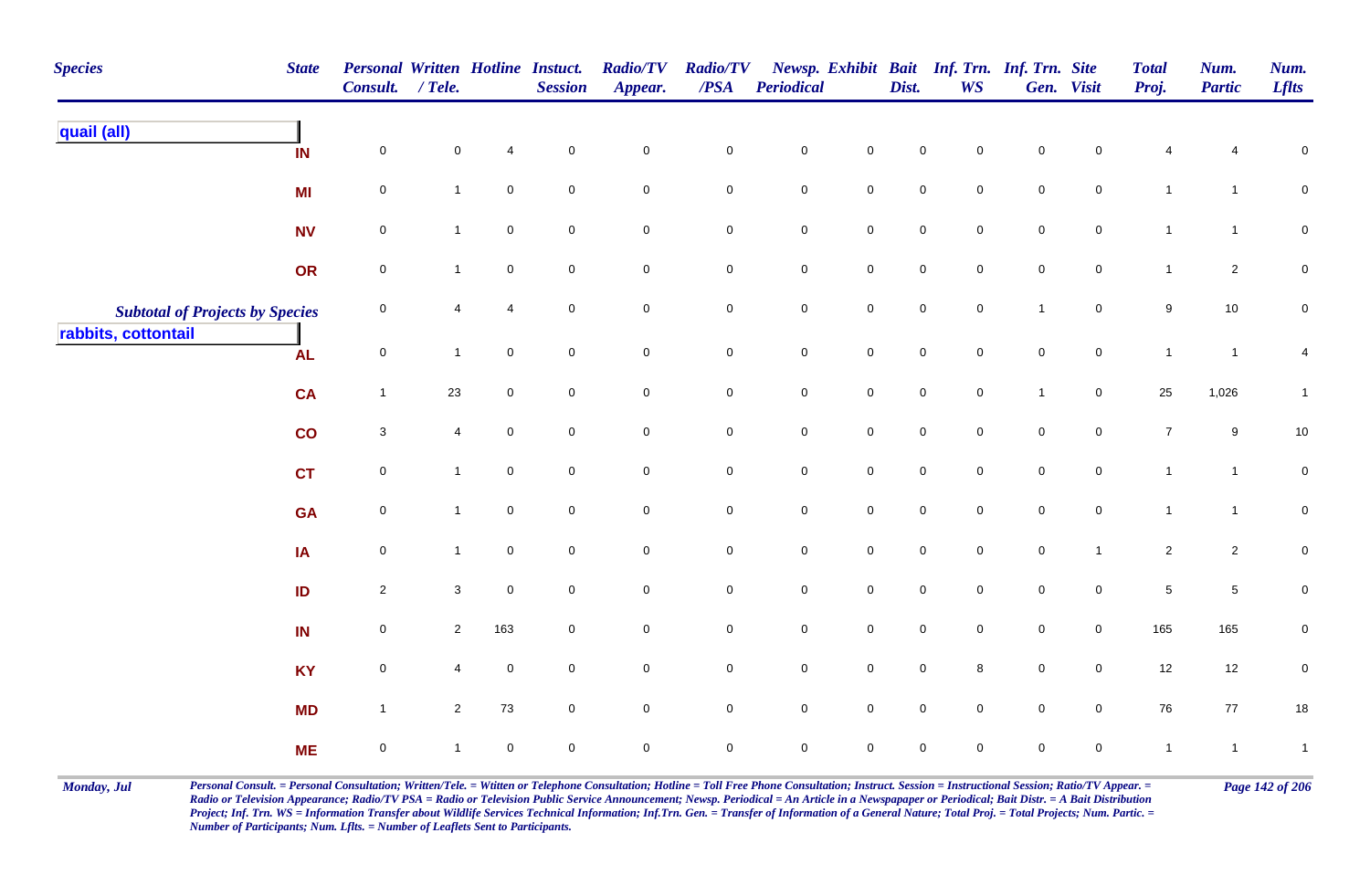| <b>Species</b>                         | <b>State</b>  | Personal Written Hotline Instuct.<br>Consult. / Tele. |                |                     | <b>Session</b>      | <b>Radio/TV</b><br>Appear. | <b>Radio/TV</b><br>$\overline{PSA}$ | <b>Periodical</b> |                     | Dist.               | <b>WS</b>           | Newsp. Exhibit Bait Inf. Trn. Inf. Trn. Site | Gen. Visit     | <b>Total</b><br>Proj. | Num.<br><b>Partic</b> | Num.<br><b>Lflts</b> |
|----------------------------------------|---------------|-------------------------------------------------------|----------------|---------------------|---------------------|----------------------------|-------------------------------------|-------------------|---------------------|---------------------|---------------------|----------------------------------------------|----------------|-----------------------|-----------------------|----------------------|
| quail (all)                            | IN            | $\pmb{0}$                                             | $\mathbf 0$    | $\overline{4}$      | $\mathbf 0$         | $\mathbf 0$                | $\pmb{0}$                           | $\mathbf 0$       | $\mathsf{O}\xspace$ | $\mathbf 0$         | $\mathsf 0$         | $\pmb{0}$                                    | 0              | 4                     |                       | $\mathbf 0$          |
|                                        | MI            | $\pmb{0}$                                             | $\mathbf{1}$   | $\mathsf{O}\xspace$ | $\mathbf 0$         | $\mathbf 0$                | $\mathbf 0$                         | $\pmb{0}$         | $\mathsf{O}\xspace$ | $\mathbf 0$         | $\mathsf{O}\xspace$ | $\pmb{0}$                                    | $\mathbf 0$    | $\mathbf{1}$          | $\mathbf{1}$          | $\mathbf 0$          |
|                                        | <b>NV</b>     | $\mathbf 0$                                           | $\mathbf{1}$   | $\mathsf{O}\xspace$ | $\mathbf 0$         | $\mathbf 0$                | $\mathbf 0$                         | $\pmb{0}$         | $\mathsf{O}\xspace$ | $\mathbf 0$         | $\mathsf{O}\xspace$ | $\pmb{0}$                                    | $\mathbf 0$    | $\mathbf{1}$          | $\mathbf{1}$          | $\overline{0}$       |
|                                        | OR            | $\pmb{0}$                                             | $\mathbf{1}$   | $\mathsf{O}\xspace$ | $\mathbf 0$         | $\mathbf 0$                | $\mathbf 0$                         | $\pmb{0}$         | $\mathbf 0$         | $\mathbf 0$         | $\mathbf 0$         | $\pmb{0}$                                    | $\mathbf 0$    | $\mathbf{1}$          | $\overline{a}$        | $\pmb{0}$            |
| <b>Subtotal of Projects by Species</b> |               | $\mathbf 0$                                           | 4              | $\overline{4}$      | $\mathbf 0$         | $\mathsf 0$                | $\mathsf{O}\xspace$                 | $\mathbf 0$       | $\mathsf{O}\xspace$ | $\mathbf 0$         | $\mathsf{O}\xspace$ | $\mathbf{1}$                                 | $\mathbf 0$    | $\boldsymbol{9}$      | 10                    | $\mathbf 0$          |
| rabbits, cottontail                    | <b>AL</b>     | $\mathbf 0$                                           | $\mathbf{1}$   | $\mathsf{O}\xspace$ | $\mathbf 0$         | $\mathbf 0$                | $\overline{0}$                      | $\mathbf 0$       | $\mathsf 0$         | $\mathbf 0$         | $\mathsf{O}\xspace$ | $\pmb{0}$                                    | $\mathsf 0$    | $\mathbf{1}$          | $\overline{1}$        | 4                    |
|                                        | <b>CA</b>     | $\overline{1}$                                        | 23             | $\mathbf 0$         | $\mathbf 0$         | $\mathbf 0$                | $\mathbf 0$                         | $\pmb{0}$         | $\overline{0}$      | $\mathsf{O}\xspace$ | $\mathbf 0$         | $\overline{1}$                               | $\mathbf 0$    | 25                    | 1,026                 | $\mathbf{1}$         |
|                                        | $\mathsf{co}$ | $\mathbf 3$                                           | 4              | $\mathsf{O}\xspace$ | $\mathbf 0$         | $\mathsf{O}\xspace$        | $\mathbf 0$                         | $\mathbf 0$       | $\mathsf{O}\xspace$ | $\mathbf 0$         | $\mathbf 0$         | $\mathbf 0$                                  | $\mathbf 0$    | $\overline{7}$        | 9                     | 10                   |
|                                        | <b>CT</b>     | $\mathbf 0$                                           | $\mathbf{1}$   | $\mathsf{O}\xspace$ | $\mathbf 0$         | $\mathsf{O}\xspace$        | $\mathbf 0$                         | $\mathbf 0$       | $\mathsf{O}\xspace$ | $\mathsf{O}\xspace$ | $\mathbf 0$         | $\mathsf 0$                                  | $\mathbf 0$    | $\mathbf{1}$          | $\mathbf{1}$          | $\pmb{0}$            |
|                                        | <b>GA</b>     | $\mathbf 0$                                           | $\mathbf{1}$   | $\mathbf 0$         | $\mathbf 0$         | $\mathbf 0$                | $\mathsf{O}$                        | $\pmb{0}$         | $\mathbf 0$         | $\mathsf{O}\xspace$ | $\mathbf 0$         | $\mathsf 0$                                  | $\overline{0}$ | $\mathbf{1}$          | $\overline{1}$        | $\mathbf 0$          |
|                                        | IA            | $\mathbf 0$                                           | $\mathbf{1}$   | $\mathbf 0$         | $\mathsf{O}\xspace$ | $\mathbf 0$                | $\mathsf{O}$                        | $\pmb{0}$         | $\mathsf{O}\xspace$ | $\pmb{0}$           | $\mathbf 0$         | $\pmb{0}$                                    | $\overline{1}$ | $\overline{2}$        | $\overline{2}$        | $\mathbf 0$          |
|                                        | ID            | $\overline{2}$                                        | 3              | $\mathsf 0$         | $\mathbf 0$         | $\overline{0}$             | $\mathbf 0$                         | $\pmb{0}$         | $\overline{0}$      | $\mathbf 0$         | $\mathbf 0$         | $\mathsf 0$                                  | $\overline{0}$ | $\,$ 5 $\,$           | $\sqrt{5}$            | $\mathbf 0$          |
|                                        | IN            | $\mathsf 0$                                           | $\overline{2}$ | 163                 | $\mathbf 0$         | $\mathbf 0$                | $\overline{0}$                      | $\mathbf 0$       | $\mathsf 0$         | $\mathbf 0$         | $\mathbf 0$         | $\mathsf 0$                                  | $\overline{0}$ | 165                   | 165                   | $\mathbf 0$          |
|                                        | <b>KY</b>     | $\mathbf 0$                                           | 4              | $\mathsf 0$         | $\mathbf 0$         | $\mathbf 0$                | $\mathsf{O}$                        | $\mathbf 0$       | $\mathsf 0$         | $\mathbf 0$         | 8                   | $\mathsf 0$                                  | $\overline{0}$ | 12                    | 12                    | $\pmb{0}$            |
|                                        | <b>MD</b>     | $\overline{1}$                                        | $\mathbf{2}$   | 73                  | 0                   | $\mathsf 0$                | $\overline{0}$                      | $\pmb{0}$         | $\mathsf 0$         | $\mathbf 0$         | $\mathbf 0$         | $\mathsf 0$                                  | $\overline{0}$ | 76                    | 77                    | $18$                 |
|                                        | <b>ME</b>     | $\pmb{0}$                                             | $\mathbf{1}$   | $\mathsf 0$         | $\mathbf 0$         | $\mathbf 0$                | $\mathbf 0$                         | $\pmb{0}$         | $\mathbf 0$         | $\mathbf 0$         | $\mathbf 0$         | $\mathsf 0$                                  | $\mathbf 0$    | $\mathbf{1}$          | $\overline{1}$        | $\overline{1}$       |

Monday, Jul Personal Consult. = Personal Consultation; Written/Tele. = Witten or Telephone Consultation; Hotline = Toll Free Phone Consultation; Instruct. Session = Instructional Session; Ratio/TV Appear. = Page 142 of 206 *Radio or Television Appearance; Radio/TV PSA = Radio or Television Public Service Announcement; Newsp. Periodical = An Article in a Newspapaper or Periodical; Bait Distr. = A Bait Distribution*  Project; Inf. Trn. WS = Information Transfer about Wildlife Services Technical Information; Inf.Trn. Gen. = Transfer of Information of a General Nature; Total Proj. = Total Projects; Num. Partic. = *Number of Participants; Num. Lflts. = Number of Leaflets Sent to Participants.*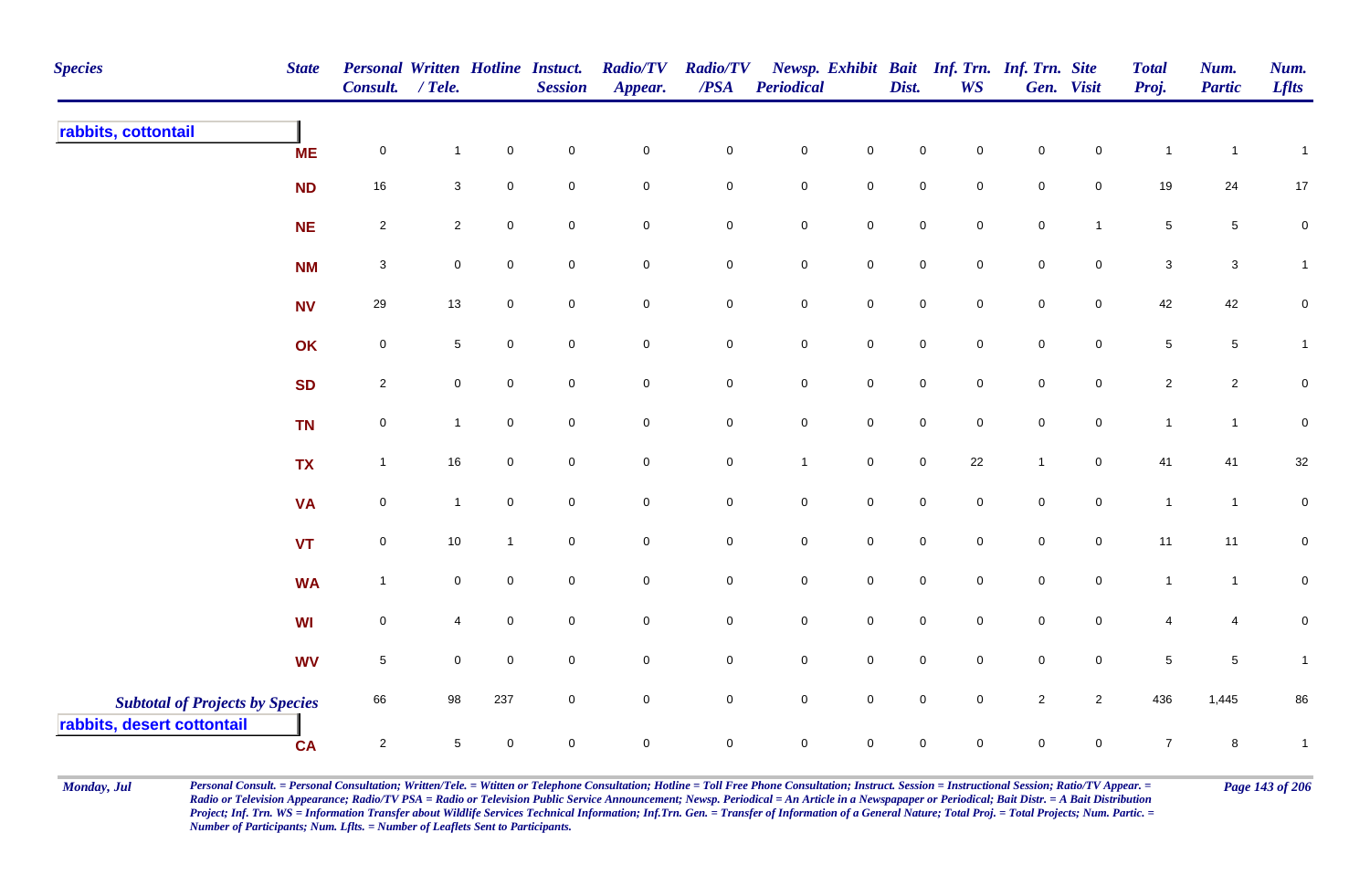| <b>Species</b>                                                       | <b>State</b> | Personal Written Hotline Instuct.<br>Consult. / Tele. |                 |                     | <b>Session</b>      | <b>Radio/TV</b><br>Appear. | <b>Radio/TV</b><br>/PSA | Periodical          |                     | Dist.               | <b>WS</b>   | Newsp. Exhibit Bait Inf. Trn. Inf. Trn. Site | Gen. Visit          | <b>Total</b><br>Proj. | Num.<br><b>Partic</b> | Num.<br><b>Lflts</b> |
|----------------------------------------------------------------------|--------------|-------------------------------------------------------|-----------------|---------------------|---------------------|----------------------------|-------------------------|---------------------|---------------------|---------------------|-------------|----------------------------------------------|---------------------|-----------------------|-----------------------|----------------------|
| rabbits, cottontail                                                  | <b>ME</b>    | $\pmb{0}$                                             | $\mathbf{1}$    | $\pmb{0}$           | $\mathbf 0$         | $\mathbf 0$                | $\pmb{0}$               | $\mathbf 0$         | $\pmb{0}$           | $\mathbf 0$         | $\mathbf 0$ | $\mathbf 0$                                  | $\mathbf 0$         | $\mathbf{1}$          | $\overline{1}$        | $\mathbf{1}$         |
|                                                                      | <b>ND</b>    | $16\,$                                                | $\mathbf{3}$    | $\pmb{0}$           | $\pmb{0}$           | $\pmb{0}$                  | $\pmb{0}$               | $\mathbf 0$         | $\pmb{0}$           | $\mathbf 0$         | $\mathbf 0$ | $\mathbf 0$                                  | $\mathsf 0$         | 19                    | 24                    | $17$                 |
|                                                                      | <b>NE</b>    | $\overline{\mathbf{c}}$                               | $\overline{a}$  | $\mathbf 0$         | $\mathbf 0$         | $\mathsf{O}\xspace$        | $\pmb{0}$               | $\mathbf 0$         | $\pmb{0}$           | $\mathsf{O}\xspace$ | $\mathsf 0$ | ${\bf 0}$                                    | $\overline{1}$      | 5                     | $5\phantom{.0}$       | $\pmb{0}$            |
|                                                                      | <b>NM</b>    | $\sqrt{3}$                                            | $\mathbf 0$     | $\mathsf{O}\xspace$ | $\mathsf 0$         | $\mathsf 0$                | 0                       | $\overline{0}$      | $\mathbf 0$         | $\mathbf 0$         | $\mathbf 0$ | $\overline{0}$                               | $\mathsf 0$         | 3                     | $\mathbf{3}$          | $\mathbf{1}$         |
|                                                                      | <b>NV</b>    | 29                                                    | 13              | $\mathbf 0$         | $\mathsf{O}\xspace$ | $\pmb{0}$                  | 0                       | $\mathbf 0$         | $\mathbf 0$         | $\mathsf{O}\xspace$ | $\mathbf 0$ | $\mathsf{O}\xspace$                          | $\mathsf{O}\xspace$ | 42                    | 42                    | 0                    |
|                                                                      | OK           | $\pmb{0}$                                             | $5\phantom{.0}$ | $\mathbf 0$         | $\mathsf{O}\xspace$ | $\mathbf 0$                | $\pmb{0}$               | $\mathbf 0$         | $\mathbf 0$         | $\mathsf{O}$        | $\mathbf 0$ | $\mathbf 0$                                  | $\mathbf 0$         | $\sqrt{5}$            | $5\phantom{.0}$       | $\mathbf{1}$         |
|                                                                      | <b>SD</b>    | $\overline{2}$                                        | $\mathbf 0$     | $\mathsf{O}\xspace$ | $\mathbf 0$         | $\mathsf{O}\xspace$        | $\mathbf 0$             | $\mathbf 0$         | $\pmb{0}$           | $\mathbf 0$         | $\mathsf 0$ | $\mathbf 0$                                  | $\mathsf 0$         | $\overline{2}$        | $\overline{2}$        | $\pmb{0}$            |
|                                                                      | <b>TN</b>    | $\mathbf 0$                                           | $\mathbf{1}$    | $\mathbf 0$         | $\mathsf{O}\xspace$ | $\mathsf{O}\xspace$        | $\mathbf 0$             | $\mathbf 0$         | $\mathsf{O}\xspace$ | $\mathsf{O}\xspace$ | $\mathsf 0$ | $\mathsf{O}\xspace$                          | $\pmb{0}$           | $\mathbf{1}$          | $\overline{1}$        | $\pmb{0}$            |
|                                                                      | <b>TX</b>    | $\mathbf{1}$                                          | 16              | $\mathsf{O}\xspace$ | $\pmb{0}$           | $\pmb{0}$                  | $\mathbf 0$             | $\mathbf{1}$        | $\mathsf{O}\xspace$ | $\mathsf{O}\xspace$ | 22          | $\mathbf{1}$                                 | $\mathsf 0$         | 41                    | 41                    | $32\,$               |
|                                                                      | <b>VA</b>    | $\mathsf 0$                                           | $\mathbf{1}$    | $\mathbf 0$         | $\mathbf 0$         | $\mathbf 0$                | $\mathbf 0$             | $\mathsf{O}\xspace$ | $\mathbf 0$         | $\mathbf 0$         | $\mathbf 0$ | $\mathbf 0$                                  | $\mathbf 0$         | $\mathbf{1}$          | $\overline{1}$        | $\pmb{0}$            |
|                                                                      | <b>VT</b>    | $\mathbf 0$                                           | 10              | $\mathbf{1}$        | $\mathbf 0$         | $\mathsf 0$                | $\mathbf 0$             | $\mathbf 0$         | $\mathsf 0$         | $\mathbf 0$         | $\mathbf 0$ | $\mathbf 0$                                  | $\mathbf 0$         | 11                    | 11                    | $\pmb{0}$            |
|                                                                      | <b>WA</b>    | $\mathbf{1}$                                          | $\mathbf 0$     | $\mathbf 0$         | $\mathsf{O}\xspace$ | $\pmb{0}$                  | 0                       | $\mathbf 0$         | $\mathbf 0$         | $\mathbf 0$         | $\mathbf 0$ | $\mathbf 0$                                  | $\pmb{0}$           | $\mathbf{1}$          | $\overline{1}$        | $\pmb{0}$            |
|                                                                      | <b>WI</b>    | $\pmb{0}$                                             | 4               | $\pmb{0}$           | $\mathbf 0$         | $\mathbf 0$                | $\pmb{0}$               | $\mathbf 0$         | $\mathbf 0$         | $\mathbf 0$         | $\pmb{0}$   | $\mathbf 0$                                  | $\mathbf 0$         | 4                     | 4                     | $\pmb{0}$            |
|                                                                      | <b>WV</b>    | $\sqrt{5}$                                            | 0               | $\mathbf 0$         | $\mathsf 0$         | $\mathsf 0$                | 0                       | $\mathsf{O}\xspace$ | $\mathsf 0$         | $\mathbf 0$         | $\mathbf 0$ | $\overline{0}$                               | $\mathbf 0$         | $\sqrt{5}$            | $5\,$                 | $\mathbf{1}$         |
| <b>Subtotal of Projects by Species</b><br>rabbits, desert cottontail |              | 66                                                    | 98              | 237                 | $\overline{0}$      | $\mathsf 0$                | $\mathbf 0$             | $\overline{0}$      | $\mathsf{O}\xspace$ | $\mathbf 0$         | $\mathsf 0$ | $\sqrt{2}$                                   | $\overline{2}$      | 436                   | 1,445                 | 86                   |
|                                                                      | <b>CA</b>    | $\overline{c}$                                        | 5               | $\mathbf 0$         | $\mathsf 0$         | $\mathbf 0$                | $\mathbf 0$             | $\overline{0}$      | $\mathbf 0$         | $\mathbf 0$         | $\mathbf 0$ | $\mathbf 0$                                  | $\mathbf 0$         | $\overline{7}$        | 8                     | $\mathbf{1}$         |

Monday, Jul Personal Consult. = Personal Consultation; Written/Tele. = Witten or Telephone Consultation; Hotline = Toll Free Phone Consultation; Instruct. Session = Instructional Session; Ratio/TV Appear. = Page 143 of 206 *Radio or Television Appearance; Radio/TV PSA = Radio or Television Public Service Announcement; Newsp. Periodical = An Article in a Newspapaper or Periodical; Bait Distr. = A Bait Distribution*  Project; Inf. Trn. WS = Information Transfer about Wildlife Services Technical Information; Inf.Trn. Gen. = Transfer of Information of a General Nature; Total Proj. = Total Projects; Num. Partic. = *Number of Participants; Num. Lflts. = Number of Leaflets Sent to Participants.*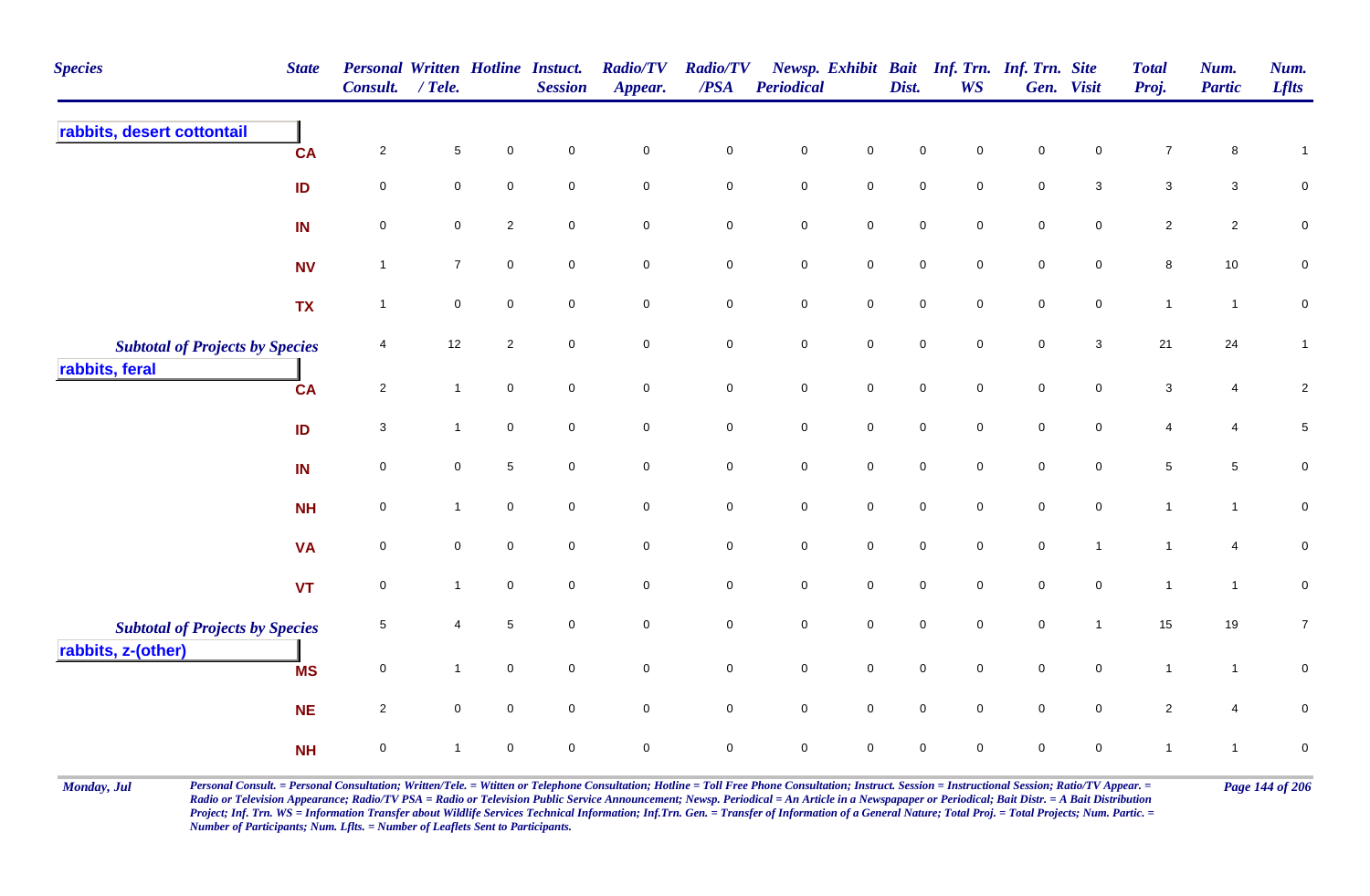| <b>Species</b>                         | <b>State</b> | <b>Personal Written Hotline Instuct.</b><br><b>Consult.</b> | $/$ Tele.           |                     | <b>Session</b>      | <b>Radio/TV</b><br>Appear. | <b>Radio/TV</b><br>/PSA | Periodical          |                     | Dist.               | Newsp. Exhibit Bait Inf. Trn. Inf. Trn. Site<br><b>WS</b> |             | Gen. Visit          | <b>Total</b><br>Proj. | Num.<br><b>Partic</b> | Num.<br><b>Lflts</b> |
|----------------------------------------|--------------|-------------------------------------------------------------|---------------------|---------------------|---------------------|----------------------------|-------------------------|---------------------|---------------------|---------------------|-----------------------------------------------------------|-------------|---------------------|-----------------------|-----------------------|----------------------|
| rabbits, desert cottontail             | <b>CA</b>    | $\overline{c}$                                              | $\,$ 5 $\,$         | $\mathbf 0$         | $\mathbf 0$         | $\mathbf 0$                | $\pmb{0}$               | $\mathsf{O}\xspace$ | $\mathbf 0$         | $\mathbf 0$         | 0                                                         | $\mathbf 0$ | $\mathbf 0$         | $\overline{7}$        | 8                     | $\mathbf{1}$         |
|                                        | ID           | $\mathbf 0$                                                 | $\mathbf 0$         | $\mathbf 0$         | $\mathbf 0$         | $\mathbf 0$                | $\mathbf 0$             | $\mathsf{O}\xspace$ | $\mathbf 0$         | $\mathbf 0$         | $\mathbf 0$                                               | $\mathsf 0$ | 3                   | $\mathbf{3}$          | 3                     | $\overline{0}$       |
|                                        | IN           | $\mathbf 0$                                                 | $\mathbf 0$         | $\overline{2}$      | $\mathsf{O}\xspace$ | $\pmb{0}$                  | $\mathbf 0$             | $\pmb{0}$           | $\mathsf{O}\xspace$ | $\mathsf{O}\xspace$ | $\mathbf 0$                                               | $\mathsf 0$ | $\pmb{0}$           | $\overline{2}$        | $\overline{c}$        | $\mathsf{O}\xspace$  |
|                                        | <b>NV</b>    | $\mathbf{1}$                                                | $\overline{7}$      | $\pmb{0}$           | $\mathbf 0$         | $\mathbf 0$                | $\pmb{0}$               | $\pmb{0}$           | $\mathbf 0$         | $\mathsf{O}\xspace$ | $\mathbf 0$                                               | $\mathsf 0$ | $\mathbf 0$         | $\, 8$                | 10                    | $\pmb{0}$            |
|                                        | <b>TX</b>    | $\mathbf{1}$                                                | $\pmb{0}$           | $\mathsf{O}\xspace$ | $\mathsf{O}\xspace$ | $\mathbf 0$                | $\mathbf 0$             | $\mathbf 0$         | $\mathbf 0$         | $\mathbf 0$         | $\mathsf{O}\xspace$                                       | $\pmb{0}$   | $\mathsf{O}\xspace$ | $\mathbf{1}$          | $\overline{1}$        | $\pmb{0}$            |
| <b>Subtotal of Projects by Species</b> |              | 4                                                           | 12                  | 2                   | $\mathbf 0$         | $\mathbf 0$                | $\mathbf 0$             | $\pmb{0}$           | $\pmb{0}$           | $\pmb{0}$           | $\mathbf 0$                                               | $\pmb{0}$   | $\mathbf{3}$        | 21                    | 24                    | $\mathbf{1}$         |
| rabbits, feral                         | <b>CA</b>    | $\overline{2}$                                              | $\mathbf{1}$        | $\mathbf 0$         | $\mathbf 0$         | $\mathsf{O}$               | $\mathsf{O}$            | $\mathbf 0$         | $\mathsf{O}$        | $\mathbf 0$         | $\mathsf{O}\xspace$                                       | $\pmb{0}$   | $\mathsf{O}$        | $\mathbf{3}$          | 4                     | $\sqrt{2}$           |
|                                        | ID           | 3                                                           | $\mathbf{1}$        | $\mathsf{O}\xspace$ | $\mathbf 0$         | $\mathbf 0$                | $\overline{0}$          | $\pmb{0}$           | $\mathbf 0$         | $\mathbf 0$         | $\mathbf 0$                                               | $\mathsf 0$ | $\mathbf 0$         | 4                     | $\overline{4}$        | $\sqrt{5}$           |
|                                        | IN           | $\mathbf 0$                                                 | $\mathbf 0$         | $\sqrt{5}$          | $\mathsf{O}\xspace$ | $\mathsf{O}\xspace$        | $\mathbf 0$             | $\mathbf 0$         | $\mathbf 0$         | $\mathbf 0$         | $\mathsf{O}\xspace$                                       | $\pmb{0}$   | $\mathsf{O}\xspace$ | $\,$ 5 $\,$           | 5                     | $\pmb{0}$            |
|                                        | <b>NH</b>    | $\mathsf 0$                                                 | $\mathbf{1}$        | $\mathbf 0$         | $\mathbf 0$         | $\mathbf 0$                | $\mathbf 0$             | $\mathbf 0$         | $\overline{0}$      | $\mathbf 0$         | $\mathbf 0$                                               | $\mathsf 0$ | $\mathbf 0$         | $\mathbf{1}$          | $\mathbf{1}$          | $\overline{0}$       |
|                                        | <b>VA</b>    | $\mathbf 0$                                                 | $\mathbf 0$         | $\mathbf 0$         | $\mathbf 0$         | $\pmb{0}$                  | $\mathsf 0$             | $\mathbf 0$         | $\mathsf{O}\xspace$ | $\mathbf 0$         | $\mathbf 0$                                               | $\pmb{0}$   | $\mathbf{1}$        | $\mathbf{1}$          | 4                     | $\pmb{0}$            |
|                                        | <b>VT</b>    | $\mathsf 0$                                                 | $\mathbf{1}$        | $\mathbf 0$         | $\mathbf 0$         | $\mathbf 0$                | $\mathbf 0$             | $\mathsf{O}\xspace$ | $\mathbf 0$         | $\mathbf 0$         | $\mathbf 0$                                               | $\mathbf 0$ | $\mathbf 0$         | $\mathbf{1}$          | $\mathbf{1}$          | $\overline{0}$       |
| <b>Subtotal of Projects by Species</b> |              | $\overline{5}$                                              | 4                   | $\,$ 5 $\,$         | $\mathbf 0$         | $\mathsf{O}\xspace$        | $\mathbf 0$             | $\mathbf 0$         | $\mathsf{O}\xspace$ | $\mathbf 0$         | $\mathbf 0$                                               | $\pmb{0}$   | $\mathbf{1}$        | 15                    | 19                    | $\overline{7}$       |
| rabbits, z-(other)                     | <b>MS</b>    | $\mathbf 0$                                                 | $\mathbf{1}$        | $\mathsf{O}\xspace$ | $\mathbf 0$         | $\mathsf{O}\xspace$        | $\mathbf 0$             | $\mathbf 0$         | $\mathbf 0$         | $\mathbf 0$         | $\mathbf 0$                                               | $\pmb{0}$   | $\mathsf{O}\xspace$ | $\mathbf{1}$          | $\mathbf{1}$          | $\pmb{0}$            |
|                                        | <b>NE</b>    | $\overline{2}$                                              | $\mathsf{O}\xspace$ | $\mathbf 0$         | $\mathsf{O}\xspace$ | $\mathbf 0$                | $\mathbf 0$             | $\pmb{0}$           | $\mathbf 0$         | $\mathsf{O}\xspace$ | $\mathbf 0$                                               | $\pmb{0}$   | $\mathbf 0$         | $\overline{c}$        | 4                     | $\mathsf 0$          |
|                                        | <b>NH</b>    | $\mathsf 0$                                                 | $\mathbf{1}$        | $\mathbf 0$         | $\mathbf 0$         | $\mathbf 0$                | $\mathbf 0$             | $\mathsf{O}\xspace$ | $\mathbf 0$         | $\mathbf 0$         | $\Omega$                                                  | $\mathbf 0$ | 0                   | $\mathbf{1}$          | 1                     | $\mathbf 0$          |

Monday, Jul Personal Consult. = Personal Consultation; Written/Tele. = Witten or Telephone Consultation; Hotline = Toll Free Phone Consultation; Instruct. Session = Instructional Session; Ratio/TV Appear. = Page 144 of 206 *Radio or Television Appearance; Radio/TV PSA = Radio or Television Public Service Announcement; Newsp. Periodical = An Article in a Newspapaper or Periodical; Bait Distr. = A Bait Distribution*  Project; Inf. Trn. WS = Information Transfer about Wildlife Services Technical Information; Inf.Trn. Gen. = Transfer of Information of a General Nature; Total Proj. = Total Projects; Num. Partic. = *Number of Participants; Num. Lflts. = Number of Leaflets Sent to Participants.*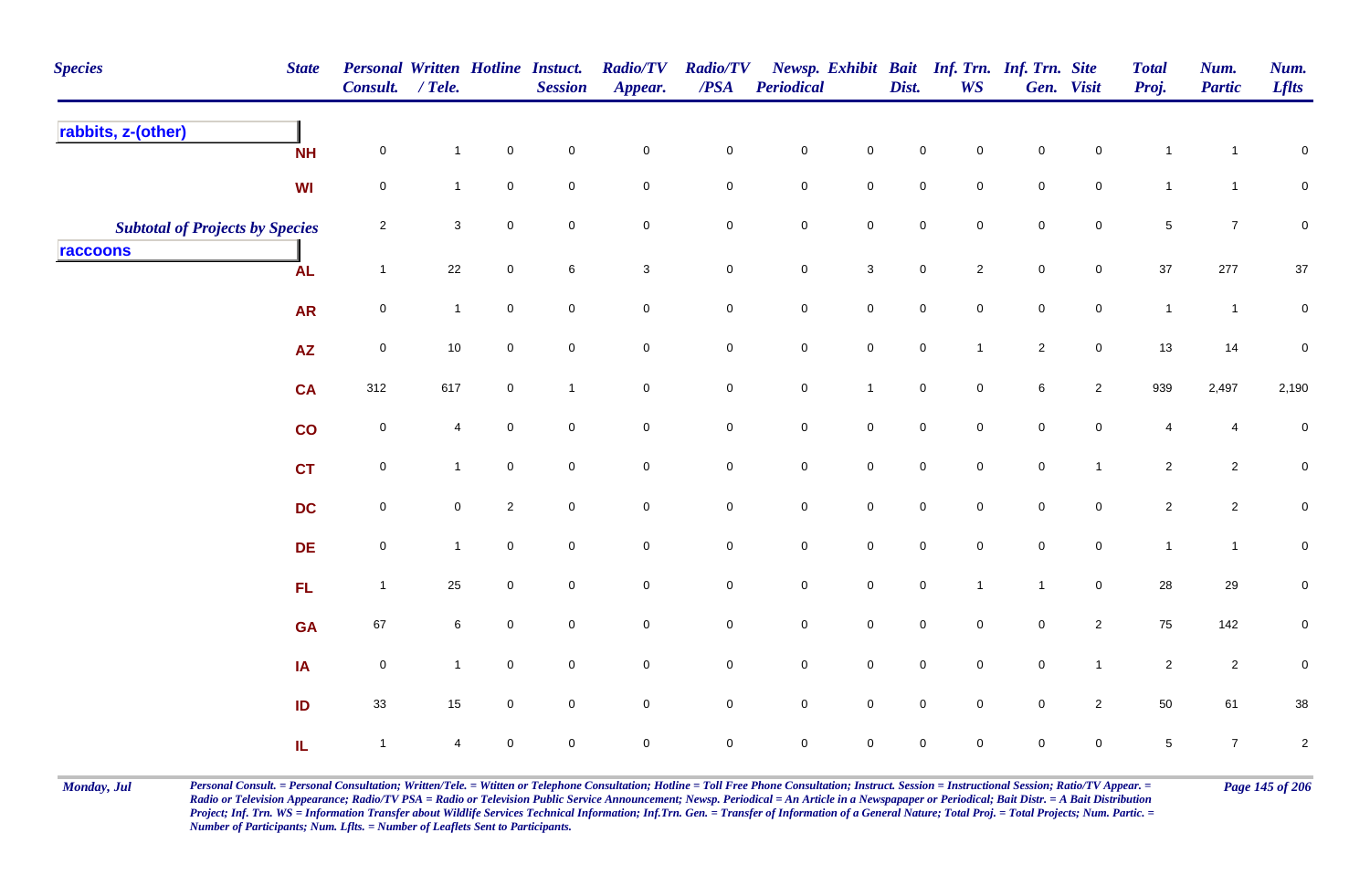| <b>Species</b><br><b>State</b>         | Consult. / Tele. |                           |                     | Personal Written Hotline Instuct.<br><b>Session</b> | <b>Radio/TV</b><br>Appear. | <b>Radio/TV</b><br>$\overline{PSA}$ | <b>Periodical</b>   |                     | Dist.               | Newsp. Exhibit Bait Inf. Trn. Inf. Trn. Site<br><b>WS</b> |              | Gen. Visit     | <b>Total</b><br>Proj.   | Num.<br><b>Partic</b> | Num.<br><b>Lflts</b> |
|----------------------------------------|------------------|---------------------------|---------------------|-----------------------------------------------------|----------------------------|-------------------------------------|---------------------|---------------------|---------------------|-----------------------------------------------------------|--------------|----------------|-------------------------|-----------------------|----------------------|
| rabbits, z-(other)<br><b>NH</b>        | $\mathbf 0$      | $\mathbf{1}$              | $\mathbf 0$         | $\mathbf 0$                                         | $\mathbf 0$                | $\mathbf 0$                         | $\pmb{0}$           | $\mathbf 0$         | $\mathsf 0$         | 0                                                         | $\mathsf 0$  | $\mathbf 0$    | $\overline{1}$          | -1                    | $\mathbf 0$          |
| WI                                     | $\mathbf 0$      | $\mathbf{1}$              | $\mathbf 0$         | $\mathbf 0$                                         | $\mathbf 0$                | $\mathbf 0$                         | $\mathbf 0$         | $\mathbf 0$         | $\mathsf 0$         | 0                                                         | $\mathsf 0$  | $\mathbf 0$    | $\mathbf{1}$            | $\mathbf{1}$          | $\overline{0}$       |
| <b>Subtotal of Projects by Species</b> | $\overline{c}$   | $\ensuremath{\mathsf{3}}$ | $\mathbf 0$         | $\mathbf 0$                                         | $\mathsf{O}\xspace$        | $\mathbf 0$                         | $\pmb{0}$           | $\mathsf{O}\xspace$ | $\pmb{0}$           | $\mathbf 0$                                               | $\pmb{0}$    | $\mathbf 0$    | $\sqrt{5}$              | $\overline{7}$        | $\pmb{0}$            |
| raccoons<br><b>AL</b>                  | $\overline{1}$   | 22                        | $\mathbf 0$         | 6                                                   | $\mathbf{3}$               | $\mathbf 0$                         | $\mathbf 0$         | $\mathbf{3}$        | $\mathsf{O}\xspace$ | $\overline{2}$                                            | $\mathsf 0$  | $\overline{0}$ | 37                      | 277                   | $37\,$               |
| <b>AR</b>                              | $\mathbf 0$      | $\mathbf{1}$              | $\mathbf 0$         | $\mathbf 0$                                         | $\mathbf 0$                | $\mathbf 0$                         | $\mathbf 0$         | $\mathbf 0$         | $\mathbf 0$         | $\mathbf 0$                                               | $\pmb{0}$    | $\mathbf 0$    | $\mathbf{1}$            | $\overline{1}$        | $\pmb{0}$            |
| <b>AZ</b>                              | $\mathbf 0$      | $10$                      | $\overline{0}$      | $\overline{0}$                                      | $\mathsf{O}\xspace$        | $\overline{0}$                      | $\mathbf 0$         | $\mathsf{O}\xspace$ | $\pmb{0}$           | $\mathbf{1}$                                              | $\sqrt{2}$   | $\mathbf 0$    | 13                      | 14                    | $\pmb{0}$            |
| CA                                     | 312              | 617                       | $\mathbf 0$         | $\mathbf{1}$                                        | $\mathsf{O}\xspace$        | $\mathsf{O}\xspace$                 | $\pmb{0}$           | $\overline{1}$      | $\mathbf 0$         | $\mathbf 0$                                               | $\,6\,$      | $\overline{2}$ | 939                     | 2,497                 | 2,190                |
| co                                     | $\mathbf 0$      | $\overline{4}$            | $\mathsf{O}\xspace$ | $\mathbf 0$                                         | $\mathsf{O}\xspace$        | $\mathsf{O}\xspace$                 | $\pmb{0}$           | $\mathsf{O}\xspace$ | $\pmb{0}$           | $\mathbf 0$                                               | $\pmb{0}$    | $\mathbf 0$    | $\overline{\mathbf{4}}$ | 4                     | $\pmb{0}$            |
| <b>CT</b>                              | $\mathbf 0$      | $\mathbf{1}$              | $\overline{0}$      | $\overline{0}$                                      | $\mathbf 0$                | $\mathbf 0$                         | $\mathbf 0$         | $\overline{0}$      | $\mathsf 0$         | $\mathbf 0$                                               | $\mathsf 0$  | $\mathbf{1}$   | $\overline{2}$          | $\overline{a}$        | $\overline{0}$       |
| <b>DC</b>                              | $\mathbf 0$      | $\mathbf 0$               | $\overline{2}$      | $\mathbf 0$                                         | $\mathbf 0$                | $\mathsf{O}\xspace$                 | $\pmb{0}$           | $\mathbf 0$         | $\pmb{0}$           | $\mathbf 0$                                               | $\mathsf 0$  | $\mathbf 0$    | $\overline{2}$          | $\overline{c}$        | $\mathbf 0$          |
| <b>DE</b>                              | 0                | $\mathbf{1}$              | $\mathbf 0$         | $\mathbf 0$                                         | $\mathbf 0$                | $\mathbf 0$                         | $\pmb{0}$           | $\mathbf 0$         | $\pmb{0}$           | $\mathbf 0$                                               | $\pmb{0}$    | $\mathbf 0$    | $\mathbf{1}$            | $\mathbf{1}$          | $\mathbf 0$          |
| FL.                                    | $\overline{1}$   | 25                        | $\overline{0}$      | $\mathbf 0$                                         | $\mathbf 0$                | $\overline{0}$                      | $\pmb{0}$           | $\mathbf 0$         | $\pmb{0}$           | $\mathbf{1}$                                              | $\mathbf{1}$ | $\overline{0}$ | 28                      | 29                    | $\mathbf 0$          |
| <b>GA</b>                              | 67               | $\,6\,$                   | $\mathbf 0$         | $\mathbf 0$                                         | $\mathsf{O}\xspace$        | $\mathbf 0$                         | $\mathsf{O}\xspace$ | $\mathsf{O}\xspace$ | $\mathsf{O}\xspace$ | $\mathbf 0$                                               | $\mathsf 0$  | $\overline{2}$ | 75                      | 142                   | $\mathbf 0$          |
| IA                                     | $\mathbf 0$      | $\mathbf{1}$              | $\mathbf 0$         | $\mathsf{O}\xspace$                                 | $\pmb{0}$                  | $\mathbf 0$                         | $\pmb{0}$           | $\mathsf{O}\xspace$ | $\pmb{0}$           | $\mathbf 0$                                               | $\pmb{0}$    | $\mathbf{1}$   | $\overline{2}$          | $\sqrt{2}$            | $\pmb{0}$            |
| ID                                     | 33               | 15                        | $\mathbf 0$         | $\mathbf 0$                                         | $\mathsf{O}\xspace$        | $\overline{0}$                      | $\pmb{0}$           | $\mathsf{O}\xspace$ | $\pmb{0}$           | $\mathbf 0$                                               | $\mathsf 0$  | $\overline{2}$ | 50                      | 61                    | 38                   |
| IL.                                    | $\overline{1}$   | $\overline{4}$            | $\mathbf 0$         | $\mathbf 0$                                         | $\mathbf 0$                | 0                                   | $\mathbf 0$         | $\mathbf 0$         | $\mathbf 0$         | 0                                                         | $\mathbf 0$  | $\mathbf 0$    | $\sqrt{5}$              | $\overline{7}$        | $\sqrt{2}$           |

Monday, Jul Personal Consult. = Personal Consultation; Written/Tele. = Witten or Telephone Consultation; Hotline = Toll Free Phone Consultation; Instruct. Session = Instructional Session; Ratio/TV Appear. = Page 145 of 206 *Radio or Television Appearance; Radio/TV PSA = Radio or Television Public Service Announcement; Newsp. Periodical = An Article in a Newspapaper or Periodical; Bait Distr. = A Bait Distribution*  Project; Inf. Trn. WS = Information Transfer about Wildlife Services Technical Information; Inf.Trn. Gen. = Transfer of Information of a General Nature; Total Proj. = Total Projects; Num. Partic. = *Number of Participants; Num. Lflts. = Number of Leaflets Sent to Participants.*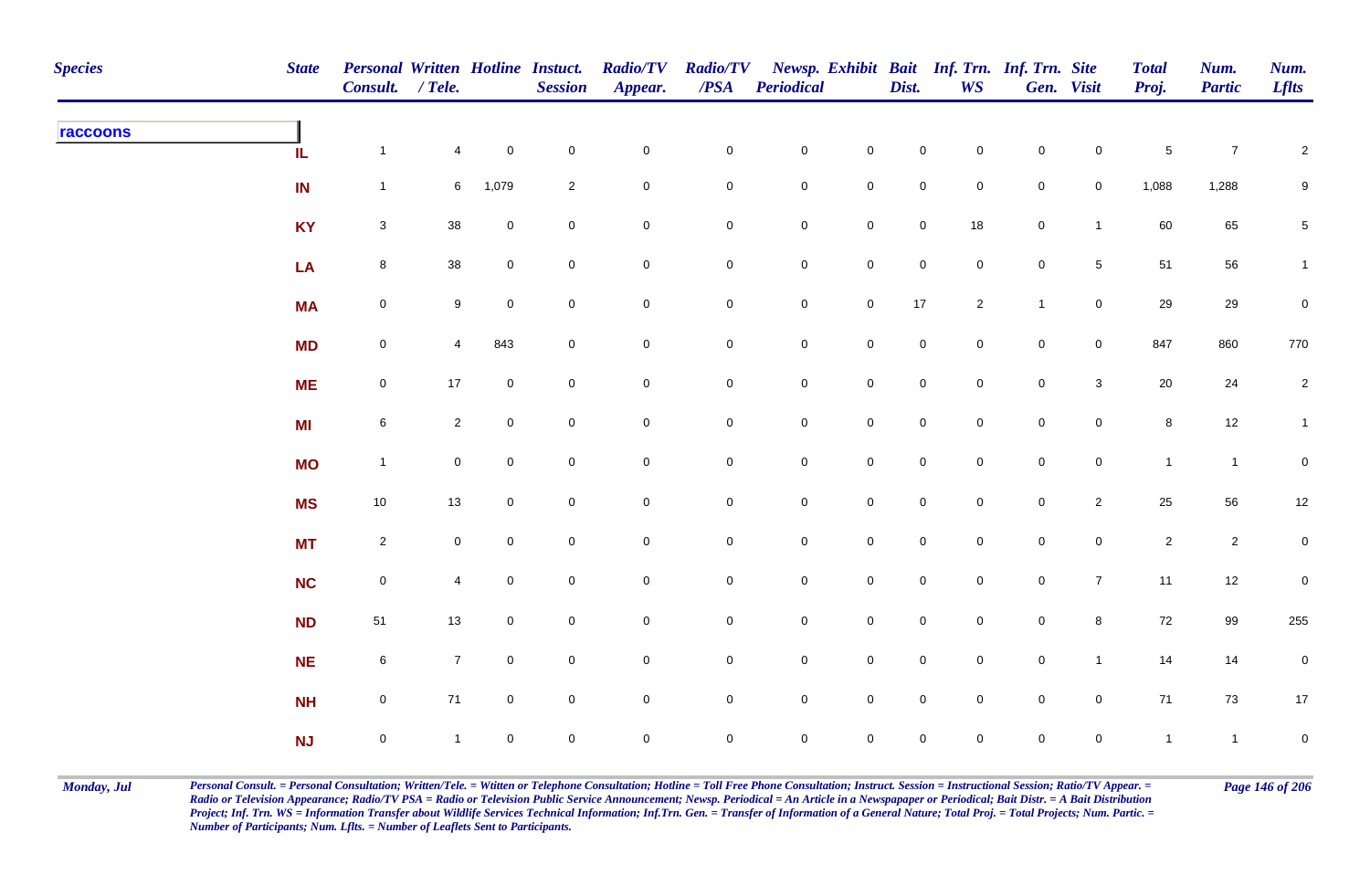| <b>Species</b> | <b>State</b> | Personal Written Hotline Instuct.<br>Consult. / Tele. |                |                     | <b>Session</b> | <b>Radio/TV</b><br>Appear. | <b>Radio/TV</b><br>$\overline{PSA}$ | <b>Periodical</b>   |                     | Dist.               | <b>WS</b>           | Newsp. Exhibit Bait Inf. Trn. Inf. Trn. Site | Gen. Visit          | <b>Total</b><br>Proj. | Num.<br><b>Partic</b> | Num.<br><b>Lflts</b> |
|----------------|--------------|-------------------------------------------------------|----------------|---------------------|----------------|----------------------------|-------------------------------------|---------------------|---------------------|---------------------|---------------------|----------------------------------------------|---------------------|-----------------------|-----------------------|----------------------|
| raccoons       | IL.          | $\mathbf{1}$                                          | $\overline{4}$ | $\mathbf 0$         | $\mathbf 0$    | $\mathsf{O}\xspace$        | $\mathsf{O}\xspace$                 | $\mathbf 0$         | $\mathsf{O}\xspace$ | $\mathsf{O}\xspace$ | $\mathsf{O}\xspace$ | $\mathbf 0$                                  | $\mathbf 0$         | $\,$ 5 $\,$           | $\overline{7}$        | $\overline{c}$       |
|                | IN           | $\mathbf{1}$                                          | 6              | 1,079               | $\overline{c}$ | $\pmb{0}$                  | $\mathsf{O}\xspace$                 | $\mathbf 0$         | $\mathsf{O}\xspace$ | $\mathbf 0$         | $\mathbf 0$         | $\mathbf 0$                                  | $\overline{0}$      | 1,088                 | 1,288                 | $9\,$                |
|                | <b>KY</b>    | $\mathbf{3}$                                          | 38             | $\mathbf 0$         | $\pmb{0}$      | $\mathsf{O}\xspace$        | $\mathsf{O}\xspace$                 | $\mathbf 0$         | $\mathbf 0$         | $\mathsf{O}\xspace$ | 18                  | $\mathbf 0$                                  | $\mathbf{1}$        | 60                    | 65                    | $5\phantom{.0}$      |
|                | LA           | 8                                                     | 38             | $\mathbf 0$         | $\mathbf 0$    | 0                          | $\mathsf{O}\xspace$                 | $\mathbf 0$         | $\mathsf{O}\xspace$ | $\mathsf{O}\xspace$ | $\mathbf 0$         | $\mathbf 0$                                  | $5\phantom{.0}$     | 51                    | 56                    | $\mathbf{1}$         |
|                | <b>MA</b>    | $\mathbf 0$                                           | $9\,$          | $\mathsf{O}\xspace$ | $\mathbf 0$    | $\mathsf{O}\xspace$        | $\mathsf{O}\xspace$                 | $\mathbf 0$         | $\mathbf 0$         | $17$                | $\overline{2}$      | $\mathbf{1}$                                 | $\mathsf{O}\xspace$ | 29                    | 29                    | $\pmb{0}$            |
|                | <b>MD</b>    | $\mathbf 0$                                           | $\overline{4}$ | 843                 | $\pmb{0}$      | $\mathbf 0$                | $\mathbf 0$                         | $\mathbf 0$         | $\mathbf 0$         | $\mathbf 0$         | $\mathbf 0$         | $\mathsf{O}\xspace$                          | $\overline{0}$      | 847                   | 860                   | 770                  |
|                | <b>ME</b>    | $\mathbf 0$                                           | 17             | $\mathbf 0$         | $\pmb{0}$      | $\mathsf{O}\xspace$        | $\mathsf{O}\xspace$                 | $\mathbf 0$         | $\mathbf 0$         | $\mathsf{O}\xspace$ | $\mathbf 0$         | $\mathsf 0$                                  | $\mathbf{3}$        | 20                    | 24                    | $\overline{c}$       |
|                | <b>MI</b>    | $6\phantom{.0}$                                       | $\overline{2}$ | $\mathbf 0$         | $\mathbf 0$    | 0                          | $\mathbf 0$                         | $\mathbf 0$         | $\mathbf 0$         | $\mathsf{O}\xspace$ | $\mathbf 0$         | $\mathbf 0$                                  | $\mathbf 0$         | 8                     | 12                    | $\mathbf{1}$         |
|                | <b>MO</b>    | $\mathbf{1}$                                          | $\mathbf 0$    | $\mathbf 0$         | $\mathbf 0$    | $\mathsf{O}\xspace$        | $\mathbf 0$                         | $\mathsf{O}\xspace$ | $\pmb{0}$           | $\mathsf{O}\xspace$ | $\mathbf 0$         | $\mathbf 0$                                  | $\mathsf{O}\xspace$ | $\mathbf{1}$          | $\mathbf{1}$          | $\pmb{0}$            |
|                | <b>MS</b>    | 10                                                    | 13             | $\overline{0}$      | $\mathbf 0$    | $\pmb{0}$                  | $\mathsf{O}\xspace$                 | $\overline{0}$      | $\mathbf 0$         | $\mathbf 0$         | $\mathbf 0$         | $\mathbf 0$                                  | $\overline{2}$      | 25                    | 56                    | $12\,$               |
|                | <b>MT</b>    | $\overline{2}$                                        | $\mathbf 0$    | $\mathbf 0$         | $\pmb{0}$      | $\mathsf{O}\xspace$        | $\mathsf{O}\xspace$                 | $\mathbf 0$         | $\mathbf 0$         | $\mathsf{O}\xspace$ | $\mathbf 0$         | $\mathbf 0$                                  | $\mathbf 0$         | $\sqrt{2}$            | $\overline{2}$        | $\pmb{0}$            |
|                | <b>NC</b>    | $\mathbf 0$                                           | 4              | $\mathbf 0$         | $\mathbf 0$    | $\mathsf{O}\xspace$        | $\mathsf{O}\xspace$                 | $\mathbf 0$         | $\mathbf 0$         | $\mathbf 0$         | $\mathbf 0$         | $\mathsf{O}$                                 | $\overline{7}$      | 11                    | 12                    | $\mathbf 0$          |
|                | <b>ND</b>    | $51\,$                                                | 13             | $\mathbf 0$         | $\mathbf 0$    | $\pmb{0}$                  | $\mathsf{O}\xspace$                 | $\mathbf 0$         | $\mathbf 0$         | $\mathsf{O}\xspace$ | $\mathbf 0$         | $\mathbf 0$                                  | $\bf8$              | $72\,$                | 99                    | 255                  |
|                | <b>NE</b>    | $\,$ 6 $\,$                                           | $\overline{7}$ | $\mathbf 0$         | $\pmb{0}$      | 0                          | $\mathsf{O}\xspace$                 | $\mathbf 0$         | $\mathsf{O}\xspace$ | $\mathsf{O}\xspace$ | $\mathbf 0$         | $\mathsf{O}$                                 | $\mathbf{1}$        | 14                    | 14                    | $\pmb{0}$            |
|                | <b>NH</b>    | $\mathbf 0$                                           | 71             | $\mathbf 0$         | $\mathbf 0$    | $\mathsf{O}\xspace$        | $\mathsf{O}\xspace$                 | $\mathbf 0$         | $\mathsf 0$         | $\mathsf{O}\xspace$ | $\mathbf 0$         | $\mathbf 0$                                  | $\mathbf 0$         | 71                    | $73\,$                | $17$                 |
|                | NJ           | $\mathbf 0$                                           | $\mathbf{1}$   | $\mathbf 0$         | $\mathbf 0$    | $\mathbf 0$                | $\mathbf 0$                         | $\mathsf{O}\xspace$ | $\mathbf 0$         | $\mathsf{O}\xspace$ | $\mathbf 0$         | $\mathbf 0$                                  | $\mathsf{O}\xspace$ | $\overline{1}$        | $\mathbf{1}$          | $\mathbf 0$          |

Monday, Jul Personal Consult. = Personal Consultation; Written/Tele. = Witten or Telephone Consultation; Hotline = Toll Free Phone Consultation; Instruct. Session = Instructional Session; Ratio/TV Appear. = Page 146 of 206 *Radio or Television Appearance; Radio/TV PSA = Radio or Television Public Service Announcement; Newsp. Periodical = An Article in a Newspapaper or Periodical; Bait Distr. = A Bait Distribution*  Project; Inf. Trn. WS = Information Transfer about Wildlife Services Technical Information; Inf.Trn. Gen. = Transfer of Information of a General Nature; Total Proj. = Total Projects; Num. Partic. = *Number of Participants; Num. Lflts. = Number of Leaflets Sent to Participants.*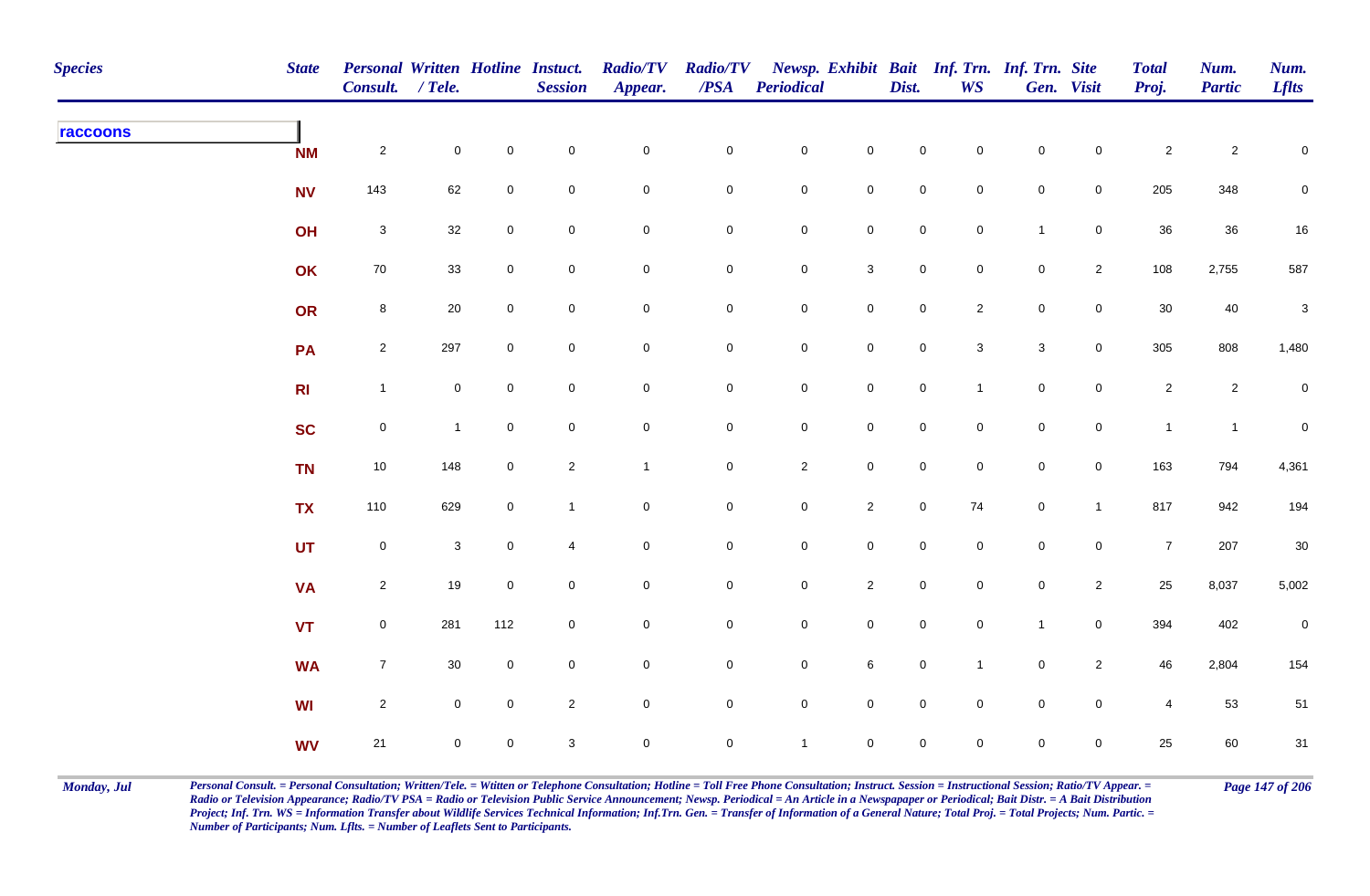| <b>Species</b> | <b>State</b>   | <b>Personal Written Hotline Instuct.</b><br>Consult. / Tele. |              |                | <b>Session</b> | <b>Radio/TV</b><br>Appear. | $\operatorname{\mathcal{PSA}}$ | Radio/TV Newsp. Exhibit Bait Inf. Trn. Inf. Trn. Site<br><b>Periodical</b> |                     | Dist.               | <b>WS</b>      |                           | Gen. Visit          | <b>Total</b><br>Proj. | Num.<br><b>Partic</b> | Num.<br><b>Lflts</b> |
|----------------|----------------|--------------------------------------------------------------|--------------|----------------|----------------|----------------------------|--------------------------------|----------------------------------------------------------------------------|---------------------|---------------------|----------------|---------------------------|---------------------|-----------------------|-----------------------|----------------------|
| raccoons       | <b>NM</b>      | $\overline{a}$                                               | $\mathbf 0$  | $\mathbf 0$    | $\mathbf 0$    | $\pmb{0}$                  | $\pmb{0}$                      | $\mathbf 0$                                                                | $\mathsf{O}\xspace$ | 0                   | $\mathbf 0$    | $\mathbf 0$               | $\mathbf 0$         | $\overline{a}$        | $\boldsymbol{2}$      | 0                    |
|                | <b>NV</b>      | 143                                                          | 62           | $\mathbf 0$    | $\mathbf 0$    | $\mathbf 0$                | 0                              | $\mathbf 0$                                                                | $\mathbf 0$         | $\mathbf 0$         | $\mathbf 0$    | $\mathbf 0$               | $\overline{0}$      | 205                   | 348                   | 0                    |
|                | OH             | $\mathbf{3}$                                                 | 32           | $\mathbf 0$    | $\mathbf 0$    | $\mathbf 0$                | 0                              | $\mathsf{O}$                                                               | $\mathbf 0$         | $\overline{0}$      | $\overline{0}$ | $\mathbf{1}$              | $\mathbf 0$         | 36                    | 36                    | 16                   |
|                | OK             | $70\,$                                                       | 33           | $\mathbf 0$    | $\pmb{0}$      | $\mathbf 0$                | $\pmb{0}$                      | $\mathsf{O}$                                                               | $\mathbf{3}$        | $\mathbf 0$         | $\mathbf 0$    | $\pmb{0}$                 | $\overline{2}$      | 108                   | 2,755                 | 587                  |
|                | OR             | $\bf8$                                                       | 20           | $\overline{0}$ | $\mathbf 0$    | $\mathbf 0$                | $\pmb{0}$                      | $\mathsf{O}$                                                               | $\mathbf 0$         | $\mathbf 0$         | $\overline{2}$ | $\pmb{0}$                 | $\mathbf 0$         | 30                    | 40                    | $\sqrt{3}$           |
|                | PA             | $\overline{2}$                                               | 297          | $\mathbf 0$    | $\mathbf 0$    | $\mathsf{O}\xspace$        | $\pmb{0}$                      | $\mathsf{O}\xspace$                                                        | $\mathbf 0$         | $\mathbf 0$         | $\mathbf{3}$   | $\ensuremath{\mathsf{3}}$ | $\mathsf 0$         | 305                   | 808                   | 1,480                |
|                | R <sub>l</sub> | $\mathbf{1}$                                                 | $\mathbf 0$  | $\mathbf 0$    | $\mathbf 0$    | $\mathbf 0$                | $\mathbf 0$                    | $\mathsf{O}$                                                               | $\overline{0}$      | $\mathbf 0$         | $\mathbf{1}$   | $\mathbf 0$               | $\mathbf 0$         | $\overline{2}$        | $\overline{a}$        | $\mathbf 0$          |
|                | <b>SC</b>      | $\mathsf{O}$                                                 | $\mathbf 1$  | $\mathbf 0$    | $\mathbf 0$    | $\mathbf 0$                | $\mathbf 0$                    | $\mathsf{O}\xspace$                                                        | $\mathbf 0$         | $\mathbf 0$         | $\mathbf{0}$   | $\mathbf 0$               | $\mathsf{O}\xspace$ | $\mathbf{1}$          | $\mathbf{1}$          | $\mathbf 0$          |
|                | <b>TN</b>      | $10\,$                                                       | 148          | $\mathbf 0$    | $\overline{2}$ | $\mathbf{1}$               | $\pmb{0}$                      | $\overline{2}$                                                             | $\mathbf 0$         | $\mathbf 0$         | $\mathbf 0$    | $\mathbf 0$               | $\mathsf{O}\xspace$ | 163                   | 794                   | 4,361                |
|                | <b>TX</b>      | 110                                                          | 629          | $\overline{0}$ | $\overline{1}$ | $\mathbf 0$                | $\pmb{0}$                      | $\mathbf 0$                                                                | $\overline{2}$      | $\mathbf 0$         | 74             | $\pmb{0}$                 | $\mathbf{1}$        | 817                   | 942                   | 194                  |
|                | <b>UT</b>      | ${\bf 0}$                                                    | $\mathbf{3}$ | $\mathbf 0$    | $\overline{4}$ | $\mathsf{O}\xspace$        | $\mathbf 0$                    | $\mathsf{O}$                                                               | $\mathbf 0$         | $\mathbf 0$         | $\mathsf 0$    | $\mathbf 0$               | $\mathbf 0$         | $\overline{7}$        | 207                   | $30\,$               |
|                | <b>VA</b>      | $\overline{2}$                                               | 19           | $\mathbf 0$    | $\mathbf 0$    | $\mathbf 0$                | $\mathbf 0$                    | $\mathsf{O}$                                                               | $\overline{2}$      | $\mathbf 0$         | $\overline{0}$ | $\mathbf 0$               | $\overline{2}$      | 25                    | 8,037                 | 5,002                |
|                | <b>VT</b>      | $\mathsf{O}$                                                 | 281          | 112            | $\mathsf 0$    | $\mathsf{O}\xspace$        | $\mathbf 0$                    | $\mathsf{O}$                                                               | $\mathbf 0$         | $\mathbf 0$         | $\mathbf 0$    | $\mathbf{1}$              | $\mathsf{O}\xspace$ | 394                   | 402                   | $\mathbf 0$          |
|                | <b>WA</b>      | $\overline{7}$                                               | $30\,$       | $\mathbf 0$    | $\pmb{0}$      | $\mathbf 0$                | $\pmb{0}$                      | $\mathsf{O}$                                                               | $\,6\,$             | $\mathbf 0$         | $\mathbf{1}$   | $\mathbf 0$               | $\overline{2}$      | 46                    | 2,804                 | 154                  |
|                | <b>WI</b>      | $\overline{2}$                                               | $\mathbf 0$  | $\mathbf 0$    | $\overline{2}$ | $\mathbf 0$                | $\mathbf 0$                    | $\mathsf{O}$                                                               | $\mathsf{O}\xspace$ | $\mathsf{O}\xspace$ | $\mathbf 0$    | $\mathbf 0$               | $\mathsf{O}\xspace$ | $\overline{4}$        | 53                    | 51                   |
|                | <b>WV</b>      | 21                                                           | $\mathbf 0$  | $\mathbf 0$    | $\sqrt{3}$     | $\mathbf 0$                | $\mathbf 0$                    | $\mathbf{1}$                                                               | $\mathsf{O}\xspace$ | 0                   | $\mathbf 0$    | $\mathbf 0$               | $\mathbf 0$         | 25                    | 60                    | 31                   |

Monday, Jul Personal Consult. = Personal Consultation; Written/Tele. = Witten or Telephone Consultation; Hotline = Toll Free Phone Consultation; Instruct. Session = Instructional Session; Ratio/TV Appear. = Page 147 of 206 *Radio or Television Appearance; Radio/TV PSA = Radio or Television Public Service Announcement; Newsp. Periodical = An Article in a Newspapaper or Periodical; Bait Distr. = A Bait Distribution*  Project; Inf. Trn. WS = Information Transfer about Wildlife Services Technical Information; Inf.Trn. Gen. = Transfer of Information of a General Nature; Total Proj. = Total Projects; Num. Partic. = *Number of Participants; Num. Lflts. = Number of Leaflets Sent to Participants.*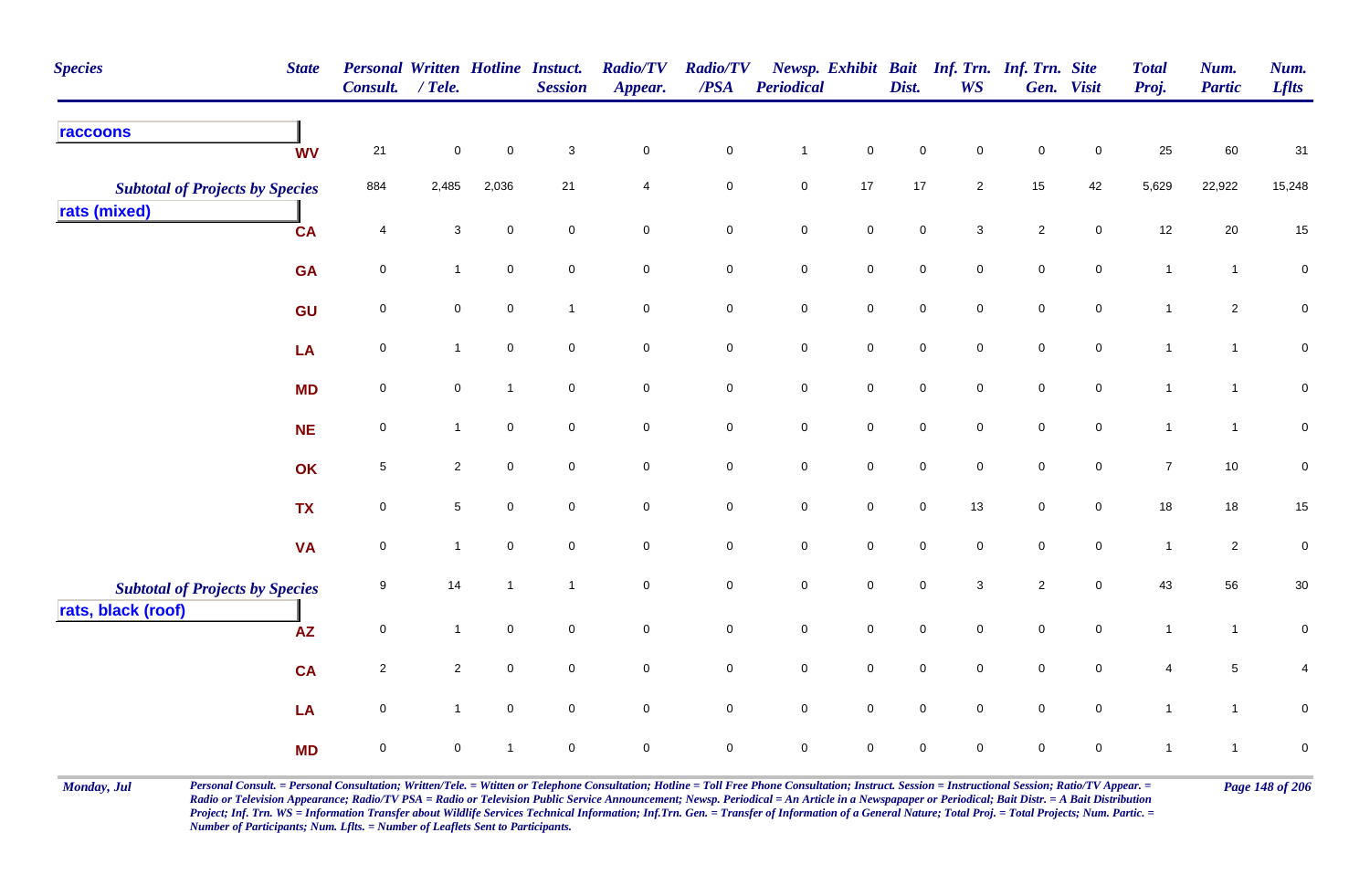| <b>Species</b><br><b>State</b>                         |                 | Personal Written Hotline Instuct.<br>Consult. / Tele. |                | <b>Session</b>      | <b>Radio/TV</b><br>Appear. | <b>Radio/TV</b><br>$\overline{PSA}$ | <b>Periodical</b> |                     | Dist.               | Newsp. Exhibit Bait Inf. Trn. Inf. Trn. Site<br><b>WS</b> |                | Gen. Visit     | <b>Total</b><br>Proj. | Num.<br><b>Partic</b> | Num.<br><b>Lflts</b> |
|--------------------------------------------------------|-----------------|-------------------------------------------------------|----------------|---------------------|----------------------------|-------------------------------------|-------------------|---------------------|---------------------|-----------------------------------------------------------|----------------|----------------|-----------------------|-----------------------|----------------------|
| raccoons<br><b>WV</b>                                  | $21$            | $\pmb{0}$                                             | $\mathbf 0$    | $\mathbf{3}$        | $\mathbf 0$                | ${\bf 0}$                           | $\mathbf{1}$      | $\mathsf{O}\xspace$ | $\pmb{0}$           | 0                                                         | $\pmb{0}$      | $\mathbf 0$    | 25                    | 60                    | 31                   |
| <b>Subtotal of Projects by Species</b><br>rats (mixed) | 884             | 2,485                                                 | 2,036          | 21                  | 4                          | $\overline{0}$                      | $\mathsf 0$       | 17                  | $17$                | $\overline{2}$                                            | 15             | 42             | 5,629                 | 22,922                | 15,248               |
| <b>CA</b>                                              | $\overline{4}$  | 3                                                     | $\mathbf 0$    | $\mathbf 0$         | $\mathbf 0$                | $\mathbf 0$                         | $\mathbf 0$       | $\mathbf 0$         | $\pmb{0}$           | $\mathbf{3}$                                              | $\overline{2}$ | $\mathbf 0$    | 12                    | 20                    | 15                   |
| <b>GA</b>                                              | $\mathbf 0$     | $\overline{1}$                                        | $\mathbf 0$    | $\mathbf 0$         | $\mathbf 0$                | 0                                   | $\pmb{0}$         | $\overline{0}$      | $\mathsf 0$         | $\mathbf 0$                                               | $\mathsf 0$    | $\mathbf 0$    | $\mathbf{1}$          | $\mathbf{1}$          | $\pmb{0}$            |
| GU                                                     | $\mathbf 0$     | $\mathbf 0$                                           | $\mathbf 0$    | $\mathbf{1}$        | $\mathsf{O}\xspace$        | $\overline{0}$                      | $\mathbf 0$       | $\mathsf{O}\xspace$ | $\mathsf{O}\xspace$ | $\mathbf 0$                                               | $\mathbf 0$    | $\overline{0}$ | $\mathbf{1}$          | $\overline{2}$        | $\pmb{0}$            |
| LA                                                     | $\mathbf 0$     | $\mathbf{1}$                                          | $\mathbf 0$    | $\mathbf 0$         | $\mathbf 0$                | $\overline{0}$                      | $\mathbf 0$       | $\mathsf{O}\xspace$ | $\pmb{0}$           | $\mathbf 0$                                               | $\pmb{0}$      | $\mathbf 0$    | $\mathbf{1}$          | $\mathbf{1}$          | $\pmb{0}$            |
| <b>MD</b>                                              | 0               | $\mathsf{O}\xspace$                                   | $\mathbf{1}$   | $\mathsf{O}\xspace$ | $\mathsf{O}\xspace$        | $\mathbf 0$                         | $\pmb{0}$         | $\mathsf{O}\xspace$ | $\pmb{0}$           | $\mathbf 0$                                               | $\pmb{0}$      | $\mathbf 0$    | $\mathbf{1}$          | $\mathbf{1}$          | $\pmb{0}$            |
| <b>NE</b>                                              | $\mathbf 0$     | $\mathbf{1}$                                          | $\mathbf 0$    | $\mathbf 0$         | $\mathsf{O}\xspace$        | $\mathbf 0$                         | $\mathbf 0$       | $\mathsf{O}\xspace$ | $\mathsf 0$         | $\mathbf 0$                                               | $\mathsf 0$    | $\mathbf 0$    | $\mathbf{1}$          | $\mathbf{1}$          | $\pmb{0}$            |
| OK                                                     | $5\phantom{.0}$ | $\overline{2}$                                        | $\mathbf 0$    | $\mathbf 0$         | $\mathbf 0$                | $\mathbf 0$                         | $\mathsf 0$       | $\mathbf 0$         | $\mathsf 0$         | $\mathbf 0$                                               | $\mathsf 0$    | $\mathbf 0$    | $\overline{7}$        | 10                    | $\mathbf 0$          |
| <b>TX</b>                                              | 0               | $\sqrt{5}$                                            | $\mathbf 0$    | $\mathbf 0$         | $\mathbf 0$                | $\mathbf 0$                         | $\mathsf 0$       | $\mathbf 0$         | $\pmb{0}$           | 13                                                        | $\mathsf 0$    | $\mathbf 0$    | 18                    | 18                    | 15                   |
| <b>VA</b>                                              | $\mathbf 0$     | $\mathbf{1}$                                          | $\mathsf 0$    | $\mathbf 0$         | $\pmb{0}$                  | $\mathsf{O}\xspace$                 | $\pmb{0}$         | $\mathsf{O}\xspace$ | $\mathbf 0$         | 0                                                         | $\mathbf 0$    | $\mathbf 0$    | $\mathbf{1}$          | $\overline{c}$        | $\pmb{0}$            |
| <b>Subtotal of Projects by Species</b>                 | 9               | 14                                                    | $\mathbf{1}$   | $\mathbf{1}$        | $\mathbf 0$                | $\mathbf 0$                         | $\pmb{0}$         | $\mathbf 0$         | $\mathsf 0$         | $\mathbf{3}$                                              | $\sqrt{2}$     | $\mathbf 0$    | 43                    | 56                    | $30\,$               |
| rats, black (roof)<br><b>AZ</b>                        | $\mathbf 0$     | $\overline{1}$                                        | $\overline{0}$ | $\mathsf 0$         | $\mathsf{O}\xspace$        | $\mathbf 0$                         | $\pmb{0}$         | $\mathsf{O}\xspace$ | $\pmb{0}$           | $\mathbf 0$                                               | $\mathsf 0$    | $\mathbf 0$    | $\overline{1}$        | $\mathbf{1}$          | $\pmb{0}$            |
| CA                                                     | $\overline{c}$  | $\overline{c}$                                        | $\overline{0}$ | $\mathbf 0$         | $\mathbf 0$                | $\mathbf 0$                         | $\mathbf 0$       | $\mathsf{O}\xspace$ | $\mathbf 0$         | $\mathbf 0$                                               | $\mathbf 0$    | $\mathbf 0$    | $\overline{4}$        | $5\phantom{.0}$       | 4                    |
| LA                                                     | $\mathbf 0$     | $\mathbf{1}$                                          | $\overline{0}$ | $\mathsf 0$         | $\mathbf 0$                | $\overline{0}$                      | $\mathbf 0$       | $\overline{0}$      | $\mathsf 0$         | $\mathbf 0$                                               | $\mathsf 0$    | $\mathbf 0$    | $\mathbf{1}$          | $\mathbf{1}$          | $\mathsf 0$          |
| <b>MD</b>                                              | $\mathbf 0$     | $\mathbf 0$                                           | $\overline{1}$ | $\mathbf 0$         | $\mathbf 0$                | $\mathbf 0$                         | $\pmb{0}$         | $\mathbf 0$         | $\mathsf 0$         | 0                                                         | $\mathbf 0$    | $\mathbf 0$    | $\mathbf{1}$          | $\mathbf{1}$          | $\pmb{0}$            |

Monday, Jul Personal Consult. = Personal Consultation; Written/Tele. = Witten or Telephone Consultation; Hotline = Toll Free Phone Consultation; Instruct. Session = Instructional Session; Ratio/TV Appear. = Page 148 of 206 *Radio or Television Appearance; Radio/TV PSA = Radio or Television Public Service Announcement; Newsp. Periodical = An Article in a Newspapaper or Periodical; Bait Distr. = A Bait Distribution*  Project; Inf. Trn. WS = Information Transfer about Wildlife Services Technical Information; Inf.Trn. Gen. = Transfer of Information of a General Nature; Total Proj. = Total Projects; Num. Partic. = *Number of Participants; Num. Lflts. = Number of Leaflets Sent to Participants.*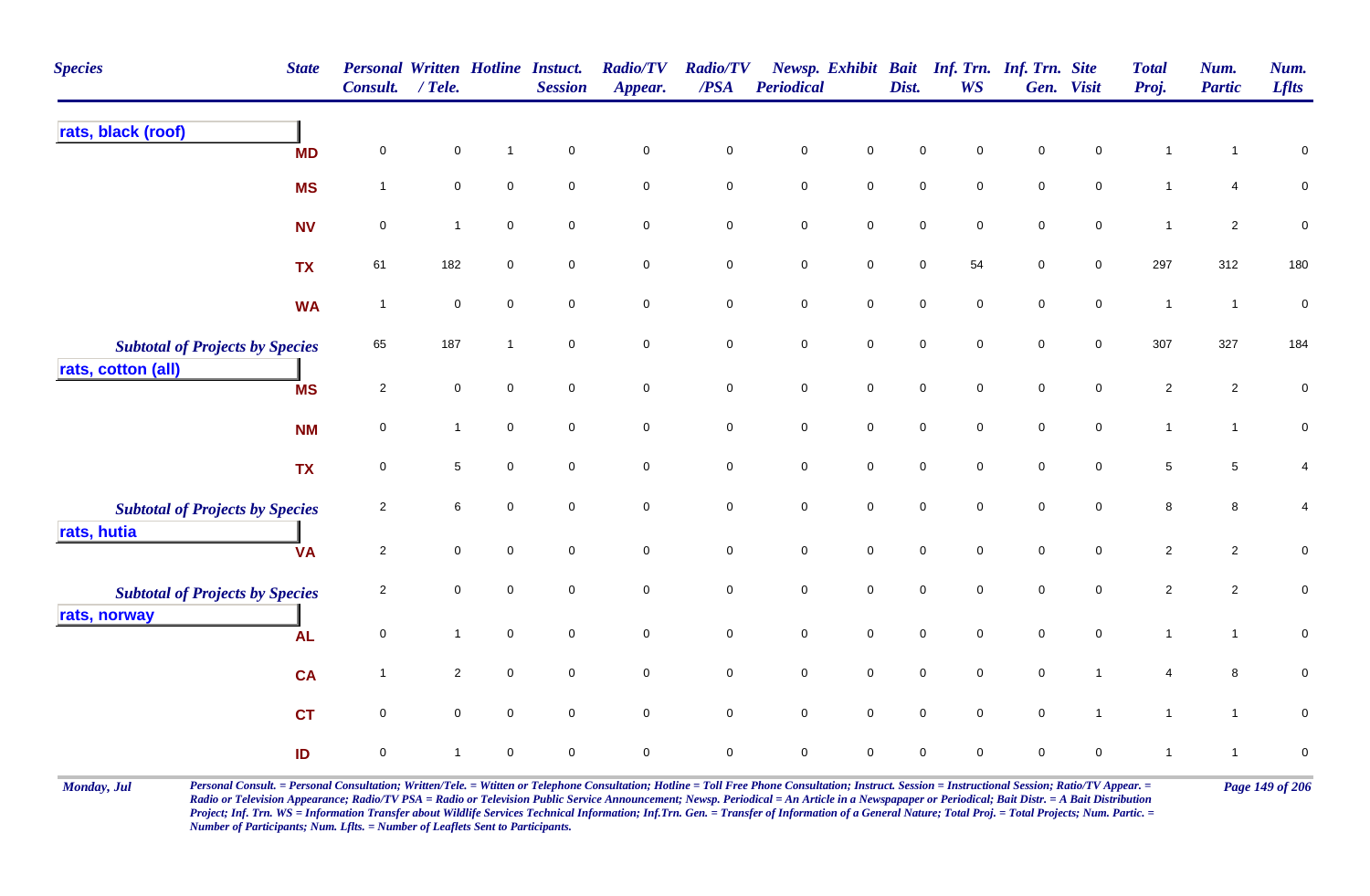| <b>Species</b><br><b>State</b>                               |           | <b>Personal Written Hotline Instuct.</b><br>Consult. | $/$ Tele.           |                     | <b>Session</b>      | <b>Radio/TV</b><br>Appear. | <b>Radio/TV</b><br>/PSA | Periodical          |                     | Dist.               | Newsp. Exhibit Bait Inf. Trn. Inf. Trn. Site<br><b>WS</b> |             | Gen. Visit          | <b>Total</b><br>Proj. | Num.<br><b>Partic</b> | Num.<br><b>Lflts</b> |
|--------------------------------------------------------------|-----------|------------------------------------------------------|---------------------|---------------------|---------------------|----------------------------|-------------------------|---------------------|---------------------|---------------------|-----------------------------------------------------------|-------------|---------------------|-----------------------|-----------------------|----------------------|
| rats, black (roof)                                           | <b>MD</b> | $\pmb{0}$                                            | $\mathbf 0$         | $\mathbf{1}$        | $\mathbf 0$         | $\mathbf 0$                | $\pmb{0}$               | $\pmb{0}$           | $\mathsf 0$         | $\mathsf{O}\xspace$ | 0                                                         | $\mathsf 0$ | $\pmb{0}$           | $\mathbf{1}$          | 1                     | $\pmb{0}$            |
|                                                              | <b>MS</b> | $\mathbf{1}$                                         | $\mathsf{O}\xspace$ | $\pmb{0}$           | $\mathsf{O}\xspace$ | $\mathsf{O}\xspace$        | $\mathsf{O}\xspace$     | $\mathbf 0$         | $\mathsf{O}\xspace$ | $\mathsf{O}\xspace$ | $\mathbf 0$                                               | $\mathsf 0$ | $\mathbf 0$         | $\mathbf{1}$          | 4                     | $\overline{0}$       |
|                                                              | <b>NV</b> | $\mathbf 0$                                          | $\mathbf{1}$        | $\mathbf 0$         | $\mathbf 0$         | $\mathbf 0$                | $\mathbf 0$             | $\pmb{0}$           | $\mathbf 0$         | $\mathsf{O}\xspace$ | $\mathbf 0$                                               | $\mathsf 0$ | $\mathbf 0$         | $\overline{1}$        | $\overline{2}$        | $\pmb{0}$            |
|                                                              | <b>TX</b> | 61                                                   | 182                 | $\mathsf 0$         | $\mathbf 0$         | $\mathsf{O}\xspace$        | $\pmb{0}$               | $\mathbf 0$         | $\mathsf{O}\xspace$ | $\mathbf 0$         | 54                                                        | $\pmb{0}$   | $\mathsf{O}\xspace$ | 297                   | 312                   | 180                  |
|                                                              | <b>WA</b> | $\overline{1}$                                       | $\pmb{0}$           | $\mathsf 0$         | $\pmb{0}$           | $\mathbf 0$                | $\mathbf 0$             | $\pmb{0}$           | $\mathbf 0$         | $\mathsf{O}\xspace$ | $\mathbf 0$                                               | $\pmb{0}$   | $\mathbf 0$         | $\mathbf{1}$          | $\overline{1}$        | $\pmb{0}$            |
| <b>Subtotal of Projects by Species</b><br>rats, cotton (all) |           | 65                                                   | 187                 | $\mathbf{1}$        | $\mathbf 0$         | $\mathbf 0$                | $\pmb{0}$               | $\pmb{0}$           | $\mathbf 0$         | $\mathbf 0$         | $\mathbf 0$                                               | $\mathbf 0$ | $\mathbf 0$         | 307                   | 327                   | 184                  |
|                                                              | <b>MS</b> | $\overline{2}$                                       | $\mathbf 0$         | $\mathbf 0$         | $\mathbf 0$         | $\mathbf 0$                | $\mathbf 0$             | $\pmb{0}$           | $\mathsf{O}$        | $\pmb{0}$           | $\mathbf 0$                                               | $\pmb{0}$   | $\mathsf{O}$        | $\overline{2}$        | $\overline{a}$        | $\pmb{0}$            |
|                                                              | <b>NM</b> | $\pmb{0}$                                            | $\mathbf{1}$        | $\mathsf 0$         | $\mathbf 0$         | $\mathbf 0$                | $\mathbf 0$             | $\mathbf 0$         | $\mathbf 0$         | $\mathbf 0$         | $\mathbf 0$                                               | $\mathsf 0$ | $\mathbf 0$         | $\mathbf{1}$          | $\mathbf{1}$          | $\pmb{0}$            |
|                                                              | <b>TX</b> | $\pmb{0}$                                            | $\sqrt{5}$          | $\mathsf{O}\xspace$ | $\mathbf 0$         | $\mathsf{O}\xspace$        | $\mathbf 0$             | $\mathbf 0$         | $\mathbf 0$         | $\mathbf 0$         | $\mathbf 0$                                               | $\pmb{0}$   | $\mathsf{O}\xspace$ | $\,$ 5 $\,$           | 5                     | $\overline{4}$       |
| <b>Subtotal of Projects by Species</b><br>rats, hutia        |           | $\overline{2}$                                       | 6                   | $\mathbf 0$         | $\mathbf 0$         | $\mathbf 0$                | $\mathbf 0$             | $\mathbf 0$         | $\mathbf 0$         | $\mathbf 0$         | $\mathbf 0$                                               | $\mathbf 0$ | $\mathbf 0$         | 8                     | 8                     | 4                    |
|                                                              | <b>VA</b> | $\sqrt{2}$                                           | $\mathbf 0$         | $\mathsf{O}\xspace$ | $\mathbf 0$         | $\mathsf{O}\xspace$        | $\pmb{0}$               | $\mathbf 0$         | $\mathsf{O}\xspace$ | $\mathbf 0$         | $\mathbf 0$                                               | $\pmb{0}$   | $\mathbf 0$         | $\overline{2}$        | $\overline{c}$        | $\pmb{0}$            |
| <b>Subtotal of Projects by Species</b><br>rats, norway       |           | $\overline{2}$                                       | $\mathbf 0$         | $\mathbf 0$         | $\mathbf 0$         | $\mathbf 0$                | $\mathbf 0$             | $\pmb{0}$           | $\overline{0}$      | $\mathsf{O}\xspace$ | $\mathbf 0$                                               | $\mathsf 0$ | $\mathbf 0$         | $\overline{2}$        | $\overline{2}$        | $\pmb{0}$            |
|                                                              | <b>AL</b> | $\mathbf 0$                                          | $\mathbf{1}$        | $\mathsf{O}\xspace$ | $\mathbf 0$         | $\mathbf 0$                | $\pmb{0}$               | $\mathbf 0$         | $\mathbf 0$         | $\mathbf 0$         | $\mathbf 0$                                               | $\mathsf 0$ | $\mathbf 0$         | $\mathbf{1}$          | $\mathbf{1}$          | $\pmb{0}$            |
|                                                              | <b>CA</b> | $\overline{1}$                                       | $\overline{2}$      | $\mathbf 0$         | $\mathbf 0$         | $\mathbf 0$                | $\overline{0}$          | $\mathsf{O}\xspace$ | $\overline{0}$      | $\mathsf{O}\xspace$ | $\mathbf 0$                                               | $\mathsf 0$ | $\mathbf{1}$        | 4                     | 8                     | $\mathbf 0$          |
|                                                              | <b>CT</b> | $\pmb{0}$                                            | $\mathbf 0$         | $\pmb{0}$           | $\mathbf 0$         | $\mathsf{O}\xspace$        | $\pmb{0}$               | $\mathbf 0$         | $\mathbf 0$         | $\mathbf 0$         | $\mathbf 0$                                               | $\pmb{0}$   | $\mathbf{1}$        | $\mathbf{1}$          | $\mathbf{1}$          | $\pmb{0}$            |
|                                                              | ID        | $\mathbf 0$                                          | $\mathbf{1}$        | $\mathbf 0$         | $\mathbf 0$         | $\mathbf 0$                | $\mathbf 0$             | $\mathbf 0$         | $\mathbf 0$         | $\mathbf 0$         | $\mathbf 0$                                               | $\mathbf 0$ | $\mathbf 0$         | $\mathbf{1}$          | $\overline{1}$        | $\pmb{0}$            |

Monday, Jul Personal Consult. = Personal Consultation; Written/Tele. = Witten or Telephone Consultation; Hotline = Toll Free Phone Consultation; Instruct. Session = Instructional Session; Ratio/TV Appear. = Page 149 of 206 *Radio or Television Appearance; Radio/TV PSA = Radio or Television Public Service Announcement; Newsp. Periodical = An Article in a Newspapaper or Periodical; Bait Distr. = A Bait Distribution*  Project; Inf. Trn. WS = Information Transfer about Wildlife Services Technical Information; Inf.Trn. Gen. = Transfer of Information of a General Nature; Total Proj. = Total Projects; Num. Partic. = *Number of Participants; Num. Lflts. = Number of Leaflets Sent to Participants.*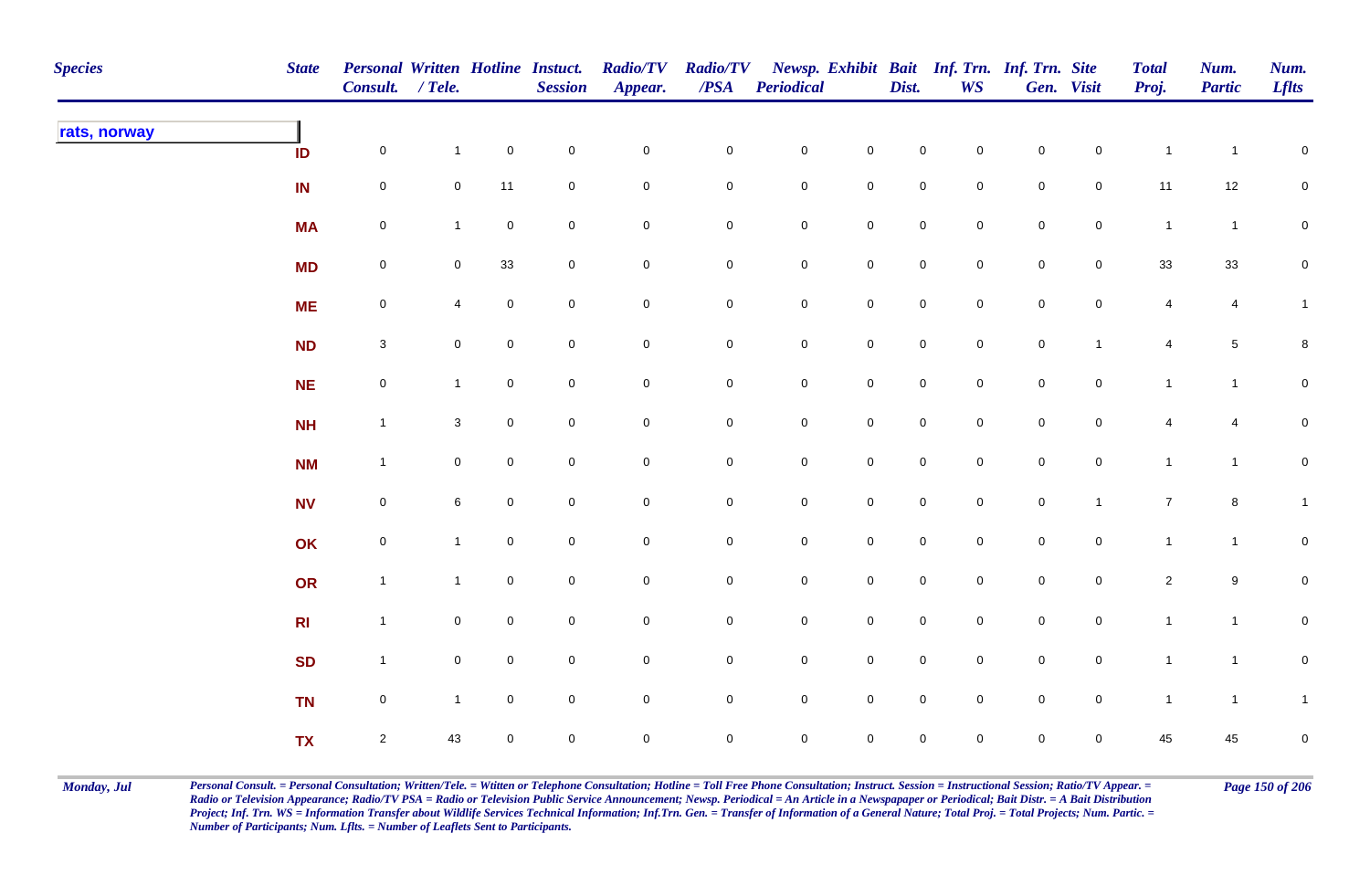| <b>Species</b> | <b>State</b>   | <b>Personal Written Hotline Instuct.</b><br>Consult. / Tele. |                |                     | <b>Session</b>      | <b>Radio/TV</b><br>Appear. | <b>Radio/TV</b><br>$\mathbf{PSA}$ | <b>Periodical</b>   |                     | Dist.               | <b>WS</b>           | Newsp. Exhibit Bait Inf. Trn. Inf. Trn. Site | Gen. Visit     | <b>Total</b><br>Proj. | Num.<br><b>Partic</b> | Num.<br><b>Lflts</b> |
|----------------|----------------|--------------------------------------------------------------|----------------|---------------------|---------------------|----------------------------|-----------------------------------|---------------------|---------------------|---------------------|---------------------|----------------------------------------------|----------------|-----------------------|-----------------------|----------------------|
| rats, norway   | ID             | $\mathbf 0$                                                  | $\mathbf{1}$   | $\mathsf{O}\xspace$ | $\pmb{0}$           | $\mathbf 0$                | $\mathsf{O}\xspace$               | $\mathbf 0$         | $\mathbf 0$         | $\mathbf 0$         | $\mathsf{O}\xspace$ | $\mathbf 0$                                  | $\mathbf 0$    | $\overline{1}$        | $\overline{1}$        | $\mathbf 0$          |
|                | IN             | $\mathbf 0$                                                  | $\mathbf 0$    | 11                  | $\pmb{0}$           | $\mathsf{O}\xspace$        | $\mathbf 0$                       | $\mathbf 0$         | $\pmb{0}$           | $\mathbf 0$         | $\mathbf 0$         | $\mathbf 0$                                  | $\mathbf 0$    | 11                    | 12                    | $\mathbf 0$          |
|                | <b>MA</b>      | $\mathbf 0$                                                  | $\mathbf{1}$   | $\mathbf 0$         | $\pmb{0}$           | $\mathsf{O}\xspace$        | $\mathbf 0$                       | $\mathbf 0$         | $\mathsf{O}\xspace$ | $\pmb{0}$           | $\mathbf 0$         | $\mathbf 0$                                  | $\mathbf 0$    | $\overline{1}$        | $\mathbf{1}$          | $\mathbf 0$          |
|                | <b>MD</b>      | $\mathbf 0$                                                  | $\mathbf 0$    | $33\,$              | $\pmb{0}$           | $\pmb{0}$                  | $\mathsf{O}\xspace$               | $\mathbf 0$         | $\mathbf 0$         | $\mathsf{O}\xspace$ | $\mathbf 0$         | $\mathbf 0$                                  | $\mathbf 0$    | $33\,$                | 33                    | $\mathbf 0$          |
|                | <b>ME</b>      | $\mathbf 0$                                                  | 4              | $\overline{0}$      | $\mathsf{O}\xspace$ | $\mathbf 0$                | $\mathsf{O}\xspace$               | $\mathbf 0$         | $\mathbf 0$         | $\mathbf 0$         | $\mathbf 0$         | $\mathbf 0$                                  | $\mathbf 0$    | 4                     | $\overline{4}$        | $\mathbf{1}$         |
|                | <b>ND</b>      | $\mathbf{3}$                                                 | $\overline{0}$ | $\mathsf{O}\xspace$ | $\mathbf 0$         | $\mathsf{O}\xspace$        | $\overline{0}$                    | $\mathbf 0$         | $\mathbf 0$         | $\mathbf 0$         | $\mathsf{O}\xspace$ | $\mathsf{O}$                                 | $\mathbf{1}$   | 4                     | $5\phantom{.0}$       | $\bf 8$              |
|                | NE             | $\mathbf 0$                                                  | $\mathbf{1}$   | $\mathsf{O}\xspace$ | $\mathbf 0$         | $\mathsf{O}\xspace$        | $\mathsf{O}\xspace$               | $\mathbf 0$         | $\mathsf 0$         | $\mathbf 0$         | $\mathsf{O}\xspace$ | $\mathbf 0$                                  | $\mathbf 0$    | $\mathbf{1}$          | $\mathbf{1}$          | $\mathbf 0$          |
|                | <b>NH</b>      | $\mathbf{1}$                                                 | 3              | $\mathsf{O}\xspace$ | $\mathbf 0$         | $\mathsf{O}\xspace$        | $\mathbf 0$                       | $\mathbf 0$         | $\mathbf 0$         | $\mathsf{O}\xspace$ | $\mathbf 0$         | $\mathbf 0$                                  | $\mathbf 0$    | 4                     | $\overline{4}$        | $\mathbf 0$          |
|                | <b>NM</b>      | $\mathbf{1}$                                                 | $\mathbf 0$    | $\mathbf 0$         | $\mathbf 0$         | $\mathbf 0$                | $\mathbf 0$                       | $\overline{0}$      | $\mathbf 0$         | $\mathbf 0$         | $\mathbf 0$         | $\mathbf 0$                                  | $\mathbf 0$    | $\mathbf{1}$          | $\mathbf{1}$          | $\mathbf 0$          |
|                | <b>NV</b>      | $\mathbf 0$                                                  | 6              | $\mathsf{O}\xspace$ | $\mathbf 0$         | $\mathbf 0$                | $\mathbf 0$                       | $\mathbf 0$         | $\mathbf 0$         | $\mathsf{O}\xspace$ | $\mathsf{O}\xspace$ | $\mathbf 0$                                  | $\mathbf{1}$   | $\overline{7}$        | $\bf{8}$              | $\mathbf{1}$         |
|                | OK             | $\mathbf 0$                                                  | $\mathbf{1}$   | $\mathbf 0$         | $\pmb{0}$           | $\mathbf 0$                | $\mathsf{O}\xspace$               | $\mathbf 0$         | $\mathsf{O}\xspace$ | $\mathsf{O}\xspace$ | $\mathbf 0$         | $\mathbf 0$                                  | $\mathbf 0$    | $\mathbf{1}$          | $\mathbf{1}$          | $\pmb{0}$            |
|                | OR             | $\mathbf{1}$                                                 | $\mathbf{1}$   | $\mathbf 0$         | $\pmb{0}$           | $\mathbf 0$                | $\mathsf{O}\xspace$               | $\mathbf 0$         | $\mathbf 0$         | $\mathbf 0$         | $\overline{0}$      | $\mathsf{O}$                                 | $\mathbf 0$    | $\overline{2}$        | 9                     | $\mathbf 0$          |
|                | R <sub>l</sub> | $\mathbf{1}$                                                 | $\overline{0}$ | $\mathbf 0$         | $\pmb{0}$           | 0                          | $\mathsf{O}\xspace$               | $\mathbf 0$         | $\mathbf 0$         | $\mathbf 0$         | $\mathbf 0$         | $\overline{0}$                               | $\mathbf 0$    | $\mathbf{1}$          | $\mathbf{1}$          | $\mathbf 0$          |
|                | <b>SD</b>      | $\mathbf{1}$                                                 | $\overline{0}$ | $\overline{0}$      | $\mathbf 0$         | $\mathbf 0$                | $\overline{0}$                    | $\mathbf 0$         | $\mathbf 0$         | $\mathbf 0$         | $\mathbf 0$         | $\mathsf{O}$                                 | $\overline{0}$ | $\mathbf{1}$          | $\overline{1}$        | $\mathbf 0$          |
|                | <b>TN</b>      | $\mathbf 0$                                                  | $\mathbf{1}$   | $\mathsf{O}\xspace$ | $\mathbf 0$         | $\mathsf{O}\xspace$        | $\mathsf{O}\xspace$               | $\mathbf 0$         | $\mathsf 0$         | $\mathsf 0$         | $\mathsf{O}\xspace$ | $\mathbf 0$                                  | $\mathbf 0$    | $\mathbf{1}$          | $\mathbf{1}$          | $\mathbf{1}$         |
|                | <b>TX</b>      | $\overline{2}$                                               | 43             | $\mathbf 0$         | $\mathbf 0$         | 0                          | $\mathbf 0$                       | $\mathsf{O}\xspace$ | $\mathbf 0$         | $\mathsf{O}\xspace$ | $\mathbf 0$         | $\mathbf 0$                                  | $\mathbf 0$    | 45                    | 45                    | $\mathsf 0$          |

Monday, Jul Personal Consult. = Personal Consultation; Written/Tele. = Witten or Telephone Consultation; Hotline = Toll Free Phone Consultation; Instruct. Session = Instructional Session; Ratio/TV Appear. = Page 150 of 206 *Radio or Television Appearance; Radio/TV PSA = Radio or Television Public Service Announcement; Newsp. Periodical = An Article in a Newspapaper or Periodical; Bait Distr. = A Bait Distribution*  Project; Inf. Trn. WS = Information Transfer about Wildlife Services Technical Information; Inf.Trn. Gen. = Transfer of Information of a General Nature; Total Proj. = Total Projects; Num. Partic. = *Number of Participants; Num. Lflts. = Number of Leaflets Sent to Participants.*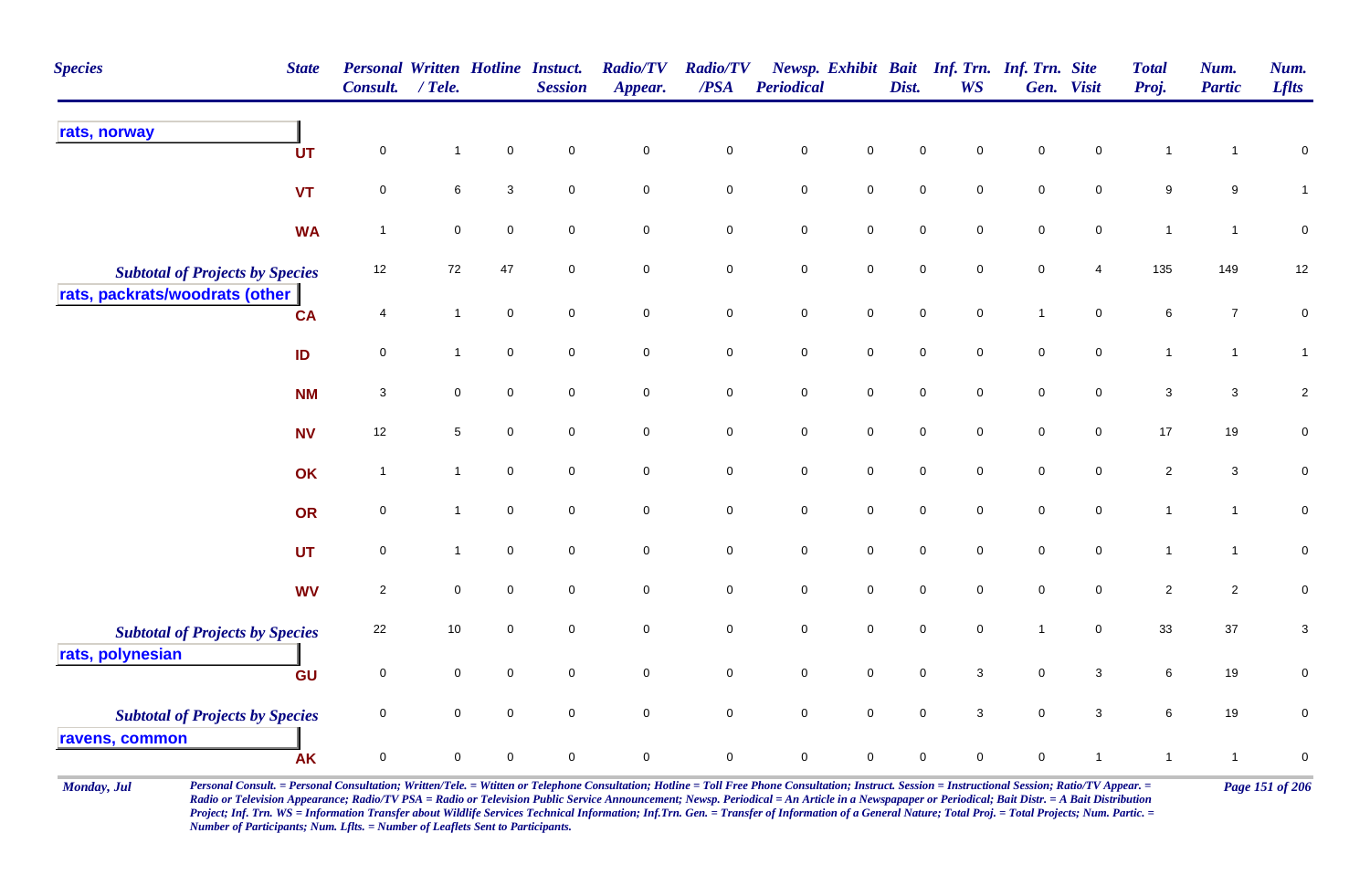| <b>Species</b>                         | <b>State</b> | <b>Personal Written Hotline Instuct.</b><br><b>Consult.</b> | $/$ Tele.           |                     | <b>Session</b>      | <b>Radio/TV</b><br>Appear. | <b>Radio/TV</b><br>$\overline{PSA}$ | <b>Periodical</b> |                     | Dist.       | Newsp. Exhibit Bait Inf. Trn. Inf. Trn. Site<br><b>WS</b> |              | Gen. Visit          | <b>Total</b><br>Proj. | Num.<br><b>Partic</b> | Num.<br><b>Lflts</b> |
|----------------------------------------|--------------|-------------------------------------------------------------|---------------------|---------------------|---------------------|----------------------------|-------------------------------------|-------------------|---------------------|-------------|-----------------------------------------------------------|--------------|---------------------|-----------------------|-----------------------|----------------------|
| rats, norway                           | <b>UT</b>    | $\mathbf 0$                                                 | $\mathbf{1}$        | $\mathsf 0$         | $\mathbf 0$         | $\mathbf 0$                | $\pmb{0}$                           | $\pmb{0}$         | $\mathbf 0$         | $\mathbf 0$ | 0                                                         | $\mathbf 0$  | 0                   | $\overline{1}$        | 1                     | 0                    |
|                                        | <b>VT</b>    | $\mathbf 0$                                                 | $\,6\,$             | $\mathbf{3}$        | $\mathsf{O}\xspace$ | $\mathsf{O}\xspace$        | $\mathbf 0$                         | $\pmb{0}$         | $\mathsf{O}\xspace$ | $\pmb{0}$   | 0                                                         | $\pmb{0}$    | $\mathsf{O}\xspace$ | $\boldsymbol{9}$      | $\boldsymbol{9}$      | $\mathbf{1}$         |
|                                        | <b>WA</b>    | $\overline{1}$                                              | $\mathbf 0$         | $\mathbf 0$         | $\mathbf 0$         | $\mathbf 0$                | $\mathbf 0$                         | $\mathbf 0$       | $\pmb{0}$           | $\pmb{0}$   | 0                                                         | $\mathbf 0$  | $\mathbf 0$         | $\overline{1}$        | $\mathbf{1}$          | $\pmb{0}$            |
| <b>Subtotal of Projects by Species</b> |              | 12                                                          | 72                  | 47                  | $\mathbf 0$         | $\mathsf{O}\xspace$        | $\mathbf 0$                         | $\pmb{0}$         | $\mathsf{O}\xspace$ | $\pmb{0}$   | $\mathbf 0$                                               | $\mathsf 0$  | 4                   | 135                   | 149                   | 12                   |
| rats, packrats/woodrats (other         | <b>CA</b>    | $\overline{4}$                                              | $\mathbf{1}$        | $\mathsf{O}\xspace$ | $\mathbf 0$         | $\mathsf{O}\xspace$        | $\mathbf 0$                         | $\pmb{0}$         | $\mathbf 0$         | $\pmb{0}$   | $\mathbf 0$                                               | $\mathbf{1}$ | $\mathbf 0$         | $\,6\,$               | $\boldsymbol{7}$      | $\pmb{0}$            |
|                                        | ID           | $\mathbf 0$                                                 | $\mathbf{1}$        | $\mathsf{O}\xspace$ | $\mathbf 0$         | $\mathbf 0$                | $\mathbf 0$                         | $\pmb{0}$         | $\mathsf{O}$        | $\pmb{0}$   | $\mathbf 0$                                               | $\mathsf 0$  | $\mathbf 0$         | $\mathbf{1}$          | $\mathbf{1}$          | $\mathbf{1}$         |
|                                        | <b>NM</b>    | $\sqrt{3}$                                                  | $\mathbf 0$         | $\overline{0}$      | $\mathbf 0$         | $\mathbf 0$                | $\mathbf 0$                         | $\pmb{0}$         | $\overline{0}$      | $\mathsf 0$ | $\mathbf 0$                                               | $\mathsf 0$  | $\mathbf 0$         | $\mathbf{3}$          | $\mathbf{3}$          | $\sqrt{2}$           |
|                                        | <b>NV</b>    | 12                                                          | $\sqrt{5}$          | $\mathbf 0$         | $\mathbf 0$         | $\mathbf 0$                | $\mathbf 0$                         | $\pmb{0}$         | $\mathbf 0$         | $\mathbf 0$ | $\mathbf 0$                                               | $\mathbf 0$  | $\mathbf 0$         | 17                    | 19                    | $\pmb{0}$            |
|                                        | OK           | $\overline{1}$                                              | $\mathbf{1}$        | $\mathbf 0$         | $\mathbf 0$         | $\mathbf 0$                | $\mathbf 0$                         | $\pmb{0}$         | $\mathbf 0$         | $\pmb{0}$   | $\mathbf 0$                                               | $\,0\,$      | $\pmb{0}$           | $\sqrt{2}$            | $\mathbf 3$           | $\pmb{0}$            |
|                                        | <b>OR</b>    | $\mathsf 0$                                                 | $\mathbf{1}$        | $\mathbf 0$         | $\mathbf 0$         | $\mathbf 0$                | $\mathbf 0$                         | $\mathsf 0$       | $\mathbf 0$         | $\mathbf 0$ | $\mathbf 0$                                               | $\mathbf 0$  | $\mathbf 0$         | $\mathbf{1}$          | $\mathbf{1}$          | $\mathbf 0$          |
|                                        | <b>UT</b>    | $\mathsf 0$                                                 | $\mathbf{1}$        | $\mathbf 0$         | $\mathbf 0$         | $\mathbf 0$                | $\mathbf 0$                         | $\mathsf 0$       | $\mathbf 0$         | $\mathbf 0$ | 0                                                         | $\mathbf 0$  | 0                   | $\mathbf{1}$          | $\mathbf{1}$          | $\pmb{0}$            |
|                                        | <b>WV</b>    | $\overline{c}$                                              | $\mathbf 0$         | $\mathbf 0$         | $\mathbf 0$         | $\mathbf 0$                | $\mathbf 0$                         | $\mathsf 0$       | $\mathbf 0$         | $\mathbf 0$ | 0                                                         | $\mathbf 0$  | $\mathsf{O}$        | $\overline{2}$        | $\overline{2}$        | $\pmb{0}$            |
| <b>Subtotal of Projects by Species</b> |              | 22                                                          | 10                  | $\mathbf 0$         | $\mathbf 0$         | $\mathbf 0$                | $\mathbf 0$                         | $\mathsf 0$       | $\mathbf 0$         | $\mathsf 0$ | 0                                                         | $\mathbf{1}$ | 0                   | 33                    | $37\,$                | 3                    |
| rats, polynesian                       | GU           | $\mathbf 0$                                                 | $\mathbf 0$         | $\mathsf 0$         | $\mathsf{O}\xspace$ | $\mathsf{O}\xspace$        | $\mathbf 0$                         | $\pmb{0}$         | $\mathbf 0$         | $\pmb{0}$   | $\mathbf{3}$                                              | $\mathsf 0$  | $\mathbf{3}$        | 6                     | 19                    | $\mathbf 0$          |
| <b>Subtotal of Projects by Species</b> |              | $\mathsf 0$                                                 | $\mathbf 0$         | $\mathsf 0$         | $\mathbf 0$         | $\mathbf 0$                | $\overline{0}$                      | $\mathsf 0$       | $\mathbf 0$         | $\pmb{0}$   | 3                                                         | $\mathsf 0$  | 3                   | $\,6\,$               | 19                    | $\mathbf 0$          |
| ravens, common                         | <b>AK</b>    | $\mathsf 0$                                                 | $\mathsf{O}\xspace$ | $\mathbf 0$         | $\mathbf 0$         | $\mathbf 0$                | $\mathbf 0$                         | $\mathsf 0$       | $\mathbf 0$         | $\mathsf 0$ | $\mathbf 0$                                               | $\mathbf 0$  | $\mathbf{1}$        | $\mathbf{1}$          | $\mathbf{1}$          | $\pmb{0}$            |

Monday, Jul Personal Consult. = Personal Consultation; Written/Tele. = Witten or Telephone Consultation; Hotline = Toll Free Phone Consultation; Instruct. Session = Instructional Session; Ratio/TV Appear. = Page 151 of 206 *Radio or Television Appearance; Radio/TV PSA = Radio or Television Public Service Announcement; Newsp. Periodical = An Article in a Newspapaper or Periodical; Bait Distr. = A Bait Distribution*  Project; Inf. Trn. WS = Information Transfer about Wildlife Services Technical Information; Inf.Trn. Gen. = Transfer of Information of a General Nature; Total Proj. = Total Projects; Num. Partic. = *Number of Participants; Num. Lflts. = Number of Leaflets Sent to Participants.*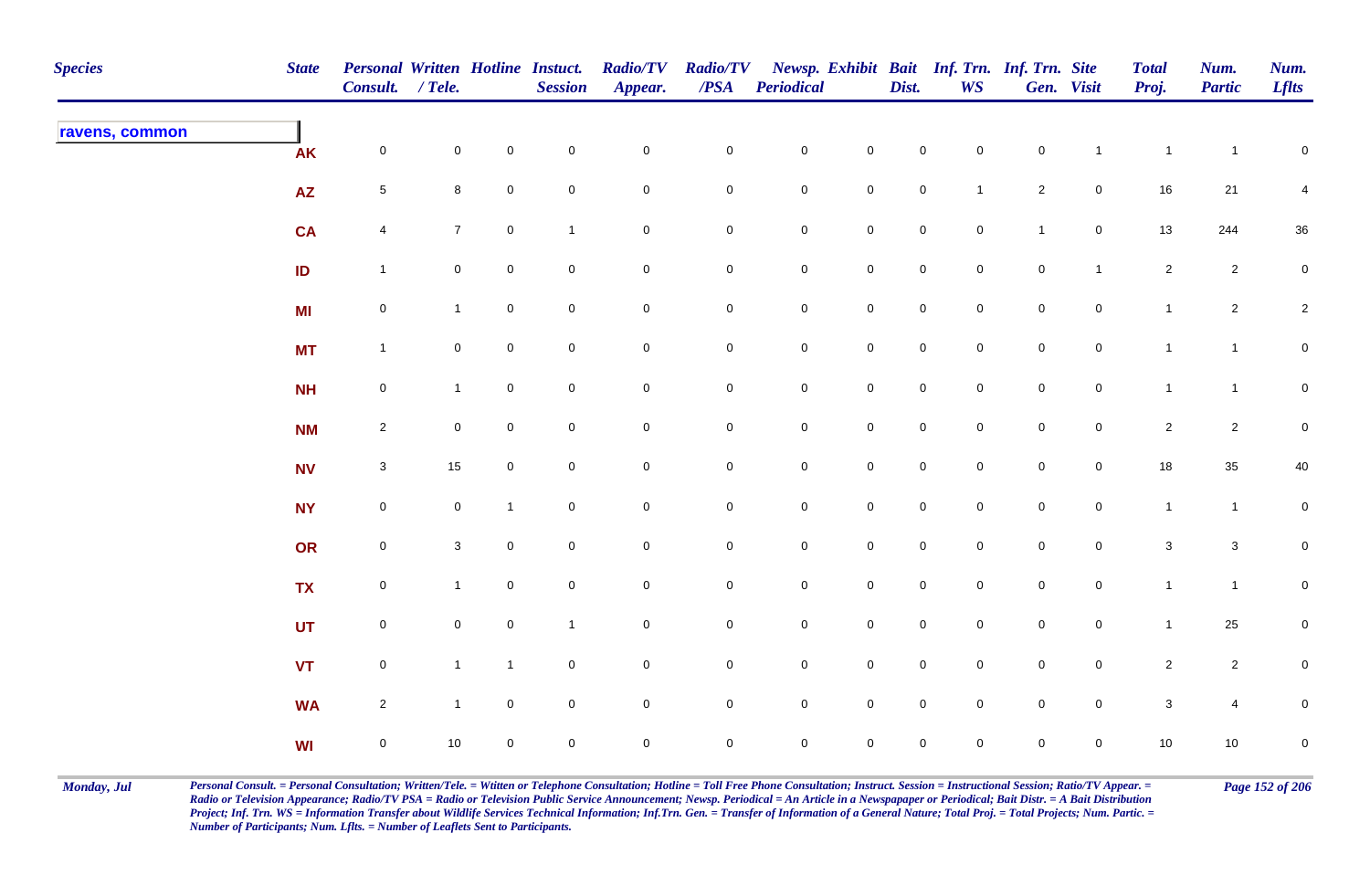| <b>Species</b> | <b>State</b>    | Personal Written Hotline Instuct.<br>Consult. / Tele. |                     |                     | <b>Session</b> | <b>Radio/TV</b><br>Appear. | <b>Radio/TV</b><br>$\overline{PSA}$ | <b>Periodical</b>   |                     | Dist.               | WS             | Newsp. Exhibit Bait Inf. Trn. Inf. Trn. Site | Gen. Visit          | <b>Total</b><br>Proj. | Num.<br><b>Partic</b> | Num.<br><b>Lflts</b> |
|----------------|-----------------|-------------------------------------------------------|---------------------|---------------------|----------------|----------------------------|-------------------------------------|---------------------|---------------------|---------------------|----------------|----------------------------------------------|---------------------|-----------------------|-----------------------|----------------------|
| ravens, common | <b>AK</b>       | $\mathsf{O}\xspace$                                   | $\mathsf{O}\xspace$ | $\mathsf{O}\xspace$ | $\pmb{0}$      | $\mathbf 0$                | $\mathbf 0$                         | ${\bf 0}$           | $\mathbf 0$         | $\mathsf{O}\xspace$ | $\mathbf 0$    | $\mathbf 0$                                  | $\overline{1}$      | $\mathbf{1}$          | $\mathbf{1}$          | $\mathbf 0$          |
|                | $\overline{AZ}$ | $5\phantom{.0}$                                       | 8                   | $\mathbf 0$         | $\pmb{0}$      | $\pmb{0}$                  | 0                                   | ${\bf 0}$           | $\mathbf 0$         | $\mathbf 0$         | $\overline{1}$ | $\overline{2}$                               | $\overline{0}$      | 16                    | 21                    | 4                    |
|                | <b>CA</b>       | $\overline{4}$                                        | 7 <sup>7</sup>      | $\mathbf 0$         | $\mathbf{1}$   | $\pmb{0}$                  | $\mathbf 0$                         | ${\bf 0}$           | $\pmb{0}$           | $\mathsf{O}$        | $\mathbf 0$    | $\mathbf{1}$                                 | $\mathsf{O}$        | 13                    | 244                   | $36\,$               |
|                | ID              | $\overline{1}$                                        | $\mathbf 0$         | $\overline{0}$      | $\pmb{0}$      | $\pmb{0}$                  | $\mathbf 0$                         | $\mathbf 0$         | $\mathbf 0$         | $\mathsf{O}$        | $\overline{0}$ | $\mathsf{O}\xspace$                          | $\overline{1}$      | $\mathbf{2}$          | $\overline{a}$        | $\mathbf 0$          |
|                | <b>MI</b>       | $\mathbf 0$                                           | $\mathbf{1}$        | $\overline{0}$      | $\pmb{0}$      | $\mathsf 0$                | $\overline{0}$                      | $\mathbf 0$         | $\pmb{0}$           | $\mathsf 0$         | $\overline{0}$ | $\mathbf 0$                                  | $\mathsf{O}\xspace$ | $\mathbf{1}$          | $\overline{2}$        | $\sqrt{2}$           |
|                | <b>MT</b>       | $\mathbf{1}$                                          | $\mathbf 0$         | $\mathsf{O}\xspace$ | $\pmb{0}$      | $\pmb{0}$                  | $\mathbf 0$                         | $\mathbf 0$         | $\pmb{0}$           | $\mathsf 0$         | $\mathbf 0$    | $\pmb{0}$                                    | $\mathbf 0$         | $\mathbf{1}$          | $\mathbf{1}$          | $\overline{0}$       |
|                | <b>NH</b>       | $\mathsf{O}\xspace$                                   | $\mathbf{1}$        | $\overline{0}$      | $\pmb{0}$      | $\mathbf 0$                | 0                                   | $\mathsf{O}\xspace$ | $\mathbf 0$         | $\mathbf 0$         | $\mathbf 0$    | $\mathsf{O}\xspace$                          | $\mathbf 0$         | $\mathbf{1}$          | $\mathbf{1}$          | $\overline{0}$       |
|                | <b>NM</b>       | $\overline{2}$                                        | $\mathbf 0$         | $\mathbf 0$         | $\mathsf 0$    | $\mathbf 0$                | 0                                   | $\mathsf{O}\xspace$ | $\mathsf 0$         | $\mathbf 0$         | $\mathbf 0$    | $\mathbf 0$                                  | $\overline{0}$      | $\overline{c}$        | $\overline{c}$        | $\mathbf 0$          |
|                | <b>NV</b>       | $\mathbf{3}$                                          | 15                  | $\overline{0}$      | $\mathsf 0$    | $\pmb{0}$                  | 0                                   | $\mathsf{O}\xspace$ | $\mathsf{O}\xspace$ | $\mathsf{O}\xspace$ | $\mathbf 0$    | $\mathsf{O}\xspace$                          | $\mathbf 0$         | 18                    | $35\,$                | 40                   |
|                | <b>NY</b>       | $\mathsf{O}\xspace$                                   | $\mathsf{O}\xspace$ | $\mathbf{1}$        | $\pmb{0}$      | $\mathbf 0$                | $\mathbf 0$                         | ${\bf 0}$           | $\mathbf 0$         | $\mathbf 0$         | $\mathbf 0$    | $\mathbf 0$                                  | $\mathsf{O}\xspace$ | $\mathbf{1}$          | $\overline{1}$        | $\overline{0}$       |
|                | OR              | $\mathsf{O}\xspace$                                   | $\mathbf{3}$        | $\mathbf 0$         | $\pmb{0}$      | $\pmb{0}$                  | $\mathbf 0$                         | ${\bf 0}$           | $\mathbf 0$         | $\overline{0}$      | $\overline{0}$ | $\mathbf 0$                                  | $\mathsf{O}\xspace$ | $\mathbf{3}$          | $\mathbf{3}$          | $\overline{0}$       |
|                | <b>TX</b>       | $\mathsf{O}\xspace$                                   | $\mathbf{1}$        | $\overline{0}$      | $\pmb{0}$      | $\mathbf 0$                | $\mathbf 0$                         | ${\bf 0}$           | $\mathbf 0$         | $\mathsf{O}$        | $\mathbf 0$    | $\mathsf{O}\xspace$                          | $\mathsf{O}$        | $\mathbf{1}$          | $\mathbf{1}$          | $\overline{0}$       |
|                | <b>UT</b>       | $\mathsf{O}\xspace$                                   | $\mathbf 0$         | $\mathbf 0$         | $\mathbf{1}$   | $\mathsf{O}\xspace$        | $\mathbf 0$                         | $\mathbf 0$         | $\pmb{0}$           | $\mathsf 0$         | $\overline{0}$ | $\mathsf{O}\xspace$                          | $\mathsf{O}$        | $\mathbf{1}$          | 25                    | $\mathbf 0$          |
|                | <b>VT</b>       | $\mathbf 0$                                           | $\mathbf{1}$        | $\mathbf{1}$        | $\pmb{0}$      | $\mathsf 0$                | $\mathbf 0$                         | $\mathbf 0$         | $\mathsf 0$         | $\mathbf 0$         | $\mathbf 0$    | $\mathsf{O}\xspace$                          | $\mathsf 0$         | $\overline{2}$        | $\overline{2}$        | $\mathbf 0$          |
|                | <b>WA</b>       | $\overline{a}$                                        | $\mathbf{1}$        | $\mathbf 0$         | $\pmb{0}$      | $\pmb{0}$                  | 0                                   | $\mathsf{O}\xspace$ | $\mathsf{O}\xspace$ | $\mathsf{O}\xspace$ | $\mathbf 0$    | $\mathbf 0$                                  | $\mathbf 0$         | $\mathsf 3$           | $\overline{4}$        | $\mathbf 0$          |
|                | <b>WI</b>       | $\mathsf{O}\xspace$                                   | $10\,$              | $\overline{0}$      | $\mathsf 0$    | $\mathbf 0$                | 0                                   | $\mathbf 0$         | $\mathbf 0$         | $\mathbf 0$         | $\mathbf 0$    | 0                                            | $\overline{0}$      | 10                    | 10                    | $\pmb{0}$            |

Monday, Jul Personal Consult. = Personal Consultation; Written/Tele. = Witten or Telephone Consultation; Hotline = Toll Free Phone Consultation; Instruct. Session = Instructional Session; Ratio/TV Appear. = Page 152 of 206 *Radio or Television Appearance; Radio/TV PSA = Radio or Television Public Service Announcement; Newsp. Periodical = An Article in a Newspapaper or Periodical; Bait Distr. = A Bait Distribution*  Project; Inf. Trn. WS = Information Transfer about Wildlife Services Technical Information; Inf.Trn. Gen. = Transfer of Information of a General Nature; Total Proj. = Total Projects; Num. Partic. = *Number of Participants; Num. Lflts. = Number of Leaflets Sent to Participants.*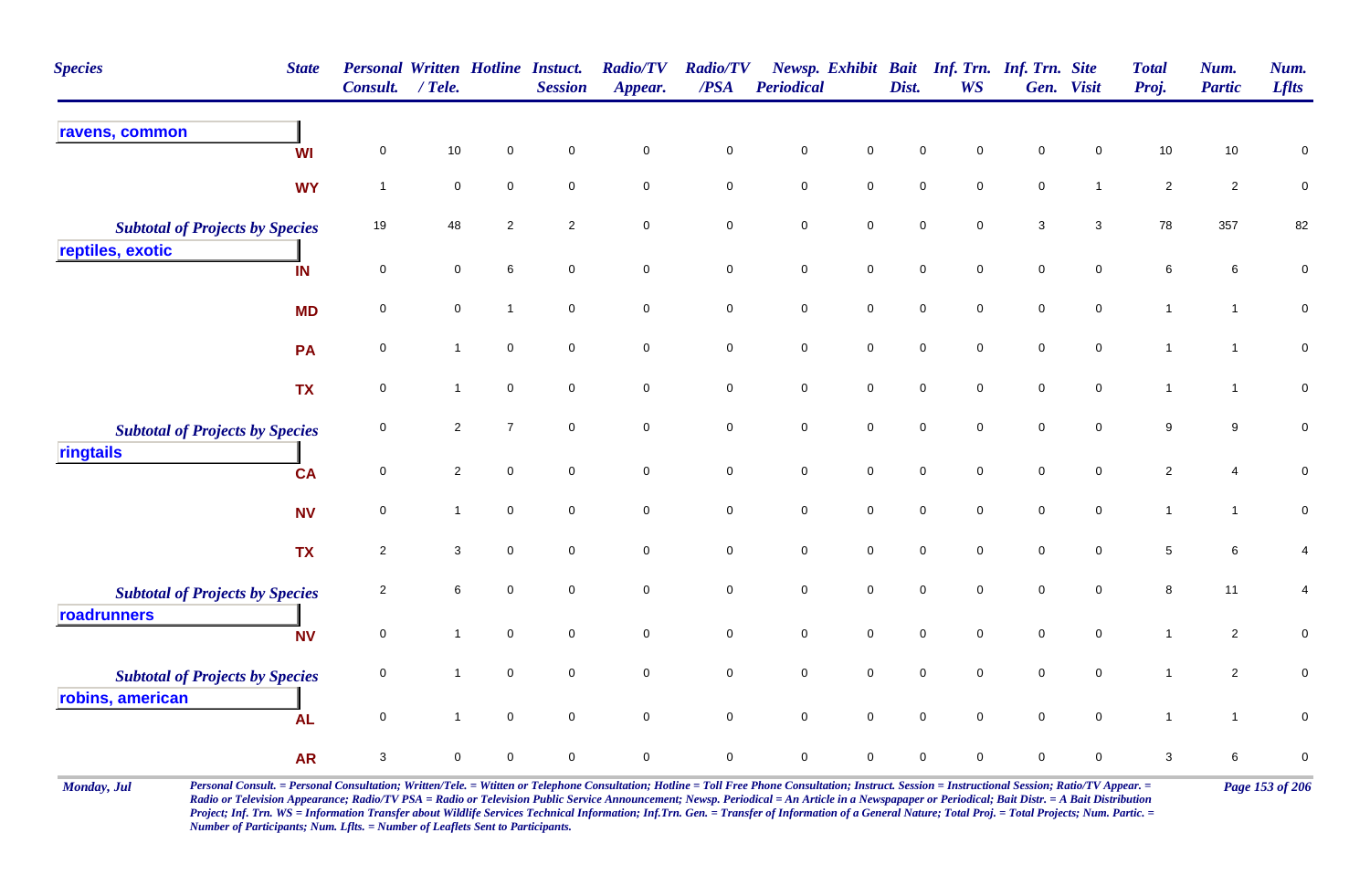| <b>Species</b>                         | <b>State</b> | <b>Personal Written Hotline Instuct.</b><br>Consult. | $/$ Tele.                 |                     | <b>Session</b> | <b>Radio/TV</b><br>Appear. | <b>Radio/TV</b><br>$\overline{PSA}$ | Periodical          |                     | Dist.               | Newsp. Exhibit Bait Inf. Trn. Inf. Trn. Site<br><b>WS</b> |             | Gen. Visit     | <b>Total</b><br>Proj. | Num.<br><b>Partic</b> | Num.<br><b>Lflts</b>    |
|----------------------------------------|--------------|------------------------------------------------------|---------------------------|---------------------|----------------|----------------------------|-------------------------------------|---------------------|---------------------|---------------------|-----------------------------------------------------------|-------------|----------------|-----------------------|-----------------------|-------------------------|
| ravens, common                         | <b>WI</b>    | $\mathbf 0$                                          | 10                        | $\mathbf 0$         | $\mathbf 0$    | $\mathbf 0$                | $\pmb{0}$                           | $\mathsf{O}\xspace$ | $\mathbf 0$         | $\mathbf 0$         | $\mathbf 0$                                               | $\pmb{0}$   | $\mathbf 0$    | 10                    | $10\,$                | 0                       |
|                                        | <b>WY</b>    | $\overline{1}$                                       | $\mathbf 0$               | $\mathbf 0$         | $\mathbf 0$    | $\mathbf 0$                | $\mathsf 0$                         | $\mathbf 0$         | $\mathbf 0$         | $\mathsf{O}\xspace$ | $\mathsf 0$                                               | $\mathbf 0$ | $\mathbf{1}$   | $\sqrt{2}$            | $\overline{a}$        | $\pmb{0}$               |
| <b>Subtotal of Projects by Species</b> |              | 19                                                   | 48                        | $\sqrt{2}$          | $\sqrt{2}$     | $\pmb{0}$                  | $\pmb{0}$                           | $\mathbf 0$         | $\mathsf{O}\xspace$ | $\mathbf 0$         | $\mathbf 0$                                               | $\sqrt{3}$  | $\mathbf{3}$   | 78                    | 357                   | 82                      |
| reptiles, exotic                       | IN           | $\mathbf 0$                                          | $\mathbf 0$               | 6                   | $\mathbf 0$    | $\mathbf 0$                | $\mathbf 0$                         | $\pmb{0}$           | $\mathbf 0$         | $\mathbf 0$         | $\mathbf 0$                                               | $\pmb{0}$   | $\overline{0}$ | 6                     | 6                     | $\pmb{0}$               |
|                                        | <b>MD</b>    | $\,0\,$                                              | $\pmb{0}$                 | $\overline{1}$      | $\mathbf 0$    | $\mathbf 0$                | $\pmb{0}$                           | $\mathbf 0$         | $\mathsf{O}\xspace$ | $\mathbf 0$         | $\mathbf 0$                                               | $\mathbf 0$ | $\mathbf 0$    | $\mathbf{1}$          | $\mathbf{1}$          | $\pmb{0}$               |
|                                        | PA           | $\mathbf 0$                                          | $\mathbf{1}$              | $\overline{0}$      | $\mathbf 0$    | $\mathbf 0$                | $\pmb{0}$                           | $\mathbf 0$         | $\mathbf 0$         | $\mathbf 0$         | $\mathbf 0$                                               | $\mathbf 0$ | $\mathbf 0$    | $\mathbf{1}$          | $\mathbf 1$           | $\pmb{0}$               |
|                                        | <b>TX</b>    | $\mathbf 0$                                          | $\mathbf{1}$              | $\mathsf{O}\xspace$ | $\mathbf 0$    | $\pmb{0}$                  | $\mathbf 0$                         | $\mathbf 0$         | $\mathbf 0$         | $\mathbf 0$         | $\mathbf 0$                                               | $\mathbf 0$ | $\mathbf 0$    | $\mathbf{1}$          | $\mathbf{1}$          | $\pmb{0}$               |
| <b>Subtotal of Projects by Species</b> |              | $\mathbf 0$                                          | $\overline{2}$            | $\overline{7}$      | $\mathbf 0$    | $\mathbf 0$                | $\pmb{0}$                           | $\mathbf 0$         | $\mathsf{O}\xspace$ | $\mathbf 0$         | $\mathbf 0$                                               | $\mathbf 0$ | $\mathbf 0$    | 9                     | 9                     | $\pmb{0}$               |
| ringtails                              | <b>CA</b>    | $\mathbf 0$                                          | $\overline{2}$            | $\mathsf 0$         | $\mathbf 0$    | $\mathbf 0$                | $\mathsf 0$                         | $\pmb{0}$           | $\mathbf 0$         | $\mathbf 0$         | $\mathbf 0$                                               | $\mathbf 0$ | $\mathbf 0$    | $\sqrt{2}$            | 4                     | $\pmb{0}$               |
|                                        | <b>NV</b>    | $\mathbf 0$                                          | $\mathbf{1}$              | $\mathbf 0$         | $\mathbf 0$    | $\mathbf 0$                | $\mathsf 0$                         | $\mathsf{O}\xspace$ | $\mathsf{O}\xspace$ | $\mathbf 0$         | $\mathbf 0$                                               | $\mathbf 0$ | $\mathbf 0$    | $\mathbf{1}$          | $\mathbf{1}$          | $\pmb{0}$               |
|                                        | <b>TX</b>    | $\overline{2}$                                       | $\ensuremath{\mathsf{3}}$ | $\mathsf{O}\xspace$ | $\mathbf 0$    | $\pmb{0}$                  | $\pmb{0}$                           | $\pmb{0}$           | $\mathsf{O}\xspace$ | $\mathbf 0$         | $\pmb{0}$                                                 | $\mathbf 0$ | $\mathbf 0$    | $\,$ 5 $\,$           | 6                     | $\overline{\mathbf{4}}$ |
| <b>Subtotal of Projects by Species</b> |              | $\overline{2}$                                       | $\,6\,$                   | $\mathbf 0$         | $\mathbf 0$    | $\pmb{0}$                  | $\pmb{0}$                           | $\mathbf 0$         | $\mathsf{O}\xspace$ | $\mathbf 0$         | $\mathbf 0$                                               | $\mathbf 0$ | $\mathbf 0$    | $\bf 8$               | 11                    | $\overline{\mathbf{4}}$ |
| roadrunners                            | <b>NV</b>    | $\mathbf 0$                                          | $\mathbf{1}$              | $\overline{0}$      | $\mathbf 0$    | $\mathbf 0$                | $\pmb{0}$                           | $\pmb{0}$           | $\mathsf{O}\xspace$ | $\mathbf 0$         | $\mathbf 0$                                               | $\pmb{0}$   | $\mathbf 0$    | $\mathbf{1}$          | $\overline{a}$        | $\pmb{0}$               |
| <b>Subtotal of Projects by Species</b> |              | $\mathbf 0$                                          | $\mathbf{1}$              | $\overline{0}$      | $\mathbf 0$    | $\pmb{0}$                  | $\mathbf 0$                         | $\mathsf{O}\xspace$ | $\mathsf{O}\xspace$ | $\mathbf 0$         | $\mathbf 0$                                               | $\mathbf 0$ | $\mathbf 0$    | $\mathbf{1}$          | $\mathbf{2}$          | $\pmb{0}$               |
| robins, american                       | <b>AL</b>    | $\mathbf 0$                                          | $\mathbf{1}$              | $\mathbf 0$         | $\pmb{0}$      | $\mathbf 0$                | $\pmb{0}$                           | $\pmb{0}$           | $\mathbf 0$         | $\pmb{0}$           | $\mathbf 0$                                               | $\pmb{0}$   | $\mathbf 0$    | $\mathbf{1}$          | $\mathbf{1}$          | $\pmb{0}$               |
|                                        | <b>AR</b>    | 3                                                    | $\mathbf 0$               | $\mathbf 0$         | 0              | 0                          | $\mathbf 0$                         | $\mathbf 0$         | $\mathbf 0$         | $\mathbf 0$         | $\mathbf 0$                                               | $\pmb{0}$   | 0              | 3                     | 6                     | $\pmb{0}$               |

Monday, Jul Personal Consult. = Personal Consultation; Written/Tele. = Witten or Telephone Consultation; Hotline = Toll Free Phone Consultation; Instruct. Session = Instructional Session; Ratio/TV Appear. = Page 153 of 206 *Radio or Television Appearance; Radio/TV PSA = Radio or Television Public Service Announcement; Newsp. Periodical = An Article in a Newspapaper or Periodical; Bait Distr. = A Bait Distribution*  Project; Inf. Trn. WS = Information Transfer about Wildlife Services Technical Information; Inf.Trn. Gen. = Transfer of Information of a General Nature; Total Proj. = Total Projects; Num. Partic. = *Number of Participants; Num. Lflts. = Number of Leaflets Sent to Participants.*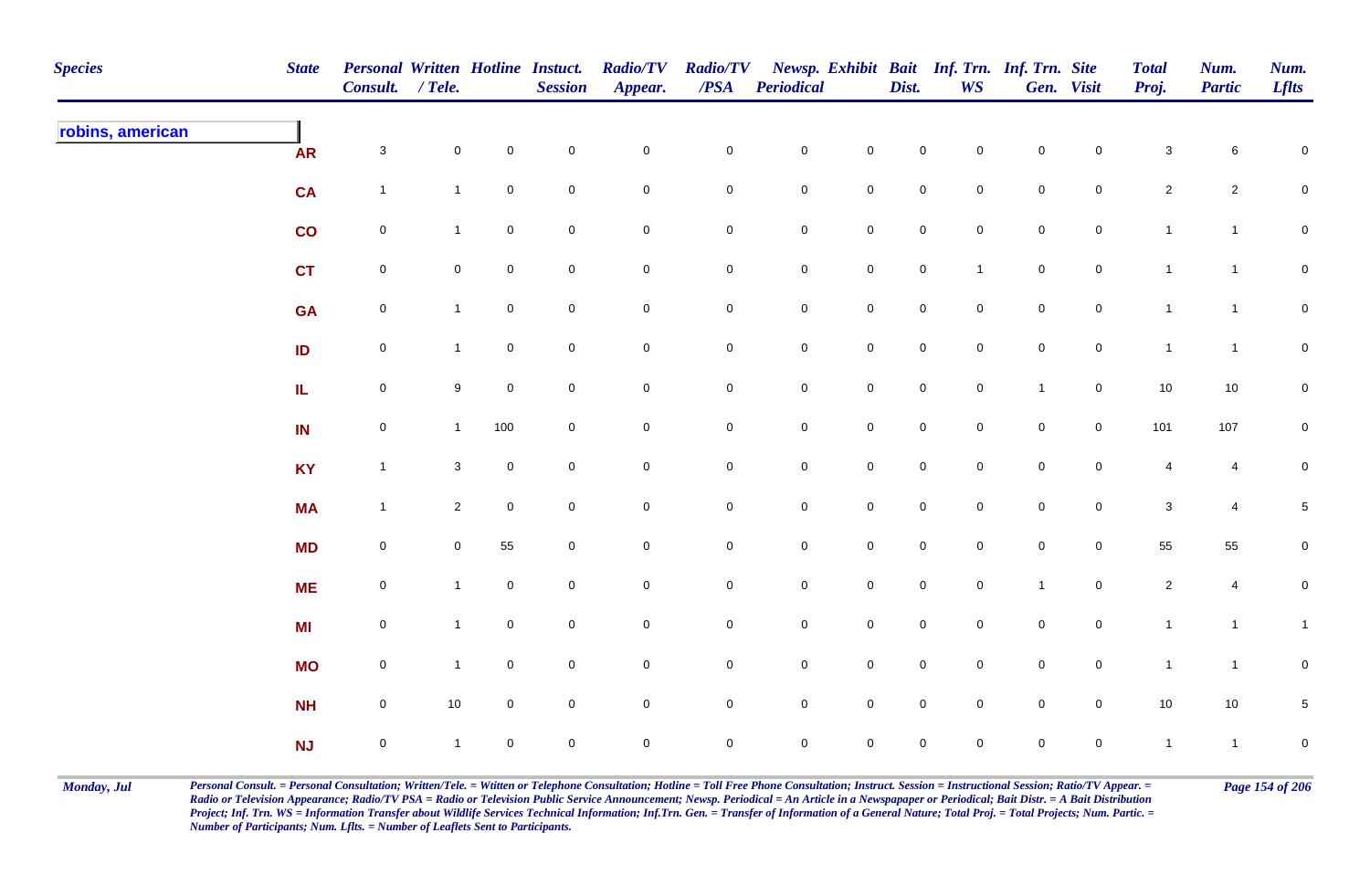| <b>Species</b>   | <b>State</b>  | Personal Written Hotline Instuct.<br>Consult. / Tele. |                     |                     | <b>Session</b> | <b>Radio/TV</b><br>Appear. | <b>Radio/TV</b><br>$\overline{PSA}$ | <b>Periodical</b>   |                     | Dist.               | <b>WS</b>           | Newsp. Exhibit Bait Inf. Trn. Inf. Trn. Site | Gen. Visit          | <b>Total</b><br>Proj. | Num.<br><b>Partic</b> | Num.<br><b>Lflts</b> |
|------------------|---------------|-------------------------------------------------------|---------------------|---------------------|----------------|----------------------------|-------------------------------------|---------------------|---------------------|---------------------|---------------------|----------------------------------------------|---------------------|-----------------------|-----------------------|----------------------|
| robins, american | <b>AR</b>     | $\mathbf{3}$                                          | $\mathsf{O}\xspace$ | $\mathsf{O}\xspace$ | $\pmb{0}$      | $\mathbf 0$                | $\mathbf 0$                         | $\mathbf 0$         | $\pmb{0}$           | $\mathsf{O}\xspace$ | $\mathbf 0$         | $\mathsf{O}\xspace$                          | $\mathbf 0$         | $\mathsf 3$           | 6                     | $\mathbf 0$          |
|                  | <b>CA</b>     | $\mathbf{1}$                                          | $\overline{1}$      | $\overline{0}$      | $\pmb{0}$      | $\pmb{0}$                  | 0                                   | ${\bf 0}$           | $\mathbf 0$         | $\overline{0}$      | $\overline{0}$      | $\mathbf 0$                                  | $\mathbf 0$         | $\overline{2}$        | $\overline{c}$        | $\mathbf 0$          |
|                  | $\mathsf{co}$ | $\mathsf{O}\xspace$                                   | $\mathbf{1}$        | $\overline{0}$      | $\pmb{0}$      | $\pmb{0}$                  | $\mathbf 0$                         | ${\bf 0}$           | $\pmb{0}$           | $\mathbf 0$         | $\mathbf 0$         | $\mathsf{O}\xspace$                          | $\mathsf{O}$        | $\mathbf{1}$          | $\mathbf{1}$          | $\overline{0}$       |
|                  | <b>CT</b>     | $\mathsf{O}\xspace$                                   | $\mathbf 0$         | $\overline{0}$      | $\pmb{0}$      | $\pmb{0}$                  | $\mathbf 0$                         | $\mathbf 0$         | $\mathbf 0$         | $\mathsf{O}$        | $\mathbf{1}$        | $\mathsf{O}\xspace$                          | $\mathsf{O}$        | $\mathbf{1}$          | $\mathbf{1}$          | $\overline{0}$       |
|                  | <b>GA</b>     | $\mathbf 0$                                           | $\mathbf{1}$        | $\overline{0}$      | $\pmb{0}$      | $\mathsf 0$                | ${\bf 0}$                           | $\mathbf 0$         | $\pmb{0}$           | $\mathsf 0$         | $\overline{0}$      | $\mathbf 0$                                  | $\mathsf{O}\xspace$ | $\mathbf{1}$          | $\overline{1}$        | $\mathsf{O}\xspace$  |
|                  | ID            | $\mathsf{O}\xspace$                                   | $\mathbf{1}$        | $\mathsf{O}\xspace$ | $\pmb{0}$      | $\pmb{0}$                  | $\pmb{0}$                           | $\mathbf 0$         | $\pmb{0}$           | $\mathsf{O}$        | $\overline{0}$      | $\pmb{0}$                                    | $\mathbf 0$         | $\mathbf{1}$          | $\mathbf{1}$          | $\overline{0}$       |
|                  | IL.           | $\mathsf{O}\xspace$                                   | 9                   | $\mathsf{O}\xspace$ | $\mathbf 0$    | $\mathbf 0$                | 0                                   | $\mathsf{O}\xspace$ | $\mathbf 0$         | $\mathsf{O}\xspace$ | $\mathsf{O}\xspace$ | $\overline{1}$                               | $\mathbf 0$         | 10                    | 10                    | $\overline{0}$       |
|                  | IN            | $\mathsf 0$                                           | $\mathbf{1}$        | 100                 | $\mathsf 0$    | $\mathbf 0$                | 0                                   | $\mathsf{O}\xspace$ | $\mathbf 0$         | $\mathbf 0$         | $\mathbf 0$         | $\mathbf 0$                                  | $\overline{0}$      | 101                   | 107                   | $\mathbf 0$          |
|                  | <b>KY</b>     | $\overline{1}$                                        | 3                   | $\mathbf 0$         | $\mathsf 0$    | $\pmb{0}$                  | 0                                   | $\mathsf{O}\xspace$ | $\mathsf{O}\xspace$ | $\mathsf{O}\xspace$ | $\mathbf 0$         | $\mathsf{O}\xspace$                          | $\mathbf 0$         | $\overline{4}$        | 4                     | $\mathbf 0$          |
|                  | <b>MA</b>     | $\mathbf{1}$                                          | $\overline{2}$      | $\mathbf 0$         | $\pmb{0}$      | $\pmb{0}$                  | $\mathbf 0$                         | ${\bf 0}$           | $\mathbf 0$         | $\mathsf{O}\xspace$ | $\mathbf 0$         | $\mathsf{O}\xspace$                          | $\mathsf{O}$        | $\mathsf 3$           | $\overline{4}$        | $\sqrt{5}$           |
|                  | <b>MD</b>     | $\mathbf 0$                                           | $\mathbf 0$         | 55                  | $\pmb{0}$      | $\mathbf 0$                | $\mathbf 0$                         | ${\bf 0}$           | $\mathbf 0$         | $\overline{0}$      | $\overline{0}$      | $\mathbf 0$                                  | $\mathsf{O}$        | 55                    | 55                    | $\overline{0}$       |
|                  | <b>ME</b>     | $\mathsf{O}\xspace$                                   | $\mathbf{1}$        | $\overline{0}$      | $\pmb{0}$      | $\pmb{0}$                  | $\mathbf 0$                         | ${\bf 0}$           | $\mathbf 0$         | $\mathsf{O}$        | $\mathbf 0$         | $\overline{1}$                               | $\mathsf{O}$        | $\overline{c}$        | $\overline{4}$        | $\pmb{0}$            |
|                  | <b>MI</b>     | $\mathsf{O}\xspace$                                   | $\mathbf{1}$        | $\mathbf 0$         | $\pmb{0}$      | $\pmb{0}$                  | $\mathbf 0$                         | $\mathbf 0$         | $\pmb{0}$           | $\mathbf 0$         | $\overline{0}$      | $\mathbf 0$                                  | $\mathsf{O}$        | $\mathbf{1}$          | $\mathbf{1}$          | $\mathbf{1}$         |
|                  | <b>MO</b>     | $\mathsf{O}\xspace$                                   | $\mathbf{1}$        | $\overline{0}$      | $\pmb{0}$      | $\pmb{0}$                  | $\mathbf 0$                         | $\mathbf 0$         | $\mathsf 0$         | $\mathbf 0$         | $\mathbf 0$         | $\mathsf{O}\xspace$                          | $\mathbf 0$         | $\mathbf{1}$          | $\mathbf{1}$          | $\pmb{0}$            |
|                  | <b>NH</b>     | $\mathsf{O}\xspace$                                   | $10$                | $\mathbf 0$         | $\pmb{0}$      | $\pmb{0}$                  | 0                                   | $\mathsf{O}\xspace$ | $\mathsf{O}\xspace$ | $\mathsf{O}\xspace$ | $\mathbf 0$         | $\mathbf 0$                                  | $\mathbf 0$         | 10                    | 10                    | $\,$ 5 $\,$          |
|                  | NJ            | $\mathbf 0$                                           | $\overline{1}$      | 0                   | $\mathsf 0$    | $\mathbf 0$                | 0                                   | $\mathbf 0$         | $\mathbf 0$         | $\mathbf 0$         | $\mathbf 0$         | $\mathsf{O}\xspace$                          | $\mathbf 0$         | $\mathbf{1}$          | $\mathbf{1}$          | $\mathbf 0$          |

Monday, Jul Personal Consult. = Personal Consultation; Written/Tele. = Witten or Telephone Consultation; Hotline = Toll Free Phone Consultation; Instruct. Session = Instructional Session; Ratio/TV Appear. = Page 154 of 206 *Radio or Television Appearance; Radio/TV PSA = Radio or Television Public Service Announcement; Newsp. Periodical = An Article in a Newspapaper or Periodical; Bait Distr. = A Bait Distribution*  Project; Inf. Trn. WS = Information Transfer about Wildlife Services Technical Information; Inf.Trn. Gen. = Transfer of Information of a General Nature; Total Proj. = Total Projects; Num. Partic. = *Number of Participants; Num. Lflts. = Number of Leaflets Sent to Participants.*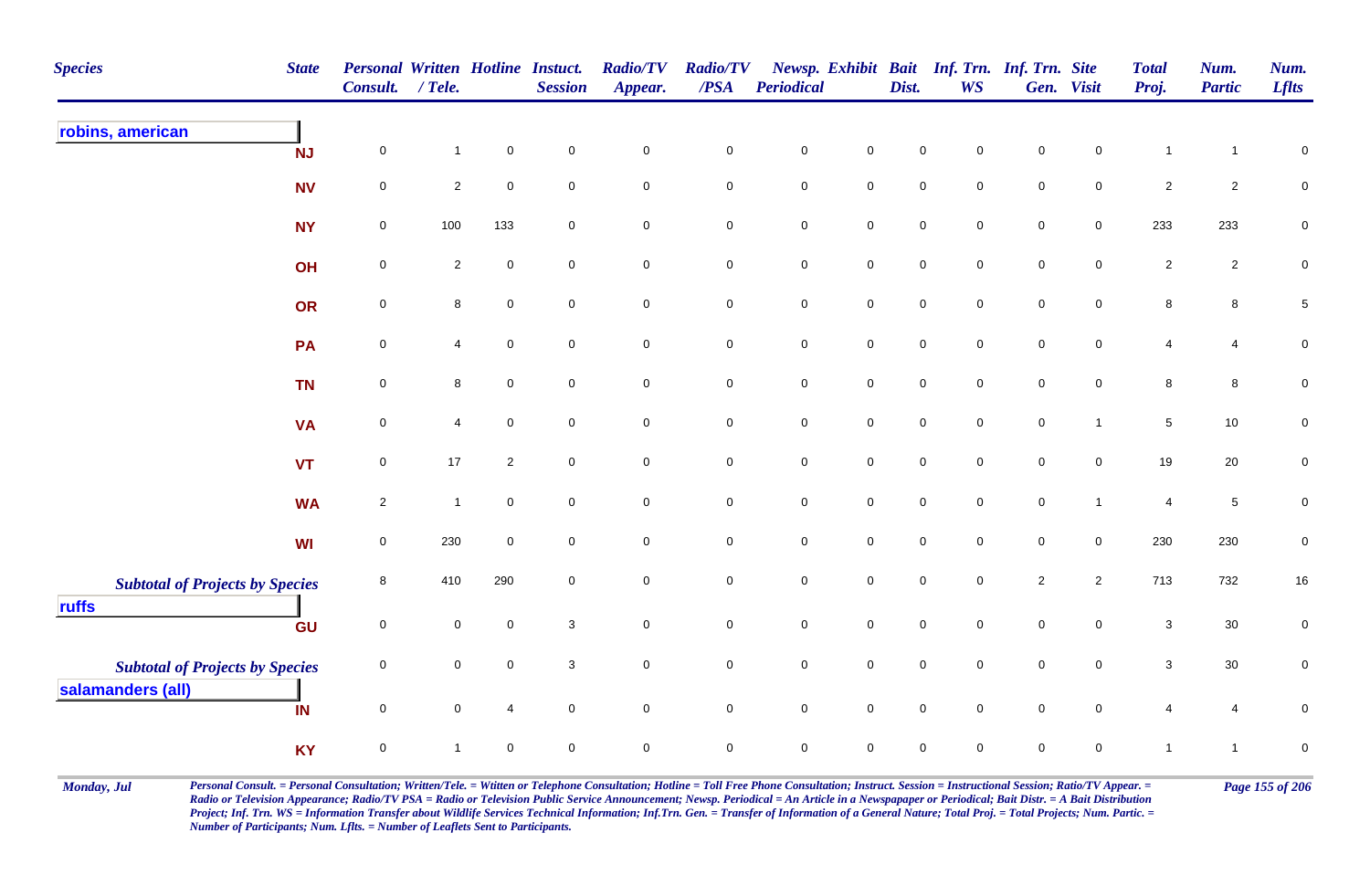| <b>Species</b>                                  | <b>State</b> | <b>Personal Written Hotline Instuct.</b><br>Consult. | $/$ Tele.      |                     | <b>Session</b>      | <b>Radio/TV</b><br>Appear. | <b>Radio/TV</b><br>/PSA | <b>Periodical</b>   |                     | Dist.               | <b>WS</b>           | Newsp. Exhibit Bait Inf. Trn. Inf. Trn. Site | Gen. Visit          | <b>Total</b><br>Proj. | Num.<br><b>Partic</b> | Num.<br><b>Lflts</b> |
|-------------------------------------------------|--------------|------------------------------------------------------|----------------|---------------------|---------------------|----------------------------|-------------------------|---------------------|---------------------|---------------------|---------------------|----------------------------------------------|---------------------|-----------------------|-----------------------|----------------------|
| robins, american                                | <b>NJ</b>    | 0                                                    | $\mathbf{1}$   | $\pmb{0}$           | $\mathsf{O}\xspace$ | $\mathbf 0$                | $\pmb{0}$               | $\mathsf{O}\xspace$ | $\mathbf 0$         | 0                   | $\mathbf 0$         | $\mathbf 0$                                  | $\mathsf{O}\xspace$ | $\mathbf{1}$          | $\mathbf{1}$          | $\pmb{0}$            |
|                                                 | <b>NV</b>    | $\mathbf 0$                                          | $\overline{c}$ | $\mathbf 0$         | $\mathbf 0$         | $\mathbf 0$                | $\mathsf 0$             | $\mathbf 0$         | $\mathsf 0$         | $\mathbf 0$         | $\mathbf 0$         | $\mathsf{O}\xspace$                          | $\mathbf 0$         | $\overline{2}$        | $\overline{2}$        | $\pmb{0}$            |
|                                                 | <b>NY</b>    | $\mathbf 0$                                          | 100            | 133                 | $\mathbf 0$         | $\mathbf 0$                | $\mathbf 0$             | $\mathbf 0$         | $\mathsf{O}\xspace$ | $\mathsf{O}\xspace$ | $\mathbf 0$         | $\mathsf{O}\xspace$                          | $\mathsf{O}\xspace$ | 233                   | 233                   | $\mathbf 0$          |
|                                                 | OH           | $\mathbf 0$                                          | $\overline{2}$ | $\pmb{0}$           | $\mathsf{O}\xspace$ | $\mathbf 0$                | $\mathsf 0$             | $\mathbf 0$         | $\mathsf{O}\xspace$ | $\mathsf{O}\xspace$ | $\mathbf 0$         | $\mathsf{O}\xspace$                          | $\mathsf{O}\xspace$ | $\overline{2}$        | $\overline{2}$        | $\pmb{0}$            |
|                                                 | OR           | $\pmb{0}$                                            | 8              | $\pmb{0}$           | $\mathbf 0$         | $\mathbf 0$                | $\pmb{0}$               | ${\bf 0}$           | $\mathbf 0$         | 0                   | $\mathbf 0$         | $\mathbf 0$                                  | $\mathbf 0$         | 8                     | 8                     | $\,$ 5 $\,$          |
|                                                 | <b>PA</b>    | $\pmb{0}$                                            | 4              | $\mathbf 0$         | $\mathbf 0$         | $\mathbf 0$                | $\pmb{0}$               | $\pmb{0}$           | $\mathbf 0$         | $\mathsf{O}\xspace$ | $\mathbf 0$         | $\mathsf{O}\xspace$                          | $\mathbf 0$         | 4                     | $\overline{4}$        | $\pmb{0}$            |
|                                                 | <b>TN</b>    | 0                                                    | 8              | $\mathsf{O}\xspace$ | $\overline{0}$      | $\overline{0}$             | $\mathbf 0$             | $\mathbf 0$         | $\mathsf{O}$        | $\mathbf 0$         | $\overline{0}$      | $\mathbf 0$                                  | $\overline{0}$      | 8                     | 8                     | $\mathbf 0$          |
|                                                 | <b>VA</b>    | $\mathbf 0$                                          | 4              | $\mathsf{O}\xspace$ | $\mathbf 0$         | $\mathbf 0$                | $\mathsf 0$             | $\mathbf 0$         | $\mathsf{O}\xspace$ | $\mathsf{O}\xspace$ | $\mathbf 0$         | $\mathbf 0$                                  | $\mathbf{1}$        | 5                     | 10                    | $\pmb{0}$            |
|                                                 | <b>VT</b>    | $\mathsf 0$                                          | 17             | $\overline{2}$      | $\overline{0}$      | $\mathsf{O}\xspace$        | $\mathbf 0$             | $\mathsf{O}\xspace$ | $\mathsf{O}\xspace$ | $\mathsf{O}\xspace$ | $\mathbf 0$         | $\mathsf{O}\xspace$                          | $\mathsf{O}\xspace$ | 19                    | $20\,$                | $\pmb{0}$            |
|                                                 | <b>WA</b>    | $\overline{2}$                                       | $\overline{1}$ | $\mathbf 0$         | $\mathbf 0$         | $\mathsf{O}\xspace$        | $\mathbf 0$             | $\mathbf 0$         | $\mathsf 0$         | $\mathbf 0$         | $\mathbf 0$         | $\mathsf{O}\xspace$                          | $\mathbf{1}$        | 4                     | $\overline{5}$        | $\pmb{0}$            |
|                                                 | <b>WI</b>    | $\mathsf 0$                                          | 230            | $\mathbf 0$         | $\mathbf 0$         | $\mathsf{O}\xspace$        | $\mathbf 0$             | $\mathsf{O}\xspace$ | $\mathsf 0$         | $\mathsf{O}\xspace$ | $\mathbf 0$         | $\mathsf{O}\xspace$                          | $\overline{0}$      | 230                   | 230                   | $\pmb{0}$            |
| <b>Subtotal of Projects by Species</b><br>ruffs |              | 8                                                    | 410            | 290                 | $\mathbf 0$         | $\overline{0}$             | $\mathsf 0$             | $\mathbf 0$         | $\mathsf 0$         | $\mathbf 0$         | $\mathbf 0$         | $\overline{2}$                               | $\overline{2}$      | 713                   | 732                   | 16                   |
|                                                 | GU           | $\pmb{0}$                                            | $\mathbf 0$    | $\mathbf 0$         | $\mathbf{3}$        | $\mathsf{O}\xspace$        | $\mathsf 0$             | $\mathbf 0$         | $\mathsf{O}\xspace$ | $\mathsf{O}\xspace$ | $\Omega$            | $\mathsf{O}\xspace$                          | $\mathbf 0$         | $\mathbf{3}$          | $30\,$                | 0                    |
| <b>Subtotal of Projects by Species</b>          |              | 0                                                    | $\mathbf 0$    | $\mathbf 0$         | $\mathbf{3}$        | $\mathsf{O}\xspace$        | $\mathbf 0$             | $\pmb{0}$           | $\mathbf 0$         | $\mathsf{O}$        | $\mathbf 0$         | $\mathsf{O}\xspace$                          | $\mathbf 0$         | $\mathbf 3$           | $30\,$                | $\mathbf 0$          |
| salamanders (all)                               | IN           | $\mathbf 0$                                          | $\mathbf 0$    | $\overline{4}$      | $\mathsf{O}\xspace$ | $\mathsf{O}\xspace$        | $\mathbf 0$             | $\mathsf{O}\xspace$ | $\mathsf{O}\xspace$ | $\mathbf 0$         | $\mathsf{O}\xspace$ | $\mathsf{O}\xspace$                          | $\mathbf 0$         | 4                     | $\overline{4}$        | 0                    |
|                                                 | <b>KY</b>    | $\pmb{0}$                                            | $\mathbf{1}$   | $\mathbf 0$         | $\mathbf 0$         | $\mathsf 0$                | 0                       | $\pmb{0}$           | $\pmb{0}$           | 0                   | 0                   | 0                                            | $\mathbf 0$         | $\mathbf{1}$          | $\mathbf{1}$          | $\mathbf 0$          |

Monday, Jul Personal Consult. = Personal Consultation; Written/Tele. = Witten or Telephone Consultation; Hotline = Toll Free Phone Consultation; Instruct. Session = Instructional Session; Ratio/TV Appear. = Page 155 of 206 *Radio or Television Appearance; Radio/TV PSA = Radio or Television Public Service Announcement; Newsp. Periodical = An Article in a Newspapaper or Periodical; Bait Distr. = A Bait Distribution*  Project; Inf. Trn. WS = Information Transfer about Wildlife Services Technical Information; Inf.Trn. Gen. = Transfer of Information of a General Nature; Total Proj. = Total Projects; Num. Partic. = *Number of Participants; Num. Lflts. = Number of Leaflets Sent to Participants.*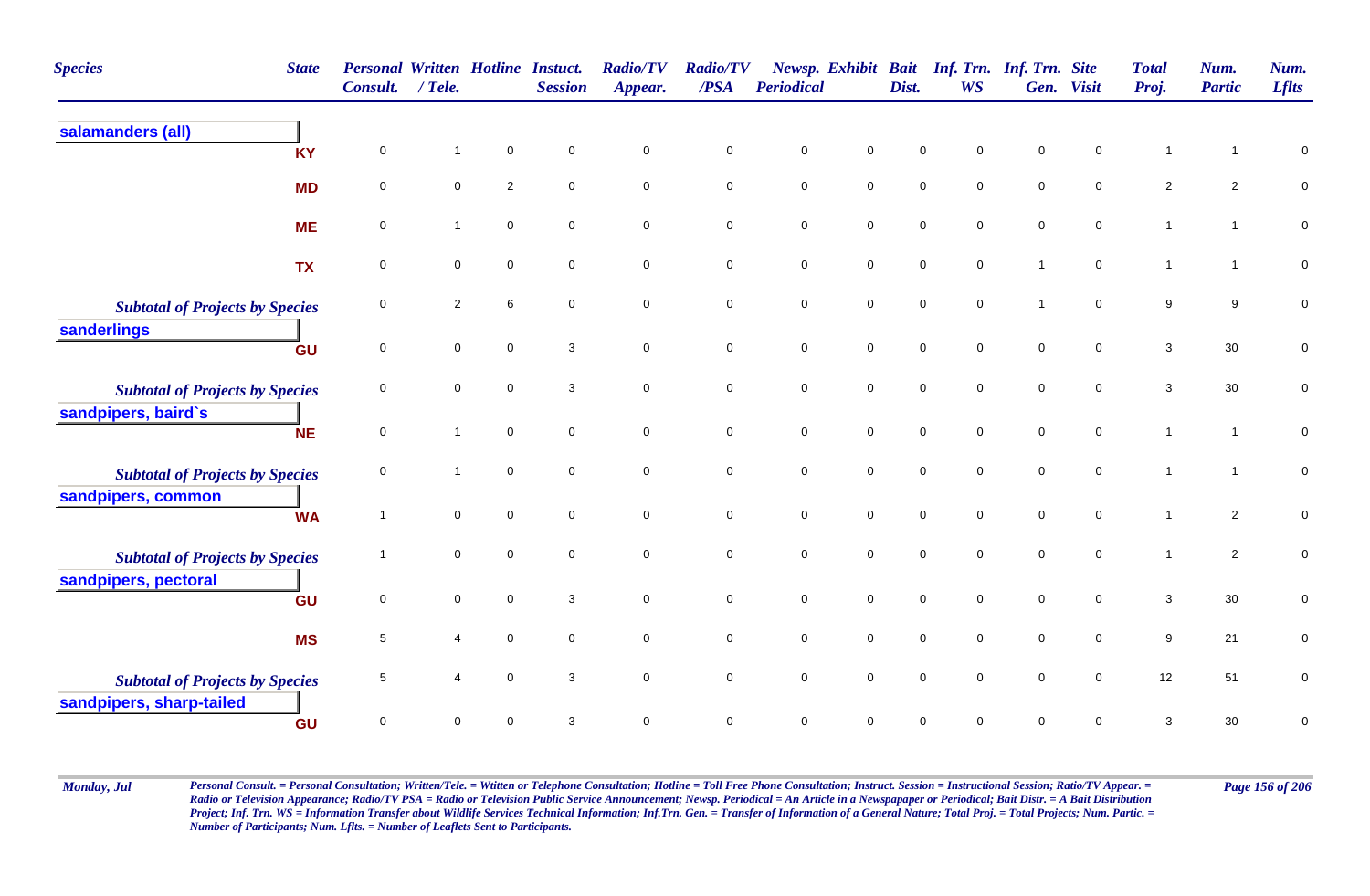| <b>Species</b><br><b>State</b>         | <b>Personal Written Hotline Instuct.</b><br>Consult. | $/$ Tele.      |                | <b>Session</b>            | <b>Radio/TV</b><br>Appear. | <b>Radio/TV</b><br>/PSA | <b>Periodical</b>   | Newsp. Exhibit      | Dist.               | <b>WS</b>           | <b>Bait Inf. Trn. Inf. Trn. Site</b><br>Gen. | <b>Visit</b>        | <b>Total</b><br>Proj. | Num.<br><b>Partic</b> | Num.<br><b>Lflts</b> |
|----------------------------------------|------------------------------------------------------|----------------|----------------|---------------------------|----------------------------|-------------------------|---------------------|---------------------|---------------------|---------------------|----------------------------------------------|---------------------|-----------------------|-----------------------|----------------------|
| salamanders (all)<br><b>KY</b>         | $\pmb{0}$                                            | 1              | $\mathbf 0$    | $\mathbf 0$               | $\pmb{0}$                  | $\mathbf 0$             | $\mathbf 0$         | $\pmb{0}$           | $\pmb{0}$           | $\mathbf 0$         | $\mathsf 0$                                  | $\mathbf 0$         | 1                     | $\mathbf{1}$          | 0                    |
| <b>MD</b>                              | $\mathbf 0$                                          | 0              | $\overline{2}$ | $\mathbf 0$               | $\mathbf 0$                | $\mathbf 0$             | $\mathbf 0$         | $\pmb{0}$           | $\mathbf 0$         | $\mathbf 0$         | $\mathbf 0$                                  | $\mathbf 0$         | $\overline{2}$        | $\overline{2}$        | 0                    |
| <b>ME</b>                              | $\mathbf 0$                                          | 1              | $\mathsf 0$    | $\mathbf 0$               | $\mathbf 0$                | $\pmb{0}$               | $\mathbf 0$         | $\mathbf 0$         | $\mathsf{O}\xspace$ | $\mathbf 0$         | $\pmb{0}$                                    | $\mathbf 0$         | $\mathbf{1}$          | $\mathbf{1}$          | $\pmb{0}$            |
| <b>TX</b>                              | $\mathbf 0$                                          | $\mathbf 0$    | $\mathbf 0$    | $\mathbf 0$               | $\mathbf 0$                | $\mathbf 0$             | $\mathbf 0$         | $\mathbf 0$         | 0                   | $\mathbf 0$         | $\overline{1}$                               | $\mathbf 0$         | $\mathbf{1}$          | $\mathbf{1}$          | $\pmb{0}$            |
| <b>Subtotal of Projects by Species</b> | 0                                                    | $\overline{2}$ | 6              | $\mathbf 0$               | $\overline{0}$             | $\mathbf 0$             | $\mathbf 0$         | $\overline{0}$      | $\mathbf 0$         | $\mathbf 0$         | $\overline{1}$                               | $\mathbf 0$         | 9                     | 9                     | 0                    |
| sanderlings<br>GU                      | $\pmb{0}$                                            | 0              | $\mathbf 0$    | $\ensuremath{\mathsf{3}}$ | $\mathbf 0$                | $\mathbf 0$             | $\pmb{0}$           | $\pmb{0}$           | $\mathbf 0$         | $\mathbf 0$         | $\mathsf 0$                                  | $\mathbf 0$         | $\mathbf{3}$          | $30\,$                | $\pmb{0}$            |
| <b>Subtotal of Projects by Species</b> | 0                                                    | $\mathbf 0$    | $\pmb{0}$      | 3                         | $\overline{0}$             | $\mathbf 0$             | $\mathbf 0$         | $\mathbf 0$         | $\mathsf 0$         | $\mathsf{O}\xspace$ | $\mathsf 0$                                  | $\mathsf{O}\xspace$ | 3                     | $30\,$                | 0                    |
| sandpipers, baird's<br><b>NE</b>       | $\mathbf 0$                                          | $\mathbf{1}$   | $\mathbf 0$    | $\mathbf 0$               | $\mathbf 0$                | $\mathbf 0$             | $\mathbf 0$         | $\mathbf 0$         | $\mathbf 0$         | $\mathbf 0$         | $\mathsf 0$                                  | $\mathbf 0$         | $\mathbf{1}$          | $\mathbf{1}$          | 0                    |
| <b>Subtotal of Projects by Species</b> | $\mathbf 0$                                          | 1              | $\mathbf 0$    | $\mathbf 0$               | $\mathbf 0$                | $\mathbf 0$             | 0                   | $\mathbf 0$         | $\mathbf 0$         | $\mathbf 0$         | $\mathsf 0$                                  | $\mathbf 0$         | $\mathbf{1}$          | $\mathbf{1}$          | ${\bf 0}$            |
| sandpipers, common<br><b>WA</b>        | $\overline{1}$                                       | $\mathbf 0$    | $\mathbf 0$    | $\mathbf 0$               | $\overline{0}$             | $\mathbf 0$             | $\mathbf 0$         | $\mathbf 0$         | $\mathbf 0$         | $\mathsf{O}\xspace$ | $\mathsf{O}\xspace$                          | $\mathsf{O}\xspace$ | $\mathbf{1}$          | $\overline{2}$        | 0                    |
| <b>Subtotal of Projects by Species</b> |                                                      | $\mathbf 0$    | $\mathbf 0$    | $\mathbf 0$               | $\mathsf{O}\xspace$        | $\pmb{0}$               | $\mathsf{O}\xspace$ | $\mathsf 0$         | $\mathbf 0$         | $\mathbf 0$         | $\mathsf 0$                                  | $\mathsf{O}\xspace$ | $\mathbf{1}$          | $\overline{2}$        | $\pmb{0}$            |
| sandpipers, pectoral<br>GU             | 0                                                    | $\mathbf 0$    | $\mathbf 0$    | 3                         | $\mathbf 0$                | $\mathbf 0$             | $\mathbf 0$         | $\overline{0}$      | $\mathbf 0$         | $\mathbf 0$         | $\mathsf 0$                                  | $\mathbf 0$         | 3                     | $30\,$                | 0                    |
| <b>MS</b>                              | 5                                                    | 4              | $\mathbf 0$    | $\mathbf 0$               | $\mathbf 0$                | $\mathbf 0$             | $\pmb{0}$           | $\mathbf 0$         | $\mathbf 0$         | $\mathbf 0$         | $\mathsf 0$                                  | $\mathbf 0$         | 9                     | 21                    | 0                    |
| <b>Subtotal of Projects by Species</b> | 5                                                    |                | $\mathbf 0$    | 3                         | $\mathbf 0$                | $\mathbf 0$             | $\mathbf 0$         | $\mathsf{O}\xspace$ | $\pmb{0}$           | $\mathbf 0$         | $\mathsf 0$                                  | $\mathsf{O}\xspace$ | 12                    | 51                    | 0                    |
| sandpipers, sharp-tailed<br>GU         | $\mathbf 0$                                          | 0              | $\mathbf 0$    | 3                         | $\mathbf 0$                | $\mathbf 0$             | $\pmb{0}$           | $\pmb{0}$           | $\mathbf 0$         | 0                   | $\mathsf 0$                                  | 0                   | $\mathbf{3}$          | 30                    | 0                    |

Monday, Jul Personal Consult. = Personal Consultation; Written/Tele. = Witten or Telephone Consultation; Hotline = Toll Free Phone Consultation; Instruct. Session = Instructional Session; Ratio/TV Appear. = Page 156 of 206 *Radio or Television Appearance; Radio/TV PSA = Radio or Television Public Service Announcement; Newsp. Periodical = An Article in a Newspapaper or Periodical; Bait Distr. = A Bait Distribution*  Project; Inf. Trn. WS = Information Transfer about Wildlife Services Technical Information; Inf.Trn. Gen. = Transfer of Information of a General Nature; Total Proj. = Total Projects; Num. Partic. = *Number of Participants; Num. Lflts. = Number of Leaflets Sent to Participants.*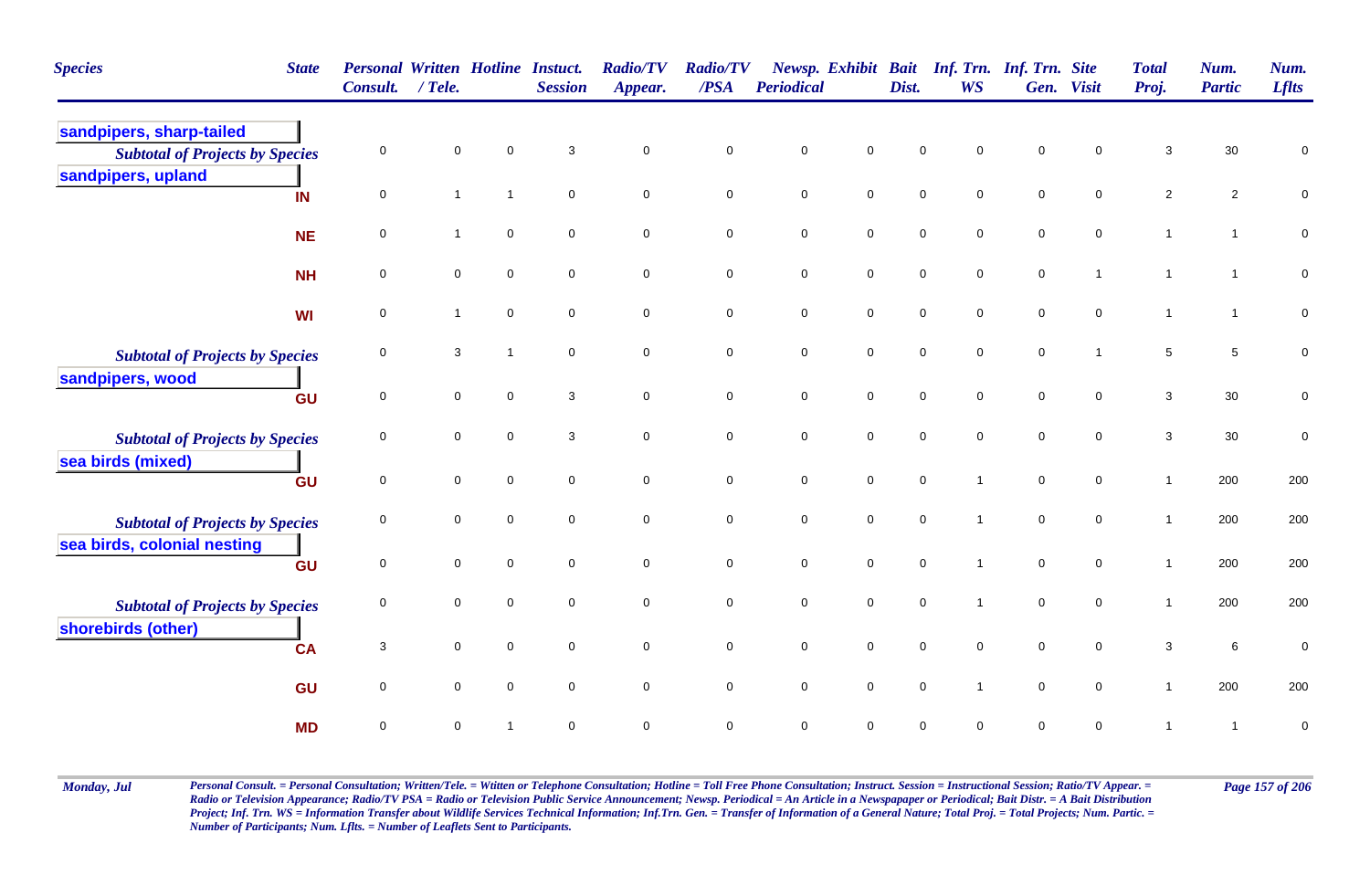| <b>Species</b><br><b>State</b>                                        | <b>Personal Written Hotline Instuct.</b><br><b>Consult.</b> | / Tele.      |                         | <b>Session</b> | <b>Radio/TV</b><br>Appear. | <b>Radio/TV</b><br>/PSA | Periodical  |                     | Dist.       | Newsp. Exhibit Bait Inf. Trn. Inf. Trn. Site<br><b>WS</b> | Gen.        | <b>Visit</b> | <b>Total</b><br>Proj. | Num.<br><b>Partic</b> | Num.<br><b>Lflts</b> |
|-----------------------------------------------------------------------|-------------------------------------------------------------|--------------|-------------------------|----------------|----------------------------|-------------------------|-------------|---------------------|-------------|-----------------------------------------------------------|-------------|--------------|-----------------------|-----------------------|----------------------|
| sandpipers, sharp-tailed<br><b>Subtotal of Projects by Species</b>    | 0                                                           | $\mathbf 0$  | $\mathbf 0$             | 3              | $\mathsf{O}\xspace$        | $\mathbf 0$             | $\mathbf 0$ | $\mathsf 0$         | $\mathbf 0$ | 0                                                         | $\pmb{0}$   | 0            | $\sqrt{3}$            | $30\,$                | $\mathbf 0$          |
| sandpipers, upland<br>IN                                              | $\mathbf 0$                                                 | $\mathbf{1}$ | $\overline{1}$          | $\mathbf 0$    | $\mathsf{O}\xspace$        | $\overline{0}$          | $\mathbf 0$ | $\mathbf 0$         | $\mathbf 0$ | $\mathbf 0$                                               | $\mathbf 0$ | $\mathbf 0$  | $\overline{2}$        | $\overline{c}$        | $\mathsf 0$          |
| <b>NE</b>                                                             | 0                                                           | $\mathbf{1}$ | $\mathbf 0$             | $\mathbf 0$    | $\mathsf{O}\xspace$        | $\mathbf 0$             | $\mathsf 0$ | $\mathbf 0$         | $\mathbf 0$ | $\mathbf{0}$                                              | $\mathbf 0$ | 0            | $\mathbf{1}$          | $\mathbf{1}$          | $\overline{0}$       |
| <b>NH</b>                                                             | 0                                                           | $\mathbf 0$  | $\mathbf 0$             | $\mathbf 0$    | $\mathbf 0$                | $\mathbf 0$             | $\mathbf 0$ | $\mathsf{O}\xspace$ | $\mathbf 0$ | 0                                                         | $\mathbf 0$ | $\mathbf{1}$ | $\mathbf{1}$          | $\mathbf{1}$          | $\mathbf 0$          |
| WI                                                                    | 0                                                           | $\mathbf{1}$ | $\mathbf 0$             | $\mathbf 0$    | $\mathbf 0$                | 0                       | $\pmb{0}$   | $\mathbf 0$         | $\pmb{0}$   | 0                                                         | $\pmb{0}$   | 0            | $\mathbf{1}$          | $\mathbf{1}$          | $\pmb{0}$            |
| <b>Subtotal of Projects by Species</b><br>sandpipers, wood            | 0                                                           | 3            | $\overline{1}$          | $\mathbf 0$    | $\mathbf 0$                | 0                       | $\pmb{0}$   | $\mathbf 0$         | $\pmb{0}$   | 0                                                         | $\pmb{0}$   | $\mathbf{1}$ | $\,$ 5 $\,$           | $\sqrt{5}$            | $\pmb{0}$            |
| GU                                                                    | $\mathbf 0$                                                 | $\mathbf 0$  | $\mathbf 0$             | 3              | $\mathbf 0$                | $\overline{0}$          | $\mathbf 0$ | $\mathsf{O}\xspace$ | $\mathbf 0$ | $\mathbf 0$                                               | $\mathbf 0$ | $\mathbf 0$  | $\mathbf{3}$          | $30\,$                | $\pmb{0}$            |
| <b>Subtotal of Projects by Species</b><br>sea birds (mixed)           | 0                                                           | $\mathbf 0$  | $\mathbf 0$             | $\mathbf{3}$   | $\mathbf 0$                | $\mathbf 0$             | $\mathbf 0$ | $\mathbf 0$         | $\pmb{0}$   | $\overline{0}$                                            | $\mathbf 0$ | $\mathbf 0$  | $\mathbf{3}$          | 30                    | $\pmb{0}$            |
| GU                                                                    | 0                                                           | $\mathbf 0$  | $\mathbf 0$             | $\mathbf 0$    | $\mathbf 0$                | $\mathbf 0$             | $\pmb{0}$   | $\mathsf{O}\xspace$ | $\mathbf 0$ | 1                                                         | $\mathbf 0$ | 0            | $\mathbf{1}$          | 200                   | 200                  |
| <b>Subtotal of Projects by Species</b><br>sea birds, colonial nesting | 0                                                           | $\mathbf 0$  | $\mathbf 0$             | $\mathbf 0$    | $\mathbf 0$                | $\mathbf 0$             | $\mathbf 0$ | $\mathbf 0$         | $\mathbf 0$ | $\overline{1}$                                            | $\mathbf 0$ | $\mathbf 0$  | $\mathbf{1}$          | 200                   | 200                  |
| GU                                                                    | $\mathbf 0$                                                 | $\mathbf 0$  | $\mathbf 0$             | $\mathbf 0$    | $\mathbf 0$                | $\mathbf 0$             | $\mathbf 0$ | $\pmb{0}$           | $\pmb{0}$   | $\overline{1}$                                            | $\pmb{0}$   | 0            | $\overline{1}$        | 200                   | 200                  |
| <b>Subtotal of Projects by Species</b><br>shorebirds (other)          | $\mathbf 0$                                                 | $\mathbf 0$  | $\mathbf 0$             | $\mathbf 0$    | $\mathbf 0$                | $\mathbf 0$             | $\mathbf 0$ | $\pmb{0}$           | $\mathbf 0$ | 1                                                         | $\mathbf 0$ | $\mathbf 0$  | $\mathbf{1}$          | 200                   | 200                  |
| <b>CA</b>                                                             | 3                                                           | $\mathbf 0$  | $\mathbf 0$             | $\mathbf 0$    | $\mathbf 0$                | 0                       | $\pmb{0}$   | $\mathsf{O}\xspace$ | $\pmb{0}$   | 0                                                         | $\mathbf 0$ | 0            | $\mathbf{3}$          | 6                     | $\mathbf 0$          |
| GU                                                                    | 0                                                           | $\mathbf 0$  | $\mathbf 0$             | $\mathbf 0$    | $\mathbf 0$                | $\mathbf 0$             | $\mathbf 0$ | $\mathbf 0$         | $\mathbf 0$ | $\mathbf{1}$                                              | $\mathbf 0$ | 0            | $\mathbf{1}$          | 200                   | 200                  |
| <b>MD</b>                                                             | 0                                                           | $\mathbf 0$  | $\overline{\mathbf{1}}$ | $\mathbf 0$    | $\mathbf 0$                | $\mathbf 0$             | $\mathbf 0$ | $\mathbf 0$         | $\mathbf 0$ | 0                                                         | $\mathbf 0$ | 0            | $\mathbf 1$           | $\overline{1}$        | $\mathbf 0$          |

Monday, Jul Personal Consult. = Personal Consultation; Written/Tele. = Witten or Telephone Consultation; Hotline = Toll Free Phone Consultation; Instruct. Session = Instructional Session; Ratio/TV Appear. = Page 157 of 206 *Radio or Television Appearance; Radio/TV PSA = Radio or Television Public Service Announcement; Newsp. Periodical = An Article in a Newspapaper or Periodical; Bait Distr. = A Bait Distribution*  Project; Inf. Trn. WS = Information Transfer about Wildlife Services Technical Information; Inf.Trn. Gen. = Transfer of Information of a General Nature; Total Proj. = Total Projects; Num. Partic. = *Number of Participants; Num. Lflts. = Number of Leaflets Sent to Participants.*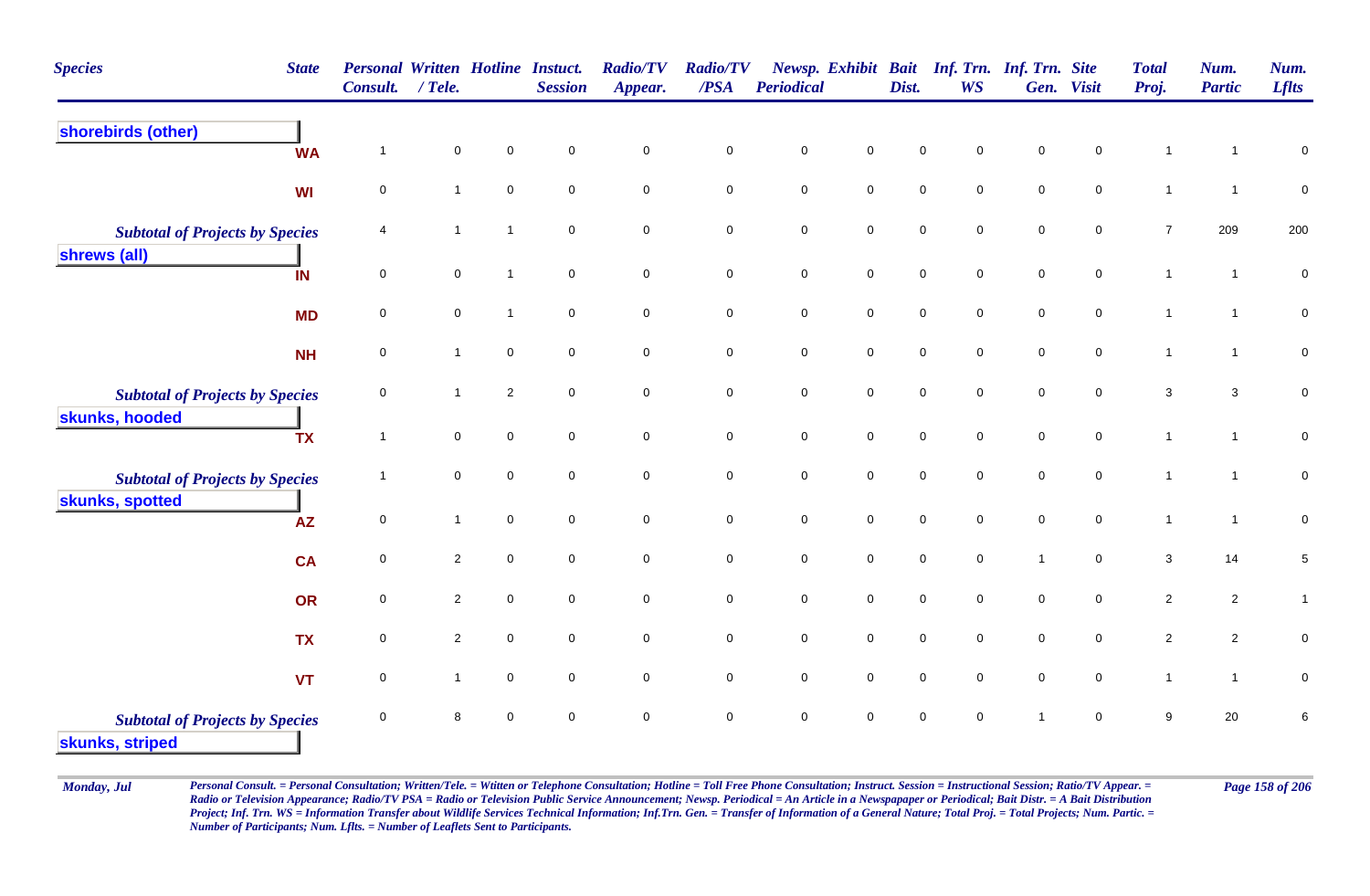| <b>Species</b>                                            | <b>State</b> | <b>Personal Written Hotline Instuct.</b><br><b>Consult.</b> | $/$ Tele.      |                     | <b>Session</b> | <b>Radio/TV</b><br>Appear. | <b>Radio/TV</b><br>$\overline{PSA}$ | <b>Periodical</b>   |                     | Dist.               | Newsp. Exhibit Bait Inf. Trn. Inf. Trn. Site<br><b>WS</b> |                     | Gen. Visit          | <b>Total</b><br>Proj. | Num.<br><b>Partic</b> | Num.<br><b>Lflts</b> |
|-----------------------------------------------------------|--------------|-------------------------------------------------------------|----------------|---------------------|----------------|----------------------------|-------------------------------------|---------------------|---------------------|---------------------|-----------------------------------------------------------|---------------------|---------------------|-----------------------|-----------------------|----------------------|
| shorebirds (other)                                        | <b>WA</b>    | $\overline{1}$                                              | $\mathbf 0$    | $\mathbf 0$         | $\mathbf 0$    | $\pmb{0}$                  | $\pmb{0}$                           | $\pmb{0}$           | $\pmb{0}$           | 0                   | $\mathbf 0$                                               | 0                   | $\mathbf 0$         |                       | 1                     | $\pmb{0}$            |
|                                                           | <b>WI</b>    | $\mathbf 0$                                                 | $\mathbf{1}$   | $\pmb{0}$           | $\mathbf 0$    | $\mathbf 0$                | $\mathbf 0$                         | ${\bf 0}$           | $\mathsf{O}\xspace$ | $\mathbf 0$         | $\mathbf 0$                                               | $\mathbf 0$         | $\mathbf 0$         | $\mathbf{1}$          | $\mathbf{1}$          | $\pmb{0}$            |
| <b>Subtotal of Projects by Species</b>                    |              | 4                                                           | $\mathbf{1}$   | $\mathbf{1}$        | $\mathbf 0$    | $\overline{0}$             | $\mathsf 0$                         | $\mathbf 0$         | $\mathbf 0$         | $\mathbf 0$         | $\mathbf 0$                                               | $\mathbf 0$         | $\mathbf 0$         | $\overline{7}$        | 209                   | 200                  |
| shrews (all)                                              | IN           | $\pmb{0}$                                                   | $\mathbf 0$    | $\mathbf{1}$        | $\overline{0}$ | $\mathsf{O}\xspace$        | $\mathbf 0$                         | $\mathsf{O}\xspace$ | $\mathsf{O}\xspace$ | $\mathsf{O}\xspace$ | $\mathsf{O}\xspace$                                       | $\mathsf{O}\xspace$ | $\mathsf{O}\xspace$ | $\mathbf{1}$          | $\mathbf{1}$          | $\pmb{0}$            |
|                                                           | <b>MD</b>    | $\mathbf 0$                                                 | $\mathbf 0$    | $\mathbf{1}$        | $\mathbf 0$    | $\mathsf{O}\xspace$        | $\mathbf 0$                         | $\mathsf{O}\xspace$ | $\mathbf 0$         | $\mathbf 0$         | $\mathbf 0$                                               | $\mathsf{O}\xspace$ | $\mathbf 0$         | $\mathbf{1}$          | $\mathbf{1}$          | ${\bf 0}$            |
|                                                           | <b>NH</b>    | $\mathbf 0$                                                 | $\mathbf{1}$   | $\mathbf 0$         | $\mathbf 0$    | $\overline{0}$             | $\mathsf 0$                         | 0                   | $\mathsf{O}\xspace$ | $\mathsf{O}\xspace$ | $\mathbf 0$                                               | 0                   | $\mathbf 0$         | $\mathbf{1}$          | $\mathbf{1}$          | $\pmb{0}$            |
| <b>Subtotal of Projects by Species</b>                    |              | $\mathbf 0$                                                 | $\mathbf 1$    | $\overline{2}$      | $\mathbf 0$    | $\overline{0}$             | $\mathsf 0$                         | $\mathbf 0$         | $\mathbf 0$         | 0                   | $\mathsf{O}\xspace$                                       | $\mathsf{O}\xspace$ | $\mathsf{O}\xspace$ | 3                     | $\mathbf{3}$          | $\mathbf 0$          |
| skunks, hooded                                            | <b>TX</b>    | $\overline{1}$                                              | $\mathbf 0$    | $\mathbf 0$         | $\mathbf 0$    | $\mathbf 0$                | $\mathsf 0$                         | $\mathbf 0$         | $\mathbf 0$         | $\mathbf 0$         | $\mathbf 0$                                               | $\mathbf 0$         | $\mathbf 0$         | $\mathbf{1}$          | $\mathbf{1}$          | $\pmb{0}$            |
| <b>Subtotal of Projects by Species</b>                    |              | $\overline{1}$                                              | $\mathbf 0$    | $\mathbf 0$         | $\mathbf 0$    | $\mathsf{O}\xspace$        | $\mathbf 0$                         | $\mathbf 0$         | $\mathsf{O}\xspace$ | $\pmb{0}$           | $\mathbf 0$                                               | $\pmb{0}$           | $\mathbf 0$         | $\mathbf{1}$          | $\mathbf{1}$          | ${\bf 0}$            |
| skunks, spotted                                           | <b>AZ</b>    | $\pmb{0}$                                                   | $\mathbf{1}$   | $\mathbf 0$         | $\mathbf 0$    | $\mathbf 0$                | $\mathbf 0$                         | $\mathsf{O}\xspace$ | $\mathsf{O}\xspace$ | $\mathbf 0$         | $\mathbf 0$                                               | $\mathsf{O}\xspace$ | $\mathbf 0$         | $\mathbf{1}$          | $\overline{1}$        | $\pmb{0}$            |
|                                                           | <b>CA</b>    | $\mathbf 0$                                                 | $\overline{c}$ | $\mathbf 0$         | $\mathbf 0$    | $\mathbf 0$                | $\mathsf 0$                         | 0                   | $\mathsf 0$         | $\mathsf{O}\xspace$ | $\mathbf 0$                                               | $\overline{1}$      | $\mathbf 0$         | 3                     | 14                    | $\,$ 5 $\,$          |
|                                                           | OR           | $\mathbf 0$                                                 | $\overline{c}$ | $\mathbf 0$         | $\mathbf 0$    | $\mathbf 0$                | $\mathsf 0$                         | $\mathbf 0$         | $\mathbf 0$         | $\mathsf{O}\xspace$ | $\mathbf 0$                                               | $\mathsf{O}\xspace$ | $\mathbf 0$         | $\overline{2}$        | $\overline{2}$        | $\mathbf{1}$         |
|                                                           | <b>TX</b>    | $\pmb{0}$                                                   | $\overline{2}$ | $\pmb{0}$           | $\mathsf 0$    | $\mathbf 0$                | $\pmb{0}$                           | $\mathbf 0$         | $\mathbf 0$         | $\mathsf{O}\xspace$ | $\mathbf 0$                                               | $\mathbf 0$         | $\mathsf{O}\xspace$ | $\overline{2}$        | $\overline{2}$        | $\pmb{0}$            |
|                                                           | <b>VT</b>    | $\mathbf 0$                                                 | $\mathbf{1}$   | $\mathsf{O}\xspace$ | $\mathbf 0$    | $\mathbf 0$                | $\mathbf 0$                         | $\mathbf 0$         | $\mathbf 0$         | $\mathbf 0$         | $\mathsf{O}\xspace$                                       | $\mathbf 0$         | $\mathbf 0$         | $\mathbf{1}$          | $\mathbf{1}$          | 0                    |
| <b>Subtotal of Projects by Species</b><br>skunks, striped |              | $\mathbf 0$                                                 | 8              | $\mathbf 0$         | $\mathbf 0$    | $\mathbf 0$                | $\mathsf 0$                         | $\mathbf 0$         | $\mathbf 0$         | $\mathbf 0$         | $\mathbf 0$                                               | $\overline{1}$      | $\mathbf 0$         | 9                     | 20                    | 6                    |

Monday, Jul Personal Consult. = Personal Consultation; Written/Tele. = Witten or Telephone Consultation; Hotline = Toll Free Phone Consultation; Instruct. Session = Instructional Session; Ratio/TV Appear. = Page 158 of 206 *Radio or Television Appearance; Radio/TV PSA = Radio or Television Public Service Announcement; Newsp. Periodical = An Article in a Newspapaper or Periodical; Bait Distr. = A Bait Distribution*  Project; Inf. Trn. WS = Information Transfer about Wildlife Services Technical Information; Inf.Trn. Gen. = Transfer of Information of a General Nature; Total Proj. = Total Projects; Num. Partic. = *Number of Participants; Num. Lflts. = Number of Leaflets Sent to Participants.*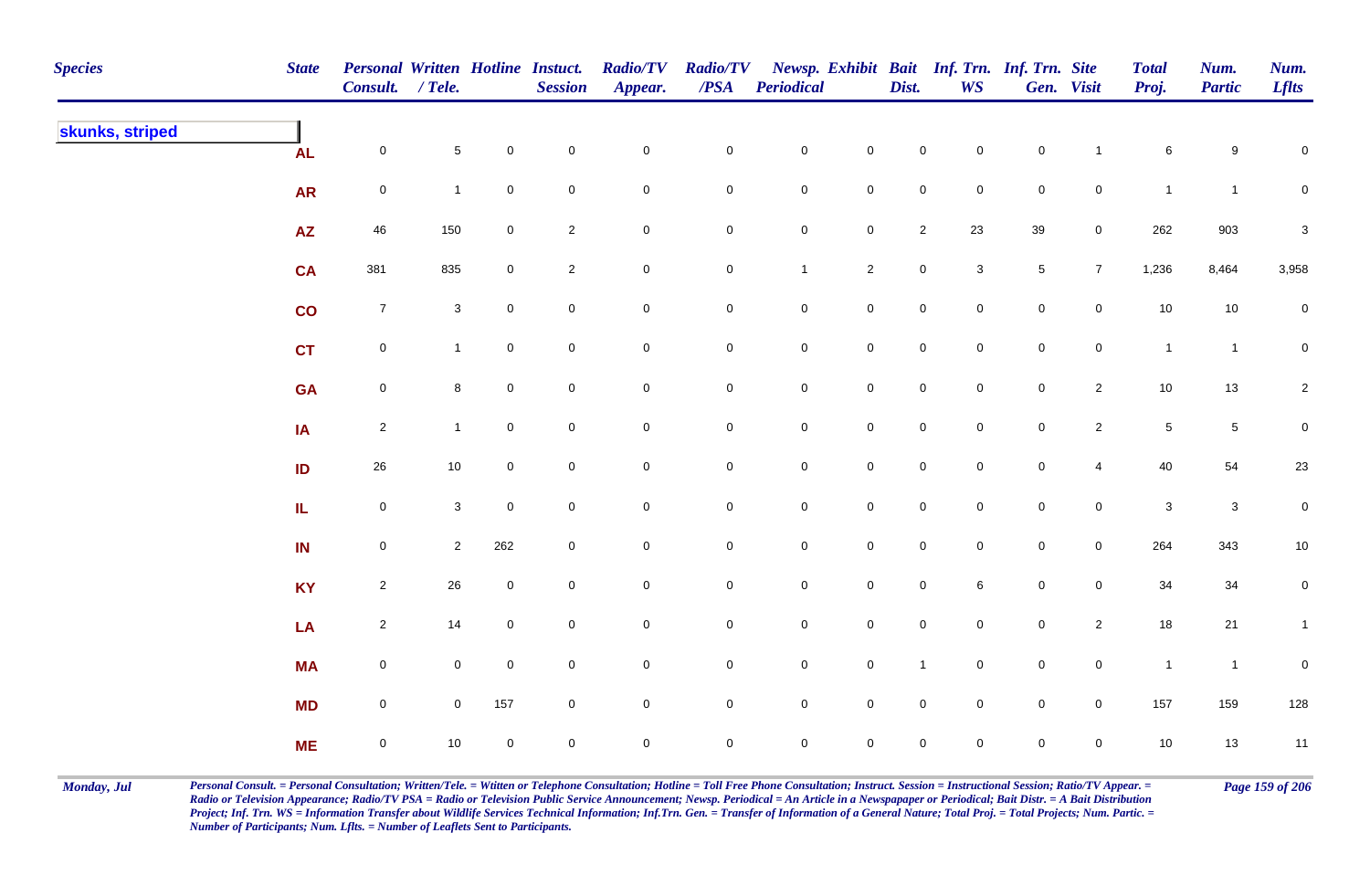| <b>Species</b>  | <b>State</b>  | Personal Written Hotline Instuct.<br>Consult. / Tele. |                |                | <b>Session</b> | <b>Radio/TV</b><br>Appear. | <b>Radio/TV</b><br>$\overline{PSA}$ | <b>Periodical</b> |                     | Dist.               | <b>WS</b>           | Newsp. Exhibit Bait Inf. Trn. Inf. Trn. Site | Gen. Visit          | <b>Total</b><br>Proj.     | Num.<br><b>Partic</b>     | Num.<br><b>Lflts</b>      |
|-----------------|---------------|-------------------------------------------------------|----------------|----------------|----------------|----------------------------|-------------------------------------|-------------------|---------------------|---------------------|---------------------|----------------------------------------------|---------------------|---------------------------|---------------------------|---------------------------|
| skunks, striped | <b>AL</b>     | $\mathbf 0$                                           | $\sqrt{5}$     | $\mathbf 0$    | $\pmb{0}$      | $\pmb{0}$                  | $\pmb{0}$                           | $\mathbf 0$       | $\mathbf 0$         | $\mathbf 0$         | $\mathsf{O}\xspace$ | $\mathbf 0$                                  | $\overline{1}$      | 6                         | 9                         | $\mathbf 0$               |
|                 | <b>AR</b>     | $\mathbf 0$                                           | $\mathbf{1}$   | $\mathbf 0$    | $\pmb{0}$      | $\mathbf 0$                | 0                                   | $\boldsymbol{0}$  | $\mathbf 0$         | $\mathbf 0$         | $\overline{0}$      | $\mathbf 0$                                  | $\mathbf 0$         | $\mathbf{1}$              | $\mathbf{1}$              | 0                         |
|                 | <b>AZ</b>     | 46                                                    | 150            | $\mathbf 0$    | $\sqrt{2}$     | $\pmb{0}$                  | $\pmb{0}$                           | $\mathbf 0$       | $\mathbf 0$         | $\overline{2}$      | 23                  | 39                                           | $\overline{0}$      | 262                       | 903                       | $\ensuremath{\mathsf{3}}$ |
|                 | <b>CA</b>     | 381                                                   | 835            | $\mathbf 0$    | $\overline{2}$ | $\pmb{0}$                  | $\mathbf 0$                         | $\mathbf{1}$      | $\overline{2}$      | $\mathsf{O}\xspace$ | $\mathbf{3}$        | $\sqrt{5}$                                   | $\overline{7}$      | 1,236                     | 8,464                     | 3,958                     |
|                 | $\mathsf{co}$ | $\overline{7}$                                        | $\mathbf{3}$   | $\mathbf 0$    | $\pmb{0}$      | $\pmb{0}$                  | $\pmb{0}$                           | $\mathbf 0$       | $\mathbf 0$         | $\mathsf{O}\xspace$ | $\overline{0}$      | $\pmb{0}$                                    | $\mathbf 0$         | $10\,$                    | $10$                      | ${\bf 0}$                 |
|                 | <b>CT</b>     | $\mathsf{O}\xspace$                                   | $\mathbf{1}$   | $\overline{0}$ | $\mathsf 0$    | $\pmb{0}$                  | $\pmb{0}$                           | $\mathbf 0$       | $\mathsf{O}\xspace$ | $\mathbf 0$         | $\overline{0}$      | $\mathbf 0$                                  | $\mathbf 0$         | $\mathbf{1}$              | $\overline{1}$            | $\overline{0}$            |
|                 | <b>GA</b>     | $\mathsf{O}\xspace$                                   | 8              | $\mathbf 0$    | $\mathbf 0$    | $\pmb{0}$                  | 0                                   | $\mathbf 0$       | $\mathbf 0$         | $\mathbf 0$         | $\mathbf 0$         | $\mathsf{O}\xspace$                          | $\overline{2}$      | 10                        | $13$                      | $\overline{2}$            |
|                 | IA            | $\overline{2}$                                        | $\mathbf{1}$   | $\mathbf 0$    | $\mathbf 0$    | $\mathbf 0$                | 0                                   | $\mathbf 0$       | $\mathsf 0$         | $\mathbf 0$         | $\mathbf 0$         | $\mathsf 0$                                  | $\overline{2}$      | $\,$ 5 $\,$               | $\sqrt{5}$                | $\boldsymbol{0}$          |
|                 | ID            | 26                                                    | $10\,$         | $\overline{0}$ | $\mathbf 0$    | $\pmb{0}$                  | 0                                   | $\mathbf 0$       | $\mathbf 0$         | $\mathsf{O}\xspace$ | $\mathbf 0$         | $\mathsf{O}\xspace$                          | $\overline{4}$      | 40                        | 54                        | 23                        |
|                 | IL.           | $\mathbf 0$                                           | $\mathbf{3}$   | $\mathbf 0$    | $\pmb{0}$      | $\pmb{0}$                  | $\mathsf{O}\xspace$                 | $\mathbf 0$       | $\mathbf 0$         | $\mathbf 0$         | $\mathsf{O}\xspace$ | $\mathbf 0$                                  | $\mathbf 0$         | $\ensuremath{\mathsf{3}}$ | $\ensuremath{\mathsf{3}}$ | $\pmb{0}$                 |
|                 | IN            | $\mathsf{O}\xspace$                                   | $\overline{2}$ | 262            | $\mathsf 0$    | $\mathbf 0$                | 0                                   | $\mathbf 0$       | $\mathbf 0$         | $\mathbf 0$         | $\overline{0}$      | $\mathbf 0$                                  | $\overline{0}$      | 264                       | 343                       | 10                        |
|                 | <b>KY</b>     | $\overline{2}$                                        | 26             | $\mathbf 0$    | $\pmb{0}$      | $\pmb{0}$                  | $\pmb{0}$                           | $\mathbf 0$       | $\mathbf 0$         | $\mathsf{O}\xspace$ | 6                   | $\mathbf 0$                                  | $\mathbf 0$         | 34                        | 34                        | $\boldsymbol{0}$          |
|                 | LA            | $\overline{2}$                                        | 14             | $\overline{0}$ | $\mathsf 0$    | $\pmb{0}$                  | 0                                   | $\mathbf 0$       | $\mathsf{O}\xspace$ | $\mathbf 0$         | $\overline{0}$      | $\mathbf 0$                                  | $\overline{2}$      | 18                        | 21                        | $\mathbf{1}$              |
|                 | <b>MA</b>     | $\mathsf{O}\xspace$                                   | $\overline{0}$ | $\mathbf 0$    | $\mathbf 0$    | $\pmb{0}$                  | 0                                   | $\mathbf 0$       | $\mathsf{O}\xspace$ | $\mathbf{1}$        | $\overline{0}$      | $\mathsf 0$                                  | $\mathsf{O}\xspace$ | $\mathbf{1}$              | $\overline{1}$            | $\pmb{0}$                 |
|                 | <b>MD</b>     | $\mathbf 0$                                           | $\mathbf 0$    | 157            | $\pmb{0}$      | $\pmb{0}$                  | 0                                   | $\mathbf 0$       | $\mathsf 0$         | $\mathsf{O}\xspace$ | $\overline{0}$      | $\mathbf 0$                                  | $\overline{0}$      | 157                       | 159                       | 128                       |
|                 | <b>ME</b>     | $\mathbf 0$                                           | 10             | $\mathbf 0$    | $\mathbf 0$    | $\mathbf 0$                | 0                                   | $\mathbf 0$       | $\mathbf 0$         | 0                   | $\mathsf{O}$        | $\mathbf 0$                                  | $\mathbf 0$         | 10                        | $13$                      | $11$                      |

Monday, Jul Personal Consult. = Personal Consultation; Written/Tele. = Witten or Telephone Consultation; Hotline = Toll Free Phone Consultation; Instruct. Session = Instructional Session; Ratio/TV Appear. = Page 159 of 206 *Radio or Television Appearance; Radio/TV PSA = Radio or Television Public Service Announcement; Newsp. Periodical = An Article in a Newspapaper or Periodical; Bait Distr. = A Bait Distribution*  Project; Inf. Trn. WS = Information Transfer about Wildlife Services Technical Information; Inf.Trn. Gen. = Transfer of Information of a General Nature; Total Proj. = Total Projects; Num. Partic. = *Number of Participants; Num. Lflts. = Number of Leaflets Sent to Participants.*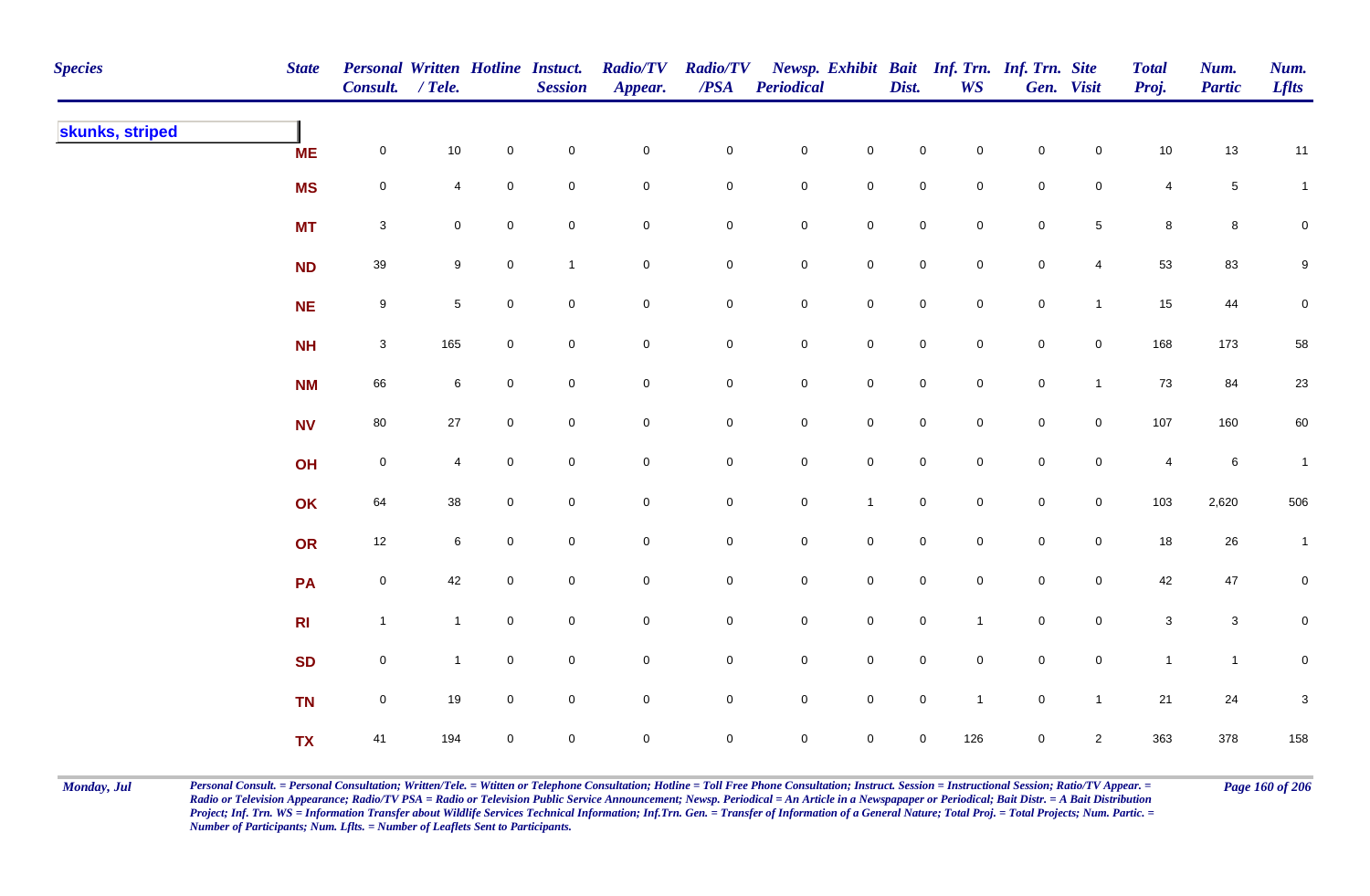| <b>Species</b>  | <b>State</b>   | Personal Written Hotline Instuct.<br>Consult. / Tele. |                 |                     | <b>Session</b> | <b>Radio/TV</b><br>Appear. | <b>Radio/TV</b><br>$\overline{PSA}$ | <b>Periodical</b>   |                     | Dist.               | <b>WS</b>           | Newsp. Exhibit Bait Inf. Trn. Inf. Trn. Site | Gen. Visit          | <b>Total</b><br>Proj.   | Num.<br><b>Partic</b> | Num.<br><b>Lflts</b>      |
|-----------------|----------------|-------------------------------------------------------|-----------------|---------------------|----------------|----------------------------|-------------------------------------|---------------------|---------------------|---------------------|---------------------|----------------------------------------------|---------------------|-------------------------|-----------------------|---------------------------|
| skunks, striped | <b>ME</b>      | $\mathsf{O}\xspace$                                   | $10$            | $\mathbf 0$         | $\pmb{0}$      | $\pmb{0}$                  | $\pmb{0}$                           | $\mathbf 0$         | $\mathbf 0$         | $\mathbf 0$         | $\mathbf 0$         | $\mathbf 0$                                  | $\overline{0}$      | $10$                    | $13$                  | 11                        |
|                 | <b>MS</b>      | $\mathbf 0$                                           | 4               | $\mathbf 0$         | $\pmb{0}$      | $\pmb{0}$                  | $\pmb{0}$                           | $\mathbf 0$         | $\mathbf 0$         | $\mathbf 0$         | $\mathbf 0$         | $\mathbf 0$                                  | $\mathsf{O}\xspace$ | $\overline{4}$          | $\,$ 5 $\,$           | $\mathbf{1}$              |
|                 | <b>MT</b>      | $\mathbf{3}$                                          | 0               | $\mathbf 0$         | $\pmb{0}$      | $\pmb{0}$                  | $\mathsf{O}\xspace$                 | $\mathbf 0$         | $\mathbf 0$         | $\mathsf{O}\xspace$ | $\mathsf{O}\xspace$ | $\mathbf 0$                                  | $\overline{5}$      | $\bf8$                  | 8                     | $\mathbf 0$               |
|                 | <b>ND</b>      | 39                                                    | 9               | $\mathbf 0$         | $\mathbf{1}$   | $\pmb{0}$                  | 0                                   | $\mathbf 0$         | $\mathbf 0$         | $\mathbf 0$         | $\mathbf 0$         | $\mathbf 0$                                  | $\overline{4}$      | 53                      | 83                    | 9                         |
|                 | <b>NE</b>      | $9\,$                                                 | $5\phantom{.0}$ | $\overline{0}$      | $\mathsf 0$    | $\pmb{0}$                  | 0                                   | $\overline{0}$      | $\mathbf 0$         | $\mathsf{O}\xspace$ | $\overline{0}$      | $\mathbf 0$                                  | $\mathbf{1}$        | 15                      | 44                    | $\pmb{0}$                 |
|                 | <b>NH</b>      | $\mathbf{3}$                                          | 165             | $\overline{0}$      | $\mathsf 0$    | $\pmb{0}$                  | $\pmb{0}$                           | $\mathbf 0$         | $\mathbf 0$         | $\mathsf{O}\xspace$ | $\overline{0}$      | $\mathbf 0$                                  | $\mathbf 0$         | 168                     | 173                   | 58                        |
|                 | <b>NM</b>      | 66                                                    | 6               | $\mathsf{O}\xspace$ | $\pmb{0}$      | $\pmb{0}$                  | $\mathsf{O}\xspace$                 | $\mathbf 0$         | $\mathsf{O}\xspace$ | $\mathsf{O}\xspace$ | $\overline{0}$      | $\mathsf{O}\xspace$                          | $\mathbf{1}$        | 73                      | 84                    | 23                        |
|                 | <b>NV</b>      | 80                                                    | $27\,$          | $\mathbf 0$         | $\mathbf 0$    | $\pmb{0}$                  | 0                                   | $\mathbf 0$         | $\mathbf 0$         | $\mathsf{O}\xspace$ | $\mathbf 0$         | $\mathsf{O}\xspace$                          | $\overline{0}$      | 107                     | 160                   | 60                        |
|                 | OH             | $\mathbf 0$                                           | $\overline{4}$  | $\mathbf{0}$        | $\mathbf 0$    | $\mathbf 0$                | $\mathsf{O}\xspace$                 | $\mathsf{O}\xspace$ | $\mathbf 0$         | $\mathbf 0$         | $\Omega$            | $\mathsf{O}\xspace$                          | $\mathbf 0$         | $\overline{\mathbf{4}}$ | $\,6\,$               | $\mathbf{1}$              |
|                 | OK             | 64                                                    | 38              | $\mathbf 0$         | $\mathsf 0$    | $\pmb{0}$                  | $\mathsf{O}\xspace$                 | $\mathbf 0$         | $\mathbf{1}$        | $\mathbf 0$         | $\mathbf 0$         | $\mathbf 0$                                  | $\mathbf 0$         | 103                     | 2,620                 | 506                       |
|                 | OR             | 12                                                    | 6               | $\mathbf 0$         | $\pmb{0}$      | $\mathbf 0$                | $\pmb{0}$                           | $\mathbf 0$         | $\mathbf 0$         | $\mathbf 0$         | $\mathbf 0$         | $\mathbf 0$                                  | $\mathbf 0$         | $18$                    | $26\,$                | $\mathbf{1}$              |
|                 | PA             | $\mathsf 0$                                           | 42              | $\overline{0}$      | $\pmb{0}$      | $\mathbf 0$                | 0                                   | $\mathbf 0$         | $\mathbf 0$         | $\mathsf{O}\xspace$ | $\overline{0}$      | $\mathbf 0$                                  | $\overline{0}$      | 42                      | 47                    | 0                         |
|                 | R <sub>l</sub> | $\mathbf{1}$                                          | $\mathbf{1}$    | $\overline{0}$      | $\mathsf 0$    | $\mathbf 0$                | 0                                   | $\overline{0}$      | $\mathbf 0$         | $\mathsf{O}\xspace$ | $\overline{1}$      | $\mathbf 0$                                  | $\overline{0}$      | $\mathbf{3}$            | $\mathbf 3$           | $\mathbf 0$               |
|                 | <b>SD</b>      | $\mathsf{O}\xspace$                                   | $\mathbf{1}$    | $\overline{0}$      | $\mathsf 0$    | $\mathbf 0$                | $\overline{0}$                      | $\mathbf 0$         | $\mathbf 0$         | $\mathsf{O}\xspace$ | $\overline{0}$      | $\mathbf 0$                                  | $\mathbf 0$         | $\mathbf{1}$            | $\mathbf{1}$          | $\mathbf 0$               |
|                 | <b>TN</b>      | $\mathsf{O}\xspace$                                   | 19              | $\overline{0}$      | $\pmb{0}$      | $\pmb{0}$                  | 0                                   | $\mathbf 0$         | $\mathsf{O}\xspace$ | $\mathsf{O}\xspace$ | $\overline{1}$      | $\mathsf{O}\xspace$                          | $\mathbf{1}$        | 21                      | 24                    | $\ensuremath{\mathsf{3}}$ |
|                 | <b>TX</b>      | 41                                                    | 194             | $\mathbf 0$         | $\mathsf 0$    | $\mathbf 0$                | 0                                   | $\mathbf 0$         | $\mathbf 0$         | $\mathbf 0$         | 126                 | $\mathbf 0$                                  | $\overline{2}$      | 363                     | 378                   | 158                       |

Monday, Jul Personal Consult. = Personal Consultation; Written/Tele. = Witten or Telephone Consultation; Hotline = Toll Free Phone Consultation; Instruct. Session = Instructional Session; Ratio/TV Appear. = Page 160 of 206 *Radio or Television Appearance; Radio/TV PSA = Radio or Television Public Service Announcement; Newsp. Periodical = An Article in a Newspapaper or Periodical; Bait Distr. = A Bait Distribution*  Project; Inf. Trn. WS = Information Transfer about Wildlife Services Technical Information; Inf.Trn. Gen. = Transfer of Information of a General Nature; Total Proj. = Total Projects; Num. Partic. = *Number of Participants; Num. Lflts. = Number of Leaflets Sent to Participants.*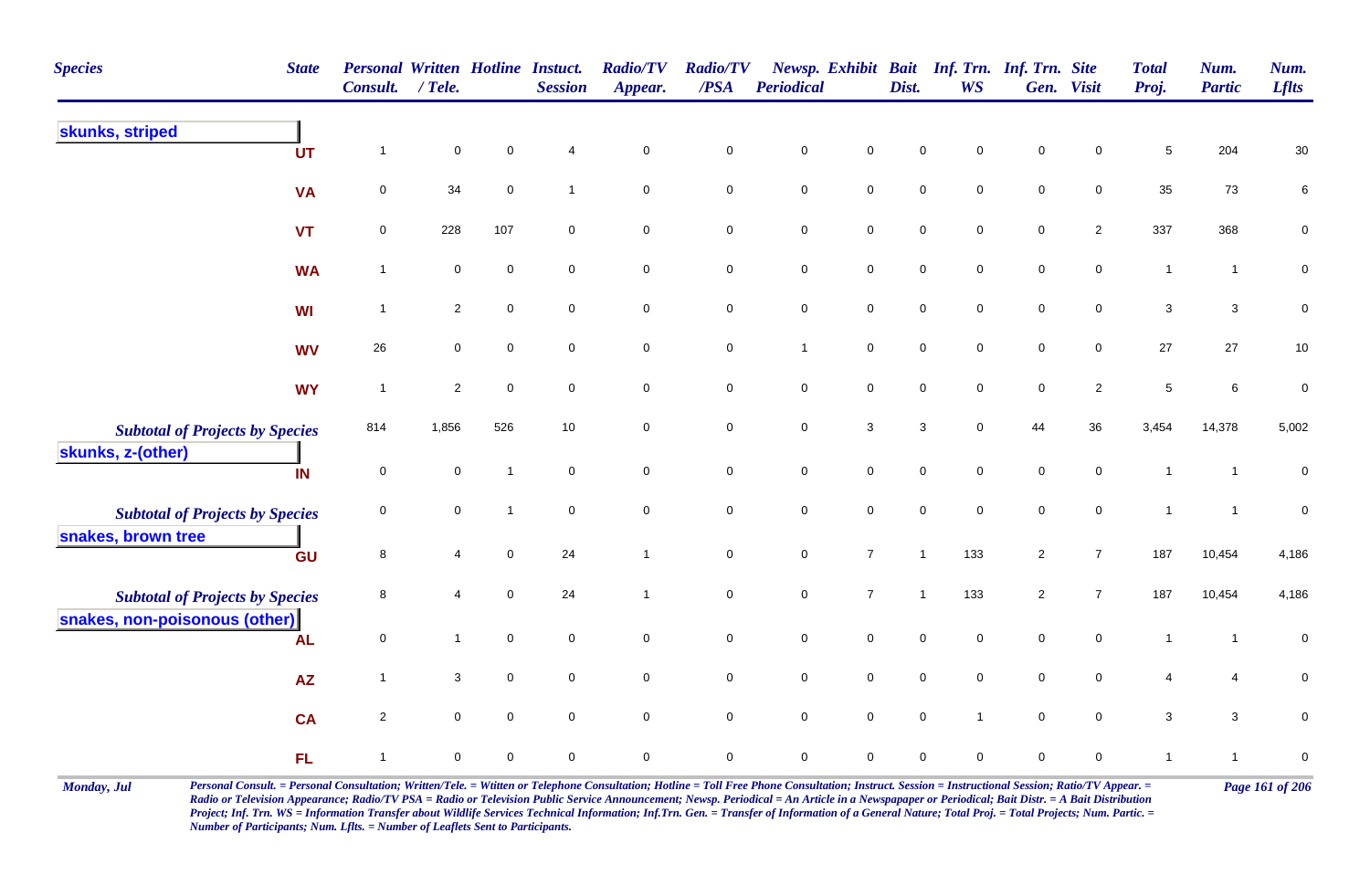| <b>Species</b><br><b>State</b>                              | <b>Consult.</b> | $/$ Tele.           |                | <b>Personal Written Hotline Instuct.</b><br><b>Session</b> | <b>Radio/TV</b><br>Appear. | <b>Radio/TV</b><br>$\overline{PSA}$ | <b>Periodical</b> |                     | Dist.        | Newsp. Exhibit Bait Inf. Trn. Inf. Trn. Site<br><b>WS</b> |                | Gen. Visit     | <b>Total</b><br>Proj. | Num.<br><b>Partic</b> | Num.<br><b>Lflts</b> |
|-------------------------------------------------------------|-----------------|---------------------|----------------|------------------------------------------------------------|----------------------------|-------------------------------------|-------------------|---------------------|--------------|-----------------------------------------------------------|----------------|----------------|-----------------------|-----------------------|----------------------|
| skunks, striped<br><b>UT</b>                                | $\mathbf 1$     | $\mathbf 0$         | $\pmb{0}$      | 4                                                          | $\mathsf 0$                | $\pmb{0}$                           | $\pmb{0}$         | $\pmb{0}$           | $\mathbf 0$  | 0                                                         | $\mathsf 0$    | 0              | $\sqrt{5}$            | 204                   | $30\,$               |
| <b>VA</b>                                                   | $\mathsf 0$     | 34                  | $\pmb{0}$      | $\mathbf 1$                                                | $\mathbf 0$                | $\mathbf 0$                         | $\pmb{0}$         | $\mathbf 0$         | $\pmb{0}$    | 0                                                         | $\mathsf 0$    | $\pmb{0}$      | 35                    | 73                    | 6                    |
| <b>VT</b>                                                   | $\mathbf 0$     | 228                 | 107            | $\mathbf 0$                                                | $\mathbf 0$                | $\mathbf 0$                         | $\pmb{0}$         | $\mathbf 0$         | $\mathbf 0$  | $\mathbf 0$                                               | $\mathbf 0$    | $\overline{2}$ | 337                   | 368                   | $\pmb{0}$            |
| <b>WA</b>                                                   | $\overline{1}$  | $\mathbf 0$         | $\mathbf 0$    | $\mathbf 0$                                                | $\mathbf 0$                | $\mathbf 0$                         | $\pmb{0}$         | $\mathbf 0$         | $\mathsf 0$  | 0                                                         | $\mathbf 0$    | $\pmb{0}$      | $\overline{1}$        | $\mathbf{1}$          | 0                    |
| <b>WI</b>                                                   | $\overline{1}$  | $\overline{2}$      | $\mathbf 0$    | $\mathbf 0$                                                | $\mathbf 0$                | $\mathbf 0$                         | $\pmb{0}$         | $\mathsf{O}\xspace$ | $\pmb{0}$    | 0                                                         | $\mathbf 0$    | $\mathbf 0$    | $\sqrt{3}$            | $\mathbf{3}$          | 0                    |
| <b>WV</b>                                                   | $26\,$          | $\mathbf 0$         | $\mathbf 0$    | $\mathbf 0$                                                | $\mathbf 0$                | $\mathbf 0$                         | $\mathbf{1}$      | $\mathsf{O}\xspace$ | $\pmb{0}$    | $\mathbf 0$                                               | $\mathsf 0$    | $\mathbf 0$    | 27                    | 27                    | $10\,$               |
| <b>WY</b>                                                   | $\overline{1}$  | $\overline{2}$      | $\pmb{0}$      | $\mathbf 0$                                                | $\mathbf 0$                | $\mathbf 0$                         | $\pmb{0}$         | $\mathbf 0$         | $\pmb{0}$    | $\mathbf 0$                                               | $\mathsf 0$    | $\overline{c}$ | $\sqrt{5}$            | $\,6\,$               | $\mathbf 0$          |
| <b>Subtotal of Projects by Species</b><br>skunks, z-(other) | 814             | 1,856               | 526            | $10\,$                                                     | $\mathbf 0$                | $\mathbf 0$                         | $\pmb{0}$         | $\mathbf{3}$        | $\sqrt{3}$   | $\mathbf 0$                                               | 44             | 36             | 3,454                 | 14,378                | 5,002                |
| IN                                                          | $\pmb{0}$       | $\mathsf{O}\xspace$ | -1             | $\mathbf 0$                                                | $\mathsf{O}\xspace$        | $\mathsf{O}\xspace$                 | $\pmb{0}$         | $\mathsf{O}\xspace$ | $\pmb{0}$    | $\mathbf 0$                                               | $\pmb{0}$      | $\mathbf 0$    | $\mathbf{1}$          | $\mathbf{1}$          | $\pmb{0}$            |
| <b>Subtotal of Projects by Species</b>                      | $\pmb{0}$       | $\mathbf 0$         | $\overline{1}$ | $\mathbf 0$                                                | $\mathbf 0$                | $\mathbf 0$                         | $\pmb{0}$         | $\mathbf 0$         | $\mathsf 0$  | $\mathbf 0$                                               | $\mathsf 0$    | $\mathbf 0$    | $\mathbf{1}$          | $\mathbf{1}$          | $\pmb{0}$            |
| snakes, brown tree<br>GU                                    | $\, 8$          | 4                   | $\mathbf 0$    | 24                                                         | $\mathbf{1}$               | $\mathbf 0$                         | $\pmb{0}$         | $\boldsymbol{7}$    | $\mathbf{1}$ | 133                                                       | $\overline{c}$ | $\overline{7}$ | 187                   | 10,454                | 4,186                |
| <b>Subtotal of Projects by Species</b>                      | $\, 8$          | 4                   | $\overline{0}$ | 24                                                         | $\mathbf{1}$               | $\mathbf 0$                         | $\pmb{0}$         | $\overline{7}$      | $\mathbf{1}$ | 133                                                       | $\overline{c}$ | $\overline{7}$ | 187                   | 10,454                | 4,186                |
| snakes, non-poisonous (other)<br><b>AL</b>                  | $\mathbf 0$     | $\mathbf{1}$        | $\mathbf 0$    | $\mathbf 0$                                                | $\mathbf 0$                | $\mathbf 0$                         | $\mathsf 0$       | $\mathsf{O}\xspace$ | $\mathbf 0$  | $\mathbf 0$                                               | $\mathbf 0$    | $\mathbf 0$    | $\mathbf{1}$          | $\mathbf{1}$          | $\mathbf 0$          |
| <b>AZ</b>                                                   | $\overline{1}$  | 3                   | $\mathsf 0$    | $\mathbf 0$                                                | $\mathbf 0$                | $\mathbf 0$                         | $\pmb{0}$         | $\mathbf 0$         | $\mathsf 0$  | $\mathbf 0$                                               | $\mathsf 0$    | 0              | $\overline{4}$        | 4                     | $\mathbf 0$          |
| <b>CA</b>                                                   | $\sqrt{2}$      | $\mathsf{O}\xspace$ | $\mathbf 0$    | $\mathbf 0$                                                | $\mathsf{O}\xspace$        | $\mathbf 0$                         | $\pmb{0}$         | $\mathbf 0$         | $\pmb{0}$    | $\mathbf{1}$                                              | $\mathbf 0$    | $\mathbf 0$    | $\sqrt{3}$            | $\mathbf{3}$          | $\mathbf 0$          |
| <b>FL</b>                                                   | $\overline{1}$  | 0                   | $\pmb{0}$      | $\mathbf 0$                                                | $\mathbf 0$                | $\mathbf 0$                         | $\mathsf 0$       | $\mathbf 0$         | $\mathbf 0$  | 0                                                         | $\mathbf 0$    | 0              | $\mathbf{1}$          | $\mathbf{1}$          | $\pmb{0}$            |

Monday, Jul Personal Consult. = Personal Consultation; Written/Tele. = Witten or Telephone Consultation; Hotline = Toll Free Phone Consultation; Instruct. Session = Instructional Session; Ratio/TV Appear. = Page 161 of 206 *Radio or Television Appearance; Radio/TV PSA = Radio or Television Public Service Announcement; Newsp. Periodical = An Article in a Newspapaper or Periodical; Bait Distr. = A Bait Distribution*  Project; Inf. Trn. WS = Information Transfer about Wildlife Services Technical Information; Inf.Trn. Gen. = Transfer of Information of a General Nature; Total Proj. = Total Projects; Num. Partic. = *Number of Participants; Num. Lflts. = Number of Leaflets Sent to Participants.*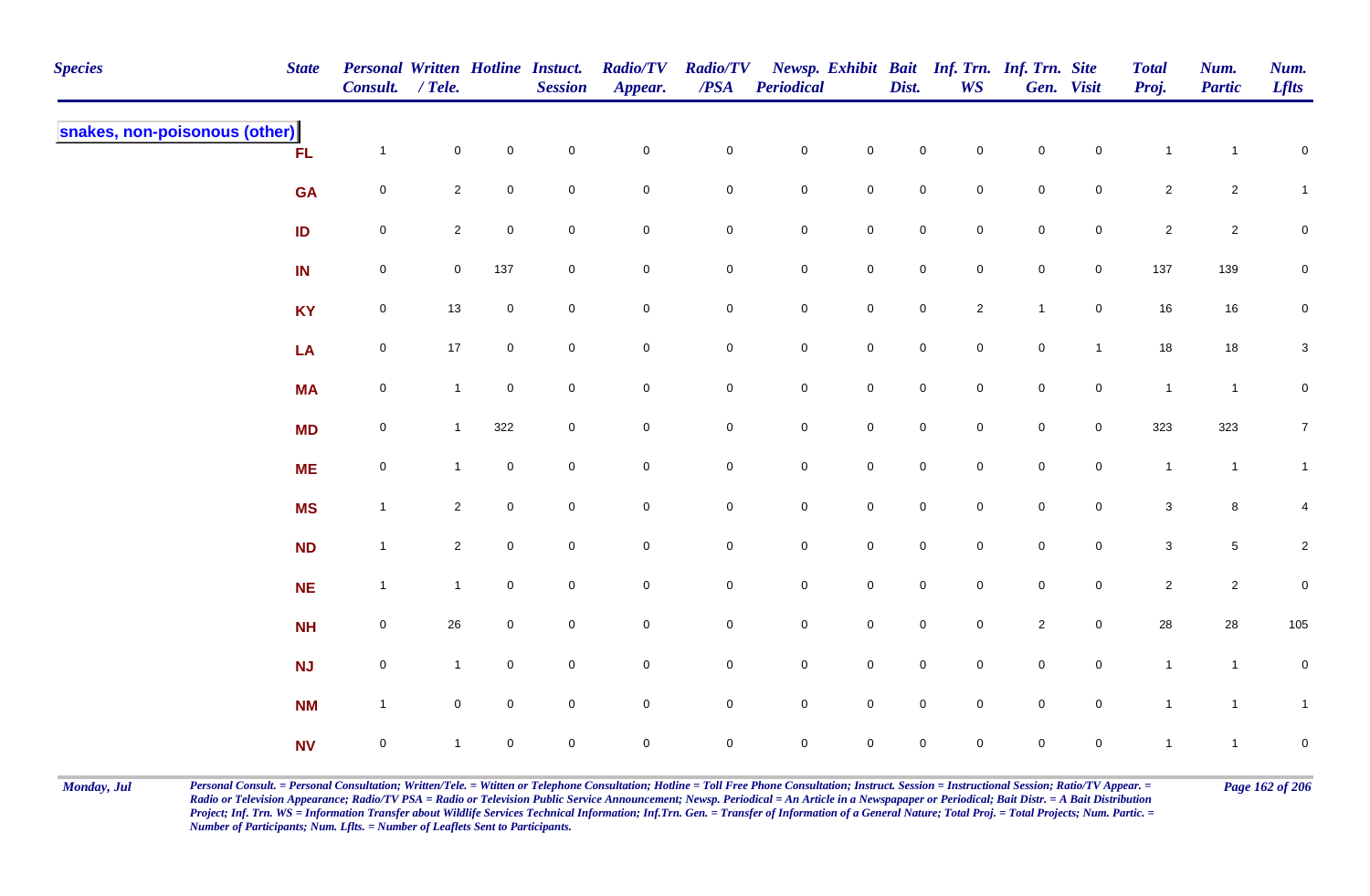| <b>Species</b>                | <b>State</b> | <b>Personal Written Hotline Instuct.</b><br>Consult. / Tele. |                |                     | <b>Session</b>      | <b>Radio/TV</b><br>Appear. | <b>Radio/TV</b><br>$\operatorname{\mathcal{PSA}}$ | <b>Periodical</b>   |                     | Dist.       | Newsp. Exhibit Bait Inf. Trn. Inf. Trn. Site<br><b>WS</b> |              | Gen. Visit          | <b>Total</b><br>Proj. | Num.<br><b>Partic</b> | Num.<br><b>Lflts</b> |
|-------------------------------|--------------|--------------------------------------------------------------|----------------|---------------------|---------------------|----------------------------|---------------------------------------------------|---------------------|---------------------|-------------|-----------------------------------------------------------|--------------|---------------------|-----------------------|-----------------------|----------------------|
| snakes, non-poisonous (other) | FL           | $\overline{1}$                                               | $\mathbf 0$    | $\mathsf{O}\xspace$ | $\pmb{0}$           | $\pmb{0}$                  | $\pmb{0}$                                         | $\pmb{0}$           | $\mathsf{O}\xspace$ | $\mathbf 0$ | $\mathbf 0$                                               | $\mathsf 0$  | $\mathbf 0$         | $\overline{1}$        | $\mathbf{1}$          | $\mathbf 0$          |
|                               | <b>GA</b>    | $\mathbf 0$                                                  | $\overline{2}$ | 0                   | $\mathbf 0$         | $\mathbf 0$                | $\mathbf 0$                                       | $\mathbf 0$         | $\mathbf 0$         | $\mathbf 0$ | $\mathbf 0$                                               | $\pmb{0}$    | 0                   | $\overline{2}$        | $\overline{a}$        | $\mathbf{1}$         |
|                               | ID           | $\mathbf 0$                                                  | $\overline{2}$ | $\mathsf{O}\xspace$ | $\overline{0}$      | $\mathbf 0$                | $\pmb{0}$                                         | $\pmb{0}$           | $\mathsf{O}\xspace$ | $\mathsf 0$ | $\mathbf 0$                                               | $\mathsf 0$  | $\mathbf 0$         | $\overline{2}$        | $\sqrt{2}$            | 0                    |
|                               | IN           | $\boldsymbol{0}$                                             | $\overline{0}$ | 137                 | $\mathbf 0$         | $\mathsf{O}\xspace$        | $\pmb{0}$                                         | $\mathbf 0$         | $\mathbf 0$         | $\mathbf 0$ | $\mathbf 0$                                               | $\pmb{0}$    | $\mathsf{O}\xspace$ | 137                   | 139                   | $\overline{0}$       |
|                               | <b>KY</b>    | $\mathbf 0$                                                  | 13             | $\mathbf 0$         | $\mathsf{O}\xspace$ | $\mathsf{O}\xspace$        | $\pmb{0}$                                         | $\mathbf 0$         | $\mathbf 0$         | $\pmb{0}$   | $\overline{2}$                                            | $\mathbf{1}$ | $\mathsf{O}$        | 16                    | 16                    | $\mathbf 0$          |
|                               | LA           | $\pmb{0}$                                                    | 17             | $\mathbf 0$         | $\overline{0}$      | $\mathsf{O}\xspace$        | $\pmb{0}$                                         | $\pmb{0}$           | $\mathbf 0$         | $\pmb{0}$   | $\overline{0}$                                            | $\pmb{0}$    | $\mathbf{1}$        | $18$                  | $18\,$                | $\mathbf{3}$         |
|                               | <b>MA</b>    | $\mathbf 0$                                                  | $\mathbf{1}$   | $\mathbf 0$         | $\overline{0}$      | $\mathbf 0$                | $\mathbf 0$                                       | $\pmb{0}$           | $\mathsf{O}\xspace$ | $\mathbf 0$ | $\mathbf 0$                                               | $\mathsf 0$  | $\mathbf 0$         | $\overline{1}$        | $\mathbf{1}$          | $\mathbf 0$          |
|                               | <b>MD</b>    | $\mathbf 0$                                                  | $\mathbf{1}$   | 322                 | $\overline{0}$      | $\mathbf 0$                | $\mathsf 0$                                       | $\mathbf 0$         | $\mathsf{O}\xspace$ | $\mathbf 0$ | $\mathbf 0$                                               | $\mathsf 0$  | $\mathbf 0$         | 323                   | 323                   | $\overline{7}$       |
|                               | <b>ME</b>    | $\mathbf 0$                                                  | $\mathbf{1}$   | $\mathbf 0$         | $\mathsf{O}\xspace$ | $\mathbf 0$                | $\mathbf 0$                                       | $\pmb{0}$           | $\mathsf{O}\xspace$ | $\mathbf 0$ | $\mathsf{O}\xspace$                                       | $\pmb{0}$    | $\mathsf{O}\xspace$ | $\overline{1}$        | $\mathbf{1}$          | $\mathbf{1}$         |
|                               | <b>MS</b>    | $\overline{1}$                                               | $\overline{2}$ | $\pmb{0}$           | $\mathbf 0$         | $\mathbf 0$                | $\mathbf 0$                                       | ${\bf 0}$           | $\mathbf 0$         | $\pmb{0}$   | $\overline{0}$                                            | $\pmb{0}$    | $\mathbf 0$         | $\mathbf{3}$          | $\bf 8$               | 4                    |
|                               | ND           | $\overline{1}$                                               | $\overline{2}$ | $\mathbf 0$         | $\mathbf 0$         | $\mathbf 0$                | $\mathbf 0$                                       | $\mathbf 0$         | $\mathbf 0$         | $\mathbf 0$ | $\overline{0}$                                            | $\pmb{0}$    | $\mathbf 0$         | $\mathbf{3}$          | $\sqrt{5}$            | $\overline{a}$       |
|                               | <b>NE</b>    | $\overline{1}$                                               | $\mathbf{1}$   | $\mathbf 0$         | $\mathbf 0$         | $\mathsf 0$                | $\mathbf 0$                                       | $\mathbf 0$         | $\mathbf 0$         | $\mathbf 0$ | $\mathbf{0}$                                              | $\pmb{0}$    | $\mathbf 0$         | $\overline{2}$        | $\overline{a}$        | $\pmb{0}$            |
|                               | <b>NH</b>    | $\mathbf 0$                                                  | 26             | $\mathbf 0$         | $\overline{0}$      | $\mathbf 0$                | $\mathbf 0$                                       | $\mathsf{O}\xspace$ | $\mathsf 0$         | $\mathbf 0$ | $\overline{0}$                                            | $\sqrt{2}$   | $\mathbf 0$         | $28\,$                | 28                    | 105                  |
|                               | <b>NJ</b>    | $\pmb{0}$                                                    | $\mathbf{1}$   | $\mathbf 0$         | $\mathsf{O}\xspace$ | $\mathsf{O}\xspace$        | $\pmb{0}$                                         | $\pmb{0}$           | $\mathbf 0$         | $\mathbf 0$ | $\overline{0}$                                            | $\pmb{0}$    | $\mathsf{O}\xspace$ | $\mathbf{1}$          | $\mathbf{1}$          | $\mathbf 0$          |
|                               | <b>NM</b>    | $\overline{1}$                                               | $\mathbf 0$    | $\mathbf 0$         | $\mathsf{O}\xspace$ | $\mathsf{O}\xspace$        | $\mathbf 0$                                       | $\mathbf 0$         | $\mathsf{O}\xspace$ | $\mathbf 0$ | $\overline{0}$                                            | $\pmb{0}$    | $\mathsf{O}\xspace$ | $\mathbf{1}$          | $\mathbf{1}$          | $\overline{1}$       |
|                               | <b>NV</b>    | $\mathsf{O}\xspace$                                          | $\mathbf{1}$   | $\mathbf 0$         | $\mathbf 0$         | $\pmb{0}$                  | $\mathbf 0$                                       | $\mathsf{O}\xspace$ | $\pmb{0}$           | $\mathbf 0$ | $\mathbf 0$                                               | $\mathsf 0$  | $\mathbf 0$         | $\overline{1}$        | $\mathbf{1}$          | $\mathbf 0$          |

Monday, Jul Personal Consult. = Personal Consultation; Written/Tele. = Witten or Telephone Consultation; Hotline = Toll Free Phone Consultation; Instruct. Session = Instructional Session; Ratio/TV Appear. = Page 162 of 206 *Radio or Television Appearance; Radio/TV PSA = Radio or Television Public Service Announcement; Newsp. Periodical = An Article in a Newspapaper or Periodical; Bait Distr. = A Bait Distribution*  Project; Inf. Trn. WS = Information Transfer about Wildlife Services Technical Information; Inf.Trn. Gen. = Transfer of Information of a General Nature; Total Proj. = Total Projects; Num. Partic. = *Number of Participants; Num. Lflts. = Number of Leaflets Sent to Participants.*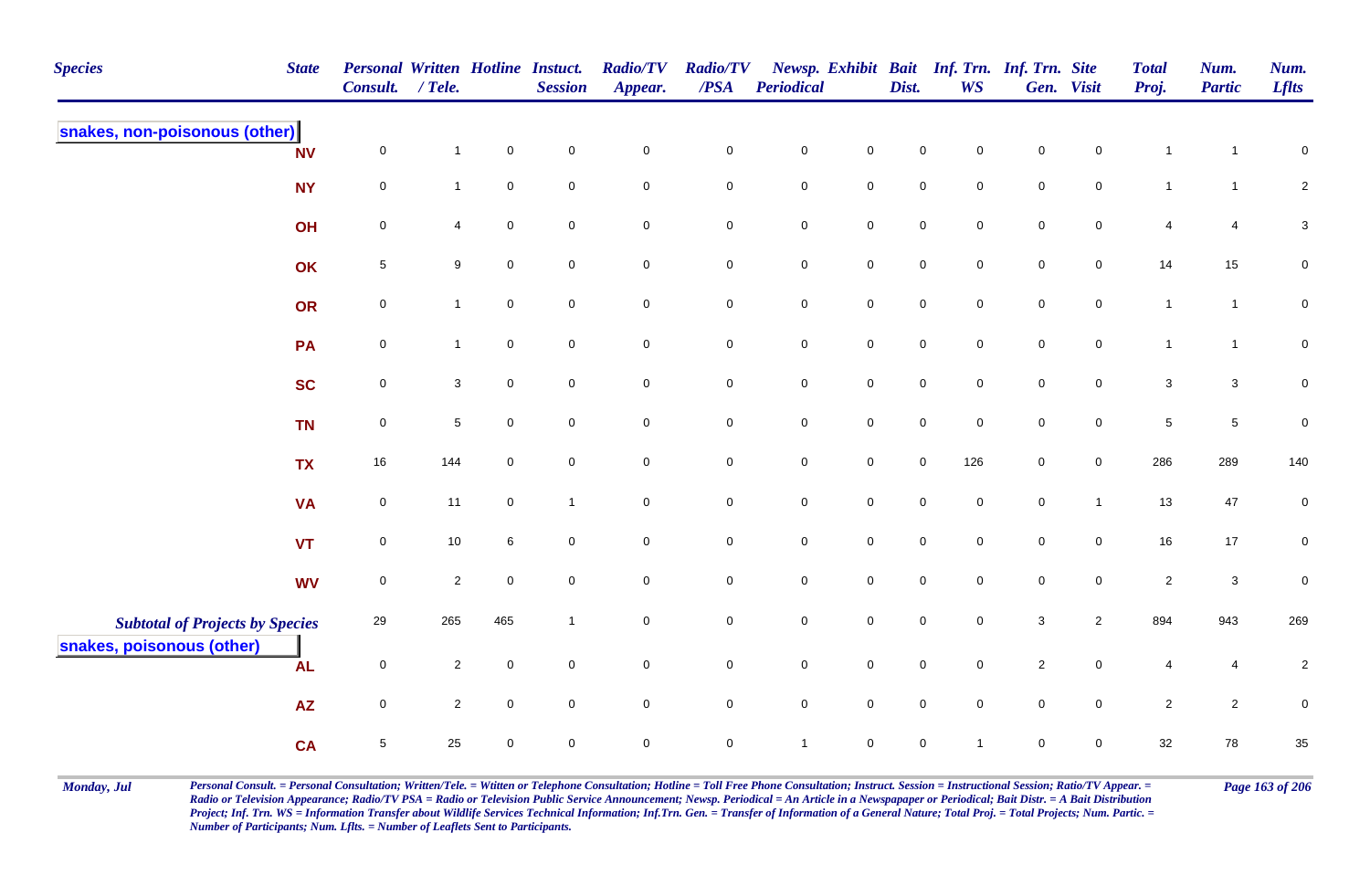| <b>Species</b>                                                      | <b>State</b> | Personal Written Hotline Instuct.<br><b>Consult.</b> | $/$ Tele.      |                     | <b>Session</b>      | <b>Radio/TV</b><br>Appear. | <b>Radio/TV</b><br>$\overline{PSA}$ | Periodical   |                     | Dist.       | <b>WS</b>      | Newsp. Exhibit Bait Inf. Trn. Inf. Trn. Site | Gen. Visit     | <b>Total</b><br>Proj. | Num.<br><b>Partic</b> | Num.<br><b>Lflts</b>      |
|---------------------------------------------------------------------|--------------|------------------------------------------------------|----------------|---------------------|---------------------|----------------------------|-------------------------------------|--------------|---------------------|-------------|----------------|----------------------------------------------|----------------|-----------------------|-----------------------|---------------------------|
| snakes, non-poisonous (other)                                       | <b>NV</b>    | $\mathbf 0$                                          | $\mathbf{1}$   | $\overline{0}$      | $\mathbf 0$         | $\mathbf 0$                | $\mathbf 0$                         | $\pmb{0}$    | $\mathbf 0$         | $\mathsf 0$ | $\mathbf 0$    | $\mathsf 0$                                  | $\mathbf 0$    | $\mathbf{1}$          | $\mathbf 1$           | $\pmb{0}$                 |
|                                                                     | <b>NY</b>    | $\mathbf 0$                                          | $\mathbf{1}$   | $\overline{0}$      | $\mathbf 0$         | $\mathbf 0$                | $\overline{0}$                      | $\mathsf 0$  | $\overline{0}$      | $\mathsf 0$ | $\mathbf 0$    | $\mathsf 0$                                  | $\overline{0}$ | $\overline{1}$        | $\mathbf{1}$          | $\overline{2}$            |
|                                                                     | OH           | $\mathbf 0$                                          | 4              | $\overline{0}$      | $\mathbf 0$         | $\mathbf 0$                | $\mathbf 0$                         | $\pmb{0}$    | $\mathsf{O}\xspace$ | $\mathsf 0$ | $\mathbf 0$    | $\mathsf 0$                                  | $\mathbf 0$    | $\overline{4}$        | 4                     | $\ensuremath{\mathsf{3}}$ |
|                                                                     | OK           | $\sqrt{5}$                                           | 9              | $\overline{0}$      | $\mathbf 0$         | $\mathbf 0$                | $\mathbf 0$                         | $\pmb{0}$    | $\mathbf 0$         | $\mathsf 0$ | $\mathbf 0$    | $\mathsf 0$                                  | $\overline{0}$ | 14                    | 15                    | $\mathbf 0$               |
|                                                                     | <b>OR</b>    | 0                                                    | $\mathbf{1}$   | $\overline{0}$      | $\mathbf 0$         | $\mathbf 0$                | $\mathbf 0$                         | $\pmb{0}$    | $\overline{0}$      | $\mathbf 0$ | $\mathbf 0$    | $\mathsf 0$                                  | $\overline{0}$ | $\overline{1}$        | $\mathbf{1}$          | $\pmb{0}$                 |
|                                                                     | PA           | $\mathbf 0$                                          | $\mathbf{1}$   | $\overline{0}$      | $\mathbf 0$         | $\mathbf 0$                | $\overline{0}$                      | $\mathsf 0$  | $\mathsf 0$         | $\mathsf 0$ | $\mathbf 0$    | $\mathsf 0$                                  | $\overline{0}$ | $\overline{1}$        | $\mathbf{1}$          | $\mathbf 0$               |
|                                                                     | <b>SC</b>    | $\overline{0}$                                       | $\mathbf{3}$   | $\overline{0}$      | $\mathbf 0$         | $\overline{0}$             | $\mathsf{O}$                        | $\mathbf 0$  | $\overline{0}$      | $\mathsf 0$ | $\overline{0}$ | $\mathsf 0$                                  | $\overline{0}$ | $\mathbf{3}$          | $\mathbf{3}$          | $\mathbf 0$               |
|                                                                     | <b>TN</b>    | $\mathsf{O}\xspace$                                  | $\sqrt{5}$     | $\mathsf{O}\xspace$ | $\mathsf{O}\xspace$ | $\mathbf 0$                | $\mathbf 0$                         | $\pmb{0}$    | $\mathsf 0$         | $\pmb{0}$   | $\mathbf 0$    | $\pmb{0}$                                    | $\mathbf 0$    | $\sqrt{5}$            | $\overline{5}$        | $\pmb{0}$                 |
|                                                                     | <b>TX</b>    | 16                                                   | 144            | $\mathsf{O}\xspace$ | $\mathsf{O}\xspace$ | $\mathsf{O}\xspace$        | $\mathbf 0$                         | $\pmb{0}$    | $\mathsf 0$         | $\pmb{0}$   | 126            | $\pmb{0}$                                    | $\mathbf 0$    | 286                   | 289                   | 140                       |
|                                                                     | <b>VA</b>    | $\mathsf{O}\xspace$                                  | 11             | $\mathsf{O}\xspace$ | $\mathbf{1}$        | $\mathsf{O}\xspace$        | $\mathsf{O}\xspace$                 | $\pmb{0}$    | $\mathsf{O}\xspace$ | $\mathbf 0$ | $\mathbf 0$    | $\pmb{0}$                                    | $\mathbf{1}$   | 13                    | 47                    | $\pmb{0}$                 |
|                                                                     | <b>VT</b>    | $\mathbf 0$                                          | $10\,$         | 6                   | $\mathbf 0$         | $\mathsf{O}\xspace$        | $\mathbf 0$                         | $\pmb{0}$    | $\mathbf 0$         | $\mathbf 0$ | $\Omega$       | $\mathbf 0$                                  | $\mathbf 0$    | 16                    | $17$                  | $\overline{0}$            |
|                                                                     | <b>WV</b>    | $\mathbf 0$                                          | $\overline{2}$ | $\mathsf{O}\xspace$ | $\mathbf 0$         | $\mathbf 0$                | $\mathbf 0$                         | $\pmb{0}$    | $\mathbf 0$         | $\mathbf 0$ | $\mathbf 0$    | $\pmb{0}$                                    | $\mathbf 0$    | $\overline{c}$        | $\mathsf 3$           | $\pmb{0}$                 |
| <b>Subtotal of Projects by Species</b><br>snakes, poisonous (other) |              | 29                                                   | 265            | 465                 | $\mathbf{1}$        | $\mathsf{O}\xspace$        | $\pmb{0}$                           | $\pmb{0}$    | $\pmb{0}$           | $\mathbf 0$ | $\mathbf 0$    | 3                                            | $\overline{2}$ | 894                   | 943                   | 269                       |
|                                                                     | <b>AL</b>    | $\mathbf 0$                                          | $\overline{2}$ | $\mathsf 0$         | $\mathbf 0$         | $\overline{0}$             | $\overline{0}$                      | $\mathsf 0$  | $\overline{0}$      | $\mathsf 0$ | $\mathbf 0$    | $\sqrt{2}$                                   | $\overline{0}$ | 4                     | 4                     | $\sqrt{2}$                |
|                                                                     | <b>AZ</b>    | $\mathbf 0$                                          | $\overline{2}$ | $\mathsf{O}\xspace$ | $\mathsf{O}\xspace$ | $\mathsf{O}\xspace$        | $\mathsf 0$                         | $\pmb{0}$    | $\mathsf 0$         | $\pmb{0}$   | $\mathbf 0$    | $\pmb{0}$                                    | $\mathbf 0$    | $\overline{2}$        | $\overline{c}$        | $\pmb{0}$                 |
|                                                                     | <b>CA</b>    | $5\phantom{.0}$                                      | 25             | $\mathsf{O}\xspace$ | $\mathsf{O}\xspace$ | $\mathsf{O}\xspace$        | $\mathsf{O}\xspace$                 | $\mathbf{1}$ | $\mathsf{O}\xspace$ | $\pmb{0}$   | 1              | $\mathsf 0$                                  | $\mathbf 0$    | 32                    | 78                    | $35\,$                    |

Monday, Jul Personal Consult. = Personal Consultation; Written/Tele. = Witten or Telephone Consultation; Hotline = Toll Free Phone Consultation; Instruct. Session = Instructional Session; Ratio/TV Appear. = Page 163 of 206 *Radio or Television Appearance; Radio/TV PSA = Radio or Television Public Service Announcement; Newsp. Periodical = An Article in a Newspapaper or Periodical; Bait Distr. = A Bait Distribution*  Project; Inf. Trn. WS = Information Transfer about Wildlife Services Technical Information; Inf.Trn. Gen. = Transfer of Information of a General Nature; Total Proj. = Total Projects; Num. Partic. = *Number of Participants; Num. Lflts. = Number of Leaflets Sent to Participants.*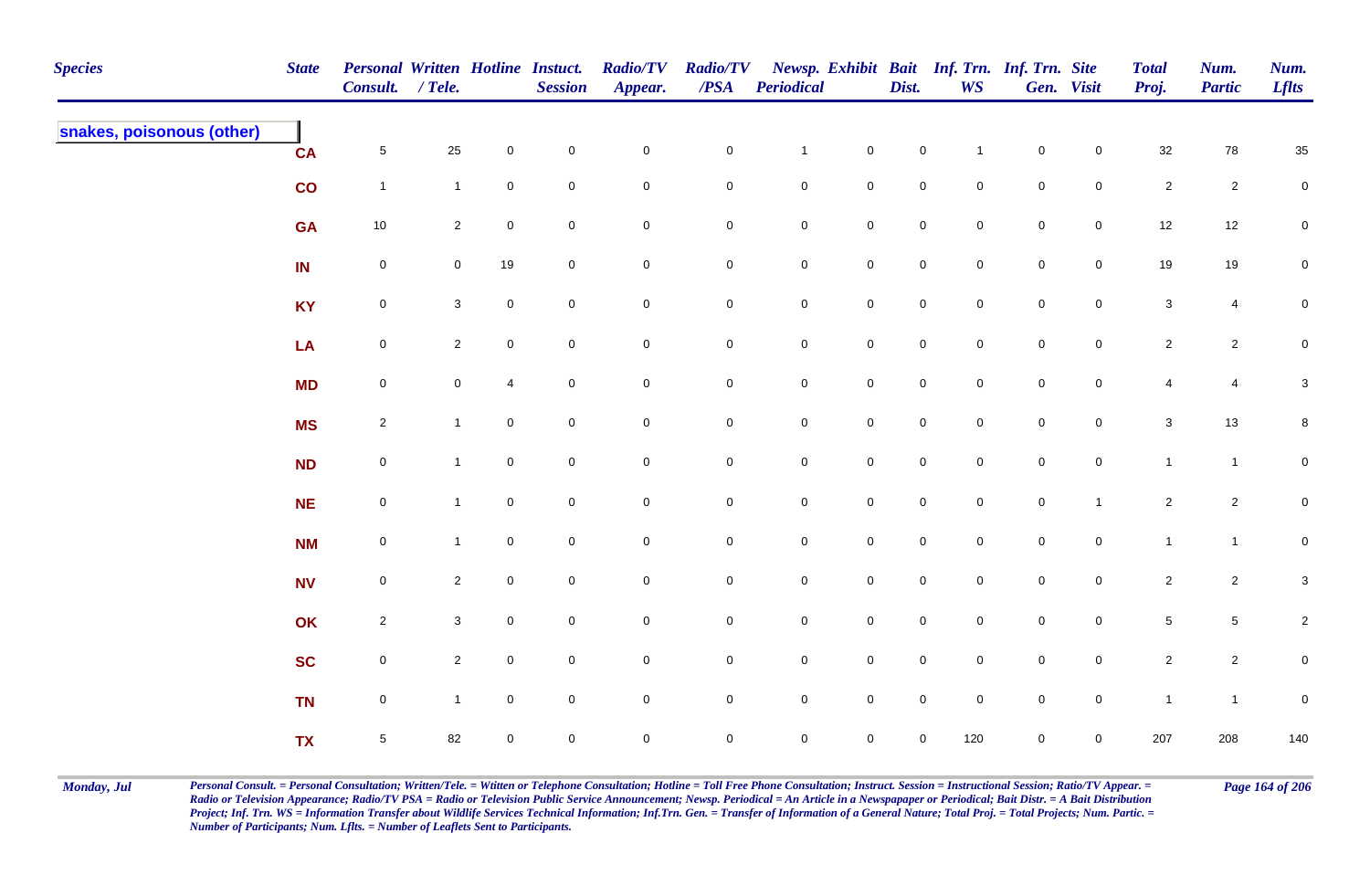| <b>Species</b>            | <b>State</b> | Personal Written Hotline Instuct.<br>Consult. / Tele. |                |             | <b>Session</b> | <b>Radio/TV</b><br>Appear. | <b>Radio/TV</b><br>$\overline{PSA}$ | <b>Periodical</b>   |                     | Dist.               | <b>WS</b>           | Newsp. Exhibit Bait Inf. Trn. Inf. Trn. Site | Gen. Visit          | <b>Total</b><br>Proj. | Num.<br><b>Partic</b> | Num.<br><b>Lflts</b>      |
|---------------------------|--------------|-------------------------------------------------------|----------------|-------------|----------------|----------------------------|-------------------------------------|---------------------|---------------------|---------------------|---------------------|----------------------------------------------|---------------------|-----------------------|-----------------------|---------------------------|
| snakes, poisonous (other) | <b>CA</b>    | $\overline{5}$                                        | 25             | $\mathbf 0$ | $\mathbf 0$    | $\mathbf 0$                | $\mathbf 0$                         | $\mathbf{1}$        | $\mathbf 0$         | $\mathbf 0$         | $\mathbf{1}$        | $\mathbf 0$                                  | $\mathbf 0$         | $32\,$                | 78                    | $35\,$                    |
|                           | co           | $\overline{1}$                                        | $\mathbf{1}$   | $\pmb{0}$   | $\pmb{0}$      | $\mathbf 0$                | $\pmb{0}$                           | $\mathbf 0$         | $\mathbf 0$         | $\pmb{0}$           | $\mathbf 0$         | $\mathbf 0$                                  | $\mathsf{O}\xspace$ | $\sqrt{2}$            | $\overline{c}$        | $\pmb{0}$                 |
|                           | <b>GA</b>    | $10\,$                                                | $\overline{2}$ | $\pmb{0}$   | $\pmb{0}$      | $\mathbf 0$                | $\pmb{0}$                           | $\mathbf 0$         | $\mathbf 0$         | $\mathbf 0$         | $\mathsf{O}\xspace$ | $\mathbf 0$                                  | $\mathsf{O}\xspace$ | $12$                  | $12\,$                | $\overline{0}$            |
|                           | IN           | $\mathbf 0$                                           | $\mathbf 0$    | 19          | $\mathbf 0$    | $\mathbf 0$                | 0                                   | $\mathbf 0$         | $\mathbf 0$         | $\mathbf 0$         | $\mathbf 0$         | $\mathbf 0$                                  | $\mathbf 0$         | 19                    | 19                    | $\mathbf 0$               |
|                           | <b>KY</b>    | $\mathbf 0$                                           | $\mathbf{3}$   | $\mathbf 0$ | $\overline{0}$ | $\mathbf 0$                | $\mathbf 0$                         | $\mathsf{O}\xspace$ | $\mathbf 0$         | $\mathsf{O}\xspace$ | $\overline{0}$      | $\mathbf 0$                                  | $\mathbf 0$         | $\mathbf{3}$          | $\overline{4}$        | $\mathbf 0$               |
|                           | LA           | $\mathbf 0$                                           | $\overline{2}$ | $\mathbf 0$ | $\mathbf 0$    | $\mathsf{O}\xspace$        | $\mathbf 0$                         | $\mathsf{O}\xspace$ | $\mathbf 0$         | $\mathsf{O}\xspace$ | $\mathsf{O}\xspace$ | $\mathbf 0$                                  | $\mathbf 0$         | $\overline{2}$        | $\overline{2}$        | $\mathbf 0$               |
|                           | <b>MD</b>    | $\mathsf{O}\xspace$                                   | $\overline{0}$ | 4           | $\mathbf 0$    | $\mathsf{O}\xspace$        | $\mathbf 0$                         | $\mathsf{O}\xspace$ | $\mathbf 0$         | $\mathsf{O}\xspace$ | $\mathsf{O}\xspace$ | $\mathsf{O}\xspace$                          | $\mathsf{O}\xspace$ | $\overline{4}$        | $\overline{4}$        | $\ensuremath{\mathsf{3}}$ |
|                           | <b>MS</b>    | $\overline{2}$                                        | $\mathbf{1}$   | $\mathbf 0$ | $\mathbf 0$    | $\mathbf 0$                | $\mathbf 0$                         | $\mathbf 0$         | $\overline{0}$      | $\mathsf{O}\xspace$ | $\mathsf{O}\xspace$ | $\mathsf{O}\xspace$                          | $\mathsf{O}\xspace$ | $\mathbf{3}$          | $13$                  | 8                         |
|                           | <b>ND</b>    | $\mathbf 0$                                           |                | $\mathbf 0$ | $\mathbf 0$    | $\mathbf 0$                | $\mathbf 0$                         | $\mathbf 0$         | $\mathbf 0$         | $\mathbf 0$         | $\mathbf 0$         | $\mathbf 0$                                  | $\mathbf 0$         | $\mathbf{1}$          | $\mathbf{1}$          | $\mathbf 0$               |
|                           | <b>NE</b>    | $\mathsf{O}\xspace$                                   | $\mathbf{1}$   | $\pmb{0}$   | $\mathbf 0$    | $\mathsf{O}\xspace$        | $\pmb{0}$                           | $\mathbf 0$         | $\mathbf 0$         | $\mathbf 0$         | $\mathsf{O}\xspace$ | $\mathbf 0$                                  | $\mathbf{1}$        | $\sqrt{2}$            | $\overline{c}$        | $\mathbf 0$               |
|                           | <b>NM</b>    | $\mathbf 0$                                           | $\mathbf{1}$   | $\pmb{0}$   | $\mathbf 0$    | $\mathbf 0$                | $\mathbf 0$                         | $\mathbf 0$         | $\mathbf 0$         | $\mathbf 0$         | $\mathsf{O}\xspace$ | $\mathbf 0$                                  | $\mathbf 0$         | $\mathbf{1}$          | $\overline{1}$        | $\mathbf 0$               |
|                           | <b>NV</b>    | $\mathbf 0$                                           | $\overline{2}$ | $\mathbf 0$ | $\mathbf 0$    | $\mathbf 0$                | 0                                   | $\mathbf 0$         | $\mathbf 0$         | $\mathbf 0$         | $\overline{0}$      | $\mathbf 0$                                  | $\mathbf 0$         | $\overline{2}$        | $\overline{c}$        | 3                         |
|                           | OK           | $\overline{2}$                                        | $\mathbf{3}$   | 0           | $\overline{0}$ | $\mathsf 0$                | 0                                   | $\mathsf{O}$        | $\mathbf 0$         | $\mathbf 0$         | $\overline{0}$      | $\mathbf 0$                                  | $\mathbf 0$         | $\overline{5}$        | $\sqrt{5}$            | $\overline{c}$            |
|                           | <b>SC</b>    | $\mathbf 0$                                           | $\overline{2}$ | $\mathbf 0$ | $\mathbf 0$    | $\mathsf{O}\xspace$        | $\mathbf 0$                         | $\mathsf{O}$        | $\mathbf 0$         | $\mathsf{O}\xspace$ | $\mathbf 0$         | $\mathsf{O}\xspace$                          | $\overline{0}$      | $\overline{2}$        | $\overline{2}$        | $\mathbf 0$               |
|                           | <b>TN</b>    | $\mathsf{O}\xspace$                                   | $\mathbf{1}$   | $\mathbf 0$ | $\mathbf 0$    | $\pmb{0}$                  | $\mathbf 0$                         | $\mathsf{O}$        | $\mathsf{O}\xspace$ | $\mathsf{O}\xspace$ | $\mathsf{O}\xspace$ | $\mathsf{O}\xspace$                          | $\mathsf{O}\xspace$ | $\mathbf{1}$          | $\overline{1}$        | $\pmb{0}$                 |
|                           | <b>TX</b>    | $\sqrt{5}$                                            | 82             | $\mathbf 0$ | $\mathsf 0$    | $\mathbf 0$                | $\mathbf 0$                         | $\overline{0}$      | $\mathsf{O}\xspace$ | 0                   | 120                 | $\mathbf 0$                                  | $\mathbf 0$         | 207                   | 208                   | $140\,$                   |

Monday, Jul Personal Consult. = Personal Consultation; Written/Tele. = Witten or Telephone Consultation; Hotline = Toll Free Phone Consultation; Instruct. Session = Instructional Session; Ratio/TV Appear. = Page 164 of 206 *Radio or Television Appearance; Radio/TV PSA = Radio or Television Public Service Announcement; Newsp. Periodical = An Article in a Newspapaper or Periodical; Bait Distr. = A Bait Distribution*  Project; Inf. Trn. WS = Information Transfer about Wildlife Services Technical Information; Inf.Trn. Gen. = Transfer of Information of a General Nature; Total Proj. = Total Projects; Num. Partic. = *Number of Participants; Num. Lflts. = Number of Leaflets Sent to Participants.*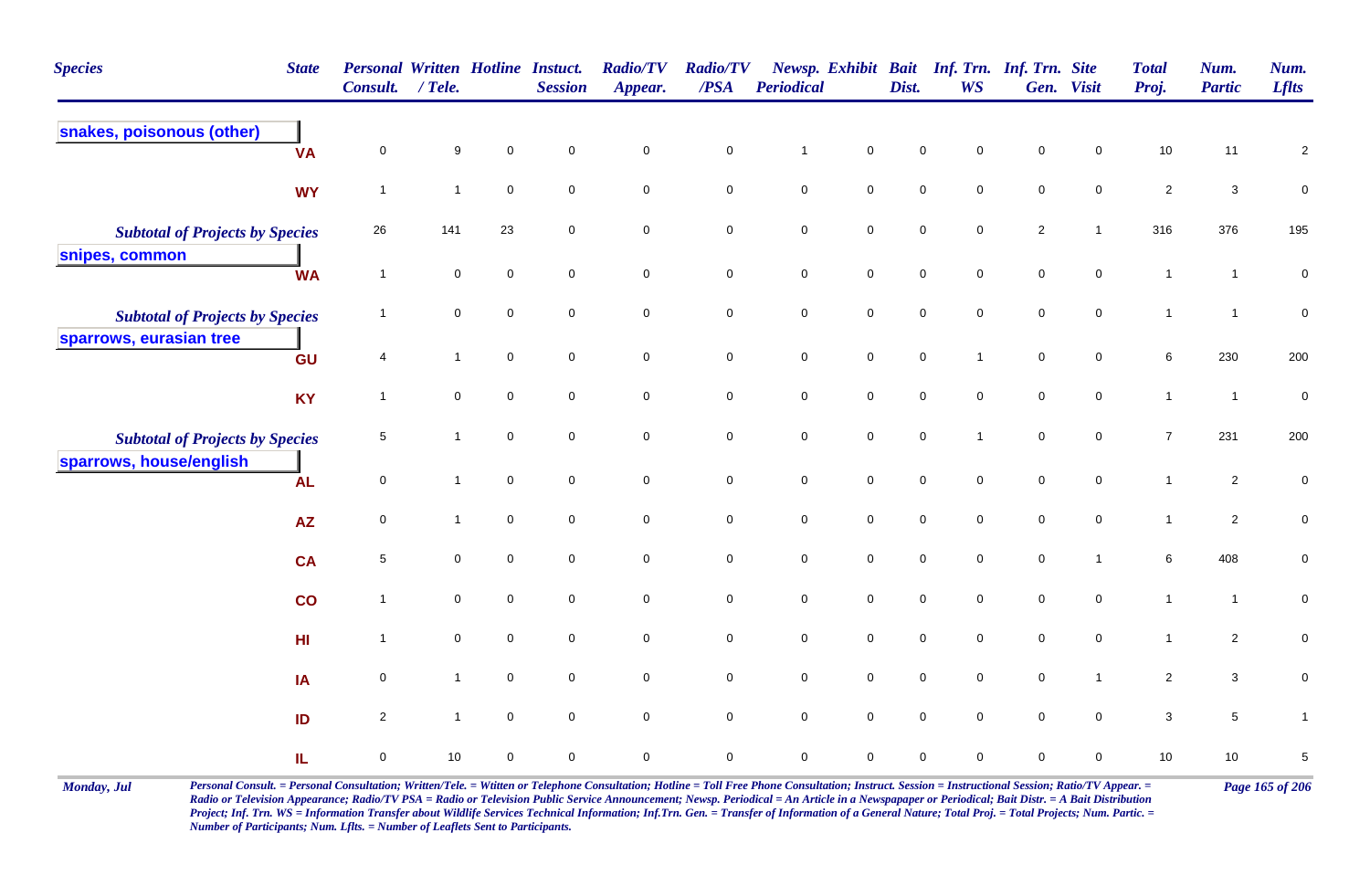| <b>Species</b><br><b>State</b>         |                             | Personal Written Hotline Instuct.<br>Consult. / Tele. |                     | <b>Session</b> | <b>Radio/TV</b><br>Appear. | <b>Radio/TV</b><br>$\boldsymbol{PSA}$ | Periodical   |                     | Dist.               | <b>WS</b>           | Newsp. Exhibit Bait Inf. Trn. Inf. Trn. Site | Gen. Visit          | <b>Total</b><br>Proj. | Num.<br><b>Partic</b> | Num.<br><b>Lflts</b> |
|----------------------------------------|-----------------------------|-------------------------------------------------------|---------------------|----------------|----------------------------|---------------------------------------|--------------|---------------------|---------------------|---------------------|----------------------------------------------|---------------------|-----------------------|-----------------------|----------------------|
| snakes, poisonous (other)              | 0<br><b>VA</b>              | 9                                                     | $\mathbf 0$         | $\mathbf 0$    | $\mathbf 0$                | $\mathbf 0$                           | $\mathbf{1}$ | $\mathbf 0$         | $\mathbf 0$         | 0                   | $\pmb{0}$                                    | $\mathbf 0$         | 10                    | 11                    | $\overline{c}$       |
|                                        | <b>WY</b><br>$\overline{1}$ | $\mathbf{1}$                                          | $\mathbf 0$         | $\mathbf 0$    | $\pmb{0}$                  | $\pmb{0}$                             | $\pmb{0}$    | $\mathbf 0$         | $\mathbf 0$         | $\mathbf 0$         | $\mathbf 0$                                  | $\mathsf{O}\xspace$ | $\sqrt{2}$            | $\mathbf{3}$          | $\pmb{0}$            |
| <b>Subtotal of Projects by Species</b> | 26                          | 141                                                   | 23                  | 0              | $\pmb{0}$                  | $\mathbf 0$                           | $\pmb{0}$    | $\mathbf 0$         | $\mathsf{O}\xspace$ | $\mathbf 0$         | $\sqrt{2}$                                   | $\mathbf{1}$        | 316                   | 376                   | 195                  |
| snipes, common                         | <b>WA</b><br>$\overline{1}$ | $\mathbf 0$                                           | 0                   | $\mathbf 0$    | 0                          | $\mathbf 0$                           | $\mathsf 0$  | $\overline{0}$      | $\mathsf{O}\xspace$ | $\mathbf 0$         | $\mathbf 0$                                  | $\mathbf 0$         | $\mathbf{1}$          | $\mathbf{1}$          | $\pmb{0}$            |
| <b>Subtotal of Projects by Species</b> | $\mathbf 1$                 | $\mathbf 0$                                           | $\mathsf{O}\xspace$ | $\mathbf 0$    | $\mathsf{O}\xspace$        | $\mathsf{O}\xspace$                   | $\pmb{0}$    | $\mathsf 0$         | $\mathbf 0$         | $\mathsf{O}\xspace$ | $\mathbf 0$                                  | $\mathsf{O}\xspace$ | $\mathbf{1}$          | $\overline{1}$        | $\pmb{0}$            |
| sparrows, eurasian tree                | GU<br>4                     | $\mathbf{1}$                                          | $\mathbf 0$         | $\mathbf 0$    | 0                          | $\mathsf 0$                           | $\pmb{0}$    | $\mathsf 0$         | $\pmb{0}$           | $\overline{1}$      | $\pmb{0}$                                    | $\mathbf 0$         | 6                     | 230                   | 200                  |
|                                        | <b>KY</b><br>$\overline{1}$ | $\mathsf{O}\xspace$                                   | $\pmb{0}$           | $\mathbf 0$    | 0                          | $\mathbf 0$                           | $\mathsf 0$  | $\mathsf{O}\xspace$ | $\mathsf{O}\xspace$ | 0                   | $\mathbf 0$                                  | $\mathsf{O}\xspace$ | $\mathbf{1}$          | $\overline{1}$        | $\pmb{0}$            |
| <b>Subtotal of Projects by Species</b> | 5                           | $\mathbf{1}$                                          | 0                   | $\mathbf 0$    | $\mathbf 0$                | $\mathbf 0$                           | $\mathbf 0$  | $\mathbf 0$         | $\mathsf{O}\xspace$ | $\mathbf{1}$        | $\pmb{0}$                                    | $\mathbf 0$         | $\overline{7}$        | 231                   | 200                  |
| sparrows, house/english                | $\mathbf 0$<br><b>AL</b>    | $\mathbf{1}$                                          | $\mathbf 0$         | $\mathbf 0$    | $\mathbf 0$                | $\mathsf 0$                           | $\mathsf 0$  | $\mathbf 0$         | $\mathsf{O}\xspace$ | $\mathbf 0$         | $\mathsf{O}\xspace$                          | $\overline{0}$      | $\mathbf{1}$          | $\overline{2}$        | $\pmb{0}$            |
|                                        | $\mathbf 0$<br><b>AZ</b>    | $\mathbf{1}$                                          | $\mathbf 0$         | $\mathsf 0$    | $\mathbf 0$                | $\mathbf 0$                           | $\pmb{0}$    | $\mathbf 0$         | $\mathbf 0$         | $\mathbf 0$         | $\pmb{0}$                                    | $\mathbf 0$         | $\mathbf{1}$          | $\overline{2}$        | $\pmb{0}$            |
|                                        | 5<br><b>CA</b>              | $\mathbf 0$                                           | $\mathbf 0$         | $\mathbf 0$    | 0                          | $\overline{0}$                        | $\mathsf 0$  | $\overline{0}$      | $\mathbf 0$         | $\mathbf 0$         | $\mathbf 0$                                  | $\overline{1}$      | 6                     | 408                   | $\pmb{0}$            |
|                                        | co<br>$\overline{1}$        | $\mathsf{O}\xspace$                                   | $\pmb{0}$           | $\mathbf 0$    | $\mathsf{O}\xspace$        | $\mathsf{O}\xspace$                   | $\pmb{0}$    | $\mathbf 0$         | $\mathbf 0$         | $\mathsf{O}\xspace$ | $\mathbf 0$                                  | $\mathsf{O}\xspace$ | $\mathbf{1}$          | $\mathbf{1}$          | $\pmb{0}$            |
| H <sub>II</sub>                        | $\overline{1}$              | $\pmb{0}$                                             | $\mathbf 0$         | $\mathbf 0$    | $\pmb{0}$                  | $\pmb{0}$                             | $\pmb{0}$    | $\mathbf 0$         | $\pmb{0}$           | $\mathbf 0$         | $\mathbf 0$                                  | $\mathsf{O}\xspace$ | $\mathbf{1}$          | $\overline{c}$        | $\pmb{0}$            |
| IA                                     | 0                           | $\mathbf{1}$                                          | 0                   | $\mathbf 0$    | $\mathsf{O}\xspace$        | $\mathsf{O}\xspace$                   | $\pmb{0}$    | $\mathbf 0$         | $\mathbf 0$         | $\mathbf 0$         | $\mathbf 0$                                  | $\mathbf{1}$        | $\overline{2}$        | $\mathbf{3}$          | $\pmb{0}$            |
| ID                                     | $\overline{a}$              | $\mathbf{1}$                                          | $\mathbf 0$         | $\mathbf 0$    | $\mathbf 0$                | $\overline{0}$                        | $\pmb{0}$    | $\mathbf 0$         | $\pmb{0}$           | $\mathbf 0$         | $\pmb{0}$                                    | $\overline{0}$      | $\mathbf{3}$          | $\sqrt{5}$            | $\mathbf{1}$         |
| IL                                     | 0                           | 10                                                    | 0                   | $\mathbf 0$    | 0                          | $\mathbf 0$                           | $\mathbf 0$  | $\mathbf 0$         | $\mathbf 0$         | 0                   | $\mathbf 0$                                  | $\mathbf 0$         | $10\,$                | $10\,$                | $\,$ 5 $\,$          |

Monday, Jul Personal Consult. = Personal Consultation; Written/Tele. = Witten or Telephone Consultation; Hotline = Toll Free Phone Consultation; Instruct. Session = Instructional Session; Ratio/TV Appear. = Page 165 of 206 *Radio or Television Appearance; Radio/TV PSA = Radio or Television Public Service Announcement; Newsp. Periodical = An Article in a Newspapaper or Periodical; Bait Distr. = A Bait Distribution*  Project; Inf. Trn. WS = Information Transfer about Wildlife Services Technical Information; Inf.Trn. Gen. = Transfer of Information of a General Nature; Total Proj. = Total Projects; Num. Partic. = *Number of Participants; Num. Lflts. = Number of Leaflets Sent to Participants.*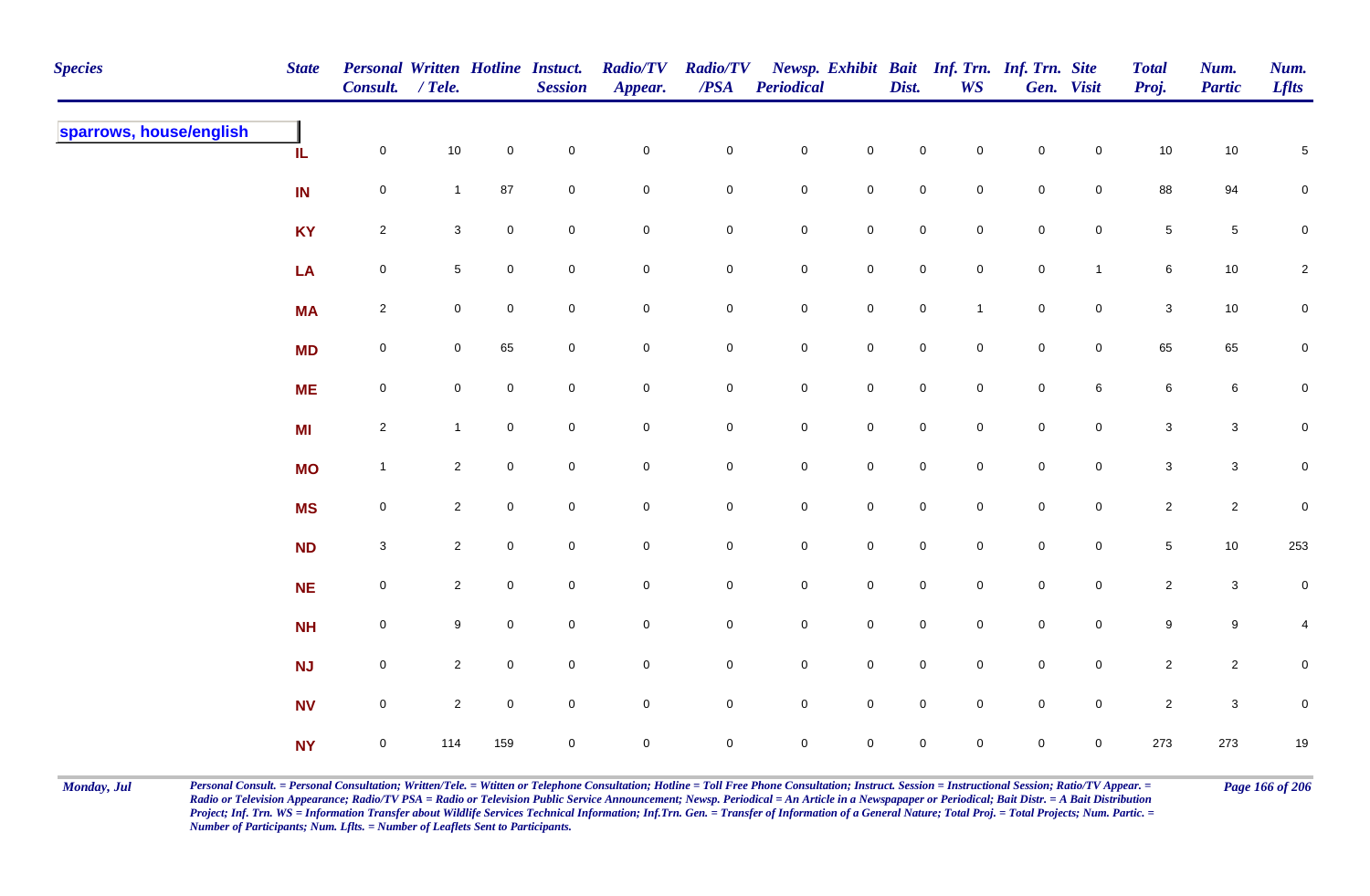| <b>Species</b>          | <b>State</b> | Personal Written Hotline Instuct.<br>Consult. / Tele. |                 |                     | <b>Session</b> | <b>Radio/TV</b><br>Appear. | <b>Radio/TV</b><br>$\overline{PSA}$ | Periodical     |                     | Dist.               | <b>WS</b>      | Newsp. Exhibit Bait Inf. Trn. Inf. Trn. Site | Gen. Visit     | <b>Total</b><br>Proj. | Num.<br><b>Partic</b> | Num.<br><b>Lflts</b> |
|-------------------------|--------------|-------------------------------------------------------|-----------------|---------------------|----------------|----------------------------|-------------------------------------|----------------|---------------------|---------------------|----------------|----------------------------------------------|----------------|-----------------------|-----------------------|----------------------|
| sparrows, house/english | IL           | $\mathbf 0$                                           | $10$            | $\mathsf{O}\xspace$ | $\pmb{0}$      | $\mathbf 0$                | $\pmb{0}$                           | $\mathbf 0$    | $\mathsf{O}\xspace$ | $\mathbf 0$         | $\mathbf 0$    | $\mathbf 0$                                  | $\mathbf 0$    | $10$                  | $10\,$                | $\sqrt{5}$           |
|                         | IN           | $\mathbf 0$                                           | $\mathbf{1}$    | 87                  | $\mathbf 0$    | $\mathbf 0$                | 0                                   | $\mathbf 0$    | $\mathbf 0$         | $\mathbf 0$         | $\mathbf 0$    | $\mathbf 0$                                  | $\overline{0}$ | 88                    | 94                    | $\mathbf 0$          |
|                         | <b>KY</b>    | $\overline{2}$                                        | $\mathbf{3}$    | $\mathbf 0$         | $\mathbf 0$    | $\mathbf 0$                | $\pmb{0}$                           | $\mathbf 0$    | $\mathbf 0$         | $\mathsf{O}\xspace$ | $\mathbf 0$    | $\mathbf 0$                                  | $\mathsf{O}$   | $\sqrt{5}$            | $\sqrt{5}$            | $\pmb{0}$            |
|                         | LA           | $\boldsymbol{0}$                                      | $5\phantom{.0}$ | $\mathbf 0$         | $\mathbf 0$    | $\mathbf 0$                | 0                                   | $\mathbf 0$    | $\mathbf 0$         | $\mathbf 0$         | $\overline{0}$ | $\mathbf 0$                                  | $\mathbf{1}$   | 6                     | 10                    | $\overline{2}$       |
|                         | <b>MA</b>    | $\overline{2}$                                        | $\overline{0}$  | $\mathbf 0$         | $\pmb{0}$      | $\mathsf{O}\xspace$        | $\mathbf 0$                         | $\mathbf 0$    | $\mathbf 0$         | $\mathsf{O}\xspace$ | $\overline{1}$ | $\mathbf 0$                                  | $\mathbf 0$    | $\mathbf{3}$          | $10$                  | $\pmb{0}$            |
|                         | <b>MD</b>    | $\mathsf{O}\xspace$                                   | $\overline{0}$  | 65                  | $\pmb{0}$      | $\mathbf 0$                | $\pmb{0}$                           | $\mathbf 0$    | $\mathbf 0$         | $\mathsf{O}\xspace$ | $\overline{0}$ | $\mathbf 0$                                  | $\mathbf 0$    | 65                    | 65                    | $\overline{0}$       |
|                         | <b>ME</b>    | $\mathsf{O}\xspace$                                   | $\mathbf 0$     | $\mathbf 0$         | $\mathbf 0$    | $\mathsf{O}\xspace$        | $\mathbf 0$                         | $\mathbf 0$    | $\mathsf{O}\xspace$ | $\mathbf 0$         | $\mathbf 0$    | $\mathsf{O}\xspace$                          | $6\phantom{.}$ | $\,6\,$               | 6                     | $\mathbf 0$          |
|                         | <b>MI</b>    | $\overline{2}$                                        | $\mathbf{1}$    | $\mathbf 0$         | $\mathsf 0$    | $\mathbf 0$                | $\mathbf 0$                         | $\overline{0}$ | $\mathbf 0$         | $\mathbf 0$         | $\mathbf 0$    | $\mathbf 0$                                  | $\overline{0}$ | $\mathbf{3}$          | $\mathbf{3}$          | $\mathbf 0$          |
|                         | <b>MO</b>    | $\overline{1}$                                        | $\overline{2}$  | $\mathbf 0$         | $\mathbf 0$    | $\mathsf{O}\xspace$        | $\mathbf 0$                         | $\mathbf 0$    | $\mathsf{O}\xspace$ | $\mathsf{O}\xspace$ | $\mathbf 0$    | $\mathsf{O}\xspace$                          | $\mathbf 0$    | $\mathbf 3$           | $\mathsf 3$           | $\mathbf 0$          |
|                         | <b>MS</b>    | $\mathbf 0$                                           | $\overline{2}$  | $\mathbf 0$         | $\pmb{0}$      | $\mathbf 0$                | $\pmb{0}$                           | $\mathbf 0$    | $\mathsf{O}\xspace$ | $\mathbf 0$         | $\mathbf 0$    | $\mathbf 0$                                  | $\mathbf 0$    | $\overline{2}$        | $\overline{c}$        | $\pmb{0}$            |
|                         | <b>ND</b>    | $\mathbf{3}$                                          | $\overline{2}$  | $\mathbf 0$         | $\mathbf 0$    | $\mathbf 0$                | $\pmb{0}$                           | $\mathbf 0$    | $\mathsf{O}\xspace$ | $\mathbf 0$         | $\overline{0}$ | $\mathbf 0$                                  | $\mathbf 0$    | $5\phantom{.0}$       | 10                    | 253                  |
|                         | <b>NE</b>    | $\mathbf 0$                                           | $\overline{2}$  | $\mathbf 0$         | $\pmb{0}$      | $\mathbf 0$                | $\pmb{0}$                           | $\mathbf 0$    | $\mathbf 0$         | $\mathsf{O}\xspace$ | $\overline{0}$ | $\mathbf 0$                                  | $\mathsf{O}$   | $\overline{2}$        | $\mathbf{3}$          | $\mathbf 0$          |
|                         | <b>NH</b>    | $\mathsf{O}\xspace$                                   | 9               | $\mathbf 0$         | $\mathbf 0$    | $\mathbf 0$                | 0                                   | $\mathbf 0$    | $\mathsf{O}\xspace$ | $\mathsf{O}\xspace$ | $\mathbf 0$    | $\mathbf 0$                                  | $\mathbf 0$    | $9\,$                 | 9                     | 4                    |
|                         | <b>NJ</b>    | $\mathbf 0$                                           | $\overline{2}$  | $\mathbf 0$         | $\mathbf 0$    | $\mathsf{O}\xspace$        | $\mathbf 0$                         | $\mathbf 0$    | $\mathbf 0$         | $\mathbf 0$         | $\mathbf 0$    | $\mathsf{O}\xspace$                          | $\mathbf 0$    | $\overline{2}$        | $\mathbf{2}$          | $\pmb{0}$            |
|                         | <b>NV</b>    | $\mathbf 0$                                           | $\overline{2}$  | $\mathbf 0$         | $\pmb{0}$      | $\mathbf 0$                | $\mathbf 0$                         | $\mathbf 0$    | $\mathsf{O}\xspace$ | $\mathsf{O}\xspace$ | $\mathbf 0$    | $\mathbf 0$                                  | $\mathbf 0$    | $\sqrt{2}$            | $\mathsf 3$           | $\pmb{0}$            |
|                         | <b>NY</b>    | $\mathbf 0$                                           | 114             | 159                 | $\pmb{0}$      | $\mathbf 0$                | $\mathbf 0$                         | $\mathbf 0$    | $\mathbf 0$         | 0                   | $\mathbf 0$    | $\pmb{0}$                                    | $\mathbf 0$    | 273                   | 273                   | $19$                 |

Monday, Jul Personal Consult. = Personal Consultation; Written/Tele. = Witten or Telephone Consultation; Hotline = Toll Free Phone Consultation; Instruct. Session = Instructional Session; Ratio/TV Appear. = Page 166 of 206 *Radio or Television Appearance; Radio/TV PSA = Radio or Television Public Service Announcement; Newsp. Periodical = An Article in a Newspapaper or Periodical; Bait Distr. = A Bait Distribution*  Project; Inf. Trn. WS = Information Transfer about Wildlife Services Technical Information; Inf.Trn. Gen. = Transfer of Information of a General Nature; Total Proj. = Total Projects; Num. Partic. = *Number of Participants; Num. Lflts. = Number of Leaflets Sent to Participants.*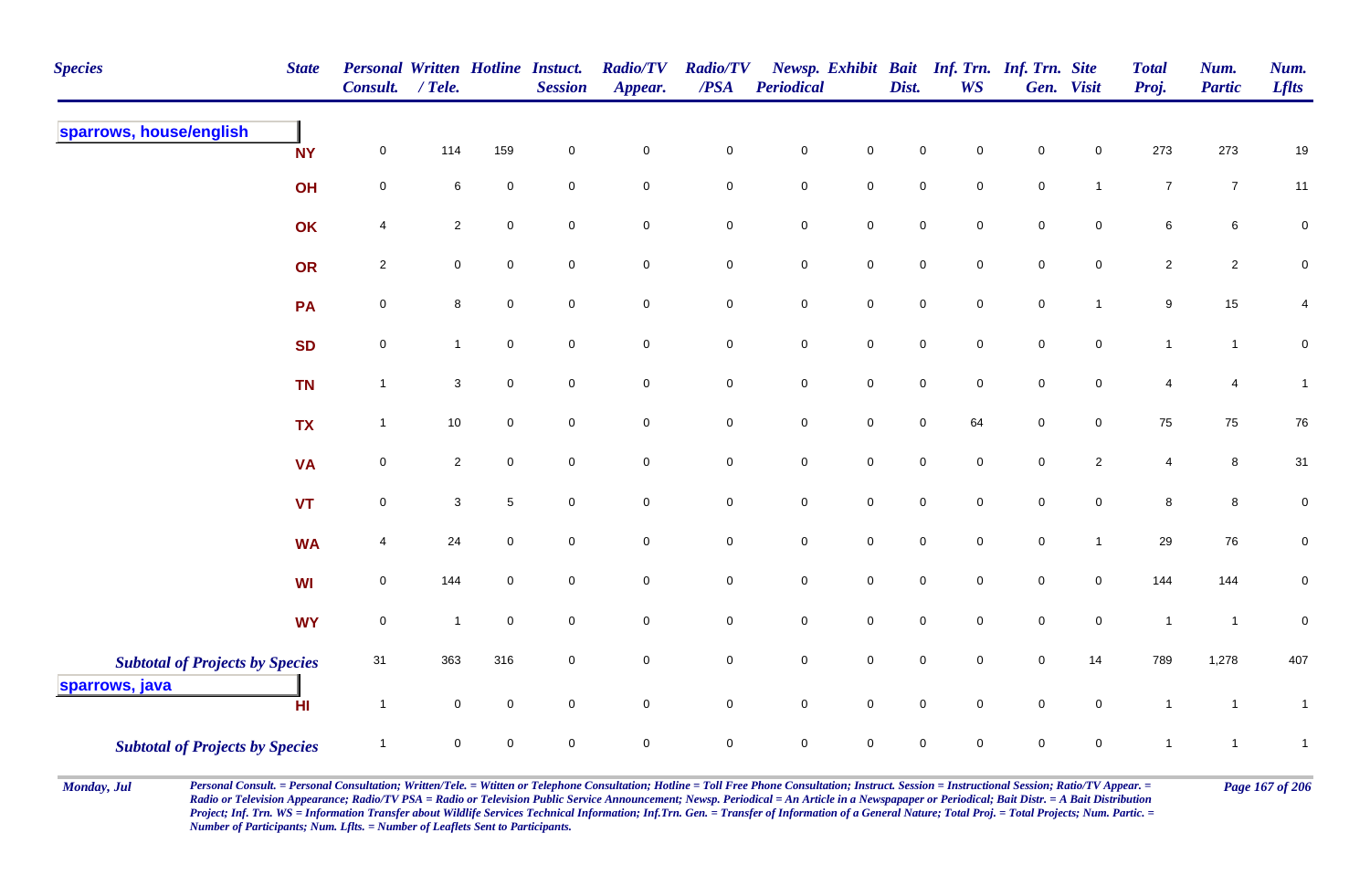| <b>Species</b>                         | <b>State</b> | <b>Personal Written Hotline Instuct.</b><br><b>Consult.</b> | $/$ Tele.      |                 | <b>Session</b>      | <b>Radio/TV</b><br>Appear. | <b>Radio/TV</b><br>/PSA | <b>Periodical</b> |                     | Dist.       | <b>WS</b>      | Newsp. Exhibit Bait Inf. Trn. Inf. Trn. Site | Gen. Visit     | <b>Total</b><br>Proj. | Num.<br><b>Partic</b> | Num.<br><b>Lflts</b> |
|----------------------------------------|--------------|-------------------------------------------------------------|----------------|-----------------|---------------------|----------------------------|-------------------------|-------------------|---------------------|-------------|----------------|----------------------------------------------|----------------|-----------------------|-----------------------|----------------------|
| sparrows, house/english                | <b>NY</b>    | $\mathbf 0$                                                 | 114            | 159             | $\mathsf{O}\xspace$ | $\mathbf 0$                | $\mathbf 0$             | $\pmb{0}$         | $\mathsf 0$         | $\mathbf 0$ | 0              | $\mathbf 0$                                  | 0              | 273                   | 273                   | $19$                 |
|                                        | OH           | $\mathbf 0$                                                 | 6              | $\mathsf 0$     | $\mathbf 0$         | $\mathbf 0$                | $\mathbf 0$             | $\mathsf 0$       | $\overline{0}$      | $\mathsf 0$ | 0              | $\mathsf 0$                                  | $\mathbf{1}$   | $\overline{7}$        | $\overline{7}$        | 11                   |
|                                        | OK           | $\overline{4}$                                              | $\overline{2}$ | $\mathbf 0$     | $\mathbf 0$         | $\pmb{0}$                  | $\mathbf 0$             | $\pmb{0}$         | $\mathbf 0$         | $\mathsf 0$ | $\mathbf 0$    | $\mathsf 0$                                  | $\mathbf 0$    | $\,6\,$               | 6                     | $\pmb{0}$            |
|                                        | OR           | $\overline{2}$                                              | $\mathbf 0$    | $\mathbf 0$     | $\mathbf 0$         | $\mathbf 0$                | $\mathbf 0$             | $\pmb{0}$         | $\mathbf 0$         | $\mathsf 0$ | $\mathbf 0$    | $\mathsf 0$                                  | $\mathbf 0$    | $\overline{2}$        | $\overline{c}$        | $\mathbf 0$          |
|                                        | PA           | $\mathsf{O}\xspace$                                         | 8              | $\mathbf 0$     | $\mathsf 0$         | $\mathbf 0$                | $\mathbf 0$             | $\pmb{0}$         | $\mathbf 0$         | $\pmb{0}$   | $\mathbf 0$    | $\pmb{0}$                                    | $\mathbf{1}$   | $\boldsymbol{9}$      | 15                    | $\overline{4}$       |
|                                        | <b>SD</b>    | $\mathsf{O}\xspace$                                         | $\mathbf{1}$   | $\mathbf 0$     | $\mathsf 0$         | $\mathbf 0$                | $\mathbf 0$             | $\pmb{0}$         | $\mathbf 0$         | $\pmb{0}$   | $\mathbf 0$    | $\pmb{0}$                                    | $\mathbf 0$    | $\mathbf{1}$          | $\mathbf{1}$          | $\pmb{0}$            |
|                                        | <b>TN</b>    | $\overline{1}$                                              | $\mathbf{3}$   | $\mathbf 0$     | $\mathbf 0$         | $\mathbf 0$                | $\mathbf 0$             | $\pmb{0}$         | $\mathsf{O}\xspace$ | $\pmb{0}$   | $\mathbf 0$    | $\mathbf 0$                                  | $\mathbf 0$    | $\overline{4}$        | $\overline{4}$        | $\mathbf{1}$         |
|                                        | <b>TX</b>    | $\overline{1}$                                              | $10\,$         | $\overline{0}$  | $\mathbf 0$         | $\mathsf{O}\xspace$        | $\mathbf 0$             | $\pmb{0}$         | $\mathbf 0$         | $\pmb{0}$   | 64             | $\mathsf 0$                                  | $\overline{0}$ | 75                    | 75                    | ${\bf 76}$           |
|                                        | <b>VA</b>    | $\overline{0}$                                              | $\overline{2}$ | $\mathbf 0$     | $\mathsf 0$         | $\mathsf{O}\xspace$        | $\mathsf{O}\xspace$     | $\pmb{0}$         | $\mathsf{O}\xspace$ | $\pmb{0}$   | $\mathbf 0$    | $\pmb{0}$                                    | $\overline{2}$ | $\overline{4}$        | 8                     | 31                   |
|                                        | <b>VT</b>    | $\overline{0}$                                              | 3              | $5\phantom{.0}$ | $\mathbf 0$         | $\mathbf 0$                | $\mathbf 0$             | $\mathsf 0$       | $\mathbf 0$         | $\mathbf 0$ | $\mathbf 0$    | $\mathbf 0$                                  | $\mathbf 0$    | 8                     | 8                     | $\pmb{0}$            |
|                                        | <b>WA</b>    | $\overline{4}$                                              | 24             | $\mathbf 0$     | $\mathbf 0$         | $\mathbf 0$                | $\overline{0}$          | $\mathsf 0$       | $\mathbf 0$         | $\mathbf 0$ | $\mathbf 0$    | $\mathbf 0$                                  | $\mathbf{1}$   | 29                    | 76                    | $\overline{0}$       |
|                                        | WI           | $\mathbf 0$                                                 | 144            | $\mathbf 0$     | $\mathbf 0$         | $\mathbf 0$                | $\mathsf{O}\xspace$     | $\pmb{0}$         | $\mathsf{O}\xspace$ | $\pmb{0}$   | $\mathbf 0$    | $\mathbf 0$                                  | $\mathbf 0$    | 144                   | 144                   | $\pmb{0}$            |
|                                        | <b>WY</b>    | $\mathsf{O}\xspace$                                         | $\mathbf{1}$   | $\mathbf 0$     | $\mathbf 0$         | $\mathbf 0$                | $\mathbf 0$             | $\pmb{0}$         | $\mathbf 0$         | $\pmb{0}$   | $\mathbf 0$    | $\pmb{0}$                                    | $\mathbf 0$    | $\mathbf{1}$          | $\overline{1}$        | $\pmb{0}$            |
| <b>Subtotal of Projects by Species</b> |              | 31                                                          | 363            | 316             | $\mathbf 0$         | $\mathbf 0$                | $\mathbf 0$             | $\pmb{0}$         | $\mathsf{O}\xspace$ | $\pmb{0}$   | $\mathbf 0$    | $\mathsf 0$                                  | 14             | 789                   | 1,278                 | 407                  |
| sparrows, java                         | HI           | $\overline{1}$                                              | $\mathbf 0$    | $\overline{0}$  | $\mathbf 0$         | $\mathsf{O}\xspace$        | $\mathsf{O}\xspace$     | $\mathsf 0$       | $\mathsf 0$         | $\mathsf 0$ | $\overline{0}$ | $\mathsf 0$                                  | $\mathbf 0$    | $\mathbf{1}$          | $\overline{1}$        | $\mathbf{1}$         |
| <b>Subtotal of Projects by Species</b> |              | $\overline{\mathbf{1}}$                                     | $\mathbf 0$    | $\mathbf 0$     | $\mathsf{O}\xspace$ | $\mathsf{O}\xspace$        | $\mathsf{O}\xspace$     | $\pmb{0}$         | $\mathsf 0$         | $\pmb{0}$   | $\mathbf 0$    | $\mathbf 0$                                  | $\mathbf 0$    | $\mathbf{1}$          | $\overline{1}$        | $\mathbf{1}$         |

Monday, Jul Personal Consult. = Personal Consultation; Written/Tele. = Witten or Telephone Consultation; Hotline = Toll Free Phone Consultation; Instruct. Session = Instructional Session; Ratio/TV Appear. = Page 167 of 206 *Radio or Television Appearance; Radio/TV PSA = Radio or Television Public Service Announcement; Newsp. Periodical = An Article in a Newspapaper or Periodical; Bait Distr. = A Bait Distribution*  Project; Inf. Trn. WS = Information Transfer about Wildlife Services Technical Information; Inf.Trn. Gen. = Transfer of Information of a General Nature; Total Proj. = Total Projects; Num. Partic. = *Number of Participants; Num. Lflts. = Number of Leaflets Sent to Participants.*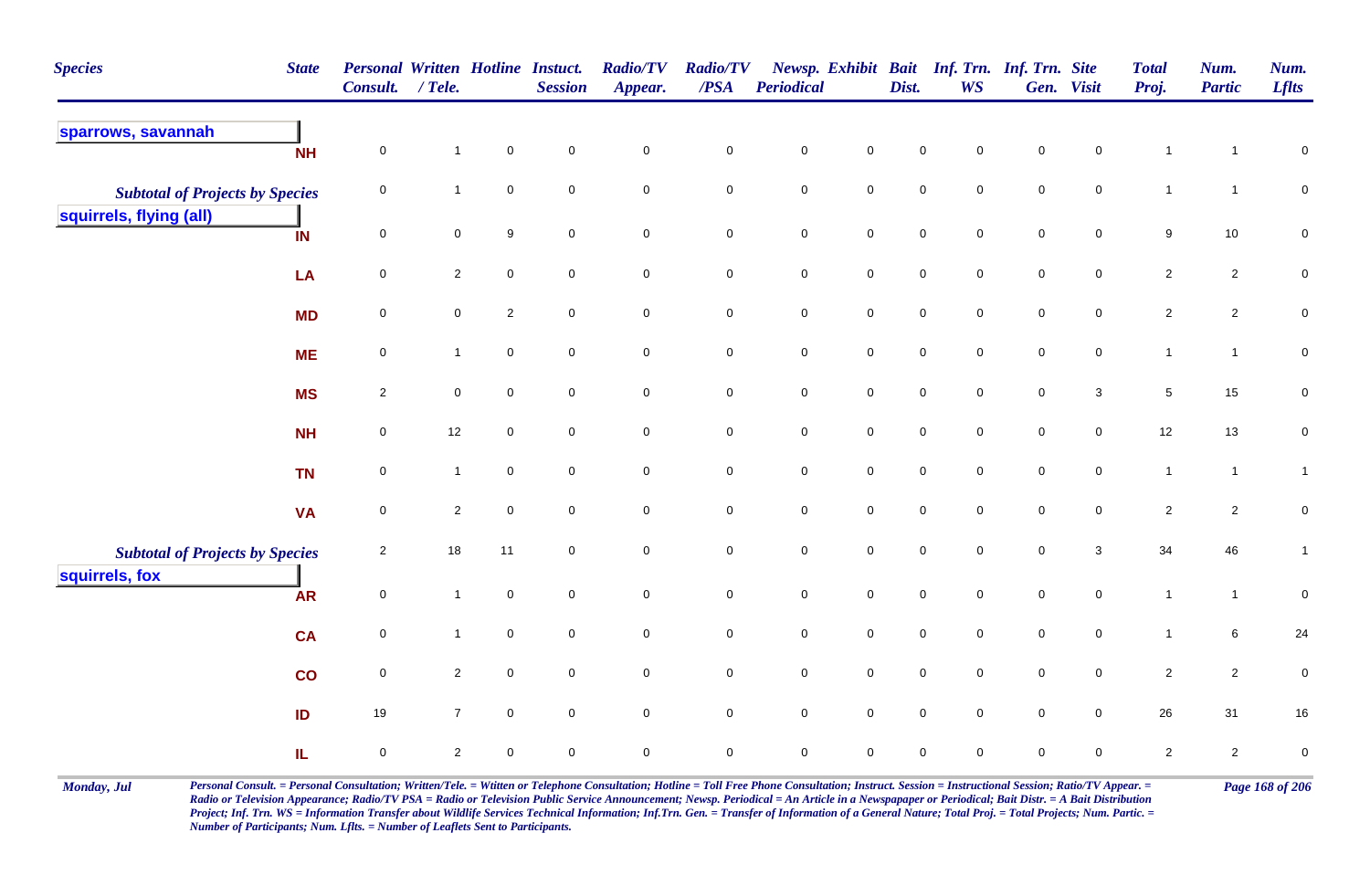| <b>Species</b>                         | <b>State</b> | <b>Personal Written Hotline Instuct.</b><br><b>Consult.</b> | $/$ Tele.      |                     | <b>Session</b>      | <b>Radio/TV</b><br>Appear. | <b>Radio/TV</b><br>/PSA | Periodical  |                     | Dist.       | Newsp. Exhibit Bait Inf. Trn. Inf. Trn. Site<br><b>WS</b> |             | Gen. Visit          | <b>Total</b><br>Proj. | Num.<br><b>Partic</b> | Num.<br><b>Lflts</b> |
|----------------------------------------|--------------|-------------------------------------------------------------|----------------|---------------------|---------------------|----------------------------|-------------------------|-------------|---------------------|-------------|-----------------------------------------------------------|-------------|---------------------|-----------------------|-----------------------|----------------------|
| sparrows, savannah                     | <b>NH</b>    | $\mathbf 0$                                                 | $\mathbf{1}$   | $\mathbf 0$         | $\mathbf 0$         | $\mathbf 0$                | $\mathsf 0$             | $\mathbf 0$ | $\mathbf 0$         | $\mathbf 0$ | 0                                                         | $\mathbf 0$ | $\mathbf 0$         | $\mathbf 1$           | -1                    | $\mathbf 0$          |
| <b>Subtotal of Projects by Species</b> |              | 0                                                           | $\mathbf{1}$   | $\mathbf 0$         | $\mathbf 0$         | $\pmb{0}$                  | $\mathbf 0$             | ${\bf 0}$   | $\mathbf 0$         | $\pmb{0}$   | $\mathbf 0$                                               | $\pmb{0}$   | $\mathsf{O}\xspace$ | $\mathbf{1}$          | $\mathbf{1}$          | $\pmb{0}$            |
| squirrels, flying (all)                | IN           | $\mathbf 0$                                                 | $\mathbf 0$    | 9                   | $\mathbf 0$         | $\pmb{0}$                  | $\mathbf 0$             | $\pmb{0}$   | $\mathsf{O}\xspace$ | $\pmb{0}$   | $\mathbf 0$                                               | $\pmb{0}$   | $\mathsf{O}\xspace$ | $\boldsymbol{9}$      | $10$                  | $\pmb{0}$            |
|                                        | LA           | $\overline{0}$                                              | $\overline{2}$ | $\mathbf 0$         | $\overline{0}$      | $\mathbf 0$                | $\overline{0}$          | $\mathsf 0$ | $\overline{0}$      | $\mathsf 0$ | $\mathbf 0$                                               | $\mathbf 0$ | $\mathbf 0$         | $\overline{2}$        | $\overline{2}$        | $\mathbf 0$          |
|                                        | <b>MD</b>    | 0                                                           | $\mathsf{O}$   | $\overline{2}$      | $\mathbf 0$         | $\mathbf 0$                | $\mathbf 0$             | $\pmb{0}$   | $\mathsf{O}\xspace$ | $\pmb{0}$   | 0                                                         | $\pmb{0}$   | $\mathsf{O}\xspace$ | $\overline{2}$        | $\mathbf 2$           | $\pmb{0}$            |
|                                        | <b>ME</b>    | 0                                                           | $\mathbf{1}$   | $\mathbf 0$         | $\mathbf 0$         | $\mathsf{O}\xspace$        | $\mathbf 0$             | $\mathbf 0$ | $\mathsf{O}\xspace$ | $\pmb{0}$   | $\mathbf 0$                                               | $\mathbf 0$ | $\mathbf 0$         | $\mathbf{1}$          | $\mathbf{1}$          | $\pmb{0}$            |
|                                        | <b>MS</b>    | $\overline{2}$                                              | $\mathbf 0$    | $\mathbf 0$         | $\mathbf 0$         | $\mathbf 0$                | $\mathbf 0$             | $\mathbf 0$ | $\mathbf 0$         | $\pmb{0}$   | 0                                                         | $\pmb{0}$   | $\mathbf{3}$        | $\sqrt{5}$            | $15\,$                | $\mathbf 0$          |
|                                        | <b>NH</b>    | 0                                                           | 12             | 0                   | $\mathbf 0$         | $\mathbf 0$                | $\mathbf 0$             | $\mathbf 0$ | $\mathbf 0$         | $\mathbf 0$ | 0                                                         | $\mathbf 0$ | $\mathbf 0$         | 12                    | 13                    | $\mathbf 0$          |
|                                        | <b>TN</b>    | $\mathbf 0$                                                 | $\mathbf{1}$   | $\mathbf 0$         | $\mathbf 0$         | $\pmb{0}$                  | $\mathbf 0$             | $\pmb{0}$   | $\mathsf{O}\xspace$ | $\mathbf 0$ | $\mathbf 0$                                               | $\mathbf 0$ | $\mathbf 0$         | $\mathbf{1}$          | $\mathbf{1}$          | $\mathbf{1}$         |
|                                        | <b>VA</b>    | $\mathbf 0$                                                 | $\overline{2}$ | $\mathbf 0$         | $\mathbf 0$         | $\mathbf 0$                | $\mathbf 0$             | $\mathbf 0$ | $\mathbf 0$         | $\mathbf 0$ | 0                                                         | $\mathbf 0$ | 0                   | $\overline{c}$        | $\overline{2}$        | $\mathbf 0$          |
| <b>Subtotal of Projects by Species</b> |              | $\overline{2}$                                              | $18\,$         | 11                  | $\mathbf 0$         | $\pmb{0}$                  | $\mathbf 0$             | $\pmb{0}$   | $\mathsf{O}\xspace$ | $\pmb{0}$   | 0                                                         | $\mathbf 0$ | $\mathbf{3}$        | 34                    | 46                    | $\mathbf{1}$         |
| squirrels, fox                         | <b>AR</b>    | $\mathsf{O}\xspace$                                         | $\mathbf{1}$   | $\mathbf 0$         | $\mathsf{O}\xspace$ | $\pmb{0}$                  | $\mathbf 0$             | $\mathbf 0$ | $\mathbf 0$         | $\pmb{0}$   | $\mathbf 0$                                               | $\mathbf 0$ | $\mathsf{O}\xspace$ | $\mathbf{1}$          | $\mathbf{1}$          | $\pmb{0}$            |
|                                        | <b>CA</b>    | 0                                                           | $\mathbf{1}$   | $\mathbf 0$         | $\mathbf 0$         | $\mathbf 0$                | $\mathbf 0$             | $\mathsf 0$ | $\mathsf{O}\xspace$ | $\mathsf 0$ | $\mathbf 0$                                               | $\mathbf 0$ | $\mathbf 0$         | $\mathbf{1}$          | 6                     | 24                   |
|                                        | co           | $\overline{0}$                                              | $\overline{2}$ | $\mathsf{O}\xspace$ | $\mathsf{O}\xspace$ | $\pmb{0}$                  | $\mathsf{O}\xspace$     | $\mathbf 0$ | $\mathbf 0$         | $\pmb{0}$   | 0                                                         | $\pmb{0}$   | $\mathsf{O}\xspace$ | $\overline{2}$        | $\overline{2}$        | $\pmb{0}$            |
|                                        | ID           | 19                                                          | $\overline{7}$ | $\mathbf 0$         | $\mathbf 0$         | $\mathbf 0$                | $\mathbf 0$             | $\mathbf 0$ | $\mathbf 0$         | $\mathbf 0$ | $\mathbf 0$                                               | $\mathbf 0$ | $\mathbf 0$         | 26                    | 31                    | 16                   |
|                                        | IL.          | 0                                                           | $\overline{2}$ | 0                   | $\mathbf 0$         | $\pmb{0}$                  | $\mathbf 0$             | $\mathbf 0$ | $\mathbf 0$         | $\pmb{0}$   | 0                                                         | $\mathbf 0$ | $\mathbf 0$         | $\sqrt{2}$            | $\overline{2}$        | $\pmb{0}$            |

Monday, Jul Personal Consult. = Personal Consultation; Written/Tele. = Witten or Telephone Consultation; Hotline = Toll Free Phone Consultation; Instruct. Session = Instructional Session; Ratio/TV Appear. = Page 168 of 206 *Radio or Television Appearance; Radio/TV PSA = Radio or Television Public Service Announcement; Newsp. Periodical = An Article in a Newspapaper or Periodical; Bait Distr. = A Bait Distribution*  Project; Inf. Trn. WS = Information Transfer about Wildlife Services Technical Information; Inf.Trn. Gen. = Transfer of Information of a General Nature; Total Proj. = Total Projects; Num. Partic. = *Number of Participants; Num. Lflts. = Number of Leaflets Sent to Participants.*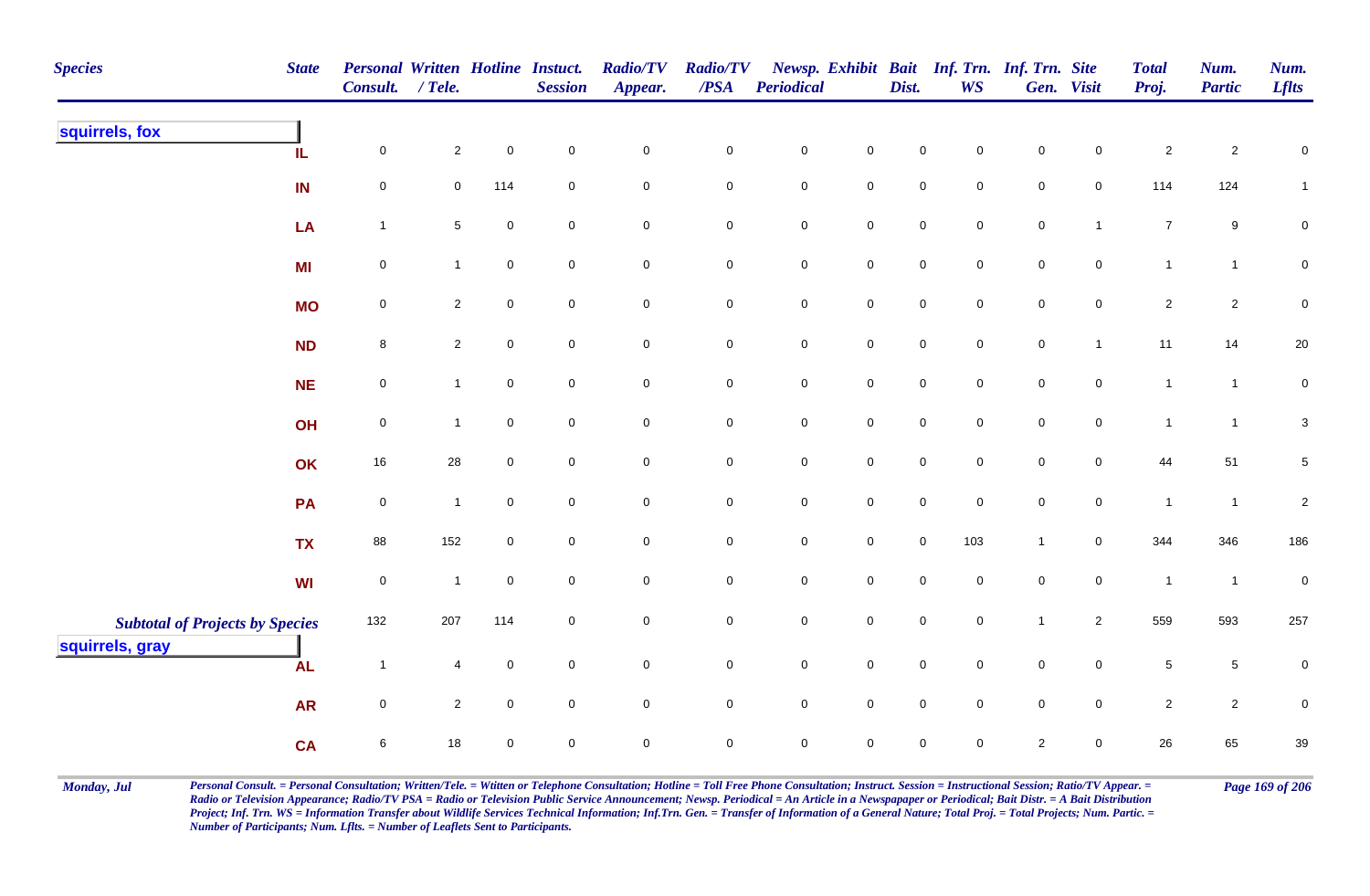| <b>Species</b>                                            | <b>State</b> | Personal Written Hotline Instuct.<br>Consult. | $/$ Tele.      |                  | <b>Session</b>      | <b>Radio/TV</b><br>Appear. | <b>Radio/TV</b><br>/PSA | <b>Periodical</b>   |              | Dist.               | Newsp. Exhibit Bait Inf. Trn. Inf. Trn. Site<br><b>WS</b> |                     | Gen. Visit     | <b>Total</b><br>Proj. | Num.<br><b>Partic</b> | Num.<br><b>Lflts</b> |
|-----------------------------------------------------------|--------------|-----------------------------------------------|----------------|------------------|---------------------|----------------------------|-------------------------|---------------------|--------------|---------------------|-----------------------------------------------------------|---------------------|----------------|-----------------------|-----------------------|----------------------|
| squirrels, fox                                            | IL           | $\mathbf 0$                                   | $\overline{2}$ | $\pmb{0}$        | $\mathsf{O}\xspace$ | $\mathsf{O}\xspace$        | $\pmb{0}$               | $\pmb{0}$           | $\mathbf 0$  | $\pmb{0}$           | $\mathsf 0$                                               | $\pmb{0}$           | $\mathbf 0$    | $\sqrt{2}$            | $\overline{c}$        | $\pmb{0}$            |
|                                                           | IN           | $\mathbf 0$                                   | $\mathbf 0$    | 114              | $\mathbf 0$         | $\mathbf 0$                | $\mathsf{O}\xspace$     | $\mathbf 0$         | $\mathsf{O}$ | $\mathbf 0$         | $\mathbf 0$                                               | $\mathbf 0$         | $\overline{0}$ | 114                   | 124                   | $\mathbf{1}$         |
|                                                           | LA           | $\overline{1}$                                | $\sqrt{5}$     | $\,0\,$          | $\mathsf{O}\xspace$ | $\mathsf{O}\xspace$        | $\mathbf 0$             | $\mathbf 0$         | $\mathsf{O}$ | $\mathsf{O}\xspace$ | $\mathbf 0$                                               | $\mathbf 0$         | $\mathbf{1}$   | $\boldsymbol{7}$      | $9\,$                 | $\pmb{0}$            |
|                                                           | <b>MI</b>    | $\pmb{0}$                                     | $\mathbf{1}$   | $\pmb{0}$        | $\mathbf 0$         | $\mathsf{O}\xspace$        | ${\bf 0}$               | $\pmb{0}$           | $\mathbf 0$  | $\mathbf 0$         | $\mathbf 0$                                               | $\mathbf 0$         | $\mathbf 0$    | $\mathbf{1}$          | $\mathbf{1}$          | $\pmb{0}$            |
|                                                           | <b>MO</b>    | $\pmb{0}$                                     | $\mathbf{2}$   | $\boldsymbol{0}$ | $\overline{0}$      | $\mathsf{O}\xspace$        | $\mathsf 0$             | ${\bf 0}$           | $\mathbf 0$  | $\mathsf{O}\xspace$ | $\overline{0}$                                            | $\overline{0}$      | $\overline{0}$ | $\overline{a}$        | $\mathbf{2}$          | $\pmb{0}$            |
|                                                           | <b>ND</b>    | $\bf8$                                        | $\overline{2}$ | $\pmb{0}$        | $\mathbf 0$         | $\overline{0}$             | $\overline{0}$          | $\mathbf 0$         | $\mathsf{O}$ | $\mathsf{O}\xspace$ | $\overline{0}$                                            | $\mathsf{O}\xspace$ | $\mathbf{1}$   | 11                    | 14                    | $20\,$               |
|                                                           | <b>NE</b>    | $\mathbf 0$                                   | $\mathbf{1}$   | $\mathbf 0$      | $\mathbf 0$         | $\mathsf{O}\xspace$        | $\overline{0}$          | $\mathbf 0$         | $\mathsf{O}$ | $\mathsf{O}\xspace$ | $\mathsf 0$                                               | $\mathsf{O}\xspace$ | $\mathsf{O}$   | $\mathbf{1}$          | $\mathbf{1}$          | $\pmb{0}$            |
|                                                           | OH           | $\mathbf 0$                                   | $\mathbf{1}$   | $\mathbf 0$      | $\mathbf 0$         | $\mathsf{O}\xspace$        | $\overline{0}$          | $\mathbf 0$         | $\mathsf 0$  | $\mathbf 0$         | $\overline{0}$                                            | $\mathbf 0$         | $\overline{0}$ | $\mathbf{1}$          | $\mathbf{1}$          | $\mathbf 3$          |
|                                                           | OK           | 16                                            | 28             | $\pmb{0}$        | $\overline{0}$      | $\mathsf{O}\xspace$        | $\mathbf 0$             | $\mathbf 0$         | $\mathsf 0$  | $\mathsf{O}\xspace$ | $\mathbf 0$                                               | $\mathbf 0$         | $\mathbf 0$    | 44                    | 51                    | $\sqrt{5}$           |
|                                                           | PA           | $\pmb{0}$                                     | $\mathbf{1}$   | $\mathbf 0$      | $\mathbf 0$         | $\mathbf 0$                | $\mathbf 0$             | $\mathbf 0$         | $\mathbf 0$  | $\mathsf{O}\xspace$ | $\mathsf{O}\xspace$                                       | $\mathbf 0$         | $\mathbf 0$    | $\mathbf{1}$          | $\mathbf{1}$          | $\sqrt{2}$           |
|                                                           | <b>TX</b>    | 88                                            | 152            | $\mathbf 0$      | $\mathbf 0$         | $\mathsf{O}\xspace$        | $\mathbf 0$             | $\mathsf{O}\xspace$ | $\mathbf 0$  | $\mathsf{O}\xspace$ | 103                                                       | $\mathbf{1}$        | $\mathbf 0$    | 344                   | 346                   | 186                  |
|                                                           | <b>WI</b>    | $\pmb{0}$                                     | $\mathbf{1}$   | $\mathbf 0$      | $\mathbf 0$         | $\mathsf{O}\xspace$        | $\mathsf{O}\xspace$     | $\mathsf{O}\xspace$ | $\mathsf{O}$ | $\mathsf{O}\xspace$ | $\mathbf 0$                                               | $\mathsf{O}\xspace$ | $\mathsf 0$    | $\mathbf{1}$          | $\overline{1}$        | $\pmb{0}$            |
| <b>Subtotal of Projects by Species</b><br>squirrels, gray |              | 132                                           | 207            | 114              | $\mathbf 0$         | $\mathbf 0$                | $\pmb{0}$               | $\mathbf 0$         | $\mathsf{O}$ | $\mathbf 0$         | $\mathbf 0$                                               | $\mathbf{1}$        | $\overline{2}$ | 559                   | 593                   | 257                  |
|                                                           | <b>AL</b>    | $\overline{1}$                                | $\overline{4}$ | $\boldsymbol{0}$ | $\overline{0}$      | $\overline{0}$             | $\overline{0}$          | $\mathbf 0$         | $\mathsf 0$  | $\mathsf{O}\xspace$ | $\overline{0}$                                            | $\mathsf{O}\xspace$ | $\mathsf{O}$   | $\sqrt{5}$            | $5\phantom{.0}$       | $\mathbf 0$          |
|                                                           | <b>AR</b>    | $\mathbf 0$                                   | $\overline{2}$ | $\pmb{0}$        | $\mathbf 0$         | $\mathsf{O}\xspace$        | $\mathbf 0$             | $\mathsf{O}\xspace$ | $\mathsf 0$  | $\mathsf{O}\xspace$ | $\mathsf{O}\xspace$                                       | $\mathsf{O}\xspace$ | $\mathbf 0$    | $\overline{2}$        | $\overline{2}$        | $\pmb{0}$            |
|                                                           | <b>CA</b>    | $\,6\,$                                       | 18             | $\mathbf 0$      | $\mathbf 0$         | $\mathbf 0$                | $\mathsf{O}\xspace$     | $\mathbf 0$         | $\mathsf 0$  | $\mathbf 0$         | $\mathbf 0$                                               | $\overline{2}$      | $\overline{0}$ | 26                    | 65                    | 39                   |

Monday, Jul Personal Consult. = Personal Consultation; Written/Tele. = Witten or Telephone Consultation; Hotline = Toll Free Phone Consultation; Instruct. Session = Instructional Session; Ratio/TV Appear. = Page 169 of 206 *Radio or Television Appearance; Radio/TV PSA = Radio or Television Public Service Announcement; Newsp. Periodical = An Article in a Newspapaper or Periodical; Bait Distr. = A Bait Distribution*  Project; Inf. Trn. WS = Information Transfer about Wildlife Services Technical Information; Inf.Trn. Gen. = Transfer of Information of a General Nature; Total Proj. = Total Projects; Num. Partic. = *Number of Participants; Num. Lflts. = Number of Leaflets Sent to Participants.*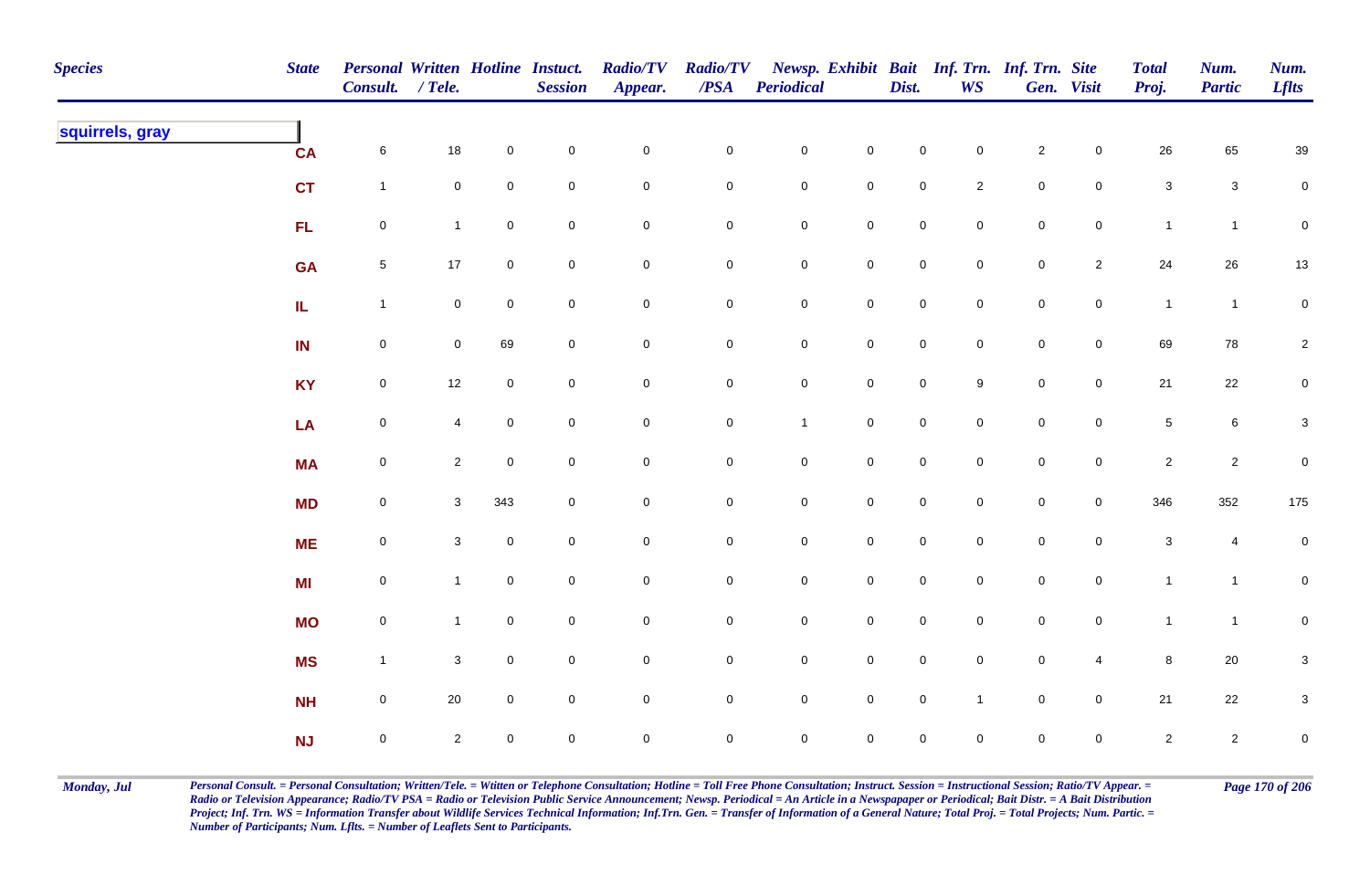| <b>Species</b>  | <b>State</b> | Personal Written Hotline Instuct.<br>Consult. / Tele. |                |                | <b>Session</b> | <b>Radio/TV</b><br>Appear. | <b>Radio/TV</b><br>$\overline{PSA}$ | <b>Periodical</b>   |                     | Dist.               | WS                  | Newsp. Exhibit Bait Inf. Trn. Inf. Trn. Site | Gen. Visit     | <b>Total</b><br>Proj.     | Num.<br><b>Partic</b> | Num.<br><b>Lflts</b> |
|-----------------|--------------|-------------------------------------------------------|----------------|----------------|----------------|----------------------------|-------------------------------------|---------------------|---------------------|---------------------|---------------------|----------------------------------------------|----------------|---------------------------|-----------------------|----------------------|
| squirrels, gray | CA           | $\,$ 6 $\,$                                           | $18$           | $\mathbf 0$    | $\pmb{0}$      | $\mathbf 0$                | $\pmb{0}$                           | $\mathbf 0$         | $\mathbf 0$         | $\mathbf 0$         | $\overline{0}$      | $\sqrt{2}$                                   | $\mathbf 0$    | 26                        | 65                    | 39                   |
|                 | <b>CT</b>    | $\mathbf{1}$                                          | $\mathbf 0$    | $\pmb{0}$      | $\mathbf 0$    | $\mathbf 0$                | $\pmb{0}$                           | $\mathbf 0$         | $\mathbf 0$         | $\mathbf 0$         | $\overline{2}$      | $\pmb{0}$                                    | $\mathbf 0$    | $\mathsf 3$               | $\mathsf 3$           | $\mathbf 0$          |
|                 | FL           | $\mathbf 0$                                           | $\mathbf{1}$   | $\mathbf 0$    | $\pmb{0}$      | $\mathbf 0$                | 0                                   | $\mathbf 0$         | $\mathbf 0$         | $\mathbf 0$         | $\mathbf 0$         | $\pmb{0}$                                    | $\mathbf 0$    | $\mathbf{1}$              | $\overline{1}$        | $\mathbf 0$          |
|                 | <b>GA</b>    | $\overline{5}$                                        | 17             | $\mathbf 0$    | $\mathbf 0$    | $\pmb{0}$                  | 0                                   | $\mathbf 0$         | $\pmb{0}$           | $\mathbf 0$         | $\overline{0}$      | $\mathbf 0$                                  | $\overline{2}$ | 24                        | 26                    | $13$                 |
|                 | IL.          | $\mathbf{1}$                                          | $\mathbf 0$    | $\mathbf 0$    | $\mathsf 0$    | $\mathbf 0$                | 0                                   | $\mathbf 0$         | $\mathbf 0$         | $\mathsf 0$         | $\overline{0}$      | $\mathbf 0$                                  | $\mathsf{O}$   | $\mathbf{1}$              | $\mathbf{1}$          | $\mathbf 0$          |
|                 | IN           | $\mathbf 0$                                           | $\overline{0}$ | 69             | $\mathsf 0$    | $\mathsf{O}\xspace$        | $\mathbf 0$                         | $\mathbf 0$         | $\mathsf{O}\xspace$ | $\mathbf 0$         | $\overline{0}$      | $\mathbf 0$                                  | $\mathbf 0$    | 69                        | 78                    | $\overline{2}$       |
|                 | <b>KY</b>    | $\mathsf{O}$                                          | 12             | $\mathbf 0$    | $\pmb{0}$      | $\mathsf{O}\xspace$        | $\mathsf{O}\xspace$                 | $\mathbf 0$         | $\mathsf{O}\xspace$ | $\mathbf 0$         | 9                   | $\mathbf 0$                                  | $\mathbf 0$    | 21                        | 22                    | $\mathbf 0$          |
|                 | LA           | $\mathsf{O}$                                          | 4              | $\mathbf 0$    | $\mathbf 0$    | $\mathbf 0$                | 0                                   | $\mathbf{1}$        | $\mathbf 0$         | $\mathsf{O}\xspace$ | $\mathbf 0$         | $\mathsf 0$                                  | $\mathbf 0$    | $\sqrt{5}$                | 6                     | $\mathbf{3}$         |
|                 | <b>MA</b>    | $\mathsf{O}\xspace$                                   | $\overline{2}$ | $\overline{0}$ | $\mathbf 0$    | $\mathbf 0$                | 0                                   | $\mathsf{O}\xspace$ | $\mathsf{O}\xspace$ | $\mathbf 0$         | $\Omega$            | $\mathsf 0$                                  | $\mathbf 0$    | $\overline{2}$            | $\sqrt{2}$            | $\pmb{0}$            |
|                 | <b>MD</b>    | $\mathbf 0$                                           | $\mathbf{3}$   | 343            | $\mathbf 0$    | $\mathbf 0$                | $\pmb{0}$                           | $\mathbf 0$         | $\mathbf 0$         | $\mathbf 0$         | $\mathsf{O}\xspace$ | $\mathbf 0$                                  | $\mathbf 0$    | 346                       | 352                   | $175\,$              |
|                 | <b>ME</b>    | $\mathbf 0$                                           | 3              | $\mathbf 0$    | $\pmb{0}$      | $\mathbf 0$                | $\pmb{0}$                           | $\pmb{0}$           | $\mathbf 0$         | $\mathbf 0$         | $\mathbf 0$         | $\pmb{0}$                                    | $\mathbf 0$    | $\ensuremath{\mathsf{3}}$ | 4                     | $\mathbf 0$          |
|                 | MI           | $\mathbf 0$                                           | $\mathbf{1}$   | $\mathbf 0$    | $\pmb{0}$      | $\mathbf 0$                | 0                                   | $\boldsymbol{0}$    | $\mathbf 0$         | $\mathsf{O}$        | $\overline{0}$      | $\mathbf 0$                                  | $\mathsf{O}$   | $\mathbf{1}$              | $\mathbf{1}$          | $\overline{0}$       |
|                 | <b>MO</b>    | $\mathsf{O}$                                          | $\mathbf{1}$   | $\mathbf 0$    | $\mathbf 0$    | $\mathsf{O}\xspace$        | 0                                   | $\mathbf 0$         | $\mathbf 0$         | $\mathsf 0$         | $\mathbf 0$         | $\mathbf 0$                                  | $\overline{0}$ | $\mathbf{1}$              | $\mathbf{1}$          | $\overline{0}$       |
|                 | <b>MS</b>    | $\mathbf{1}$                                          | 3              | $\overline{0}$ | $\mathsf 0$    | $\mathsf{O}\xspace$        | $\mathbf 0$                         | $\mathbf 0$         | $\mathsf{O}\xspace$ | $\mathbf 0$         | $\overline{0}$      | $\mathbf 0$                                  | $\overline{4}$ | $\bf8$                    | 20                    | $\mathbf 3$          |
|                 | NH           | $\mathsf{O}\xspace$                                   | $20\,$         | $\mathbf 0$    | $\pmb{0}$      | $\mathbf 0$                | 0                                   | $\mathbf 0$         | $\mathsf{O}\xspace$ | $\mathsf 0$         | $\overline{1}$      | $\mathsf 0$                                  | $\mathsf 0$    | 21                        | $22\,$                | $\mathbf 3$          |
|                 | <b>NJ</b>    | $\mathsf{O}\xspace$                                   | $\overline{2}$ | $\mathbf 0$    | $\mathbf 0$    | $\mathbf 0$                | 0                                   | $\mathsf{O}\xspace$ | $\mathsf{O}\xspace$ | $\mathbf 0$         | $\mathbf 0$         | $\mathsf 0$                                  | $\mathbf 0$    | $\overline{2}$            | $\overline{2}$        | $\mathbf 0$          |

Monday, Jul Personal Consult. = Personal Consultation; Written/Tele. = Witten or Telephone Consultation; Hotline = Toll Free Phone Consultation; Instruct. Session = Instructional Session; Ratio/TV Appear. = Page 170 of 206 *Radio or Television Appearance; Radio/TV PSA = Radio or Television Public Service Announcement; Newsp. Periodical = An Article in a Newspapaper or Periodical; Bait Distr. = A Bait Distribution*  Project; Inf. Trn. WS = Information Transfer about Wildlife Services Technical Information; Inf.Trn. Gen. = Transfer of Information of a General Nature; Total Proj. = Total Projects; Num. Partic. = *Number of Participants; Num. Lflts. = Number of Leaflets Sent to Participants.*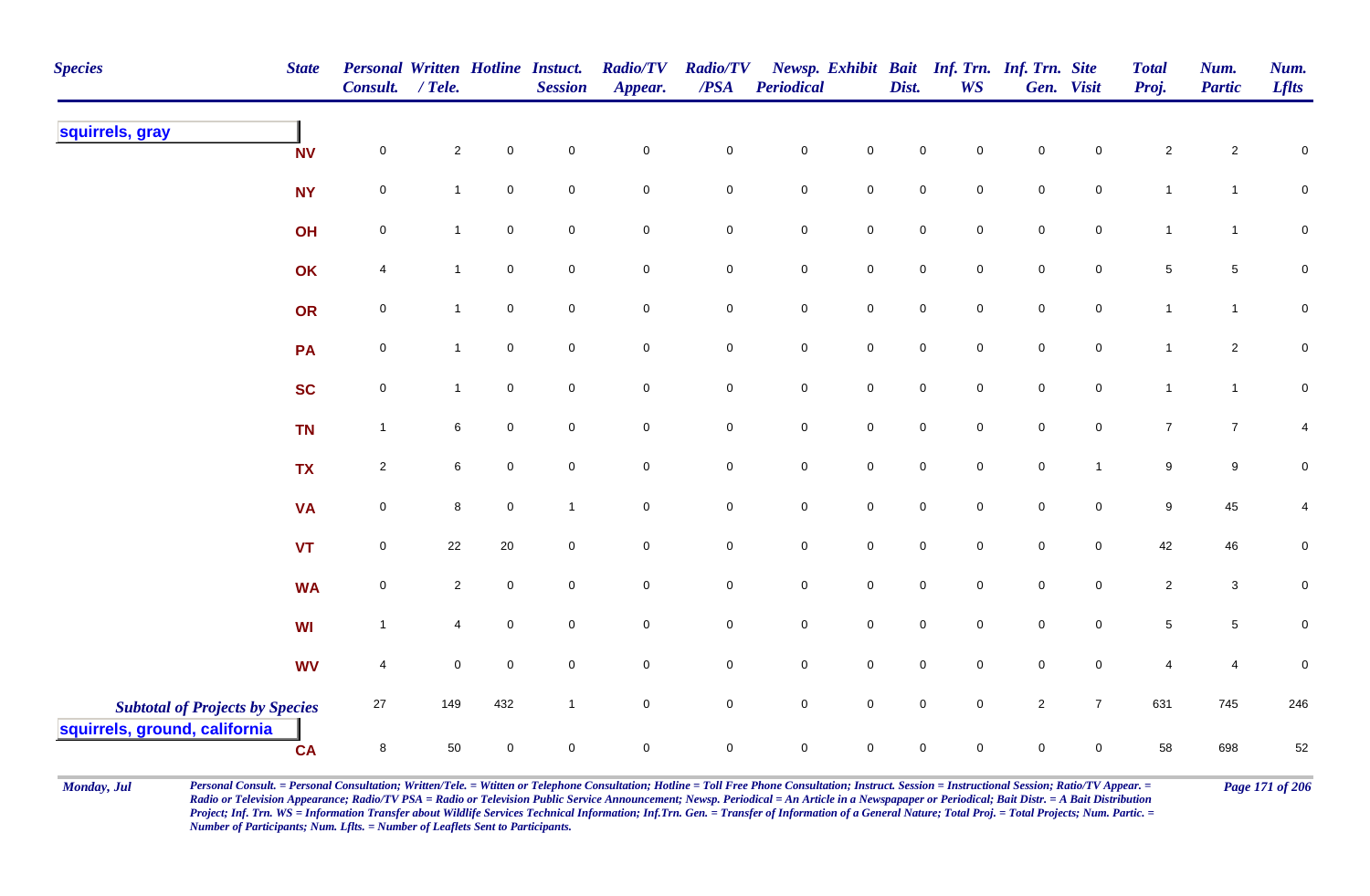| <b>Species</b>                                                          | <b>State</b> | Personal Written Hotline Instuct.<br>Consult. | / Tele.        |             | <b>Session</b> | <b>Radio/TV</b><br>Appear. | <b>Radio/TV</b><br>$\triangle PSA$ | <b>Periodical</b>   |             | Dist.               | <b>WS</b>           | Newsp. Exhibit Bait Inf. Trn. Inf. Trn. Site | Gen. Visit          | <b>Total</b><br>Proj. | Num.<br><b>Partic</b> | Num.<br><b>Lflts</b> |
|-------------------------------------------------------------------------|--------------|-----------------------------------------------|----------------|-------------|----------------|----------------------------|------------------------------------|---------------------|-------------|---------------------|---------------------|----------------------------------------------|---------------------|-----------------------|-----------------------|----------------------|
| squirrels, gray                                                         | <b>NV</b>    | $\pmb{0}$                                     | $\overline{a}$ | $\mathsf 0$ | $\mathbf 0$    | $\mathbf 0$                | $\mathbf 0$                        | $\mathbf 0$         | $\mathbf 0$ | 0                   | $\mathbf 0$         | $\mathsf{O}\xspace$                          | $\mathbf 0$         | $\overline{c}$        | $\overline{a}$        | 0                    |
|                                                                         | <b>NY</b>    | 0                                             | $\mathbf{1}$   | $\mathsf 0$ | $\mathbf 0$    | $\mathbf 0$                | 0                                  | $\mathbf 0$         | $\mathbf 0$ | $\mathbf 0$         | $\mathbf 0$         | $\mathbf 0$                                  | $\mathbf 0$         | $\mathbf{1}$          | $\overline{1}$        | $\mathbf 0$          |
|                                                                         | OH           | $\pmb{0}$                                     | $\mathbf{1}$   | $\mathsf 0$ | $\mathbf 0$    | $\mathbf 0$                | $\pmb{0}$                          | $\mathbf 0$         | $\mathbf 0$ | $\mathbf 0$         | $\mathbf 0$         | $\mathbf 0$                                  | $\mathsf{O}\xspace$ | $\mathbf{1}$          | $\mathbf{1}$          | $\pmb{0}$            |
|                                                                         | OK           | 4                                             | 1              | $\mathbf 0$ | $\overline{0}$ | $\mathsf 0$                | 0                                  | $\mathbf 0$         | $\mathbf 0$ | $\mathbf 0$         | $\mathbf 0$         | $\mathbf 0$                                  | $\overline{0}$      | $5\phantom{.0}$       | $5\phantom{.0}$       | $\pmb{0}$            |
|                                                                         | OR           | $\pmb{0}$                                     | $\mathbf{1}$   | $\mathsf 0$ | $\overline{0}$ | $\mathsf{O}\xspace$        | $\mathbf 0$                        | $\mathbf 0$         | $\mathbf 0$ | $\mathbf 0$         | $\mathbf 0$         | $\mathbf 0$                                  | $\mathbf 0$         | $\mathbf{1}$          | $\mathbf{1}$          | $\mathbf 0$          |
|                                                                         | PA           | $\pmb{0}$                                     | $\mathbf{1}$   | $\pmb{0}$   | $\mathbf 0$    | $\mathsf{O}\xspace$        | $\mathbf 0$                        | $\mathbf 0$         | $\mathbf 0$ | $\mathbf 0$         | $\mathsf{O}\xspace$ | $\mathbf 0$                                  | $\mathbf 0$         | $\mathbf{1}$          | $\overline{2}$        | $\pmb{0}$            |
|                                                                         | <b>SC</b>    | $\pmb{0}$                                     | $\mathbf{1}$   | $\mathsf 0$ | $\mathbf 0$    | $\mathbf 0$                | $\mathbf 0$                        | $\mathbf 0$         | $\mathbf 0$ | $\mathbf 0$         | $\mathbf 0$         | $\mathbf 0$                                  | $\overline{0}$      | $\mathbf{1}$          | $\mathbf{1}$          | $\mathbf 0$          |
|                                                                         | <b>TN</b>    | $\mathbf{1}$                                  | 6              | $\mathbf 0$ | $\overline{0}$ | $\mathsf{O}\xspace$        | $\mathbf 0$                        | $\mathbf 0$         | $\mathbf 0$ | $\mathsf{O}\xspace$ | $\mathbf 0$         | $\mathbf 0$                                  | $\mathbf 0$         | $\overline{7}$        | $\overline{7}$        | 4                    |
|                                                                         | <b>TX</b>    | $\sqrt{2}$                                    | 6              | $\mathsf 0$ | $\overline{0}$ | $\mathbf 0$                | $\mathbf 0$                        | $\mathbf 0$         | $\mathbf 0$ | $\mathsf{O}\xspace$ | $\mathbf 0$         | $\mathbf 0$                                  | $\overline{1}$      | $\boldsymbol{9}$      | $\boldsymbol{9}$      | $\pmb{0}$            |
|                                                                         | <b>VA</b>    | $\mathsf{O}\xspace$                           | 8              | $\mathbf 0$ | $\overline{1}$ | $\mathsf{O}\xspace$        | $\mathsf{O}\xspace$                | $\mathbf 0$         | $\mathbf 0$ | 0                   | $\mathbf 0$         | $\mathbf 0$                                  | $\mathbf 0$         | 9                     | 45                    | 4                    |
|                                                                         | <b>VT</b>    | $\pmb{0}$                                     | 22             | $20\,$      | $\mathbf 0$    | $\mathsf{O}\xspace$        | $\mathbf 0$                        | $\mathbf 0$         | $\mathbf 0$ | $\mathbf 0$         | $\mathbf 0$         | $\mathbf 0$                                  | $\mathbf 0$         | 42                    | 46                    | $\pmb{0}$            |
|                                                                         | <b>WA</b>    | $\pmb{0}$                                     | $\overline{2}$ | $\mathsf 0$ | $\mathbf 0$    | $\mathbf 0$                | $\mathbf 0$                        | $\mathbf 0$         | $\mathbf 0$ | $\mathsf{O}\xspace$ | $\mathbf 0$         | $\mathbf 0$                                  | $\mathsf{O}\xspace$ | $\overline{2}$        | $\mathbf{3}$          | $\mathbf 0$          |
|                                                                         | <b>WI</b>    | $\mathbf{1}$                                  | 4              | $\mathsf 0$ | $\mathbf 0$    | $\mathsf{O}\xspace$        | $\pmb{0}$                          | ${\bf 0}$           | $\mathbf 0$ | $\mathbf 0$         | $\mathbf 0$         | $\mathbf 0$                                  | $\mathbf 0$         | $\sqrt{5}$            | $5\phantom{.0}$       | $\pmb{0}$            |
|                                                                         | <b>WV</b>    | 4                                             | $\mathbf 0$    | $\mathsf 0$ | $\mathbf 0$    | $\mathsf{O}\xspace$        | 0                                  | $\mathsf{O}\xspace$ | $\mathbf 0$ | $\mathbf 0$         | $\mathbf 0$         | $\mathbf 0$                                  | $\mathbf 0$         | $\overline{4}$        | 4                     | 0                    |
| <b>Subtotal of Projects by Species</b><br>squirrels, ground, california |              | $27\,$                                        | 149            | 432         | $\overline{1}$ | $\mathsf{O}\xspace$        | $\mathbf 0$                        | $\mathsf{O}\xspace$ | $\mathbf 0$ | $\mathsf{O}\xspace$ | $\mathbf 0$         | $\overline{2}$                               | $\overline{7}$      | 631                   | 745                   | 246                  |
|                                                                         | <b>CA</b>    | $\bf 8$                                       | 50             | $\mathsf 0$ | $\mathbf 0$    | $\mathbf 0$                | $\pmb{0}$                          | $\mathbf 0$         | $\mathbf 0$ | $\mathbf 0$         | $\mathsf{O}\xspace$ | $\mathsf 0$                                  | $\mathbf 0$         | 58                    | 698                   | 52                   |

Monday, Jul Personal Consult. = Personal Consultation; Written/Tele. = Witten or Telephone Consultation; Hotline = Toll Free Phone Consultation; Instruct. Session = Instructional Session; Ratio/TV Appear. = Page 171 of 206 *Radio or Television Appearance; Radio/TV PSA = Radio or Television Public Service Announcement; Newsp. Periodical = An Article in a Newspapaper or Periodical; Bait Distr. = A Bait Distribution*  Project; Inf. Trn. WS = Information Transfer about Wildlife Services Technical Information; Inf.Trn. Gen. = Transfer of Information of a General Nature; Total Proj. = Total Projects; Num. Partic. = *Number of Participants; Num. Lflts. = Number of Leaflets Sent to Participants.*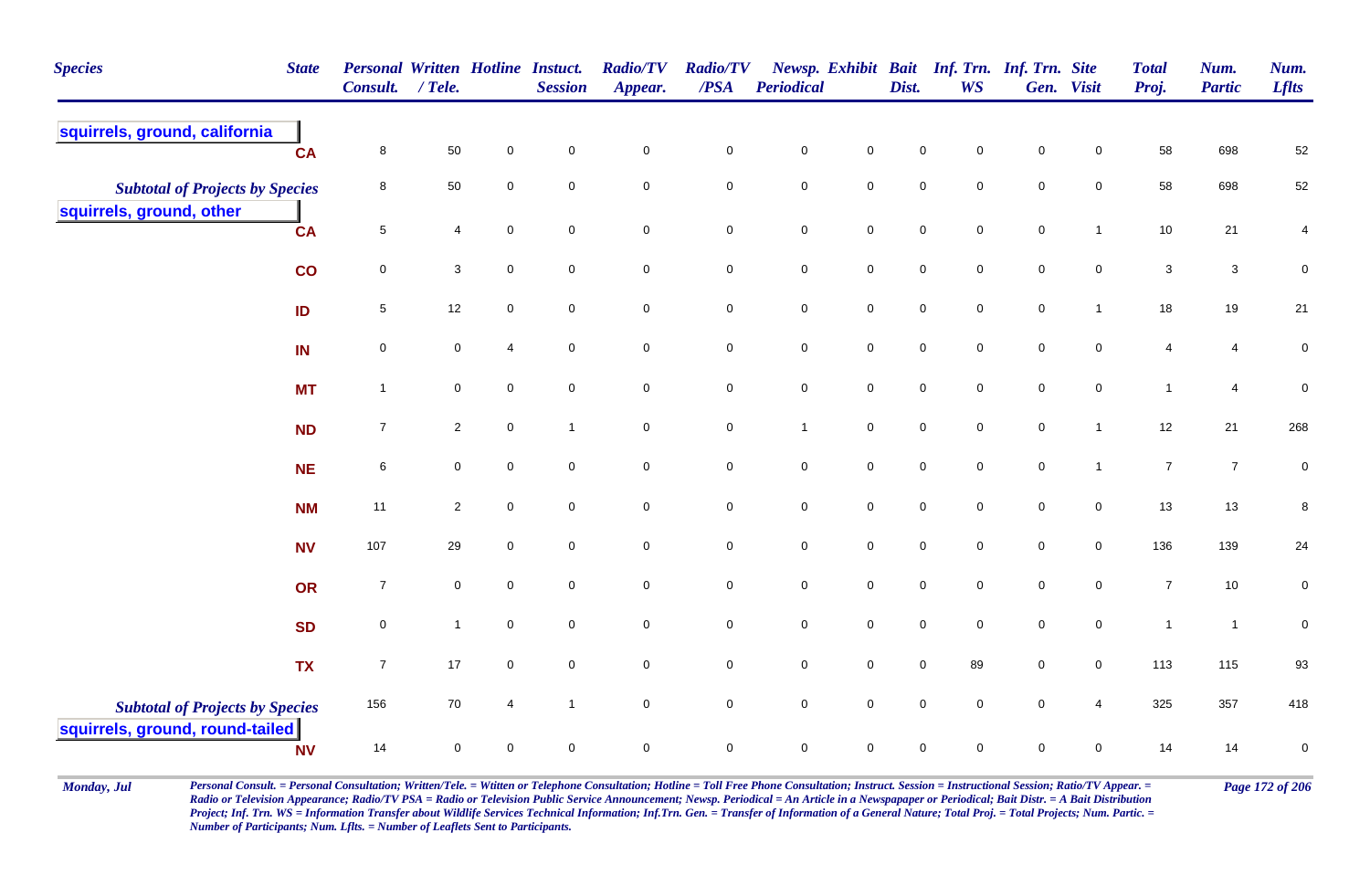| <b>Species</b>                                                            | <b>State</b> | <b>Personal Written Hotline Instact.</b><br><b>Consult.</b> | $/$ Tele.      |                     | <b>Session</b> | <b>Radio/TV</b><br>Appear. | <b>Radio/TV</b><br>/PSA | <b>Periodical</b>   |                     | Dist.       | Newsp. Exhibit Bait Inf. Trn. Inf. Trn. Site<br><b>WS</b> |                     | Gen. Visit          | <b>Total</b><br>Proj. | Num.<br><b>Partic</b> | Num.<br><b>Lflts</b> |
|---------------------------------------------------------------------------|--------------|-------------------------------------------------------------|----------------|---------------------|----------------|----------------------------|-------------------------|---------------------|---------------------|-------------|-----------------------------------------------------------|---------------------|---------------------|-----------------------|-----------------------|----------------------|
| squirrels, ground, california                                             | <b>CA</b>    | 8                                                           | 50             | $\mathbf 0$         | $\mathbf 0$    | 0                          | $\mathbf 0$             | $\mathbf 0$         | $\mathbf 0$         | $\mathbf 0$ | $\mathbf 0$                                               | 0                   | $\mathbf 0$         | 58                    | 698                   | 52                   |
| <b>Subtotal of Projects by Species</b>                                    |              | 8                                                           | 50             | $\mathbf 0$         | $\mathbf 0$    | $\mathbf 0$                | $\mathsf{O}\xspace$     | $\pmb{0}$           | $\mathsf 0$         | $\mathbf 0$ | $\mathbf 0$                                               | $\mathsf 0$         | $\mathbf 0$         | 58                    | 698                   | 52                   |
| squirrels, ground, other                                                  | <b>CA</b>    | $\overline{5}$                                              | 4              | $\mathsf{O}\xspace$ | $\mathbf 0$    | $\mathbf 0$                | $\mathbf 0$             | $\pmb{0}$           | $\mathbf 0$         | $\mathbf 0$ | $\overline{0}$                                            | $\pmb{0}$           | $\mathbf{1}$        | $10$                  | 21                    | 4                    |
|                                                                           | co           | 0                                                           | 3              | $\mathbf 0$         | $\mathbf 0$    | 0                          | $\mathbf 0$             | $\mathbf 0$         | $\mathbf 0$         | $\mathbf 0$ | $\mathbf 0$                                               | $\mathsf{O}\xspace$ | $\mathbf 0$         | 3                     | $\mathbf{3}$          | $\mathbf 0$          |
|                                                                           | ID           | $5\phantom{.0}$                                             | 12             | $\mathbf 0$         | $\mathbf 0$    | 0                          | $\mathbf 0$             | $\mathbf 0$         | $\mathsf 0$         | $\mathbf 0$ | $\mathbf 0$                                               | $\mathbf 0$         | $\mathbf{1}$        | 18                    | 19                    | 21                   |
|                                                                           | IN           | $\overline{0}$                                              | $\mathbf 0$    | $\overline{4}$      | $\overline{0}$ | $\mathbf 0$                | $\mathsf{O}\xspace$     | $\mathbf 0$         | $\mathsf{O}\xspace$ | $\mathbf 0$ | $\mathsf{O}\xspace$                                       | $\mathsf{O}\xspace$ | $\mathsf{O}\xspace$ | $\overline{4}$        | $\overline{4}$        | $\pmb{0}$            |
|                                                                           | <b>MT</b>    | $\overline{1}$                                              | $\mathbf 0$    | $\mathbf 0$         | $\mathbf 0$    | $\mathbf 0$                | $\mathsf{O}\xspace$     | $\mathbf 0$         | $\mathsf 0$         | $\mathbf 0$ | $\mathsf{O}\xspace$                                       | $\mathsf 0$         | $\mathbf 0$         | $\mathbf{1}$          | $\overline{4}$        | $\pmb{0}$            |
|                                                                           | <b>ND</b>    | $\overline{7}$                                              | $\overline{2}$ | $\mathbf 0$         | $\mathbf{1}$   | $\mathbf 0$                | $\mathbf 0$             | $\mathbf{1}$        | $\mathsf 0$         | $\mathbf 0$ | $\overline{0}$                                            | $\pmb{0}$           | $\mathbf{1}$        | 12                    | 21                    | 268                  |
|                                                                           | <b>NE</b>    | 6                                                           | $\mathbf 0$    | $\mathbf 0$         | $\overline{0}$ | $\mathbf 0$                | $\mathbf 0$             | $\mathbf 0$         | $\mathbf 0$         | $\mathbf 0$ | $\overline{0}$                                            | $\pmb{0}$           | $\mathbf{1}$        | $\boldsymbol{7}$      | $\overline{7}$        | $\pmb{0}$            |
|                                                                           | <b>NM</b>    | 11                                                          | $\overline{2}$ | $\mathbf 0$         | $\mathbf 0$    | 0                          | $\mathbf 0$             | $\mathbf 0$         | $\mathsf{O}\xspace$ | $\mathbf 0$ | $\mathbf 0$                                               | $\mathsf 0$         | $\mathsf{O}\xspace$ | 13                    | 13                    | 8                    |
|                                                                           | <b>NV</b>    | 107                                                         | 29             | $\mathbf 0$         | $\mathbf 0$    | 0                          | $\mathsf{O}\xspace$     | $\mathsf{O}\xspace$ | $\mathsf{O}\xspace$ | $\mathbf 0$ | $\mathbf 0$                                               | $\mathsf 0$         | $\mathbf 0$         | 136                   | 139                   | 24                   |
|                                                                           | OR           | $\overline{7}$                                              | $\mathbf 0$    | $\mathbf 0$         | $\overline{0}$ | $\mathbf 0$                | $\mathsf{O}\xspace$     | $\mathbf 0$         | $\mathbf 0$         | $\mathbf 0$ | $\overline{0}$                                            | $\pmb{0}$           | $\mathbf 0$         | $\boldsymbol{7}$      | $10$                  | $\pmb{0}$            |
|                                                                           | <b>SD</b>    | $\mathbf 0$                                                 | $\mathbf{1}$   | $\mathbf 0$         | $\mathbf 0$    | 0                          | $\mathsf{O}\xspace$     | $\mathbf 0$         | $\mathbf 0$         | $\mathbf 0$ | $\mathbf 0$                                               | $\mathsf 0$         | $\mathbf 0$         | $\mathbf{1}$          | $\overline{1}$        | $\pmb{0}$            |
|                                                                           | <b>TX</b>    | $\overline{7}$                                              | 17             | $\mathbf 0$         | $\mathbf 0$    | $\mathbf 0$                | $\mathbf 0$             | $\mathbf 0$         | $\mathsf 0$         | $\mathbf 0$ | 89                                                        | $\mathbf 0$         | $\overline{0}$      | 113                   | 115                   | 93                   |
| <b>Subtotal of Projects by Species</b><br>squirrels, ground, round-tailed |              | 156                                                         | 70             | 4                   | $\mathbf{1}$   | $\mathbf 0$                | $\mathbf 0$             | $\mathbf 0$         | $\mathbf 0$         | $\mathbf 0$ | $\overline{0}$                                            | $\pmb{0}$           | $\overline{4}$      | 325                   | 357                   | 418                  |
|                                                                           | <b>NV</b>    | 14                                                          | $\pmb{0}$      | 0                   | $\mathbf 0$    | 0                          | $\pmb{0}$               | $\pmb{0}$           | $\mathsf{O}\xspace$ | $\mathbf 0$ | $\mathbf 0$                                               | $\mathbf 0$         | $\mathbf 0$         | 14                    | 14                    | $\pmb{0}$            |

Monday, Jul Personal Consult. = Personal Consultation; Written/Tele. = Witten or Telephone Consultation; Hotline = Toll Free Phone Consultation; Instruct. Session = Instructional Session; Ratio/TV Appear. = Page 172 of 206 *Radio or Television Appearance; Radio/TV PSA = Radio or Television Public Service Announcement; Newsp. Periodical = An Article in a Newspapaper or Periodical; Bait Distr. = A Bait Distribution*  Project; Inf. Trn. WS = Information Transfer about Wildlife Services Technical Information; Inf.Trn. Gen. = Transfer of Information of a General Nature; Total Proj. = Total Projects; Num. Partic. = *Number of Participants; Num. Lflts. = Number of Leaflets Sent to Participants.*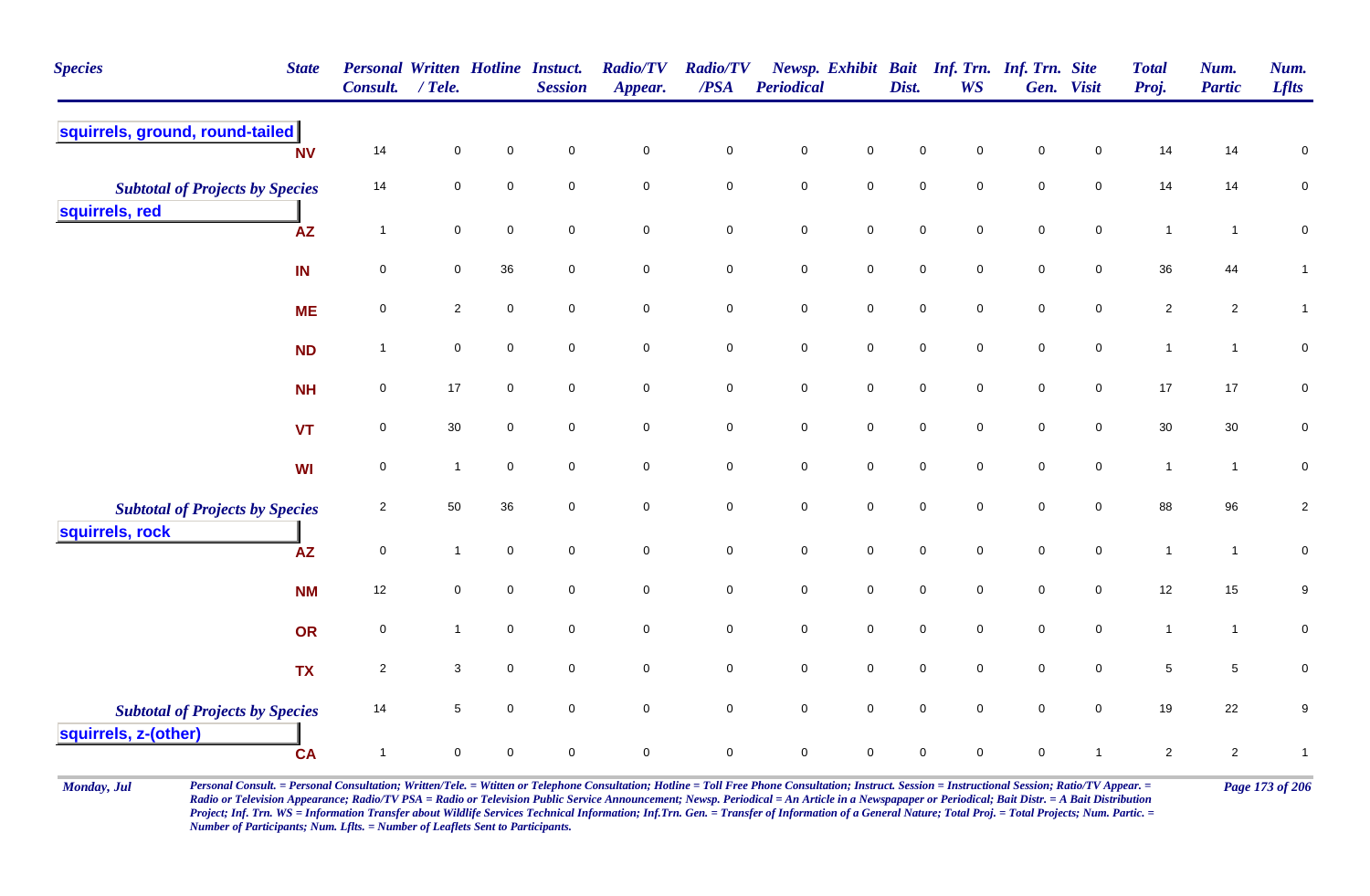| <b>Species</b>                                           | <b>State</b>           | <b>Personal Written Hotline Instuct.</b><br><b>Consult.</b> | / Tele.         |             | <b>Session</b>      | <b>Radio/TV</b><br>Appear. | <b>Radio/TV</b><br>/PSA | Periodical  |                     | Dist.               | Newsp. Exhibit Bait Inf. Trn. Inf. Trn. Site<br><b>WS</b> |                     | Gen. Visit          | <b>Total</b><br>Proj. | Num.<br><b>Partic</b> | Num.<br><b>Lflts</b> |
|----------------------------------------------------------|------------------------|-------------------------------------------------------------|-----------------|-------------|---------------------|----------------------------|-------------------------|-------------|---------------------|---------------------|-----------------------------------------------------------|---------------------|---------------------|-----------------------|-----------------------|----------------------|
| squirrels, ground, round-tailed                          | <b>NV</b>              | 14                                                          | $\mathsf 0$     | 0           | $\mathbf 0$         | $\mathbf 0$                | $\mathbf 0$             | $\mathsf 0$ | $\mathbf 0$         | $\mathbf 0$         | $\mathbf 0$                                               | $\mathbf 0$         | $\mathbf 0$         | 14                    | 14                    | 0                    |
| <b>Subtotal of Projects by Species</b><br>squirrels, red |                        | 14                                                          | $\mathbf 0$     | 0           | $\mathbf 0$         | $\pmb{0}$                  | $\mathbf 0$             | $\pmb{0}$   | $\mathbf 0$         | $\mathbf 0$         | $\mathbf 0$                                               | $\mathbf 0$         | $\mathbf 0$         | 14                    | 14                    | ${\bf 0}$            |
|                                                          | $\mathsf{A}\mathsf{Z}$ | $\overline{\mathbf{1}}$                                     | $\mathbf 0$     | 0           | $\mathsf{O}\xspace$ | $\pmb{0}$                  | $\mathbf 0$             | $\pmb{0}$   | $\mathbf 0$         | $\mathbf 0$         | $\mathbf 0$                                               | $\mathbf 0$         | $\mathbf 0$         | $\mathbf{1}$          | $\overline{1}$        | $\mathbf 0$          |
|                                                          | IN                     | 0                                                           | $\mathbf 0$     | 36          | $\mathbf 0$         | $\mathbf 0$                | $\mathbf 0$             | $\pmb{0}$   | $\mathbf 0$         | $\mathsf{O}\xspace$ | $\mathbf 0$                                               | $\pmb{0}$           | $\mathbf 0$         | 36                    | 44                    | $\mathbf{1}$         |
|                                                          | <b>ME</b>              | 0                                                           | $\overline{2}$  | $\mathbf 0$ | $\mathbf 0$         | $\mathbf 0$                | $\mathbf 0$             | $\mathsf 0$ | $\mathsf{O}\xspace$ | $\mathbf 0$         | $\overline{0}$                                            | $\mathbf 0$         | $\mathbf 0$         | $\sqrt{2}$            | $\overline{2}$        | $\mathbf{1}$         |
|                                                          | <b>ND</b>              | $\overline{1}$                                              | $\pmb{0}$       | 0           | $\mathbf 0$         | $\pmb{0}$                  | $\mathbf 0$             | $\pmb{0}$   | $\mathbf 0$         | $\mathbf 0$         | $\overline{0}$                                            | $\pmb{0}$           | $\mathbf 0$         | $\mathbf{1}$          | $\mathbf{1}$          | $\pmb{0}$            |
|                                                          | <b>NH</b>              | 0                                                           | $17$            | 0           | $\mathsf{O}\xspace$ | $\mathbf 0$                | $\mathbf 0$             | $\pmb{0}$   | $\mathbf 0$         | $\mathbf 0$         | $\mathbf 0$                                               | $\mathbf 0$         | $\mathbf 0$         | $17$                  | $17$                  | $\pmb{0}$            |
|                                                          | <b>VT</b>              | 0                                                           | $30\,$          | $\mathbf 0$ | $\pmb{0}$           | $\mathbf 0$                | $\mathbf 0$             | $\pmb{0}$   | $\mathsf{O}$        | $\pmb{0}$           | $\mathbf 0$                                               | $\pmb{0}$           | $\mathbf 0$         | $30\,$                | $30\,$                | $\mathbf 0$          |
|                                                          | <b>WI</b>              | $\mathbf 0$                                                 | $\mathbf{1}$    | $\mathbf 0$ | $\mathbf 0$         | $\mathbf 0$                | $\mathbf 0$             | $\mathsf 0$ | $\mathbf 0$         | $\mathbf 0$         | $\overline{0}$                                            | $\mathbf 0$         | $\mathbf 0$         | $\mathbf{1}$          | $\overline{1}$        | $\pmb{0}$            |
| <b>Subtotal of Projects by Species</b>                   |                        | $\overline{2}$                                              | 50              | 36          | $\mathbf 0$         | $\mathbf 0$                | $\mathbf 0$             | $\mathsf 0$ | $\mathsf{O}\xspace$ | $\mathsf{O}\xspace$ | $\mathbf 0$                                               | $\mathbf 0$         | $\overline{0}$      | 88                    | 96                    | $\boldsymbol{2}$     |
| squirrels, rock                                          | <b>AZ</b>              | $\mathbf 0$                                                 | $\mathbf{1}$    | $\mathbf 0$ | $\mathbf 0$         | $\pmb{0}$                  | $\mathbf 0$             | $\pmb{0}$   | $\mathsf{O}\xspace$ | $\mathbf 0$         | $\mathbf 0$                                               | $\mathbf 0$         | $\mathsf{O}\xspace$ | $\mathbf{1}$          | $\overline{1}$        | $\pmb{0}$            |
|                                                          | <b>NM</b>              | 12                                                          | $\pmb{0}$       | $\mathbf 0$ | $\mathbf 0$         | $\pmb{0}$                  | $\mathbf 0$             | $\pmb{0}$   | $\mathbf 0$         | $\mathbf 0$         | $\mathbf 0$                                               | $\pmb{0}$           | $\mathbf 0$         | 12                    | 15                    | $\boldsymbol{9}$     |
|                                                          | <b>OR</b>              | 0                                                           | $\mathbf{1}$    | 0           | $\mathbf 0$         | $\mathbf 0$                | $\mathbf 0$             | $\pmb{0}$   | $\mathsf{O}\xspace$ | $\mathbf 0$         | $\mathbf 0$                                               | $\mathbf 0$         | $\mathbf 0$         | $\mathbf{1}$          | $\overline{1}$        | $\pmb{0}$            |
|                                                          | <b>TX</b>              | $\sqrt{2}$                                                  | $\mathbf 3$     | 0           | $\mathbf 0$         | $\pmb{0}$                  | ${\bf 0}$               | $\pmb{0}$   | $\mathbf 0$         | $\pmb{0}$           | $\mathbf 0$                                               | $\pmb{0}$           | $\mathbf 0$         | $\,$ 5 $\,$           | $\sqrt{5}$            | 0                    |
| <b>Subtotal of Projects by Species</b>                   |                        | 14                                                          | $5\phantom{.0}$ | 0           | $\mathbf 0$         | $\mathbf 0$                | $\mathbf 0$             | $\pmb{0}$   | $\mathbf 0$         | $\mathsf{O}\xspace$ | $\mathbf 0$                                               | $\mathsf{O}\xspace$ | $\mathbf 0$         | 19                    | 22                    | 9                    |
| squirrels, z-(other)                                     | <b>CA</b>              | $\overline{1}$                                              | $\mathsf 0$     | 0           | $\pmb{0}$           | $\pmb{0}$                  | $\mathbf 0$             | $\mathsf 0$ | $\mathbf 0$         | $\mathsf{O}\xspace$ | $\mathsf{O}\xspace$                                       | $\mathsf{O}\xspace$ | $\mathbf{1}$        | $\sqrt{2}$            | $\overline{2}$        | $\mathbf{1}$         |

Monday, Jul Personal Consult. = Personal Consultation; Written/Tele. = Witten or Telephone Consultation; Hotline = Toll Free Phone Consultation; Instruct. Session = Instructional Session; Ratio/TV Appear. = Page 173 of 206 *Radio or Television Appearance; Radio/TV PSA = Radio or Television Public Service Announcement; Newsp. Periodical = An Article in a Newspapaper or Periodical; Bait Distr. = A Bait Distribution*  Project; Inf. Trn. WS = Information Transfer about Wildlife Services Technical Information; Inf.Trn. Gen. = Transfer of Information of a General Nature; Total Proj. = Total Projects; Num. Partic. = *Number of Participants; Num. Lflts. = Number of Leaflets Sent to Participants.*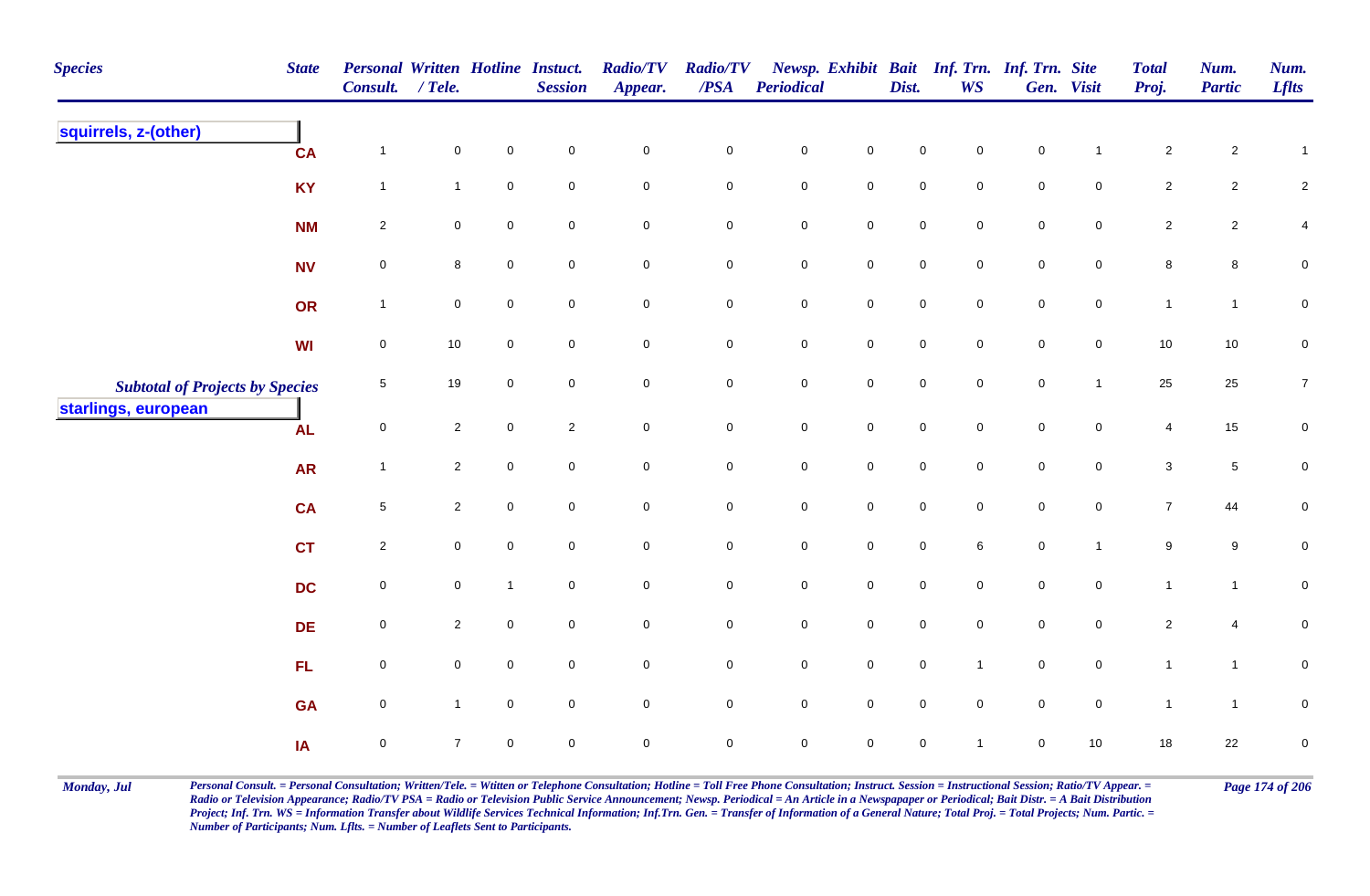| <b>Species</b>                         | <b>State</b> | <b>Personal Written Hotline Instuct.</b><br>Consult. | $/$ Tele.      |                | <b>Session</b>      | <b>Radio/TV</b><br>Appear. | <b>Radio/TV</b><br>$\overline{PSA}$ | Periodical  |             | Dist.               | <b>WS</b>      | Newsp. Exhibit Bait Inf. Trn. Inf. Trn. Site | Gen. Visit     | <b>Total</b><br>Proj. | Num.<br><b>Partic</b> | Num.<br><b>Lflts</b> |
|----------------------------------------|--------------|------------------------------------------------------|----------------|----------------|---------------------|----------------------------|-------------------------------------|-------------|-------------|---------------------|----------------|----------------------------------------------|----------------|-----------------------|-----------------------|----------------------|
| squirrels, z-(other)                   | <b>CA</b>    | $\mathbf 1$                                          | $\pmb{0}$      | $\mathbf 0$    | $\mathsf{O}\xspace$ | $\pmb{0}$                  | $\pmb{0}$                           | $\pmb{0}$   | $\mathbf 0$ | $\mathbf 0$         | $\mathbf 0$    | $\mathbf 0$                                  |                | $\overline{2}$        | $\overline{a}$        | $\mathbf{1}$         |
|                                        | <b>KY</b>    | $\mathbf{1}$                                         | $\mathbf{1}$   | $\pmb{0}$      | $\mathbf 0$         | $\mathbf 0$                | $\mathbf 0$                         | $\mathbf 0$ | $\mathbf 0$ | $\mathbf 0$         | $\mathbf 0$    | $\mathbf 0$                                  | $\mathbf 0$    | $\overline{2}$        | $\overline{2}$        | $\overline{c}$       |
|                                        | <b>NM</b>    | $\sqrt{2}$                                           | 0              | $\mathbf 0$    | $\mathbf 0$         | $\mathbf 0$                | $\pmb{0}$                           | ${\bf 0}$   | $\mathbf 0$ | $\mathbf 0$         | $\mathbf 0$    | $\mathbf 0$                                  | $\mathbf 0$    | $\overline{2}$        | $\overline{2}$        | 4                    |
|                                        | <b>NV</b>    | $\pmb{0}$                                            | 8              | $\mathbf 0$    | $\mathbf 0$         | $\mathbf 0$                | $\mathbf 0$                         | $\pmb{0}$   | $\mathbf 0$ | $\mathbf 0$         | $\mathbf 0$    | ${\bf 0}$                                    | $\mathbf 0$    | 8                     | 8                     | $\pmb{0}$            |
|                                        | OR           | $\mathbf{1}$                                         | 0              | $\mathbf 0$    | $\mathbf 0$         | $\mathbf 0$                | $\mathbf 0$                         | $\mathbf 0$ | $\mathbf 0$ | $\mathbf 0$         | $\mathbf 0$    | $\mathbf 0$                                  | $\overline{0}$ | $\mathbf{1}$          | $\mathbf{1}$          | $\mathbf 0$          |
|                                        | WI           | $\mathbf 0$                                          | 10             | $\mathbf 0$    | $\mathbf 0$         | $\mathbf 0$                | $\mathbf 0$                         | $\mathbf 0$ | $\mathbf 0$ | $\mathsf{O}\xspace$ | $\mathbf 0$    | $\mathbf 0$                                  | $\overline{0}$ | $10$                  | 10                    | $\mathbf 0$          |
| <b>Subtotal of Projects by Species</b> |              | $\sqrt{5}$                                           | 19             | $\mathbf 0$    | $\mathbf 0$         | $\mathbf 0$                | $\mathbf 0$                         | $\mathbf 0$ | $\mathbf 0$ | $\mathbf 0$         | $\overline{0}$ | $\mathbf 0$                                  | $\overline{1}$ | 25                    | 25                    | $\overline{7}$       |
| starlings, european                    | <b>AL</b>    | $\mathsf 0$                                          | $\overline{2}$ | $\mathbf 0$    | $\overline{2}$      | $\mathsf 0$                | $\mathsf 0$                         | $\pmb{0}$   | $\mathbf 0$ | $\mathbf 0$         | $\mathbf 0$    | $\mathbf 0$                                  | $\mathbf 0$    | 4                     | $15\,$                | $\mathbf 0$          |
|                                        | <b>AR</b>    | $\mathbf{1}$                                         | $\overline{2}$ | $\mathbf 0$    | $\mathbf 0$         | $\mathsf{O}\xspace$        | $\pmb{0}$                           | $\mathbf 0$ | $\mathbf 0$ | $\mathsf{O}\xspace$ | $\mathbf 0$    | $\mathsf{O}\xspace$                          | $\mathbf 0$    | $\mathbf{3}$          | $\sqrt{5}$            | ${\bf 0}$            |
|                                        | <b>CA</b>    | $\sqrt{5}$                                           | $\overline{a}$ | $\pmb{0}$      | $\mathbf 0$         | $\mathbf 0$                | $\pmb{0}$                           | $\pmb{0}$   | $\mathbf 0$ | $\mathbf 0$         | $\mathbf 0$    | $\mathbf 0$                                  | $\mathbf 0$    | $\overline{7}$        | 44                    | $\pmb{0}$            |
|                                        | <b>CT</b>    | $\sqrt{2}$                                           | 0              | $\mathbf 0$    | $\overline{0}$      | $\mathbf 0$                | $\mathbf 0$                         | ${\bf 0}$   | $\mathbf 0$ | $\mathbf 0$         | 6              | $\mathbf 0$                                  | $\mathbf{1}$   | 9                     | 9                     | 0                    |
|                                        | <b>DC</b>    | $\pmb{0}$                                            | $\pmb{0}$      | $\overline{1}$ | $\mathbf 0$         | $\mathbf 0$                | $\pmb{0}$                           | $\mathbf 0$ | $\mathbf 0$ | $\mathsf{O}\xspace$ | $\overline{0}$ | $\mathsf{O}\xspace$                          | $\mathbf 0$    | $\mathbf{1}$          | $\mathbf{1}$          | $\pmb{0}$            |
|                                        | <b>DE</b>    | $\pmb{0}$                                            | $\overline{2}$ | $\pmb{0}$      | $\overline{0}$      | $\mathbf 0$                | $\mathbf 0$                         | $\mathbf 0$ | $\mathbf 0$ | $\mathbf 0$         | $\overline{0}$ | $\mathbf 0$                                  | $\overline{0}$ | $\overline{2}$        | $\overline{4}$        | $\mathbf 0$          |
|                                        | FL           | $\mathbf 0$                                          | 0              | $\mathbf 0$    | $\mathbf 0$         | $\mathsf 0$                | $\pmb{0}$                           | $\pmb{0}$   | $\mathbf 0$ | $\mathbf 0$         | $\overline{1}$ | $\mathbf 0$                                  | $\overline{0}$ | $\mathbf{1}$          | $\mathbf{1}$          | $\pmb{0}$            |
|                                        | <b>GA</b>    | $\pmb{0}$                                            | $\mathbf{1}$   | $\mathbf 0$    | $\mathbf 0$         | $\mathsf{O}\xspace$        | $\mathbf 0$                         | $\mathbf 0$ | $\mathbf 0$ | 0                   | $\mathbf 0$    | $\mathbf 0$                                  | $\mathbf 0$    | $\mathbf{1}$          | $\mathbf{1}$          | ${\bf 0}$            |
|                                        | IA           | $\mathsf 0$                                          | $\overline{7}$ | $\mathbf 0$    | $\mathbf 0$         | $\pmb{0}$                  | $\mathsf 0$                         | 0           | $\mathbf 0$ | 0                   | $\overline{1}$ | 0                                            | $10$           | 18                    | 22                    | $\pmb{0}$            |

Monday, Jul Personal Consult. = Personal Consultation; Written/Tele. = Witten or Telephone Consultation; Hotline = Toll Free Phone Consultation; Instruct. Session = Instructional Session; Ratio/TV Appear. = Page 174 of 206 *Radio or Television Appearance; Radio/TV PSA = Radio or Television Public Service Announcement; Newsp. Periodical = An Article in a Newspapaper or Periodical; Bait Distr. = A Bait Distribution*  Project; Inf. Trn. WS = Information Transfer about Wildlife Services Technical Information; Inf.Trn. Gen. = Transfer of Information of a General Nature; Total Proj. = Total Projects; Num. Partic. = *Number of Participants; Num. Lflts. = Number of Leaflets Sent to Participants.*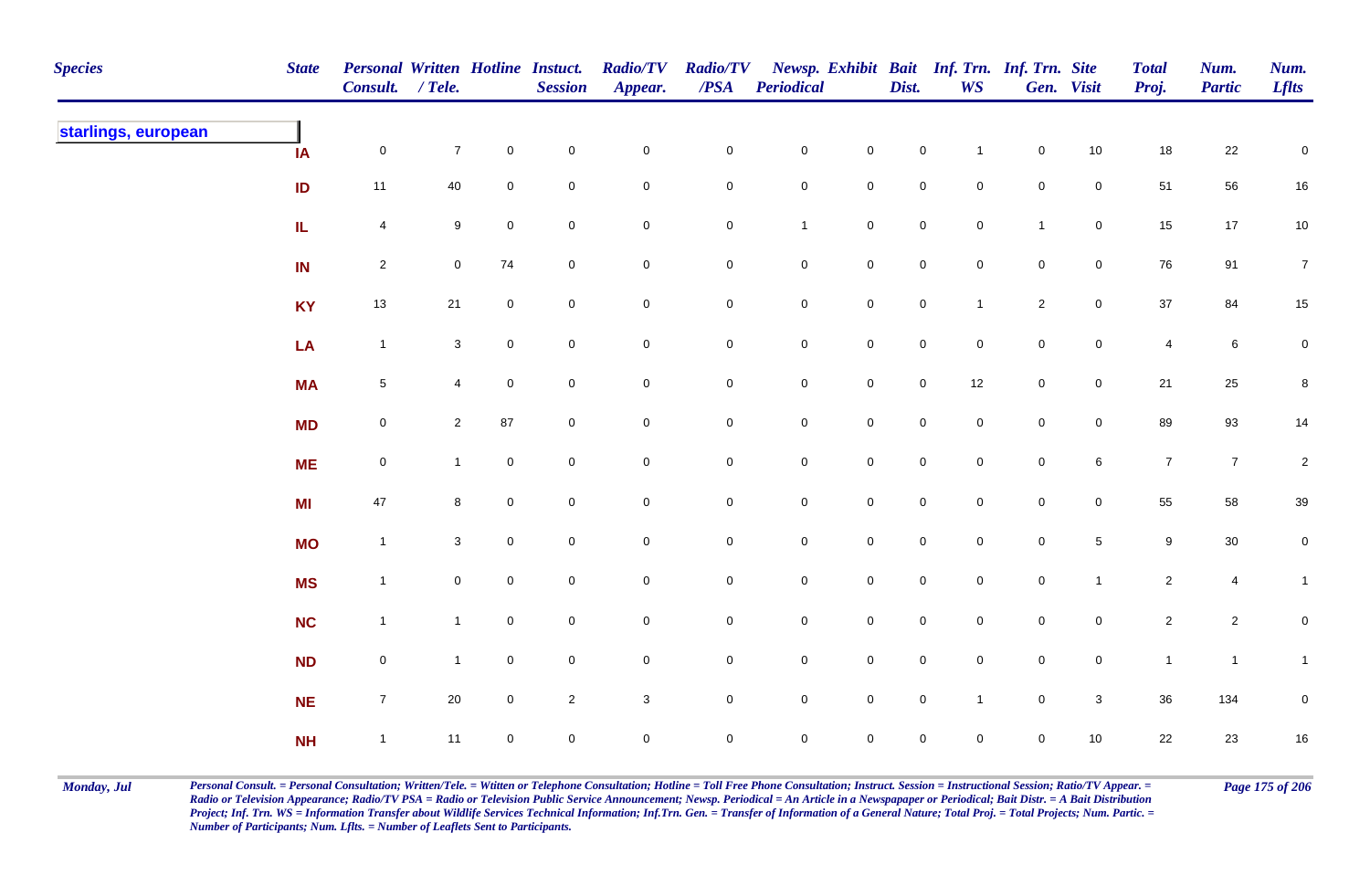| <b>Species</b>      | <b>State</b> | Personal Written Hotline Instuct.<br>Consult. / Tele. |                |                     | <b>Session</b> | <b>Radio/TV</b><br>Appear. | <b>Radio/TV</b><br>$\overline{PSA}$ | <b>Periodical</b>   |                     | Dist.               | WS                  | Newsp. Exhibit Bait Inf. Trn. Inf. Trn. Site | Gen. Visit          | <b>Total</b><br>Proj. | Num.<br><b>Partic</b> | Num.<br><b>Lflts</b> |
|---------------------|--------------|-------------------------------------------------------|----------------|---------------------|----------------|----------------------------|-------------------------------------|---------------------|---------------------|---------------------|---------------------|----------------------------------------------|---------------------|-----------------------|-----------------------|----------------------|
| starlings, european | IA           | $\mathsf{O}$                                          | $\overline{7}$ | $\mathsf{O}\xspace$ | $\pmb{0}$      | $\mathbf 0$                | $\pmb{0}$                           | $\mathbf 0$         | $\mathbf 0$         | $\mathbf 0$         | $\mathbf{1}$        | $\mathbf 0$                                  | $10\,$              | 18                    | 22                    | $\pmb{0}$            |
|                     | ID           | 11                                                    | 40             | 0                   | $\pmb{0}$      | $\pmb{0}$                  | $\pmb{0}$                           | $\mathbf 0$         | $\mathbf 0$         | $\mathbf 0$         | $\mathbf 0$         | $\mathbf 0$                                  | $\mathbf 0$         | 51                    | 56                    | $16\,$               |
|                     | IL           | $\overline{4}$                                        | 9              | $\mathbf 0$         | $\mathbf 0$    | $\mathbf 0$                | $\pmb{0}$                           | $\mathbf{1}$        | $\mathbf 0$         | $\mathbf 0$         | $\mathbf 0$         | $\overline{1}$                               | $\mathsf{O}\xspace$ | 15                    | 17                    | 10                   |
|                     | IN           | $\overline{2}$                                        | $\mathbf 0$    | 74                  | $\mathbf 0$    | $\mathbf 0$                | 0                                   | $\mathbf 0$         | $\mathbf 0$         | $\mathsf{O}\xspace$ | $\mathbf 0$         | $\mathbf 0$                                  | $\mathsf 0$         | 76                    | 91                    | $\overline{7}$       |
|                     | <b>KY</b>    | 13                                                    | 21             | $\mathbf 0$         | $\pmb{0}$      | $\mathbf 0$                | $\pmb{0}$                           | $\mathbf 0$         | $\mathsf{O}\xspace$ | $\mathbf 0$         | $\mathbf{1}$        | $\overline{2}$                               | $\mathbf 0$         | 37                    | 84                    | $15\,$               |
|                     | LA           | $\mathbf{1}$                                          | $\mathbf{3}$   | $\overline{0}$      | $\mathsf 0$    | $\mathsf{O}\xspace$        | $\mathbf 0$                         | $\mathbf 0$         | $\mathsf{O}\xspace$ | $\mathbf 0$         | $\overline{0}$      | $\mathbf 0$                                  | $\overline{0}$      | $\overline{4}$        | $\,6\,$               | $\mathbf 0$          |
|                     | <b>MA</b>    | $\overline{5}$                                        | $\overline{4}$ | $\overline{0}$      | $\mathbf 0$    | $\mathsf{O}\xspace$        | $\pmb{0}$                           | $\mathbf 0$         | $\mathsf{O}\xspace$ | $\mathbf 0$         | 12                  | $\mathbf 0$                                  | $\mathsf{O}\xspace$ | 21                    | 25                    | $\bf 8$              |
|                     | <b>MD</b>    | $\mathsf{O}\xspace$                                   | $\overline{2}$ | 87                  | $\mathbf 0$    | $\mathsf{O}\xspace$        | 0                                   | $\mathbf 0$         | $\mathsf 0$         | $\mathbf 0$         | $\mathsf{O}\xspace$ | $\pmb{0}$                                    | $\mathbf 0$         | 89                    | 93                    | 14                   |
|                     | <b>ME</b>    | $\mathbf 0$                                           | $\mathbf 1$    | $\mathbf{0}$        | $\pmb{0}$      | $\mathbf 0$                | $\pmb{0}$                           | $\mathsf{O}\xspace$ | $\mathbf 0$         | $\pmb{0}$           | $\mathbf 0$         | $\pmb{0}$                                    | $\,6\,$             | $\boldsymbol{7}$      | $\overline{7}$        | $\overline{2}$       |
|                     | MI           | 47                                                    | 8              | $\mathbf 0$         | $\mathbf 0$    | $\mathbf 0$                | 0                                   | $\mathbf 0$         | $\mathbf 0$         | $\mathbf 0$         | $\mathbf 0$         | $\mathbf 0$                                  | $\mathbf 0$         | 55                    | 58                    | $39\,$               |
|                     | <b>MO</b>    | $\mathbf{1}$                                          | $\mathbf{3}$   | $\mathbf 0$         | $\pmb{0}$      | $\mathbf 0$                | $\pmb{0}$                           | $\mathbf 0$         | $\mathsf{O}\xspace$ | $\mathsf{O}\xspace$ | $\mathbf 0$         | $\pmb{0}$                                    | $\sqrt{5}$          | $\boldsymbol{9}$      | $30\,$                | $\overline{0}$       |
|                     | <b>MS</b>    | $\mathbf{1}$                                          | $\mathbf 0$    | $\overline{0}$      | $\mathbf 0$    | $\mathbf 0$                | $\pmb{0}$                           | $\mathbf 0$         | $\mathsf{O}\xspace$ | $\mathbf 0$         | $\mathbf 0$         | $\mathbf 0$                                  | $\mathbf{1}$        | $\overline{2}$        | $\overline{4}$        | $\mathbf{1}$         |
|                     | <b>NC</b>    | $\mathbf{1}$                                          | $\mathbf{1}$   | $\mathbf 0$         | $\pmb{0}$      | $\mathbf 0$                | 0                                   | $\mathbf 0$         | $\mathbf 0$         | $\mathbf 0$         | $\mathbf 0$         | $\mathbf 0$                                  | $\mathbf 0$         | $\mathbf{2}$          | $\overline{c}$        | $\pmb{0}$            |
|                     | <b>ND</b>    | $\mathbf 0$                                           | $\mathbf{1}$   | $\overline{0}$      | $\mathsf 0$    | $\pmb{0}$                  | 0                                   | $\mathbf 0$         | $\mathsf{O}\xspace$ | $\mathsf{O}\xspace$ | $\overline{0}$      | $\mathbf 0$                                  | $\overline{0}$      | $\mathbf{1}$          | $\mathbf{1}$          | $\mathbf{1}$         |
|                     | <b>NE</b>    | $\overline{7}$                                        | 20             | $\mathbf 0$         | $\sqrt{2}$     | $\sqrt{3}$                 | 0                                   | $\mathbf 0$         | $\mathsf{O}\xspace$ | $\mathbf 0$         | $\mathbf{1}$        | $\mathbf 0$                                  | $\mathbf{3}$        | 36                    | 134                   | $\pmb{0}$            |
|                     | NH           | $\mathbf{1}$                                          | 11             | $\mathbf 0$         | $\pmb{0}$      | $\mathbf 0$                | $\mathsf{O}$                        | $\mathsf{O}\xspace$ | $\mathsf{O}\xspace$ | $\mathbf 0$         | $\mathbf 0$         | $\mathsf{O}\xspace$                          | 10                  | 22                    | 23                    | $16\,$               |

Monday, Jul Personal Consult. = Personal Consultation; Written/Tele. = Witten or Telephone Consultation; Hotline = Toll Free Phone Consultation; Instruct. Session = Instructional Session; Ratio/TV Appear. = Page 175 of 206 *Radio or Television Appearance; Radio/TV PSA = Radio or Television Public Service Announcement; Newsp. Periodical = An Article in a Newspapaper or Periodical; Bait Distr. = A Bait Distribution*  Project; Inf. Trn. WS = Information Transfer about Wildlife Services Technical Information; Inf.Trn. Gen. = Transfer of Information of a General Nature; Total Proj. = Total Projects; Num. Partic. = *Number of Participants; Num. Lflts. = Number of Leaflets Sent to Participants.*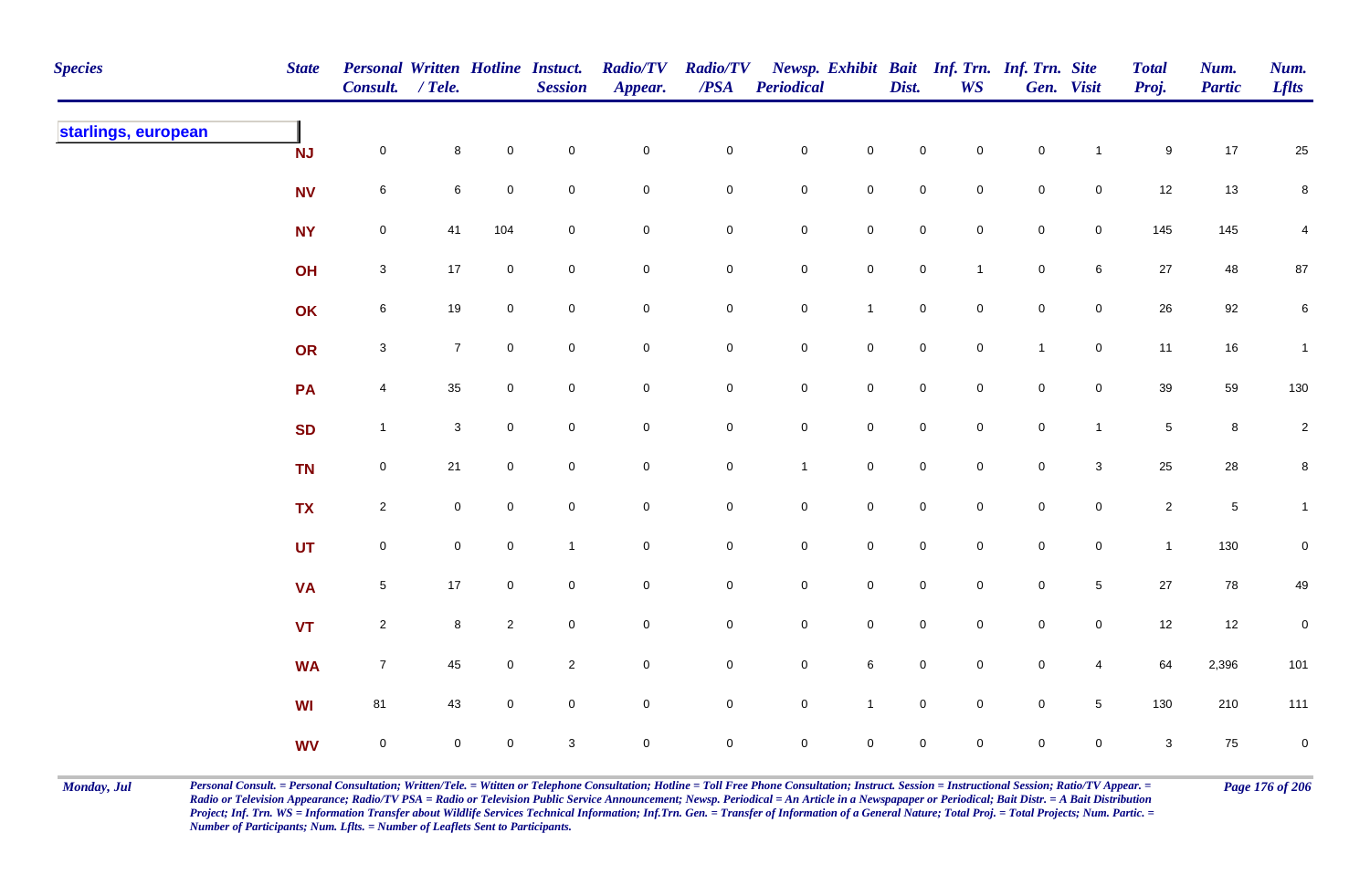| <b>Species</b>      | <b>State</b> | <b>Personal Written Hotline Instuct.</b><br>Consult. / Tele. |                 |                     | <b>Session</b> | <b>Radio/TV</b><br>Appear. | <b>Radio/TV</b><br>$\overline{PSA}$ | Periodical          |                     | Dist.               | Newsp. Exhibit Bait Inf. Trn. Inf. Trn. Site<br><b>WS</b> |              | Gen. Visit      | <b>Total</b><br>Proj. | Num.<br><b>Partic</b> | Num.<br><b>Lflts</b> |
|---------------------|--------------|--------------------------------------------------------------|-----------------|---------------------|----------------|----------------------------|-------------------------------------|---------------------|---------------------|---------------------|-----------------------------------------------------------|--------------|-----------------|-----------------------|-----------------------|----------------------|
| starlings, european | <b>NJ</b>    | $\mathbf 0$                                                  | 8               | $\mathbf 0$         | ${\bf 0}$      | $\mathbf 0$                | $\pmb{0}$                           | $\mathbf 0$         | $\mathsf{O}\xspace$ | $\mathbf 0$         | $\mathbf 0$                                               | $\pmb{0}$    | $\mathbf{1}$    | 9                     | 17                    | 25                   |
|                     | <b>NV</b>    | $\,6\,$                                                      | $6\phantom{.}6$ | $\mathbf 0$         | $\mathbf 0$    | $\mathbf 0$                | $\pmb{0}$                           | $\mathsf{O}$        | $\mathbf 0$         | $\mathbf 0$         | $\overline{0}$                                            | $\pmb{0}$    | $\mathsf 0$     | 12                    | 13                    | 8                    |
|                     | <b>NY</b>    | $\mathsf{O}\xspace$                                          | 41              | 104                 | $\mathbf 0$    | $\mathbf 0$                | 0                                   | $\mathsf{O}$        | $\mathsf{O}\xspace$ | $\mathbf 0$         | $\overline{0}$                                            | $\pmb{0}$    | $\overline{0}$  | 145                   | 145                   | 4                    |
|                     | OH           | $\mathbf{3}$                                                 | $17$            | $\mathbf 0$         | $\mathbf 0$    | $\mathsf 0$                | $\mathbf 0$                         | $\mathsf{O}$        | $\mathsf{O}\xspace$ | $\mathbf 0$         | $\mathbf{1}$                                              | $\mathbf 0$  | $6\phantom{.}6$ | 27                    | 48                    | $87\,$               |
|                     | OK           | $\,$ 6 $\,$                                                  | 19              | $\mathbf 0$         | $\pmb{0}$      | $\pmb{0}$                  | $\pmb{0}$                           | $\mathsf{O}\xspace$ | $\mathbf{1}$        | $\pmb{0}$           | $\mathsf{O}\xspace$                                       | $\mathbf 0$  | $\mathsf 0$     | 26                    | 92                    | $\,6\,$              |
|                     | OR           | $\mathbf 3$                                                  | $\overline{7}$  | $\mathsf{O}\xspace$ | $\pmb{0}$      | $\mathsf 0$                | $\mathbf 0$                         | $\mathbf 0$         | $\mathsf{O}\xspace$ | $\mathsf 0$         | $\mathbf 0$                                               | $\mathbf{1}$ | $\mathbf 0$     | 11                    | 16                    | $\overline{1}$       |
|                     | PA           | $\overline{4}$                                               | 35              | 0                   | $\mathsf 0$    | $\mathbf 0$                | $\mathbf 0$                         | $\mathbf 0$         | $\mathsf{O}\xspace$ | $\mathsf 0$         | $\mathbf 0$                                               | $\mathbf 0$  | $\overline{0}$  | 39                    | 59                    | 130                  |
|                     | <b>SD</b>    | $\mathbf{1}$                                                 | $\mathbf{3}$    | $\mathbf 0$         | $\mathbf 0$    | $\mathbf 0$                | $\mathbf 0$                         | $\mathbf 0$         | $\mathsf{O}\xspace$ | $\mathbf 0$         | $\overline{0}$                                            | $\mathbf 0$  | $\overline{1}$  | $\sqrt{5}$            | $\bf 8$               | $\overline{2}$       |
|                     | <b>TN</b>    | $\mathbf 0$                                                  | 21              | $\mathbf 0$         | $\mathbf 0$    | $\mathbf 0$                | $\pmb{0}$                           | $\mathbf{1}$        | $\mathbf 0$         | $\mathbf 0$         | $\overline{0}$                                            | $\pmb{0}$    | $\mathbf{3}$    | 25                    | $28\,$                | 8                    |
|                     | <b>TX</b>    | $\overline{2}$                                               | $\mathbf 0$     | $\mathbf 0$         | $\pmb{0}$      | $\pmb{0}$                  | $\pmb{0}$                           | $\mathbf 0$         | $\mathsf{O}\xspace$ | $\mathsf{O}\xspace$ | $\mathbf 0$                                               | $\mathbf 0$  | $\mathbf 0$     | $\overline{2}$        | $\,$ 5 $\,$           | $\mathbf{1}$         |
|                     | <b>UT</b>    | $\mathbf 0$                                                  | $\mathbf 0$     | $\mathbf 0$         | $\mathbf{1}$   | $\mathsf{O}\xspace$        | 0                                   | $\mathbf 0$         | $\mathbf 0$         | $\mathbf 0$         | $\mathbf 0$                                               | ${\bf 0}$    | $\mathsf{O}$    | $\mathbf{1}$          | 130                   | 0                    |
|                     | <b>VA</b>    | $5\phantom{.0}$                                              | $17$            | $\mathbf 0$         | $\mathbf 0$    | $\mathsf 0$                | 0                                   | $\mathbf 0$         | $\mathbf 0$         | $\mathbf 0$         | $\overline{0}$                                            | $\mathbf 0$  | $\sqrt{5}$      | 27                    | 78                    | 49                   |
|                     | <b>VT</b>    | $\overline{2}$                                               | 8               | $\overline{c}$      | $\mathbf 0$    | $\pmb{0}$                  | 0                                   | $\mathbf 0$         | $\mathsf{O}\xspace$ | $\pmb{0}$           | $\overline{0}$                                            | $\mathbf 0$  | $\mathsf{O}$    | 12                    | 12                    | 0                    |
|                     | <b>WA</b>    | $\overline{7}$                                               | 45              | $\mathbf 0$         | $\overline{2}$ | $\pmb{0}$                  | $\pmb{0}$                           | $\mathsf{O}$        | $\,6\,$             | $\mathsf{O}\xspace$ | $\mathbf 0$                                               | $\mathbf 0$  | $\overline{4}$  | 64                    | 2,396                 | 101                  |
|                     | WI           | 81                                                           | 43              | $\mathbf 0$         | $\pmb{0}$      | $\pmb{0}$                  | $\mathbf 0$                         | $\mathsf 0$         | $\overline{1}$      | $\mathsf 0$         | $\mathsf 0$                                               | $\pmb{0}$    | $\sqrt{5}$      | 130                   | 210                   | 111                  |
|                     | <b>WV</b>    | $\mathsf{O}\xspace$                                          | $\mathbf 0$     | $\mathsf{O}$        | $\sqrt{3}$     | $\mathbf 0$                | $\mathbf 0$                         | $\mathbf 0$         | $\mathsf{O}\xspace$ | $\pmb{0}$           | $\mathbf 0$                                               | $\mathbf 0$  | $\mathbf 0$     | $\mathbf{3}$          | $75\,$                | $\mathbf 0$          |

Monday, Jul Personal Consult. = Personal Consultation; Written/Tele. = Witten or Telephone Consultation; Hotline = Toll Free Phone Consultation; Instruct. Session = Instructional Session; Ratio/TV Appear. = Page 176 of 206 *Radio or Television Appearance; Radio/TV PSA = Radio or Television Public Service Announcement; Newsp. Periodical = An Article in a Newspapaper or Periodical; Bait Distr. = A Bait Distribution*  Project; Inf. Trn. WS = Information Transfer about Wildlife Services Technical Information; Inf.Trn. Gen. = Transfer of Information of a General Nature; Total Proj. = Total Projects; Num. Partic. = *Number of Participants; Num. Lflts. = Number of Leaflets Sent to Participants.*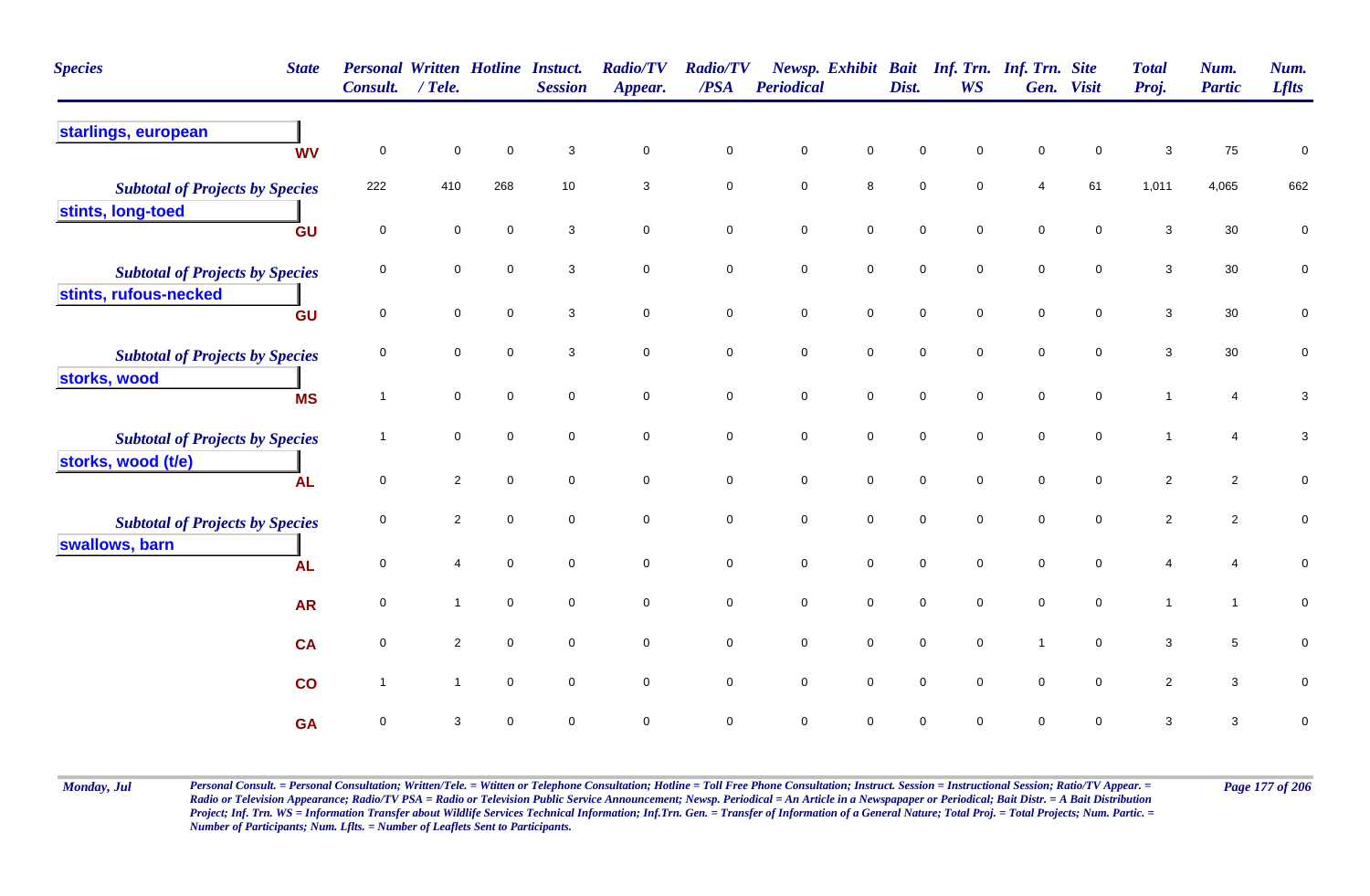| <b>Species</b><br><b>State</b>                                  | <b>Personal Written Hotline Instuct.</b><br>Consult. | $/$ Tele.      |             | <b>Session</b> | <b>Radio/TV</b><br>Appear. | <b>Radio/TV</b><br>/PSA | <b>Periodical</b>   |                     | Dist.               | Newsp. Exhibit Bait Inf. Trn. Inf. Trn. Site<br><b>WS</b> |                     | Gen. Visit          | <b>Total</b><br>Proj. | Num.<br><b>Partic</b> | Num.<br><b>Lflts</b>      |
|-----------------------------------------------------------------|------------------------------------------------------|----------------|-------------|----------------|----------------------------|-------------------------|---------------------|---------------------|---------------------|-----------------------------------------------------------|---------------------|---------------------|-----------------------|-----------------------|---------------------------|
| starlings, european<br><b>WV</b>                                | 0                                                    | $\mathbf 0$    | $\mathbf 0$ | 3              | $\mathbf 0$                | $\mathbf 0$             | $\pmb{0}$           | $\mathbf 0$         | $\mathbf 0$         | $\mathbf 0$                                               | $\mathsf 0$         | $\mathbf 0$         | $\mathbf{3}$          | ${\bf 75}$            | 0                         |
| <b>Subtotal of Projects by Species</b><br>stints, long-toed     | 222                                                  | 410            | 268         | 10             | 3                          | $\mathbf 0$             | $\mathsf{O}\xspace$ | 8                   | $\mathbf 0$         | $\mathbf 0$                                               | 4                   | 61                  | 1,011                 | 4,065                 | 662                       |
| GU                                                              | $\mathbf 0$                                          | $\mathbf 0$    | $\mathbf 0$ | 3              | $\mathbf 0$                | $\pmb{0}$               | $\mathbf 0$         | $\mathsf{O}\xspace$ | $\mathsf{O}\xspace$ | $\mathbf 0$                                               | $\mathsf{O}\xspace$ | $\mathbf 0$         | $\mathbf{3}$          | 30                    | $\pmb{0}$                 |
| <b>Subtotal of Projects by Species</b><br>stints, rufous-necked | 0                                                    | $\mathbf 0$    | $\mathbf 0$ | 3              | $\mathbf 0$                | $\mathbf 0$             | $\pmb{0}$           | $\mathsf{O}\xspace$ | $\mathbf 0$         | $\mathbf 0$                                               | $\mathsf 0$         | $\mathbf 0$         | $\mathbf{3}$          | $30\,$                | $\pmb{0}$                 |
| GU                                                              | $\mathbf 0$                                          | $\mathbf 0$    | $\mathbf 0$ | 3              | $\mathsf{O}\xspace$        | $\mathbf 0$             | $\mathbf 0$         | $\mathsf{O}\xspace$ | $\mathbf 0$         | $\mathsf{O}\xspace$                                       | $\mathsf{O}\xspace$ | $\mathsf{O}\xspace$ | $\mathbf{3}$          | $30\,$                | $\pmb{0}$                 |
| <b>Subtotal of Projects by Species</b><br>storks, wood          | 0                                                    | $\mathbf 0$    | 0           | 3              | $\mathbf 0$                | $\mathbf 0$             | $\pmb{0}$           | $\mathbf 0$         | $\mathbf 0$         | $\mathbf 0$                                               | $\mathsf 0$         | $\mathbf 0$         | 3                     | $30\,$                | 0                         |
| <b>MS</b>                                                       | $\overline{1}$                                       | $\mathbf 0$    | $\mathbf 0$ | $\mathbf 0$    | $\mathsf{O}\xspace$        | $\mathbf 0$             | $\mathbf 0$         | $\mathsf{O}\xspace$ | $\mathbf 0$         | $\mathbf 0$                                               | $\pmb{0}$           | $\mathbf 0$         | $\overline{1}$        | $\overline{4}$        | $\mathbf{3}$              |
| <b>Subtotal of Projects by Species</b>                          | 1                                                    | $\mathbf 0$    | $\mathbf 0$ | $\Omega$       | $\mathbf 0$                | $\pmb{0}$               | $\mathsf{O}\xspace$ | $\mathsf{O}\xspace$ | $\pmb{0}$           | $\mathbf 0$                                               | $\mathsf{O}\xspace$ | $\mathsf{O}\xspace$ | $\mathbf 1$           | $\overline{4}$        | $\ensuremath{\mathsf{3}}$ |
| storks, wood (t/e)<br><b>AL</b>                                 | $\mathbf 0$                                          | $\overline{2}$ | $\mathbf 0$ | $\mathbf 0$    | $\mathbf 0$                | $\mathbf 0$             | $\mathsf{O}\xspace$ | $\overline{0}$      | $\mathbf 0$         | $\mathbf 0$                                               | $\mathbf 0$         | $\mathbf 0$         | $\overline{2}$        | $\overline{2}$        | 0                         |
| <b>Subtotal of Projects by Species</b>                          | $\mathbf 0$                                          | $\overline{2}$ | $\mathbf 0$ | $\mathbf 0$    | $\mathbf 0$                | $\pmb{0}$               | $\mathsf{O}\xspace$ | $\mathsf{O}\xspace$ | $\mathbf 0$         | $\mathsf 0$                                               | $\mathbf 0$         | $\mathsf{O}\xspace$ | $\overline{c}$        | $\overline{2}$        | $\pmb{0}$                 |
| swallows, barn<br><b>AL</b>                                     | 0                                                    | $\overline{4}$ | $\mathbf 0$ | $\mathbf 0$    | $\mathbf 0$                | $\pmb{0}$               | $\mathsf{O}\xspace$ | $\overline{0}$      | $\mathbf 0$         | $\mathbf 0$                                               | $\mathbf 0$         | $\mathbf 0$         | 4                     | 4                     | 0                         |
| <b>AR</b>                                                       | 0                                                    | $\mathbf{1}$   | $\mathbf 0$ | $\mathbf 0$    | $\mathbf 0$                | $\mathbf 0$             | $\pmb{0}$           | $\mathbf 0$         | $\mathbf 0$         | $\mathbf 0$                                               | $\pmb{0}$           | $\mathbf 0$         | $\mathbf{1}$          | $\mathbf{1}$          | $\pmb{0}$                 |
| <b>CA</b>                                                       | $\mathbf 0$                                          | $\overline{2}$ | $\mathbf 0$ | $\mathbf 0$    | $\mathbf 0$                | $\mathsf 0$             | $\mathbf 0$         | $\mathsf{O}\xspace$ | $\mathsf{O}\xspace$ | $\mathsf 0$                                               | $\overline{1}$      | $\mathsf{O}\xspace$ | 3                     | $5\phantom{.0}$       | $\mathbf 0$               |
| co                                                              | $\overline{\mathbf{1}}$                              | $\mathbf{1}$   | $\mathbf 0$ | $\mathbf 0$    | $\mathbf 0$                | $\mathbf 0$             | $\mathsf{O}\xspace$ | $\mathsf{O}\xspace$ | $\mathbf 0$         | $\mathbf 0$                                               | $\mathbf 0$         | $\mathsf{O}\xspace$ | $\overline{c}$        | $\mathbf{3}$          | 0                         |
| <b>GA</b>                                                       | 0                                                    | 3              | $\mathbf 0$ | $\mathbf 0$    | 0                          | $\mathsf 0$             | $\pmb{0}$           | $\mathsf 0$         | $\mathbf 0$         | $\mathbf 0$                                               | $\mathbf 0$         | $\mathbf 0$         | 3                     | $\mathbf{3}$          | 0                         |

Monday, Jul Personal Consult. = Personal Consultation; Written/Tele. = Witten or Telephone Consultation; Hotline = Toll Free Phone Consultation; Instruct. Session = Instructional Session; Ratio/TV Appear. = Page 177 of 206 *Radio or Television Appearance; Radio/TV PSA = Radio or Television Public Service Announcement; Newsp. Periodical = An Article in a Newspapaper or Periodical; Bait Distr. = A Bait Distribution*  Project; Inf. Trn. WS = Information Transfer about Wildlife Services Technical Information; Inf.Trn. Gen. = Transfer of Information of a General Nature; Total Proj. = Total Projects; Num. Partic. = *Number of Participants; Num. Lflts. = Number of Leaflets Sent to Participants.*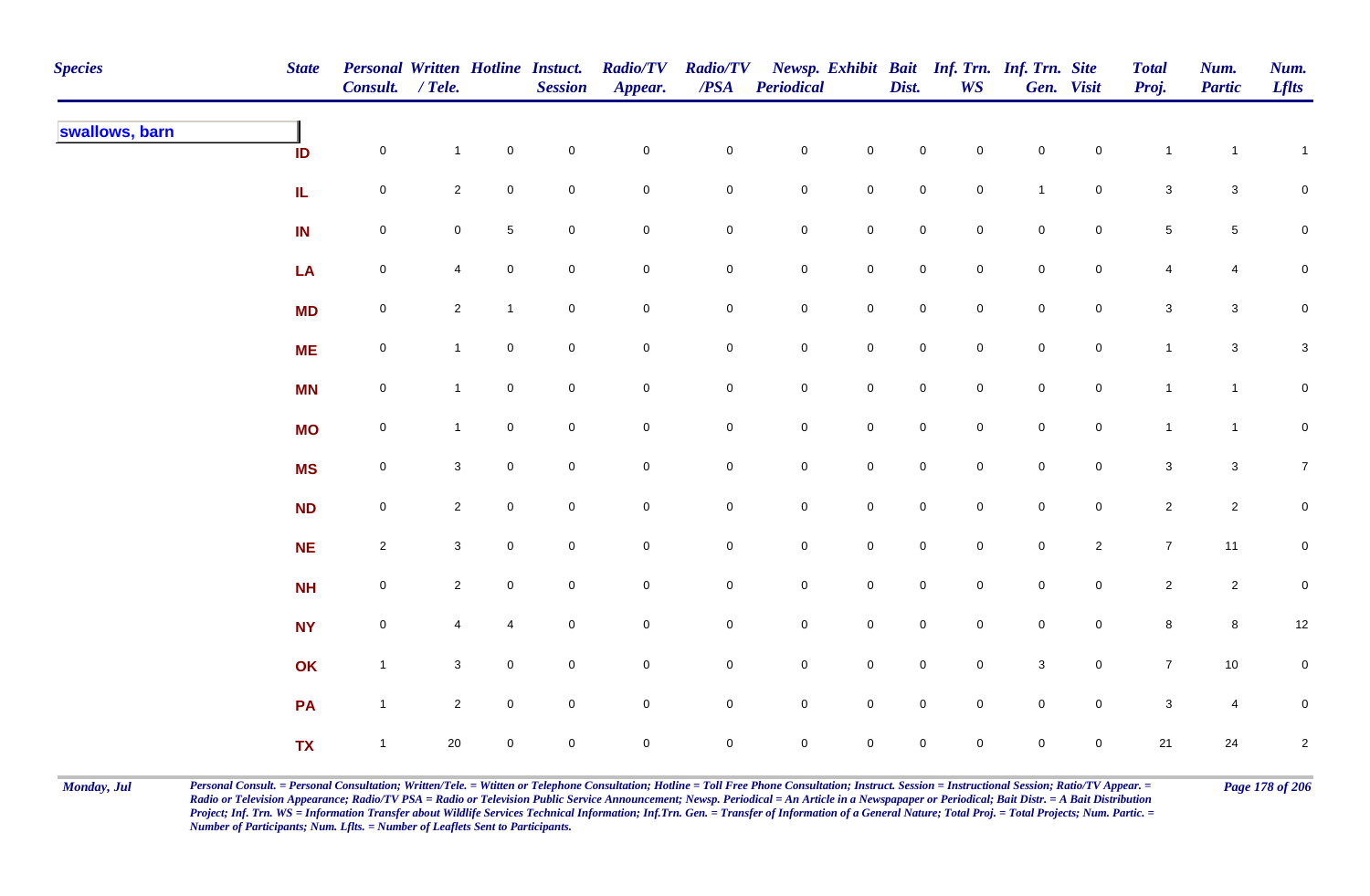| <b>Species</b> | <b>State</b> | Personal Written Hotline Instuct.<br>Consult. / Tele. |                |                     | <b>Session</b> | <b>Radio/TV</b><br>Appear. | <b>Radio/TV</b><br>$\overline{PSA}$ | <b>Periodical</b> |                     | Dist.               | <b>WS</b>           | Newsp. Exhibit Bait Inf. Trn. Inf. Trn. Site | Gen. Visit          | <b>Total</b><br>Proj.     | Num.<br><b>Partic</b>   | Num.<br><b>Lflts</b> |
|----------------|--------------|-------------------------------------------------------|----------------|---------------------|----------------|----------------------------|-------------------------------------|-------------------|---------------------|---------------------|---------------------|----------------------------------------------|---------------------|---------------------------|-------------------------|----------------------|
| swallows, barn | ID           | $\mathsf{O}\xspace$                                   | $\mathbf{1}$   | $\mathbf 0$         | $\pmb{0}$      | $\pmb{0}$                  | $\pmb{0}$                           | $\mathbf 0$       | $\mathbf 0$         | $\mathbf 0$         | $\mathbf 0$         | $\mathbf 0$                                  | $\mathsf{O}\xspace$ | $\mathbf{1}$              | $\mathbf{1}$            | $\mathbf{1}$         |
|                | IL.          | $\mathbf 0$                                           | $\overline{2}$ | $\mathbf 0$         | $\pmb{0}$      | $\mathbf 0$                | 0                                   | $\overline{0}$    | $\mathbf 0$         | $\mathbf 0$         | $\overline{0}$      | $\mathbf{1}$                                 | $\overline{0}$      | $\mathbf{3}$              | $\mathbf{3}$            | $\mathbf 0$          |
|                | IN           | $\mathsf{O}\xspace$                                   | $\mathbf 0$    | $5\phantom{.0}$     | $\mathsf 0$    | $\mathbf 0$                | $\pmb{0}$                           | $\mathbf 0$       | $\mathbf 0$         | $\mathsf{O}\xspace$ | $\mathbf 0$         | $\mathbf 0$                                  | $\overline{0}$      | $\,$ 5 $\,$               | $\sqrt{5}$              | $\mathbf 0$          |
|                | LA           | $\mathbf 0$                                           | $\overline{4}$ | $\mathsf{O}\xspace$ | $\mathbf 0$    | $\pmb{0}$                  | $\mathbf 0$                         | $\mathbf 0$       | $\mathbf 0$         | $\mathsf{O}\xspace$ | $\mathbf 0$         | $\mathbf 0$                                  | $\mathbf 0$         | 4                         | $\overline{\mathbf{4}}$ | $\mathsf{O}\xspace$  |
|                | <b>MD</b>    | $\mathsf{O}\xspace$                                   | $\overline{2}$ | $\mathbf{1}$        | $\mathbf 0$    | $\pmb{0}$                  | $\pmb{0}$                           | $\mathbf 0$       | $\mathsf{O}\xspace$ | $\mathsf{O}\xspace$ | $\overline{0}$      | $\mathbf 0$                                  | $\mathbf 0$         | $\mathbf{3}$              | $\mathbf{3}$            | $\mathsf{O}\xspace$  |
|                | <b>ME</b>    | $\mathbf 0$                                           | $\mathbf{1}$   | $\mathbf 0$         | $\mathbf 0$    | $\pmb{0}$                  | $\mathbf 0$                         | $\mathbf 0$       | $\mathbf 0$         | $\mathsf{O}\xspace$ | $\mathbf 0$         | $\pmb{0}$                                    | $\mathbf 0$         | $\mathbf{1}$              | $\mathbf{3}$            | $\mathbf{3}$         |
|                | <b>MN</b>    | $\mathbf 0$                                           | $\mathbf{1}$   | $\overline{0}$      | $\mathsf 0$    | $\pmb{0}$                  | 0                                   | $\mathbf 0$       | $\mathbf 0$         | $\mathbf 0$         | $\mathbf 0$         | $\mathsf{O}\xspace$                          | $\mathsf{O}\xspace$ | $\mathbf{1}$              | $\mathbf{1}$            | $\mathbf 0$          |
|                | <b>MO</b>    | $\mathsf{O}\xspace$                                   | $\mathbf{1}$   | $\mathbf 0$         | $\mathbf 0$    | $\mathbf 0$                | 0                                   | $\mathbf 0$       | $\mathbf 0$         | $\mathbf 0$         | $\mathbf 0$         | $\mathsf{O}\xspace$                          | $\mathsf{O}\xspace$ | $\mathbf{1}$              | $\mathbf{1}$            | $\mathbf 0$          |
|                | <b>MS</b>    | $\mathbf 0$                                           | $\mathbf{3}$   | $\mathbf 0$         | $\pmb{0}$      | $\pmb{0}$                  | $\mathsf{O}\xspace$                 | $\mathbf 0$       | $\mathbf 0$         | $\mathbf 0$         | $\mathsf{O}\xspace$ | $\mathbf 0$                                  | $\mathsf{O}\xspace$ | $\ensuremath{\mathsf{3}}$ | $\mathbf{3}$            | $\overline{7}$       |
|                | <b>ND</b>    | $\mathbf 0$                                           | $\overline{2}$ | $\mathbf 0$         | $\mathsf 0$    | $\pmb{0}$                  | $\pmb{0}$                           | $\mathbf 0$       | $\mathbf 0$         | $\mathsf{O}\xspace$ | $\overline{0}$      | $\mathbf 0$                                  | $\mathsf{O}\xspace$ | $\overline{2}$            | $\overline{2}$          | $\mathbf 0$          |
|                | NE           | $\overline{2}$                                        | $\mathbf{3}$   | $\overline{0}$      | $\mathsf 0$    | $\mathbf 0$                | 0                                   | $\mathbf 0$       | $\mathbf 0$         | $\mathsf{O}\xspace$ | $\overline{0}$      | $\mathbf 0$                                  | $\overline{2}$      | $\overline{7}$            | 11                      | $\mathbf 0$          |
|                | <b>NH</b>    | $\mathbf 0$                                           | $\overline{2}$ | $\overline{0}$      | $\mathsf 0$    | $\mathbf 0$                | 0                                   | $\overline{0}$    | $\mathbf 0$         | $\mathbf 0$         | $\mathbf 0$         | $\mathbf 0$                                  | $\mathbf 0$         | $\overline{2}$            | $\overline{2}$          | $\overline{0}$       |
|                | <b>NY</b>    | $\mathsf{O}\xspace$                                   | $\overline{4}$ | 4                   | $\mathbf 0$    | $\mathbf 0$                | $\mathbf 0$                         | $\mathbf 0$       | $\mathbf 0$         | $\mathsf{O}\xspace$ | $\overline{0}$      | $\mathbf 0$                                  | $\overline{0}$      | 8                         | 8                       | 12                   |
|                | OK           | $\mathbf{1}$                                          | $\mathbf{3}$   | $\mathsf{O}\xspace$ | $\pmb{0}$      | $\pmb{0}$                  | $\mathsf{O}\xspace$                 | $\mathbf 0$       | $\mathsf{O}\xspace$ | $\pmb{0}$           | $\mathbf 0$         | $\mathbf 3$                                  | $\mathbf 0$         | $\overline{7}$            | $10\,$                  | $\mathsf{O}\xspace$  |
|                | PA           | $\mathbf{1}$                                          | $\mathbf{2}$   | $\overline{0}$      | $\mathsf 0$    | $\pmb{0}$                  | 0                                   | $\mathbf 0$       | $\mathsf{O}\xspace$ | $\mathsf{O}\xspace$ | $\mathbf 0$         | $\mathbf 0$                                  | $\overline{0}$      | $\mathbf 3$               | $\overline{4}$          | $\pmb{0}$            |
|                | <b>TX</b>    | $\mathbf{1}$                                          | $20\,$         | $\mathbf 0$         | $\mathsf 0$    | $\pmb{0}$                  | 0                                   | $\pmb{0}$         | $\mathbf 0$         | 0                   | $\mathbf 0$         | $\mathbf 0$                                  | $\mathbf 0$         | $21$                      | 24                      | $\overline{c}$       |

Monday, Jul Personal Consult. = Personal Consultation; Written/Tele. = Witten or Telephone Consultation; Hotline = Toll Free Phone Consultation; Instruct. Session = Instructional Session; Ratio/TV Appear. = Page 178 of 206 *Radio or Television Appearance; Radio/TV PSA = Radio or Television Public Service Announcement; Newsp. Periodical = An Article in a Newspapaper or Periodical; Bait Distr. = A Bait Distribution*  Project; Inf. Trn. WS = Information Transfer about Wildlife Services Technical Information; Inf.Trn. Gen. = Transfer of Information of a General Nature; Total Proj. = Total Projects; Num. Partic. = *Number of Participants; Num. Lflts. = Number of Leaflets Sent to Participants.*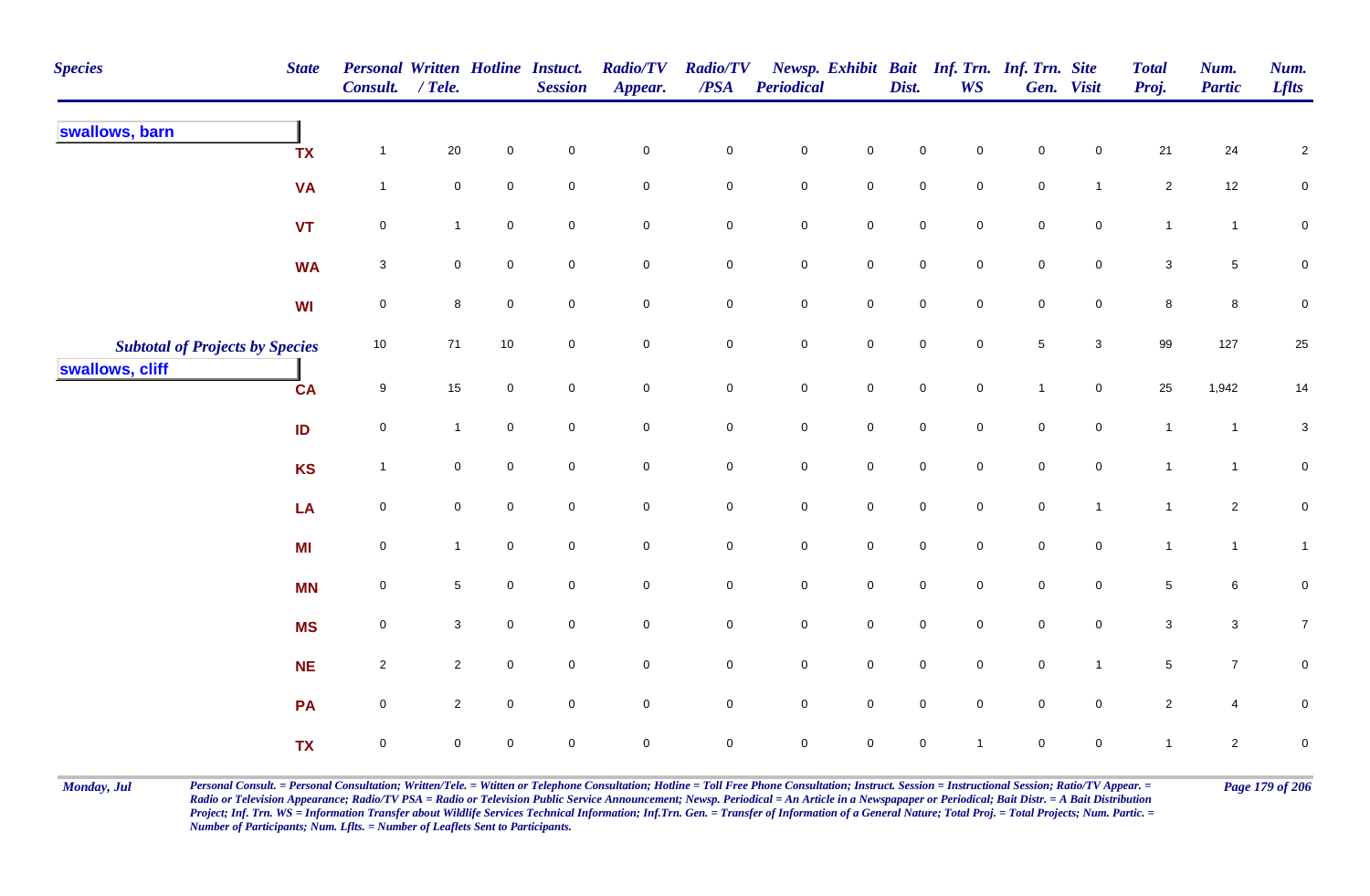| <b>Species</b>                         | <b>State</b> | Personal Written Hotline Instuct.<br>Consult. / Tele. |                 |                     | <b>Session</b>      | <b>Radio/TV</b><br>Appear. | <b>Radio/TV</b><br>$\overline{PSA}$ | <b>Periodical</b>   |                     | Dist.               | Newsp. Exhibit Bait Inf. Trn. Inf. Trn. Site<br><b>WS</b> |                     | Gen. Visit          | <b>Total</b><br>Proj. | Num.<br><b>Partic</b> | Num.<br><b>Lflts</b> |
|----------------------------------------|--------------|-------------------------------------------------------|-----------------|---------------------|---------------------|----------------------------|-------------------------------------|---------------------|---------------------|---------------------|-----------------------------------------------------------|---------------------|---------------------|-----------------------|-----------------------|----------------------|
| swallows, barn                         | <b>TX</b>    | $\mathbf{1}$                                          | 20              | $\mathbf 0$         | $\mathbf 0$         | $\pmb{0}$                  | 0                                   | $\mathbf 0$         | $\mathbf 0$         | $\mathsf 0$         | $\mathbf 0$                                               | $\mathbf 0$         | $\mathbf 0$         | 21                    | 24                    | $\overline{a}$       |
|                                        | <b>VA</b>    | $\mathbf{1}$                                          | $\mathbf 0$     | $\mathbf 0$         | $\mathbf 0$         | $\mathsf 0$                | 0                                   | $\mathbf 0$         | $\mathbf 0$         | $\mathbf 0$         | $\mathbf 0$                                               | $\mathbf 0$         | $\mathbf{1}$        | $\overline{2}$        | 12                    | $\mathbf 0$          |
|                                        | <b>VT</b>    | $\mathbf 0$                                           | $\mathbf{1}$    | $\mathbf 0$         | $\mathbf 0$         | $\mathsf 0$                | $\pmb{0}$                           | $\mathbf 0$         | $\mathbf 0$         | $\mathbf 0$         | $\mathbf 0$                                               | $\mathsf{O}\xspace$ | $\mathbf 0$         | $\mathbf{1}$          | $\mathbf{1}$          | $\pmb{0}$            |
|                                        | <b>WA</b>    | $\mathsf 3$                                           | $\mathbf 0$     | $\mathbf 0$         | $\mathbf 0$         | $\mathsf 0$                | 0                                   | $\mathbf 0$         | $\mathbf 0$         | $\mathsf{O}\xspace$ | $\mathbf 0$                                               | $\mathsf{O}\xspace$ | $\mathbf 0$         | $\mathbf{3}$          | $5\phantom{.0}$       | 0                    |
|                                        | WI           | $\mathsf{O}\xspace$                                   | 8               | $\mathbf 0$         | $\mathbf 0$         | $\pmb{0}$                  | $\pmb{0}$                           | $\mathbf 0$         | $\mathbf 0$         | $\mathsf{O}\xspace$ | $\mathbf 0$                                               | $\mathsf{O}\xspace$ | $\mathbf 0$         | 8                     | 8                     | 0                    |
| <b>Subtotal of Projects by Species</b> |              | 10                                                    | $71$            | 10                  | $\boldsymbol{0}$    | $\mathbf 0$                | 0                                   | $\mathbf 0$         | $\mathsf{O}\xspace$ | $\mathsf{O}\xspace$ | $\mathbf 0$                                               | $\overline{5}$      | $\mathbf{3}$        | 99                    | 127                   | 25                   |
| swallows, cliff                        | <b>CA</b>    | $\boldsymbol{9}$                                      | 15              | $\mathbf 0$         | $\pmb{0}$           | $\mathbf 0$                | $\pmb{0}$                           | $\mathbf 0$         | $\mathbf 0$         | $\mathsf{O}\xspace$ | $\mathbf 0$                                               | $\overline{1}$      | $\mathbf 0$         | 25                    | 1,942                 | 14                   |
|                                        | ID           | $\pmb{0}$                                             | $\mathbf{1}$    | $\mathsf{O}\xspace$ | $\mathsf{O}\xspace$ | $\pmb{0}$                  | $\pmb{0}$                           | $\mathbf 0$         | $\pmb{0}$           | $\mathsf{O}\xspace$ | $\mathbf 0$                                               | $\mathsf{O}\xspace$ | $\mathbf 0$         | $\mathbf{1}$          | $\mathbf{1}$          | $\mathbf{3}$         |
|                                        | <b>KS</b>    | $\mathbf{1}$                                          | $\mathbf 0$     | $\mathsf{O}\xspace$ | $\pmb{0}$           | $\pmb{0}$                  | $\pmb{0}$                           | $\mathbf 0$         | $\pmb{0}$           | $\mathsf{O}\xspace$ | $\mathbf 0$                                               | $\mathsf{O}\xspace$ | $\mathbf 0$         | $\mathbf{1}$          | $\mathbf{1}$          | $\pmb{0}$            |
|                                        | LA           | $\pmb{0}$                                             | $\mathbf 0$     | $\mathbf 0$         | $\pmb{0}$           | $\mathbf 0$                | $\pmb{0}$                           | $\mathbf 0$         | $\mathsf{O}\xspace$ | $\mathsf{O}\xspace$ | $\mathbf 0$                                               | $\mathbf 0$         | $\mathbf{1}$        | $\mathbf{1}$          | $\overline{2}$        | $\mathbf 0$          |
|                                        | MI           | $\mathsf{O}\xspace$                                   | $\mathbf{1}$    | $\mathbf 0$         | $\mathbf 0$         | $\pmb{0}$                  | $\mathbf 0$                         | $\mathbf 0$         | $\mathsf{O}\xspace$ | $\mathsf{O}\xspace$ | $\mathbf 0$                                               | $\mathbf 0$         | $\mathsf{O}\xspace$ | $\mathbf{1}$          | $\mathbf{1}$          | $\mathbf{1}$         |
|                                        | <b>MN</b>    | $\mathsf{O}\xspace$                                   | $5\phantom{.0}$ | $\mathbf 0$         | $\mathbf 0$         | $\pmb{0}$                  | 0                                   | $\mathbf 0$         | $\mathbf 0$         | $\mathsf{O}\xspace$ | $\mathsf{O}\xspace$                                       | $\mathsf{O}\xspace$ | $\mathbf 0$         | $5\phantom{.0}$       | $\,6\,$               | 0                    |
|                                        | <b>MS</b>    | $\mathbf 0$                                           | $\mathbf{3}$    | $\mathbf 0$         | $\pmb{0}$           | $\mathsf{O}\xspace$        | $\mathbf 0$                         | $\mathbf 0$         | $\mathbf 0$         | $\mathsf{O}\xspace$ | $\mathbf 0$                                               | $\mathsf{O}\xspace$ | $\mathbf 0$         | $\mathbf{3}$          | $\mathbf{3}$          | 7 <sup>7</sup>       |
|                                        | <b>NE</b>    | $\sqrt{2}$                                            | $\overline{2}$  | $\mathbf 0$         | $\mathbf 0$         | $\mathbf 0$                | $\mathbf 0$                         | $\mathsf{O}\xspace$ | $\mathsf{O}\xspace$ | $\mathsf{O}\xspace$ | $\mathbf 0$                                               | $\mathsf{O}\xspace$ | $\mathbf{1}$        | 5 <sup>5</sup>        | $\overline{7}$        | 0                    |
|                                        | PA           | $\mathsf 0$                                           | $\overline{2}$  | $\mathbf 0$         | $\mathbf 0$         | $\mathbf 0$                | $\mathbf 0$                         | $\mathsf{O}\xspace$ | $\mathbf 0$         | $\mathbf 0$         | $\mathbf 0$                                               | $\mathsf{O}\xspace$ | $\mathbf 0$         | $\overline{2}$        | $\overline{4}$        | 0                    |
|                                        | <b>TX</b>    | $\mathbf 0$                                           | 0               | $\mathsf{O}\xspace$ | $\pmb{0}$           | $\pmb{0}$                  | $\mathbf 0$                         | $\mathsf{O}\xspace$ | $\mathsf{O}\xspace$ | $\mathbf 0$         | -1                                                        | $\mathbf 0$         | $\mathsf{O}\xspace$ | 1                     | $\overline{c}$        | $\pmb{0}$            |

Monday, Jul Personal Consult. = Personal Consultation; Written/Tele. = Witten or Telephone Consultation; Hotline = Toll Free Phone Consultation; Instruct. Session = Instructional Session; Ratio/TV Appear. = Page 179 of 206 *Radio or Television Appearance; Radio/TV PSA = Radio or Television Public Service Announcement; Newsp. Periodical = An Article in a Newspapaper or Periodical; Bait Distr. = A Bait Distribution*  Project; Inf. Trn. WS = Information Transfer about Wildlife Services Technical Information; Inf.Trn. Gen. = Transfer of Information of a General Nature; Total Proj. = Total Projects; Num. Partic. = *Number of Participants; Num. Lflts. = Number of Leaflets Sent to Participants.*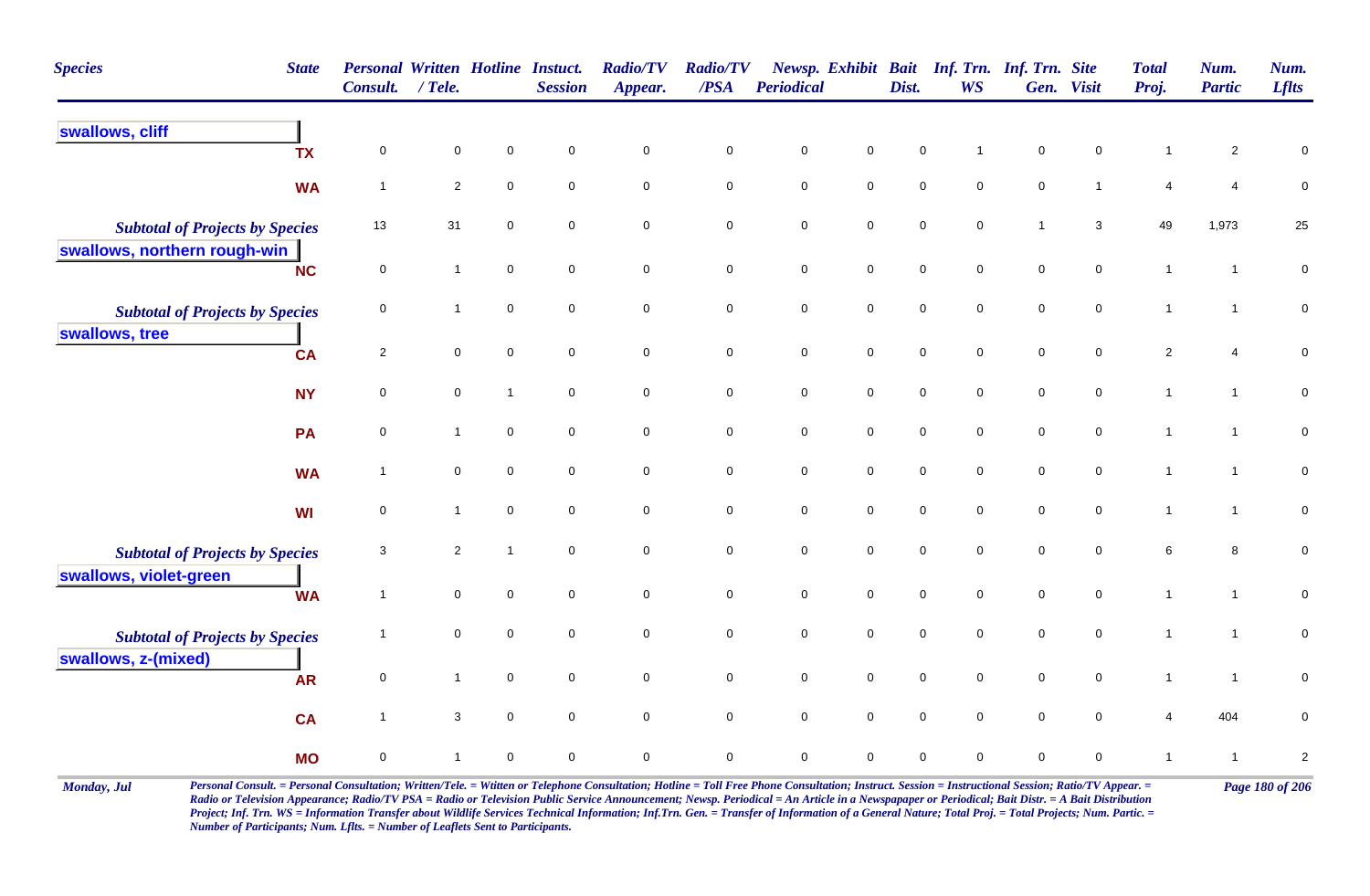| <b>Species</b>                         | <b>State</b> | <b>Personal Written Hotline Instuct.</b><br>Consult. | $/$ Tele.      |                     | <b>Session</b>      | <b>Radio/TV</b><br>Appear. | <b>Radio/TV</b><br>$\triangle PSA$ | Periodical  |                     | Dist.       | <b>WS</b>           | Newsp. Exhibit Bait Inf. Trn. Inf. Trn. Site | Gen. Visit          | <b>Total</b><br>Proj. | Num.<br><b>Partic</b> | Num.<br><b>Lflts</b>    |
|----------------------------------------|--------------|------------------------------------------------------|----------------|---------------------|---------------------|----------------------------|------------------------------------|-------------|---------------------|-------------|---------------------|----------------------------------------------|---------------------|-----------------------|-----------------------|-------------------------|
| swallows, cliff                        | <b>TX</b>    | $\mathsf{O}\xspace$                                  | $\mathsf 0$    | 0                   | $\pmb{0}$           | $\pmb{0}$                  | $\pmb{0}$                          | $\pmb{0}$   | $\mathbf 0$         | $\mathsf 0$ |                     | $\pmb{0}$                                    | $\pmb{0}$           | $\mathbf 1$           | $\overline{2}$        | 0                       |
|                                        | <b>WA</b>    | $\overline{1}$                                       | $\overline{2}$ | 0                   | $\mathsf{O}\xspace$ | $\pmb{0}$                  | $\mathbf 0$                        | $\pmb{0}$   | $\pmb{0}$           | $\pmb{0}$   | $\mathbf 0$         | $\mathbf 0$                                  | $\mathbf{1}$        | $\overline{4}$        | $\overline{4}$        | $\pmb{0}$               |
| <b>Subtotal of Projects by Species</b> |              | 13                                                   | 31             | 0                   | $\mathbf 0$         | $\pmb{0}$                  | $\mathbf 0$                        | $\pmb{0}$   | $\pmb{0}$           | $\pmb{0}$   | 0                   | $\overline{1}$                               | $\mathbf{3}$        | 49                    | 1,973                 | 25                      |
| swallows, northern rough-win           | <b>NC</b>    | $\mathbf 0$                                          | $\mathbf{1}$   | $\mathsf{O}\xspace$ | $\mathsf{O}\xspace$ | $\pmb{0}$                  | $\pmb{0}$                          | $\pmb{0}$   | $\pmb{0}$           | $\pmb{0}$   | $\mathsf{O}\xspace$ | $\mathbf 0$                                  | $\mathbf 0$         | $\mathbf{1}$          | $\mathbf{1}$          | $\pmb{0}$               |
| <b>Subtotal of Projects by Species</b> |              | 0                                                    | $\mathbf{1}$   | $\mathbf 0$         | $\mathsf{O}\xspace$ | $\mathbf 0$                | $\mathbf 0$                        | $\pmb{0}$   | $\mathbf 0$         | $\pmb{0}$   | $\mathbf 0$         | $\mathbf 0$                                  | $\mathbf 0$         | $\mathbf{1}$          | $\mathbf{1}$          | $\pmb{0}$               |
| swallows, tree                         | <b>CA</b>    | $\overline{2}$                                       | $\mathbf 0$    | $\mathsf{O}\xspace$ | $\mathbf 0$         | $\mathsf{O}\xspace$        | $\mathbf 0$                        | $\pmb{0}$   | $\mathbf 0$         | $\pmb{0}$   | $\overline{0}$      | $\mathbf 0$                                  | $\mathsf{O}\xspace$ | $\overline{2}$        | 4                     | $\pmb{0}$               |
|                                        | <b>NY</b>    | $\mathbf 0$                                          | $\mathbf 0$    | $\overline{1}$      | $\mathsf{O}\xspace$ | $\mathsf{O}\xspace$        | $\mathsf{O}\xspace$                | $\pmb{0}$   | $\mathsf{O}\xspace$ | $\pmb{0}$   | $\mathsf{O}\xspace$ | $\mathbf 0$                                  | $\mathbf 0$         | $\mathbf{1}$          | $\mathbf{1}$          | $\pmb{0}$               |
|                                        | PA           | 0                                                    | $\mathbf{1}$   | 0                   | $\mathbf 0$         | $\pmb{0}$                  | $\mathbf 0$                        | $\pmb{0}$   | $\pmb{0}$           | $\pmb{0}$   | 0                   | $\mathbf 0$                                  | $\mathbf 0$         | $\mathbf{1}$          | $\mathbf{1}$          | $\pmb{0}$               |
|                                        | <b>WA</b>    | $\overline{\mathbf{1}}$                              | $\mathsf 0$    | $\mathbf 0$         | $\mathbf 0$         | $\mathbf 0$                | $\mathbf 0$                        | $\mathsf 0$ | $\mathbf 0$         | $\mathsf 0$ | $\mathbf 0$         | $\mathsf{O}\xspace$                          | $\mathbf 0$         | $\mathbf{1}$          | $\mathbf{1}$          | $\mathbf 0$             |
|                                        | WI           | 0                                                    | $\mathbf{1}$   | $\mathbf 0$         | $\mathbf 0$         | 0                          | 0                                  | $\mathbf 0$ | 0                   | $\mathbf 0$ | 0                   | $\mathbf 0$                                  | $\mathbf 0$         | $\mathbf{1}$          | $\mathbf{1}$          | $\pmb{0}$               |
| <b>Subtotal of Projects by Species</b> |              | 3                                                    | $\overline{2}$ | $\overline{1}$      | $\mathbf 0$         | $\pmb{0}$                  | $\mathbf 0$                        | $\pmb{0}$   | $\pmb{0}$           | $\pmb{0}$   | $\mathbf 0$         | $\mathbf 0$                                  | $\mathsf{O}\xspace$ | $\,6\,$               | 8                     | $\pmb{0}$               |
| swallows, violet-green                 | <b>WA</b>    | $\overline{1}$                                       | $\mathbf 0$    | $\mathbf 0$         | $\mathsf{O}\xspace$ | $\mathbf 0$                | $\mathbf 0$                        | $\pmb{0}$   | $\mathbf 0$         | $\mathsf 0$ | $\mathbf 0$         | $\pmb{0}$                                    | $\overline{0}$      | $\mathbf{1}$          | $\mathbf{1}$          | $\pmb{0}$               |
| <b>Subtotal of Projects by Species</b> |              | -1                                                   | $\mathsf 0$    | $\mathbf 0$         | $\mathsf{O}\xspace$ | $\mathsf{O}\xspace$        | $\mathbf 0$                        | $\pmb{0}$   | $\mathsf{O}\xspace$ | $\pmb{0}$   | $\mathbf 0$         | $\mathbf 0$                                  | $\mathbf 0$         | $\mathbf{1}$          | $\mathbf{1}$          | $\pmb{0}$               |
| swallows, z-(mixed)                    | <b>AR</b>    | 0                                                    | $\mathbf{1}$   | $\mathbf 0$         | $\mathbf 0$         | $\mathbf 0$                | $\mathbf 0$                        | $\pmb{0}$   | $\mathsf{O}\xspace$ | $\mathsf 0$ | $\mathsf{O}$        | $\mathbf 0$                                  | $\mathbf 0$         | $\mathbf{1}$          | $\mathbf{1}$          | $\pmb{0}$               |
|                                        | <b>CA</b>    | $\overline{\mathbf{1}}$                              | $\mathbf 3$    | $\mathbf 0$         | $\mathbf 0$         | $\mathsf{O}\xspace$        | $\mathsf{O}\xspace$                | $\pmb{0}$   | $\mathbf 0$         | $\mathbf 0$ | $\mathbf 0$         | $\mathbf 0$                                  | $\mathsf{O}\xspace$ | $\overline{4}$        | 404                   | $\pmb{0}$               |
|                                        | <b>MO</b>    | $\pmb{0}$                                            | $\mathbf{1}$   | 0                   | $\mathbf 0$         | $\pmb{0}$                  | $\mathbf 0$                        | $\mathsf 0$ | $\mathbf 0$         | $\mathsf 0$ | 0                   | $\mathsf{O}\xspace$                          | $\mathbf 0$         | $\mathbf{1}$          | $\overline{1}$        | $\overline{\mathbf{c}}$ |

Monday, Jul Personal Consult. = Personal Consultation; Written/Tele. = Witten or Telephone Consultation; Hotline = Toll Free Phone Consultation; Instruct. Session = Instructional Session; Ratio/TV Appear. = Page 180 of 206 *Radio or Television Appearance; Radio/TV PSA = Radio or Television Public Service Announcement; Newsp. Periodical = An Article in a Newspapaper or Periodical; Bait Distr. = A Bait Distribution*  Project; Inf. Trn. WS = Information Transfer about Wildlife Services Technical Information; Inf.Trn. Gen. = Transfer of Information of a General Nature; Total Proj. = Total Projects; Num. Partic. = *Number of Participants; Num. Lflts. = Number of Leaflets Sent to Participants.*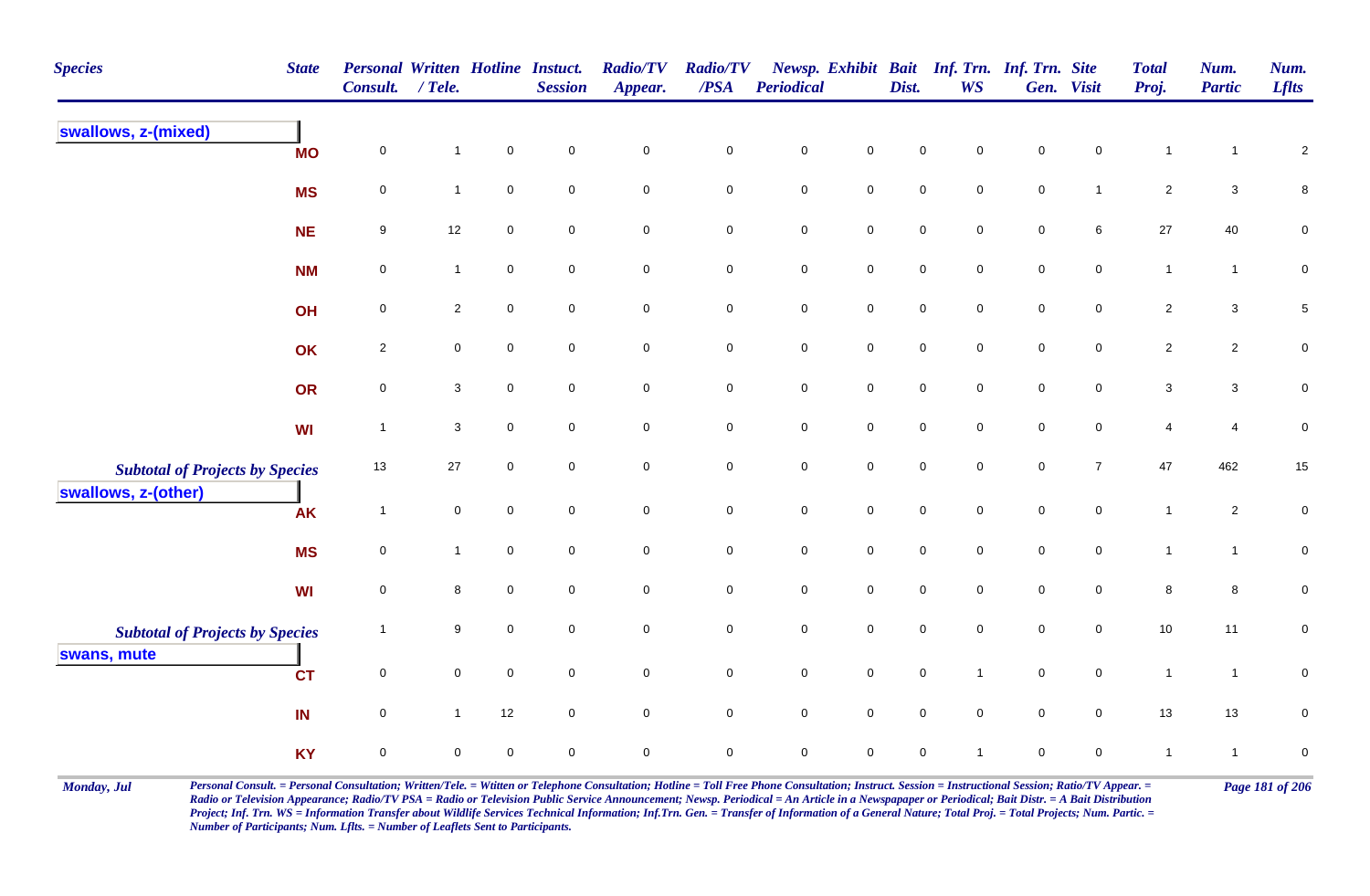| <b>Species</b><br><b>State</b>                                | <b>Consult.</b>          | <b>Personal Written Hotline Instuct.</b><br>$/$ Tele. |                     | <b>Session</b>      | <b>Radio/TV</b><br>Appear. | <b>Radio/TV</b><br>$\overline{PSA}$ | Periodical          |                     | Dist.               | Newsp. Exhibit Bait Inf. Trn. Inf. Trn. Site<br><b>WS</b> |             | Gen. Visit          | <b>Total</b><br>Proj. | Num.<br><b>Partic</b> | Num.<br><b>Lflts</b> |
|---------------------------------------------------------------|--------------------------|-------------------------------------------------------|---------------------|---------------------|----------------------------|-------------------------------------|---------------------|---------------------|---------------------|-----------------------------------------------------------|-------------|---------------------|-----------------------|-----------------------|----------------------|
| swallows, z-(mixed)                                           | $\mathbf 0$<br><b>MO</b> | $\mathbf{1}$                                          | $\mathbf 0$         | $\mathbf 0$         | $\mathbf 0$                | $\pmb{0}$                           | $\mathsf{O}\xspace$ | $\mathbf 0$         | $\mathbf 0$         | $\mathbf 0$                                               | $\mathbf 0$ | $\mathbf 0$         | $\mathbf{1}$          | 1                     | $\sqrt{2}$           |
| <b>MS</b>                                                     | $\mathbf 0$              | $\mathbf{1}$                                          | $\mathbf 0$         | $\mathbf 0$         | $\mathbf 0$                | $\mathbf 0$                         | $\pmb{0}$           | $\overline{0}$      | $\mathsf{O}\xspace$ | $\mathbf 0$                                               | $\mathsf 0$ | $\mathbf{1}$        | $\overline{2}$        | $\mathbf{3}$          | $\,8\,$              |
| <b>NE</b>                                                     | 9                        | 12                                                    | $\mathbf 0$         | $\mathbf 0$         | $\mathbf 0$                | $\mathbf 0$                         | $\pmb{0}$           | $\mathbf 0$         | $\mathbf 0$         | $\mathbf 0$                                               | $\mathbf 0$ | 6                   | 27                    | 40                    | $\mathsf 0$          |
| <b>NM</b>                                                     | 0                        | $\mathbf{1}$                                          | $\mathbf 0$         | $\mathbf 0$         | $\mathbf 0$                | $\mathbf 0$                         | $\pmb{0}$           | $\mathbf 0$         | $\mathbf 0$         | $\mathbf 0$                                               | $\mathbf 0$ | $\mathbf 0$         | $\mathbf{1}$          | $\mathbf{1}$          | $\mathbf 0$          |
| OH                                                            | $\mathbf 0$              | $\overline{2}$                                        | $\mathsf{O}\xspace$ | $\mathbf 0$         | $\mathsf{O}\xspace$        | $\mathsf{O}\xspace$                 | $\mathbf 0$         | $\mathbf 0$         | $\mathbf 0$         | $\mathbf 0$                                               | $\pmb{0}$   | $\mathsf{O}\xspace$ | $\overline{2}$        | $\mathbf{3}$          | $\sqrt{5}$           |
| OK                                                            | $\overline{2}$           | $\mathbf 0$                                           | $\mathbf 0$         | $\mathbf 0$         | $\mathsf{O}\xspace$        | $\mathbf 0$                         | $\mathbf 0$         | $\mathbf 0$         | $\mathbf 0$         | $\mathbf 0$                                               | $\pmb{0}$   | $\mathbf 0$         | $\overline{2}$        | $\overline{c}$        | $\pmb{0}$            |
| OR                                                            | $\mathbf 0$              | $\mathbf{3}$                                          | $\mathsf{O}\xspace$ | $\mathbf 0$         | $\mathsf{O}\xspace$        | $\mathsf{O}\xspace$                 | $\mathbf 0$         | $\mathbf 0$         | $\mathbf 0$         | $\mathbf 0$                                               | $\pmb{0}$   | $\mathsf{O}\xspace$ | $\mathbf{3}$          | $\mathbf{3}$          | $\pmb{0}$            |
| <b>WI</b>                                                     | $\overline{1}$           | $\mathbf{3}$                                          | $\mathsf{O}\xspace$ | $\mathsf{O}\xspace$ | $\mathbf 0$                | $\overline{0}$                      | $\mathbf 0$         | $\mathsf 0$         | $\mathbf 0$         | $\mathsf{O}\xspace$                                       | $\pmb{0}$   | $\mathbf 0$         | $\overline{4}$        | 4                     | $\pmb{0}$            |
| <b>Subtotal of Projects by Species</b><br>swallows, z-(other) | 13                       | 27                                                    | $\mathsf{O}\xspace$ | $\mathbf 0$         | $\mathsf{O}\xspace$        | $\mathbf 0$                         | $\mathbf 0$         | $\mathbf 0$         | $\mathbf 0$         | $\mathsf{O}\xspace$                                       | $\pmb{0}$   | $\overline{7}$      | 47                    | 462                   | $15\,$               |
| <b>AK</b>                                                     | $\overline{1}$           | $\mathbf 0$                                           | $\mathbf 0$         | $\mathbf 0$         | $\mathsf{O}\xspace$        | $\mathbf 0$                         | $\pmb{0}$           | $\mathbf 0$         | $\mathbf 0$         | $\mathbf 0$                                               | $\mathsf 0$ | $\mathbf{0}$        | $\overline{1}$        | $\overline{a}$        | $\mathbf 0$          |
| <b>MS</b>                                                     | $\mathbf 0$              | $\mathbf{1}$                                          | $\mathbf 0$         | $\mathbf 0$         | $\mathbf 0$                | $\mathbf 0$                         | $\mathbf 0$         | $\mathbf 0$         | $\mathbf 0$         | $\Omega$                                                  | $\mathbf 0$ | $\mathbf 0$         | $\mathbf{1}$          | $\mathbf{1}$          | $\mathbf 0$          |
| <b>WI</b>                                                     | 0                        | 8                                                     | $\mathbf 0$         | $\mathbf 0$         | $\mathbf 0$                | $\mathbf 0$                         | $\pmb{0}$           | $\mathbf 0$         | $\mathbf 0$         | $\mathbf 0$                                               | $\pmb{0}$   | $\mathbf 0$         | $\,8\,$               | 8                     | $\mathbf 0$          |
| <b>Subtotal of Projects by Species</b><br>swans, mute         | -1                       | 9                                                     | $\mathbf 0$         | $\mathbf 0$         | $\mathsf{O}\xspace$        | $\mathbf 0$                         | $\mathbf 0$         | $\mathsf{O}\xspace$ | $\mathbf 0$         | $\mathbf 0$                                               | $\mathbf 0$ | $\mathbf 0$         | 10                    | 11                    | $\mathbf 0$          |
| <b>CT</b>                                                     | $\mathbf 0$              | $\mathbf 0$                                           | $\mathbf 0$         | $\mathbf 0$         | $\mathsf{O}\xspace$        | $\mathbf 0$                         | $\mathbf 0$         | $\mathbf 0$         | $\mathbf 0$         | $\mathbf{1}$                                              | $\pmb{0}$   | $\mathsf 0$         | $\mathbf{1}$          | $\overline{1}$        | $\pmb{0}$            |
| IN                                                            | $\mathbf 0$              | $\mathbf{1}$                                          | 12                  | $\mathbf 0$         | $\mathsf{O}\xspace$        | $\mathbf 0$                         | $\mathbf 0$         | $\mathbf 0$         | $\mathbf 0$         | $\mathbf 0$                                               | $\pmb{0}$   | $\mathbf 0$         | 13                    | 13                    | $\mathsf 0$          |
| <b>KY</b>                                                     | $\mathbf 0$              | $\mathbf 0$                                           | $\mathbf 0$         | $\mathbf 0$         | $\mathbf 0$                | $\mathsf 0$                         | $\mathbf 0$         | $\mathbf 0$         | $\mathbf 0$         |                                                           | $\mathbf 0$ | 0                   | $\mathbf{1}$          | $\overline{1}$        | $\pmb{0}$            |

Monday, Jul Personal Consult. = Personal Consultation; Written/Tele. = Witten or Telephone Consultation; Hotline = Toll Free Phone Consultation; Instruct. Session = Instructional Session; Ratio/TV Appear. = Page 181 of 206 *Radio or Television Appearance; Radio/TV PSA = Radio or Television Public Service Announcement; Newsp. Periodical = An Article in a Newspapaper or Periodical; Bait Distr. = A Bait Distribution*  Project; Inf. Trn. WS = Information Transfer about Wildlife Services Technical Information; Inf.Trn. Gen. = Transfer of Information of a General Nature; Total Proj. = Total Projects; Num. Partic. = *Number of Participants; Num. Lflts. = Number of Leaflets Sent to Participants.*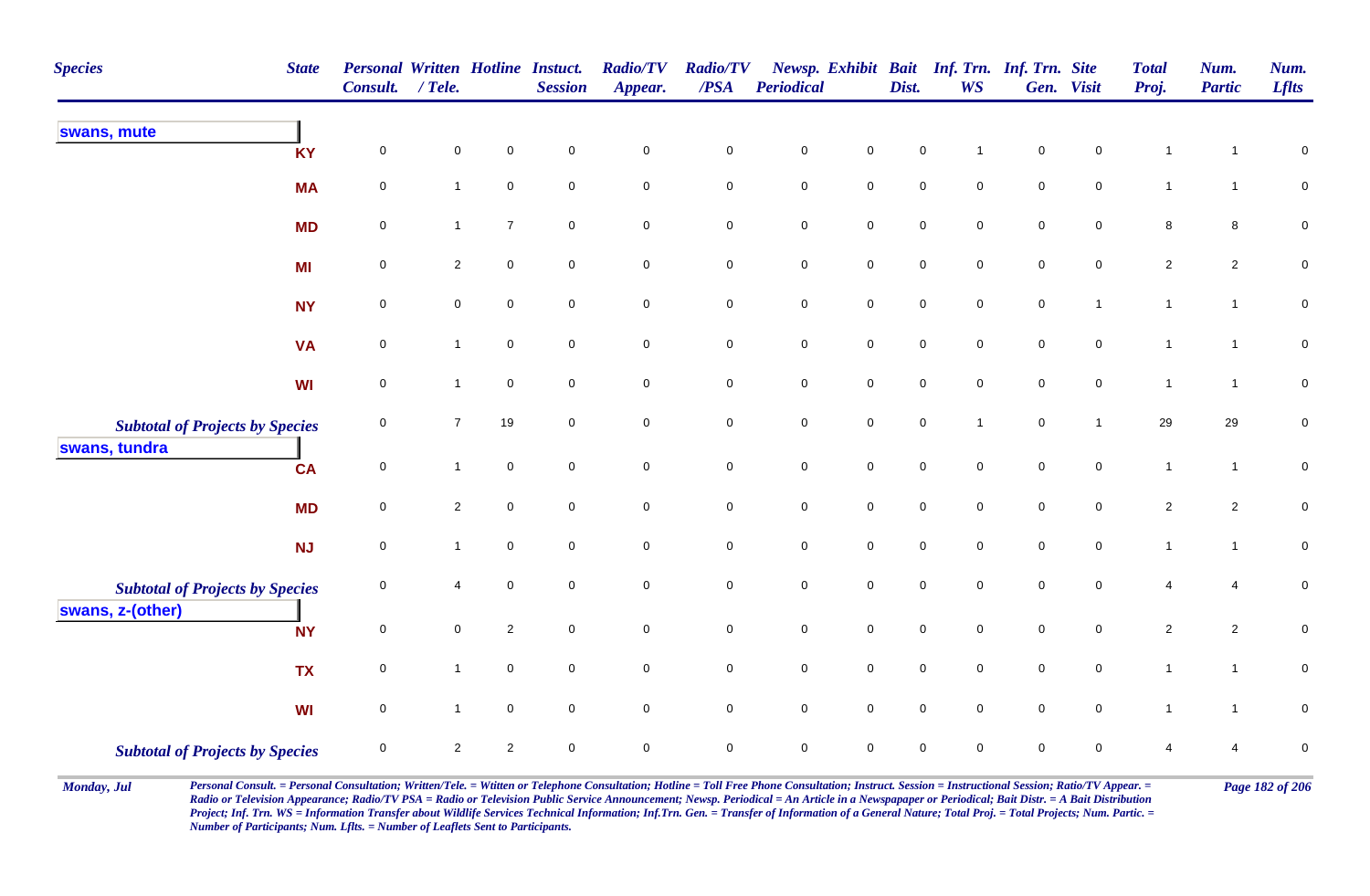| <b>Species</b><br><b>State</b>                             | Consult.    | <b>Personal Written Hotline Instuct.</b><br>$/$ Tele. |                  | <b>Session</b> | <b>Radio/TV</b><br>Appear. | <b>Radio/TV</b><br>$\overline{PSA}$ | Periodical          |                     | Dist.               | Newsp. Exhibit Bait Inf. Trn. Inf. Trn. Site<br><b>WS</b> |             | Gen. Visit     | <b>Total</b><br>Proj. | Num.<br><b>Partic</b> | Num.<br><b>Lflts</b> |
|------------------------------------------------------------|-------------|-------------------------------------------------------|------------------|----------------|----------------------------|-------------------------------------|---------------------|---------------------|---------------------|-----------------------------------------------------------|-------------|----------------|-----------------------|-----------------------|----------------------|
| swans, mute<br><b>KY</b>                                   | $\mathbf 0$ | 0                                                     | $\mathbf 0$      | $\mathbf 0$    | $\mathbf 0$                | $\mathbf 0$                         | $\mathbf 0$         | $\mathsf{O}\xspace$ | $\mathbf 0$         |                                                           | $\pmb{0}$   | 0              | $\mathbf{1}$          |                       | $\pmb{0}$            |
| <b>MA</b>                                                  | $\pmb{0}$   | $\mathbf{1}$                                          | $\pmb{0}$        | $\mathbf 0$    | $\mathsf{O}\xspace$        | $\mathsf{O}\xspace$                 | $\mathbf 0$         | $\mathsf{O}\xspace$ | $\mathbf 0$         | 0                                                         | $\pmb{0}$   | $\pmb{0}$      | $\mathbf{1}$          | $\mathbf{1}$          | $\overline{0}$       |
| <b>MD</b>                                                  | 0           | $\mathbf{1}$                                          | $\overline{7}$   | $\mathbf 0$    | $\mathbf 0$                | $\pmb{0}$                           | $\pmb{0}$           | $\mathbf 0$         | $\mathsf{O}\xspace$ | $\mathbf 0$                                               | $\mathsf 0$ | $\mathbf 0$    | 8                     | 8                     | $\mathbf 0$          |
| MI                                                         | $\mathbf 0$ | $\overline{\mathbf{c}}$                               | $\pmb{0}$        | $\mathbf 0$    | $\mathbf 0$                | $\pmb{0}$                           | $\pmb{0}$           | $\mathsf{O}\xspace$ | $\pmb{0}$           | $\pmb{0}$                                                 | $\pmb{0}$   | $\mathbf 0$    | $\sqrt{2}$            | $\overline{c}$        | $\pmb{0}$            |
| <b>NY</b>                                                  | $\pmb{0}$   | $\mathbf 0$                                           | $\pmb{0}$        | $\mathbf 0$    | $\mathsf{O}\xspace$        | $\mathbf 0$                         | $\mathbf 0$         | $\mathsf{O}\xspace$ | $\mathbf 0$         | $\mathsf{O}\xspace$                                       | $\pmb{0}$   | $\overline{1}$ | $\mathbf{1}$          | $\mathbf{1}$          | $\pmb{0}$            |
| <b>VA</b>                                                  | $\pmb{0}$   | $\mathbf{1}$                                          | $\mathsf 0$      | $\mathbf 0$    | $\mathbf 0$                | $\mathbf 0$                         | $\pmb{0}$           | $\mathbf 0$         | $\mathsf{O}\xspace$ | $\mathbf 0$                                               | $\mathsf 0$ | $\mathbf 0$    | $\mathbf{1}$          | $\overline{1}$        | $\mathbf 0$          |
| <b>WI</b>                                                  | $\pmb{0}$   | $\mathbf{1}$                                          | $\boldsymbol{0}$ | $\mathbf 0$    | $\mathbf 0$                | $\mathbf 0$                         | $\pmb{0}$           | $\mathsf{O}\xspace$ | $\mathsf{O}\xspace$ | $\mathbf 0$                                               | $\mathsf 0$ | $\mathbf 0$    | $\mathbf{1}$          | $\overline{1}$        | $\pmb{0}$            |
| <b>Subtotal of Projects by Species</b><br>swans, tundra    | 0           | $\overline{7}$                                        | 19               | $\mathbf 0$    | $\overline{0}$             | $\mathbf 0$                         | $\mathsf{O}\xspace$ | $\mathsf{O}\xspace$ | $\mathsf{O}\xspace$ | $\mathbf 1$                                               | $\mathsf 0$ | $\mathbf{1}$   | 29                    | 29                    | $\pmb{0}$            |
| <b>CA</b>                                                  | $\mathbf 0$ | $\mathbf{1}$                                          | $\boldsymbol{0}$ | $\mathbf 0$    | $\overline{0}$             | $\mathbf 0$                         | $\pmb{0}$           | $\mathbf 0$         | $\mathsf{O}\xspace$ | $\mathbf 0$                                               | $\mathsf 0$ | $\overline{0}$ | $\mathbf{1}$          | $\mathbf{1}$          | $\mathbf 0$          |
| <b>MD</b>                                                  | $\mathbf 0$ | $\overline{c}$                                        | $\mathbf 0$      | $\mathbf{0}$   | $\mathbf 0$                | $\mathbf 0$                         | $\mathbf 0$         | $\mathsf{O}\xspace$ | $\mathbf 0$         | $\mathbf 0$                                               | $\mathbf 0$ | $\mathbf 0$    | $\sqrt{2}$            | $\overline{2}$        | $\mathbf 0$          |
| <b>NJ</b>                                                  | $\mathbf 0$ | $\mathbf{1}$                                          | $\pmb{0}$        | $\mathbf 0$    | $\mathsf{O}\xspace$        | $\mathbf 0$                         | $\mathbf 0$         | $\mathsf{O}\xspace$ | $\mathbf 0$         | $\mathbf 0$                                               | $\pmb{0}$   | $\mathbf 0$    | $\mathbf{1}$          | $\mathbf{1}$          | $\mathsf{O}\xspace$  |
| <b>Subtotal of Projects by Species</b><br>swans, z-(other) | $\mathbf 0$ | 4                                                     | $\mathbf 0$      | $\mathbf 0$    | $\mathsf{O}\xspace$        | $\mathbf 0$                         | $\pmb{0}$           | $\mathsf{O}\xspace$ | $\mathsf{O}\xspace$ | $\mathbf 0$                                               | $\mathsf 0$ | $\mathbf 0$    | $\overline{4}$        | 4                     | $\mathbf 0$          |
| <b>NY</b>                                                  | $\mathbf 0$ | $\mathbf 0$                                           | $\overline{2}$   | $\mathbf 0$    | $\overline{0}$             | $\mathbf 0$                         | $\mathsf{O}\xspace$ | $\overline{0}$      | $\mathbf 0$         | $\mathbf 0$                                               | $\mathsf 0$ | $\mathbf 0$    | $\overline{2}$        | $\overline{2}$        | $\mathsf 0$          |
| <b>TX</b>                                                  | $\pmb{0}$   | $\mathbf{1}$                                          | $\boldsymbol{0}$ | $\mathbf 0$    | $\mathsf{O}\xspace$        | $\pmb{0}$                           | $\pmb{0}$           | $\mathsf{O}\xspace$ | $\mathbf 0$         | $\mathbf 0$                                               | $\mathsf 0$ | $\mathbf 0$    | $\mathbf{1}$          | $\mathbf{1}$          | $\pmb{0}$            |
| <b>WI</b>                                                  | $\mathbf 0$ | $\mathbf{1}$                                          | $\pmb{0}$        | $\mathbf 0$    | $\mathsf{O}\xspace$        | $\mathsf{O}\xspace$                 | $\mathbf 0$         | $\mathsf{O}\xspace$ | $\mathbf 0$         | $\mathsf{O}\xspace$                                       | $\pmb{0}$   | $\mathbf 0$    | $\mathbf{1}$          | $\mathbf{1}$          | $\mathbf 0$          |
| <b>Subtotal of Projects by Species</b>                     | $\mathbf 0$ | $\overline{2}$                                        | $\overline{2}$   | $\mathbf 0$    | $\mathbf 0$                | $\mathbf 0$                         | $\mathbf 0$         | $\mathbf 0$         | $\mathbf 0$         | $\mathbf 0$                                               | $\mathbf 0$ | $\mathbf 0$    | $\overline{4}$        | 4                     | $\pmb{0}$            |

Monday, Jul Personal Consult. = Personal Consultation; Written/Tele. = Witten or Telephone Consultation; Hotline = Toll Free Phone Consultation; Instruct. Session = Instructional Session; Ratio/TV Appear. = Page 182 of 206 *Radio or Television Appearance; Radio/TV PSA = Radio or Television Public Service Announcement; Newsp. Periodical = An Article in a Newspapaper or Periodical; Bait Distr. = A Bait Distribution*  Project; Inf. Trn. WS = Information Transfer about Wildlife Services Technical Information; Inf.Trn. Gen. = Transfer of Information of a General Nature; Total Proj. = Total Projects; Num. Partic. = *Number of Participants; Num. Lflts. = Number of Leaflets Sent to Participants.*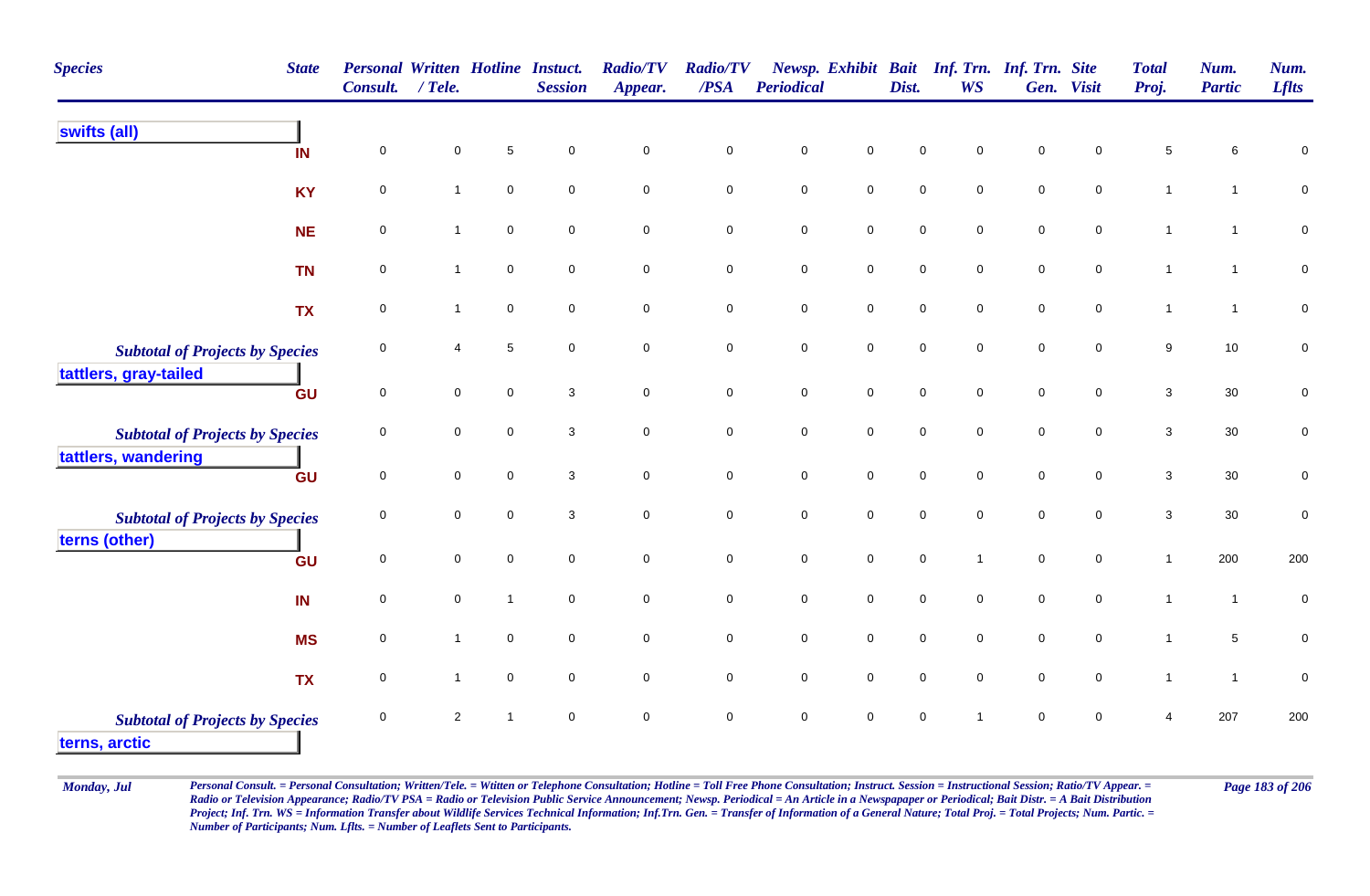| <b>Species</b>                                          | <b>State</b> | <b>Personal Written Hotline Instuct.</b><br>Consult. | $/$ Tele.      |              | <b>Session</b> | <b>Radio/TV</b><br>Appear. | <b>Radio/TV</b><br>/PSA | <b>Periodical</b>   |                     | Dist.               | Newsp. Exhibit Bait Inf. Trn. Inf. Trn. Site<br><b>WS</b> |                     | Gen. Visit          | <b>Total</b><br>Proj. | Num.<br><b>Partic</b> | Num.<br><b>Lflts</b> |
|---------------------------------------------------------|--------------|------------------------------------------------------|----------------|--------------|----------------|----------------------------|-------------------------|---------------------|---------------------|---------------------|-----------------------------------------------------------|---------------------|---------------------|-----------------------|-----------------------|----------------------|
| swifts (all)                                            | IN           | $\mathbf 0$                                          | 0              | $\sqrt{5}$   | $\mathbf 0$    | $\pmb{0}$                  | $\mathbf 0$             | $\pmb{0}$           | $\mathsf{O}\xspace$ | 0                   | $\mathbf 0$                                               | 0                   | $\mathbf 0$         | 5                     | 6                     | $\mathbf 0$          |
|                                                         | <b>KY</b>    | $\mathbf 0$                                          | $\mathbf{1}$   | $\pmb{0}$    | $\mathbf 0$    | $\pmb{0}$                  | $\pmb{0}$               | $\mathsf{O}$        | $\mathbf 0$         | $\mathbf 0$         | $\pmb{0}$                                                 | $\mathbf 0$         | $\mathbf 0$         | $\mathbf{1}$          | $\mathbf{1}$          | $\pmb{0}$            |
|                                                         | <b>NE</b>    | $\mathbf 0$                                          | $\overline{1}$ | $\mathbf 0$  | $\mathsf 0$    | $\mathbf 0$                | $\mathbf 0$             | $\mathbf 0$         | $\overline{0}$      | $\mathbf 0$         | $\mathbf 0$                                               | $\mathbf 0$         | $\mathbf 0$         | $\mathbf{1}$          | $\overline{1}$        | $\pmb{0}$            |
|                                                         | <b>TN</b>    | 0                                                    | $\mathbf{1}$   | $\mathbf 0$  | $\mathbf 0$    | $\mathbf 0$                | $\mathbf 0$             | $\mathbf 0$         | $\mathsf{O}\xspace$ | $\mathbf 0$         | $\mathbf 0$                                               | $\mathbf 0$         | $\mathbf 0$         | $\mathbf{1}$          | $\mathbf 1$           | 0                    |
|                                                         | <b>TX</b>    | $\mathsf{O}\xspace$                                  | $\mathbf{1}$   | $\mathbf 0$  | $\mathbf 0$    | $\mathbf 0$                | $\mathbf 0$             | $\mathsf 0$         | $\mathsf{O}\xspace$ | $\mathbf 0$         | $\mathbf 0$                                               | $\mathbf 0$         | $\mathsf{O}\xspace$ | $\mathbf{1}$          | $\overline{1}$        | $\mathbf 0$          |
| <b>Subtotal of Projects by Species</b>                  |              | $\mathbf 0$                                          | 4              | $\sqrt{5}$   | $\mathsf 0$    | $\mathbf 0$                | $\mathsf{O}\xspace$     | $\mathbf 0$         | $\mathsf{O}\xspace$ | $\mathbf 0$         | $\mathbf 0$                                               | $\mathsf{O}\xspace$ | $\mathbf 0$         | 9                     | 10                    | $\pmb{0}$            |
| tattlers, gray-tailed                                   | GU           | $\mathbf 0$                                          | $\mathbf 0$    | $\mathbf 0$  | $\mathbf{3}$   | $\mathbf 0$                | $\mathsf{O}\xspace$     | $\mathbf 0$         | $\overline{0}$      | $\mathbf 0$         | $\mathbf 0$                                               | $\mathbf 0$         | $\mathbf 0$         | 3                     | 30                    | $\pmb{0}$            |
| <b>Subtotal of Projects by Species</b>                  |              | 0                                                    | 0              | $\mathbf 0$  | $\mathbf 3$    | $\pmb{0}$                  | $\mathbf 0$             | $\mathbf 0$         | $\pmb{0}$           | $\mathbf 0$         | $\mathbf 0$                                               | $\mathbf 0$         | $\mathbf 0$         | $\mathbf{3}$          | 30                    | $\pmb{0}$            |
| tattlers, wandering                                     | GU           | $\mathsf 0$                                          | 0              | $\mathbf 0$  | 3              | $\mathsf{O}\xspace$        | $\mathbf 0$             | $\mathbf 0$         | $\mathsf{O}\xspace$ | $\mathsf{O}\xspace$ | $\mathsf{O}\xspace$                                       | $\mathsf{O}\xspace$ | $\mathbf 0$         | 3                     | 30                    | 0                    |
| <b>Subtotal of Projects by Species</b>                  |              | $\mathbf 0$                                          | $\mathbf 0$    | $\mathbf 0$  | $\mathbf 3$    | $\mathbf 0$                | $\mathbf 0$             | $\mathbf 0$         | $\mathsf{O}\xspace$ | $\mathbf 0$         | $\mathbf 0$                                               | $\mathbf 0$         | $\mathbf 0$         | $\mathbf{3}$          | 30                    | $\pmb{0}$            |
| terns (other)                                           | GU           | $\mathsf{O}\xspace$                                  | $\mathbf 0$    | $\Omega$     | $\mathbf 0$    | $\pmb{0}$                  | $\mathsf{O}\xspace$     | $\mathsf{O}\xspace$ | $\mathsf{O}\xspace$ | $\mathbf 0$         | $\overline{1}$                                            | $\mathsf{O}\xspace$ | $\mathbf 0$         | $\mathbf{1}$          | 200                   | 200                  |
|                                                         | IN           | $\mathbf 0$                                          | $\mathbf 0$    | $\mathbf{1}$ | $\mathsf 0$    | $\mathsf{O}\xspace$        | $\mathsf{O}\xspace$     | $\mathbf 0$         | $\mathsf{O}\xspace$ | 0                   | $\mathbf 0$                                               | $\mathbf 0$         | $\mathbf 0$         | $\mathbf{1}$          | $\mathbf{1}$          | $\pmb{0}$            |
|                                                         | <b>MS</b>    | 0                                                    | $\mathbf{1}$   | $\mathbf 0$  | $\mathbf 0$    | $\mathsf{O}\xspace$        | $\mathbf 0$             | $\mathbf 0$         | $\mathbf 0$         | $\mathsf{O}\xspace$ | $\mathbf 0$                                               | $\mathbf 0$         | $\mathbf 0$         | $\mathbf{1}$          | 5                     | $\pmb{0}$            |
|                                                         | <b>TX</b>    | $\mathbf 0$                                          | $\mathbf{1}$   | $\mathbf 0$  | $\mathsf 0$    | $\mathbf 0$                | $\mathbf 0$             | $\mathbf 0$         | $\mathbf 0$         | 0                   | $\mathbf 0$                                               | $\mathbf 0$         | $\mathbf 0$         | $\mathbf{1}$          | $\mathbf{1}$          | $\pmb{0}$            |
| <b>Subtotal of Projects by Species</b><br>terns, arctic |              | $\mathbf 0$                                          | $\overline{2}$ | $\mathbf{1}$ | $\mathsf 0$    | $\pmb{0}$                  | $\mathbf 0$             | $\mathbf 0$         | $\mathsf 0$         | $\mathbf 0$         | $\overline{1}$                                            | $\mathbf 0$         | $\mathbf 0$         | 4                     | 207                   | 200                  |

Monday, Jul Personal Consult. = Personal Consultation; Written/Tele. = Witten or Telephone Consultation; Hotline = Toll Free Phone Consultation; Instruct. Session = Instructional Session; Ratio/TV Appear. = Page 183 of 206 *Radio or Television Appearance; Radio/TV PSA = Radio or Television Public Service Announcement; Newsp. Periodical = An Article in a Newspapaper or Periodical; Bait Distr. = A Bait Distribution*  Project; Inf. Trn. WS = Information Transfer about Wildlife Services Technical Information; Inf.Trn. Gen. = Transfer of Information of a General Nature; Total Proj. = Total Projects; Num. Partic. = *Number of Participants; Num. Lflts. = Number of Leaflets Sent to Participants.*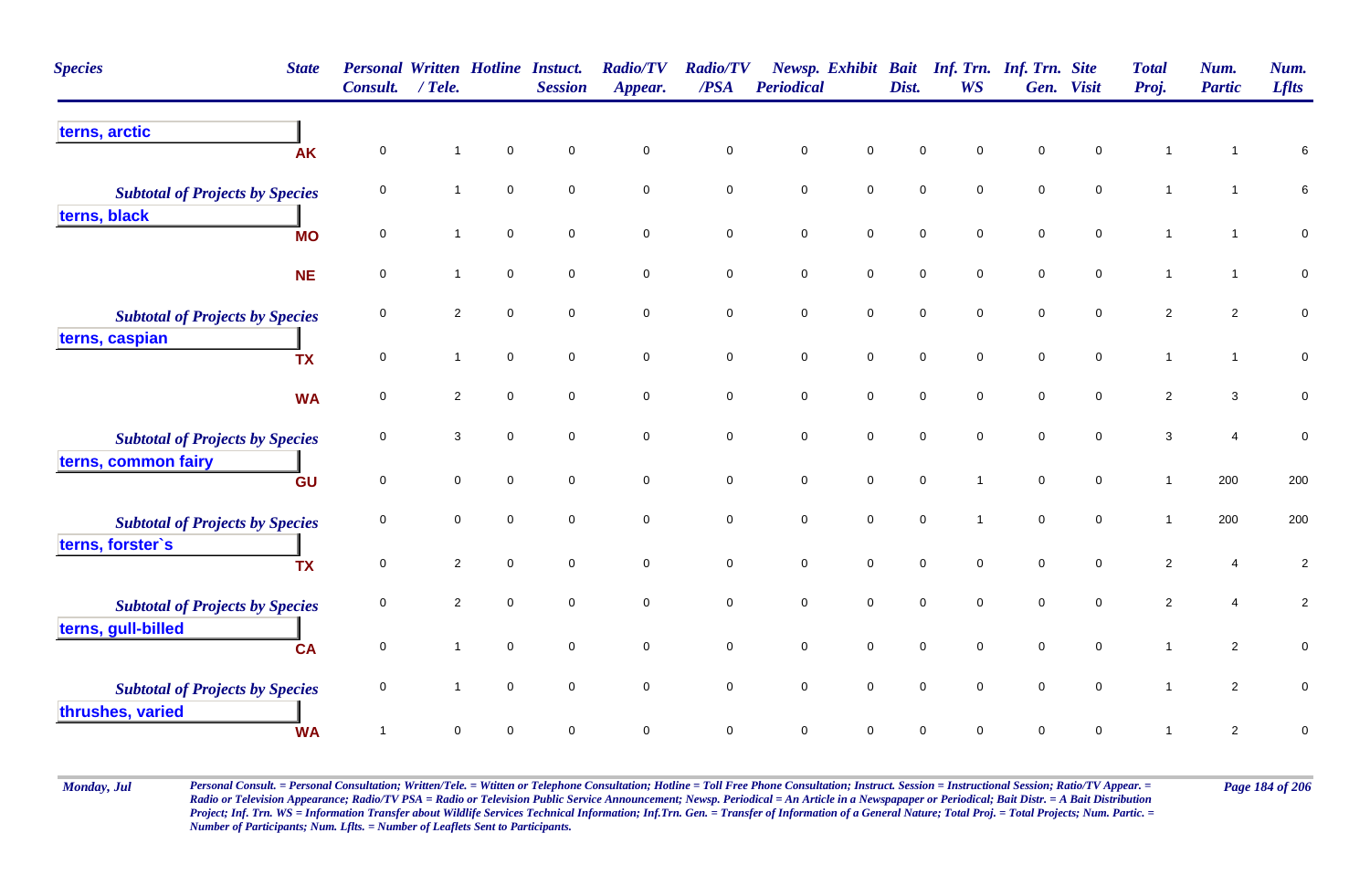| <b>Species</b><br><b>State</b>         | <b>Personal Written Hotline Instuct.</b><br><b>Consult.</b> | / Tele.        |             | <b>Session</b> | <b>Radio/TV</b><br>Appear. | <b>Radio/TV</b><br>/PSA | <b>Periodical</b> |                     | Dist.       | Newsp. Exhibit Bait Inf. Trn. Inf. Trn. Site<br><b>WS</b> | Gen.        | <b>Visit</b> | <b>Total</b><br>Proj. | Num.<br><b>Partic</b> | Num.<br><b>Lflts</b> |
|----------------------------------------|-------------------------------------------------------------|----------------|-------------|----------------|----------------------------|-------------------------|-------------------|---------------------|-------------|-----------------------------------------------------------|-------------|--------------|-----------------------|-----------------------|----------------------|
| terns, arctic<br><b>AK</b>             | $\pmb{0}$                                                   |                | $\mathbf 0$ | $\mathbf 0$    | 0                          | $\pmb{0}$               | $\mathsf 0$       | 0                   | $\mathbf 0$ | $\Omega$                                                  | $\mathbf 0$ | $\mathbf 0$  | $\mathbf 1$           |                       | 6                    |
| <b>Subtotal of Projects by Species</b> | $\mathbf 0$                                                 | $\mathbf{1}$   | $\mathbf 0$ | $\mathbf 0$    | $\mathbf 0$                | $\mathbf 0$             | $\mathsf 0$       | $\mathbf 0$         | $\mathsf 0$ | $\mathbf 0$                                               | $\mathbf 0$ | $\mathbf 0$  | $\overline{1}$        |                       | $\,6\,$              |
| terns, black<br><b>MO</b>              | $\mathsf{O}\xspace$                                         | 1              | $\mathbf 0$ | $\mathbf 0$    | $\pmb{0}$                  | $\mathbf 0$             | $\pmb{0}$         | $\mathsf{O}\xspace$ | $\mathbf 0$ | $\mathbf 0$                                               | $\mathbf 0$ | $\mathbf 0$  | $\mathbf{1}$          | $\mathbf 1$           | $\mathbf 0$          |
| <b>NE</b>                              | $\mathbf 0$                                                 |                | $\mathbf 0$ | $\mathbf 0$    | 0                          | $\mathbf 0$             | $\mathsf 0$       | $\mathbf 0$         | $\mathbf 0$ | $\mathbf 0$                                               | $\mathsf 0$ | $\mathbf 0$  | $\mathbf{1}$          | $\mathbf 1$           | $\mathbf 0$          |
| <b>Subtotal of Projects by Species</b> | $\Omega$                                                    | $\overline{2}$ | $\mathbf 0$ | $\mathbf 0$    | 0                          | $\mathbf 0$             | $\mathbf 0$       | $\mathbf 0$         | $\mathsf 0$ | 0                                                         | $\mathsf 0$ | 0            | $\overline{2}$        | $\overline{a}$        | $\mathbf 0$          |
| terns, caspian<br><b>TX</b>            | $\overline{0}$                                              | $\mathbf 1$    | $\mathbf 0$ | $\mathbf 0$    | 0                          | $\mathbf 0$             | $\mathsf 0$       | $\mathsf 0$         | $\mathbf 0$ | $\mathbf 0$                                               | $\mathbf 0$ | $\mathbf 0$  | $\mathbf{1}$          | $\mathbf{1}$          | $\pmb{0}$            |
| <b>WA</b>                              | $\mathbf 0$                                                 | $\overline{2}$ | $\mathsf 0$ | $\mathsf 0$    | $\mathbf 0$                | $\overline{0}$          | $\mathsf 0$       | $\mathbf 0$         | $\mathsf 0$ | $\mathbf 0$                                               | $\mathsf 0$ | $\mathbf 0$  | $\overline{2}$        | $\mathbf{3}$          | $\pmb{0}$            |
| <b>Subtotal of Projects by Species</b> | $\mathbf 0$                                                 | 3              | $\mathbf 0$ | $\mathbf 0$    | 0                          | $\mathbf 0$             | $\mathsf 0$       | $\mathsf{O}\xspace$ | $\mathbf 0$ | $\mathbf 0$                                               | $\mathbf 0$ | $\mathbf 0$  | 3                     | 4                     | $\pmb{0}$            |
| terns, common fairy<br>GU              | $\mathbf 0$                                                 | $\mathbf 0$    | $\mathbf 0$ | $\mathbf 0$    | 0                          | $\mathbf 0$             | $\mathsf 0$       | $\mathbf 0$         | $\mathbf 0$ |                                                           | $\mathbf 0$ | $\mathbf 0$  | $\mathbf{1}$          | 200                   | 200                  |
| <b>Subtotal of Projects by Species</b> | 0                                                           | $\mathbf 0$    | $\Omega$    | $\mathbf 0$    | $\mathbf 0$                | $\mathbf 0$             | $\mathbf 0$       | $\mathbf 0$         | $\mathbf 0$ | $\mathbf 1$                                               | $\mathbf 0$ | $\mathbf 0$  | $\mathbf{1}$          | 200                   | 200                  |
| terns, forster's<br><b>TX</b>          | $\mathsf 0$                                                 | $\overline{2}$ | $\mathbf 0$ | $\mathbf 0$    | 0                          | $\overline{0}$          | $\mathsf 0$       | $\mathsf 0$         | $\mathsf 0$ | $\mathbf 0$                                               | $\mathbf 0$ | $\mathbf 0$  | $\sqrt{2}$            | 4                     | $\overline{c}$       |
| <b>Subtotal of Projects by Species</b> | $\mathbf 0$                                                 | $\overline{2}$ | $\mathbf 0$ | $\mathbf 0$    | 0                          | $\mathbf 0$             | $\mathsf 0$       | $\mathbf 0$         | $\mathbf 0$ | $\mathbf 0$                                               | $\mathbf 0$ | $\mathbf 0$  | $\overline{2}$        | 4                     | $\overline{c}$       |
| terns, gull-billed<br><b>CA</b>        | $\mathsf 0$                                                 |                | $\mathbf 0$ | $\mathbf 0$    | 0                          | $\mathsf 0$             | $\mathsf 0$       | $\mathbf 0$         | $\mathbf 0$ | $\mathbf 0$                                               | $\mathbf 0$ | $\mathbf 0$  | $\mathbf{1}$          | $\overline{2}$        | $\mathsf 0$          |
| <b>Subtotal of Projects by Species</b> | $\mathbf 0$                                                 |                | $\mathbf 0$ | $\mathbf 0$    | $\mathbf 0$                | $\mathbf 0$             | $\mathbf 0$       | $\mathsf{O}\xspace$ | $\mathbf 0$ | $\mathbf 0$                                               | $\mathbf 0$ | $\mathbf 0$  | $\mathbf{1}$          | $\overline{2}$        | $\mathbf 0$          |
| thrushes, varied<br><b>WA</b>          |                                                             | $\Omega$       | $\Omega$    | $\Omega$       | 0                          | $\mathbf 0$             | $\mathbf 0$       | $\mathbf 0$         | $\mathbf 0$ | 0                                                         | $\Omega$    | 0            | $\mathbf 1$           | $\overline{a}$        | $\pmb{0}$            |

Monday, Jul Personal Consult. = Personal Consultation; Written/Tele. = Witten or Telephone Consultation; Hotline = Toll Free Phone Consultation; Instruct. Session = Instructional Session; Ratio/TV Appear. = Page 184 of 206 *Radio or Television Appearance; Radio/TV PSA = Radio or Television Public Service Announcement; Newsp. Periodical = An Article in a Newspapaper or Periodical; Bait Distr. = A Bait Distribution*  Project; Inf. Trn. WS = Information Transfer about Wildlife Services Technical Information; Inf.Trn. Gen. = Transfer of Information of a General Nature; Total Proj. = Total Projects; Num. Partic. = *Number of Participants; Num. Lflts. = Number of Leaflets Sent to Participants.*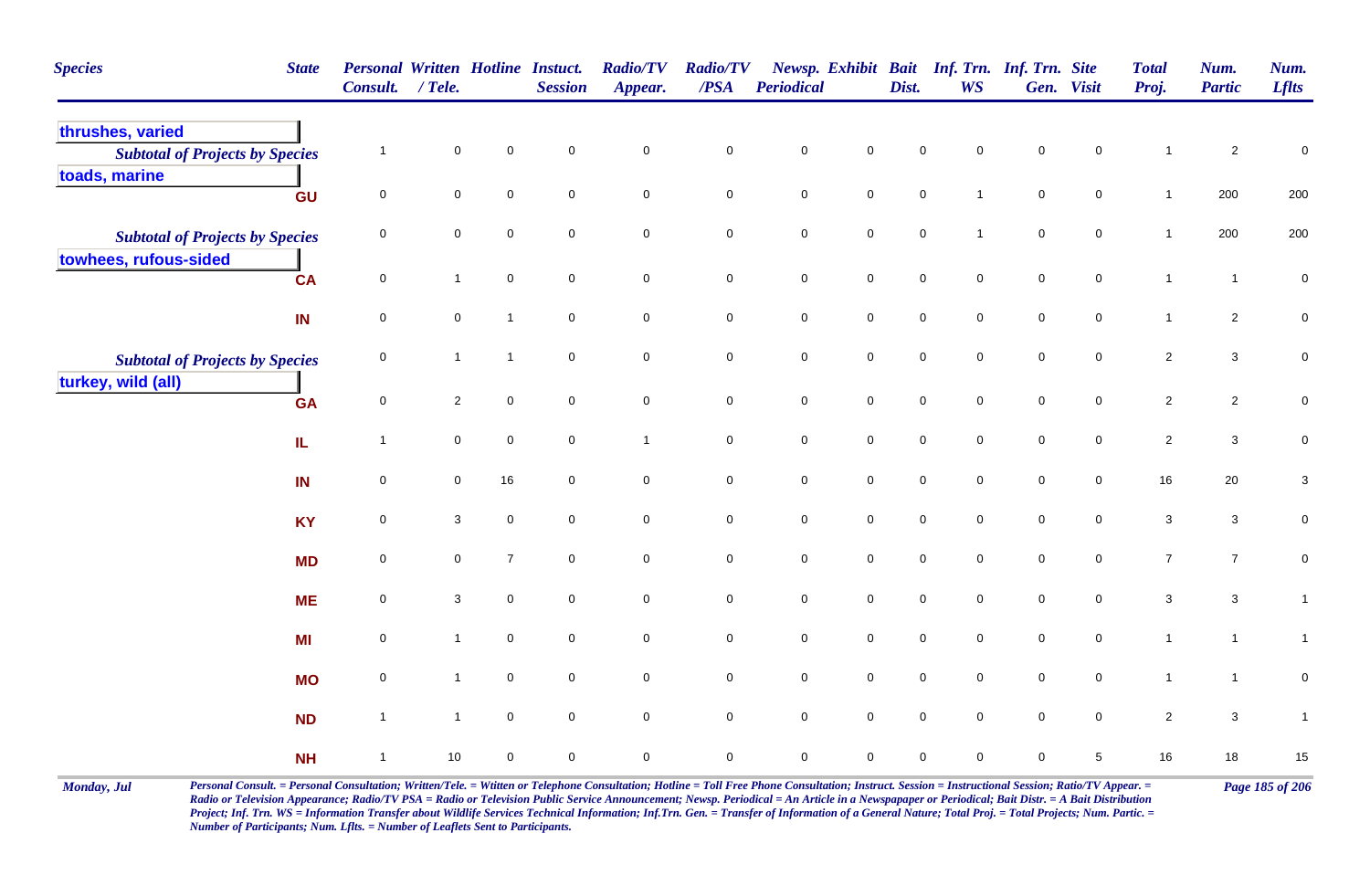| <b>Species</b><br><b>State</b>                             | Consult. / Tele.    |                     |                | Personal Written Hotline Instuct.<br><b>Session</b> | <b>Radio/TV</b><br>Appear. | <b>Radio/TV</b><br>$\overline{PSA}$ | <b>Periodical</b> |                     | Dist.       | <b>WS</b>    | Newsp. Exhibit Bait Inf. Trn. Inf. Trn. Site | Gen. Visit          | <b>Total</b><br>Proj.     | Num.<br><b>Partic</b> | Num.<br><b>Lflts</b> |
|------------------------------------------------------------|---------------------|---------------------|----------------|-----------------------------------------------------|----------------------------|-------------------------------------|-------------------|---------------------|-------------|--------------|----------------------------------------------|---------------------|---------------------------|-----------------------|----------------------|
| thrushes, varied<br><b>Subtotal of Projects by Species</b> | $\overline{1}$      | $\mathbf 0$         | $\Omega$       | $\mathbf 0$                                         | $\mathsf{O}\xspace$        | $\pmb{0}$                           | $\pmb{0}$         | 0                   | $\Omega$    | $\Omega$     | $\mathbf 0$                                  | 0                   | $\mathbf 1$               | $\overline{c}$        | $\boldsymbol{0}$     |
| toads, marine<br>GU                                        | $\mathsf{O}\xspace$ | 0                   | $\mathbf 0$    | $\mathsf 0$                                         | $\mathbf 0$                | $\mathbf 0$                         | $\pmb{0}$         | $\mathbf 0$         | $\pmb{0}$   | $\mathbf{1}$ | $\pmb{0}$                                    | $\mathbf 0$         | $\mathbf{1}$              | 200                   | 200                  |
| <b>Subtotal of Projects by Species</b>                     | 0                   | $\mathbf 0$         | $\mathbf 0$    | $\mathbf 0$                                         | $\mathbf 0$                | $\mathbf 0$                         | $\mathsf 0$       | $\overline{0}$      | $\mathsf 0$ | $\mathbf{1}$ | $\mathsf 0$                                  | $\mathbf 0$         | $\mathbf{1}$              | 200                   | 200                  |
| towhees, rufous-sided<br><b>CA</b>                         | $\overline{0}$      | $\mathbf{1}$        | $\mathbf 0$    | $\mathbf 0$                                         | $\mathsf{O}\xspace$        | $\mathsf{O}\xspace$                 | $\pmb{0}$         | $\mathbf 0$         | $\mathsf 0$ | $\mathbf 0$  | $\mathsf 0$                                  | $\overline{0}$      | $\mathbf{1}$              | $\mathbf{1}$          | $\pmb{0}$            |
| IN                                                         | $\mathsf{O}\xspace$ | $\mathbf 0$         | $\overline{1}$ | $\mathbf 0$                                         | $\mathbf 0$                | $\mathbf 0$                         | $\pmb{0}$         | $\mathbf 0$         | $\pmb{0}$   | $\mathbf 0$  | $\pmb{0}$                                    | $\mathbf 0$         | $\mathbf{1}$              | $\overline{a}$        | $\overline{0}$       |
| <b>Subtotal of Projects by Species</b>                     | 0                   | $\mathbf{1}$        | $\mathbf{1}$   | $\mathbf 0$                                         | 0                          | $\mathbf 0$                         | $\mathsf 0$       | $\mathbf 0$         | $\mathbf 0$ | $\mathbf 0$  | $\mathbf 0$                                  | $\mathbf 0$         | $\sqrt{2}$                | $\mathbf{3}$          | $\mathbf 0$          |
| turkey, wild (all)<br>GA<br>${\bf I} {\bf L}$              | $\mathsf 0$         | $\overline{2}$      | $\mathbf 0$    | $\mathbf 0$                                         | 0                          | $\mathbf 0$                         | $\pmb{0}$         | $\mathbf 0$         | $\mathsf 0$ | $\mathbf 0$  | $\mathsf 0$                                  | $\overline{0}$      | $\overline{c}$            | $\overline{a}$        | $\mathbf 0$          |
|                                                            | $\overline{1}$      | 0                   | $\mathsf 0$    | $\mathsf 0$                                         | $\overline{1}$             | $\mathbf 0$                         | $\pmb{0}$         | $\mathsf{O}\xspace$ | $\mathsf 0$ | $\mathbf 0$  | $\mathsf 0$                                  | $\mathbf 0$         | $\overline{2}$            | $\mathbf{3}$          | $\pmb{0}$            |
| IN                                                         | $\mathbf 0$         | $\mathbf 0$         | 16             | 0                                                   | $\mathbf 0$                | $\mathbf 0$                         | $\pmb{0}$         | $\mathbf 0$         | $\mathsf 0$ | 0            | $\mathsf 0$                                  | $\mathbf 0$         | 16                        | 20                    | $\mathbf 3$          |
| <b>KY</b>                                                  | $\mathsf{O}\xspace$ | $\mathbf{3}$        | $\mathbf 0$    | $\mathsf 0$                                         | $\mathbf 0$                | $\mathbf 0$                         | $\pmb{0}$         | $\mathbf 0$         | $\pmb{0}$   | $\mathbf 0$  | $\pmb{0}$                                    | $\mathbf 0$         | $\ensuremath{\mathsf{3}}$ | $\mathbf{3}$          | $\pmb{0}$            |
| <b>MD</b>                                                  | $\mathbf 0$         | $\mathsf{O}\xspace$ | $\overline{7}$ | $\mathbf 0$                                         | $\mathsf{O}\xspace$        | $\mathsf{O}\xspace$                 | $\pmb{0}$         | $\mathsf{O}\xspace$ | $\pmb{0}$   | $\mathbf 0$  | $\mathbf 0$                                  | $\mathsf{O}\xspace$ | $\overline{7}$            | $\overline{7}$        | $\mathbf 0$          |
| <b>ME</b>                                                  | $\mathsf 0$         | 3                   | $\mathbf 0$    | $\mathbf 0$                                         | $\mathsf{O}\xspace$        | $\mathsf{O}\xspace$                 | $\mathsf 0$       | $\mathsf{O}\xspace$ | $\mathbf 0$ | $\mathbf 0$  | $\mathbf 0$                                  | $\mathbf 0$         | $\mathbf{3}$              | $\mathbf{3}$          | $\mathbf{1}$         |
| MI                                                         | $\mathbf 0$         | $\mathbf{1}$        | $\mathbf 0$    | $\mathsf 0$                                         | $\mathbf 0$                | $\mathbf 0$                         | $\pmb{0}$         | $\mathbf 0$         | $\pmb{0}$   | $\mathbf 0$  | $\pmb{0}$                                    | $\mathbf 0$         | $\mathbf{1}$              | $\mathbf{1}$          | $\mathbf{1}$         |
| <b>MO</b>                                                  | 0                   | $\mathbf{1}$        | $\mathbf 0$    | $\mathbf 0$                                         | 0                          | $\overline{0}$                      | $\mathsf 0$       | $\mathsf{O}\xspace$ | $\mathbf 0$ | $\mathbf 0$  | $\mathbf 0$                                  | $\mathbf 0$         | $\mathbf{1}$              | $\mathbf{1}$          | $\mathbf 0$          |
| <b>ND</b>                                                  | $\overline{1}$      | $\mathbf{1}$        | $\mathbf 0$    | $\mathbf 0$                                         | $\mathsf{O}\xspace$        | $\mathbf 0$                         | $\mathsf 0$       | $\mathsf 0$         | $\mathsf 0$ | 0            | $\mathsf 0$                                  | $\mathbf 0$         | $\sqrt{2}$                | $\mathbf{3}$          | $\mathbf{1}$         |
| <b>NH</b>                                                  | $\overline{1}$      | 10                  | $\mathbf 0$    | $\mathbf 0$                                         | 0                          | $\mathbf 0$                         | $\mathbf 0$       | 0                   | $\mathbf 0$ | 0            | $\mathbf 0$                                  | 5                   | $16$                      | 18                    | 15                   |

Monday, Jul Personal Consult. = Personal Consultation; Written/Tele. = Witten or Telephone Consultation; Hotline = Toll Free Phone Consultation; Instruct. Session = Instructional Session; Ratio/TV Appear. = Page 185 of 206 *Radio or Television Appearance; Radio/TV PSA = Radio or Television Public Service Announcement; Newsp. Periodical = An Article in a Newspapaper or Periodical; Bait Distr. = A Bait Distribution*  Project; Inf. Trn. WS = Information Transfer about Wildlife Services Technical Information; Inf.Trn. Gen. = Transfer of Information of a General Nature; Total Proj. = Total Projects; Num. Partic. = *Number of Participants; Num. Lflts. = Number of Leaflets Sent to Participants.*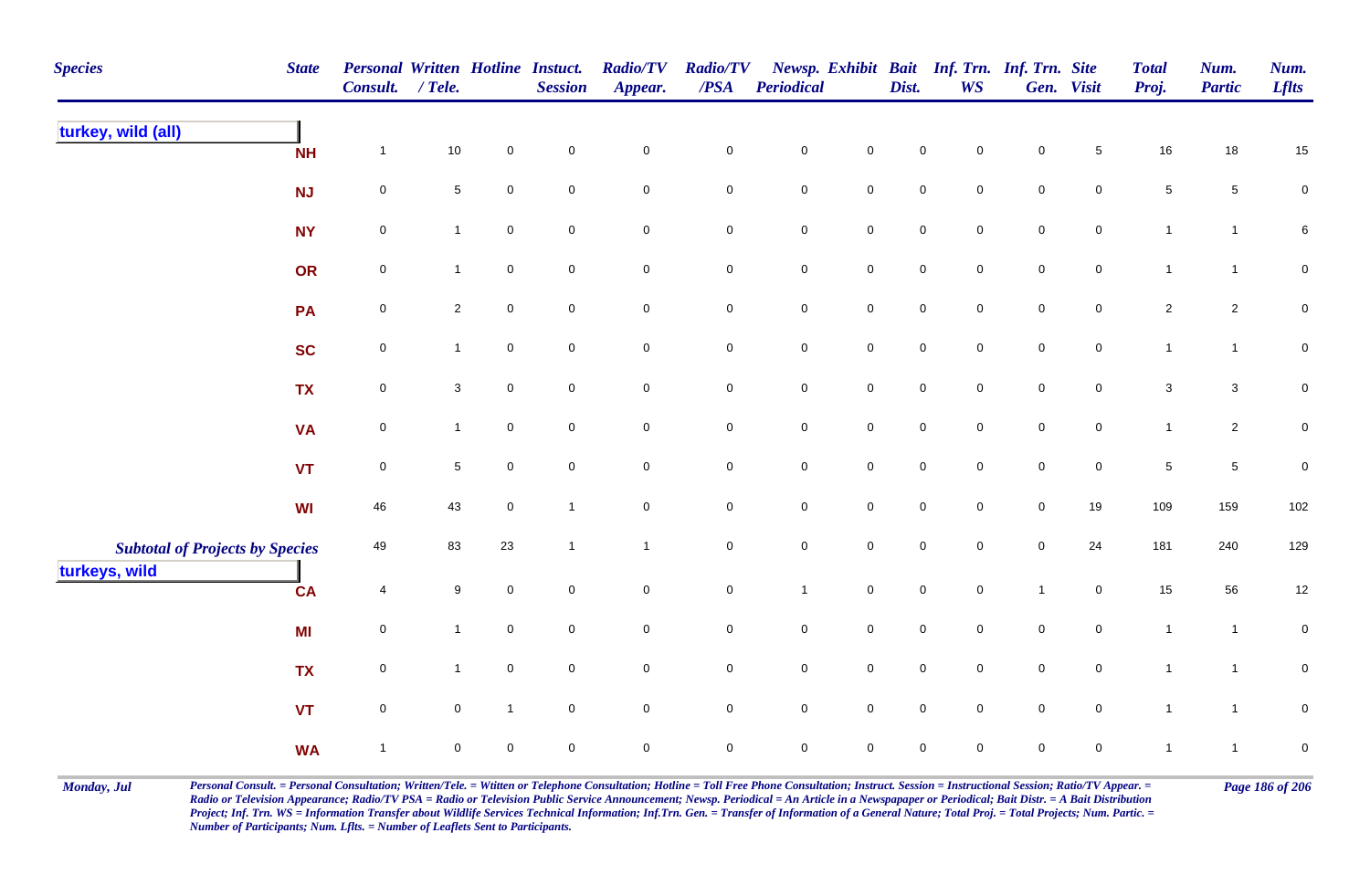| <b>Species</b>                         | <b>State</b> | Personal Written Hotline Instuct.<br>Consult. / Tele. |                |                     | <b>Session</b>      | <b>Radio/TV</b><br>Appear. | <b>Radio/TV</b><br>$\overline{PSA}$ | Periodical          |                     | Dist.               | Newsp. Exhibit Bait Inf. Trn. Inf. Trn. Site<br><b>WS</b> |                     | Gen. Visit     | <b>Total</b><br>Proj. | Num.<br><b>Partic</b> | Num.<br><b>Lflts</b> |
|----------------------------------------|--------------|-------------------------------------------------------|----------------|---------------------|---------------------|----------------------------|-------------------------------------|---------------------|---------------------|---------------------|-----------------------------------------------------------|---------------------|----------------|-----------------------|-----------------------|----------------------|
| turkey, wild (all)                     | <b>NH</b>    | $\mathbf{1}$                                          | 10             | $\pmb{0}$           | $\mathbf 0$         | $\mathbf 0$                | $\pmb{0}$                           | $\pmb{0}$           | $\mathsf{O}\xspace$ | $\pmb{0}$           | $\pmb{0}$                                                 | $\pmb{0}$           | $\sqrt{5}$     | $16\,$                | 18                    | $15\,$               |
|                                        | NJ           | $\pmb{0}$                                             | 5              | $\mathsf{O}\xspace$ | $\mathsf{O}\xspace$ | $\mathbf 0$                | $\mathbf 0$                         | $\mathbf 0$         | $\mathbf 0$         | $\mathbf 0$         | $\mathbf 0$                                               | $\mathbf 0$         | $\overline{0}$ | $\,$ 5 $\,$           | $\sqrt{5}$            | $\mathbf 0$          |
|                                        | <b>NY</b>    | $\mathbf 0$                                           | $\mathbf{1}$   | $\mathbf 0$         | $\mathbf 0$         | $\mathbf 0$                | 0                                   | $\mathbf 0$         | $\mathbf 0$         | $\mathsf{O}\xspace$ | $\overline{0}$                                            | $\pmb{0}$           | $\overline{0}$ | $\mathbf{1}$          | $\overline{1}$        | $\,6\,$              |
|                                        | OR           | $\mathbf 0$                                           | $\mathbf{1}$   | $\mathbf 0$         | $\mathbf 0$         | $\mathbf 0$                | $\mathbf 0$                         | $\mathbf 0$         | $\mathbf 0$         | $\mathbf 0$         | $\mathbf 0$                                               | $\mathbf 0$         | $\mathbf 0$    | $\mathbf{1}$          | $\mathbf{1}$          | $\mathbf 0$          |
|                                        | PA           | $\pmb{0}$                                             | $\overline{2}$ | $\mathbf 0$         | $\mathbf 0$         | $\mathsf{O}\xspace$        | $\mathbf 0$                         | $\mathbf 0$         | $\mathbf 0$         | $\mathbf 0$         | $\mathbf 0$                                               | $\mathbf 0$         | $\mathbf 0$    | $\sqrt{2}$            | $\overline{c}$        | $\mathbf 0$          |
|                                        | <b>SC</b>    | $\pmb{0}$                                             | $\overline{1}$ | $\mathbf 0$         | $\mathbf 0$         | $\mathsf{O}\xspace$        | $\mathsf{O}\xspace$                 | $\mathbf 0$         | $\mathbf 0$         | $\mathbf 0$         | $\mathbf 0$                                               | $\mathbf 0$         | $\mathbf 0$    | $\mathbf{1}$          | $\mathbf{1}$          | $\pmb{0}$            |
|                                        | <b>TX</b>    | $\mathbf 0$                                           | $\mathbf{3}$   | $\mathbf 0$         | $\mathbf 0$         | $\mathsf{O}\xspace$        | $\mathbf 0$                         | $\mathbf 0$         | $\mathbf 0$         | $\mathbf 0$         | $\overline{0}$                                            | $\pmb{0}$           | $\overline{0}$ | $\mathbf{3}$          | $\mathbf{3}$          | $\mathbf 0$          |
|                                        | <b>VA</b>    | $\pmb{0}$                                             | $\mathbf{1}$   | $\mathbf 0$         | $\mathbf 0$         | $\overline{0}$             | $\mathbf 0$                         | $\mathbf 0$         | $\mathbf 0$         | $\mathbf 0$         | $\mathbf 0$                                               | $\mathbf 0$         | $\mathbf 0$    | $\mathbf{1}$          | $\overline{a}$        | $\mathbf 0$          |
|                                        | <b>VT</b>    | $\mathsf 0$                                           | 5              | $\mathbf 0$         | $\mathbf 0$         | $\mathsf{O}\xspace$        | $\mathbf 0$                         | $\mathsf{O}\xspace$ | $\mathsf{O}\xspace$ | $\mathbf 0$         | $\mathbf 0$                                               | $\mathbf 0$         | $\mathbf 0$    | $\sqrt{5}$            | $\sqrt{5}$            | $\pmb{0}$            |
|                                        | <b>WI</b>    | 46                                                    | 43             | $\mathbf 0$         | $\overline{1}$      | $\mathsf{O}\xspace$        | $\mathbf 0$                         | $\pmb{0}$           | $\mathsf{O}\xspace$ | $\mathbf 0$         | $\mathbf 0$                                               | $\pmb{0}$           | 19             | 109                   | 159                   | 102                  |
| <b>Subtotal of Projects by Species</b> |              | 49                                                    | 83             | 23                  | $\overline{1}$      | $\overline{1}$             | $\mathbf 0$                         | $\pmb{0}$           | $\mathsf{O}\xspace$ | $\pmb{0}$           | $\mathsf{O}\xspace$                                       | $\pmb{0}$           | 24             | 181                   | 240                   | 129                  |
| turkeys, wild                          | <b>CA</b>    | 4                                                     | 9              | $\pmb{0}$           | $\mathbf 0$         | $\mathsf{O}\xspace$        | $\mathbf 0$                         | $\mathbf{1}$        | $\mathbf 0$         | $\mathbf 0$         | $\mathbf 0$                                               | $\mathbf{1}$        | $\mathbf 0$    | 15                    | 56                    | $12\,$               |
|                                        | MI           | $\mathbf 0$                                           | $\mathbf{1}$   | $\mathbf 0$         | $\mathbf 0$         | $\mathsf{O}\xspace$        | $\mathbf 0$                         | $\mathbf 0$         | $\mathsf{O}\xspace$ | $\mathbf 0$         | $\mathbf 0$                                               | $\mathbf 0$         | $\mathbf{0}$   | $\mathbf{1}$          | $\overline{1}$        | $\mathbf 0$          |
|                                        | <b>TX</b>    | $\mathsf 0$                                           | $\mathbf{1}$   | $\mathsf{O}\xspace$ | $\mathbf 0$         | $\mathsf{O}\xspace$        | $\mathbf 0$                         | $\mathsf{O}\xspace$ | $\mathbf 0$         | $\mathbf 0$         | $\mathbf 0$                                               | $\mathsf{O}\xspace$ | $\overline{0}$ | $\mathbf{1}$          | $\mathbf{1}$          | $\mathbf 0$          |
|                                        | <b>VT</b>    | $\mathbf 0$                                           | $\mathsf{O}$   | $\mathbf{1}$        | $\mathbf 0$         | $\mathsf{O}\xspace$        | $\mathbf 0$                         | $\mathsf{O}\xspace$ | $\overline{0}$      | $\mathbf 0$         | $\mathbf 0$                                               | $\mathbf 0$         | $\mathbf 0$    | $\mathbf{1}$          | $\mathbf{1}$          | $\mathbf 0$          |
|                                        | <b>WA</b>    | $\mathbf{1}$                                          | $\mathsf{O}$   | $\pmb{0}$           | $\mathsf 0$         | $\mathbf 0$                | $\mathbf 0$                         | $\pmb{0}$           | $\mathsf{O}\xspace$ | $\mathbf 0$         | $\mathbf 0$                                               | $\mathbf 0$         | $\mathbf 0$    | $\mathbf{1}$          | $\overline{1}$        | $\pmb{0}$            |

Monday, Jul Personal Consult. = Personal Consultation; Written/Tele. = Witten or Telephone Consultation; Hotline = Toll Free Phone Consultation; Instruct. Session = Instructional Session; Ratio/TV Appear. = Page 186 of 206 *Radio or Television Appearance; Radio/TV PSA = Radio or Television Public Service Announcement; Newsp. Periodical = An Article in a Newspapaper or Periodical; Bait Distr. = A Bait Distribution*  Project; Inf. Trn. WS = Information Transfer about Wildlife Services Technical Information; Inf.Trn. Gen. = Transfer of Information of a General Nature; Total Proj. = Total Projects; Num. Partic. = *Number of Participants; Num. Lflts. = Number of Leaflets Sent to Participants.*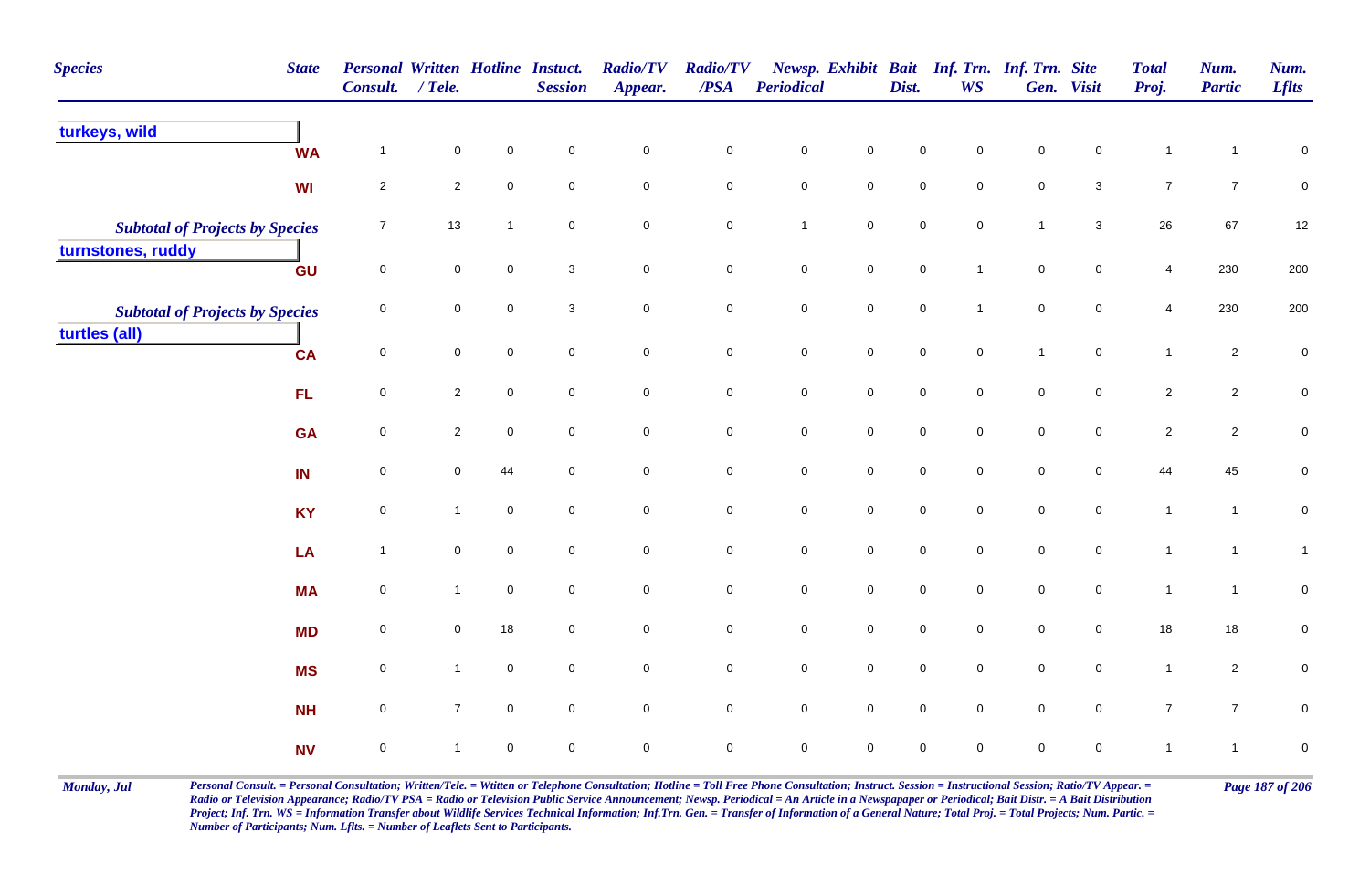| <b>Species</b>                         | <b>State</b> | Personal Written Hotline Instuct.<br><b>Consult.</b> | $/$ Tele.      |                | <b>Session</b> | <b>Radio/TV</b><br>Appear. | <b>Radio/TV</b><br>/PSA | Periodical          |                     | Dist.               | Newsp. Exhibit Bait Inf. Trn. Inf. Trn. Site<br><b>WS</b> |                     | Gen. Visit          | <b>Total</b><br>Proj. | Num.<br><b>Partic</b> | Num.<br><b>Lflts</b> |
|----------------------------------------|--------------|------------------------------------------------------|----------------|----------------|----------------|----------------------------|-------------------------|---------------------|---------------------|---------------------|-----------------------------------------------------------|---------------------|---------------------|-----------------------|-----------------------|----------------------|
| turkeys, wild                          | <b>WA</b>    | $\overline{1}$                                       | $\pmb{0}$      | $\mathbf 0$    | $\mathbf 0$    | $\mathbf 0$                | $\pmb{0}$               | $\mathbf 0$         | $\pmb{0}$           | $\mathbf 0$         | 0                                                         | $\mathbf 0$         | $\mathsf 0$         | $\mathbf{1}$          |                       | $\pmb{0}$            |
|                                        | WI           | $\overline{2}$                                       | $\overline{c}$ | $\mathbf 0$    | $\mathbf 0$    | $\mathsf{O}\xspace$        | $\mathbf 0$             | $\mathbf 0$         | $\mathsf{O}\xspace$ | $\mathbf 0$         | $\mathbf 0$                                               | $\mathbf 0$         | $\mathbf{3}$        | $\overline{7}$        | $\overline{7}$        | $\mathbf 0$          |
| <b>Subtotal of Projects by Species</b> |              | $\overline{7}$                                       | 13             | $\overline{1}$ | $\mathsf 0$    | $\mathbf 0$                | $\mathsf{O}$            | $\mathbf{1}$        | $\overline{0}$      | $\mathbf 0$         | $\overline{0}$                                            | $\mathbf{1}$        | $\mathbf{3}$        | 26                    | 67                    | 12                   |
| turnstones, ruddy                      | GU           | $\mathsf{O}\xspace$                                  | $\pmb{0}$      | $\mathbf 0$    | 3              | $\mathbf 0$                | $\pmb{0}$               | $\mathbf 0$         | $\mathsf{O}\xspace$ | $\mathbf 0$         | $\mathbf{1}$                                              | $\mathbf 0$         | $\mathsf{O}\xspace$ | 4                     | 230                   | 200                  |
| <b>Subtotal of Projects by Species</b> |              | $\mathbf 0$                                          | $\mathbf 0$    | $\mathbf 0$    | 3              | $\mathbf 0$                | $\mathsf{O}\xspace$     | $\mathbf 0$         | $\mathsf{O}\xspace$ | $\mathbf 0$         | $\mathbf{1}$                                              | $\mathbf 0$         | $\mathsf{O}\xspace$ | $\overline{4}$        | 230                   | 200                  |
| turtles (all)                          | <b>CA</b>    | $\overline{0}$                                       | $\overline{0}$ | $\mathbf 0$    | $\mathbf 0$    | $\mathbf 0$                | $\overline{0}$          | $\mathbf 0$         | $\mathbf 0$         | $\mathbf 0$         | $\overline{0}$                                            | $\mathbf{1}$        | $\overline{0}$      | $\mathbf{1}$          | $\overline{2}$        | $\mathbf 0$          |
|                                        | FL.          | $\mathsf 0$                                          | $\overline{2}$ | $\mathbf 0$    | $\mathbf 0$    | $\mathsf{O}\xspace$        | $\mathbf 0$             | $\mathbf 0$         | $\mathsf{O}\xspace$ | $\mathbf 0$         | $\mathbf 0$                                               | $\mathbf 0$         | $\overline{0}$      | $\sqrt{2}$            | $\overline{2}$        | $\pmb{0}$            |
|                                        | <b>GA</b>    | $\overline{0}$                                       | $\overline{2}$ | $\mathbf 0$    | $\mathbf 0$    | $\mathbf 0$                | $\mathbf 0$             | $\mathbf 0$         | $\mathsf{O}\xspace$ | $\mathbf 0$         | $\mathbf 0$                                               | $\mathbf 0$         | $\overline{0}$      | $\sqrt{2}$            | $\overline{c}$        | $\mathsf{O}\xspace$  |
|                                        | IN           | $\mathbf 0$                                          | $\mathbf 0$    | 44             | $\mathbf 0$    | $\mathbf 0$                | $\mathbf 0$             | $\pmb{0}$           | $\mathsf{O}\xspace$ | $\mathsf{O}\xspace$ | $\overline{0}$                                            | $\mathbf 0$         | $\overline{0}$      | 44                    | 45                    | $\pmb{0}$            |
|                                        | <b>KY</b>    | $\mathbf 0$                                          | $\mathbf{1}$   | $\mathsf 0$    | $\mathsf 0$    | $\mathbf 0$                | $\mathsf{O}$            | $\pmb{0}$           | $\mathsf{O}\xspace$ | $\mathsf{O}\xspace$ | $\overline{0}$                                            | $\mathsf{O}\xspace$ | $\mathbf 0$         | $\mathbf{1}$          | $\mathbf{1}$          | $\pmb{0}$            |
|                                        | LA           | $\overline{1}$                                       | $\mathbf 0$    | $\mathbf 0$    | $\mathbf 0$    | $\mathbf 0$                | $\mathsf{O}$            | ${\bf 0}$           | $\mathbf 0$         | $\pmb{0}$           | $\mathbf 0$                                               | $\pmb{0}$           | $\mathbf 0$         | $\mathbf{1}$          | $\overline{1}$        | $\mathbf{1}$         |
|                                        | <b>MA</b>    | $\mathbf 0$                                          | $\mathbf{1}$   | $\overline{0}$ | $\mathbf 0$    | $\mathbf 0$                | $\mathbf 0$             | $\pmb{0}$           | $\mathbf 0$         | $\mathsf{O}\xspace$ | $\overline{0}$                                            | $\mathsf{O}\xspace$ | $\mathbf 0$         | $\mathbf{1}$          | $\mathbf{1}$          | $\pmb{0}$            |
|                                        | <b>MD</b>    | $\overline{0}$                                       | 0              | $18$           | $\mathbf 0$    | $\mathbf 0$                | $\mathbf 0$             | $\mathsf{O}\xspace$ | $\mathsf{O}\xspace$ | $\mathbf 0$         | $\mathbf 0$                                               | $\mathbf 0$         | $\overline{0}$      | 18                    | 18                    | 0                    |
|                                        | <b>MS</b>    | $\mathsf{O}\xspace$                                  | $\mathbf{1}$   | $\overline{0}$ | $\mathsf 0$    | $\mathbf 0$                | $\mathsf{O}$            | $\pmb{0}$           | $\mathsf{O}\xspace$ | $\mathsf{O}\xspace$ | $\overline{0}$                                            | $\mathsf{O}\xspace$ | $\mathbf 0$         | $\mathbf{1}$          | $\overline{2}$        | $\pmb{0}$            |
|                                        | <b>NH</b>    | 0                                                    | $\overline{7}$ | $\overline{0}$ | $\mathbf 0$    | $\mathbf 0$                | $\overline{0}$          | $\pmb{0}$           | $\mathsf 0$         | $\mathsf{O}\xspace$ | $\overline{0}$                                            | $\pmb{0}$           | $\mathbf 0$         | $\overline{7}$        | $\overline{7}$        | $\pmb{0}$            |
|                                        | <b>NV</b>    | $\pmb{0}$                                            | 1              | $\mathbf 0$    | $\mathbf 0$    | 0                          | $\mathbf 0$             | $\pmb{0}$           | $\mathbf 0$         | $\mathsf{O}\xspace$ | $\mathbf 0$                                               | $\mathsf{O}\xspace$ | $\mathbf 0$         | $\mathbf{1}$          | $\mathbf{1}$          | $\pmb{0}$            |

Monday, Jul Personal Consult. = Personal Consultation; Written/Tele. = Witten or Telephone Consultation; Hotline = Toll Free Phone Consultation; Instruct. Session = Instructional Session; Ratio/TV Appear. = Page 187 of 206 *Radio or Television Appearance; Radio/TV PSA = Radio or Television Public Service Announcement; Newsp. Periodical = An Article in a Newspapaper or Periodical; Bait Distr. = A Bait Distribution*  Project; Inf. Trn. WS = Information Transfer about Wildlife Services Technical Information; Inf.Trn. Gen. = Transfer of Information of a General Nature; Total Proj. = Total Projects; Num. Partic. = *Number of Participants; Num. Lflts. = Number of Leaflets Sent to Participants.*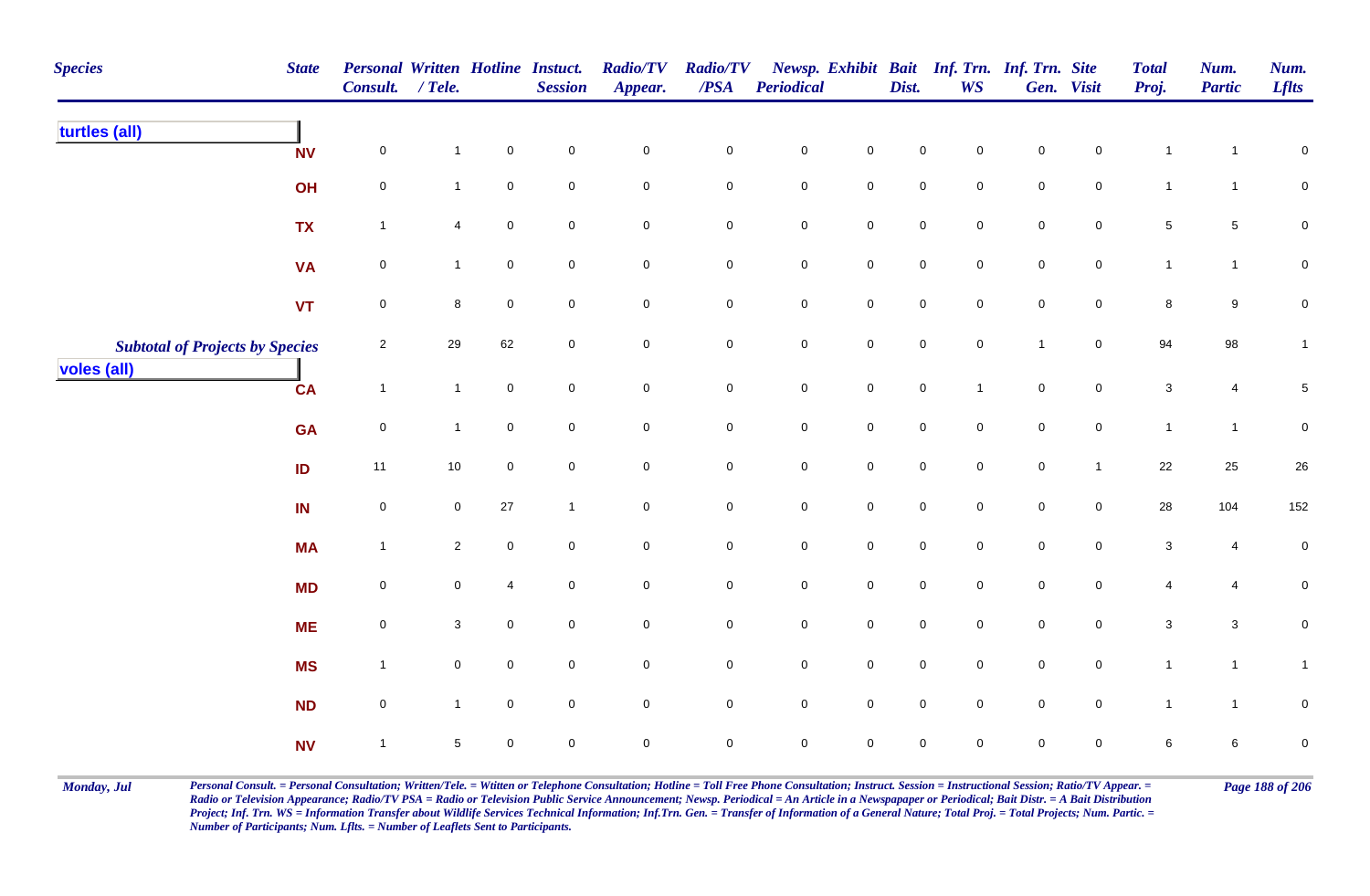| <b>Species</b>                         | <b>State</b> | Personal Written Hotline Instuct.<br>Consult. / Tele. |                |             | <b>Session</b>      | <b>Radio/TV</b><br>Appear. | <b>Radio/TV</b><br>$\overline{PSA}$ | <b>Periodical</b> |                     | Dist.               | <b>WS</b>           | Newsp. Exhibit Bait Inf. Trn. Inf. Trn. Site | Gen. Visit     | <b>Total</b><br>Proj. | Num.<br><b>Partic</b> | Num.<br><b>Lflts</b> |
|----------------------------------------|--------------|-------------------------------------------------------|----------------|-------------|---------------------|----------------------------|-------------------------------------|-------------------|---------------------|---------------------|---------------------|----------------------------------------------|----------------|-----------------------|-----------------------|----------------------|
| turtles (all)                          | <b>NV</b>    | $\mathbf 0$                                           | $\mathbf{1}$   | $\mathbf 0$ | $\mathbf 0$         | $\pmb{0}$                  | 0                                   | $\mathbf 0$       | $\mathbf 0$         | $\pmb{0}$           | $\mathbf 0$         | $\mathbf 0$                                  | $\mathbf 0$    | -1                    | $\mathbf{1}$          | ${\bf 0}$            |
|                                        | OH           | $\mathsf{O}\xspace$                                   | $\mathbf{1}$   | $\mathbf 0$ | $\pmb{0}$           | $\mathsf{O}\xspace$        | 0                                   | $\mathbf 0$       | $\mathbf 0$         | 0                   | 0                   | $\mathbf 0$                                  | $\mathbf 0$    | $\mathbf{1}$          | $\mathbf{1}$          | $\pmb{0}$            |
|                                        | <b>TX</b>    | $\mathbf{1}$                                          | 4              | $\mathbf 0$ | $\mathbf 0$         | $\pmb{0}$                  | 0                                   | $\mathbf 0$       | $\mathbf 0$         | $\mathbf 0$         | $\mathbf 0$         | $\mathbf 0$                                  | $\overline{0}$ | $5\phantom{.0}$       | $5\phantom{.0}$       | $\pmb{0}$            |
|                                        | <b>VA</b>    | $\mathbf 0$                                           | $\mathbf{1}$   | $\mathbf 0$ | $\mathbf 0$         | $\mathbf 0$                | 0                                   | $\mathbf 0$       | $\mathbf 0$         | $\mathbf 0$         | $\mathbf 0$         | $\mathbf 0$                                  | $\mathbf 0$    | $\mathbf{1}$          | $\mathbf{1}$          | 0                    |
|                                        | VT           | $\mathbf 0$                                           | 8              | $\mathbf 0$ | $\mathsf 0$         | $\mathsf 0$                | $\mathbf 0$                         | $\mathsf{O}$      | $\mathbf 0$         | $\mathbf 0$         | $\mathbf 0$         | $\mathsf{O}$                                 | $\overline{0}$ | 8                     | $9\,$                 | $\mathbf 0$          |
| <b>Subtotal of Projects by Species</b> |              | $\overline{c}$                                        | 29             | 62          | $\mathsf{O}\xspace$ | $\mathsf{O}\xspace$        | $\mathbf 0$                         | $\mathsf{O}$      | $\mathbf 0$         | $\mathbf 0$         | $\mathbf 0$         | $\mathbf{1}$                                 | $\overline{0}$ | 94                    | 98                    | $\mathbf{1}$         |
| voles (all)                            | <b>CA</b>    | $\mathbf{1}$                                          | $\mathbf{1}$   | $\mathbf 0$ | $\mathbf 0$         | $\pmb{0}$                  | $\mathbf 0$                         | $\mathbf 0$       | $\mathbf 0$         | $\mathbf 0$         |                     | $\mathsf{O}\xspace$                          | $\overline{0}$ | $\mathbf{3}$          | 4                     | $\,$ 5 $\,$          |
|                                        | <b>GA</b>    | $\mathsf{O}\xspace$                                   | $\mathbf{1}$   | $\mathbf 0$ | $\mathsf{O}\xspace$ | $\mathsf{O}\xspace$        | $\mathbf 0$                         | $\mathsf{O}$      | $\mathbf 0$         | $\mathbf 0$         | $\mathbf 0$         | $\mathbf 0$                                  | $\overline{0}$ | $\mathbf{1}$          | $\mathbf{1}$          | ${\bf 0}$            |
|                                        | ID           | 11                                                    | 10             | $\mathbf 0$ | $\pmb{0}$           | $\pmb{0}$                  | $\pmb{0}$                           | $\mathbf 0$       | $\pmb{0}$           | $\mathbf 0$         | $\mathbf 0$         | $\mathbf 0$                                  | $\mathbf{1}$   | $22\,$                | 25                    | $26\,$               |
|                                        | IN           | $\pmb{0}$                                             | $\overline{0}$ | $27\,$      | $\overline{1}$      | $\mathbf 0$                | $\pmb{0}$                           | $\mathbf 0$       | $\mathbf 0$         | $\mathbf 0$         | $\mathbf 0$         | $\mathbf 0$                                  | $\mathbf 0$    | 28                    | 104                   | 152                  |
|                                        | <b>MA</b>    | $\mathbf{1}$                                          | $\overline{2}$ | $\mathbf 0$ | $\mathbf 0$         | $\mathbf 0$                | 0                                   | $\mathbf 0$       | $\mathbf 0$         | $\mathbf 0$         | $\mathbf 0$         | $\mathbf 0$                                  | $\mathbf 0$    | $\mathbf{3}$          | 4                     | $\pmb{0}$            |
|                                        | <b>MD</b>    | $\mathsf{O}\xspace$                                   | $\mathbf 0$    | 4           | $\mathbf 0$         | $\mathsf{O}\xspace$        | 0                                   | $\mathsf{O}$      | $\mathbf 0$         | $\mathbf 0$         | $\mathbf 0$         | $\mathbf 0$                                  | $\mathbf 0$    | $\overline{4}$        | 4                     | ${\bf 0}$            |
|                                        | <b>ME</b>    | $\mathsf{O}\xspace$                                   | $\mathbf{3}$   | $\mathbf 0$ | $\mathsf{O}\xspace$ | $\mathsf{O}\xspace$        | $\mathbf 0$                         | $\mathsf{O}$      | $\mathsf{O}\xspace$ | $\mathsf{O}\xspace$ | $\mathbf 0$         | $\mathbf 0$                                  | $\mathbf 0$    | $\mathbf{3}$          | $\mathbf{3}$          | ${\bf 0}$            |
|                                        | <b>MS</b>    | $\mathbf{1}$                                          | $\mathbf 0$    | $\mathbf 0$ | $\mathsf{O}\xspace$ | $\mathsf{O}\xspace$        | $\mathbf 0$                         | $\mathsf 0$       | $\mathsf 0$         | $\mathsf{O}\xspace$ | $\mathsf{O}\xspace$ | $\mathbf 0$                                  | $\mathbf 0$    | $\mathbf{1}$          | $\mathbf{1}$          | $\mathbf{1}$         |
|                                        | <b>ND</b>    | $\mathsf{O}\xspace$                                   | $\mathbf{1}$   | $\mathbf 0$ | $\pmb{0}$           | $\mathbf 0$                | $\mathbf 0$                         | $\mathbf 0$       | $\mathsf{O}\xspace$ | $\mathbf 0$         | $\mathbf 0$         | $\mathbf 0$                                  | $\mathbf 0$    | $\mathbf{1}$          | $\mathbf{1}$          | $\pmb{0}$            |
|                                        | <b>NV</b>    | $\mathbf{1}$                                          | 5              | $\mathbf 0$ | $\mathbf 0$         | $\mathbf 0$                | $\pmb{0}$                           | $\mathbf 0$       | $\mathbf 0$         | $\pmb{0}$           | $\mathbf 0$         | $\pmb{0}$                                    | $\mathbf 0$    | 6                     | $\bf 6$               | $\pmb{0}$            |

Monday, Jul Personal Consult. = Personal Consultation; Written/Tele. = Witten or Telephone Consultation; Hotline = Toll Free Phone Consultation; Instruct. Session = Instructional Session; Ratio/TV Appear. = Page 188 of 206 *Radio or Television Appearance; Radio/TV PSA = Radio or Television Public Service Announcement; Newsp. Periodical = An Article in a Newspapaper or Periodical; Bait Distr. = A Bait Distribution*  Project; Inf. Trn. WS = Information Transfer about Wildlife Services Technical Information; Inf.Trn. Gen. = Transfer of Information of a General Nature; Total Proj. = Total Projects; Num. Partic. = *Number of Participants; Num. Lflts. = Number of Leaflets Sent to Participants.*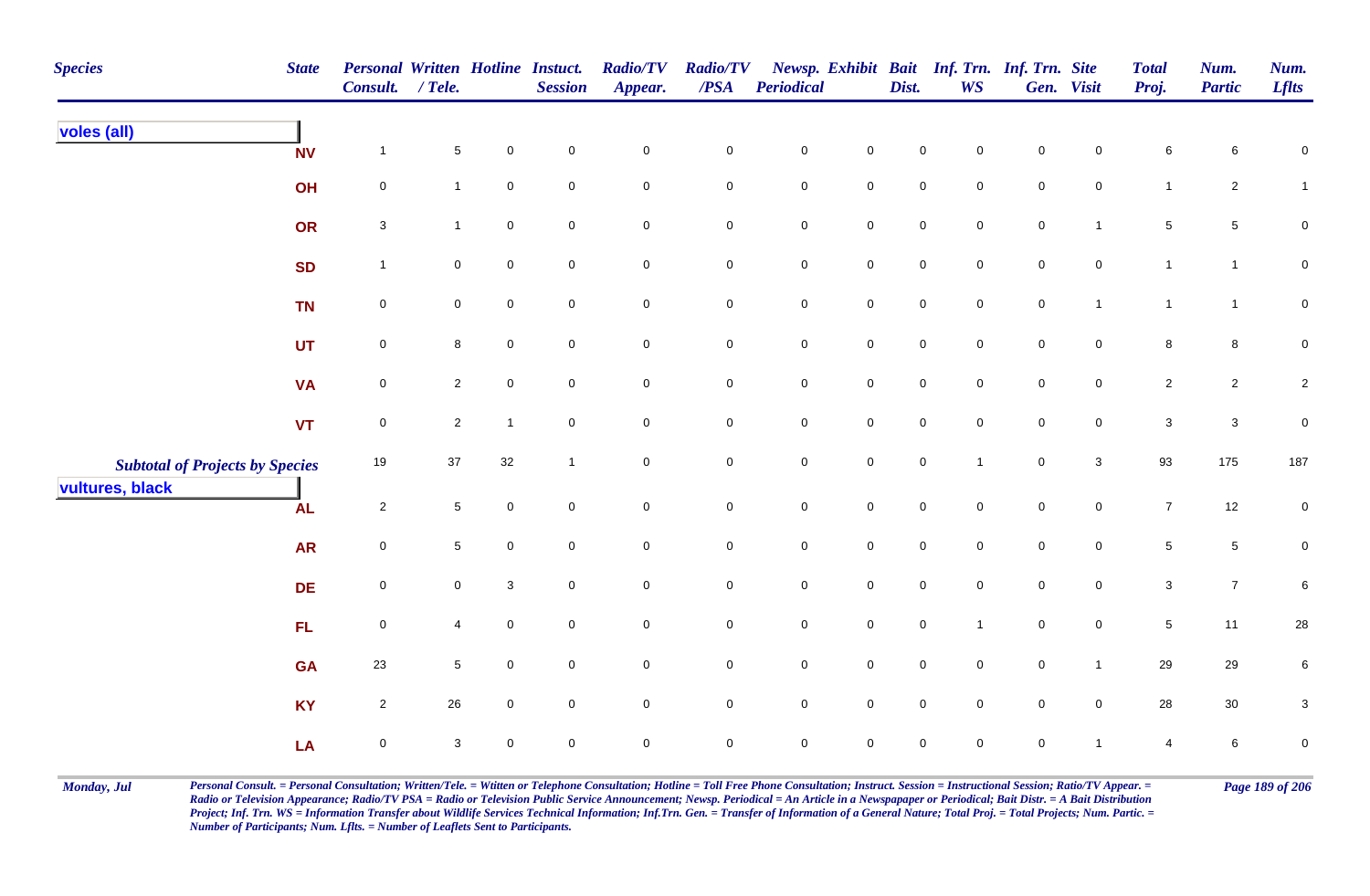| <b>Species</b>                                            | <b>State</b> | <b>Personal Written Hotline Instuct.</b><br>Consult. / Tele. |                 |                     | <b>Session</b>   | <b>Radio/TV</b><br>Appear. | <b>Radio/TV</b><br>$\overline{PSA}$ | <b>Periodical</b>   |                     | Dist.               | <b>WS</b>           | Newsp. Exhibit Bait Inf. Trn. Inf. Trn. Site | Gen. Visit          | <b>Total</b><br>Proj. | Num.<br><b>Partic</b> | Num.<br><b>Lflts</b> |
|-----------------------------------------------------------|--------------|--------------------------------------------------------------|-----------------|---------------------|------------------|----------------------------|-------------------------------------|---------------------|---------------------|---------------------|---------------------|----------------------------------------------|---------------------|-----------------------|-----------------------|----------------------|
| voles (all)                                               | <b>NV</b>    | $\mathbf{1}$                                                 | $5\phantom{.0}$ | 0                   | $\,0\,$          | $\mathbf 0$                | 0                                   | $\mathsf{O}\xspace$ | $\mathbf 0$         | 0                   | 0                   | 0                                            | $\mathbf 0$         | 6                     | 6                     | 0                    |
|                                                           | OH           | 0                                                            | $\mathbf{1}$    | 0                   | $\pmb{0}$        | $\mathbf 0$                | 0                                   | $\mathbf 0$         | $\mathbf 0$         | $\mathbf 0$         | 0                   | $\mathbf 0$                                  | $\mathbf 0$         | $\mathbf{1}$          | $\overline{2}$        | $\mathbf{1}$         |
|                                                           | OR           | $\mathbf{3}$                                                 | $\mathbf{1}$    | $\pmb{0}$           | $\mathbf 0$      | $\mathbf 0$                | 0                                   | $\mathsf{O}\xspace$ | $\mathbf 0$         | $\mathbf 0$         | $\mathsf 0$         | $\mathbf 0$                                  | $\mathbf{1}$        | 5                     | $5\phantom{.0}$       | $\pmb{0}$            |
|                                                           | <b>SD</b>    | $\mathbf{1}$                                                 | $\mathbf 0$     | 0                   | $\pmb{0}$        | $\pmb{0}$                  | 0                                   | $\pmb{0}$           | $\pmb{0}$           | $\mathsf{O}\xspace$ | $\mathbf 0$         | $\mathbf 0$                                  | $\mathbf 0$         | $\mathbf{1}$          | $\mathbf{1}$          | $\pmb{0}$            |
|                                                           | <b>TN</b>    | $\mathbf 0$                                                  | $\mathbf 0$     | 0                   | $\boldsymbol{0}$ | $\mathbf 0$                | 0                                   | $\mathbf 0$         | $\mathbf 0$         | $\overline{0}$      | $\mathbf 0$         | $\mathbf 0$                                  | $\overline{1}$      | $\overline{1}$        | $\mathbf{1}$          | $\mathbf 0$          |
|                                                           | <b>UT</b>    | $\mathsf{O}\xspace$                                          | $\bf{8}$        | $\mathsf{O}\xspace$ | $\pmb{0}$        | $\mathsf{O}\xspace$        | 0                                   | $\mathbf 0$         | $\mathsf{O}\xspace$ | $\mathsf{O}\xspace$ | $\mathbf 0$         | $\mathbf 0$                                  | $\mathbf 0$         | 8                     | $\bf{8}$              | $\mathbf 0$          |
|                                                           | <b>VA</b>    | $\overline{0}$                                               | $\overline{2}$  | $\mathbf 0$         | $\mathbf 0$      | $\mathsf{O}\xspace$        | 0                                   | $\mathbf 0$         | $\mathbf 0$         | $\overline{0}$      | $\mathbf 0$         | $\mathbf 0$                                  | $\overline{0}$      | $\overline{2}$        | $\overline{2}$        | $\overline{c}$       |
|                                                           | <b>VT</b>    | $\mathsf{O}\xspace$                                          | $\overline{2}$  | $\overline{1}$      | $\pmb{0}$        | $\mathbf 0$                | $\mathsf{O}\xspace$                 | $\mathbf 0$         | $\pmb{0}$           | $\mathsf{O}\xspace$ | $\mathsf{O}\xspace$ | $\mathsf{O}\xspace$                          | $\mathbf 0$         | $\mathbf{3}$          | $\mathbf{3}$          | $\mathbf 0$          |
| <b>Subtotal of Projects by Species</b><br>vultures, black |              | 19                                                           | 37              | 32                  | $\overline{1}$   | $\mathbf 0$                | 0                                   | $\mathsf{O}\xspace$ | $\mathsf{O}\xspace$ | $\mathsf{O}\xspace$ | $\mathbf{1}$        | $\overline{0}$                               | 3                   | 93                    | 175                   | 187                  |
|                                                           | <b>AL</b>    | $\overline{c}$                                               | $5\phantom{.0}$ | 0                   | $\,0\,$          | $\mathbf 0$                | $\pmb{0}$                           | $\mathsf{O}\xspace$ | $\pmb{0}$           | $\mathsf{O}\xspace$ | $\mathbf 0$         | $\mathsf{O}\xspace$                          | $\mathsf{O}\xspace$ | $\overline{7}$        | 12                    | $\pmb{0}$            |
|                                                           | <b>AR</b>    | $\mathbf 0$                                                  | $5\phantom{.0}$ | $\mathsf{O}\xspace$ | $\pmb{0}$        | $\pmb{0}$                  | 0                                   | $\mathbf 0$         | $\pmb{0}$           | $\mathbf 0$         | $\mathbf 0$         | $\mathbf 0$                                  | $\mathbf 0$         | $5\,$                 | $5\phantom{.0}$       | $\mathbf 0$          |
|                                                           | <b>DE</b>    | $\mathsf{O}\xspace$                                          | $\mathbf 0$     | 3                   | $\boldsymbol{0}$ | $\mathbf 0$                | 0                                   | $\mathbf 0$         | $\mathsf 0$         | $\mathbf 0$         | $\mathbf 0$         | $\overline{0}$                               | $\mathbf 0$         | 3 <sup>1</sup>        | $\overline{7}$        | 6                    |
|                                                           | FL           | $\mathsf{O}\xspace$                                          | 4               | 0                   | $\mathbf 0$      | $\mathsf{O}\xspace$        | 0                                   | $\mathsf{O}\xspace$ | $\mathsf{O}\xspace$ | $\mathsf{O}\xspace$ | $\mathbf 1$         | $\mathbf 0$                                  | $\mathsf{O}\xspace$ | $5\,$                 | 11                    | ${\bf 28}$           |
|                                                           | <b>GA</b>    | 23                                                           | $5\phantom{.0}$ | 0                   | $\mathbf 0$      | $\mathsf{O}\xspace$        | 0                                   | $\mathbf 0$         | $\mathsf{O}\xspace$ | $\mathsf{O}\xspace$ | $\mathbf 0$         | $\mathbf 0$                                  | $\mathbf{1}$        | 29                    | 29                    | $\,6\,$              |
|                                                           | <b>KY</b>    | $\overline{2}$                                               | 26              | 0                   | $\mathbf 0$      | $\mathbf 0$                | $\mathsf{O}\xspace$                 | $\mathsf{O}\xspace$ | $\mathsf{O}\xspace$ | $\mathsf{O}\xspace$ | $\mathbf 0$         | $\mathsf{O}\xspace$                          | $\mathbf 0$         | 28                    | $30\,$                | $\sqrt{3}$           |
|                                                           | LA           | $\mathbf 0$                                                  | 3               | $\mathsf{O}$        | $\mathbf 0$      | $\mathbf 0$                | 0                                   | $\overline{0}$      | $\mathbf 0$         | $\mathbf 0$         | $\mathbf 0$         | $\mathbf 0$                                  | $\overline{1}$      | 4                     | 6                     | $\mathbf 0$          |

Monday, Jul Personal Consult. = Personal Consultation; Written/Tele. = Witten or Telephone Consultation; Hotline = Toll Free Phone Consultation; Instruct. Session = Instructional Session; Ratio/TV Appear. = Page 189 of 206 *Radio or Television Appearance; Radio/TV PSA = Radio or Television Public Service Announcement; Newsp. Periodical = An Article in a Newspapaper or Periodical; Bait Distr. = A Bait Distribution*  Project; Inf. Trn. WS = Information Transfer about Wildlife Services Technical Information; Inf.Trn. Gen. = Transfer of Information of a General Nature; Total Proj. = Total Projects; Num. Partic. = *Number of Participants; Num. Lflts. = Number of Leaflets Sent to Participants.*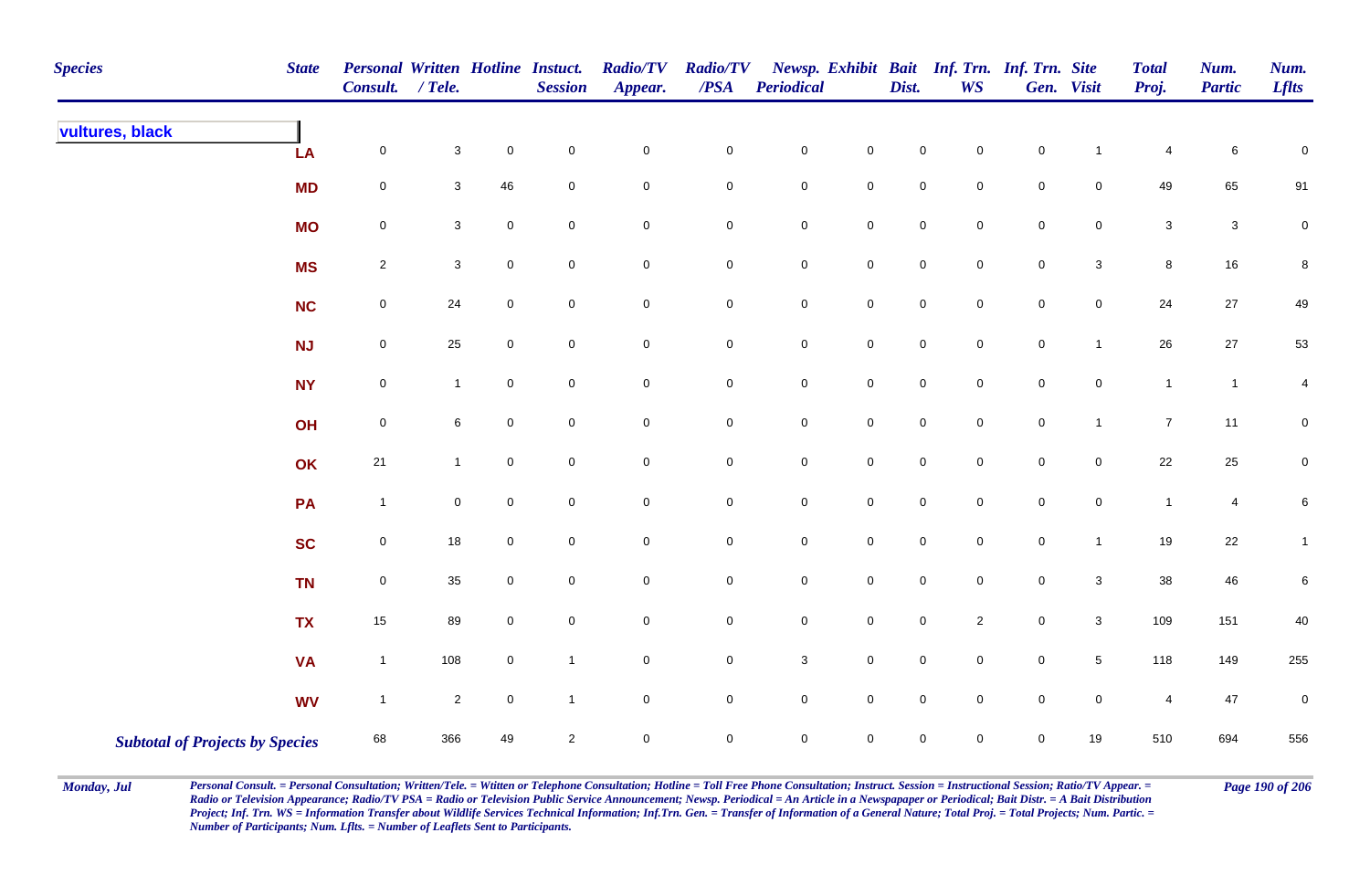| <b>Species</b>                         | <b>State</b> | <b>Personal Written Hotline Instuct.</b><br>Consult. | $/$ Tele.      |             | <b>Session</b>      | <b>Radio/TV</b><br>Appear. | <b>Radio/TV</b><br>$\overline{PSA}$ | Periodical   |                     | Dist.               | <b>WS</b>           | Newsp. Exhibit Bait Inf. Trn. Inf. Trn. Site | Gen. Visit      | <b>Total</b><br>Proj.   | Num.<br><b>Partic</b>     | Num.<br><b>Lflts</b>    |
|----------------------------------------|--------------|------------------------------------------------------|----------------|-------------|---------------------|----------------------------|-------------------------------------|--------------|---------------------|---------------------|---------------------|----------------------------------------------|-----------------|-------------------------|---------------------------|-------------------------|
| vultures, black                        | LA           | $\mathsf 0$                                          | $\mathbf{3}$   | $\pmb{0}$   | $\mathsf{O}\xspace$ | $\pmb{0}$                  | $\mathbf 0$                         | $\pmb{0}$    | $\mathbf 0$         | $\mathbf 0$         | 0                   | $\pmb{0}$                                    | $\mathbf 1$     | $\overline{4}$          | 6                         | 0                       |
|                                        | <b>MD</b>    | $\mathsf 0$                                          | $\mathbf{3}$   | 46          | $\mathbf 0$         | $\pmb{0}$                  | $\pmb{0}$                           | $\pmb{0}$    | $\mathbf 0$         | $\mathbf 0$         | $\mathbf 0$         | $\pmb{0}$                                    | $\mathbf 0$     | 49                      | 65                        | 91                      |
|                                        | <b>MO</b>    | $\pmb{0}$                                            | $\mathbf{3}$   | $\mathsf 0$ | $\overline{0}$      | $\mathbf 0$                | $\mathbf 0$                         | $\mathbf 0$  | $\mathbf 0$         | $\mathbf 0$         | $\mathbf 0$         | $\mathsf 0$                                  | $\mathbf 0$     | $\mathbf 3$             | $\ensuremath{\mathsf{3}}$ | $\mathbf 0$             |
|                                        | <b>MS</b>    | $\boldsymbol{2}$                                     | $\mathbf{3}$   | $\mathsf 0$ | $\mathbf 0$         | $\mathbf 0$                | $\pmb{0}$                           | $\pmb{0}$    | $\mathbf 0$         | $\mathbf 0$         | $\mathbf 0$         | $\pmb{0}$                                    | $\mathbf{3}$    | $\bf8$                  | $16\,$                    | 8                       |
|                                        | <b>NC</b>    | $\pmb{0}$                                            | 24             | $\mathsf 0$ | $\overline{0}$      | $\overline{0}$             | $\mathsf 0$                         | $\mathbf 0$  | $\mathbf 0$         | $\mathsf{O}\xspace$ | $\overline{0}$      | $\mathsf 0$                                  | $\mathbf 0$     | 24                      | 27                        | 49                      |
|                                        | NJ           | $\pmb{0}$                                            | 25             | $\mathbf 0$ | $\mathsf{O}\xspace$ | $\mathsf 0$                | $\overline{0}$                      | $\pmb{0}$    | $\mathbf 0$         | $\mathsf{O}\xspace$ | $\mathsf{O}\xspace$ | $\mathsf 0$                                  | $\mathbf{1}$    | $26\,$                  | $27\,$                    | 53                      |
|                                        | <b>NY</b>    | $\mathbf 0$                                          | $\mathbf{1}$   | $\mathsf 0$ | $\mathbf 0$         | $\mathsf{O}$               | $\mathbf 0$                         | $\mathbf 0$  | $\mathbf 0$         | $\pmb{0}$           | $\overline{0}$      | $\mathsf 0$                                  | $\mathbf 0$     | $\mathbf{1}$            | $\mathbf{1}$              | $\overline{\mathbf{4}}$ |
|                                        | OH           | $\mathbf 0$                                          | 6              | $\mathbf 0$ | $\mathsf{O}\xspace$ | $\mathsf 0$                | $\overline{0}$                      | $\pmb{0}$    | $\mathbf 0$         | $\mathbf 0$         | $\mathbf 0$         | $\pmb{0}$                                    | $\mathbf{1}$    | $\overline{7}$          | 11                        | $\mathbf 0$             |
|                                        | OK           | 21                                                   | $\mathbf{1}$   | $\mathbf 0$ | $\overline{0}$      | $\mathsf 0$                | $\mathbf 0$                         | $\pmb{0}$    | $\mathsf{O}\xspace$ | $\mathbf 0$         | $\mathbf 0$         | $\mathsf 0$                                  | 0               | 22                      | 25                        | $\mathbf{0}$            |
|                                        | PA           | $\mathbf{1}$                                         | $\mathbf 0$    | $\mathbf 0$ | $\overline{0}$      | $\mathbf 0$                | $\mathbf 0$                         | $\pmb{0}$    | $\overline{0}$      | $\mathbf 0$         | $\mathbf 0$         | $\pmb{0}$                                    | $\mathbf 0$     | $\mathbf{1}$            | $\overline{4}$            | 6                       |
|                                        | <b>SC</b>    | $\mathbf 0$                                          | $18\,$         | $\pmb{0}$   | $\mathsf{O}\xspace$ | $\pmb{0}$                  | $\mathbf 0$                         | $\mathbf 0$  | $\mathbf 0$         | $\mathbf 0$         | $\mathsf{O}\xspace$ | $\pmb{0}$                                    | $\mathbf{1}$    | $19$                    | $22\,$                    | $\mathbf{1}$            |
|                                        | <b>TN</b>    | $\mathbf 0$                                          | 35             | $\mathsf 0$ | $\mathbf 0$         | $\mathsf{O}$               | $\mathbf 0$                         | $\mathbf 0$  | $\mathsf{O}\xspace$ | $\mathbf 0$         | $\mathbf 0$         | $\mathsf 0$                                  | $\mathbf{3}$    | $38\,$                  | 46                        | 6                       |
|                                        | <b>TX</b>    | 15                                                   | 89             | $\mathsf 0$ | $\mathsf{O}\xspace$ | $\mathsf{O}$               | $\mathbf 0$                         | $\mathbf 0$  | $\mathbf 0$         | $\mathbf 0$         | $\overline{2}$      | $\pmb{0}$                                    | $\mathbf{3}$    | 109                     | 151                       | 40                      |
|                                        | <b>VA</b>    | $\mathbf{1}$                                         | 108            | $\mathsf 0$ | $\overline{1}$      | $\mathsf 0$                | $\mathsf 0$                         | $\mathbf{3}$ | $\mathbf 0$         | $\mathsf{O}\xspace$ | $\mathbf 0$         | $\mathsf 0$                                  | $5\phantom{.0}$ | 118                     | 149                       | 255                     |
|                                        | <b>WV</b>    | $\mathbf{1}$                                         | $\overline{2}$ | $\pmb{0}$   | $\mathbf{1}$        | $\mathsf 0$                | $\mathbf 0$                         | $\mathbf 0$  | $\mathbf 0$         | $\mathbf 0$         | $\mathbf 0$         | $\pmb{0}$                                    | $\mathbf 0$     | $\overline{\mathbf{4}}$ | 47                        | $\pmb{0}$               |
| <b>Subtotal of Projects by Species</b> |              | 68                                                   | 366            | 49          | $\overline{2}$      | $\pmb{0}$                  | $\mathsf{O}\xspace$                 | $\mathbf 0$  | $\mathsf{O}\xspace$ | $\mathsf{O}\xspace$ | $\mathbf 0$         | $\mathsf 0$                                  | 19              | 510                     | 694                       | 556                     |

Monday, Jul Personal Consult. = Personal Consultation; Written/Tele. = Witten or Telephone Consultation; Hotline = Toll Free Phone Consultation; Instruct. Session = Instructional Session; Ratio/TV Appear. = Page 190 of 206 *Radio or Television Appearance; Radio/TV PSA = Radio or Television Public Service Announcement; Newsp. Periodical = An Article in a Newspapaper or Periodical; Bait Distr. = A Bait Distribution*  Project; Inf. Trn. WS = Information Transfer about Wildlife Services Technical Information; Inf.Trn. Gen. = Transfer of Information of a General Nature; Total Proj. = Total Projects; Num. Partic. = *Number of Participants; Num. Lflts. = Number of Leaflets Sent to Participants.*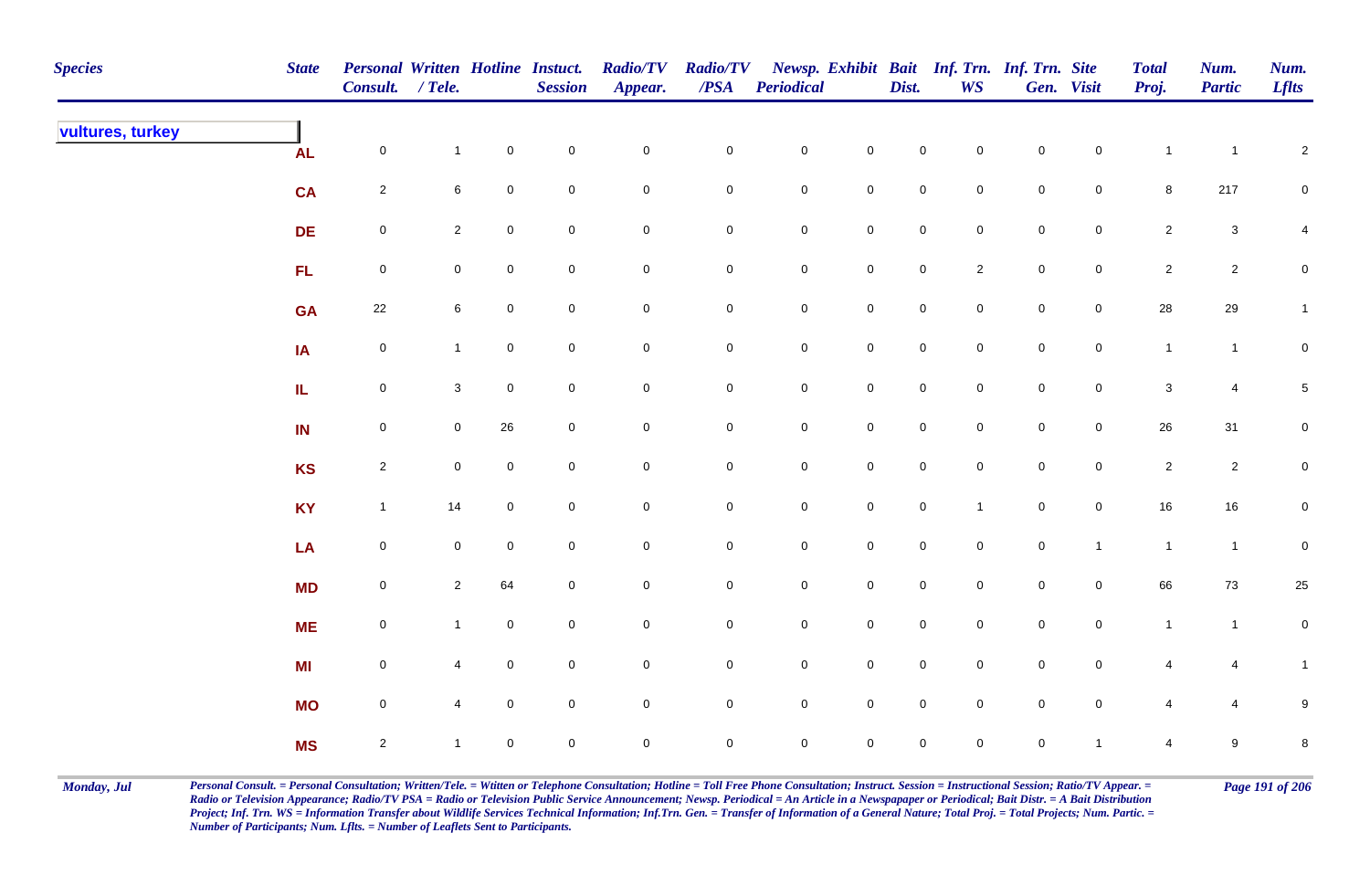| <b>Species</b>   | <b>State</b> | Personal Written Hotline Instuct.<br>Consult. / Tele. |                 |                     | <b>Session</b> | <b>Radio/TV</b><br>Appear. | <b>Radio/TV</b><br>$\overline{PSA}$ | <b>Periodical</b> |                     | Dist.               | <b>WS</b>           | Newsp. Exhibit Bait Inf. Trn. Inf. Trn. Site | Gen. Visit          | <b>Total</b><br>Proj. | Num.<br><b>Partic</b>     | Num.<br><b>Lflts</b> |
|------------------|--------------|-------------------------------------------------------|-----------------|---------------------|----------------|----------------------------|-------------------------------------|-------------------|---------------------|---------------------|---------------------|----------------------------------------------|---------------------|-----------------------|---------------------------|----------------------|
| vultures, turkey | <b>AL</b>    | $\mathsf{O}\xspace$                                   | $\mathbf{1}$    | $\mathbf 0$         | $\pmb{0}$      | $\pmb{0}$                  | $\pmb{0}$                           | $\mathbf 0$       | $\mathbf 0$         | $\mathbf 0$         | $\mathbf 0$         | $\mathbf 0$                                  | $\mathsf{O}\xspace$ | $\mathbf{1}$          | $\overline{1}$            | $\sqrt{2}$           |
|                  | <b>CA</b>    | $\overline{2}$                                        | 6               | $\mathbf 0$         | $\pmb{0}$      | $\mathbf 0$                | 0                                   | $\mathbf 0$       | $\mathbf 0$         | $\mathbf 0$         | $\overline{0}$      | $\mathbf 0$                                  | $\overline{0}$      | 8                     | 217                       | $\mathbf 0$          |
|                  | <b>DE</b>    | $\mathsf{O}\xspace$                                   | $\overline{2}$  | $\mathbf 0$         | $\pmb{0}$      | $\pmb{0}$                  | $\pmb{0}$                           | $\mathbf 0$       | $\mathbf 0$         | $\mathsf{O}\xspace$ | $\mathbf 0$         | $\mathbf 0$                                  | $\mathsf{O}\xspace$ | $\overline{2}$        | $\ensuremath{\mathsf{3}}$ | $\overline{4}$       |
|                  | FL           | $\mathsf{O}\xspace$                                   | $\mathbf 0$     | $\mathbf 0$         | $\mathbf 0$    | $\pmb{0}$                  | $\mathbf 0$                         | $\mathbf 0$       | $\mathbf 0$         | $\mathsf{O}\xspace$ | $\overline{2}$      | $\mathbf 0$                                  | $\mathbf 0$         | $\overline{2}$        | $\overline{2}$            | $\mathbf 0$          |
|                  | <b>GA</b>    | $22\,$                                                | $6\overline{6}$ | $\mathbf 0$         | $\pmb{0}$      | $\pmb{0}$                  | $\pmb{0}$                           | $\mathbf 0$       | $\mathbf 0$         | $\mathsf{O}\xspace$ | $\mathbf 0$         | $\pmb{0}$                                    | $\mathbf 0$         | ${\bf 28}$            | $29\,$                    | $\mathbf{1}$         |
|                  | IA           | $\mathbf 0$                                           | $\mathbf{1}$    | $\mathbf 0$         | $\pmb{0}$      | $\pmb{0}$                  | $\mathbf 0$                         | $\mathbf 0$       | $\mathbf 0$         | $\mathbf 0$         | $\overline{0}$      | $\mathbf 0$                                  | $\mathbf 0$         | $\mathbf{1}$          | $\overline{1}$            | $\mathbf 0$          |
|                  | IL.          | $\mathsf{O}\xspace$                                   | 3               | $\mathbf 0$         | $\mathbf 0$    | $\pmb{0}$                  | 0                                   | $\mathbf 0$       | $\mathbf 0$         | $\mathsf{O}\xspace$ | $\mathbf 0$         | $\mathsf{O}\xspace$                          | $\mathsf{O}\xspace$ | $\mathbf 3$           | 4                         | 5 <sub>5</sub>       |
|                  | IN           | $\mathsf{O}\xspace$                                   | $\mathbf 0$     | 26                  | $\mathsf 0$    | $\mathbf 0$                | $\pmb{0}$                           | $\mathbf 0$       | $\mathsf 0$         | $\mathbf 0$         | $\mathbf 0$         | $\mathsf 0$                                  | $\mathsf{O}\xspace$ | $26\,$                | 31                        | $\mathbf 0$          |
|                  | <b>KS</b>    | $\overline{2}$                                        | $\mathbf 0$     | $\overline{0}$      | $\mathsf 0$    | $\pmb{0}$                  | 0                                   | $\mathbf 0$       | $\overline{0}$      | $\mathsf{O}\xspace$ | $\mathsf{O}\xspace$ | $\mathsf{O}\xspace$                          | $\overline{0}$      | $\overline{2}$        | $\overline{2}$            | $\mathbf 0$          |
|                  | <b>KY</b>    | $\mathbf{1}$                                          | 14              | $\mathbf 0$         | $\pmb{0}$      | $\pmb{0}$                  | $\pmb{0}$                           | $\mathbf 0$       | $\mathbf 0$         | $\mathsf{O}\xspace$ | $\mathbf{1}$        | $\mathbf 0$                                  | $\mathsf{O}\xspace$ | $16\,$                | $16\,$                    | $\pmb{0}$            |
|                  | LA           | $\mathsf{O}\xspace$                                   | $\mathbf 0$     | $\overline{0}$      | $\mathsf 0$    | $\pmb{0}$                  | $\pmb{0}$                           | $\mathbf 0$       | $\mathbf 0$         | $\mathsf{O}\xspace$ | $\mathbf 0$         | $\mathbf 0$                                  | $\mathbf{1}$        | $\mathbf{1}$          | $\overline{1}$            | $\mathbf 0$          |
|                  | <b>MD</b>    | $\mathbf 0$                                           | $\overline{2}$  | 64                  | $\pmb{0}$      | $\pmb{0}$                  | $\pmb{0}$                           | $\mathbf 0$       | $\mathbf 0$         | $\mathsf{O}\xspace$ | $\overline{0}$      | $\mathbf 0$                                  | $\mathbf 0$         | 66                    | 73                        | 25                   |
|                  | <b>ME</b>    | $\mathbf 0$                                           | $\mathbf{1}$    | $\mathbf 0$         | $\mathbf 0$    | $\mathbf 0$                | $\mathbf 0$                         | $\mathbf 0$       | $\mathsf{O}\xspace$ | $\mathbf 0$         | $\overline{0}$      | $\mathbf 0$                                  | $\mathbf 0$         | $\mathbf{1}$          | $\mathbf{1}$              | $\mathbf 0$          |
|                  | MI           | $\mathsf{O}\xspace$                                   | $\overline{4}$  | $\mathbf 0$         | $\pmb{0}$      | $\pmb{0}$                  | 0                                   | $\mathbf 0$       | $\mathbf 0$         | $\mathsf{O}\xspace$ | $\overline{0}$      | $\mathsf{O}\xspace$                          | $\overline{0}$      | $\overline{4}$        | 4                         | $\mathbf{1}$         |
|                  | <b>MO</b>    | $\mathbf 0$                                           |                 | $\mathsf{O}\xspace$ | $\pmb{0}$      | $\mathbf 0$                | 0                                   | $\mathbf 0$       | $\mathsf{O}\xspace$ | $\mathsf{O}\xspace$ | $\overline{0}$      | $\mathsf{O}\xspace$                          | $\mathsf{O}\xspace$ | $\overline{4}$        | $\overline{4}$            | 9                    |
|                  | <b>MS</b>    | $\overline{2}$                                        |                 | $\mathbf 0$         | $\mathbf 0$    | $\mathbf 0$                | 0                                   | $\mathbf 0$       | $\mathsf{O}\xspace$ | $\mathsf{O}\xspace$ | $\mathbf 0$         | $\pmb{0}$                                    | $\mathbf{1}$        | $\overline{4}$        | 9                         | 8                    |

Monday, Jul Personal Consult. = Personal Consultation; Written/Tele. = Witten or Telephone Consultation; Hotline = Toll Free Phone Consultation; Instruct. Session = Instructional Session; Ratio/TV Appear. = Page 191 of 206 *Radio or Television Appearance; Radio/TV PSA = Radio or Television Public Service Announcement; Newsp. Periodical = An Article in a Newspapaper or Periodical; Bait Distr. = A Bait Distribution*  Project; Inf. Trn. WS = Information Transfer about Wildlife Services Technical Information; Inf.Trn. Gen. = Transfer of Information of a General Nature; Total Proj. = Total Projects; Num. Partic. = *Number of Participants; Num. Lflts. = Number of Leaflets Sent to Participants.*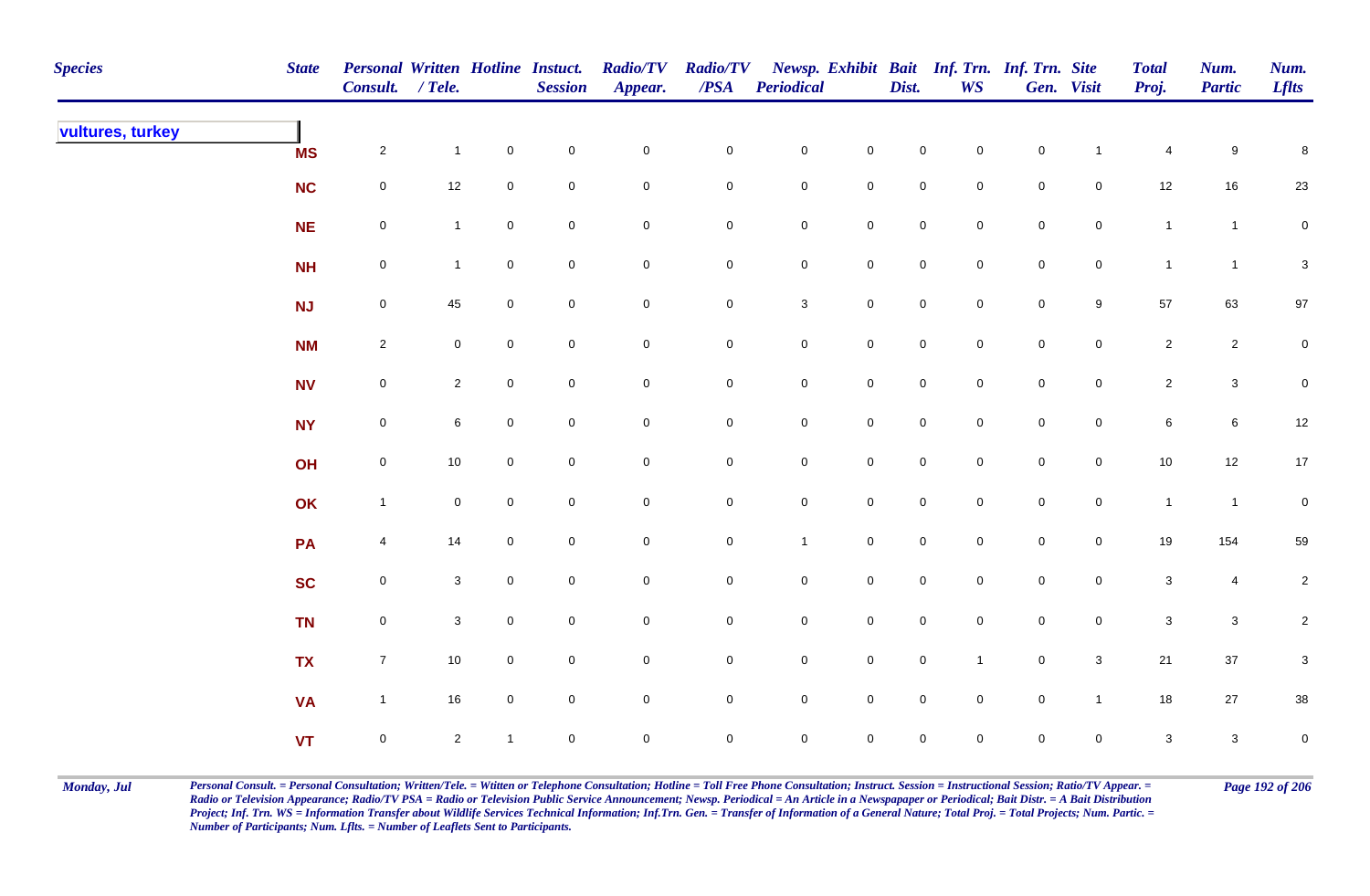| <b>Species</b>   | <b>State</b> | Personal Written Hotline Instuct.<br>Consult. / Tele. |                |                | <b>Session</b> | <b>Radio/TV</b><br>Appear. | <b>Radio/TV</b><br>$\overline{PSA}$ | <b>Periodical</b>   |                     | Dist.               | WS                  | Newsp. Exhibit Bait Inf. Trn. Inf. Trn. Site | Gen. Visit          | <b>Total</b><br>Proj. | Num.<br><b>Partic</b> | Num.<br><b>Lflts</b> |
|------------------|--------------|-------------------------------------------------------|----------------|----------------|----------------|----------------------------|-------------------------------------|---------------------|---------------------|---------------------|---------------------|----------------------------------------------|---------------------|-----------------------|-----------------------|----------------------|
| vultures, turkey | <b>MS</b>    | $\overline{2}$                                        | $\mathbf{1}$   | $\mathbf 0$    | $\pmb{0}$      | $\mathbf 0$                | $\pmb{0}$                           | $\mathbf 0$         | $\mathbf 0$         | $\mathsf{O}\xspace$ | $\overline{0}$      | $\mathbf 0$                                  | $\mathbf{1}$        | 4                     | 9                     | 8                    |
|                  | NC           | $\mathbf 0$                                           | $12\,$         | $\mathbf 0$    | $\mathbf 0$    | $\pmb{0}$                  | $\pmb{0}$                           | $\mathbf 0$         | $\mathbf 0$         | $\mathbf 0$         | $\mathbf 0$         | $\mathbf 0$                                  | $\mathbf 0$         | 12                    | $16\,$                | 23                   |
|                  | NE           | $\mathbf 0$                                           | $\mathbf{1}$   | $\mathbf 0$    | $\mathbf 0$    | $\mathbf 0$                | $\pmb{0}$                           | $\mathbf 0$         | $\mathbf 0$         | $\mathbf 0$         | $\overline{0}$      | $\mathbf 0$                                  | $\mathbf 0$         | $\mathbf{1}$          | $\mathbf{1}$          | $\overline{0}$       |
|                  | <b>NH</b>    | ${\bf 0}$                                             | $\mathbf{1}$   | $\overline{0}$ | $\mathbf 0$    | $\mathbf 0$                | $\pmb{0}$                           | $\mathbf 0$         | $\mathbf 0$         | $\mathbf 0$         | $\overline{0}$      | $\mathbf 0$                                  | $\mathbf 0$         | $\mathbf{1}$          | $\mathbf{1}$          | $\mathbf 3$          |
|                  | <b>NJ</b>    | $\mathsf{O}$                                          | 45             | $\mathbf 0$    | $\pmb{0}$      | $\mathbf 0$                | $\pmb{0}$                           | $\mathbf{3}$        | $\mathsf{O}\xspace$ | $\mathsf{O}$        | $\overline{0}$      | $\mathbf 0$                                  | $9\,$               | 57                    | 63                    | $97\,$               |
|                  | <b>NM</b>    | $\overline{2}$                                        | $\mathbf 0$    | $\overline{0}$ | $\mathsf 0$    | $\mathbf 0$                | $\mathbf 0$                         | $\mathbf 0$         | $\mathsf{O}\xspace$ | $\mathbf 0$         | $\overline{0}$      | $\mathbf 0$                                  | $\mathsf{O}$        | $\mathbf{2}$          | $\mathbf{2}$          | $\mathbf 0$          |
|                  | <b>NV</b>    | $\mathbf 0$                                           | $\overline{2}$ | $\overline{0}$ | $\pmb{0}$      | $\mathsf{O}\xspace$        | $\mathbf 0$                         | $\mathbf 0$         | $\mathsf{O}\xspace$ | $\mathbf 0$         | $\overline{0}$      | $\mathbf 0$                                  | $\mathbf 0$         | $\overline{2}$        | $\mathbf{3}$          | $\mathbf 0$          |
|                  | <b>NY</b>    | $\mathsf{O}$                                          | 6              | $\mathbf 0$    | $\pmb{0}$      | $\mathsf{O}\xspace$        | 0                                   | $\mathbf 0$         | $\mathsf{O}\xspace$ | $\mathbf 0$         | $\mathbf 0$         | $\pmb{0}$                                    | $\mathbf 0$         | $\,6\,$               | $\,6\,$               | $12\,$               |
|                  | OH           | $\mathsf{O}\xspace$                                   | $10$           | $\mathbf 0$    | $\pmb{0}$      | $\mathbf 0$                | $\pmb{0}$                           | $\mathsf{O}\xspace$ | $\mathbf 0$         | $\pmb{0}$           | $\mathbf 0$         | $\pmb{0}$                                    | $\mathbf 0$         | $10$                  | $12\,$                | $17$                 |
|                  | OK           | $\mathbf{1}$                                          | $\mathbf 0$    | $\overline{0}$ | $\mathbf 0$    | $\mathbf 0$                | 0                                   | $\mathbf 0$         | $\mathbf 0$         | $\mathbf 0$         | $\mathbf 0$         | $\pmb{0}$                                    | $\mathbf 0$         | $\mathbf{1}$          | $\mathbf{1}$          | $\mathbf 0$          |
|                  | PA           | $\overline{4}$                                        | 14             | $\mathbf 0$    | $\pmb{0}$      | $\mathbf 0$                | $\pmb{0}$                           | $\mathbf{1}$        | $\mathbf 0$         | $\mathbf 0$         | $\mathsf{O}\xspace$ | $\pmb{0}$                                    | $\mathbf 0$         | 19                    | 154                   | 59                   |
|                  | <b>SC</b>    | $\mathbf 0$                                           | $\mathbf{3}$   | $\mathbf 0$    | $\mathbf 0$    | $\mathbf 0$                | $\pmb{0}$                           | $\mathbf 0$         | $\mathsf{O}\xspace$ | $\mathbf 0$         | $\mathbf 0$         | $\mathbf 0$                                  | $\mathsf{O}\xspace$ | $\mathbf 3$           | $\overline{4}$        | $\overline{2}$       |
|                  | <b>TN</b>    | $\mathbf 0$                                           | $\mathbf{3}$   | $\mathbf 0$    | $\pmb{0}$      | $\mathbf 0$                | $\pmb{0}$                           | $\mathbf 0$         | $\mathbf 0$         | $\mathbf 0$         | $\mathbf 0$         | $\mathbf 0$                                  | $\mathbf 0$         | $\mathsf 3$           | $\mathbf{3}$          | $\overline{2}$       |
|                  | <b>TX</b>    | $\overline{7}$                                        | $10$           | $\overline{0}$ | $\mathsf 0$    | $\pmb{0}$                  | 0                                   | $\mathbf 0$         | $\mathsf{O}\xspace$ | $\mathsf{O}\xspace$ | $\mathbf{1}$        | $\mathbf 0$                                  | $\mathbf{3}$        | $21$                  | $37\,$                | $\boldsymbol{3}$     |
|                  | <b>VA</b>    | $\mathbf{1}$                                          | $16\,$         | $\mathbf 0$    | $\pmb{0}$      | $\mathbf 0$                | 0                                   | $\mathbf 0$         | $\mathsf{O}\xspace$ | $\mathbf 0$         | $\mathsf{O}\xspace$ | $\pmb{0}$                                    | $\mathbf{1}$        | 18                    | $27\,$                | 38                   |
|                  | <b>VT</b>    | $\pmb{0}$                                             | $\overline{2}$ | $\mathbf{1}$   | $\pmb{0}$      | $\mathbf 0$                | $\mathsf{O}$                        | $\mathsf{O}\xspace$ | $\mathsf{O}\xspace$ | $\pmb{0}$           | $\mathbf 0$         | $\mathsf 0$                                  | $\mathbf 0$         | $\mathbf{3}$          | $\mathbf{3}$          | $\mathbf 0$          |

Monday, Jul Personal Consult. = Personal Consultation; Written/Tele. = Witten or Telephone Consultation; Hotline = Toll Free Phone Consultation; Instruct. Session = Instructional Session; Ratio/TV Appear. = Page 192 of 206 *Radio or Television Appearance; Radio/TV PSA = Radio or Television Public Service Announcement; Newsp. Periodical = An Article in a Newspapaper or Periodical; Bait Distr. = A Bait Distribution*  Project; Inf. Trn. WS = Information Transfer about Wildlife Services Technical Information; Inf.Trn. Gen. = Transfer of Information of a General Nature; Total Proj. = Total Projects; Num. Partic. = *Number of Participants; Num. Lflts. = Number of Leaflets Sent to Participants.*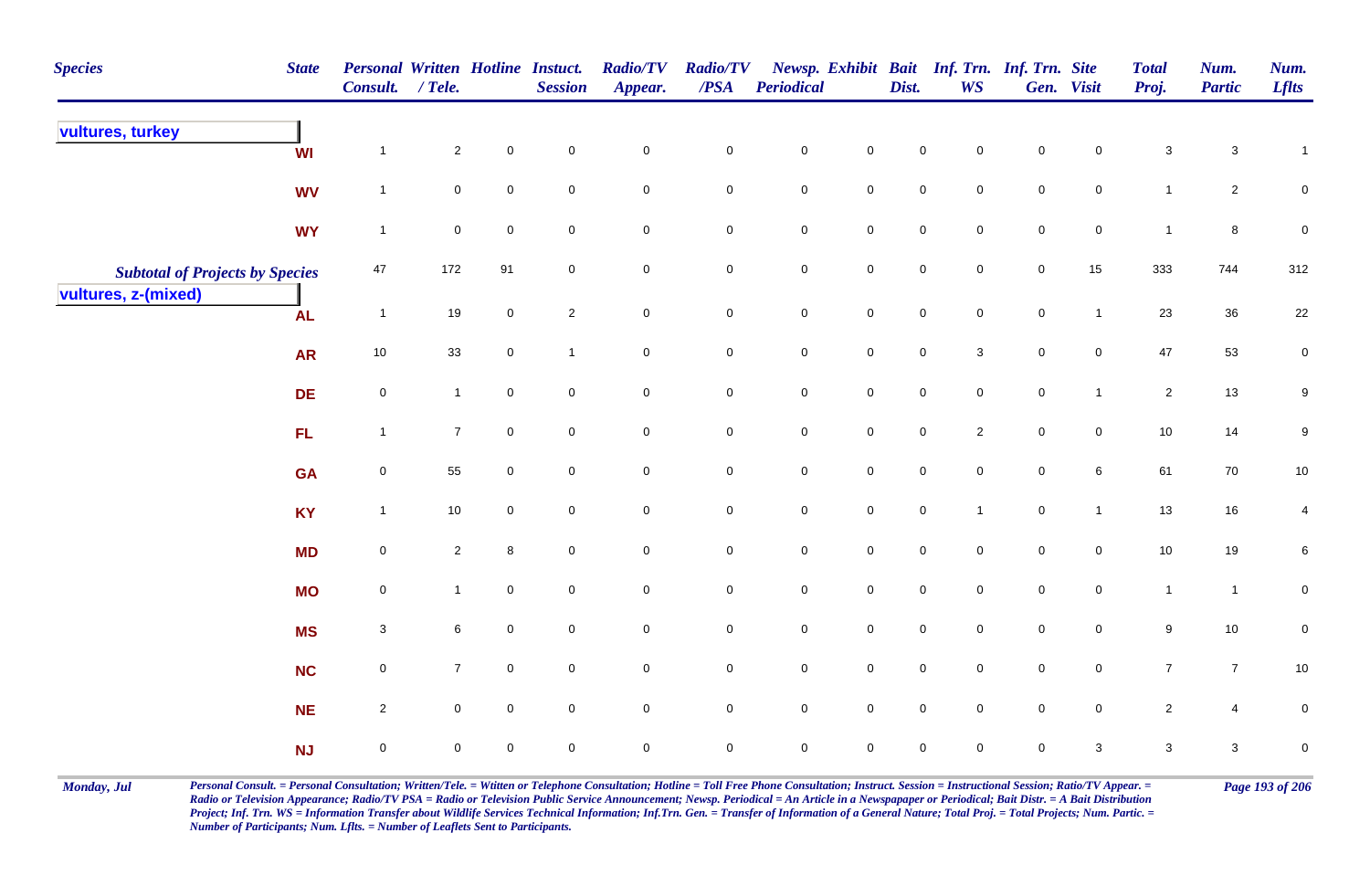| <b>Species</b>                         | <b>State</b> | Personal Written Hotline Instuct.<br>Consult. / Tele. |                |                     | <b>Session</b> | <b>Radio/TV</b><br>Appear. | <b>Radio/TV</b><br>$\overline{PSA}$ | Periodical          |                     | Dist.       | Newsp. Exhibit Bait Inf. Trn. Inf. Trn. Site<br><b>WS</b> |                  | Gen. Visit   | <b>Total</b><br>Proj. | Num.<br><b>Partic</b>     | Num.<br><b>Lflts</b> |
|----------------------------------------|--------------|-------------------------------------------------------|----------------|---------------------|----------------|----------------------------|-------------------------------------|---------------------|---------------------|-------------|-----------------------------------------------------------|------------------|--------------|-----------------------|---------------------------|----------------------|
| vultures, turkey                       | WI           | $\overline{1}$                                        | $\overline{2}$ | $\pmb{0}$           | $\mathbf 0$    | $\mathbf 0$                | $\mathbf 0$                         | $\pmb{0}$           | $\mathsf{O}\xspace$ | $\pmb{0}$   | 0                                                         | $\pmb{0}$        | $\mathbf 0$  | $\mathbf{3}$          | $\ensuremath{\mathsf{3}}$ | $\mathbf{1}$         |
|                                        | <b>WV</b>    | $\overline{1}$                                        | $\mathbf 0$    | $\mathsf{O}\xspace$ | $\mathbf 0$    | $\mathbf 0$                | $\mathbf 0$                         | $\pmb{0}$           | $\mathsf{O}\xspace$ | $\pmb{0}$   | $\mathsf{O}\xspace$                                       | $\pmb{0}$        | $\mathbf 0$  | $\mathbf{1}$          | $\overline{2}$            | $\mathbf 0$          |
|                                        | <b>WY</b>    | $\overline{\mathbf{1}}$                               | $\mathbf 0$    | $\mathbf 0$         | $\mathbf 0$    | $\mathbf 0$                | $\mathbf 0$                         | $\pmb{0}$           | $\pmb{0}$           | $\pmb{0}$   | 0                                                         | $\pmb{0}$        | $\mathbf 0$  | $\overline{1}$        | $\bf 8$                   | $\mathbf 0$          |
| <b>Subtotal of Projects by Species</b> |              | 47                                                    | 172            | 91                  | $\mathbf 0$    | $\mathbf 0$                | $\mathbf 0$                         | $\pmb{0}$           | $\mathsf{O}\xspace$ | $\pmb{0}$   | 0                                                         | $\pmb{0}$        | 15           | 333                   | 744                       | 312                  |
| vultures, z-(mixed)                    | <b>AL</b>    | $\overline{1}$                                        | $19$           | $\mathbf 0$         | $\overline{2}$ | $\mathsf{O}\xspace$        | $\mathbf 0$                         | $\mathsf{O}\xspace$ | $\mathsf{O}\xspace$ | $\mathbf 0$ | $\mathsf{O}\xspace$                                       | $\mathbf 0$      | $\mathbf{1}$ | 23                    | 36                        | $22\,$               |
|                                        | <b>AR</b>    | 10                                                    | 33             | $\overline{0}$      | $\mathbf{1}$   | $\mathbf 0$                | $\overline{0}$                      | $\mathsf 0$         | $\mathbf 0$         | $\mathbf 0$ | $\mathbf{3}$                                              | $\mathbf 0$      | $\mathbf 0$  | 47                    | 53                        | $\mathbf 0$          |
|                                        | <b>DE</b>    | $\mathsf{O}\xspace$                                   | $\mathbf{1}$   | $\mathbf 0$         | $\mathbf 0$    | $\mathbf 0$                | $\mathbf 0$                         | $\pmb{0}$           | $\mathsf{O}\xspace$ | $\mathbf 0$ | $\mathbf 0$                                               | $\mathbf 0$      | $\mathbf{1}$ | $\overline{2}$        | 13                        | 9                    |
|                                        | FL.          | $\overline{1}$                                        | $\overline{7}$ | $\mathsf{O}\xspace$ | $\mathbf 0$    | $\mathsf{O}\xspace$        | $\mathsf{O}\xspace$                 | $\mathsf 0$         | $\mathsf{O}\xspace$ | $\mathbf 0$ | $\overline{2}$                                            | $\mathbf 0$      | $\pmb{0}$    | 10                    | 14                        | 9                    |
|                                        | <b>GA</b>    | $\overline{0}$                                        | 55             | $\mathbf 0$         | $\mathbf 0$    | $\mathsf{O}\xspace$        | $\mathbf 0$                         | $\mathsf 0$         | $\mathsf{O}\xspace$ | $\mathsf 0$ | 0                                                         | $\pmb{0}$        | $\,6\,$      | 61                    | 70                        | 10                   |
|                                        | <b>KY</b>    | $\overline{1}$                                        | $10$           | $\mathbf 0$         | $\mathbf 0$    | $\mathbf 0$                | $\mathbf 0$                         | $\mathbf 0$         | $\mathbf 0$         | $\pmb{0}$   | $\mathbf{1}$                                              | $\pmb{0}$        | $\mathbf{1}$ | 13                    | $16\,$                    | 4                    |
|                                        | <b>MD</b>    | $\mathbf 0$                                           | $\overline{2}$ | 8                   | $\mathbf 0$    | $\mathbf 0$                | $\mathbf 0$                         | $\mathbf 0$         | $\mathbf 0$         | $\mathbf 0$ | $\mathbf 0$                                               | $\mathbf 0$      | $\mathbf 0$  | 10                    | 19                        | 6                    |
|                                        | <b>MO</b>    | $\mathsf{O}\xspace$                                   | $\mathbf{1}$   | $\mathbf 0$         | $\mathbf 0$    | $\mathbf 0$                | $\mathbf 0$                         | $\mathbf 0$         | $\mathbf 0$         | $\mathsf 0$ | 0                                                         | $\boldsymbol{0}$ | $\mathbf 0$  | $\overline{1}$        | $\mathbf{1}$              | 0                    |
|                                        | <b>MS</b>    | $\mathbf{3}$                                          | 6              | $\overline{0}$      | $\mathbf 0$    | $\mathbf 0$                | $\overline{0}$                      | $\mathsf 0$         | $\mathsf{O}\xspace$ | $\mathsf 0$ | $\mathbf 0$                                               | $\boldsymbol{0}$ | $\mathbf 0$  | 9                     | 10                        | 0                    |
|                                        | <b>NC</b>    | $\mathsf{O}\xspace$                                   | $\overline{7}$ | $\mathbf 0$         | $\mathbf 0$    | $\mathbf 0$                | $\mathbf 0$                         | $\mathsf 0$         | $\mathsf{O}\xspace$ | $\mathbf 0$ | 0                                                         | $\mathbf 0$      | $\mathbf 0$  | $\overline{7}$        | $\boldsymbol{7}$          | $10\,$               |
|                                        | <b>NE</b>    | $\overline{2}$                                        | $\mathbf 0$    | $\mathbf 0$         | $\overline{0}$ | $\mathsf 0$                | $\overline{0}$                      | $\mathbf 0$         | $\mathbf 0$         | $\mathbf 0$ | $\mathbf 0$                                               | $\mathbf 0$      | $\pmb{0}$    | $\overline{2}$        | 4                         | 0                    |
|                                        | <b>NJ</b>    | $\mathbf 0$                                           | $\mathbf 0$    | $\mathbf 0$         | $\mathbf 0$    | $\mathbf 0$                | $\mathbf 0$                         | $\mathbf 0$         | $\mathbf 0$         | $\pmb{0}$   | $\mathbf 0$                                               | $\pmb{0}$        | $\mathbf{3}$ | $\sqrt{3}$            | $\mathbf{3}$              | 0                    |

Monday, Jul Personal Consult. = Personal Consultation; Written/Tele. = Witten or Telephone Consultation; Hotline = Toll Free Phone Consultation; Instruct. Session = Instructional Session; Ratio/TV Appear. = Page 193 of 206 *Radio or Television Appearance; Radio/TV PSA = Radio or Television Public Service Announcement; Newsp. Periodical = An Article in a Newspapaper or Periodical; Bait Distr. = A Bait Distribution*  Project; Inf. Trn. WS = Information Transfer about Wildlife Services Technical Information; Inf.Trn. Gen. = Transfer of Information of a General Nature; Total Proj. = Total Projects; Num. Partic. = *Number of Participants; Num. Lflts. = Number of Leaflets Sent to Participants.*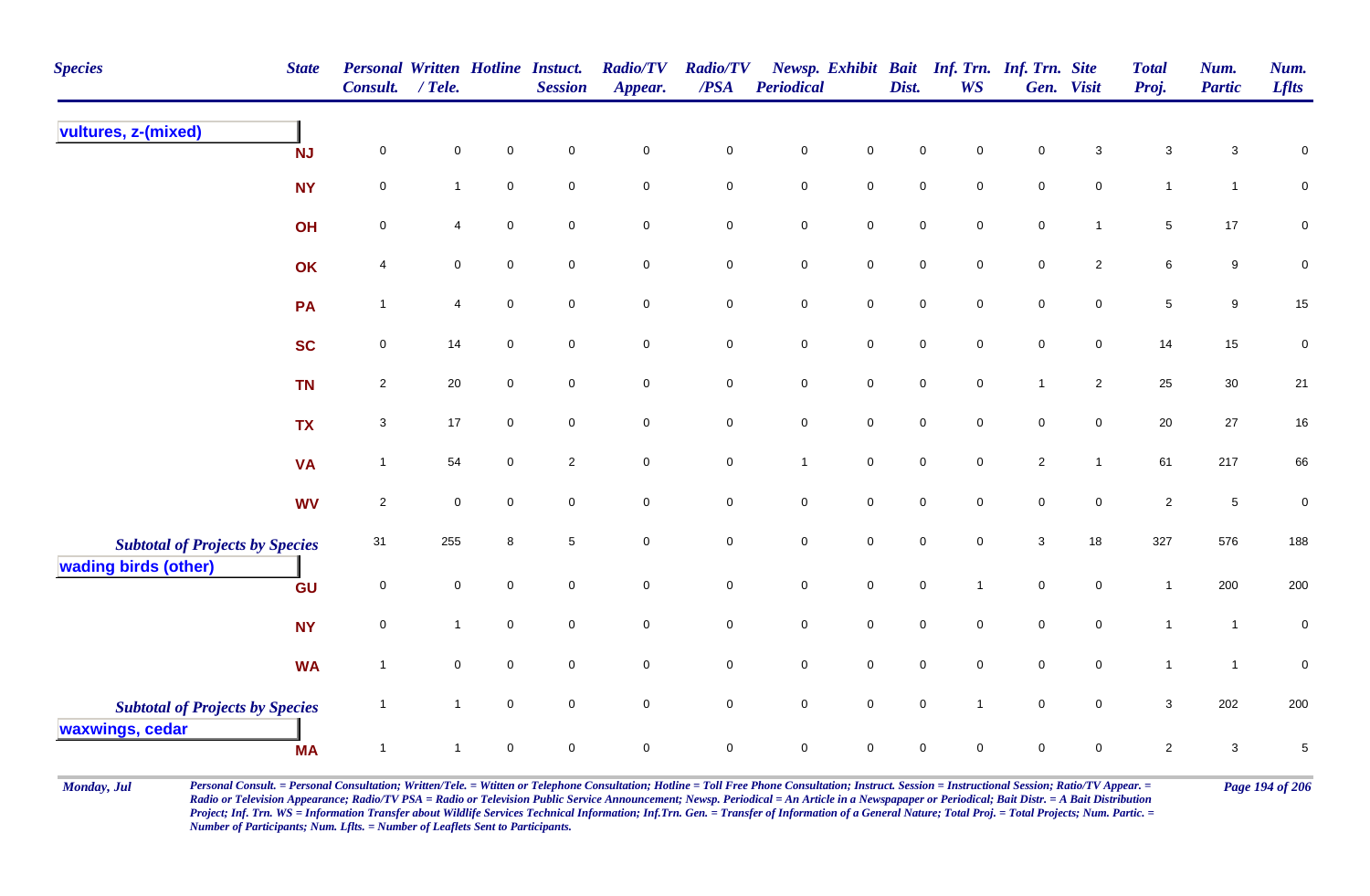| <b>Species</b>                         | <b>State</b> | <b>Personal Written Hotline Instuct.</b><br>Consult. | $/$ Tele.           |                     | <b>Session</b>      | <b>Radio/TV</b><br>Appear. | <b>Radio/TV</b><br>/PSA | <b>Periodical</b>   |                     | Dist.               | <b>WS</b>           | Newsp. Exhibit Bait Inf. Trn. Inf. Trn. Site | Gen. Visit          | <b>Total</b><br>Proj. | Num.<br><b>Partic</b> | Num.<br><b>Lflts</b> |
|----------------------------------------|--------------|------------------------------------------------------|---------------------|---------------------|---------------------|----------------------------|-------------------------|---------------------|---------------------|---------------------|---------------------|----------------------------------------------|---------------------|-----------------------|-----------------------|----------------------|
| vultures, z-(mixed)                    | <b>NJ</b>    | $\mathbf 0$                                          | $\pmb{0}$           | $\pmb{0}$           | $\mathsf{O}\xspace$ | $\mathbf 0$                | $\pmb{0}$               | $\mathbf 0$         | $\mathbf 0$         | $\mathsf{O}\xspace$ | $\mathsf{O}\xspace$ | $\mathbf 0$                                  | $\mathbf{3}$        | $\mathbf{3}$          | $\mathbf{3}$          | $\pmb{0}$            |
|                                        | <b>NY</b>    | $\mathbf 0$                                          | $\mathbf{1}$        | $\mathsf{O}\xspace$ | $\mathbf 0$         | $\mathsf{O}\xspace$        | $\mathsf 0$             | $\mathbf 0$         | $\mathsf{O}\xspace$ | $\mathbf 0$         | $\mathbf 0$         | $\mathbf 0$                                  | $\mathbf 0$         | $\mathbf{1}$          | $\mathbf{1}$          | $\mathbf 0$          |
|                                        | OH           | $\mathbf 0$                                          | $\overline{4}$      | $\pmb{0}$           | $\mathsf{O}\xspace$ | $\mathsf{O}\xspace$        | $\pmb{0}$               | $\mathbf 0$         | $\mathsf{O}\xspace$ | $\mathsf{O}\xspace$ | $\mathbf 0$         | $\mathbf 0$                                  | $\overline{1}$      | $\overline{5}$        | 17                    | $\mathbf 0$          |
|                                        | OK           | 4                                                    | $\mathbf 0$         | $\mathbf 0$         | $\mathbf 0$         | $\mathsf{O}\xspace$        | $\mathsf{O}\xspace$     | $\mathbf 0$         | $\mathbf 0$         | $\mathsf{O}\xspace$ | $\mathbf 0$         | $\mathbf 0$                                  | $\overline{2}$      | 6                     | $9\,$                 | $\pmb{0}$            |
|                                        | PA           | $\overline{1}$                                       | $\overline{4}$      | $\mathbf 0$         | $\mathbf 0$         | $\mathsf{O}\xspace$        | $\mathbf 0$             | $\mathbf 0$         | $\mathbf 0$         | $\mathsf{O}\xspace$ | $\mathsf{O}\xspace$ | $\mathbf 0$                                  | $\mathbf 0$         | $\sqrt{5}$            | $9\,$                 | 15                   |
|                                        | <b>SC</b>    | $\mathbf 0$                                          | 14                  | $\mathbf 0$         | $\mathbf 0$         | $\mathsf{O}\xspace$        | $\mathbf 0$             | $\mathbf 0$         | $\mathsf{O}\xspace$ | $\mathbf 0$         | $\mathbf 0$         | $\mathbf 0$                                  | $\mathbf 0$         | 14                    | 15                    | $\pmb{0}$            |
|                                        | <b>TN</b>    | $\overline{2}$                                       | 20                  | $\mathbf 0$         | $\mathbf 0$         | $\mathsf{O}\xspace$        | $\pmb{0}$               | $\mathbf 0$         | $\mathsf{O}\xspace$ | $\mathsf{O}\xspace$ | $\mathbf 0$         | $\mathbf{1}$                                 | $\overline{2}$      | 25                    | $30\,$                | 21                   |
|                                        | <b>TX</b>    | $\mathbf{3}$                                         | 17                  | $\pmb{0}$           | $\mathbf 0$         | $\mathbf 0$                | $\pmb{0}$               | ${\bf 0}$           | $\mathbf 0$         | $\mathbf 0$         | $\mathbf 0$         | $\mathbf 0$                                  | $\mathbf 0$         | $20\,$                | 27                    | $16\,$               |
|                                        | <b>VA</b>    | $\overline{1}$                                       | 54                  | $\mathbf 0$         | $\overline{2}$      | $\mathsf{O}\xspace$        | $\mathbf 0$             | $\mathbf{1}$        | $\mathsf{O}\xspace$ | $\mathsf{O}\xspace$ | $\mathsf{O}\xspace$ | $\overline{c}$                               | $\overline{1}$      | 61                    | 217                   | 66                   |
|                                        | <b>WV</b>    | $\overline{2}$                                       | $\mathbf 0$         | $\mathbf 0$         | $\mathbf 0$         | $\mathbf 0$                | $\mathbf 0$             | ${\bf 0}$           | $\mathbf 0$         | $\mathbf 0$         | $\mathbf 0$         | $\mathbf 0$                                  | $\overline{0}$      | $\overline{c}$        | $\overline{5}$        | $\pmb{0}$            |
| <b>Subtotal of Projects by Species</b> |              | 31                                                   | 255                 | 8                   | $\overline{5}$      | $\mathsf{O}\xspace$        | $\mathbf 0$             | $\mathbf 0$         | $\mathsf{O}\xspace$ | $\mathbf 0$         | $\overline{0}$      | $\mathbf{3}$                                 | 18                  | 327                   | 576                   | 188                  |
| wading birds (other)                   | GU           | $\pmb{0}$                                            | $\mathsf{O}\xspace$ | $\mathbf 0$         | $\mathsf{O}\xspace$ | $\mathsf{O}\xspace$        | $\mathsf{O}\xspace$     | $\mathsf{O}\xspace$ | $\mathsf 0$         | $\mathsf{O}\xspace$ | $\mathbf{1}$        | $\mathsf{O}\xspace$                          | $\mathbf 0$         | $\mathbf{1}$          | 200                   | 200                  |
|                                        | <b>NY</b>    | $\pmb{0}$                                            | $\mathbf{1}$        | $\mathbf 0$         | $\mathbf 0$         | $\mathsf{O}\xspace$        | $\mathbf 0$             | $\mathbf 0$         | $\mathsf 0$         | $\mathbf 0$         | $\mathbf 0$         | $\mathbf 0$                                  | $\mathsf{O}\xspace$ | $\mathbf{1}$          | $\mathbf{1}$          | $\pmb{0}$            |
|                                        | <b>WA</b>    | $\overline{1}$                                       | $\pmb{0}$           | $\mathbf 0$         | $\mathsf{O}\xspace$ | $\mathsf{O}\xspace$        | $\pmb{0}$               | $\mathsf{O}\xspace$ | $\mathsf 0$         | $\mathsf{O}\xspace$ | $\mathbf 0$         | $\mathsf{O}\xspace$                          | $\mathsf{O}\xspace$ | $\mathbf{1}$          | $\mathbf{1}$          | $\mathbf 0$          |
| <b>Subtotal of Projects by Species</b> |              | $\overline{1}$                                       | $\mathbf{1}$        | $\mathsf{O}\xspace$ | $\mathbf 0$         | $\mathsf{O}\xspace$        | $\mathbf 0$             | $\mathbf 0$         | $\mathsf 0$         | $\mathsf{O}\xspace$ | $\overline{1}$      | $\mathsf{O}\xspace$                          | $\overline{0}$      | $\mathbf{3}$          | 202                   | 200                  |
| waxwings, cedar                        | <b>MA</b>    | $\overline{1}$                                       | $\mathbf 1$         | $\pmb{0}$           | $\mathsf 0$         | $\mathbf 0$                | $\pmb{0}$               | $\mathsf{O}\xspace$ | $\pmb{0}$           | 0                   | $\mathbf 0$         | $\mathbf 0$                                  | $\mathbf 0$         | $\overline{2}$        | $\mathbf 3$           | $\,$ 5 $\,$          |

Monday, Jul Personal Consult. = Personal Consultation; Written/Tele. = Witten or Telephone Consultation; Hotline = Toll Free Phone Consultation; Instruct. Session = Instructional Session; Ratio/TV Appear. = Page 194 of 206 *Radio or Television Appearance; Radio/TV PSA = Radio or Television Public Service Announcement; Newsp. Periodical = An Article in a Newspapaper or Periodical; Bait Distr. = A Bait Distribution*  Project; Inf. Trn. WS = Information Transfer about Wildlife Services Technical Information; Inf.Trn. Gen. = Transfer of Information of a General Nature; Total Proj. = Total Projects; Num. Partic. = *Number of Participants; Num. Lflts. = Number of Leaflets Sent to Participants.*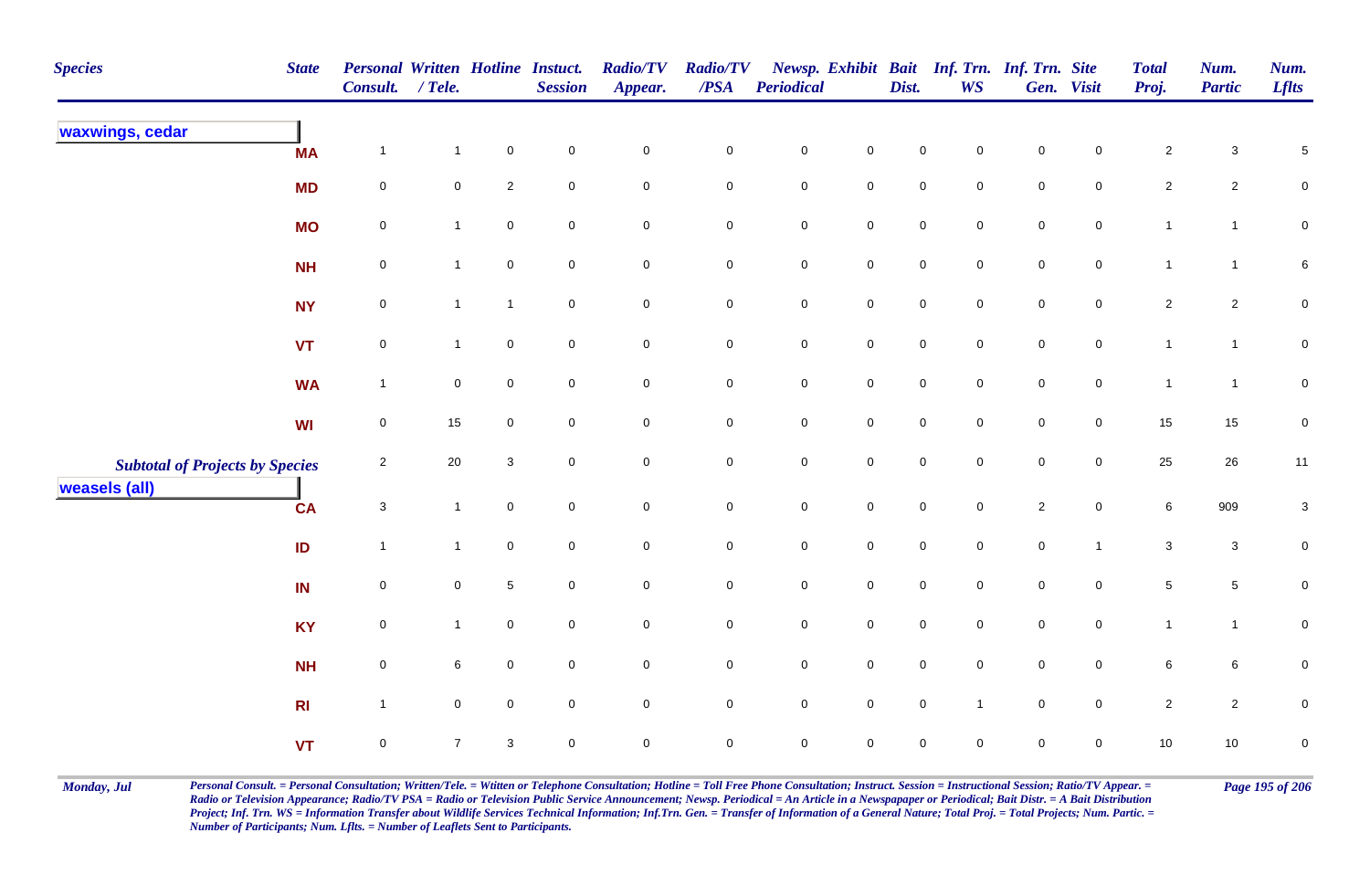| <b>Species</b>                         | <b>State</b>   | Personal Written Hotline Instuct.<br>Consult. | $/$ Tele.       |                     | <b>Session</b>      | <b>Radio/TV</b><br>Appear. | <b>Radio/TV</b><br>$\overline{PSA}$ | <b>Periodical</b>   |                     | Dist.               | <b>WS</b>           | Newsp. Exhibit Bait Inf. Trn. Inf. Trn. Site | Gen. Visit     | <b>Total</b><br>Proj. | Num.<br><b>Partic</b> | Num.<br><b>Lflts</b> |
|----------------------------------------|----------------|-----------------------------------------------|-----------------|---------------------|---------------------|----------------------------|-------------------------------------|---------------------|---------------------|---------------------|---------------------|----------------------------------------------|----------------|-----------------------|-----------------------|----------------------|
| waxwings, cedar                        | <b>MA</b>      | $\mathbf{1}$                                  | $\mathbf{1}$    | $\mathbf 0$         | $\pmb{0}$           | $\pmb{0}$                  | $\mathbf 0$                         | $\pmb{0}$           | $\mathbf 0$         | $\mathbf 0$         | 0                   | $\pmb{0}$                                    | $\mathbf 0$    | $\overline{c}$        | $\mathbf{3}$          | $\,$ 5 $\,$          |
|                                        | <b>MD</b>      | $\mathsf{O}\xspace$                           | $\mathbf 0$     | $\sqrt{2}$          | $\pmb{0}$           | $\mathsf{O}\xspace$        | $\pmb{0}$                           | $\mathsf{O}\xspace$ | $\mathbf 0$         | $\mathbf 0$         | $\mathsf 0$         | $\mathbf 0$                                  | $\overline{0}$ | $\overline{c}$        | $\overline{2}$        | ${\bf 0}$            |
|                                        | <b>MO</b>      | $\mathbf 0$                                   | $\mathbf{1}$    | $\mathbf 0$         | $\mathbf 0$         | $\mathsf 0$                | $\pmb{0}$                           | $\mathbf 0$         | $\mathbf 0$         | $\mathbf 0$         | $\mathbf 0$         | $\mathbf 0$                                  | $\overline{0}$ | $\mathbf{1}$          | $\mathbf{1}$          | ${\bf 0}$            |
|                                        | <b>NH</b>      | $\pmb{0}$                                     | $\mathbf{1}$    | $\pmb{0}$           | ${\bf 0}$           | $\mathbf 0$                | $\pmb{0}$                           | $\mathbf 0$         | $\mathbf 0$         | $\mathbf 0$         | $\mathbf 0$         | $\mathbf 0$                                  | $\mathbf 0$    | $\mathbf{1}$          | $\mathbf{1}$          | 6                    |
|                                        | <b>NY</b>      | 0                                             | $\mathbf{1}$    | $\mathbf{1}$        | $\mathbf 0$         | $\mathbf 0$                | 0                                   | $\mathsf{O}$        | $\mathbf 0$         | $\mathbf 0$         | $\mathbf 0$         | $\mathbf 0$                                  | $\mathbf 0$    | $\overline{c}$        | $\overline{2}$        | 0                    |
|                                        | VT             | $\mathsf{O}\xspace$                           | $\mathbf{1}$    | $\mathbf 0$         | $\mathsf{O}\xspace$ | $\mathsf{O}\xspace$        | $\mathbf 0$                         | $\mathsf{O}\xspace$ | $\mathsf{O}\xspace$ | $\mathbf 0$         | $\mathbf 0$         | $\mathbf 0$                                  | $\overline{0}$ | $\mathbf{1}$          | $\mathbf{1}$          | $\mathbf 0$          |
|                                        | <b>WA</b>      | $\mathbf{1}$                                  | $\overline{0}$  | $\mathbf 0$         | $\mathsf{O}\xspace$ | $\mathbf 0$                | $\pmb{0}$                           | $\mathsf{O}$        | $\mathbf 0$         | $\mathbf 0$         | $\mathbf 0$         | $\mathbf 0$                                  | $\mathbf 0$    | $\overline{1}$        | $\mathbf{1}$          | ${\bf 0}$            |
|                                        | WI             | $\mathsf{O}\xspace$                           | 15              | $\mathbf 0$         | $\mathsf{O}\xspace$ | $\mathsf{O}\xspace$        | $\mathbf 0$                         | $\mathsf{O}$        | $\mathsf 0$         | $\mathsf{O}\xspace$ | $\mathbf 0$         | $\mathbf 0$                                  | $\mathbf 0$    | 15                    | $15\,$                | $\pmb{0}$            |
| <b>Subtotal of Projects by Species</b> |                | $\overline{2}$                                | $20\,$          | $\sqrt{3}$          | $\mathbf 0$         | $\mathbf 0$                | $\pmb{0}$                           | $\mathbf 0$         | $\mathsf{O}\xspace$ | $\mathsf{O}\xspace$ | $\mathbf 0$         | $\mathsf{O}\xspace$                          | $\mathbf 0$    | 25                    | 26                    | 11                   |
| <b>weasels (all)</b>                   | <b>CA</b>      | $\mathbf 3$                                   | $\mathbf{1}$    | $\mathbf 0$         | $\mathsf{O}\xspace$ | $\mathbf 0$                | $\pmb{0}$                           | $\mathbf 0$         | $\mathbf 0$         | $\mathsf{O}\xspace$ | $\mathsf{O}\xspace$ | $\overline{2}$                               | $\mathbf 0$    | 6                     | 909                   | $\mathbf{3}$         |
|                                        | ID             | $\mathbf{1}$                                  | $\mathbf{1}$    | $\mathsf{O}\xspace$ | $\mathbf 0$         | $\mathbf 0$                | $\mathbf 0$                         | $\mathsf{O}$        | $\mathbf 0$         | $\mathbf 0$         | $\mathbf 0$         | $\mathbf 0$                                  | $\mathbf{1}$   | $\mathbf{3}$          | $\mathbf{3}$          | 0                    |
|                                        | IN             | $\mathsf{O}\xspace$                           | $\overline{0}$  | $\,$ 5 $\,$         | $\mathbf 0$         | $\pmb{0}$                  | $\pmb{0}$                           | $\mathsf{O}$        | $\mathbf 0$         | $\mathsf{O}\xspace$ | $\mathbf 0$         | $\mathsf{O}$                                 | $\mathbf 0$    | $\sqrt{5}$            | $\overline{5}$        | $\pmb{0}$            |
|                                        | <b>KY</b>      | $\mathsf{O}\xspace$                           | $\mathbf{1}$    | $\mathsf{O}\xspace$ | $\overline{0}$      | $\mathsf{O}\xspace$        | 0                                   | $\mathsf{O}$        | $\mathbf 0$         | $\mathbf 0$         | $\mathbf 0$         | $\overline{0}$                               | $\overline{0}$ | $\mathbf{1}$          | $\mathbf{1}$          | 0                    |
|                                        | <b>NH</b>      | $\mathsf{O}\xspace$                           | $6\overline{6}$ | $\mathbf 0$         | $\mathbf 0$         | $\pmb{0}$                  | $\mathbf 0$                         | $\mathbf 0$         | $\mathsf 0$         | $\mathbf 0$         | $\mathbf 0$         | $\mathbf 0$                                  | $\mathbf 0$    | $6\phantom{a}$        | $\,$ 6 $\,$           | $\pmb{0}$            |
|                                        | R <sub>l</sub> | $\mathbf{1}$                                  | $\mathbf 0$     | $\mathbf 0$         | $\mathbf 0$         | $\mathsf{O}\xspace$        | 0                                   | $\mathsf{O}$        | $\mathbf 0$         | $\mathsf{O}\xspace$ | $\overline{1}$      | $\overline{0}$                               | $\overline{0}$ | $\overline{2}$        | $\overline{2}$        | ${\bf 0}$            |
|                                        | <b>VT</b>      | $\mathsf 0$                                   | $\overline{7}$  | 3                   | $\pmb{0}$           | $\mathbf 0$                | $\mathbf 0$                         | $\mathbf 0$         | $\mathbf 0$         | $\mathbf 0$         | $\mathbf 0$         | $\mathbf 0$                                  | $\mathbf 0$    | 10                    | $10$                  | $\pmb{0}$            |

Monday, Jul Personal Consult. = Personal Consultation; Written/Tele. = Witten or Telephone Consultation; Hotline = Toll Free Phone Consultation; Instruct. Session = Instructional Session; Ratio/TV Appear. = Page 195 of 206 *Radio or Television Appearance; Radio/TV PSA = Radio or Television Public Service Announcement; Newsp. Periodical = An Article in a Newspapaper or Periodical; Bait Distr. = A Bait Distribution*  Project; Inf. Trn. WS = Information Transfer about Wildlife Services Technical Information; Inf.Trn. Gen. = Transfer of Information of a General Nature; Total Proj. = Total Projects; Num. Partic. = *Number of Participants; Num. Lflts. = Number of Leaflets Sent to Participants.*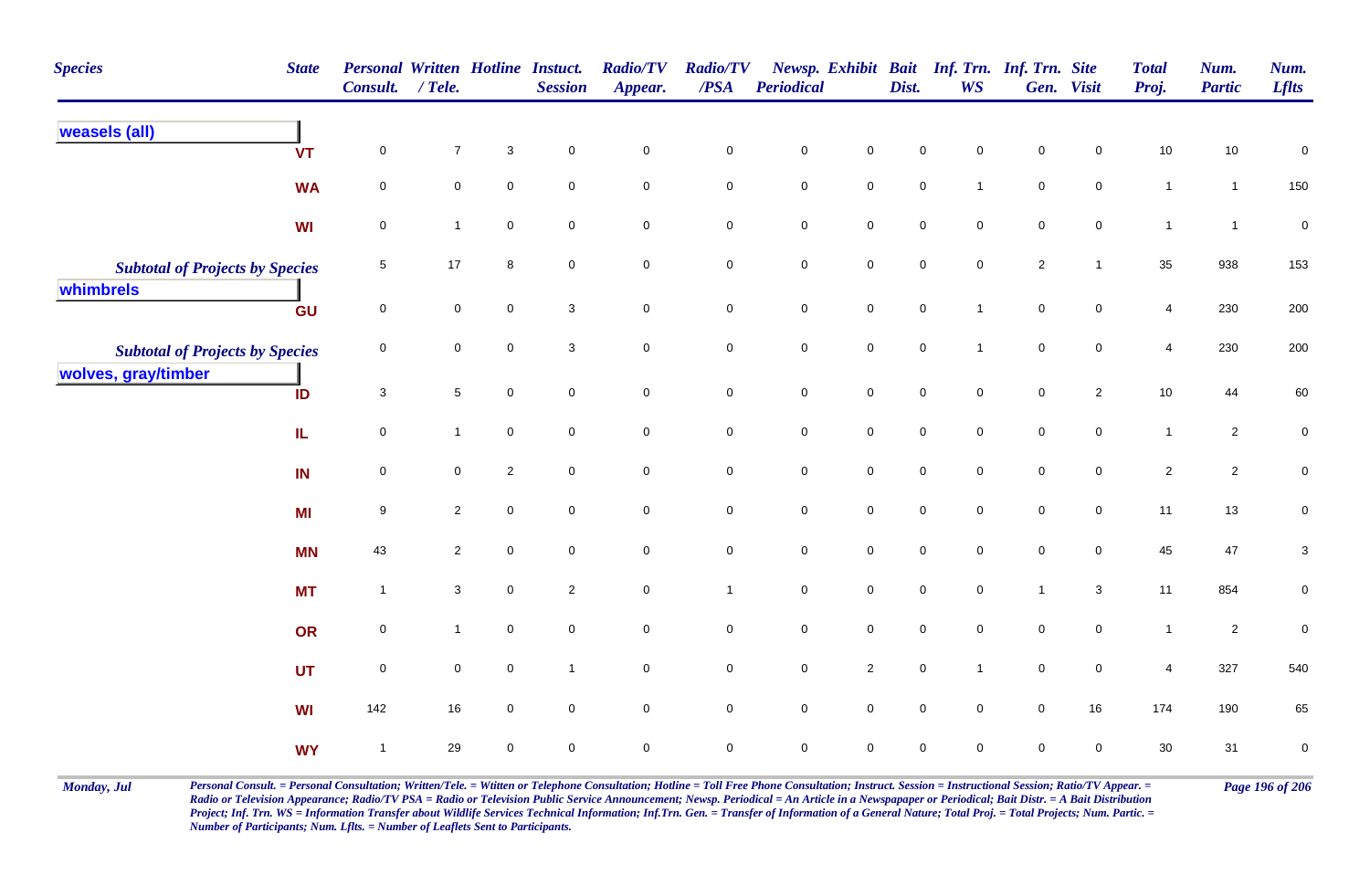| <b>Species</b>                         | <b>State</b> | <b>Personal Written Hotline Instuct.</b><br>Consult. / Tele. |                |             | <b>Session</b>      | <b>Radio/TV</b><br>Appear. | <b>Radio/TV</b><br>$\boldsymbol{PSA}$ | <b>Periodical</b>   |                     | Dist.               | <b>WS</b>           | Newsp. Exhibit Bait Inf. Trn. Inf. Trn. Site | Gen. Visit          | <b>Total</b><br>Proj. | Num.<br><b>Partic</b> | Num.<br><b>Lflts</b>      |
|----------------------------------------|--------------|--------------------------------------------------------------|----------------|-------------|---------------------|----------------------------|---------------------------------------|---------------------|---------------------|---------------------|---------------------|----------------------------------------------|---------------------|-----------------------|-----------------------|---------------------------|
| <b>weasels (all)</b>                   | <b>VT</b>    | $\mathbf 0$                                                  | $\overline{7}$ | $\sqrt{3}$  | $\overline{0}$      | $\mathsf 0$                | $\mathsf 0$                           | $\mathbf 0$         | $\mathbf 0$         | 0                   | $\mathbf 0$         | 0                                            | $\Omega$            | 10                    | 10                    | $\pmb{0}$                 |
|                                        | <b>WA</b>    | $\mathsf 0$                                                  | 0              | $\mathbf 0$ | $\mathsf{O}\xspace$ | $\mathsf{O}\xspace$        | $\pmb{0}$                             | $\mathbf 0$         | $\mathsf{O}\xspace$ | $\mathsf{O}\xspace$ | $\overline{1}$      | $\mathbf 0$                                  | $\mathsf{O}\xspace$ | $\mathbf{1}$          | $\mathbf{1}$          | 150                       |
|                                        | <b>WI</b>    | $\mathbf 0$                                                  | $\mathbf{1}$   | $\mathbf 0$ | $\mathsf{O}\xspace$ | $\mathsf{O}\xspace$        | $\mathbf 0$                           | $\mathbf 0$         | $\mathbf 0$         | $\mathsf{O}\xspace$ | $\mathbf 0$         | $\mathbf 0$                                  | 0                   | $\mathbf{1}$          | $\mathbf{1}$          | $\pmb{0}$                 |
| <b>Subtotal of Projects by Species</b> |              | 5                                                            | 17             | 8           | $\mathbf 0$         | $\pmb{0}$                  | $\pmb{0}$                             | ${\bf 0}$           | $\pmb{0}$           | 0                   | $\mathbf 0$         | $\overline{2}$                               | $\overline{1}$      | 35                    | 938                   | 153                       |
| whimbrels                              | GU           | $\mathbf 0$                                                  | 0              | $\mathbf 0$ | $\mathbf{3}$        | $\mathbf 0$                | $\pmb{0}$                             | $\mathsf{O}\xspace$ | $\mathbf 0$         | $\mathsf{O}\xspace$ | $\overline{1}$      | $\mathsf{O}\xspace$                          | $\overline{0}$      | 4                     | 230                   | 200                       |
| <b>Subtotal of Projects by Species</b> |              | $\pmb{0}$                                                    | $\pmb{0}$      | $\pmb{0}$   | $\mathbf{3}$        | $\mathbf 0$                | $\mathbf 0$                           | $\mathsf{O}\xspace$ | $\mathbf 0$         | $\mathbf 0$         | $\overline{1}$      | $\mathsf{O}\xspace$                          | $\mathbf 0$         | $\overline{4}$        | 230                   | 200                       |
| wolves, gray/timber                    | ID           | $\mathbf{3}$                                                 | 5              | $\mathbf 0$ | $\mathsf{O}\xspace$ | $\mathbf 0$                | $\pmb{0}$                             | $\mathbf 0$         | $\mathbf 0$         | $\mathsf{O}\xspace$ | $\mathbf 0$         | $\mathbf 0$                                  | $\overline{2}$      | $10\,$                | $44\,$                | 60                        |
|                                        | IL.          | $\mathbf 0$                                                  | $\mathbf{1}$   | $\pmb{0}$   | $\mathsf{O}\xspace$ | $\mathsf{O}\xspace$        | $\pmb{0}$                             | $\mathbf 0$         | $\mathbf 0$         | $\mathsf{O}\xspace$ | $\mathbf 0$         | $\mathbf 0$                                  | $\mathsf{O}\xspace$ | $\mathbf{1}$          | $\overline{2}$        | ${\bf 0}$                 |
|                                        | IN           | $\mathsf 0$                                                  | 0              | $\sqrt{2}$  | $\mathsf{O}\xspace$ | $\mathsf{O}\xspace$        | $\pmb{0}$                             | $\mathbf 0$         | $\mathbf 0$         | $\mathsf{O}\xspace$ | $\mathbf 0$         | $\mathbf 0$                                  | $\mathbf 0$         | $\overline{2}$        | $\overline{2}$        | $\pmb{0}$                 |
|                                        | MI           | 9                                                            | $\overline{c}$ | $\pmb{0}$   | $\mathbf 0$         | $\pmb{0}$                  | $\pmb{0}$                             | $\pmb{0}$           | $\mathsf{O}\xspace$ | $\mathsf{O}\xspace$ | $\mathsf{O}\xspace$ | $\mathbf 0$                                  | $\mathsf{O}\xspace$ | 11                    | $13$                  | $\pmb{0}$                 |
|                                        | <b>MN</b>    | 43                                                           | $\overline{2}$ | $\mathbf 0$ | $\mathbf 0$         | $\mathbf 0$                | $\pmb{0}$                             | $\mathbf 0$         | $\mathbf 0$         | $\mathbf 0$         | $\mathbf 0$         | $\mathbf 0$                                  | $\overline{0}$      | 45                    | 47                    | $\ensuremath{\mathsf{3}}$ |
|                                        | <b>MT</b>    | $\mathbf{1}$                                                 | $\mathbf{3}$   | $\mathbf 0$ | $\overline{2}$      | $\mathbf 0$                | $\mathbf{1}$                          | $\mathbf 0$         | $\mathbf 0$         | $\mathbf 0$         | $\overline{0}$      | $\overline{1}$                               | $\mathbf{3}$        | 11                    | 854                   | 0                         |
|                                        | OR           | $\mathsf 0$                                                  | $\mathbf{1}$   | $\mathbf 0$ | $\mathbf 0$         | $\overline{0}$             | $\mathbf 0$                           | $\mathbf 0$         | $\mathbf 0$         | $\mathbf 0$         | $\mathbf 0$         | $\mathbf 0$                                  | $\overline{0}$      | $\mathbf{1}$          | $\overline{2}$        | $\mathbf 0$               |
|                                        | <b>UT</b>    | $\mathbf 0$                                                  | $\mathbf 0$    | $\mathbf 0$ | $\overline{1}$      | $\mathsf{O}\xspace$        | $\mathbf 0$                           | $\mathsf{O}\xspace$ | $\overline{2}$      | $\mathsf{O}\xspace$ | $\overline{1}$      | $\mathsf{O}\xspace$                          | $\mathsf{O}\xspace$ | $\overline{4}$        | 327                   | 540                       |
|                                        | <b>WI</b>    | 142                                                          | 16             | $\mathbf 0$ | $\mathsf{O}\xspace$ | $\mathbf 0$                | $\mathbf 0$                           | $\mathsf{O}\xspace$ | $\mathbf 0$         | $\mathsf{O}\xspace$ | $\mathsf{O}\xspace$ | $\mathsf{O}\xspace$                          | $16\,$              | 174                   | 190                   | 65                        |
|                                        | <b>WY</b>    | $\overline{1}$                                               | 29             | $\pmb{0}$   | $\mathsf{O}\xspace$ | $\pmb{0}$                  | $\mathsf 0$                           | $\mathsf{O}\xspace$ | $\mathsf{O}\xspace$ | 0                   | $\mathbf 0$         | 0                                            | $\mathbf 0$         | 30                    | 31                    | $\pmb{0}$                 |

Monday, Jul Personal Consult. = Personal Consultation; Written/Tele. = Witten or Telephone Consultation; Hotline = Toll Free Phone Consultation; Instruct. Session = Instructional Session; Ratio/TV Appear. = Page 196 of 206 *Radio or Television Appearance; Radio/TV PSA = Radio or Television Public Service Announcement; Newsp. Periodical = An Article in a Newspapaper or Periodical; Bait Distr. = A Bait Distribution*  Project; Inf. Trn. WS = Information Transfer about Wildlife Services Technical Information; Inf.Trn. Gen. = Transfer of Information of a General Nature; Total Proj. = Total Projects; Num. Partic. = *Number of Participants; Num. Lflts. = Number of Leaflets Sent to Participants.*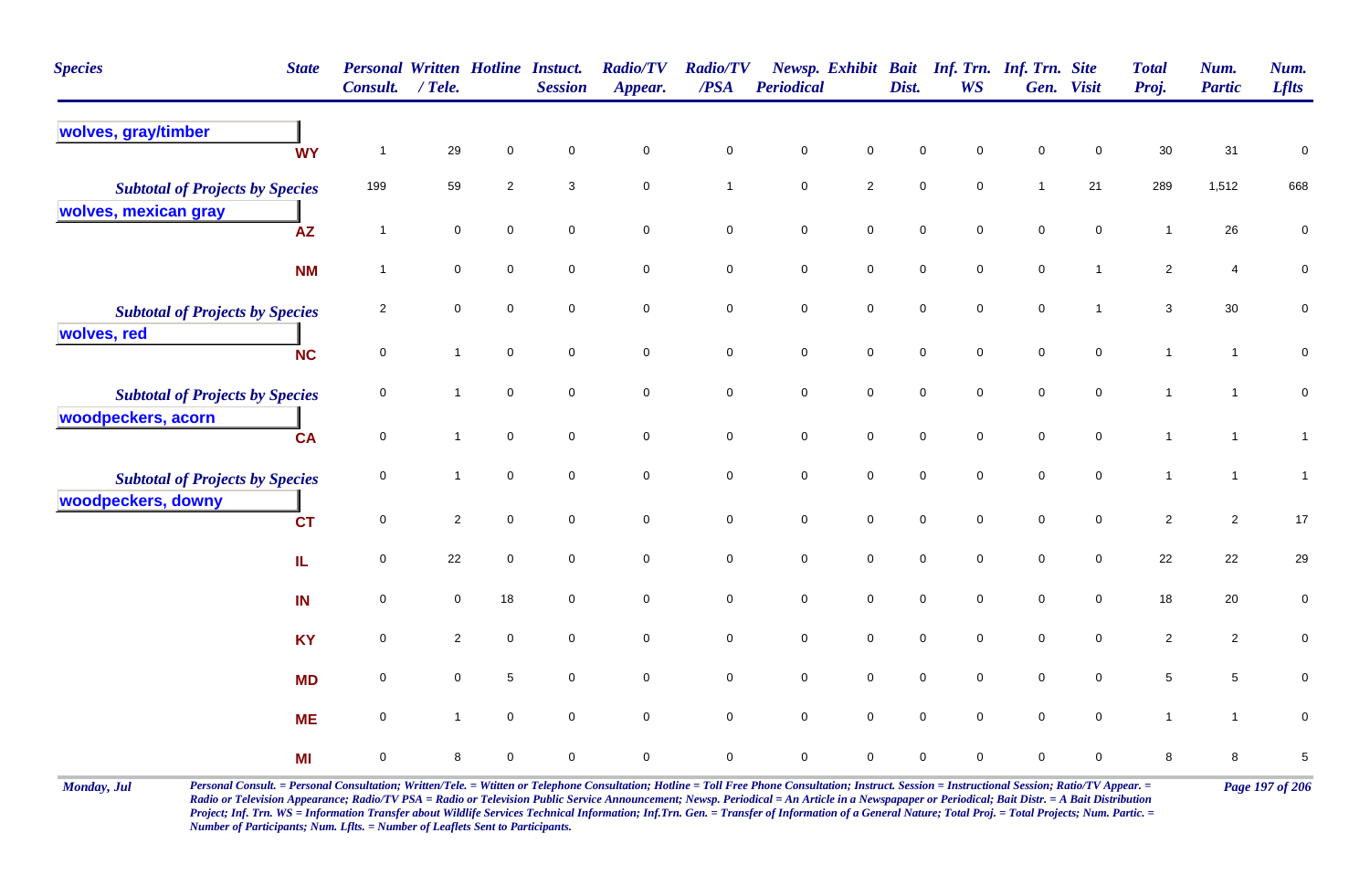| <b>Species</b><br><b>State</b>                                 | <b>Consult.</b>     | <b>Personal Written Hotline Instuct.</b><br>$/$ Tele. |                | <b>Session</b>      | <b>Radio/TV</b><br>Appear. | <b>Radio/TV</b><br>$\triangle PSA$ | Periodical  |                     | Dist.               | Newsp. Exhibit Bait Inf. Trn. Inf. Trn. Site<br><b>WS</b> |                     | Gen. Visit     | <b>Total</b><br>Proj. | Num.<br><b>Partic</b> | Num.<br><b>Lflts</b> |
|----------------------------------------------------------------|---------------------|-------------------------------------------------------|----------------|---------------------|----------------------------|------------------------------------|-------------|---------------------|---------------------|-----------------------------------------------------------|---------------------|----------------|-----------------------|-----------------------|----------------------|
| wolves, gray/timber<br><b>WY</b>                               | $\overline{1}$      | 29                                                    | 0              | $\mathbf 0$         | $\mathbf 0$                | 0                                  | $\mathsf 0$ | $\mathbf 0$         | $\mathbf 0$         | $\mathbf 0$                                               | $\mathbf 0$         | $\mathbf 0$    | 30                    | 31                    | $\mathbf 0$          |
| <b>Subtotal of Projects by Species</b><br>wolves, mexican gray | 199                 | 59                                                    | $\overline{2}$ | 3                   | $\mathbf 0$                | $\mathbf{1}$                       | $\mathsf 0$ | $\sqrt{2}$          | $\mathbf 0$         | $\mathbf 0$                                               | $\mathbf{1}$        | 21             | 289                   | 1,512                 | 668                  |
| AZ                                                             | $\mathbf{1}$        | $\mathbf 0$                                           | 0              | $\mathbf 0$         | $\pmb{0}$                  | $\mathbf 0$                        | $\pmb{0}$   | $\mathbf 0$         | $\mathbf 0$         | $\mathbf 0$                                               | $\mathbf 0$         | $\mathbf 0$    | $\mathbf{1}$          | 26                    | $\pmb{0}$            |
| <b>NM</b>                                                      | $\overline{1}$      | $\mathbf 0$                                           | $\mathbf 0$    | 0                   | $\mathbf 0$                | $\mathbf 0$                        | $\mathbf 0$ | $\bf{0}$            | $\mathbf 0$         | $\mathbf 0$                                               | $\mathbf 0$         | $\mathbf{1}$   | $\overline{c}$        | 4                     | 0                    |
| <b>Subtotal of Projects by Species</b>                         | $\overline{2}$      | $\mathbf 0$                                           | 0              | $\mathbf 0$         | $\mathbf 0$                | $\pmb{0}$                          | $\pmb{0}$   | $\mathbf 0$         | $\mathbf 0$         | $\overline{0}$                                            | $\mathbf 0$         | $\mathbf{1}$   | 3                     | $30\,$                | $\pmb{0}$            |
| wolves, red<br><b>NC</b>                                       | $\mathbf 0$         | $\mathbf{1}$                                          | $\mathbf 0$    | $\mathbf 0$         | $\mathbf 0$                | $\mathsf{O}\xspace$                | $\pmb{0}$   | $\mathbf 0$         | $\mathbf 0$         | $\mathsf{O}\xspace$                                       | $\mathbf 0$         | $\mathbf 0$    | $\mathbf{1}$          | $\mathbf{1}$          | $\pmb{0}$            |
| <b>Subtotal of Projects by Species</b>                         | 0                   | $\mathbf{1}$                                          | $\mathbf 0$    | $\mathbf 0$         | $\mathbf 0$                | $\mathbf 0$                        | $\pmb{0}$   | $\mathbf 0$         | $\mathbf 0$         | $\mathbf 0$                                               | $\mathbf 0$         | $\mathbf 0$    | $\mathbf{1}$          | $\mathbf{1}$          | $\pmb{0}$            |
| woodpeckers, acorn<br><b>CA</b>                                | $\mathbf 0$         | $\mathbf{1}$                                          | $\mathbf 0$    | $\mathsf{O}\xspace$ | $\mathbf 0$                | $\mathbf 0$                        | $\pmb{0}$   | $\mathbf 0$         | $\mathbf 0$         | $\mathbf 0$                                               | $\mathbf 0$         | $\overline{0}$ | $\mathbf{1}$          | $\mathbf{1}$          | $\mathbf{1}$         |
| <b>Subtotal of Projects by Species</b>                         | 0                   | $\overline{1}$                                        | 0              | $\mathbf 0$         | $\mathbf 0$                | $\mathbf 0$                        | $\mathsf 0$ | $\mathsf{O}\xspace$ | $\mathbf 0$         | $\mathsf{O}\xspace$                                       | $\mathbf 0$         | $\mathbf 0$    | $\mathbf{1}$          | $\overline{1}$        | $\mathbf{1}$         |
| woodpeckers, downy<br><b>CT</b>                                | 0                   | $\sqrt{2}$                                            | $\mathbf 0$    | $\mathbf 0$         | $\mathbf 0$                | $\mathbf 0$                        | $\pmb{0}$   | $\mathbf 0$         | $\pmb{0}$           | $\mathbf 0$                                               | $\mathbf 0$         | $\mathbf 0$    | $\sqrt{2}$            | $\overline{2}$        | 17                   |
| IL.                                                            | 0                   | 22                                                    | 0              | $\mathbf 0$         | $\mathbf 0$                | $\mathbf 0$                        | $\mathsf 0$ | $\overline{0}$      | $\mathsf{O}\xspace$ | $\mathbf 0$                                               | $\mathsf{O}\xspace$ | $\mathbf 0$    | 22                    | 22                    | 29                   |
| IN                                                             | $\mathsf{O}\xspace$ | $\mathbf 0$                                           | 18             | $\mathsf{O}\xspace$ | $\pmb{0}$                  | $\mathbf 0$                        | $\pmb{0}$   | $\mathsf{O}\xspace$ | $\mathbf 0$         | $\mathsf{O}\xspace$                                       | $\mathbf 0$         | $\mathbf 0$    | 18                    | $20\,$                | $\pmb{0}$            |
| <b>KY</b>                                                      | 0                   | $\overline{2}$                                        | 0              | $\mathbf 0$         | $\mathbf 0$                | $\mathbf 0$                        | $\pmb{0}$   | $\mathbf 0$         | $\mathsf{O}\xspace$ | $\mathsf{O}\xspace$                                       | $\mathsf{O}\xspace$ | $\mathbf 0$    | $\sqrt{2}$            | $\overline{c}$        | $\pmb{0}$            |
| <b>MD</b>                                                      | 0                   | $\mathbf 0$                                           | 5              | $\mathsf{O}\xspace$ | $\pmb{0}$                  | $\mathsf{O}\xspace$                | $\pmb{0}$   | $\mathbf 0$         | $\mathbf 0$         | $\mathsf{O}\xspace$                                       | $\mathbf 0$         | $\mathbf 0$    | $\sqrt{5}$            | $\sqrt{5}$            | $\pmb{0}$            |
| <b>ME</b>                                                      | 0                   | $\mathbf{1}$                                          | 0              | $\mathbf 0$         | $\mathbf 0$                | $\mathbf 0$                        | $\pmb{0}$   | $\mathbf 0$         | $\pmb{0}$           | $\mathbf 0$                                               | $\pmb{0}$           | $\mathbf 0$    | $\mathbf{1}$          | $\mathbf{1}$          | $\mathbf 0$          |
| MI                                                             | 0                   | 8                                                     | 0              | 0                   | 0                          | $\mathbf 0$                        | $\mathbf 0$ | $\mathbf 0$         | $\mathbf 0$         | 0                                                         | $\mathbf 0$         | 0              | 8                     | 8                     | $\,$ 5 $\,$          |

Monday, Jul Personal Consult. = Personal Consultation; Written/Tele. = Witten or Telephone Consultation; Hotline = Toll Free Phone Consultation; Instruct. Session = Instructional Session; Ratio/TV Appear. = Page 197 of 206 *Radio or Television Appearance; Radio/TV PSA = Radio or Television Public Service Announcement; Newsp. Periodical = An Article in a Newspapaper or Periodical; Bait Distr. = A Bait Distribution*  Project; Inf. Trn. WS = Information Transfer about Wildlife Services Technical Information; Inf.Trn. Gen. = Transfer of Information of a General Nature; Total Proj. = Total Projects; Num. Partic. = *Number of Participants; Num. Lflts. = Number of Leaflets Sent to Participants.*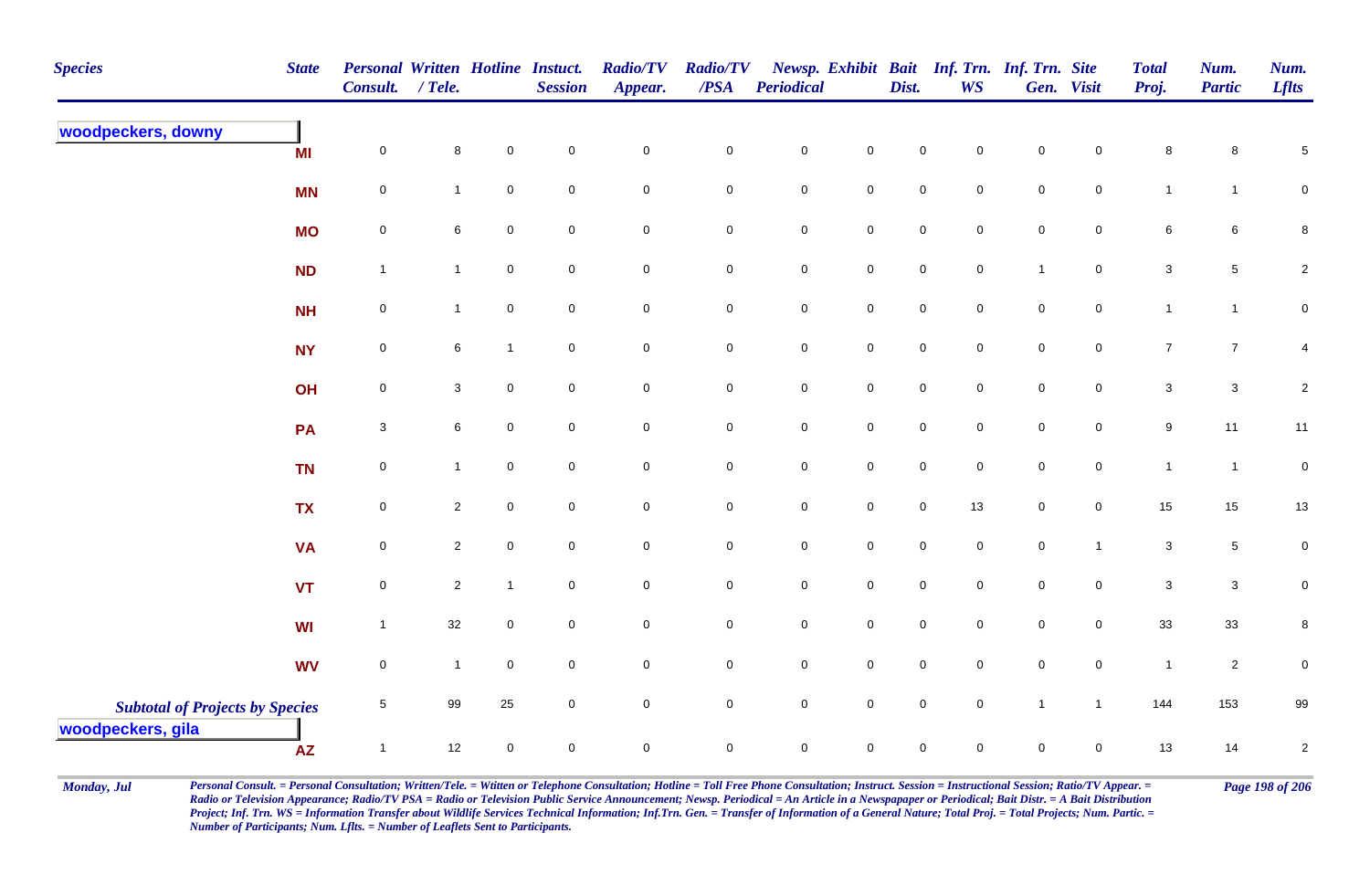| <b>Species</b>                         | <b>State</b> | Personal Written Hotline Instuct.<br><b>Consult.</b> | $/$ Tele.      |              | <b>Session</b>      | <b>Radio/TV</b><br>Appear. | <b>Radio/TV</b><br>$\overline{PSA}$ | <b>Periodical</b>   |                     | Dist.               | <b>WS</b>           | Newsp. Exhibit Bait Inf. Trn. Inf. Trn. Site | Gen. Visit          | <b>Total</b><br>Proj. | Num.<br><b>Partic</b> | Num.<br><b>Lflts</b> |
|----------------------------------------|--------------|------------------------------------------------------|----------------|--------------|---------------------|----------------------------|-------------------------------------|---------------------|---------------------|---------------------|---------------------|----------------------------------------------|---------------------|-----------------------|-----------------------|----------------------|
| woodpeckers, downy                     | MI           | $\mathsf{O}\xspace$                                  | 8              | $\mathsf 0$  | $\mathsf{O}$        | $\mathsf{O}\xspace$        | $\mathbf 0$                         | $\mathbf 0$         | $\overline{0}$      | $\mathbf 0$         | $\mathbf 0$         | $\mathbf 0$                                  | $\mathbf 0$         | 8                     | 8                     | $\,$ 5 $\,$          |
|                                        | <b>MN</b>    | $\pmb{0}$                                            | $\mathbf{1}$   | $\mathbf 0$  | $\overline{0}$      | $\mathbf 0$                | ${\bf 0}$                           | $\mathbf 0$         | $\mathbf 0$         | $\overline{0}$      | $\overline{0}$      | $\mathbf 0$                                  | $\overline{0}$      | $\mathbf{1}$          | $\mathbf{1}$          | ${\bf 0}$            |
|                                        | <b>MO</b>    | $\pmb{0}$                                            | 6              | $\mathsf 0$  | $\mathbf 0$         | $\mathsf{O}\xspace$        | $\mathbf 0$                         | $\mathbf 0$         | $\mathbf 0$         | $\mathbf 0$         | $\overline{0}$      | $\mathbf 0$                                  | $\overline{0}$      | 6                     | $6\phantom{.}6$       | $\bf 8$              |
|                                        | ND           | $\mathbf{1}$                                         | $\mathbf{1}$   | $\mathsf 0$  | $\overline{0}$      | $\mathsf{O}\xspace$        | $\mathbf 0$                         | $\mathbf 0$         | $\mathbf 0$         | $\mathsf{O}\xspace$ | $\mathbf 0$         | $\mathbf{1}$                                 | $\overline{0}$      | $\mathbf{3}$          | $5\phantom{.0}$       | $\overline{a}$       |
|                                        | <b>NH</b>    | $\mathsf{O}\xspace$                                  | $\mathbf{1}$   | $\mathbf 0$  | $\overline{0}$      | $\mathsf{O}\xspace$        | $\overline{0}$                      | $\mathbf 0$         | $\mathbf 0$         | $\mathsf{O}\xspace$ | $\overline{0}$      | $\overline{0}$                               | $\overline{0}$      | $\mathbf{1}$          | $\mathbf{1}$          | ${\bf 0}$            |
|                                        | <b>NY</b>    | $\pmb{0}$                                            | 6              | $\mathbf{1}$ | $\mathbf 0$         | $\mathsf{O}\xspace$        | $\mathbf 0$                         | $\mathbf 0$         | $\mathbf 0$         | $\mathsf{O}\xspace$ | $\mathsf{O}\xspace$ | $\mathsf{O}\xspace$                          | $\mathbf 0$         | $\overline{7}$        | $\overline{7}$        | 4                    |
|                                        | OH           | $\pmb{0}$                                            | 3              | $\mathbf 0$  | $\overline{0}$      | $\mathsf{O}\xspace$        | $\mathbf 0$                         | $\mathbf 0$         | $\mathbf 0$         | $\mathsf{O}\xspace$ | $\overline{0}$      | $\mathsf{O}\xspace$                          | $\mathbf 0$         | $\mathbf{3}$          | $\mathbf{3}$          | $\sqrt{2}$           |
|                                        | PA           | $\ensuremath{\mathsf{3}}$                            | 6              | $\mathbf 0$  | $\overline{0}$      | $\overline{0}$             | $\mathbf 0$                         | $\mathbf 0$         | $\mathbf 0$         | $\mathbf 0$         | $\mathbf 0$         | $\mathbf 0$                                  | $\overline{0}$      | 9                     | 11                    | 11                   |
|                                        | <b>TN</b>    | $\pmb{0}$                                            | $\mathbf{1}$   | $\mathbf 0$  | $\mathsf{O}\xspace$ | $\mathbf 0$                | $\pmb{0}$                           | $\mathsf{O}\xspace$ | $\mathbf 0$         | $\mathbf 0$         | $\mathbf 0$         | $\mathbf 0$                                  | $\mathsf{O}\xspace$ | $\mathbf{1}$          | $\mathbf{1}$          | $\pmb{0}$            |
|                                        | <b>TX</b>    | $\mathsf{O}\xspace$                                  | $\overline{2}$ | $\mathbf 0$  | $\mathbf 0$         | $\mathsf{O}\xspace$        | $\mathbf 0$                         | $\mathsf{O}\xspace$ | $\mathsf{O}\xspace$ | $\mathbf 0$         | 13                  | $\mathbf 0$                                  | $\mathbf 0$         | 15                    | 15                    | 13                   |
|                                        | <b>VA</b>    | $\mathsf{O}\xspace$                                  | $\overline{2}$ | $\mathbf 0$  | $\overline{0}$      | $\overline{0}$             | $\mathbf 0$                         | $\mathbf 0$         | $\overline{0}$      | $\mathbf 0$         | $\overline{0}$      | $\mathbf 0$                                  | $\overline{1}$      | 3                     | $5\phantom{.0}$       | ${\bf 0}$            |
|                                        | <b>VT</b>    | $\pmb{0}$                                            | $\overline{c}$ | $\mathbf{1}$ | $\mathbf 0$         | $\mathbf 0$                | $\pmb{0}$                           | $\pmb{0}$           | $\mathbf 0$         | $\mathsf{O}\xspace$ | $\mathsf{O}\xspace$ | $\mathbf 0$                                  | $\mathbf 0$         | $\mathsf 3$           | $\mathbf{3}$          | $\pmb{0}$            |
|                                        | WI           | $\mathbf{1}$                                         | 32             | $\mathbf 0$  | $\mathbf 0$         | $\mathbf 0$                | $\mathbf 0$                         | $\mathbf 0$         | $\mathbf 0$         | $\mathbf 0$         | $\overline{0}$      | $\mathbf 0$                                  | $\overline{0}$      | 33                    | 33                    | 8                    |
|                                        | <b>WV</b>    | $\mathsf{O}\xspace$                                  | $\mathbf{1}$   | $\mathsf 0$  | $\mathbf 0$         | $\overline{0}$             | ${\bf 0}$                           | $\mathbf 0$         | $\mathbf 0$         | $\overline{0}$      | $\overline{0}$      | $\mathbf 0$                                  | $\overline{0}$      | $\overline{1}$        | $\overline{2}$        | $\mathbf 0$          |
| <b>Subtotal of Projects by Species</b> |              | $\,$ 5 $\,$                                          | 99             | 25           | $\mathbf 0$         | $\mathsf{O}\xspace$        | $\mathbf 0$                         | $\mathbf 0$         | $\mathbf 0$         | $\mathsf{O}\xspace$ | $\mathbf 0$         | $\mathbf{1}$                                 | $\mathbf{1}$        | 144                   | 153                   | 99                   |
| woodpeckers, gila                      | <b>AZ</b>    | $\mathbf{1}$                                         | 12             | $\pmb{0}$    | $\mathsf{O}\xspace$ | $\mathbf 0$                | $\mathsf{O}\xspace$                 | $\mathbf 0$         | $\mathsf{O}\xspace$ | $\mathbf 0$         | $\mathbf 0$         | $\mathbf 0$                                  | $\mathsf{O}\xspace$ | 13                    | 14                    | $\sqrt{2}$           |

Monday, Jul Personal Consult. = Personal Consultation; Written/Tele. = Witten or Telephone Consultation; Hotline = Toll Free Phone Consultation; Instruct. Session = Instructional Session; Ratio/TV Appear. = Page 198 of 206 *Radio or Television Appearance; Radio/TV PSA = Radio or Television Public Service Announcement; Newsp. Periodical = An Article in a Newspapaper or Periodical; Bait Distr. = A Bait Distribution*  Project; Inf. Trn. WS = Information Transfer about Wildlife Services Technical Information; Inf.Trn. Gen. = Transfer of Information of a General Nature; Total Proj. = Total Projects; Num. Partic. = *Number of Participants; Num. Lflts. = Number of Leaflets Sent to Participants.*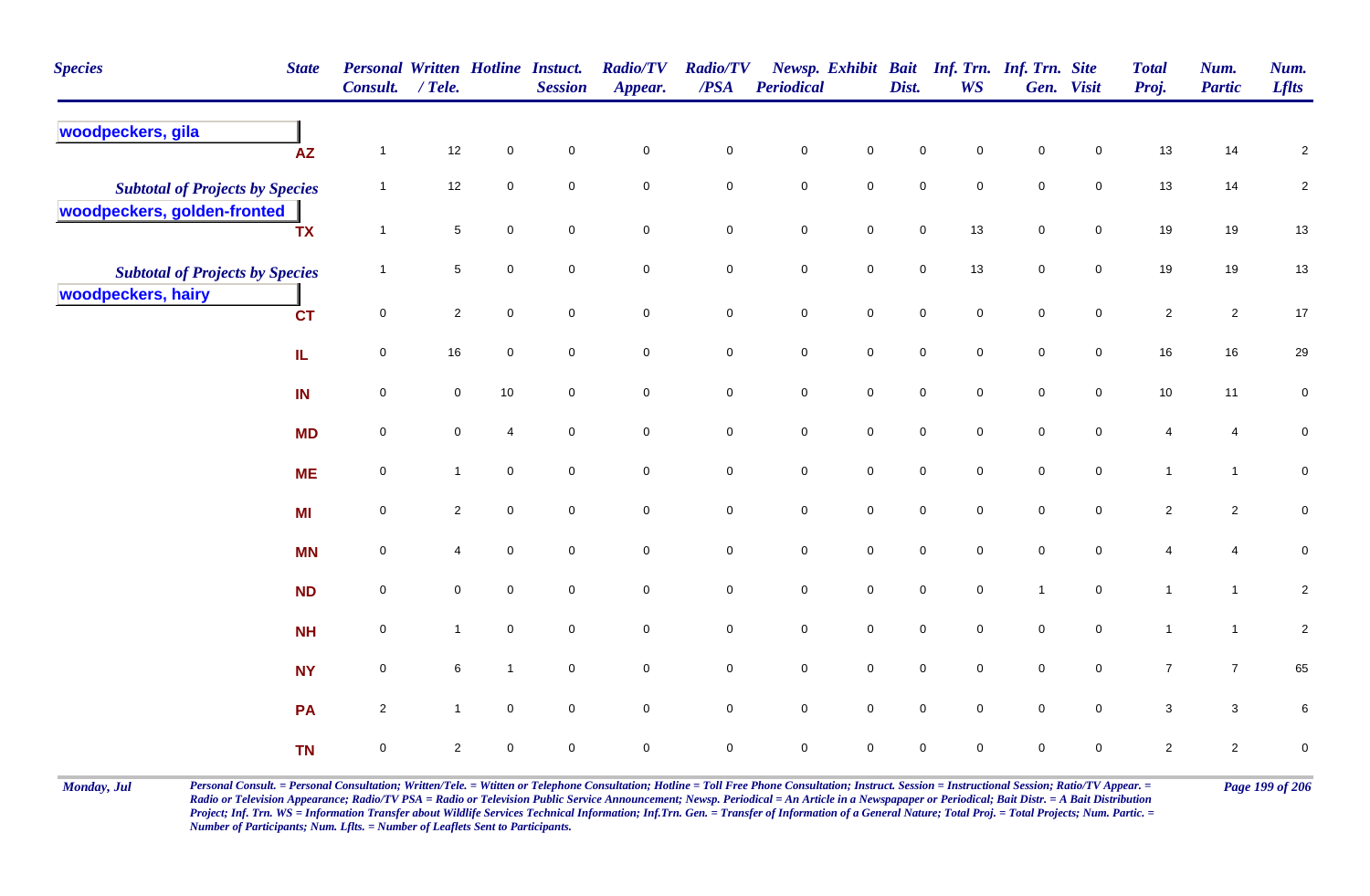| <b>Species</b>                                                        | <b>State</b> | <b>Personal Written Hotline Instuct.</b><br>Consult. / Tele. |                     |                     | <b>Session</b>      | <b>Radio/TV</b><br>Appear. | <b>Radio/TV</b><br>/PSA | Periodical  |                     | Dist.       | <b>WS</b>           | Newsp. Exhibit Bait Inf. Trn. Inf. Trn. Site | Gen. Visit          | <b>Total</b><br>Proj. | Num.<br><b>Partic</b>   | Num.<br><b>Lflts</b>    |
|-----------------------------------------------------------------------|--------------|--------------------------------------------------------------|---------------------|---------------------|---------------------|----------------------------|-------------------------|-------------|---------------------|-------------|---------------------|----------------------------------------------|---------------------|-----------------------|-------------------------|-------------------------|
| woodpeckers, gila                                                     | <b>AZ</b>    | $\mathbf{1}$                                                 | $12\,$              | $\pmb{0}$           | $\mathbf 0$         | $\mathbf 0$                | $\pmb{0}$               | $\pmb{0}$   | $\mathbf 0$         | $\mathbf 0$ | 0                   | $\pmb{0}$                                    | $\mathbf 0$         | 13                    | 14                      | $\overline{\mathbf{c}}$ |
| <b>Subtotal of Projects by Species</b><br>woodpeckers, golden-fronted |              | $\mathbf{1}$                                                 | 12                  | $\mathbf 0$         | $\mathbf 0$         | $\mathsf{O}\xspace$        | $\mathbf 0$             | $\mathsf 0$ | $\mathbf 0$         | $\mathbf 0$ | $\mathbf 0$         | $\mathsf 0$                                  | $\mathbf 0$         | 13                    | 14                      | $\overline{a}$          |
|                                                                       | <b>TX</b>    | $\mathbf{1}$                                                 | $\,$ 5 $\,$         | $\mathbf 0$         | $\mathbf 0$         | $\pmb{0}$                  | $\mathbf 0$             | $\pmb{0}$   | $\pmb{0}$           | $\pmb{0}$   | $13$                | $\pmb{0}$                                    | $\mathbf 0$         | 19                    | 19                      | 13                      |
| <b>Subtotal of Projects by Species</b><br>woodpeckers, hairy          |              | $\mathbf{1}$                                                 | $\sqrt{5}$          | $\mathbf 0$         | $\mathbf 0$         | $\mathbf 0$                | $\mathbf 0$             | $\pmb{0}$   | $\mathsf{O}\xspace$ | $\mathbf 0$ | 13                  | $\mathsf 0$                                  | $\overline{0}$      | 19                    | 19                      | 13                      |
|                                                                       | <b>CT</b>    | $\mathsf 0$                                                  | $\overline{2}$      | $\mathsf{O}\xspace$ | $\mathbf 0$         | $\mathbf 0$                | $\mathsf{O}$            | $\pmb{0}$   | $\mathsf{O}\xspace$ | $\pmb{0}$   | $\mathbf 0$         | $\pmb{0}$                                    | $\mathbf 0$         | $\sqrt{2}$            | $\overline{2}$          | 17                      |
|                                                                       | IL.          | $\mathsf{O}\xspace$                                          | $16\,$              | $\mathsf{O}\xspace$ | $\mathbf 0$         | $\mathbf 0$                | $\mathbf 0$             | $\pmb{0}$   | $\mathsf{O}\xspace$ | $\pmb{0}$   | $\mathsf{O}\xspace$ | $\pmb{0}$                                    | $\mathbf 0$         | 16                    | 16                      | 29                      |
|                                                                       | IN           | $\mathbf 0$                                                  | $\mathsf{O}\xspace$ | 10                  | $\mathsf{O}\xspace$ | $\mathbf 0$                | $\mathbf 0$             | $\pmb{0}$   | $\mathsf{O}\xspace$ | $\mathbf 0$ | $\mathbf 0$         | $\pmb{0}$                                    | $\mathsf{O}\xspace$ | $10$                  | 11                      | $\pmb{0}$               |
|                                                                       | <b>MD</b>    | $\mathbf 0$                                                  | $\mathbf 0$         | $\overline{4}$      | $\mathbf 0$         | $\mathbf 0$                | $\mathbf 0$             | $\pmb{0}$   | $\mathsf{O}\xspace$ | $\mathbf 0$ | $\mathbf 0$         | $\pmb{0}$                                    | $\mathsf{O}\xspace$ | $\overline{4}$        | $\overline{\mathbf{4}}$ | $\mathbf 0$             |
|                                                                       | <b>ME</b>    | $\pmb{0}$                                                    | $\mathbf{1}$        | $\mathbf 0$         | $\mathbf 0$         | $\mathbf 0$                | $\mathbf 0$             | $\pmb{0}$   | $\mathbf 0$         | $\mathbf 0$ | $\mathbf 0$         | $\pmb{0}$                                    | $\mathsf{O}\xspace$ | $\mathbf{1}$          | $\mathbf{1}$            | $\mathbf 0$             |
|                                                                       | <b>MI</b>    | 0                                                            | $\overline{2}$      | $\mathbf 0$         | $\overline{0}$      | $\mathbf 0$                | $\mathbf 0$             | ${\bf 0}$   | $\mathsf{O}\xspace$ | $\pmb{0}$   | $\mathbf 0$         | $\mathsf 0$                                  | $\mathbf 0$         | $\overline{c}$        | $\overline{2}$          | $\pmb{0}$               |
|                                                                       | <b>MN</b>    | 0                                                            | 4                   | $\mathbf 0$         | $\overline{0}$      | $\mathbf 0$                | $\mathbf 0$             | $\pmb{0}$   | $\mathbf 0$         | $\mathsf 0$ | $\mathbf 0$         | $\mathsf 0$                                  | $\mathbf 0$         | 4                     | 4                       | $\pmb{0}$               |
|                                                                       | <b>ND</b>    | 0                                                            | $\mathbf 0$         | $\mathbf 0$         | $\mathbf 0$         | $\pmb{0}$                  | $\mathbf 0$             | $\mathsf 0$ | $\mathsf{O}\xspace$ | $\mathsf 0$ | $\mathbf 0$         | $\mathbf{1}$                                 | $\mathbf 0$         | $\mathbf{1}$          | $\mathbf{1}$            | $\overline{2}$          |
|                                                                       | <b>NH</b>    | $\mathbf 0$                                                  | $\mathbf{1}$        | $\mathbf 0$         | $\mathbf 0$         | $\mathbf 0$                | $\overline{0}$          | $\mathsf 0$ | $\mathsf{O}\xspace$ | $\mathsf 0$ | $\mathbf 0$         | $\mathsf 0$                                  | $\mathbf 0$         | $\mathbf{1}$          | $\mathbf{1}$            | $\sqrt{2}$              |
|                                                                       | <b>NY</b>    | $\mathbf 0$                                                  | $6\phantom{.}$      | $\mathbf{1}$        | $\overline{0}$      | $\mathsf{O}\xspace$        | $\overline{0}$          | $\mathsf 0$ | $\overline{0}$      | $\mathsf 0$ | $\overline{0}$      | $\mathsf 0$                                  | $\overline{0}$      | $\overline{7}$        | $\overline{7}$          | 65                      |
|                                                                       | PA           | $\mathbf{2}$                                                 | $\mathbf{1}$        | $\mathbf 0$         | $\overline{0}$      | $\mathbf 0$                | $\mathbf 0$             | $\mathbf 0$ | $\mathsf{O}\xspace$ | $\mathsf 0$ | $\mathbf 0$         | $\mathsf 0$                                  | $\mathbf 0$         | $\mathbf{3}$          | $\mathbf{3}$            | $\,6\,$                 |
|                                                                       | <b>TN</b>    | 0                                                            | $\overline{2}$      | $\mathbf 0$         | $\mathbf 0$         | $\pmb{0}$                  | $\mathbf 0$             | $\pmb{0}$   | 0                   | $\mathbf 0$ | 0                   | $\mathbf 0$                                  | 0                   | $\overline{2}$        | $\mathbf{2}$            | $\pmb{0}$               |

Monday, Jul Personal Consult. = Personal Consultation; Written/Tele. = Witten or Telephone Consultation; Hotline = Toll Free Phone Consultation; Instruct. Session = Instructional Session; Ratio/TV Appear. = Page 199 of 206 *Radio or Television Appearance; Radio/TV PSA = Radio or Television Public Service Announcement; Newsp. Periodical = An Article in a Newspapaper or Periodical; Bait Distr. = A Bait Distribution*  Project; Inf. Trn. WS = Information Transfer about Wildlife Services Technical Information; Inf.Trn. Gen. = Transfer of Information of a General Nature; Total Proj. = Total Projects; Num. Partic. = *Number of Participants; Num. Lflts. = Number of Leaflets Sent to Participants.*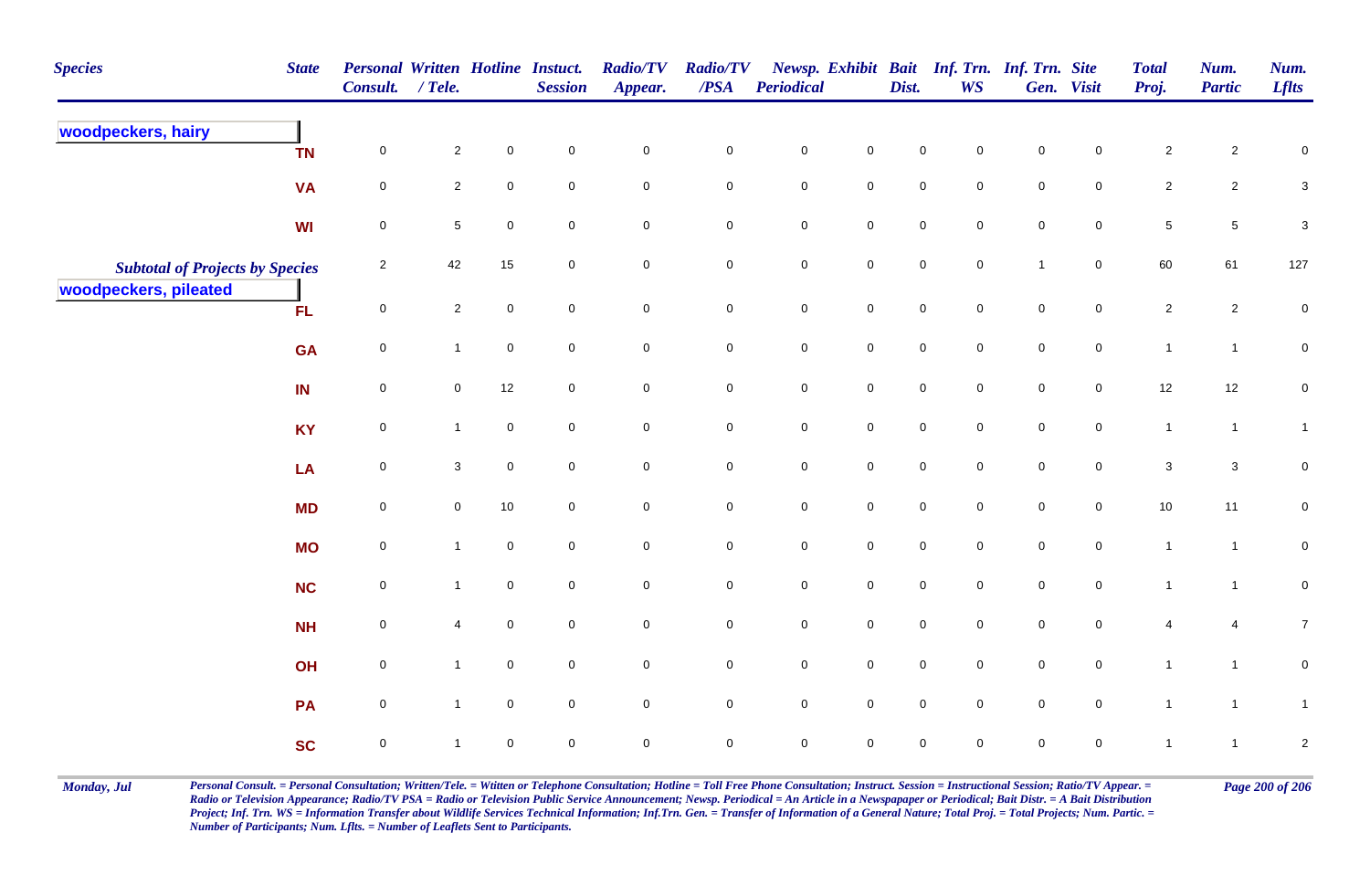| <b>Species</b>                         | <b>State</b> | Personal Written Hotline Instuct.<br>Consult. / Tele. |                         |                     | <b>Session</b> | <b>Radio/TV</b><br>Appear. | <b>Radio/TV</b><br>$\boldsymbol{PSA}$ | <b>Periodical</b> |                     | Dist.       | Newsp. Exhibit Bait Inf. Trn. Inf. Trn. Site<br><b>WS</b> |              | Gen. Visit     | <b>Total</b><br>Proj. | Num.<br><b>Partic</b> | Num.<br><b>Lflts</b>      |
|----------------------------------------|--------------|-------------------------------------------------------|-------------------------|---------------------|----------------|----------------------------|---------------------------------------|-------------------|---------------------|-------------|-----------------------------------------------------------|--------------|----------------|-----------------------|-----------------------|---------------------------|
| woodpeckers, hairy                     | <b>TN</b>    | 0                                                     | $\overline{\mathbf{c}}$ | $\mathbf 0$         | $\mathbf 0$    | $\pmb{0}$                  | $\pmb{0}$                             | $\pmb{0}$         | $\mathbf 0$         | $\mathbf 0$ | 0                                                         | $\mathbf 0$  | 0              | $\sqrt{2}$            | $\overline{c}$        | $\boldsymbol{0}$          |
|                                        | <b>VA</b>    | $\mathsf{O}\xspace$                                   | $\overline{2}$          | $\mathbf 0$         | $\mathbf 0$    | $\mathbf 0$                | $\mathbf 0$                           | $\pmb{0}$         | $\mathbf 0$         | $\pmb{0}$   | $\mathbf 0$                                               | $\pmb{0}$    | $\mathbf 0$    | $\overline{2}$        | $\overline{c}$        | $\ensuremath{\mathsf{3}}$ |
|                                        | WI           | $\mathbf 0$                                           | $\sqrt{5}$              | $\mathbf 0$         | $\mathbf 0$    | $\mathbf 0$                | $\overline{0}$                        | $\pmb{0}$         | $\mathbf 0$         | $\pmb{0}$   | 0                                                         | $\pmb{0}$    | $\mathbf 0$    | $\sqrt{5}$            | $\sqrt{5}$            | $\sqrt{3}$                |
| <b>Subtotal of Projects by Species</b> |              | $\overline{2}$                                        | 42                      | 15                  | $\mathbf 0$    | $\mathbf 0$                | $\mathbf 0$                           | $\pmb{0}$         | $\mathbf 0$         | $\pmb{0}$   | $\mathbf 0$                                               | $\mathbf{1}$ | $\mathbf 0$    | 60                    | 61                    | 127                       |
| woodpeckers, pileated                  | <b>FL</b>    | $\mathsf{O}\xspace$                                   | $\overline{2}$          | $\mathbf 0$         | $\mathbf 0$    | $\mathbf 0$                | $\mathbf 0$                           | $\pmb{0}$         | $\mathsf 0$         | $\pmb{0}$   | $\overline{0}$                                            | $\pmb{0}$    | $\mathbf 0$    | $\overline{2}$        | $\overline{2}$        | $\pmb{0}$                 |
|                                        | <b>GA</b>    | $\mathsf{O}\xspace$                                   | $\mathbf{1}$            | $\mathbf 0$         | $\mathbf 0$    | $\mathbf 0$                | $\mathbf 0$                           | $\pmb{0}$         | $\mathbf 0$         | $\pmb{0}$   | $\mathbf 0$                                               | $\pmb{0}$    | $\mathbf 0$    | $\mathbf{1}$          | $\mathbf{1}$          | $\overline{0}$            |
|                                        | IN           | $\overline{0}$                                        | $\mathbf 0$             | 12                  | $\mathsf 0$    | $\mathbf 0$                | $\mathbf 0$                           | $\pmb{0}$         | $\mathbf 0$         | $\mathsf 0$ | $\mathbf 0$                                               | $\mathsf 0$  | $\mathbf 0$    | 12                    | 12                    | $\overline{0}$            |
|                                        | <b>KY</b>    | $\mathsf{O}\xspace$                                   | $\mathbf{1}$            | $\mathbf 0$         | $\mathbf 0$    | $\mathsf{O}\xspace$        | $\mathbf 0$                           | $\mathsf 0$       | $\mathbf 0$         | $\mathbf 0$ | $\mathbf 0$                                               | $\mathsf 0$  | $\mathbf 0$    | $\mathbf{1}$          | $\mathbf{1}$          | $\mathbf{1}$              |
|                                        | LA           | $\mathsf{O}\xspace$                                   | $\mathbf 3$             | $\mathsf{O}\xspace$ | $\mathbf 0$    | $\mathsf{O}\xspace$        | $\mathsf{O}\xspace$                   | $\pmb{0}$         | $\mathbf 0$         | $\pmb{0}$   | $\mathbf 0$                                               | $\pmb{0}$    | $\mathbf 0$    | $\mathbf 3$           | $\mathbf{3}$          | $\pmb{0}$                 |
|                                        | <b>MD</b>    | $\mathbf 0$                                           | $\pmb{0}$               | $10\,$              | $\mathbf 0$    | $\mathbf 0$                | $\mathbf 0$                           | $\pmb{0}$         | $\mathbf 0$         | $\pmb{0}$   | $\mathsf{O}\xspace$                                       | $\pmb{0}$    | $\mathbf 0$    | $10\,$                | 11                    | $\mathbf 0$               |
|                                        | <b>MO</b>    | $\mathbf 0$                                           | $\mathbf{1}$            | $\mathbf 0$         | $\mathbf 0$    | $\mathsf{O}\xspace$        | $\mathsf{O}\xspace$                   | $\pmb{0}$         | $\mathbf 0$         | $\pmb{0}$   | $\mathbf 0$                                               | $\pmb{0}$    | $\mathbf 0$    | $\mathbf{1}$          | $\mathbf{1}$          | $\pmb{0}$                 |
|                                        | <b>NC</b>    | $\mathsf{O}\xspace$                                   | $\mathbf{1}$            | $\overline{0}$      | $\mathsf 0$    | $\mathbf 0$                | $\overline{0}$                        | $\mathbf 0$       | $\mathbf 0$         | $\mathbf 0$ | $\mathbf 0$                                               | $\mathsf 0$  | $\mathbf 0$    | $\mathbf{1}$          | $\mathbf{1}$          | $\pmb{0}$                 |
|                                        | <b>NH</b>    | $\mathsf{O}\xspace$                                   | 4                       | $\mathbf 0$         | $\mathbf 0$    | $\mathsf{O}\xspace$        | $\mathsf{O}\xspace$                   | $\pmb{0}$         | $\mathsf 0$         | $\mathsf 0$ | $\overline{0}$                                            | $\mathsf 0$  | $\overline{0}$ | $\overline{4}$        | $\overline{4}$        | $\overline{7}$            |
|                                        | OH           | $\overline{0}$                                        | $\mathbf{1}$            | $\mathbf 0$         | $\mathbf 0$    | $\mathsf{O}\xspace$        | $\mathsf{O}\xspace$                   | $\pmb{0}$         | $\mathbf 0$         | $\pmb{0}$   | $\mathbf 0$                                               | $\pmb{0}$    | $\mathbf 0$    | $\mathbf{1}$          | $\mathbf{1}$          | $\mathbf 0$               |
|                                        | PA           | $\overline{0}$                                        | $\mathbf{1}$            | $\mathbf 0$         | $\mathbf 0$    | $\mathbf 0$                | $\overline{0}$                        | $\mathbf 0$       | $\mathbf 0$         | $\mathbf 0$ | $\mathbf 0$                                               | $\mathbf 0$  | $\mathbf 0$    | $\mathbf{1}$          | $\overline{1}$        | $\mathbf{1}$              |
|                                        | <b>SC</b>    | $\mathbf 0$                                           | $\mathbf 1$             | $\mathsf 0$         | $\pmb{0}$      | $\mathsf{O}\xspace$        | $\pmb{0}$                             | $\mathsf 0$       | $\mathsf{O}\xspace$ | $\mathsf 0$ | $\mathbf 0$                                               | $\pmb{0}$    | $\pmb{0}$      | $\mathbf{1}$          | $\mathbf{1}$          | $\sqrt{2}$                |

Monday, Jul Personal Consult. = Personal Consultation; Written/Tele. = Witten or Telephone Consultation; Hotline = Toll Free Phone Consultation; Instruct. Session = Instructional Session; Ratio/TV Appear. = Page 200 of 206 *Radio or Television Appearance; Radio/TV PSA = Radio or Television Public Service Announcement; Newsp. Periodical = An Article in a Newspapaper or Periodical; Bait Distr. = A Bait Distribution*  Project; Inf. Trn. WS = Information Transfer about Wildlife Services Technical Information; Inf.Trn. Gen. = Transfer of Information of a General Nature; Total Proj. = Total Projects; Num. Partic. = *Number of Participants; Num. Lflts. = Number of Leaflets Sent to Participants.*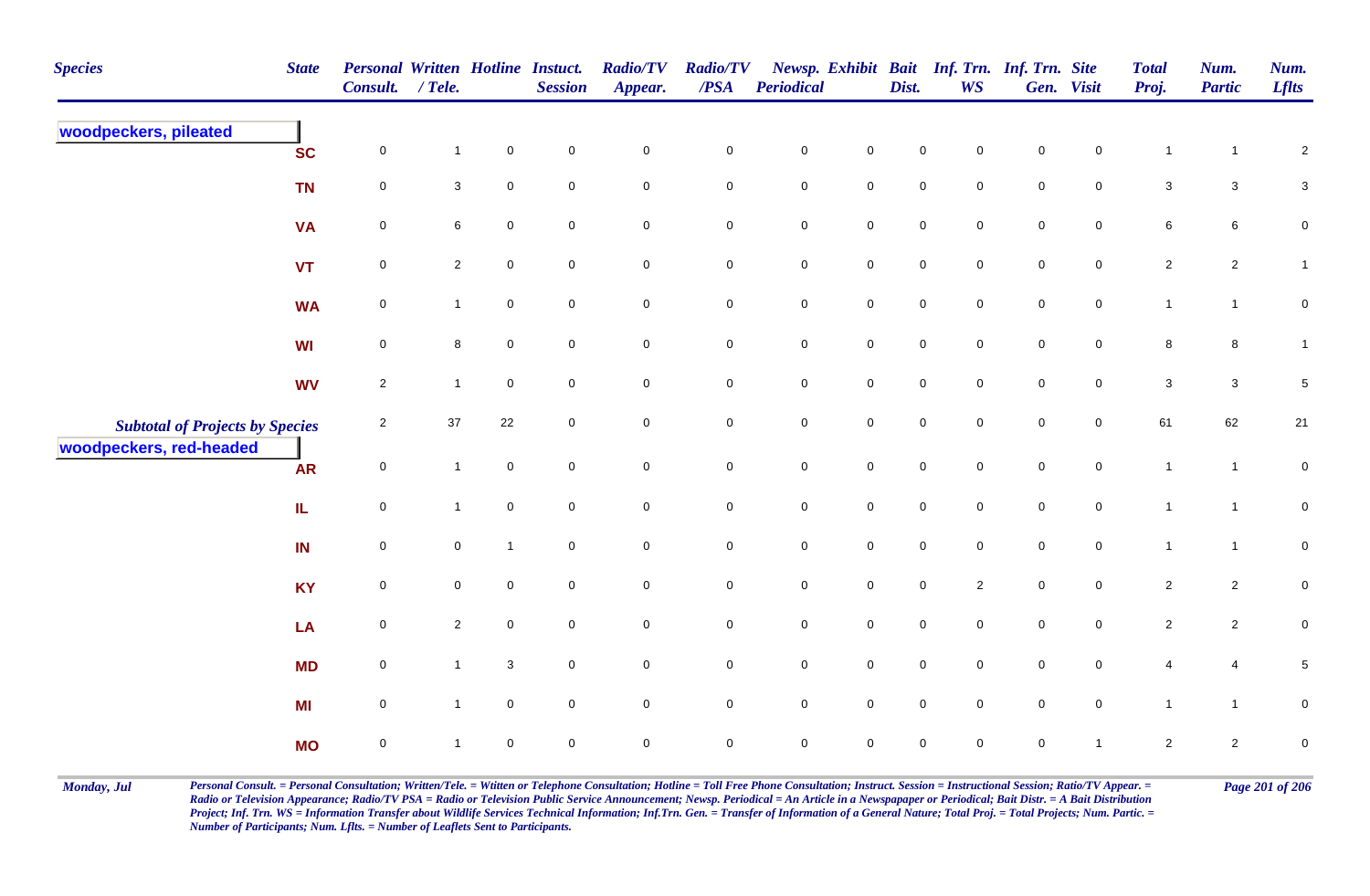| <b>Species</b>                         | <b>State</b> | <b>Personal Written Hotline Instuct.</b><br>Consult. | $/$ Tele.      |              | <b>Session</b>      | <b>Radio/TV</b><br>Appear. | <b>Radio/TV</b><br>/PSA | <b>Periodical</b>   |                     | Dist.               | <b>WS</b>           | Newsp. Exhibit Bait Inf. Trn. Inf. Trn. Site | Gen. Visit          | <b>Total</b><br>Proj.   | Num.<br><b>Partic</b> | Num.<br><b>Lflts</b> |
|----------------------------------------|--------------|------------------------------------------------------|----------------|--------------|---------------------|----------------------------|-------------------------|---------------------|---------------------|---------------------|---------------------|----------------------------------------------|---------------------|-------------------------|-----------------------|----------------------|
| woodpeckers, pileated                  | <b>SC</b>    | $\mathbf 0$                                          | $\mathbf{1}$   | $\mathbf 0$  | $\mathsf{O}\xspace$ | $\pmb{0}$                  | $\pmb{0}$               | $\pmb{0}$           | $\mathbf 0$         | 0                   | $\mathbf 0$         | $\mathbf 0$                                  | $\mathbf 0$         | $\overline{1}$          | $\mathbf{1}$          | $\sqrt{2}$           |
|                                        | <b>TN</b>    | $\mathbf 0$                                          | 3              | $\mathbf 0$  | $\mathbf 0$         | $\mathsf{O}\xspace$        | $\mathsf 0$             | $\mathbf 0$         | $\mathbf 0$         | $\mathbf 0$         | $\mathbf 0$         | $\mathsf{O}\xspace$                          | $\mathbf 0$         | $\mathbf{3}$            | $\mathbf{3}$          | $\mathbf{3}$         |
|                                        | <b>VA</b>    | $\mathbf 0$                                          | 6              | $\mathbf 0$  | $\mathbf 0$         | $\mathbf 0$                | $\pmb{0}$               | ${\bf 0}$           | $\mathbf 0$         | $\mathbf 0$         | $\mathbf 0$         | $\mathbf 0$                                  | $\mathbf 0$         | 6                       | $6\phantom{.}6$       | $\pmb{0}$            |
|                                        | <b>VT</b>    | $\mathbf 0$                                          | $\overline{2}$ | $\mathbf 0$  | $\overline{0}$      | $\mathbf 0$                | $\mathbf 0$             | ${\bf 0}$           | $\mathsf{O}\xspace$ | $\mathbf 0$         | $\mathsf{O}\xspace$ | $\mathbf 0$                                  | $\mathbf 0$         | $\overline{2}$          | $\overline{2}$        | $\mathbf{1}$         |
|                                        | <b>WA</b>    | $\pmb{0}$                                            | $\mathbf{1}$   | $\mathbf 0$  | $\mathbf 0$         | $\mathbf 0$                | $\pmb{0}$               | $\mathbf 0$         | $\mathbf 0$         | $\mathbf 0$         | $\mathbf 0$         | $\mathsf{O}\xspace$                          | $\mathbf 0$         | $\mathbf{1}$            | $\mathbf{1}$          | $\pmb{0}$            |
|                                        | <b>WI</b>    | $\mathbf 0$                                          | 8              | $\mathbf 0$  | $\mathbf 0$         | $\mathbf 0$                | $\mathbf 0$             | $\mathbf 0$         | $\mathbf 0$         | $\mathbf 0$         | $\mathbf 0$         | $\mathbf 0$                                  | $\overline{0}$      | 8                       | 8                     | $\mathbf{1}$         |
|                                        | <b>WV</b>    | $\sqrt{2}$                                           | $\mathbf{1}$   | $\mathbf 0$  | $\mathbf 0$         | $\mathbf 0$                | $\pmb{0}$               | $\mathsf{O}\xspace$ | $\mathbf 0$         | $\mathsf{O}\xspace$ | $\mathbf 0$         | $\mathbf 0$                                  | $\mathbf 0$         | $\mathbf{3}$            | $\mathbf{3}$          | $\,$ 5 $\,$          |
| <b>Subtotal of Projects by Species</b> |              | $\overline{2}$                                       | $37\,$         | 22           | 0                   | $\pmb{0}$                  | $\mathbf 0$             | $\pmb{0}$           | $\mathbf 0$         | $\mathbf 0$         | $\mathbf 0$         | $\pmb{0}$                                    | $\mathbf 0$         | 61                      | 62                    | $21$                 |
| woodpeckers, red-headed                | <b>AR</b>    | $\mathbf 0$                                          | $\overline{1}$ | $\mathbf 0$  | $\mathbf 0$         | $\mathbf 0$                | $\pmb{0}$               | $\pmb{0}$           | $\mathsf{O}\xspace$ | $\mathsf{O}\xspace$ | $\mathsf{O}\xspace$ | $\mathbf 0$                                  | $\mathsf{O}\xspace$ | $\mathbf{1}$            | $\mathbf{1}$          | $\pmb{0}$            |
|                                        | IL           | $\mathsf 0$                                          | $\mathbf{1}$   | $\mathbf 0$  | $\mathbf 0$         | $\mathbf 0$                | $\pmb{0}$               | $\pmb{0}$           | $\mathbf 0$         | $\mathsf{O}\xspace$ | $\mathbf 0$         | $\mathbf 0$                                  | $\mathbf 0$         | $\mathbf{1}$            | $\mathbf{1}$          | ${\bf 0}$            |
|                                        | IN           | $\mathsf 0$                                          | 0              | $\mathbf{1}$ | $\overline{0}$      | $\mathbf 0$                | $\mathbf 0$             | $\mathbf 0$         | $\mathbf 0$         | $\mathsf{O}\xspace$ | $\overline{0}$      | $\mathsf{O}\xspace$                          | $\overline{0}$      | $\mathbf{1}$            | $\mathbf{1}$          | ${\bf 0}$            |
|                                        | <b>KY</b>    | $\pmb{0}$                                            | 0              | $\mathbf 0$  | $\mathbf 0$         | $\mathbf 0$                | $\mathbf 0$             | $\mathbf 0$         | $\mathbf 0$         | $\mathbf 0$         | $\overline{2}$      | $\mathbf 0$                                  | $\mathbf 0$         | $\overline{2}$          | $\overline{2}$        | $\mathbf 0$          |
|                                        | LA           | $\mathsf 0$                                          | $\overline{2}$ | $\mathsf 0$  | $\overline{0}$      | $\mathbf 0$                | $\mathbf 0$             | $\mathbf 0$         | $\mathbf 0$         | $\mathsf{O}\xspace$ | $\overline{0}$      | $\mathbf 0$                                  | $\mathbf 0$         | $\overline{2}$          | $\overline{2}$        | $\pmb{0}$            |
|                                        | <b>MD</b>    | $\pmb{0}$                                            | $\mathbf{1}$   | $\mathbf 3$  | $\mathsf{O}\xspace$ | $\mathbf 0$                | $\pmb{0}$               | $\mathbf 0$         | $\mathbf 0$         | $\mathbf 0$         | $\mathbf 0$         | $\mathbf 0$                                  | $\mathbf 0$         | 4                       | $\overline{4}$        | $\,$ 5 $\,$          |
|                                        | MI           | $\mathbf 0$                                          | $\mathbf{1}$   | $\mathbf 0$  | $\mathbf 0$         | $\mathsf{O}\xspace$        | $\mathbf 0$             | $\mathbf 0$         | $\mathsf{O}\xspace$ | 0                   | $\mathbf 0$         | $\mathbf 0$                                  | $\mathbf 0$         | $\mathbf{1}$            | $\mathbf{1}$          | ${\bf 0}$            |
|                                        | <b>MO</b>    | $\mathsf 0$                                          | $\mathbf 1$    | $\mathbf 0$  | $\mathsf{O}\xspace$ | $\pmb{0}$                  | $\mathsf 0$             | $\mathsf{O}\xspace$ | $\mathsf{O}\xspace$ | 0                   | $\mathbf 0$         | 0                                            | $\overline{1}$      | $\overline{\mathbf{c}}$ | $\overline{a}$        | $\pmb{0}$            |

Monday, Jul Personal Consult. = Personal Consultation; Written/Tele. = Witten or Telephone Consultation; Hotline = Toll Free Phone Consultation; Instruct. Session = Instructional Session; Ratio/TV Appear. = Page 201 of 206 *Radio or Television Appearance; Radio/TV PSA = Radio or Television Public Service Announcement; Newsp. Periodical = An Article in a Newspapaper or Periodical; Bait Distr. = A Bait Distribution*  Project; Inf. Trn. WS = Information Transfer about Wildlife Services Technical Information; Inf.Trn. Gen. = Transfer of Information of a General Nature; Total Proj. = Total Projects; Num. Partic. = *Number of Participants; Num. Lflts. = Number of Leaflets Sent to Participants.*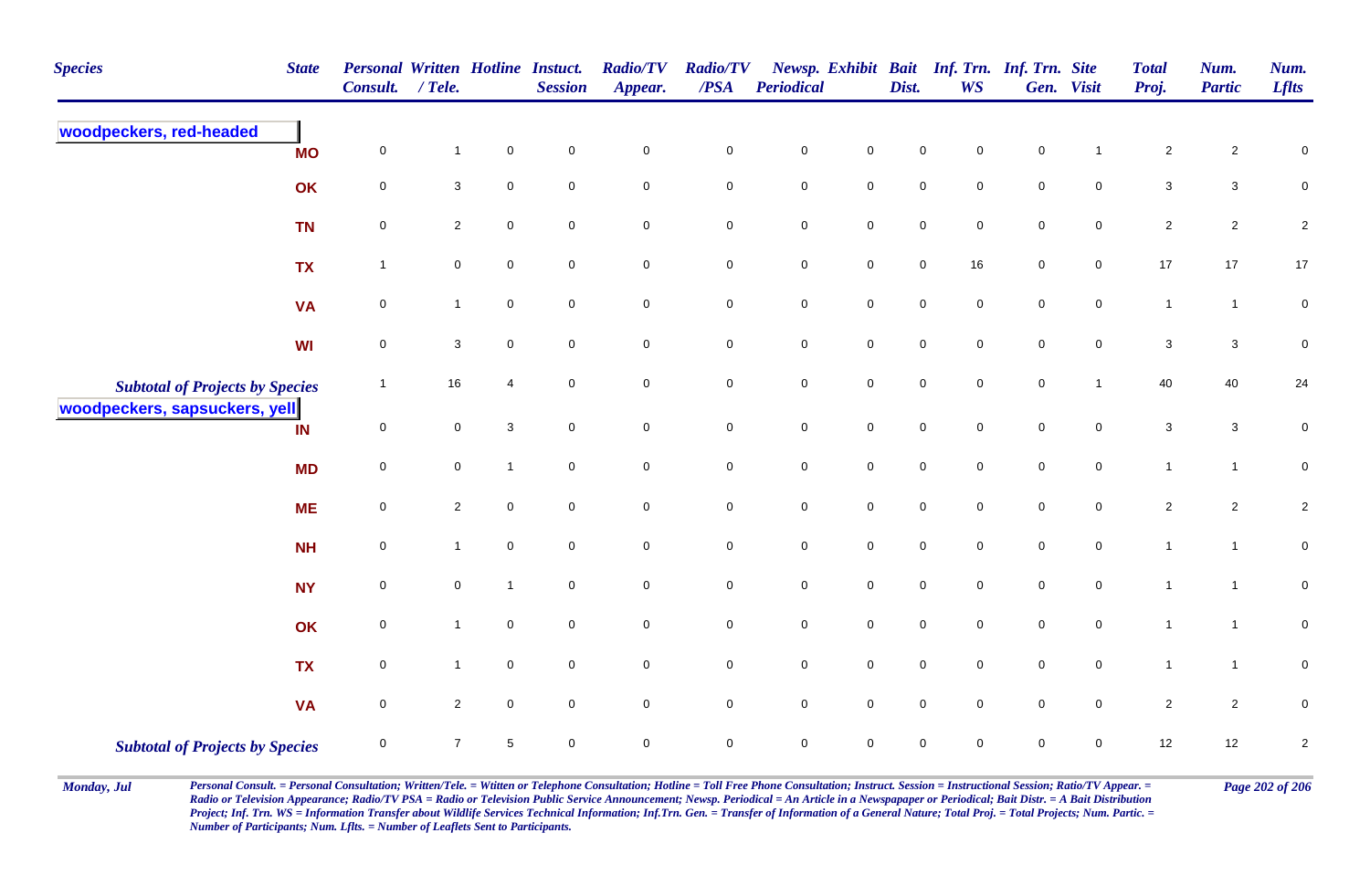| <b>Species</b>                         | <b>State</b> | <b>Personal Written Hotline Instuct.</b><br>Consult. | $/$ Tele.           |                     | <b>Session</b>      | <b>Radio/TV</b><br>Appear. | <b>Radio/TV</b><br>/PSA | <b>Periodical</b> |                     | Dist.       | Newsp. Exhibit Bait Inf. Trn. Inf. Trn. Site<br><b>WS</b> |             | Gen. Visit     | <b>Total</b><br>Proj.     | Num.<br><b>Partic</b> | Num.<br><b>Lflts</b> |
|----------------------------------------|--------------|------------------------------------------------------|---------------------|---------------------|---------------------|----------------------------|-------------------------|-------------------|---------------------|-------------|-----------------------------------------------------------|-------------|----------------|---------------------------|-----------------------|----------------------|
| woodpeckers, red-headed                | <b>MO</b>    | $\pmb{0}$                                            | $\mathbf{1}$        | $\pmb{0}$           | $\mathsf{O}\xspace$ | $\mathbf 0$                | $\mathbf 0$             | $\pmb{0}$         | $\pmb{0}$           | $\mathbf 0$ | $\mathbf 0$                                               | $\pmb{0}$   |                | $\sqrt{2}$                | $\overline{c}$        | $\pmb{0}$            |
|                                        | OK           | $\mathbf 0$                                          | $\mathbf{3}$        | $\mathbf 0$         | $\mathsf{O}\xspace$ | $\mathbf 0$                | $\mathbf 0$             | $\pmb{0}$         | $\mathbf 0$         | $\mathsf 0$ | $\mathbf 0$                                               | $\mathsf 0$ | $\mathbf 0$    | $\ensuremath{\mathsf{3}}$ | $\mathbf{3}$          | $\mathbf 0$          |
|                                        | <b>TN</b>    | $\mathbf 0$                                          | $\overline{2}$      | $\mathbf 0$         | $\mathbf 0$         | $\mathbf 0$                | $\mathbf 0$             | $\pmb{0}$         | $\mathbf 0$         | $\mathsf 0$ | 0                                                         | $\mathsf 0$ | $\mathbf 0$    | $\overline{2}$            | $\overline{c}$        | $\sqrt{2}$           |
|                                        | <b>TX</b>    | $\overline{1}$                                       | $\mathbf 0$         | $\mathsf{O}\xspace$ | $\mathbf 0$         | $\mathbf 0$                | $\mathbf 0$             | $\pmb{0}$         | $\mathbf 0$         | $\pmb{0}$   | $16\,$                                                    | $\mathbf 0$ | $\mathbf 0$    | $17\,$                    | 17                    | $17\,$               |
|                                        | <b>VA</b>    | $\mathbf 0$                                          | $\mathbf{1}$        | $\mathbf 0$         | $\mathsf{O}\xspace$ | $\mathbf 0$                | $\mathbf 0$             | $\pmb{0}$         | $\mathbf 0$         | $\pmb{0}$   | $\mathbf 0$                                               | $\mathsf 0$ | $\mathbf 0$    | $\mathbf{1}$              | $\mathbf{1}$          | $\pmb{0}$            |
|                                        | <b>WI</b>    | $\mathbf 0$                                          | $\mathsf 3$         | $\overline{0}$      | $\mathsf{O}\xspace$ | $\mathbf 0$                | $\mathbf 0$             | $\pmb{0}$         | $\mathsf{O}$        | $\pmb{0}$   | $\mathbf 0$                                               | $\mathsf 0$ | $\overline{0}$ | $\mathbf 3$               | $\mathbf{3}$          | $\pmb{0}$            |
| <b>Subtotal of Projects by Species</b> |              | $\overline{1}$                                       | 16                  | $\overline{4}$      | $\mathbf 0$         | $\mathsf{O}\xspace$        | $\overline{0}$          | $\mathsf 0$       | $\mathsf 0$         | $\mathsf 0$ | $\mathbf 0$                                               | $\mathsf 0$ | $\mathbf{1}$   | 40                        | 40                    | 24                   |
| woodpeckers, sapsuckers, yell          | IN           | 0                                                    | $\mathbf 0$         | $\mathbf{3}$        | $\mathbf 0$         | $\mathsf{O}\xspace$        | $\mathbf 0$             | $\pmb{0}$         | $\mathsf{O}\xspace$ | $\mathbf 0$ | $\mathbf 0$                                               | $\mathbf 0$ | $\mathbf 0$    | $\mathbf{3}$              | $\mathbf{3}$          | $\pmb{0}$            |
|                                        | <b>MD</b>    | $\mathsf{O}\xspace$                                  | $\mathsf{O}\xspace$ | $\overline{1}$      | $\mathbf 0$         | $\mathsf{O}\xspace$        | $\mathbf 0$             | $\pmb{0}$         | $\mathsf{O}\xspace$ | $\mathbf 0$ | $\overline{0}$                                            | $\pmb{0}$   | $\pmb{0}$      | $\mathbf{1}$              | $\mathbf{1}$          | $\mathbf 0$          |
|                                        | <b>ME</b>    | $\mathbf 0$                                          | $\overline{2}$      | $\mathsf{O}\xspace$ | $\mathbf 0$         | $\mathbf 0$                | $\mathbf 0$             | $\pmb{0}$         | $\mathsf{O}\xspace$ | $\pmb{0}$   | $\mathbf 0$                                               | $\pmb{0}$   | $\mathbf 0$    | $\sqrt{2}$                | $\overline{c}$        | $\sqrt{2}$           |
|                                        | <b>NH</b>    | $\mathsf 0$                                          | $\mathbf{1}$        | $\overline{0}$      | $\mathbf 0$         | $\mathbf 0$                | $\mathbf 0$             | $\pmb{0}$         | $\mathsf{O}\xspace$ | $\mathsf 0$ | $\mathbf 0$                                               | $\mathsf 0$ | $\overline{0}$ | $\mathbf{1}$              | $\mathbf{1}$          | $\pmb{0}$            |
|                                        | <b>NY</b>    | 0                                                    | $\mathbf 0$         | $\overline{1}$      | $\mathbf 0$         | $\mathbf 0$                | $\mathbf 0$             | $\pmb{0}$         | $\mathbf 0$         | $\mathsf 0$ | $\mathbf 0$                                               | $\mathsf 0$ | $\overline{0}$ | $\mathbf{1}$              | $\mathbf{1}$          | $\mathbf 0$          |
|                                        | OK           | $\mathbf 0$                                          | $\mathbf{1}$        | $\overline{0}$      | $\mathbf 0$         | $\mathbf 0$                | $\mathbf 0$             | $\pmb{0}$         | $\mathbf 0$         | $\mathbf 0$ | $\mathbf 0$                                               | $\mathbf 0$ | $\mathbf 0$    | $\mathbf{1}$              | $\overline{1}$        | $\pmb{0}$            |
|                                        | <b>TX</b>    | $\mathbf 0$                                          | $\mathbf{1}$        | $\overline{0}$      | $\mathbf 0$         | $\mathbf 0$                | $\overline{0}$          | $\mathsf 0$       | $\overline{0}$      | $\mathsf 0$ | $\mathbf 0$                                               | $\mathsf 0$ | $\mathbf 0$    | $\overline{1}$            | $\mathbf{1}$          | $\mathsf 0$          |
|                                        | <b>VA</b>    | $\mathbf 0$                                          | $\overline{2}$      | $\overline{0}$      | $\mathbf 0$         | $\mathbf 0$                | $\overline{0}$          | $\mathsf 0$       | $\overline{0}$      | $\mathsf 0$ | $\mathbf 0$                                               | $\mathsf 0$ | $\overline{0}$ | $\overline{2}$            | $\overline{2}$        | $\mathsf 0$          |
| <b>Subtotal of Projects by Species</b> |              | $\pmb{0}$                                            | $\overline{7}$      | $\sqrt{5}$          | $\mathbf 0$         | $\mathbf 0$                | $\mathsf{O}\xspace$     | $\pmb{0}$         | $\pmb{0}$           | $\mathsf 0$ | $\mathbf 0$                                               | $\mathbf 0$ | $\mathbf 0$    | 12                        | 12                    | $\sqrt{2}$           |

Monday, Jul Personal Consult. = Personal Consultation; Written/Tele. = Witten or Telephone Consultation; Hotline = Toll Free Phone Consultation; Instruct. Session = Instructional Session; Ratio/TV Appear. = Page 202 of 206 *Radio or Television Appearance; Radio/TV PSA = Radio or Television Public Service Announcement; Newsp. Periodical = An Article in a Newspapaper or Periodical; Bait Distr. = A Bait Distribution*  Project; Inf. Trn. WS = Information Transfer about Wildlife Services Technical Information; Inf.Trn. Gen. = Transfer of Information of a General Nature; Total Proj. = Total Projects; Num. Partic. = *Number of Participants; Num. Lflts. = Number of Leaflets Sent to Participants.*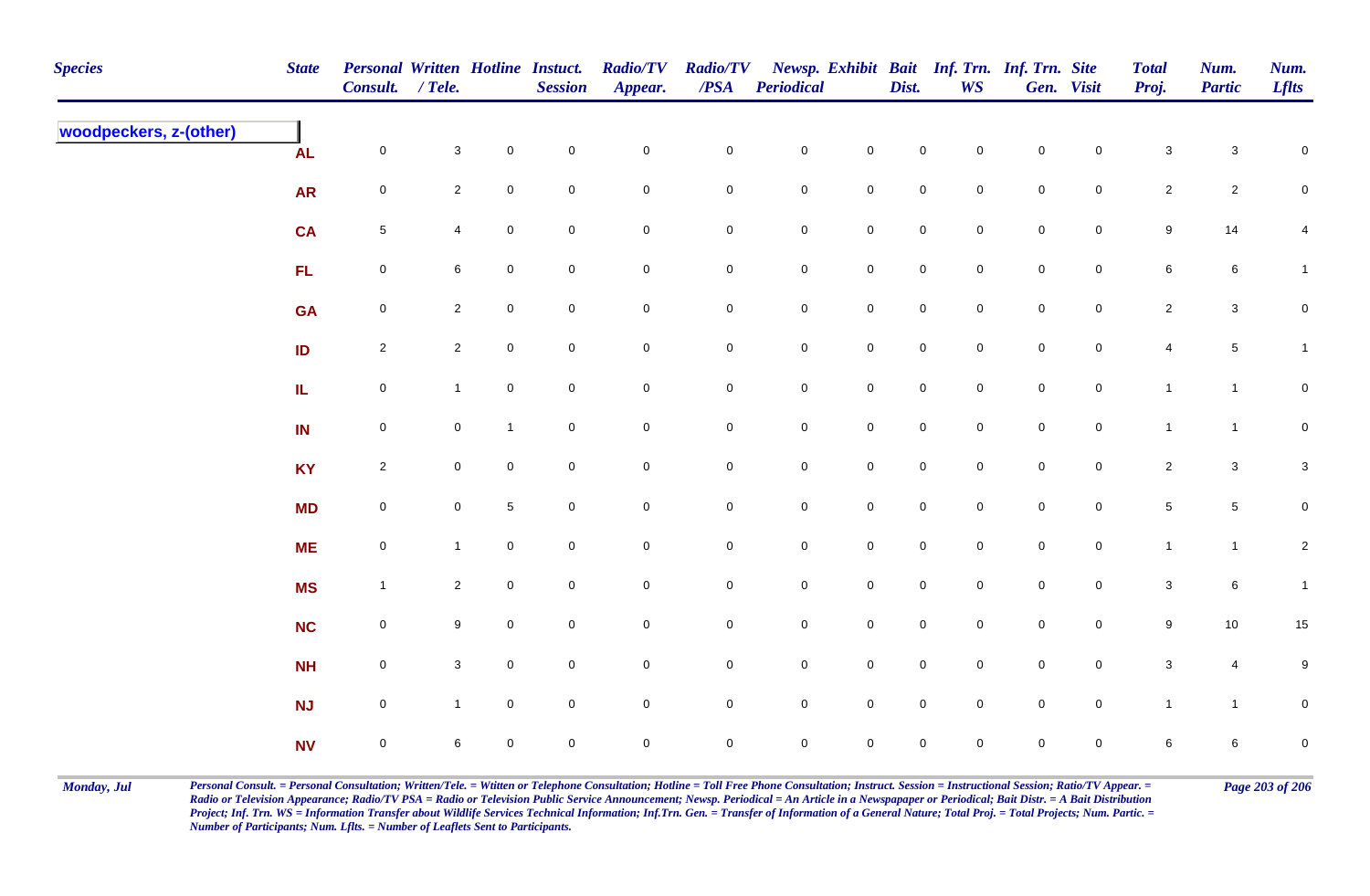| <b>Species</b>         | <b>State</b> | Personal Written Hotline Instuct.<br>Consult. / Tele. |                 |              | <b>Session</b>   | <b>Radio/TV</b><br>Appear. | <b>Radio/TV</b><br>$\overline{PSA}$ | <b>Periodical</b>   |                     | Dist.               | Newsp. Exhibit Bait Inf. Trn. Inf. Trn. Site<br><b>WS</b> |                     | Gen. Visit          | <b>Total</b><br>Proj.     | Num.<br><b>Partic</b> | Num.<br><b>Lflts</b> |
|------------------------|--------------|-------------------------------------------------------|-----------------|--------------|------------------|----------------------------|-------------------------------------|---------------------|---------------------|---------------------|-----------------------------------------------------------|---------------------|---------------------|---------------------------|-----------------------|----------------------|
| woodpeckers, z-(other) | <b>AL</b>    | $\mathbf 0$                                           | $\mathbf{3}$    | $\mathbf 0$  | $\pmb{0}$        | $\mathbf 0$                | $\pmb{0}$                           | ${\bf 0}$           | $\mathbf 0$         | $\mathbf 0$         | $\mathbf 0$                                               | $\mathbf 0$         | $\mathbf 0$         | $\ensuremath{\mathsf{3}}$ | $\mathsf 3$           | $\pmb{0}$            |
|                        | <b>AR</b>    | $\boldsymbol{0}$                                      | $\overline{2}$  | $\mathbf 0$  | $\mathbf 0$      | $\mathbf 0$                | 0                                   | $\mathbf 0$         | $\mathbf 0$         | $\mathbf 0$         | $\overline{0}$                                            | $\pmb{0}$           | $\overline{0}$      | $\overline{2}$            | $\overline{2}$        | 0                    |
|                        | <b>CA</b>    | $5\phantom{.0}$                                       | $\overline{4}$  | $\mathbf 0$  | $\pmb{0}$        | $\mathbf 0$                | $\pmb{0}$                           | $\mathbf 0$         | $\mathbf 0$         | $\mathsf{O}\xspace$ | $\mathsf{O}$                                              | $\pmb{0}$           | $\overline{0}$      | $\boldsymbol{9}$          | 14                    | $\overline{4}$       |
|                        | FL           | $\mathsf{O}\xspace$                                   | 6               | 0            | $\mathbf 0$      | $\mathbf 0$                | 0                                   | $\mathsf{O}$        | $\mathbf 0$         | $\mathbf 0$         | $\overline{0}$                                            | $\pmb{0}$           | $\overline{0}$      | $\,6\,$                   | 6                     | $\mathbf{1}$         |
|                        | <b>GA</b>    | $\mathsf{O}\xspace$                                   | $2\overline{ }$ | $\mathbf 0$  | $\mathbf 0$      | $\mathsf 0$                | $\pmb{0}$                           | $\mathbf 0$         | $\mathbf 0$         | $\mathsf{O}\xspace$ | $\mathbf 0$                                               | $\pmb{0}$           | $\mathbf 0$         | $\overline{2}$            | $\mathbf{3}$          | $\pmb{0}$            |
|                        | ID           | $\overline{2}$                                        | $\overline{2}$  | 0            | $\pmb{0}$        | $\mathbf 0$                | $\pmb{0}$                           | $\mathbf 0$         | $\mathbf 0$         | $\mathsf{O}\xspace$ | $\mathbf 0$                                               | $\mathbf 0$         | $\mathsf{O}\xspace$ | $\overline{4}$            | $\sqrt{5}$            | $\mathbf{1}$         |
|                        | IL.          | $\mathsf{O}\xspace$                                   | $\mathbf{1}$    | $\mathbf 0$  | $\mathbf 0$      | $\mathbf 0$                | $\mathbf 0$                         | $\mathsf{O}\xspace$ | $\mathsf{O}\xspace$ | $\mathbf 0$         | $\mathbf 0$                                               | $\mathbf 0$         | $\mathsf{O}\xspace$ | $\mathbf{1}$              | $\mathbf{1}$          | $\mathbf 0$          |
|                        | IN           | $\mathsf 0$                                           | $\mathbf 0$     | $\mathbf{1}$ | $\boldsymbol{0}$ | $\mathsf 0$                | $\mathbf 0$                         | $\mathbf 0$         | $\mathbf 0$         | $\mathbf 0$         | $\mathbf 0$                                               | $\mathsf{O}\xspace$ | $\mathbf 0$         | $\mathbf{1}$              | $\mathbf{1}$          | $\mathbf 0$          |
|                        | <b>KY</b>    | $\overline{2}$                                        | $\mathbf 0$     | 0            | $\mathbf 0$      | $\mathsf{O}\xspace$        | $\mathbf 0$                         | $\mathbf 0$         | $\mathsf{O}\xspace$ | $\mathsf{O}\xspace$ | $\mathbf 0$                                               | $\mathbf 0$         | $\mathbf 0$         | $\overline{2}$            | $\mathbf{3}$          | $\mathbf{3}$         |
|                        | <b>MD</b>    | $\mathbf 0$                                           | $\mathbf 0$     | $\sqrt{5}$   | $\pmb{0}$        | $\mathbf 0$                | $\pmb{0}$                           | $\mathbf 0$         | $\mathbf 0$         | $\mathbf 0$         | $\mathbf 0$                                               | $\pmb{0}$           | $\mathsf{O}\xspace$ | $\overline{5}$            | $\sqrt{5}$            | $\mathbf 0$          |
|                        | <b>ME</b>    | $\mathbf 0$                                           | $\mathbf{1}$    | $\mathbf 0$  | $\mathbf 0$      | $\mathbf 0$                | $\pmb{0}$                           | $\mathbf 0$         | $\mathbf 0$         | $\mathbf 0$         | $\overline{0}$                                            | $\pmb{0}$           | $\overline{0}$      | $\mathbf{1}$              | $\overline{1}$        | $\mathbf{2}$         |
|                        | <b>MS</b>    | $\mathbf{1}$                                          | $\overline{2}$  | $\mathbf 0$  | $\mathbf 0$      | $\mathbf 0$                | $\pmb{0}$                           | $\mathbf 0$         | $\mathbf 0$         | $\mathsf{O}\xspace$ | $\mathsf 0$                                               | $\pmb{0}$           | $\overline{0}$      | $\mathsf 3$               | 6                     | $\mathbf{1}$         |
|                        | <b>NC</b>    | $\mathsf{O}\xspace$                                   | 9               | 0            | $\boldsymbol{0}$ | $\mathbf 0$                | $\mathbf 0$                         | $\mathsf{O}$        | $\mathbf 0$         | $\mathbf 0$         | $\overline{0}$                                            | $\pmb{0}$           | $\overline{0}$      | $9\,$                     | 10                    | 15                   |
|                        | <b>NH</b>    | $\mathsf{O}\xspace$                                   | 3 <sup>1</sup>  | $\mathbf 0$  | $\mathbf 0$      | $\mathsf 0$                | $\mathbf 0$                         | $\mathsf 0$         | $\mathbf 0$         | $\mathsf{O}\xspace$ | $\mathbf 0$                                               | $\pmb{0}$           | $\overline{0}$      | $\mathbf{3}$              | $\overline{4}$        | $\boldsymbol{9}$     |
|                        | <b>NJ</b>    | $\mathsf{O}\xspace$                                   | $\mathbf{1}$    | $\mathbf 0$  | $\mathbf 0$      | $\mathsf{O}\xspace$        | $\mathbf 0$                         | $\mathsf{O}$        | $\mathbf 0$         | $\mathsf{O}\xspace$ | $\mathbf 0$                                               | $\mathbf 0$         | $\mathbf 0$         | $\mathbf{1}$              | $\mathbf{1}$          | $\overline{0}$       |
|                        | <b>NV</b>    | $\mathbf 0$                                           | 6               | 0            | $\pmb{0}$        | $\mathbf 0$                | $\mathbf 0$                         | $\mathbf 0$         | $\mathbf 0$         | 0                   | $\mathbf 0$                                               | $\mathsf{O}\xspace$ | $\mathbf 0$         | 6                         | 6                     | $\pmb{0}$            |

Monday, Jul Personal Consult. = Personal Consultation; Written/Tele. = Witten or Telephone Consultation; Hotline = Toll Free Phone Consultation; Instruct. Session = Instructional Session; Ratio/TV Appear. = Page 203 of 206 *Radio or Television Appearance; Radio/TV PSA = Radio or Television Public Service Announcement; Newsp. Periodical = An Article in a Newspapaper or Periodical; Bait Distr. = A Bait Distribution*  Project; Inf. Trn. WS = Information Transfer about Wildlife Services Technical Information; Inf.Trn. Gen. = Transfer of Information of a General Nature; Total Proj. = Total Projects; Num. Partic. = *Number of Participants; Num. Lflts. = Number of Leaflets Sent to Participants.*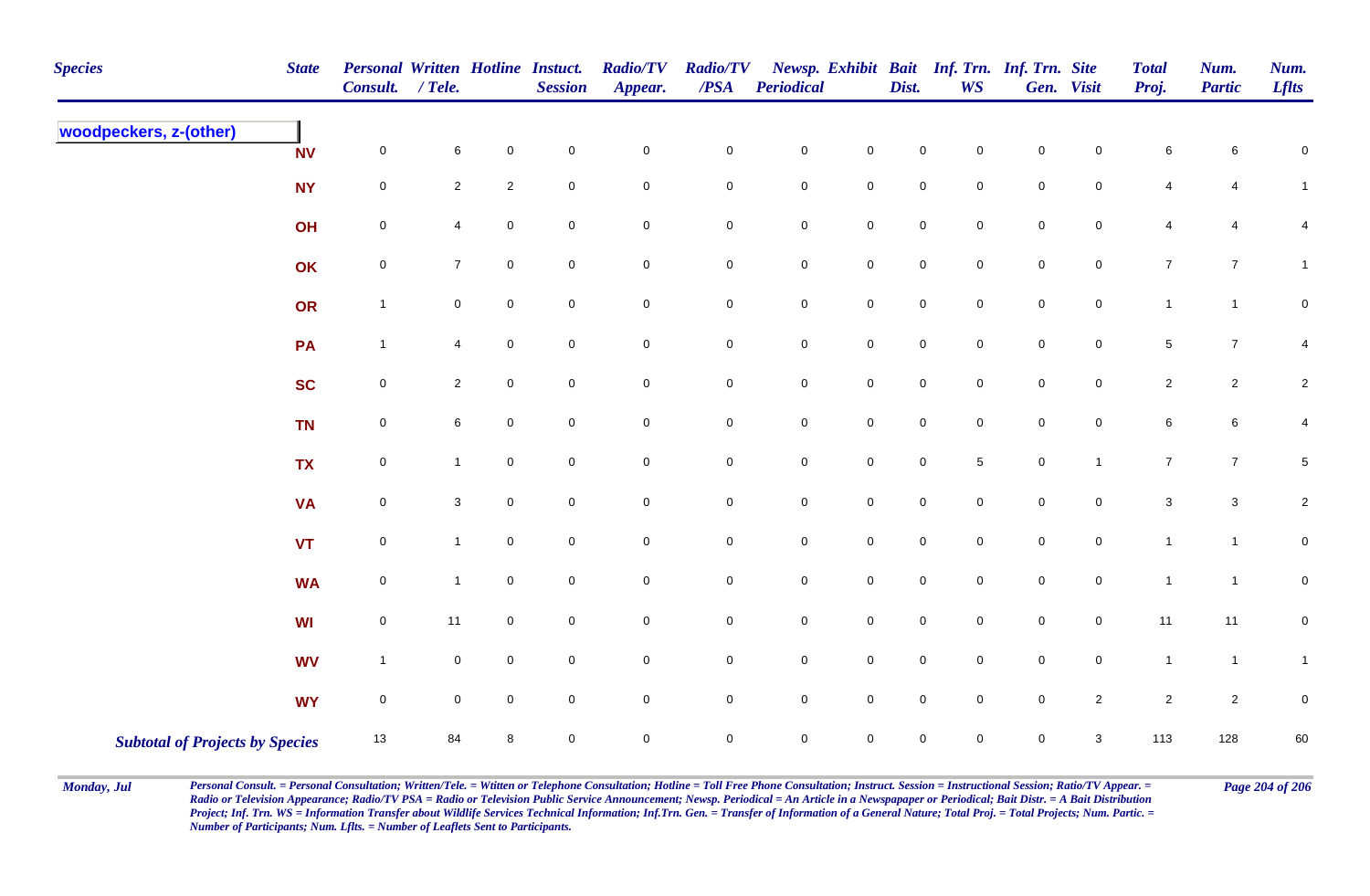| <b>Species</b>                         | <b>State</b> | Personal Written Hotline Instuct.<br><b>Consult.</b> | $/$ Tele.      |                     | <b>Session</b>      | <b>Radio/TV</b><br>Appear. | <b>Radio/TV</b><br>/PSA | <b>Periodical</b>   |                     | Dist.       | <b>WS</b>      | Newsp. Exhibit Bait Inf. Trn. Inf. Trn. Site | Gen. Visit          | <b>Total</b><br>Proj. | Num.<br><b>Partic</b>     | Num.<br><b>Lflts</b> |
|----------------------------------------|--------------|------------------------------------------------------|----------------|---------------------|---------------------|----------------------------|-------------------------|---------------------|---------------------|-------------|----------------|----------------------------------------------|---------------------|-----------------------|---------------------------|----------------------|
| woodpeckers, z-(other)                 | <b>NV</b>    | $\mathbf 0$                                          | 6              | $\pmb{0}$           | $\mathbf 0$         | $\mathbf 0$                | $\mathbf 0$             | $\pmb{0}$           | $\mathbf 0$         | $\pmb{0}$   | 0              | $\pmb{0}$                                    | 0                   | 6                     | 6                         | 0                    |
|                                        | <b>NY</b>    | $\mathbf 0$                                          | $\overline{a}$ | $\overline{2}$      | $\mathbf 0$         | $\overline{0}$             | $\mathbf 0$             | $\pmb{0}$           | $\mathbf 0$         | $\pmb{0}$   | 0              | $\mathbf 0$                                  | 0                   | 4                     | 4                         | $\mathbf{1}$         |
|                                        | OH           | $\pmb{0}$                                            | 4              | $\mathbf 0$         | $\mathbf 0$         | $\mathbf 0$                | $\mathbf 0$             | $\pmb{0}$           | $\mathbf 0$         | $\pmb{0}$   | $\mathbf 0$    | $\mathbf 0$                                  | 0                   | $\overline{4}$        | $\overline{4}$            | $\overline{4}$       |
|                                        | OK           | $\pmb{0}$                                            | $\overline{7}$ | $\mathsf{O}\xspace$ | $\overline{0}$      | $\overline{0}$             | $\mathbf 0$             | $\pmb{0}$           | $\mathbf 0$         | $\mathsf 0$ | 0              | $\mathbf 0$                                  | $\mathbf 0$         | $\overline{7}$        | $\overline{7}$            | $\mathbf{1}$         |
|                                        | OR           | $\mathbf{1}$                                         | 0              | $\mathbf 0$         | $\mathbf 0$         | $\overline{0}$             | $\mathsf{O}\xspace$     | $\mathbf 0$         | $\mathsf 0$         | $\pmb{0}$   | $\mathbf 0$    | $\mathbf 0$                                  | $\mathsf{O}\xspace$ | $\mathbf{1}$          | $\mathbf{1}$              | 0                    |
|                                        | PA           | $\mathbf{1}$                                         | $\overline{4}$ | $\mathsf 0$         | $\overline{0}$      | $\mathbf 0$                | $\mathbf 0$             | $\mathbf 0$         | $\mathsf{O}$        | $\pmb{0}$   | $\overline{0}$ | $\mathsf 0$                                  | $\mathbf 0$         | $5\phantom{.0}$       | $\overline{7}$            | 4                    |
|                                        | <b>SC</b>    | $\pmb{0}$                                            | $\overline{c}$ | $\mathbf 0$         | $\mathbf 0$         | $\mathsf{O}\xspace$        | $\mathbf 0$             | $\pmb{0}$           | $\mathsf 0$         | $\pmb{0}$   | $\mathbf 0$    | $\pmb{0}$                                    | $\mathsf{O}\xspace$ | $\overline{2}$        | $\overline{c}$            | $\overline{c}$       |
|                                        | <b>TN</b>    | $\mathbf 0$                                          | 6              | $\mathsf{O}\xspace$ | $\overline{0}$      | $\mathbf 0$                | $\mathbf 0$             | $\mathbf 0$         | $\mathsf{O}$        | $\pmb{0}$   | $\mathbf 0$    | $\mathbf 0$                                  | 0                   | $\,6\,$               | $\,6\,$                   | 4                    |
|                                        | <b>TX</b>    | $\mathbf 0$                                          | $\mathbf{1}$   | $\mathbf 0$         | $\mathbf 0$         | $\mathsf{O}\xspace$        | $\mathsf{O}\xspace$     | $\mathbf 0$         | $\mathsf{O}\xspace$ | $\mathbf 0$ | 5 <sup>5</sup> | $\mathbf 0$                                  | $\mathbf{1}$        | $\overline{7}$        | $\overline{7}$            | $5\phantom{.0}$      |
|                                        | <b>VA</b>    | $\mathbf 0$                                          | $\mathbf{3}$   | $\mathbf 0$         | $\mathbf 0$         | $\mathbf 0$                | $\mathbf 0$             | $\mathbf 0$         | $\mathbf 0$         | $\mathsf 0$ | $\mathbf 0$    | $\mathbf 0$                                  | 0                   | $\sqrt{3}$            | $\ensuremath{\mathsf{3}}$ | $\overline{c}$       |
|                                        | VT           | $\mathbf 0$                                          | $\mathbf{1}$   | $\mathbf 0$         | $\mathsf{O}\xspace$ | $\mathbf 0$                | $\pmb{0}$               | $\pmb{0}$           | $\mathsf{O}\xspace$ | $\pmb{0}$   | $\mathbf 0$    | $\mathbf 0$                                  | $\mathsf{O}\xspace$ | $\mathbf{1}$          | $\mathbf{1}$              | $\mathbf 0$          |
|                                        | <b>WA</b>    | $\pmb{0}$                                            | $\overline{1}$ | $\pmb{0}$           | $\mathbf 0$         | $\mathbf 0$                | $\mathbf 0$             | $\pmb{0}$           | $\mathbf 0$         | $\mathsf 0$ | $\mathbf 0$    | $\mathbf 0$                                  | $\mathbf 0$         | $\mathbf{1}$          | $\mathbf{1}$              | $\mathbf 0$          |
|                                        | WI           | $\mathsf 0$                                          | 11             | $\mathbf 0$         | $\mathbf 0$         | $\mathbf 0$                | $\overline{0}$          | $\pmb{0}$           | $\mathbf 0$         | $\pmb{0}$   | $\mathbf 0$    | $\mathbf 0$                                  | $\mathbf 0$         | 11                    | 11                        | $\mathbf 0$          |
|                                        | <b>WV</b>    | $\mathbf{1}$                                         | $\pmb{0}$      | $\mathbf 0$         | $\mathbf 0$         | $\overline{0}$             | $\mathbf 0$             | $\pmb{0}$           | $\overline{0}$      | $\mathsf 0$ | $\mathbf 0$    | $\mathbf 0$                                  | $\mathbf 0$         | $\mathbf{1}$          | $\mathbf{1}$              | $\mathbf{1}$         |
|                                        | <b>WY</b>    | $\mathsf 0$                                          | 0              | $\mathbf 0$         | $\overline{0}$      | $\mathsf{O}\xspace$        | $\mathsf{O}\xspace$     | $\mathsf{O}\xspace$ | $\mathsf 0$         | $\pmb{0}$   | $\mathbf 0$    | $\pmb{0}$                                    | $\overline{2}$      | $\overline{2}$        | $\overline{2}$            | $\mathbf 0$          |
| <b>Subtotal of Projects by Species</b> |              | 13                                                   | 84             | 8                   | $\mathbf 0$         | $\mathsf{O}\xspace$        | $\mathbf 0$             | $\mathsf{O}\xspace$ | $\mathsf{O}\xspace$ | $\mathsf 0$ | $\mathbf 0$    | $\mathbf 0$                                  | $\mathbf{3}$        | 113                   | 128                       | 60                   |

Monday, Jul Personal Consult. = Personal Consultation; Written/Tele. = Witten or Telephone Consultation; Hotline = Toll Free Phone Consultation; Instruct. Session = Instructional Session; Ratio/TV Appear. = Page 204 of 206 *Radio or Television Appearance; Radio/TV PSA = Radio or Television Public Service Announcement; Newsp. Periodical = An Article in a Newspapaper or Periodical; Bait Distr. = A Bait Distribution*  Project; Inf. Trn. WS = Information Transfer about Wildlife Services Technical Information; Inf.Trn. Gen. = Transfer of Information of a General Nature; Total Proj. = Total Projects; Num. Partic. = *Number of Participants; Num. Lflts. = Number of Leaflets Sent to Participants.*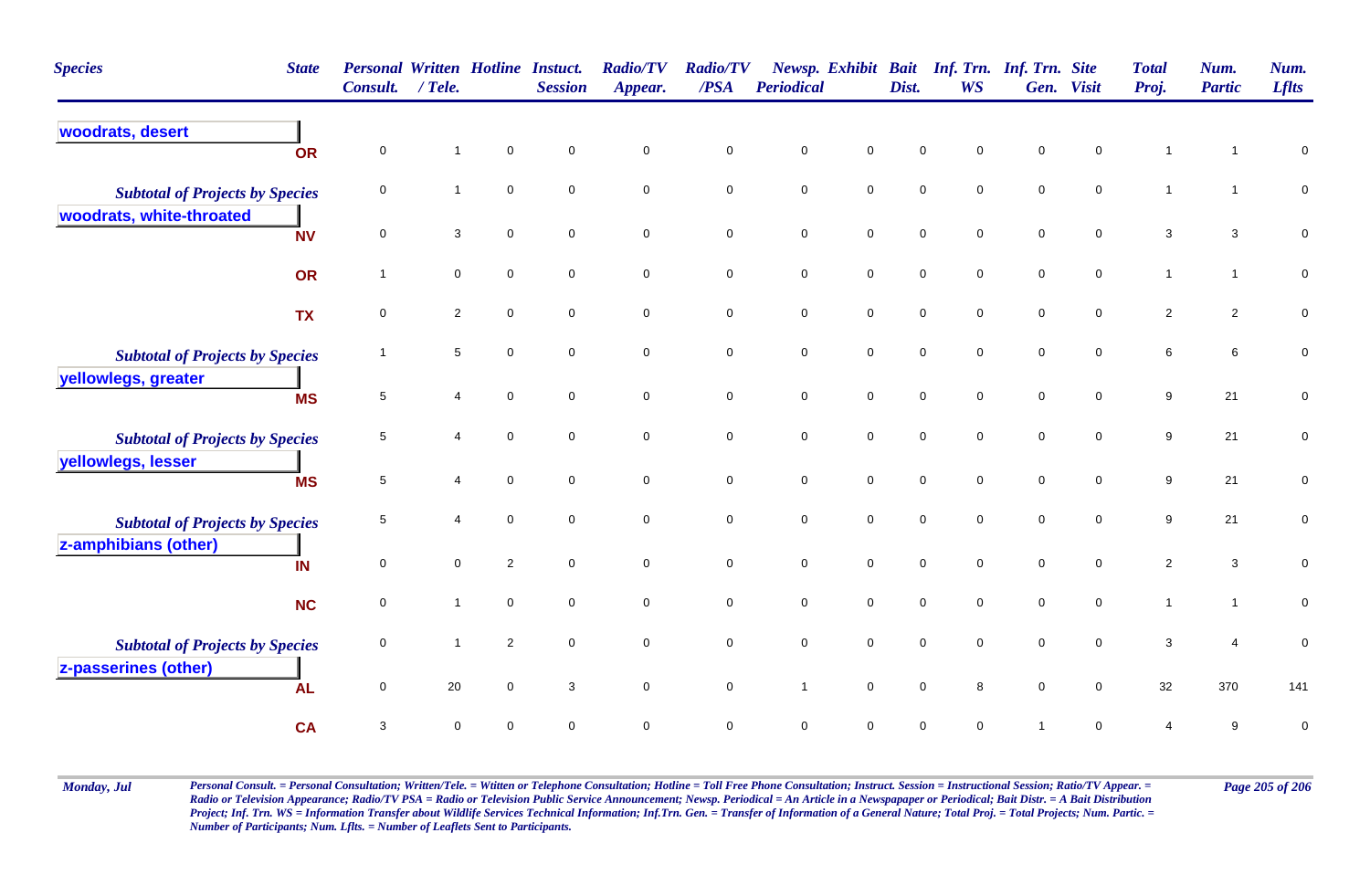| <b>Species</b><br><b>State</b>         | Consult.       | <b>Personal Written Hotline Instuct.</b><br>$/$ Tele. |                | <b>Session</b>      | <b>Radio/TV</b><br>Appear. | <b>Radio/TV</b><br>/PSA | Periodical     |                     | Dist.       | Newsp. Exhibit Bait Inf. Trn. Inf. Trn. Site<br><b>WS</b> | Gen.           | <b>Visit</b>        | <b>Total</b><br>Proj.     | Num.<br><b>Partic</b> | Num.<br><b>Lflts</b> |
|----------------------------------------|----------------|-------------------------------------------------------|----------------|---------------------|----------------------------|-------------------------|----------------|---------------------|-------------|-----------------------------------------------------------|----------------|---------------------|---------------------------|-----------------------|----------------------|
| woodrats, desert<br>OR                 | 0              | $\overline{1}$                                        | $\mathbf 0$    | $\mathbf 0$         | $\mathbf 0$                | $\mathbf 0$             | $\pmb{0}$      | $\pmb{0}$           | $\mathbf 0$ | $\mathbf 0$                                               | $\mathbf 0$    | 0                   | $\overline{1}$            |                       | $\pmb{0}$            |
| <b>Subtotal of Projects by Species</b> | 0              | $\mathbf{1}$                                          | $\mathbf 0$    | $\mathbf 0$         | $\mathbf 0$                | $\mathbf 0$             | $\mathbf 0$    | $\mathbf 0$         | $\mathbf 0$ | $\mathbf 0$                                               | $\mathbf 0$    | $\mathbf 0$         | $\mathbf{1}$              | -1                    | $\pmb{0}$            |
| woodrats, white-throated<br><b>NV</b>  | $\mathbf 0$    | $\mathbf{3}$                                          | $\mathbf 0$    | $\mathbf 0$         | $\mathbf 0$                | $\mathbf 0$             | $\mathbf 0$    | $\mathbf 0$         | $\mathbf 0$ | $\overline{0}$                                            | $\mathbf 0$    | $\mathbf 0$         | 3                         | 3                     | $\mathbf 0$          |
| OR                                     | $\overline{1}$ | $\mathsf{O}\xspace$                                   | $\pmb{0}$      | $\mathbf 0$         | $\mathbf 0$                | $\mathsf{O}\xspace$     | $\mathbf 0$    | $\mathbf 0$         | $\mathbf 0$ | $\overline{0}$                                            | $\mathbf 0$    | $\mathsf{O}\xspace$ | $\mathbf{1}$              | $\mathbf{1}$          | $\overline{0}$       |
| <b>TX</b>                              | 0              | $\sqrt{2}$                                            | 0              | $\mathbf 0$         | $\mathbf 0$                | $\mathbf 0$             | $\mathbf 0$    | $\mathsf{O}\xspace$ | $\pmb{0}$   | 0                                                         | $\mathbf 0$    | 0                   | $\overline{2}$            | $\overline{2}$        | $\pmb{0}$            |
| <b>Subtotal of Projects by Species</b> | -1             | 5                                                     | 0              | $\mathbf 0$         | $\mathbf 0$                | $\mathbf 0$             | $\mathbf 0$    | $\mathbf 0$         | $\mathbf 0$ | $\mathbf 0$                                               | $\mathbf 0$    | 0                   | 6                         | 6                     | $\mathbf 0$          |
| yellowlegs, greater<br><b>MS</b>       | $\overline{5}$ | 4                                                     | $\mathbf 0$    | $\mathbf 0$         | $\mathbf 0$                | $\mathsf{O}\xspace$     | $\pmb{0}$      | $\mathsf{O}\xspace$ | $\mathbf 0$ | 0                                                         | $\mathbf 0$    | $\mathbf 0$         | $\boldsymbol{9}$          | 21                    | $\pmb{0}$            |
| <b>Subtotal of Projects by Species</b> | 5              | $\overline{4}$                                        | $\mathbf 0$    | $\mathbf 0$         | $\mathbf 0$                | $\mathbf 0$             | $\pmb{0}$      | $\mathsf{O}\xspace$ | $\mathbf 0$ | 0                                                         | $\mathbf 0$    | 0                   | 9                         | 21                    | $\mathbf 0$          |
| yellowlegs, lesser<br><b>MS</b>        | $\sqrt{5}$     | $\overline{4}$                                        | $\mathbf 0$    | $\mathsf{O}\xspace$ | $\mathbf 0$                | $\mathbf 0$             | $\mathbf 0$    | $\mathsf{O}\xspace$ | $\pmb{0}$   | 0                                                         | $\mathbf 0$    | $\mathbf 0$         | 9                         | 21                    | $\pmb{0}$            |
| <b>Subtotal of Projects by Species</b> | 5              | $\overline{4}$                                        | $\mathbf 0$    | $\mathbf 0$         | $\mathbf 0$                | $\mathsf 0$             | $\mathbf 0$    | $\mathsf{O}\xspace$ | $\mathbf 0$ | 0                                                         | $\mathbf 0$    | $\mathbf 0$         | $\boldsymbol{9}$          | 21                    | $\pmb{0}$            |
| z-amphibians (other)<br>IN             | $\mathbf 0$    | $\mathsf 0$                                           | $\overline{2}$ | $\mathbf 0$         | $\mathbf 0$                | $\mathbf 0$             | $\mathbf 0$    | $\mathsf{O}\xspace$ | $\mathbf 0$ | 0                                                         | $\mathbf 0$    | $\mathbf 0$         | $\overline{2}$            | 3                     | $\mathbf 0$          |
| <b>NC</b>                              | 0              | $\mathbf{1}$                                          | $\mathbf 0$    | $\mathbf 0$         | $\mathbf 0$                | $\mathbf 0$             | $\mathbf 0$    | $\mathsf{O}\xspace$ | $\mathbf 0$ | 0                                                         | $\mathbf 0$    | 0                   | $\mathbf{1}$              | $\mathbf{1}$          | $\mathsf{O}\xspace$  |
| <b>Subtotal of Projects by Species</b> | 0              | $\overline{1}$                                        | $\overline{2}$ | 0                   | $\mathbf 0$                | $\mathbf 0$             | $\pmb{0}$      | $\mathbf 0$         | $\mathbf 0$ | 0                                                         | $\mathbf 0$    | 0                   | $\ensuremath{\mathsf{3}}$ | 4                     | $\pmb{0}$            |
| z-passerines (other)<br><b>AL</b>      | $\mathbf 0$    | 20                                                    | $\mathbf 0$    | 3                   | $\mathbf 0$                | $\mathbf 0$             | $\overline{1}$ | $\mathbf 0$         | $\mathbf 0$ | 8                                                         | $\mathbf 0$    | $\mathbf 0$         | 32                        | 370                   | 141                  |
| <b>CA</b>                              | 3              | $\mathsf 0$                                           | $\mathbf 0$    | $\mathbf 0$         | $\mathbf 0$                | $\mathbf 0$             | $\mathbf 0$    | $\mathbf 0$         | $\mathbf 0$ | 0                                                         | $\overline{1}$ | 0                   | $\overline{4}$            | 9                     | $\pmb{0}$            |

Monday, Jul Personal Consult. = Personal Consultation; Written/Tele. = Witten or Telephone Consultation; Hotline = Toll Free Phone Consultation; Instruct. Session = Instructional Session; Ratio/TV Appear. = Page 205 of 206 *Radio or Television Appearance; Radio/TV PSA = Radio or Television Public Service Announcement; Newsp. Periodical = An Article in a Newspapaper or Periodical; Bait Distr. = A Bait Distribution*  Project; Inf. Trn. WS = Information Transfer about Wildlife Services Technical Information; Inf.Trn. Gen. = Transfer of Information of a General Nature; Total Proj. = Total Projects; Num. Partic. = *Number of Participants; Num. Lflts. = Number of Leaflets Sent to Participants.*